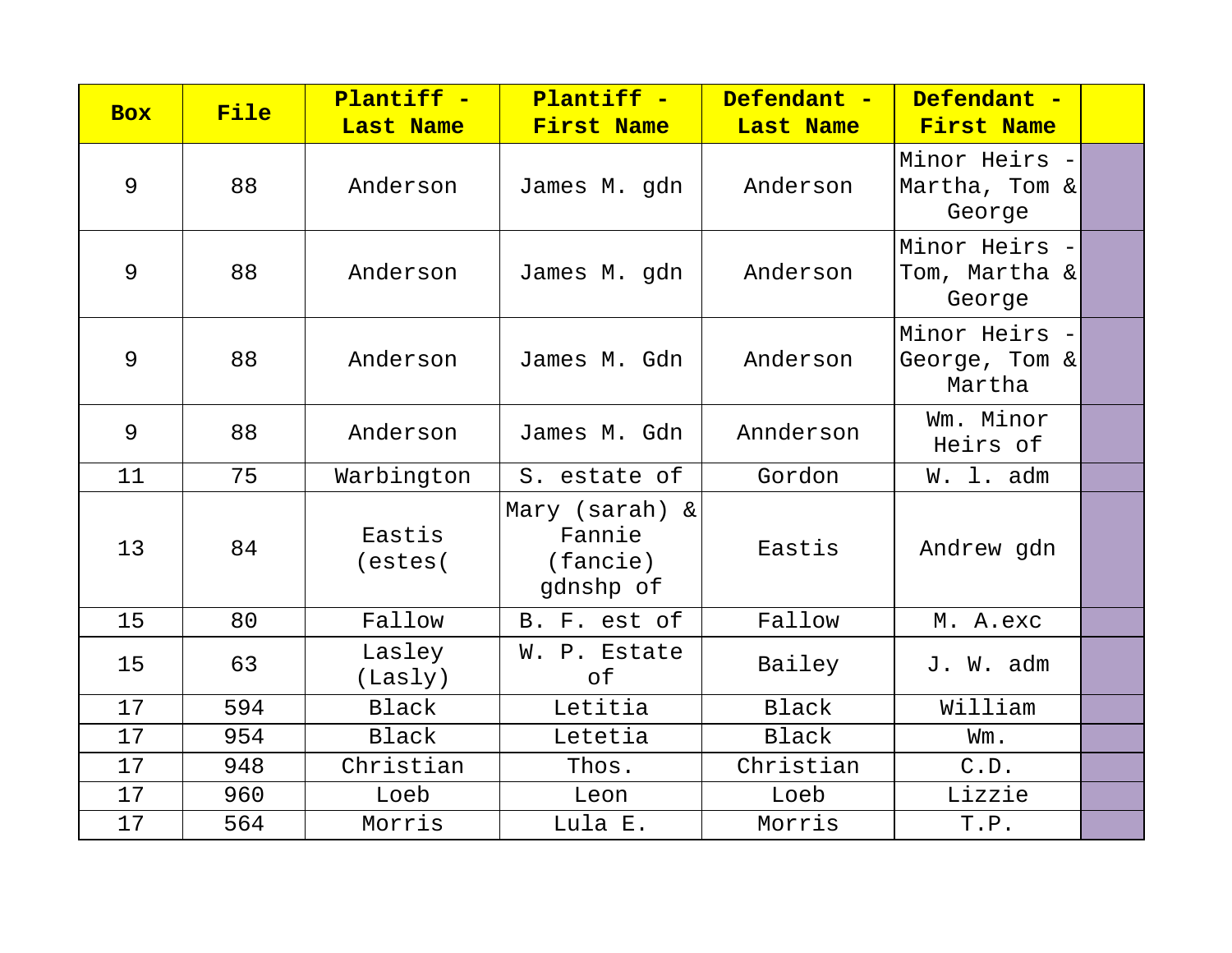| <b>Box</b> | File | Plantiff -        | Plantiff -                                           | Defendant -  | Defendant -                              |  |
|------------|------|-------------------|------------------------------------------------------|--------------|------------------------------------------|--|
|            |      | <b>Last Name</b>  | <b>First Name</b>                                    | Last Name    | First Name                               |  |
| 9          | 88   | Anderson          | James M. gdn                                         | Anderson     | Minor Heirs -<br>Martha, Tom &<br>George |  |
| 9          | 88   | Anderson          | James M. gdn                                         | Anderson     | Minor Heirs -<br>Tom, Martha &<br>George |  |
| 9          | 88   | Anderson          | James M. Gdn                                         | Anderson     | Minor Heirs -<br>George, Tom &<br>Martha |  |
| 9          | 88   | Anderson          | James M. Gdn                                         | Annderson    | Wm. Minor<br>Heirs of                    |  |
| 11         | 75   | Warbington        | S. estate of                                         | Gordon       | W. l. adm                                |  |
| 13         | 84   | Eastis<br>(estes) | Mary (sarah) $\&$<br>Fannie<br>(fancie)<br>gdnshp of | Eastis       | Andrew gdn                               |  |
| 15         | 80   | Fallow            | B. F. est of                                         | Fallow       | M. A.exc                                 |  |
| 15         | 63   | Lasley<br>(Lasly) | W. P. Estate<br>оf                                   | Bailey       | J. W. adm                                |  |
| 17         | 594  | <b>Black</b>      | Letitia                                              | Black        | William                                  |  |
| 17         | 954  | <b>Black</b>      | Letetia                                              | <b>Black</b> | Wm.                                      |  |
| 17         | 948  | Christian         | Thos.                                                | Christian    | C.D.                                     |  |
| 17         | 960  | Loeb              | Leon                                                 | Loeb         | Lizzie                                   |  |
| 17         | 564  | Morris            | Lula E.                                              | Morris       | T.P.                                     |  |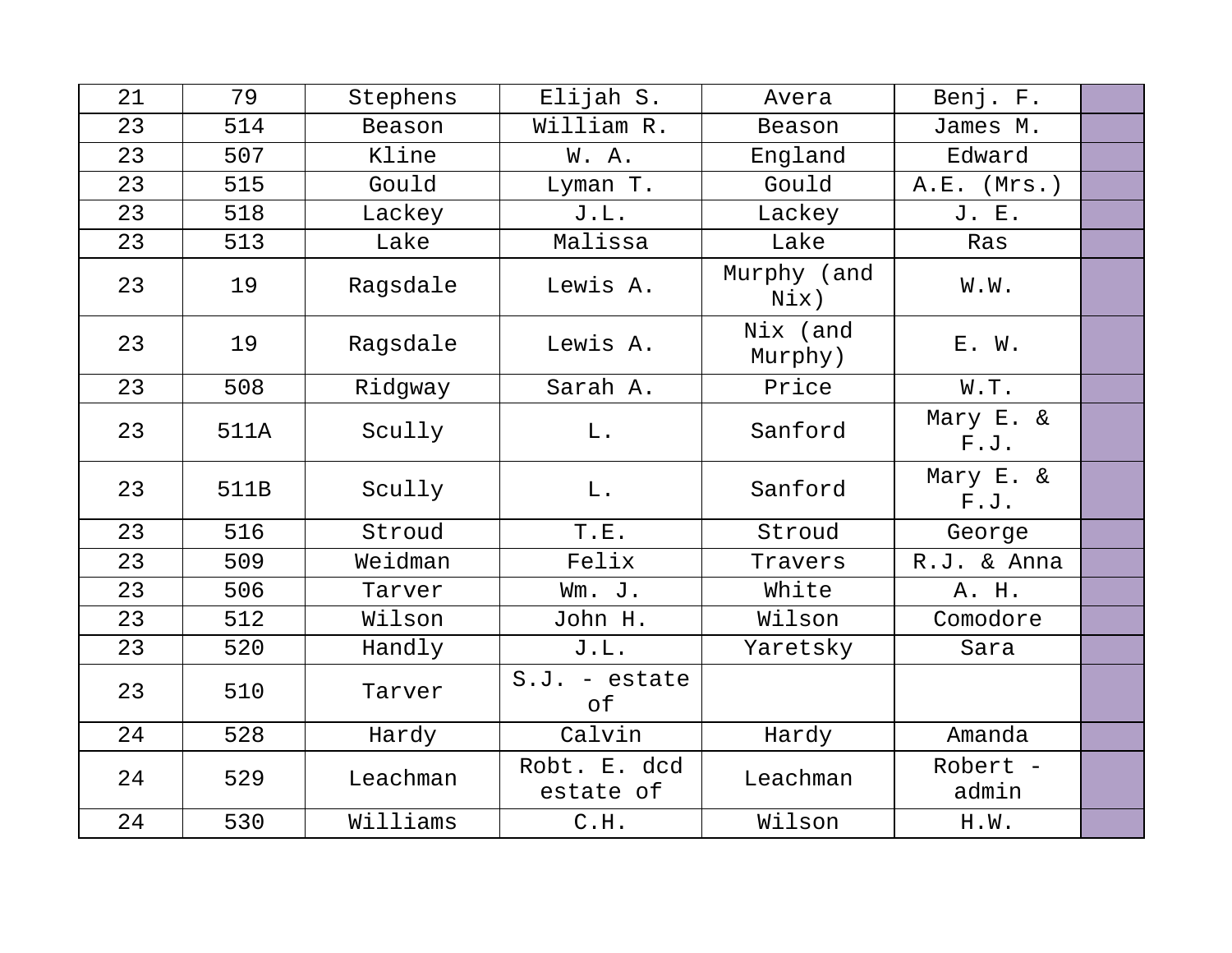| 21 | 79   | Stephens | Elijah S.                 | Avera               | Benj. F.          |  |
|----|------|----------|---------------------------|---------------------|-------------------|--|
| 23 | 514  | Beason   | William R.                | Beason              | James M.          |  |
| 23 | 507  | Kline    | W. A.                     | England             | Edward            |  |
| 23 | 515  | Gould    | Lyman T.                  | Gould               | $A.E.$ (Mrs.)     |  |
| 23 | 518  | Lackey   | J.L.                      | Lackey              | J. E.             |  |
| 23 | 513  | Lake     | Malissa                   | Lake                | Ras               |  |
| 23 | 19   | Ragsdale | Lewis A.                  | Murphy (and<br>Nix) | W.W.              |  |
| 23 | 19   | Ragsdale | Lewis A.                  | Nix (and<br>Murphy) | E. W.             |  |
| 23 | 508  | Ridgway  | Sarah A.                  | Price               | W.T.              |  |
| 23 | 511A | Scully   | $L$ .                     | Sanford             | Mary E. &<br>F.J. |  |
| 23 | 511B | Scully   | L.                        | Sanford             | Mary E. &<br>F.J. |  |
| 23 | 516  | Stroud   | T.E.                      | Stroud              | George            |  |
| 23 | 509  | Weidman  | Felix                     | Travers             | R.J. & Anna       |  |
| 23 | 506  | Tarver   | Wm. J.                    | White               | A. H.             |  |
| 23 | 512  | Wilson   | John H.                   | Wilson              | Comodore          |  |
| 23 | 520  | Handly   | J.L.                      | Yaretsky            | Sara              |  |
| 23 | 510  | Tarver   | $S.J. - estate$<br>of     |                     |                   |  |
| 24 | 528  | Hardy    | Calvin                    | Hardy               | Amanda            |  |
| 24 | 529  | Leachman | Robt. E. dcd<br>estate of | Leachman            | Robert -<br>admin |  |
| 24 | 530  | Williams | C.H.                      | Wilson              | H.W.              |  |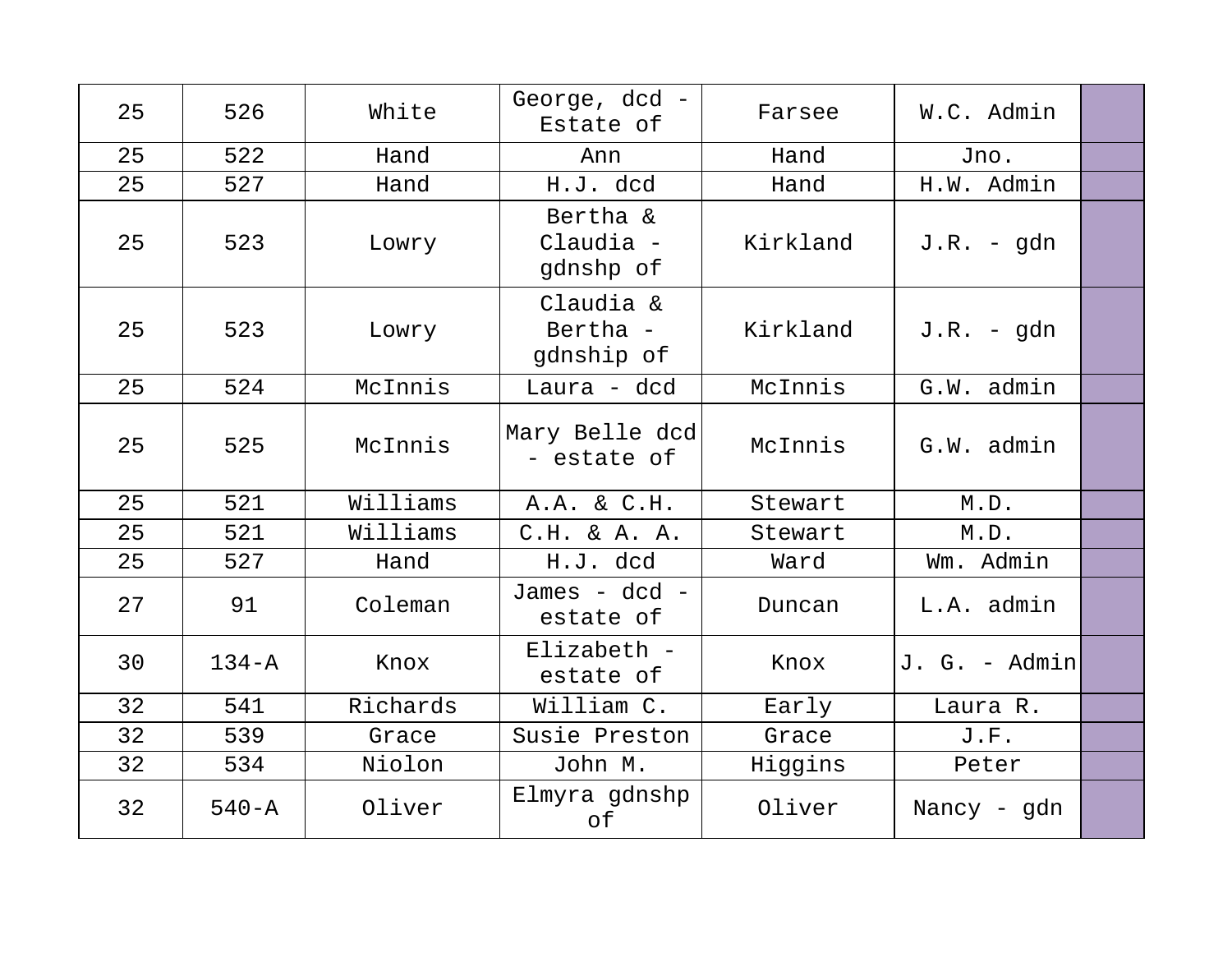| 25 | 526       | White    | George, dcd -<br>Estate of          | Farsee   | W.C. Admin    |  |
|----|-----------|----------|-------------------------------------|----------|---------------|--|
| 25 | 522       | Hand     | Ann                                 | Hand     | Jno.          |  |
| 25 | 527       | Hand     | H.J. dcd                            | Hand     | H.W. Admin    |  |
| 25 | 523       | Lowry    | Bertha &<br>Claudia -<br>gdnshp of  | Kirkland | $J.R. - qdn$  |  |
| 25 | 523       | Lowry    | Claudia &<br>Bertha -<br>gdnship of | Kirkland | $J.R. - qdn$  |  |
| 25 | 524       | McInnis  | Laura - dcd                         | McInnis  | G.W. admin    |  |
| 25 | 525       | McInnis  | Mary Belle dcd<br>- estate of       | McInnis  | G.W. admin    |  |
| 25 | 521       | Williams | A.A. & C.H.                         | Stewart  | M.D.          |  |
| 25 | 521       | Williams | $C.H. \& A. A.$                     | Stewart  | M.D.          |  |
| 25 | 527       | Hand     | H.J. dcd                            | Ward     | Wm. Admin     |  |
| 27 | 91        | Coleman  | James - dcd -<br>estate of          | Duncan   | L.A. admin    |  |
| 30 | $134 - A$ | Knox     | $Elizabeth -$<br>estate of          | Knox     | J. G. - Admin |  |
| 32 | 541       | Richards | William C.                          | Early    | Laura R.      |  |
| 32 | 539       | Grace    | Susie Preston                       | Grace    | J.F.          |  |
| 32 | 534       | Niolon   | John M.                             | Higgins  | Peter         |  |
| 32 | $540 - A$ | Oliver   | Elmyra gdnshp<br>оf                 | Oliver   | Nancy - gdn   |  |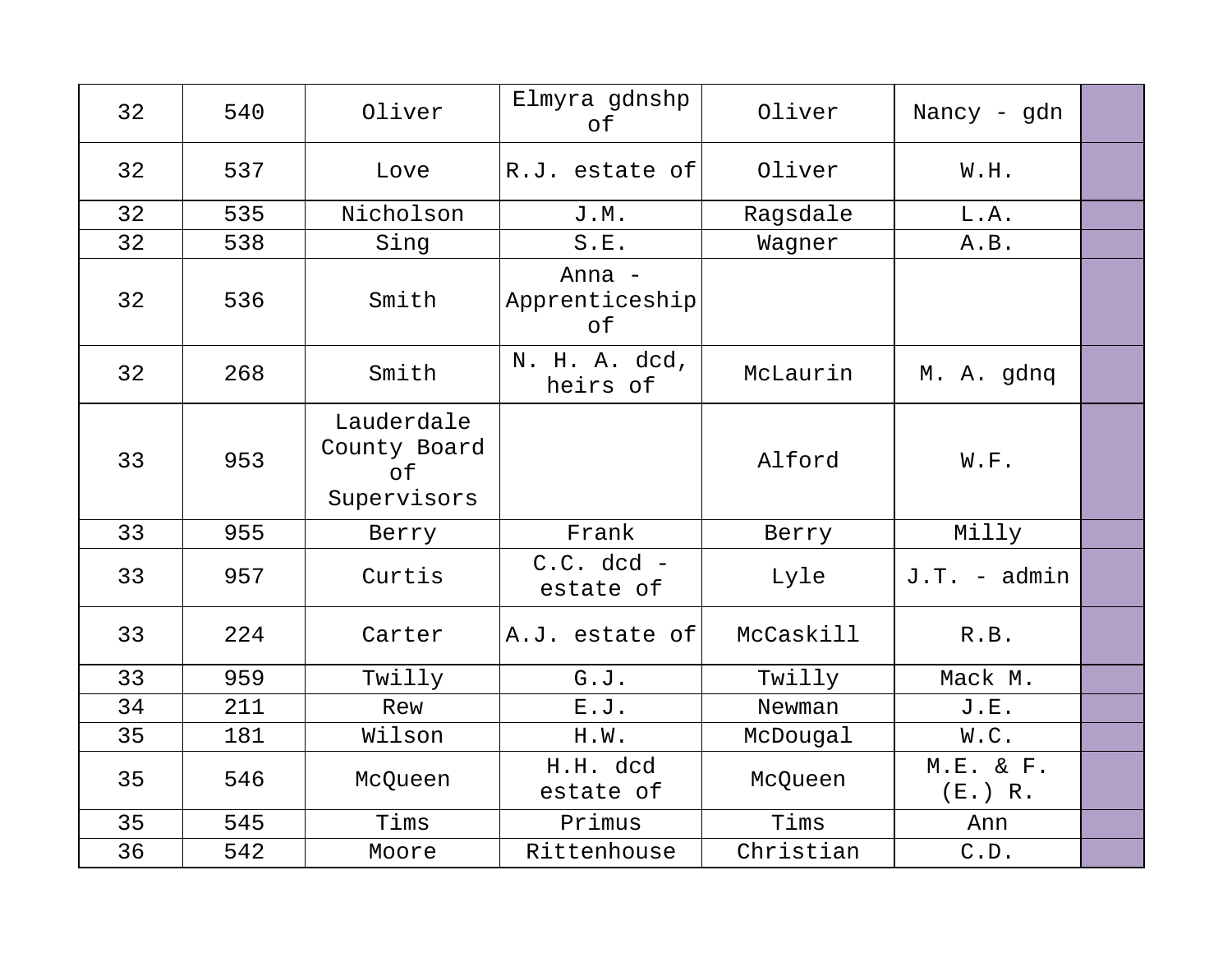| 32 | 540 | Oliver                                                 | Elmyra gdnshp<br>of            | Oliver    | Nancy - gdn          |  |
|----|-----|--------------------------------------------------------|--------------------------------|-----------|----------------------|--|
| 32 | 537 | Love                                                   | R.J. estate of                 | Oliver    | W.H.                 |  |
| 32 | 535 | Nicholson                                              | <b>J.M.</b>                    | Ragsdale  | L.A.                 |  |
| 32 | 538 | Sing                                                   | S.E.                           | Wagner    | A.B.                 |  |
| 32 | 536 | Smith                                                  | Anna -<br>Apprenticeship<br>of |           |                      |  |
| 32 | 268 | Smith                                                  | N. H. A. dcd,<br>heirs of      | McLaurin  | M. A. gdnq           |  |
| 33 | 953 | Lauderdale<br>County Board<br>$\circ$ f<br>Supervisors |                                | Alford    | W.F.                 |  |
| 33 | 955 | Berry                                                  | Frank                          | Berry     | Milly                |  |
| 33 | 957 | Curtis                                                 | $C.C.$ dcd -<br>estate of      | Lyle      | J.T. - admin         |  |
| 33 | 224 | Carter                                                 | A.J. estate of                 | McCaskill | R.B.                 |  |
| 33 | 959 | Twilly                                                 | G.J.                           | Twilly    | Mack M.              |  |
| 34 | 211 | Rew                                                    | E.J.                           | Newman    | J.E.                 |  |
| 35 | 181 | Wilson                                                 | H.W.                           | McDougal  | W.C.                 |  |
| 35 | 546 | McQueen                                                | H.H. dcd<br>estate of          | McQueen   | M.E. & F.<br>(E.) R. |  |
| 35 | 545 | Tims                                                   | Primus                         | Tims      | Ann                  |  |
| 36 | 542 | Moore                                                  | Rittenhouse                    | Christian | C.D.                 |  |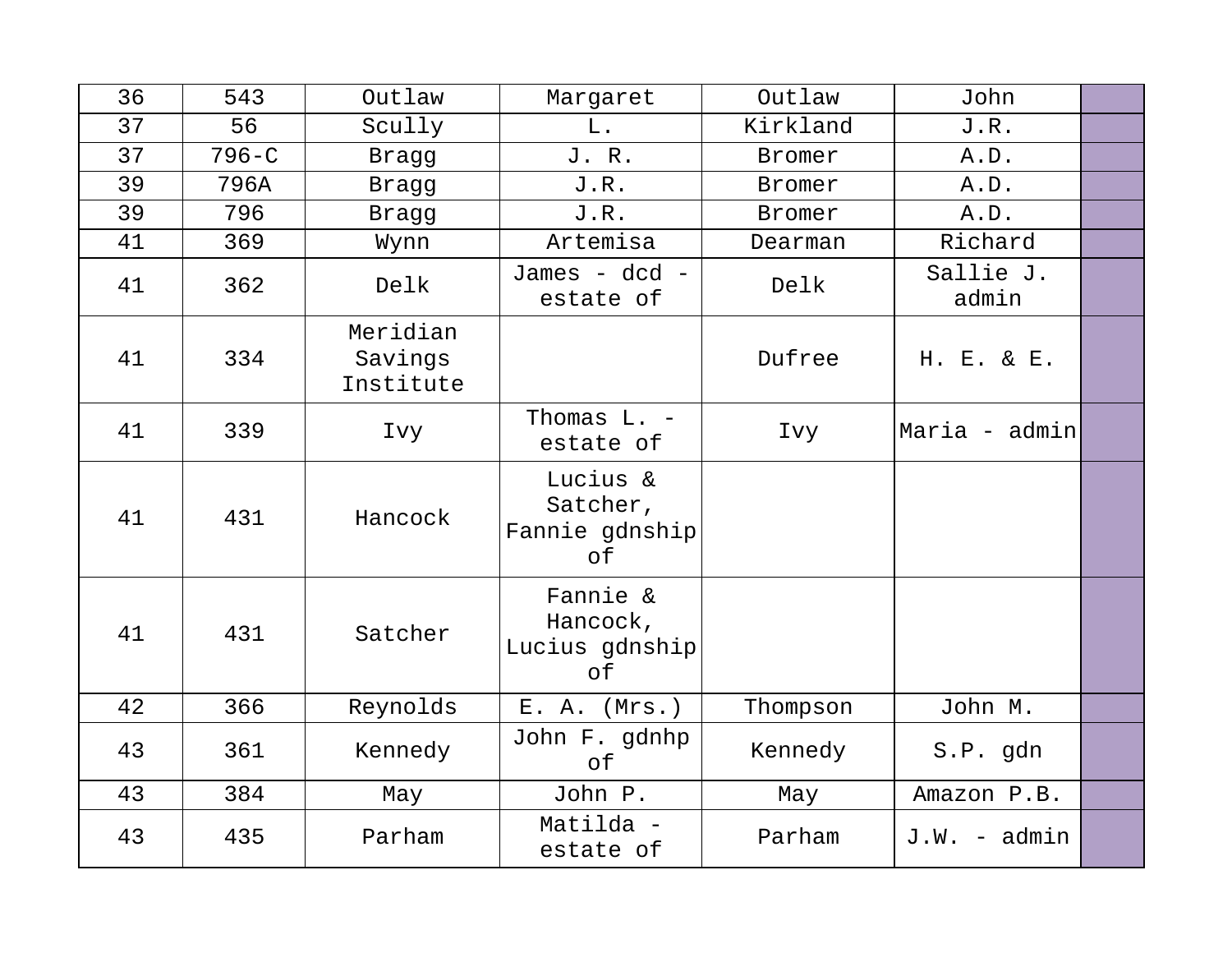| 36 | 543       | Outlaw                           | Margaret                                     | Outlaw        | John               |  |
|----|-----------|----------------------------------|----------------------------------------------|---------------|--------------------|--|
| 37 | 56        | Scully                           | L.                                           | Kirkland      | J.R.               |  |
| 37 | $796 - C$ | Bragg                            | J. R.                                        | Bromer        | A.D.               |  |
| 39 | 796A      | Bragg                            | J.R.                                         | Bromer        | A.D.               |  |
| 39 | 796       | Bragg                            | J.R.                                         | <b>Bromer</b> | A.D.               |  |
| 41 | 369       | Wynn                             | Artemisa                                     | Dearman       | Richard            |  |
| 41 | 362       | Delk                             | James - dcd -<br>estate of                   | Delk          | Sallie J.<br>admin |  |
| 41 | 334       | Meridian<br>Savings<br>Institute |                                              | Dufree        | H. E. & E.         |  |
| 41 | 339       | Ivy                              | Thomas L. -<br>estate of                     | Ivy           | Maria - admin      |  |
| 41 | 431       | Hancock                          | Lucius &<br>Satcher,<br>Fannie gdnship<br>оf |               |                    |  |
| 41 | 431       | Satcher                          | Fannie &<br>Hancock,<br>Lucius gdnship<br>of |               |                    |  |
| 42 | 366       | Reynolds                         | E. A. (Mrs.)                                 | Thompson      | John M.            |  |
| 43 | 361       | Kennedy                          | John F. gdnhp<br>of                          | Kennedy       | S.P. gdn           |  |
| 43 | 384       | May                              | John P.                                      | May           | Amazon P.B.        |  |
| 43 | 435       | Parham                           | Matilda -<br>estate of                       | Parham        | $J.W. - admin$     |  |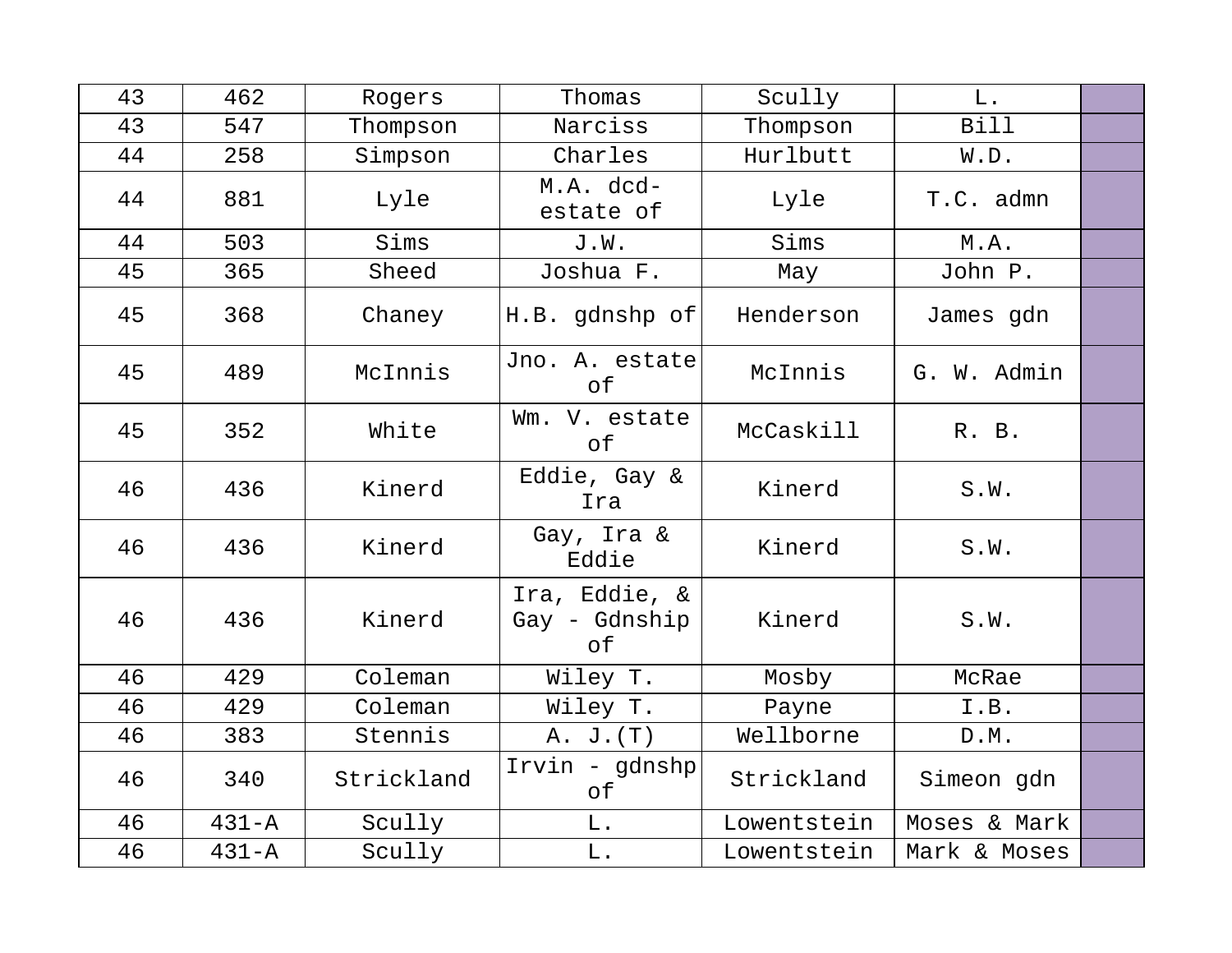| 43 | 462       | Rogers     | Thomas                               | Scully      | $L$ .        |  |
|----|-----------|------------|--------------------------------------|-------------|--------------|--|
| 43 | 547       | Thompson   | Narciss                              | Thompson    | <b>Bill</b>  |  |
| 44 | 258       | Simpson    | Charles                              | Hurlbutt    | W.D.         |  |
| 44 | 881       | Lyle       | M.A. dcd-<br>estate of               | Lyle        | T.C. admn    |  |
| 44 | 503       | Sims       | J.W.                                 | Sims        | M.A.         |  |
| 45 | 365       | Sheed      | Joshua F.                            | May         | John P.      |  |
| 45 | 368       | Chaney     | H.B. gdnshp of                       | Henderson   | James gdn    |  |
| 45 | 489       | McInnis    | Jno. A. estate<br>оf                 | McInnis     | G. W. Admin  |  |
| 45 | 352       | White      | Wm. V. estate<br>оf                  | McCaskill   | R. B.        |  |
| 46 | 436       | Kinerd     | Eddie, Gay &<br>Ira                  | Kinerd      | S.W.         |  |
| 46 | 436       | Kinerd     | Gay, Ira &<br>Eddie                  | Kinerd      | S.W.         |  |
| 46 | 436       | Kinerd     | Ira, Eddie, &<br>Gay - Gdnship<br>оf | Kinerd      | S.W.         |  |
| 46 | 429       | Coleman    | Wiley T.                             | Mosby       | McRae        |  |
| 46 | 429       | Coleman    | Wiley T.                             | Payne       | I.B.         |  |
| 46 | 383       | Stennis    | A. J. (T)                            | Wellborne   | D.M.         |  |
| 46 | 340       | Strickland | Irvin - gdnshp<br>оf                 | Strickland  | Simeon gdn   |  |
| 46 | $431 - A$ | Scully     | L.                                   | Lowentstein | Moses & Mark |  |
| 46 | $431 - A$ | Scully     | L.                                   | Lowentstein | Mark & Moses |  |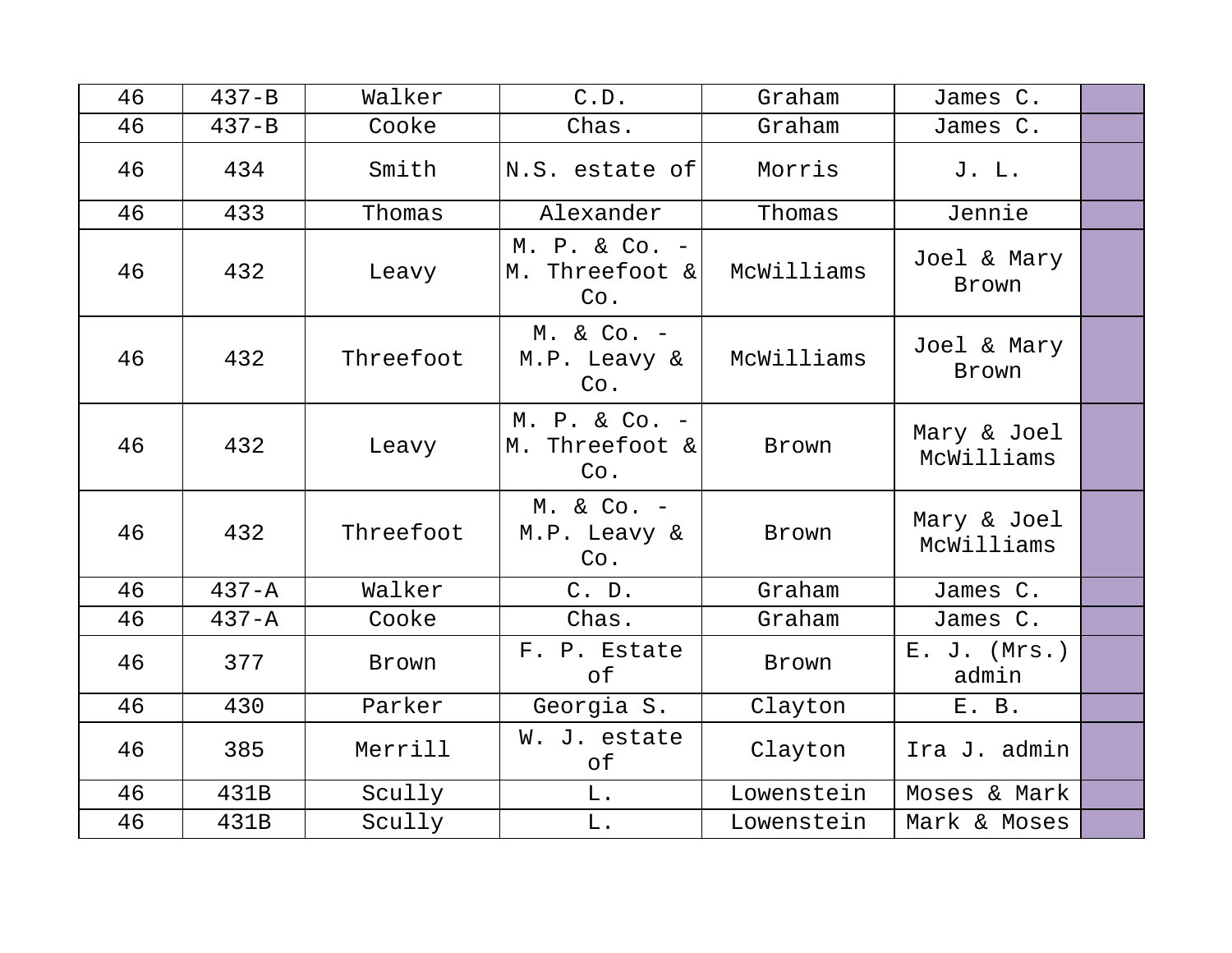| 46 | $437 - B$ | Walker    | C.D.                                   | Graham     | James C.                  |  |
|----|-----------|-----------|----------------------------------------|------------|---------------------------|--|
| 46 | $437 - B$ | Cooke     | Chas.                                  | Graham     | James C.                  |  |
| 46 | 434       | Smith     | N.S. estate of                         | Morris     | J. L.                     |  |
| 46 | 433       | Thomas    | Alexander                              | Thomas     | Jennie                    |  |
| 46 | 432       | Leavy     | M. P. & Co. -<br>M. Threefoot &<br>Co. | McWilliams | Joel & Mary<br>Brown      |  |
| 46 | 432       | Threefoot | $M. & Co. -$<br>M.P. Leavy &<br>Co.    | McWilliams | Joel & Mary<br>Brown      |  |
| 46 | 432       | Leavy     | M. P. & Co. -<br>M. Threefoot &<br>Co. | Brown      | Mary & Joel<br>McWilliams |  |
| 46 | 432       | Threefoot | $M. & Co. -$<br>M.P. Leavy &<br>Co.    | Brown      | Mary & Joel<br>McWilliams |  |
| 46 | $437 - A$ | Walker    | C. D.                                  | Graham     | James C.                  |  |
| 46 | $437 - A$ | Cooke     | Chas.                                  | Graham     | James C.                  |  |
| 46 | 377       | Brown     | F. P. Estate<br>оf                     | Brown      | $E. J.$ (Mrs.)<br>admin   |  |
| 46 | 430       | Parker    | Georgia S.                             | Clayton    | E. B.                     |  |
| 46 | 385       | Merrill   | W. J. estate<br>оf                     | Clayton    | Ira J. admin              |  |
| 46 | 431B      | Scully    | L.                                     | Lowenstein | Moses & Mark              |  |
| 46 | 431B      | Scully    | L.                                     | Lowenstein | Mark & Moses              |  |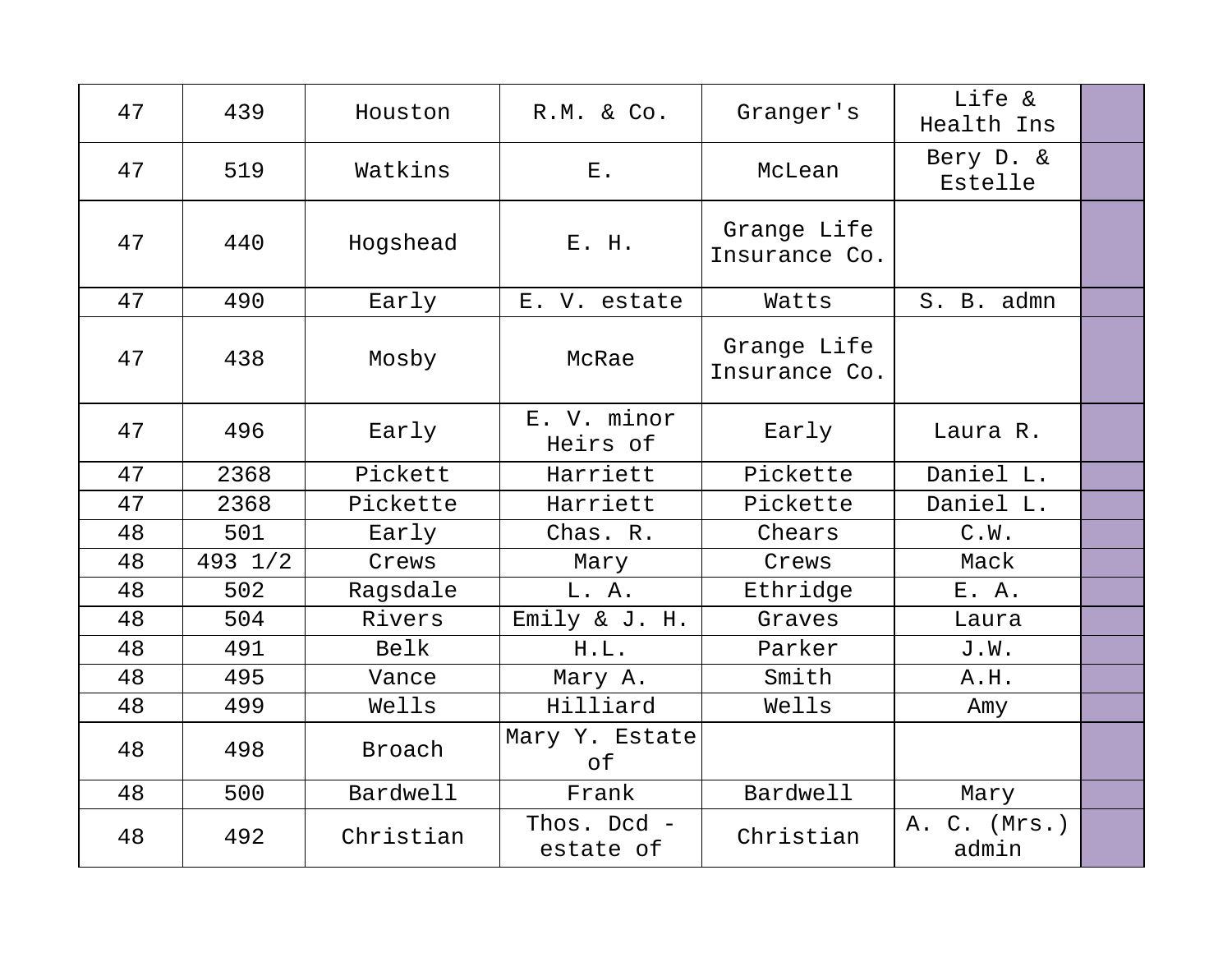| 47 | 439     | Houston   | R.M. & Co.                  | Granger's                    | Life &<br>Health Ins  |  |
|----|---------|-----------|-----------------------------|------------------------------|-----------------------|--|
| 47 | 519     | Watkins   | $\boldsymbol{\mathrm{E}}$ . | McLean                       | Bery D. &<br>Estelle  |  |
| 47 | 440     | Hogshead  | E. H.                       | Grange Life<br>Insurance Co. |                       |  |
| 47 | 490     | Early     | E. V. estate                | Watts                        | S. B. admn            |  |
| 47 | 438     | Mosby     | McRae                       | Grange Life<br>Insurance Co. |                       |  |
| 47 | 496     | Early     | E. V. minor<br>Heirs of     | Early                        | Laura R.              |  |
| 47 | 2368    | Pickett   | Harriett                    | Pickette                     | Daniel L.             |  |
| 47 | 2368    | Pickette  | Harriett                    | Pickette                     | Daniel L.             |  |
| 48 | 501     | Early     | Chas. R.                    | Chears                       | C.W.                  |  |
| 48 | 493 1/2 | Crews     | Mary                        | Crews                        | Mack                  |  |
| 48 | 502     | Ragsdale  | L. A.                       | Ethridge                     | E. A.                 |  |
| 48 | 504     | Rivers    | Emily & J. H.               | Graves                       | Laura                 |  |
| 48 | 491     | Belk      | H.L.                        | Parker                       | J.W.                  |  |
| 48 | 495     | Vance     | Mary A.                     | Smith                        | A.H.                  |  |
| 48 | 499     | Wells     | Hilliard                    | Wells                        | Amy                   |  |
| 48 | 498     | Broach    | Mary Y. Estate<br>of        |                              |                       |  |
| 48 | 500     | Bardwell  | Frank                       | Bardwell                     | Mary                  |  |
| 48 | 492     | Christian | Thos. Dcd -<br>estate of    | Christian                    | A. C. (Mrs.)<br>admin |  |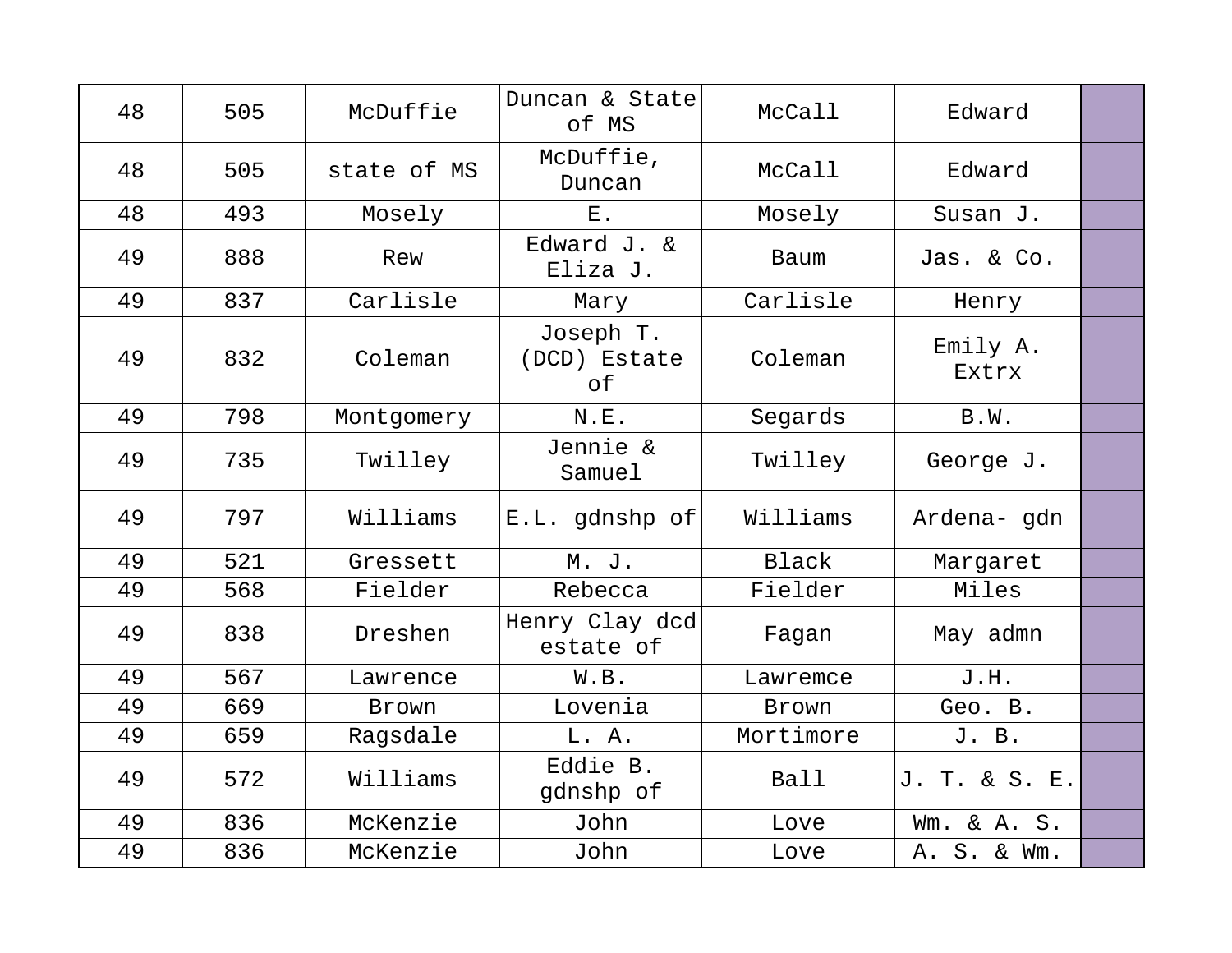| 48 | 505 | McDuffie     | Duncan & State<br>of MS         | McCall      | Edward            |  |
|----|-----|--------------|---------------------------------|-------------|-------------------|--|
| 48 | 505 | state of MS  | McDuffie,<br>Duncan             | McCall      | Edward            |  |
| 48 | 493 | Mosely       | ${\bf E}$ .                     | Mosely      | Susan J.          |  |
| 49 | 888 | Rew          | Edward J. &<br>Eliza J.         | Baum        | Jas. & Co.        |  |
| 49 | 837 | Carlisle     | Mary                            | Carlisle    | Henry             |  |
| 49 | 832 | Coleman      | Joseph T.<br>(DCD) Estate<br>оf | Coleman     | Emily A.<br>Extrx |  |
| 49 | 798 | Montgomery   | N.E.                            | Segards     | B.W.              |  |
| 49 | 735 | Twilley      | Jennie &<br>Samuel              | Twilley     | George J.         |  |
| 49 | 797 | Williams     | E.L. gdnshp of                  | Williams    | Ardena-gdn        |  |
| 49 | 521 | Gressett     | M. J.                           | Black       | Margaret          |  |
| 49 | 568 | Fielder      | Rebecca                         | Fielder     | Miles             |  |
| 49 | 838 | Dreshen      | Henry Clay dcd<br>estate of     | Fagan       | May admn          |  |
| 49 | 567 | Lawrence     | W.B.                            | Lawremce    | J.H.              |  |
| 49 | 669 | <b>Brown</b> | Lovenia                         | Brown       | Geo. B.           |  |
| 49 | 659 | Ragsdale     | L. A.                           | Mortimore   | J. B.             |  |
| 49 | 572 | Williams     | Eddie B.<br>gdnshp of           | <b>Ball</b> | J. T. & S. E.     |  |
| 49 | 836 | McKenzie     | John                            | Love        | Wm. & A. S.       |  |
| 49 | 836 | McKenzie     | John                            | Love        | A. S. & Wm.       |  |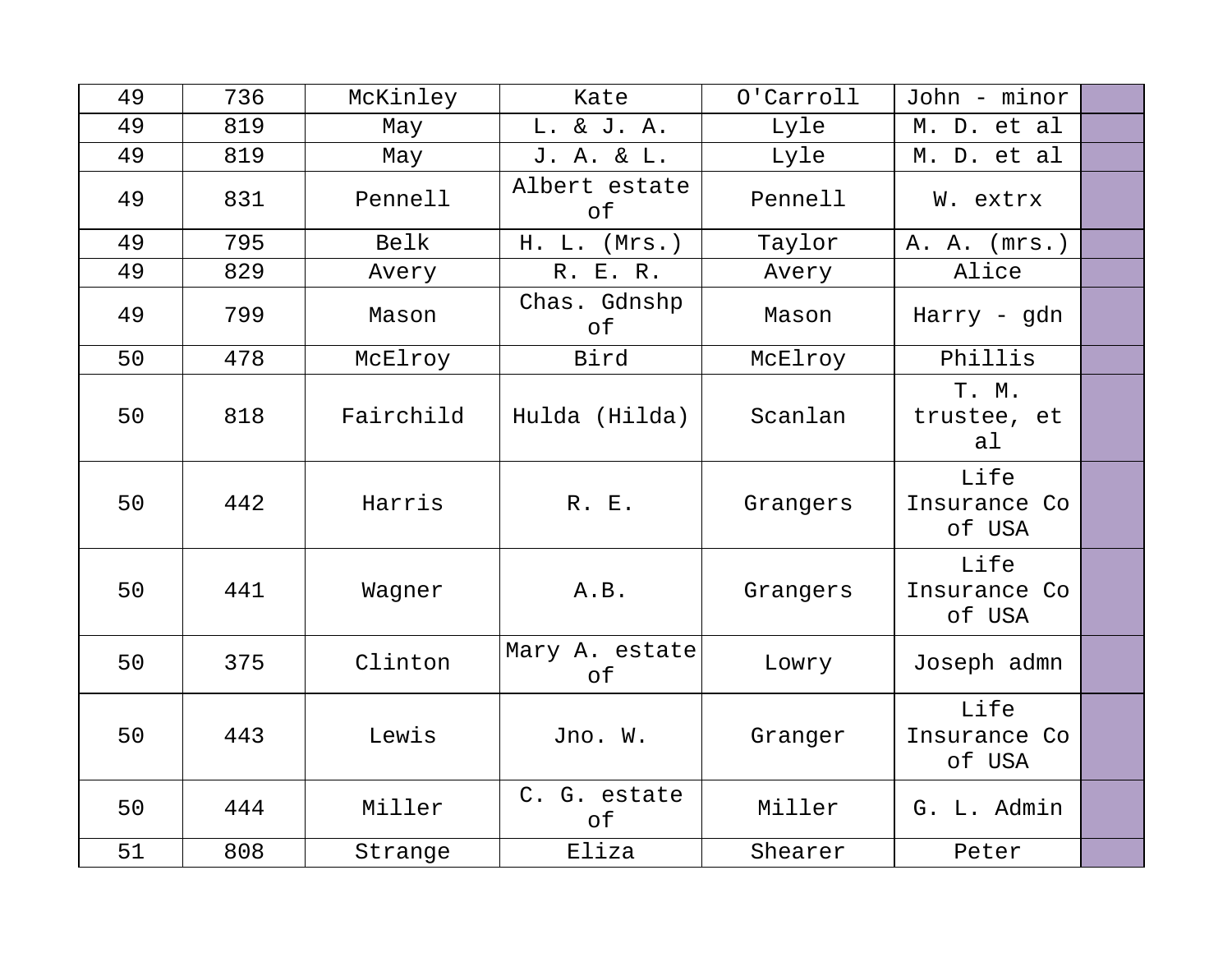| 49 | 736 | McKinley  | Kate                      | 0'Carroll | John - minor                   |  |
|----|-----|-----------|---------------------------|-----------|--------------------------------|--|
| 49 | 819 | May       | L. & J. A.                | Lyle      | M. D. et al                    |  |
| 49 | 819 | May       | J. A. & L.                | Lyle      | M. D. et al                    |  |
| 49 | 831 | Pennell   | Albert estate<br>оf       | Pennell   | W. extrx                       |  |
| 49 | 795 | Belk      | H. L. (Mrs.)              | Taylor    | A. A. (mrs.)                   |  |
| 49 | 829 | Avery     | R. E. R.                  | Avery     | Alice                          |  |
| 49 | 799 | Mason     | Chas. Gdnshp<br>of        | Mason     | Harry - gdn                    |  |
| 50 | 478 | McElroy   | Bird                      | McElroy   | Phillis                        |  |
| 50 | 818 | Fairchild | Hulda (Hilda)             | Scanlan   | T. M.<br>trustee, et<br>al     |  |
| 50 | 442 | Harris    | R. E.                     | Grangers  | Life<br>Insurance Co<br>of USA |  |
| 50 | 441 | Wagner    | A.B.                      | Grangers  | Life<br>Insurance Co<br>of USA |  |
| 50 | 375 | Clinton   | Mary A. estate<br>оf      | Lowry     | Joseph admn                    |  |
| 50 | 443 | Lewis     | Jno. W.                   | Granger   | Life<br>Insurance Co<br>of USA |  |
| 50 | 444 | Miller    | C. G. estate<br>$\circ$ f | Miller    | G. L. Admin                    |  |
| 51 | 808 | Strange   | Eliza                     | Shearer   | Peter                          |  |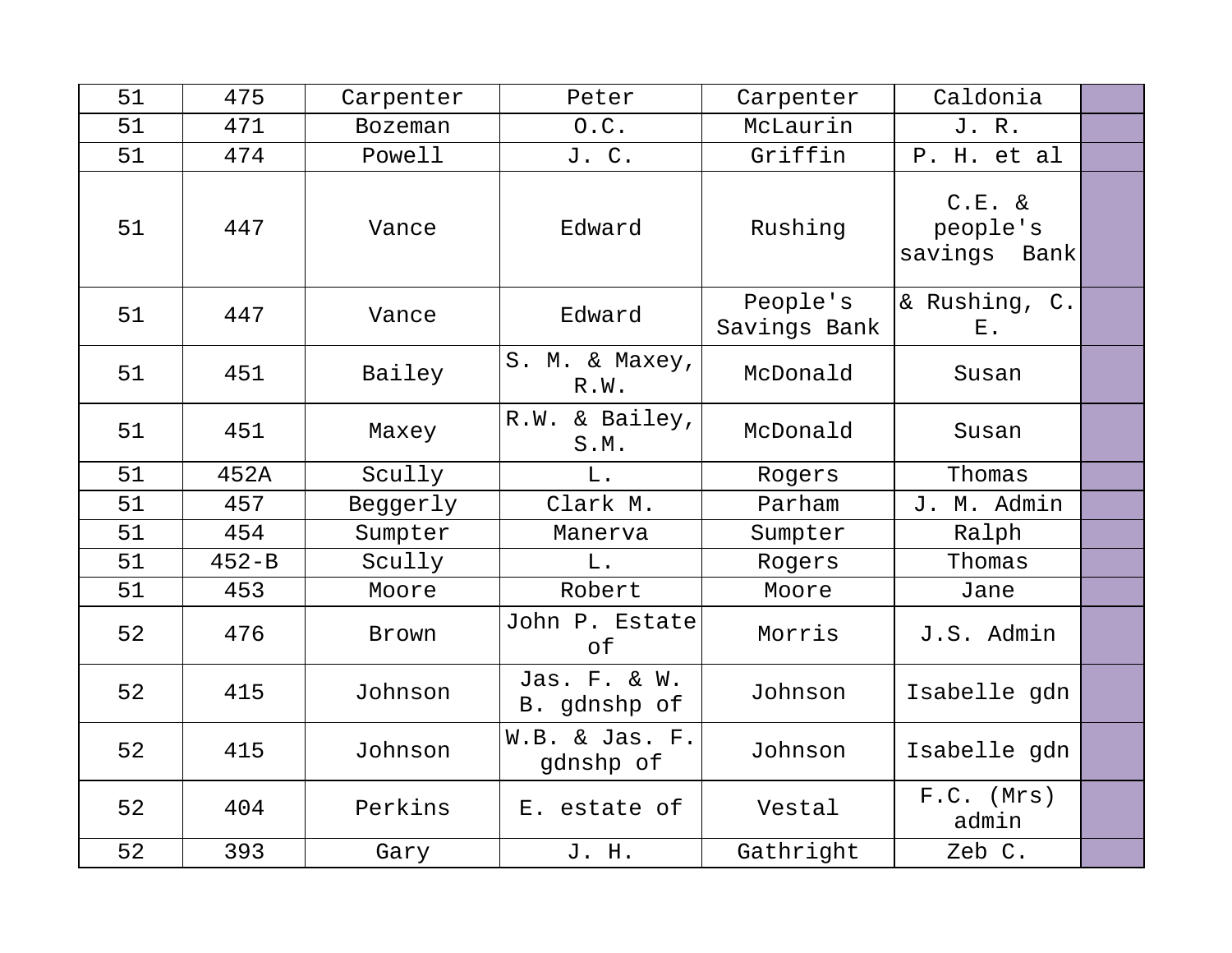| 51 | 475       | Carpenter      | Peter                        | Carpenter                | Caldonia                                 |  |
|----|-----------|----------------|------------------------------|--------------------------|------------------------------------------|--|
| 51 | 471       | <b>Bozeman</b> | 0.C.                         | McLaurin                 | J. R.                                    |  |
| 51 | 474       | Powell         | J. C.                        | Griffin                  | P. H. et al                              |  |
| 51 | 447       | Vance          | Edward                       | Rushing                  | $C.E. \&$<br>people's<br>savings<br>Bank |  |
| 51 | 447       | Vance          | Edward                       | People's<br>Savings Bank | & Rushing, C.<br>$E$ .                   |  |
| 51 | 451       | Bailey         | S. M. & Maxey,<br>R.W.       | McDonald                 | Susan                                    |  |
| 51 | 451       | Maxey          | R.W. & Bailey,<br>S.M.       | McDonald                 | Susan                                    |  |
| 51 | 452A      | Scully         | L.                           | Rogers                   | Thomas                                   |  |
| 51 | 457       | Beggerly       | Clark M.                     | Parham                   | J. M. Admin                              |  |
| 51 | 454       | Sumpter        | Manerva                      | Sumpter                  | Ralph                                    |  |
| 51 | $452 - B$ | Scully         | $L$ .                        | Rogers                   | Thomas                                   |  |
| 51 | 453       | Moore          | Robert                       | Moore                    | Jane                                     |  |
| 52 | 476       | Brown          | John P. Estate<br>оf         | Morris                   | J.S. Admin                               |  |
| 52 | 415       | Johnson        | Jas. F. & W.<br>B. gdnshp of | Johnson                  | Isabelle gdn                             |  |
| 52 | 415       | Johnson        | W.B. & Jas. F.<br>gdnshp of  | Johnson                  | Isabelle gdn                             |  |
| 52 | 404       | Perkins        | E. estate of                 | Vestal                   | $F.C.$ (Mrs)<br>admin                    |  |
| 52 | 393       | Gary           | J. H.                        | Gathright                | Zeb C.                                   |  |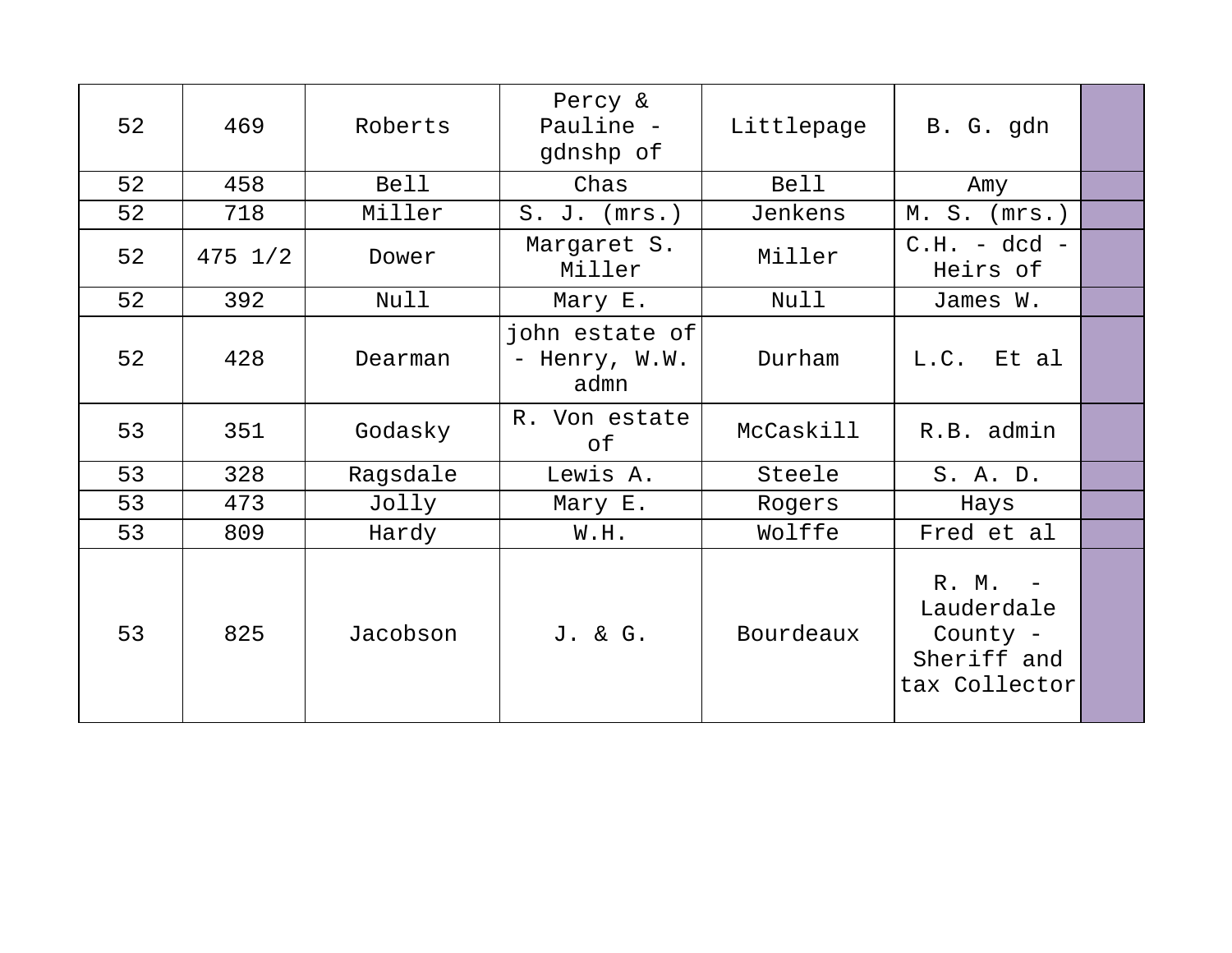| 52 | 469         | Roberts     | Percy &<br>Pauline -<br>gdnshp of       | Littlepage  | B. G. gdn                                                         |  |
|----|-------------|-------------|-----------------------------------------|-------------|-------------------------------------------------------------------|--|
| 52 | 458         | <b>Bell</b> | Chas                                    | <b>Bell</b> | Amy                                                               |  |
| 52 | 718         | Miller      | $S. J.$ ( $mrs.$ )                      | Jenkens     | $M. S.$ ( $mrs.$ )                                                |  |
| 52 | $475 \t1/2$ | Dower       | Margaret S.<br>Miller                   | Miller      | $C.H. - dcd -$<br>Heirs of                                        |  |
| 52 | 392         | Null        | Mary E.                                 | Null        | James W.                                                          |  |
| 52 | 428         | Dearman     | john estate of<br>- Henry, W.W.<br>admn | Durham      | L.C. Et al                                                        |  |
| 53 | 351         | Godasky     | R. Von estate<br>оf                     | McCaskill   | R.B. admin                                                        |  |
| 53 | 328         | Ragsdale    | Lewis A.                                | Steele      | S. A. D.                                                          |  |
| 53 | 473         | Jolly       | Mary E.                                 | Rogers      | Hays                                                              |  |
| 53 | 809         | Hardy       | W.H.                                    | Wolffe      | Fred et al                                                        |  |
| 53 | 825         | Jacobson    | J. & G.                                 | Bourdeaux   | R. M. -<br>Lauderdale<br>County -<br>Sheriff and<br>tax Collector |  |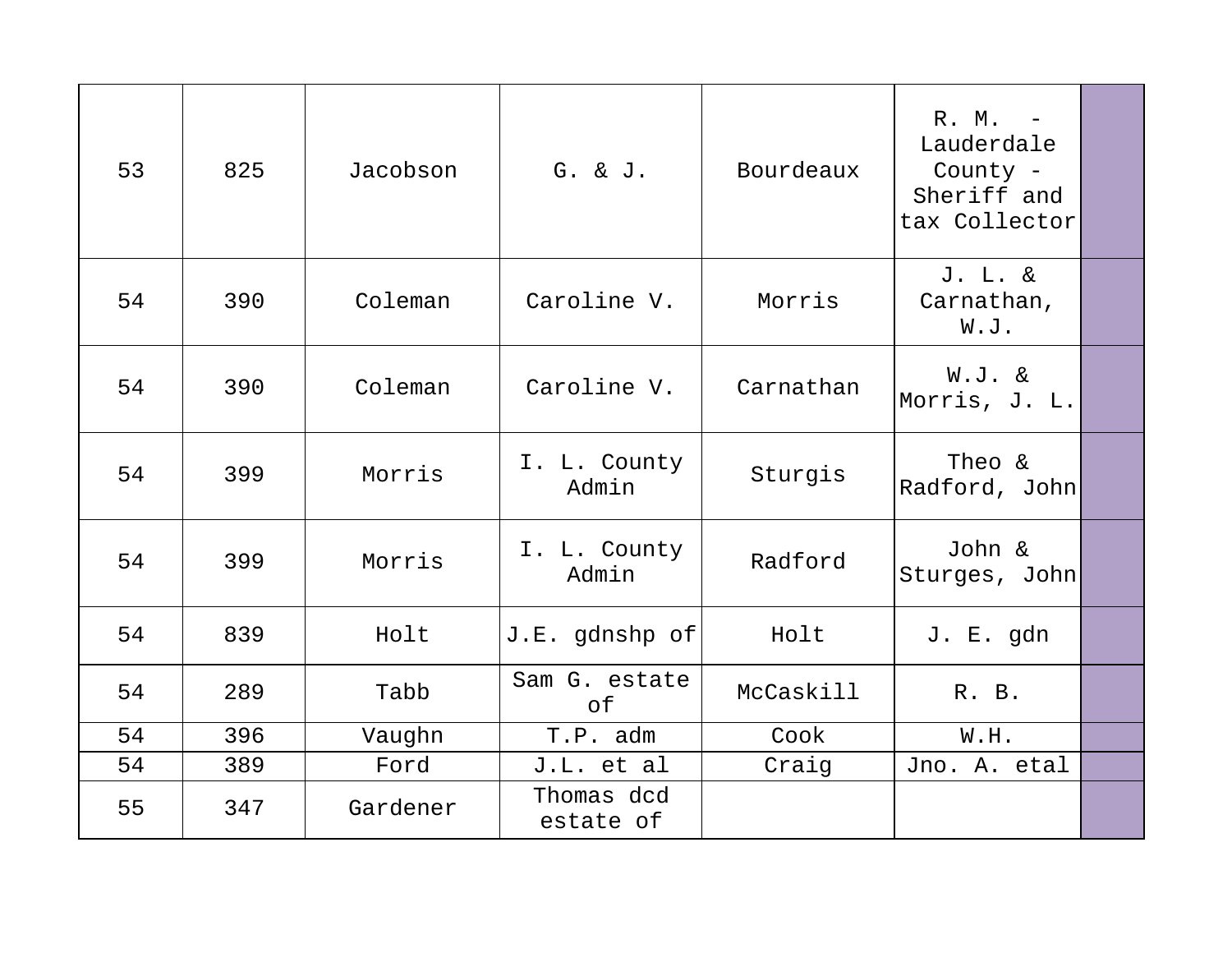| 53 | 825 | Jacobson | G. & J.                 | Bourdeaux | R. M. -<br>Lauderdale<br>County -<br>Sheriff and<br>tax Collector |  |
|----|-----|----------|-------------------------|-----------|-------------------------------------------------------------------|--|
| 54 | 390 | Coleman  | Caroline V.             | Morris    | J. L. &<br>Carnathan,<br>W.J.                                     |  |
| 54 | 390 | Coleman  | Caroline V.             | Carnathan | W.J. &<br>Morris, J. L.                                           |  |
| 54 | 399 | Morris   | I. L. County<br>Admin   | Sturgis   | Theo &<br>Radford, John                                           |  |
| 54 | 399 | Morris   | I. L. County<br>Admin   | Radford   | John &<br>Sturges, John                                           |  |
| 54 | 839 | Holt     | J.E. gdnshp of          | Holt      | J. E. gdn                                                         |  |
| 54 | 289 | Tabb     | Sam G. estate<br>of     | McCaskill | R. B.                                                             |  |
| 54 | 396 | Vaughn   | T.P. adm                | Cook      | W.H.                                                              |  |
| 54 | 389 | Ford     | J.L. et al              | Craig     | Jno. A. etal                                                      |  |
| 55 | 347 | Gardener | Thomas dcd<br>estate of |           |                                                                   |  |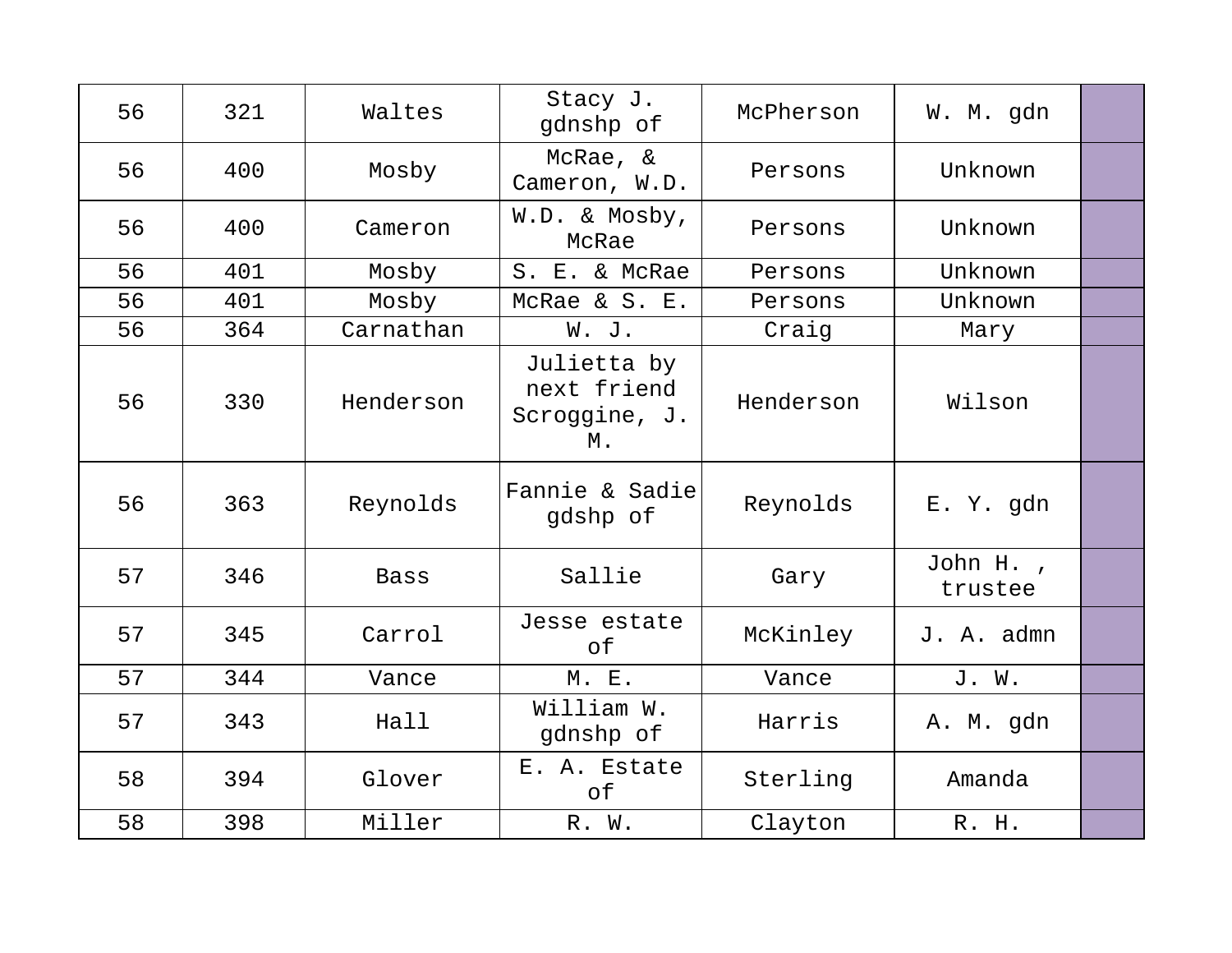| 56 | 321 | Waltes      | Stacy J.<br>qdnshp of                             | McPherson | W. M. gdn  |  |
|----|-----|-------------|---------------------------------------------------|-----------|------------|--|
| 56 | 400 | Mosby       | McRae, &<br>Cameron, W.D.                         | Persons   | Unknown    |  |
| 56 | 400 | Cameron     | W.D. & Mosby,<br>McRae                            | Persons   | Unknown    |  |
| 56 | 401 | Mosby       | S. E. & McRae                                     | Persons   | Unknown    |  |
| 56 | 401 | Mosby       | McRae & S. E.                                     | Persons   | Unknown    |  |
| 56 | 364 | Carnathan   | W. J.                                             | Craig     | Mary       |  |
| 56 | 330 | Henderson   | Julietta by<br>next friend<br>Scroggine, J.<br>М. | Henderson | Wilson     |  |
| 56 | 363 | Reynolds    | Fannie & Sadie<br>qdshp of                        | Reynolds  | E. Y. gdn  |  |
| 57 | 346 | <b>Bass</b> | Sallie                                            | Gary      | John H.,   |  |
|    |     |             |                                                   |           | trustee    |  |
| 57 | 345 | Carrol      | Jesse estate<br>of                                | McKinley  | J. A. admn |  |
| 57 | 344 | Vance       | M. E.                                             | Vance     | J. W.      |  |
| 57 | 343 | Hall        | William W.<br>gdnshp of                           | Harris    | A. M. gdn  |  |
| 58 | 394 | Glover      | E. A. Estate<br>of                                | Sterling  | Amanda     |  |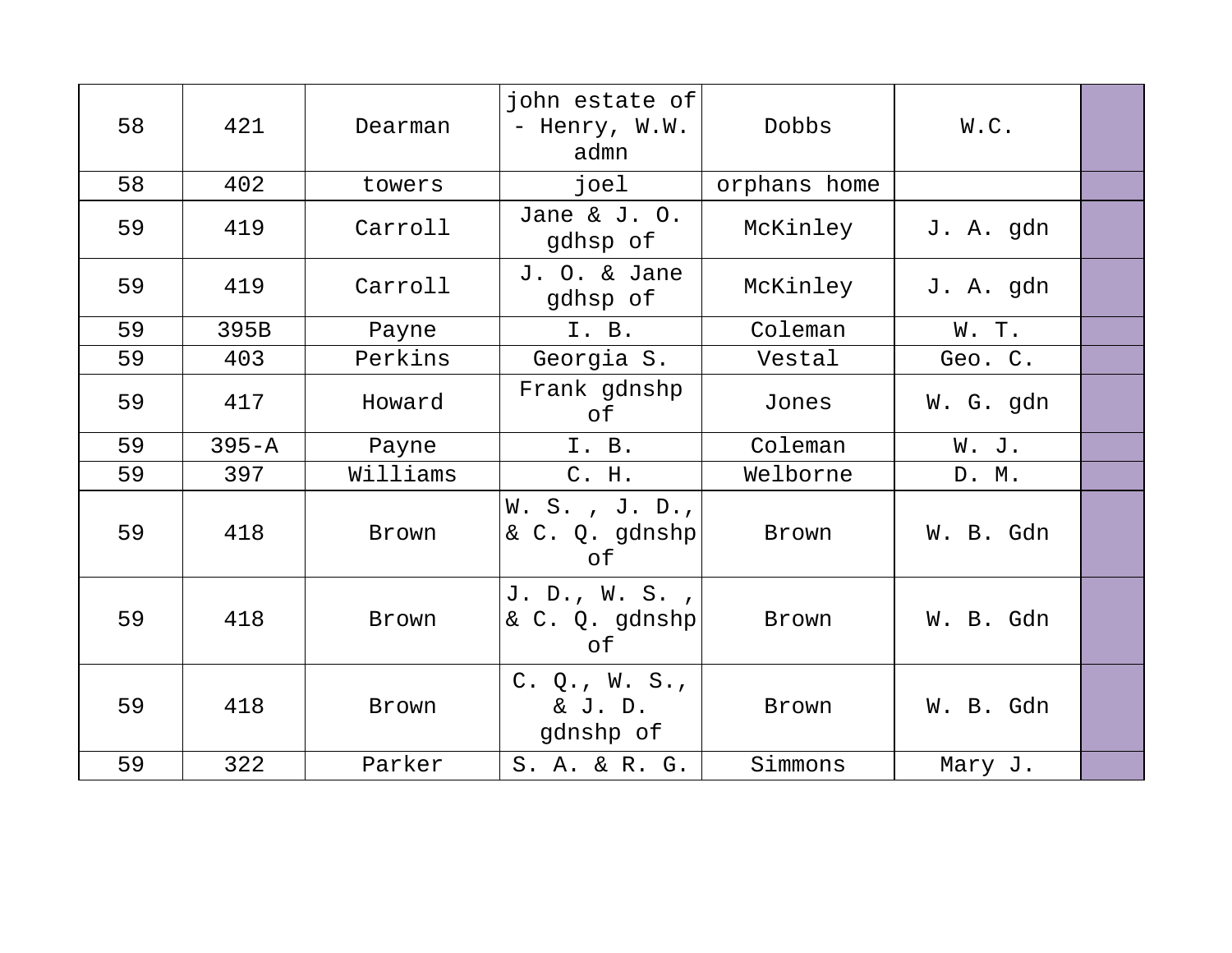| 58 | 421       | Dearman  | john estate of<br>- Henry, W.W.<br>admn   | Dobbs        | W.C.      |  |
|----|-----------|----------|-------------------------------------------|--------------|-----------|--|
| 58 | 402       | towers   | joel                                      | orphans home |           |  |
| 59 | 419       | Carroll  | Jane & J. $0.$<br>gdhsp of                | McKinley     | J. A. gdn |  |
| 59 | 419       | Carroll  | J. O. & Jane<br>gdhsp of                  | McKinley     | J. A. gdn |  |
| 59 | 395B      | Payne    | I. B.                                     | Coleman      | W. T.     |  |
| 59 | 403       | Perkins  | Georgia S.                                | Vestal       | Geo. C.   |  |
| 59 | 417       | Howard   | Frank gdnshp<br>оf                        | Jones        | W. G. gdn |  |
| 59 | $395 - A$ | Payne    | I. B.                                     | Coleman      | W. J.     |  |
| 59 | 397       | Williams | C. H.                                     | Welborne     | D. M.     |  |
|    |           |          |                                           |              |           |  |
| 59 | 418       | Brown    | W. S., J. D.,<br>& C. Q. gdnshp<br>оf     | Brown        | W. B. Gdn |  |
| 59 | 418       | Brown    | J. D., W. S.,<br>& C. Q. gdnshp<br>оf     | Brown        | W. B. Gdn |  |
| 59 | 418       | Brown    | $C. Q.$ , $W. S.$<br>& J. D.<br>gdnshp of | Brown        | W. B. Gdn |  |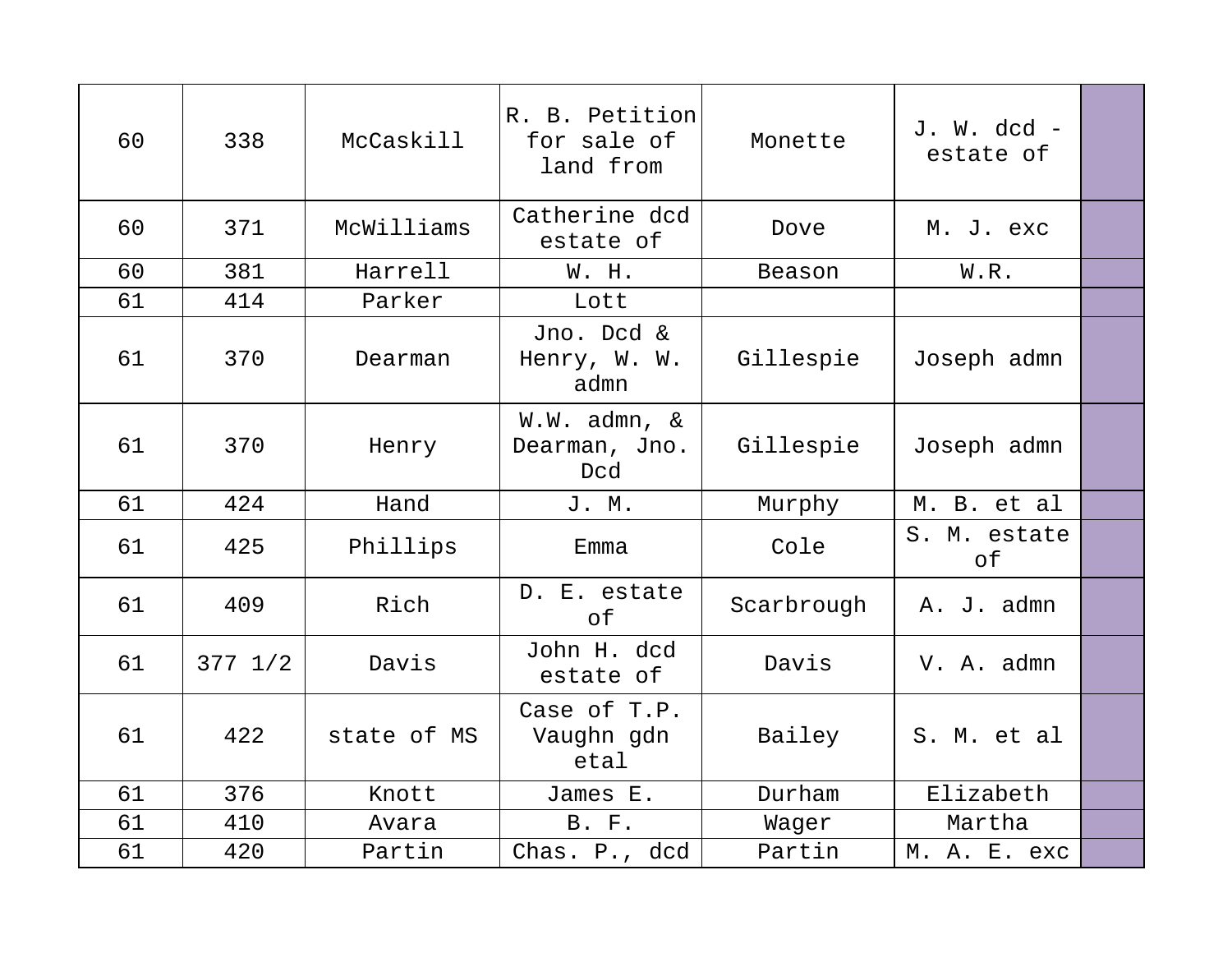| 60 | 338               | McCaskill   | R. B. Petition<br>for sale of<br>land from | Monette    | $J. W. dcd -$<br>estate of |  |
|----|-------------------|-------------|--------------------------------------------|------------|----------------------------|--|
| 60 | 371               | McWilliams  | Catherine dcd<br>estate of                 | Dove       | M. J. exc                  |  |
| 60 | 381               | Harrell     | W. H.                                      | Beason     | W.R.                       |  |
| 61 | 414               | Parker      | Lott                                       |            |                            |  |
| 61 | 370               | Dearman     | Jno. Dcd &<br>Henry, W. W.<br>admn         | Gillespie  | Joseph admn                |  |
| 61 | 370               | Henry       | $W.W.$ admn, &<br>Dearman, Jno.<br>Dcd     | Gillespie  | Joseph admn                |  |
| 61 | 424               | Hand        | J. M.                                      | Murphy     | M. B. et al                |  |
| 61 | 425               | Phillips    | Emma                                       | Cole       | S. M. estate<br>of         |  |
| 61 | 409               | Rich        | D. E. estate<br>оf                         | Scarbrough | A. J. admn                 |  |
| 61 | $377 \frac{1}{2}$ | Davis       | John H. dcd<br>estate of                   | Davis      | V. A. admn                 |  |
| 61 | 422               | state of MS | Case of T.P.<br>Vaughn gdn<br>etal         | Bailey     | S. M. et al                |  |
| 61 | 376               | Knott       | James E.                                   | Durham     | Elizabeth                  |  |
| 61 | 410               | Avara       | B. F.                                      | Wager      | Martha                     |  |
| 61 | 420               | Partin      | Chas. P., dcd                              | Partin     | M. A. E. exc               |  |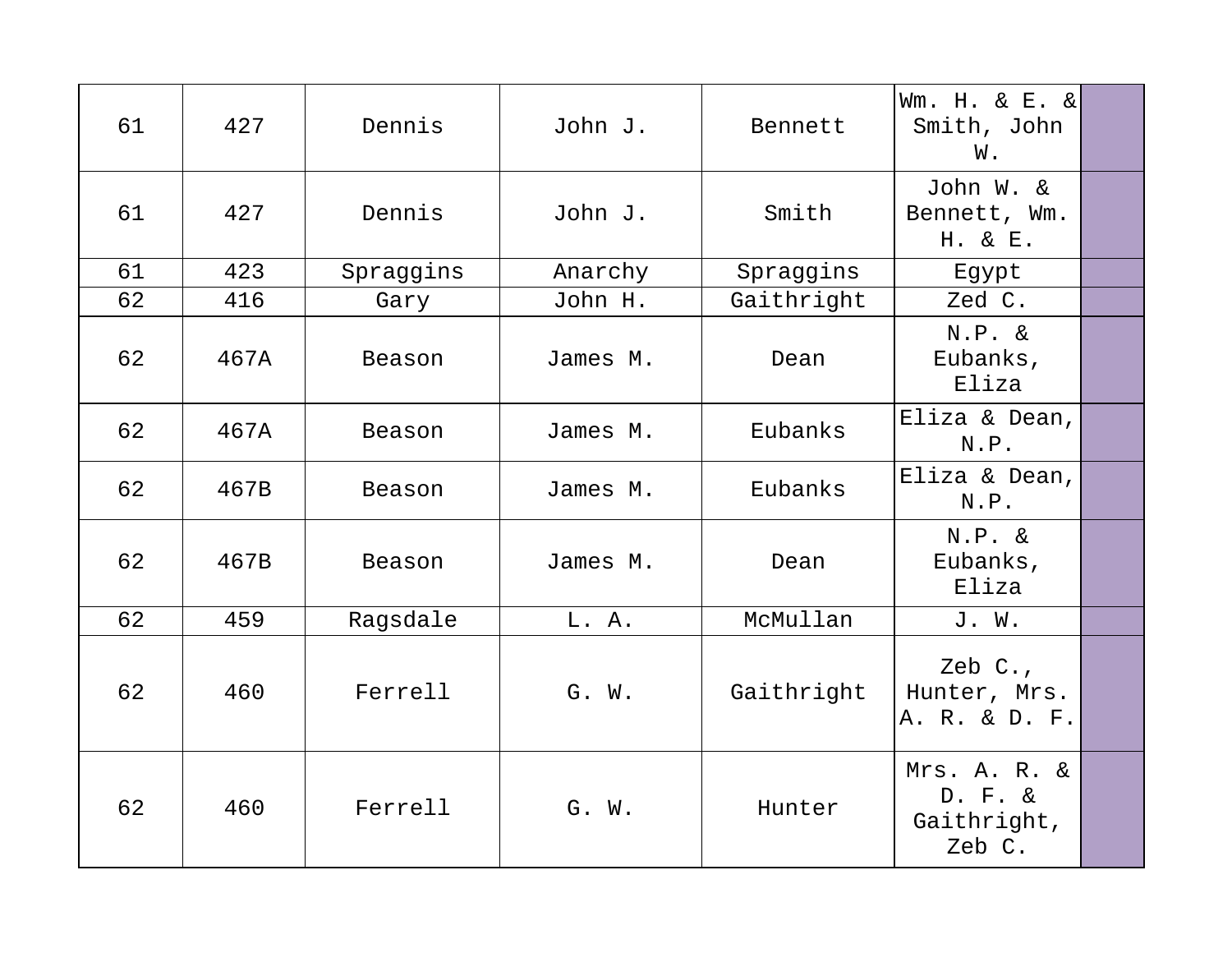| 61 | 427  | Dennis    | John J.  | Bennett    | Wm. H. & E. &<br>Smith, John<br>W.                  |  |
|----|------|-----------|----------|------------|-----------------------------------------------------|--|
| 61 | 427  | Dennis    | John J.  | Smith      | John W. &<br>Bennett, Wm.<br>H. & E.                |  |
| 61 | 423  | Spraggins | Anarchy  | Spraggins  | Egypt                                               |  |
| 62 | 416  | Gary      | John H.  | Gaithright | Zed C.                                              |  |
| 62 | 467A | Beason    | James M. | Dean       | $N.P. \&$<br>Eubanks,<br>Eliza                      |  |
| 62 | 467A | Beason    | James M. | Eubanks    | Eliza & Dean,<br>N.P.                               |  |
| 62 | 467B | Beason    | James M. | Eubanks    | Eliza & Dean,<br>N.P.                               |  |
| 62 | 467B | Beason    | James M. | Dean       | $N.P. \&$<br>Eubanks,<br>Eliza                      |  |
| 62 | 459  | Ragsdale  | L. A.    | McMullan   | J. W.                                               |  |
| 62 | 460  | Ferrell   | G. W.    | Gaithright | Zeb C.,<br>Hunter, Mrs.<br>A. R. & D. F.            |  |
| 62 | 460  | Ferrell   | G. W.    | Hunter     | Mrs. A. R. &<br>$D. F. \&$<br>Gaithright,<br>Zeb C. |  |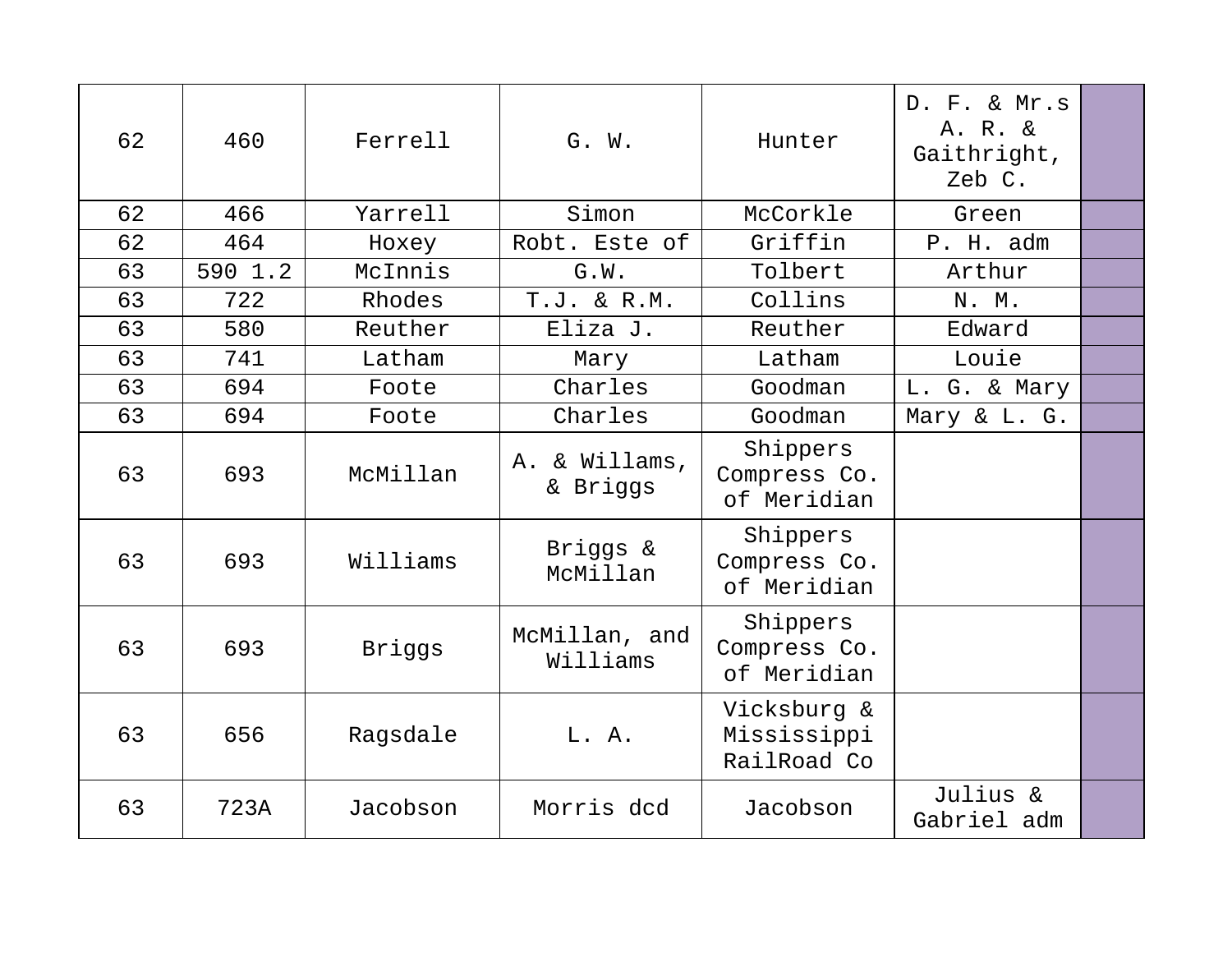| 62 | 460     | Ferrell  | G. W.                     | Hunter                                    | D. F. & Mr.s<br>A. R. &<br>Gaithright,<br>Zeb C. |  |
|----|---------|----------|---------------------------|-------------------------------------------|--------------------------------------------------|--|
| 62 | 466     | Yarrell  | Simon                     | McCorkle                                  | Green                                            |  |
| 62 | 464     | Hoxey    | Robt. Este of             | Griffin                                   | P. H. adm                                        |  |
| 63 | 590 1.2 | McInnis  | G.W.                      | Tolbert                                   | Arthur                                           |  |
| 63 | 722     | Rhodes   | $T.J. \& R.M.$            | Collins                                   | N. M.                                            |  |
| 63 | 580     | Reuther  | Eliza J.                  | Reuther                                   | Edward                                           |  |
| 63 | 741     | Latham   | Mary                      | Latham                                    | Louie                                            |  |
| 63 | 694     | Foote    | Charles                   | Goodman                                   | L. G. & Mary                                     |  |
| 63 | 694     | Foote    | Charles                   | Goodman                                   | Mary & L. G.                                     |  |
| 63 | 693     | McMillan | A. & Willams,<br>& Briggs | Shippers<br>Compress Co.<br>of Meridian   |                                                  |  |
| 63 | 693     | Williams | Briggs &<br>McMillan      | Shippers<br>Compress Co.<br>of Meridian   |                                                  |  |
| 63 | 693     | Briggs   | McMillan, and<br>Williams | Shippers<br>Compress Co.<br>of Meridian   |                                                  |  |
| 63 | 656     | Ragsdale | L. A.                     | Vicksburg &<br>Mississippi<br>RailRoad Co |                                                  |  |
| 63 | 723A    | Jacobson | Morris dcd                | Jacobson                                  | Julius &<br>Gabriel adm                          |  |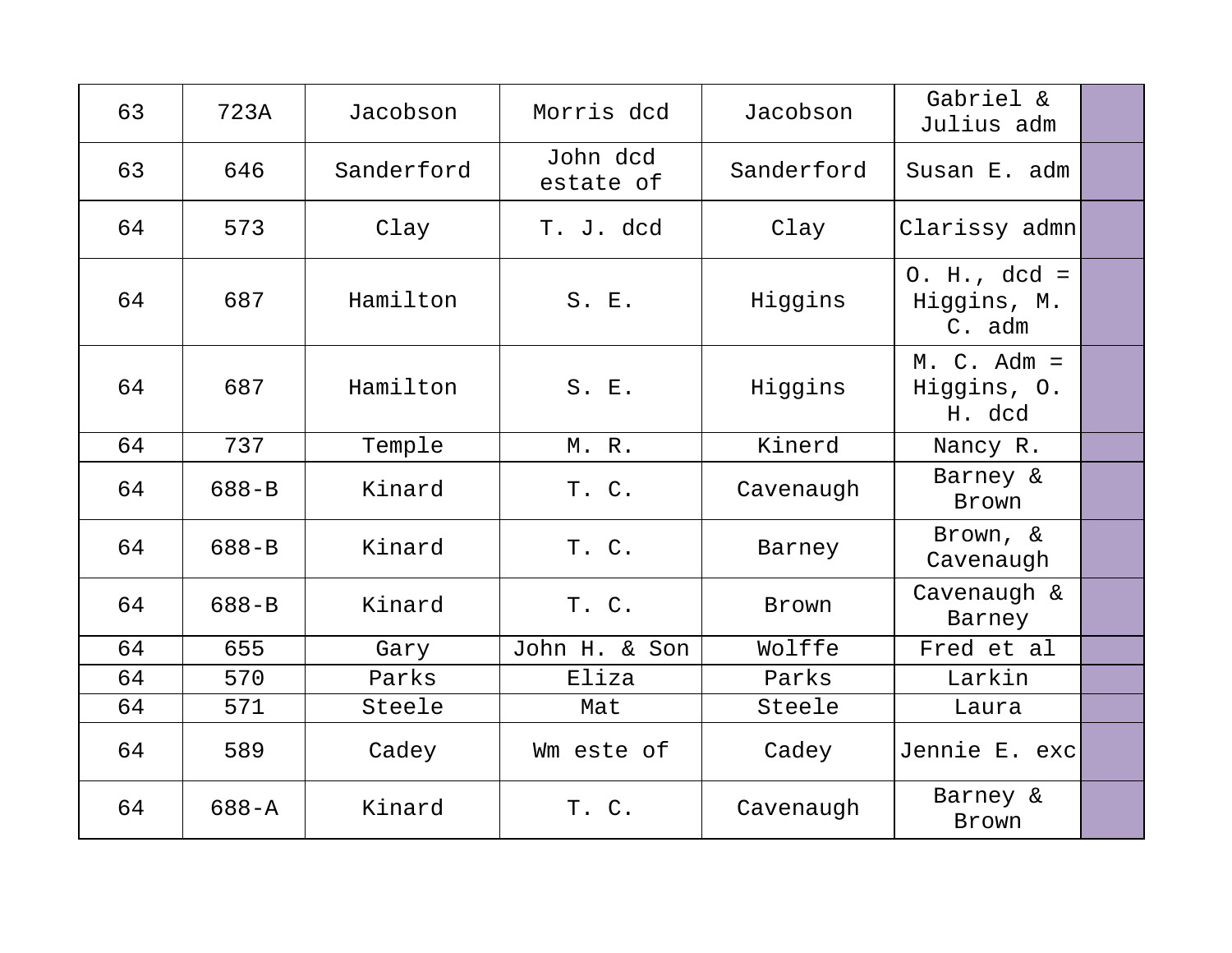| 63 | 723A      | Jacobson   | Morris dcd            | Jacobson   | Gabriel &<br>Julius adm                 |  |
|----|-----------|------------|-----------------------|------------|-----------------------------------------|--|
| 63 | 646       | Sanderford | John dcd<br>estate of | Sanderford | Susan E. adm                            |  |
| 64 | 573       | Clay       | T. J. dcd             | Clay       | Clarissy admn                           |  |
| 64 | 687       | Hamilton   | S. E.                 | Higgins    | $0. H., dcd =$<br>Higgins, M.<br>C. adm |  |
| 64 | 687       | Hamilton   | S. E.                 | Higgins    | $M. C. Adm =$<br>Higgins, O.<br>H. dcd  |  |
| 64 | 737       | Temple     | M. R.                 | Kinerd     | Nancy R.                                |  |
| 64 | $688 - B$ | Kinard     | T. C.                 | Cavenaugh  | Barney &<br>Brown                       |  |
| 64 | $688 - B$ | Kinard     | T. C.                 | Barney     | Brown, &<br>Cavenaugh                   |  |
| 64 | $688 - B$ | Kinard     | T. C.                 | Brown      | Cavenaugh &<br>Barney                   |  |
| 64 | 655       | Gary       | John H. & Son         | Wolffe     | Fred et al                              |  |
| 64 | 570       | Parks      | Eliza                 | Parks      | Larkin                                  |  |
| 64 | 571       | Steele     | Mat                   | Steele     | Laura                                   |  |
| 64 | 589       | Cadey      | Wm este of            | Cadey      | Jennie E. exc                           |  |
| 64 | $688 - A$ | Kinard     | T. C.                 | Cavenaugh  | Barney &<br>Brown                       |  |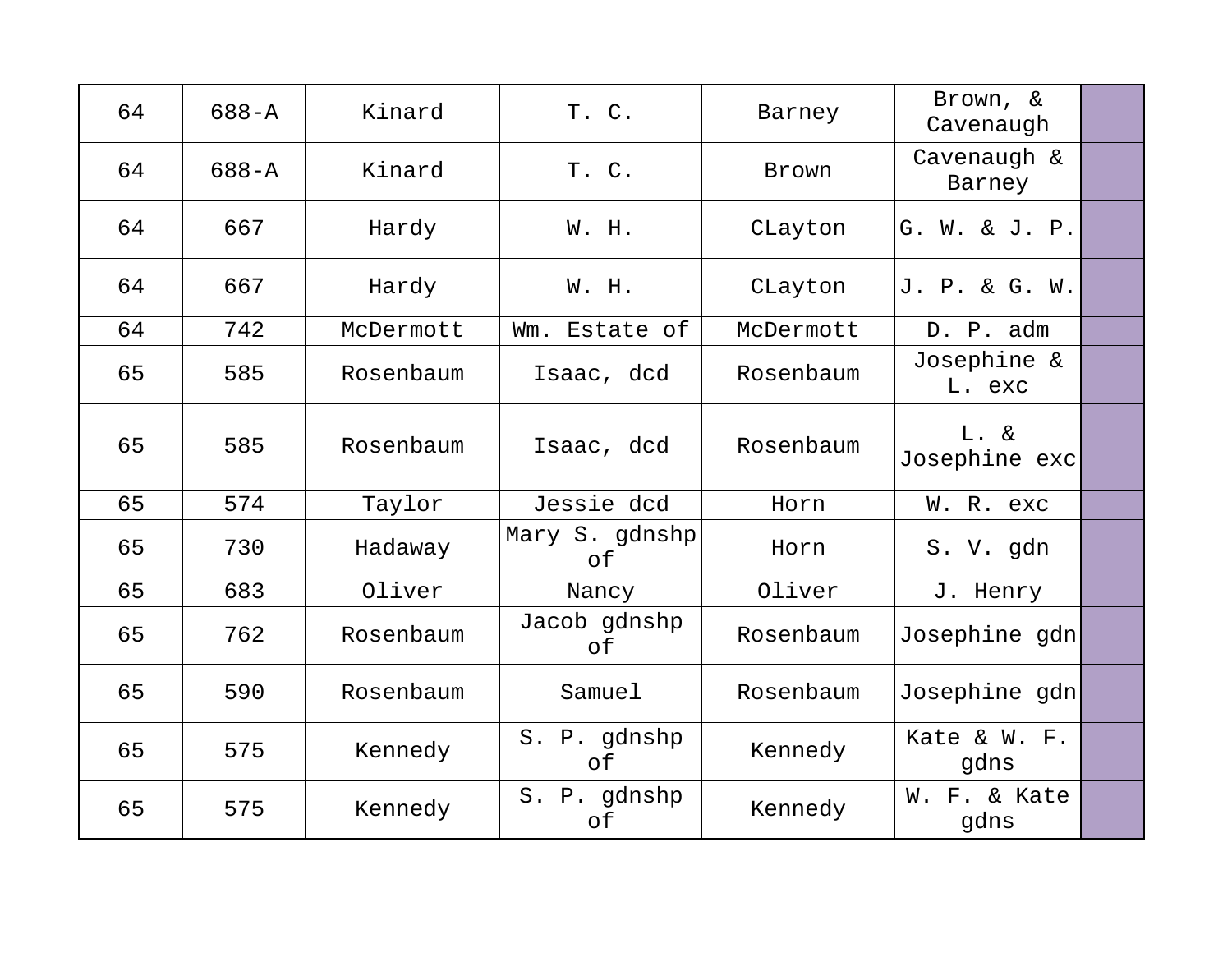| 64 | $688 - A$ | Kinard    | T. C.                | Barney    | Brown, &<br>Cavenaugh    |  |
|----|-----------|-----------|----------------------|-----------|--------------------------|--|
| 64 | $688 - A$ | Kinard    | T. C.                | Brown     | Cavenaugh &<br>Barney    |  |
| 64 | 667       | Hardy     | W. H.                | CLayton   | G. W. & J. P.            |  |
| 64 | 667       | Hardy     | W. H.                | CLayton   | J. P. & G. W.            |  |
| 64 | 742       | McDermott | Wm.<br>Estate of     | McDermott | D. P. adm                |  |
| 65 | 585       | Rosenbaum | Isaac, dcd           | Rosenbaum | Josephine &<br>L. exc    |  |
| 65 | 585       | Rosenbaum | Isaac, dcd           | Rosenbaum | $L. \&$<br>Josephine exc |  |
| 65 | 574       | Taylor    | Jessie dcd           | Horn      | W. R. exc                |  |
| 65 | 730       | Hadaway   | Mary S. gdnshp<br>of | Horn      | S. V. gdn                |  |
| 65 | 683       | Oliver    | Nancy                | Oliver    | J. Henry                 |  |
| 65 | 762       | Rosenbaum | Jacob gdnshp<br>of   | Rosenbaum | Josephine gdn            |  |
| 65 | 590       | Rosenbaum | Samuel               | Rosenbaum | Josephine gdn            |  |
| 65 | 575       | Kennedy   | S. P. gdnshp<br>of   | Kennedy   | Kate & W. F.<br>gdns     |  |
| 65 | 575       | Kennedy   | S. P. gdnshp<br>оf   | Kennedy   | W. F. & Kate<br>gdns     |  |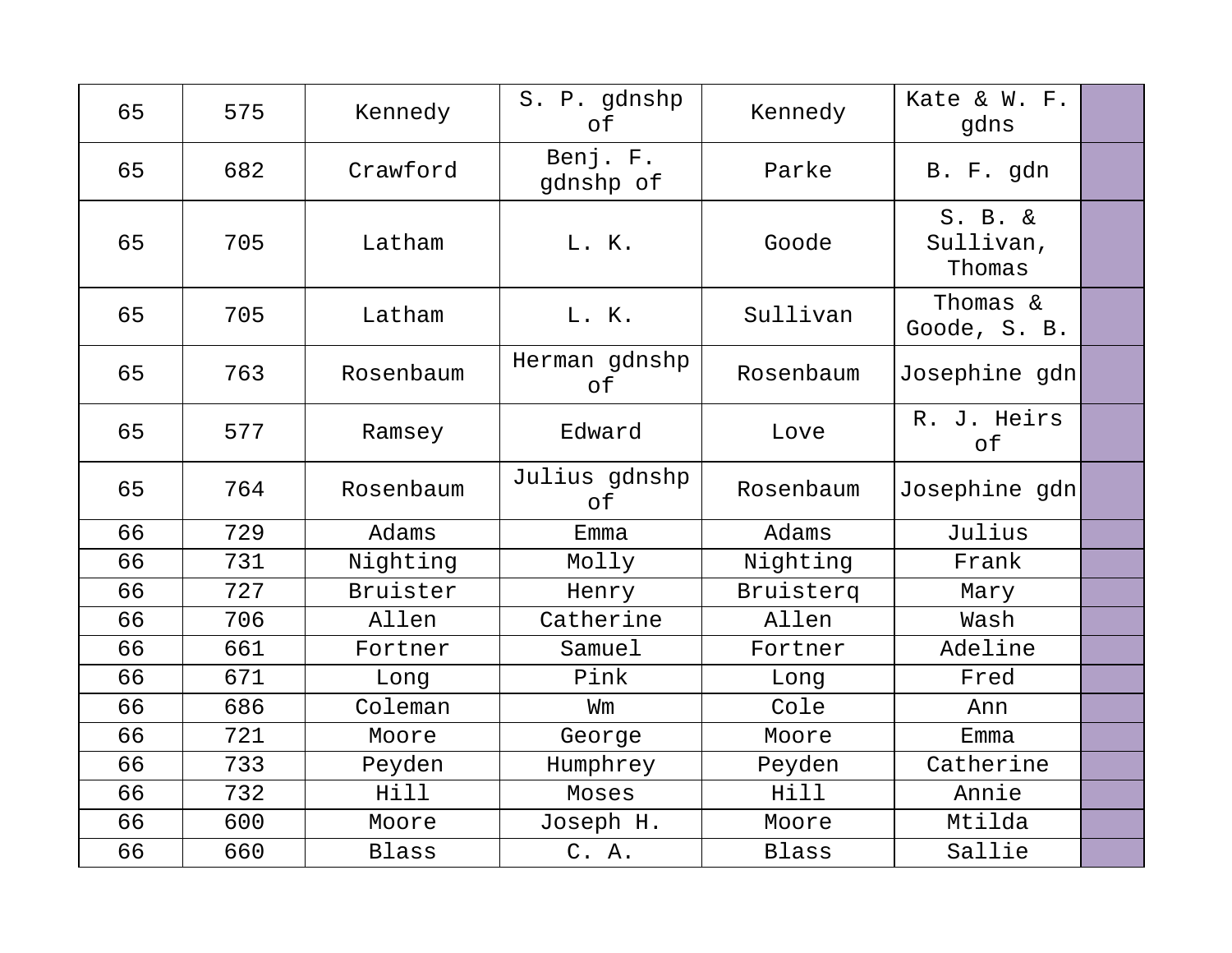| 65 | 575 | Kennedy   | S. P. gdnshp<br>of    | Kennedy      | Kate & W. F.<br>gdns              |  |
|----|-----|-----------|-----------------------|--------------|-----------------------------------|--|
| 65 | 682 | Crawford  | Benj. F.<br>gdnshp of | Parke        | B. F. gdn                         |  |
| 65 | 705 | Latham    | L. K.                 | Goode        | $S. B. \&$<br>Sullivan,<br>Thomas |  |
| 65 | 705 | Latham    | L. K.                 | Sullivan     | Thomas &<br>Goode, S. B.          |  |
| 65 | 763 | Rosenbaum | Herman gdnshp<br>оf   | Rosenbaum    | Josephine gdn                     |  |
| 65 | 577 | Ramsey    | Edward                | Love         | R. J. Heirs<br>of                 |  |
| 65 | 764 | Rosenbaum | Julius gdnshp<br>of   | Rosenbaum    | Josephine gdn                     |  |
| 66 | 729 | Adams     | Emma                  | Adams        | Julius                            |  |
| 66 | 731 | Nighting  | Molly                 | Nighting     | Frank                             |  |
| 66 | 727 | Bruister  | Henry                 | Bruisterq    | Mary                              |  |
| 66 | 706 | Allen     | Catherine             | Allen        | Wash                              |  |
| 66 | 661 | Fortner   | Samuel                | Fortner      | Adeline                           |  |
| 66 | 671 | Long      | Pink                  | Long         | Fred                              |  |
| 66 | 686 | Coleman   | Wm                    | Cole         | Ann                               |  |
| 66 | 721 | Moore     | George                | Moore        | Emma                              |  |
| 66 | 733 | Peyden    | Humphrey              | Peyden       | Catherine                         |  |
| 66 | 732 | Hill      | Moses                 | Hill         | Annie                             |  |
| 66 | 600 | Moore     | Joseph H.             | Moore        | Mtilda                            |  |
| 66 | 660 | Blass     | C. A.                 | <b>Blass</b> | Sallie                            |  |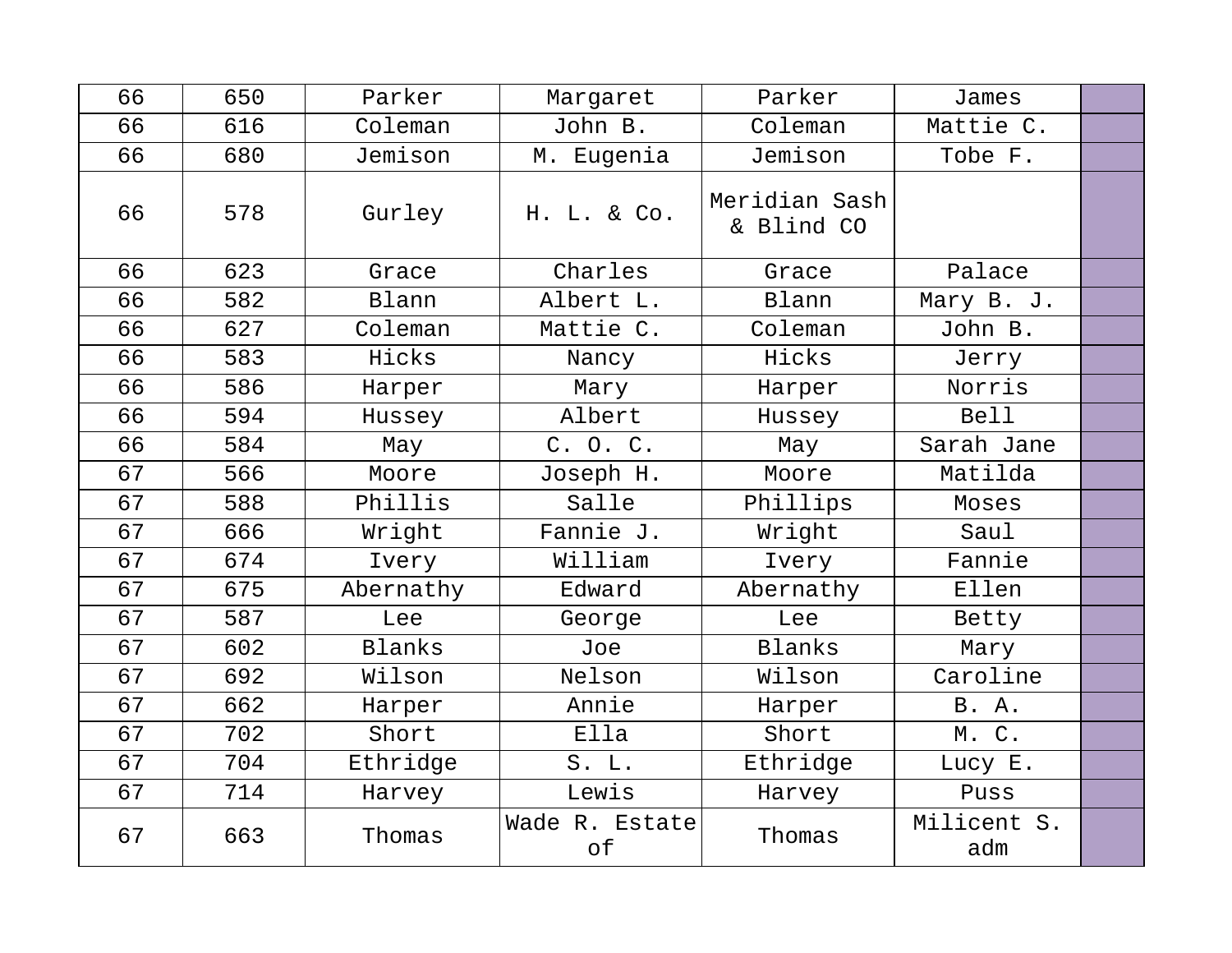| 66 | 650 | Parker    | Margaret             | Parker                      | James              |  |
|----|-----|-----------|----------------------|-----------------------------|--------------------|--|
| 66 | 616 | Coleman   | John B.              | Coleman                     | Mattie C.          |  |
| 66 | 680 | Jemison   | M. Eugenia           | Jemison                     | Tobe F.            |  |
| 66 | 578 | Gurley    | H. L. & Co.          | Meridian Sash<br>& Blind CO |                    |  |
| 66 | 623 | Grace     | Charles              | Grace                       | Palace             |  |
| 66 | 582 | Blann     | Albert L.            | Blann                       | Mary B. J.         |  |
| 66 | 627 | Coleman   | Mattie C.            | Coleman                     | John B.            |  |
| 66 | 583 | Hicks     | Nancy                | Hicks                       | Jerry              |  |
| 66 | 586 | Harper    | Mary                 | Harper                      | Norris             |  |
| 66 | 594 | Hussey    | Albert               | Hussey                      | <b>Bell</b>        |  |
| 66 | 584 | May       | C. O. C.             | May                         | Sarah Jane         |  |
| 67 | 566 | Moore     | Joseph H.            | Moore                       | Matilda            |  |
| 67 | 588 | Phillis   | Salle                | Phillips                    | Moses              |  |
| 67 | 666 | Wright    | Fannie J.            | Wright                      | Saul               |  |
| 67 | 674 | Ivery     | William              | Ivery                       | Fannie             |  |
| 67 | 675 | Abernathy | Edward               | Abernathy                   | Ellen              |  |
| 67 | 587 | Lee       | George               | Lee                         | Betty              |  |
| 67 | 602 | Blanks    | Joe                  | Blanks                      | Mary               |  |
| 67 | 692 | Wilson    | Nelson               | Wilson                      | Caroline           |  |
| 67 | 662 | Harper    | Annie                | Harper                      | B. A.              |  |
| 67 | 702 | Short     | Ella                 | Short                       | M. C.              |  |
| 67 | 704 | Ethridge  | S. L.                | Ethridge                    | Lucy E.            |  |
| 67 | 714 | Harvey    | Lewis                | Harvey                      | Puss               |  |
| 67 | 663 | Thomas    | Wade R. Estate<br>of | Thomas                      | Milicent S.<br>adm |  |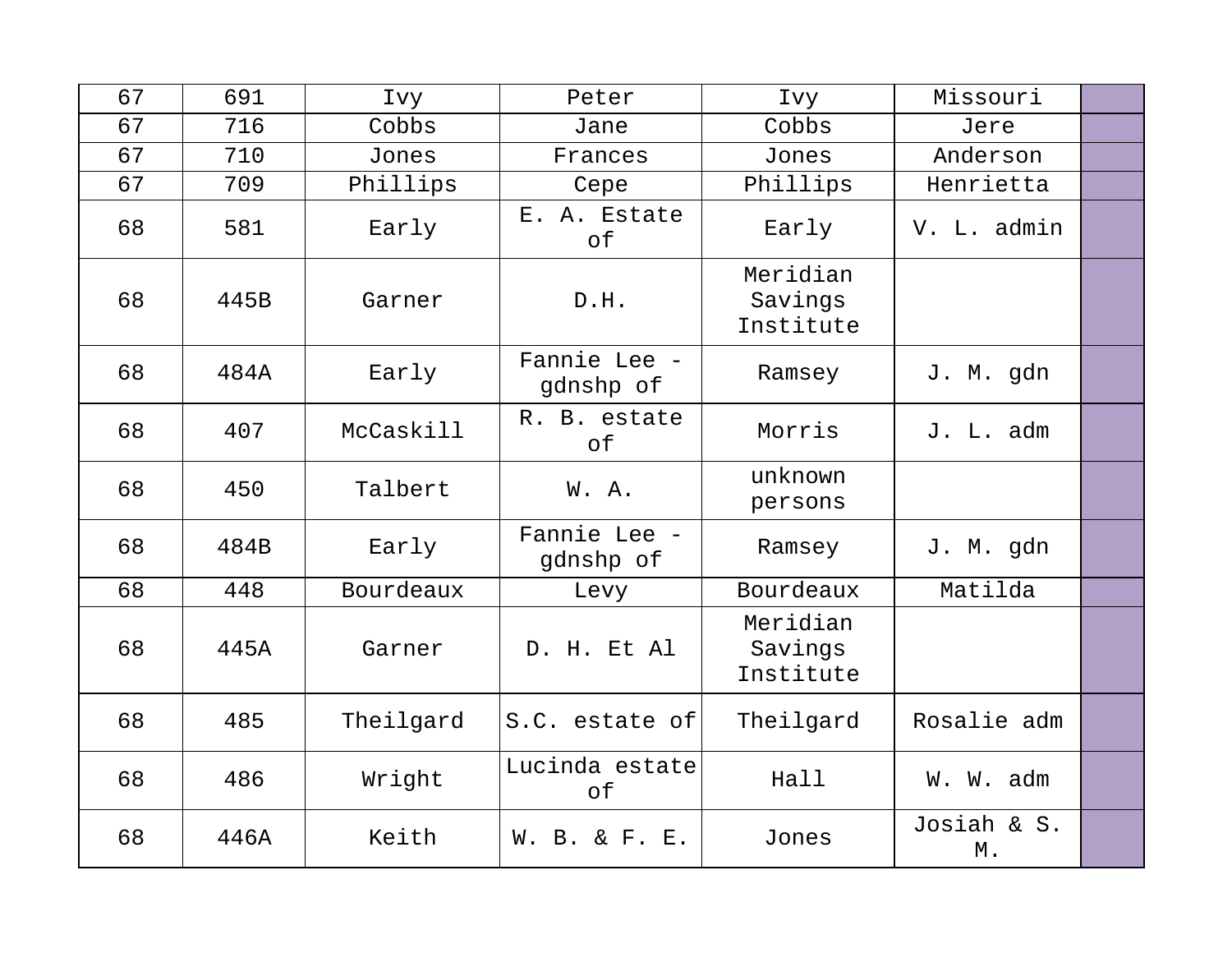| 67 | 691  | Ivy       | Peter                     | Ivy                              | Missouri          |  |
|----|------|-----------|---------------------------|----------------------------------|-------------------|--|
| 67 | 716  | Cobbs     | Jane                      | Cobbs                            | Jere              |  |
| 67 | 710  | Jones     | Frances                   | Jones                            | Anderson          |  |
| 67 | 709  | Phillips  | Cepe                      | Phillips                         | Henrietta         |  |
| 68 | 581  | Early     | E. A. Estate<br>оf        | Early                            | V. L. admin       |  |
| 68 | 445B | Garner    | D.H.                      | Meridian<br>Savings<br>Institute |                   |  |
| 68 | 484A | Early     | Fannie Lee -<br>gdnshp of | Ramsey                           | J. M. gdn         |  |
| 68 | 407  | McCaskill | R. B. estate<br>оf        | Morris                           | J. L. adm         |  |
| 68 | 450  | Talbert   | W.A.                      | unknown<br>persons               |                   |  |
| 68 | 484B | Early     | Fannie Lee -<br>gdnshp of | Ramsey                           | J. M. gdn         |  |
| 68 | 448  | Bourdeaux | Levy                      | Bourdeaux                        | Matilda           |  |
| 68 | 445A | Garner    | D. H. Et Al               | Meridian<br>Savings<br>Institute |                   |  |
| 68 | 485  | Theilgard | S.C. estate of            | Theilgard                        | Rosalie adm       |  |
| 68 | 486  | Wright    | Lucinda estate<br>of      | Hall                             | W. W. adm         |  |
| 68 | 446A | Keith     | W. B. & F. E.             | Jones                            | Josiah & S.<br>М. |  |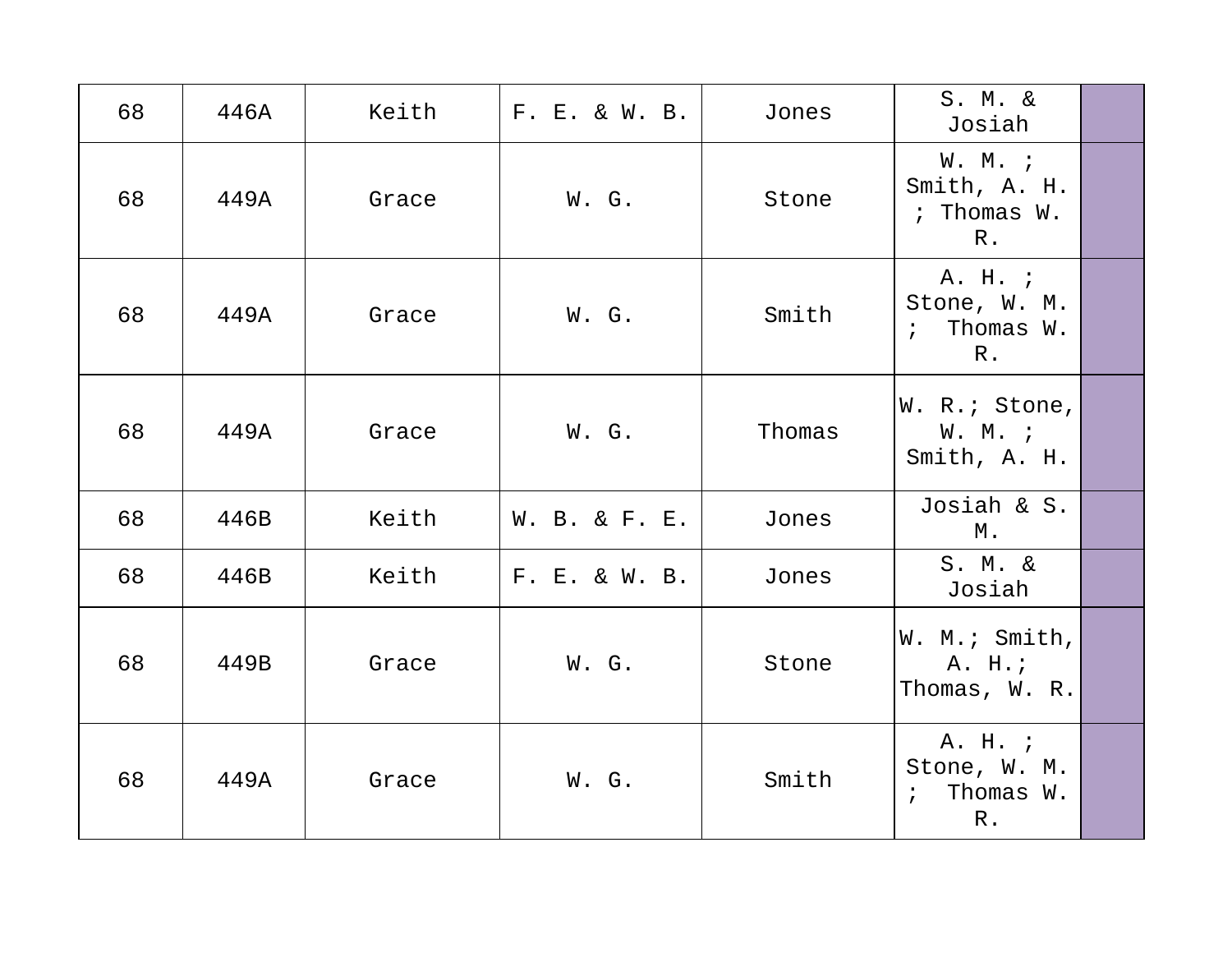| 68 | 446A | Keith | F. E. & W. B. | Jones  | S. M. &<br>Josiah                                             |  |
|----|------|-------|---------------|--------|---------------------------------------------------------------|--|
| 68 | 449A | Grace | W. G.         | Stone  | W. M. ;<br>Smith, A. H.<br>; Thomas W.<br>R <sub>1</sub>      |  |
| 68 | 449A | Grace | W. G.         | Smith  | A. H. ;<br>Stone, W. M.<br>Thomas W.<br>$\mathfrak{z}$<br>R.  |  |
| 68 | 449A | Grace | W. G.         | Thomas | W. R.; Stone,<br>W. M. i<br>Smith, A. H.                      |  |
| 68 | 446B | Keith | W. B. & F. E. | Jones  | Josiah & S.<br>М.                                             |  |
| 68 | 446B | Keith | F. E. & W. B. | Jones  | S. M. &<br>Josiah                                             |  |
| 68 | 449B | Grace | W. G.         | Stone  | W. M.; Smith,<br>A. H.;<br>Thomas, W. R.                      |  |
| 68 | 449A | Grace | W. G.         | Smith  | A. H. ;<br>Stone, W. M.<br>Thomas W.<br>$\mathbf{i}$<br>$R$ . |  |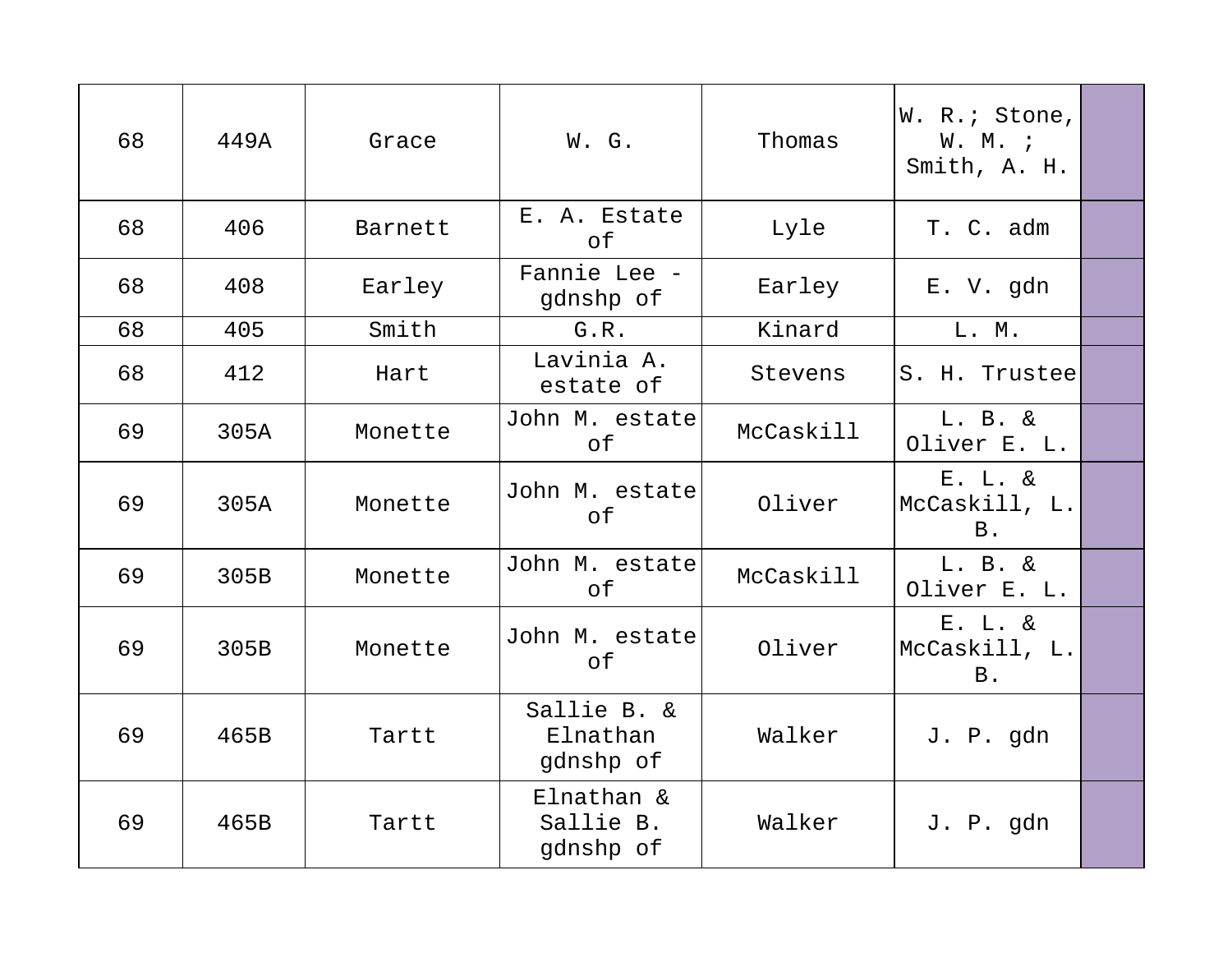| 68 | 449A | Grace   | W. G.                                | Thomas    | W. R.; Stone,<br>W. M. i<br>Smith, A. H. |  |
|----|------|---------|--------------------------------------|-----------|------------------------------------------|--|
| 68 | 406  | Barnett | E. A. Estate<br>of                   | Lyle      | T. C. adm                                |  |
| 68 | 408  | Earley  | Fannie Lee -<br>gdnshp of            | Earley    | E. V. gdn                                |  |
| 68 | 405  | Smith   | G.R.                                 | Kinard    | L. M.                                    |  |
| 68 | 412  | Hart    | Lavinia A.<br>estate of              | Stevens   | S. H. Trustee                            |  |
| 69 | 305A | Monette | John M. estate<br>of                 | McCaskill | L. B. &<br>Oliver E. L.                  |  |
| 69 | 305A | Monette | John M. estate<br>оf                 | Oliver    | E. L. &<br>McCaskill, L.<br><b>B.</b>    |  |
| 69 | 305B | Monette | John M. estate<br>оf                 | McCaskill | $L. B. \&$<br>Oliver E. L.               |  |
| 69 | 305B | Monette | John M. estate<br>оf                 | Oliver    | E. L. &<br>McCaskill, L.<br><b>B.</b>    |  |
| 69 | 465B | Tartt   | Sallie B. &<br>Elnathan<br>gdnshp of | Walker    | J. P. gdn                                |  |
| 69 | 465B | Tartt   | Elnathan &<br>Sallie B.<br>gdnshp of | Walker    | J. P. gdn                                |  |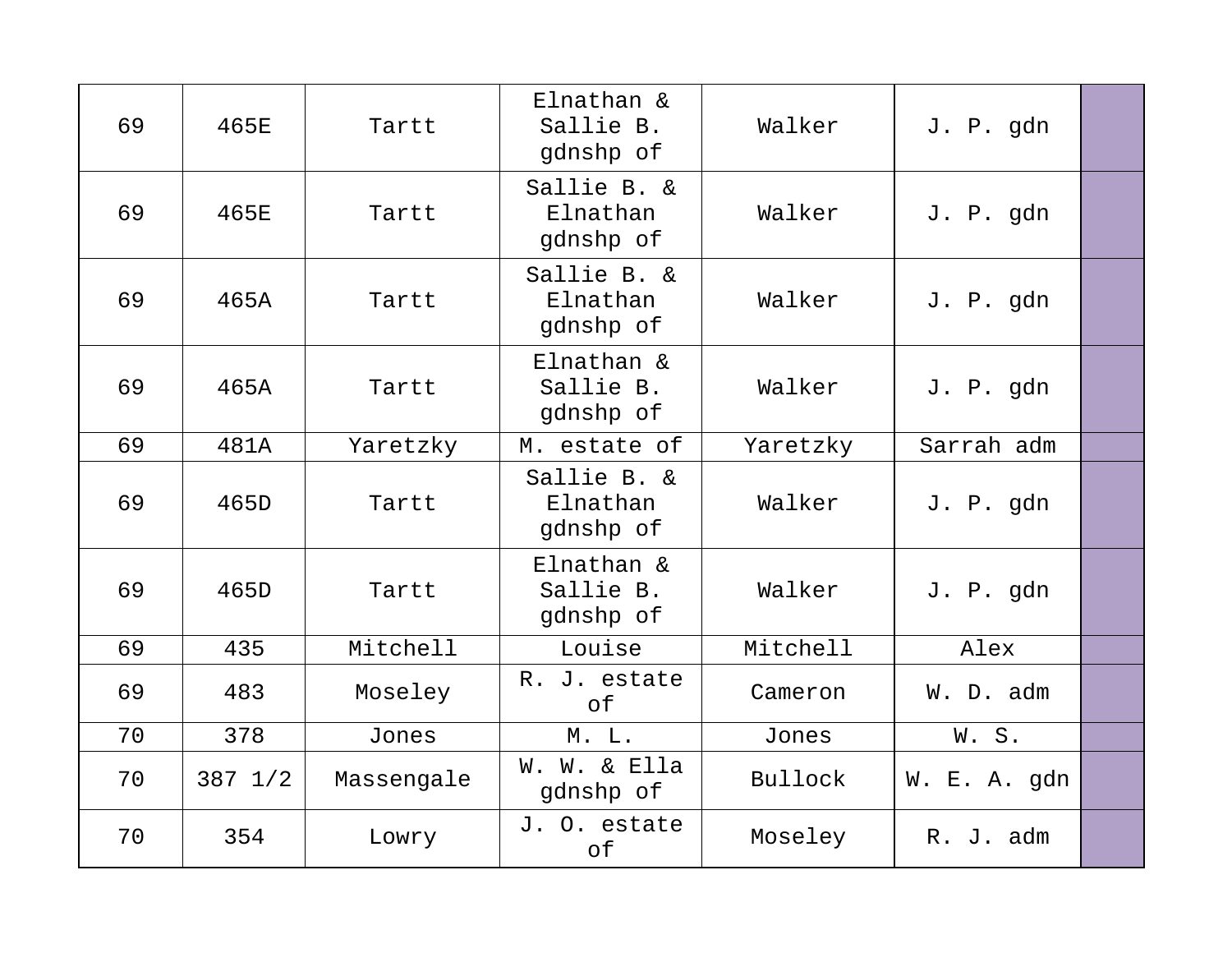| 69 | 465E              | Tartt      | Elnathan &<br>Sallie B.<br>gdnshp of | Walker   | J. P. gdn    |  |
|----|-------------------|------------|--------------------------------------|----------|--------------|--|
| 69 | 465E              | Tartt      | Sallie B. &<br>Elnathan<br>gdnshp of | Walker   | J. P. gdn    |  |
| 69 | 465A              | Tartt      | Sallie B. &<br>Elnathan<br>gdnshp of | Walker   | J. P. gdn    |  |
| 69 | 465A              | Tartt      | Elnathan &<br>Sallie B.<br>gdnshp of | Walker   | J. P. gdn    |  |
| 69 | 481A              | Yaretzky   | M. estate of                         | Yaretzky | Sarrah adm   |  |
| 69 | 465D              | Tartt      | Sallie B. &<br>Elnathan<br>gdnshp of | Walker   | J. P. gdn    |  |
| 69 | 465D              | Tartt      | Elnathan &<br>Sallie B.<br>gdnshp of | Walker   | J. P. gdn    |  |
| 69 | 435               | Mitchell   | Louise                               | Mitchell | Alex         |  |
| 69 | 483               | Moseley    | R. J. estate<br>of                   | Cameron  | W. D. adm    |  |
| 70 | 378               | Jones      | M. L.                                | Jones    | W.S.         |  |
| 70 | $387 \frac{1}{2}$ | Massengale | W. W. & Ella<br>gdnshp of            | Bullock  | W. E. A. gdn |  |
| 70 | 354               | Lowry      | J. O. estate<br>of                   | Moseley  | R. J. adm    |  |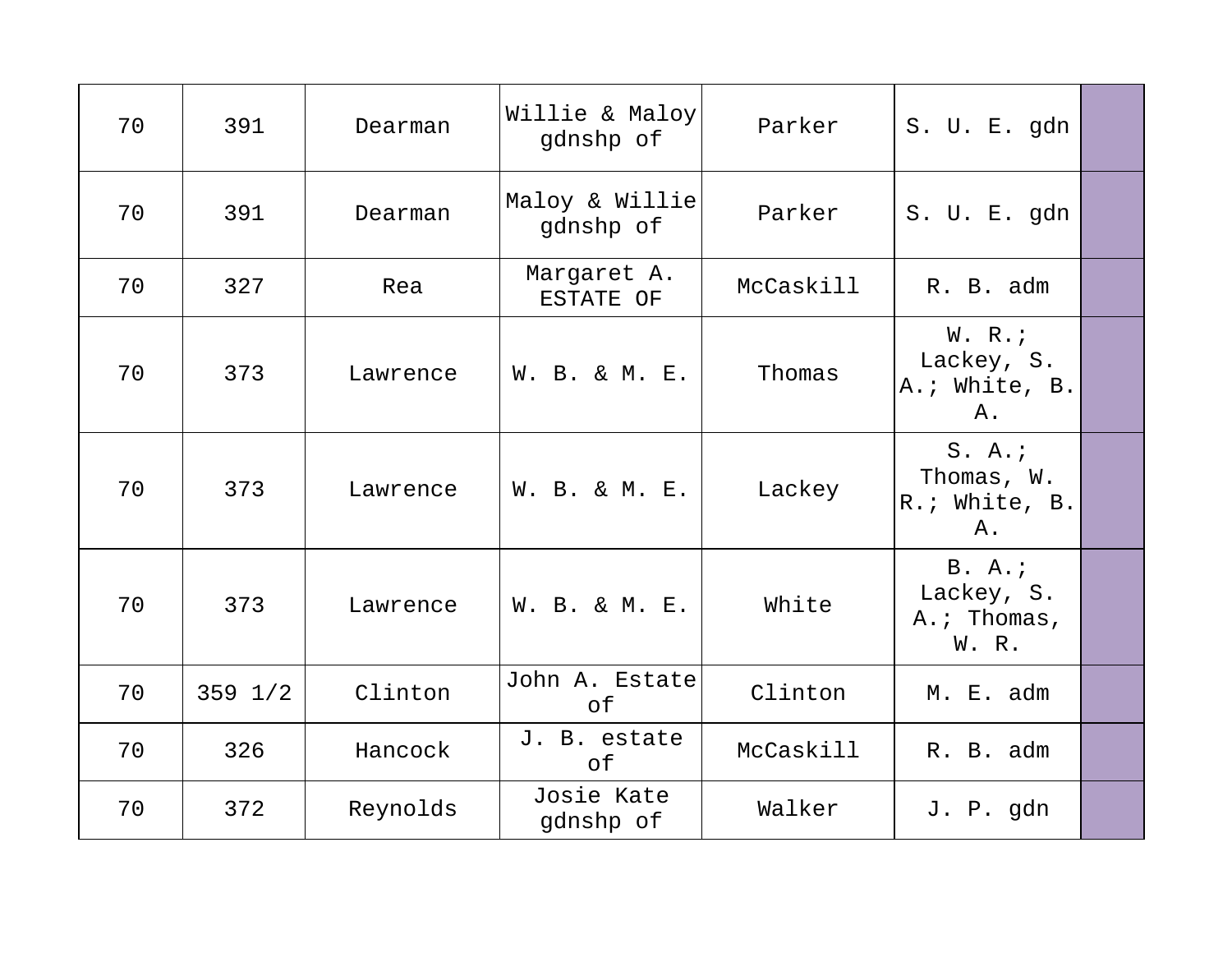| 70 | 391         | Dearman  | Willie & Maloy<br>gdnshp of | Parker    | S. U. E. gdn                                |  |
|----|-------------|----------|-----------------------------|-----------|---------------------------------------------|--|
| 70 | 391         | Dearman  | Maloy & Willie<br>gdnshp of | Parker    | S. U. E. gdn                                |  |
| 70 | 327         | Rea      | Margaret A.<br>ESTATE OF    | McCaskill | R. B. adm                                   |  |
| 70 | 373         | Lawrence | W. B. & M. E.               | Thomas    | W. R.<br>Lackey, S.<br>A.; White, B.<br>Α.  |  |
| 70 | 373         | Lawrence | W. B. & M. E.               | Lackey    | S. A.<br>Thomas, W.<br>R.; White, B.<br>Α.  |  |
| 70 | 373         | Lawrence | W. B. & M. E.               | White     | B. A.<br>Lackey, S.<br>A.; Thomas,<br>W. R. |  |
| 70 | $359$ $1/2$ | Clinton  | John A. Estate<br>of        | Clinton   | M. E. adm                                   |  |
| 70 | 326         | Hancock  | J. B. estate<br>of          | McCaskill | R. B. adm                                   |  |
| 70 | 372         | Reynolds | Josie Kate<br>gdnshp of     | Walker    | J. P. gdn                                   |  |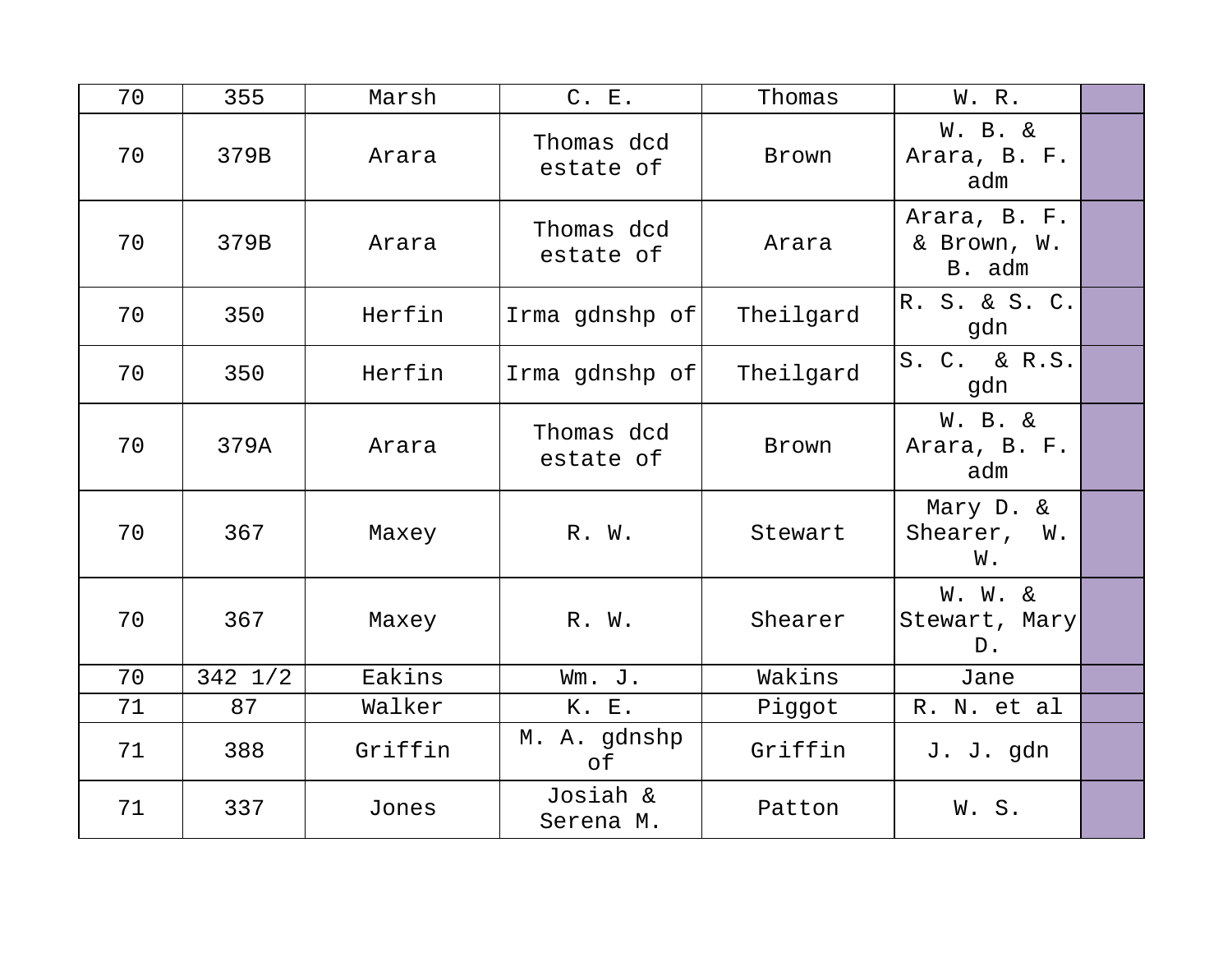| 70 | 355               | Marsh   | C. E.                   | Thomas    | W. R.                                        |  |
|----|-------------------|---------|-------------------------|-----------|----------------------------------------------|--|
| 70 | 379B              | Arara   | Thomas dcd<br>estate of | Brown     | <b>W. B. &amp;</b><br>Arara, B. F.<br>adm    |  |
| 70 | 379B              | Arara   | Thomas dcd<br>estate of | Arara     | Arara, B. F.<br>& Brown, W.<br>B. adm        |  |
| 70 | 350               | Herfin  | Irma gdnshp of          | Theilgard | R. S. & S. C.<br>gdn                         |  |
| 70 | 350               | Herfin  | Irma gdnshp of          | Theilgard | S. C. & R.S.<br>gdn                          |  |
| 70 | 379A              | Arara   | Thomas dcd<br>estate of | Brown     | <b>W. B. &amp;</b><br>Arara, B. F.<br>adm    |  |
| 70 | 367               | Maxey   | R. W.                   | Stewart   | Mary D. &<br>Shearer, W.<br>W.               |  |
| 70 | 367               | Maxey   | R. W.                   | Shearer   | <b>W. W. &amp;</b><br>Stewart, Mary<br>$D$ . |  |
| 70 | $342 \frac{1}{2}$ | Eakins  | Wm. J.                  | Wakins    | Jane                                         |  |
| 71 | 87                | Walker  | K. E.                   | Piggot    | R. N. et al                                  |  |
| 71 | 388               | Griffin | M. A. gdnshp<br>оf      | Griffin   | J. J. gdn                                    |  |
| 71 | 337               | Jones   | Josiah &<br>Serena M.   | Patton    | W.S.                                         |  |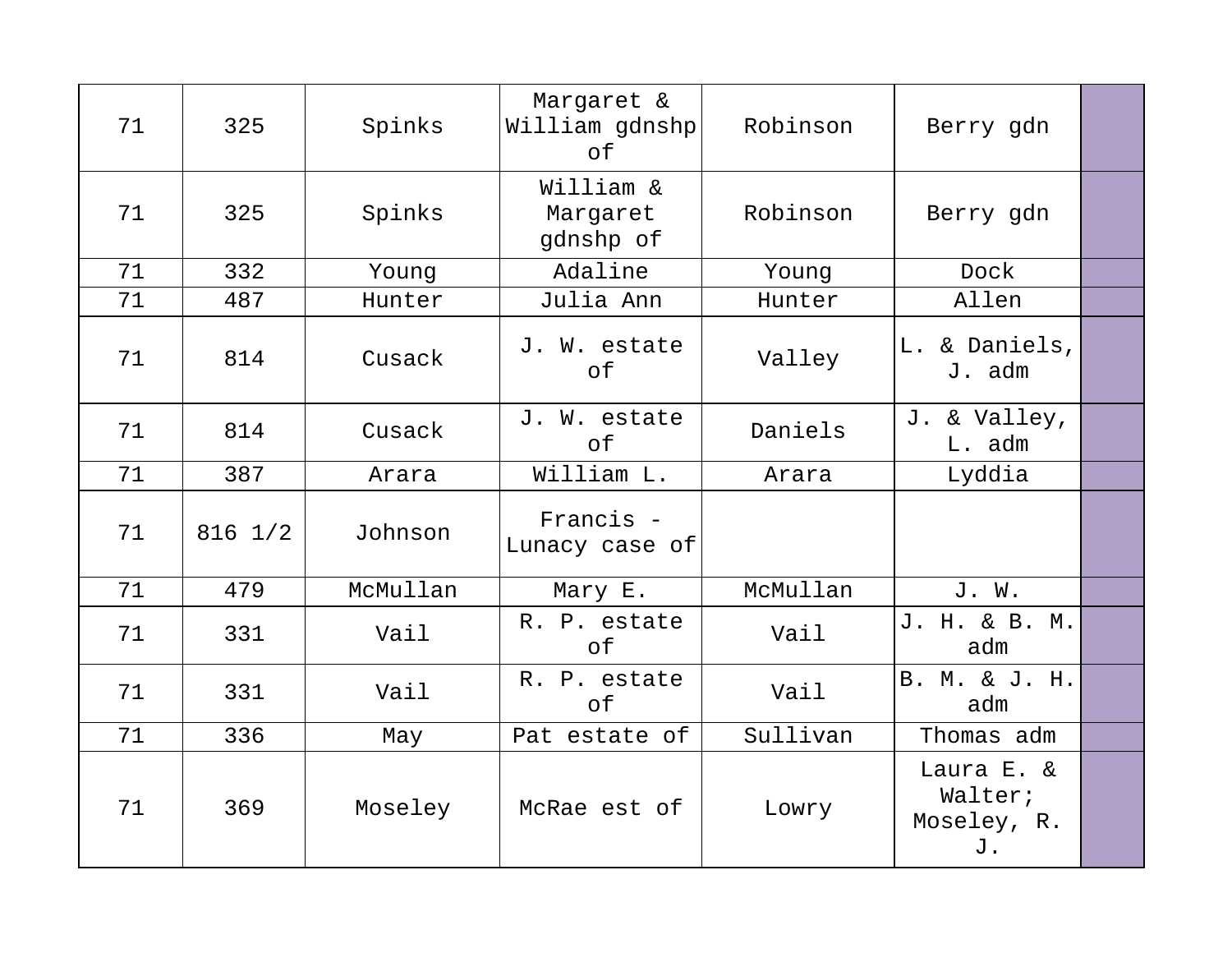| 71 | 325               | Spinks   | Margaret &<br>William gdnshp<br>of | Robinson | Berry gdn                                  |  |
|----|-------------------|----------|------------------------------------|----------|--------------------------------------------|--|
| 71 | 325               | Spinks   | William &<br>Margaret<br>gdnshp of | Robinson | Berry gdn                                  |  |
| 71 | 332               | Young    | Adaline                            | Young    | Dock                                       |  |
| 71 | 487               | Hunter   | Julia Ann                          | Hunter   | Allen                                      |  |
| 71 | 814               | Cusack   | J. W. estate<br>оf                 | Valley   | L. & Daniels,<br>J. adm                    |  |
| 71 | 814               | Cusack   | J. W. estate<br>of                 | Daniels  | J. & Valley,<br>L. adm                     |  |
| 71 | 387               | Arara    | William L.                         | Arara    | Lyddia                                     |  |
| 71 | $816 \frac{1}{2}$ | Johnson  | Francis -<br>Lunacy case of        |          |                                            |  |
| 71 | 479               | McMullan | Mary E.                            | McMullan | J. W.                                      |  |
| 71 | 331               | Vail     | R. P. estate<br>оf                 | Vail     | J. H. & B. M.<br>adm                       |  |
| 71 | 331               | Vail     | R. P. estate<br>of                 | Vail     | B. M. & J. H.<br>adm                       |  |
| 71 | 336               | May      | Pat estate of                      | Sullivan | Thomas adm                                 |  |
| 71 | 369               | Moseley  | McRae est of                       | Lowry    | Laura E. &<br>Walter;<br>Moseley, R.<br>J. |  |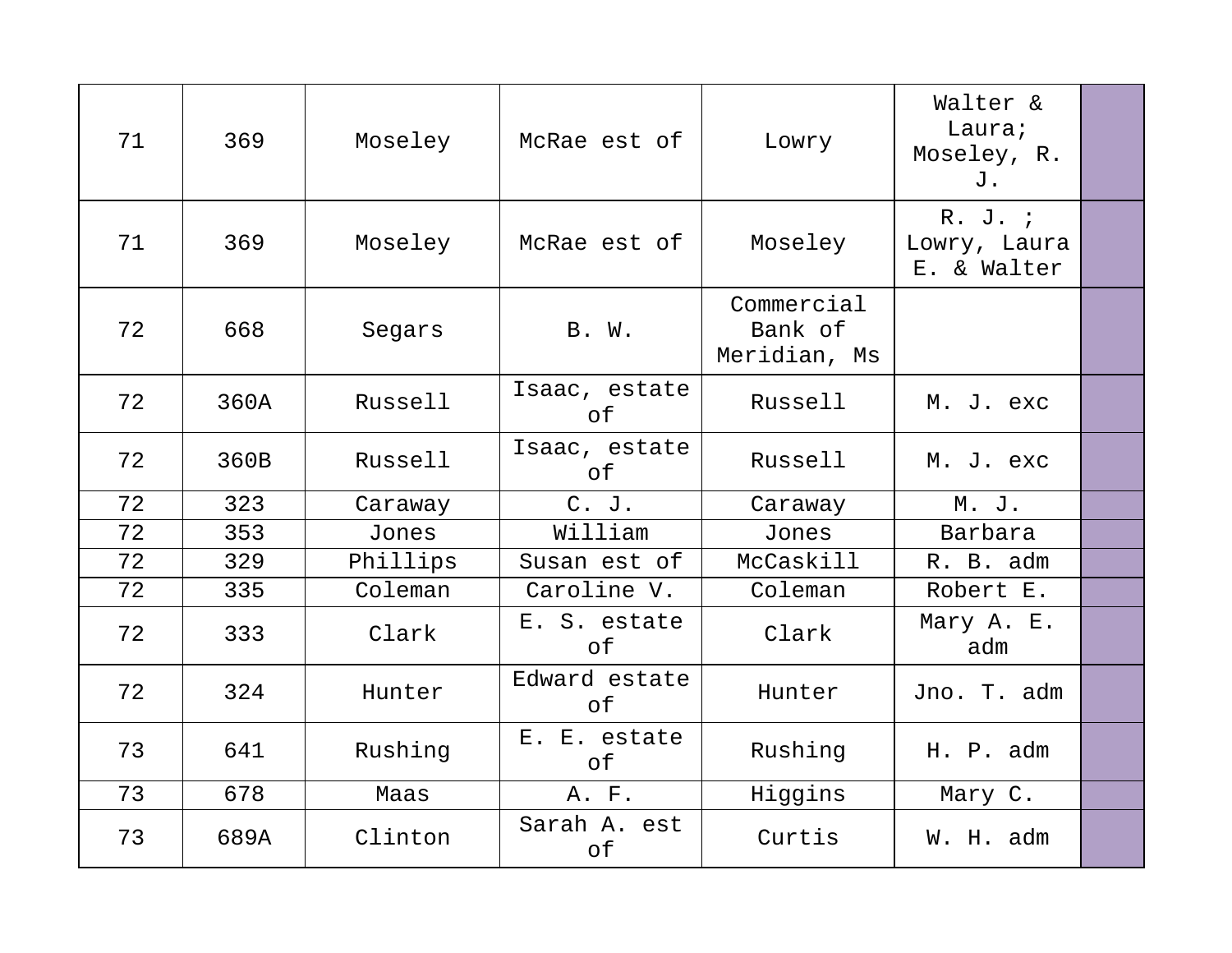| 71 | 369  | Moseley  | McRae est of        | Lowry                                 | Walter &<br>Laura;<br>Moseley, R.<br>J. |  |
|----|------|----------|---------------------|---------------------------------------|-----------------------------------------|--|
| 71 | 369  | Moseley  | McRae est of        | Moseley                               | R. J. j<br>Lowry, Laura<br>E. & Walter  |  |
| 72 | 668  | Segars   | B. W.               | Commercial<br>Bank of<br>Meridian, Ms |                                         |  |
| 72 | 360A | Russell  | Isaac, estate<br>оf | Russell                               | M. J. exc                               |  |
| 72 | 360B | Russell  | Isaac, estate<br>оf | Russell                               | M. J. exc                               |  |
| 72 | 323  | Caraway  | $C.$ J.             | Caraway                               | M. J.                                   |  |
| 72 | 353  | Jones    | William             | Jones                                 | Barbara                                 |  |
| 72 | 329  | Phillips | Susan est of        | McCaskill                             | R. B. adm                               |  |
| 72 | 335  | Coleman  | Caroline V.         | Coleman                               | Robert E.                               |  |
| 72 | 333  | Clark    | E. S. estate<br>оf  | Clark                                 | Mary A. E.<br>adm                       |  |
| 72 | 324  | Hunter   | Edward estate<br>оf | Hunter                                | Jno. T. adm                             |  |
| 73 | 641  | Rushing  | E. E. estate<br>оf  | Rushing                               | H. P. adm                               |  |
| 73 | 678  | Maas     | A. F.               | Higgins                               | Mary C.                                 |  |
| 73 | 689A | Clinton  | Sarah A. est<br>of  | Curtis                                | W. H. adm                               |  |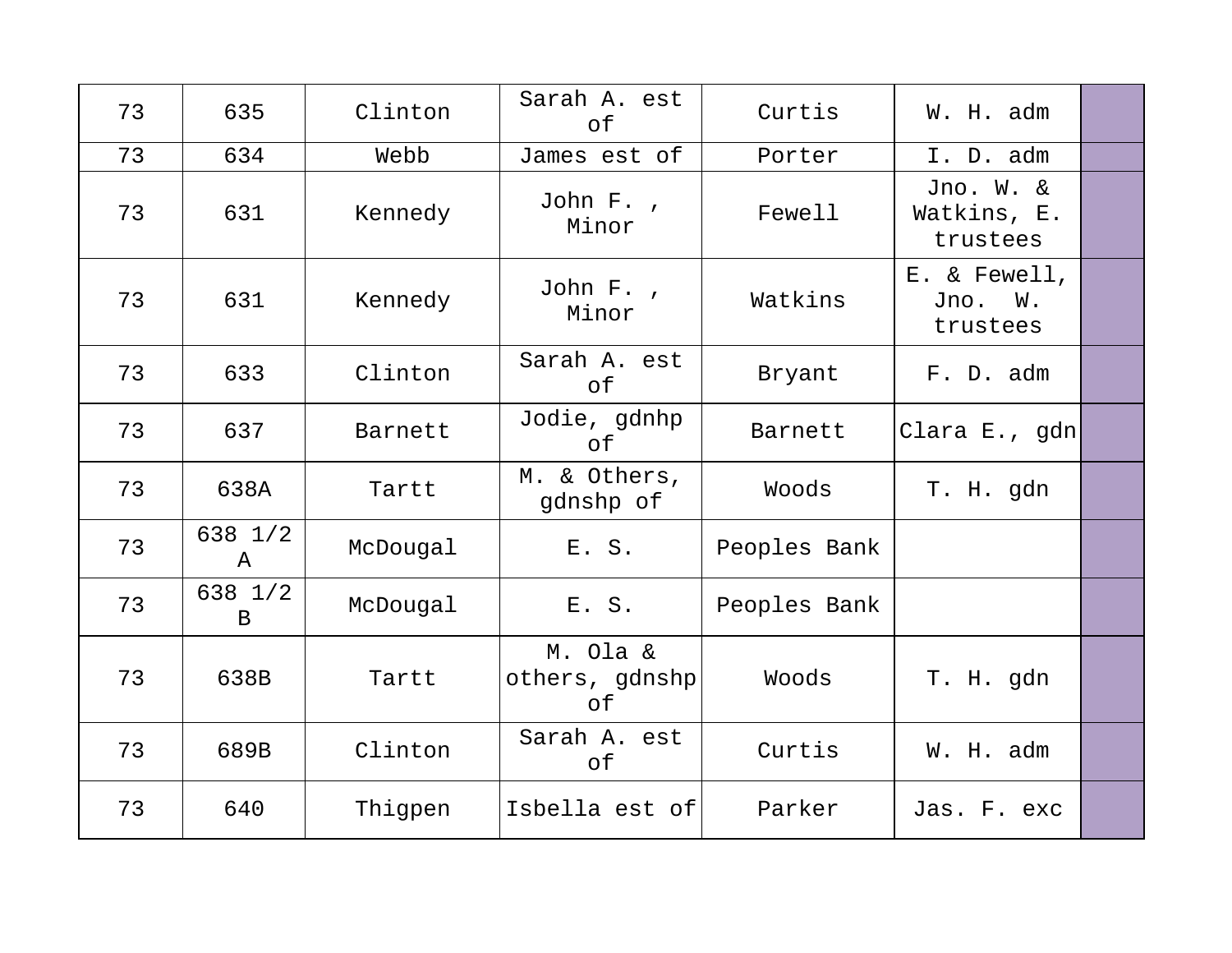| 73 | 635                     | Clinton  | Sarah A. est<br>of               | Curtis       | W. H. adm                            |  |
|----|-------------------------|----------|----------------------------------|--------------|--------------------------------------|--|
| 73 | 634                     | Webb     | James est of                     | Porter       | I. D. adm                            |  |
| 73 | 631                     | Kennedy  | John F.,<br>Minor                | Fewell       | Jno. W. &<br>Watkins, E.<br>trustees |  |
| 73 | 631                     | Kennedy  | John F.,<br>Minor                | Watkins      | E. & Fewell,<br>Jno. W.<br>trustees  |  |
| 73 | 633                     | Clinton  | Sarah A. est<br>оf               | Bryant       | F. D. adm                            |  |
| 73 | 637                     | Barnett  | Jodie, gdnhp<br>оf               | Barnett      | Clara E., gdn                        |  |
| 73 | 638A                    | Tartt    | M. & Others,<br>gdnshp of        | Woods        | T. H. gdn                            |  |
| 73 | 638 1/2<br>A            | McDougal | E. S.                            | Peoples Bank |                                      |  |
| 73 | 638 1/2<br>$\mathbf{B}$ | McDougal | E. S.                            | Peoples Bank |                                      |  |
| 73 | 638B                    | Tartt    | M. Ola &<br>others, gdnshp<br>оf | Woods        | T. H. gdn                            |  |
| 73 | 689B                    | Clinton  | Sarah A. est<br>оf               | Curtis       | W. H. adm                            |  |
| 73 | 640                     | Thigpen  | Isbella est of                   | Parker       | Jas. F. exc                          |  |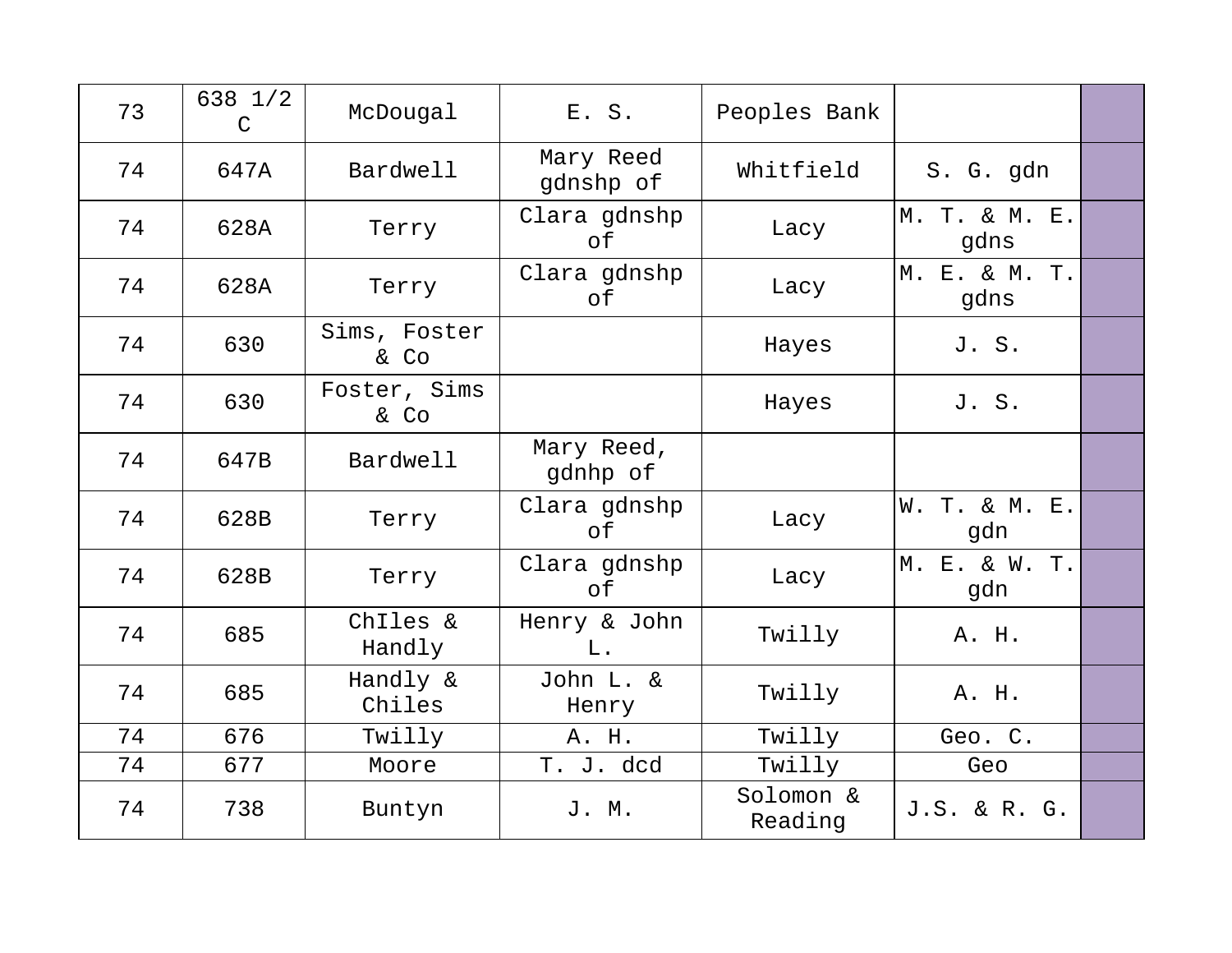| 73 | 638 1/2<br>$\mathcal{C}$ | McDougal             | E. S.                  | Peoples Bank         |                       |  |
|----|--------------------------|----------------------|------------------------|----------------------|-----------------------|--|
| 74 | 647A                     | Bardwell             | Mary Reed<br>gdnshp of | Whitfield            | S. G. gdn             |  |
| 74 | 628A                     | Terry                | Clara gdnshp<br>оf     | Lacy                 | M. T. & M. E.<br>gdns |  |
| 74 | 628A                     | Terry                | Clara gdnshp<br>of     | Lacy                 | M. E. & M. T.<br>gdns |  |
| 74 | 630                      | Sims, Foster<br>& Co |                        | Hayes                | J. S.                 |  |
| 74 | 630                      | Foster, Sims<br>& Co |                        | Hayes                | J.S.                  |  |
| 74 | 647B                     | Bardwell             | Mary Reed,<br>gdnhp of |                      |                       |  |
| 74 | 628B                     | Terry                | Clara gdnshp<br>of     | Lacy                 | W. T. & M. E.<br>gdn  |  |
| 74 | 628B                     | Terry                | Clara gdnshp<br>of     | Lacy                 | M. E. & W. T.<br>gdn  |  |
| 74 | 685                      | Chiles &<br>Handly   | Henry & John<br>$L$ .  | Twilly               | A. H.                 |  |
| 74 | 685                      | Handly &<br>Chiles   | John L. &<br>Henry     | Twilly               | A. H.                 |  |
| 74 | 676                      | Twilly               | A. H.                  | Twilly               | Geo. C.               |  |
| 74 | 677                      | Moore                | T. J. dcd              | Twilly               | Geo                   |  |
| 74 | 738                      | Buntyn               | J. M.                  | Solomon &<br>Reading | J.S. & R. G.          |  |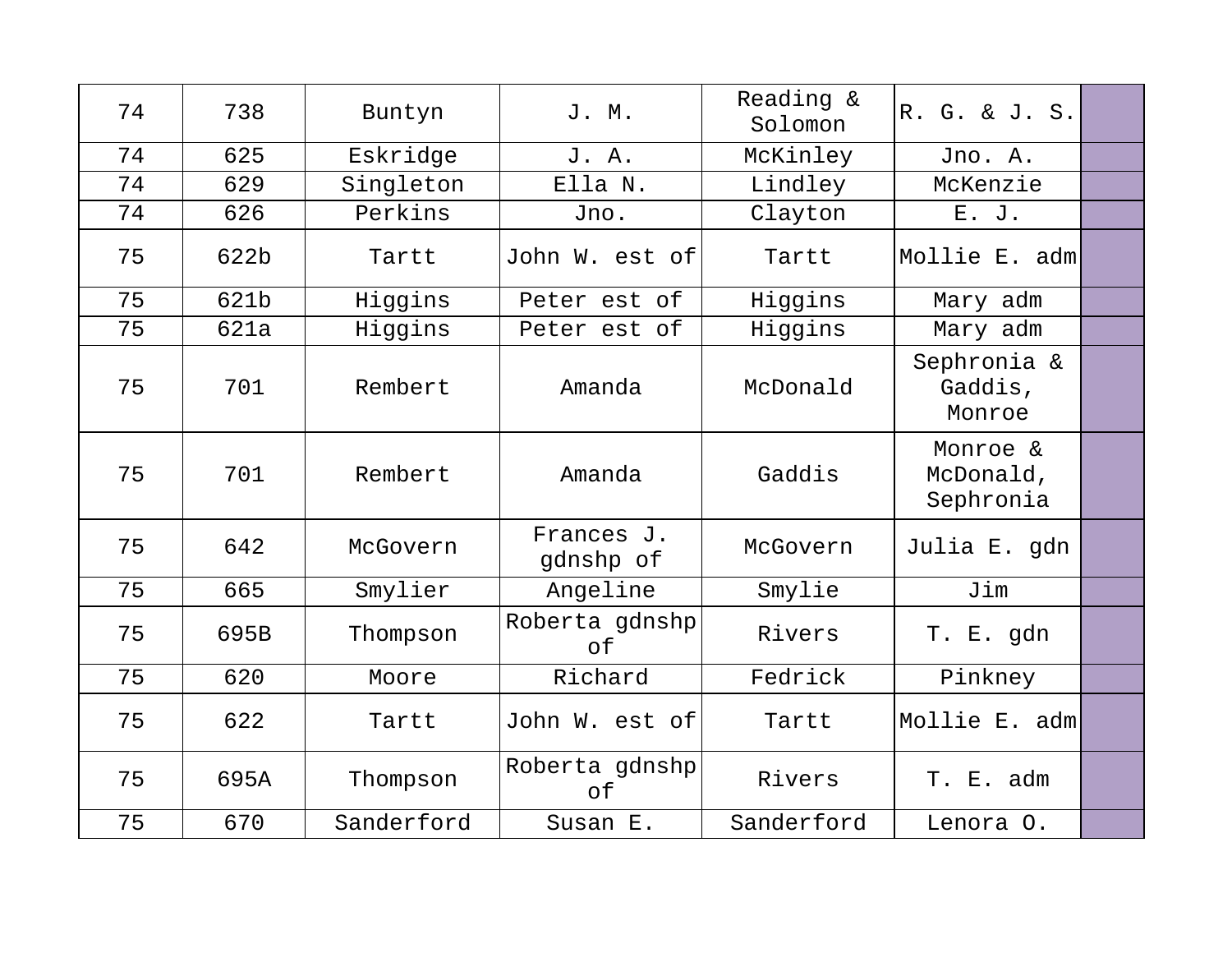| 74 | 738  | Buntyn     | J. M.                   | Reading &<br>Solomon | R. G. & J. S.                      |  |
|----|------|------------|-------------------------|----------------------|------------------------------------|--|
| 74 | 625  | Eskridge   | J. A.                   | McKinley             | Jno. A.                            |  |
| 74 | 629  | Singleton  | Ella N.                 | Lindley              | McKenzie                           |  |
| 74 | 626  | Perkins    | Jno.                    | Clayton              | E. J.                              |  |
| 75 | 622b | Tartt      | John W. est of          | Tartt                | Mollie E. adm                      |  |
| 75 | 621b | Higgins    | Peter est of            | Higgins              | Mary adm                           |  |
| 75 | 621a | Higgins    | Peter est of            | Higgins              | Mary adm                           |  |
| 75 | 701  | Rembert    | Amanda                  | McDonald             | Sephronia &<br>Gaddis,<br>Monroe   |  |
| 75 | 701  | Rembert    | Amanda                  | Gaddis               | Monroe &<br>McDonald,<br>Sephronia |  |
| 75 | 642  | McGovern   | Frances J.<br>gdnshp of | McGovern             | Julia E. gdn                       |  |
| 75 | 665  | Smylier    | Angeline                | Smylie               | Jim                                |  |
| 75 | 695B | Thompson   | Roberta gdnshp<br>of    | Rivers               | T. E. gdn                          |  |
| 75 | 620  | Moore      | Richard                 | Fedrick              | Pinkney                            |  |
| 75 | 622  | Tartt      | John W. est of          | Tartt                | Mollie E. adm                      |  |
| 75 | 695A | Thompson   | Roberta gdnshp<br>of    | Rivers               | T. E. adm                          |  |
| 75 | 670  | Sanderford | Susan E.                | Sanderford           | Lenora O.                          |  |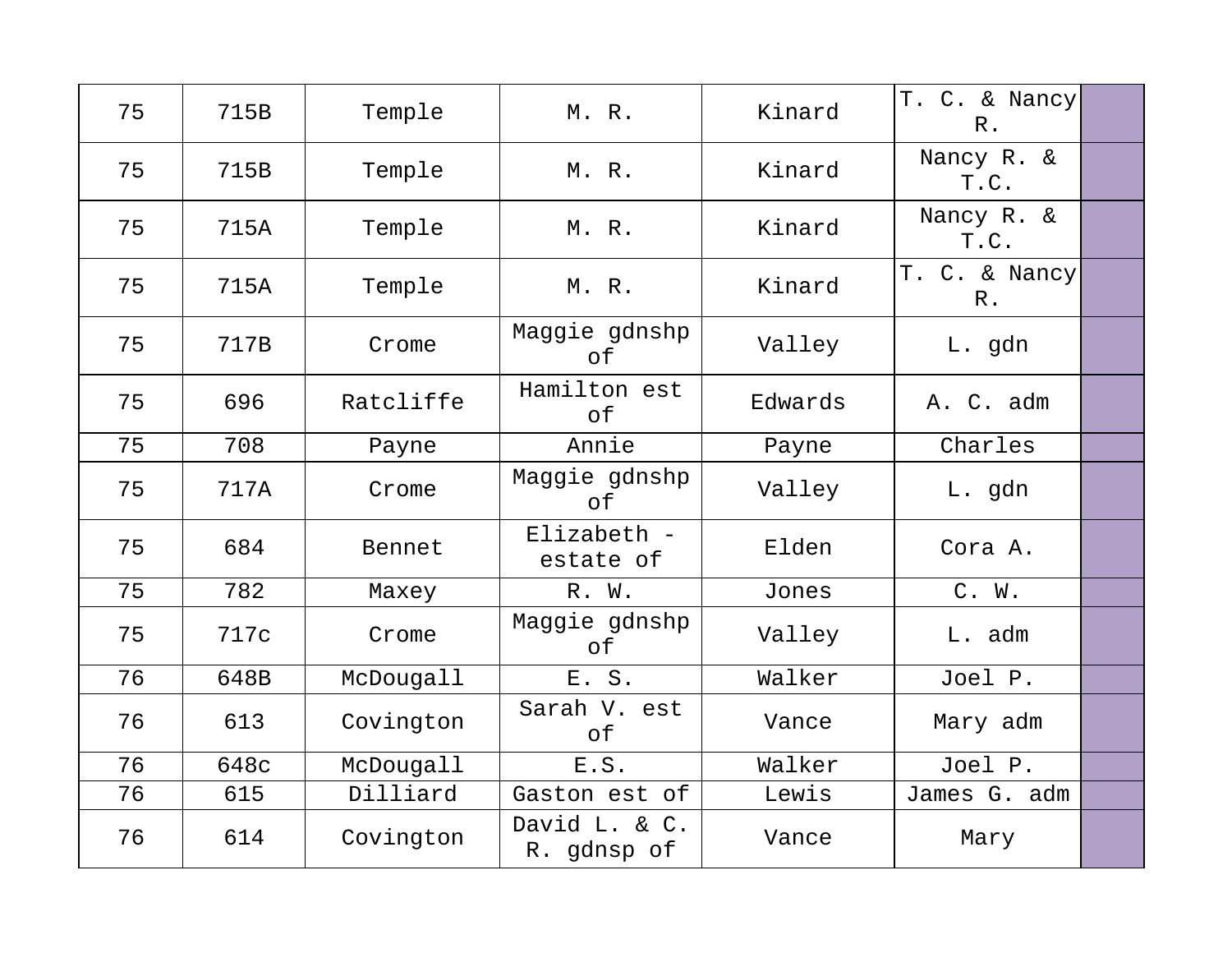| 75 | 715B | Temple    | M. R.                        | Kinard  | T. C. & Nancy<br>$R$ . |  |
|----|------|-----------|------------------------------|---------|------------------------|--|
| 75 | 715B | Temple    | M. R.                        | Kinard  | Nancy R. &<br>T.C.     |  |
| 75 | 715A | Temple    | M. R.                        | Kinard  | Nancy R. &<br>T.C.     |  |
| 75 | 715A | Temple    | M.R.                         | Kinard  | T. C. & Nancy<br>$R$ . |  |
| 75 | 717B | Crome     | Maggie gdnshp<br>of          | Valley  | L. gdn                 |  |
| 75 | 696  | Ratcliffe | Hamilton est<br>of           | Edwards | A. C. adm              |  |
| 75 | 708  | Payne     | Annie                        | Payne   | Charles                |  |
| 75 | 717A | Crome     | Maggie gdnshp<br>оf          | Valley  | L. gdn                 |  |
| 75 | 684  | Bennet    | Elizabeth -<br>estate of     | Elden   | Cora A.                |  |
| 75 | 782  | Maxey     | R. W.                        | Jones   | C. W.                  |  |
| 75 | 717c | Crome     | Maggie gdnshp<br>оf          | Valley  | L. adm                 |  |
| 76 | 648B | McDougall | E. S.                        | Walker  | Joel P.                |  |
| 76 | 613  | Covington | Sarah V. est<br>оf           | Vance   | Mary adm               |  |
| 76 | 648c | McDougall | E.S.                         | Walker  | Joel P.                |  |
| 76 | 615  | Dilliard  | Gaston est of                | Lewis   | James G. adm           |  |
| 76 | 614  | Covington | David L. & C.<br>R. gdnsp of | Vance   | Mary                   |  |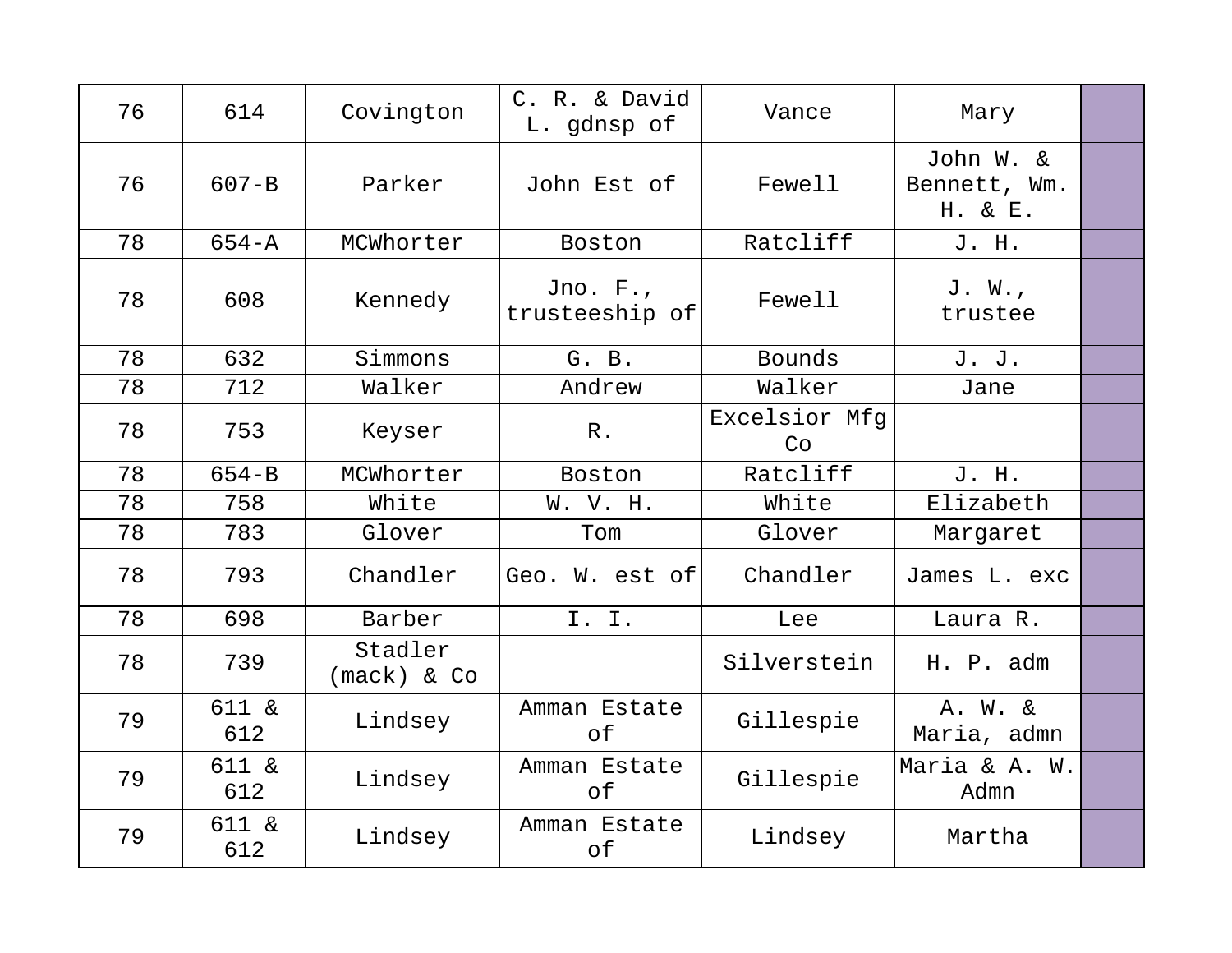| 76 | 614          | Covington                  | C. R. & David<br>L. gdnsp of | Vance               | Mary                                 |  |
|----|--------------|----------------------------|------------------------------|---------------------|--------------------------------------|--|
| 76 | $607 - B$    | Parker                     | John Est of                  | Fewell              | John W. &<br>Bennett, Wm.<br>H. & E. |  |
| 78 | $654 - A$    | MCWhorter                  | Boston                       | Ratcliff            | J. H.                                |  |
| 78 | 608          | Kennedy                    | Jno. $F.$<br>trusteeship of  | Fewell              | J. W.,<br>trustee                    |  |
| 78 | 632          | Simmons                    | G. B.                        | Bounds              | J. J.                                |  |
| 78 | 712          | Walker                     | Andrew                       | Walker              | Jane                                 |  |
| 78 | 753          | Keyser                     | $R$ .                        | Excelsior Mfg<br>Co |                                      |  |
| 78 | $654 - B$    | MCWhorter                  | Boston                       | Ratcliff            | J. H.                                |  |
| 78 | 758          | White                      | W. V. H.                     | White               | Elizabeth                            |  |
| 78 | 783          | Glover                     | Tom                          | Glover              | Margaret                             |  |
| 78 | 793          | Chandler                   | Geo. W. est of               | Chandler            | James L. exc                         |  |
| 78 | 698          | Barber                     | I. I.                        | Lee                 | Laura R.                             |  |
| 78 | 739          | Stadler<br>$(mack)$ & $Co$ |                              | Silverstein         | H. P. adm                            |  |
| 79 | 611 &<br>612 | Lindsey                    | Amman Estate<br>of           | Gillespie           | A. W. &<br>Maria, admn               |  |
| 79 | 611 &<br>612 | Lindsey                    | Amman Estate<br>of           | Gillespie           | Maria & A. W.<br>Admn                |  |
| 79 | 611 &<br>612 | Lindsey                    | Amman Estate<br>оf           | Lindsey             | Martha                               |  |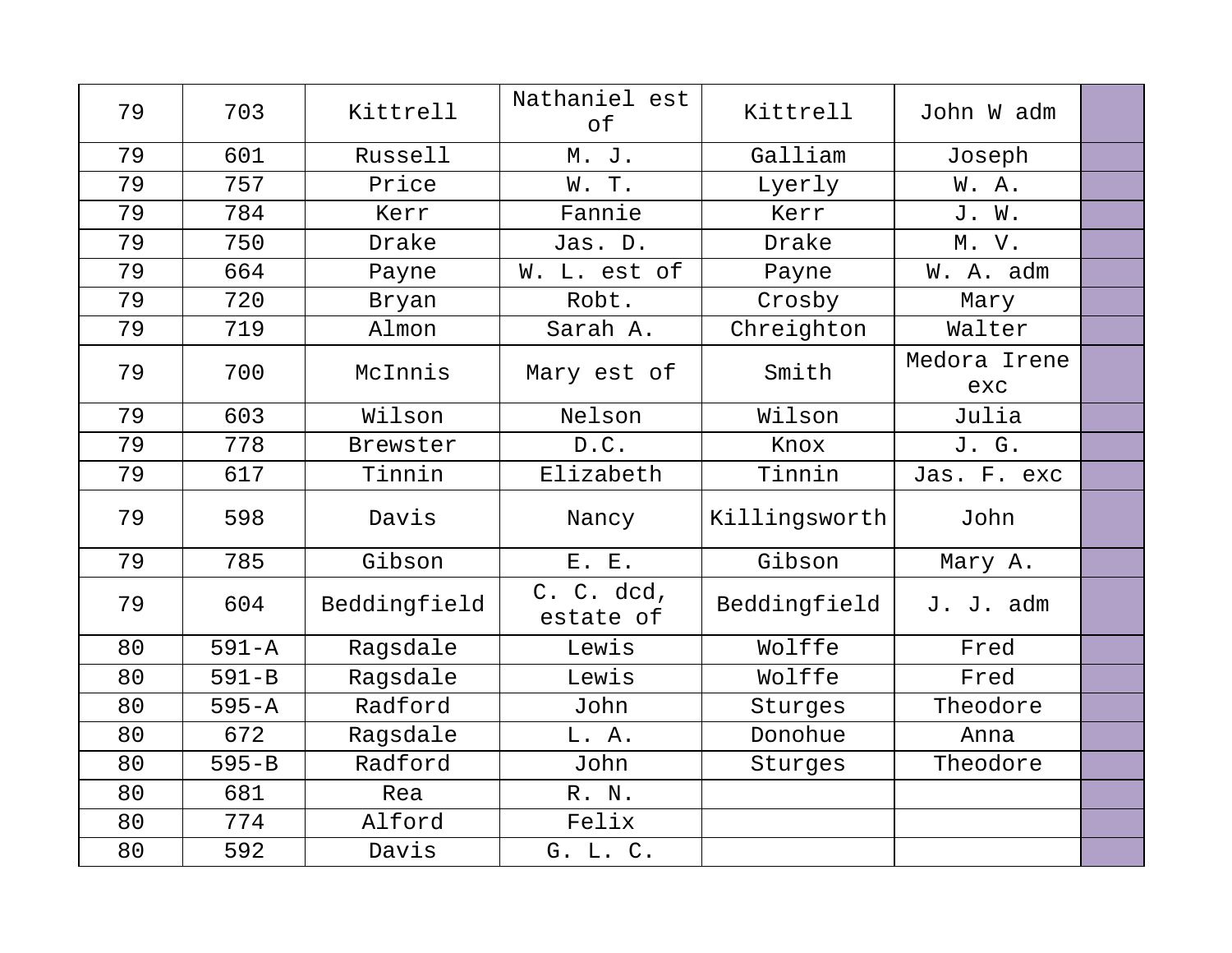| 79 | 703       | Kittrell     | Nathaniel est<br>of     | Kittrell      | John W adm          |  |
|----|-----------|--------------|-------------------------|---------------|---------------------|--|
| 79 | 601       | Russell      | M. J.                   | Galliam       | Joseph              |  |
| 79 | 757       | Price        | W.T.                    | Lyerly        | W.A.                |  |
| 79 | 784       | Kerr         | Fannie                  | Kerr          | J. W.               |  |
| 79 | 750       | Drake        | Jas. D.                 | Drake         | M. V.               |  |
| 79 | 664       | Payne        | W. L. est of            | Payne         | W. A. adm           |  |
| 79 | 720       | Bryan        | Robt.                   | Crosby        | Mary                |  |
| 79 | 719       | Almon        | Sarah A.                | Chreighton    | Walter              |  |
| 79 | 700       | McInnis      | Mary est of             | Smith         | Medora Irene<br>exc |  |
| 79 | 603       | Wilson       | Nelson                  | Wilson        | Julia               |  |
| 79 | 778       | Brewster     | D.C.                    | Knox          | J. G.               |  |
| 79 | 617       | Tinnin       | Elizabeth               | Tinnin        | Jas. F. exc         |  |
| 79 | 598       | Davis        | Nancy                   | Killingsworth | John                |  |
| 79 | 785       | Gibson       | E. E.                   | Gibson        | Mary A.             |  |
| 79 | 604       | Beddingfield | C. C. dcd,<br>estate of | Beddingfield  | J. J. adm           |  |
| 80 | $591 - A$ | Ragsdale     | Lewis                   | Wolffe        | Fred                |  |
| 80 | $591 - B$ | Ragsdale     | Lewis                   | Wolffe        | Fred                |  |
| 80 | $595 - A$ | Radford      | John                    | Sturges       | Theodore            |  |
| 80 | 672       | Ragsdale     | L. A.                   | Donohue       | Anna                |  |
| 80 | $595 - B$ | Radford      | John                    | Sturges       | Theodore            |  |
| 80 | 681       | Rea          | R. N.                   |               |                     |  |
| 80 | 774       | Alford       | Felix                   |               |                     |  |
| 80 | 592       | Davis        | G. L. C.                |               |                     |  |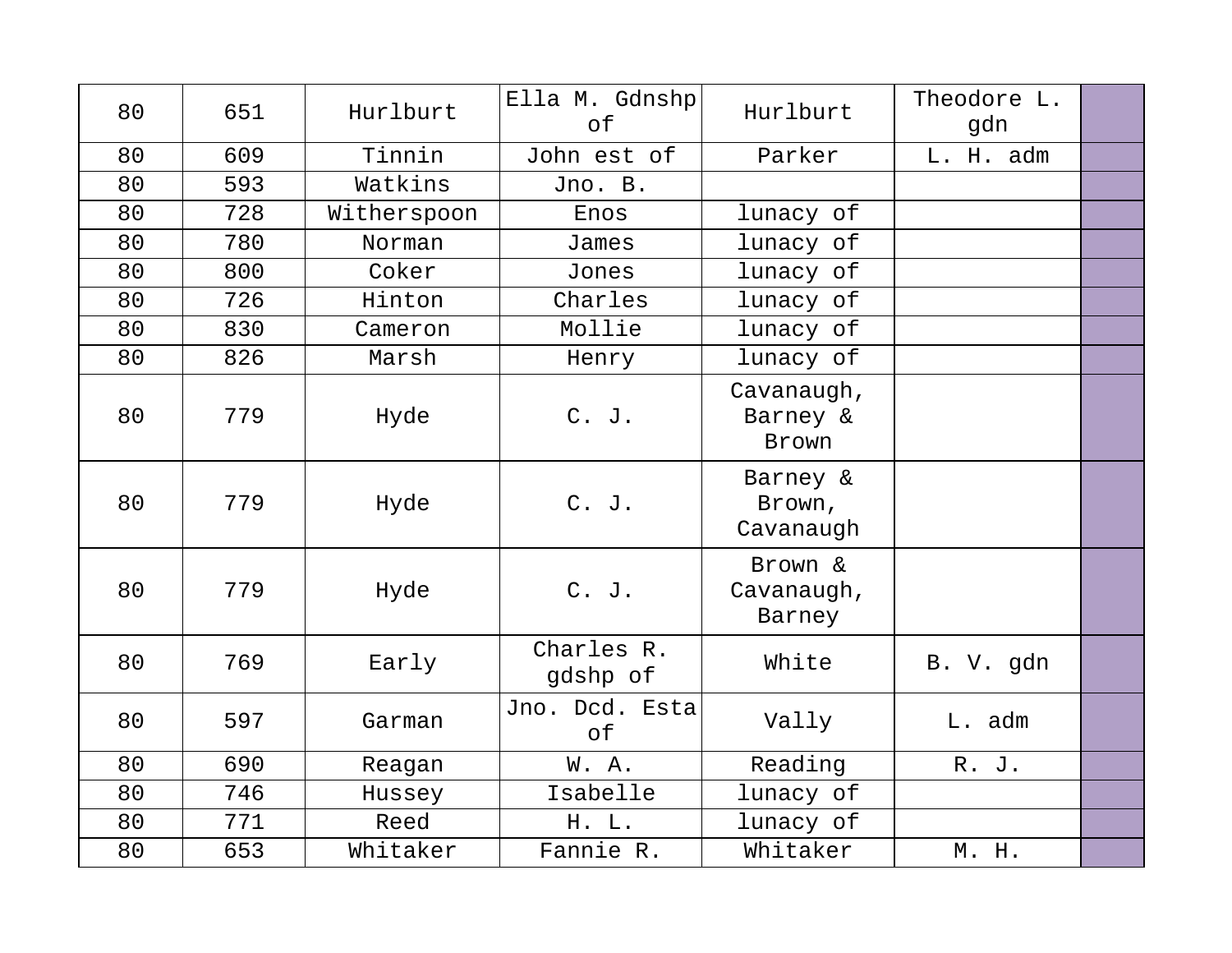| 80 | 651 | Hurlburt    | Ella M. Gdnshp<br>of   | Hurlburt                        | Theodore L.<br>gdn |  |
|----|-----|-------------|------------------------|---------------------------------|--------------------|--|
| 80 | 609 | Tinnin      | John est of            | Parker                          | L. H. adm          |  |
| 80 | 593 | Watkins     | Jno. B.                |                                 |                    |  |
| 80 | 728 | Witherspoon | Enos                   | lunacy of                       |                    |  |
| 80 | 780 | Norman      | James                  | lunacy of                       |                    |  |
| 80 | 800 | Coker       | Jones                  | lunacy of                       |                    |  |
| 80 | 726 | Hinton      | Charles                | lunacy of                       |                    |  |
| 80 | 830 | Cameron     | Mollie                 | lunacy of                       |                    |  |
| 80 | 826 | Marsh       | Henry                  | lunacy of                       |                    |  |
| 80 | 779 | Hyde        | $C.$ J.                | Cavanaugh,<br>Barney &<br>Brown |                    |  |
| 80 | 779 | Hyde        | C. J.                  | Barney &<br>Brown,<br>Cavanaugh |                    |  |
| 80 | 779 | Hyde        | $C.$ J.                | Brown &<br>Cavanaugh,<br>Barney |                    |  |
| 80 | 769 | Early       | Charles R.<br>gdshp of | White                           | B. V. gdn          |  |
| 80 | 597 | Garman      | Jno. Dcd. Esta<br>of   | Vally                           | L. adm             |  |
| 80 | 690 | Reagan      | W.A.                   | Reading                         | R. J.              |  |
| 80 | 746 | Hussey      | Isabelle               | lunacy of                       |                    |  |
| 80 | 771 | Reed        | H. L.                  | lunacy of                       |                    |  |
| 80 | 653 | Whitaker    | Fannie R.              | Whitaker                        | M. H.              |  |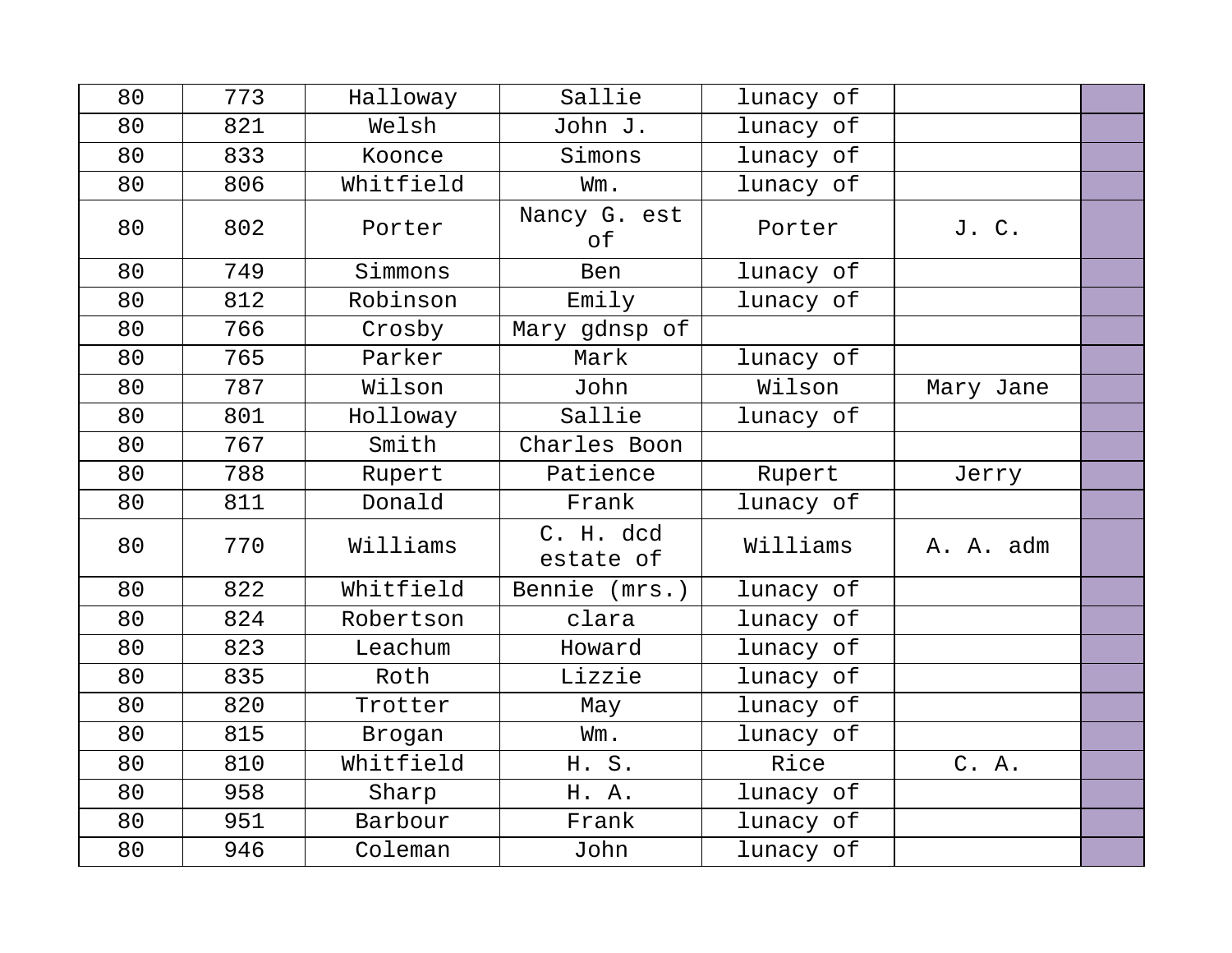| 80 | 773 | Halloway  | Sallie                 | lunacy of |           |  |
|----|-----|-----------|------------------------|-----------|-----------|--|
| 80 | 821 | Welsh     | John J.                | lunacy of |           |  |
| 80 | 833 | Koonce    | Simons                 | lunacy of |           |  |
| 80 | 806 | Whitfield | Wm.                    | lunacy of |           |  |
| 80 | 802 | Porter    | Nancy G. est<br>оf     | Porter    | J. C.     |  |
| 80 | 749 | Simmons   | Ben                    | lunacy of |           |  |
| 80 | 812 | Robinson  | Emily                  | lunacy of |           |  |
| 80 | 766 | Crosby    | Mary gdnsp of          |           |           |  |
| 80 | 765 | Parker    | Mark                   | lunacy of |           |  |
| 80 | 787 | Wilson    | John                   | Wilson    | Mary Jane |  |
| 80 | 801 | Holloway  | Sallie                 | lunacy of |           |  |
| 80 | 767 | Smith     | Charles Boon           |           |           |  |
| 80 | 788 | Rupert    | Patience               | Rupert    | Jerry     |  |
| 80 | 811 | Donald    | Frank                  | lunacy of |           |  |
| 80 | 770 | Williams  | C. H. dcd<br>estate of | Williams  | A. A. adm |  |
| 80 | 822 | Whitfield | Bennie (mrs.)          | lunacy of |           |  |
| 80 | 824 | Robertson | clara                  | lunacy of |           |  |
| 80 | 823 | Leachum   | Howard                 | lunacy of |           |  |
| 80 | 835 | Roth      | Lizzie                 | lunacy of |           |  |
| 80 | 820 | Trotter   | May                    | lunacy of |           |  |
| 80 | 815 | Brogan    | Wm.                    | lunacy of |           |  |
| 80 | 810 | Whitfield | H. S.                  | Rice      | C. A.     |  |
| 80 | 958 | Sharp     | H. A.                  | lunacy of |           |  |
| 80 | 951 | Barbour   | Frank                  | lunacy of |           |  |
| 80 | 946 | Coleman   | John                   | lunacy of |           |  |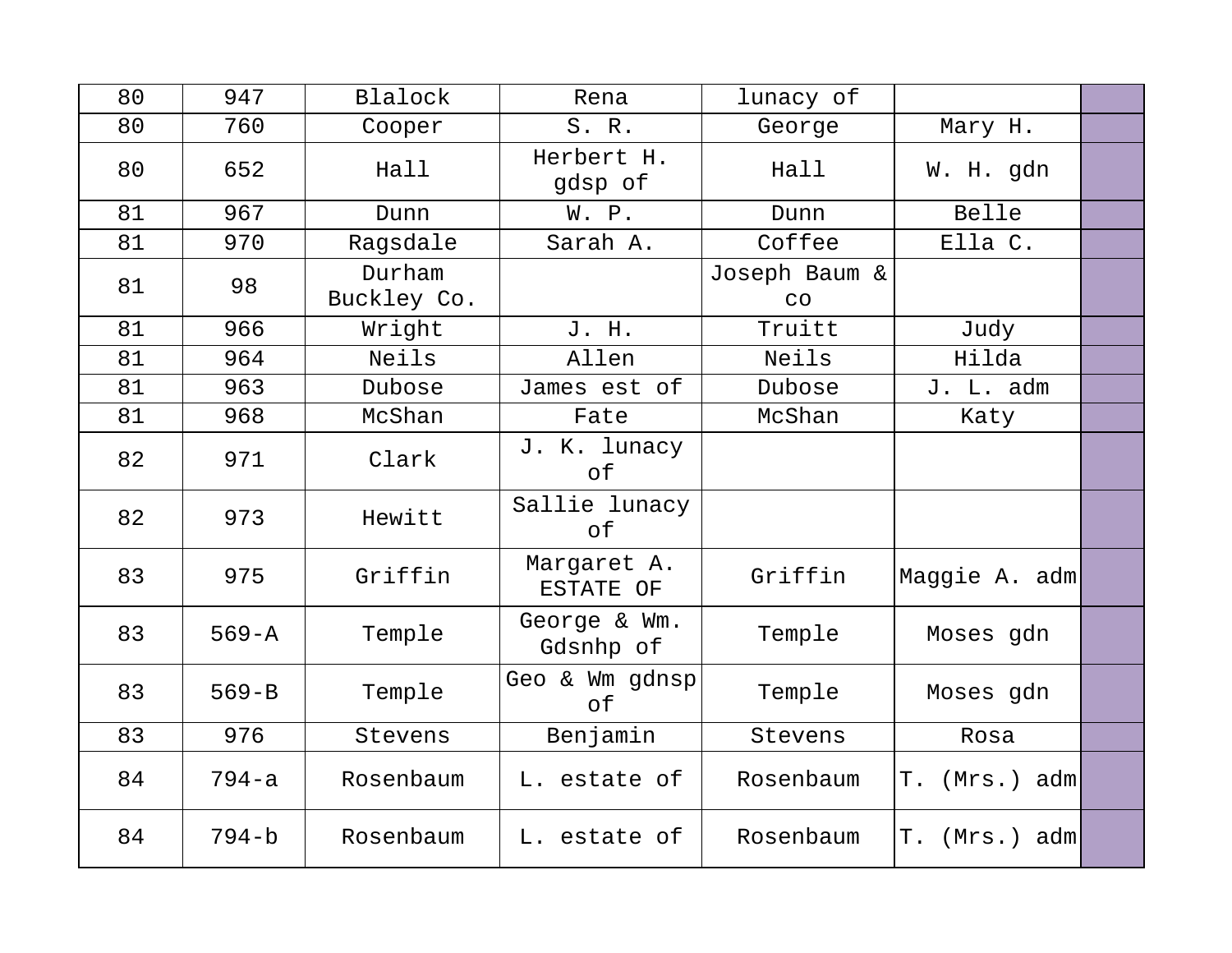| 80 | 947       | Blalock               | Rena                      | lunacy of           |                  |  |
|----|-----------|-----------------------|---------------------------|---------------------|------------------|--|
| 80 | 760       | Cooper                | S. R.                     | George              | Mary H.          |  |
| 80 | 652       | Hall                  | Herbert H.<br>gdsp of     | Hall                | W. H. gdn        |  |
| 81 | 967       | Dunn                  | W. P.                     | Dunn                | Belle            |  |
| 81 | 970       | Ragsdale              | Sarah A.                  | Coffee              | Ella C.          |  |
| 81 | 98        | Durham<br>Buckley Co. |                           | Joseph Baum &<br>CO |                  |  |
| 81 | 966       | Wright                | J. H.                     | Truitt              | Judy             |  |
| 81 | 964       | Neils                 | Allen                     | Neils               | Hilda            |  |
| 81 | 963       | Dubose                | James est of              | Dubose              | J. L. adm        |  |
| 81 | 968       | McShan                | Fate                      | McShan              | Katy             |  |
| 82 | 971       | Clark                 | J. K. lunacy<br>оf        |                     |                  |  |
| 82 | 973       | Hewitt                | Sallie lunacy<br>оf       |                     |                  |  |
| 83 | 975       | Griffin               | Margaret A.<br>ESTATE OF  | Griffin             | Maggie A. adm    |  |
| 83 | $569 - A$ | Temple                | George & Wm.<br>Gdsnhp of | Temple              | Moses gdn        |  |
| 83 | $569 - B$ | Temple                | Geo & Wm gdnsp<br>of      | Temple              | Moses gdn        |  |
| 83 | 976       | Stevens               | Benjamin                  | Stevens             | Rosa             |  |
| 84 | $794 - a$ | Rosenbaum             | L. estate of              | Rosenbaum           | T. (Mrs.) adm    |  |
| 84 | $794-b$   | Rosenbaum             | L. estate of              | Rosenbaum           | Τ.<br>(Mrs.) adm |  |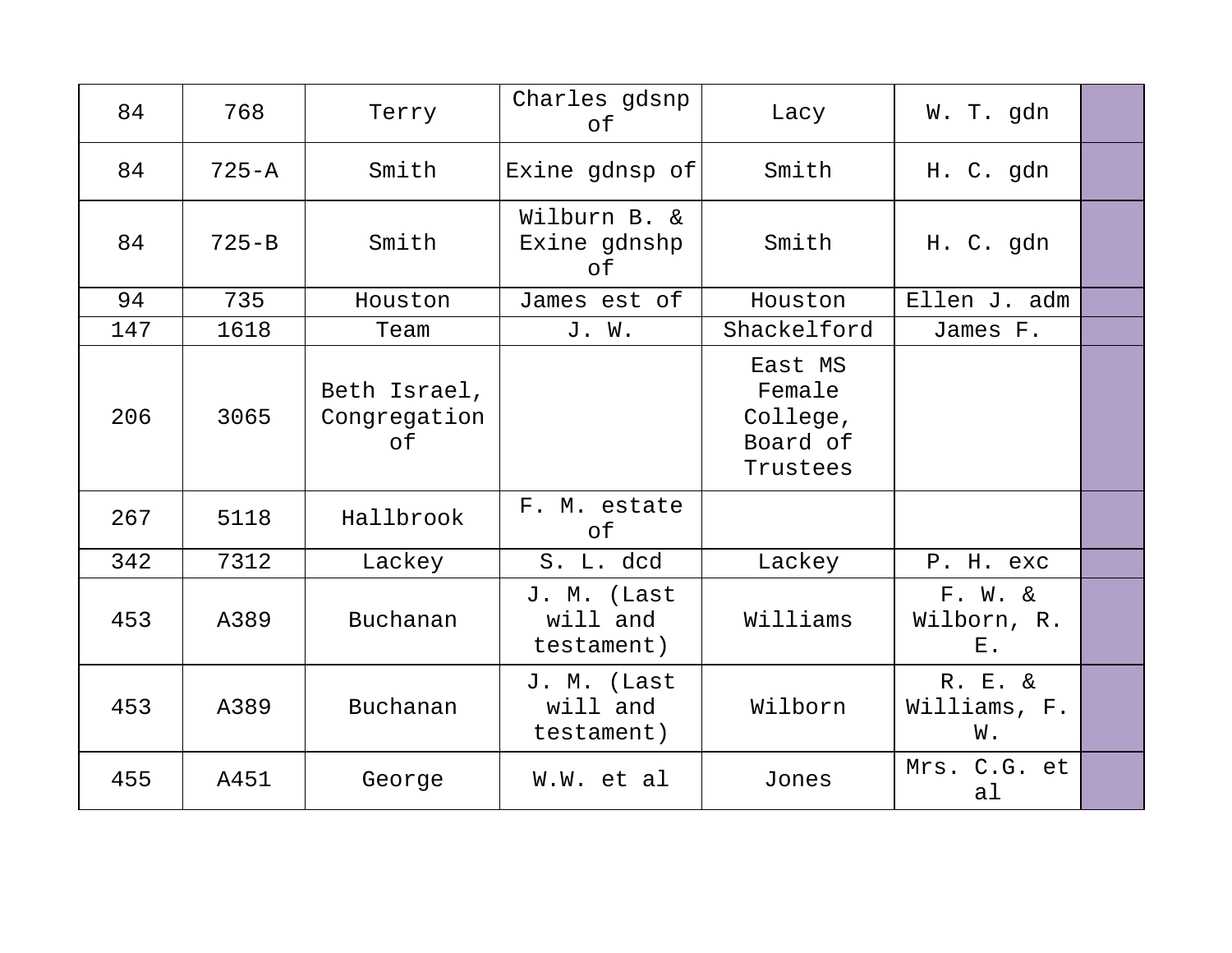| 84  | 768       | Terry                              | Charles gdsnp<br>of                   | Lacy                                                  | W. T. gdn                          |  |
|-----|-----------|------------------------------------|---------------------------------------|-------------------------------------------------------|------------------------------------|--|
| 84  | $725 - A$ | Smith                              | Exine gdnsp of                        | Smith                                                 | H. C. gdn                          |  |
| 84  | $725 - B$ | Smith                              | Wilburn B. &<br>Exine gdnshp<br>оf    | Smith                                                 | H. C. gdn                          |  |
| 94  | 735       | Houston                            | James est of                          | Houston                                               | Ellen J. adm                       |  |
| 147 | 1618      | Team                               | J. W.                                 | Shackelford                                           | James F.                           |  |
| 206 | 3065      | Beth Israel,<br>Congregation<br>of |                                       | East MS<br>Female<br>College,<br>Board of<br>Trustees |                                    |  |
| 267 | 5118      | Hallbrook                          | F. M. estate<br>of                    |                                                       |                                    |  |
| 342 | 7312      | Lackey                             | S. L. dcd                             | Lackey                                                | P. H. exc                          |  |
| 453 | A389      | Buchanan                           | J. M. (Last<br>will and<br>testament) | Williams                                              | $F. W. \&$<br>Wilborn, R.<br>$E$ . |  |
| 453 | A389      | Buchanan                           | J. M. (Last<br>will and<br>testament) | Wilborn                                               | R. E. &<br>Williams, F.<br>W.      |  |
| 455 | A451      | George                             | W.W. et al                            | Jones                                                 | Mrs. C.G. et<br>al                 |  |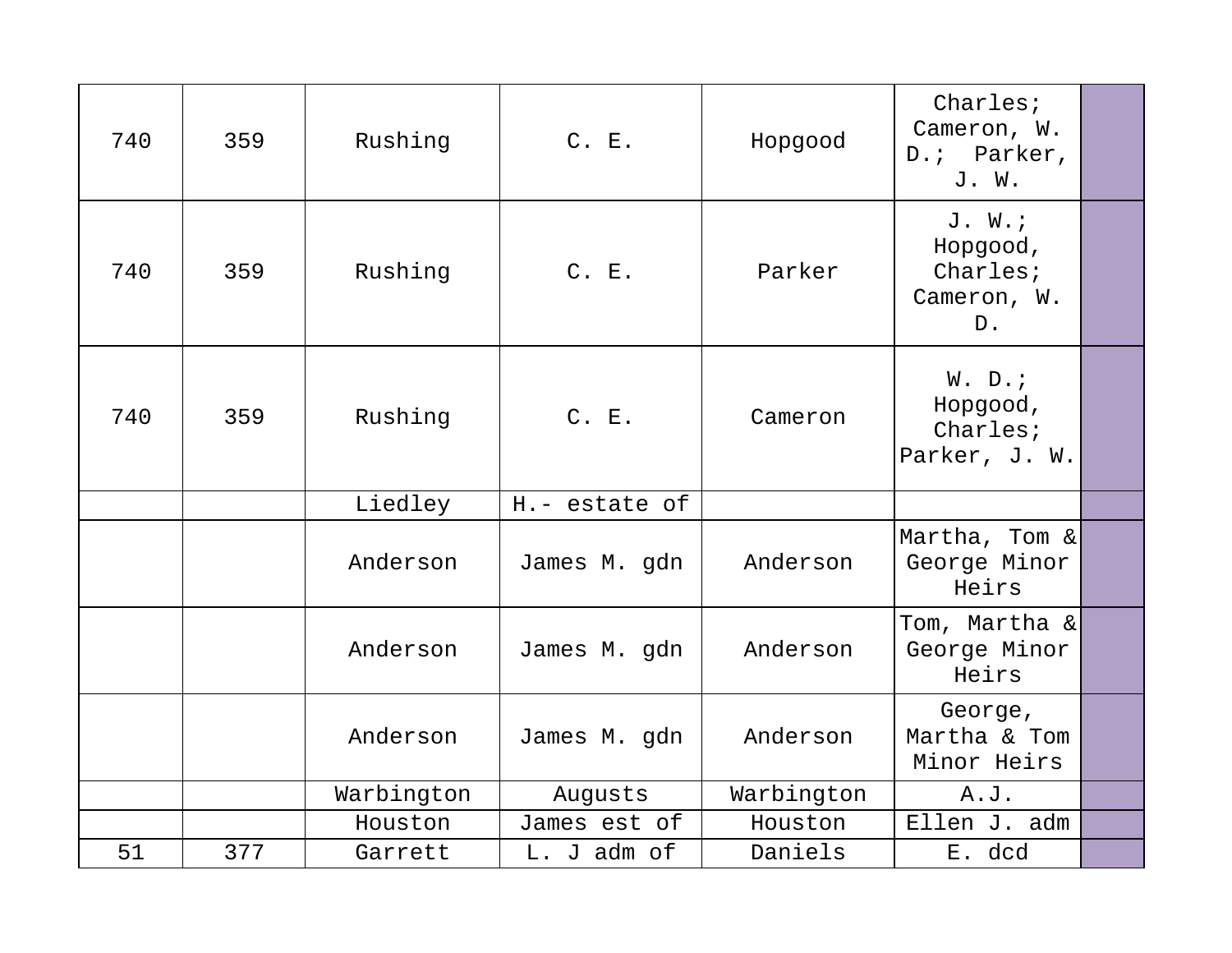| 740 | 359 | Rushing    | C. E.         | Hopgood    | Charles;<br>Cameron, W.<br>D.; Parker,<br>J. W.       |  |
|-----|-----|------------|---------------|------------|-------------------------------------------------------|--|
| 740 | 359 | Rushing    | C. E.         | Parker     | J. W.<br>Hopgood,<br>Charles;<br>Cameron, W.<br>$D$ . |  |
| 740 | 359 | Rushing    | C. E.         | Cameron    | W. D.7<br>Hopgood,<br>Charles;<br>Parker, J. W.       |  |
|     |     | Liedley    | H.- estate of |            |                                                       |  |
|     |     | Anderson   | James M. gdn  | Anderson   | Martha, Tom &<br>George Minor<br>Heirs                |  |
|     |     | Anderson   | James M. gdn  | Anderson   | Tom, Martha &<br>George Minor<br>Heirs                |  |
|     |     | Anderson   | James M. gdn  | Anderson   | George,<br>Martha & Tom<br>Minor Heirs                |  |
|     |     | Warbington | Augusts       | Warbington | A.J.                                                  |  |
|     |     | Houston    | James est of  | Houston    | Ellen J. adm                                          |  |
| 51  | 377 | Garrett    | L. J adm of   | Daniels    | E. dcd                                                |  |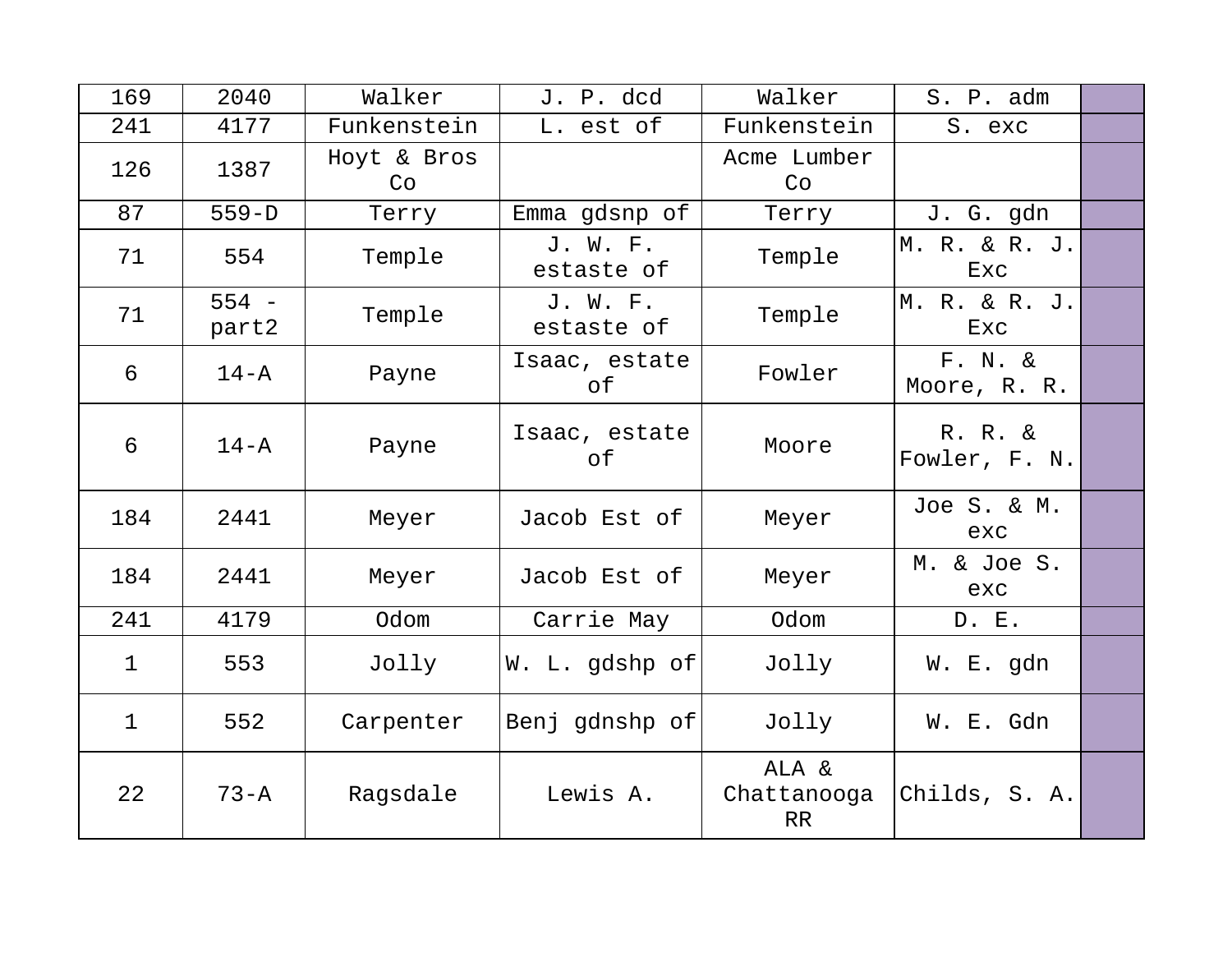| 169         | 2040             | Walker            | J. P. dcd              | Walker                     | S. P. adm                  |  |
|-------------|------------------|-------------------|------------------------|----------------------------|----------------------------|--|
| 241         | 4177             | Funkenstein       | L. est of              | Funkenstein                | S. exc                     |  |
| 126         | 1387             | Hoyt & Bros<br>Co |                        | Acme Lumber<br>Co          |                            |  |
| 87          | $559-D$          | Terry             | Emma gdsnp of          | Terry                      | J. G. gdn                  |  |
| 71          | 554              | Temple            | J. W. F.<br>estaste of | Temple                     | M. R. & R. J.<br>Exc       |  |
| 71          | $554 -$<br>part2 | Temple            | J. W. F.<br>estaste of | Temple                     | M. R. & R. J.<br>Exc       |  |
| 6           | $14 - A$         | Payne             | Isaac, estate<br>οf    | Fowler                     | $F. N. \&$<br>Moore, R. R. |  |
| 6           | $14 - A$         | Payne             | Isaac, estate<br>оf    | Moore                      | R. R. &<br>Fowler, F. N.   |  |
| 184         | 2441             | Meyer             | Jacob Est of           | Meyer                      | Joe S. & M.<br>exc         |  |
| 184         | 2441             | Meyer             | Jacob Est of           | Meyer                      | M. & Joe S.<br>exc         |  |
| 241         | 4179             | Odom              | Carrie May             | Odom                       | D. E.                      |  |
| $\mathbf 1$ | 553              | Jolly             | W. L. gdshp of         | Jolly                      | W. E. gdn                  |  |
| $\mathbf 1$ | 552              | Carpenter         | Benj gdnshp of         | Jolly                      | W. E. Gdn                  |  |
| 22          | $73 - A$         | Ragsdale          | Lewis A.               | ALA &<br>Chattanooga<br>RR | Childs, S. A.              |  |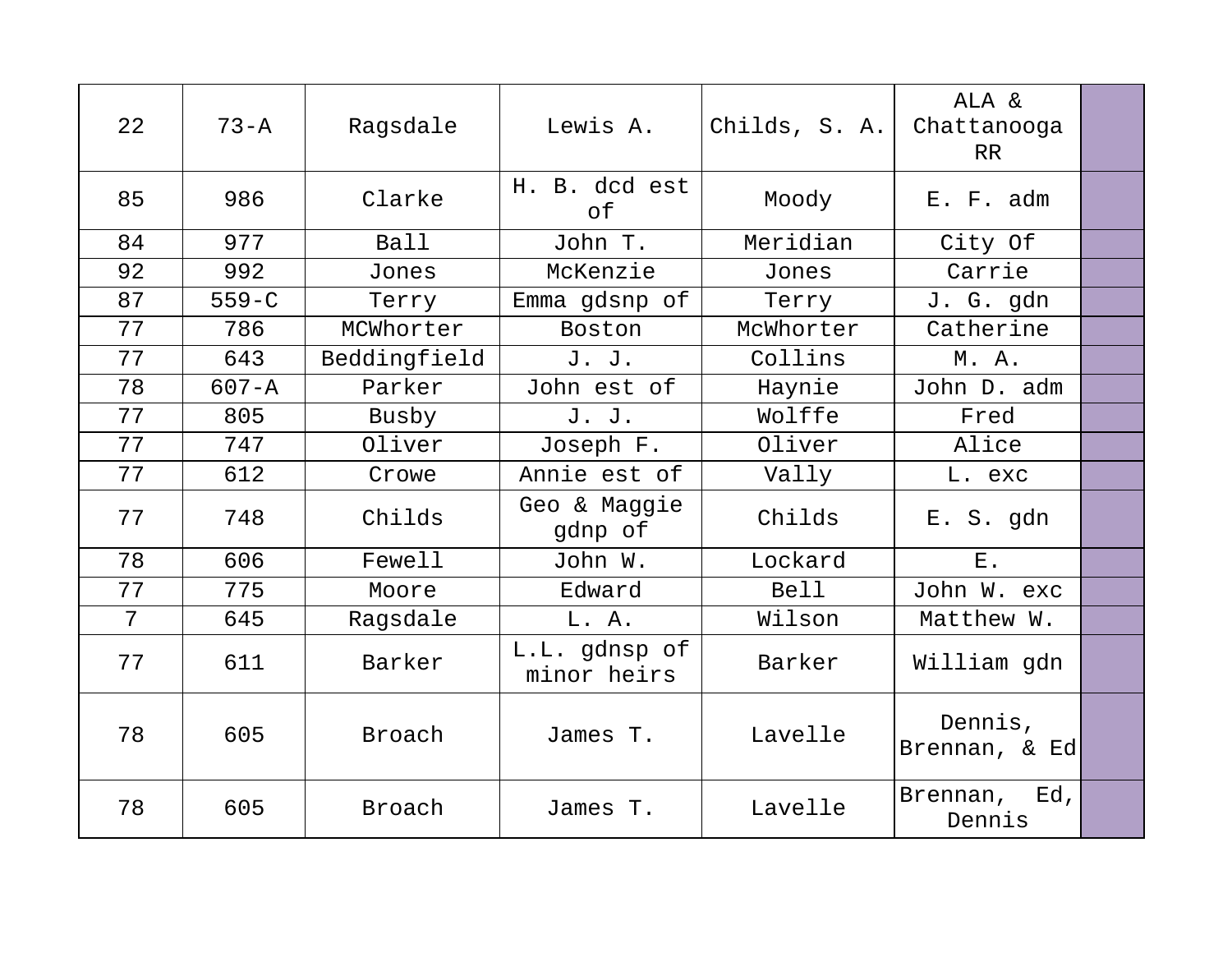| 22 | $73 - A$  | Ragsdale     | Lewis A.                     | Childs, S. A. | ALA &<br>Chattanooga<br>RR |  |
|----|-----------|--------------|------------------------------|---------------|----------------------------|--|
| 85 | 986       | Clarke       | H. B. dcd est<br>of          | Moody         | E. F. adm                  |  |
| 84 | 977       | <b>Ball</b>  | John T.                      | Meridian      | City Of                    |  |
| 92 | 992       | Jones        | McKenzie                     | Jones         | Carrie                     |  |
| 87 | $559 - C$ | Terry        | Emma gdsnp of                | Terry         | J. G. gdn                  |  |
| 77 | 786       | MCWhorter    | Boston                       | McWhorter     | Catherine                  |  |
| 77 | 643       | Beddingfield | J. J.                        | Collins       | M. A.                      |  |
| 78 | $607 - A$ | Parker       | John est of                  | Haynie        | John D. adm                |  |
| 77 | 805       | Busby        | J. J.                        | Wolffe        | Fred                       |  |
| 77 | 747       | Oliver       | Joseph F.                    | Oliver        | Alice                      |  |
| 77 | 612       | Crowe        | Annie est of                 | Vally         | L. exc                     |  |
| 77 | 748       | Childs       | Geo & Maggie<br>gdnp of      | Childs        | E. S. gdn                  |  |
| 78 | 606       | Fewell       | John W.                      | Lockard       | $E$ .                      |  |
| 77 | 775       | Moore        | Edward                       | <b>Bell</b>   | John W. exc                |  |
| 7  | 645       | Ragsdale     | L. A.                        | Wilson        | Matthew W.                 |  |
| 77 | 611       | Barker       | L.L. gdnsp of<br>minor heirs | Barker        | William gdn                |  |
| 78 | 605       | Broach       | James T.                     | Lavelle       | Dennis,<br>Brennan, & Ed   |  |
| 78 | 605       | Broach       | James T.                     | Lavelle       | Brennan, Ed,<br>Dennis     |  |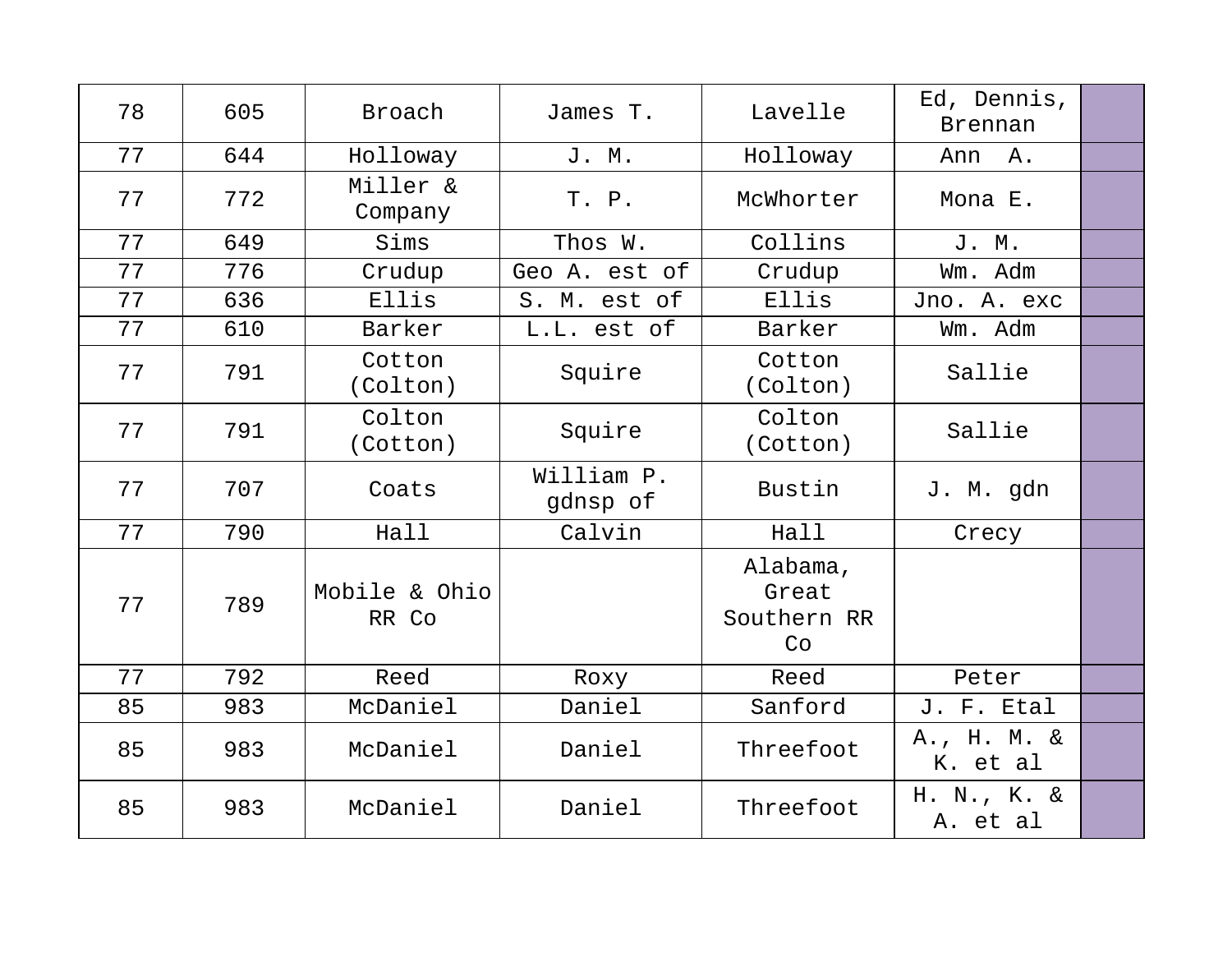| 78 | 605 | Broach                 | James T.               | Lavelle                                | Ed, Dennis,<br>Brennan  |  |
|----|-----|------------------------|------------------------|----------------------------------------|-------------------------|--|
| 77 | 644 | Holloway               | J. M.                  | Holloway                               | Ann A.                  |  |
| 77 | 772 | Miller &<br>Company    | T. P.                  | McWhorter                              | Mona E.                 |  |
| 77 | 649 | Sims                   | Thos W.                | Collins                                | J. M.                   |  |
| 77 | 776 | Crudup                 | Geo A. est of          | Crudup                                 | Wm. Adm                 |  |
| 77 | 636 | Ellis                  | S. M. est of           | Ellis                                  | Jno. A. exc             |  |
| 77 | 610 | Barker                 | L.L. est of            | Barker                                 | Wm. Adm                 |  |
| 77 | 791 | Cotton<br>(Colton)     | Squire                 | Cotton<br>(Colton)                     | Sallie                  |  |
| 77 | 791 | Colton<br>(Cotton)     | Squire                 | Colton<br>(Cotton)                     | Sallie                  |  |
| 77 | 707 | Coats                  | William P.<br>gdnsp of | Bustin                                 | J. M. gdn               |  |
| 77 | 790 | Hall                   | Calvin                 | Hall                                   | Crecy                   |  |
| 77 | 789 | Mobile & Ohio<br>RR Co |                        | Alabama,<br>Great<br>Southern RR<br>Co |                         |  |
| 77 | 792 | Reed                   | Roxy                   | Reed                                   | Peter                   |  |
| 85 | 983 | McDaniel               | Daniel                 | Sanford                                | J. F. Etal              |  |
| 85 | 983 | McDaniel               | Daniel                 | Threefoot                              | A., H. M. &<br>K. et al |  |
| 85 | 983 | McDaniel               | Daniel                 | Threefoot                              | H. N., K. &<br>A. et al |  |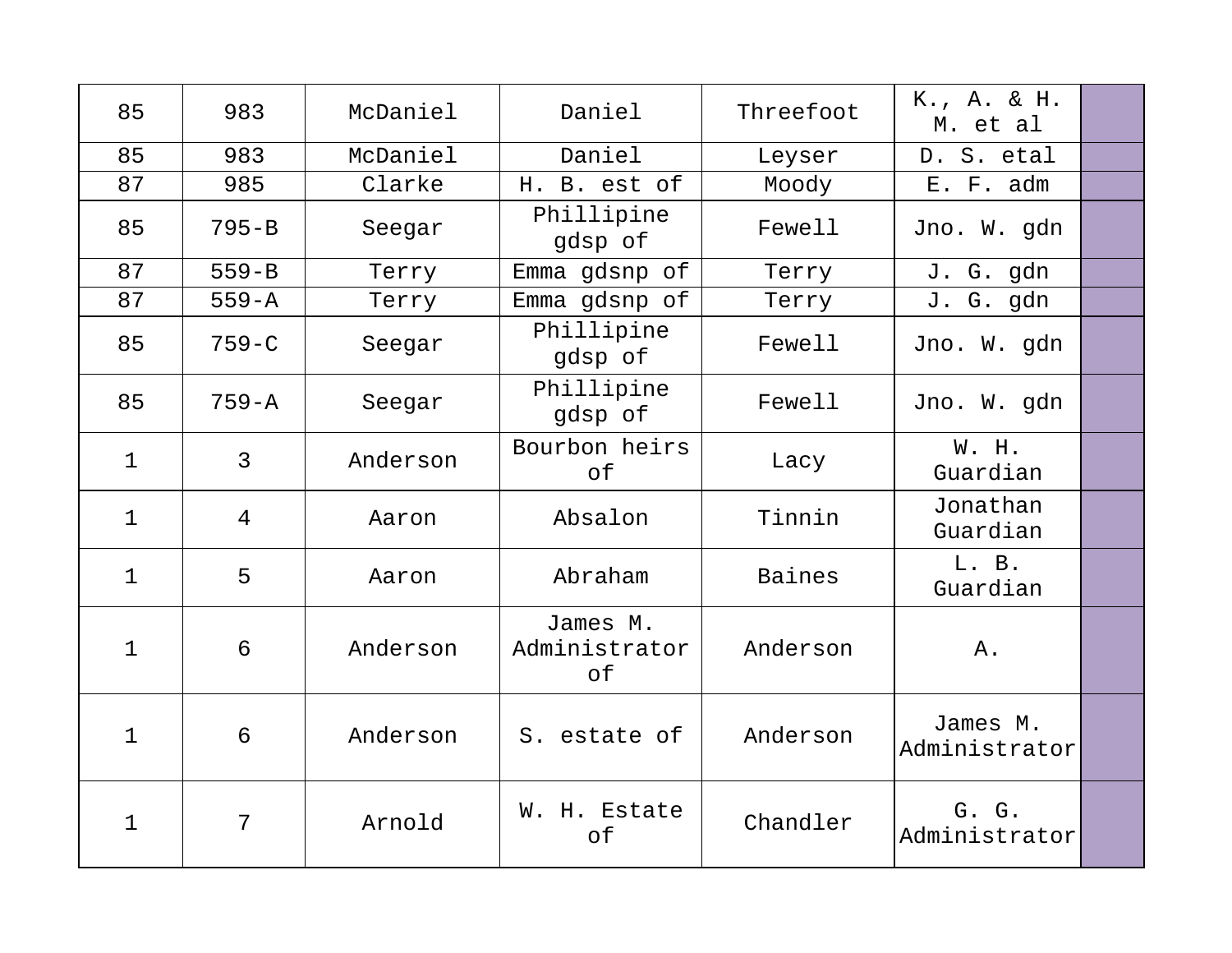| 85          | 983            | McDaniel | Daniel                          | Threefoot | K., A. & H.<br>M. et al   |  |
|-------------|----------------|----------|---------------------------------|-----------|---------------------------|--|
| 85          | 983            | McDaniel | Daniel                          | Leyser    | D. S. etal                |  |
| 87          | 985            | Clarke   | H. B. est of                    | Moody     | E. F. adm                 |  |
| 85          | $795 - B$      | Seegar   | Phillipine<br>gdsp of           | Fewell    | Jno. W. gdn               |  |
| 87          | $559 - B$      | Terry    | Emma gdsnp of                   | Terry     | J. G. gdn                 |  |
| 87          | $559 - A$      | Terry    | Emma gdsnp of                   | Terry     | J. G. gdn                 |  |
| 85          | $759 - C$      | Seegar   | Phillipine<br>gdsp of           | Fewell    | Jno. W. gdn               |  |
| 85          | $759 - A$      | Seegar   | Phillipine<br>gdsp of           | Fewell    | Jno. W. gdn               |  |
| $\mathbf 1$ | $\overline{3}$ | Anderson | Bourbon heirs<br>of             | Lacy      | W. H.<br>Guardian         |  |
| $\mathbf 1$ | $\overline{4}$ | Aaron    | Absalon                         | Tinnin    | Jonathan<br>Guardian      |  |
| 1           | 5              | Aaron    | Abraham                         | Baines    | L. B.<br>Guardian         |  |
| $\mathbf 1$ | 6              | Anderson | James M.<br>Administrator<br>of | Anderson  | Α.                        |  |
| $\mathbf 1$ | 6              | Anderson | S. estate of                    | Anderson  | James M.<br>Administrator |  |
| 1           | 7              | Arnold   | W. H. Estate<br>of              | Chandler  | G. G.<br>Administrator    |  |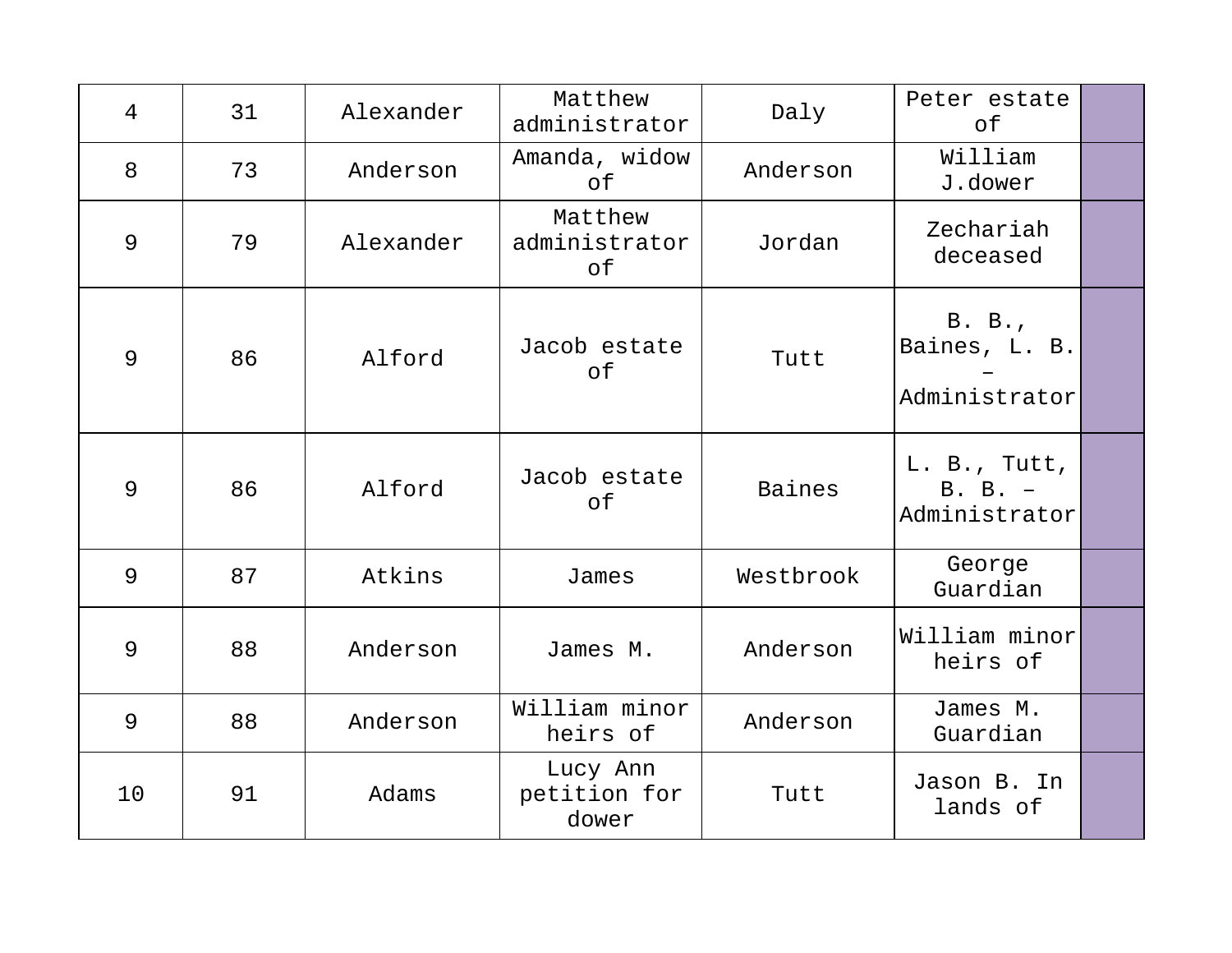| $\overline{4}$ | 31 | Alexander | Matthew<br>administrator          | Daly      | Peter estate<br>of                       |  |
|----------------|----|-----------|-----------------------------------|-----------|------------------------------------------|--|
| 8              | 73 | Anderson  | Amanda, widow<br>of               | Anderson  | William<br>J.dower                       |  |
| 9              | 79 | Alexander | Matthew<br>administrator<br>оf    | Jordan    | Zechariah<br>deceased                    |  |
| 9              | 86 | Alford    | Jacob estate<br>оf                | Tutt      | B. B.<br>Baines, L. B.<br>Administrator  |  |
| 9              | 86 | Alford    | Jacob estate<br>of                | Baines    | L. B., Tutt,<br>B. B. -<br>Administrator |  |
| 9              | 87 | Atkins    | James                             | Westbrook | George<br>Guardian                       |  |
| 9              | 88 | Anderson  | James M.                          | Anderson  | William minor<br>heirs of                |  |
| 9              | 88 | Anderson  | William minor<br>heirs of         | Anderson  | James M.<br>Guardian                     |  |
| 10             | 91 | Adams     | Lucy Ann<br>petition for<br>dower | Tutt      | Jason B. In<br>lands of                  |  |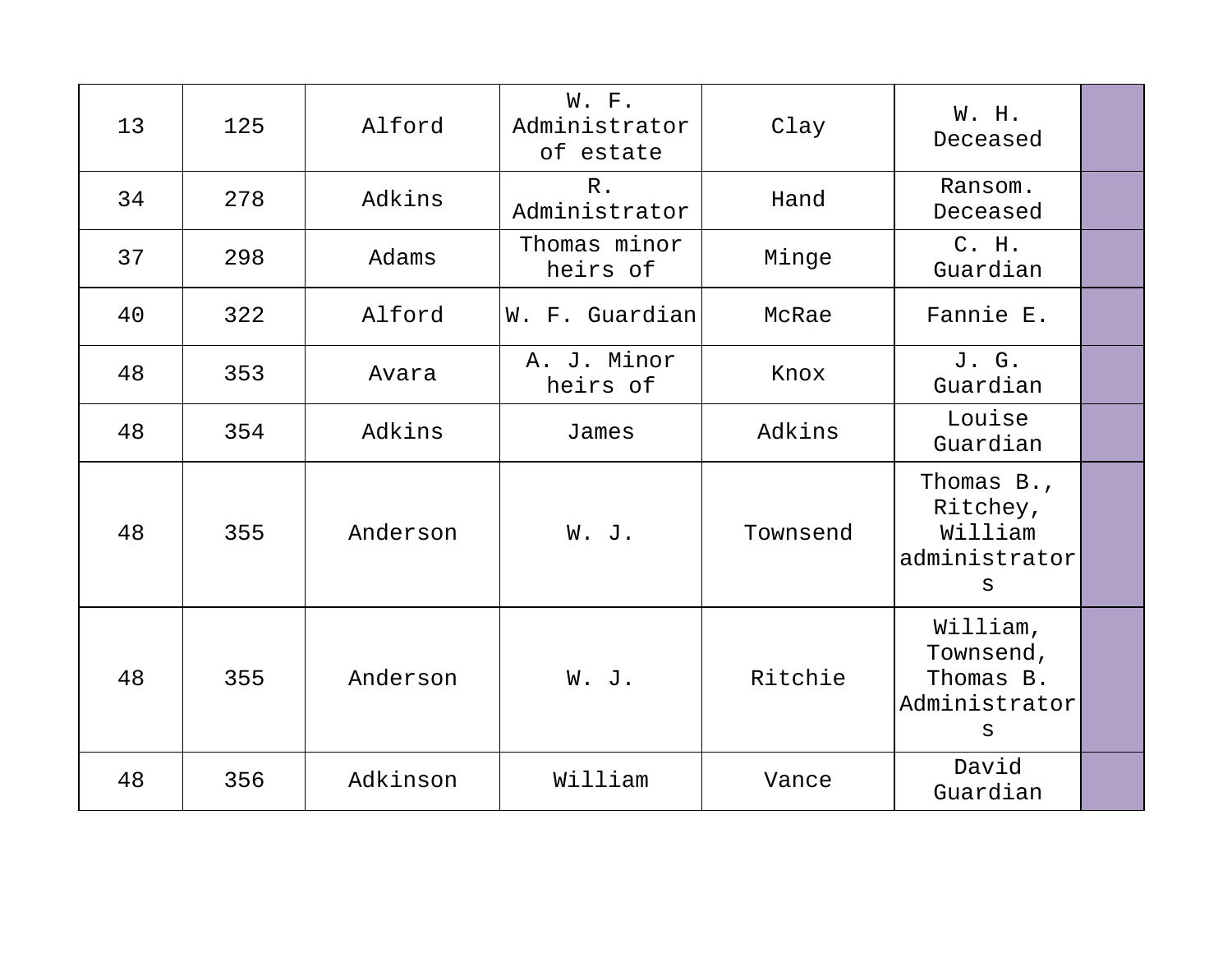| 13 | 125 | Alford   | W. F.<br>Administrator<br>of estate | Clay     | W. H.<br>Deceased                                                  |  |
|----|-----|----------|-------------------------------------|----------|--------------------------------------------------------------------|--|
| 34 | 278 | Adkins   | $R$ .<br>Administrator              | Hand     | Ransom.<br>Deceased                                                |  |
| 37 | 298 | Adams    | Thomas minor<br>heirs of            | Minge    | C. H.<br>Guardian                                                  |  |
| 40 | 322 | Alford   | W. F. Guardian                      | McRae    | Fannie E.                                                          |  |
| 48 | 353 | Avara    | A. J. Minor<br>heirs of             | Knox     | J. G.<br>Guardian                                                  |  |
| 48 | 354 | Adkins   | James                               | Adkins   | Louise<br>Guardian                                                 |  |
| 48 | 355 | Anderson | W. J.                               | Townsend | Thomas B.,<br>Ritchey,<br>William<br>administrator<br>$\mathtt{s}$ |  |
| 48 | 355 | Anderson | W. J.                               | Ritchie  | William,<br>Townsend,<br>Thomas B.<br>Administrator<br>S           |  |
| 48 | 356 | Adkinson | William                             | Vance    | David<br>Guardian                                                  |  |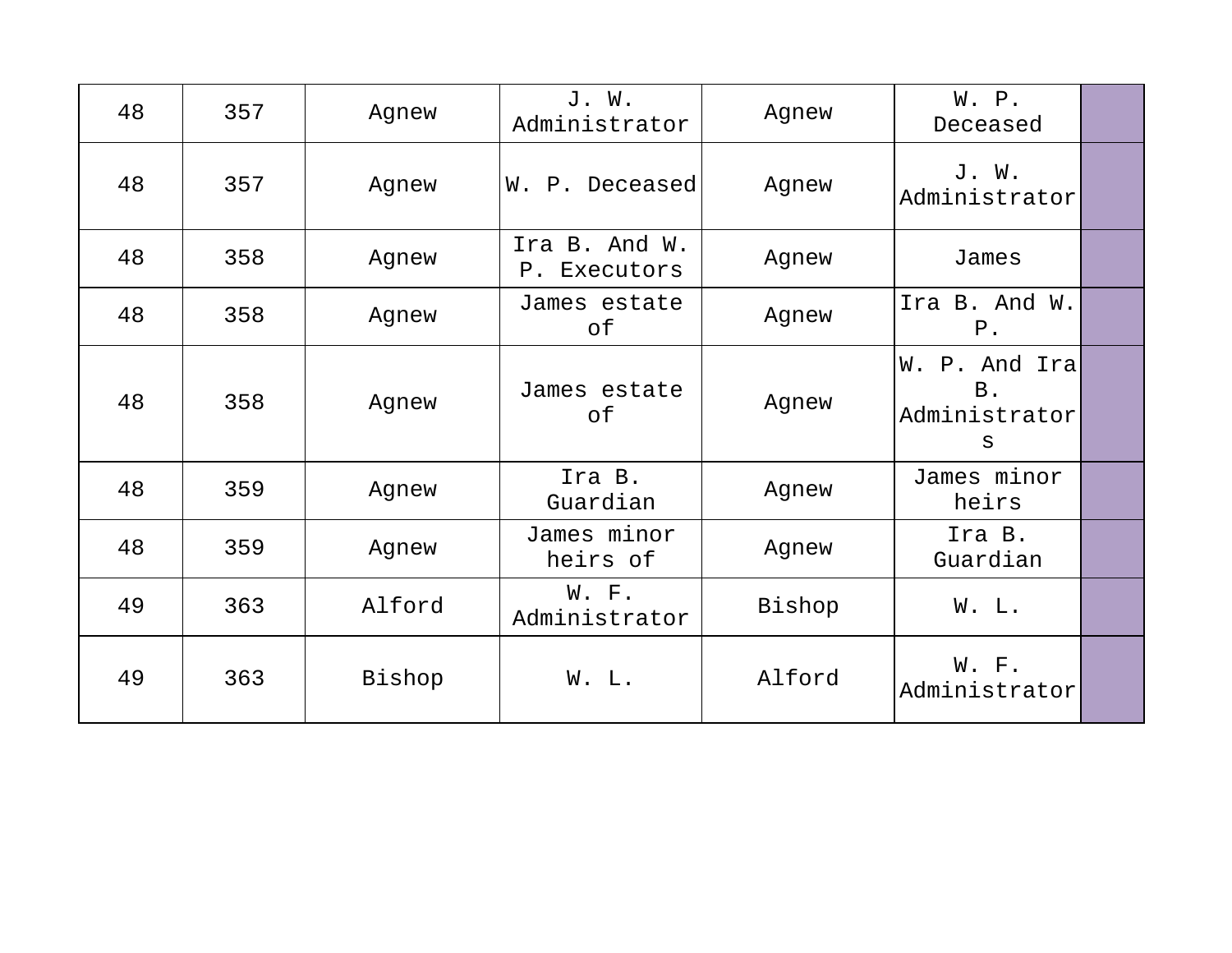| 48 | 357 | Agnew  | J. W.<br>Administrator        | Agnew  | W. P.<br>Deceased                         |  |
|----|-----|--------|-------------------------------|--------|-------------------------------------------|--|
| 48 | 357 | Agnew  | W. P. Deceased                | Agnew  | J. W.<br>Administrator                    |  |
| 48 | 358 | Agnew  | Ira B. And W.<br>P. Executors | Agnew  | James                                     |  |
| 48 | 358 | Agnew  | James estate<br>of            | Agnew  | Ira B. And W.<br>$P$ .                    |  |
| 48 | 358 | Agnew  | James estate<br>of            | Agnew  | W. P. And Ira<br>B.<br>Administrator<br>S |  |
| 48 | 359 | Agnew  | Ira B.<br>Guardian            | Agnew  | James minor<br>heirs                      |  |
| 48 | 359 | Agnew  | James minor<br>heirs of       | Agnew  | Ira B.<br>Guardian                        |  |
| 49 | 363 | Alford | W. F.<br>Administrator        | Bishop | W. L.                                     |  |
| 49 | 363 | Bishop | W. L.                         | Alford | W. F.<br>Administrator                    |  |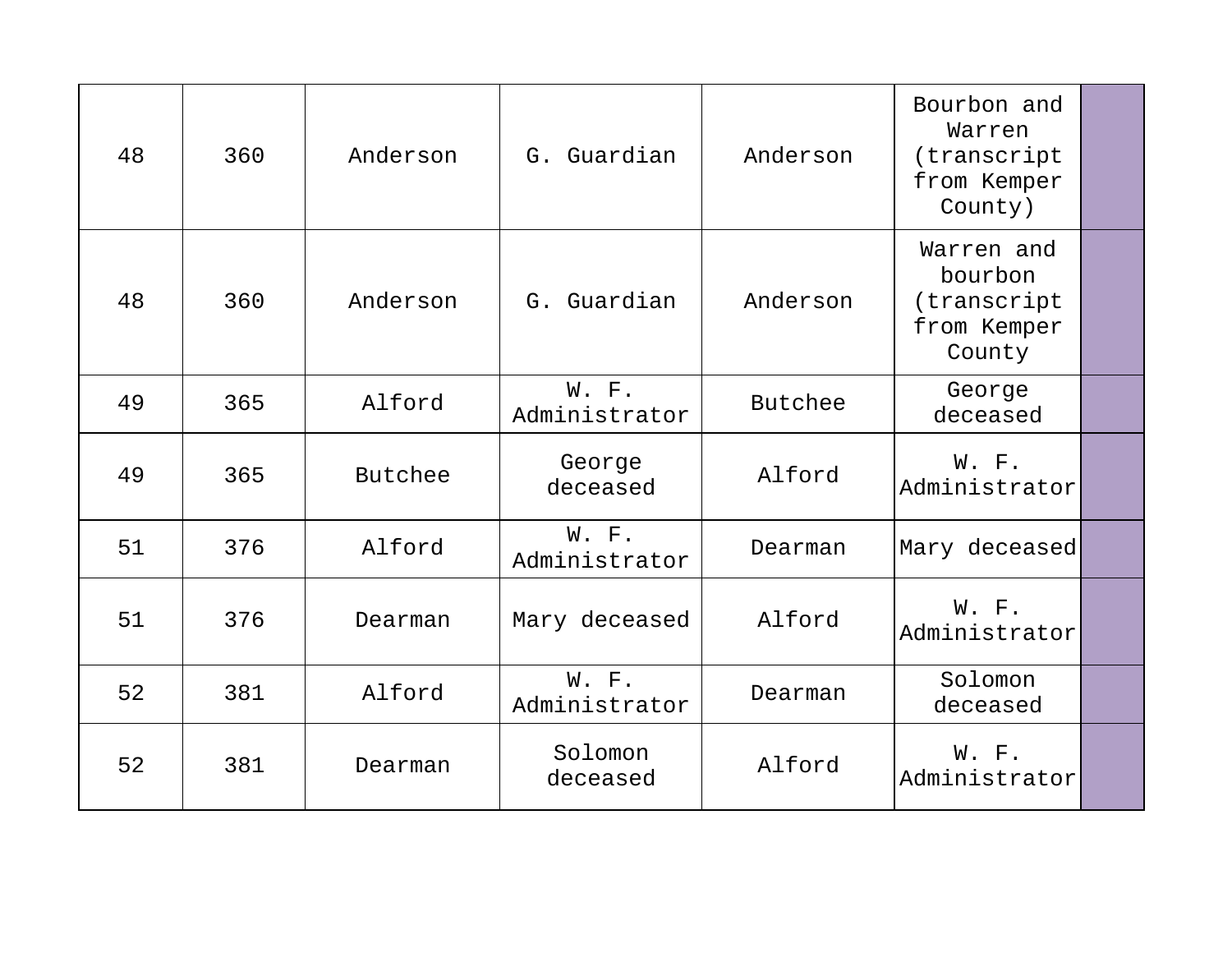| 48 | 360 | Anderson | G. Guardian            | Anderson | Bourbon and<br>Warren<br>(transcript<br>from Kemper<br>County) |  |
|----|-----|----------|------------------------|----------|----------------------------------------------------------------|--|
| 48 | 360 | Anderson | G. Guardian            | Anderson | Warren and<br>bourbon<br>(transcript<br>from Kemper<br>County  |  |
| 49 | 365 | Alford   | W. F.<br>Administrator | Butchee  | George<br>deceased                                             |  |
| 49 | 365 | Butchee  | George<br>deceased     | Alford   | W. F.<br>Administrator                                         |  |
| 51 | 376 | Alford   | W. F.<br>Administrator | Dearman  | Mary deceased                                                  |  |
| 51 | 376 | Dearman  | Mary deceased          | Alford   | W. F.<br>Administrator                                         |  |
| 52 | 381 | Alford   | W. F.<br>Administrator | Dearman  | Solomon<br>deceased                                            |  |
| 52 | 381 | Dearman  | Solomon<br>deceased    | Alford   | W. F.<br>Administrator                                         |  |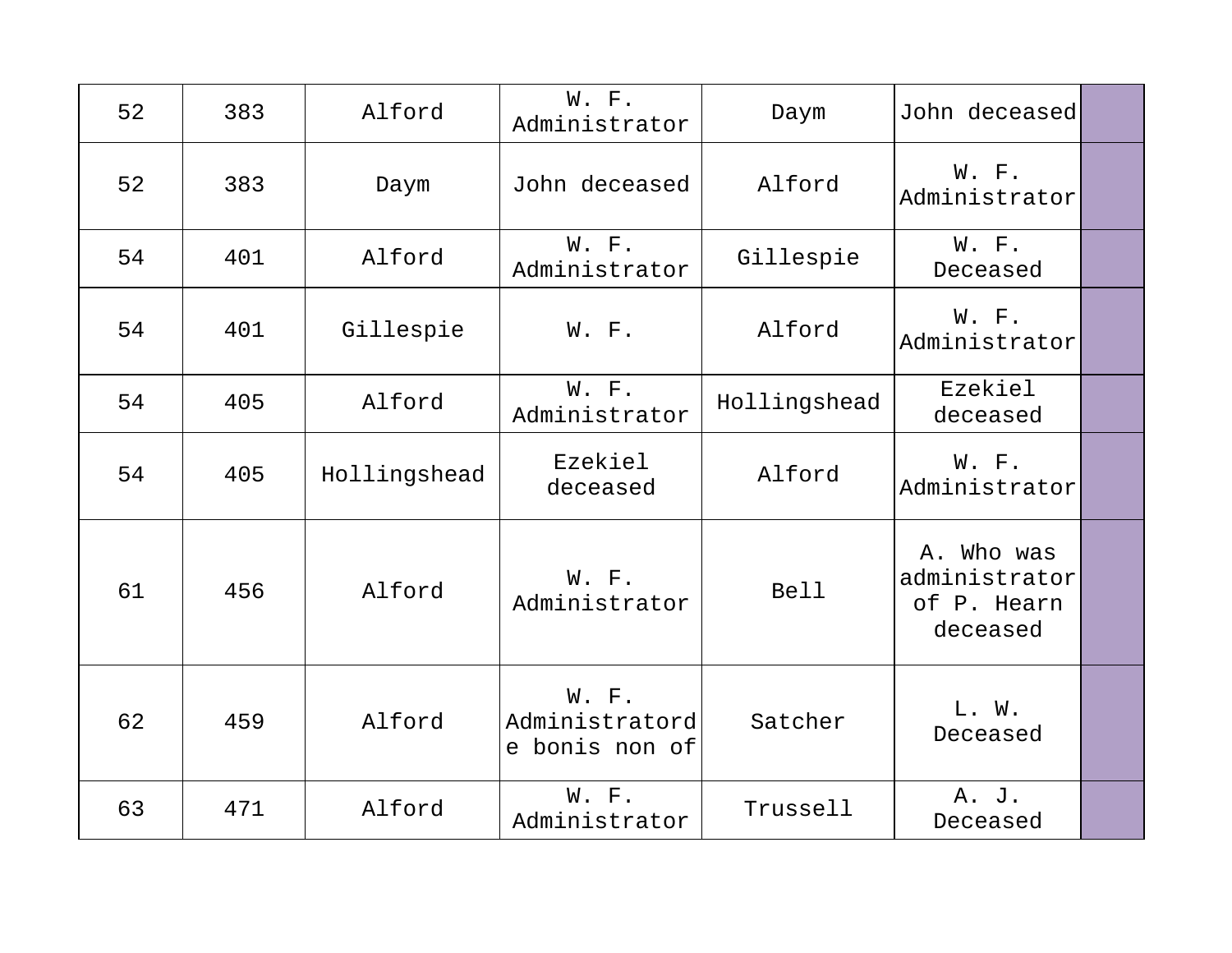| 52 | 383 | Alford       | W. F.<br>Administrator                    | Daym         | John deceased                                          |  |
|----|-----|--------------|-------------------------------------------|--------------|--------------------------------------------------------|--|
| 52 | 383 | Daym         | John deceased                             | Alford       | W. F.<br>Administrator                                 |  |
| 54 | 401 | Alford       | W. F.<br>Administrator                    | Gillespie    | W. F.<br>Deceased                                      |  |
| 54 | 401 | Gillespie    | W. F.                                     | Alford       | W. F.<br>Administrator                                 |  |
| 54 | 405 | Alford       | W. F.<br>Administrator                    | Hollingshead | Ezekiel<br>deceased                                    |  |
| 54 | 405 | Hollingshead | Ezekiel<br>deceased                       | Alford       | W. F.<br>Administrator                                 |  |
| 61 | 456 | Alford       | W. F.<br>Administrator                    | <b>Bell</b>  | A. Who was<br>administrator<br>of P. Hearn<br>deceased |  |
| 62 | 459 | Alford       | W. F.<br>Administratord<br>e bonis non of | Satcher      | L. W.<br>Deceased                                      |  |
| 63 | 471 | Alford       | W. F.<br>Administrator                    | Trussell     | A. J.<br>Deceased                                      |  |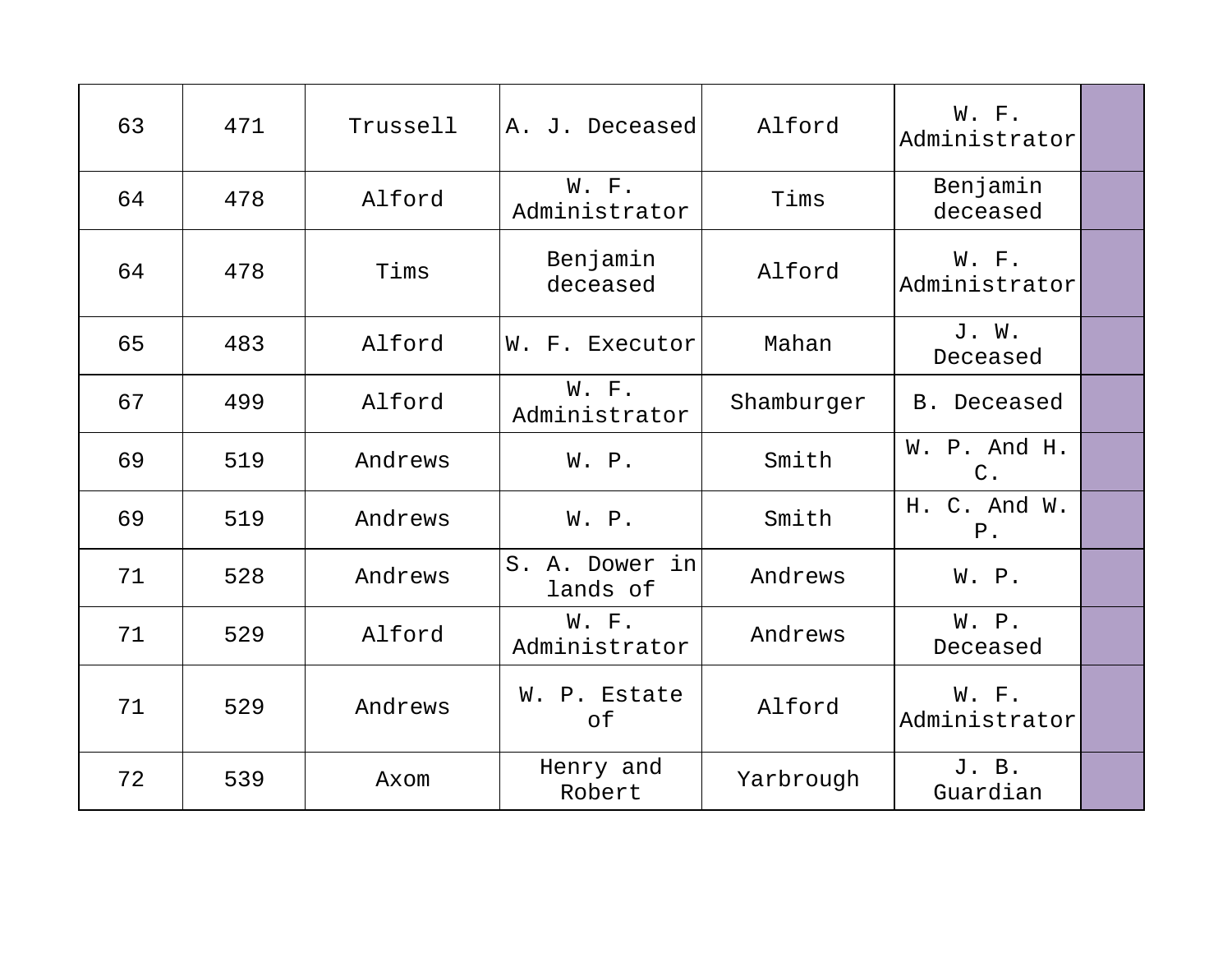| 63 | 471 | Trussell | A. J. Deceased             | Alford     | W. F.<br>Administrator |  |
|----|-----|----------|----------------------------|------------|------------------------|--|
| 64 | 478 | Alford   | W. F.<br>Administrator     | Tims       | Benjamin<br>deceased   |  |
| 64 | 478 | Tims     | Benjamin<br>deceased       | Alford     | W. F.<br>Administrator |  |
| 65 | 483 | Alford   | W. F. Executor             | Mahan      | J. W.<br>Deceased      |  |
| 67 | 499 | Alford   | W. F.<br>Administrator     | Shamburger | B. Deceased            |  |
| 69 | 519 | Andrews  | W. P.                      | Smith      | W. P. And H.<br>$C$ .  |  |
| 69 | 519 | Andrews  | W. P.                      | Smith      | H. C. And W.<br>$P$ .  |  |
| 71 | 528 | Andrews  | S. A. Dower in<br>lands of | Andrews    | W. P.                  |  |
| 71 | 529 | Alford   | W. F.<br>Administrator     | Andrews    | W. P.<br>Deceased      |  |
| 71 | 529 | Andrews  | W. P. Estate<br>of         | Alford     | W. F.<br>Administrator |  |
| 72 | 539 | Axom     | Henry and<br>Robert        | Yarbrough  | J. B.<br>Guardian      |  |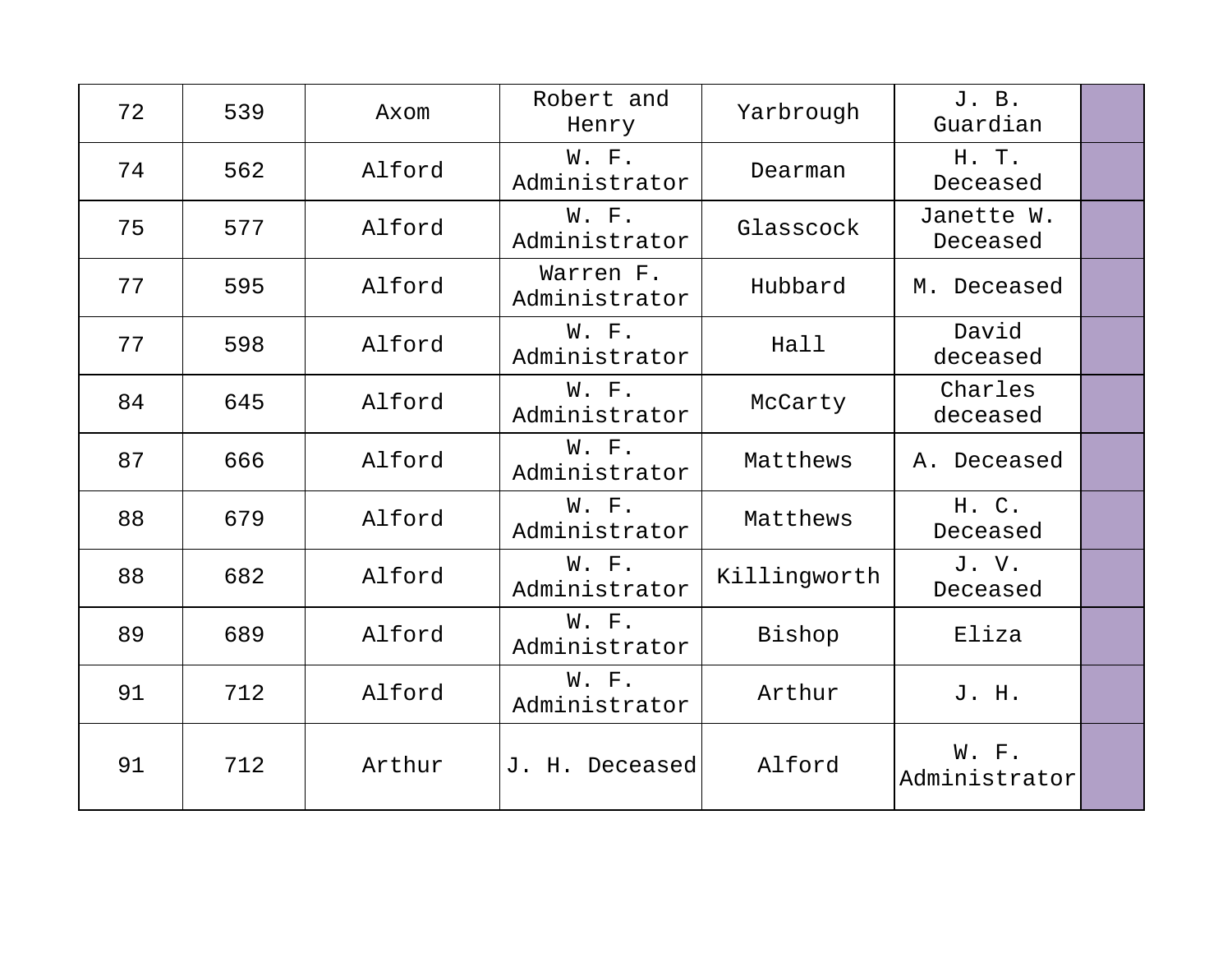| 72 | 539 | Axom   | Robert and<br>Henry        | Yarbrough    | J. B.<br>Guardian      |  |
|----|-----|--------|----------------------------|--------------|------------------------|--|
| 74 | 562 | Alford | W. F.<br>Administrator     | Dearman      | H. T.<br>Deceased      |  |
| 75 | 577 | Alford | W. F.<br>Administrator     | Glasscock    | Janette W.<br>Deceased |  |
| 77 | 595 | Alford | Warren F.<br>Administrator | Hubbard      | M. Deceased            |  |
| 77 | 598 | Alford | W. F.<br>Administrator     | Hall         | David<br>deceased      |  |
| 84 | 645 | Alford | W. F.<br>Administrator     | McCarty      | Charles<br>deceased    |  |
| 87 | 666 | Alford | W. F.<br>Administrator     | Matthews     | A. Deceased            |  |
| 88 | 679 | Alford | W. F.<br>Administrator     | Matthews     | H. C.<br>Deceased      |  |
| 88 | 682 | Alford | W. F.<br>Administrator     | Killingworth | J.V.<br>Deceased       |  |
| 89 | 689 | Alford | W. F.<br>Administrator     | Bishop       | Eliza                  |  |
| 91 | 712 | Alford | W. F.<br>Administrator     | Arthur       | J. H.                  |  |
| 91 | 712 | Arthur | J. H. Deceased             | Alford       | W. F.<br>Administrator |  |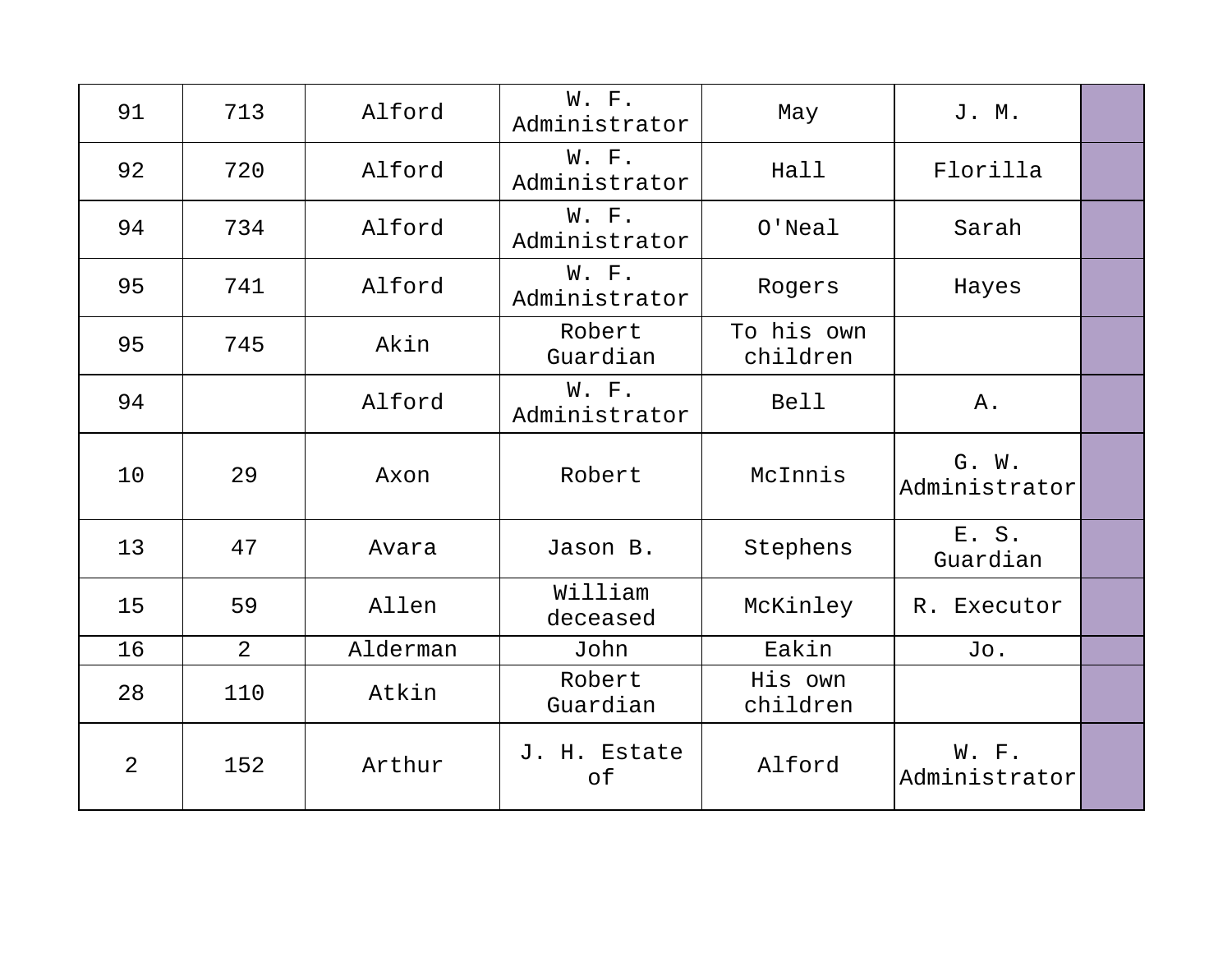| 91 | 713 | Alford   | W. F.<br>Administrator | May                    | J. M.                  |  |
|----|-----|----------|------------------------|------------------------|------------------------|--|
| 92 | 720 | Alford   | W. F.<br>Administrator | Hall                   | Florilla               |  |
| 94 | 734 | Alford   | W. F.<br>Administrator | $O'$ Neal              | Sarah                  |  |
| 95 | 741 | Alford   | W. F.<br>Administrator | Rogers                 | Hayes                  |  |
| 95 | 745 | Akin     | Robert<br>Guardian     | To his own<br>children |                        |  |
| 94 |     | Alford   | W. F.<br>Administrator | <b>Bell</b>            | Α.                     |  |
| 10 | 29  | Axon     | Robert                 | McInnis                | G. W.<br>Administrator |  |
| 13 | 47  | Avara    | Jason B.               | Stephens               | E. S.<br>Guardian      |  |
| 15 | 59  | Allen    | William<br>deceased    | McKinley               | R. Executor            |  |
| 16 | 2   | Alderman | John                   | Eakin                  | Jo.                    |  |
| 28 | 110 | Atkin    | Robert<br>Guardian     | His own<br>children    |                        |  |
| 2  | 152 | Arthur   | J. H. Estate<br>of     | Alford                 | W. F.<br>Administrator |  |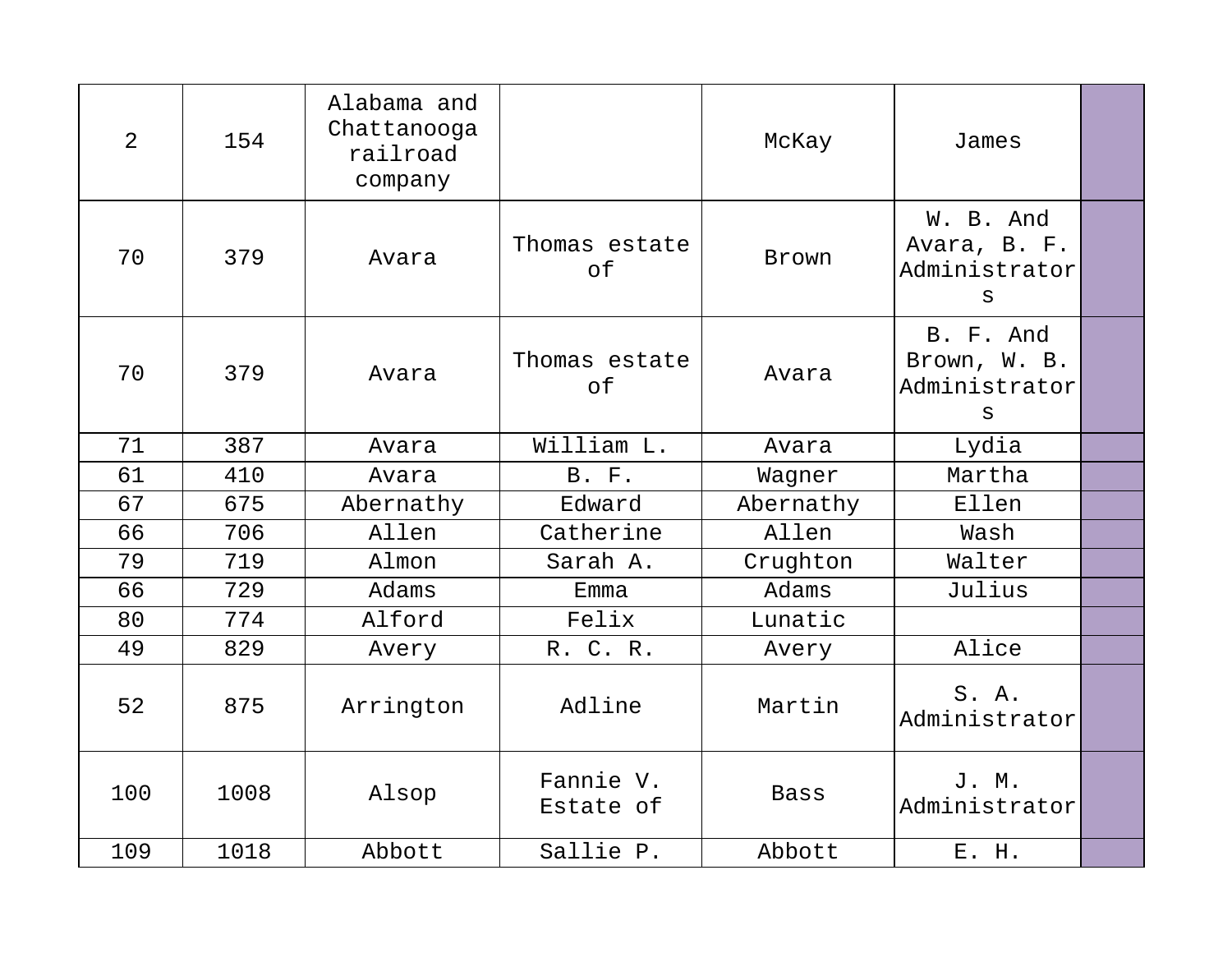| $\overline{2}$ | 154  | Alabama and<br>Chattanooga<br>railroad<br>company |                        | McKay        | James                                                      |  |
|----------------|------|---------------------------------------------------|------------------------|--------------|------------------------------------------------------------|--|
| 70             | 379  | Avara                                             | Thomas estate<br>of    | <b>Brown</b> | W. B. And<br>Avara, B. F.<br>Administrator<br>$\mathtt{s}$ |  |
| 70             | 379  | Avara                                             | Thomas estate<br>of    | Avara        | B. F. And<br>Brown, W. B.<br>Administrator<br>S            |  |
| 71             | 387  | Avara                                             | William L.             | Avara        | Lydia                                                      |  |
| 61             | 410  | Avara                                             | B. F.                  | Wagner       | Martha                                                     |  |
| 67             | 675  | Abernathy                                         | Edward                 | Abernathy    | Ellen                                                      |  |
| 66             | 706  | Allen                                             | Catherine              | Allen        | Wash                                                       |  |
| 79             | 719  | Almon                                             | Sarah A.               | Crughton     | Walter                                                     |  |
| 66             | 729  | Adams                                             | Emma                   | Adams        | Julius                                                     |  |
| 80             | 774  | Alford                                            | Felix                  | Lunatic      |                                                            |  |
| 49             | 829  | Avery                                             | R. C. R.               | Avery        | Alice                                                      |  |
| 52             | 875  | Arrington                                         | Adline                 | Martin       | S. A.<br>Administrator                                     |  |
| 100            | 1008 | Alsop                                             | Fannie V.<br>Estate of | <b>Bass</b>  | J. M.<br>Administrator                                     |  |
| 109            | 1018 | Abbott                                            | Sallie P.              | Abbott       | E. H.                                                      |  |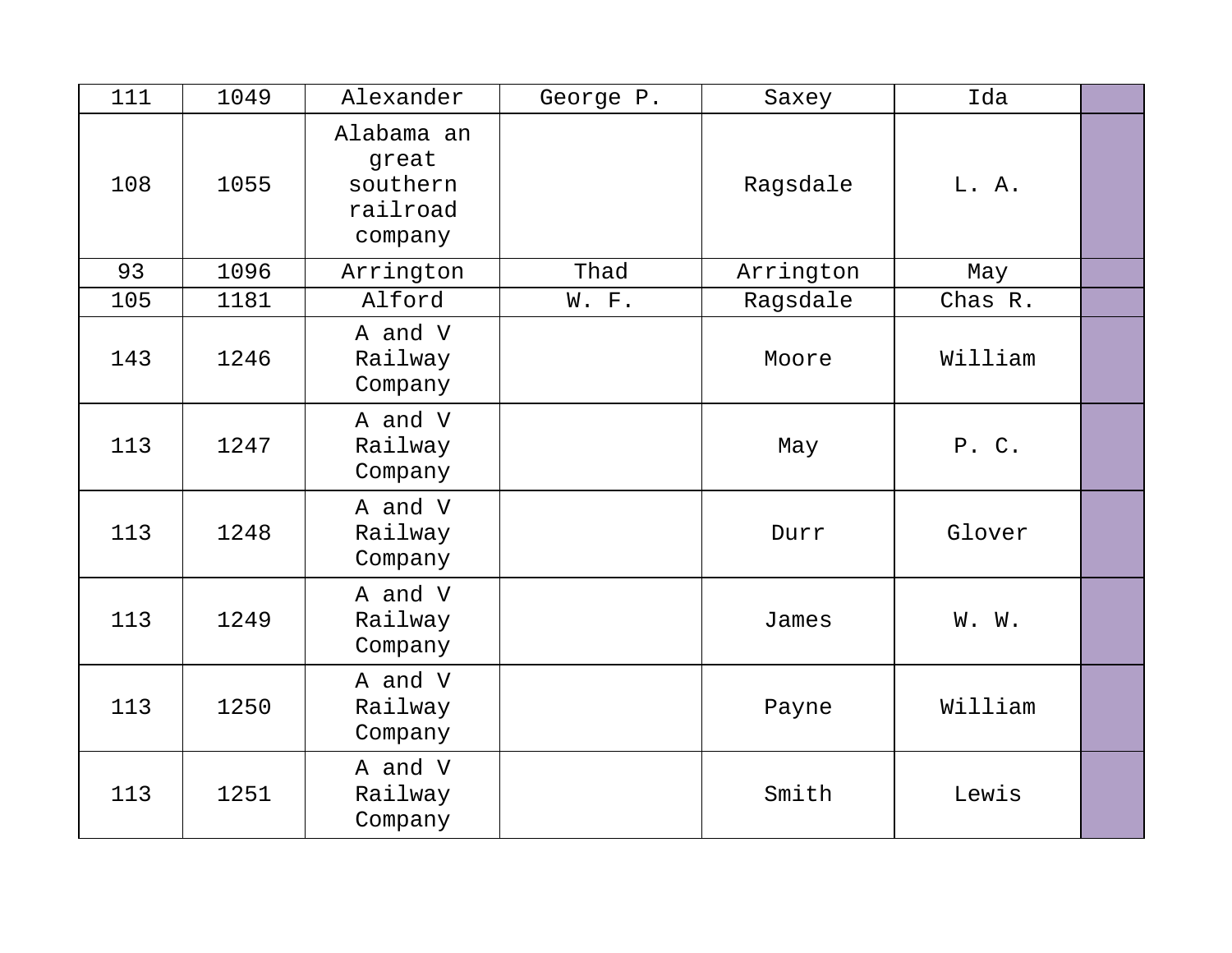| 111 | 1049 | Alexander                                              | George P. | Saxey     | Ida     |  |
|-----|------|--------------------------------------------------------|-----------|-----------|---------|--|
| 108 | 1055 | Alabama an<br>great<br>southern<br>railroad<br>company |           | Ragsdale  | L. A.   |  |
| 93  | 1096 | Arrington                                              | Thad      | Arrington | May     |  |
| 105 | 1181 | Alford                                                 | W. F.     | Ragsdale  | Chas R. |  |
| 143 | 1246 | A and V<br>Railway<br>Company                          |           | Moore     | William |  |
| 113 | 1247 | A and V<br>Railway<br>Company                          |           | May       | P. C.   |  |
| 113 | 1248 | A and V<br>Railway<br>Company                          |           | Durr      | Glover  |  |
| 113 | 1249 | A and V<br>Railway<br>Company                          |           | James     | W. W.   |  |
| 113 | 1250 | A and V<br>Railway<br>Company                          |           | Payne     | William |  |
| 113 | 1251 | A and V<br>Railway<br>Company                          |           | Smith     | Lewis   |  |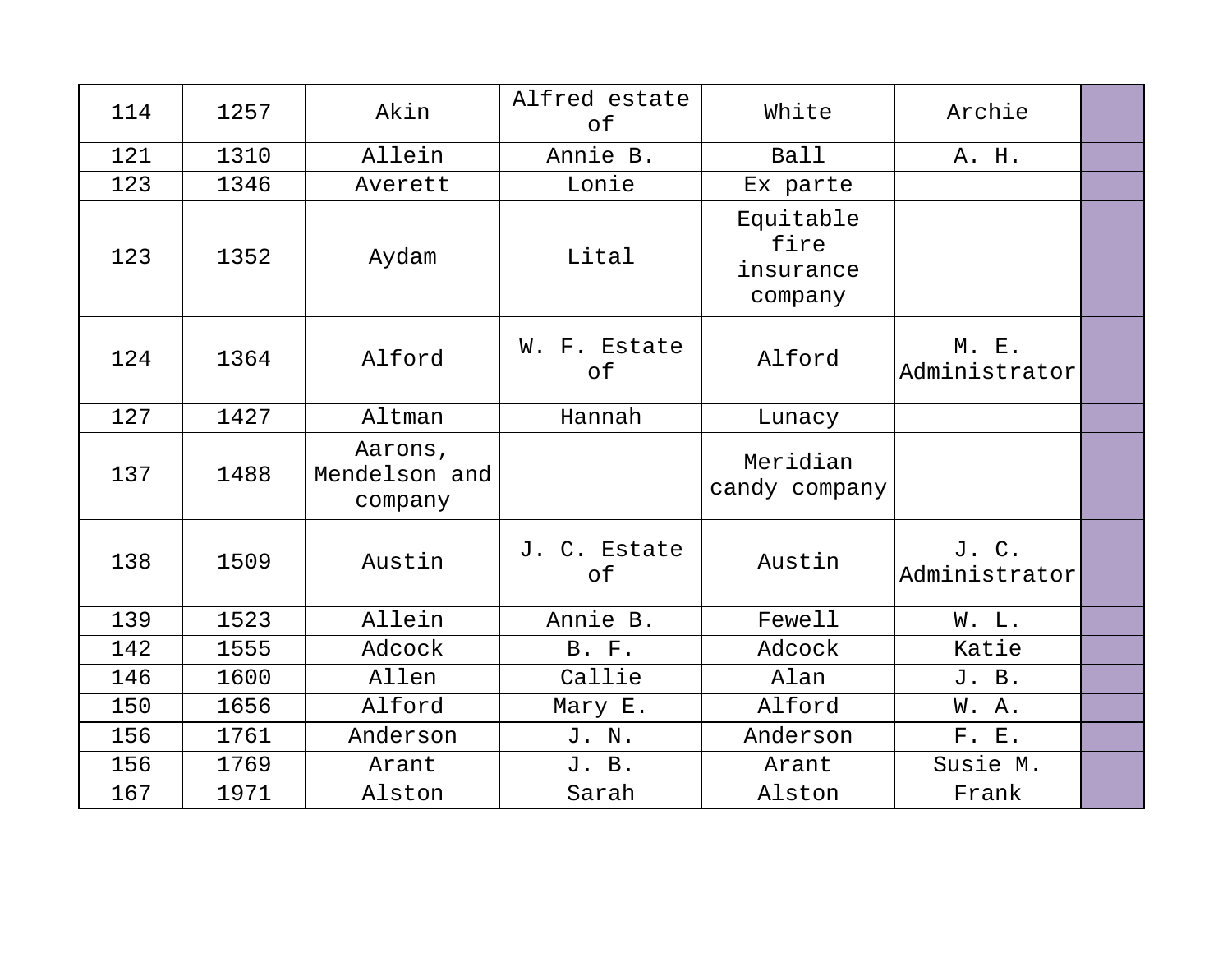| 114 | 1257 | Akin                                | Alfred estate<br>of | White                                     | Archie                 |  |
|-----|------|-------------------------------------|---------------------|-------------------------------------------|------------------------|--|
| 121 | 1310 | Allein                              | Annie B.            | Ball                                      | A. H.                  |  |
| 123 | 1346 | Averett                             | Lonie               | Ex parte                                  |                        |  |
| 123 | 1352 | Aydam                               | Lital               | Equitable<br>fire<br>insurance<br>company |                        |  |
| 124 | 1364 | Alford                              | W. F. Estate<br>of  | Alford                                    | M. E.<br>Administrator |  |
| 127 | 1427 | Altman                              | Hannah              | Lunacy                                    |                        |  |
| 137 | 1488 | Aarons,<br>Mendelson and<br>company |                     | Meridian<br>candy company                 |                        |  |
| 138 | 1509 | Austin                              | J. C. Estate<br>оf  | Austin                                    | J. C.<br>Administrator |  |
| 139 | 1523 | Allein                              | Annie B.            | Fewell                                    | W. L.                  |  |
| 142 | 1555 | Adcock                              | B. F.               | Adcock                                    | Katie                  |  |
| 146 | 1600 | Allen                               | Callie              | Alan                                      | J. B.                  |  |
| 150 | 1656 | Alford                              | Mary E.             | Alford                                    | W. A.                  |  |
| 156 | 1761 | Anderson                            | J. N.               | Anderson                                  | F. E.                  |  |
| 156 | 1769 | Arant                               | J. B.               | Arant                                     | Susie M.               |  |
| 167 | 1971 | Alston                              | Sarah               | Alston                                    | Frank                  |  |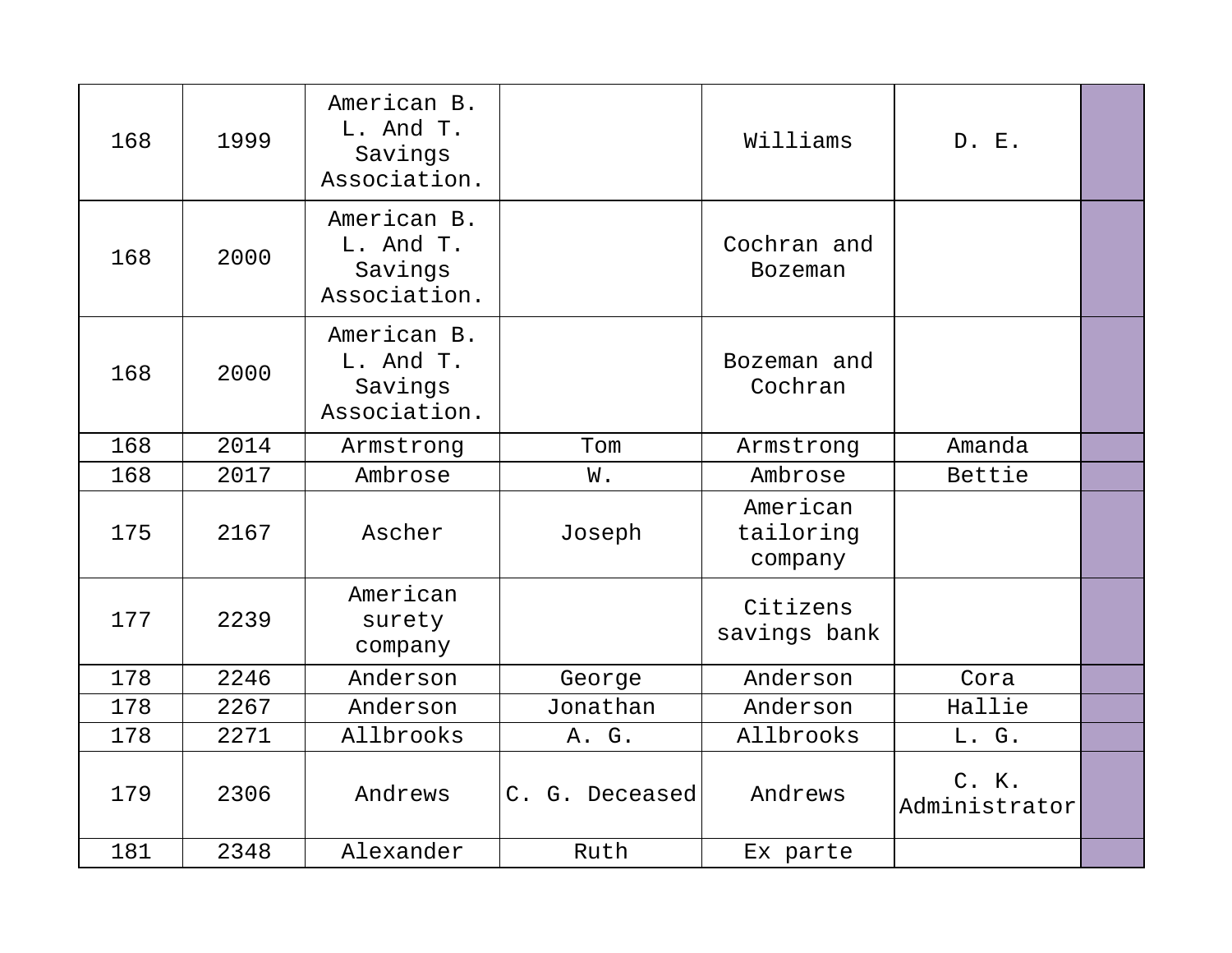| 168 | 1999 | American B.<br>L. And T.<br>Savings<br>Association. |                | Williams                         | D. E.                  |  |
|-----|------|-----------------------------------------------------|----------------|----------------------------------|------------------------|--|
| 168 | 2000 | American B.<br>L. And T.<br>Savings<br>Association. |                | Cochran and<br><b>Bozeman</b>    |                        |  |
| 168 | 2000 | American B.<br>L. And T.<br>Savings<br>Association. |                | Bozeman and<br>Cochran           |                        |  |
| 168 | 2014 | Armstrong                                           | Tom            | Armstrong                        | Amanda                 |  |
| 168 | 2017 | Ambrose                                             | W.             | Ambrose                          | Bettie                 |  |
| 175 | 2167 | Ascher                                              | Joseph         | American<br>tailoring<br>company |                        |  |
| 177 | 2239 | American<br>surety<br>company                       |                | Citizens<br>savings bank         |                        |  |
| 178 | 2246 | Anderson                                            | George         | Anderson                         | Cora                   |  |
| 178 | 2267 | Anderson                                            | Jonathan       | Anderson                         | Hallie                 |  |
| 178 | 2271 | Allbrooks                                           | A. G.          | Allbrooks                        | L. G.                  |  |
| 179 | 2306 | Andrews                                             | C. G. Deceased | Andrews                          | C. K.<br>Administrator |  |
| 181 | 2348 | Alexander                                           | Ruth           | Ex parte                         |                        |  |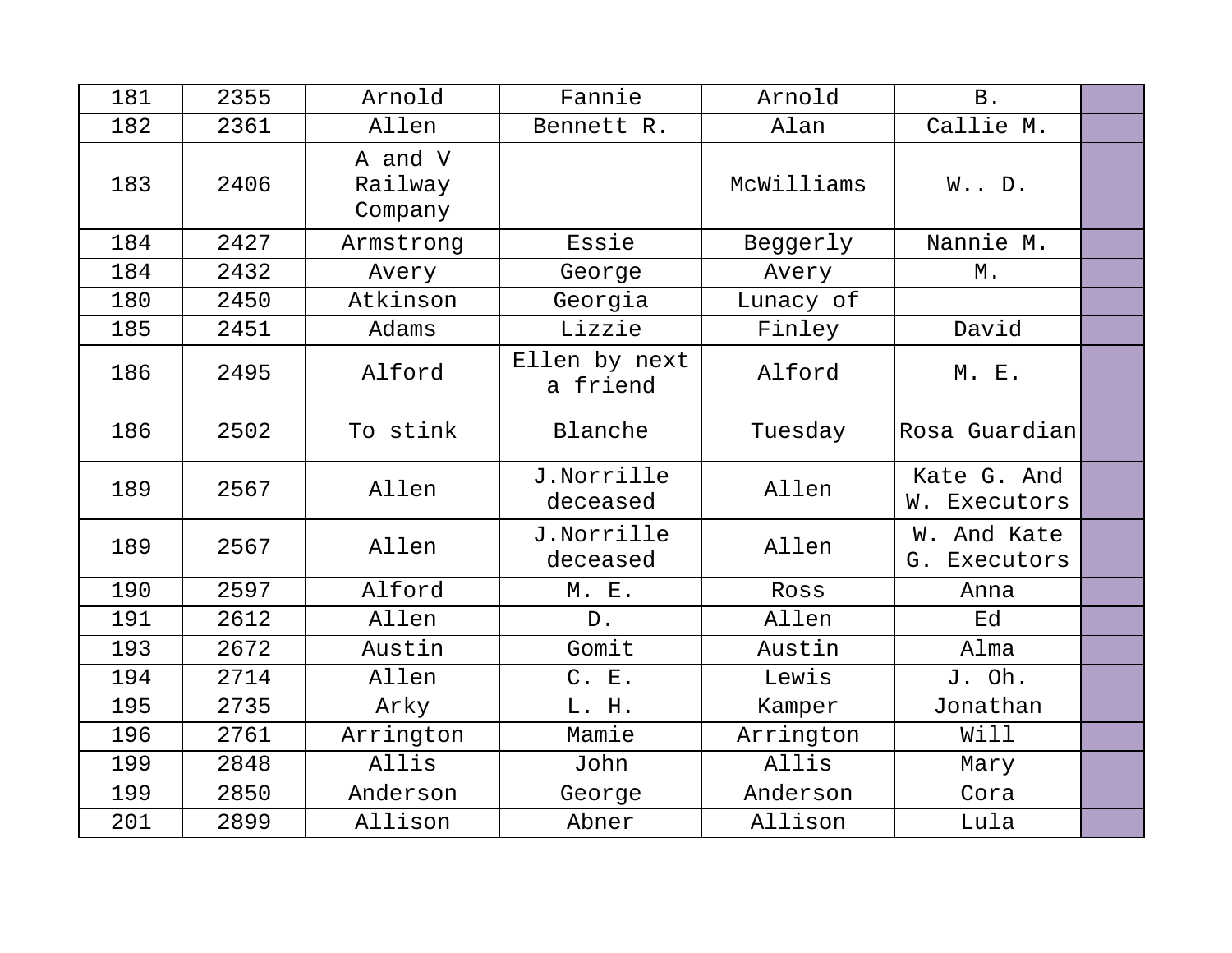| 181 | 2355 | Arnold                        | Fannie                    | Arnold     | B.                          |  |
|-----|------|-------------------------------|---------------------------|------------|-----------------------------|--|
| 182 | 2361 | Allen                         | Bennett R.                | Alan       | Callie M.                   |  |
| 183 | 2406 | A and V<br>Railway<br>Company |                           | McWilliams | $W.$ . $D.$                 |  |
| 184 | 2427 | Armstrong                     | Essie                     | Beggerly   | Nannie M.                   |  |
| 184 | 2432 | Avery                         | George                    | Avery      | М.                          |  |
| 180 | 2450 | Atkinson                      | Georgia                   | Lunacy of  |                             |  |
| 185 | 2451 | Adams                         | Lizzie                    | Finley     | David                       |  |
| 186 | 2495 | Alford                        | Ellen by next<br>a friend | Alford     | <b>M. E.</b>                |  |
| 186 | 2502 | To stink                      | Blanche                   | Tuesday    | Rosa Guardian               |  |
| 189 | 2567 | Allen                         | J.Norrille<br>deceased    | Allen      | Kate G. And<br>W. Executors |  |
| 189 | 2567 | Allen                         | J.Norrille<br>deceased    | Allen      | W. And Kate<br>G. Executors |  |
| 190 | 2597 | Alford                        | M. E.                     | Ross       | Anna                        |  |
| 191 | 2612 | Allen                         | $D$ .                     | Allen      | Ed                          |  |
| 193 | 2672 | Austin                        | Gomit                     | Austin     | Alma                        |  |
| 194 | 2714 | Allen                         | C. E.                     | Lewis      | J. Oh.                      |  |
| 195 | 2735 | Arky                          | L. H.                     | Kamper     | Jonathan                    |  |
| 196 | 2761 | Arrington                     | Mamie                     | Arrington  | Will                        |  |
| 199 | 2848 | Allis                         | John                      | Allis      | Mary                        |  |
| 199 | 2850 | Anderson                      | George                    | Anderson   | Cora                        |  |
| 201 | 2899 | Allison                       | Abner                     | Allison    | Lula                        |  |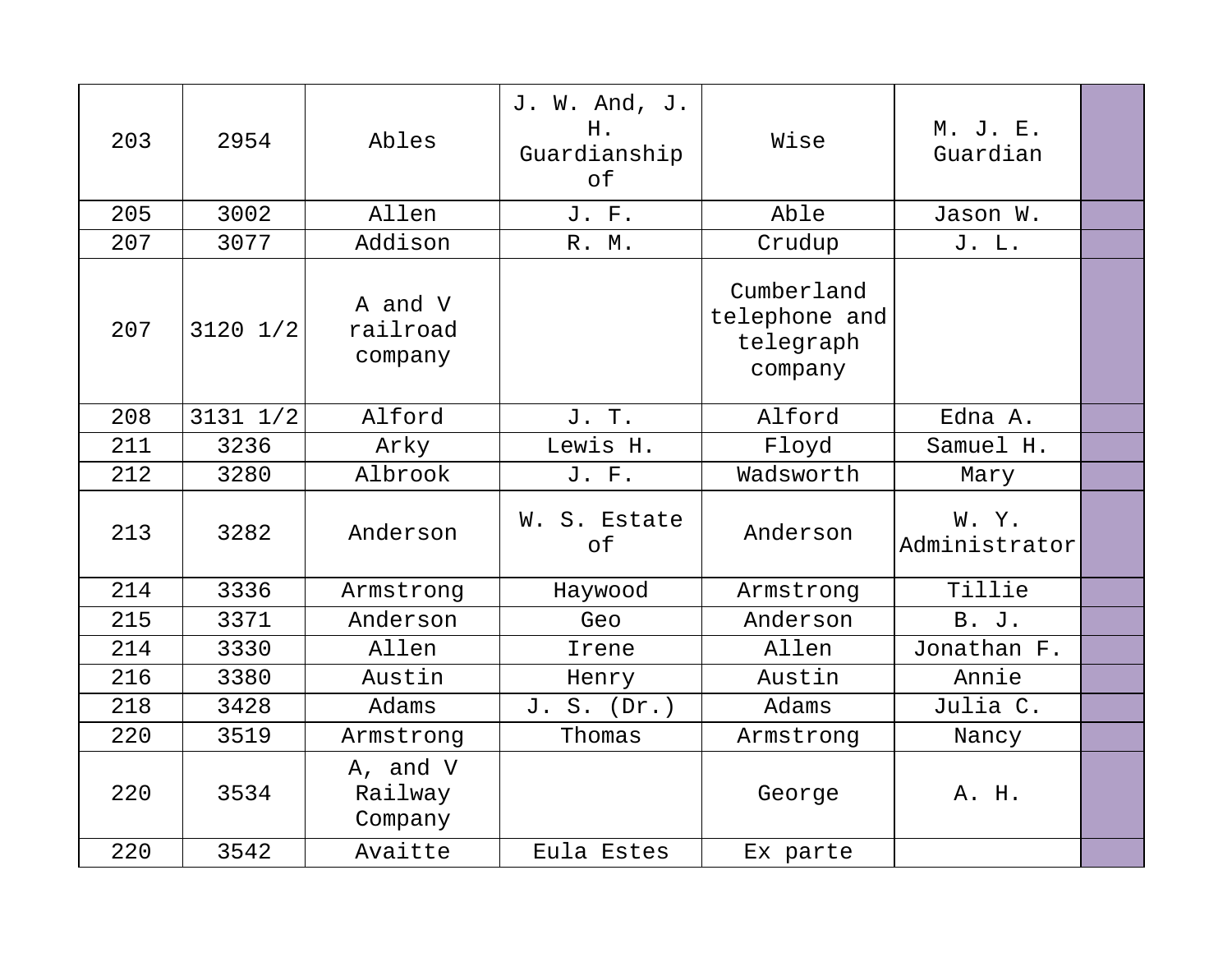| 203 | 2954         | Ables                          | J. W. And, J.<br>H.<br>Guardianship<br>of | Wise                                                | M. J. E.<br>Guardian  |  |
|-----|--------------|--------------------------------|-------------------------------------------|-----------------------------------------------------|-----------------------|--|
| 205 | 3002         | Allen                          | J. F.                                     | Able                                                | Jason W.              |  |
| 207 | 3077         | Addison                        | R. M.                                     | Crudup                                              | J. L.                 |  |
| 207 | $3120$ $1/2$ | A and V<br>railroad<br>company |                                           | Cumberland<br>telephone and<br>telegraph<br>company |                       |  |
| 208 | $3131$ $1/2$ | Alford                         | J. T.                                     | Alford                                              | Edna A.               |  |
| 211 | 3236         | Arky                           | Lewis H.                                  | Floyd                                               | Samuel H.             |  |
| 212 | 3280         | Albrook                        | J. F.                                     | Wadsworth                                           | Mary                  |  |
| 213 | 3282         | Anderson                       | W. S. Estate<br>of                        | Anderson                                            | W.Y.<br>Administrator |  |
| 214 | 3336         | Armstrong                      | Haywood                                   | Armstrong                                           | Tillie                |  |
| 215 | 3371         | Anderson                       | Geo                                       | Anderson                                            | B. J.                 |  |
| 214 | 3330         | Allen                          | Irene                                     | Allen                                               | Jonathan F.           |  |
| 216 | 3380         | Austin                         | Henry                                     | Austin                                              | Annie                 |  |
| 218 | 3428         | Adams                          | $S.$ (Dr.)<br>J.                          | Adams                                               | Julia C.              |  |
| 220 | 3519         | Armstrong                      | Thomas                                    | Armstrong                                           | Nancy                 |  |
| 220 | 3534         | A, and V<br>Railway<br>Company |                                           | George                                              | A. H.                 |  |
| 220 | 3542         | Avaitte                        | Eula Estes                                | Ex parte                                            |                       |  |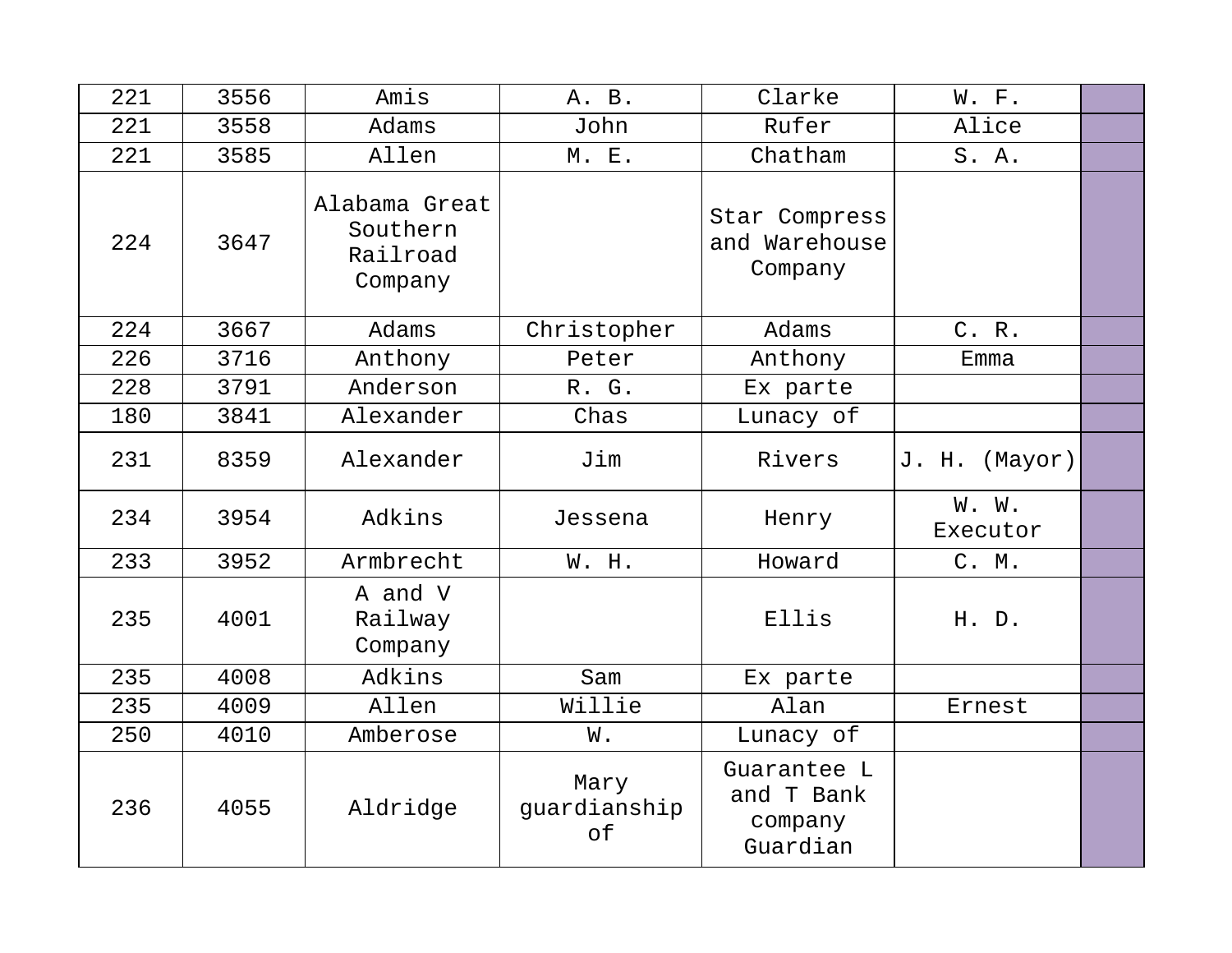| 221 | 3556 | Amis                                             | A. B.                      | Clarke                                           | W. F.             |  |
|-----|------|--------------------------------------------------|----------------------------|--------------------------------------------------|-------------------|--|
| 221 | 3558 | Adams                                            | John                       | Rufer                                            | Alice             |  |
| 221 | 3585 | Allen                                            | M. E.                      | Chatham                                          | S. A.             |  |
| 224 | 3647 | Alabama Great<br>Southern<br>Railroad<br>Company |                            | Star Compress<br>and Warehouse<br>Company        |                   |  |
| 224 | 3667 | Adams                                            | Christopher                | Adams                                            | C. R.             |  |
| 226 | 3716 | Anthony                                          | Peter                      | Anthony                                          | Emma              |  |
| 228 | 3791 | Anderson                                         | R. G.                      | Ex parte                                         |                   |  |
| 180 | 3841 | Alexander                                        | Chas                       | Lunacy of                                        |                   |  |
| 231 | 8359 | Alexander                                        | Jim                        | Rivers                                           | J. H.<br>(Mayor)  |  |
| 234 | 3954 | Adkins                                           | Jessena                    | Henry                                            | W. W.<br>Executor |  |
| 233 | 3952 | Armbrecht                                        | W. H.                      | Howard                                           | C. M.             |  |
| 235 | 4001 | A and V<br>Railway<br>Company                    |                            | Ellis                                            | H. D.             |  |
| 235 | 4008 | Adkins                                           | Sam                        | Ex parte                                         |                   |  |
| 235 | 4009 | Allen                                            | Willie                     | Alan                                             | Ernest            |  |
| 250 | 4010 | Amberose                                         | W.                         | Lunacy of                                        |                   |  |
| 236 | 4055 | Aldridge                                         | Mary<br>guardianship<br>of | Guarantee L<br>and T Bank<br>company<br>Guardian |                   |  |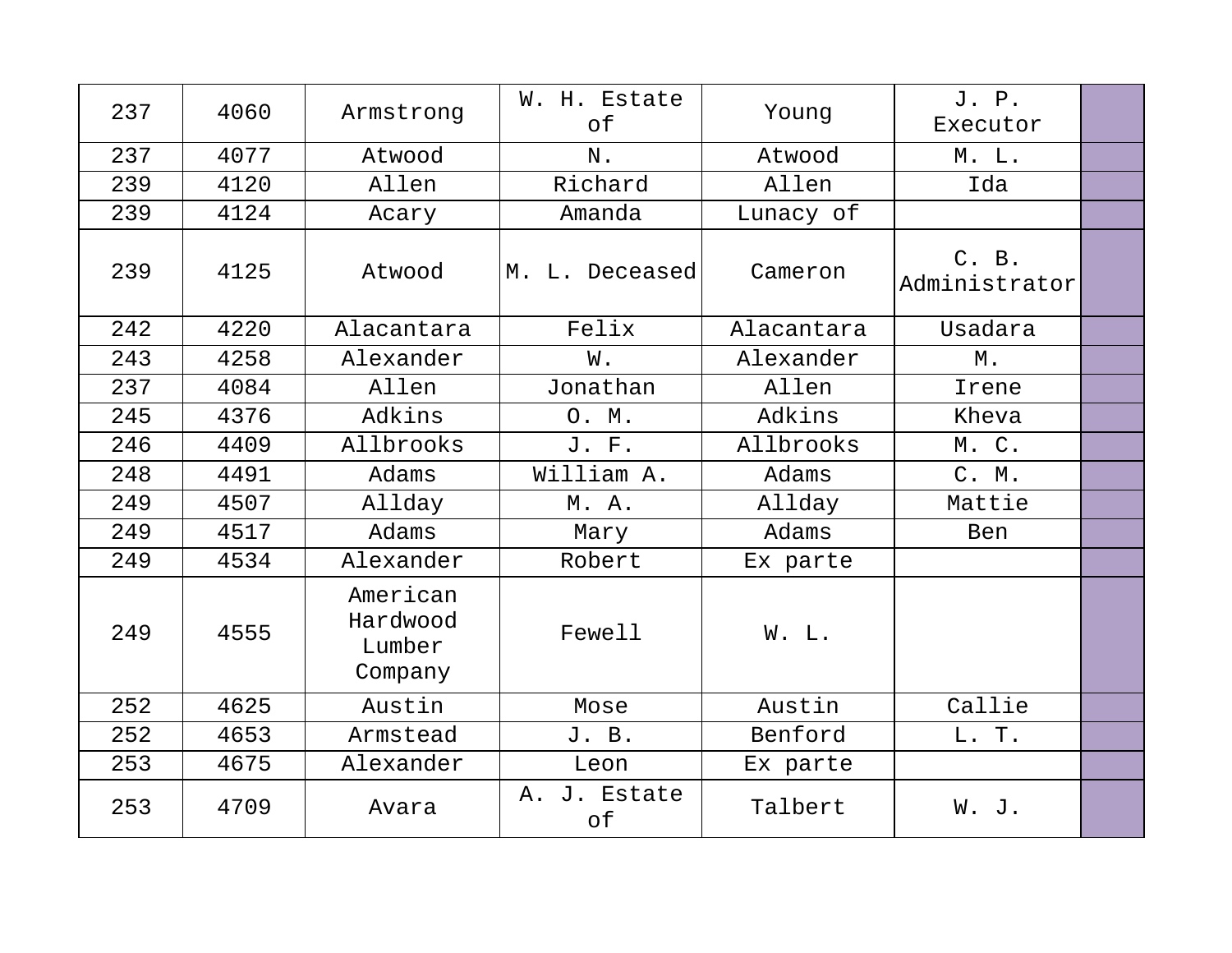| 237 | 4060 | Armstrong                                 | W. H. Estate<br>of | Young      | J. P.<br>Executor      |  |
|-----|------|-------------------------------------------|--------------------|------------|------------------------|--|
| 237 | 4077 | Atwood                                    | N.                 | Atwood     | M. L.                  |  |
| 239 | 4120 | Allen                                     | Richard            | Allen      | Ida                    |  |
| 239 | 4124 | Acary                                     | Amanda             | Lunacy of  |                        |  |
| 239 | 4125 | Atwood                                    | M. L. Deceased     | Cameron    | C. B.<br>Administrator |  |
| 242 | 4220 | Alacantara                                | Felix              | Alacantara | Usadara                |  |
| 243 | 4258 | Alexander                                 | W.                 | Alexander  | М.                     |  |
| 237 | 4084 | Allen                                     | Jonathan           | Allen      | Irene                  |  |
| 245 | 4376 | Adkins                                    | O. M.              | Adkins     | Kheva                  |  |
| 246 | 4409 | Allbrooks                                 | J. F.              | Allbrooks  | M. C.                  |  |
| 248 | 4491 | Adams                                     | William A.         | Adams      | C. M.                  |  |
| 249 | 4507 | Allday                                    | M. A.              | Allday     | Mattie                 |  |
| 249 | 4517 | Adams                                     | Mary               | Adams      | <b>Ben</b>             |  |
| 249 | 4534 | Alexander                                 | Robert             | Ex parte   |                        |  |
| 249 | 4555 | American<br>Hardwood<br>Lumber<br>Company | Fewell             | W. L.      |                        |  |
| 252 | 4625 | Austin                                    | Mose               | Austin     | Callie                 |  |
| 252 | 4653 | Armstead                                  | J. B.              | Benford    | L. T.                  |  |
| 253 | 4675 | Alexander                                 | Leon               | Ex parte   |                        |  |
| 253 | 4709 | Avara                                     | A. J. Estate<br>of | Talbert    | W. J.                  |  |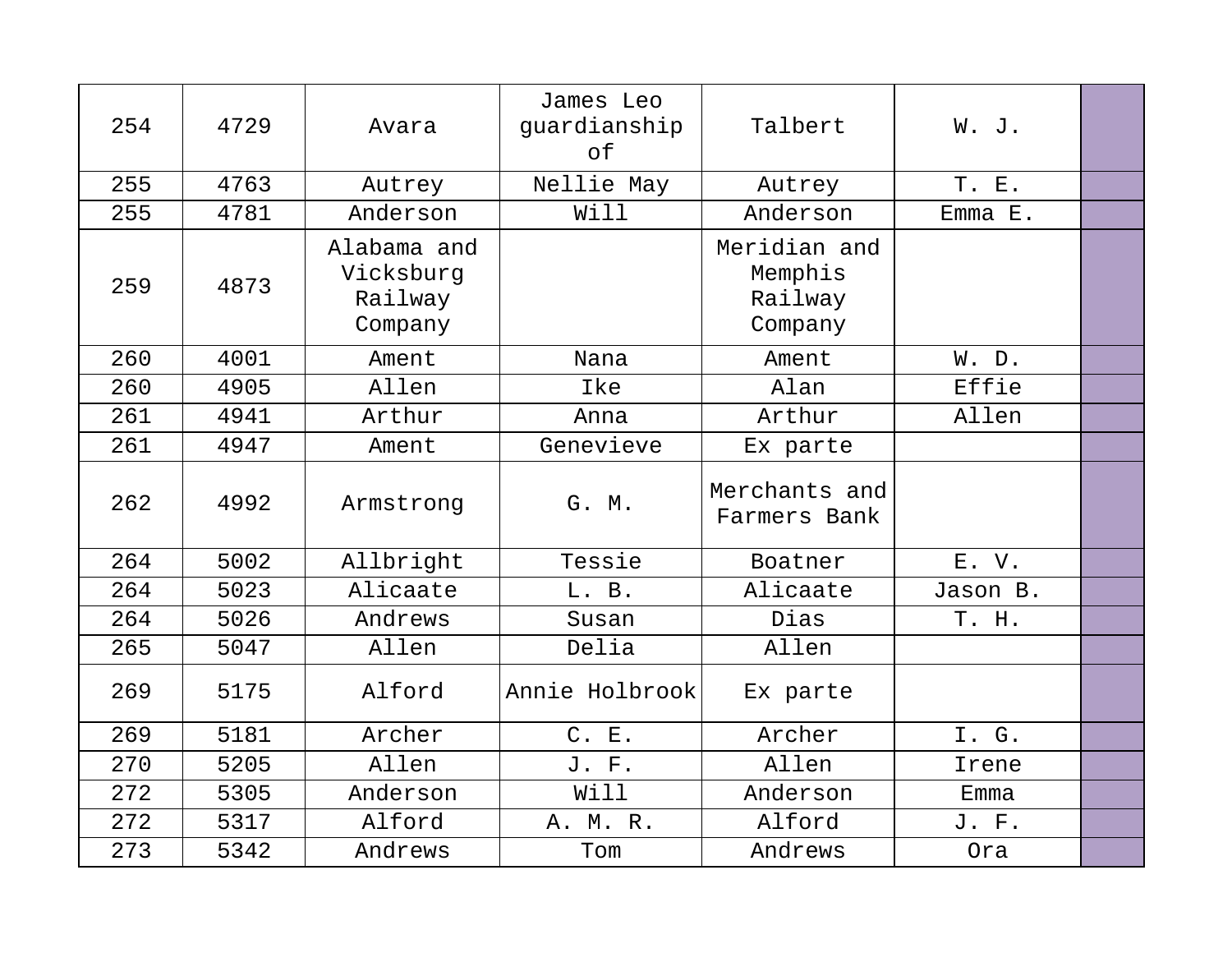| 254 | 4729 | Avara                                          | James Leo<br>guardianship<br>of | Talbert                                       | W. J.    |  |
|-----|------|------------------------------------------------|---------------------------------|-----------------------------------------------|----------|--|
| 255 | 4763 | Autrey                                         | Nellie May                      | Autrey                                        | T. E.    |  |
| 255 | 4781 | Anderson                                       | Will                            | Anderson                                      | Emma E.  |  |
| 259 | 4873 | Alabama and<br>Vicksburg<br>Railway<br>Company |                                 | Meridian and<br>Memphis<br>Railway<br>Company |          |  |
| 260 | 4001 | Ament                                          | Nana                            | Ament                                         | W. D.    |  |
| 260 | 4905 | Allen                                          | Ike                             | Alan                                          | Effie    |  |
| 261 | 4941 | Arthur                                         | Anna                            | Arthur                                        | Allen    |  |
| 261 | 4947 | Ament                                          | Genevieve                       | Ex parte                                      |          |  |
| 262 | 4992 | Armstrong                                      | G. M.                           | Merchants and<br>Farmers Bank                 |          |  |
| 264 | 5002 | Allbright                                      | Tessie                          | Boatner                                       | E.V.     |  |
| 264 | 5023 | Alicaate                                       | L. B.                           | Alicaate                                      | Jason B. |  |
| 264 | 5026 | Andrews                                        | Susan                           | Dias                                          | T. H.    |  |
| 265 | 5047 | Allen                                          | Delia                           | Allen                                         |          |  |
| 269 | 5175 | Alford                                         | Annie Holbrook                  | Ex parte                                      |          |  |
| 269 | 5181 | Archer                                         | C. E.                           | Archer                                        | I. G.    |  |
| 270 | 5205 | Allen                                          | J. F.                           | Allen                                         | Irene    |  |
| 272 | 5305 | Anderson                                       | Will                            | Anderson                                      | Emma     |  |
| 272 | 5317 | Alford                                         | A. M. R.                        | Alford                                        | J. F.    |  |
| 273 | 5342 | Andrews                                        | Tom                             | Andrews                                       | Ora      |  |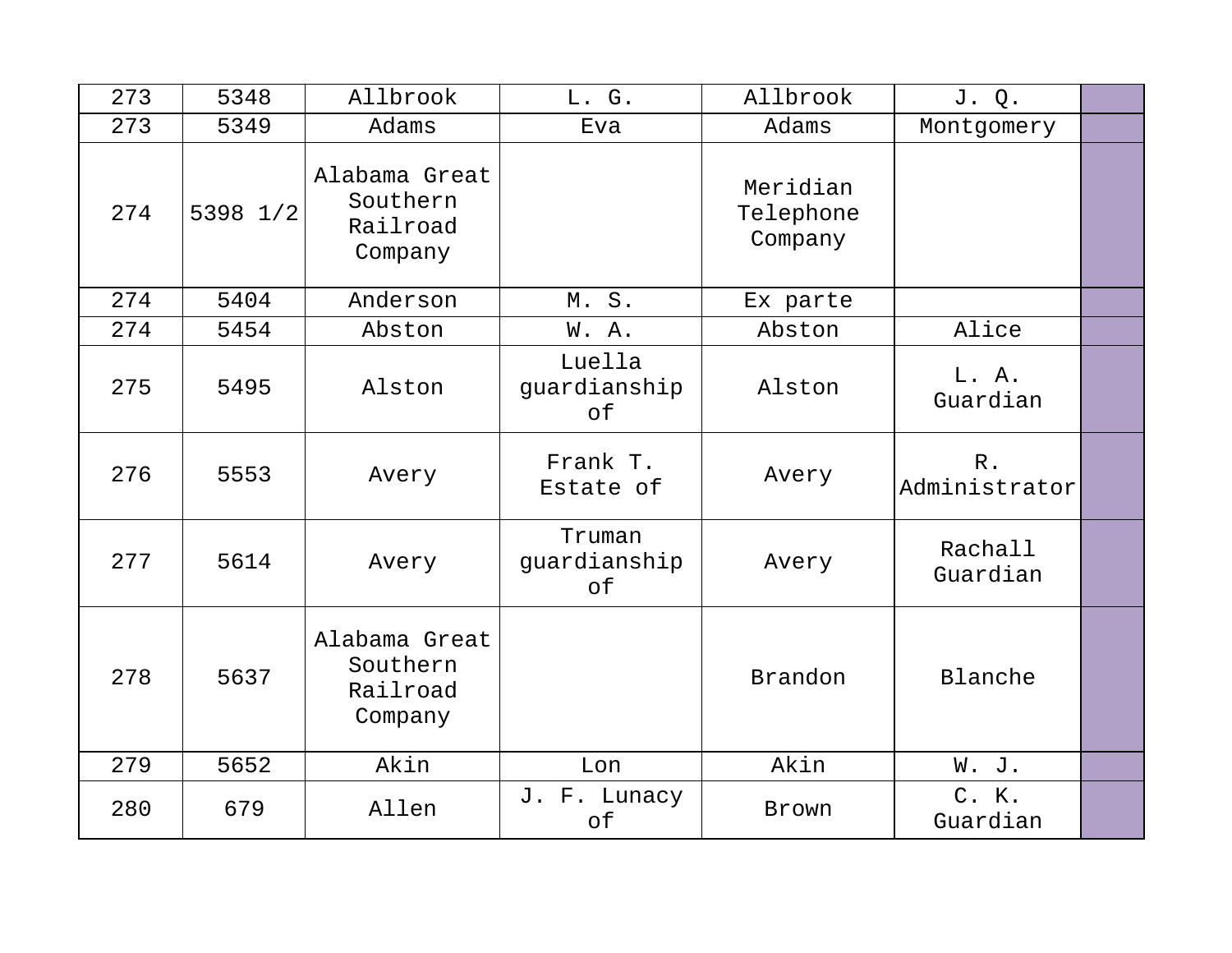| 273 | 5348     | Allbrook                                         | L. G.                        | Allbrook                         | J. Q.                  |  |
|-----|----------|--------------------------------------------------|------------------------------|----------------------------------|------------------------|--|
| 273 | 5349     | Adams                                            | Eva                          | Adams                            | Montgomery             |  |
| 274 | 5398 1/2 | Alabama Great<br>Southern<br>Railroad<br>Company |                              | Meridian<br>Telephone<br>Company |                        |  |
| 274 | 5404     | Anderson                                         | M.S.                         | Ex parte                         |                        |  |
| 274 | 5454     | Abston                                           | W.A.                         | Abston                           | Alice                  |  |
| 275 | 5495     | Alston                                           | Luella<br>guardianship<br>of | Alston                           | L. A.<br>Guardian      |  |
| 276 | 5553     | Avery                                            | Frank T.<br>Estate of        | Avery                            | $R$ .<br>Administrator |  |
| 277 | 5614     | Avery                                            | Truman<br>guardianship<br>of | Avery                            | Rachall<br>Guardian    |  |
| 278 | 5637     | Alabama Great<br>Southern<br>Railroad<br>Company |                              | Brandon                          | Blanche                |  |
| 279 | 5652     | Akin                                             | Lon                          | Akin                             | W. J.                  |  |
| 280 | 679      | Allen                                            | J. F. Lunacy<br>of           | Brown                            | C. K.<br>Guardian      |  |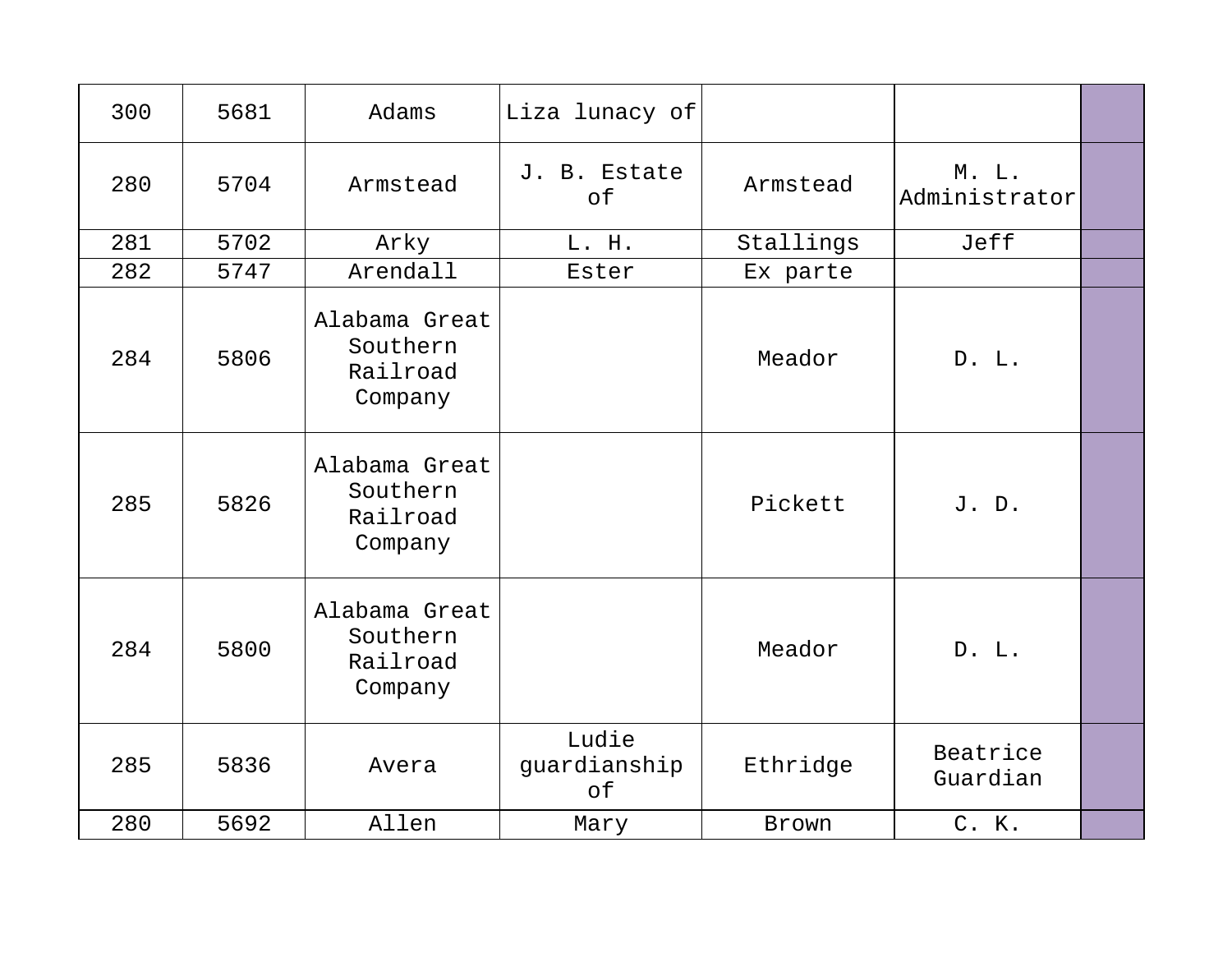| 300 | 5681 | Adams                                            | Liza lunacy of              |           |                        |  |
|-----|------|--------------------------------------------------|-----------------------------|-----------|------------------------|--|
| 280 | 5704 | Armstead                                         | J. B. Estate<br>of          | Armstead  | M. L.<br>Administrator |  |
| 281 | 5702 | Arky                                             | L. H.                       | Stallings | Jeff                   |  |
| 282 | 5747 | Arendall                                         | Ester                       | Ex parte  |                        |  |
| 284 | 5806 | Alabama Great<br>Southern<br>Railroad<br>Company |                             | Meador    | D. L.                  |  |
| 285 | 5826 | Alabama Great<br>Southern<br>Railroad<br>Company |                             | Pickett   | J. D.                  |  |
| 284 | 5800 | Alabama Great<br>Southern<br>Railroad<br>Company |                             | Meador    | D. L.                  |  |
| 285 | 5836 | Avera                                            | Ludie<br>guardianship<br>of | Ethridge  | Beatrice<br>Guardian   |  |
| 280 | 5692 | Allen                                            | Mary                        | Brown     | C. K.                  |  |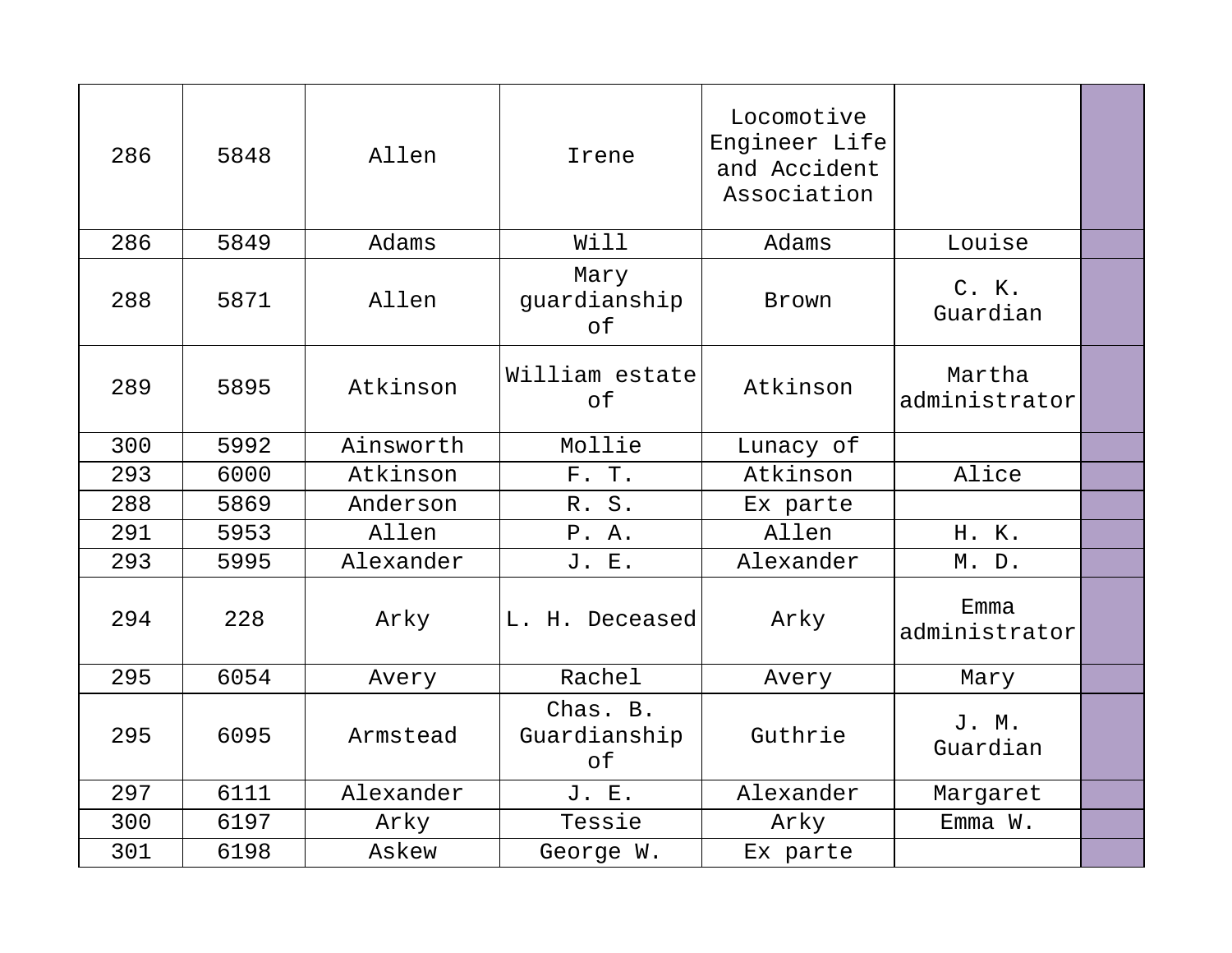| 286 | 5848 | Allen     | Irene                          | Locomotive<br>Engineer Life<br>and Accident<br>Association |                         |  |
|-----|------|-----------|--------------------------------|------------------------------------------------------------|-------------------------|--|
| 286 | 5849 | Adams     | Will                           | Adams                                                      | Louise                  |  |
| 288 | 5871 | Allen     | Mary<br>guardianship<br>of     | Brown                                                      | C. K.<br>Guardian       |  |
| 289 | 5895 | Atkinson  | William estate<br>of           | Atkinson                                                   | Martha<br>administrator |  |
| 300 | 5992 | Ainsworth | Mollie                         | Lunacy of                                                  |                         |  |
| 293 | 6000 | Atkinson  | F. T.                          | Atkinson                                                   | Alice                   |  |
| 288 | 5869 | Anderson  | R. S.                          | Ex parte                                                   |                         |  |
| 291 | 5953 | Allen     | P. A.                          | Allen                                                      | H. K.                   |  |
| 293 | 5995 | Alexander | J. E.                          | Alexander                                                  | M. D.                   |  |
| 294 | 228  | Arky      | L. H. Deceased                 | Arky                                                       | Emma<br>administrator   |  |
| 295 | 6054 | Avery     | Rachel                         | Avery                                                      | Mary                    |  |
| 295 | 6095 | Armstead  | Chas. B.<br>Guardianship<br>of | Guthrie                                                    | J. M.<br>Guardian       |  |
| 297 | 6111 | Alexander | J. E.                          | Alexander                                                  | Margaret                |  |
| 300 | 6197 | Arky      | Tessie                         | Arky                                                       | Emma W.                 |  |
| 301 | 6198 | Askew     | George W.                      | Ex parte                                                   |                         |  |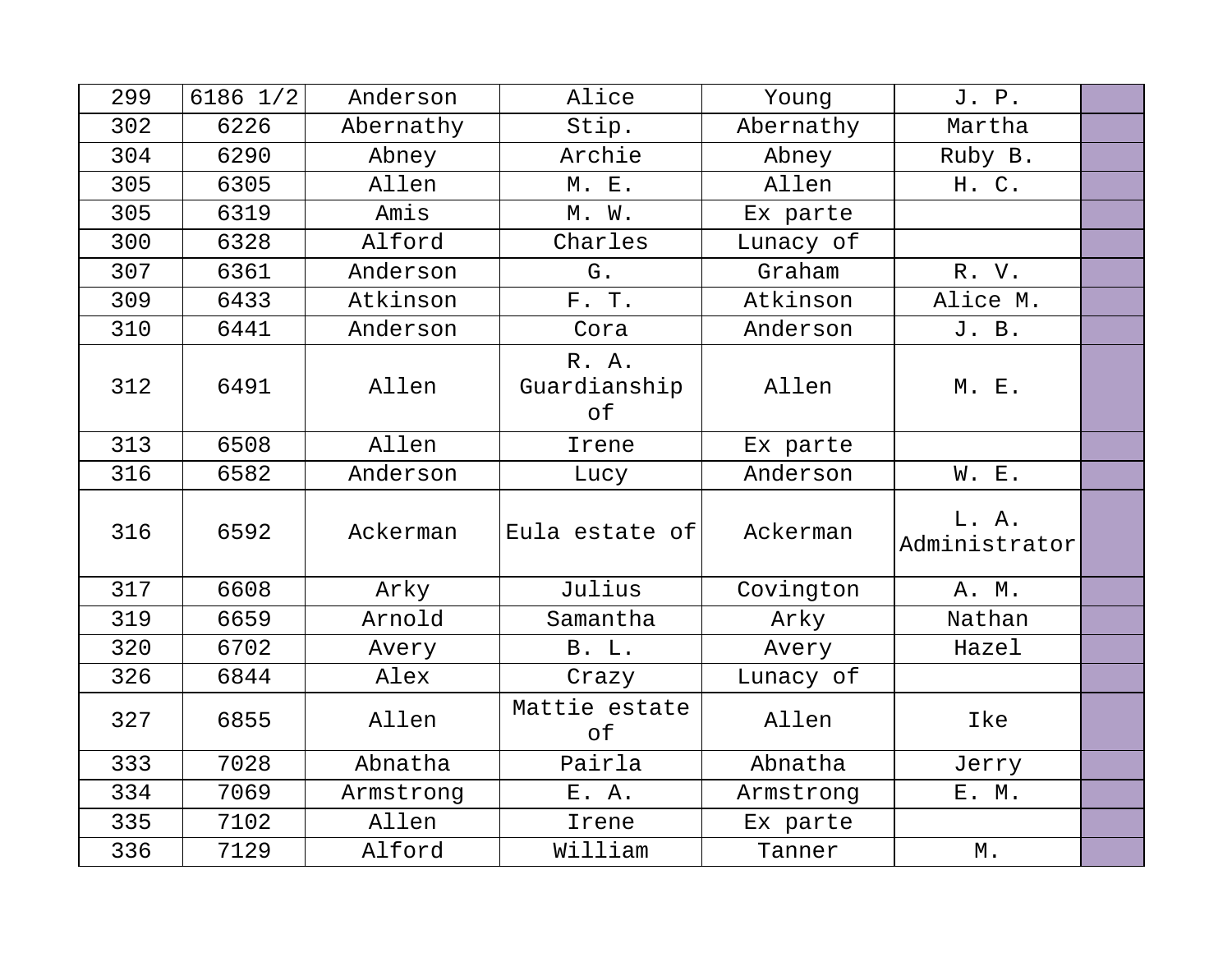| 299 | $6186$ $1/2$ | Anderson  | Alice                       | Young     | J. P.                  |  |
|-----|--------------|-----------|-----------------------------|-----------|------------------------|--|
| 302 | 6226         | Abernathy | Stip.                       | Abernathy | Martha                 |  |
| 304 | 6290         | Abney     | Archie                      | Abney     | Ruby B.                |  |
| 305 | 6305         | Allen     | M. E.                       | Allen     | H. C.                  |  |
| 305 | 6319         | Amis      | M. W.                       | Ex parte  |                        |  |
| 300 | 6328         | Alford    | Charles                     | Lunacy of |                        |  |
| 307 | 6361         | Anderson  | G.                          | Graham    | R. V.                  |  |
| 309 | 6433         | Atkinson  | F. T.                       | Atkinson  | Alice M.               |  |
| 310 | 6441         | Anderson  | Cora                        | Anderson  | J. B.                  |  |
| 312 | 6491         | Allen     | R. A.<br>Guardianship<br>оf | Allen     | M. E.                  |  |
| 313 | 6508         | Allen     | Irene                       | Ex parte  |                        |  |
| 316 | 6582         | Anderson  | Lucy                        | Anderson  | W. E.                  |  |
| 316 | 6592         | Ackerman  | Eula estate of              | Ackerman  | L. A.<br>Administrator |  |
| 317 | 6608         | Arky      | Julius                      | Covington | A. M.                  |  |
| 319 | 6659         | Arnold    | Samantha                    | Arky      | Nathan                 |  |
| 320 | 6702         | Avery     | <b>B.</b> L.                | Avery     | Hazel                  |  |
| 326 | 6844         | Alex      | Crazy                       | Lunacy of |                        |  |
| 327 | 6855         | Allen     | Mattie estate<br>$\circ$ f  | Allen     | Ike                    |  |
| 333 | 7028         | Abnatha   | Pairla                      | Abnatha   | Jerry                  |  |
| 334 | 7069         | Armstrong | E. A.                       | Armstrong | E. M.                  |  |
| 335 | 7102         | Allen     | Irene                       | Ex parte  |                        |  |
| 336 | 7129         | Alford    | William                     | Tanner    | $\mathbbmss{M}$ .      |  |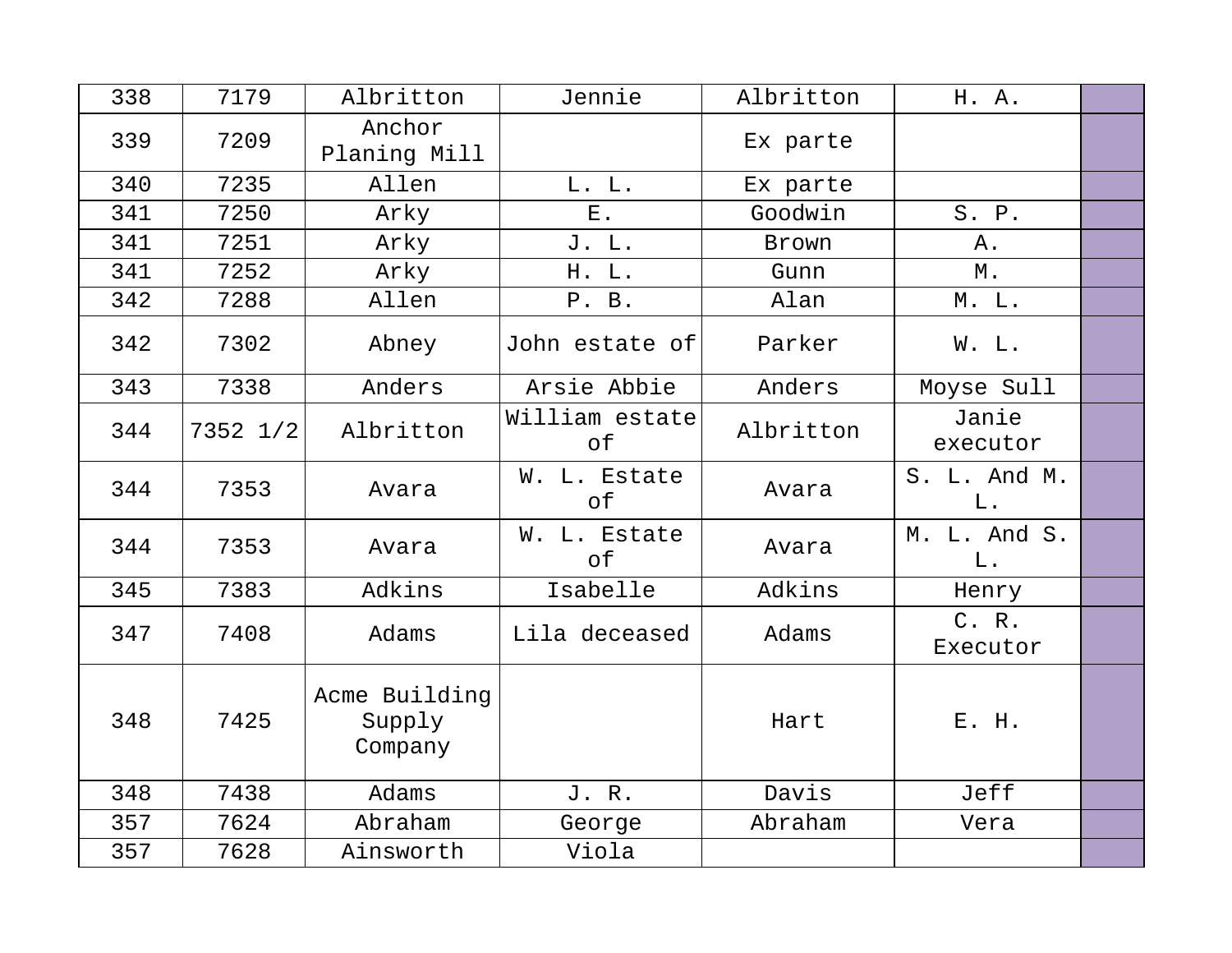| 338 | 7179     | Albritton                          | Jennie               | Albritton | H. A.                 |  |
|-----|----------|------------------------------------|----------------------|-----------|-----------------------|--|
| 339 | 7209     | Anchor<br>Planing Mill             |                      | Ex parte  |                       |  |
| 340 | 7235     | Allen                              | L. L.                | Ex parte  |                       |  |
| 341 | 7250     | Arky                               | $E$ .                | Goodwin   | S. P.                 |  |
| 341 | 7251     | Arky                               | J. L.                | Brown     | Α.                    |  |
| 341 | 7252     | Arky                               | H. L.                | Gunn      | М.                    |  |
| 342 | 7288     | Allen                              | P. B.                | Alan      | M. L.                 |  |
| 342 | 7302     | Abney                              | John estate of       | Parker    | W. L.                 |  |
| 343 | 7338     | Anders                             | Arsie Abbie          | Anders    | Moyse Sull            |  |
| 344 | 7352 1/2 | Albritton                          | William estate<br>оf | Albritton | Janie<br>executor     |  |
| 344 | 7353     | Avara                              | W. L. Estate<br>оf   | Avara     | S. L. And M.<br>$L$ . |  |
| 344 | 7353     | Avara                              | W. L. Estate<br>of   | Avara     | M. L. And S.<br>L.    |  |
| 345 | 7383     | Adkins                             | Isabelle             | Adkins    | Henry                 |  |
| 347 | 7408     | Adams                              | Lila deceased        | Adams     | C. R.<br>Executor     |  |
| 348 | 7425     | Acme Building<br>Supply<br>Company |                      | Hart      | E. H.                 |  |
| 348 | 7438     | Adams                              | J. R.                | Davis     | Jeff                  |  |
| 357 | 7624     | Abraham                            | George               | Abraham   | Vera                  |  |
| 357 | 7628     | Ainsworth                          | Viola                |           |                       |  |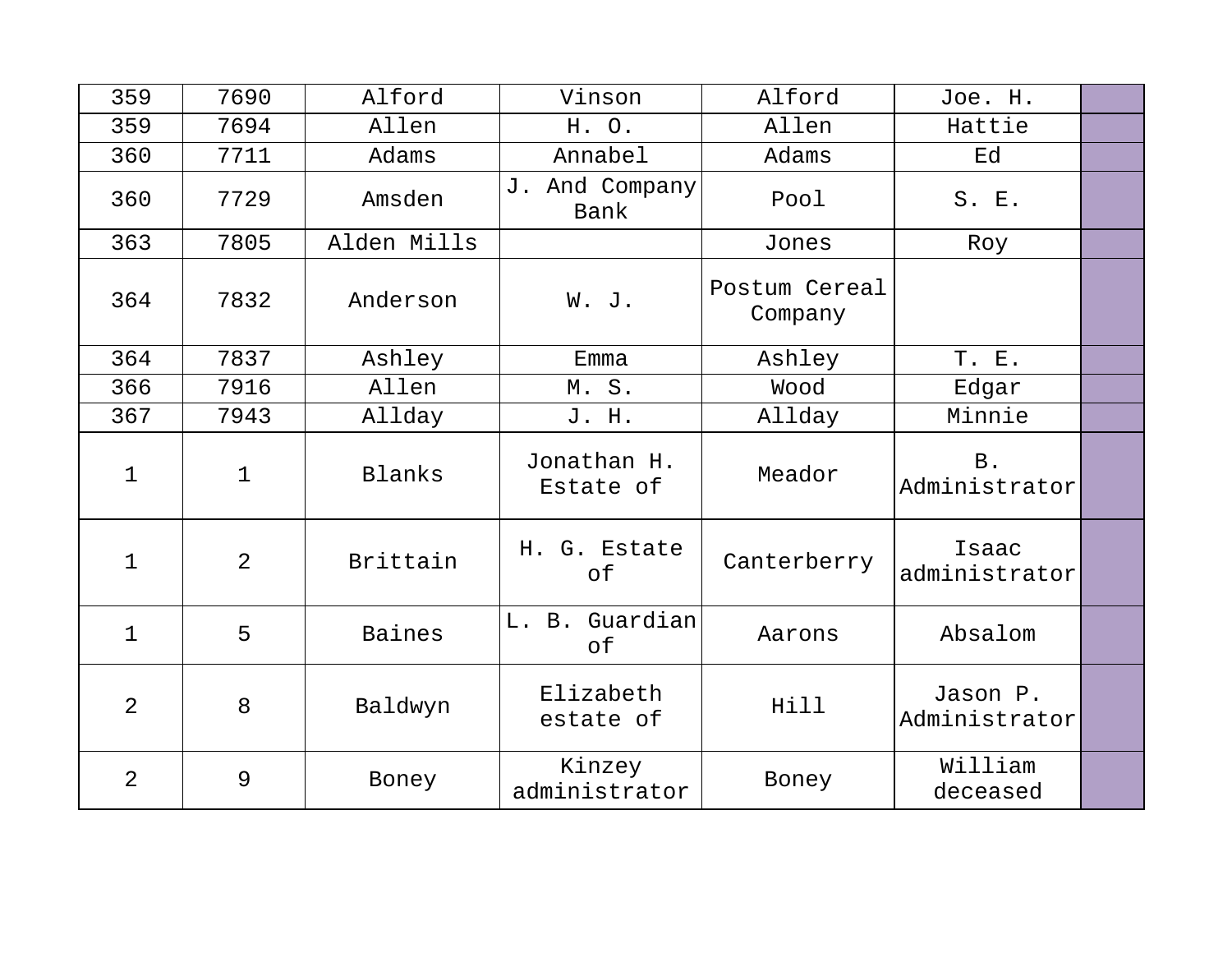| 359            | 7690           | Alford      | Vinson                   | Alford                   | Joe. H.                   |  |
|----------------|----------------|-------------|--------------------------|--------------------------|---------------------------|--|
| 359            | 7694           | Allen       | H. O.                    | Allen                    | Hattie                    |  |
| 360            | 7711           | Adams       | Annabel                  | Adams                    | Ed                        |  |
| 360            | 7729           | Amsden      | J. And Company<br>Bank   | Pool                     | S. E.                     |  |
| 363            | 7805           | Alden Mills |                          | Jones                    | Roy                       |  |
| 364            | 7832           | Anderson    | W. J.                    | Postum Cereal<br>Company |                           |  |
| 364            | 7837           | Ashley      | Emma                     | Ashley                   | T. E.                     |  |
| 366            | 7916           | Allen       | M.S.                     | Wood                     | Edgar                     |  |
| 367            | 7943           | Allday      | J. H.                    | Allday                   | Minnie                    |  |
| $\mathbf 1$    | $\mathbf{1}$   | Blanks      | Jonathan H.<br>Estate of | Meador                   | B.<br>Administrator       |  |
| $\mathbf{1}$   | $\overline{2}$ | Brittain    | H. G. Estate<br>of       | Canterberry              | Isaac<br>administrator    |  |
| $\mathbf{1}$   | 5              | Baines      | L. B. Guardian<br>of     | Aarons                   | Absalom                   |  |
| $\overline{2}$ | 8              | Baldwyn     | Elizabeth<br>estate of   | Hill                     | Jason P.<br>Administrator |  |
| 2              | 9              | Boney       | Kinzey<br>administrator  | Boney                    | William<br>deceased       |  |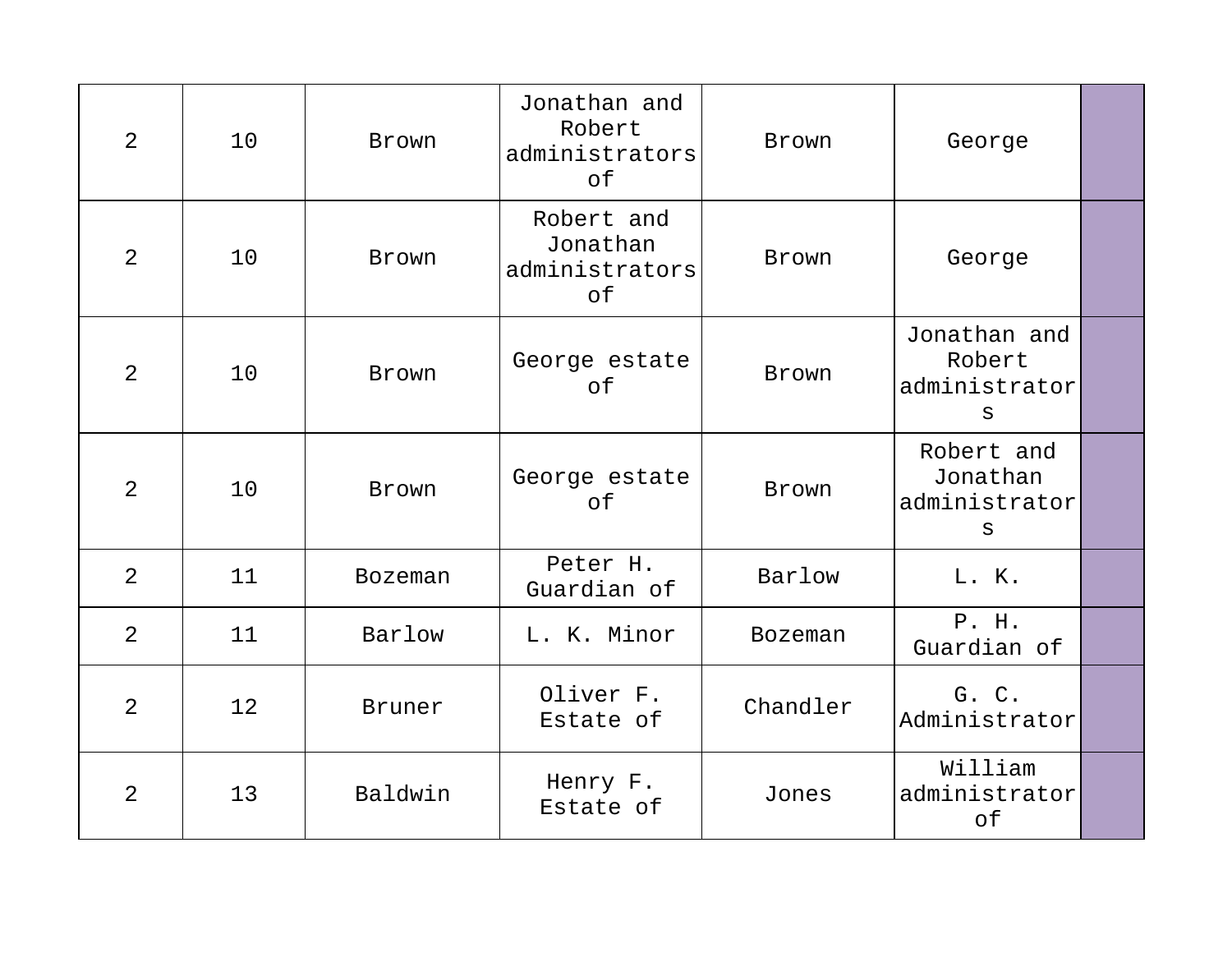| 2              | 10              | Brown        | Jonathan and<br>Robert<br>administrators<br>of | Brown          | George                                       |  |
|----------------|-----------------|--------------|------------------------------------------------|----------------|----------------------------------------------|--|
| 2              | 10              | Brown        | Robert and<br>Jonathan<br>administrators<br>of | Brown          | George                                       |  |
| $\overline{2}$ | 10              | Brown        | George estate<br>of                            | Brown          | Jonathan and<br>Robert<br>administrator<br>S |  |
| 2              | 10              | <b>Brown</b> | George estate<br>of                            | Brown          | Robert and<br>Jonathan<br>administrator<br>S |  |
| 2              | 11              | Bozeman      | Peter H.<br>Guardian of                        | Barlow         | L. K.                                        |  |
| 2              | 11              | Barlow       | L. K. Minor                                    | <b>Bozeman</b> | P. H.<br>Guardian of                         |  |
| $\overline{2}$ | 12 <sup>°</sup> | Bruner       | Oliver F.<br>Estate of                         | Chandler       | G. C.<br>Administrator                       |  |
| $\overline{2}$ | 13              | Baldwin      | Henry F.<br>Estate of                          | Jones          | William<br>administrator<br>of               |  |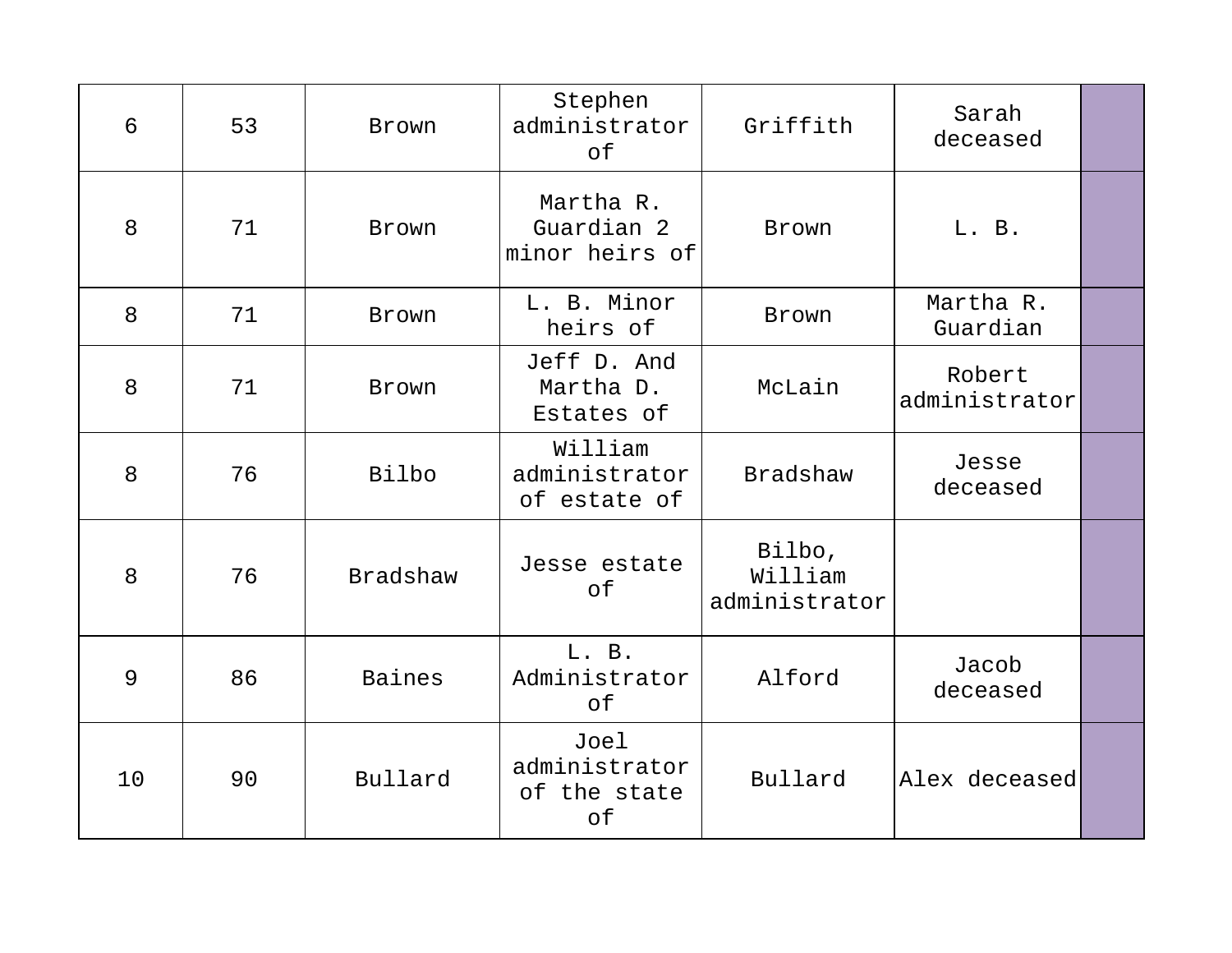| 6  | 53 | Brown    | Stephen<br>administrator<br>of              | Griffith                           | Sarah<br>deceased       |  |
|----|----|----------|---------------------------------------------|------------------------------------|-------------------------|--|
| 8  | 71 | Brown    | Martha R.<br>Guardian 2<br>minor heirs of   | Brown                              | L. B.                   |  |
| 8  | 71 | Brown    | L. B. Minor<br>heirs of                     | Brown                              | Martha R.<br>Guardian   |  |
| 8  | 71 | Brown    | Jeff D. And<br>Martha D.<br>Estates of      | McLain                             | Robert<br>administrator |  |
| 8  | 76 | Bilbo    | William<br>administrator<br>of estate of    | <b>Bradshaw</b>                    | Jesse<br>deceased       |  |
| 8  | 76 | Bradshaw | Jesse estate<br>оf                          | Bilbo,<br>William<br>administrator |                         |  |
| 9  | 86 | Baines   | L. B.<br>Administrator<br>of                | Alford                             | Jacob<br>deceased       |  |
| 10 | 90 | Bullard  | Joel<br>administrator<br>of the state<br>of | Bullard                            | Alex deceased           |  |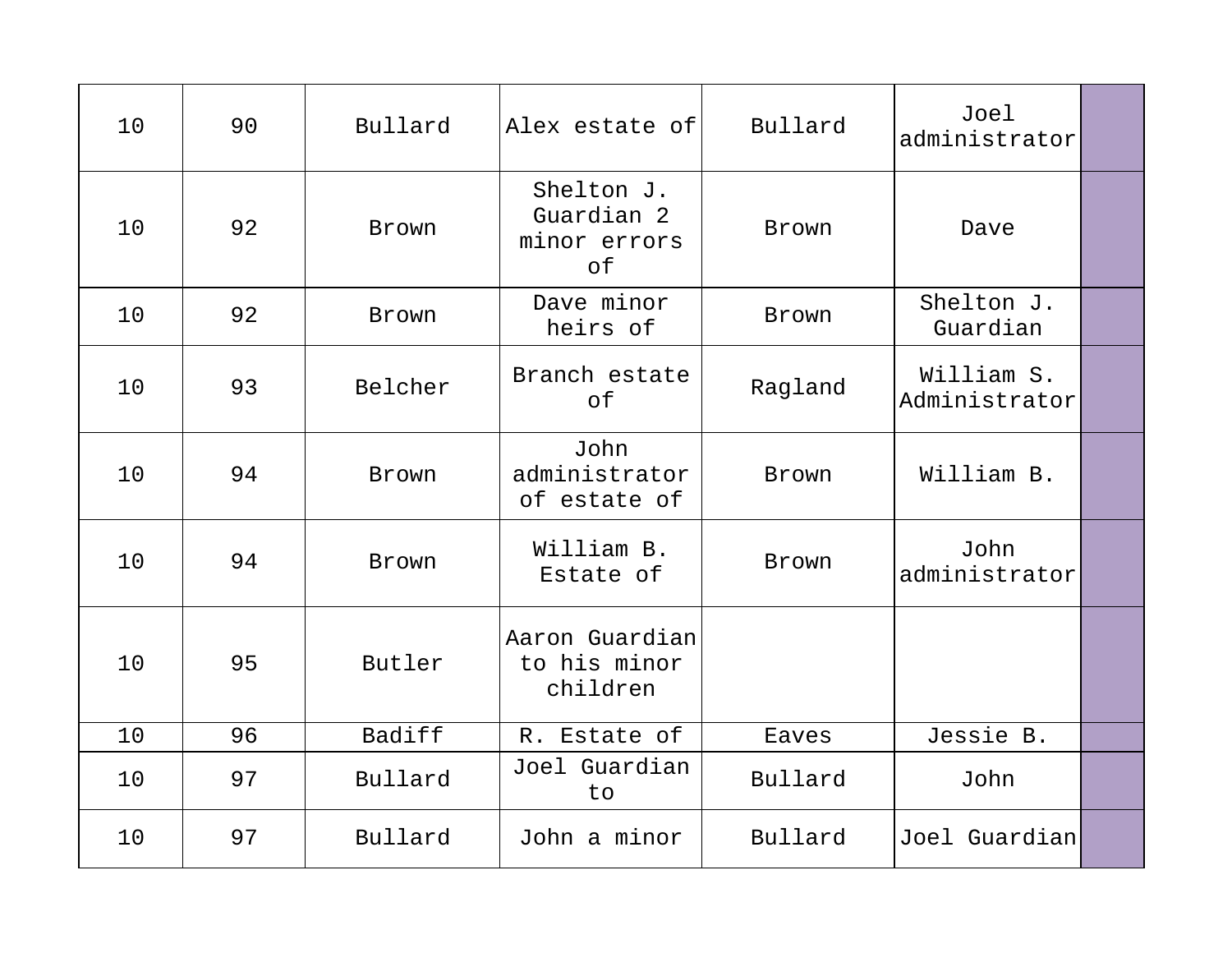| 10 | 90 | Bullard      | Alex estate of                                 | Bullard      | Joel<br>administrator       |  |
|----|----|--------------|------------------------------------------------|--------------|-----------------------------|--|
| 10 | 92 | Brown        | Shelton J.<br>Guardian 2<br>minor errors<br>of | Brown        | Dave                        |  |
| 10 | 92 | Brown        | Dave minor<br>heirs of                         | Brown        | Shelton J.<br>Guardian      |  |
| 10 | 93 | Belcher      | Branch estate<br>of                            | Ragland      | William S.<br>Administrator |  |
| 10 | 94 | Brown        | John<br>administrator<br>of estate of          | Brown        | William B.                  |  |
| 10 | 94 | <b>Brown</b> | William B.<br>Estate of                        | <b>Brown</b> | John<br>administrator       |  |
| 10 | 95 | Butler       | Aaron Guardian<br>to his minor<br>children     |              |                             |  |
| 10 | 96 | Badiff       | R. Estate of                                   | Eaves        | Jessie B.                   |  |
| 10 | 97 | Bullard      | Joel Guardian<br>to                            | Bullard      | John                        |  |
| 10 | 97 | Bullard      | John a minor                                   | Bullard      | Joel Guardian               |  |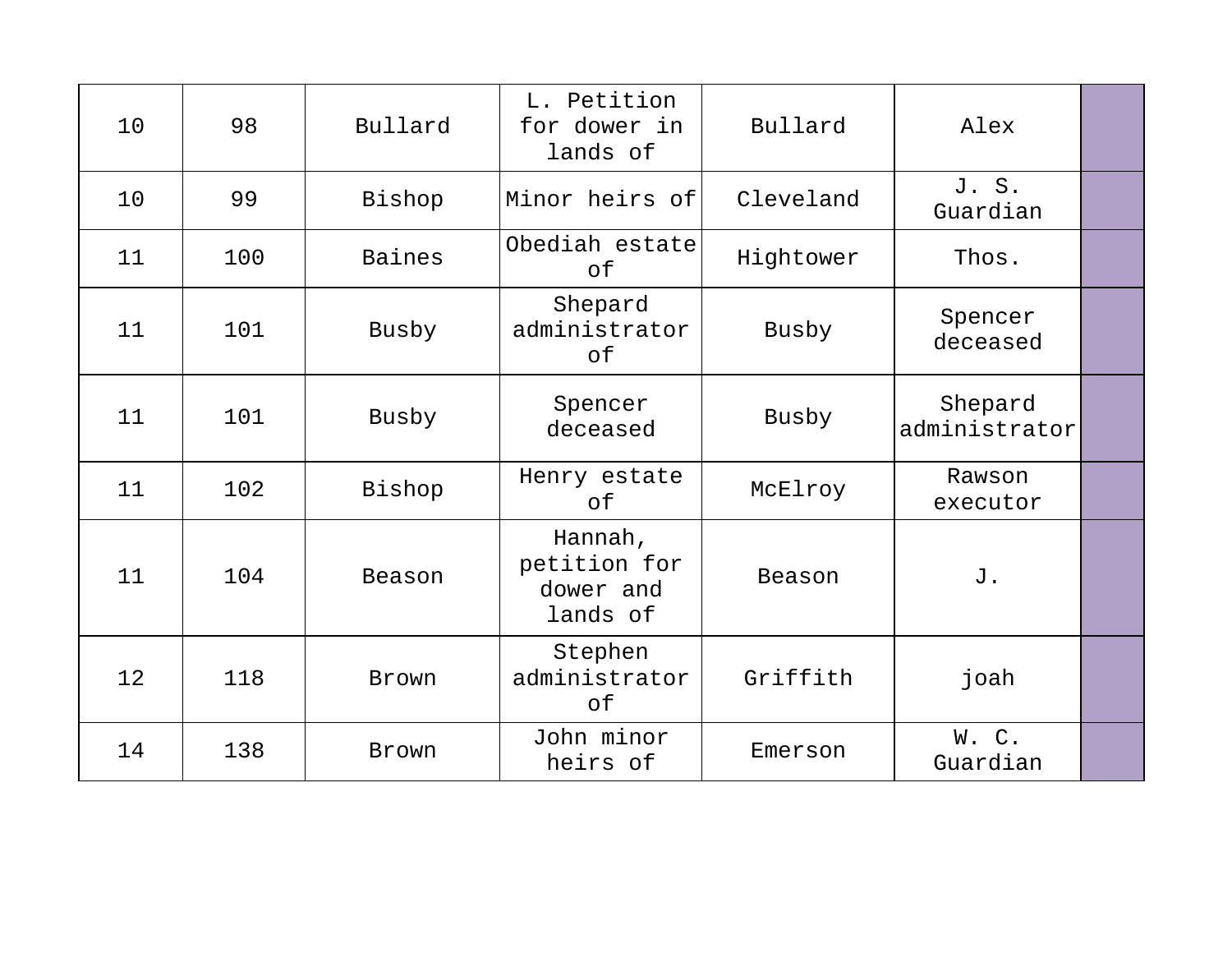| 10 | 98  | Bullard | L. Petition<br>for dower in<br>lands of          | Bullard   | Alex                     |  |
|----|-----|---------|--------------------------------------------------|-----------|--------------------------|--|
| 10 | 99  | Bishop  | Minor heirs of                                   | Cleveland | J. S.<br>Guardian        |  |
| 11 | 100 | Baines  | Obediah estate<br>оf                             | Hightower | Thos.                    |  |
| 11 | 101 | Busby   | Shepard<br>administrator<br>оf                   | Busby     | Spencer<br>deceased      |  |
| 11 | 101 | Busby   | Spencer<br>deceased                              | Busby     | Shepard<br>administrator |  |
| 11 | 102 | Bishop  | Henry estate<br>оf                               | McElroy   | Rawson<br>executor       |  |
| 11 | 104 | Beason  | Hannah,<br>petition for<br>dower and<br>lands of | Beason    | J.                       |  |
| 12 | 118 | Brown   | Stephen<br>administrator<br>of                   | Griffith  | joah                     |  |
| 14 | 138 | Brown   | John minor<br>heirs of                           | Emerson   | W.C.<br>Guardian         |  |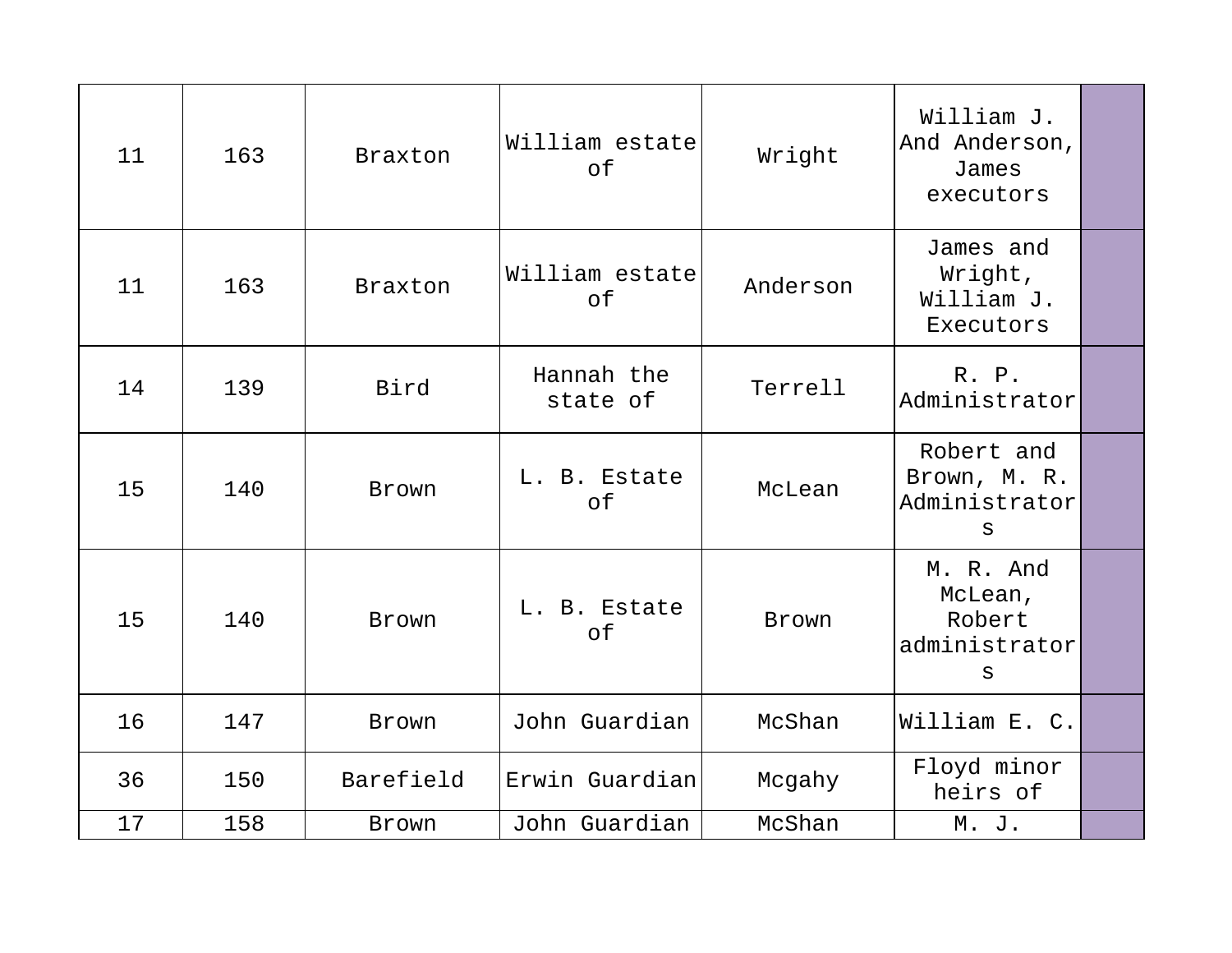| 11 | 163 | Braxton        | William estate<br>of   | Wright   | William J.<br>And Anderson,<br>James<br>executors    |  |
|----|-----|----------------|------------------------|----------|------------------------------------------------------|--|
| 11 | 163 | <b>Braxton</b> | William estate<br>of   | Anderson | James and<br>Wright,<br>William J.<br>Executors      |  |
| 14 | 139 | Bird           | Hannah the<br>state of | Terrell  | R. P.<br>Administrator                               |  |
| 15 | 140 | Brown          | L. B. Estate<br>of     | McLean   | Robert and<br>Brown, M. R.<br>Administrator<br>S     |  |
| 15 | 140 | <b>Brown</b>   | L. B. Estate<br>of     | Brown    | M. R. And<br>McLean,<br>Robert<br>administrator<br>S |  |
| 16 | 147 | Brown          | John Guardian          | McShan   | William E. C.                                        |  |
| 36 | 150 | Barefield      | Erwin Guardian         | Mcgahy   | Floyd minor<br>heirs of                              |  |
| 17 | 158 | Brown          | John Guardian          | McShan   | M. J.                                                |  |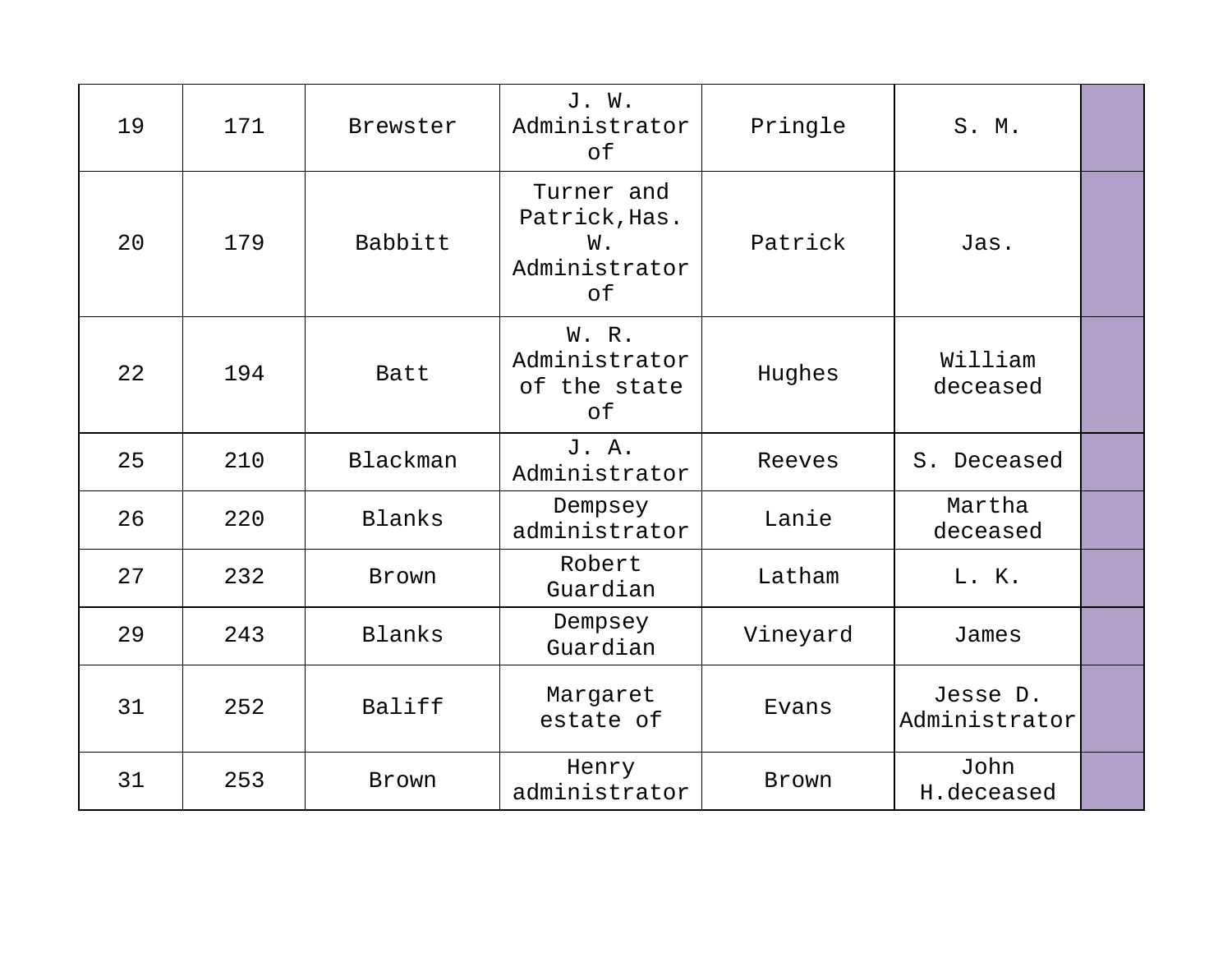| 19 | 171 | Brewster      | J. W.<br>Administrator<br>of                             | Pringle  | S. M.                     |  |
|----|-----|---------------|----------------------------------------------------------|----------|---------------------------|--|
| 20 | 179 | Babbitt       | Turner and<br>Patrick, Has.<br>W.<br>Administrator<br>of | Patrick  | Jas.                      |  |
| 22 | 194 | Batt          | W. R.<br>Administrator<br>of the state<br>оf             | Hughes   | William<br>deceased       |  |
| 25 | 210 | Blackman      | J. A.<br>Administrator                                   | Reeves   | S. Deceased               |  |
| 26 | 220 | <b>Blanks</b> | Dempsey<br>administrator                                 | Lanie    | Martha<br>deceased        |  |
| 27 | 232 | <b>Brown</b>  | Robert<br>Guardian                                       | Latham   | L. K.                     |  |
| 29 | 243 | Blanks        | Dempsey<br>Guardian                                      | Vineyard | James                     |  |
| 31 | 252 | Baliff        | Margaret<br>estate of                                    | Evans    | Jesse D.<br>Administrator |  |
| 31 | 253 | <b>Brown</b>  | Henry<br>administrator                                   | Brown    | John<br>H.deceased        |  |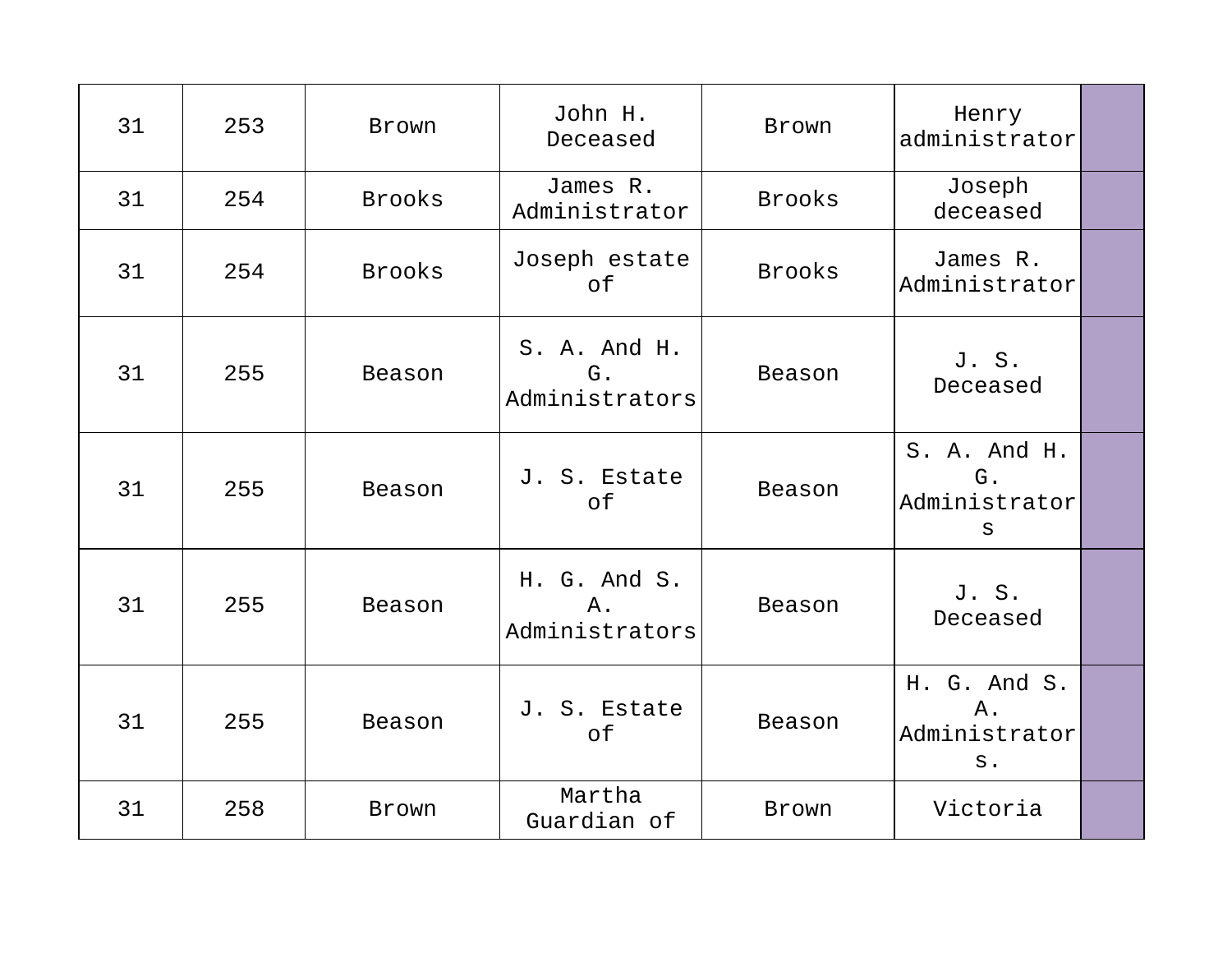| 31 | 253 | Brown         | John H.<br>Deceased                  | Brown         | Henry<br>administrator                              |  |
|----|-----|---------------|--------------------------------------|---------------|-----------------------------------------------------|--|
| 31 | 254 | <b>Brooks</b> | James R.<br>Administrator            | <b>Brooks</b> | Joseph<br>deceased                                  |  |
| 31 | 254 | <b>Brooks</b> | Joseph estate<br>of                  | <b>Brooks</b> | James R.<br>Administrator                           |  |
| 31 | 255 | Beason        | S. A. And H.<br>G.<br>Administrators | Beason        | J. S.<br>Deceased                                   |  |
| 31 | 255 | Beason        | J. S. Estate<br>of                   | Beason        | S. A. And H.<br>G.<br>Administrator<br>$\mathbf{s}$ |  |
| 31 | 255 | Beason        | H. G. And S.<br>Α.<br>Administrators | Beason        | J. S.<br>Deceased                                   |  |
| 31 | 255 | Beason        | J. S. Estate<br>of                   | Beason        | H. G. And S.<br>Α.<br>Administrator<br>$S$ .        |  |
| 31 | 258 | Brown         | Martha<br>Guardian of                | Brown         | Victoria                                            |  |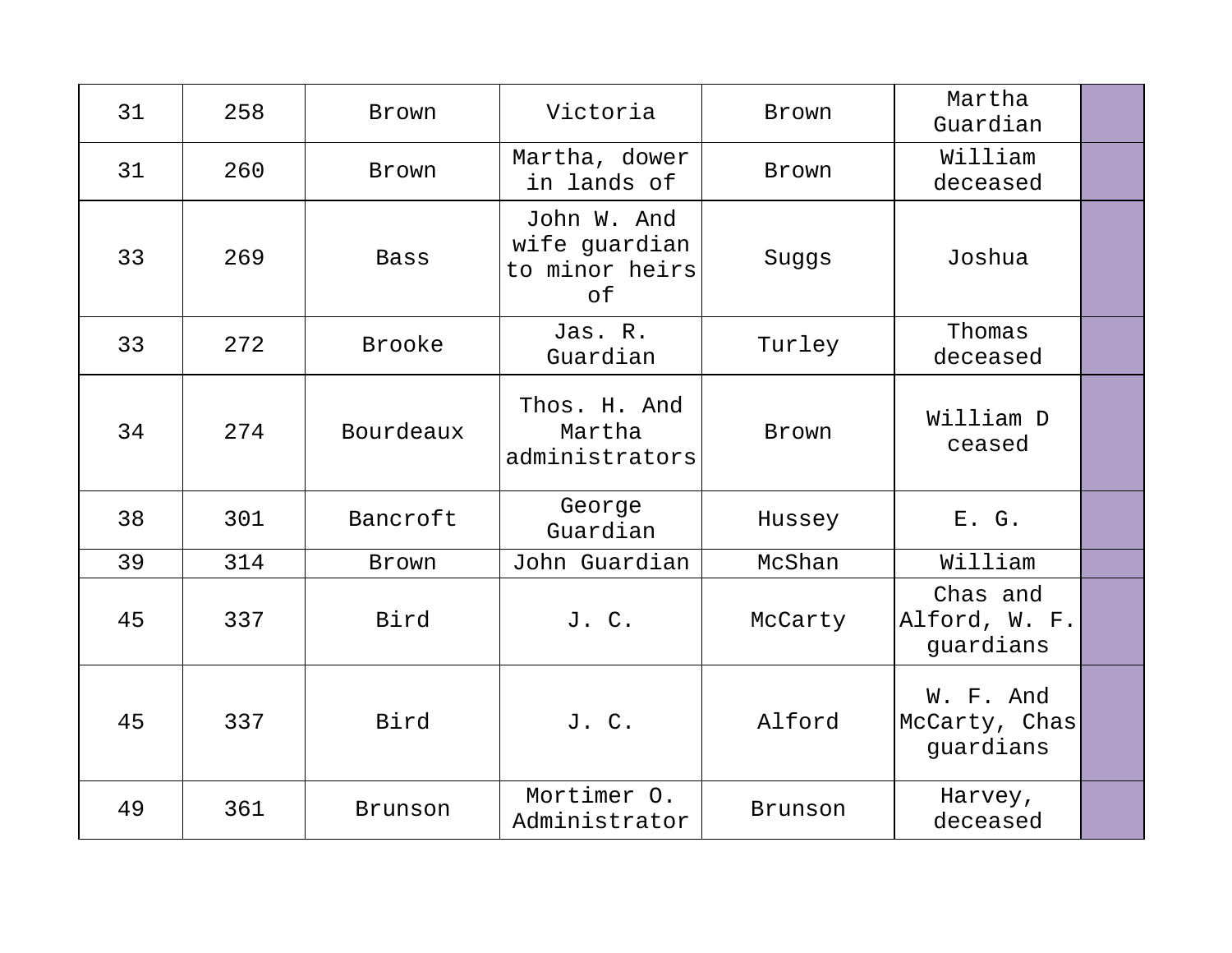| 31 | 258 | <b>Brown</b> | Victoria                                             | Brown        | Martha<br>Guardian                      |  |
|----|-----|--------------|------------------------------------------------------|--------------|-----------------------------------------|--|
| 31 | 260 | <b>Brown</b> | Martha, dower<br>in lands of                         | <b>Brown</b> | William<br>deceased                     |  |
| 33 | 269 | Bass         | John W. And<br>wife guardian<br>to minor heirs<br>оf | Suggs        | Joshua                                  |  |
| 33 | 272 | Brooke       | Jas. R.<br>Guardian                                  | Turley       | Thomas<br>deceased                      |  |
| 34 | 274 | Bourdeaux    | Thos. H. And<br>Martha<br>administrators             | Brown        | William D<br>ceased                     |  |
| 38 | 301 | Bancroft     | George<br>Guardian                                   | Hussey       | E. G.                                   |  |
| 39 | 314 | Brown        | John Guardian                                        | McShan       | William                                 |  |
| 45 | 337 | Bird         | J. C.                                                | McCarty      | Chas and<br>Alford, W. F.<br>guardians  |  |
| 45 | 337 | Bird         | J. C.                                                | Alford       | W. F. And<br>McCarty, Chas<br>guardians |  |
| 49 | 361 | Brunson      | Mortimer 0.<br>Administrator                         | Brunson      | Harvey,<br>deceased                     |  |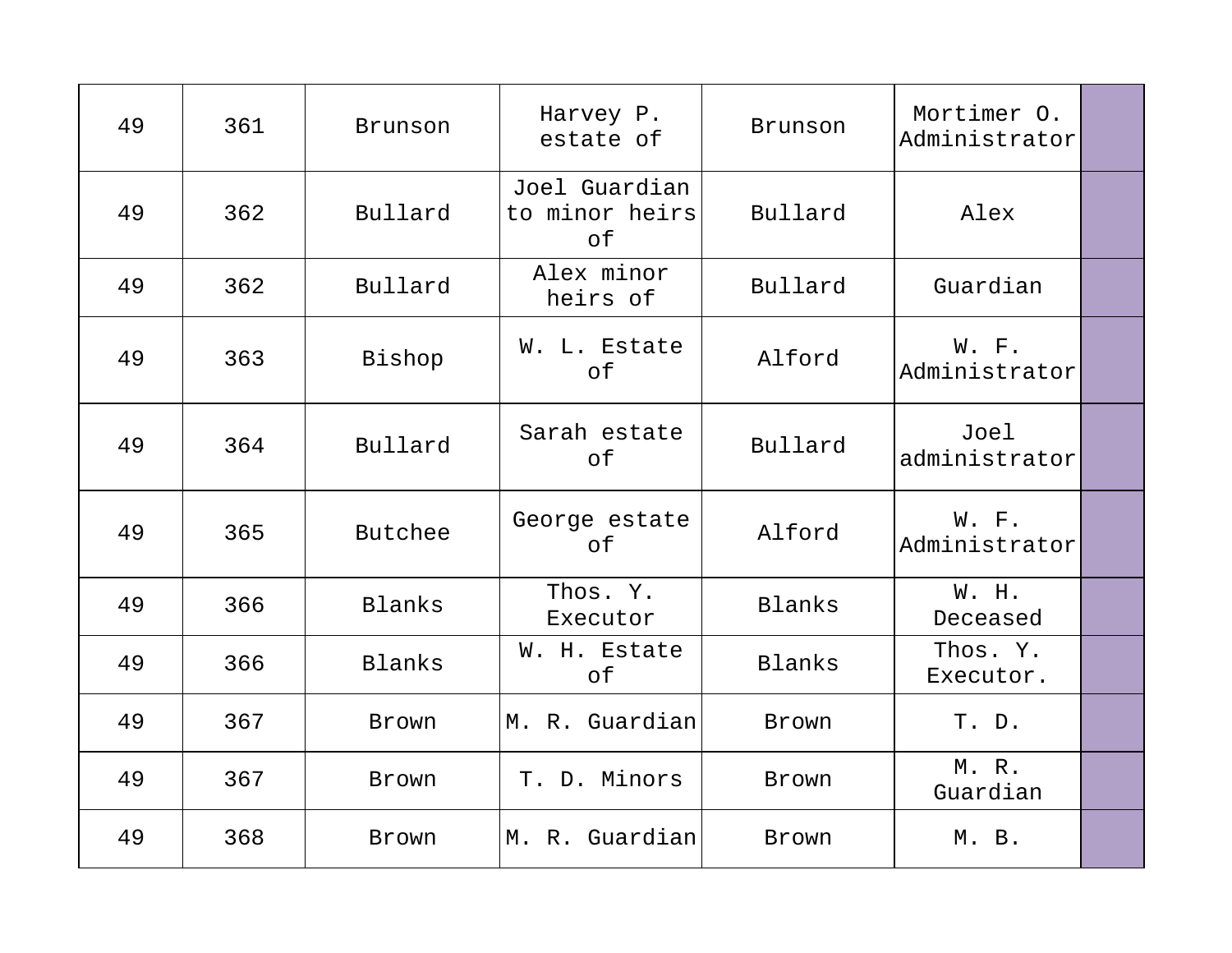| 49 | 361 | Brunson | Harvey P.<br>estate of                | Brunson | Mortimer O.<br>Administrator |  |
|----|-----|---------|---------------------------------------|---------|------------------------------|--|
| 49 | 362 | Bullard | Joel Guardian<br>to minor heirs<br>оf | Bullard | Alex                         |  |
| 49 | 362 | Bullard | Alex minor<br>heirs of                | Bullard | Guardian                     |  |
| 49 | 363 | Bishop  | W. L. Estate<br>of                    | Alford  | W. F.<br>Administrator       |  |
| 49 | 364 | Bullard | Sarah estate<br>of                    | Bullard | Joel<br>administrator        |  |
| 49 | 365 | Butchee | George estate<br>οf                   | Alford  | W. F.<br>Administrator       |  |
| 49 | 366 | Blanks  | Thos. Y.<br>Executor                  | Blanks  | W. H.<br>Deceased            |  |
| 49 | 366 | Blanks  | W. H. Estate<br>оf                    | Blanks  | Thos. Y.<br>Executor.        |  |
| 49 | 367 | Brown   | M. R. Guardian                        | Brown   | T. D.                        |  |
| 49 | 367 | Brown   | T. D. Minors                          | Brown   | M. R.<br>Guardian            |  |
| 49 | 368 | Brown   | M. R. Guardian                        | Brown   | M. B.                        |  |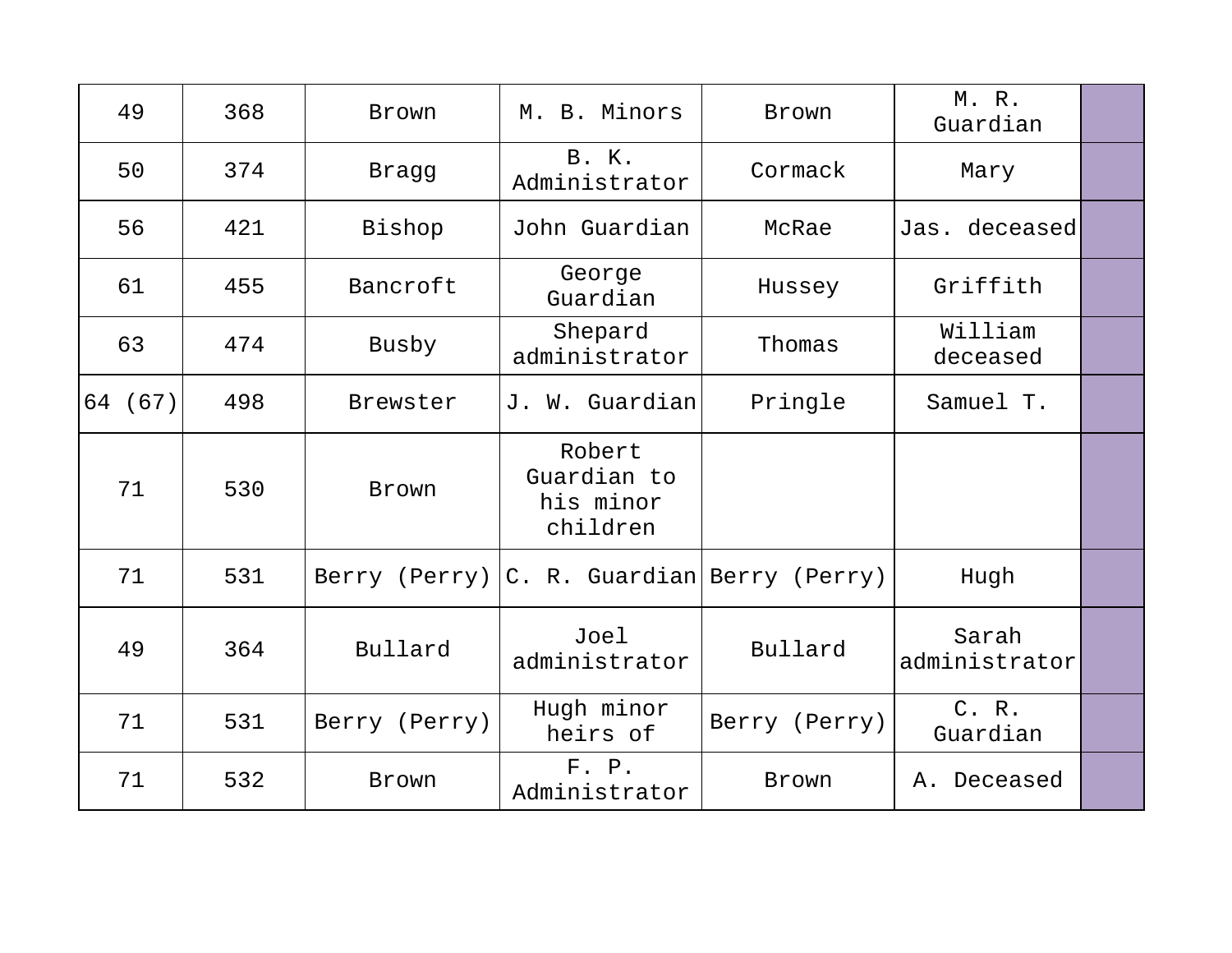| 49      | 368 | Brown         | M. B. Minors                                   | Brown         | M.R.<br>Guardian       |  |
|---------|-----|---------------|------------------------------------------------|---------------|------------------------|--|
| 50      | 374 | Bragg         | B. K.<br>Administrator                         | Cormack       | Mary                   |  |
| 56      | 421 | Bishop        | John Guardian                                  | McRae         | Jas. deceased          |  |
| 61      | 455 | Bancroft      | George<br>Guardian                             | Hussey        | Griffith               |  |
| 63      | 474 | Busby         | Shepard<br>administrator                       | Thomas        | William<br>deceased    |  |
| 64 (67) | 498 | Brewster      | J. W. Guardian                                 | Pringle       | Samuel T.              |  |
| 71      | 530 | Brown         | Robert<br>Guardian to<br>his minor<br>children |               |                        |  |
| 71      | 531 |               | Berry (Perry) C. R. Guardian Berry (Perry)     |               | Hugh                   |  |
| 49      | 364 | Bullard       | Joel<br>administrator                          | Bullard       | Sarah<br>administrator |  |
| 71      | 531 | Berry (Perry) | Hugh minor<br>heirs of                         | Berry (Perry) | C. R.<br>Guardian      |  |
| 71      | 532 | Brown         | F. P.<br>Administrator                         | Brown         | A. Deceased            |  |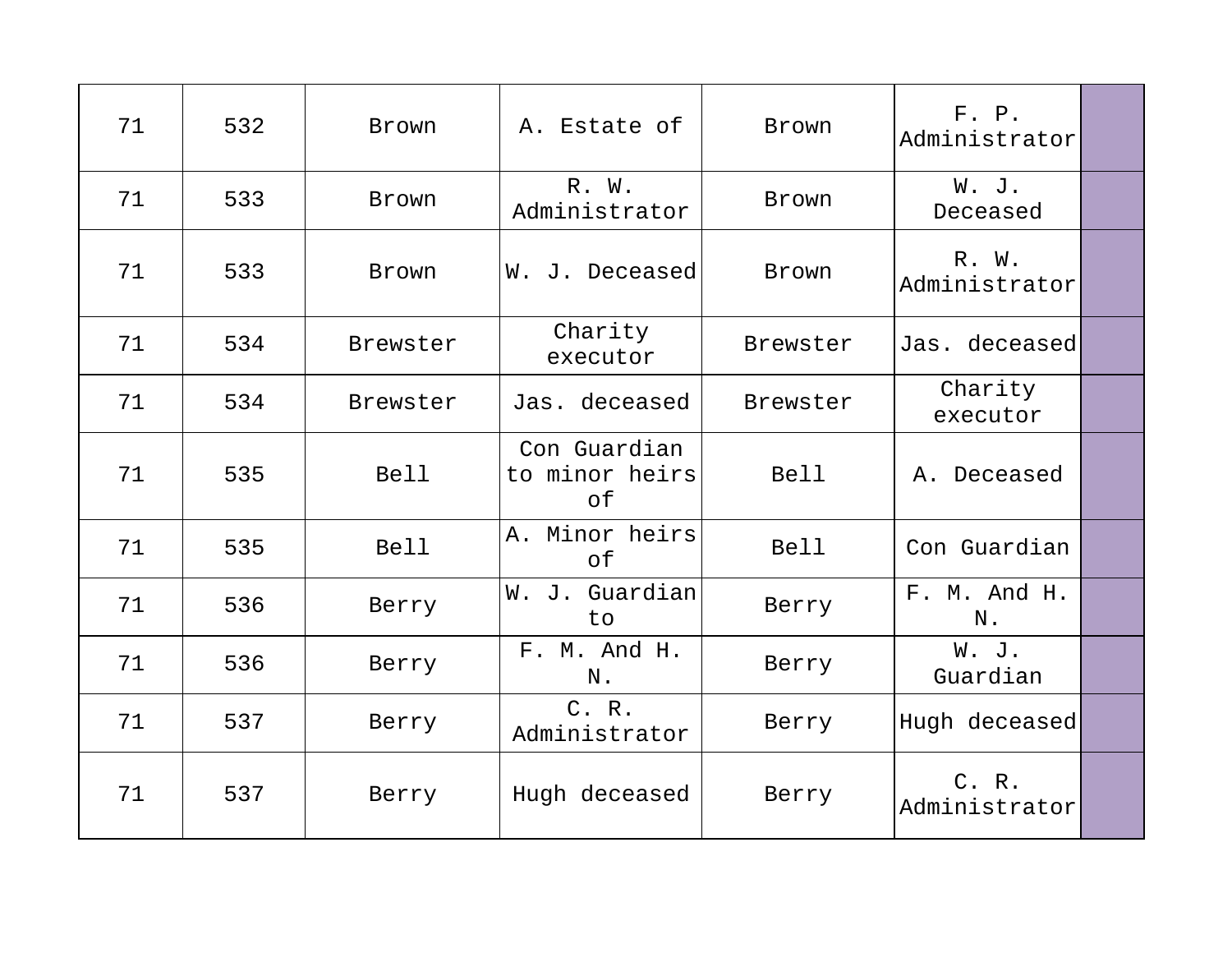| 71 | 532 | Brown       | A. Estate of                         | Brown       | F. P.<br>Administrator |  |
|----|-----|-------------|--------------------------------------|-------------|------------------------|--|
| 71 | 533 | Brown       | R. W.<br>Administrator               | Brown       | W. J.<br>Deceased      |  |
| 71 | 533 | Brown       | W. J. Deceased                       | Brown       | R. W.<br>Administrator |  |
| 71 | 534 | Brewster    | Charity<br>executor                  | Brewster    | Jas. deceased          |  |
| 71 | 534 | Brewster    | Jas. deceased                        | Brewster    | Charity<br>executor    |  |
| 71 | 535 | <b>Bell</b> | Con Guardian<br>to minor heirs<br>0f | <b>Bell</b> | A. Deceased            |  |
| 71 | 535 | <b>Bell</b> | A. Minor heirs<br>of                 | <b>Bell</b> | Con Guardian           |  |
| 71 | 536 | Berry       | W. J. Guardian<br>to                 | Berry       | F. M. And H.<br>N.     |  |
| 71 | 536 | Berry       | F. M. And H.<br>$N$ .                | Berry       | W. J.<br>Guardian      |  |
| 71 | 537 | Berry       | C. R.<br>Administrator               | Berry       | Hugh deceased          |  |
| 71 | 537 | Berry       | Hugh deceased                        | Berry       | C. R.<br>Administrator |  |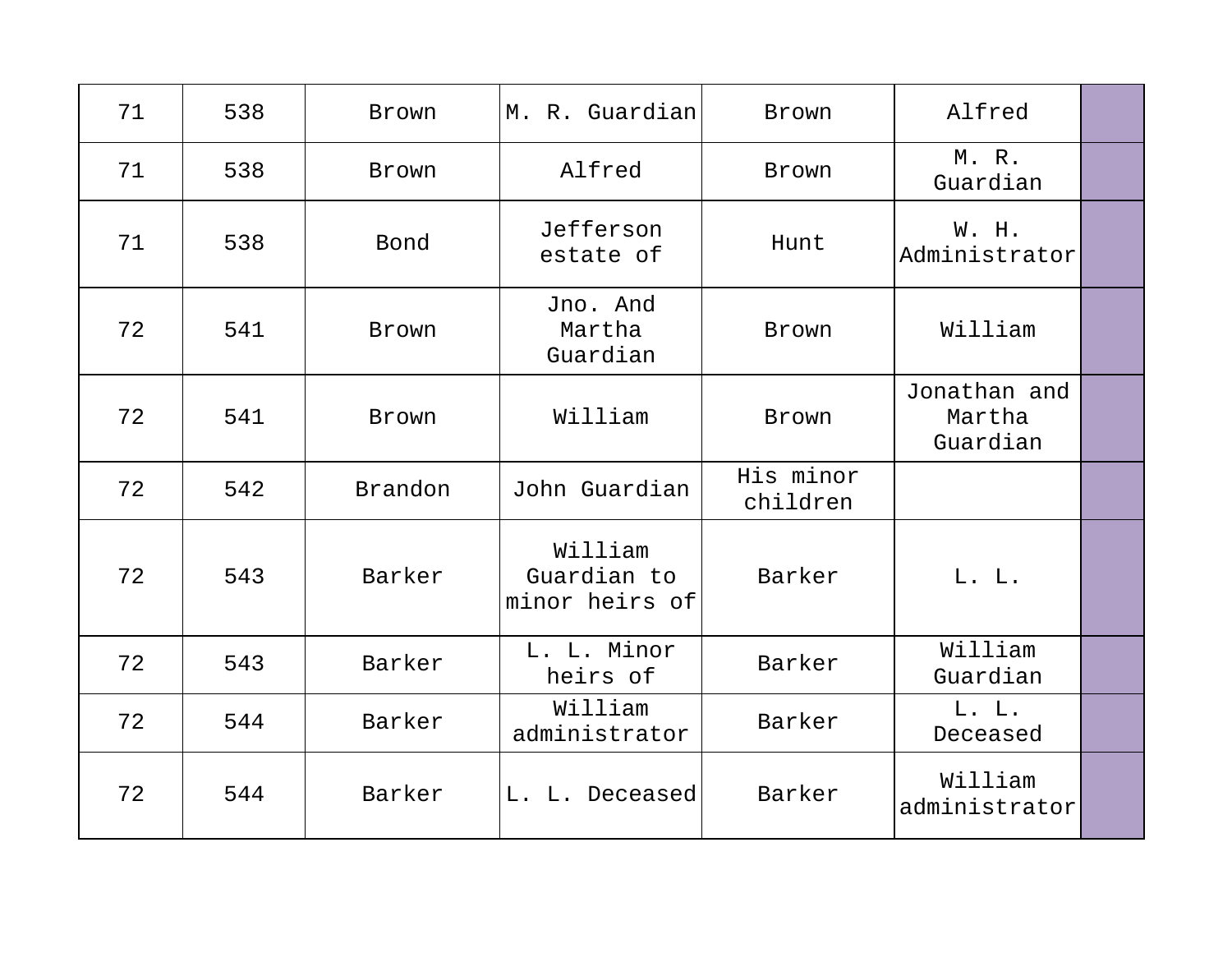| 71 | 538 | <b>Brown</b> | M. R. Guardian                           | Brown                 | Alfred                             |  |
|----|-----|--------------|------------------------------------------|-----------------------|------------------------------------|--|
| 71 | 538 | Brown        | Alfred                                   | Brown                 | M. R.<br>Guardian                  |  |
| 71 | 538 | Bond         | Jefferson<br>estate of                   | Hunt                  | W. H.<br>Administrator             |  |
| 72 | 541 | Brown        | Jno. And<br>Martha<br>Guardian           | Brown                 | William                            |  |
| 72 | 541 | Brown        | William                                  | Brown                 | Jonathan and<br>Martha<br>Guardian |  |
| 72 | 542 | Brandon      | John Guardian                            | His minor<br>children |                                    |  |
| 72 | 543 | Barker       | William<br>Guardian to<br>minor heirs of | Barker                | L. L.                              |  |
| 72 | 543 | Barker       | L. L. Minor<br>heirs of                  | Barker                | William<br>Guardian                |  |
| 72 | 544 | Barker       | William<br>administrator                 | Barker                | L. L.<br>Deceased                  |  |
| 72 | 544 | Barker       | L. L. Deceased                           | Barker                | William<br>administrator           |  |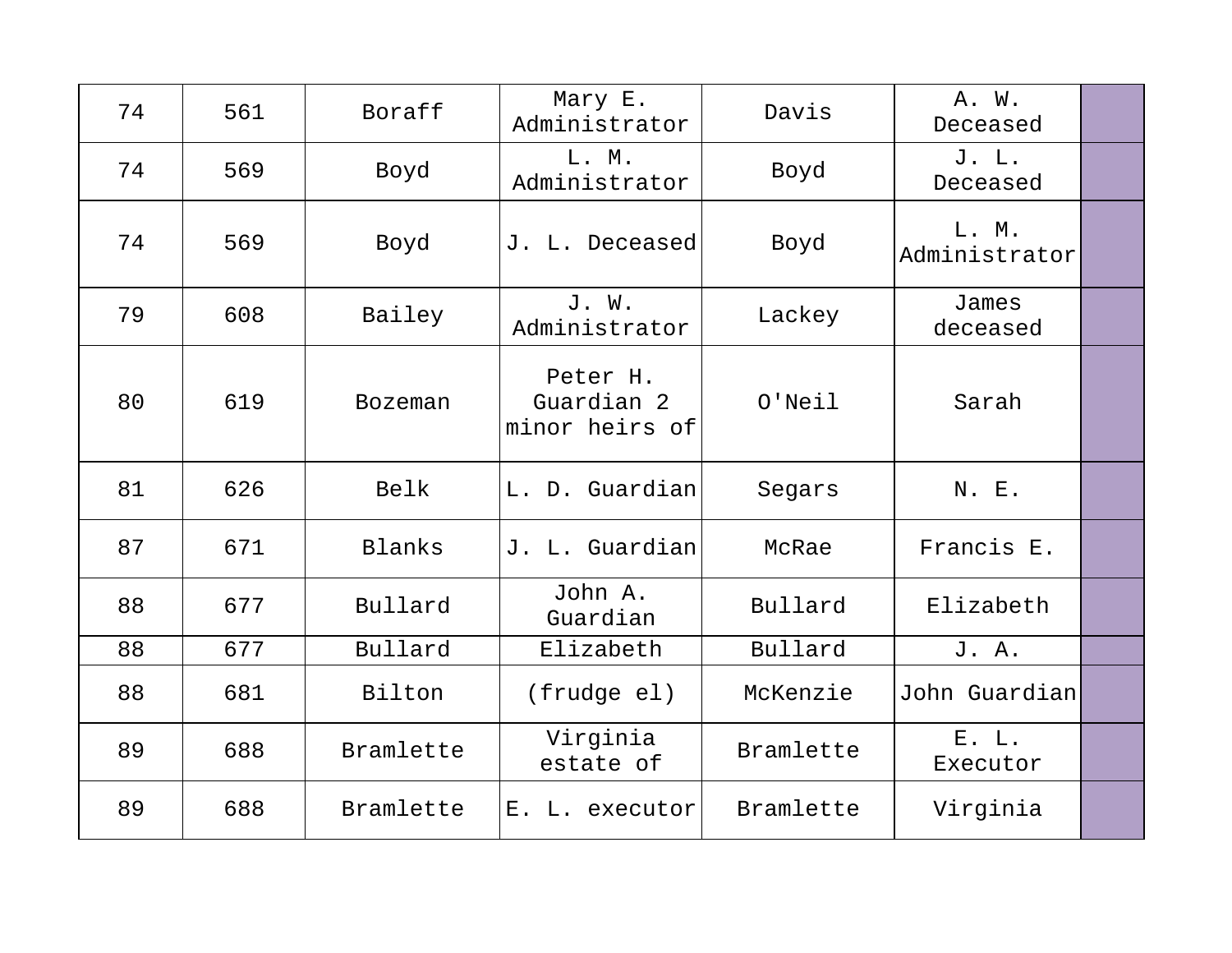| 74 | 561 | Boraff         | Mary E.<br>Administrator                 | Davis     | A. W.<br>Deceased      |  |
|----|-----|----------------|------------------------------------------|-----------|------------------------|--|
| 74 | 569 | Boyd           | L. M.<br>Administrator                   | Boyd      | J. L.<br>Deceased      |  |
| 74 | 569 | Boyd           | J. L. Deceased                           | Boyd      | L. M.<br>Administrator |  |
| 79 | 608 | Bailey         | J. W.<br>Administrator                   | Lackey    | James<br>deceased      |  |
| 80 | 619 | <b>Bozeman</b> | Peter H.<br>Guardian 2<br>minor heirs of | $O'$ Neil | Sarah                  |  |
| 81 | 626 | Belk           | L. D. Guardian                           | Segars    | N. E.                  |  |
| 87 | 671 | <b>Blanks</b>  | J. L. Guardian                           | McRae     | Francis E.             |  |
| 88 | 677 | Bullard        | John A.<br>Guardian                      | Bullard   | Elizabeth              |  |
| 88 | 677 | Bullard        | Elizabeth                                | Bullard   | J. A.                  |  |
| 88 | 681 | Bilton         | (frudge el)                              | McKenzie  | John Guardian          |  |
| 89 | 688 | Bramlette      | Virginia<br>estate of                    | Bramlette | E. L.<br>Executor      |  |
| 89 | 688 | Bramlette      | $E$ .<br>L. executor                     | Bramlette | Virginia               |  |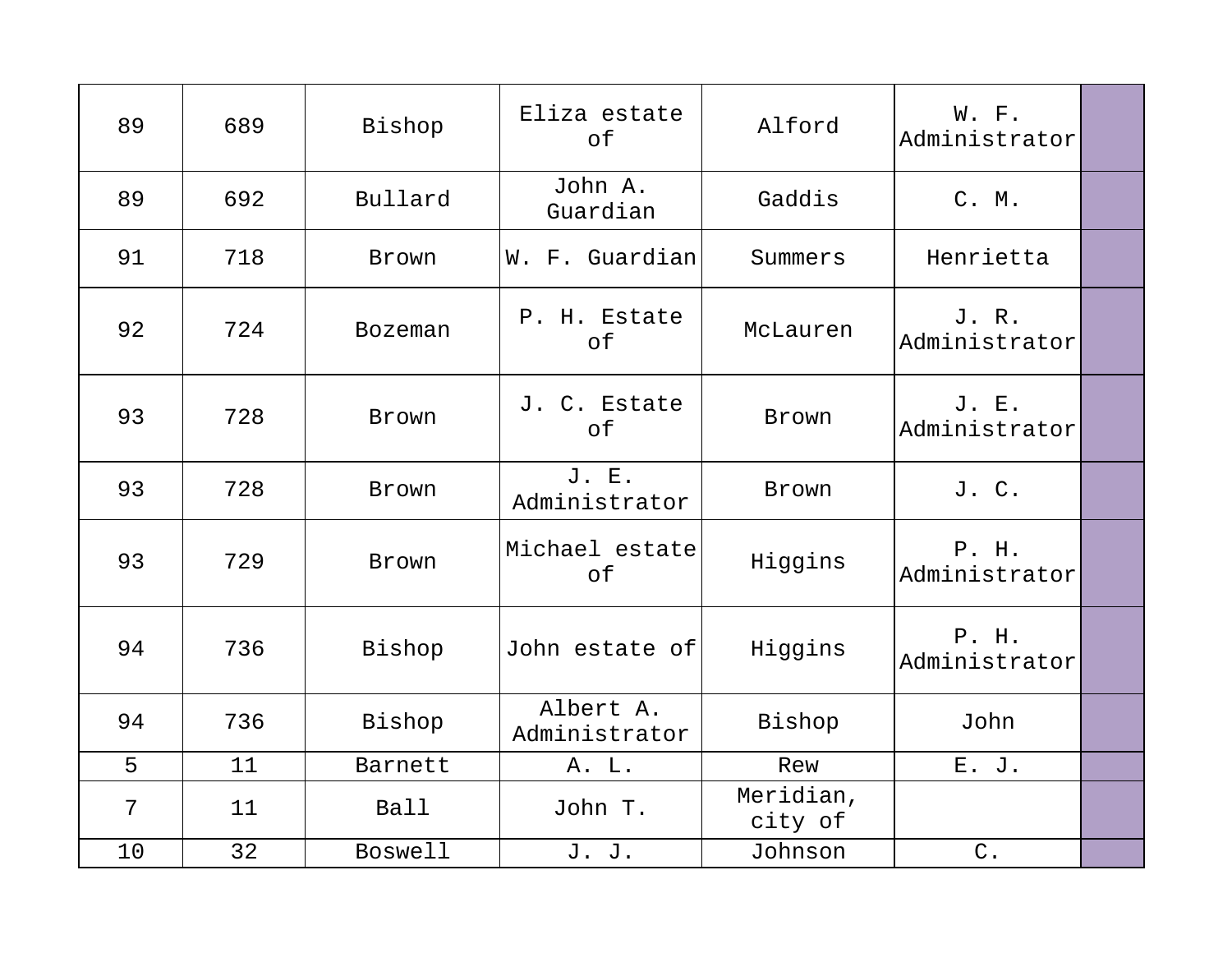| 89 | 689 | Bishop         | Eliza estate<br>of         | Alford               | W. F.<br>Administrator |  |
|----|-----|----------------|----------------------------|----------------------|------------------------|--|
| 89 | 692 | Bullard        | John A.<br>Guardian        | Gaddis               | C. M.                  |  |
| 91 | 718 | Brown          | W. F. Guardian             | Summers              | Henrietta              |  |
| 92 | 724 | <b>Bozeman</b> | P. H. Estate<br>of         | McLauren             | J. R.<br>Administrator |  |
| 93 | 728 | Brown          | J. C. Estate<br>of         | Brown                | J. E.<br>Administrator |  |
| 93 | 728 | Brown          | J. E.<br>Administrator     | Brown                | J. C.                  |  |
| 93 | 729 | Brown          | Michael estate<br>of       | Higgins              | P. H.<br>Administrator |  |
| 94 | 736 | Bishop         | John estate of             | Higgins              | P. H.<br>Administrator |  |
| 94 | 736 | Bishop         | Albert A.<br>Administrator | Bishop               | John                   |  |
| 5  | 11  | Barnett        | A. L.                      | Rew                  | E. J.                  |  |
| 7  | 11  | <b>Ball</b>    | John T.                    | Meridian,<br>city of |                        |  |
| 10 | 32  | <b>Boswell</b> | J. J.                      | Johnson              | $\mathsf C$ .          |  |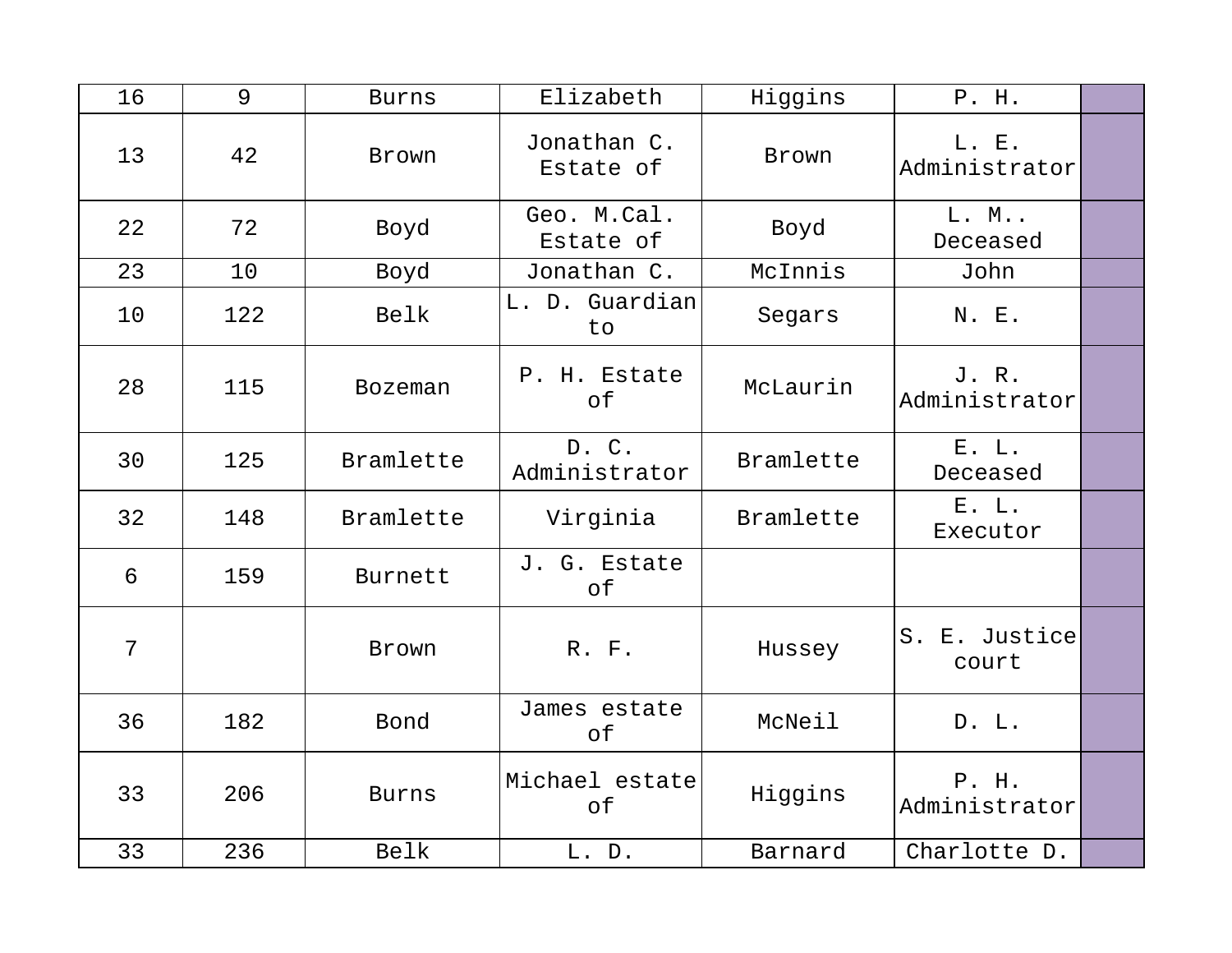| 16 | 9   | <b>Burns</b> | Elizabeth                | Higgins   | P. H.                  |  |
|----|-----|--------------|--------------------------|-----------|------------------------|--|
| 13 | 42  | Brown        | Jonathan C.<br>Estate of | Brown     | L. E.<br>Administrator |  |
| 22 | 72  | Boyd         | Geo. M.Cal.<br>Estate of | Boyd      | L. M<br>Deceased       |  |
| 23 | 10  | Boyd         | Jonathan C.              | McInnis   | John                   |  |
| 10 | 122 | Belk         | L. D. Guardian<br>to     | Segars    | N. E.                  |  |
| 28 | 115 | Bozeman      | P. H. Estate<br>of       | McLaurin  | J.R.<br>Administrator  |  |
| 30 | 125 | Bramlette    | D.C.<br>Administrator    | Bramlette | E. L.<br>Deceased      |  |
| 32 | 148 | Bramlette    | Virginia                 | Bramlette | E. L.<br>Executor      |  |
| 6  | 159 | Burnett      | J. G. Estate<br>оf       |           |                        |  |
| 7  |     | Brown        | R. F.                    | Hussey    | S. E. Justice<br>court |  |
| 36 | 182 | Bond         | James estate<br>of       | McNeil    | D. L.                  |  |
| 33 | 206 | <b>Burns</b> | Michael estate<br>of     | Higgins   | P. H.<br>Administrator |  |
| 33 | 236 | Belk         | L. D.                    | Barnard   | Charlotte D.           |  |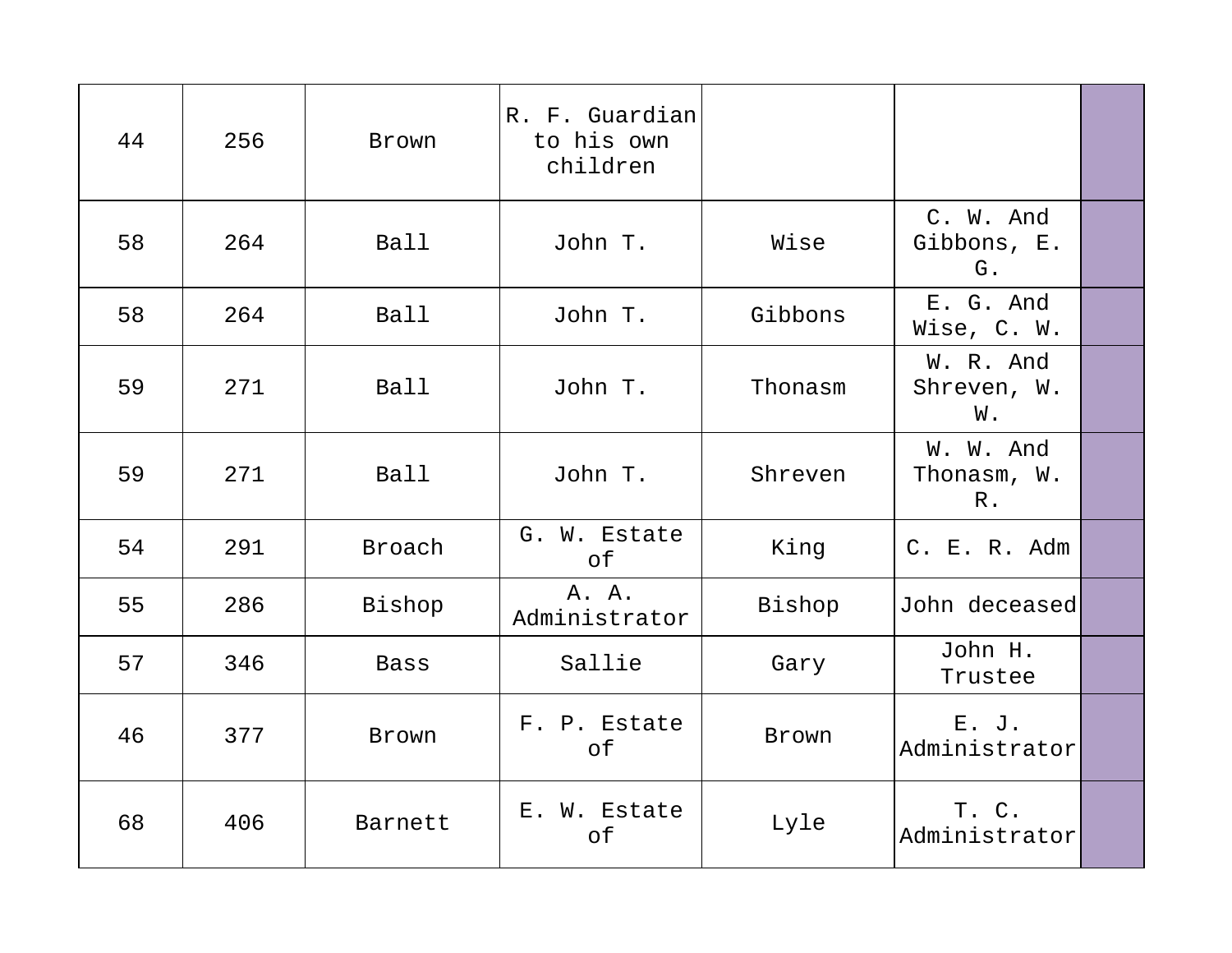| 44 | 256 | Brown       | R. F. Guardian<br>to his own<br>children |         |                                   |  |
|----|-----|-------------|------------------------------------------|---------|-----------------------------------|--|
| 58 | 264 | Ball        | John T.                                  | Wise    | C. W. And<br>Gibbons, E.<br>G.    |  |
| 58 | 264 | Ball        | John T.                                  | Gibbons | E. G. And<br>Wise, C. W.          |  |
| 59 | 271 | Ball        | John T.                                  | Thonasm | W. R. And<br>Shreven, W.<br>W.    |  |
| 59 | 271 | Ball        | John T.                                  | Shreven | W. W. And<br>Thonasm, W.<br>$R$ . |  |
| 54 | 291 | Broach      | G. W. Estate<br>of                       | King    | C. E. R. Adm                      |  |
| 55 | 286 | Bishop      | A. A.<br>Administrator                   | Bishop  | John deceased                     |  |
| 57 | 346 | <b>Bass</b> | Sallie                                   | Gary    | John H.<br>Trustee                |  |
| 46 | 377 | Brown       | F. P. Estate<br>of                       | Brown   | E. J.<br>Administrator            |  |
| 68 | 406 | Barnett     | E. W. Estate<br>of                       | Lyle    | T. C.<br>Administrator            |  |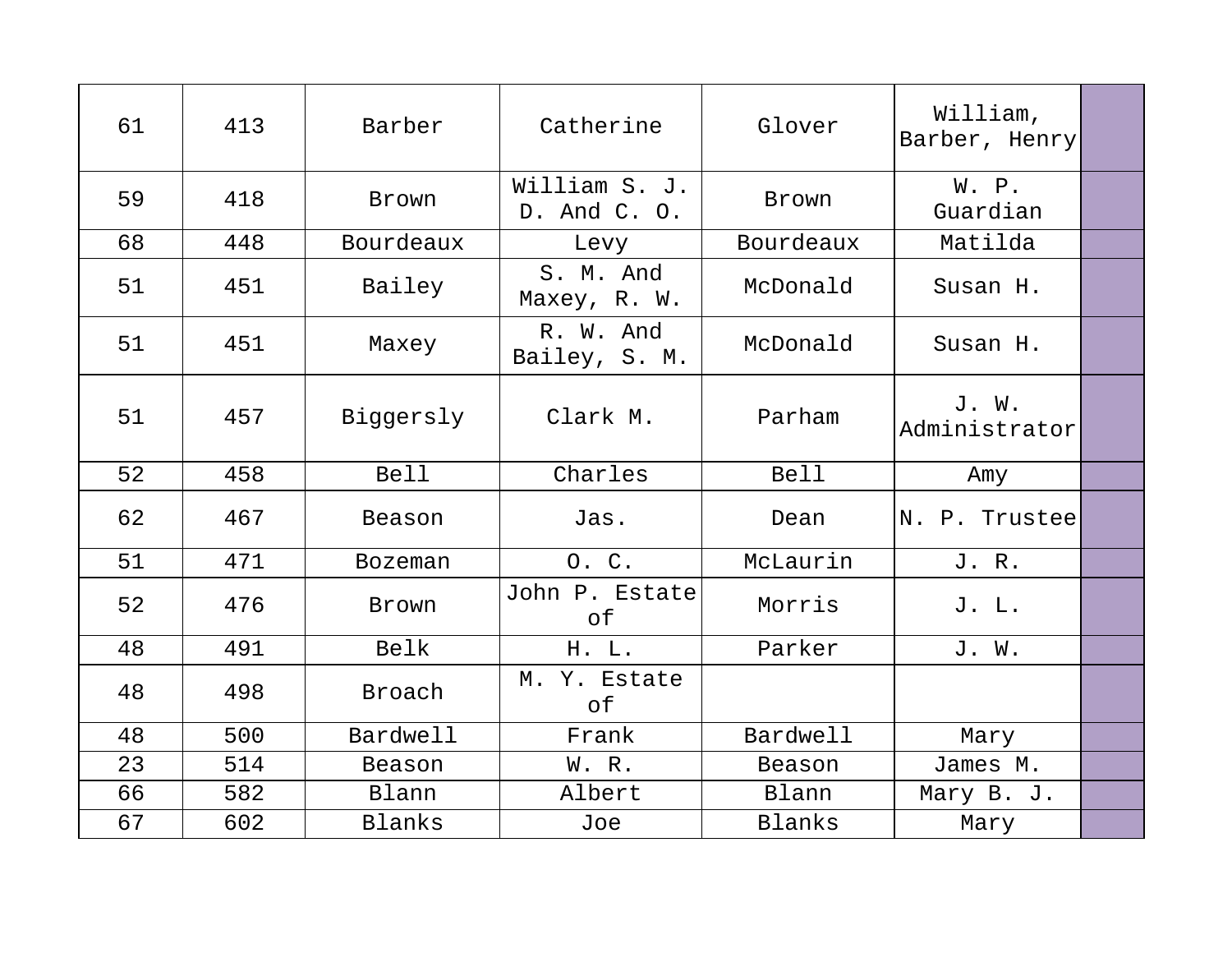| 61 | 413 | Barber         | Catherine                     | Glover      | William,<br>Barber, Henry |  |
|----|-----|----------------|-------------------------------|-------------|---------------------------|--|
| 59 | 418 | Brown          | William S. J.<br>D. And C. O. | Brown       | W. P.<br>Guardian         |  |
| 68 | 448 | Bourdeaux      | Levy                          | Bourdeaux   | Matilda                   |  |
| 51 | 451 | Bailey         | S. M. And<br>Maxey, R. W.     | McDonald    | Susan H.                  |  |
| 51 | 451 | Maxey          | R. W. And<br>Bailey, S. M.    | McDonald    | Susan H.                  |  |
| 51 | 457 | Biggersly      | Clark M.                      | Parham      | J. W.<br>Administrator    |  |
| 52 | 458 | <b>Bell</b>    | Charles                       | <b>Bell</b> | Amy                       |  |
| 62 | 467 | Beason         | Jas.                          | Dean        | N. P. Trustee             |  |
| 51 | 471 | <b>Bozeman</b> | O. C.                         | McLaurin    | J. R.                     |  |
| 52 | 476 | Brown          | John P. Estate<br>оf          | Morris      | J. L.                     |  |
| 48 | 491 | Belk           | H. L.                         | Parker      | J. W.                     |  |
| 48 | 498 | Broach         | M. Y. Estate<br>оf            |             |                           |  |
| 48 | 500 | Bardwell       | Frank                         | Bardwell    | Mary                      |  |
| 23 | 514 | Beason         | W. R.                         | Beason      | James M.                  |  |
| 66 | 582 | Blann          | Albert                        | Blann       | Mary B. J.                |  |
| 67 | 602 | Blanks         | Joe                           | Blanks      | Mary                      |  |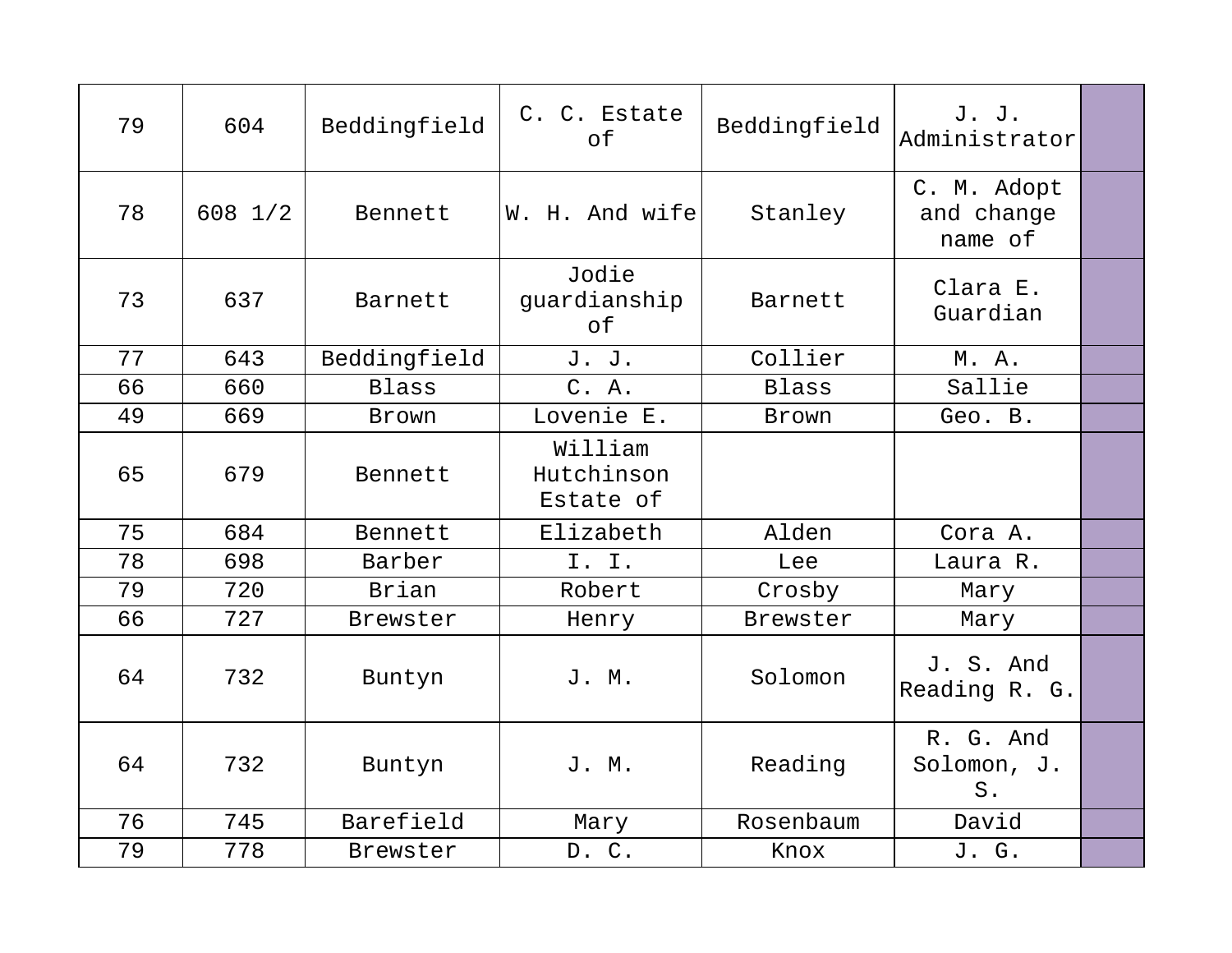| 79 | 604     | Beddingfield | C. C. Estate<br>of                 | Beddingfield | J. J.<br>Administrator               |  |
|----|---------|--------------|------------------------------------|--------------|--------------------------------------|--|
| 78 | 608 1/2 | Bennett      | W. H. And wife                     | Stanley      | C. M. Adopt<br>and change<br>name of |  |
| 73 | 637     | Barnett      | Jodie<br>guardianship<br>of        | Barnett      | Clara E.<br>Guardian                 |  |
| 77 | 643     | Beddingfield | J. J.                              | Collier      | M. A.                                |  |
| 66 | 660     | <b>Blass</b> | C. A.                              | <b>Blass</b> | Sallie                               |  |
| 49 | 669     | Brown        | Lovenie E.                         | Brown        | Geo. B.                              |  |
| 65 | 679     | Bennett      | William<br>Hutchinson<br>Estate of |              |                                      |  |
| 75 | 684     | Bennett      | Elizabeth                          | Alden        | Cora A.                              |  |
| 78 | 698     | Barber       | I. I.                              | Lee          | Laura R.                             |  |
| 79 | 720     | Brian        | Robert                             | Crosby       | Mary                                 |  |
| 66 | 727     | Brewster     | Henry                              | Brewster     | Mary                                 |  |
| 64 | 732     | Buntyn       | J. M.                              | Solomon      | J. S. And<br>Reading R. G.           |  |
| 64 | 732     | Buntyn       | J. M.                              | Reading      | R. G. And<br>Solomon, J.<br>S.       |  |
| 76 | 745     | Barefield    | Mary                               | Rosenbaum    | David                                |  |
| 79 | 778     | Brewster     | D. C.                              | Knox         | J. G.                                |  |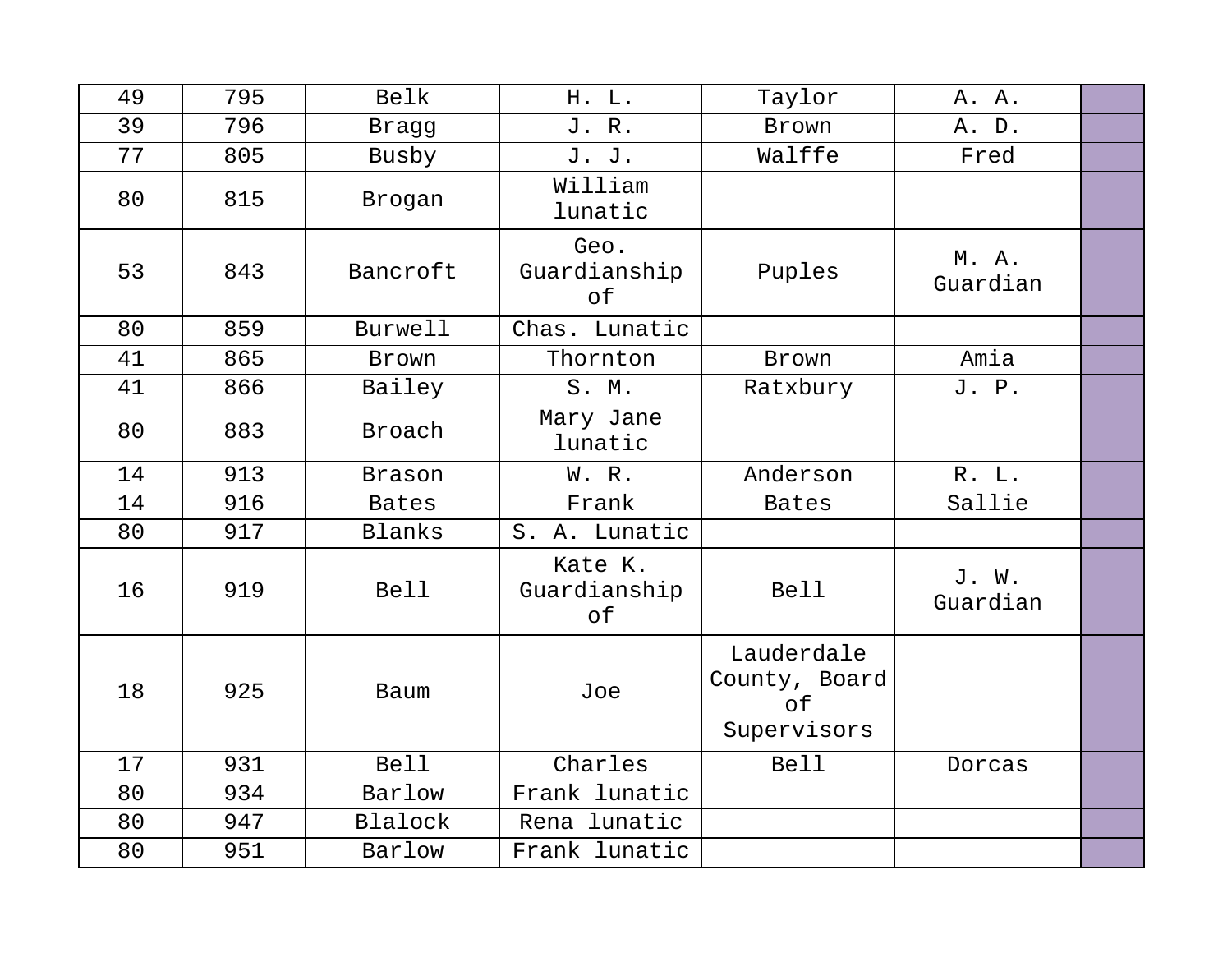| 49 | 795 | Belk          | H. L.                         | Taylor                                           | A. A.             |  |
|----|-----|---------------|-------------------------------|--------------------------------------------------|-------------------|--|
| 39 | 796 | Bragg         | J. R.                         | Brown                                            | A. D.             |  |
| 77 | 805 | Busby         | J. J.                         | Walffe                                           | Fred              |  |
| 80 | 815 | Brogan        | William<br>lunatic            |                                                  |                   |  |
| 53 | 843 | Bancroft      | Geo.<br>Guardianship<br>of    | Puples                                           | M. A.<br>Guardian |  |
| 80 | 859 | Burwell       | Chas. Lunatic                 |                                                  |                   |  |
| 41 | 865 | Brown         | Thornton                      | Brown                                            | Amia              |  |
| 41 | 866 | Bailey        | S. M.                         | Ratxbury                                         | J. P.             |  |
| 80 | 883 | Broach        | Mary Jane<br>lunatic          |                                                  |                   |  |
| 14 | 913 | <b>Brason</b> | W. R.                         | Anderson                                         | R. L.             |  |
| 14 | 916 | <b>Bates</b>  | Frank                         | <b>Bates</b>                                     | Sallie            |  |
| 80 | 917 | Blanks        | S. A. Lunatic                 |                                                  |                   |  |
| 16 | 919 | <b>Bell</b>   | Kate K.<br>Guardianship<br>of | <b>Bell</b>                                      | J. W.<br>Guardian |  |
| 18 | 925 | Baum          | Joe                           | Lauderdale<br>County, Board<br>of<br>Supervisors |                   |  |
| 17 | 931 | <b>Bell</b>   | Charles                       | <b>Bell</b>                                      | Dorcas            |  |
| 80 | 934 | Barlow        | Frank lunatic                 |                                                  |                   |  |
| 80 | 947 | Blalock       | Rena lunatic                  |                                                  |                   |  |
| 80 | 951 | Barlow        | Frank lunatic                 |                                                  |                   |  |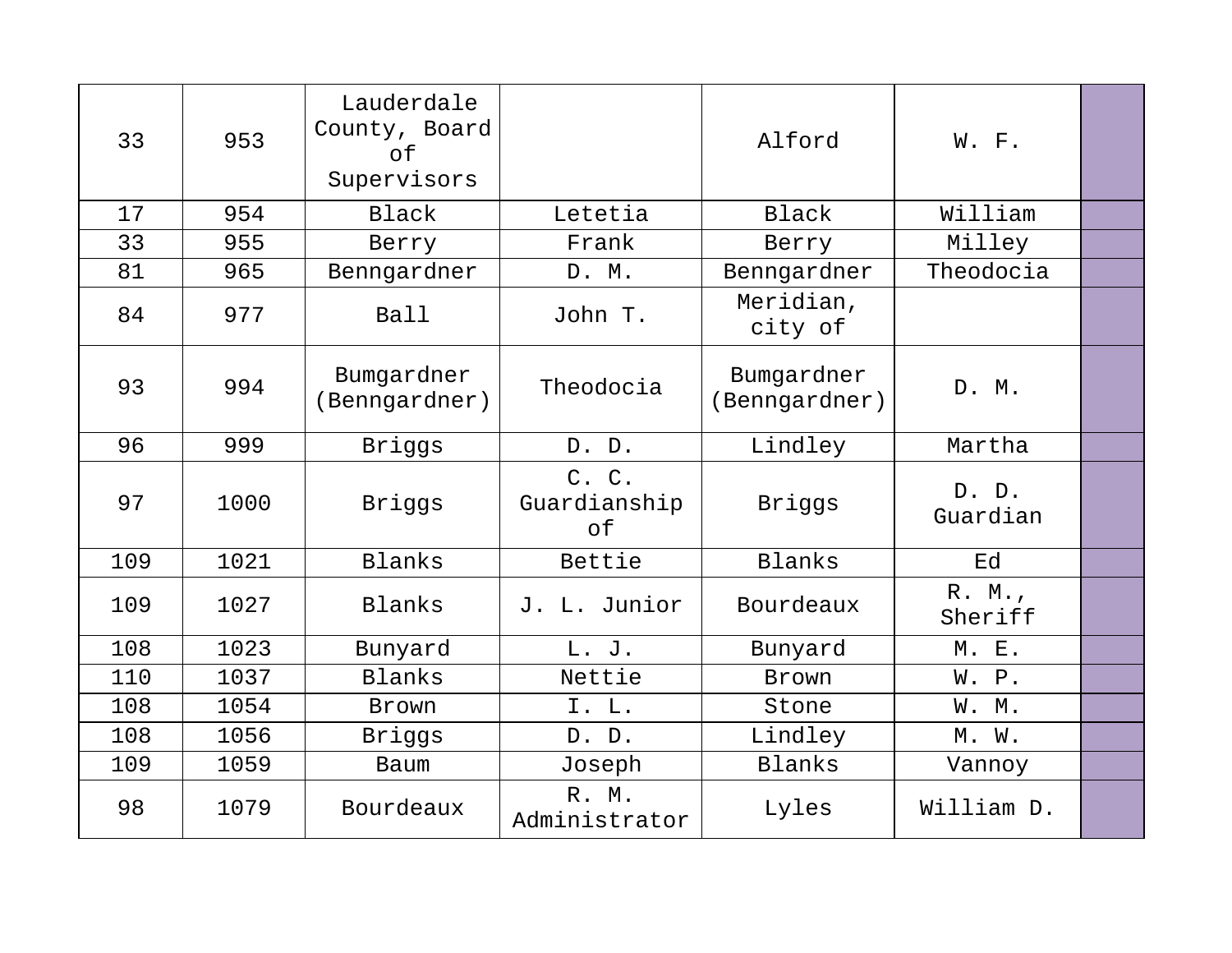| 33  | 953  | Lauderdale<br>County, Board<br>of<br>Supervisors |                             | Alford                      | W. F.             |  |
|-----|------|--------------------------------------------------|-----------------------------|-----------------------------|-------------------|--|
| 17  | 954  | <b>Black</b>                                     | Letetia                     | <b>Black</b>                | William           |  |
| 33  | 955  | Berry                                            | Frank                       | Berry                       | Milley            |  |
| 81  | 965  | Benngardner                                      | D. M.                       | Benngardner                 | Theodocia         |  |
| 84  | 977  | Ball                                             | John T.                     | Meridian,<br>city of        |                   |  |
| 93  | 994  | Bumgardner<br>(Benngardner)                      | Theodocia                   | Bumgardner<br>(Benngardner) | D. M.             |  |
| 96  | 999  | Briggs                                           | D. D.                       | Lindley                     | Martha            |  |
| 97  | 1000 | Briggs                                           | C. C.<br>Guardianship<br>of | Briggs                      | D. D.<br>Guardian |  |
| 109 | 1021 | Blanks                                           | Bettie                      | Blanks                      | Ed                |  |
| 109 | 1027 | <b>Blanks</b>                                    | J. L. Junior                | Bourdeaux                   | R. M.<br>Sheriff  |  |
| 108 | 1023 | Bunyard                                          | L. J.                       | Bunyard                     | M. E.             |  |
| 110 | 1037 | <b>Blanks</b>                                    | Nettie                      | Brown                       | W. P.             |  |
| 108 | 1054 | Brown                                            | I. L.                       | Stone                       | W. M.             |  |
| 108 | 1056 | Briggs                                           | D. D.                       | Lindley                     | M. W.             |  |
| 109 | 1059 | Baum                                             | Joseph                      | Blanks                      | Vannoy            |  |
| 98  | 1079 | Bourdeaux                                        | R. M.<br>Administrator      | Lyles                       | William D.        |  |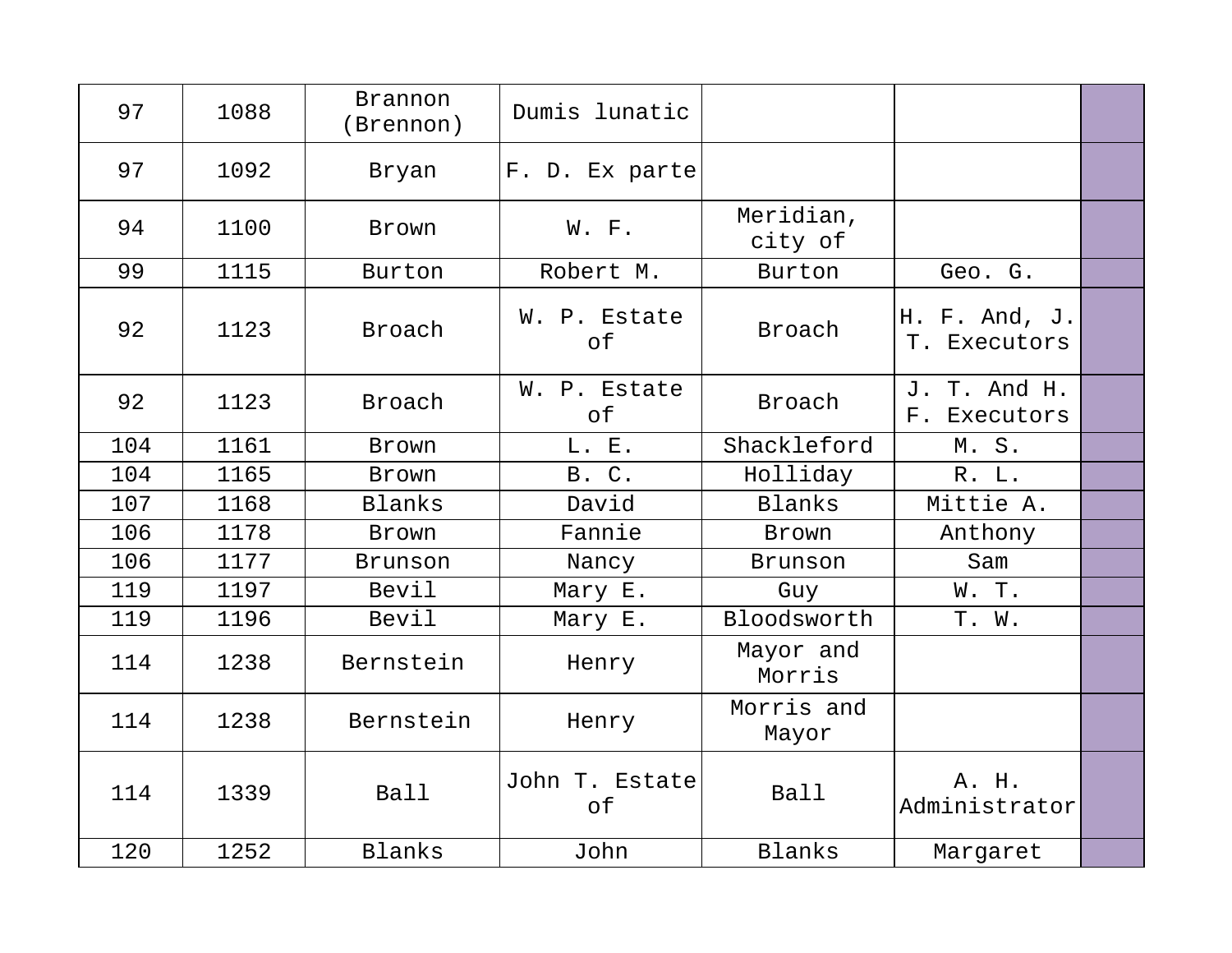| 97  | 1088 | <b>Brannon</b><br>(Brennon) | Dumis lunatic        |                      |                               |  |
|-----|------|-----------------------------|----------------------|----------------------|-------------------------------|--|
| 97  | 1092 | Bryan                       | F. D. Ex parte       |                      |                               |  |
| 94  | 1100 | Brown                       | W. F.                | Meridian,<br>city of |                               |  |
| 99  | 1115 | Burton                      | Robert M.            | Burton               | Geo. G.                       |  |
| 92  | 1123 | Broach                      | W. P. Estate<br>of   | Broach               | H. F. And, J.<br>T. Executors |  |
| 92  | 1123 | Broach                      | W. P. Estate<br>of   | Broach               | J. T. And H.<br>F. Executors  |  |
| 104 | 1161 | Brown                       | L. E.                | Shackleford          | M. S.                         |  |
| 104 | 1165 | Brown                       | <b>B. C.</b>         | Holliday             | R. L.                         |  |
| 107 | 1168 | <b>Blanks</b>               | David                | Blanks               | Mittie A.                     |  |
| 106 | 1178 | Brown                       | Fannie               | Brown                | Anthony                       |  |
| 106 | 1177 | Brunson                     | Nancy                | Brunson              | Sam                           |  |
| 119 | 1197 | Bevil                       | Mary E.              | Guy                  | W. T.                         |  |
| 119 | 1196 | Bevil                       | Mary E.              | Bloodsworth          | T. W.                         |  |
| 114 | 1238 | Bernstein                   | Henry                | Mayor and<br>Morris  |                               |  |
| 114 | 1238 | Bernstein                   | Henry                | Morris and<br>Mayor  |                               |  |
| 114 | 1339 | <b>Ball</b>                 | John T. Estate<br>of | Ball                 | A. H.<br>Administrator        |  |
| 120 | 1252 | Blanks                      | John                 | Blanks               | Margaret                      |  |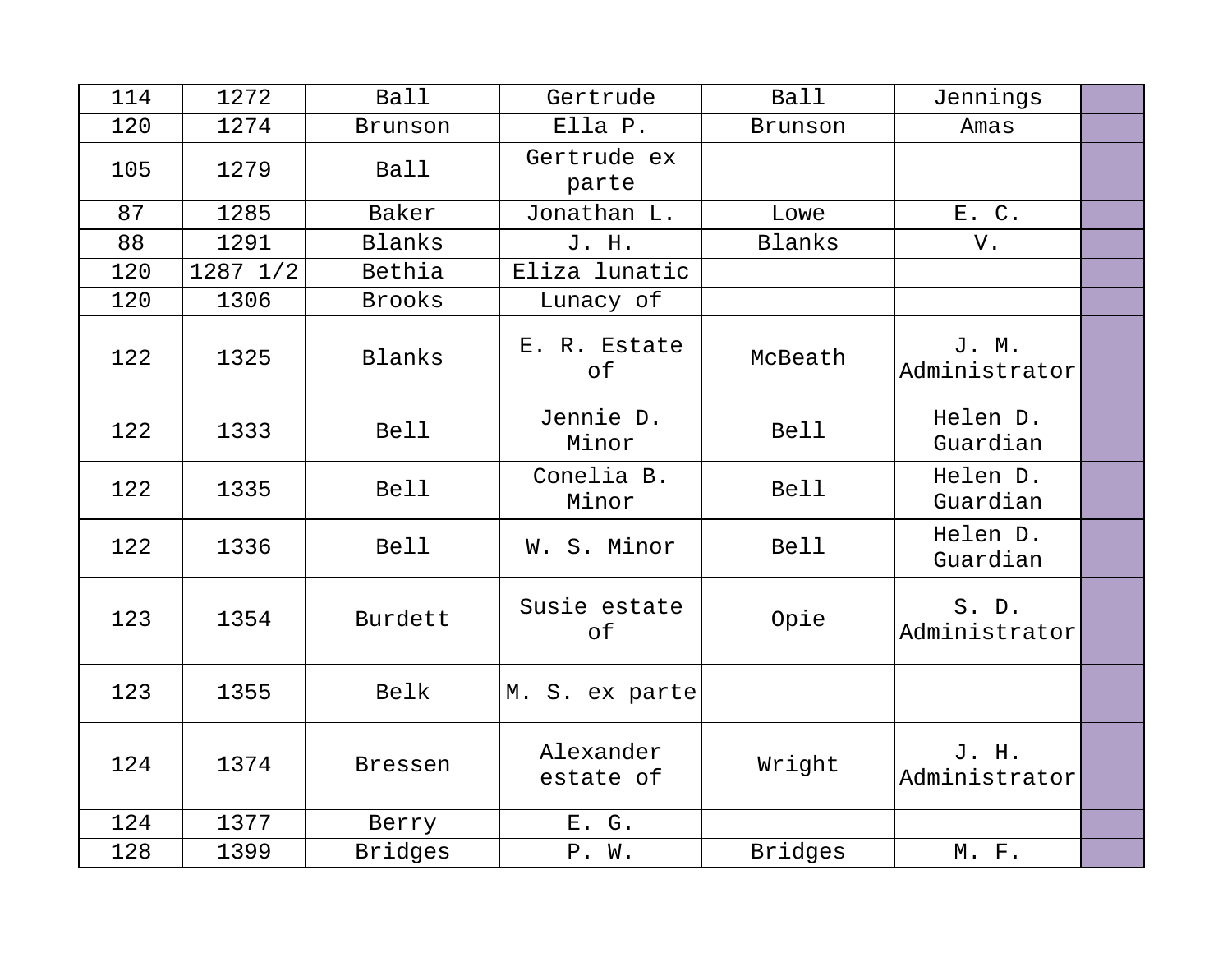| 114 | 1272     | <b>Ball</b>    | Gertrude               | <b>Ball</b>    | Jennings               |  |
|-----|----------|----------------|------------------------|----------------|------------------------|--|
| 120 | 1274     | Brunson        | Ella P.                | Brunson        | Amas                   |  |
| 105 | 1279     | <b>Ball</b>    | Gertrude ex<br>parte   |                |                        |  |
| 87  | 1285     | Baker          | Jonathan L.            | Lowe           | E. C.                  |  |
| 88  | 1291     | Blanks         | J. H.                  | <b>Blanks</b>  | V.                     |  |
| 120 | 1287 1/2 | Bethia         | Eliza lunatic          |                |                        |  |
| 120 | 1306     | <b>Brooks</b>  | Lunacy of              |                |                        |  |
| 122 | 1325     | Blanks         | E. R. Estate<br>of     | McBeath        | J. M.<br>Administrator |  |
| 122 | 1333     | <b>Bell</b>    | Jennie D.<br>Minor     | <b>Bell</b>    | Helen D.<br>Guardian   |  |
| 122 | 1335     | <b>Bell</b>    | Conelia B.<br>Minor    | <b>Bell</b>    | Helen D.<br>Guardian   |  |
| 122 | 1336     | <b>Bell</b>    | W. S. Minor            | <b>Bell</b>    | Helen D.<br>Guardian   |  |
| 123 | 1354     | Burdett        | Susie estate<br>of     | Opie           | S. D.<br>Administrator |  |
| 123 | 1355     | Belk           | M. S. ex parte         |                |                        |  |
| 124 | 1374     | <b>Bressen</b> | Alexander<br>estate of | Wright         | J. H.<br>Administrator |  |
| 124 | 1377     | Berry          | E. G.                  |                |                        |  |
| 128 | 1399     | <b>Bridges</b> | P. W.                  | <b>Bridges</b> | M. F.                  |  |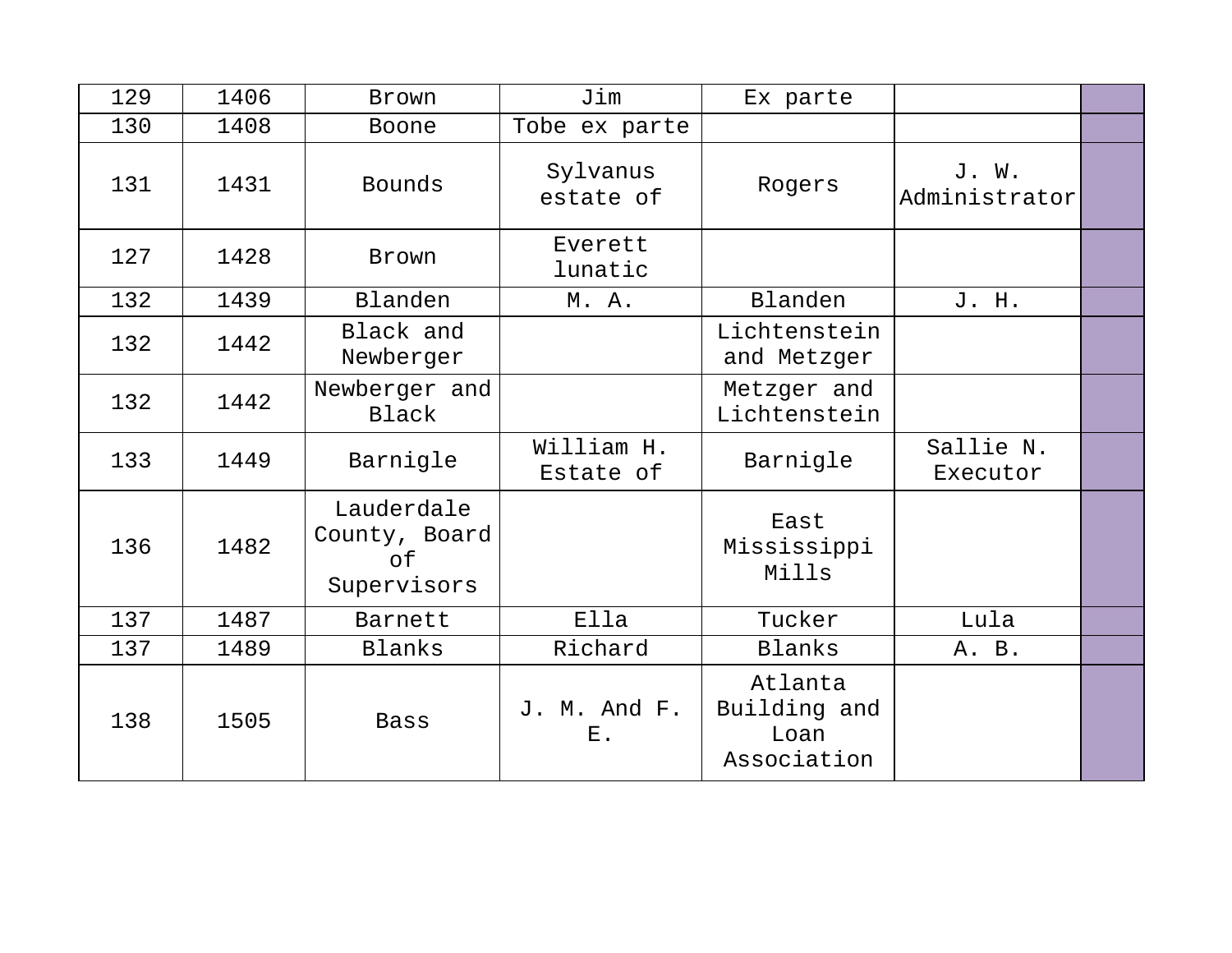| 129 | 1406 | Brown                                            | Jim                         | Ex parte                                       |                        |  |
|-----|------|--------------------------------------------------|-----------------------------|------------------------------------------------|------------------------|--|
| 130 | 1408 | Boone                                            | Tobe ex parte               |                                                |                        |  |
| 131 | 1431 | Bounds                                           | Sylvanus<br>estate of       | Rogers                                         | J. W.<br>Administrator |  |
| 127 | 1428 | Brown                                            | Everett<br>lunatic          |                                                |                        |  |
| 132 | 1439 | Blanden                                          | M. A.                       | Blanden                                        | J. H.                  |  |
| 132 | 1442 | Black and<br>Newberger                           |                             | Lichtenstein<br>and Metzger                    |                        |  |
| 132 | 1442 | Newberger and<br>Black                           |                             | Metzger and<br>Lichtenstein                    |                        |  |
| 133 | 1449 | Barnigle                                         | William H.<br>Estate of     | Barnigle                                       | Sallie N.<br>Executor  |  |
| 136 | 1482 | Lauderdale<br>County, Board<br>of<br>Supervisors |                             | East<br>Mississippi<br>Mills                   |                        |  |
| 137 | 1487 | Barnett                                          | Ella                        | Tucker                                         | Lula                   |  |
| 137 | 1489 | Blanks                                           | Richard                     | Blanks                                         | A. B.                  |  |
| 138 | 1505 | <b>Bass</b>                                      | J. M. And F.<br>${\bf E}$ . | Atlanta<br>Building and<br>Loan<br>Association |                        |  |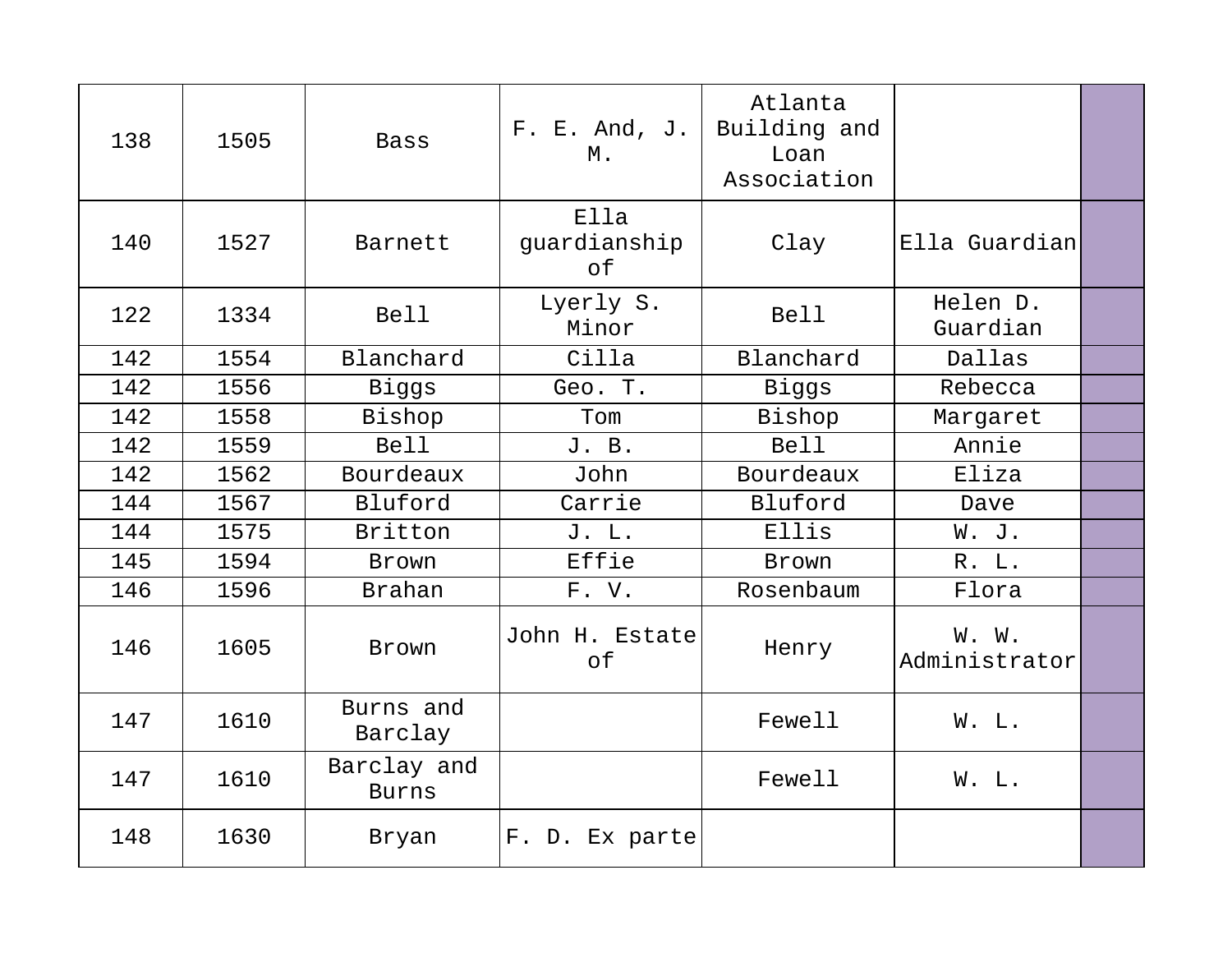| 138 | 1505 | <b>Bass</b>                 | F. E. And, J.<br>Μ.        | Atlanta<br>Building and<br>Loan<br>Association |                        |  |
|-----|------|-----------------------------|----------------------------|------------------------------------------------|------------------------|--|
| 140 | 1527 | Barnett                     | Ella<br>guardianship<br>оf | Clay                                           | Ella Guardian          |  |
| 122 | 1334 | <b>Bell</b>                 | Lyerly S.<br>Minor         | <b>Bell</b>                                    | Helen D.<br>Guardian   |  |
| 142 | 1554 | Blanchard                   | Cilla                      | Blanchard                                      | Dallas                 |  |
| 142 | 1556 | Biggs                       | Geo. T.                    | Biggs                                          | Rebecca                |  |
| 142 | 1558 | Bishop                      | Tom                        | Bishop                                         | Margaret               |  |
| 142 | 1559 | Bell                        | J. B.                      | Bell                                           | Annie                  |  |
| 142 | 1562 | Bourdeaux                   | John                       | Bourdeaux                                      | Eliza                  |  |
| 144 | 1567 | Bluford                     | Carrie                     | Bluford                                        | Dave                   |  |
| 144 | 1575 | Britton                     | J. L.                      | Ellis                                          | W. J.                  |  |
| 145 | 1594 | Brown                       | Effie                      | Brown                                          | R. L.                  |  |
| 146 | 1596 | <b>Brahan</b>               | F. V.                      | Rosenbaum                                      | Flora                  |  |
| 146 | 1605 | Brown                       | John H. Estate<br>of       | Henry                                          | W. W.<br>Administrator |  |
| 147 | 1610 | Burns and<br>Barclay        |                            | Fewell                                         | W. L.                  |  |
| 147 | 1610 | Barclay and<br><b>Burns</b> |                            | Fewell                                         | W. L.                  |  |
| 148 | 1630 | Bryan                       | F. D. Ex parte             |                                                |                        |  |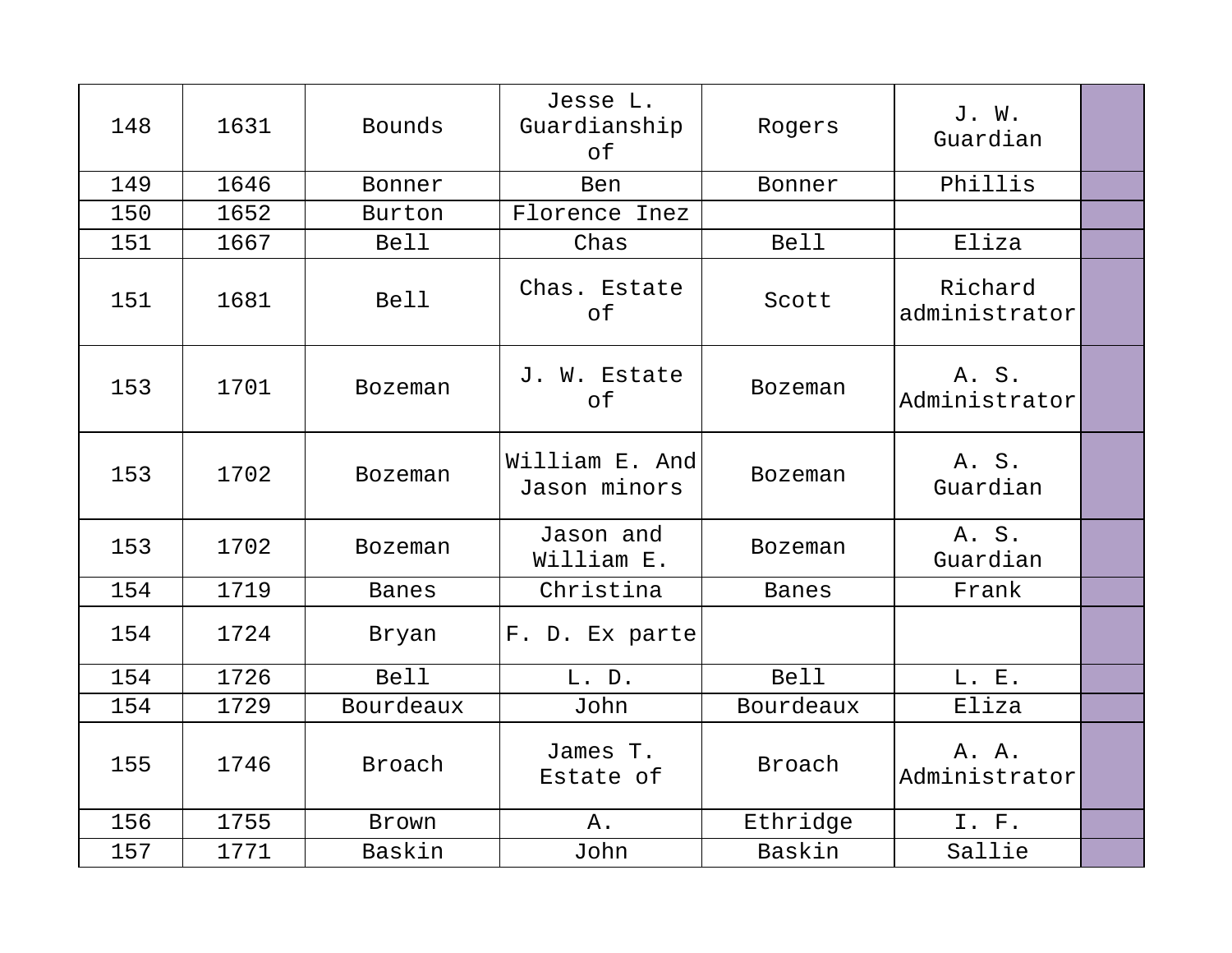| 148 | 1631 | Bounds         | Jesse L.<br>Guardianship<br>оf | Rogers         | J. W.<br>Guardian        |  |
|-----|------|----------------|--------------------------------|----------------|--------------------------|--|
| 149 | 1646 | Bonner         | Ben                            | Bonner         | Phillis                  |  |
| 150 | 1652 | Burton         | Florence Inez                  |                |                          |  |
| 151 | 1667 | <b>Bell</b>    | Chas                           | <b>Bell</b>    | Eliza                    |  |
| 151 | 1681 | <b>Bell</b>    | Chas. Estate<br>of             | Scott          | Richard<br>administrator |  |
| 153 | 1701 | Bozeman        | J. W. Estate<br>of             | <b>Bozeman</b> | A. S.<br>Administrator   |  |
| 153 | 1702 | <b>Bozeman</b> | William E. And<br>Jason minors | <b>Bozeman</b> | A. S.<br>Guardian        |  |
| 153 | 1702 | <b>Bozeman</b> | Jason and<br>William E.        | <b>Bozeman</b> | A. S.<br>Guardian        |  |
| 154 | 1719 | <b>Banes</b>   | Christina                      | <b>Banes</b>   | Frank                    |  |
| 154 | 1724 | Bryan          | F. D. Ex parte                 |                |                          |  |
| 154 | 1726 | <b>Bell</b>    | L. D.                          | <b>Bell</b>    | L. E.                    |  |
| 154 | 1729 | Bourdeaux      | John                           | Bourdeaux      | Eliza                    |  |
| 155 | 1746 | Broach         | James T.<br>Estate of          | Broach         | A. A.<br>Administrator   |  |
| 156 | 1755 | Brown          | Α.                             | Ethridge       | I. F.                    |  |
| 157 | 1771 | Baskin         | John                           | Baskin         | Sallie                   |  |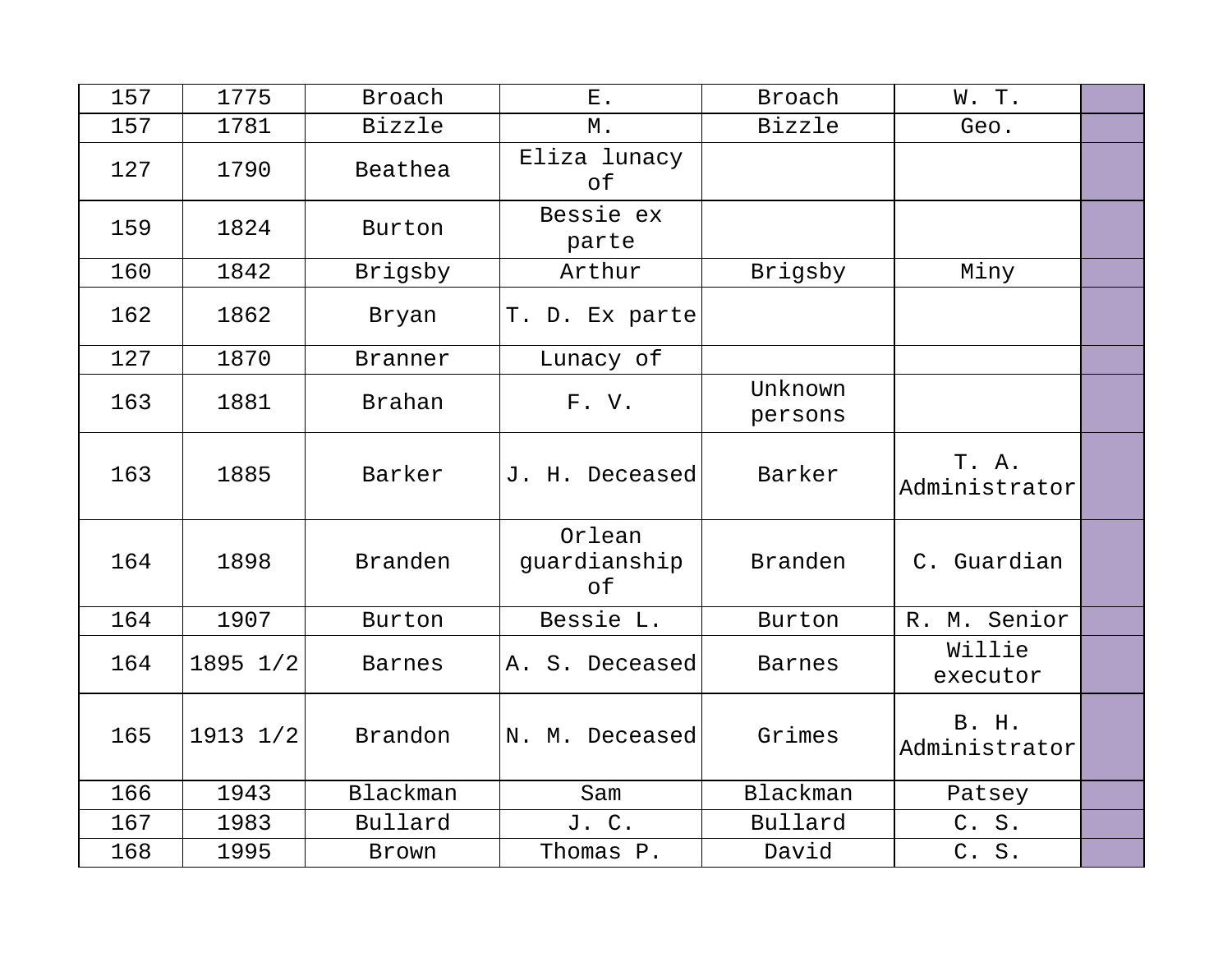| 157 | 1775         | Broach        | ${\bf E}$ .                  | <b>Broach</b>      | W.T.                          |  |
|-----|--------------|---------------|------------------------------|--------------------|-------------------------------|--|
| 157 | 1781         | Bizzle        | $M$ .                        | <b>Bizzle</b>      | Geo.                          |  |
| 127 | 1790         | Beathea       | Eliza lunacy<br>of           |                    |                               |  |
| 159 | 1824         | Burton        | Bessie ex<br>parte           |                    |                               |  |
| 160 | 1842         | Brigsby       | Arthur                       | Brigsby            | Miny                          |  |
| 162 | 1862         | Bryan         | T. D. Ex parte               |                    |                               |  |
| 127 | 1870         | Branner       | Lunacy of                    |                    |                               |  |
| 163 | 1881         | Brahan        | F.V.                         | Unknown<br>persons |                               |  |
| 163 | 1885         | Barker        | J. H. Deceased               | Barker             | T. A.<br>Administrator        |  |
| 164 | 1898         | Branden       | Orlean<br>guardianship<br>оf | Branden            | C. Guardian                   |  |
| 164 | 1907         | Burton        | Bessie L.                    | Burton             | R. M. Senior                  |  |
| 164 | 1895 1/2     | <b>Barnes</b> | A. S. Deceased               | <b>Barnes</b>      | Willie<br>executor            |  |
| 165 | $1913$ $1/2$ | Brandon       | N. M. Deceased               | Grimes             | <b>B. H.</b><br>Administrator |  |
| 166 | 1943         | Blackman      | Sam                          | Blackman           | Patsey                        |  |
| 167 | 1983         | Bullard       | J. C.                        | Bullard            | C. S.                         |  |
| 168 | 1995         | Brown         | Thomas P.                    | David              | C. S.                         |  |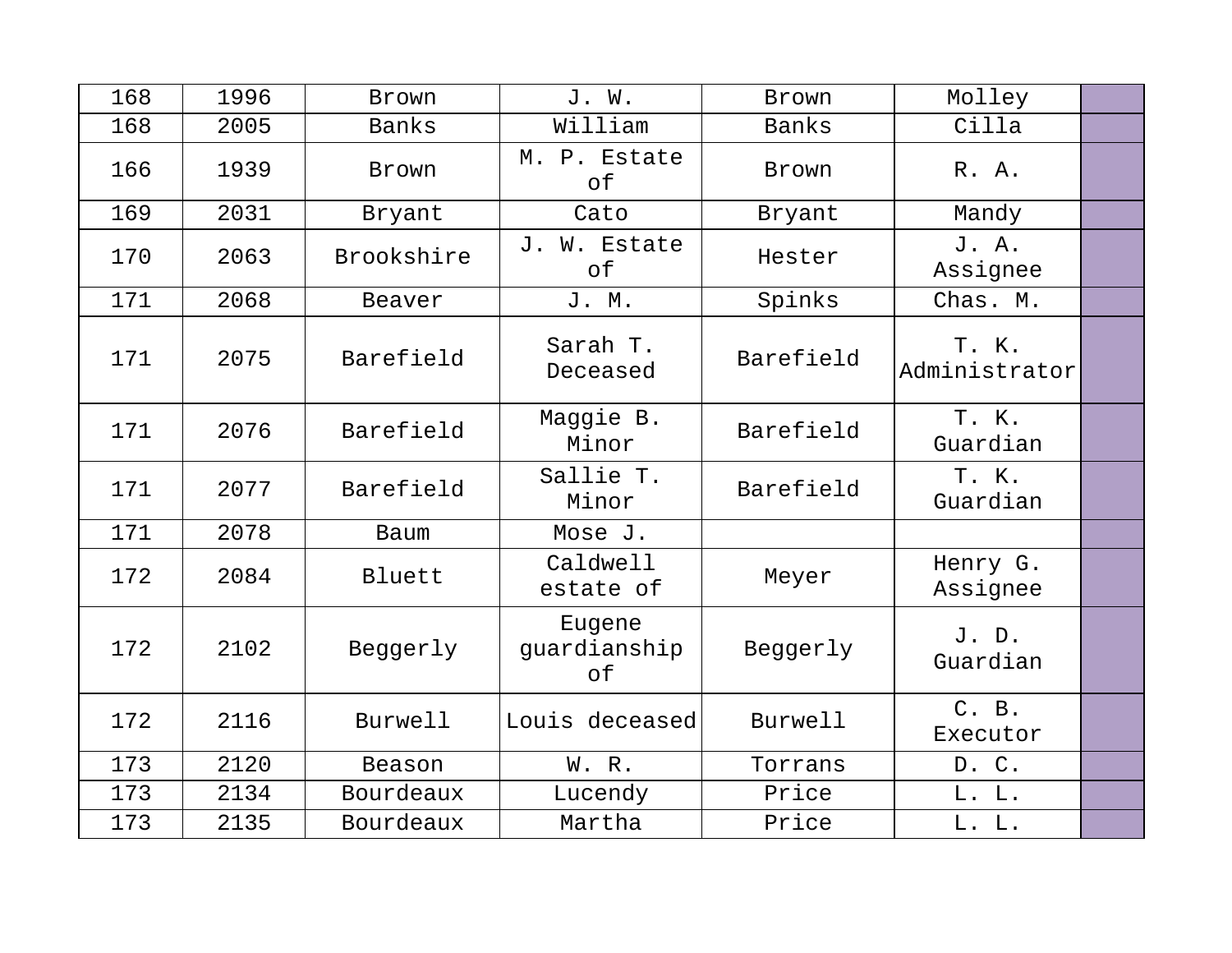| 168 | 1996 | Brown        | J. W.                        | Brown        | Molley                 |  |
|-----|------|--------------|------------------------------|--------------|------------------------|--|
| 168 | 2005 | <b>Banks</b> | William                      | <b>Banks</b> | Cilla                  |  |
| 166 | 1939 | Brown        | M. P. Estate<br>оf           | Brown        | R. A.                  |  |
| 169 | 2031 | Bryant       | Cato                         | Bryant       | Mandy                  |  |
| 170 | 2063 | Brookshire   | J. W. Estate<br>of           | Hester       | J. A.<br>Assignee      |  |
| 171 | 2068 | Beaver       | J. M.                        | Spinks       | Chas. M.               |  |
| 171 | 2075 | Barefield    | Sarah T.<br>Deceased         | Barefield    | T. K.<br>Administrator |  |
| 171 | 2076 | Barefield    | Maggie B.<br>Minor           | Barefield    | T. K.<br>Guardian      |  |
| 171 | 2077 | Barefield    | Sallie T.<br>Minor           | Barefield    | T. K.<br>Guardian      |  |
| 171 | 2078 | Baum         | Mose J.                      |              |                        |  |
| 172 | 2084 | Bluett       | Caldwell<br>estate of        | Meyer        | Henry G.<br>Assignee   |  |
| 172 | 2102 | Beggerly     | Eugene<br>quardianship<br>оf | Beggerly     | J. D.<br>Guardian      |  |
| 172 | 2116 | Burwell      | Louis deceased               | Burwell      | C. B.<br>Executor      |  |
| 173 | 2120 | Beason       | W. R.                        | Torrans      | D. C.                  |  |
| 173 | 2134 | Bourdeaux    | Lucendy                      | Price        | L. L.                  |  |
| 173 | 2135 | Bourdeaux    | Martha                       | Price        | L. L.                  |  |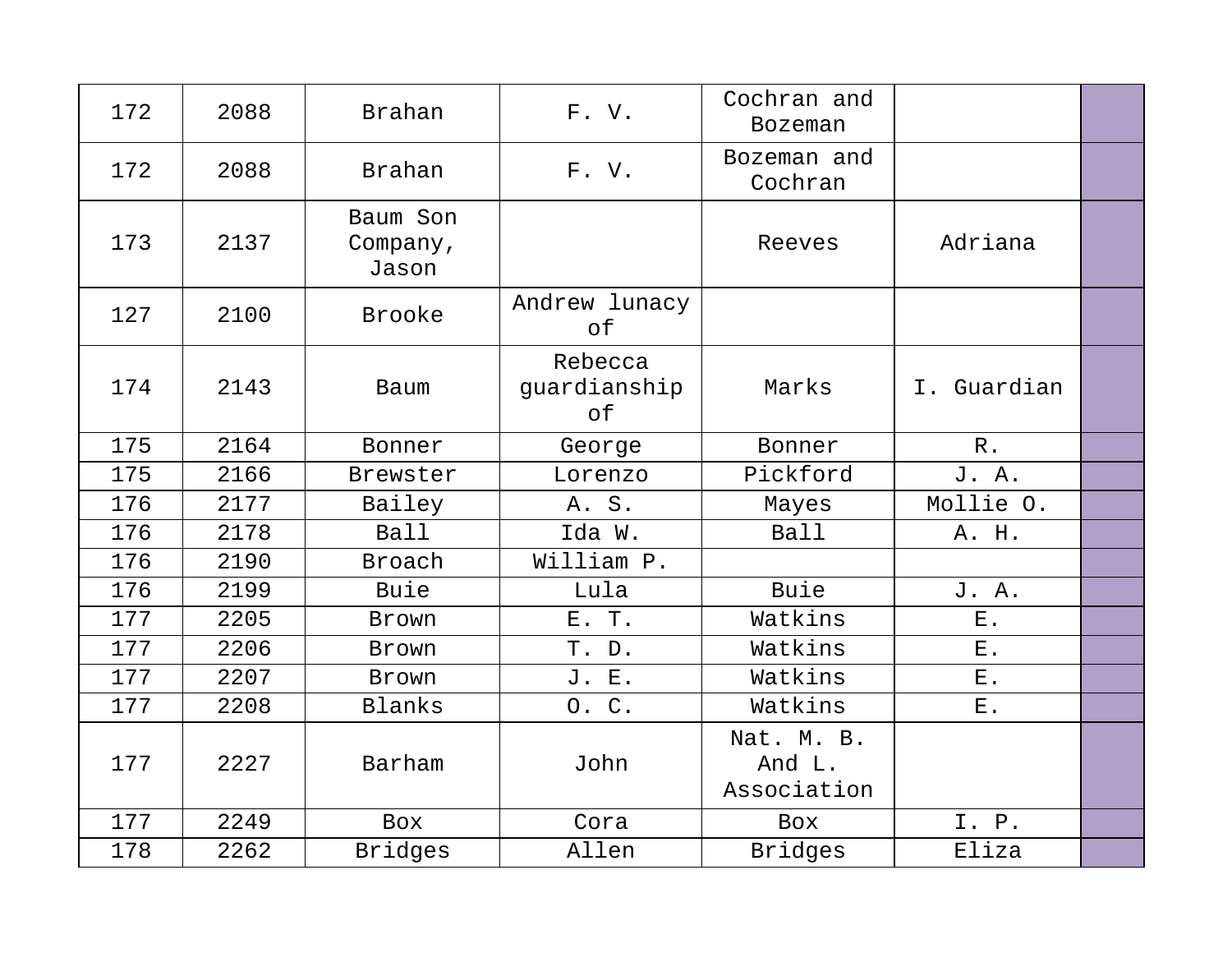| 172 | 2088 | Brahan                        | F.V.                          | Cochran and<br><b>Bozeman</b>       |             |  |
|-----|------|-------------------------------|-------------------------------|-------------------------------------|-------------|--|
| 172 | 2088 | <b>Brahan</b>                 | F. V.                         | Bozeman and<br>Cochran              |             |  |
| 173 | 2137 | Baum Son<br>Company,<br>Jason |                               | Reeves                              | Adriana     |  |
| 127 | 2100 | <b>Brooke</b>                 | Andrew lunacy<br>of           |                                     |             |  |
| 174 | 2143 | Baum                          | Rebecca<br>guardianship<br>of | Marks                               | I. Guardian |  |
| 175 | 2164 | Bonner                        | George                        | Bonner                              | $R$ .       |  |
| 175 | 2166 | Brewster                      | Lorenzo                       | Pickford                            | J. A.       |  |
| 176 | 2177 | Bailey                        | A. S.                         | Mayes                               | Mollie O.   |  |
| 176 | 2178 | Ball                          | Ida W.                        | Ball                                | A. H.       |  |
| 176 | 2190 | <b>Broach</b>                 | William P.                    |                                     |             |  |
| 176 | 2199 | Buie                          | Lula                          | Buie                                | J. A.       |  |
| 177 | 2205 | Brown                         | E. T.                         | Watkins                             | ${\bf E}$ . |  |
| 177 | 2206 | Brown                         | T. D.                         | Watkins                             | $E$ .       |  |
| 177 | 2207 | Brown                         | J. E.                         | Watkins                             | ${\bf E}$ . |  |
| 177 | 2208 | Blanks                        | 0. C.                         | Watkins                             | ${\bf E}$ . |  |
| 177 | 2227 | Barham                        | John                          | Nat. M. B.<br>And L.<br>Association |             |  |
| 177 | 2249 | <b>Box</b>                    | Cora                          | <b>Box</b>                          | I. P.       |  |
| 178 | 2262 | <b>Bridges</b>                | Allen                         | <b>Bridges</b>                      | Eliza       |  |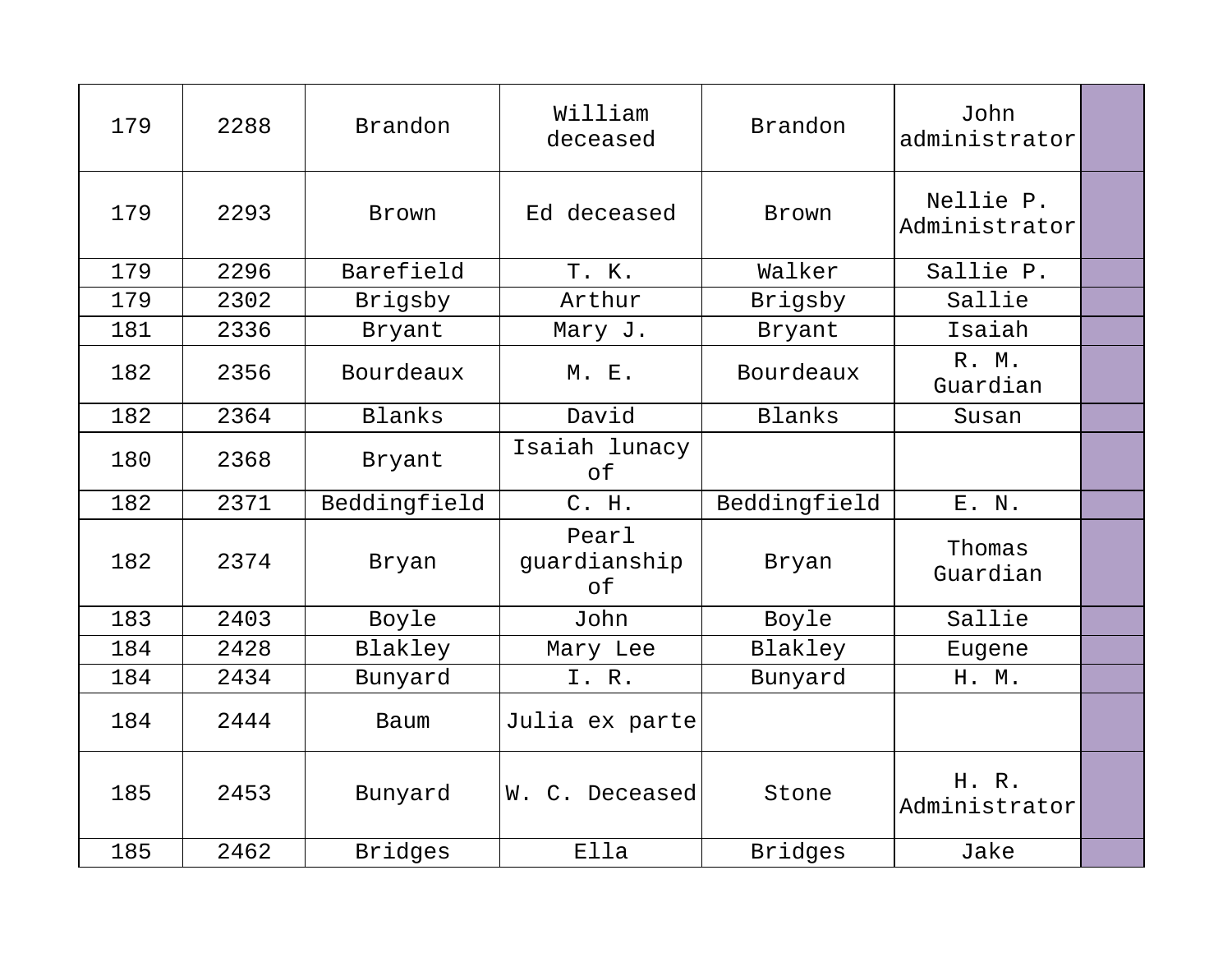| 179 | 2288 | Brandon        | William<br>deceased         | Brandon        | John<br>administrator      |  |
|-----|------|----------------|-----------------------------|----------------|----------------------------|--|
| 179 | 2293 | <b>Brown</b>   | Ed deceased                 | Brown          | Nellie P.<br>Administrator |  |
| 179 | 2296 | Barefield      | T. K.                       | Walker         | Sallie P.                  |  |
| 179 | 2302 | Brigsby        | Arthur                      | Brigsby        | Sallie                     |  |
| 181 | 2336 | Bryant         | Mary J.                     | Bryant         | Isaiah                     |  |
| 182 | 2356 | Bourdeaux      | M. E.                       | Bourdeaux      | R. M.<br>Guardian          |  |
| 182 | 2364 | Blanks         | David                       | Blanks         | Susan                      |  |
| 180 | 2368 | Bryant         | Isaiah lunacy<br>of         |                |                            |  |
| 182 | 2371 | Beddingfield   | C. H.                       | Beddingfield   | E. N.                      |  |
| 182 | 2374 | Bryan          | Pearl<br>guardianship<br>of | Bryan          | Thomas<br>Guardian         |  |
| 183 | 2403 | Boyle          | John                        | Boyle          | Sallie                     |  |
| 184 | 2428 | Blakley        | Mary Lee                    | Blakley        | Eugene                     |  |
| 184 | 2434 | Bunyard        | I. R.                       | Bunyard        | H. M.                      |  |
| 184 | 2444 | Baum           | Julia ex parte              |                |                            |  |
| 185 | 2453 | Bunyard        | W. C. Deceased              | Stone          | H. R.<br>Administrator     |  |
| 185 | 2462 | <b>Bridges</b> | Ella                        | <b>Bridges</b> | Jake                       |  |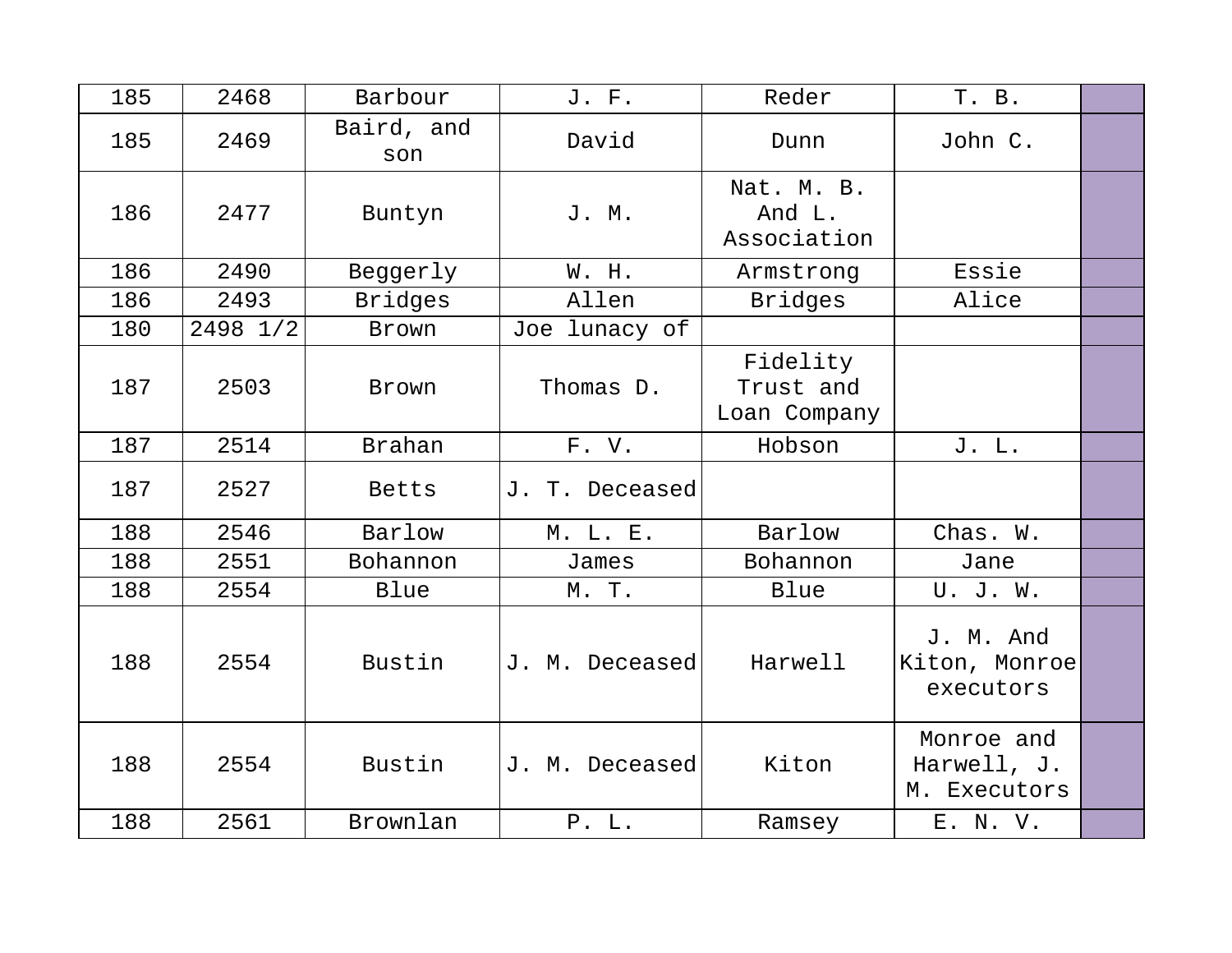| 185 | 2468     | Barbour           | J. F.          | Reder                                 | T. B.                                     |  |
|-----|----------|-------------------|----------------|---------------------------------------|-------------------------------------------|--|
| 185 | 2469     | Baird, and<br>son | David          | Dunn                                  | John C.                                   |  |
| 186 | 2477     | Buntyn            | J. M.          | Nat. M. B.<br>And L.<br>Association   |                                           |  |
| 186 | 2490     | Beggerly          | W. H.          | Armstrong                             | Essie                                     |  |
| 186 | 2493     | <b>Bridges</b>    | Allen          | <b>Bridges</b>                        | Alice                                     |  |
| 180 | 2498 1/2 | Brown             | Joe lunacy of  |                                       |                                           |  |
| 187 | 2503     | Brown             | Thomas D.      | Fidelity<br>Trust and<br>Loan Company |                                           |  |
| 187 | 2514     | <b>Brahan</b>     | F.V.           | Hobson                                | J. L.                                     |  |
| 187 | 2527     | Betts             | J. T. Deceased |                                       |                                           |  |
| 188 | 2546     | Barlow            | M. L. E.       | Barlow                                | Chas. W.                                  |  |
| 188 | 2551     | Bohannon          | James          | Bohannon                              | Jane                                      |  |
| 188 | 2554     | Blue              | M. T.          | Blue                                  | U. J. W.                                  |  |
| 188 | 2554     | Bustin            | J. M. Deceased | Harwell                               | J. M. And<br>Kiton, Monroe<br>executors   |  |
| 188 | 2554     | Bustin            | J. M. Deceased | Kiton                                 | Monroe and<br>Harwell, J.<br>M. Executors |  |
| 188 | 2561     | Brownlan          | P. L.          | Ramsey                                | E. N. V.                                  |  |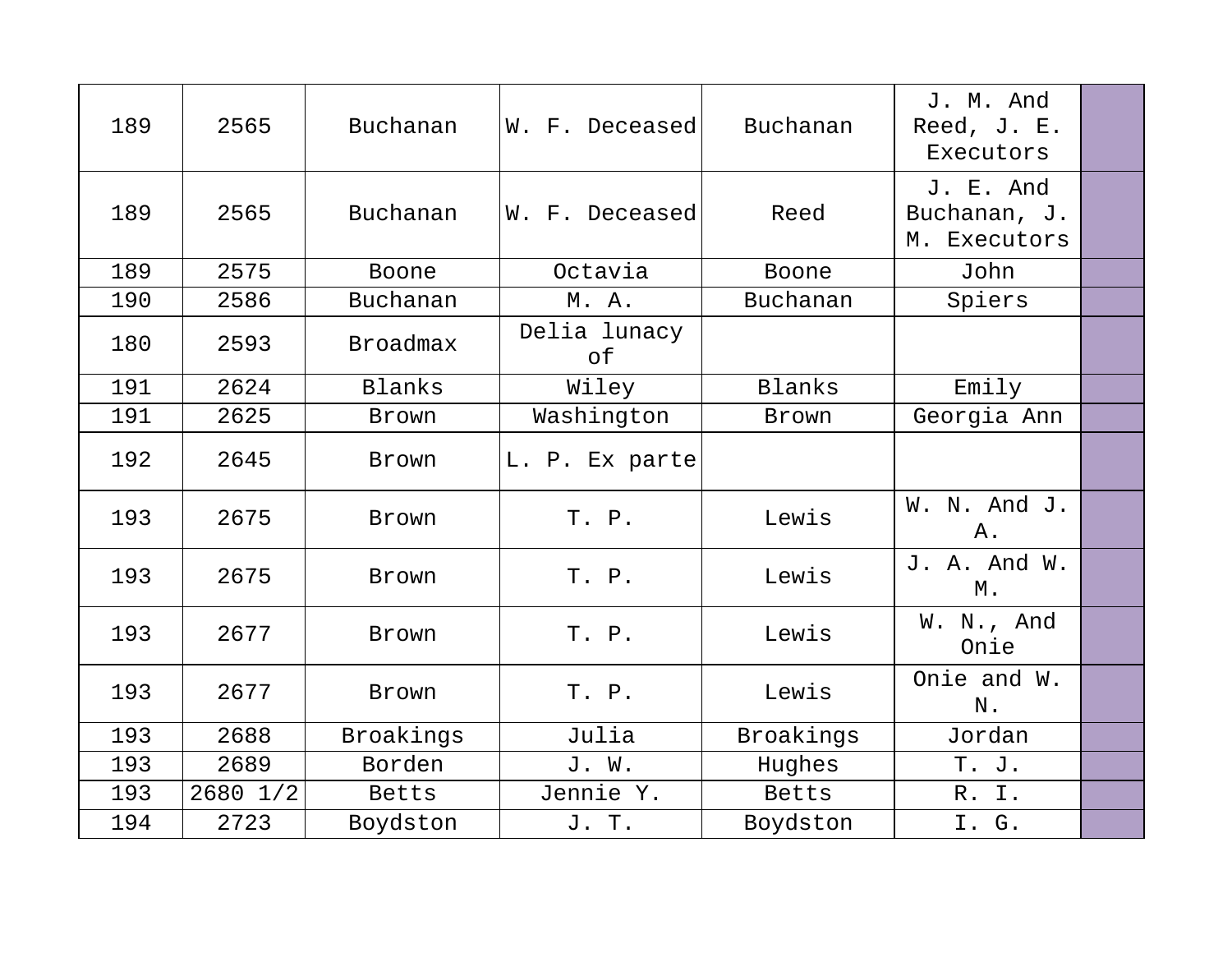| 189 | 2565     | Buchanan        | W. F. Deceased     | Buchanan  | J. M. And<br>Reed, J. E.<br>Executors     |  |
|-----|----------|-----------------|--------------------|-----------|-------------------------------------------|--|
| 189 | 2565     | Buchanan        | W. F. Deceased     | Reed      | J. E. And<br>Buchanan, J.<br>M. Executors |  |
| 189 | 2575     | Boone           | Octavia            | Boone     | John                                      |  |
| 190 | 2586     | Buchanan        | M. A.              | Buchanan  | Spiers                                    |  |
| 180 | 2593     | <b>Broadmax</b> | Delia lunacy<br>оf |           |                                           |  |
| 191 | 2624     | Blanks          | Wiley              | Blanks    | Emily                                     |  |
| 191 | 2625     | Brown           | Washington         | Brown     | Georgia Ann                               |  |
| 192 | 2645     | Brown           | L. P. Ex parte     |           |                                           |  |
| 193 | 2675     | Brown           | T. P.              | Lewis     | W. N. And J.<br>Α.                        |  |
| 193 | 2675     | Brown           | T. P.              | Lewis     | J. A. And W.<br>М.                        |  |
| 193 | 2677     | <b>Brown</b>    | T. P.              | Lewis     | W. N., And<br>Onie                        |  |
| 193 | 2677     | <b>Brown</b>    | T. P.              | Lewis     | Onie and W.<br>N.                         |  |
| 193 | 2688     | Broakings       | Julia              | Broakings | Jordan                                    |  |
| 193 | 2689     | Borden          | J. W.              | Hughes    | T. J.                                     |  |
| 193 | 2680 1/2 | Betts           | Jennie Y.          | Betts     | R. I.                                     |  |
| 194 | 2723     | Boydston        | J. T.              | Boydston  | I. G.                                     |  |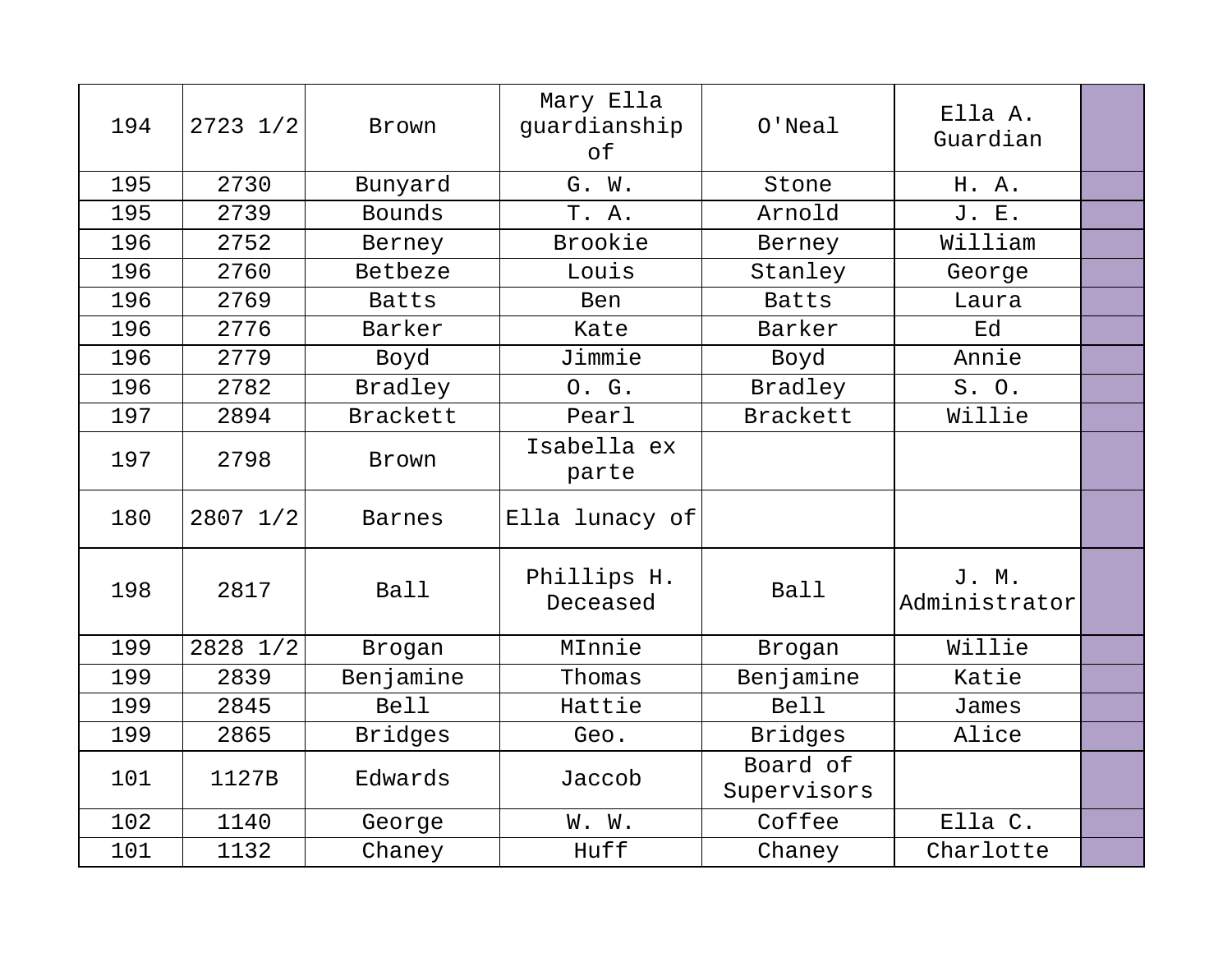| 194 | $2723$ $1/2$ | Brown          | Mary Ella<br>guardianship<br>оf | $O'$ Neal               | Ella A.<br>Guardian    |  |
|-----|--------------|----------------|---------------------------------|-------------------------|------------------------|--|
| 195 | 2730         | Bunyard        | G. W.                           | Stone                   | H. A.                  |  |
| 195 | 2739         | Bounds         | T. A.                           | Arnold                  | J. E.                  |  |
| 196 | 2752         | Berney         | <b>Brookie</b>                  | Berney                  | William                |  |
| 196 | 2760         | Betbeze        | Louis                           | Stanley                 | George                 |  |
| 196 | 2769         | <b>Batts</b>   | <b>Ben</b>                      | <b>Batts</b>            | Laura                  |  |
| 196 | 2776         | Barker         | Kate                            | Barker                  | Ed                     |  |
| 196 | 2779         | Boyd           | Jimmie                          | Boyd                    | Annie                  |  |
| 196 | 2782         | Bradley        | O. G.                           | Bradley                 | S. O.                  |  |
| 197 | 2894         | Brackett       | Pearl                           | <b>Brackett</b>         | Willie                 |  |
| 197 | 2798         | Brown          | Isabella ex<br>parte            |                         |                        |  |
| 180 | 2807 1/2     | <b>Barnes</b>  | Ella lunacy of                  |                         |                        |  |
| 198 | 2817         | Ball           | Phillips H.<br>Deceased         | <b>Ball</b>             | J. M.<br>Administrator |  |
| 199 | 2828 1/2     | Brogan         | MInnie                          | Brogan                  | Willie                 |  |
| 199 | 2839         | Benjamine      | Thomas                          | Benjamine               | Katie                  |  |
| 199 | 2845         | <b>Bell</b>    | Hattie                          | <b>Bell</b>             | James                  |  |
| 199 | 2865         | <b>Bridges</b> | Geo.                            | <b>Bridges</b>          | Alice                  |  |
| 101 | 1127B        | Edwards        | Jaccob                          | Board of<br>Supervisors |                        |  |
| 102 | 1140         | George         | W. W.                           | Coffee                  | Ella C.                |  |
| 101 | 1132         | Chaney         | Huff                            | Chaney                  | Charlotte              |  |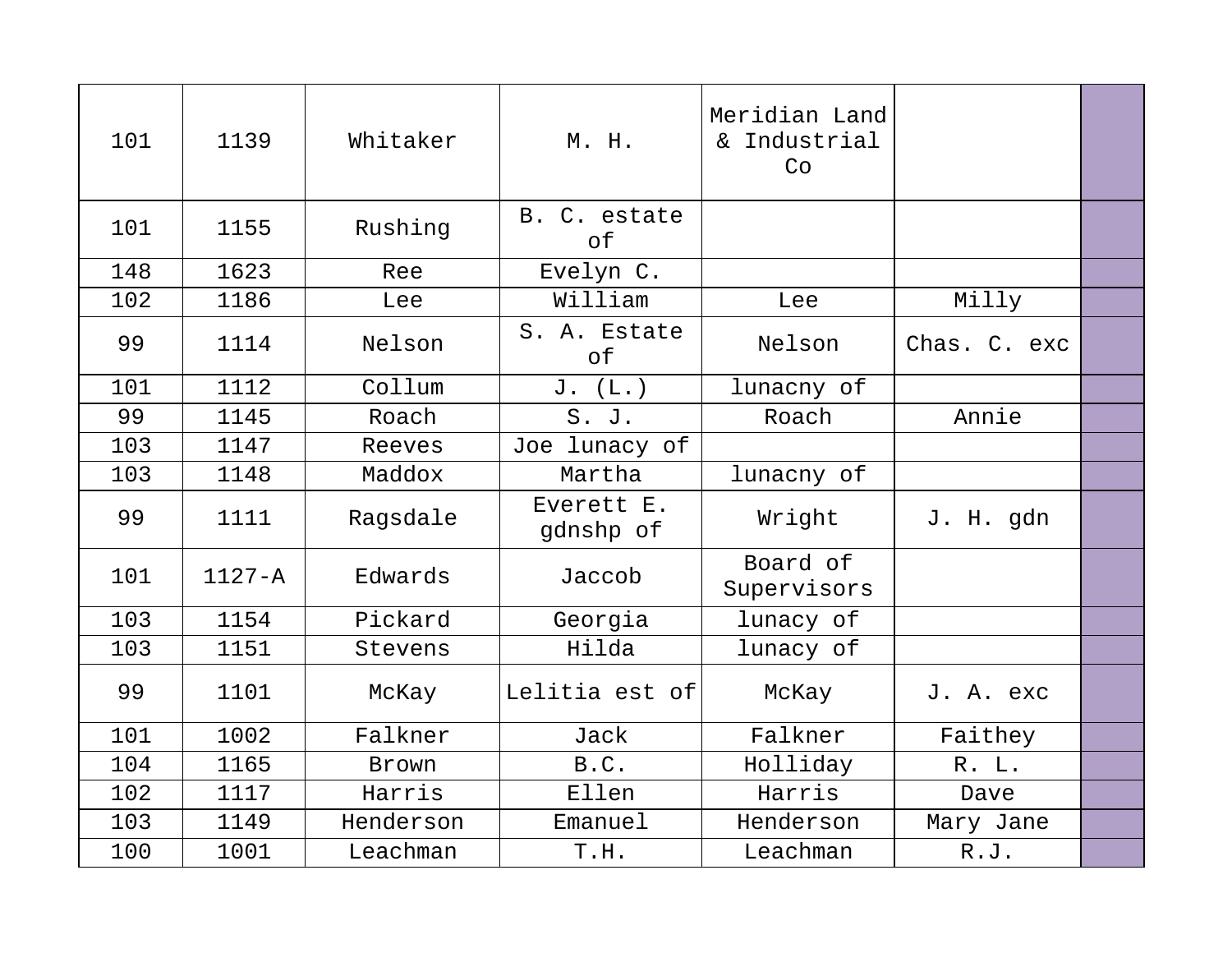| 101 | 1139       | Whitaker  | M. H.                     | Meridian Land<br>& Industrial<br>Co |              |  |
|-----|------------|-----------|---------------------------|-------------------------------------|--------------|--|
| 101 | 1155       | Rushing   | B. C. estate<br>of        |                                     |              |  |
| 148 | 1623       | Ree       | Evelyn C.                 |                                     |              |  |
| 102 | 1186       | Lee       | William                   | Lee                                 | Milly        |  |
| 99  | 1114       | Nelson    | S. A. Estate<br>$\circ$ f | Nelson                              | Chas. C. exc |  |
| 101 | 1112       | Collum    | J. (L.)                   | lunacny of                          |              |  |
| 99  | 1145       | Roach     | S. J.                     | Roach                               | Annie        |  |
| 103 | 1147       | Reeves    | Joe lunacy of             |                                     |              |  |
| 103 | 1148       | Maddox    | Martha                    | lunacny of                          |              |  |
| 99  | 1111       | Ragsdale  | Everett E.<br>gdnshp of   | Wright                              | J. H. gdn    |  |
| 101 | $1127 - A$ | Edwards   | Jaccob                    | Board of<br>Supervisors             |              |  |
| 103 | 1154       | Pickard   | Georgia                   | lunacy of                           |              |  |
| 103 | 1151       | Stevens   | Hilda                     | lunacy of                           |              |  |
| 99  | 1101       | McKay     | Lelitia est of            | McKay                               | J. A. exc    |  |
| 101 | 1002       | Falkner   | Jack                      | Falkner                             | Faithey      |  |
| 104 | 1165       | Brown     | B.C.                      | Holliday                            | R. L.        |  |
| 102 | 1117       | Harris    | Ellen                     | Harris                              | Dave         |  |
| 103 | 1149       | Henderson | Emanuel                   | Henderson                           | Mary Jane    |  |
| 100 | 1001       | Leachman  | T.H.                      | Leachman                            | R.J.         |  |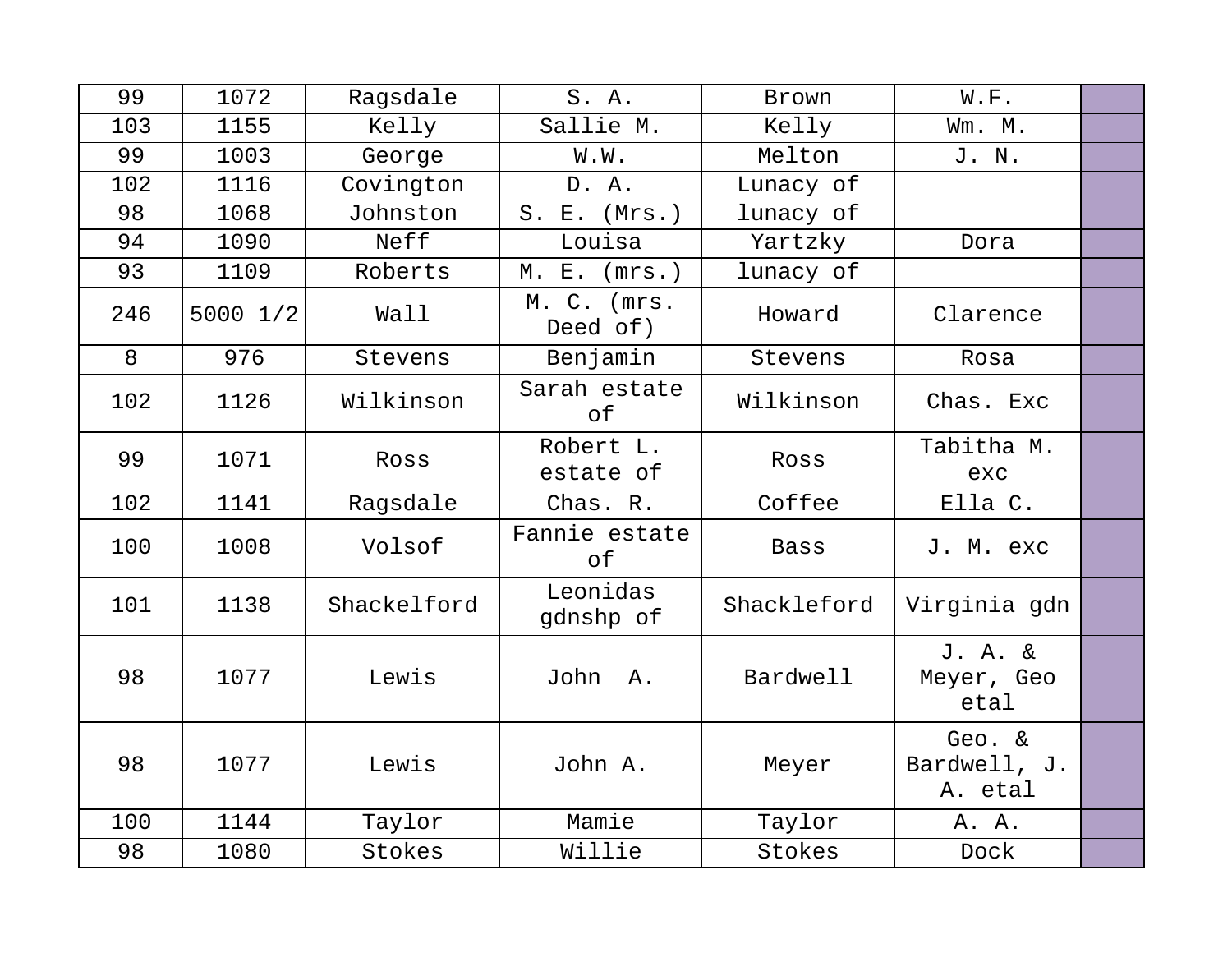| 99  | 1072     | Ragsdale    | S. A.                                          | Brown       | W.F.                              |  |
|-----|----------|-------------|------------------------------------------------|-------------|-----------------------------------|--|
| 103 | 1155     | Kelly       | Sallie M.                                      | Kelly       | Wm. M.                            |  |
| 99  | 1003     | George      | W.W.                                           | Melton      | J. N.                             |  |
| 102 | 1116     | Covington   | D. A.                                          | Lunacy of   |                                   |  |
| 98  | 1068     | Johnston    | (Mrs.)<br>$S$ .<br>$\boldsymbol{\mathrm{E}}$ . | lunacy of   |                                   |  |
| 94  | 1090     | Neff        | Louisa                                         | Yartzky     | Dora                              |  |
| 93  | 1109     | Roberts     | $E$ .<br>(mrs.)<br>М.                          | lunacy of   |                                   |  |
| 246 | 5000 1/2 | Wall        | M. C. (mrs.<br>Deed of)                        | Howard      | Clarence                          |  |
| 8   | 976      | Stevens     | Benjamin                                       | Stevens     | Rosa                              |  |
| 102 | 1126     | Wilkinson   | Sarah estate<br>of                             | Wilkinson   | Chas. Exc                         |  |
| 99  | 1071     | Ross        | Robert L.<br>estate of                         | Ross        | Tabitha M.<br>exc                 |  |
| 102 | 1141     | Ragsdale    | Chas. R.                                       | Coffee      | Ella C.                           |  |
| 100 | 1008     | Volsof      | Fannie estate<br>of                            | <b>Bass</b> | J. M. exc                         |  |
| 101 | 1138     | Shackelford | Leonidas<br>gdnshp of                          | Shackleford | Virginia gdn                      |  |
| 98  | 1077     | Lewis       | John<br>Α.                                     | Bardwell    | J. A. &<br>Meyer, Geo<br>etal     |  |
| 98  | 1077     | Lewis       | John A.                                        | Meyer       | Geo. &<br>Bardwell, J.<br>A. etal |  |
| 100 | 1144     | Taylor      | Mamie                                          | Taylor      | A. A.                             |  |
| 98  | 1080     | Stokes      | Willie                                         | Stokes      | Dock                              |  |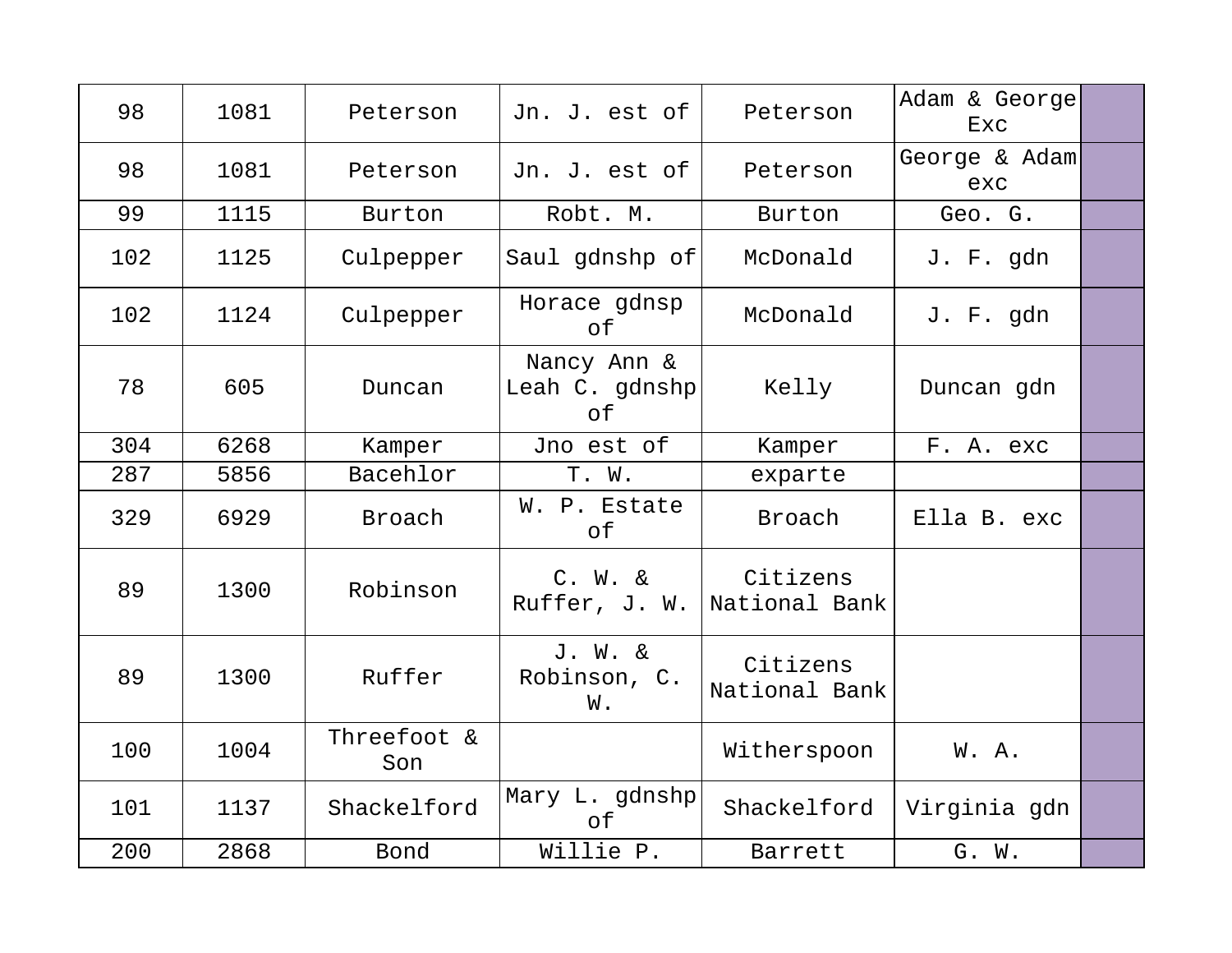| 98  | 1081 | Peterson           | Jn. J. est of                       | Peterson                  | Adam & George<br>Exc |  |
|-----|------|--------------------|-------------------------------------|---------------------------|----------------------|--|
| 98  | 1081 | Peterson           | Jn. J. est of                       | Peterson                  | George & Adam<br>exc |  |
| 99  | 1115 | Burton             | Robt. M.                            | Burton                    | Geo. G.              |  |
| 102 | 1125 | Culpepper          | Saul gdnshp of                      | McDonald                  | J. F. gdn            |  |
| 102 | 1124 | Culpepper          | Horace gdnsp<br>of                  | McDonald                  | J. F. gdn            |  |
| 78  | 605  | Duncan             | Nancy Ann &<br>Leah C. gdnshp<br>of | Kelly                     | Duncan gdn           |  |
| 304 | 6268 | Kamper             | Jno est of                          | Kamper                    | F. A. exc            |  |
| 287 | 5856 | Bacehlor           | T. W.                               | exparte                   |                      |  |
| 329 | 6929 | Broach             | W. P. Estate<br>оf                  | Broach                    | Ella B. exc          |  |
| 89  | 1300 | Robinson           | $C. W. \&$<br>Ruffer, J. W.         | Citizens<br>National Bank |                      |  |
| 89  | 1300 | Ruffer             | J. W. &<br>Robinson, C.<br>W.       | Citizens<br>National Bank |                      |  |
| 100 | 1004 | Threefoot &<br>Son |                                     | Witherspoon               | W. A.                |  |
| 101 | 1137 | Shackelford        | Mary L. gdnshp<br>of                | Shackelford               | Virginia gdn         |  |
| 200 | 2868 | Bond               | Willie P.                           | Barrett                   | G. W.                |  |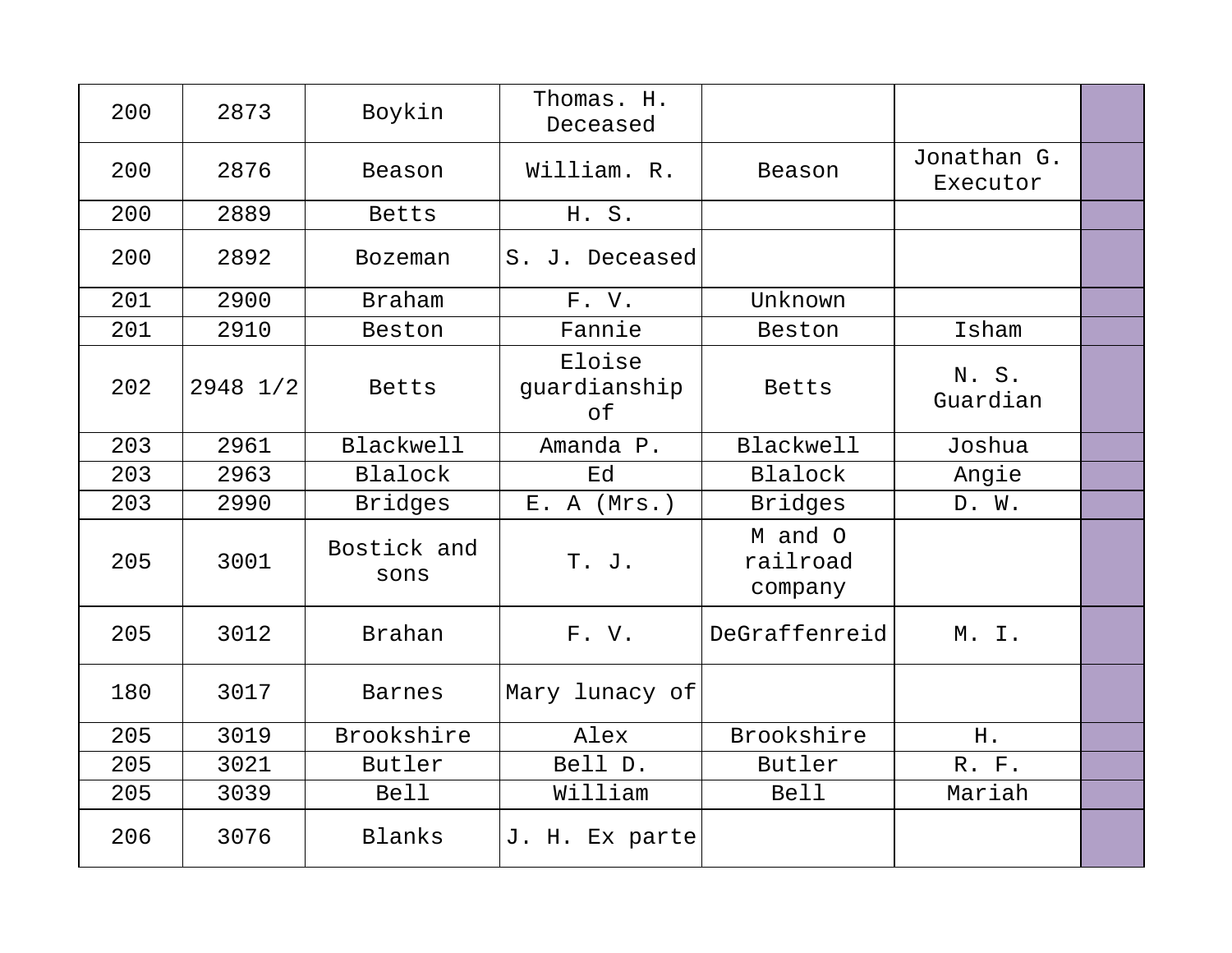| 200 | 2873     | Boykin              | Thomas. H.<br>Deceased       |                                |                         |  |
|-----|----------|---------------------|------------------------------|--------------------------------|-------------------------|--|
| 200 | 2876     | Beason              | William. R.                  | Beason                         | Jonathan G.<br>Executor |  |
| 200 | 2889     | Betts               | H. S.                        |                                |                         |  |
| 200 | 2892     | <b>Bozeman</b>      | S. J. Deceased               |                                |                         |  |
| 201 | 2900     | <b>Braham</b>       | F.V.                         | Unknown                        |                         |  |
| 201 | 2910     | Beston              | Fannie                       | Beston                         | Isham                   |  |
| 202 | 2948 1/2 | Betts               | Eloise<br>guardianship<br>of | Betts                          | N. S.<br>Guardian       |  |
| 203 | 2961     | <b>Blackwell</b>    | Amanda P.                    | <b>Blackwell</b>               | Joshua                  |  |
| 203 | 2963     | <b>Blalock</b>      | Ed                           | Blalock                        | Angie                   |  |
| 203 | 2990     | <b>Bridges</b>      | E. A (Mrs.)                  | <b>Bridges</b>                 | D. W.                   |  |
| 205 | 3001     | Bostick and<br>sons | T. J.                        | M and O<br>railroad<br>company |                         |  |
| 205 | 3012     | <b>Brahan</b>       | F.V.                         | DeGraffenreid                  | M. I.                   |  |
| 180 | 3017     | <b>Barnes</b>       | Mary lunacy of               |                                |                         |  |
| 205 | 3019     | Brookshire          | Alex                         | Brookshire                     | H.                      |  |
| 205 | 3021     | Butler              | Bell D.                      | Butler                         | R. F.                   |  |
| 205 | 3039     | <b>Bell</b>         | William                      | <b>Bell</b>                    | Mariah                  |  |
| 206 | 3076     | Blanks              | J. H. Ex parte               |                                |                         |  |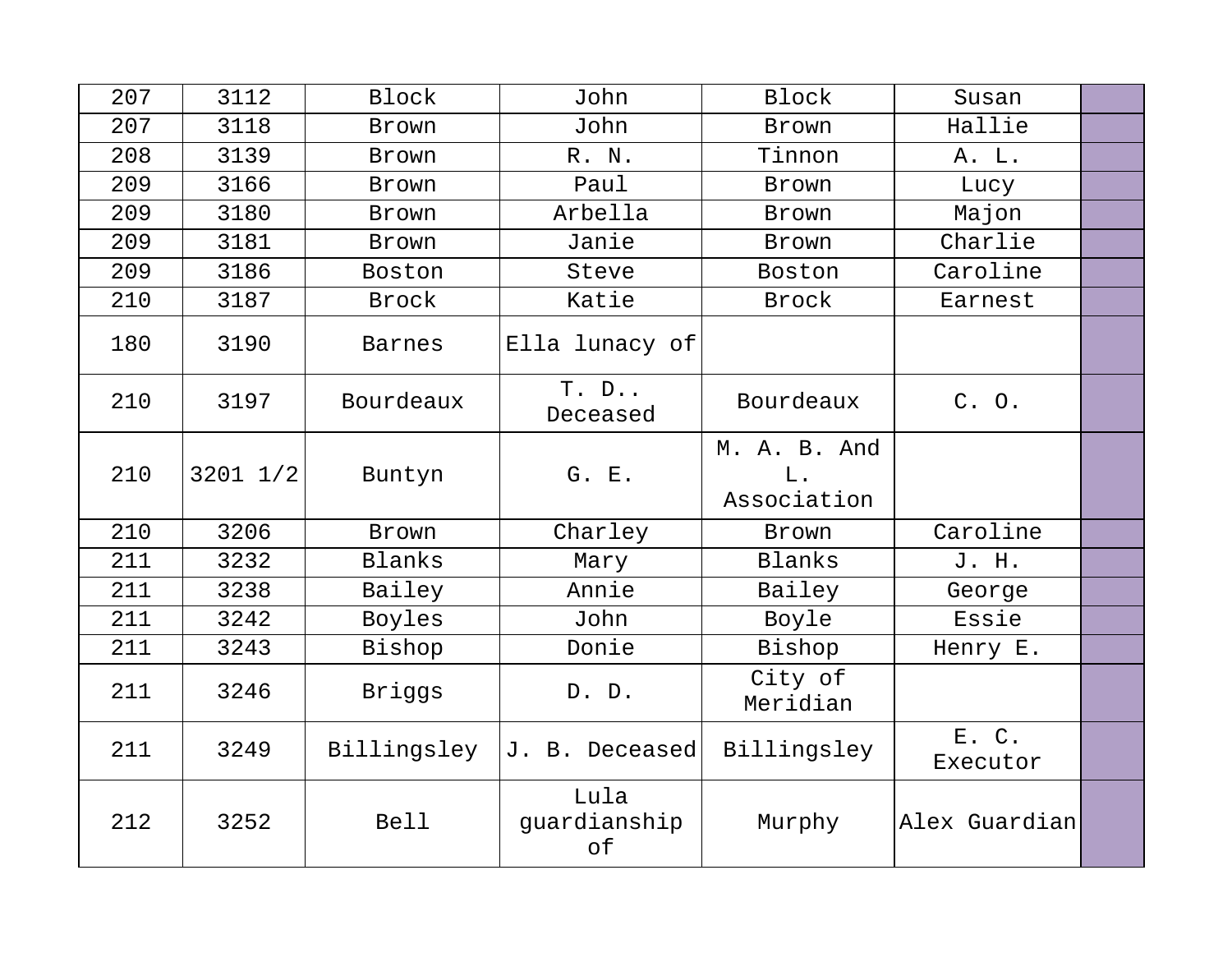| 207 | 3112         | <b>Block</b>  | John                       | <b>Block</b>                      | Susan             |  |
|-----|--------------|---------------|----------------------------|-----------------------------------|-------------------|--|
| 207 | 3118         | Brown         | John                       | Brown                             | Hallie            |  |
| 208 | 3139         | Brown         | R. N.                      | Tinnon                            | A. L.             |  |
| 209 | 3166         | Brown         | Paul                       | Brown                             | Lucy              |  |
| 209 | 3180         | Brown         | Arbella                    | Brown                             | Majon             |  |
| 209 | 3181         | Brown         | Janie                      | Brown                             | Charlie           |  |
| 209 | 3186         | Boston        | Steve                      | Boston                            | Caroline          |  |
| 210 | 3187         | Brock         | Katie                      | Brock                             | Earnest           |  |
| 180 | 3190         | <b>Barnes</b> | Ella lunacy of             |                                   |                   |  |
| 210 | 3197         | Bourdeaux     | $T. D.$ .<br>Deceased      | Bourdeaux                         | C. O.             |  |
| 210 | $3201$ $1/2$ | Buntyn        | G. E.                      | M. A. B. And<br>L.<br>Association |                   |  |
| 210 | 3206         | Brown         | Charley                    | Brown                             | Caroline          |  |
| 211 | 3232         | Blanks        | Mary                       | Blanks                            | J. H.             |  |
| 211 | 3238         | Bailey        | Annie                      | Bailey                            | George            |  |
| 211 | 3242         | Boyles        | John                       | Boyle                             | Essie             |  |
| 211 | 3243         | Bishop        | Donie                      | Bishop                            | Henry E.          |  |
| 211 | 3246         | Briggs        | D. D.                      | City of<br>Meridian               |                   |  |
| 211 | 3249         | Billingsley   | J. B. Deceased             | Billingsley                       | E. C.<br>Executor |  |
| 212 | 3252         | <b>Bell</b>   | Lula<br>guardianship<br>of | Murphy                            | Alex Guardian     |  |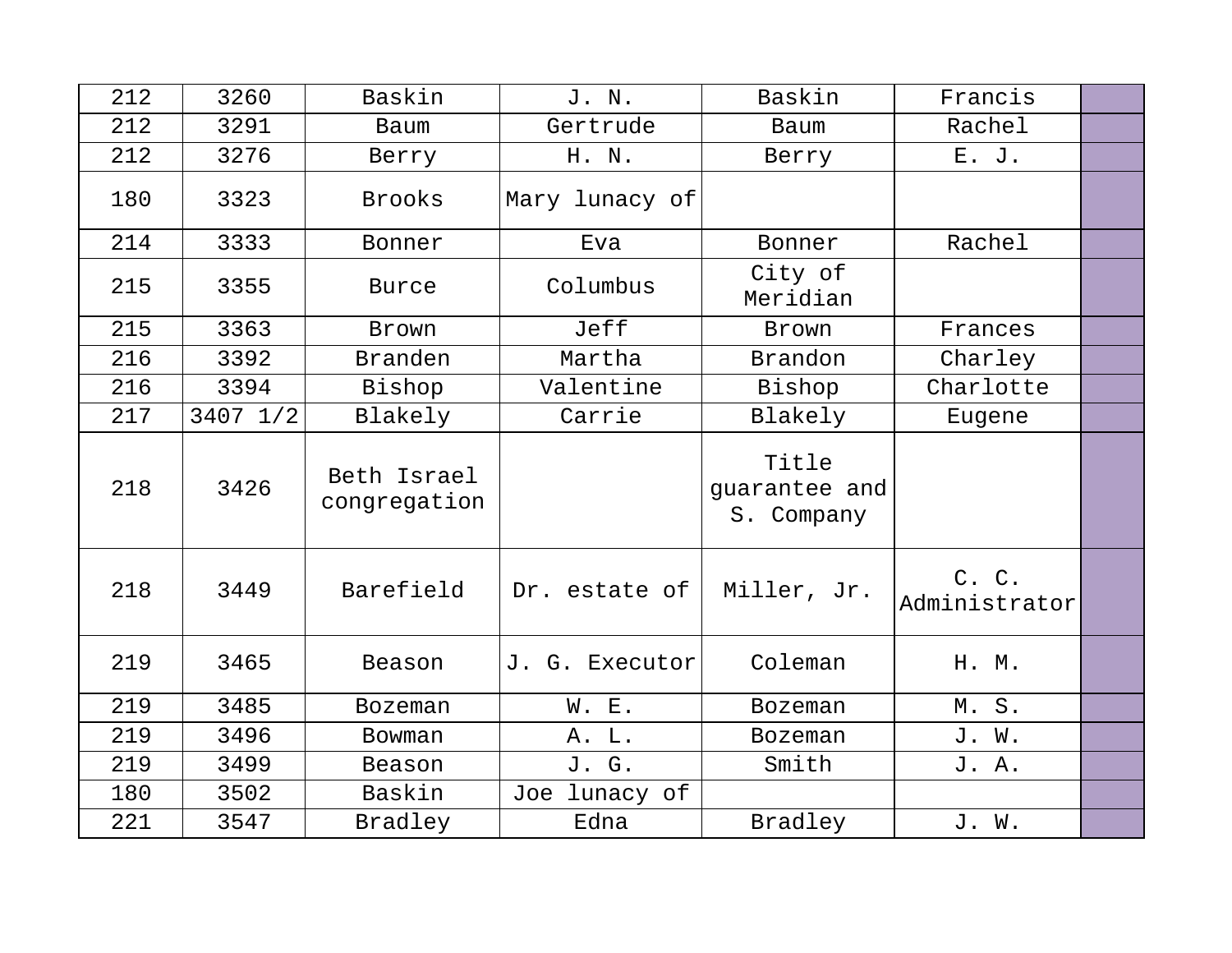| 212 | 3260     | Baskin                      | J. N.          | Baskin                               | Francis                |  |
|-----|----------|-----------------------------|----------------|--------------------------------------|------------------------|--|
| 212 | 3291     | Baum                        | Gertrude       | Baum                                 | Rachel                 |  |
| 212 | 3276     | Berry                       | H. N.          | Berry                                | E. J.                  |  |
| 180 | 3323     | <b>Brooks</b>               | Mary lunacy of |                                      |                        |  |
| 214 | 3333     | Bonner                      | Eva            | Bonner                               | Rachel                 |  |
| 215 | 3355     | <b>Burce</b>                | Columbus       | City of<br>Meridian                  |                        |  |
| 215 | 3363     | <b>Brown</b>                | Jeff           | Brown                                | Frances                |  |
| 216 | 3392     | <b>Branden</b>              | Martha         | Brandon                              | Charley                |  |
| 216 | 3394     | Bishop                      | Valentine      | Bishop                               | Charlotte              |  |
| 217 | 3407 1/2 | Blakely                     | Carrie         | Blakely                              | Eugene                 |  |
| 218 | 3426     | Beth Israel<br>congregation |                | Title<br>guarantee and<br>S. Company |                        |  |
| 218 | 3449     | Barefield                   | Dr. estate of  | Miller, Jr.                          | C. C.<br>Administrator |  |
| 219 | 3465     | Beason                      | J. G. Executor | Coleman                              | H. M.                  |  |
| 219 | 3485     | <b>Bozeman</b>              | W. E.          | <b>Bozeman</b>                       | M.S.                   |  |
| 219 | 3496     | Bowman                      | A. L.          | <b>Bozeman</b>                       | J. W.                  |  |
| 219 | 3499     | Beason                      | J. G.          | Smith                                | J. A.                  |  |
| 180 | 3502     | Baskin                      | Joe lunacy of  |                                      |                        |  |
| 221 | 3547     | Bradley                     | Edna           | Bradley                              | J. W.                  |  |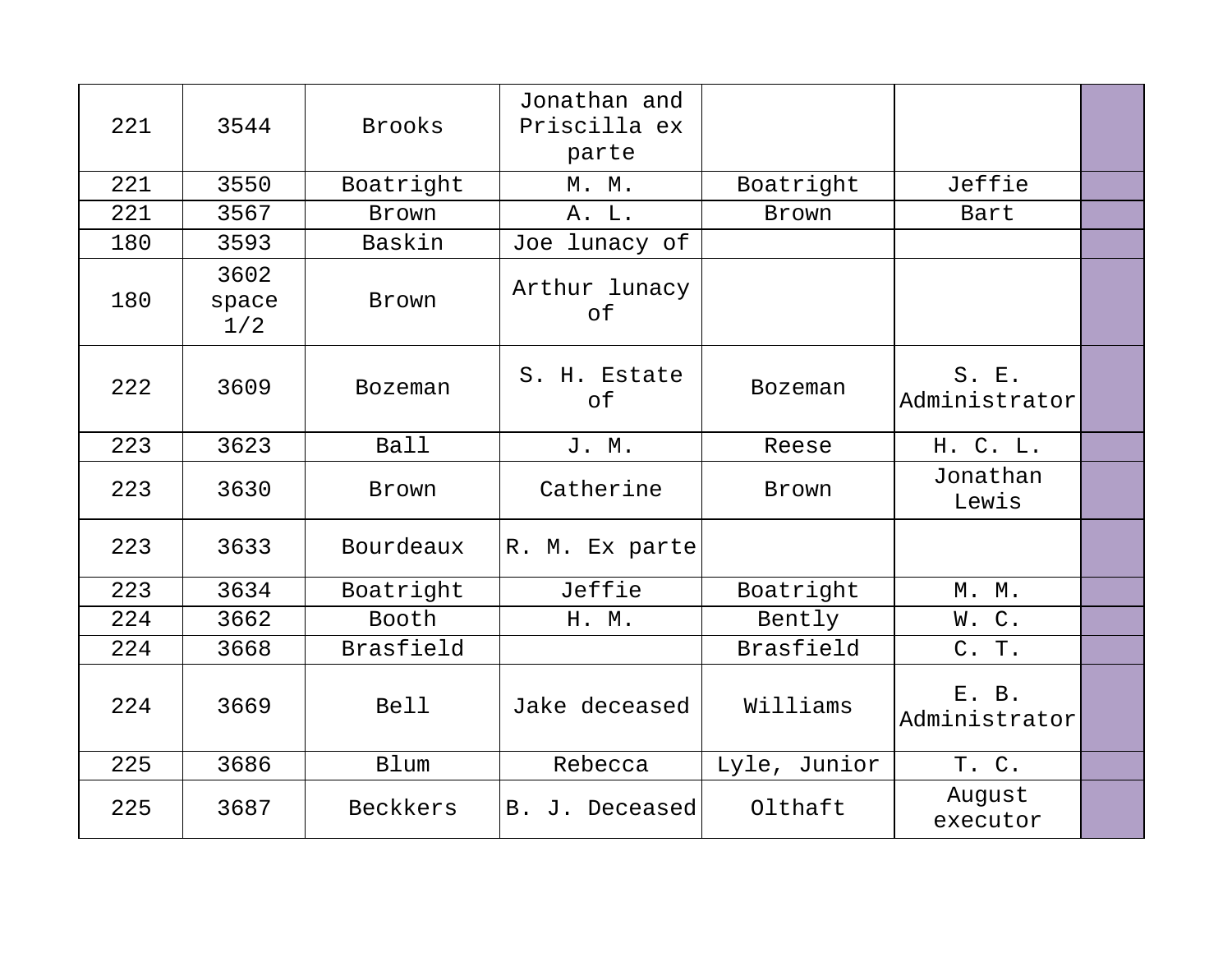| 221 | 3544                 | <b>Brooks</b>  | Jonathan and<br>Priscilla ex<br>parte |                |                        |  |
|-----|----------------------|----------------|---------------------------------------|----------------|------------------------|--|
| 221 | 3550                 | Boatright      | M. M.                                 | Boatright      | Jeffie                 |  |
| 221 | 3567                 | Brown          | A. L.                                 | Brown          | Bart                   |  |
| 180 | 3593                 | Baskin         | Joe lunacy of                         |                |                        |  |
| 180 | 3602<br>space<br>1/2 | Brown          | Arthur lunacy<br>of                   |                |                        |  |
| 222 | 3609                 | <b>Bozeman</b> | S. H. Estate<br>of                    | <b>Bozeman</b> | S. E.<br>Administrator |  |
| 223 | 3623                 | <b>Ball</b>    | J. M.                                 | Reese          | H. C. L.               |  |
| 223 | 3630                 | Brown          | Catherine                             | Brown          | Jonathan<br>Lewis      |  |
| 223 | 3633                 | Bourdeaux      | R. M. Ex parte                        |                |                        |  |
| 223 | 3634                 | Boatright      | Jeffie                                | Boatright      | M. M.                  |  |
| 224 | 3662                 | Booth          | H. M.                                 | Bently         | W.C.                   |  |
| 224 | 3668                 | Brasfield      |                                       | Brasfield      | C. T.                  |  |
| 224 | 3669                 | <b>Bell</b>    | Jake deceased                         | Williams       | E. B.<br>Administrator |  |
| 225 | 3686                 | <b>Blum</b>    | Rebecca                               | Lyle, Junior   | T. C.                  |  |
| 225 | 3687                 | Beckkers       | B. J. Deceased                        | Olthaft        | August<br>executor     |  |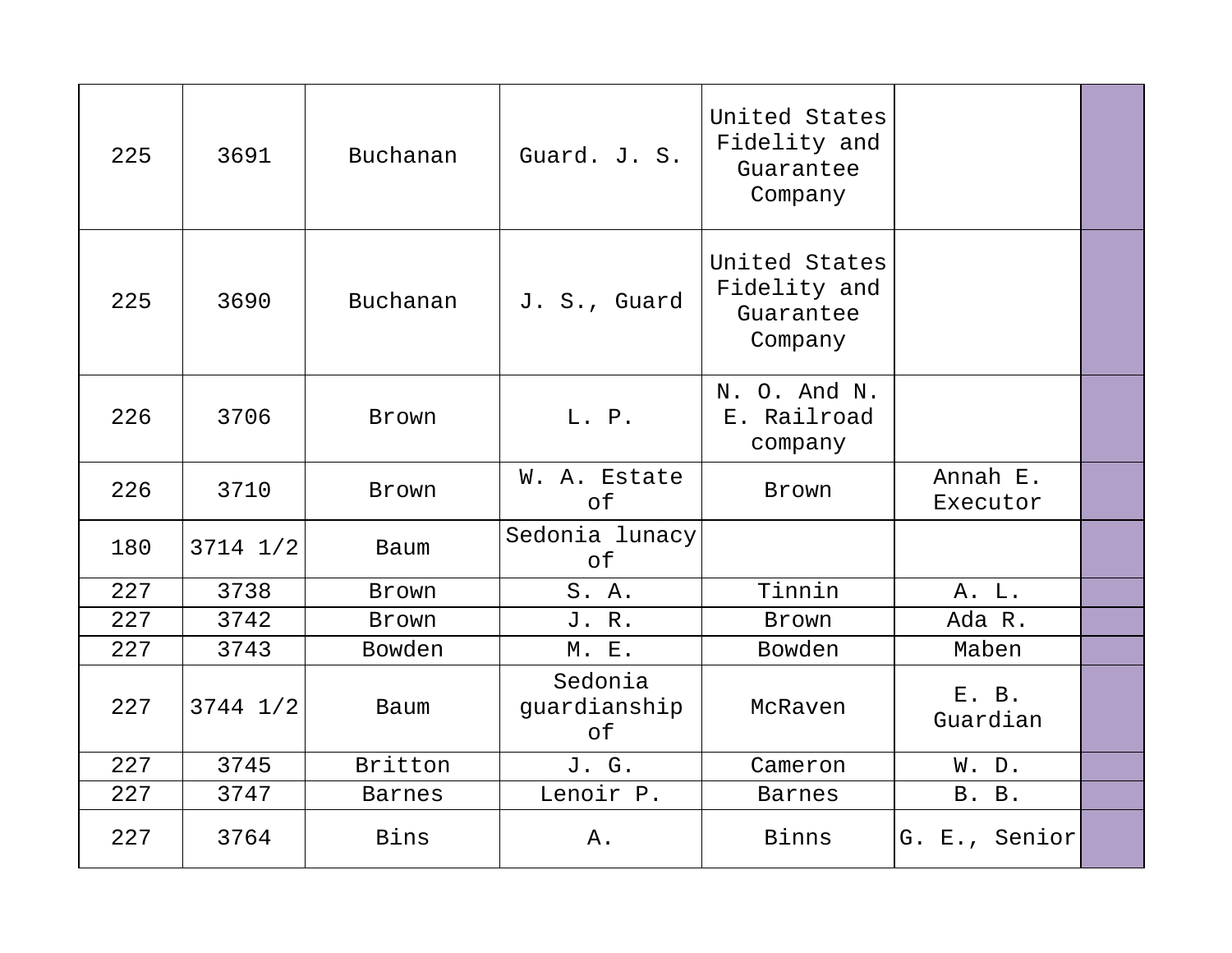| 225 | 3691         | Buchanan      | Guard. J. S.                  | United States<br>Fidelity and<br>Guarantee<br>Company |                      |  |
|-----|--------------|---------------|-------------------------------|-------------------------------------------------------|----------------------|--|
| 225 | 3690         | Buchanan      | J. S., Guard                  | United States<br>Fidelity and<br>Guarantee<br>Company |                      |  |
| 226 | 3706         | Brown         | L. P.                         | N. O. And N.<br>E. Railroad<br>company                |                      |  |
| 226 | 3710         | Brown         | W. A. Estate<br>of            | Brown                                                 | Annah E.<br>Executor |  |
| 180 | $3714$ $1/2$ | <b>Baum</b>   | Sedonia lunacy<br>of          |                                                       |                      |  |
| 227 | 3738         | <b>Brown</b>  | S. A.                         | Tinnin                                                | A. L.                |  |
| 227 | 3742         | Brown         | J. R.                         | Brown                                                 | Ada R.               |  |
| 227 | 3743         | Bowden        | M. E.                         | Bowden                                                | Maben                |  |
| 227 | $3744$ $1/2$ | <b>Baum</b>   | Sedonia<br>guardianship<br>оf | McRaven                                               | E. B.<br>Guardian    |  |
| 227 | 3745         | Britton       | J. G.                         | Cameron                                               | W. D.                |  |
| 227 | 3747         | <b>Barnes</b> | Lenoir P.                     | <b>Barnes</b>                                         | B. B.                |  |
| 227 | 3764         | Bins          | Α.                            | Binns                                                 | G. E., Senior        |  |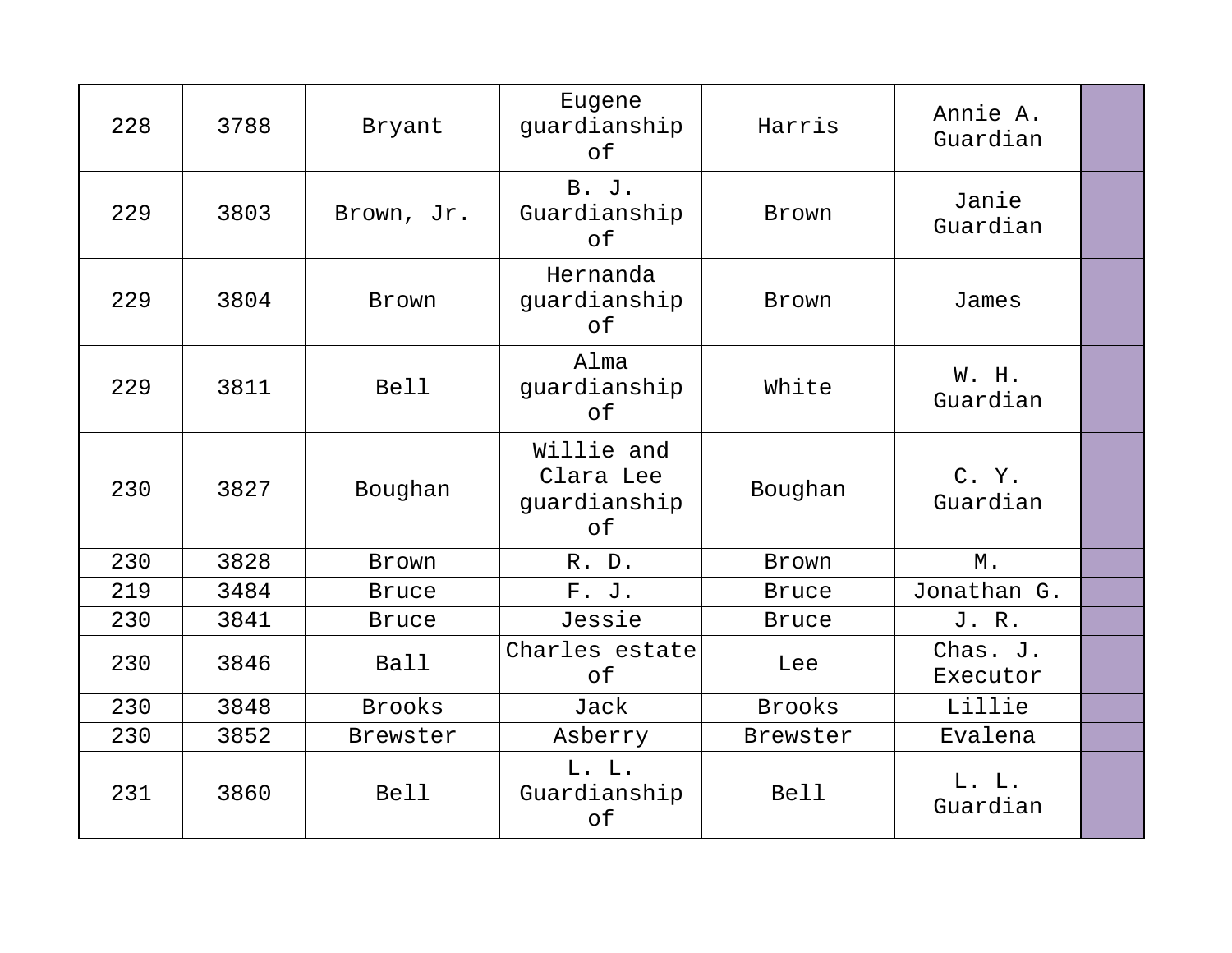| 228 | 3788 | Bryant        | Eugene<br>guardianship<br>of                  | Harris        | Annie A.<br>Guardian |  |
|-----|------|---------------|-----------------------------------------------|---------------|----------------------|--|
| 229 | 3803 | Brown, Jr.    | <b>B.</b> J.<br>Guardianship<br>of            | <b>Brown</b>  | Janie<br>Guardian    |  |
| 229 | 3804 | Brown         | Hernanda<br>guardianship<br>of                | Brown         | James                |  |
| 229 | 3811 | <b>Bell</b>   | Alma<br>guardianship<br>оf                    | White         | W. H.<br>Guardian    |  |
| 230 | 3827 | Boughan       | Willie and<br>Clara Lee<br>guardianship<br>of | Boughan       | C. Y.<br>Guardian    |  |
| 230 | 3828 | Brown         | R. D.                                         | Brown         | $M$ .                |  |
| 219 | 3484 | <b>Bruce</b>  | F. J.                                         | <b>Bruce</b>  | Jonathan G.          |  |
| 230 | 3841 | <b>Bruce</b>  | Jessie                                        | <b>Bruce</b>  | J. R.                |  |
| 230 | 3846 | <b>Ball</b>   | Charles estate<br>of                          | Lee           | Chas. J.<br>Executor |  |
| 230 | 3848 | <b>Brooks</b> | Jack                                          | <b>Brooks</b> | Lillie               |  |
| 230 | 3852 | Brewster      | Asberry                                       | Brewster      | Evalena              |  |
| 231 | 3860 | <b>Bell</b>   | L. L.<br>Guardianship<br>of                   | <b>Bell</b>   | L. L.<br>Guardian    |  |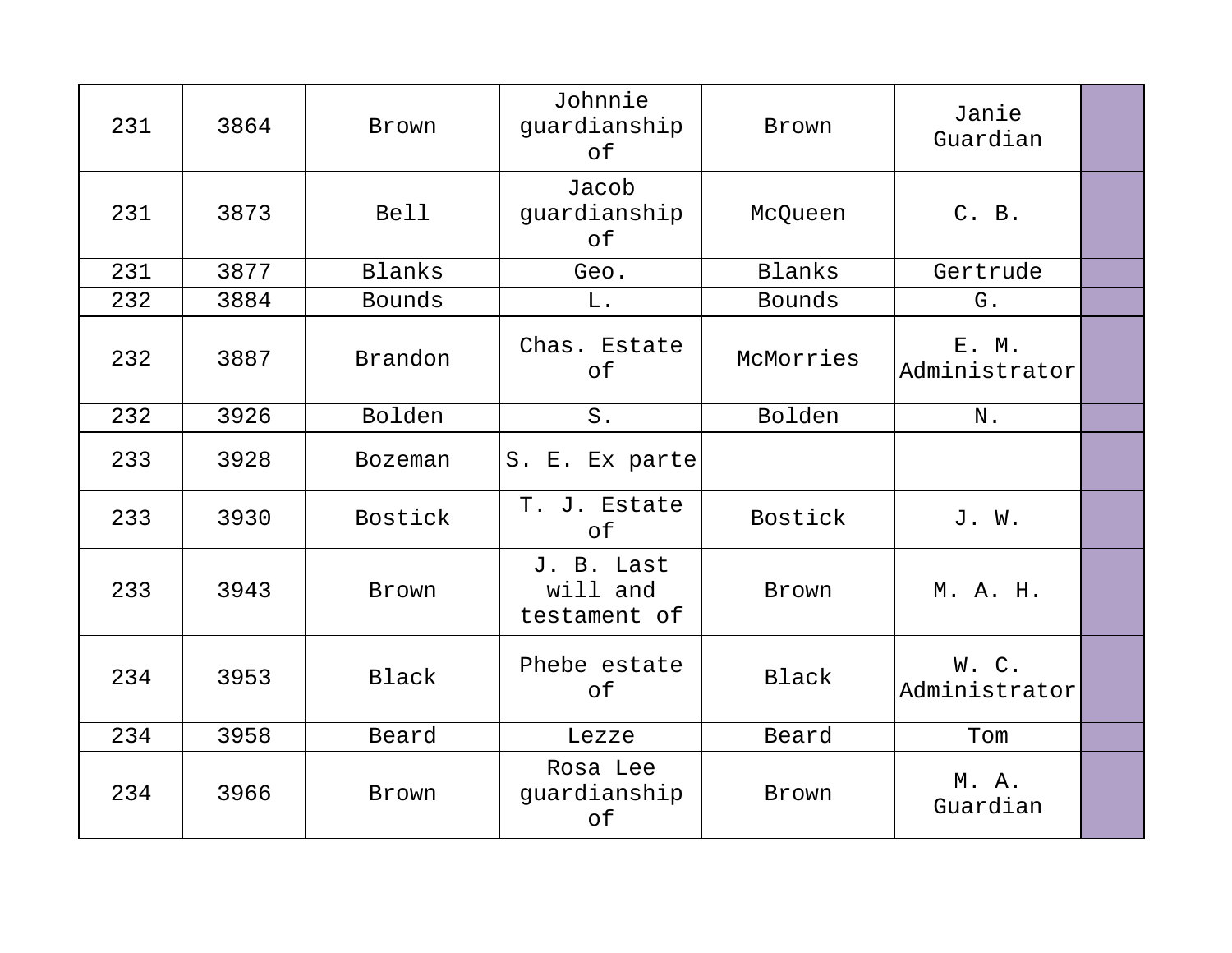| 231 | 3864 | Brown          | Johnnie<br>guardianship<br>of          | Brown         | Janie<br>Guardian      |  |
|-----|------|----------------|----------------------------------------|---------------|------------------------|--|
| 231 | 3873 | <b>Bell</b>    | Jacob<br>guardianship<br>оf            | McQueen       | C. B.                  |  |
| 231 | 3877 | Blanks         | Geo.                                   | Blanks        | Gertrude               |  |
| 232 | 3884 | <b>Bounds</b>  | L.                                     | <b>Bounds</b> | G.                     |  |
| 232 | 3887 | Brandon        | Chas. Estate<br>оf                     | McMorries     | E. M.<br>Administrator |  |
| 232 | 3926 | Bolden         | $S$ .                                  | Bolden        | N.                     |  |
| 233 | 3928 | <b>Bozeman</b> | S. E. Ex parte                         |               |                        |  |
| 233 | 3930 | <b>Bostick</b> | T. J. Estate<br>оf                     | Bostick       | J. W.                  |  |
| 233 | 3943 | Brown          | J. B. Last<br>will and<br>testament of | Brown         | M. A. H.               |  |
| 234 | 3953 | Black          | Phebe estate<br>оf                     | Black         | W.C.<br>Administrator  |  |
| 234 | 3958 | Beard          | Lezze                                  | Beard         | Tom                    |  |
| 234 | 3966 | Brown          | Rosa Lee<br>guardianship<br>оf         | Brown         | M. A.<br>Guardian      |  |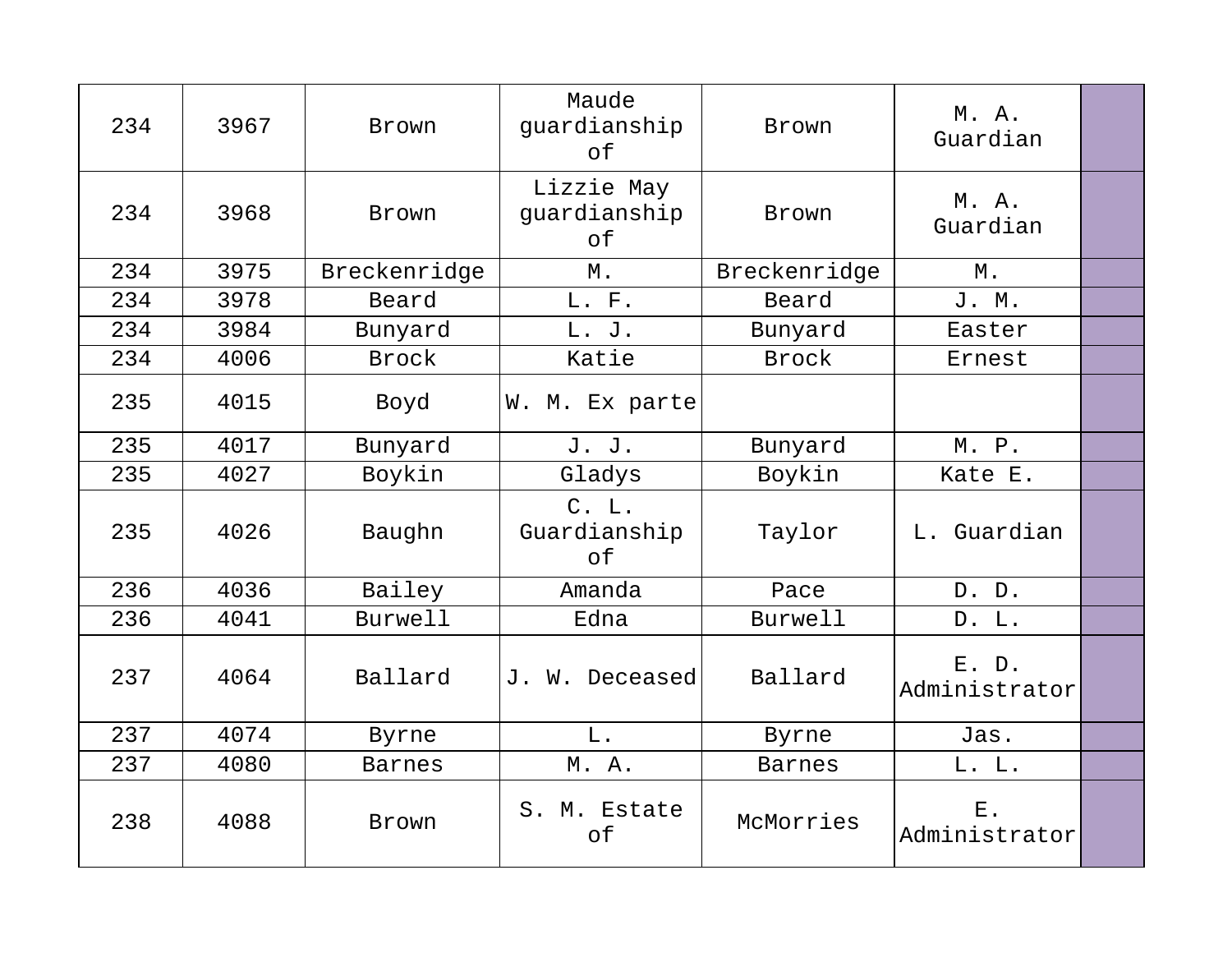| 234 | 3967 | <b>Brown</b>   | Maude<br>guardianship<br>оf      | Brown          | M. A.<br>Guardian      |  |
|-----|------|----------------|----------------------------------|----------------|------------------------|--|
| 234 | 3968 | Brown          | Lizzie May<br>guardianship<br>of | Brown          | M. A.<br>Guardian      |  |
| 234 | 3975 | Breckenridge   | $M$ .                            | Breckenridge   | М.                     |  |
| 234 | 3978 | Beard          | L. F.                            | Beard          | J. M.                  |  |
| 234 | 3984 | Bunyard        | L. J.                            | Bunyard        | Easter                 |  |
| 234 | 4006 | <b>Brock</b>   | Katie                            | Brock          | Ernest                 |  |
| 235 | 4015 | Boyd           | W. M. Ex parte                   |                |                        |  |
| 235 | 4017 | Bunyard        | J. J.                            | Bunyard        | M. P.                  |  |
| 235 | 4027 | Boykin         | Gladys                           | Boykin         | Kate E.                |  |
| 235 | 4026 | Baughn         | C. L.<br>Guardianship<br>of      | Taylor         | L. Guardian            |  |
| 236 | 4036 | Bailey         | Amanda                           | Pace           | D. D.                  |  |
| 236 | 4041 | <b>Burwell</b> | Edna                             | <b>Burwell</b> | D. L.                  |  |
| 237 | 4064 | Ballard        | J. W. Deceased                   | Ballard        | E. D.<br>Administrator |  |
| 237 | 4074 | Byrne          | L.                               | Byrne          | Jas.                   |  |
| 237 | 4080 | <b>Barnes</b>  | M. A.                            | <b>Barnes</b>  | L. L.                  |  |
| 238 | 4088 | Brown          | S. M. Estate<br>of               | McMorries      | $E$ .<br>Administrator |  |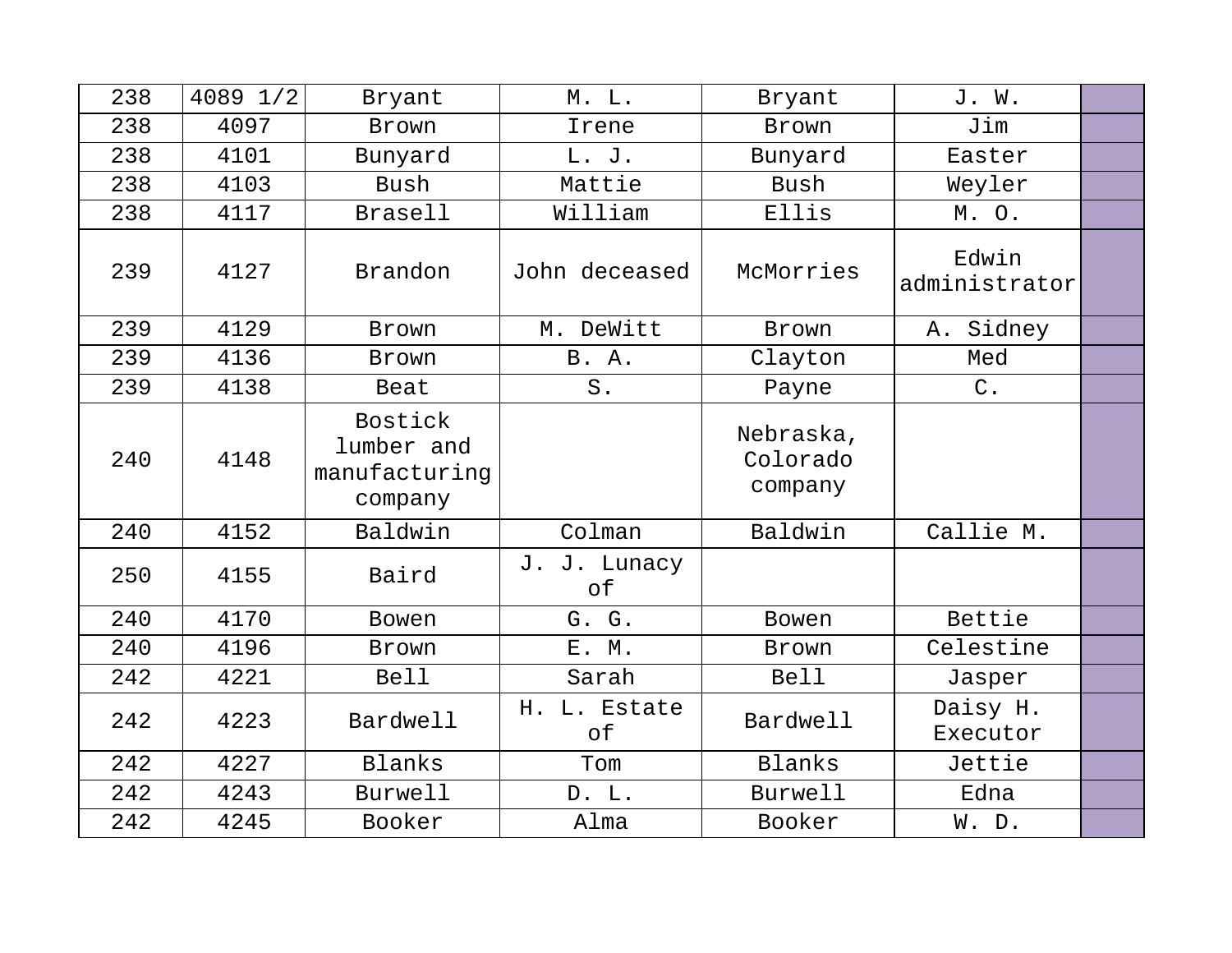| 238 | 4089 1/2 | Bryant                                            | M. L.              | Bryant                           | J. W.                  |  |
|-----|----------|---------------------------------------------------|--------------------|----------------------------------|------------------------|--|
| 238 | 4097     | Brown                                             | Irene              | Brown                            | Jim                    |  |
| 238 | 4101     | Bunyard                                           | L. J.              | Bunyard                          | Easter                 |  |
| 238 | 4103     | Bush                                              | Mattie             | Bush                             | Weyler                 |  |
| 238 | 4117     | Brasell                                           | William            | Ellis                            | M.O.                   |  |
| 239 | 4127     | Brandon                                           | John deceased      | McMorries                        | Edwin<br>administrator |  |
| 239 | 4129     | <b>Brown</b>                                      | M. DeWitt          | <b>Brown</b>                     | A. Sidney              |  |
| 239 | 4136     | Brown                                             | <b>B.</b> A.       | Clayton                          | Med                    |  |
| 239 | 4138     | Beat                                              | S.                 | Payne                            | $C$ .                  |  |
| 240 | 4148     | Bostick<br>lumber and<br>manufacturing<br>company |                    | Nebraska,<br>Colorado<br>company |                        |  |
| 240 | 4152     | Baldwin                                           | Colman             | Baldwin                          | Callie M.              |  |
| 250 | 4155     | Baird                                             | J. J. Lunacy<br>of |                                  |                        |  |
| 240 | 4170     | <b>Bowen</b>                                      | G. G.              | <b>Bowen</b>                     | Bettie                 |  |
| 240 | 4196     | Brown                                             | E. M.              | Brown                            | Celestine              |  |
| 242 | 4221     | <b>Bell</b>                                       | Sarah              | <b>Bell</b>                      | Jasper                 |  |
| 242 | 4223     | Bardwell                                          | H. L. Estate<br>оf | Bardwell                         | Daisy H.<br>Executor   |  |
| 242 | 4227     | Blanks                                            | Tom                | Blanks                           | Jettie                 |  |
| 242 | 4243     | Burwell                                           | D. L.              | Burwell                          | Edna                   |  |
| 242 | 4245     | Booker                                            | Alma               | Booker                           | W. D.                  |  |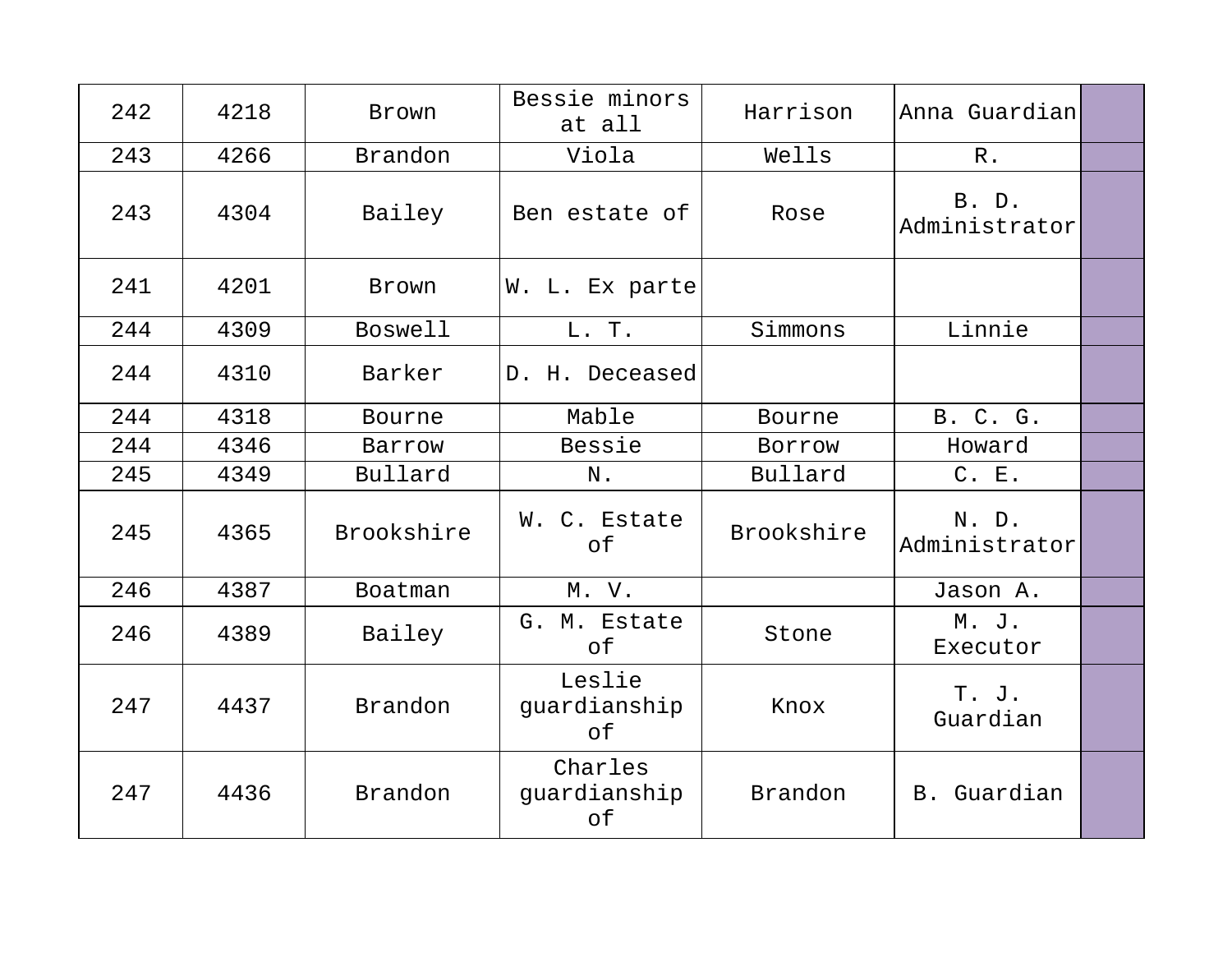| 242 | 4218 | Brown          | Bessie minors<br>at all       | Harrison   | Anna Guardian          |  |
|-----|------|----------------|-------------------------------|------------|------------------------|--|
| 243 | 4266 | Brandon        | Viola                         | Wells      | $R$ .                  |  |
| 243 | 4304 | Bailey         | Ben estate of                 | Rose       | B. D.<br>Administrator |  |
| 241 | 4201 | Brown          | W. L. Ex parte                |            |                        |  |
| 244 | 4309 | <b>Boswell</b> | L. T.                         | Simmons    | Linnie                 |  |
| 244 | 4310 | Barker         | D. H. Deceased                |            |                        |  |
| 244 | 4318 | Bourne         | Mable                         | Bourne     | B. C. G.               |  |
| 244 | 4346 | Barrow         | Bessie                        | Borrow     | Howard                 |  |
| 245 | 4349 | Bullard        | N.                            | Bullard    | C. E.                  |  |
| 245 | 4365 | Brookshire     | W. C. Estate<br>оf            | Brookshire | N. D.<br>Administrator |  |
| 246 | 4387 | Boatman        | M. V.                         |            | Jason A.               |  |
| 246 | 4389 | Bailey         | G. M. Estate<br>of            | Stone      | M. J.<br>Executor      |  |
| 247 | 4437 | Brandon        | Leslie<br>guardianship<br>of  | Knox       | T. J.<br>Guardian      |  |
| 247 | 4436 | Brandon        | Charles<br>guardianship<br>оf | Brandon    | B. Guardian            |  |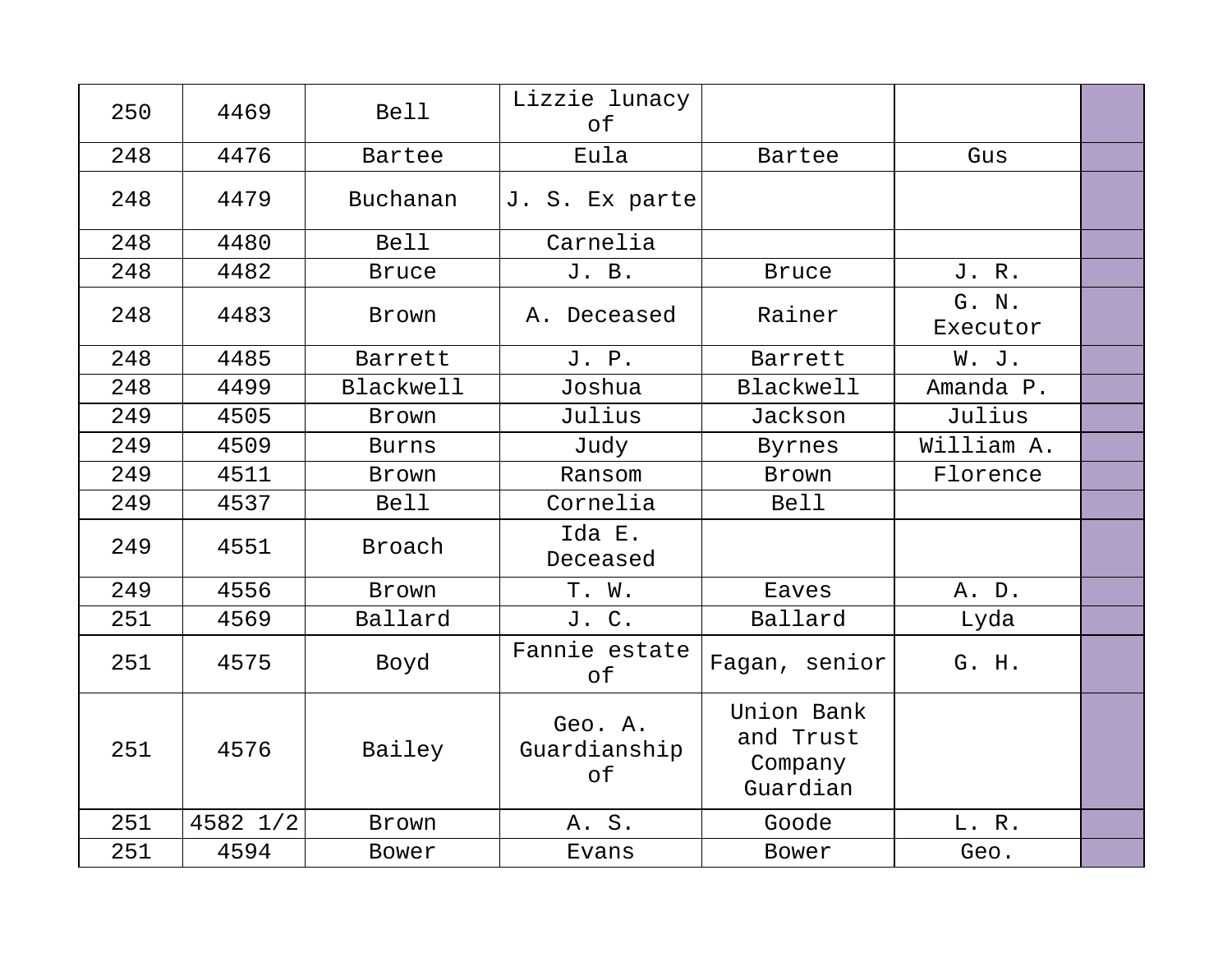| 250 | 4469     | <b>Bell</b>      | Lizzie lunacy<br>of           |                                                |                   |  |
|-----|----------|------------------|-------------------------------|------------------------------------------------|-------------------|--|
| 248 | 4476     | Bartee           | Eula                          | Bartee                                         | Gus               |  |
| 248 | 4479     | Buchanan         | J. S. Ex parte                |                                                |                   |  |
| 248 | 4480     | <b>Bell</b>      | Carnelia                      |                                                |                   |  |
| 248 | 4482     | <b>Bruce</b>     | J. B.                         | <b>Bruce</b>                                   | J. R.             |  |
| 248 | 4483     | Brown            | A. Deceased                   | Rainer                                         | G. N.<br>Executor |  |
| 248 | 4485     | Barrett          | J. P.                         | Barrett                                        | W. J.             |  |
| 248 | 4499     | <b>Blackwell</b> | Joshua                        | <b>Blackwell</b>                               | Amanda P.         |  |
| 249 | 4505     | Brown            | Julius                        | Jackson                                        | Julius            |  |
| 249 | 4509     | <b>Burns</b>     | Judy                          | Byrnes                                         | William A.        |  |
| 249 | 4511     | Brown            | Ransom                        | <b>Brown</b>                                   | Florence          |  |
| 249 | 4537     | <b>Bell</b>      | Cornelia                      | <b>Bell</b>                                    |                   |  |
| 249 | 4551     | Broach           | Ida E.<br>Deceased            |                                                |                   |  |
| 249 | 4556     | Brown            | T. W.                         | Eaves                                          | A. D.             |  |
| 251 | 4569     | Ballard          | J. C.                         | Ballard                                        | Lyda              |  |
| 251 | 4575     | Boyd             | Fannie estate<br>оf           | Fagan, senior                                  | G. H.             |  |
| 251 | 4576     | Bailey           | Geo. A.<br>Guardianship<br>of | Union Bank<br>and Trust<br>Company<br>Guardian |                   |  |
| 251 | 4582 1/2 | Brown            | A. S.                         | Goode                                          | L. R.             |  |
| 251 | 4594     | Bower            | Evans                         | Bower                                          | Geo.              |  |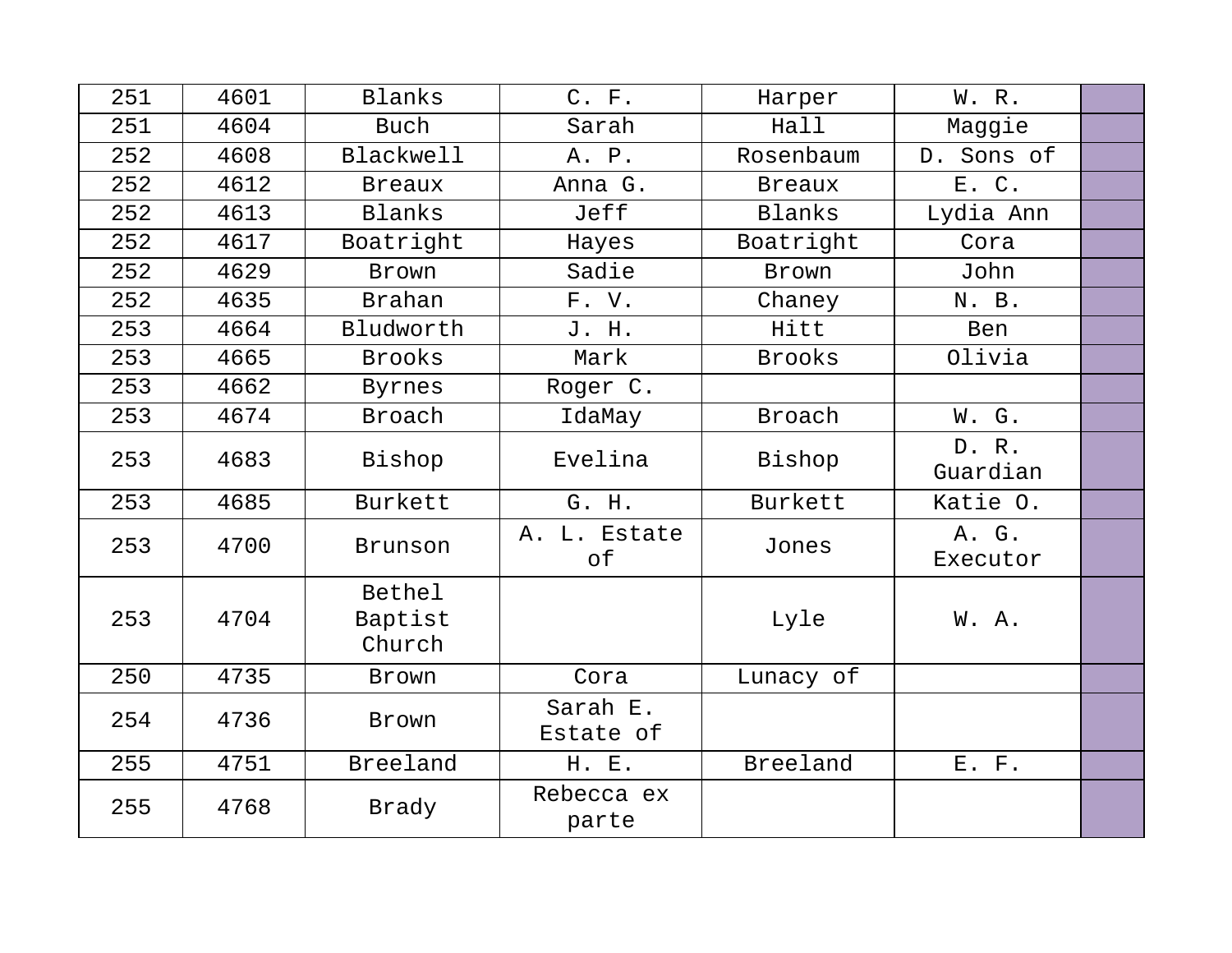| 251 | 4601 | Blanks                      | C. F.                 | Harper        | W. R.             |  |
|-----|------|-----------------------------|-----------------------|---------------|-------------------|--|
| 251 | 4604 | <b>Buch</b>                 | Sarah                 | Hall          | Maggie            |  |
| 252 | 4608 | <b>Blackwell</b>            | A. P.                 | Rosenbaum     | D. Sons of        |  |
| 252 | 4612 | <b>Breaux</b>               | Anna G.               | <b>Breaux</b> | E. C.             |  |
| 252 | 4613 | Blanks                      | Jeff                  | Blanks        | Lydia Ann         |  |
| 252 | 4617 | Boatright                   | Hayes                 | Boatright     | Cora              |  |
| 252 | 4629 | Brown                       | Sadie                 | Brown         | John              |  |
| 252 | 4635 | <b>Brahan</b>               | F. V.                 | Chaney        | N. B.             |  |
| 253 | 4664 | Bludworth                   | J. H.                 | Hitt          | Ben               |  |
| 253 | 4665 | <b>Brooks</b>               | Mark                  | <b>Brooks</b> | Olivia            |  |
| 253 | 4662 | Byrnes                      | Roger C.              |               |                   |  |
| 253 | 4674 | Broach                      | IdaMay                | <b>Broach</b> | W. G.             |  |
| 253 | 4683 | Bishop                      | Evelina               | Bishop        | D. R.<br>Guardian |  |
| 253 | 4685 | Burkett                     | G. H.                 | Burkett       | Katie O.          |  |
| 253 | 4700 | Brunson                     | A. L. Estate<br>оf    | Jones         | A. G.<br>Executor |  |
| 253 | 4704 | Bethel<br>Baptist<br>Church |                       | Lyle          | W. A.             |  |
| 250 | 4735 | Brown                       | Cora                  | Lunacy of     |                   |  |
| 254 | 4736 | Brown                       | Sarah E.<br>Estate of |               |                   |  |
| 255 | 4751 | Breeland                    | H. E.                 | Breeland      | $E.$ $F.$         |  |
| 255 | 4768 | Brady                       | Rebecca ex<br>parte   |               |                   |  |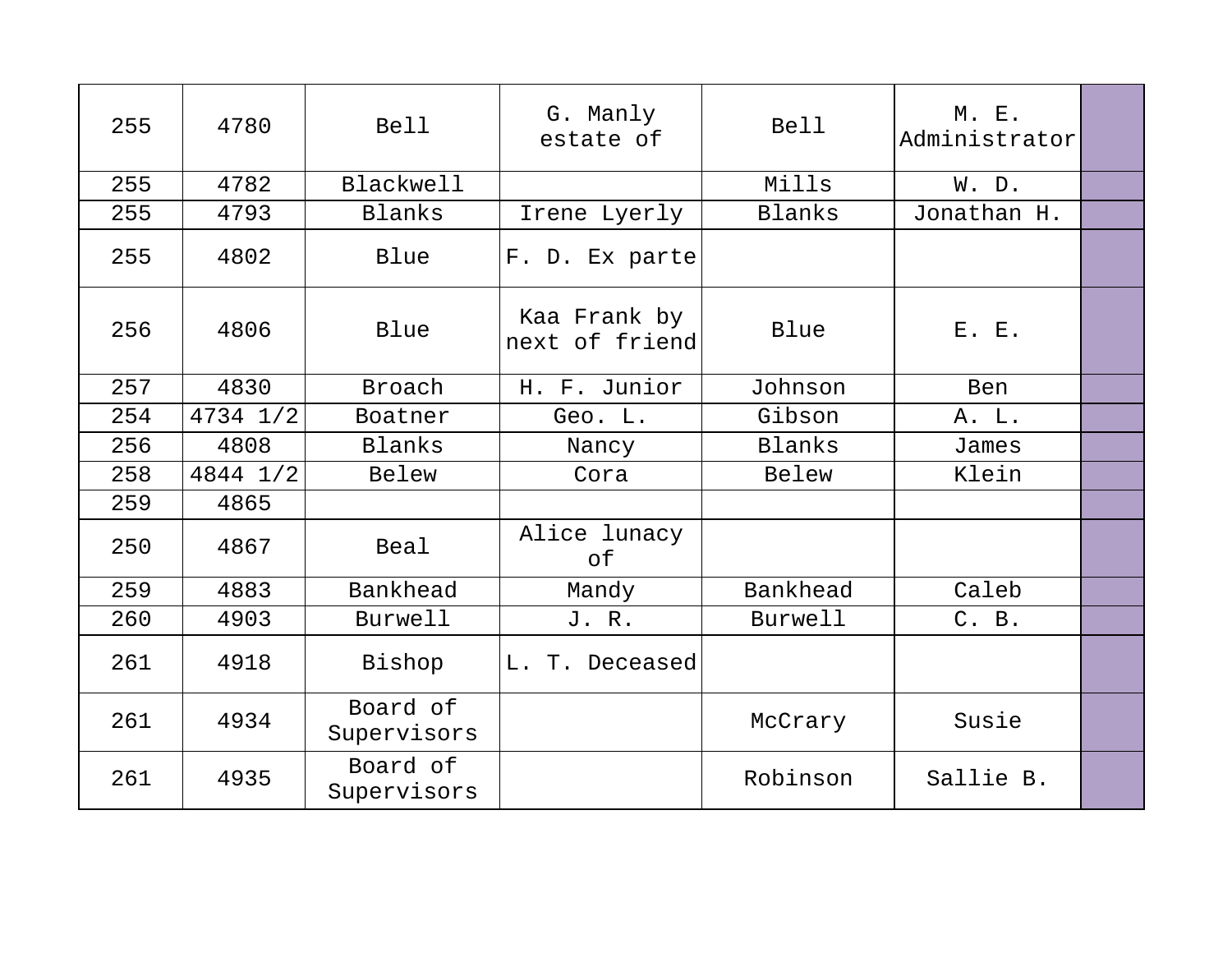| 255 | 4780     | <b>Bell</b>             | G. Manly<br>estate of          | <b>Bell</b>    | M. E.<br>Administrator |  |
|-----|----------|-------------------------|--------------------------------|----------------|------------------------|--|
| 255 | 4782     | <b>Blackwell</b>        |                                | Mills          | W. D.                  |  |
| 255 | 4793     | Blanks                  | Irene Lyerly                   | Blanks         | Jonathan H.            |  |
| 255 | 4802     | Blue                    | F. D. Ex parte                 |                |                        |  |
| 256 | 4806     | Blue                    | Kaa Frank by<br>next of friend | Blue           | E. E.                  |  |
| 257 | 4830     | Broach                  | H. F. Junior                   | Johnson        | Ben                    |  |
| 254 | 4734 1/2 | Boatner                 | Geo. L.                        | Gibson         | A. L.                  |  |
| 256 | 4808     | Blanks                  | Nancy                          | Blanks         | James                  |  |
| 258 | 4844 1/2 | Belew                   | Cora                           | Belew          | Klein                  |  |
| 259 | 4865     |                         |                                |                |                        |  |
| 250 | 4867     | Beal                    | Alice lunacy<br>оf             |                |                        |  |
| 259 | 4883     | Bankhead                | Mandy                          | Bankhead       | Caleb                  |  |
| 260 | 4903     | Burwell                 | J. R.                          | <b>Burwell</b> | C. B.                  |  |
| 261 | 4918     | Bishop                  | L. T. Deceased                 |                |                        |  |
| 261 | 4934     | Board of<br>Supervisors |                                | McCrary        | Susie                  |  |
| 261 | 4935     | Board of<br>Supervisors |                                | Robinson       | Sallie B.              |  |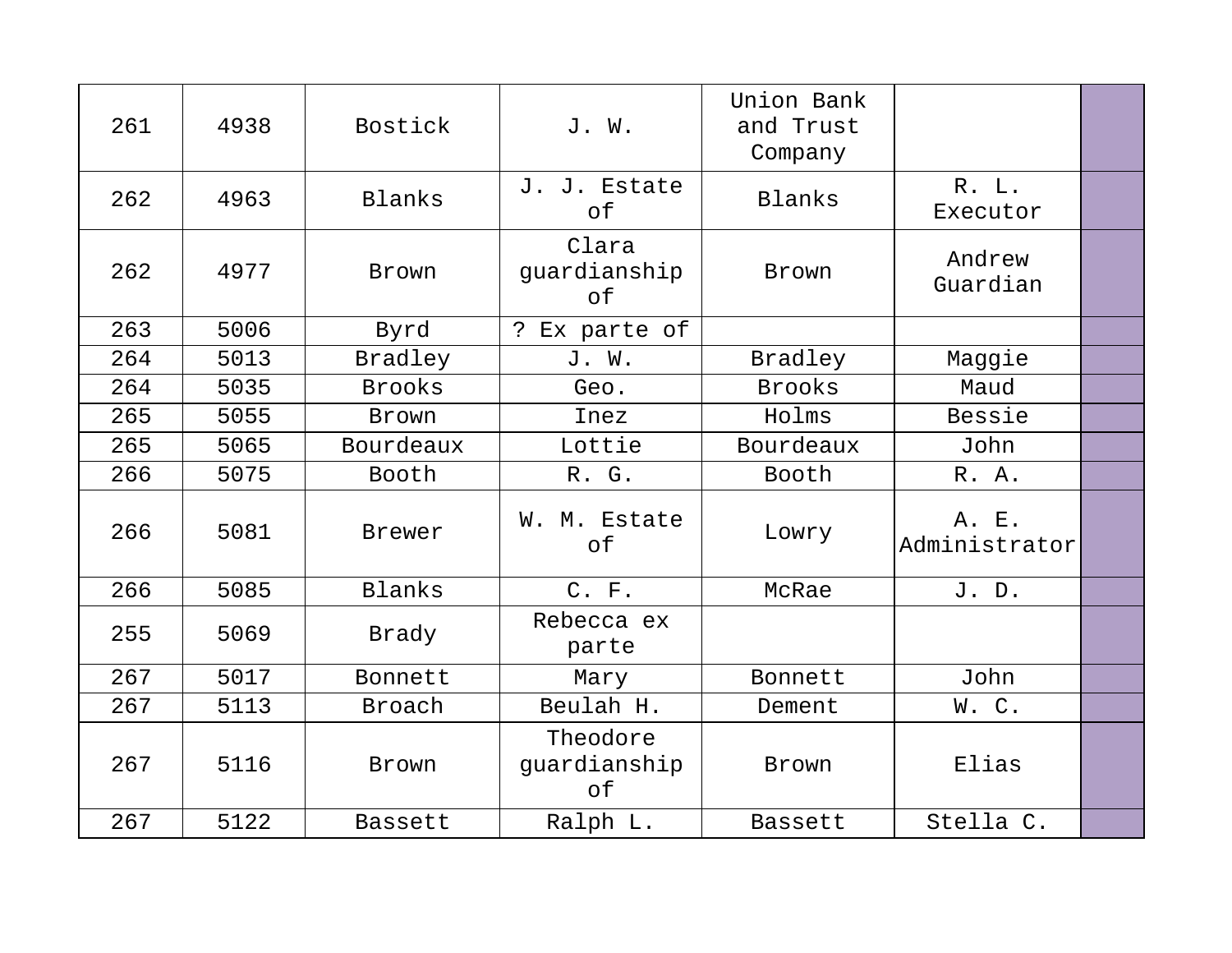| 261 | 4938 | Bostick        | J. W.                          | Union Bank<br>and Trust<br>Company |                        |  |
|-----|------|----------------|--------------------------------|------------------------------------|------------------------|--|
| 262 | 4963 | Blanks         | J. J. Estate<br>оf             | Blanks                             | R. L.<br>Executor      |  |
| 262 | 4977 | Brown          | Clara<br>guardianship<br>of    | Brown                              | Andrew<br>Guardian     |  |
| 263 | 5006 | Byrd           | ? Ex parte of                  |                                    |                        |  |
| 264 | 5013 | Bradley        | J. W.                          | Bradley                            | Maggie                 |  |
| 264 | 5035 | <b>Brooks</b>  | Geo.                           | <b>Brooks</b>                      | Maud                   |  |
| 265 | 5055 | Brown          | Inez                           | Holms                              | Bessie                 |  |
| 265 | 5065 | Bourdeaux      | Lottie                         | Bourdeaux                          | John                   |  |
| 266 | 5075 | Booth          | R. G.                          | Booth                              | R. A.                  |  |
| 266 | 5081 | Brewer         | W. M. Estate<br>of             | Lowry                              | A. E.<br>Administrator |  |
| 266 | 5085 | Blanks         | C. F.                          | McRae                              | J. D.                  |  |
| 255 | 5069 | Brady          | Rebecca ex<br>parte            |                                    |                        |  |
| 267 | 5017 | Bonnett        | Mary                           | Bonnett                            | John                   |  |
| 267 | 5113 | Broach         | Beulah H.                      | Dement                             | W.C.                   |  |
| 267 | 5116 | Brown          | Theodore<br>guardianship<br>of | Brown                              | Elias                  |  |
| 267 | 5122 | <b>Bassett</b> | Ralph L.                       | <b>Bassett</b>                     | Stella C.              |  |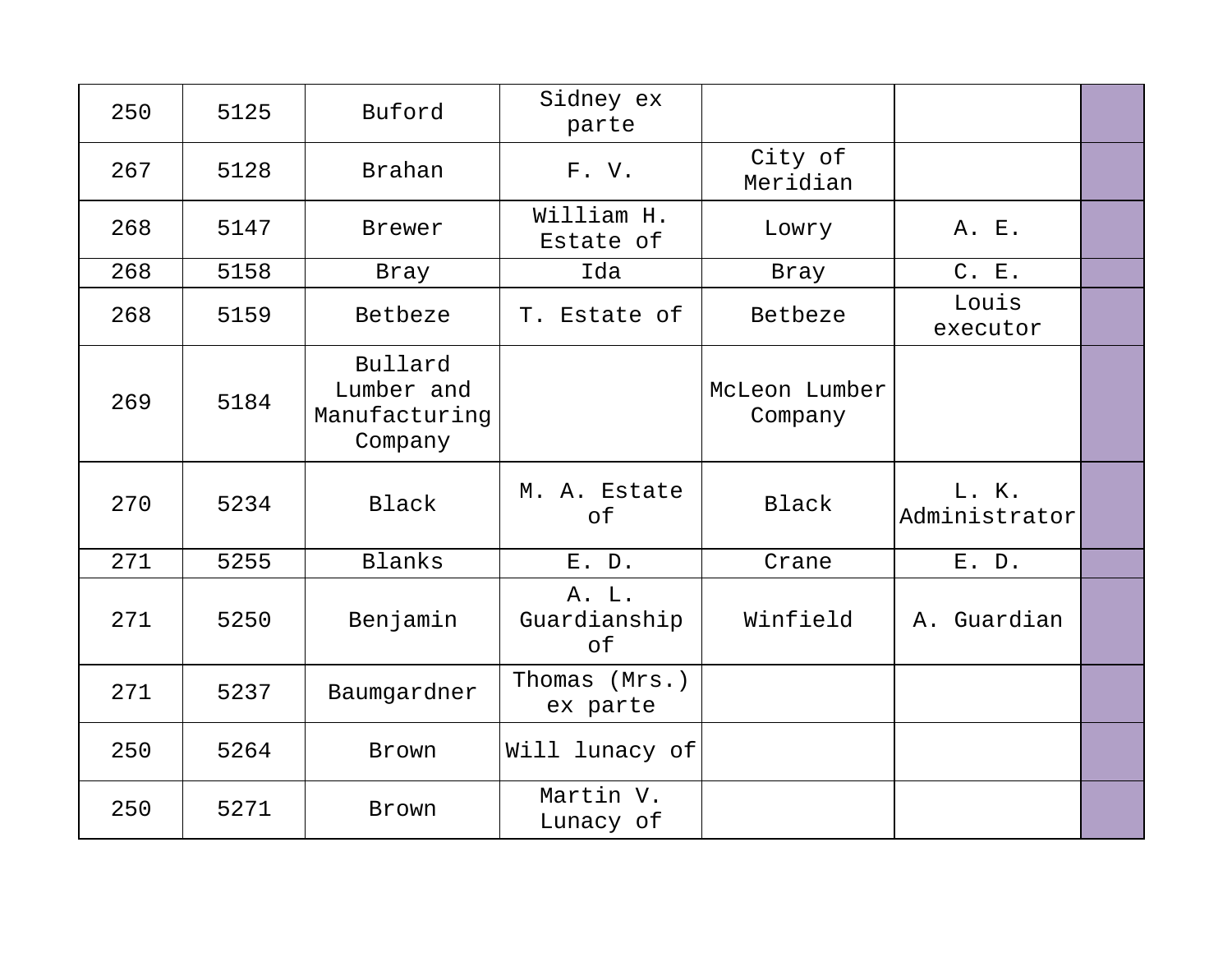| 250 | 5125 | Buford                                            | Sidney ex<br>parte          |                          |                        |  |
|-----|------|---------------------------------------------------|-----------------------------|--------------------------|------------------------|--|
| 267 | 5128 | Brahan                                            | F.V.                        | City of<br>Meridian      |                        |  |
| 268 | 5147 | Brewer                                            | William H.<br>Estate of     | Lowry                    | A. E.                  |  |
| 268 | 5158 | Bray                                              | Ida                         | Bray                     | C. E.                  |  |
| 268 | 5159 | Betbeze                                           | T. Estate of                | Betbeze                  | Louis<br>executor      |  |
| 269 | 5184 | Bullard<br>Lumber and<br>Manufacturing<br>Company |                             | McLeon Lumber<br>Company |                        |  |
| 270 | 5234 | Black                                             | M. A. Estate<br>of          | Black                    | L. K.<br>Administrator |  |
| 271 | 5255 | Blanks                                            | E. D.                       | Crane                    | E. D.                  |  |
| 271 | 5250 | Benjamin                                          | A. L.<br>Guardianship<br>of | Winfield                 | A. Guardian            |  |
| 271 | 5237 | Baumgardner                                       | Thomas (Mrs.)<br>ex parte   |                          |                        |  |
| 250 | 5264 | Brown                                             | Will lunacy of              |                          |                        |  |
|     |      |                                                   |                             |                          |                        |  |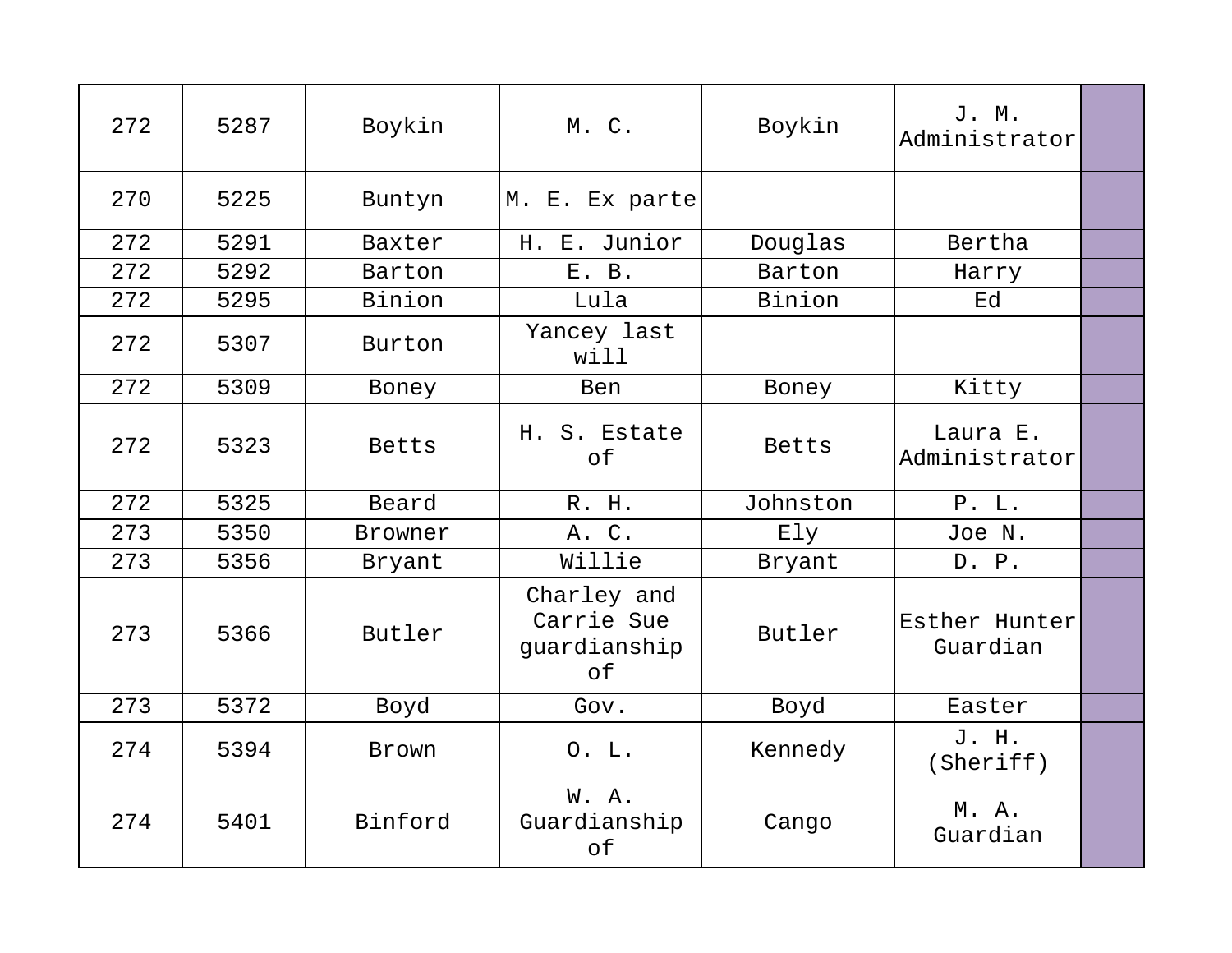| 272 | 5287 | Boykin       | M. C.                                           | Boykin   | J. M.<br>Administrator    |  |
|-----|------|--------------|-------------------------------------------------|----------|---------------------------|--|
| 270 | 5225 | Buntyn       | M. E. Ex parte                                  |          |                           |  |
| 272 | 5291 | Baxter       | H. E. Junior                                    | Douglas  | Bertha                    |  |
| 272 | 5292 | Barton       | E. B.                                           | Barton   | Harry                     |  |
| 272 | 5295 | Binion       | Lula                                            | Binion   | Ed                        |  |
| 272 | 5307 | Burton       | Yancey last<br>will                             |          |                           |  |
| 272 | 5309 | Boney        | Ben                                             | Boney    | Kitty                     |  |
| 272 | 5323 | <b>Betts</b> | H. S. Estate<br>of                              | Betts    | Laura E.<br>Administrator |  |
| 272 | 5325 | Beard        | R. H.                                           | Johnston | P. L.                     |  |
| 273 | 5350 | Browner      | A. C.                                           | Ely      | Joe N.                    |  |
| 273 | 5356 | Bryant       | Willie                                          | Bryant   | D. P.                     |  |
| 273 | 5366 | Butler       | Charley and<br>Carrie Sue<br>guardianship<br>of | Butler   | Esther Hunter<br>Guardian |  |
| 273 | 5372 | Boyd         | Gov.                                            | Boyd     | Easter                    |  |
| 274 | 5394 | Brown        | 0. L.                                           | Kennedy  | J. H.<br>(Sheriff)        |  |
| 274 | 5401 | Binford      | W. A.<br>Guardianship<br>of                     | Cango    | M. A.<br>Guardian         |  |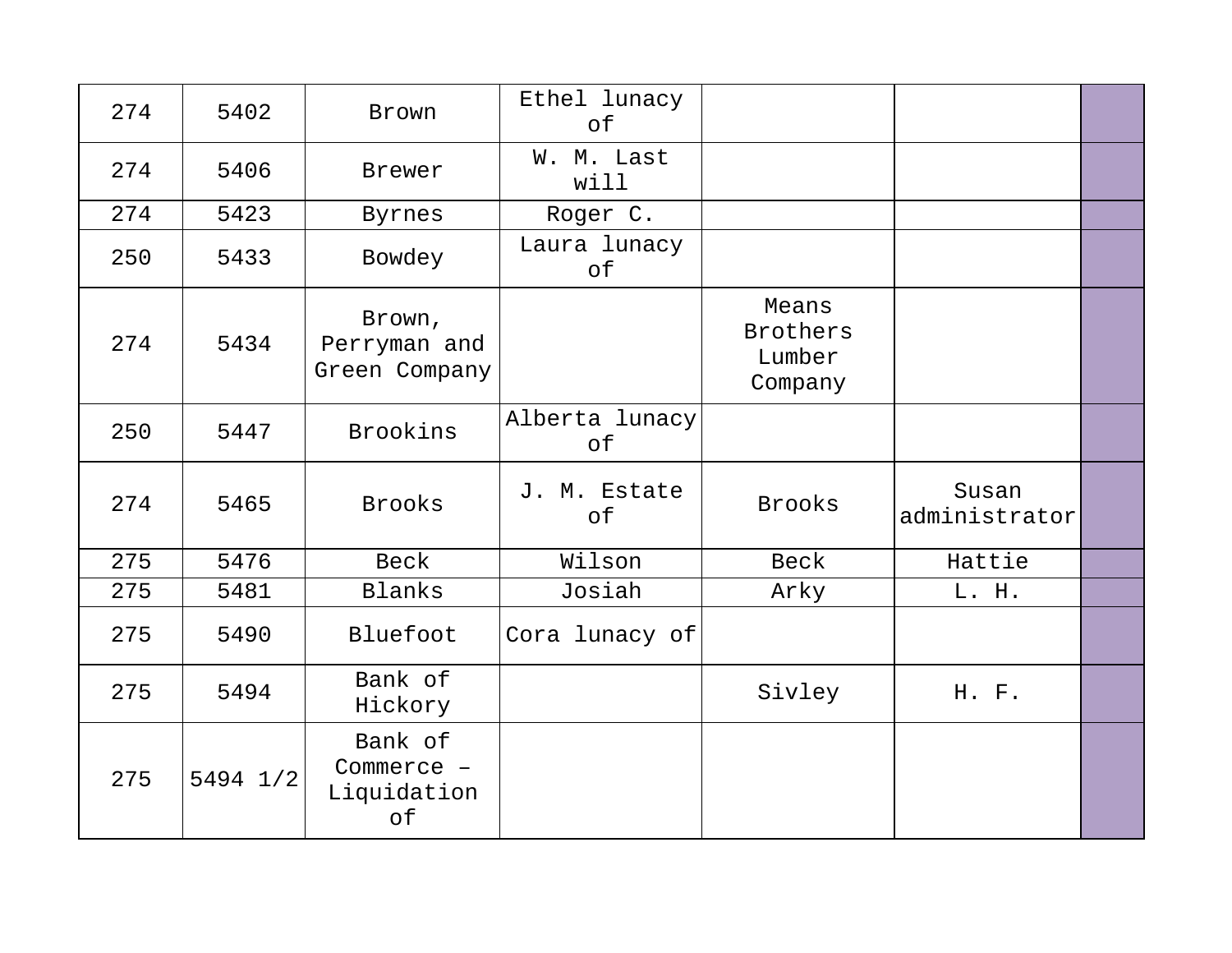| 274 | 5402     | Brown                                      | Ethel lunacy<br>of   |                                               |                        |  |
|-----|----------|--------------------------------------------|----------------------|-----------------------------------------------|------------------------|--|
| 274 | 5406     | Brewer                                     | W. M. Last<br>will   |                                               |                        |  |
| 274 | 5423     | Byrnes                                     | Roger C.             |                                               |                        |  |
| 250 | 5433     | Bowdey                                     | Laura lunacy<br>of   |                                               |                        |  |
| 274 | 5434     | Brown,<br>Perryman and<br>Green Company    |                      | Means<br><b>Brothers</b><br>Lumber<br>Company |                        |  |
| 250 | 5447     | Brookins                                   | Alberta lunacy<br>of |                                               |                        |  |
| 274 | 5465     | Brooks                                     | J. M. Estate<br>of   | <b>Brooks</b>                                 | Susan<br>administrator |  |
| 275 | 5476     | <b>Beck</b>                                | Wilson               | <b>Beck</b>                                   | Hattie                 |  |
| 275 | 5481     | Blanks                                     | Josiah               | Arky                                          | L. H.                  |  |
| 275 | 5490     | Bluefoot                                   | Cora lunacy of       |                                               |                        |  |
| 275 | 5494     | Bank of<br>Hickory                         |                      | Sivley                                        | H. F.                  |  |
| 275 | 5494 1/2 | Bank of<br>Commerce -<br>Liquidation<br>of |                      |                                               |                        |  |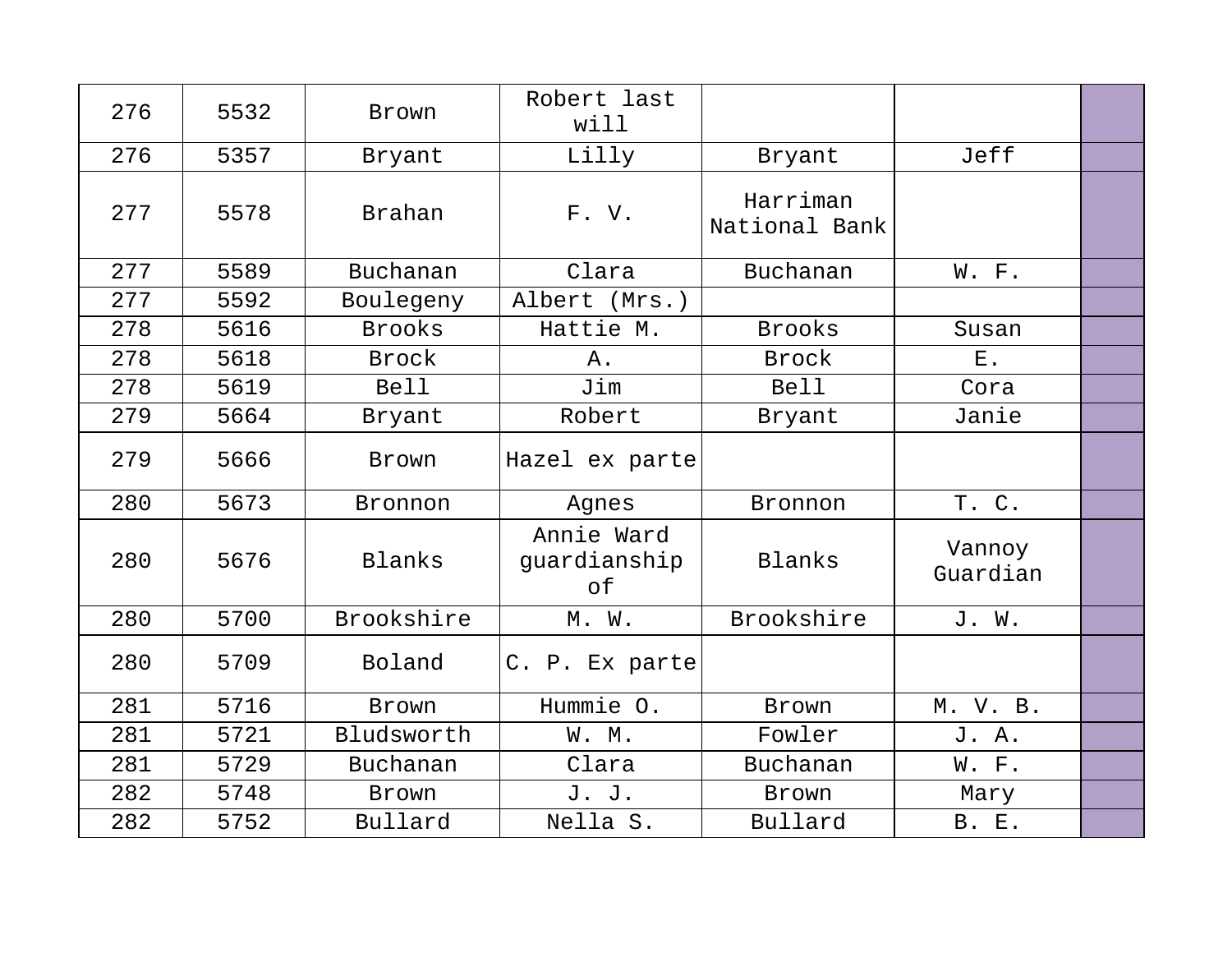| 276 | 5532 | <b>Brown</b>  | Robert last<br>will              |                           |                    |  |
|-----|------|---------------|----------------------------------|---------------------------|--------------------|--|
| 276 | 5357 | Bryant        | Lilly                            | Bryant                    | Jeff               |  |
| 277 | 5578 | <b>Brahan</b> | F.V.                             | Harriman<br>National Bank |                    |  |
| 277 | 5589 | Buchanan      | Clara                            | Buchanan                  | W. F.              |  |
| 277 | 5592 | Boulegeny     | Albert (Mrs.)                    |                           |                    |  |
| 278 | 5616 | <b>Brooks</b> | Hattie M.                        | <b>Brooks</b>             | Susan              |  |
| 278 | 5618 | Brock         | Α.                               | <b>Brock</b>              | Ε.                 |  |
| 278 | 5619 | <b>Bell</b>   | Jim                              | <b>Bell</b>               | Cora               |  |
| 279 | 5664 | Bryant        | Robert                           | Bryant                    | Janie              |  |
| 279 | 5666 | Brown         | Hazel ex parte                   |                           |                    |  |
| 280 | 5673 | Bronnon       | Agnes                            | Bronnon                   | T. C.              |  |
| 280 | 5676 | Blanks        | Annie Ward<br>guardianship<br>of | Blanks                    | Vannoy<br>Guardian |  |
| 280 | 5700 | Brookshire    | $M.$ $W.$                        | Brookshire                | J. W.              |  |
| 280 | 5709 | Boland        | C. P. Ex parte                   |                           |                    |  |
| 281 | 5716 | Brown         | Hummie O.                        | Brown                     | M. V. B.           |  |
| 281 | 5721 | Bludsworth    | W. M.                            | Fowler                    | J. A.              |  |
| 281 | 5729 | Buchanan      | Clara                            | Buchanan                  | W. F.              |  |
| 282 | 5748 | <b>Brown</b>  | J. J.                            | Brown                     | Mary               |  |
| 282 | 5752 | Bullard       | Nella S.                         | Bullard                   | <b>B. E.</b>       |  |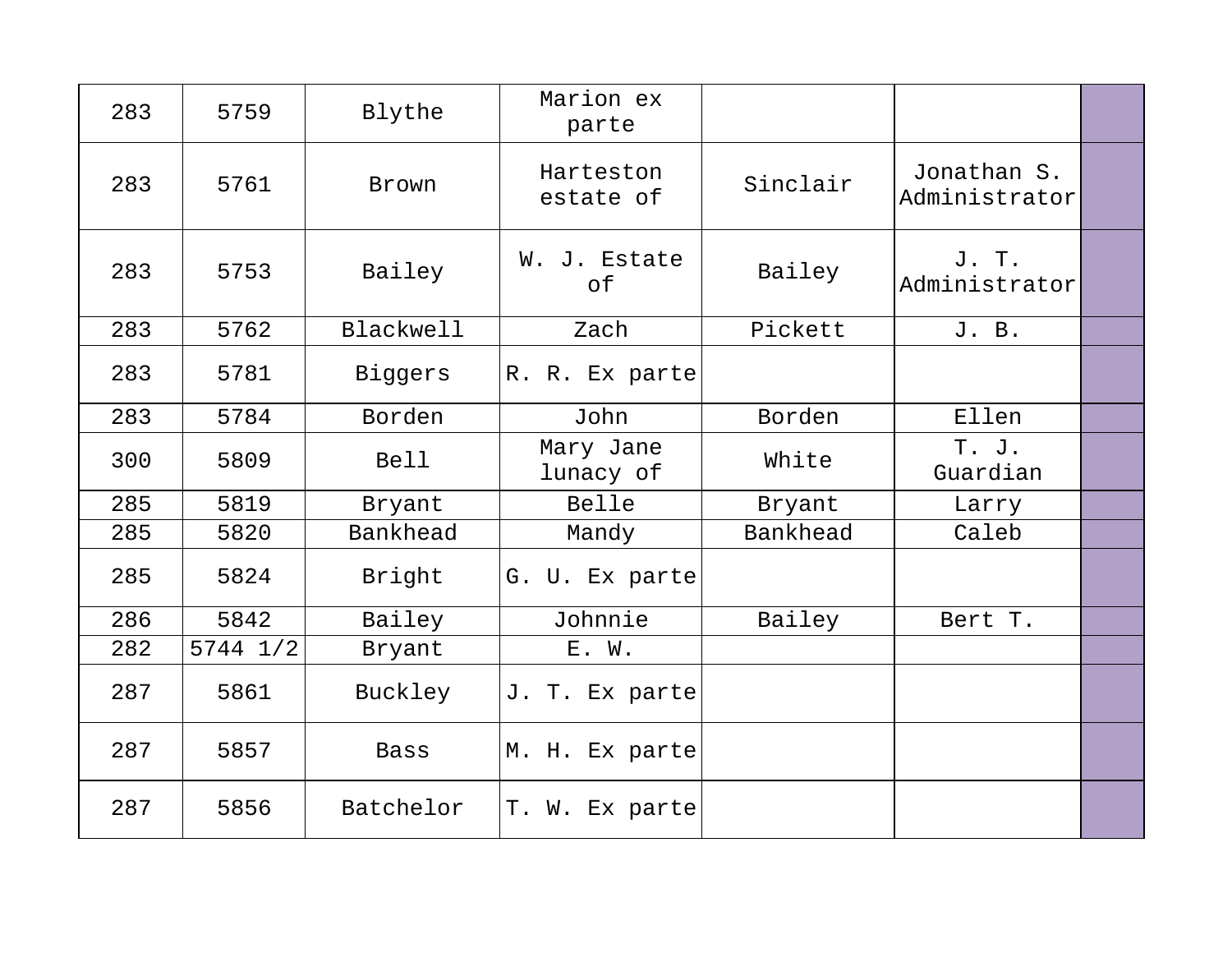| 283 | 5759         | Blythe           | Marion ex<br>parte     |          |                              |  |
|-----|--------------|------------------|------------------------|----------|------------------------------|--|
| 283 | 5761         | Brown            | Harteston<br>estate of | Sinclair | Jonathan S.<br>Administrator |  |
| 283 | 5753         | Bailey           | W. J. Estate<br>of     | Bailey   | J. T.<br>Administrator       |  |
| 283 | 5762         | <b>Blackwell</b> | Zach                   | Pickett  | J. B.                        |  |
| 283 | 5781         | Biggers          | R. R. Ex parte         |          |                              |  |
| 283 | 5784         | Borden           | John                   | Borden   | Ellen                        |  |
| 300 | 5809         | <b>Bell</b>      | Mary Jane<br>lunacy of | White    | T. J.<br>Guardian            |  |
| 285 | 5819         | Bryant           | Belle                  | Bryant   | Larry                        |  |
| 285 | 5820         | Bankhead         | Mandy                  | Bankhead | Caleb                        |  |
| 285 | 5824         | Bright           | G. U. Ex parte         |          |                              |  |
| 286 | 5842         | Bailey           | Johnnie                | Bailey   | Bert T.                      |  |
| 282 | $5744$ $1/2$ | Bryant           | E. W.                  |          |                              |  |
| 287 | 5861         | Buckley          | J. T. Ex parte         |          |                              |  |
| 287 | 5857         | Bass             | M. H. Ex parte         |          |                              |  |
| 287 | 5856         | Batchelor        | T. W. Ex parte         |          |                              |  |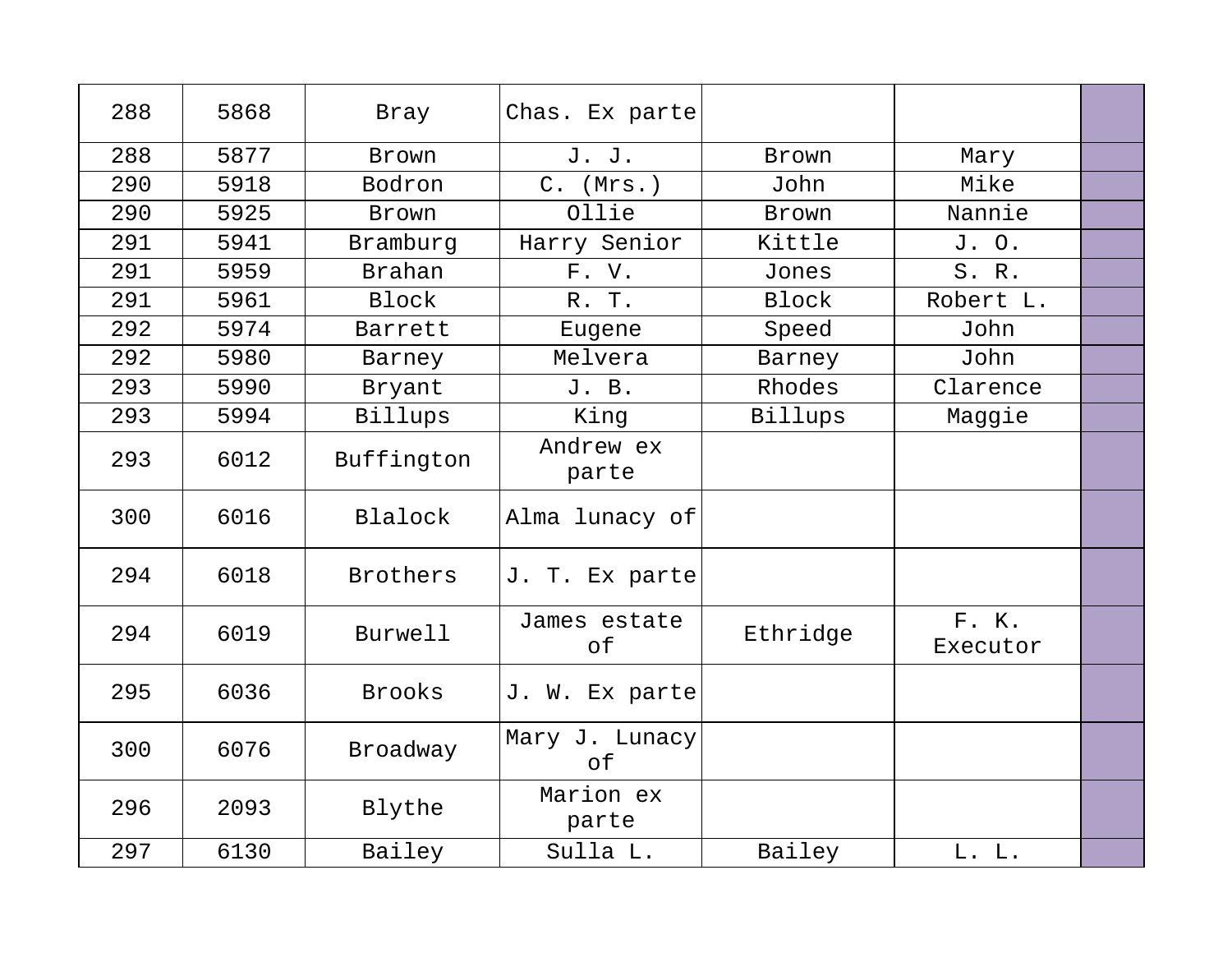| 288 | 5868 | Bray            | Chas. Ex parte       |              |                   |  |
|-----|------|-----------------|----------------------|--------------|-------------------|--|
| 288 | 5877 | Brown           | J. J.                | Brown        | Mary              |  |
| 290 | 5918 | Bodron          | $C.$ (Mrs.)          | John         | Mike              |  |
| 290 | 5925 | Brown           | Ollie                | Brown        | Nannie            |  |
| 291 | 5941 | Bramburg        | Harry Senior         | Kittle       | J. O.             |  |
| 291 | 5959 | <b>Brahan</b>   | F. V.                | Jones        | S. R.             |  |
| 291 | 5961 | <b>Block</b>    | R. T.                | <b>Block</b> | Robert L.         |  |
| 292 | 5974 | Barrett         | Eugene               | Speed        | John              |  |
| 292 | 5980 | Barney          | Melvera              | Barney       | John              |  |
| 293 | 5990 | Bryant          | J. B.                | Rhodes       | Clarence          |  |
| 293 | 5994 | Billups         | King                 | Billups      | Maggie            |  |
| 293 | 6012 | Buffington      | Andrew ex<br>parte   |              |                   |  |
| 300 | 6016 | Blalock         | Alma lunacy of       |              |                   |  |
| 294 | 6018 | <b>Brothers</b> | J. T. Ex parte       |              |                   |  |
| 294 | 6019 | Burwell         | James estate<br>of   | Ethridge     | F. K.<br>Executor |  |
| 295 | 6036 | <b>Brooks</b>   | J. W. Ex parte       |              |                   |  |
| 300 | 6076 | Broadway        | Mary J. Lunacy<br>of |              |                   |  |
| 296 | 2093 | Blythe          | Marion ex<br>parte   |              |                   |  |
| 297 | 6130 | Bailey          | Sulla L.             | Bailey       | L. L.             |  |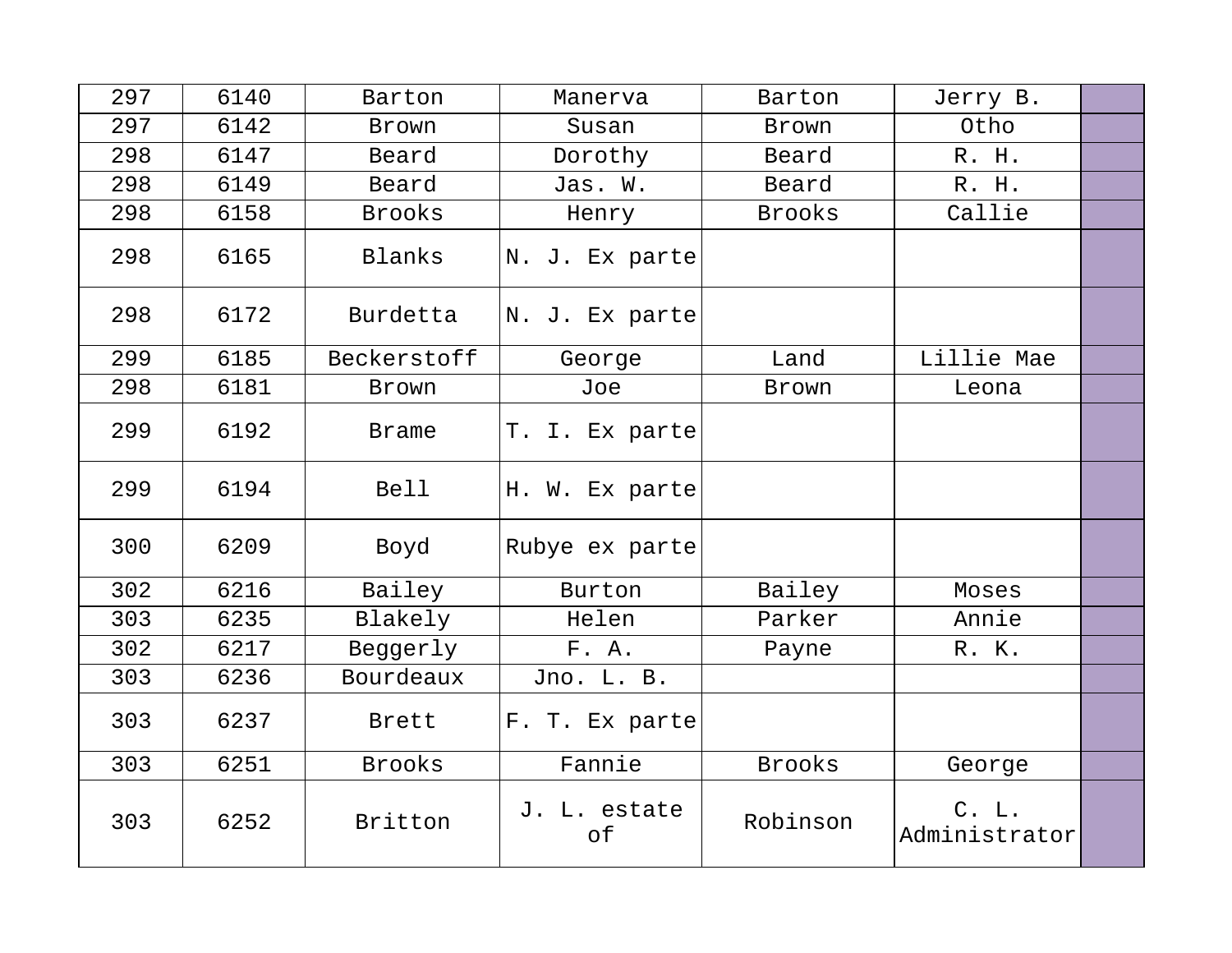| 297 | 6140 | Barton        | Manerva            | Barton        | Jerry B.                   |  |
|-----|------|---------------|--------------------|---------------|----------------------------|--|
| 297 | 6142 | Brown         | Susan              | Brown         | Otho                       |  |
| 298 | 6147 | Beard         | Dorothy            | Beard         | R. H.                      |  |
| 298 | 6149 | Beard         | Jas. W.            | Beard         | R. H.                      |  |
| 298 | 6158 | <b>Brooks</b> | Henry              | <b>Brooks</b> | Callie                     |  |
| 298 | 6165 | Blanks        | N. J. Ex parte     |               |                            |  |
| 298 | 6172 | Burdetta      | N. J. Ex parte     |               |                            |  |
| 299 | 6185 | Beckerstoff   | George             | Land          | Lillie Mae                 |  |
| 298 | 6181 | Brown         | Joe                | Brown         | Leona                      |  |
| 299 | 6192 | <b>Brame</b>  | T. I. Ex parte     |               |                            |  |
| 299 | 6194 | <b>Bell</b>   | H. W. Ex parte     |               |                            |  |
| 300 | 6209 | Boyd          | Rubye ex parte     |               |                            |  |
| 302 | 6216 | Bailey        | Burton             | Bailey        | Moses                      |  |
| 303 | 6235 | Blakely       | Helen              | Parker        | Annie                      |  |
| 302 | 6217 | Beggerly      | F. A.              | Payne         | R. K.                      |  |
| 303 | 6236 | Bourdeaux     | Jno. L. B.         |               |                            |  |
| 303 | 6237 | Brett         | F. T. Ex parte     |               |                            |  |
| 303 | 6251 | <b>Brooks</b> | Fannie             | <b>Brooks</b> | George                     |  |
| 303 | 6252 | Britton       | J. L. estate<br>of | Robinson      | $C.$ $L.$<br>Administrator |  |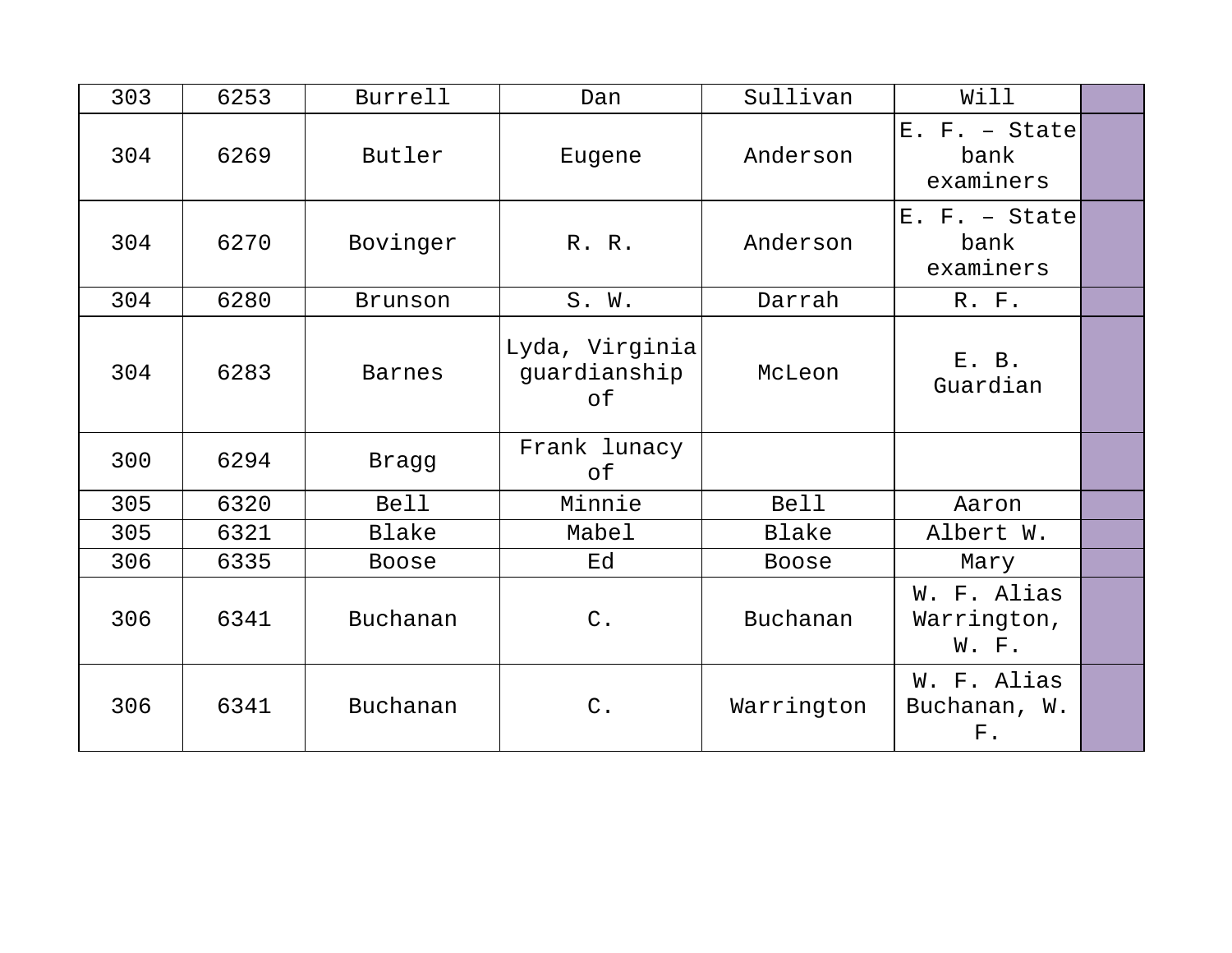| 303 | 6253 | Burrell       | Dan                                  | Sullivan     | Will                                       |  |
|-----|------|---------------|--------------------------------------|--------------|--------------------------------------------|--|
| 304 | 6269 | Butler        | Eugene                               | Anderson     | $E. F. - State$<br>bank<br>examiners       |  |
| 304 | 6270 | Bovinger      | R. R.                                | Anderson     | $E. F. - State$<br>bank<br>examiners       |  |
| 304 | 6280 | Brunson       | S. W.                                | Darrah       | R. F.                                      |  |
| 304 | 6283 | <b>Barnes</b> | Lyda, Virginia<br>guardianship<br>of | McLeon       | E. B.<br>Guardian                          |  |
| 300 | 6294 | <b>Bragg</b>  | Frank lunacy<br>оf                   |              |                                            |  |
| 305 | 6320 | <b>Bell</b>   | Minnie                               | <b>Bell</b>  | Aaron                                      |  |
| 305 | 6321 | Blake         | Mabel                                | Blake        | Albert W.                                  |  |
| 306 | 6335 | <b>Boose</b>  | Ed                                   | <b>Boose</b> | Mary                                       |  |
| 306 | 6341 | Buchanan      | $C$ .                                | Buchanan     | W. F. Alias<br>Warrington,<br>W. F.        |  |
| 306 | 6341 | Buchanan      | $\mathsf C$ .                        | Warrington   | W. F. Alias<br>Buchanan, W.<br>${\bf F}$ . |  |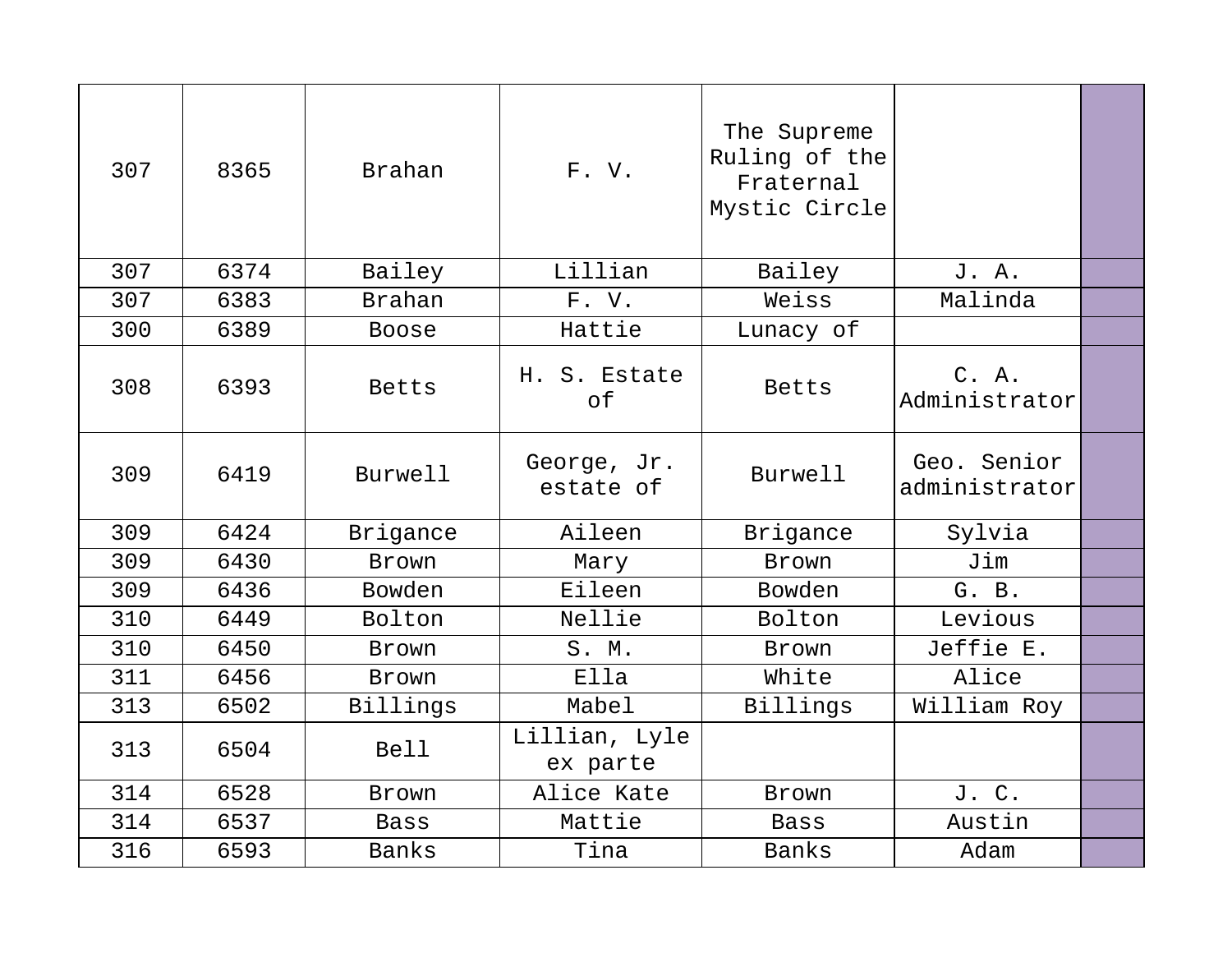| 307 | 8365 | Brahan        | F.V.                      | The Supreme<br>Ruling of the<br>Fraternal<br>Mystic Circle |                              |  |
|-----|------|---------------|---------------------------|------------------------------------------------------------|------------------------------|--|
| 307 | 6374 | Bailey        | Lillian                   | Bailey                                                     | J. A.                        |  |
| 307 | 6383 | <b>Brahan</b> | F.V.                      | Weiss                                                      | Malinda                      |  |
| 300 | 6389 | Boose         | Hattie                    | Lunacy of                                                  |                              |  |
| 308 | 6393 | <b>Betts</b>  | H. S. Estate<br>of        | <b>Betts</b>                                               | C. A.<br>Administrator       |  |
| 309 | 6419 | Burwell       | George, Jr.<br>estate of  | Burwell                                                    | Geo. Senior<br>administrator |  |
| 309 | 6424 | Brigance      | Aileen                    | Brigance                                                   | Sylvia                       |  |
| 309 | 6430 | Brown         | Mary                      | Brown                                                      | Jim                          |  |
| 309 | 6436 | Bowden        | Eileen                    | Bowden                                                     | G. B.                        |  |
| 310 | 6449 | Bolton        | Nellie                    | Bolton                                                     | Levious                      |  |
| 310 | 6450 | Brown         | S. M.                     | Brown                                                      | Jeffie E.                    |  |
| 311 | 6456 | Brown         | Ella                      | White                                                      | Alice                        |  |
| 313 | 6502 | Billings      | Mabel                     | Billings                                                   | William Roy                  |  |
| 313 | 6504 | <b>Bell</b>   | Lillian, Lyle<br>ex parte |                                                            |                              |  |
| 314 | 6528 | <b>Brown</b>  | Alice Kate                | <b>Brown</b>                                               | J. C.                        |  |
| 314 | 6537 | Bass          | Mattie                    | Bass                                                       | Austin                       |  |
| 316 | 6593 | Banks         | Tina                      | <b>Banks</b>                                               | Adam                         |  |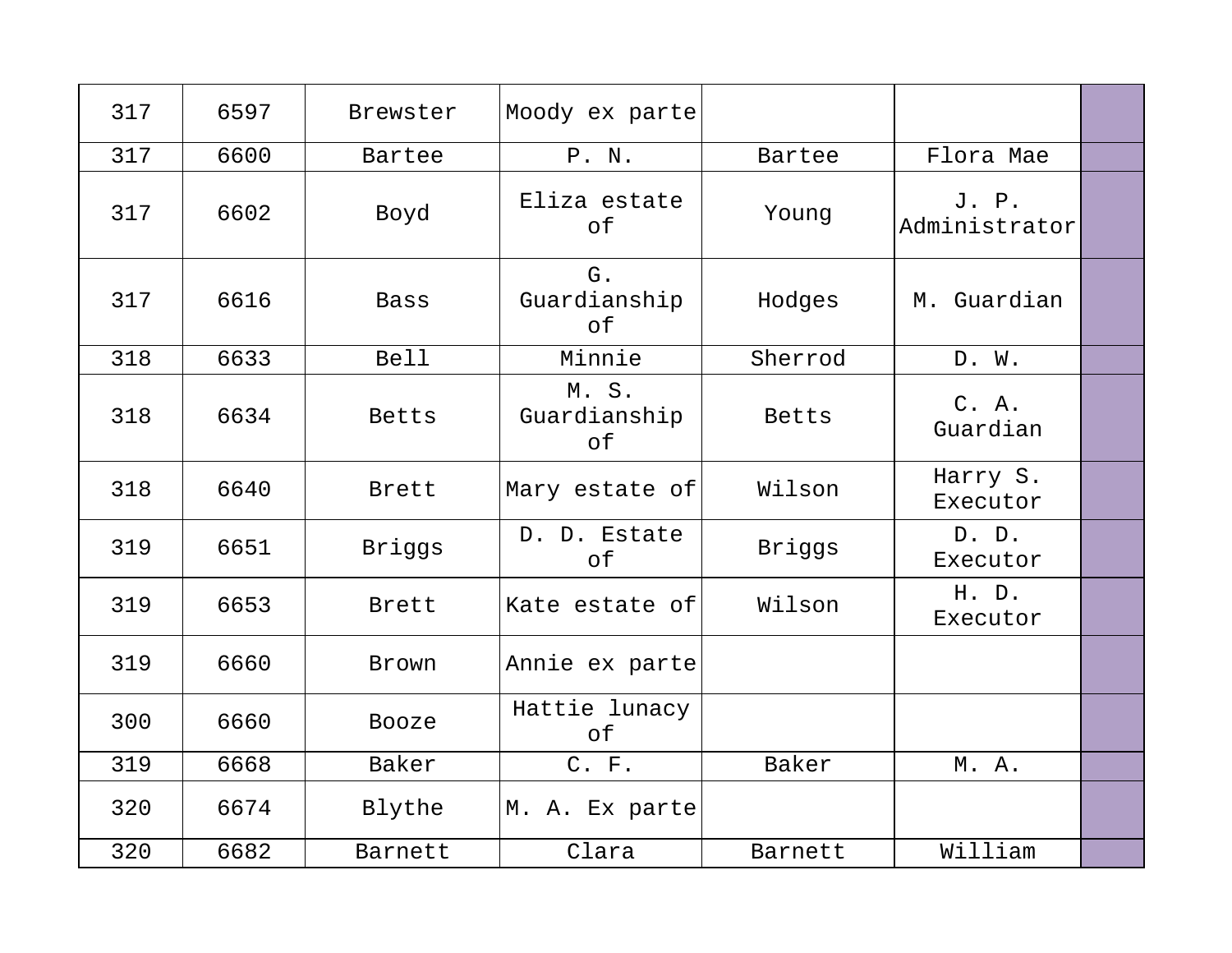| 317 | 6597 | Brewster     | Moody ex parte             |         |                        |  |
|-----|------|--------------|----------------------------|---------|------------------------|--|
| 317 | 6600 | Bartee       | P. N.                      | Bartee  | Flora Mae              |  |
| 317 | 6602 | Boyd         | Eliza estate<br>of         | Young   | J. P.<br>Administrator |  |
| 317 | 6616 | <b>Bass</b>  | G.<br>Guardianship<br>of   | Hodges  | M. Guardian            |  |
| 318 | 6633 | <b>Bell</b>  | Minnie                     | Sherrod | D. W.                  |  |
| 318 | 6634 | Betts        | M.S.<br>Guardianship<br>оf | Betts   | C. A.<br>Guardian      |  |
| 318 | 6640 | Brett        | Mary estate of             | Wilson  | Harry S.<br>Executor   |  |
| 319 | 6651 | Briggs       | D. D. Estate<br>of         | Briggs  | D. D.<br>Executor      |  |
| 319 | 6653 | Brett        | Kate estate of             | Wilson  | H. D.<br>Executor      |  |
| 319 | 6660 | <b>Brown</b> | Annie ex parte             |         |                        |  |
| 300 | 6660 | Booze        | Hattie lunacy<br>of        |         |                        |  |
| 319 | 6668 | Baker        | C. F.                      | Baker   | M. A.                  |  |
| 320 | 6674 | Blythe       | M. A. Ex parte             |         |                        |  |
| 320 | 6682 | Barnett      | Clara                      | Barnett | William                |  |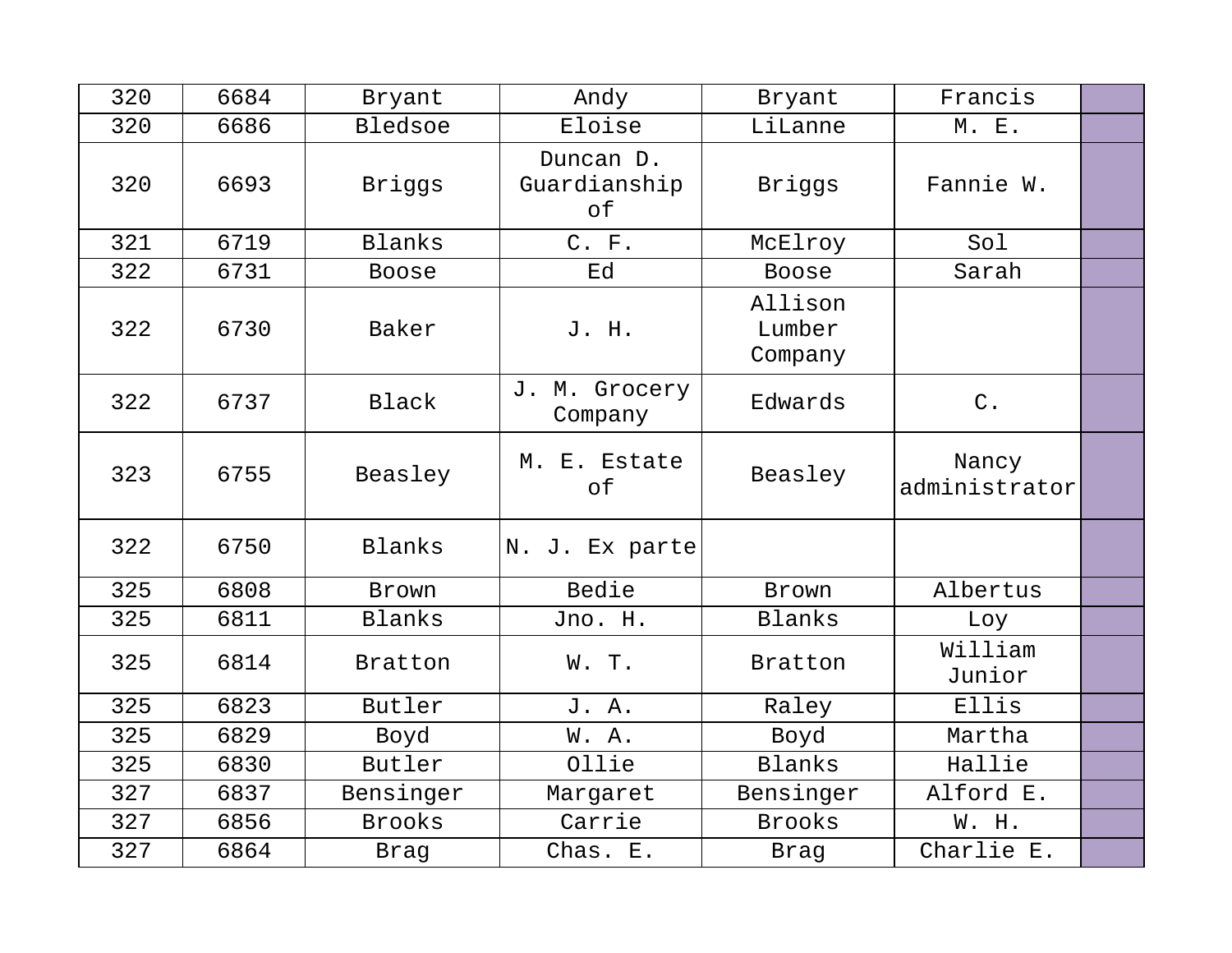| 320 | 6684 | Bryant        | Andy                            | Bryant                       | Francis                |  |
|-----|------|---------------|---------------------------------|------------------------------|------------------------|--|
| 320 | 6686 | Bledsoe       | Eloise                          | LiLanne                      | M. E.                  |  |
| 320 | 6693 | Briggs        | Duncan D.<br>Guardianship<br>of | Briggs                       | Fannie W.              |  |
| 321 | 6719 | <b>Blanks</b> | C. F.                           | McElroy                      | Sol                    |  |
| 322 | 6731 | <b>Boose</b>  | Ed                              | <b>Boose</b>                 | Sarah                  |  |
| 322 | 6730 | Baker         | J. H.                           | Allison<br>Lumber<br>Company |                        |  |
| 322 | 6737 | Black         | J. M. Grocery<br>Company        | Edwards                      | $\mathsf C$ .          |  |
| 323 | 6755 | Beasley       | M. E. Estate<br>of              | Beasley                      | Nancy<br>administrator |  |
| 322 | 6750 | Blanks        | N. J. Ex parte                  |                              |                        |  |
| 325 | 6808 | Brown         | Bedie                           | Brown                        | Albertus               |  |
| 325 | 6811 | <b>Blanks</b> | Jno. H.                         | Blanks                       | Loy                    |  |
| 325 | 6814 | Bratton       | W.T.                            | Bratton                      | William<br>Junior      |  |
| 325 | 6823 | Butler        | J. A.                           | Raley                        | Ellis                  |  |
| 325 | 6829 | Boyd          | W. A.                           | Boyd                         | Martha                 |  |
| 325 | 6830 | Butler        | Ollie                           | Blanks                       | Hallie                 |  |
| 327 | 6837 | Bensinger     | Margaret                        | Bensinger                    | Alford E.              |  |
| 327 | 6856 | <b>Brooks</b> | Carrie                          | <b>Brooks</b>                | W. H.                  |  |
| 327 | 6864 | Brag          | Chas. E.                        | Brag                         | Charlie E.             |  |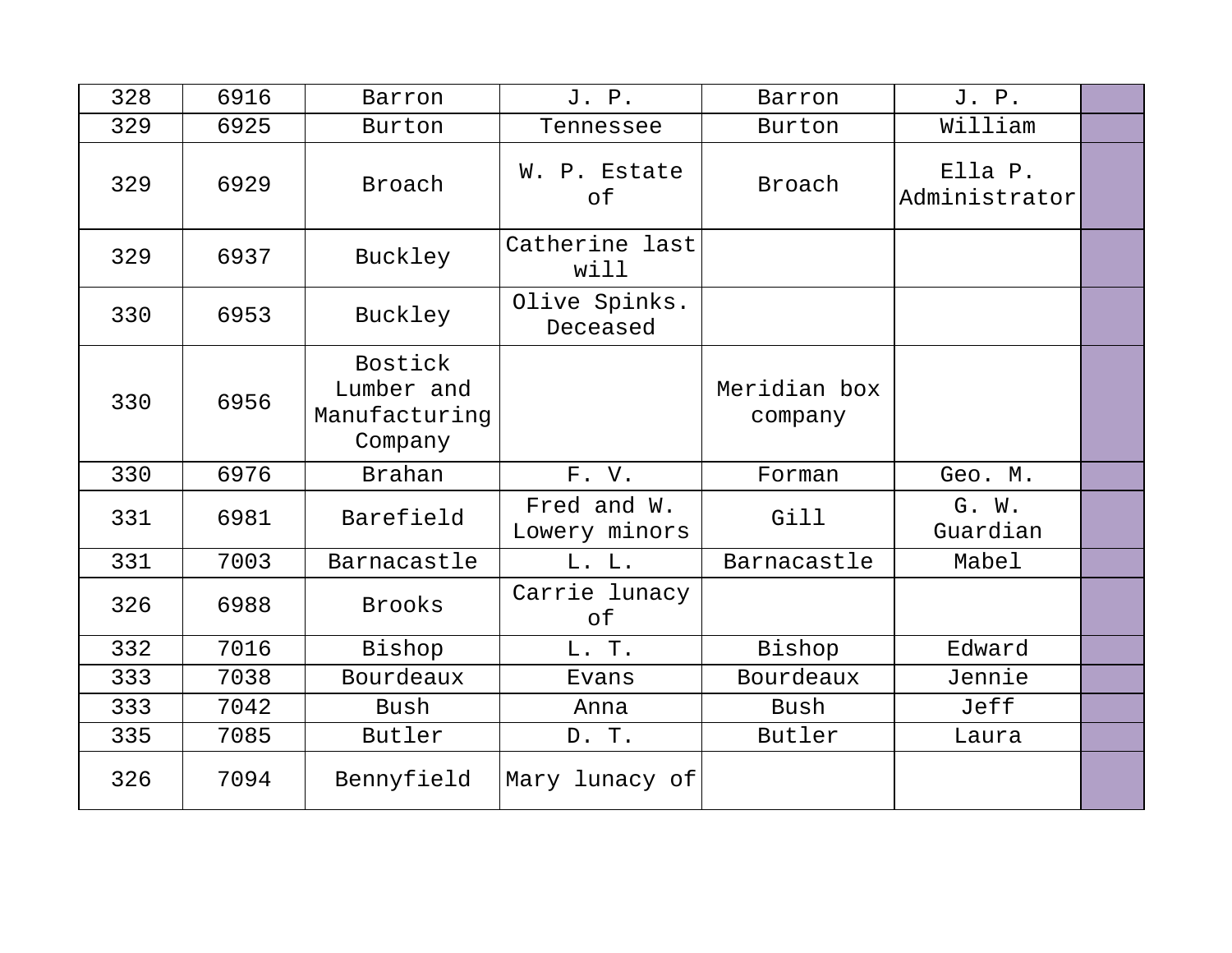| 328 | 6916 | Barron                                            | J. P.                        | Barron                  | J. P.                    |  |
|-----|------|---------------------------------------------------|------------------------------|-------------------------|--------------------------|--|
| 329 | 6925 | Burton                                            | Tennessee                    | Burton                  | William                  |  |
| 329 | 6929 | Broach                                            | W. P. Estate<br>of           | Broach                  | Ella P.<br>Administrator |  |
| 329 | 6937 | Buckley                                           | Catherine last<br>will       |                         |                          |  |
| 330 | 6953 | Buckley                                           | Olive Spinks.<br>Deceased    |                         |                          |  |
| 330 | 6956 | Bostick<br>Lumber and<br>Manufacturing<br>Company |                              | Meridian box<br>company |                          |  |
| 330 | 6976 | <b>Brahan</b>                                     | F. V.                        | Forman                  | Geo. M.                  |  |
| 331 | 6981 | Barefield                                         | Fred and W.<br>Lowery minors | Gill                    | G. W.<br>Guardian        |  |
| 331 | 7003 | Barnacastle                                       | L. L.                        | Barnacastle             | Mabel                    |  |
| 326 | 6988 | <b>Brooks</b>                                     | Carrie lunacy<br>оf          |                         |                          |  |
| 332 | 7016 | Bishop                                            | L. T.                        | Bishop                  | Edward                   |  |
| 333 | 7038 | Bourdeaux                                         | Evans                        | Bourdeaux               | Jennie                   |  |
| 333 | 7042 | Bush                                              | Anna                         | Bush                    | Jeff                     |  |
| 335 | 7085 | Butler                                            | D. T.                        | Butler                  | Laura                    |  |
| 326 | 7094 | Bennyfield                                        | Mary lunacy of               |                         |                          |  |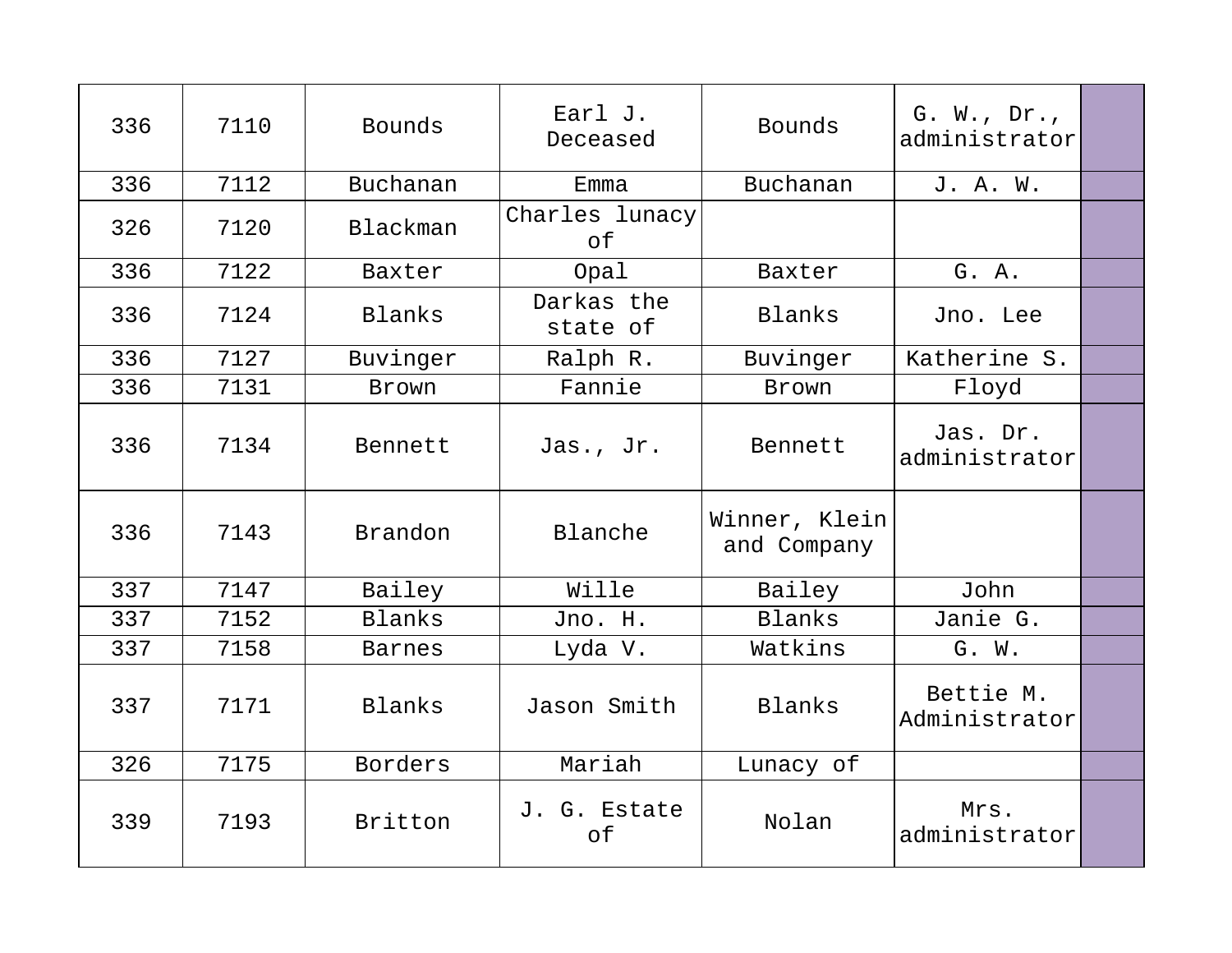| 336 | 7110 | Bounds        | Earl J.<br>Deceased    | Bounds                       | G. W., Dr.,<br>administrator |  |
|-----|------|---------------|------------------------|------------------------------|------------------------------|--|
| 336 | 7112 | Buchanan      | Emma                   | Buchanan                     | J. A. W.                     |  |
| 326 | 7120 | Blackman      | Charles lunacy<br>of   |                              |                              |  |
| 336 | 7122 | Baxter        | Opal                   | Baxter                       | G. A.                        |  |
| 336 | 7124 | Blanks        | Darkas the<br>state of | Blanks                       | Jno. Lee                     |  |
| 336 | 7127 | Buvinger      | Ralph R.               | Buvinger                     | Katherine S.                 |  |
| 336 | 7131 | Brown         | Fannie                 | Brown                        | Floyd                        |  |
| 336 | 7134 | Bennett       | Jas., Jr.              | Bennett                      | Jas. Dr.<br>administrator    |  |
| 336 | 7143 | Brandon       | Blanche                | Winner, Klein<br>and Company |                              |  |
| 337 | 7147 | Bailey        | Wille                  | Bailey                       | John                         |  |
| 337 | 7152 | <b>Blanks</b> | Jno. H.                | Blanks                       | Janie G.                     |  |
| 337 | 7158 | <b>Barnes</b> | Lyda V.                | Watkins                      | G. W.                        |  |
| 337 | 7171 | Blanks        | Jason Smith            | Blanks                       | Bettie M.<br>Administrator   |  |
| 326 | 7175 | Borders       | Mariah                 | Lunacy of                    |                              |  |
| 339 | 7193 | Britton       | J. G. Estate<br>of     | Nolan                        | Mrs.<br>administrator        |  |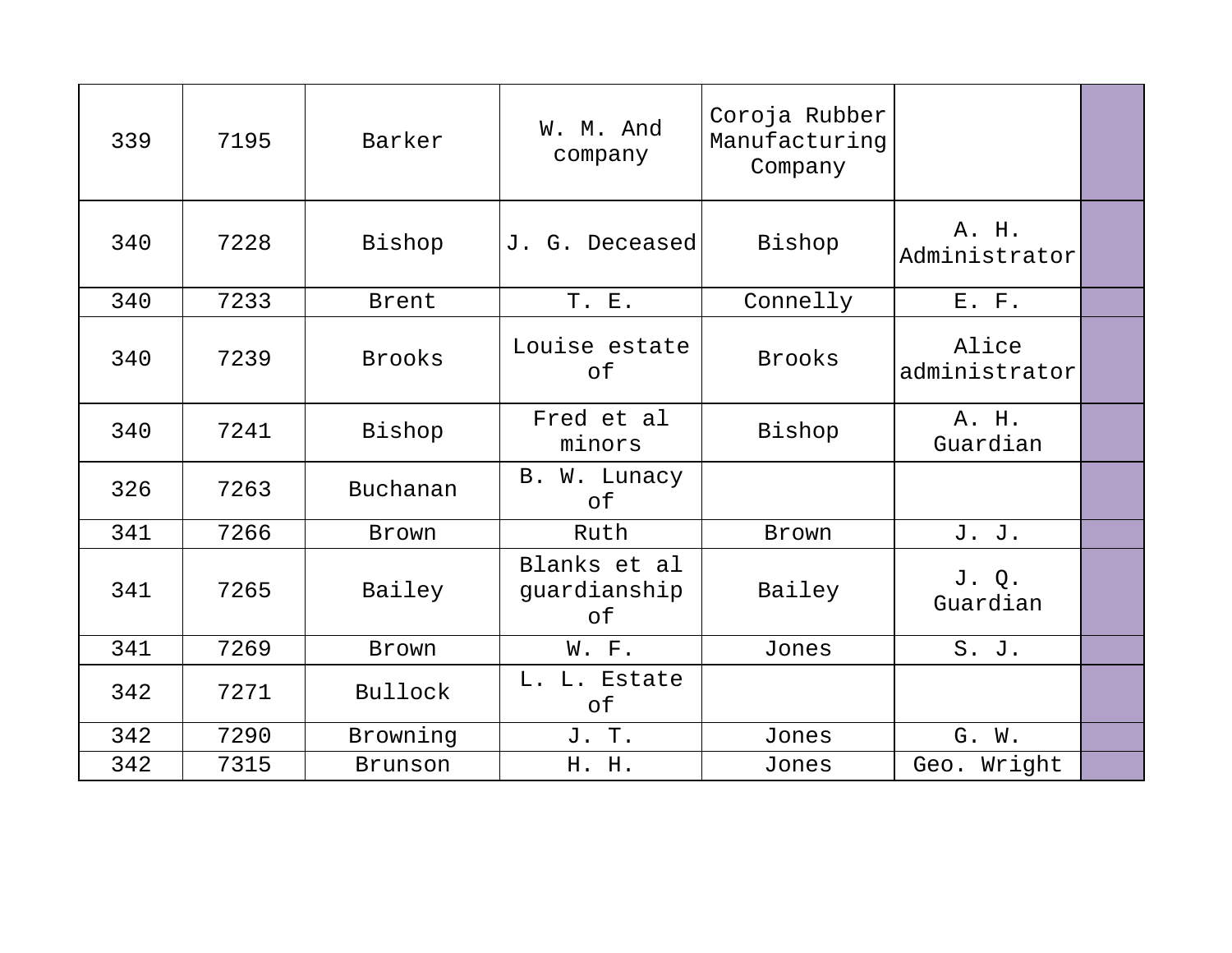| 339 | 7195 | Barker        | W. M. And<br>company               | Coroja Rubber<br>Manufacturing<br>Company |                        |  |
|-----|------|---------------|------------------------------------|-------------------------------------------|------------------------|--|
| 340 | 7228 | Bishop        | J. G. Deceased                     | Bishop                                    | A. H.<br>Administrator |  |
| 340 | 7233 | Brent         | T. E.                              | Connelly                                  | E. F.                  |  |
| 340 | 7239 | <b>Brooks</b> | Louise estate<br>оf                | <b>Brooks</b>                             | Alice<br>administrator |  |
| 340 | 7241 | Bishop        | Fred et al<br>minors               | Bishop                                    | A. H.<br>Guardian      |  |
| 326 | 7263 | Buchanan      | B. W. Lunacy<br>of                 |                                           |                        |  |
| 341 | 7266 | Brown         | Ruth                               | Brown                                     | J. J.                  |  |
| 341 | 7265 | Bailey        | Blanks et al<br>guardianship<br>of | Bailey                                    | J. Q.<br>Guardian      |  |
| 341 | 7269 | Brown         | W. F.                              | Jones                                     | S. J.                  |  |
| 342 | 7271 | Bullock       | L. L. Estate<br>of                 |                                           |                        |  |
| 342 | 7290 | Browning      | J. T.                              | Jones                                     | G. W.                  |  |
| 342 | 7315 | Brunson       | H. H.                              | Jones                                     | Geo. Wright            |  |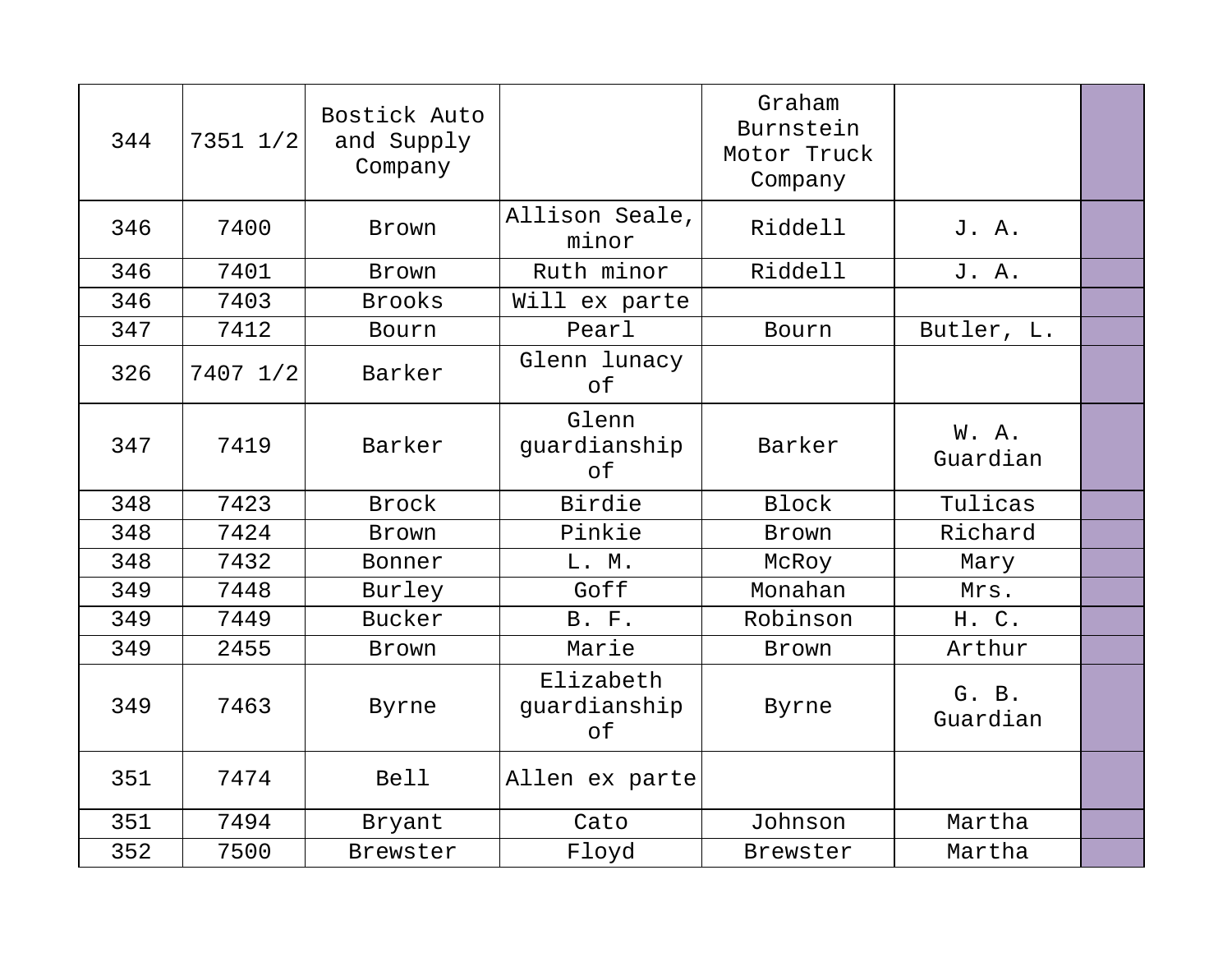| 344 | 7351 1/2 | Bostick Auto<br>and Supply<br>Company |                                 | Graham<br>Burnstein<br>Motor Truck<br>Company |                   |  |
|-----|----------|---------------------------------------|---------------------------------|-----------------------------------------------|-------------------|--|
| 346 | 7400     | Brown                                 | Allison Seale,<br>minor         | Riddell                                       | J. A.             |  |
| 346 | 7401     | Brown                                 | Ruth minor                      | Riddell                                       | J. A.             |  |
| 346 | 7403     | <b>Brooks</b>                         | Will ex parte                   |                                               |                   |  |
| 347 | 7412     | Bourn                                 | Pearl                           | Bourn                                         | Butler, L.        |  |
| 326 | 7407 1/2 | Barker                                | Glenn lunacy<br>of              |                                               |                   |  |
| 347 | 7419     | Barker                                | Glenn<br>guardianship<br>of     | Barker                                        | W.A.<br>Guardian  |  |
| 348 | 7423     | Brock                                 | Birdie                          | <b>Block</b>                                  | Tulicas           |  |
| 348 | 7424     | Brown                                 | Pinkie                          | Brown                                         | Richard           |  |
| 348 | 7432     | Bonner                                | L. M.                           | McRoy                                         | Mary              |  |
| 349 | 7448     | Burley                                | Goff                            | Monahan                                       | Mrs.              |  |
| 349 | 7449     | Bucker                                | B. F.                           | Robinson                                      | H. C.             |  |
| 349 | 2455     | Brown                                 | Marie                           | Brown                                         | Arthur            |  |
| 349 | 7463     | Byrne                                 | Elizabeth<br>guardianship<br>of | Byrne                                         | G. B.<br>Guardian |  |
| 351 | 7474     | <b>Bell</b>                           | Allen ex parte                  |                                               |                   |  |
| 351 | 7494     | Bryant                                | Cato                            | Johnson                                       | Martha            |  |
| 352 | 7500     | Brewster                              | Floyd                           | Brewster                                      | Martha            |  |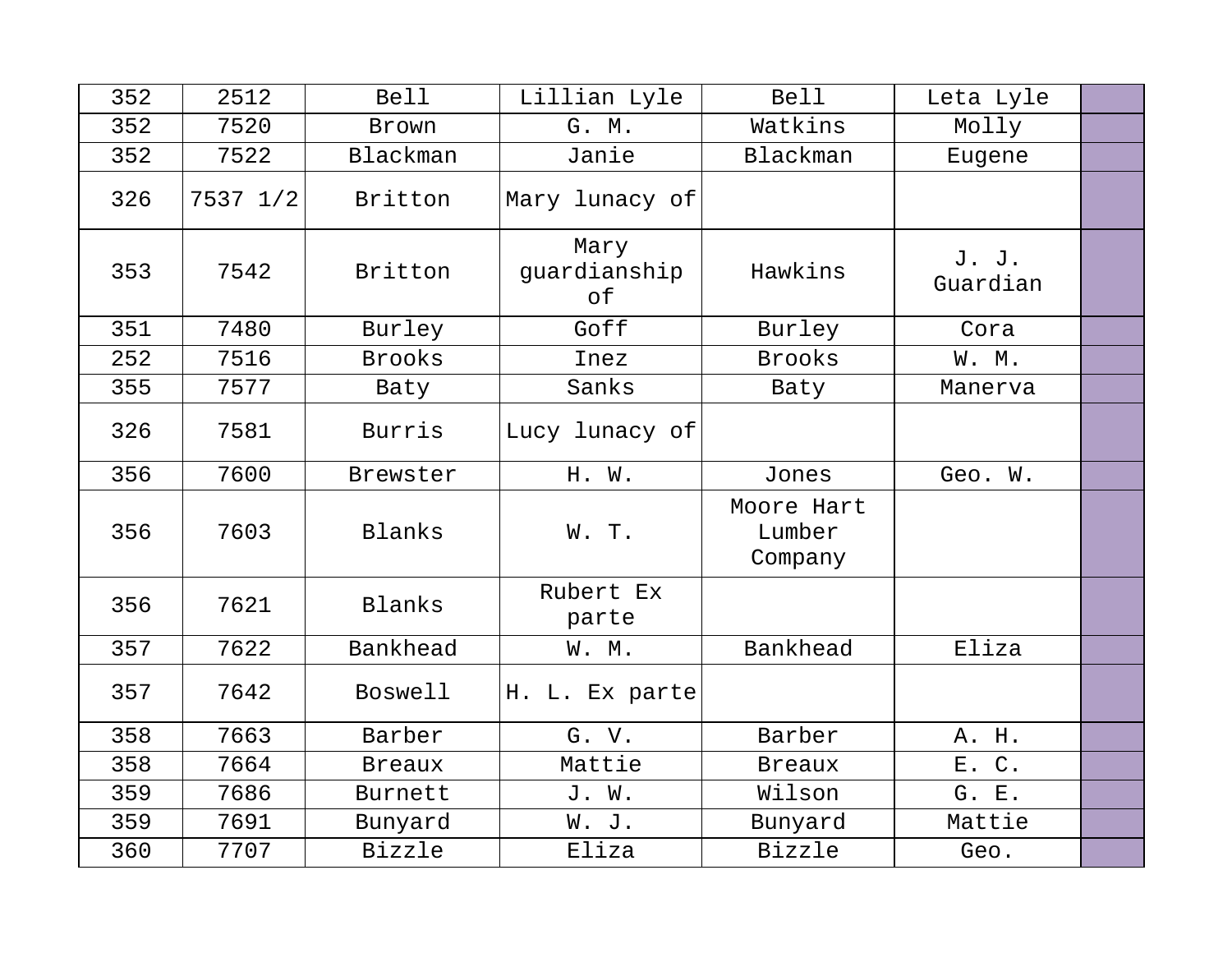| 352 | 2512     | <b>Bell</b>    | Lillian Lyle               | <b>Bell</b>                     | Leta Lyle         |  |
|-----|----------|----------------|----------------------------|---------------------------------|-------------------|--|
| 352 | 7520     | Brown          | G. M.                      | Watkins                         | Molly             |  |
| 352 | 7522     | Blackman       | Janie                      | Blackman                        | Eugene            |  |
| 326 | 7537 1/2 | Britton        | Mary lunacy of             |                                 |                   |  |
| 353 | 7542     | Britton        | Mary<br>quardianship<br>of | Hawkins                         | J. J.<br>Guardian |  |
| 351 | 7480     | Burley         | Goff                       | Burley                          | Cora              |  |
| 252 | 7516     | <b>Brooks</b>  | Inez                       | <b>Brooks</b>                   | W. M.             |  |
| 355 | 7577     | Baty           | Sanks                      | Baty                            | Manerva           |  |
| 326 | 7581     | <b>Burris</b>  | Lucy lunacy of             |                                 |                   |  |
| 356 | 7600     | Brewster       | H. W.                      | Jones                           | Geo. W.           |  |
| 356 | 7603     | Blanks         | W. T.                      | Moore Hart<br>Lumber<br>Company |                   |  |
| 356 | 7621     | Blanks         | Rubert Ex<br>parte         |                                 |                   |  |
| 357 | 7622     | Bankhead       | W. M.                      | Bankhead                        | Eliza             |  |
| 357 | 7642     | <b>Boswell</b> | H. L. Ex parte             |                                 |                   |  |
| 358 | 7663     | Barber         | G. V.                      | Barber                          | A. H.             |  |
| 358 | 7664     | <b>Breaux</b>  | Mattie                     | <b>Breaux</b>                   | E. C.             |  |
| 359 | 7686     | <b>Burnett</b> | J. W.                      | Wilson                          | G. E.             |  |
| 359 | 7691     | Bunyard        | W. J.                      | Bunyard                         | Mattie            |  |
| 360 | 7707     | <b>Bizzle</b>  | Eliza                      | <b>Bizzle</b>                   | Geo.              |  |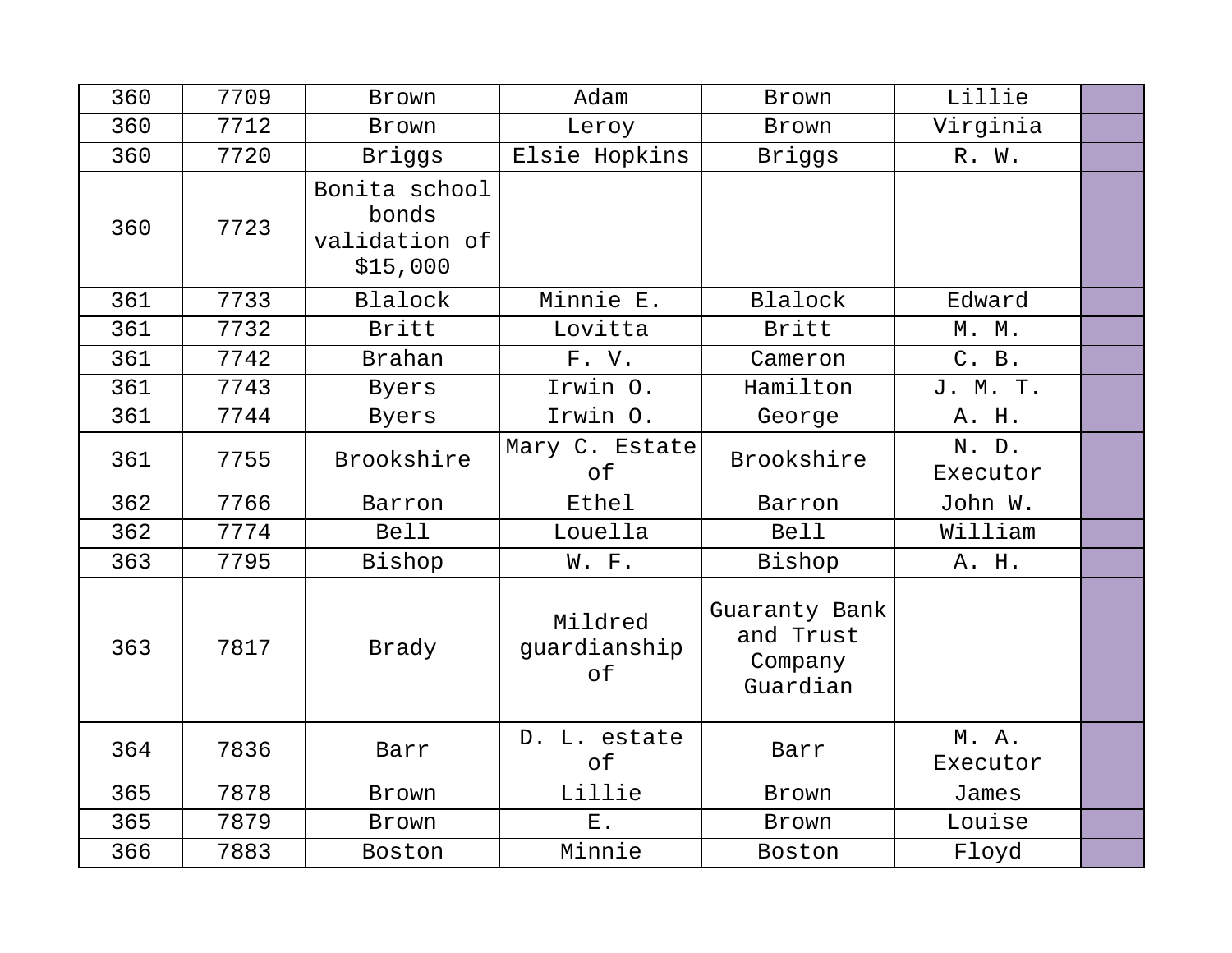| 360 | 7709 | Brown                                               | Adam                          | Brown                                             | Lillie            |  |
|-----|------|-----------------------------------------------------|-------------------------------|---------------------------------------------------|-------------------|--|
| 360 | 7712 | Brown                                               | Leroy                         | Brown                                             | Virginia          |  |
| 360 | 7720 | Briggs                                              | Elsie Hopkins                 | Briggs                                            | R. W.             |  |
| 360 | 7723 | Bonita school<br>bonds<br>validation of<br>\$15,000 |                               |                                                   |                   |  |
| 361 | 7733 | Blalock                                             | Minnie E.                     | Blalock                                           | Edward            |  |
| 361 | 7732 | Britt                                               | Lovitta                       | Britt                                             | M. M.             |  |
| 361 | 7742 | <b>Brahan</b>                                       | F.V.                          | Cameron                                           | C. B.             |  |
| 361 | 7743 | Byers                                               | Irwin O.                      | Hamilton                                          | J. M. T.          |  |
| 361 | 7744 | Byers                                               | Irwin O.                      | George                                            | A. H.             |  |
| 361 | 7755 | Brookshire                                          | Mary C. Estate<br>of          | Brookshire                                        | N. D.<br>Executor |  |
| 362 | 7766 | Barron                                              | Ethel                         | Barron                                            | John W.           |  |
| 362 | 7774 | Bell                                                | Louella                       | <b>Bell</b>                                       | William           |  |
| 363 | 7795 | Bishop                                              | W. F.                         | Bishop                                            | A. H.             |  |
| 363 | 7817 | Brady                                               | Mildred<br>guardianship<br>оf | Guaranty Bank<br>and Trust<br>Company<br>Guardian |                   |  |
| 364 | 7836 | Barr                                                | D. L. estate<br>of            | Barr                                              | M.A.<br>Executor  |  |
| 365 | 7878 | Brown                                               | Lillie                        | Brown                                             | James             |  |
| 365 | 7879 | Brown                                               | $\boldsymbol{E}$ .            | Brown                                             | Louise            |  |
| 366 | 7883 | Boston                                              | Minnie                        | Boston                                            | Floyd             |  |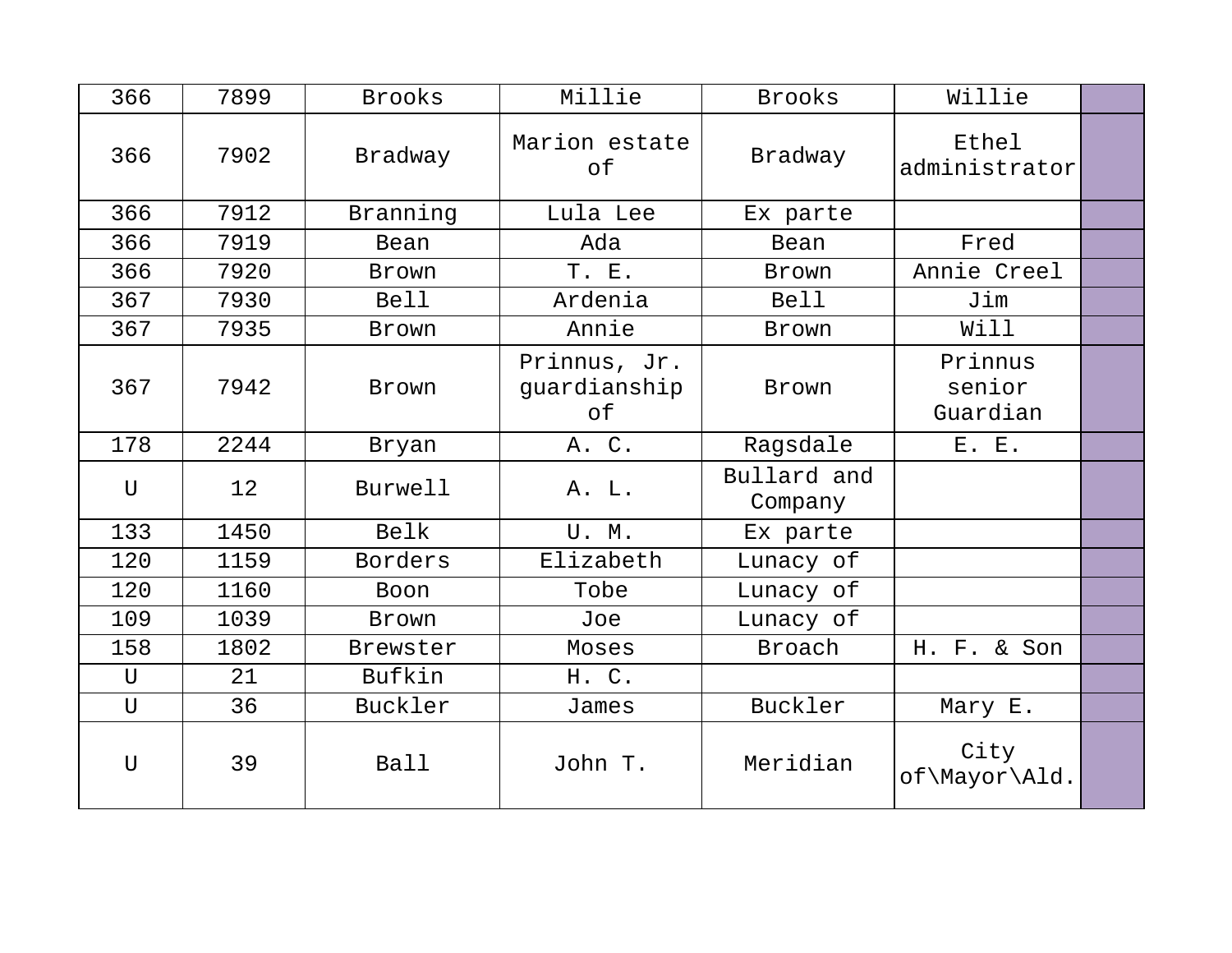| 366          | 7899 | <b>Brooks</b> | Millie                             | <b>Brooks</b>          | Willie                        |  |
|--------------|------|---------------|------------------------------------|------------------------|-------------------------------|--|
| 366          | 7902 | Bradway       | Marion estate<br>оf                | Bradway                | Ethel<br>administrator        |  |
| 366          | 7912 | Branning      | Lula Lee                           | Ex parte               |                               |  |
| 366          | 7919 | Bean          | Ada                                | Bean                   | Fred                          |  |
| 366          | 7920 | Brown         | T. E.                              | Brown                  | Annie Creel                   |  |
| 367          | 7930 | <b>Bell</b>   | Ardenia                            | <b>Bell</b>            | Jim                           |  |
| 367          | 7935 | Brown         | Annie                              | Brown                  | Will                          |  |
| 367          | 7942 | Brown         | Prinnus, Jr.<br>guardianship<br>оf | Brown                  | Prinnus<br>senior<br>Guardian |  |
| 178          | 2244 | Bryan         | A. C.                              | Ragsdale               | E. E.                         |  |
| $\mathbf U$  | 12   | Burwell       | A. L.                              | Bullard and<br>Company |                               |  |
| 133          | 1450 | Belk          | U.M.                               | Ex parte               |                               |  |
| 120          | 1159 | Borders       | Elizabeth                          | Lunacy of              |                               |  |
| 120          | 1160 | Boon          | Tobe                               | Lunacy of              |                               |  |
| 109          | 1039 | Brown         | Joe                                | Lunacy of              |                               |  |
| 158          | 1802 | Brewster      | Moses                              | Broach                 | H. F. & Son                   |  |
| U            | 21   | Bufkin        | H. C.                              |                        |                               |  |
| U            | 36   | Buckler       | James                              | Buckler                | Mary E.                       |  |
| $\mathbf{U}$ | 39   | Ball          | John T.                            | Meridian               | City<br>of\Mayor\Ald.         |  |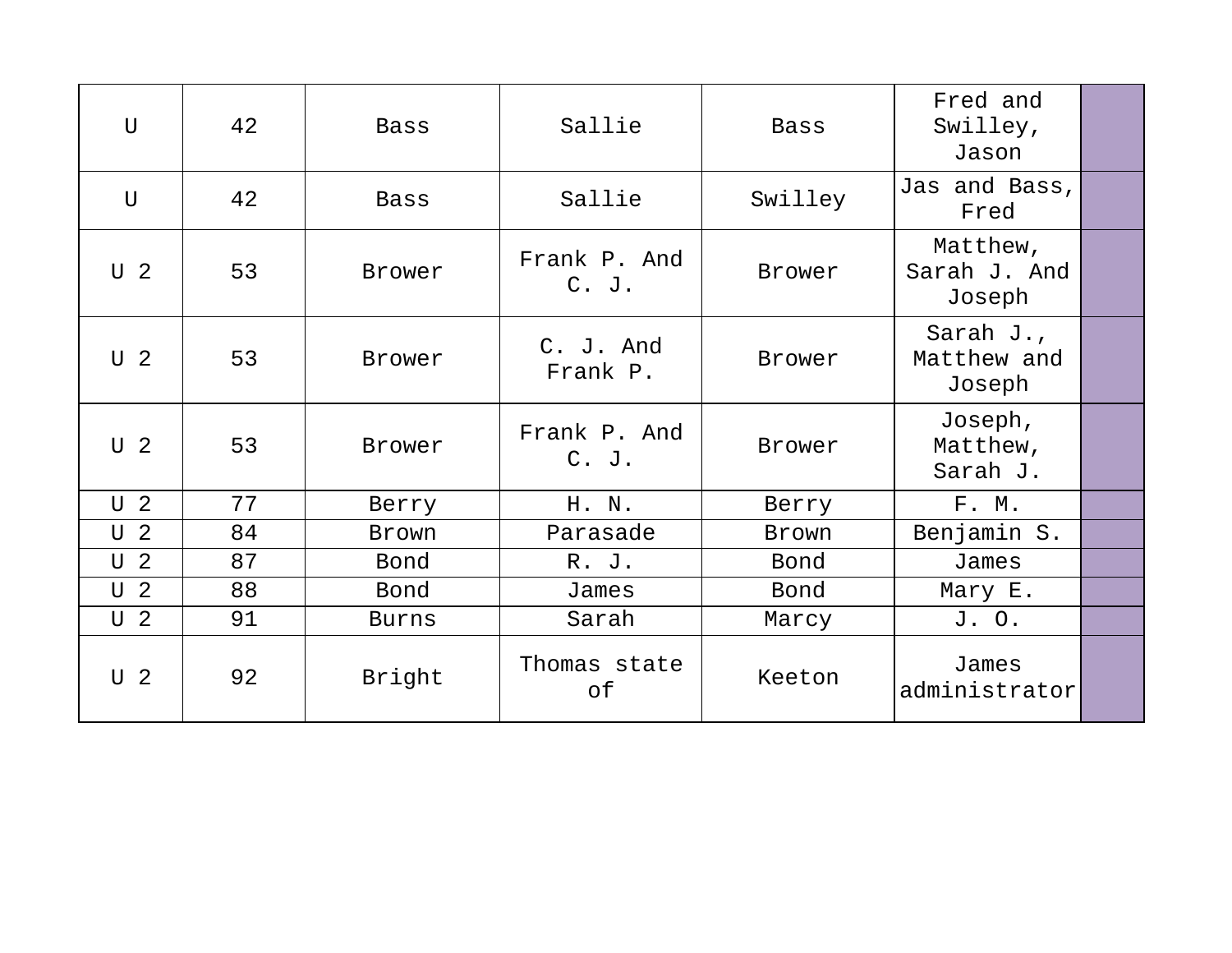| $\overline{U}$ | 42 | <b>Bass</b>  | Sallie                  | <b>Bass</b>  | Fred and<br>Swilley,<br>Jason         |  |
|----------------|----|--------------|-------------------------|--------------|---------------------------------------|--|
| $\mathbf{U}$   | 42 | <b>Bass</b>  | Sallie                  | Swilley      | Jas and Bass,<br>Fred                 |  |
| U <sub>2</sub> | 53 | Brower       | Frank P. And<br>$C.$ J. | Brower       | Matthew,<br>Sarah J. And<br>Joseph    |  |
| U <sub>2</sub> | 53 | Brower       | C. J. And<br>Frank P.   | Brower       | Sarah $J.$ ,<br>Matthew and<br>Joseph |  |
| U <sub>2</sub> | 53 | Brower       | Frank P. And<br>$C.$ J. | Brower       | Joseph,<br>Matthew,<br>Sarah J.       |  |
| U <sub>2</sub> | 77 | Berry        | H. N.                   | Berry        | F. M.                                 |  |
| U <sub>2</sub> | 84 | Brown        | Parasade                | <b>Brown</b> | Benjamin S.                           |  |
| U <sub>2</sub> | 87 | Bond         | R. J.                   | Bond         | James                                 |  |
| U <sub>2</sub> | 88 | Bond         | James                   | Bond         | Mary E.                               |  |
| U <sub>2</sub> | 91 | <b>Burns</b> | Sarah                   | Marcy        | J. O.                                 |  |
| U <sub>2</sub> | 92 | Bright       | Thomas state<br>оf      | Keeton       | James<br>administrator                |  |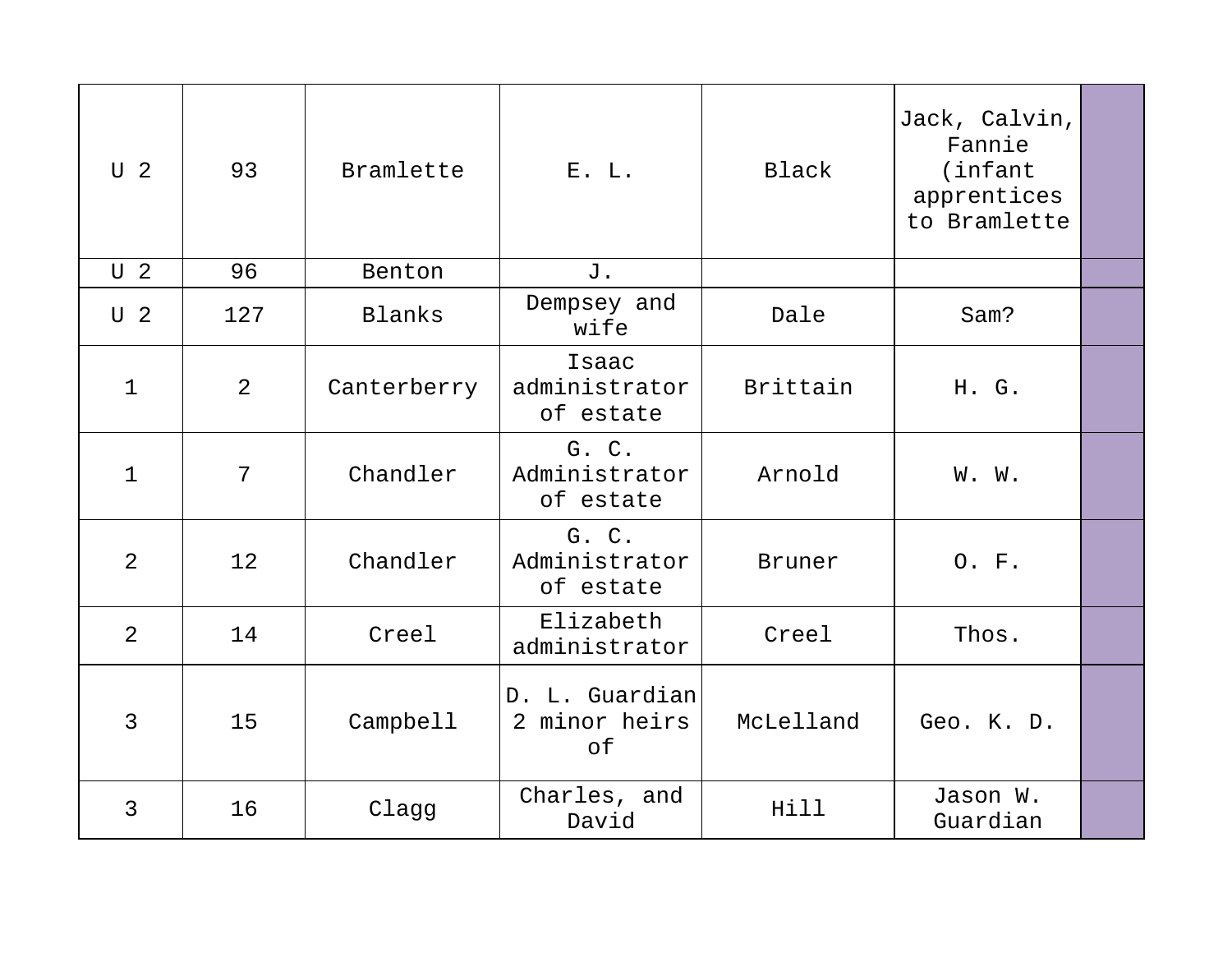| U <sub>2</sub> | 93             | Bramlette   | E. L.                                 | Black         | Jack, Calvin,<br>Fannie<br>(infant<br>apprentices<br>to Bramlette |  |
|----------------|----------------|-------------|---------------------------------------|---------------|-------------------------------------------------------------------|--|
| U <sub>2</sub> | 96             | Benton      | J.                                    |               |                                                                   |  |
| U <sub>2</sub> | 127            | Blanks      | Dempsey and<br>wife                   | Dale          | Sam?                                                              |  |
| $\mathbf{1}$   | $\overline{2}$ | Canterberry | Isaac<br>administrator<br>of estate   | Brittain      | H. G.                                                             |  |
| $\mathbf{1}$   | 7              | Chandler    | G. C.<br>Administrator<br>of estate   | Arnold        | W. W.                                                             |  |
| 2              | 12             | Chandler    | G. C.<br>Administrator<br>of estate   | <b>Bruner</b> | O. F.                                                             |  |
| 2              | 14             | Creel       | Elizabeth<br>administrator            | Creel         | Thos.                                                             |  |
| 3              | 15             | Campbell    | D. L. Guardian<br>2 minor heirs<br>of | McLelland     | Geo. K. D.                                                        |  |
| 3              | 16             | Clagg       | Charles, and<br>David                 | Hill          | Jason W.<br>Guardian                                              |  |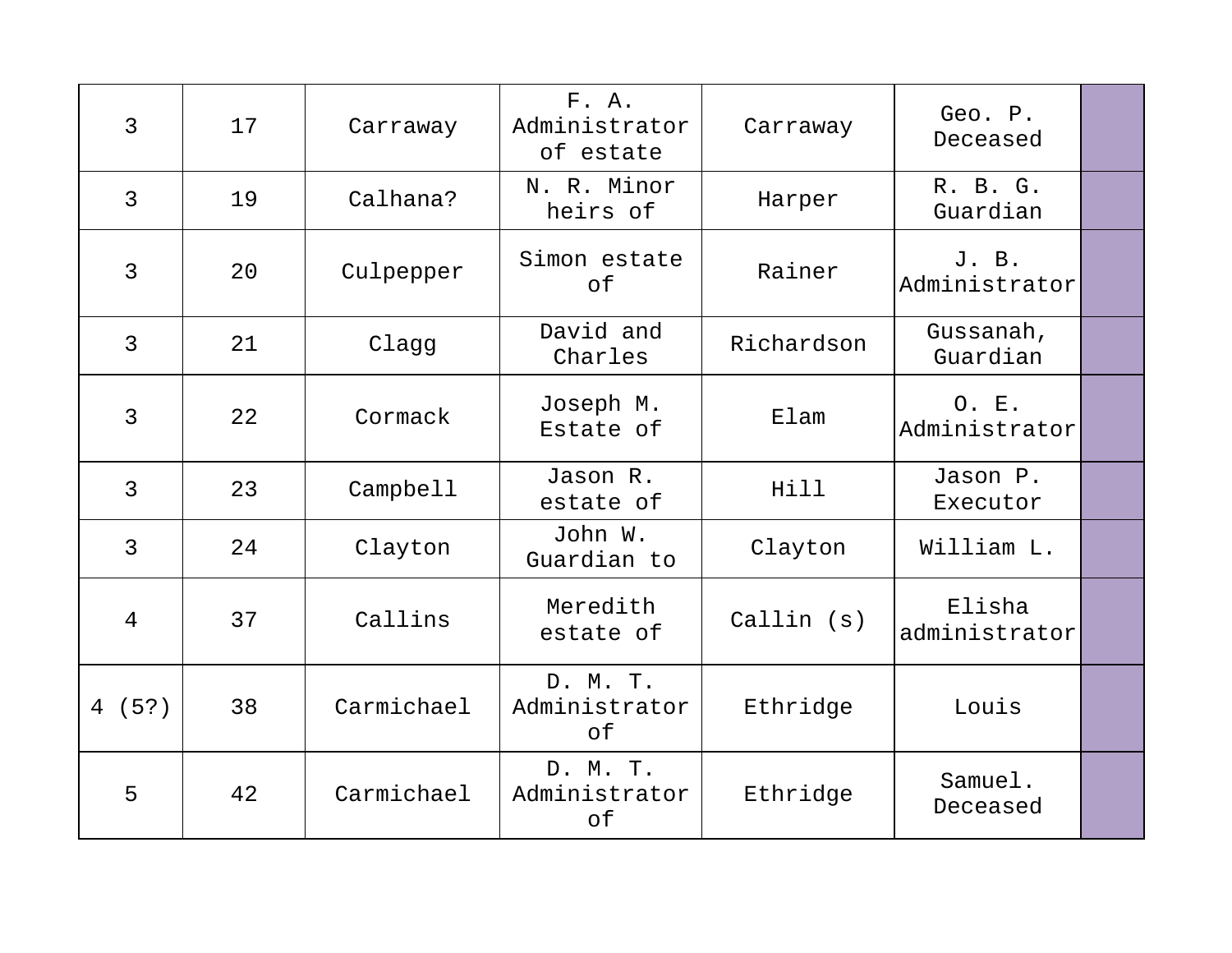| 3              | 17 | Carraway   | F. A.<br>Administrator<br>of estate | Carraway   | Geo. P.<br>Deceased     |  |
|----------------|----|------------|-------------------------------------|------------|-------------------------|--|
| $\overline{3}$ | 19 | Calhana?   | N. R. Minor<br>heirs of             | Harper     | R. B. G.<br>Guardian    |  |
| 3              | 20 | Culpepper  | Simon estate<br>of                  | Rainer     | J. B.<br>Administrator  |  |
| $\mathsf{3}$   | 21 | Clagg      | David and<br>Charles                | Richardson | Gussanah,<br>Guardian   |  |
| 3              | 22 | Cormack    | Joseph M.<br>Estate of              | Elam       | O. E.<br>Administrator  |  |
| 3              | 23 | Campbell   | Jason R.<br>estate of               | Hill       | Jason P.<br>Executor    |  |
| $\overline{3}$ | 24 | Clayton    | John W.<br>Guardian to              | Clayton    | William L.              |  |
| $\overline{4}$ | 37 | Callins    | Meredith<br>estate of               | Callin(s)  | Elisha<br>administrator |  |
| 4(5?)          | 38 | Carmichael | D. M. T.<br>Administrator<br>of     | Ethridge   | Louis                   |  |
| 5              | 42 | Carmichael | D. M. T.<br>Administrator<br>of     | Ethridge   | Samuel.<br>Deceased     |  |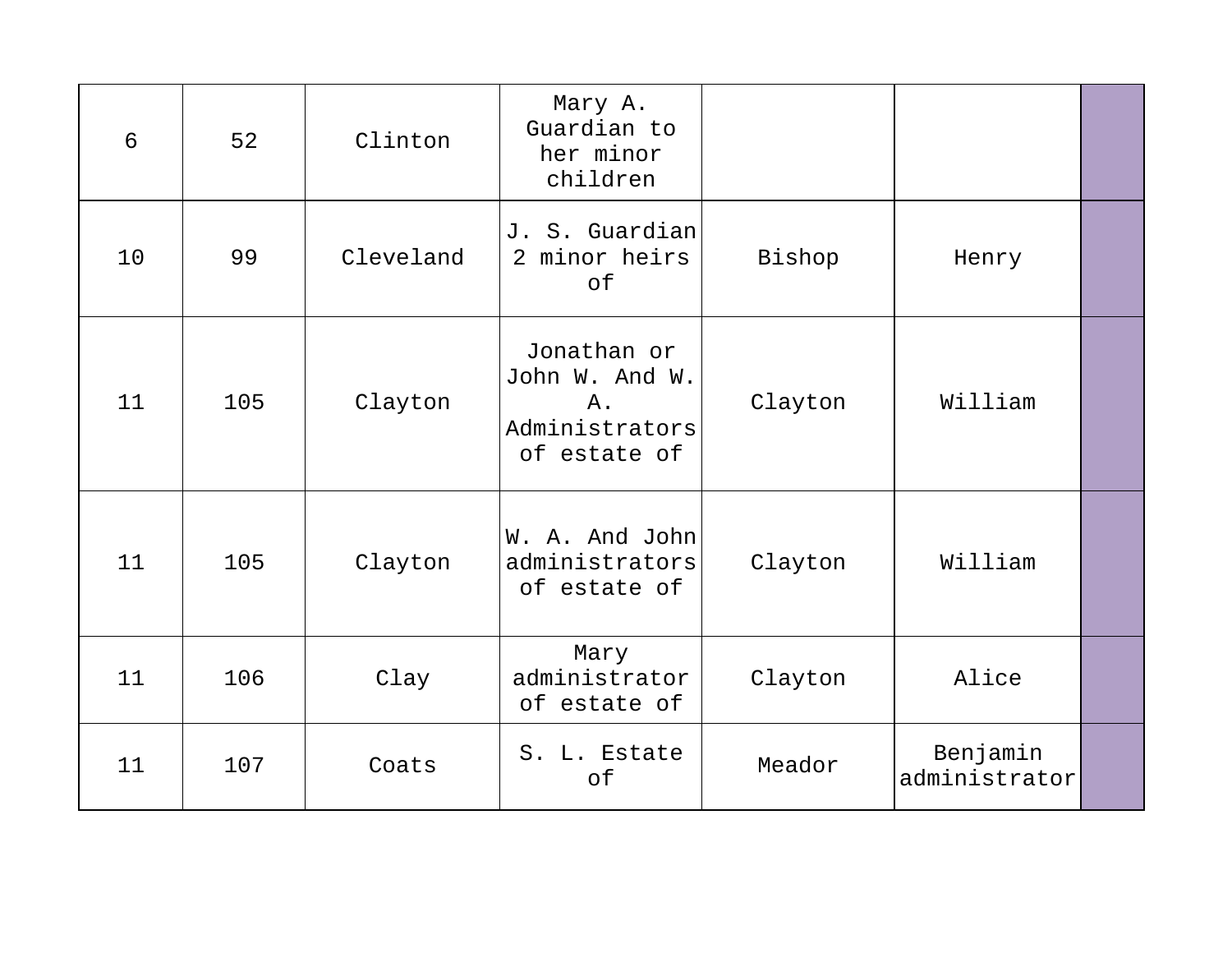| 6  | 52  | Clinton   | Mary A.<br>Guardian to<br>her minor<br>children                       |         |                           |  |
|----|-----|-----------|-----------------------------------------------------------------------|---------|---------------------------|--|
| 10 | 99  | Cleveland | J. S. Guardian<br>2 minor heirs<br>of                                 | Bishop  | Henry                     |  |
| 11 | 105 | Clayton   | Jonathan or<br>John W. And W.<br>Α.<br>Administrators<br>of estate of | Clayton | William                   |  |
| 11 | 105 | Clayton   | W. A. And John<br>administrators<br>of estate of                      | Clayton | William                   |  |
| 11 | 106 | Clay      | Mary<br>administrator<br>of estate of                                 | Clayton | Alice                     |  |
| 11 | 107 | Coats     | S. L. Estate<br>of                                                    | Meador  | Benjamin<br>administrator |  |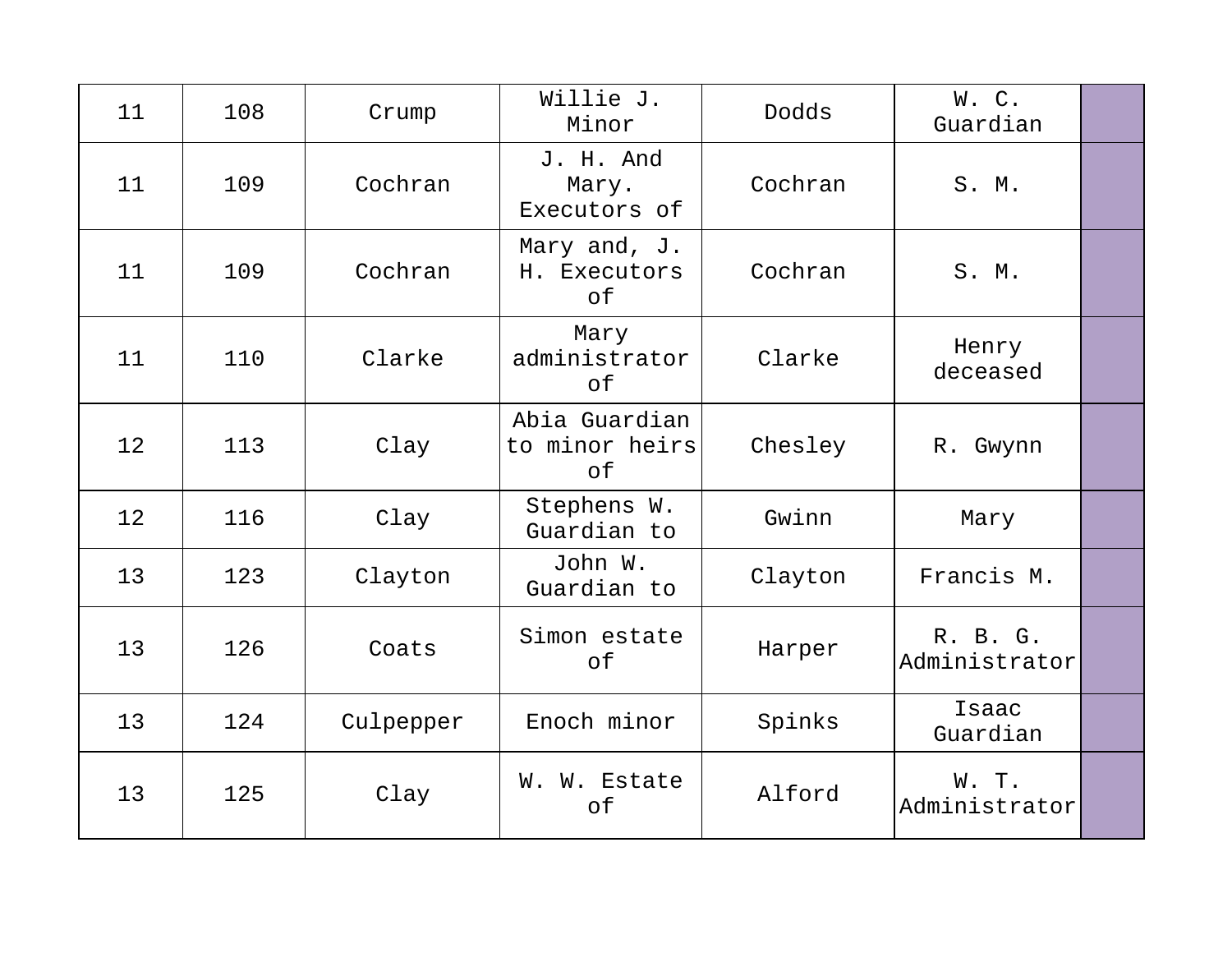| 11 | 108 | Crump     | Willie J.<br>Minor                    | Dodds   | W.C.<br>Guardian          |  |
|----|-----|-----------|---------------------------------------|---------|---------------------------|--|
| 11 | 109 | Cochran   | J. H. And<br>Mary.<br>Executors of    | Cochran | S. M.                     |  |
| 11 | 109 | Cochran   | Mary and, J.<br>H. Executors<br>of    | Cochran | S. M.                     |  |
| 11 | 110 | Clarke    | Mary<br>administrator<br>of           | Clarke  | Henry<br>deceased         |  |
| 12 | 113 | Clay      | Abia Guardian<br>to minor heirs<br>of | Chesley | R. Gwynn                  |  |
| 12 | 116 | Clay      | Stephens W.<br>Guardian to            | Gwinn   | Mary                      |  |
| 13 | 123 | Clayton   | John W.<br>Guardian to                | Clayton | Francis M.                |  |
| 13 | 126 | Coats     | Simon estate<br>of                    | Harper  | R. B. G.<br>Administrator |  |
| 13 | 124 | Culpepper | Enoch minor                           | Spinks  | Isaac<br>Guardian         |  |
| 13 | 125 | Clay      | W. W. Estate<br>of                    | Alford  | W. T.<br>Administrator    |  |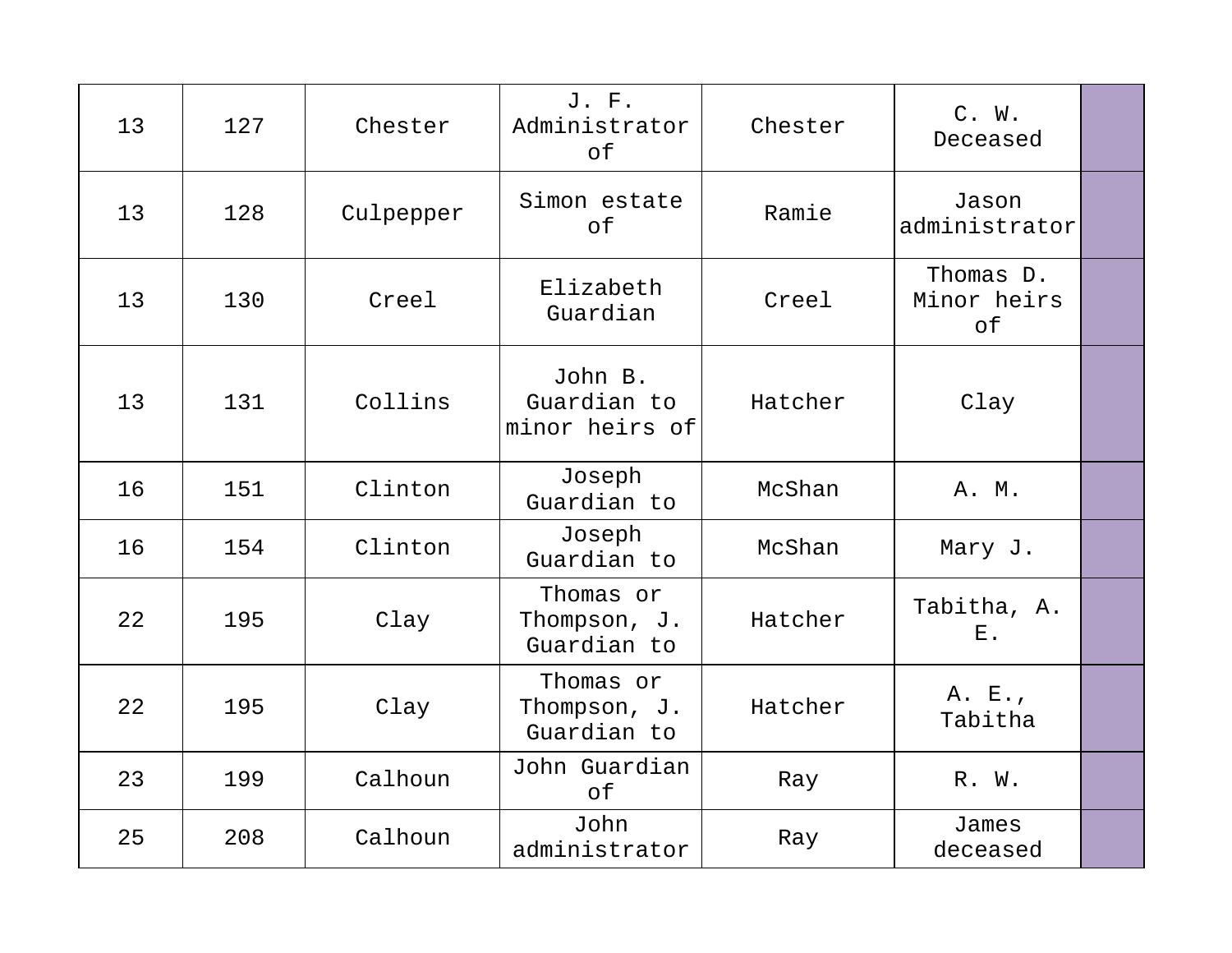| 13 | 127 | Chester   | J. F.<br>Administrator<br>оf             | Chester | C. W.<br>Deceased              |  |
|----|-----|-----------|------------------------------------------|---------|--------------------------------|--|
| 13 | 128 | Culpepper | Simon estate<br>of                       | Ramie   | Jason<br>administrator         |  |
| 13 | 130 | Creel     | Elizabeth<br>Guardian                    | Creel   | Thomas D.<br>Minor heirs<br>of |  |
| 13 | 131 | Collins   | John B.<br>Guardian to<br>minor heirs of | Hatcher | Clay                           |  |
| 16 | 151 | Clinton   | Joseph<br>Guardian to                    | McShan  | A. M.                          |  |
| 16 | 154 | Clinton   | Joseph<br>Guardian to                    | McShan  | Mary J.                        |  |
| 22 | 195 | Clay      | Thomas or<br>Thompson, J.<br>Guardian to | Hatcher | Tabitha, A.<br>$E$ .           |  |
| 22 | 195 | Clay      | Thomas or<br>Thompson, J.<br>Guardian to | Hatcher | A. E.,<br>Tabitha              |  |
| 23 | 199 | Calhoun   | John Guardian<br>of                      | Ray     | R. W.                          |  |
| 25 | 208 | Calhoun   | John<br>administrator                    | Ray     | James<br>deceased              |  |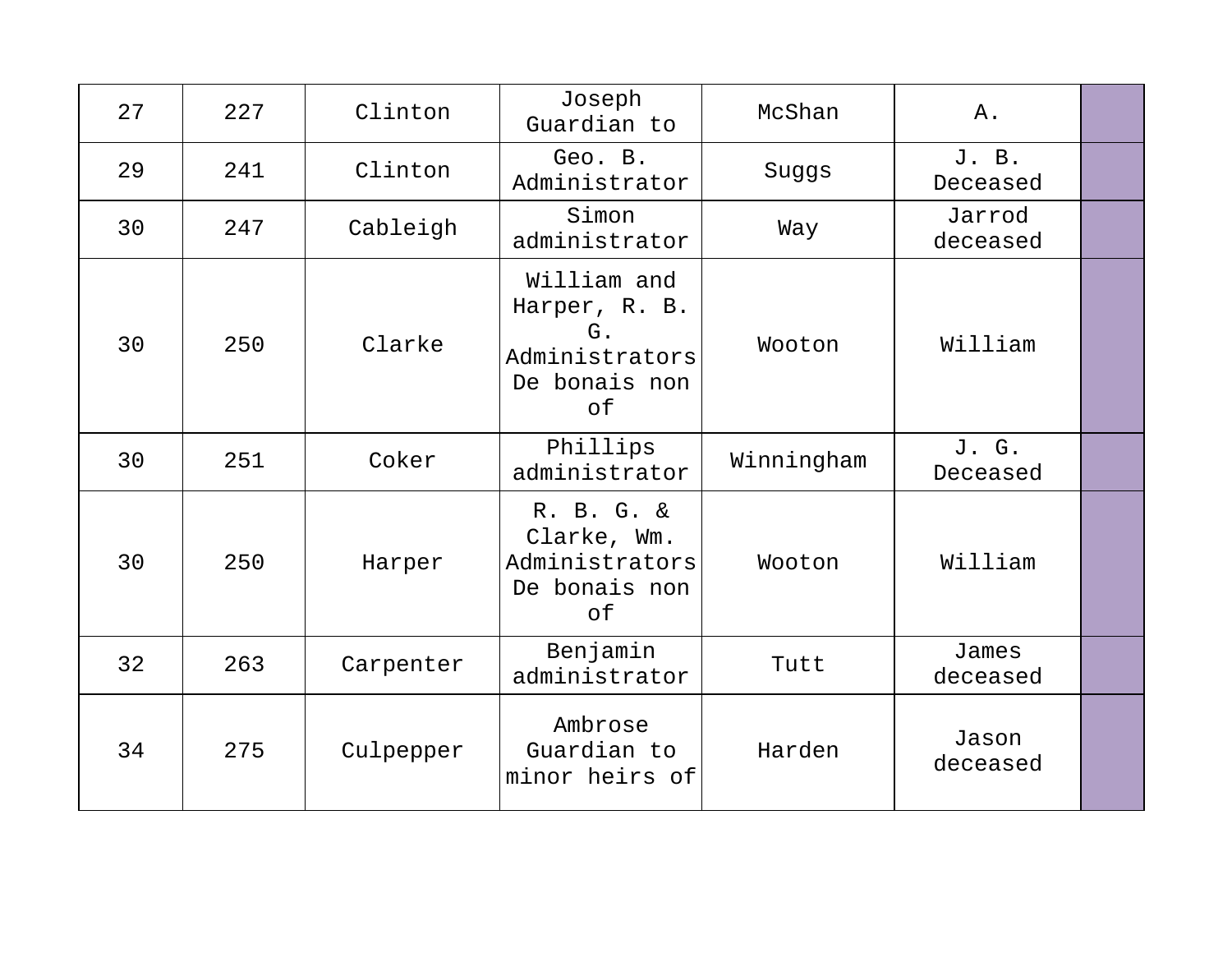| 27 | 227 | Clinton   | Joseph<br>Guardian to                                                       | McShan     | Α.                 |  |
|----|-----|-----------|-----------------------------------------------------------------------------|------------|--------------------|--|
| 29 | 241 | Clinton   | Geo. B.<br>Administrator                                                    | Suggs      | J. B.<br>Deceased  |  |
| 30 | 247 | Cableigh  | Simon<br>administrator                                                      | Way        | Jarrod<br>deceased |  |
| 30 | 250 | Clarke    | William and<br>Harper, R. B.<br>G.<br>Administrators<br>De bonais non<br>of | Wooton     | William            |  |
| 30 | 251 | Coker     | Phillips<br>administrator                                                   | Winningham | J. G.<br>Deceased  |  |
| 30 | 250 | Harper    | R. B. G. &<br>Clarke, Wm.<br>Administrators<br>De bonais non<br>оf          | Wooton     | William            |  |
| 32 | 263 | Carpenter | Benjamin<br>administrator                                                   | Tutt       | James<br>deceased  |  |
| 34 | 275 | Culpepper | Ambrose<br>Guardian to<br>minor heirs of                                    | Harden     | Jason<br>deceased  |  |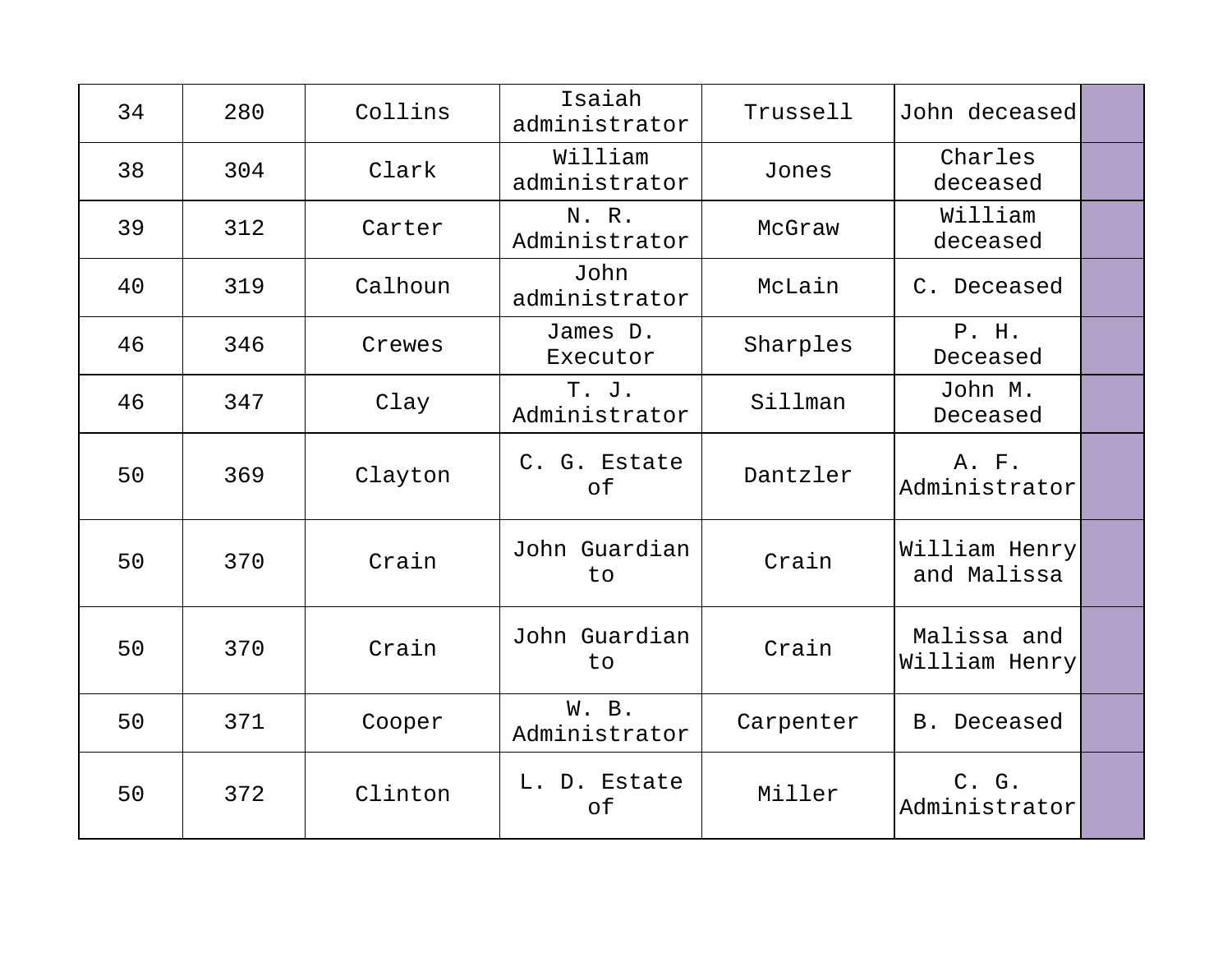| 34 | 280 | Collins | Isaiah<br>administrator  | Trussell  | John deceased                |  |
|----|-----|---------|--------------------------|-----------|------------------------------|--|
| 38 | 304 | Clark   | William<br>administrator | Jones     | Charles<br>deceased          |  |
| 39 | 312 | Carter  | N. R.<br>Administrator   | McGraw    | William<br>deceased          |  |
| 40 | 319 | Calhoun | John<br>administrator    | McLain    | C. Deceased                  |  |
| 46 | 346 | Crewes  | James D.<br>Executor     | Sharples  | P. H.<br>Deceased            |  |
| 46 | 347 | Clay    | T. J.<br>Administrator   | Sillman   | John M.<br>Deceased          |  |
| 50 | 369 | Clayton | C. G. Estate<br>of       | Dantzler  | A. F.<br>Administrator       |  |
| 50 | 370 | Crain   | John Guardian<br>to      | Crain     | William Henry<br>and Malissa |  |
| 50 | 370 | Crain   | John Guardian<br>to      | Crain     | Malissa and<br>William Henry |  |
| 50 | 371 | Cooper  | W. B.<br>Administrator   | Carpenter | B. Deceased                  |  |
| 50 | 372 | Clinton | L. D. Estate<br>of       | Miller    | C. G.<br>Administrator       |  |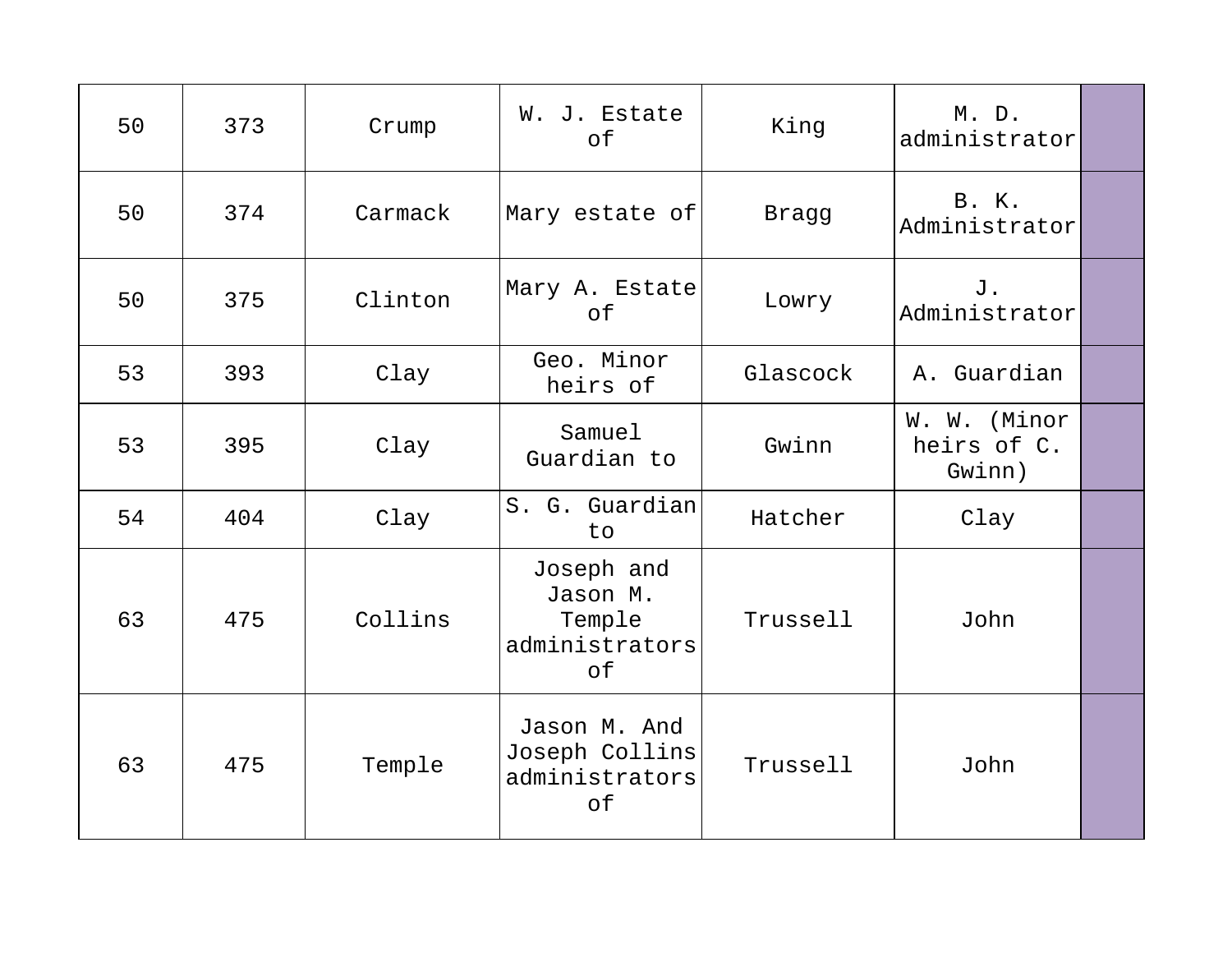| 50 | 373 | Crump   | W. J. Estate<br>of                                       | King     | $M.$ D.<br>administrator              |  |
|----|-----|---------|----------------------------------------------------------|----------|---------------------------------------|--|
| 50 | 374 | Carmack | Mary estate of                                           | Bragg    | B. K.<br>Administrator                |  |
| 50 | 375 | Clinton | Mary A. Estate<br>of                                     | Lowry    | J.<br>Administrator                   |  |
| 53 | 393 | Clay    | Geo. Minor<br>heirs of                                   | Glascock | A. Guardian                           |  |
| 53 | 395 | Clay    | Samuel<br>Guardian to                                    | Gwinn    | W. W. (Minor<br>heirs of C.<br>Gwinn) |  |
| 54 | 404 | Clay    | S. G. Guardian<br>to                                     | Hatcher  | Clay                                  |  |
| 63 | 475 | Collins | Joseph and<br>Jason M.<br>Temple<br>administrators<br>оf | Trussell | John                                  |  |
| 63 | 475 | Temple  | Jason M. And<br>Joseph Collins<br>administrators<br>оf   | Trussell | John                                  |  |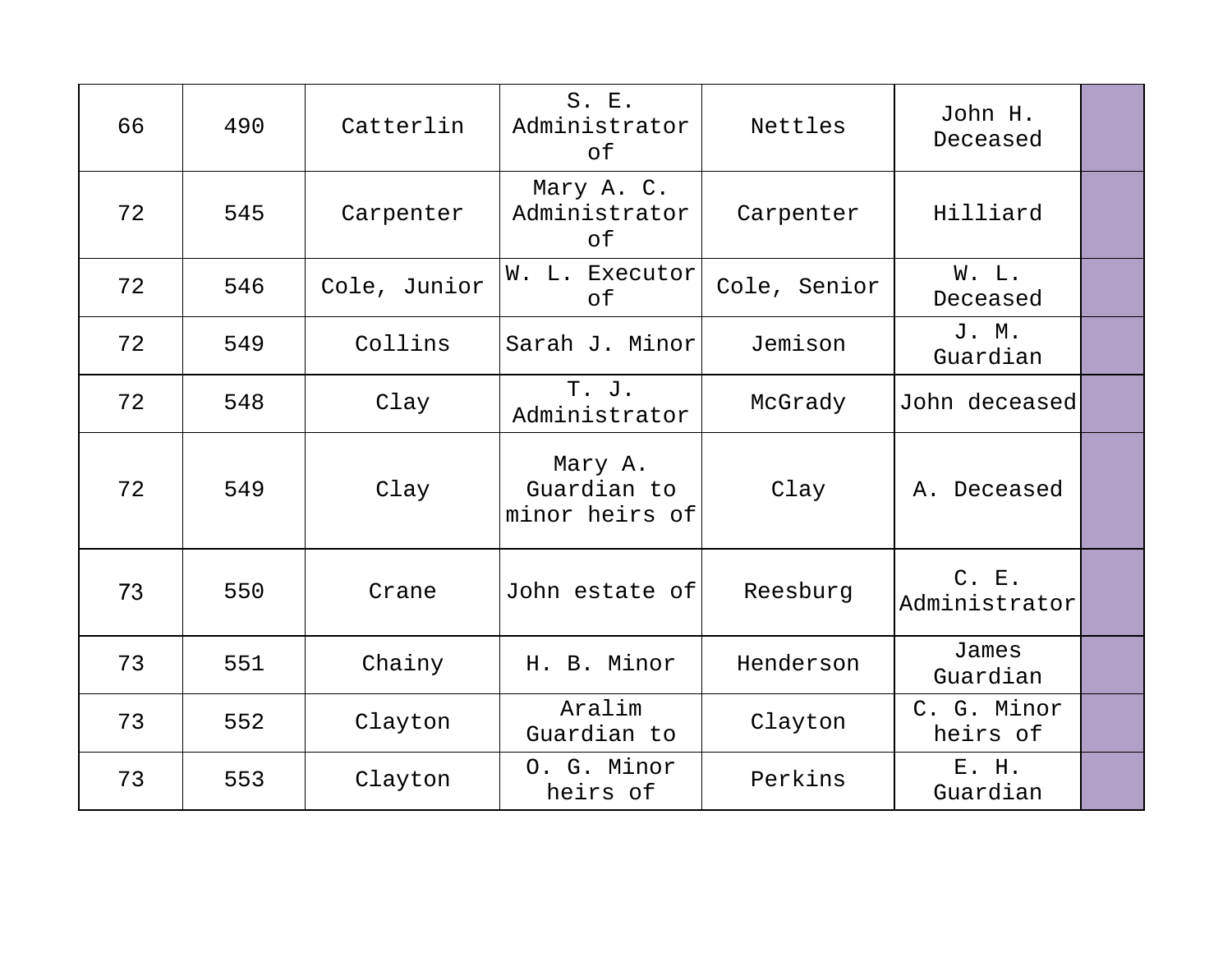| 66 | 490 | Catterlin    | S. E.<br>Administrator<br>of             | Nettles      | John H.<br>Deceased     |  |
|----|-----|--------------|------------------------------------------|--------------|-------------------------|--|
| 72 | 545 | Carpenter    | Mary A. C.<br>Administrator<br>оf        | Carpenter    | Hilliard                |  |
| 72 | 546 | Cole, Junior | W. L. Executor<br>of                     | Cole, Senior | W. L.<br>Deceased       |  |
| 72 | 549 | Collins      | Sarah J. Minor                           | Jemison      | J. M.<br>Guardian       |  |
| 72 | 548 | Clay         | T. J.<br>Administrator                   | McGrady      | John deceased           |  |
| 72 | 549 | Clay         | Mary A.<br>Guardian to<br>minor heirs of | Clay         | A. Deceased             |  |
| 73 | 550 | Crane        | John estate of                           | Reesburg     | C. E.<br>Administrator  |  |
| 73 | 551 | Chainy       | H. B. Minor                              | Henderson    | James<br>Guardian       |  |
| 73 | 552 | Clayton      | Aralim<br>Guardian to                    | Clayton      | C. G. Minor<br>heirs of |  |
| 73 | 553 | Clayton      | O. G. Minor<br>heirs of                  | Perkins      | E. H.<br>Guardian       |  |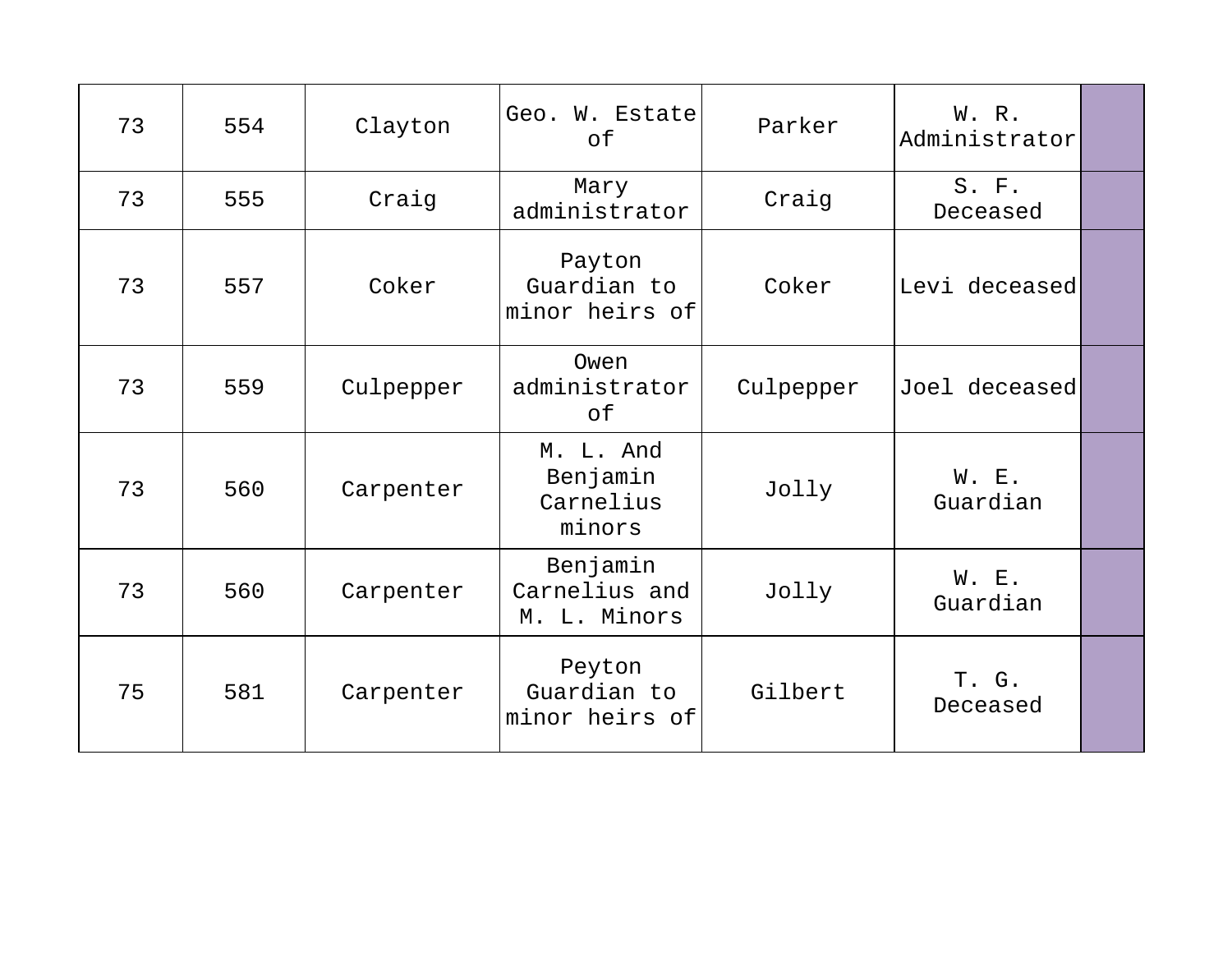| 73 | 554 | Clayton   | Geo. W. Estate<br>of                         | Parker    | W. R.<br>Administrator |  |
|----|-----|-----------|----------------------------------------------|-----------|------------------------|--|
| 73 | 555 | Craig     | Mary<br>administrator                        | Craig     | $S.$ $F.$<br>Deceased  |  |
| 73 | 557 | Coker     | Payton<br>Guardian to<br>minor heirs of      | Coker     | Levi deceased          |  |
| 73 | 559 | Culpepper | Owen<br>administrator<br>оf                  | Culpepper | Joel deceased          |  |
| 73 | 560 | Carpenter | M. L. And<br>Benjamin<br>Carnelius<br>minors | Jolly     | W. E.<br>Guardian      |  |
| 73 | 560 | Carpenter | Benjamin<br>Carnelius and<br>M. L. Minors    | Jolly     | W. E.<br>Guardian      |  |
| 75 | 581 | Carpenter | Peyton<br>Guardian to<br>minor heirs of      | Gilbert   | T. G.<br>Deceased      |  |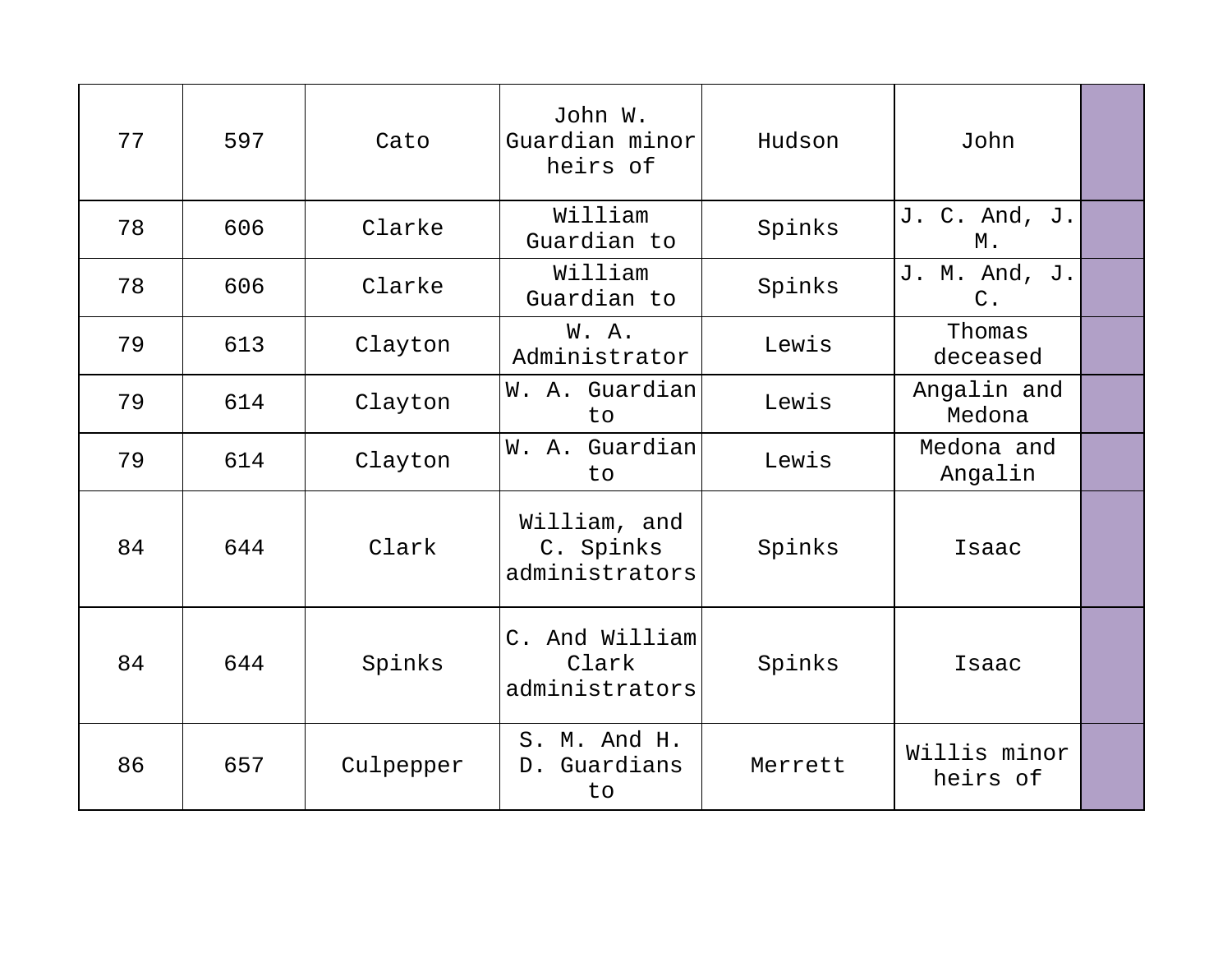| 77 | 597 | Cato      | John W.<br>Guardian minor<br>heirs of       | Hudson  | John                           |  |
|----|-----|-----------|---------------------------------------------|---------|--------------------------------|--|
| 78 | 606 | Clarke    | William<br>Guardian to                      | Spinks  | J. C. And, J.<br>М.            |  |
| 78 | 606 | Clarke    | William<br>Guardian to                      | Spinks  | J. M. And, J.<br>$C_{\bullet}$ |  |
| 79 | 613 | Clayton   | W.A.<br>Administrator                       | Lewis   | Thomas<br>deceased             |  |
| 79 | 614 | Clayton   | W. A. Guardian<br>to                        | Lewis   | Angalin and<br>Medona          |  |
| 79 | 614 | Clayton   | W. A. Guardian<br>to                        | Lewis   | Medona and<br>Angalin          |  |
| 84 | 644 | Clark     | William, and<br>C. Spinks<br>administrators | Spinks  | Isaac                          |  |
| 84 | 644 | Spinks    | C. And William<br>Clark<br>administrators   | Spinks  | Isaac                          |  |
| 86 | 657 | Culpepper | S. M. And H.<br>D. Guardians<br>to          | Merrett | Willis minor<br>heirs of       |  |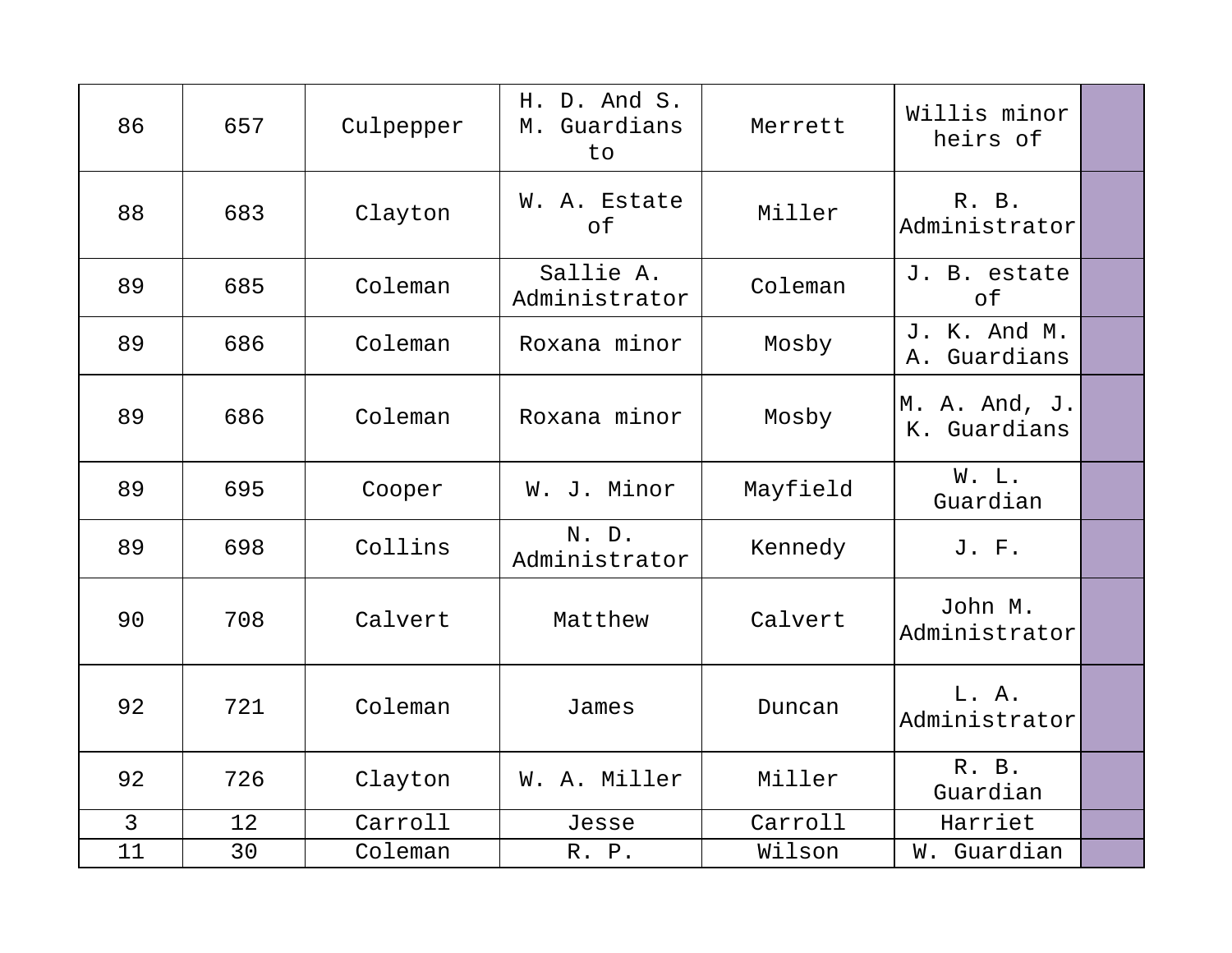| 86             | 657 | Culpepper | H. D. And S.<br>Guardians<br>М.<br>to | Merrett  | Willis minor<br>heirs of        |  |
|----------------|-----|-----------|---------------------------------------|----------|---------------------------------|--|
| 88             | 683 | Clayton   | W. A. Estate<br>of                    | Miller   | R. B.<br>Administrator          |  |
| 89             | 685 | Coleman   | Sallie A.<br>Administrator            | Coleman  | J. B. estate<br>of              |  |
| 89             | 686 | Coleman   | Roxana minor                          | Mosby    | J. K. And M.<br>Guardians<br>Α. |  |
| 89             | 686 | Coleman   | Roxana minor                          | Mosby    | M. A. And, J.<br>K. Guardians   |  |
| 89             | 695 | Cooper    | W. J. Minor                           | Mayfield | W. L.<br>Guardian               |  |
| 89             | 698 | Collins   | N. D.<br>Administrator                | Kennedy  | J. F.                           |  |
| 90             | 708 | Calvert   | Matthew                               | Calvert  | John M.<br>Administrator        |  |
| 92             | 721 | Coleman   | James                                 | Duncan   | L. A.<br>Administrator          |  |
| 92             | 726 | Clayton   | W. A. Miller                          | Miller   | R. B.<br>Guardian               |  |
| $\mathfrak{Z}$ | 12  | Carroll   | Jesse                                 | Carroll  | Harriet                         |  |
| 11             | 30  | Coleman   | R. P.                                 | Wilson   | W. Guardian                     |  |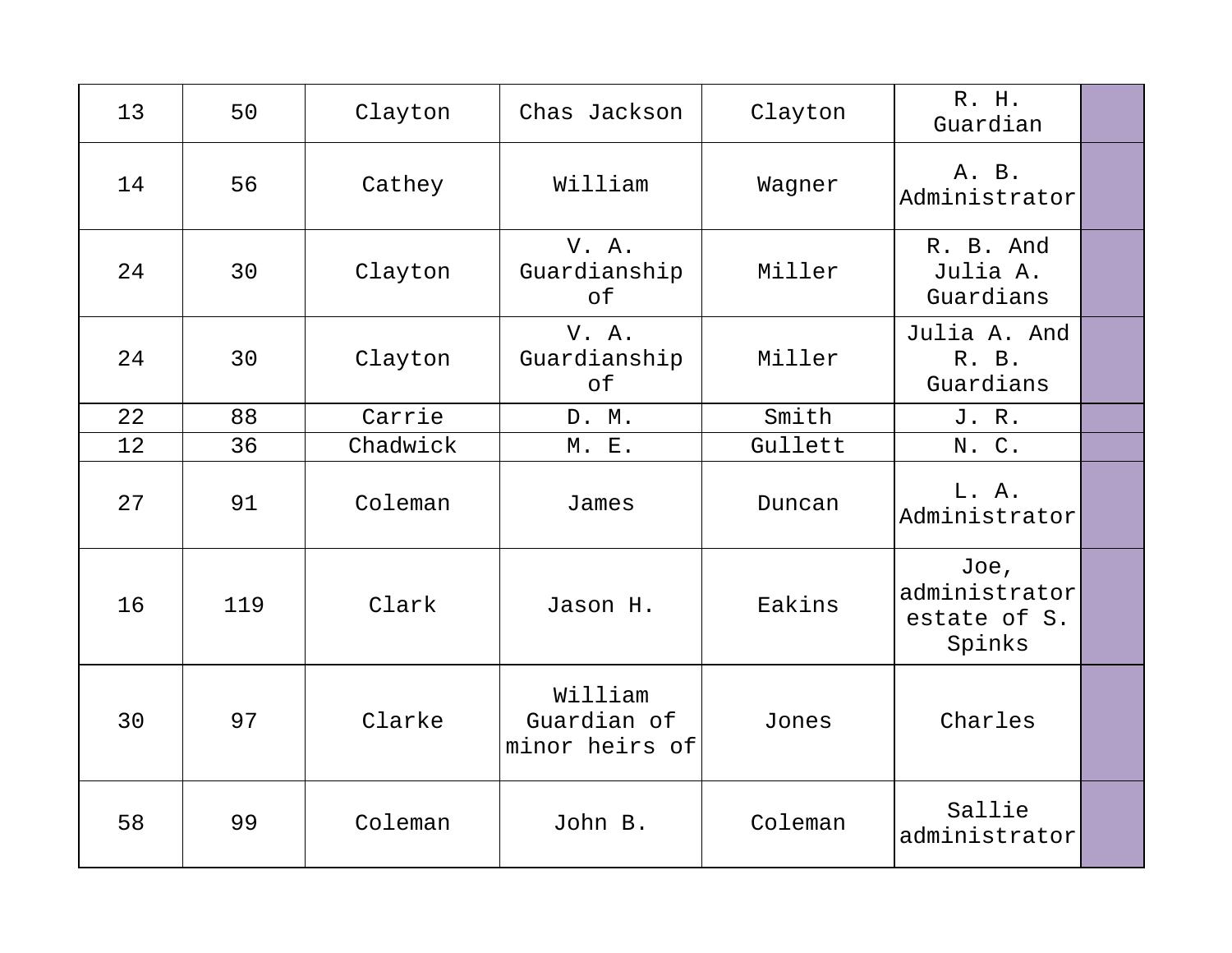| 13 | 50  | Clayton  | Chas Jackson                             | Clayton | R. H.<br>Guardian                               |  |
|----|-----|----------|------------------------------------------|---------|-------------------------------------------------|--|
| 14 | 56  | Cathey   | William                                  | Wagner  | A. B.<br>Administrator                          |  |
| 24 | 30  | Clayton  | V. A.<br>Guardianship<br>of              | Miller  | R. B. And<br>Julia A.<br>Guardians              |  |
| 24 | 30  | Clayton  | V. A.<br>Guardianship<br>of              | Miller  | Julia A. And<br>R. B.<br>Guardians              |  |
| 22 | 88  | Carrie   | D. M.                                    | Smith   | J. R.                                           |  |
| 12 | 36  | Chadwick | <b>M. E.</b>                             | Gullett | N. C.                                           |  |
| 27 | 91  | Coleman  | James                                    | Duncan  | L. A.<br>Administrator                          |  |
| 16 | 119 | Clark    | Jason H.                                 | Eakins  | Joe,<br>administrator<br>estate of S.<br>Spinks |  |
| 30 | 97  | Clarke   | William<br>Guardian of<br>minor heirs of | Jones   | Charles                                         |  |
| 58 | 99  | Coleman  | John B.                                  | Coleman | Sallie<br>administrator                         |  |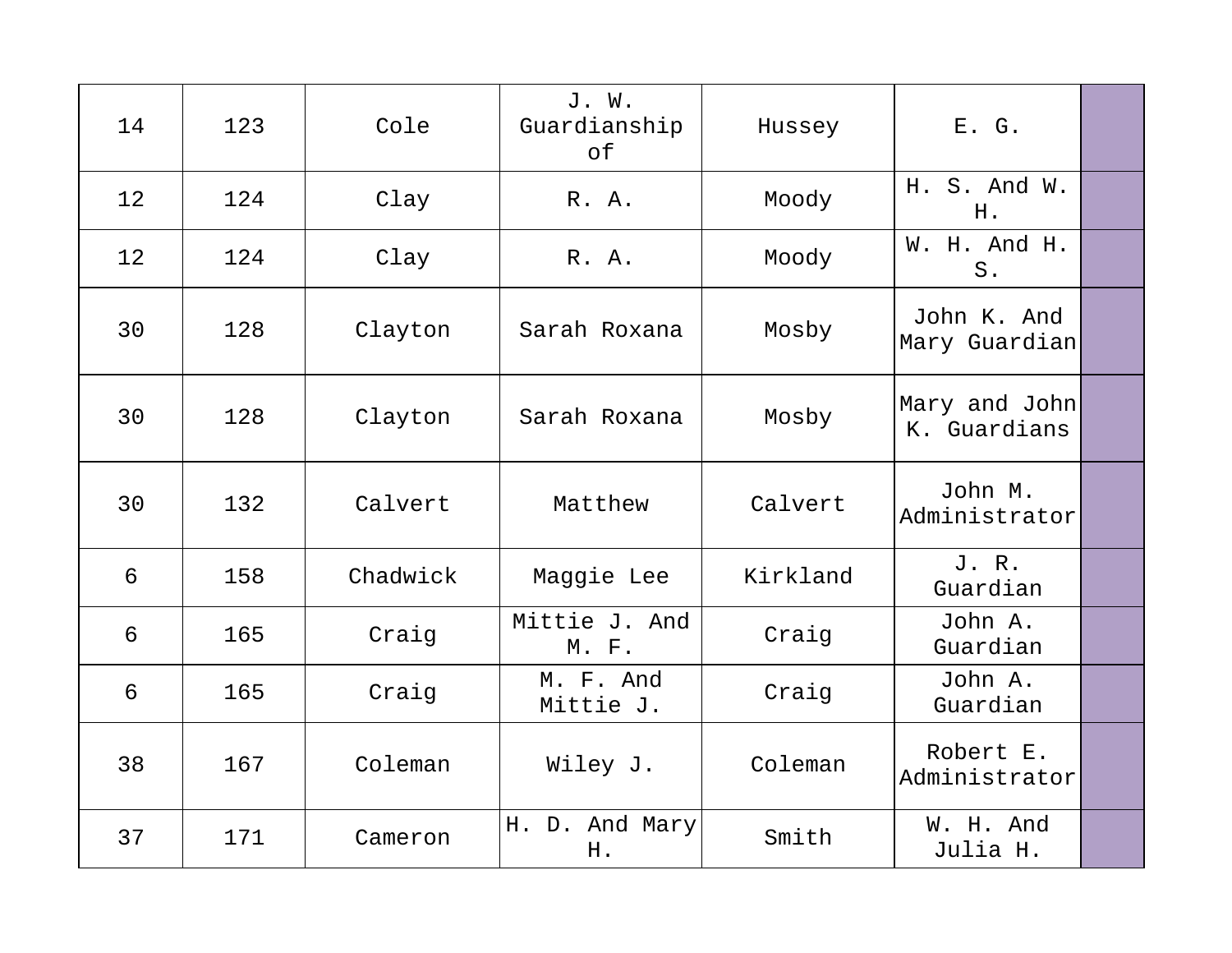| 14 | 123 | Cole     | J. W.<br>Guardianship<br>of | Hussey   | E. G.                         |  |
|----|-----|----------|-----------------------------|----------|-------------------------------|--|
| 12 | 124 | Clay     | R. A.                       | Moody    | H. S. And W.<br>H.            |  |
| 12 | 124 | Clay     | R. A.                       | Moody    | W. H. And H.<br>$S$ .         |  |
| 30 | 128 | Clayton  | Sarah Roxana                | Mosby    | John K. And<br>Mary Guardian  |  |
| 30 | 128 | Clayton  | Sarah Roxana                | Mosby    | Mary and John<br>K. Guardians |  |
| 30 | 132 | Calvert  | Matthew                     | Calvert  | John M.<br>Administrator      |  |
| 6  | 158 | Chadwick | Maggie Lee                  | Kirkland | J. R.<br>Guardian             |  |
| 6  | 165 | Craig    | Mittie J. And<br>M. F.      | Craig    | John A.<br>Guardian           |  |
| 6  | 165 | Craig    | M. F. And<br>Mittie J.      | Craig    | John A.<br>Guardian           |  |
| 38 | 167 | Coleman  | Wiley J.                    | Coleman  | Robert E.<br>Administrator    |  |
| 37 | 171 | Cameron  | H. D. And Mary<br>H.        | Smith    | W. H. And<br>Julia H.         |  |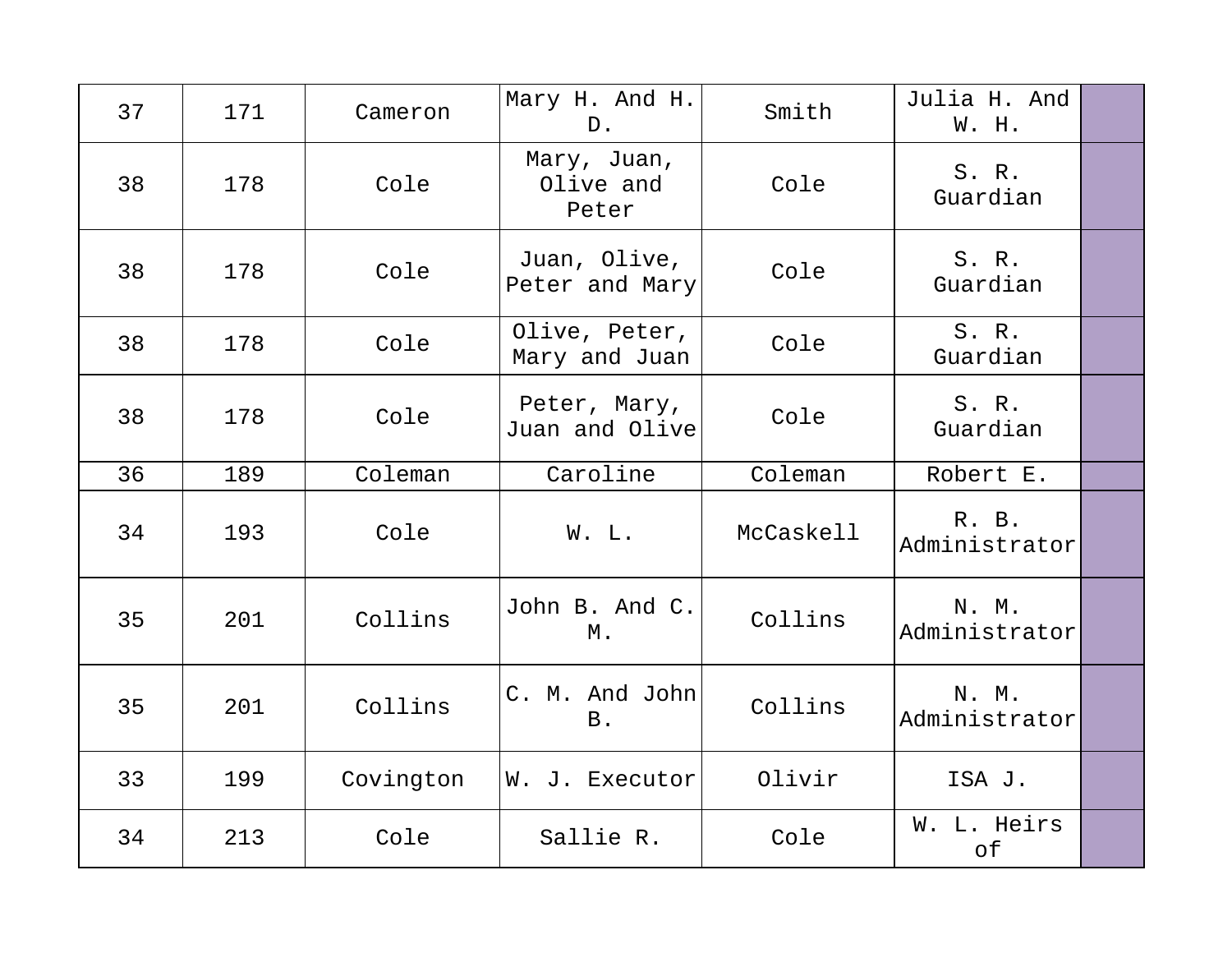| 37 | 171 | Cameron   | Mary H. And H.<br>$D$ .           | Smith     | Julia H. And<br>W. H.  |  |
|----|-----|-----------|-----------------------------------|-----------|------------------------|--|
| 38 | 178 | Cole      | Mary, Juan,<br>Olive and<br>Peter | Cole      | S. R.<br>Guardian      |  |
| 38 | 178 | Cole      | Juan, Olive,<br>Peter and Mary    | Cole      | S. R.<br>Guardian      |  |
| 38 | 178 | Cole      | Olive, Peter,<br>Mary and Juan    | Cole      | S. R.<br>Guardian      |  |
| 38 | 178 | Cole      | Peter, Mary,<br>Juan and Olive    | Cole      | S. R.<br>Guardian      |  |
| 36 | 189 | Coleman   | Caroline                          | Coleman   | Robert E.              |  |
| 34 | 193 | Cole      | W. L.                             | McCaskell | R. B.<br>Administrator |  |
| 35 | 201 | Collins   | John B. And C.<br>М.              | Collins   | N. M.<br>Administrator |  |
| 35 | 201 | Collins   | C. M. And John<br><b>B</b> .      | Collins   | N. M.<br>Administrator |  |
| 33 | 199 | Covington | W. J. Executor                    | Olivir    | ISA J.                 |  |
| 34 | 213 | Cole      | Sallie R.                         | Cole      | W. L. Heirs<br>of      |  |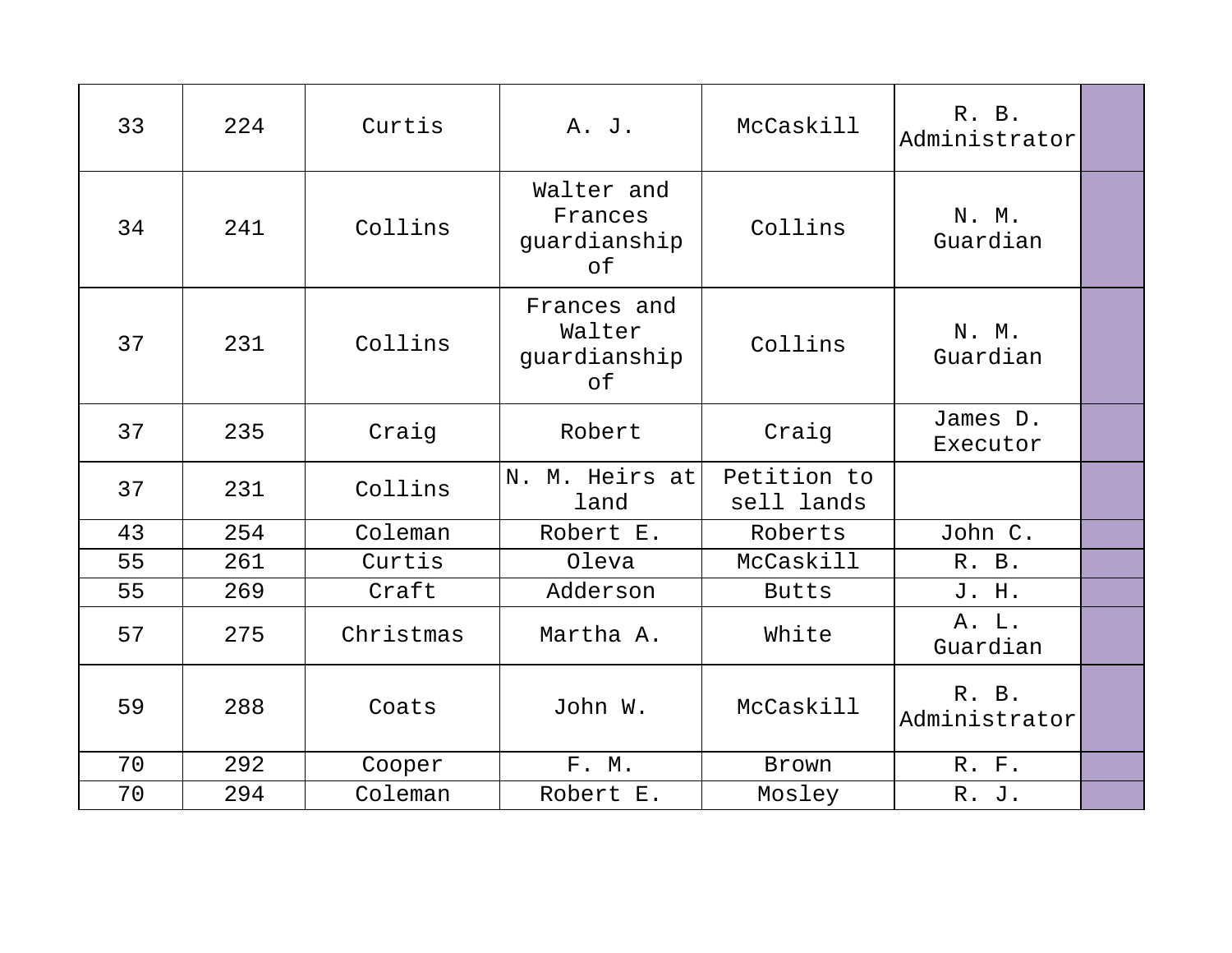| 33 | 224 | Curtis    | A. J.                                       | McCaskill                 | R. B.<br>Administrator |  |
|----|-----|-----------|---------------------------------------------|---------------------------|------------------------|--|
| 34 | 241 | Collins   | Walter and<br>Frances<br>guardianship<br>оf | Collins                   | N. M.<br>Guardian      |  |
| 37 | 231 | Collins   | Frances and<br>Walter<br>guardianship<br>оf | Collins                   | N. M.<br>Guardian      |  |
| 37 | 235 | Craig     | Robert                                      | Craig                     | James D.<br>Executor   |  |
| 37 | 231 | Collins   | N. M. Heirs at<br>land                      | Petition to<br>sell lands |                        |  |
| 43 | 254 | Coleman   | Robert E.                                   | Roberts                   | John C.                |  |
| 55 | 261 | Curtis    | Oleva                                       | McCaskill                 | R. B.                  |  |
| 55 | 269 | Craft     | Adderson                                    | <b>Butts</b>              | J. H.                  |  |
| 57 | 275 | Christmas | Martha A.                                   | White                     | A. L.<br>Guardian      |  |
| 59 | 288 | Coats     | John W.                                     | McCaskill                 | R. B.<br>Administrator |  |
| 70 | 292 | Cooper    | F. M.                                       | Brown                     | R. F.                  |  |
| 70 | 294 | Coleman   | Robert E.                                   | Mosley                    | R. J.                  |  |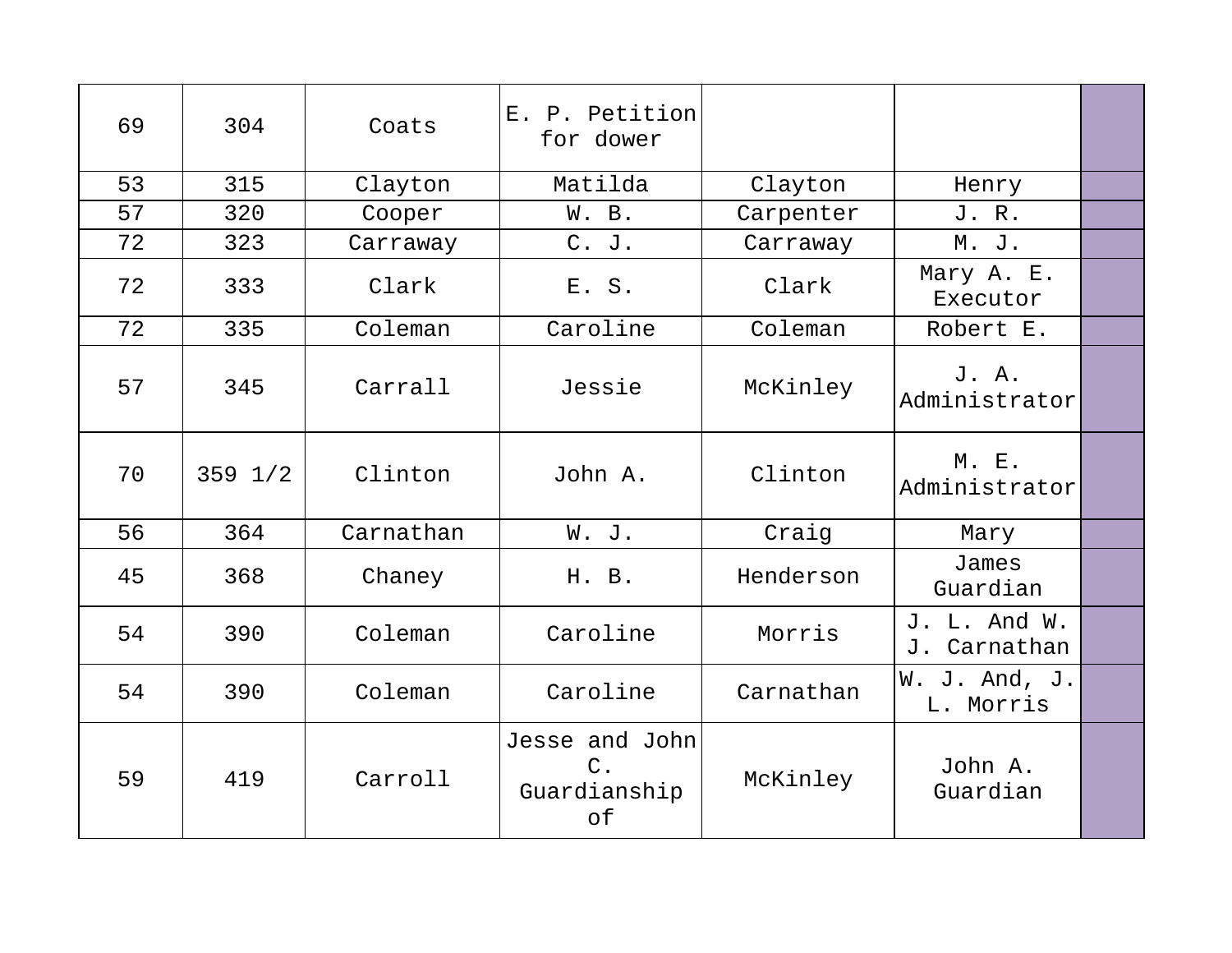| 69 | 304         | Coats     | E. P. Petition<br>for dower                   |           |                              |  |
|----|-------------|-----------|-----------------------------------------------|-----------|------------------------------|--|
| 53 | 315         | Clayton   | Matilda                                       | Clayton   | Henry                        |  |
| 57 | 320         | Cooper    | W. B.                                         | Carpenter | J. R.                        |  |
| 72 | 323         | Carraway  | C. J.                                         | Carraway  | M. J.                        |  |
| 72 | 333         | Clark     | E. S.                                         | Clark     | Mary A. E.<br>Executor       |  |
| 72 | 335         | Coleman   | Caroline                                      | Coleman   | Robert E.                    |  |
| 57 | 345         | Carrall   | Jessie                                        | McKinley  | J. A.<br>Administrator       |  |
| 70 | $359$ $1/2$ | Clinton   | John A.                                       | Clinton   | M. E.<br>Administrator       |  |
| 56 | 364         | Carnathan | W. J.                                         | Craig     | Mary                         |  |
| 45 | 368         | Chaney    | H. B.                                         | Henderson | James<br>Guardian            |  |
| 54 | 390         | Coleman   | Caroline                                      | Morris    | J. L. And W.<br>J. Carnathan |  |
| 54 | 390         | Coleman   | Caroline                                      | Carnathan | W. J. And, J.<br>L. Morris   |  |
| 59 | 419         | Carroll   | Jesse and John<br>$C$ .<br>Guardianship<br>of | McKinley  | John A.<br>Guardian          |  |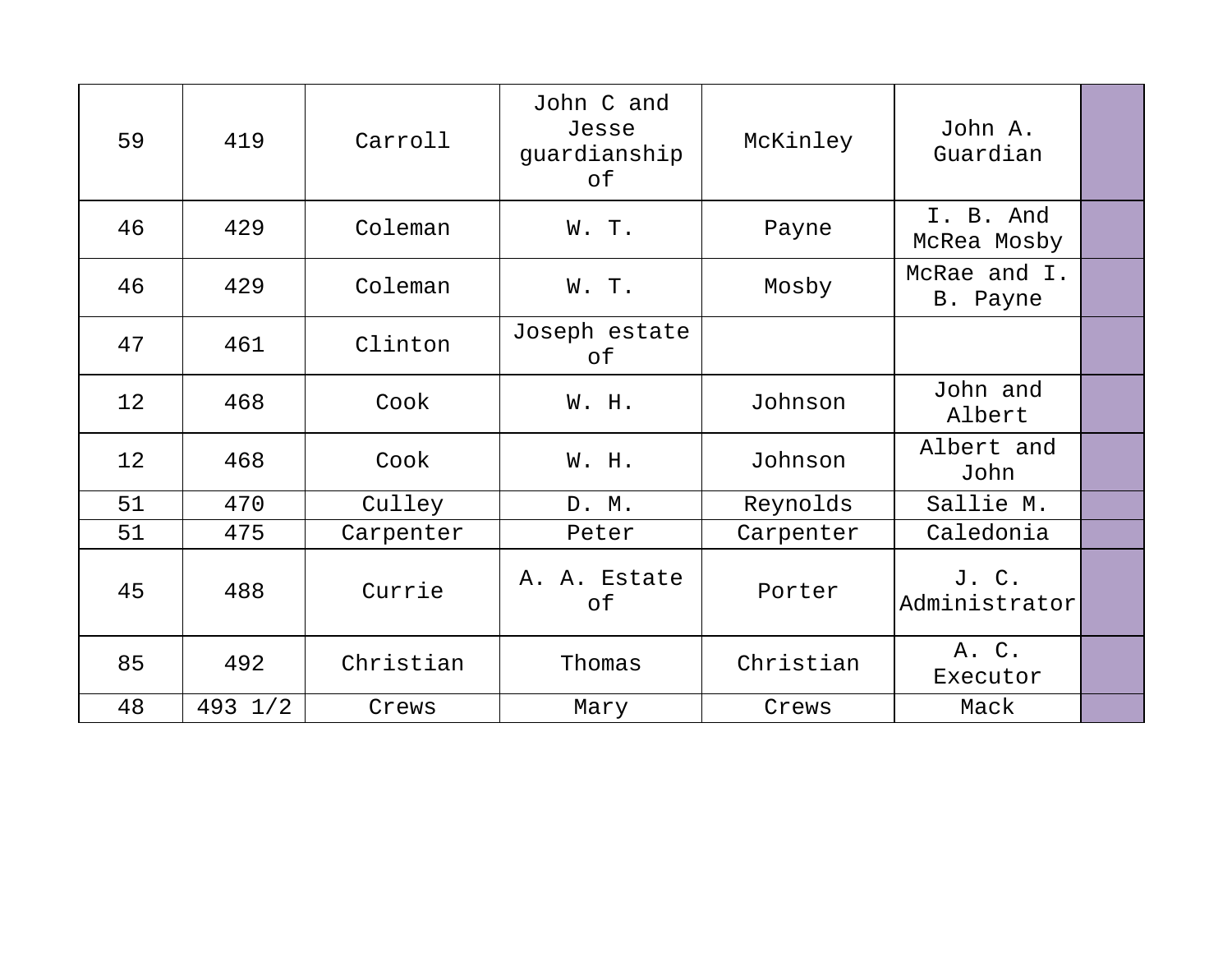| 59 | 419               | Carroll   | John C and<br>Jesse<br>guardianship<br>of | McKinley  | John A.<br>Guardian      |  |
|----|-------------------|-----------|-------------------------------------------|-----------|--------------------------|--|
|    |                   |           |                                           |           |                          |  |
| 46 | 429               | Coleman   | W. T.                                     | Payne     | I. B. And<br>McRea Mosby |  |
| 46 | 429               | Coleman   | W. T.                                     | Mosby     | McRae and I.<br>B. Payne |  |
| 47 | 461               | Clinton   | Joseph estate<br>оf                       |           |                          |  |
| 12 | 468               | Cook      | W. H.                                     | Johnson   | John and<br>Albert       |  |
| 12 | 468               | Cook      | W. H.                                     | Johnson   | Albert and<br>John       |  |
| 51 | 470               | Culley    | D. M.                                     | Reynolds  | Sallie M.                |  |
| 51 | 475               | Carpenter | Peter                                     | Carpenter | Caledonia                |  |
| 45 | 488               | Currie    | A. A. Estate<br>of                        | Porter    | J. C.<br>Administrator   |  |
| 85 | 492               | Christian | Thomas                                    | Christian | A. C.<br>Executor        |  |
| 48 | $493 \frac{1}{2}$ | Crews     | Mary                                      | Crews     | Mack                     |  |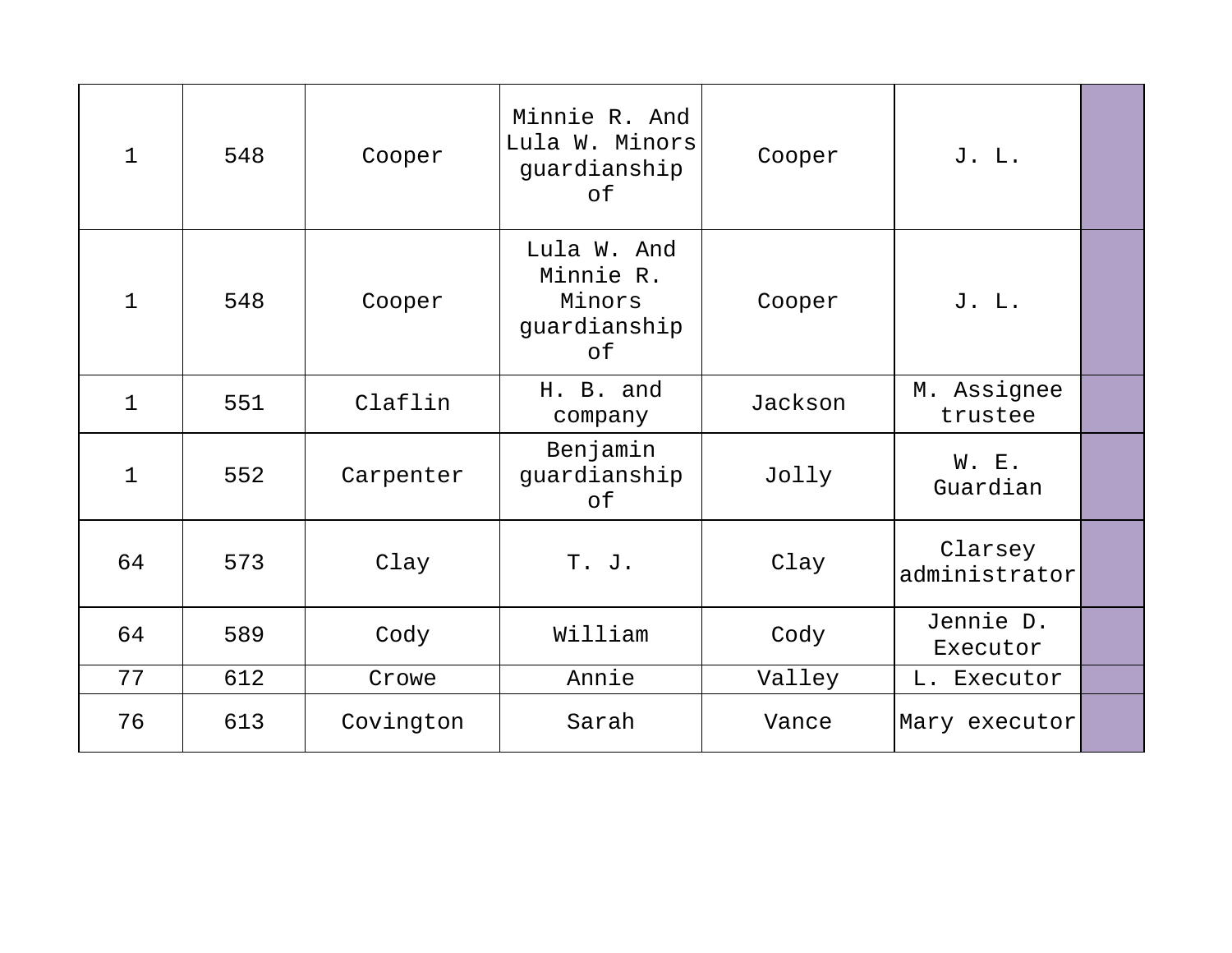| $\mathbf{1}$ | 548 | Cooper    | Minnie R. And<br>Lula W. Minors<br>guardianship<br>of    | Cooper  | J. L.                    |  |
|--------------|-----|-----------|----------------------------------------------------------|---------|--------------------------|--|
| $\mathbf{1}$ | 548 | Cooper    | Lula W. And<br>Minnie R.<br>Minors<br>guardianship<br>оf | Cooper  | J. L.                    |  |
| $\mathbf 1$  | 551 | Claflin   | H. B. and<br>company                                     | Jackson | M. Assignee<br>trustee   |  |
| 1            | 552 | Carpenter | Benjamin<br>guardianship<br>of                           | Jolly   | W. E.<br>Guardian        |  |
| 64           | 573 | Clay      | T. J.                                                    | Clay    | Clarsey<br>administrator |  |
| 64           | 589 | Cody      | William                                                  | Cody    | Jennie D.<br>Executor    |  |
| 77           | 612 | Crowe     | Annie                                                    | Valley  | L. Executor              |  |
| 76           | 613 | Covington | Sarah                                                    | Vance   | Mary executor            |  |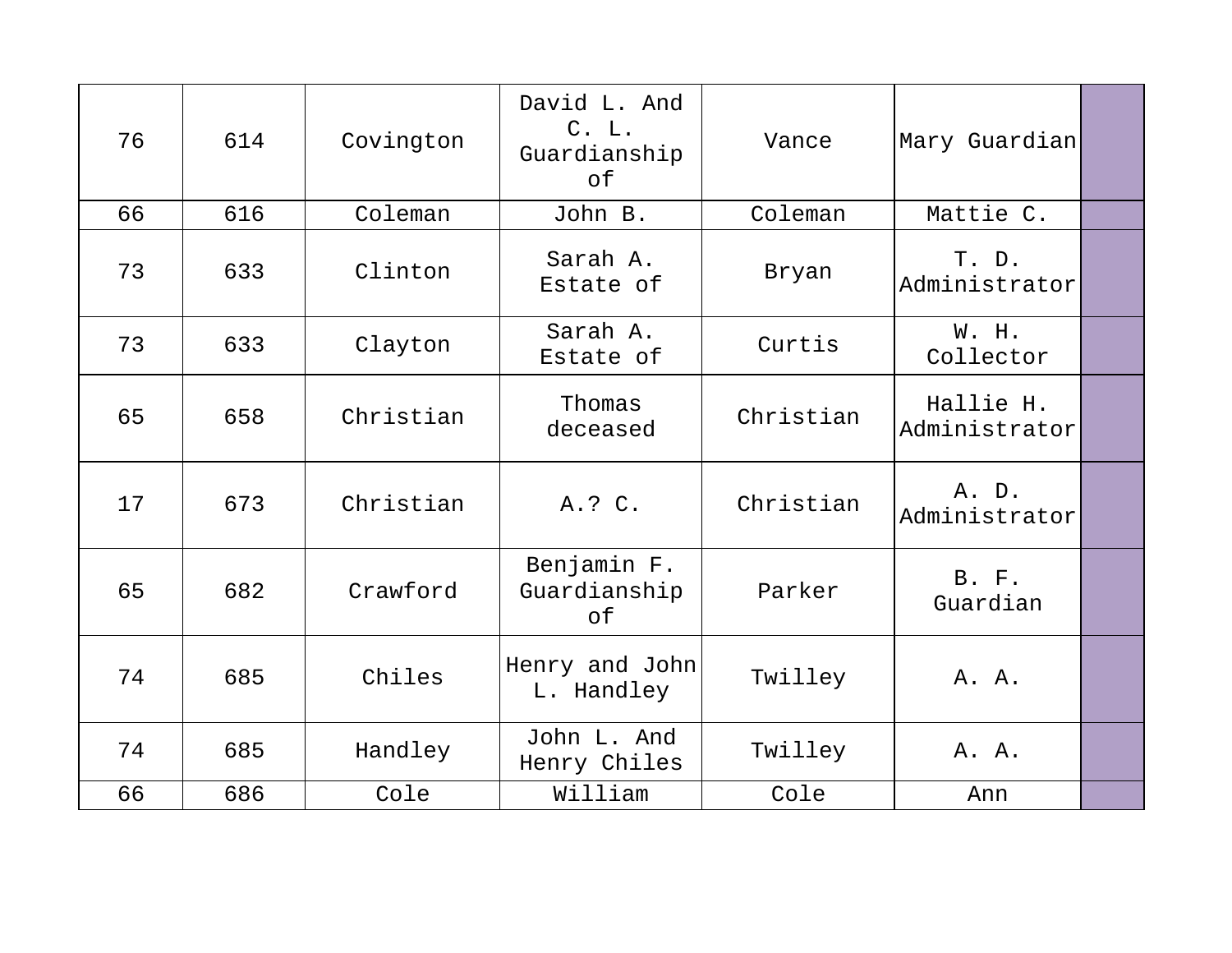| 76 | 614 | Covington | David L. And<br>C. L.<br>Guardianship<br>of | Vance     | Mary Guardian              |  |
|----|-----|-----------|---------------------------------------------|-----------|----------------------------|--|
| 66 | 616 | Coleman   | John B.                                     | Coleman   | Mattie C.                  |  |
| 73 | 633 | Clinton   | Sarah A.<br>Estate of                       | Bryan     | T. D.<br>Administrator     |  |
| 73 | 633 | Clayton   | Sarah A.<br>Estate of                       | Curtis    | W. H.<br>Collector         |  |
| 65 | 658 | Christian | Thomas<br>deceased                          | Christian | Hallie H.<br>Administrator |  |
| 17 | 673 | Christian | A.? C.                                      | Christian | A. D.<br>Administrator     |  |
| 65 | 682 | Crawford  | Benjamin F.<br>Guardianship<br>of           | Parker    | B. F.<br>Guardian          |  |
| 74 | 685 | Chiles    | Henry and John<br>L. Handley                | Twilley   | A. A.                      |  |
| 74 | 685 | Handley   | John L. And<br>Henry Chiles                 | Twilley   | A. A.                      |  |
| 66 | 686 | Cole      | William                                     | Cole      | Ann                        |  |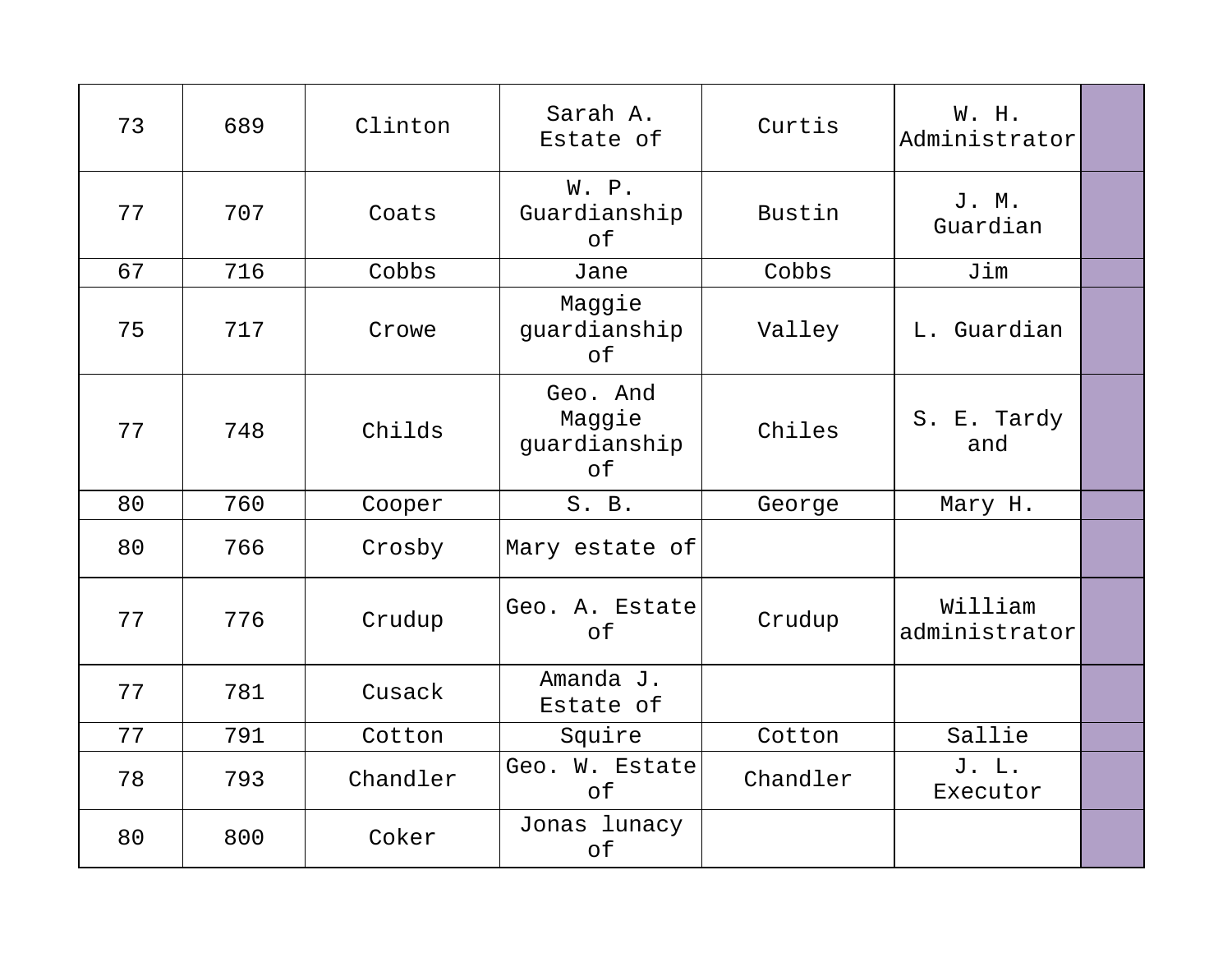| 73 | 689 | Clinton  | Sarah A.<br>Estate of                    | Curtis   | W. H.<br>Administrator   |  |
|----|-----|----------|------------------------------------------|----------|--------------------------|--|
| 77 | 707 | Coats    | W. P.<br>Guardianship<br>of              | Bustin   | J. M.<br>Guardian        |  |
| 67 | 716 | Cobbs    | Jane                                     | Cobbs    | Jim                      |  |
| 75 | 717 | Crowe    | Maggie<br>guardianship<br>of             | Valley   | L. Guardian              |  |
| 77 | 748 | Childs   | Geo. And<br>Maggie<br>guardianship<br>of | Chiles   | S. E. Tardy<br>and       |  |
| 80 | 760 | Cooper   | S. B.                                    | George   | Mary H.                  |  |
| 80 | 766 | Crosby   | Mary estate of                           |          |                          |  |
| 77 | 776 | Crudup   | Geo. A. Estate<br>of                     | Crudup   | William<br>administrator |  |
| 77 | 781 | Cusack   | Amanda J.<br>Estate of                   |          |                          |  |
| 77 | 791 | Cotton   | Squire                                   | Cotton   | Sallie                   |  |
| 78 | 793 | Chandler | Geo. W. Estate<br>of                     | Chandler | J. L.<br>Executor        |  |
| 80 | 800 | Coker    | Jonas lunacy<br>of                       |          |                          |  |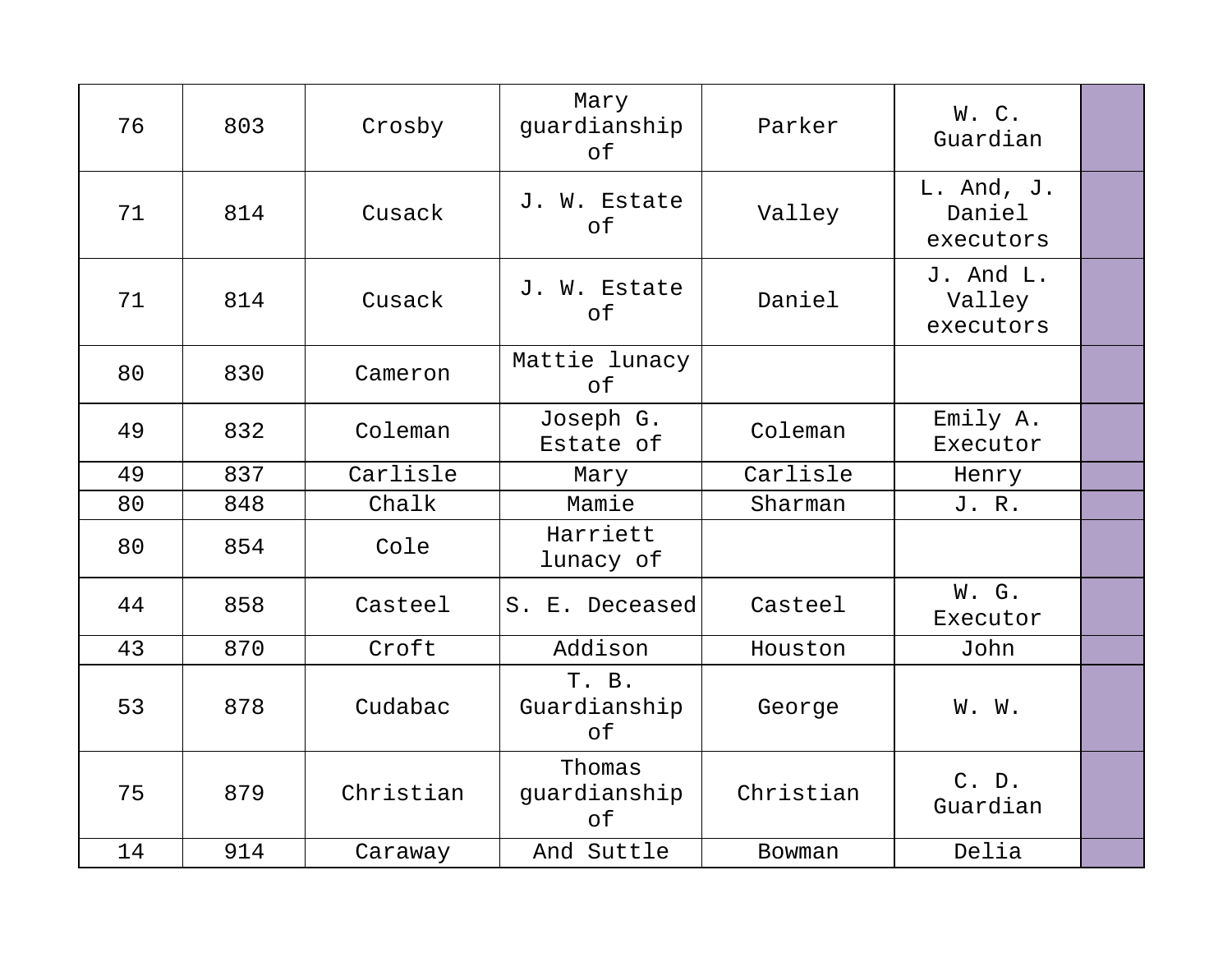| 76 | 803 | Crosby    | Mary<br>guardianship<br>оf   | Parker    | W.C.<br>Guardian                  |  |
|----|-----|-----------|------------------------------|-----------|-----------------------------------|--|
| 71 | 814 | Cusack    | J. W. Estate<br>of           | Valley    | L. And, J.<br>Daniel<br>executors |  |
| 71 | 814 | Cusack    | J. W. Estate<br>оf           | Daniel    | J. And L.<br>Valley<br>executors  |  |
| 80 | 830 | Cameron   | Mattie lunacy<br>of          |           |                                   |  |
| 49 | 832 | Coleman   | Joseph G.<br>Estate of       | Coleman   | Emily A.<br>Executor              |  |
| 49 | 837 | Carlisle  | Mary                         | Carlisle  | Henry                             |  |
| 80 | 848 | Chalk     | Mamie                        | Sharman   | J. R.                             |  |
| 80 | 854 | Cole      | Harriett<br>lunacy of        |           |                                   |  |
| 44 | 858 | Casteel   | S. E. Deceased               | Casteel   | W. G.<br>Executor                 |  |
| 43 | 870 | Croft     | Addison                      | Houston   | John                              |  |
| 53 | 878 | Cudabac   | T. B.<br>Guardianship<br>of  | George    | W. W.                             |  |
| 75 | 879 | Christian | Thomas<br>guardianship<br>оf | Christian | C. D.<br>Guardian                 |  |
| 14 | 914 | Caraway   | And Suttle                   | Bowman    | Delia                             |  |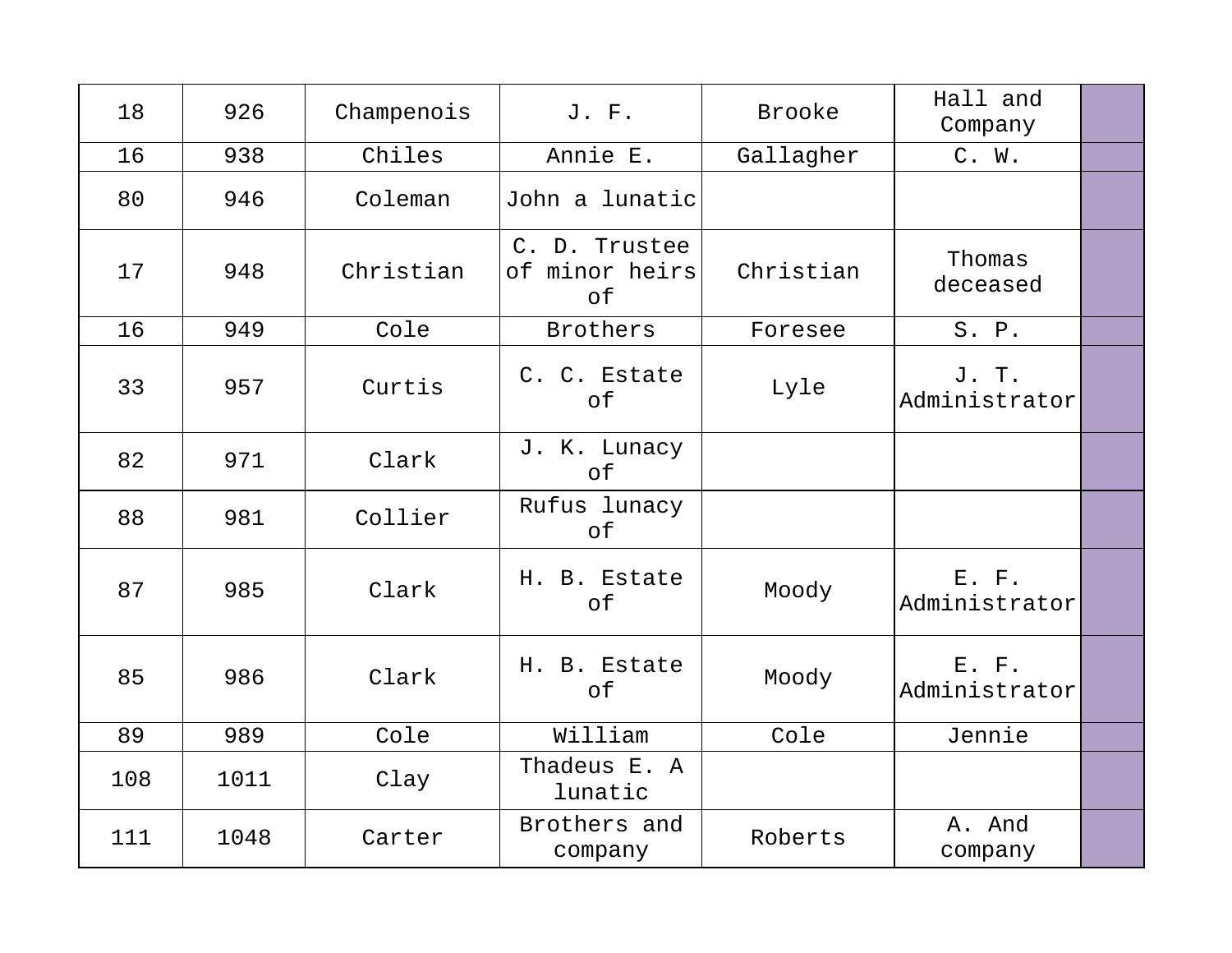| 18  | 926  | Champenois | J. F.                                 | <b>Brooke</b> | Hall and<br>Company    |  |
|-----|------|------------|---------------------------------------|---------------|------------------------|--|
| 16  | 938  | Chiles     | Annie E.                              | Gallagher     | C. W.                  |  |
| 80  | 946  | Coleman    | John a lunatic                        |               |                        |  |
| 17  | 948  | Christian  | C. D. Trustee<br>of minor heirs<br>of | Christian     | Thomas<br>deceased     |  |
| 16  | 949  | Cole       | <b>Brothers</b>                       | Foresee       | S. P.                  |  |
| 33  | 957  | Curtis     | C. C. Estate<br>of                    | Lyle          | J. T.<br>Administrator |  |
| 82  | 971  | Clark      | J. K. Lunacy<br>of                    |               |                        |  |
| 88  | 981  | Collier    | Rufus lunacy<br>оf                    |               |                        |  |
| 87  | 985  | Clark      | H. B. Estate<br>of                    | Moody         | E. F.<br>Administrator |  |
| 85  | 986  | Clark      | H. B. Estate<br>of                    | Moody         | E. F.<br>Administrator |  |
| 89  | 989  | Cole       | William                               | Cole          | Jennie                 |  |
| 108 | 1011 | Clay       | Thadeus E. A<br>lunatic               |               |                        |  |
| 111 | 1048 | Carter     | Brothers and<br>company               | Roberts       | A. And<br>company      |  |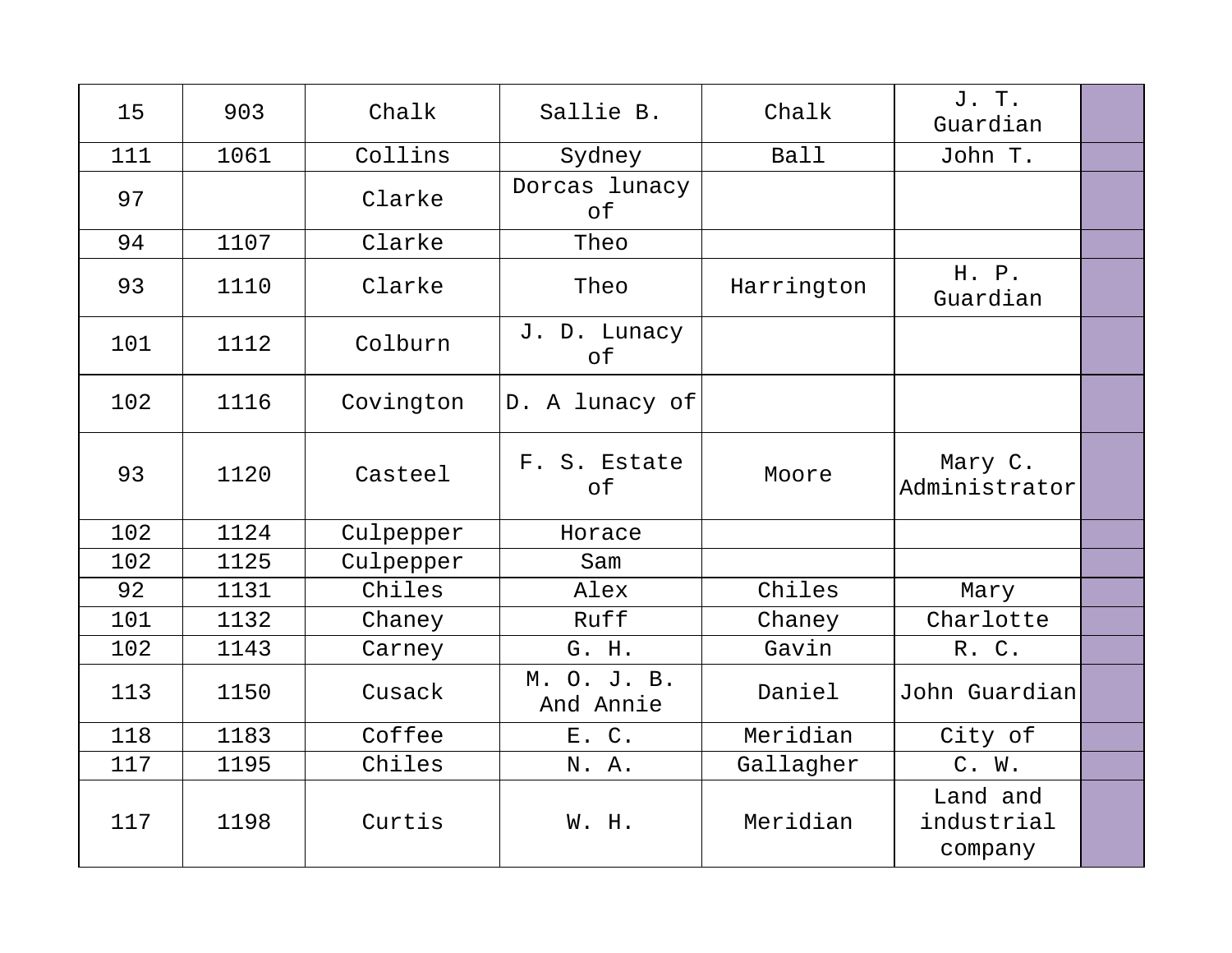| 15  | 903  | Chalk     | Sallie B.                 | Chalk       | J. T.<br>Guardian                 |  |
|-----|------|-----------|---------------------------|-------------|-----------------------------------|--|
| 111 | 1061 | Collins   | Sydney                    | <b>Ball</b> | John T.                           |  |
| 97  |      | Clarke    | Dorcas lunacy<br>of       |             |                                   |  |
| 94  | 1107 | Clarke    | Theo                      |             |                                   |  |
| 93  | 1110 | Clarke    | Theo                      | Harrington  | H. P.<br>Guardian                 |  |
| 101 | 1112 | Colburn   | J. D. Lunacy<br>of        |             |                                   |  |
| 102 | 1116 | Covington | D. A lunacy of            |             |                                   |  |
| 93  | 1120 | Casteel   | F. S. Estate<br>$\circ$ f | Moore       | Mary C.<br>Administrator          |  |
| 102 | 1124 | Culpepper | Horace                    |             |                                   |  |
| 102 | 1125 | Culpepper | Sam                       |             |                                   |  |
| 92  | 1131 | Chiles    | Alex                      | Chiles      | Mary                              |  |
| 101 | 1132 | Chaney    | Ruff                      | Chaney      | Charlotte                         |  |
| 102 | 1143 | Carney    | G. H.                     | Gavin       | R. C.                             |  |
| 113 | 1150 | Cusack    | M. O. J. B.<br>And Annie  | Daniel      | John Guardian                     |  |
| 118 | 1183 | Coffee    | E. C.                     | Meridian    | City of                           |  |
| 117 | 1195 | Chiles    | N. A.                     | Gallagher   | C. W.                             |  |
| 117 | 1198 | Curtis    | W. H.                     | Meridian    | Land and<br>industrial<br>company |  |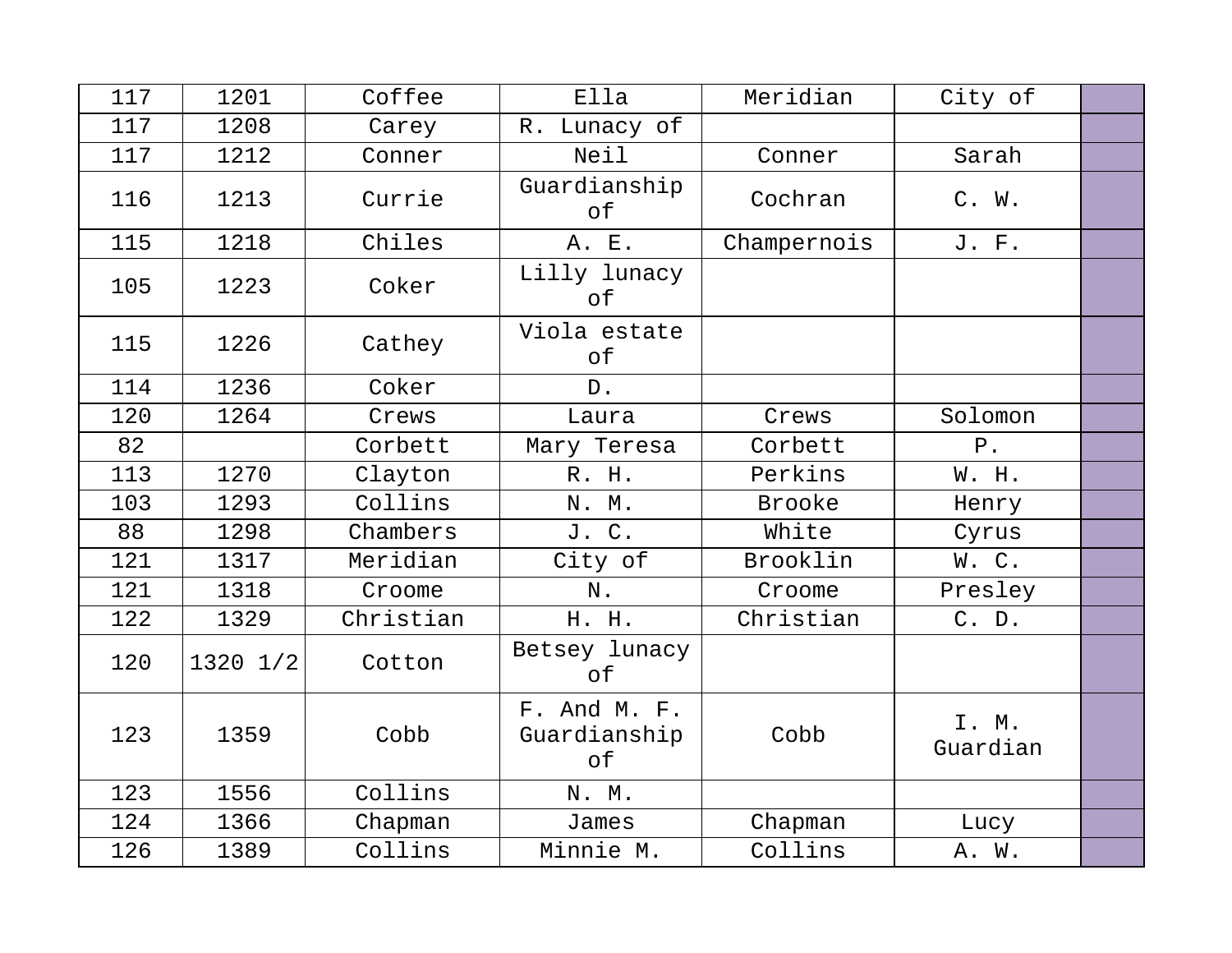| 117 | 1201     | Coffee    | Ella                               | Meridian    | City of           |  |
|-----|----------|-----------|------------------------------------|-------------|-------------------|--|
| 117 | 1208     | Carey     | Lunacy of<br>R.                    |             |                   |  |
| 117 | 1212     | Conner    | Neil                               | Conner      | Sarah             |  |
| 116 | 1213     | Currie    | Guardianship<br>of                 | Cochran     | $C.$ W.           |  |
| 115 | 1218     | Chiles    | A. E.                              | Champernois | J. F.             |  |
| 105 | 1223     | Coker     | Lilly lunacy<br>оf                 |             |                   |  |
| 115 | 1226     | Cathey    | Viola estate<br>оf                 |             |                   |  |
| 114 | 1236     | Coker     | D.                                 |             |                   |  |
| 120 | 1264     | Crews     | Laura                              | Crews       | Solomon           |  |
| 82  |          | Corbett   | Mary Teresa                        | Corbett     | $P$ .             |  |
| 113 | 1270     | Clayton   | R. H.                              | Perkins     | W. H.             |  |
| 103 | 1293     | Collins   | N. M.                              | Brooke      | Henry             |  |
| 88  | 1298     | Chambers  | J. C.                              | White       | Cyrus             |  |
| 121 | 1317     | Meridian  | City of                            | Brooklin    | W.C.              |  |
| 121 | 1318     | Croome    | N.                                 | Croome      | Presley           |  |
| 122 | 1329     | Christian | H. H.                              | Christian   | $C.$ D.           |  |
| 120 | 1320 1/2 | Cotton    | Betsey lunacy<br>оf                |             |                   |  |
| 123 | 1359     | Cobb      | F. And M. F.<br>Guardianship<br>оf | Cobb        | I. M.<br>Guardian |  |
| 123 | 1556     | Collins   | N. M.                              |             |                   |  |
| 124 | 1366     | Chapman   | James                              | Chapman     | Lucy              |  |
| 126 | 1389     | Collins   | Minnie M.                          | Collins     | A. W.             |  |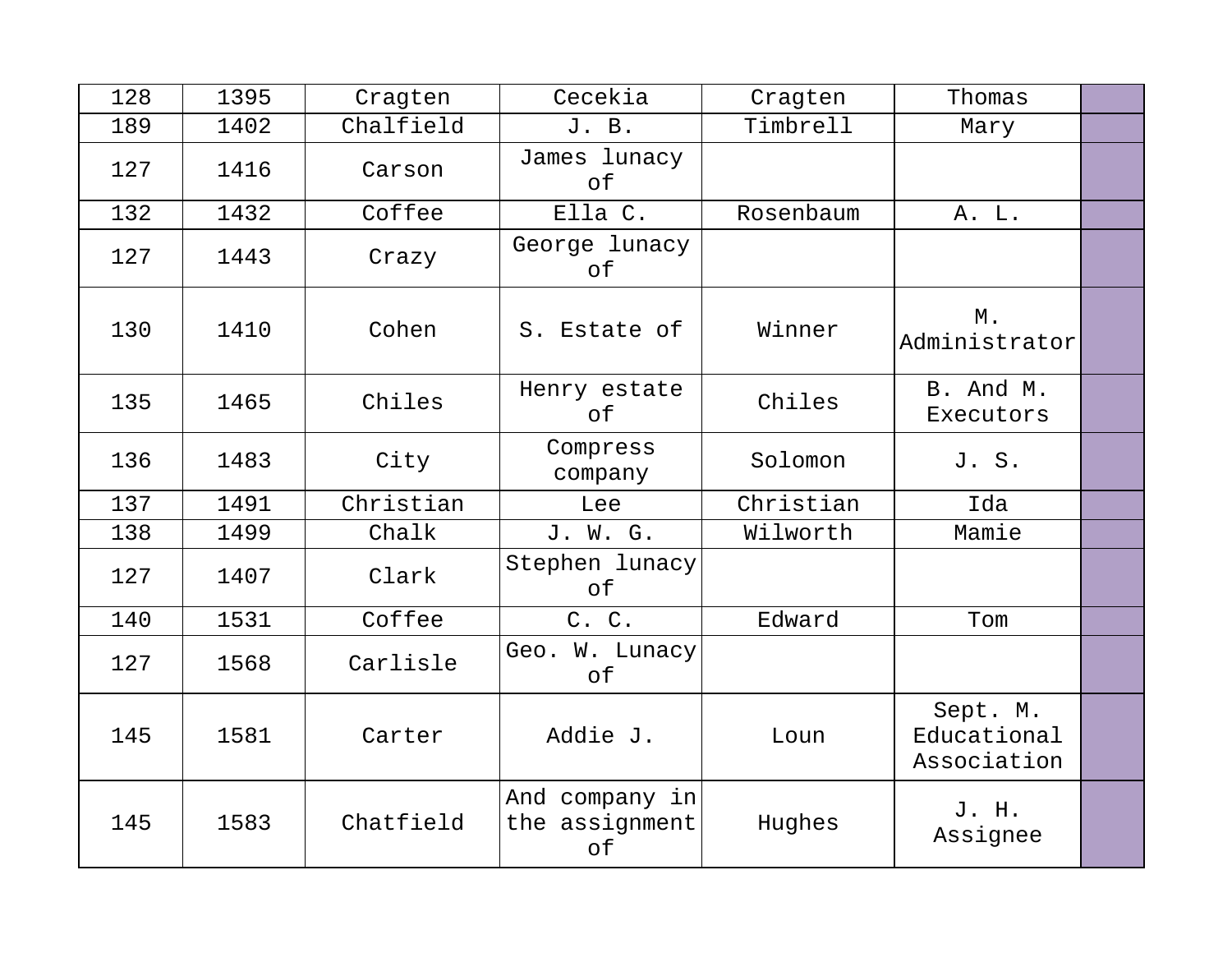| 128 | 1395 | Cragten   | Cecekia                                | Cragten   | Thomas                                 |  |
|-----|------|-----------|----------------------------------------|-----------|----------------------------------------|--|
| 189 | 1402 | Chalfield | J. B.                                  | Timbrell  | Mary                                   |  |
| 127 | 1416 | Carson    | James lunacy<br>of                     |           |                                        |  |
| 132 | 1432 | Coffee    | Ella C.                                | Rosenbaum | A. L.                                  |  |
| 127 | 1443 | Crazy     | George lunacy<br>of                    |           |                                        |  |
| 130 | 1410 | Cohen     | S. Estate of                           | Winner    | Μ.<br>Administrator                    |  |
| 135 | 1465 | Chiles    | Henry estate<br>of                     | Chiles    | B. And M.<br>Executors                 |  |
| 136 | 1483 | City      | Compress<br>company                    | Solomon   | J. S.                                  |  |
| 137 | 1491 | Christian | Lee                                    | Christian | Ida                                    |  |
| 138 | 1499 | Chalk     | J. W. G.                               | Wilworth  | Mamie                                  |  |
| 127 | 1407 | Clark     | Stephen lunacy<br>of                   |           |                                        |  |
| 140 | 1531 | Coffee    | C. C.                                  | Edward    | Tom                                    |  |
| 127 | 1568 | Carlisle  | Geo. W. Lunacy<br>of                   |           |                                        |  |
| 145 | 1581 | Carter    | Addie J.                               | Loun      | Sept. M.<br>Educational<br>Association |  |
| 145 | 1583 | Chatfield | And company in<br>the assignment<br>of | Hughes    | J. H.<br>Assignee                      |  |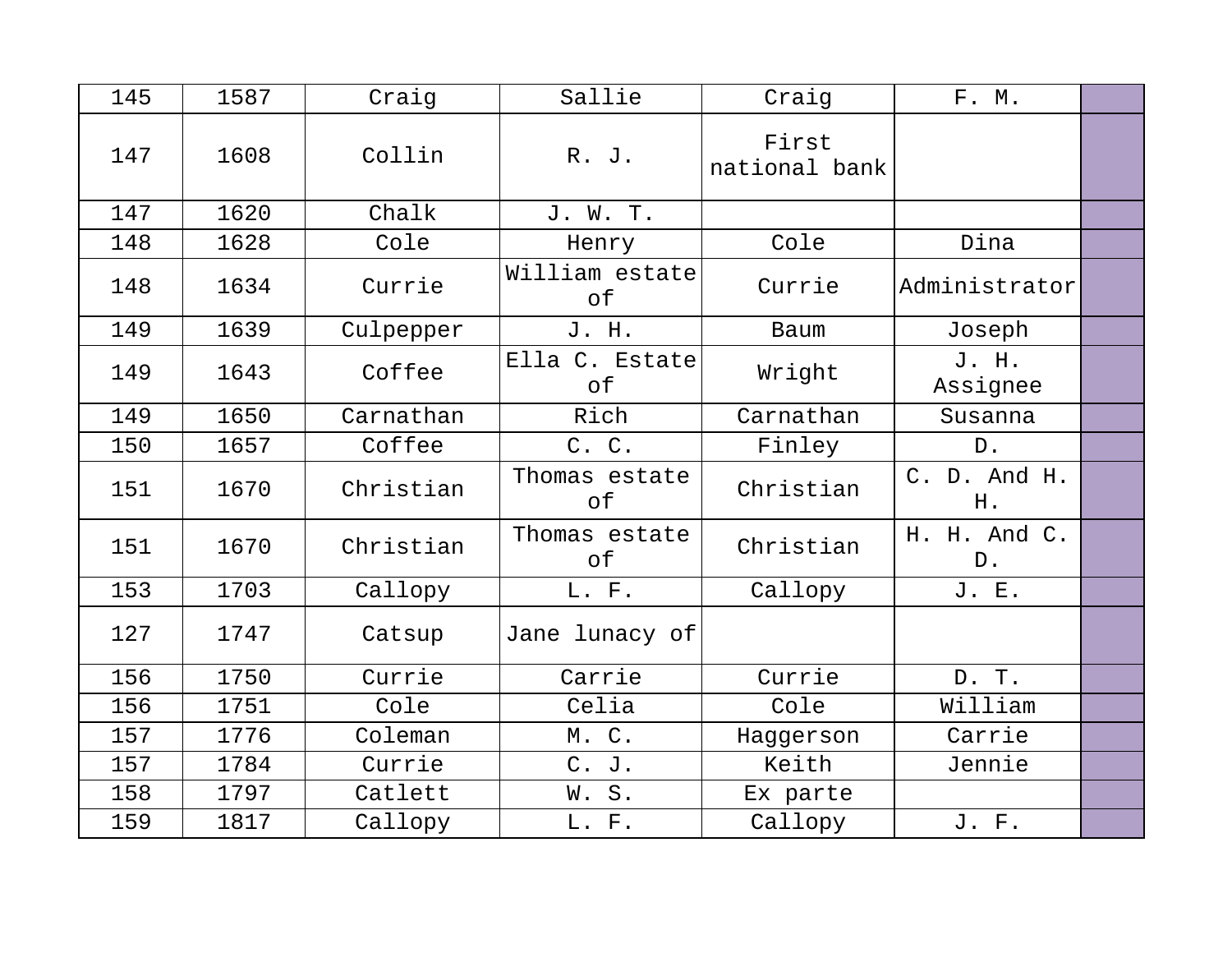| 145 | 1587 | Craig     | Sallie               | Craig                  | F. M.                 |  |
|-----|------|-----------|----------------------|------------------------|-----------------------|--|
| 147 | 1608 | Collin    | R. J.                | First<br>national bank |                       |  |
| 147 | 1620 | Chalk     | J. W. T.             |                        |                       |  |
| 148 | 1628 | Cole      | Henry                | Cole                   | Dina                  |  |
| 148 | 1634 | Currie    | William estate<br>оf | Currie                 | Administrator         |  |
| 149 | 1639 | Culpepper | J. H.                | Baum                   | Joseph                |  |
| 149 | 1643 | Coffee    | Ella C. Estate<br>of | Wright                 | J. H.<br>Assignee     |  |
| 149 | 1650 | Carnathan | Rich                 | Carnathan              | Susanna               |  |
| 150 | 1657 | Coffee    | C. C.                | Finley                 | $D$ .                 |  |
| 151 | 1670 | Christian | Thomas estate<br>оf  | Christian              | C. D. And H.<br>H.    |  |
| 151 | 1670 | Christian | Thomas estate<br>оf  | Christian              | H. H. And C.<br>$D$ . |  |
| 153 | 1703 | Callopy   | L. F.                | Callopy                | J. E.                 |  |
| 127 | 1747 | Catsup    | Jane lunacy of       |                        |                       |  |
| 156 | 1750 | Currie    | Carrie               | Currie                 | D. T.                 |  |
| 156 | 1751 | Cole      | Celia                | Cole                   | William               |  |
| 157 | 1776 | Coleman   | M. C.                | Haggerson              | Carrie                |  |
| 157 | 1784 | Currie    | C. J.                | Keith                  | Jennie                |  |
| 158 | 1797 | Catlett   | W.S.                 | Ex parte               |                       |  |
| 159 | 1817 | Callopy   | L. F.                | Callopy                | J. F.                 |  |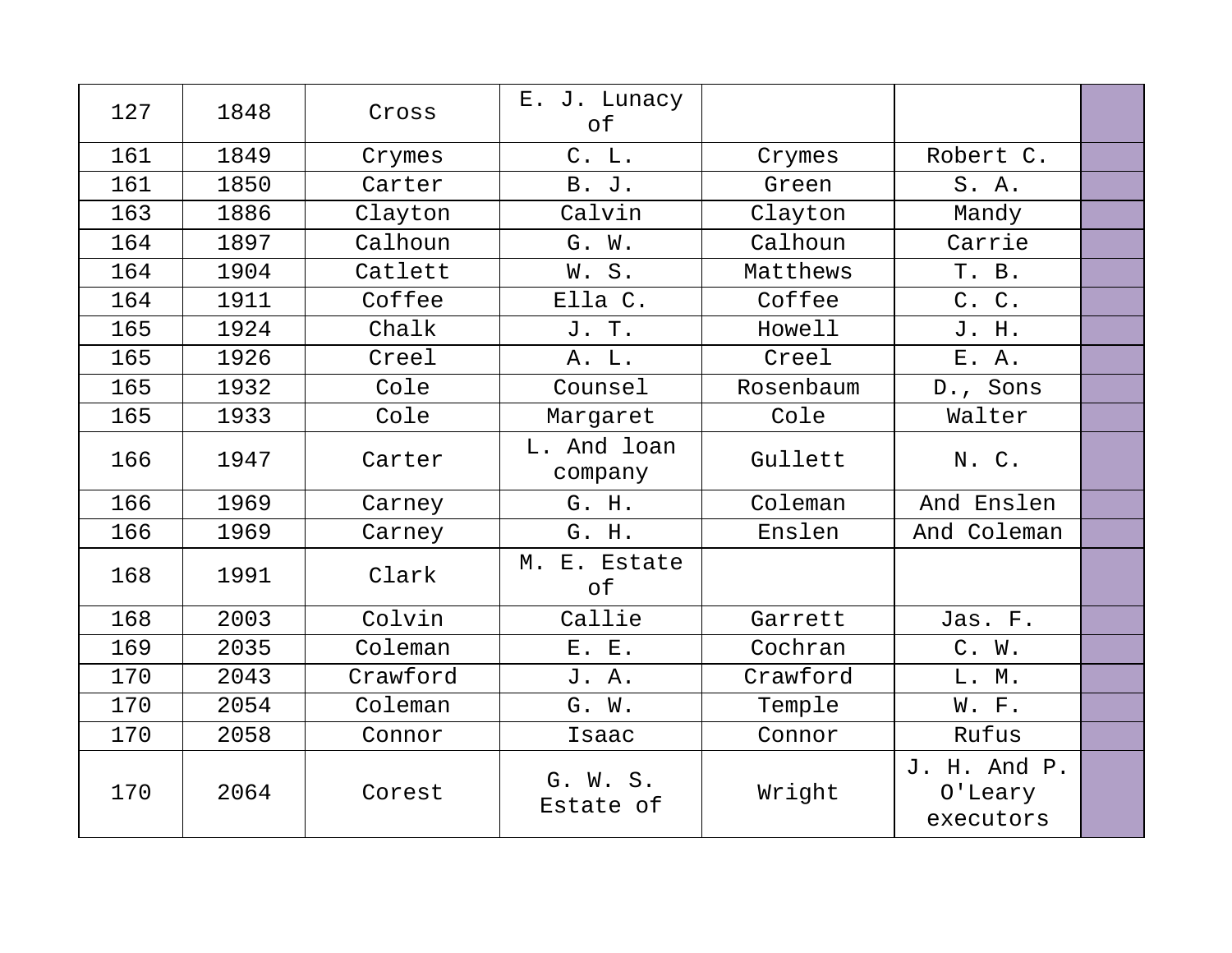| 127 | 1848 | Cross    | E. J. Lunacy<br>оf     |           |                                      |  |
|-----|------|----------|------------------------|-----------|--------------------------------------|--|
| 161 | 1849 | Crymes   | C. L.                  | Crymes    | Robert C.                            |  |
| 161 | 1850 | Carter   | B. J.                  | Green     | S. A.                                |  |
| 163 | 1886 | Clayton  | Calvin                 | Clayton   | Mandy                                |  |
| 164 | 1897 | Calhoun  | G. W.                  | Calhoun   | Carrie                               |  |
| 164 | 1904 | Catlett  | W.S.                   | Matthews  | T. B.                                |  |
| 164 | 1911 | Coffee   | Ella C.                | Coffee    | C. C.                                |  |
| 165 | 1924 | Chalk    | J. T.                  | Howell    | J. H.                                |  |
| 165 | 1926 | Creel    | A. L.                  | Creel     | E. A.                                |  |
| 165 | 1932 | Cole     | Counsel                | Rosenbaum | D., Sons                             |  |
| 165 | 1933 | Cole     | Margaret               | Cole      | Walter                               |  |
| 166 | 1947 | Carter   | L. And loan<br>company | Gullett   | N. C.                                |  |
| 166 | 1969 | Carney   | G. H.                  | Coleman   | And Enslen                           |  |
| 166 | 1969 | Carney   | G. H.                  | Enslen    | And Coleman                          |  |
| 168 | 1991 | Clark    | M. E. Estate<br>оf     |           |                                      |  |
| 168 | 2003 | Colvin   | Callie                 | Garrett   | Jas. F.                              |  |
| 169 | 2035 | Coleman  | E. E.                  | Cochran   | C. W.                                |  |
| 170 | 2043 | Crawford | J. A.                  | Crawford  | L. M.                                |  |
| 170 | 2054 | Coleman  | G. W.                  | Temple    | W. F.                                |  |
| 170 | 2058 | Connor   | Isaac                  | Connor    | Rufus                                |  |
| 170 | 2064 | Corest   | G. W. S.<br>Estate of  | Wright    | J. H. And P.<br>0'Leary<br>executors |  |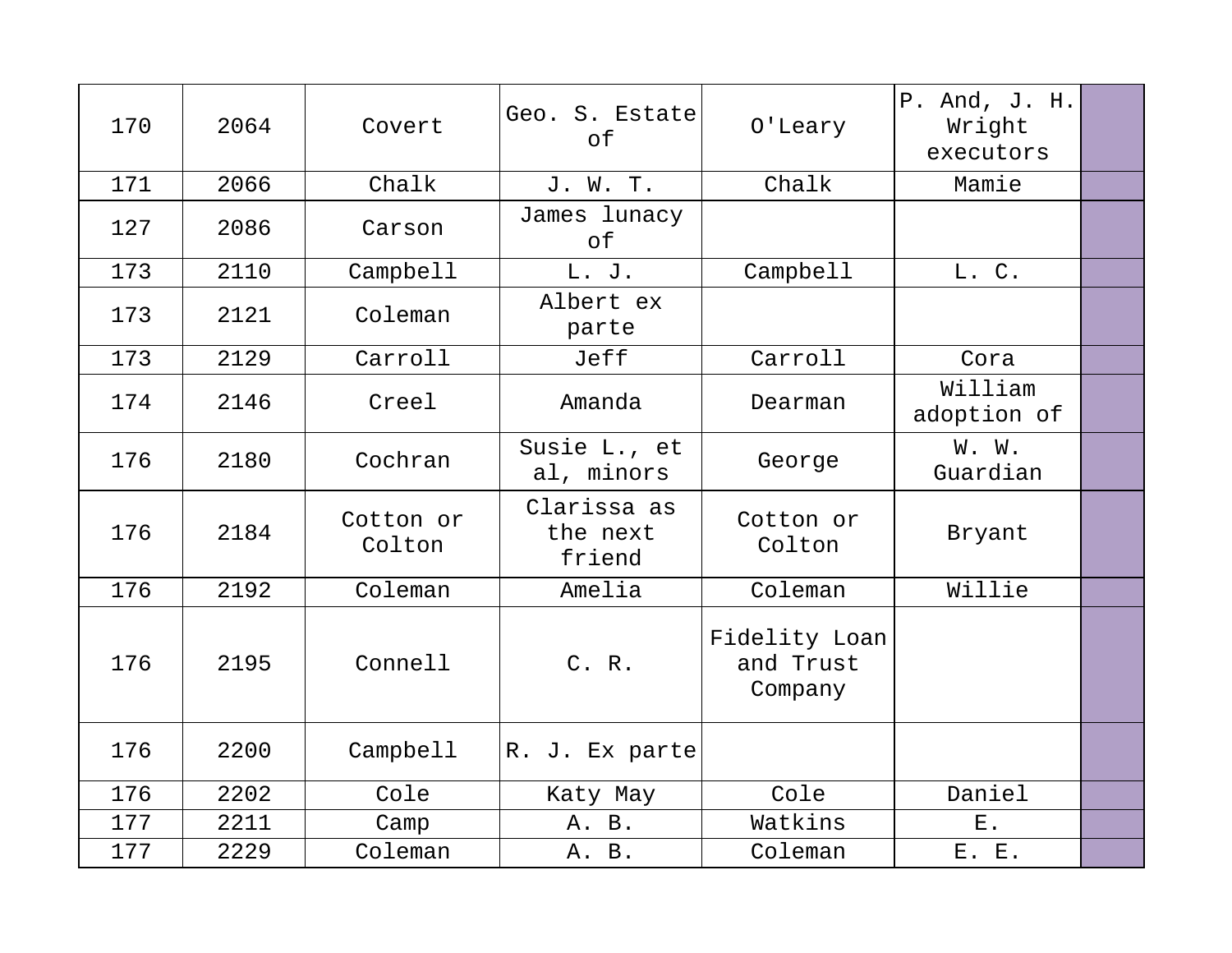| 170 | 2064 | Covert              | Geo. S. Estate<br>of              | O'Leary                               | P. And, J. H.<br>Wright<br>executors |  |
|-----|------|---------------------|-----------------------------------|---------------------------------------|--------------------------------------|--|
| 171 | 2066 | Chalk               | J. W. T.                          | Chalk                                 | Mamie                                |  |
| 127 | 2086 | Carson              | James lunacy<br>of                |                                       |                                      |  |
| 173 | 2110 | Campbell            | L. J.                             | Campbell                              | L. C.                                |  |
| 173 | 2121 | Coleman             | Albert ex<br>parte                |                                       |                                      |  |
| 173 | 2129 | Carroll             | Jeff                              | Carroll                               | Cora                                 |  |
| 174 | 2146 | Creel               | Amanda                            | Dearman                               | William<br>adoption of               |  |
| 176 | 2180 | Cochran             | Susie L., et<br>al, minors        | George                                | W. W.<br>Guardian                    |  |
| 176 | 2184 | Cotton or<br>Colton | Clarissa as<br>the next<br>friend | Cotton or<br>Colton                   | Bryant                               |  |
| 176 | 2192 | Coleman             | Amelia                            | Coleman                               | Willie                               |  |
| 176 | 2195 | Connell             | C. R.                             | Fidelity Loan<br>and Trust<br>Company |                                      |  |
| 176 | 2200 | Campbell            | R. J. Ex parte                    |                                       |                                      |  |
| 176 | 2202 | Cole                | Katy May                          | Cole                                  | Daniel                               |  |
| 177 | 2211 | Camp                | A. B.                             | Watkins                               | $E$ .                                |  |
| 177 | 2229 | Coleman             | A. B.                             | Coleman                               | E. E.                                |  |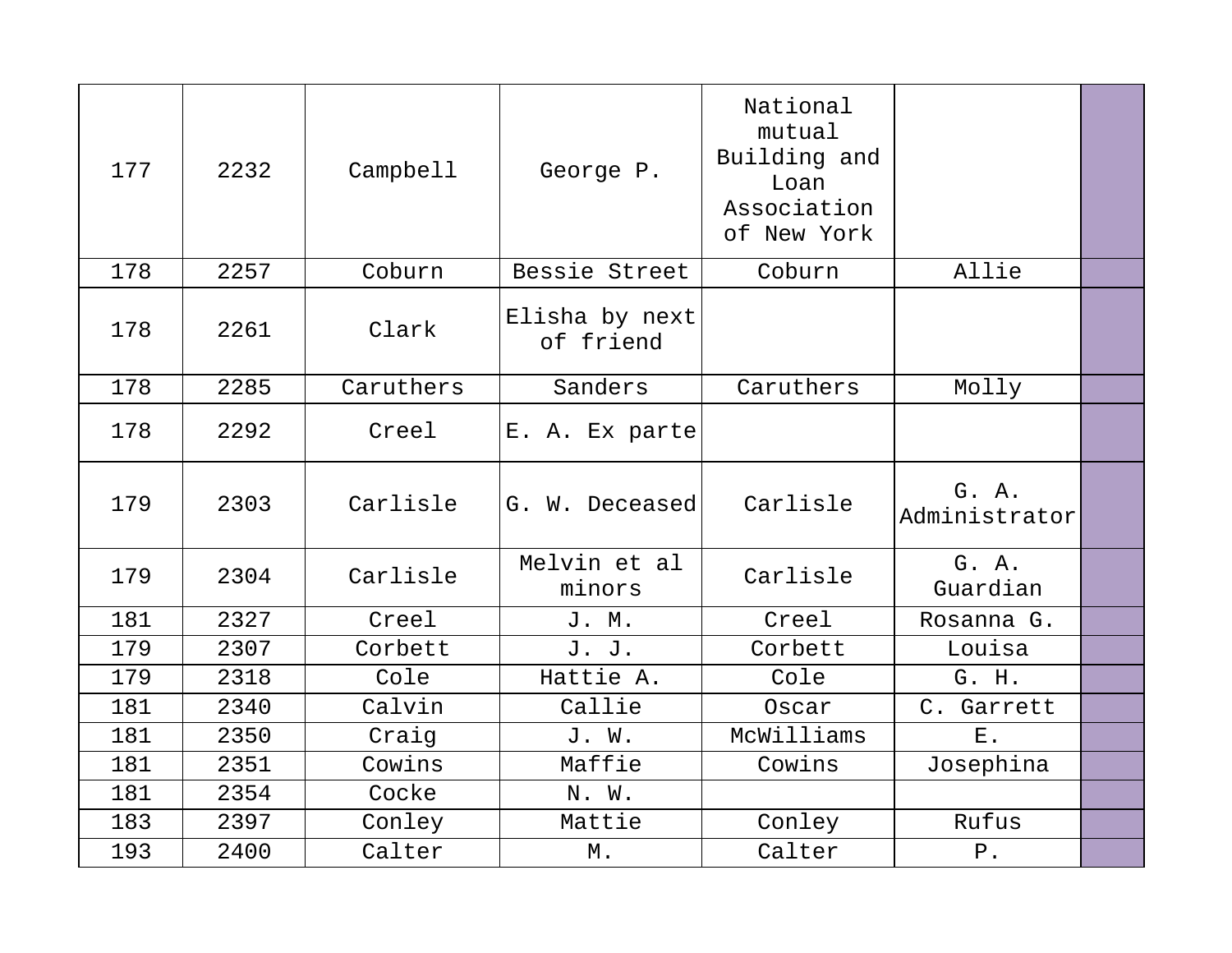| 177 | 2232 | Campbell  | George P.                   | National<br>mutual<br>Building and<br>Loan<br>Association<br>of New York |                        |  |
|-----|------|-----------|-----------------------------|--------------------------------------------------------------------------|------------------------|--|
| 178 | 2257 | Coburn    | Bessie Street               | Coburn                                                                   | Allie                  |  |
| 178 | 2261 | Clark     | Elisha by next<br>of friend |                                                                          |                        |  |
| 178 | 2285 | Caruthers | Sanders                     | Caruthers                                                                | Molly                  |  |
| 178 | 2292 | Creel     | E. A. Ex parte              |                                                                          |                        |  |
| 179 | 2303 | Carlisle  | G. W. Deceased              | Carlisle                                                                 | G. A.<br>Administrator |  |
| 179 | 2304 | Carlisle  | Melvin et al<br>minors      | Carlisle                                                                 | G. A.<br>Guardian      |  |
| 181 | 2327 | Creel     | J. M.                       | Creel                                                                    | Rosanna G.             |  |
| 179 | 2307 | Corbett   | J. J.                       | Corbett                                                                  | Louisa                 |  |
| 179 | 2318 | Cole      | Hattie A.                   | Cole                                                                     | G. H.                  |  |
| 181 | 2340 | Calvin    | Callie                      | Oscar                                                                    | C. Garrett             |  |
| 181 | 2350 | Craig     | J. W.                       | McWilliams                                                               | Ε.                     |  |
| 181 | 2351 | Cowins    | Maffie                      | Cowins                                                                   | Josephina              |  |
| 181 | 2354 | Cocke     | N. W.                       |                                                                          |                        |  |
| 183 | 2397 | Conley    | Mattie                      | Conley                                                                   | Rufus                  |  |
| 193 | 2400 | Calter    | М.                          | Calter                                                                   | $P$ .                  |  |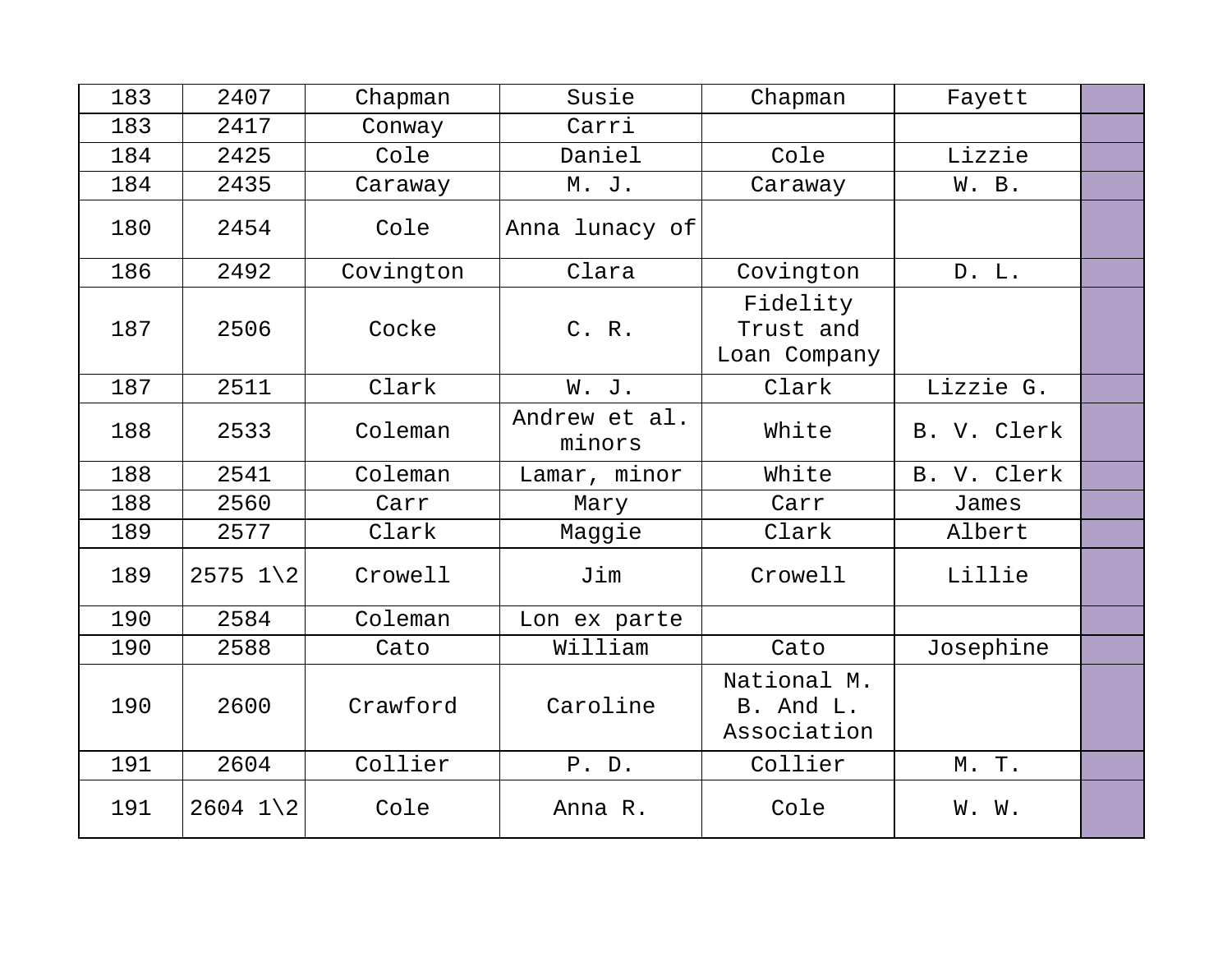| 183 | 2407                  | Chapman   | Susie                   | Chapman                                 | Fayett      |  |
|-----|-----------------------|-----------|-------------------------|-----------------------------------------|-------------|--|
| 183 | 2417                  | Conway    | Carri                   |                                         |             |  |
| 184 | 2425                  | Cole      | Daniel                  | Cole                                    | Lizzie      |  |
| 184 | 2435                  | Caraway   | M. J.                   | Caraway                                 | W. B.       |  |
| 180 | 2454                  | Cole      | Anna lunacy of          |                                         |             |  |
| 186 | 2492                  | Covington | Clara                   | Covington                               | D. L.       |  |
| 187 | 2506                  | Cocke     | C. R.                   | Fidelity<br>Trust and<br>Loan Company   |             |  |
| 187 | 2511                  | Clark     | W. J.                   | Clark                                   | Lizzie G.   |  |
| 188 | 2533                  | Coleman   | Andrew et al.<br>minors | White                                   | B. V. Clerk |  |
| 188 | 2541                  | Coleman   | Lamar, minor            | White                                   | B. V. Clerk |  |
| 188 | 2560                  | Carr      | Mary                    | Carr                                    | James       |  |
| 189 | 2577                  | Clark     | Maggie                  | Clark                                   | Albert      |  |
| 189 | $2575$ $1\backslash2$ | Crowell   | Jim                     | Crowell                                 | Lillie      |  |
| 190 | 2584                  | Coleman   | Lon ex parte            |                                         |             |  |
| 190 | 2588                  | Cato      | William                 | Cato                                    | Josephine   |  |
| 190 | 2600                  | Crawford  | Caroline                | National M.<br>B. And L.<br>Association |             |  |
| 191 | 2604                  | Collier   | P. D.                   | Collier                                 | M. T.       |  |
| 191 | $2604$ 1 2            | Cole      | Anna R.                 | Cole                                    | W. W.       |  |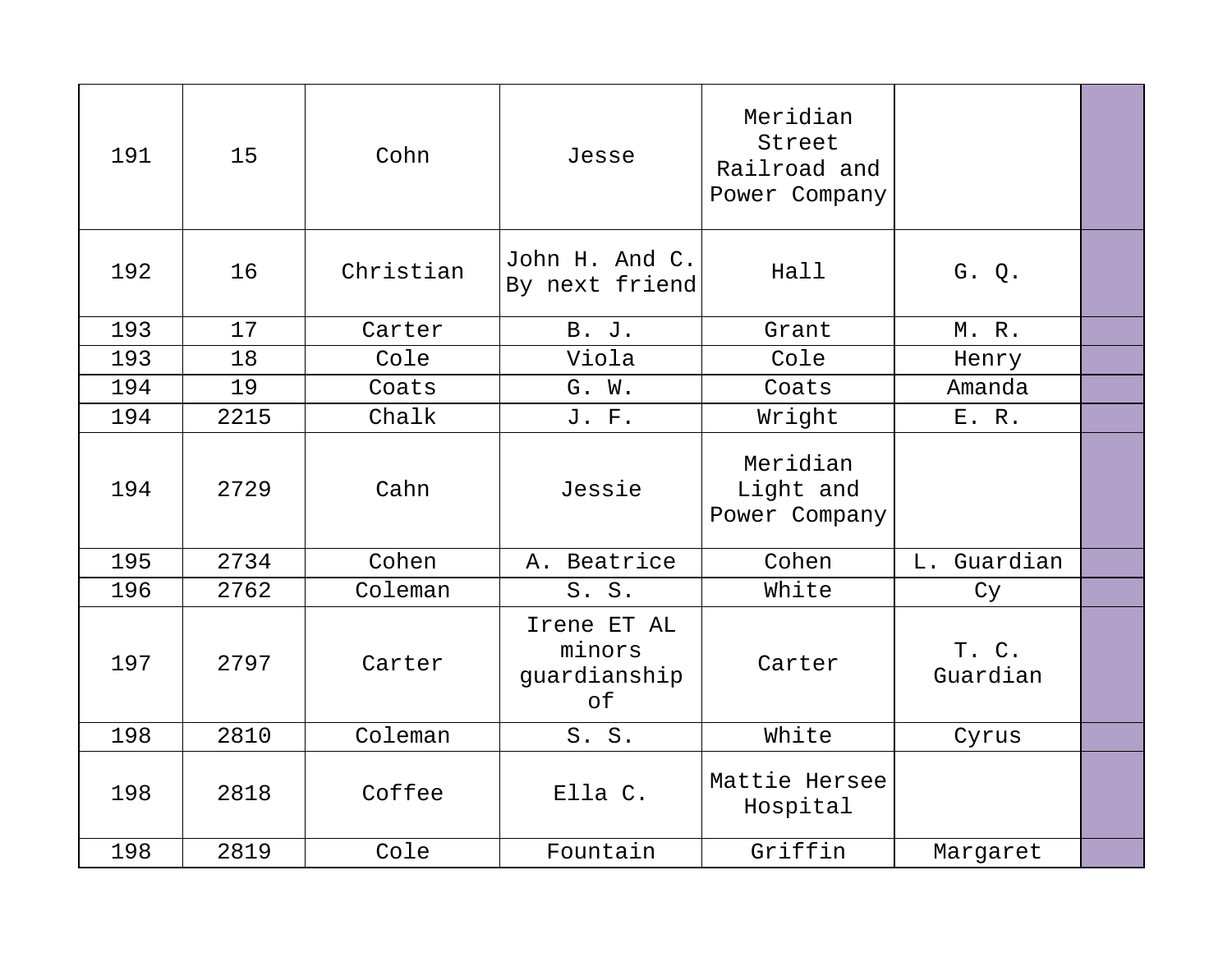| 191 | 15   | Cohn      | Jesse                                       | Meridian<br>Street<br>Railroad and<br>Power Company |                   |  |
|-----|------|-----------|---------------------------------------------|-----------------------------------------------------|-------------------|--|
| 192 | 16   | Christian | John H. And C.<br>By next friend            | Hall                                                | G. Q.             |  |
| 193 | 17   | Carter    | <b>B.</b> J.                                | Grant                                               | M. R.             |  |
| 193 | 18   | Cole      | Viola                                       | Cole                                                | Henry             |  |
| 194 | 19   | Coats     | G. W.                                       | Coats                                               | Amanda            |  |
| 194 | 2215 | Chalk     | J. F.                                       | Wright                                              | E. R.             |  |
| 194 | 2729 | Cahn      | Jessie                                      | Meridian<br>Light and<br>Power Company              |                   |  |
| 195 | 2734 | Cohen     | A. Beatrice                                 | Cohen                                               | L. Guardian       |  |
| 196 | 2762 | Coleman   | S. S.                                       | White                                               | Cy                |  |
| 197 | 2797 | Carter    | Irene ET AL<br>minors<br>guardianship<br>of | Carter                                              | T. C.<br>Guardian |  |
| 198 | 2810 | Coleman   | S. S.                                       | White                                               | Cyrus             |  |
| 198 | 2818 | Coffee    | Ella C.                                     | Mattie Hersee<br>Hospital                           |                   |  |
| 198 | 2819 | Cole      | Fountain                                    | Griffin                                             | Margaret          |  |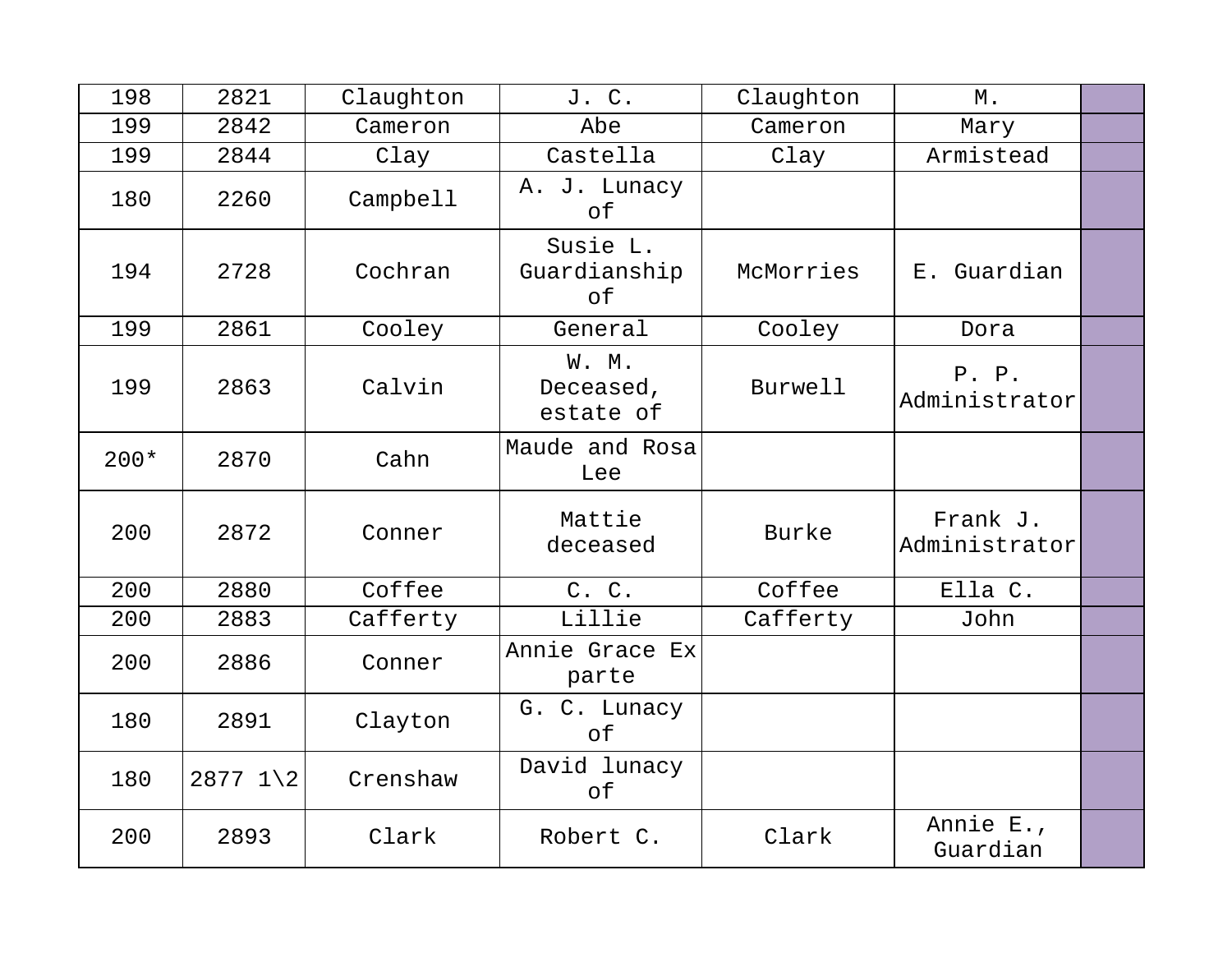| 198    | 2821           | Claughton | J. C.                           | Claughton | Μ.                        |  |
|--------|----------------|-----------|---------------------------------|-----------|---------------------------|--|
| 199    | 2842           | Cameron   | Abe                             | Cameron   | Mary                      |  |
| 199    | 2844           | Clay      | Castella                        | Clay      | Armistead                 |  |
| 180    | 2260           | Campbell  | A. J. Lunacy<br>оf              |           |                           |  |
| 194    | 2728           | Cochran   | Susie L.<br>Guardianship<br>оf  | McMorries | E. Guardian               |  |
| 199    | 2861           | Cooley    | General                         | Cooley    | Dora                      |  |
| 199    | 2863           | Calvin    | W. M.<br>Deceased,<br>estate of | Burwell   | P. P.<br>Administrator    |  |
| $200*$ | 2870           | Cahn      | Maude and Rosa<br>Lee           |           |                           |  |
| 200    | 2872           | Conner    | Mattie<br>deceased              | Burke     | Frank J.<br>Administrator |  |
| 200    | 2880           | Coffee    | C. C.                           | Coffee    | Ella C.                   |  |
| 200    | 2883           | Cafferty  | Lillie                          | Cafferty  | John                      |  |
| 200    | 2886           | Conner    | Annie Grace Ex<br>parte         |           |                           |  |
| 180    | 2891           | Clayton   | G. C. Lunacy<br>of              |           |                           |  |
| 180    | $2877 \t1 \t2$ | Crenshaw  | David lunacy<br>оf              |           |                           |  |
| 200    | 2893           | Clark     | Robert C.                       | Clark     | Annie E.,<br>Guardian     |  |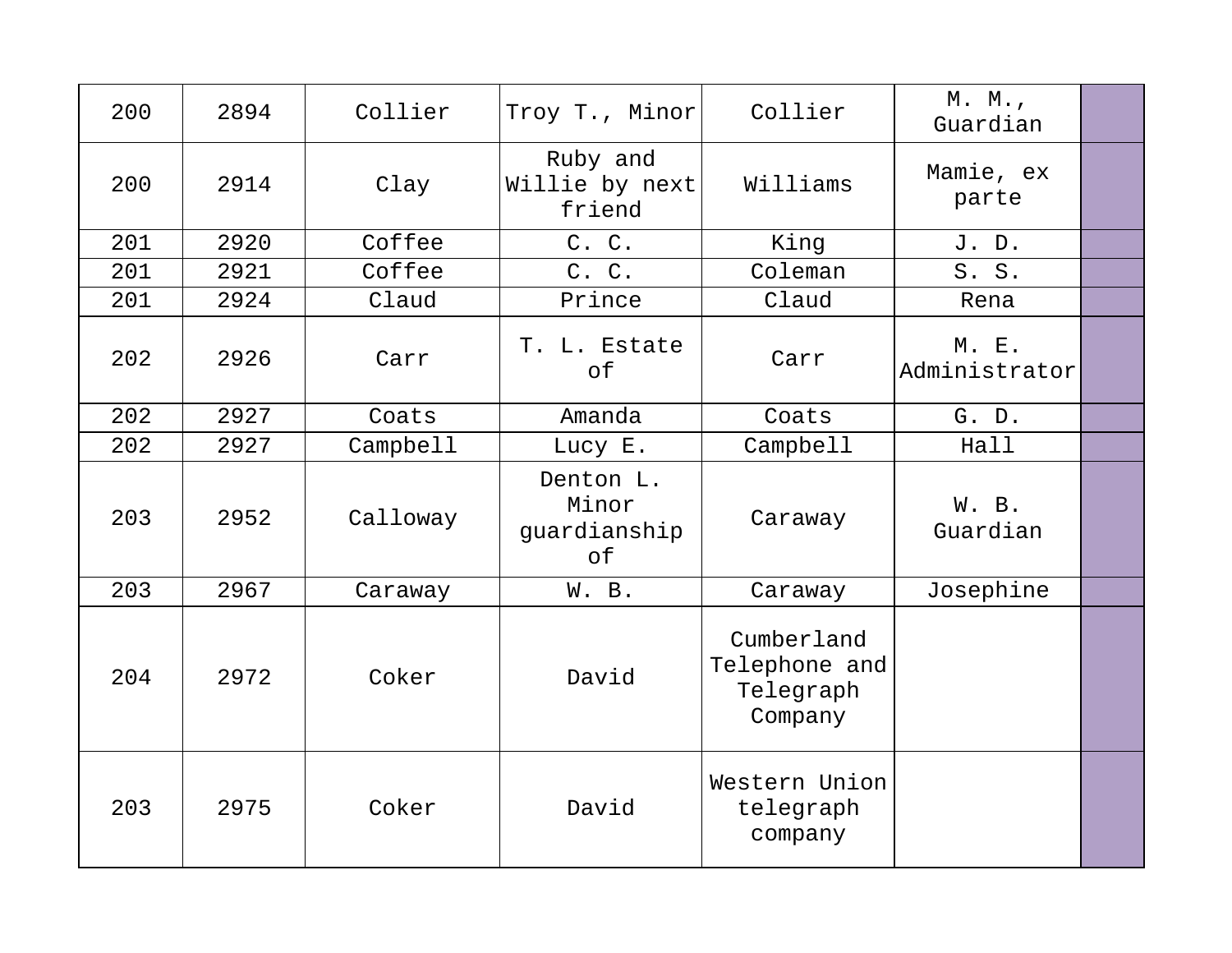| 200 | 2894 | Collier  | Troy T., Minor                           | Collier                                             | M. M.,<br>Guardian     |  |
|-----|------|----------|------------------------------------------|-----------------------------------------------------|------------------------|--|
| 200 | 2914 | Clay     | Ruby and<br>Willie by next<br>friend     | Williams                                            | Mamie, ex<br>parte     |  |
| 201 | 2920 | Coffee   | C. C.                                    | King                                                | J. D.                  |  |
| 201 | 2921 | Coffee   | C. C.                                    | Coleman                                             | S. S.                  |  |
| 201 | 2924 | Claud    | Prince                                   | Claud                                               | Rena                   |  |
| 202 | 2926 | Carr     | T. L. Estate<br>of                       | Carr                                                | M. E.<br>Administrator |  |
| 202 | 2927 | Coats    | Amanda                                   | Coats                                               | G. D.                  |  |
| 202 | 2927 | Campbell | Lucy E.                                  | Campbell                                            | Hall                   |  |
| 203 | 2952 | Calloway | Denton L.<br>Minor<br>guardianship<br>of | Caraway                                             | W. B.<br>Guardian      |  |
| 203 | 2967 | Caraway  | W. B.                                    | Caraway                                             | Josephine              |  |
| 204 | 2972 | Coker    | David                                    | Cumberland<br>Telephone and<br>Telegraph<br>Company |                        |  |
| 203 | 2975 | Coker    | David                                    | Western Union<br>telegraph<br>company               |                        |  |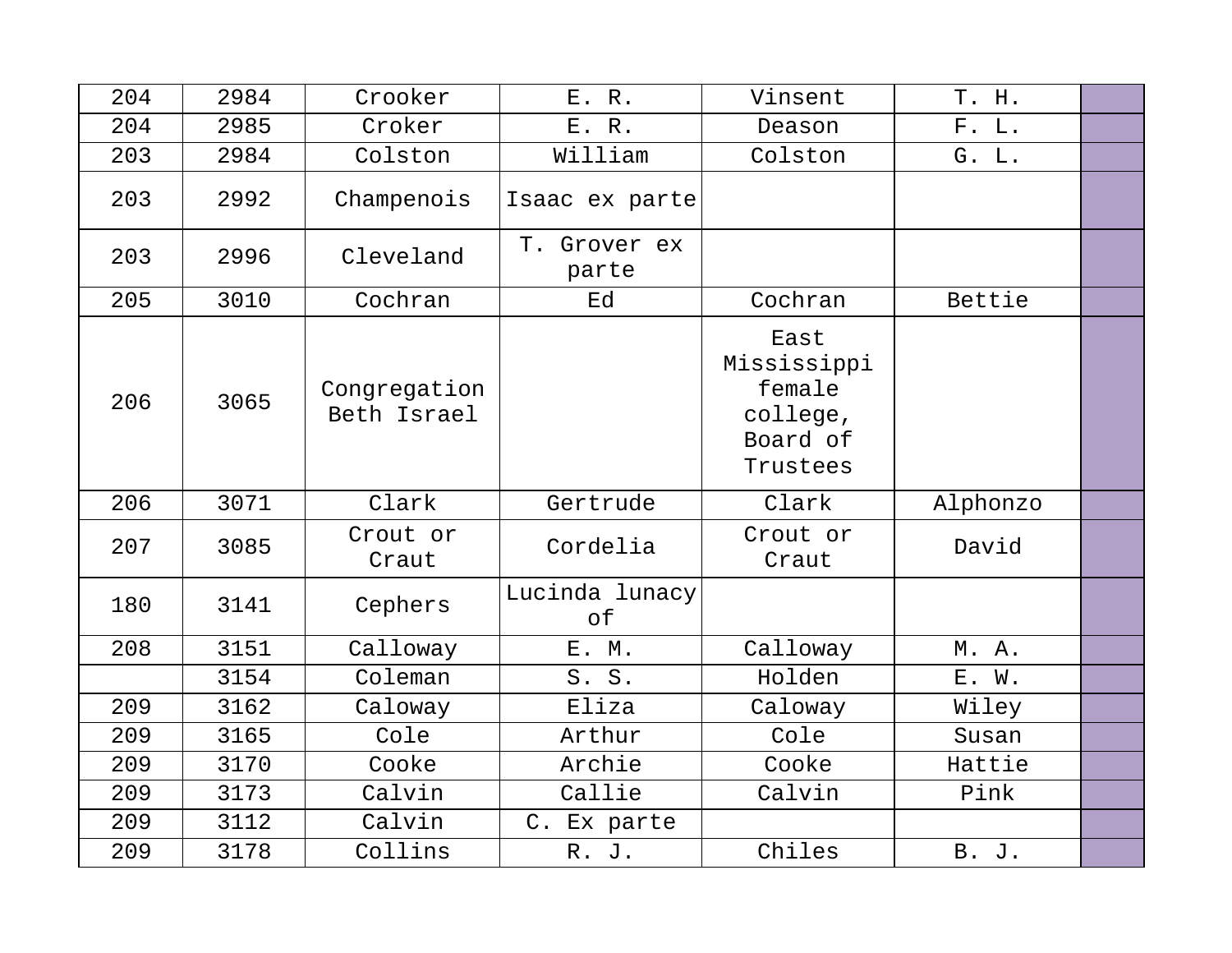| 204 | 2984 | Crooker                     | E. R.                 | Vinsent                                                           | T. H.        |  |
|-----|------|-----------------------------|-----------------------|-------------------------------------------------------------------|--------------|--|
| 204 | 2985 | Croker                      | E. R.                 | Deason                                                            | F. L.        |  |
| 203 | 2984 | Colston                     | William               | Colston                                                           | G. L.        |  |
| 203 | 2992 | Champenois                  | Isaac ex parte        |                                                                   |              |  |
| 203 | 2996 | Cleveland                   | T. Grover ex<br>parte |                                                                   |              |  |
| 205 | 3010 | Cochran                     | Ed                    | Cochran                                                           | Bettie       |  |
| 206 | 3065 | Congregation<br>Beth Israel |                       | East<br>Mississippi<br>female<br>college,<br>Board of<br>Trustees |              |  |
| 206 | 3071 | Clark                       | Gertrude              | Clark                                                             | Alphonzo     |  |
| 207 | 3085 | Crout or<br>Craut           | Cordelia              | Crout or<br>Craut                                                 | David        |  |
| 180 | 3141 | Cephers                     | Lucinda lunacy<br>of  |                                                                   |              |  |
| 208 | 3151 | Calloway                    | E. M.                 | Calloway                                                          | M. A.        |  |
|     | 3154 | Coleman                     | S. S.                 | Holden                                                            | E. W.        |  |
| 209 | 3162 | Caloway                     | Eliza                 | Caloway                                                           | Wiley        |  |
| 209 | 3165 | Cole                        | Arthur                | Cole                                                              | Susan        |  |
| 209 | 3170 | Cooke                       | Archie                | Cooke                                                             | Hattie       |  |
| 209 | 3173 | Calvin                      | Callie                | Calvin                                                            | Pink         |  |
| 209 | 3112 | Calvin                      | C. Ex parte           |                                                                   |              |  |
| 209 | 3178 | Collins                     | R. J.                 | Chiles                                                            | <b>B. J.</b> |  |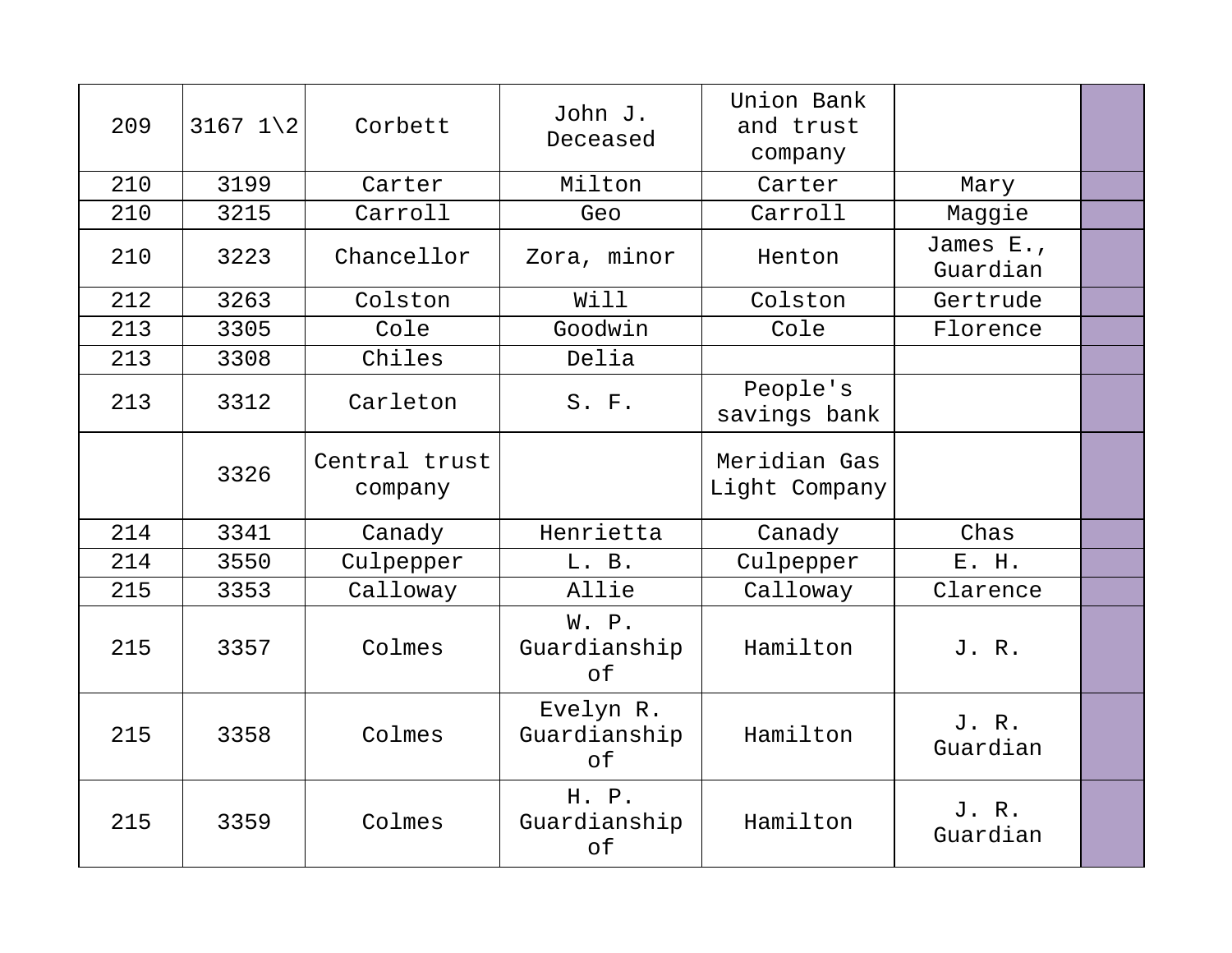| 209 | $3167$ $1\backslash2$ | Corbett                  | John J.<br>Deceased             | Union Bank<br>and trust<br>company |                       |  |
|-----|-----------------------|--------------------------|---------------------------------|------------------------------------|-----------------------|--|
| 210 | 3199                  | Carter                   | Milton                          | Carter                             | Mary                  |  |
| 210 | 3215                  | Carroll                  | Geo                             | Carroll                            | Maggie                |  |
| 210 | 3223                  | Chancellor               | Zora, minor                     | Henton                             | James E.,<br>Guardian |  |
| 212 | 3263                  | Colston                  | Will                            | Colston                            | Gertrude              |  |
| 213 | 3305                  | Cole                     | Goodwin                         | Cole                               | Florence              |  |
| 213 | 3308                  | Chiles                   | Delia                           |                                    |                       |  |
| 213 | 3312                  | Carleton                 | $S.$ $F.$                       | People's<br>savings bank           |                       |  |
|     | 3326                  | Central trust<br>company |                                 | Meridian Gas<br>Light Company      |                       |  |
| 214 | 3341                  | Canady                   | Henrietta                       | Canady                             | Chas                  |  |
| 214 | 3550                  | Culpepper                | L. B.                           | Culpepper                          | E. H.                 |  |
| 215 | 3353                  | Calloway                 | Allie                           | Calloway                           | Clarence              |  |
| 215 | 3357                  | Colmes                   | W. P.<br>Guardianship<br>of     | Hamilton                           | J. R.                 |  |
| 215 | 3358                  | Colmes                   | Evelyn R.<br>Guardianship<br>of | Hamilton                           | J. R.<br>Guardian     |  |
| 215 | 3359                  | Colmes                   | H. P.<br>Guardianship<br>of     | Hamilton                           | J. R.<br>Guardian     |  |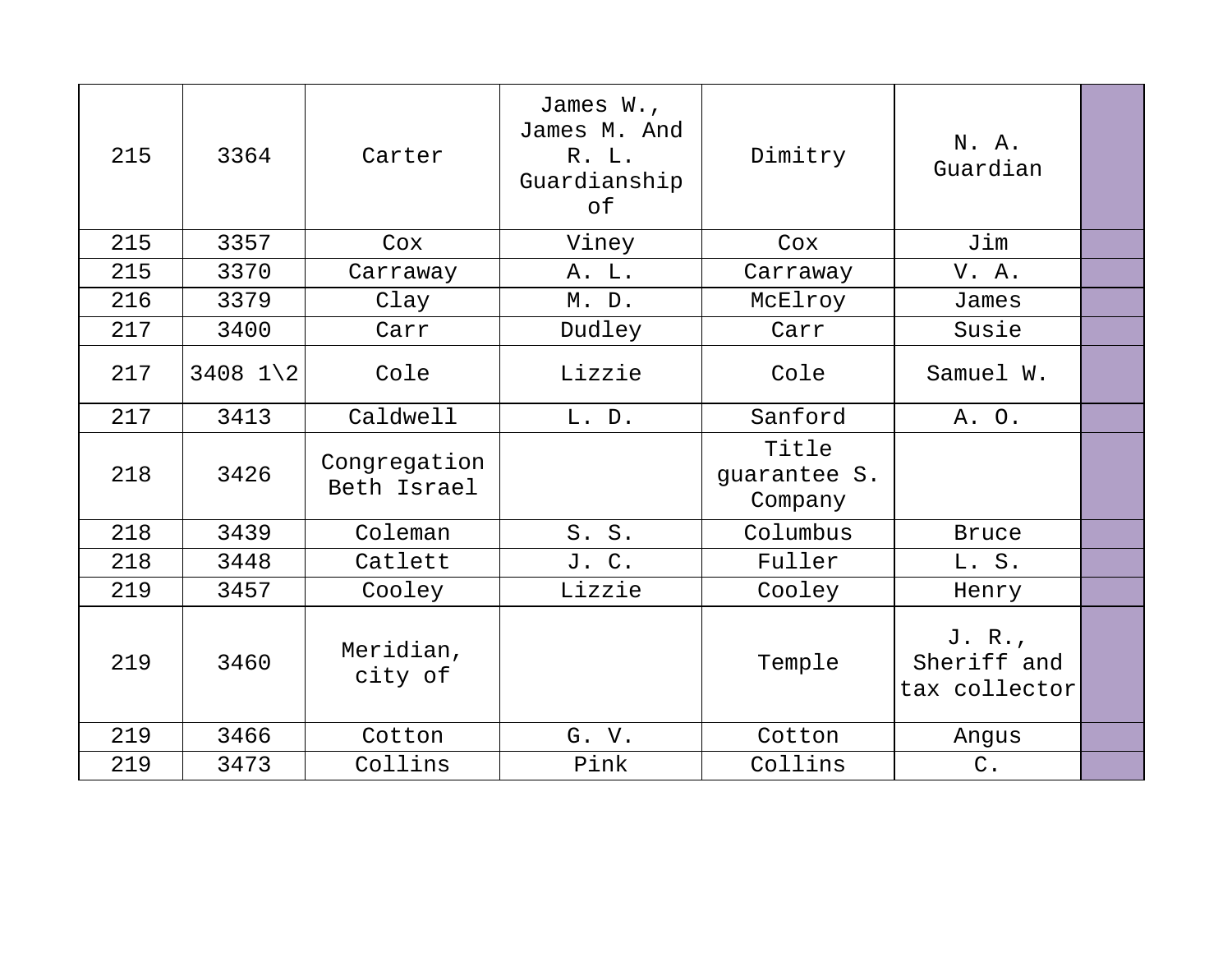| 215 | 3364                | Carter                      | James W.,<br>James M. And<br>R. L.<br>Guardianship<br>of | Dimitry                          | N. A.<br>Guardian                      |  |
|-----|---------------------|-----------------------------|----------------------------------------------------------|----------------------------------|----------------------------------------|--|
| 215 | 3357                | Cox                         | Viney                                                    | Cox                              | Jim                                    |  |
| 215 | 3370                | Carraway                    | A. L.                                                    | Carraway                         | V. A.                                  |  |
| 216 | 3379                | Clay                        | M. D.                                                    | McElroy                          | James                                  |  |
| 217 | 3400                | Carr                        | Dudley                                                   | Carr                             | Susie                                  |  |
| 217 | 3408 $1\backslash2$ | Cole                        | Lizzie                                                   | Cole                             | Samuel W.                              |  |
| 217 | 3413                | Caldwell                    | L. D.                                                    | Sanford                          | A. O.                                  |  |
| 218 | 3426                | Congregation<br>Beth Israel |                                                          | Title<br>quarantee S.<br>Company |                                        |  |
| 218 | 3439                | Coleman                     | S. S.                                                    | Columbus                         | <b>Bruce</b>                           |  |
| 218 | 3448                | Catlett                     | J. C.                                                    | Fuller                           | L. S.                                  |  |
| 219 | 3457                | Cooley                      | Lizzie                                                   | Cooley                           | Henry                                  |  |
| 219 | 3460                | Meridian,<br>city of        |                                                          | Temple                           | J. R.,<br>Sheriff and<br>tax collector |  |
| 219 | 3466                | Cotton                      | G. V.                                                    | Cotton                           | Angus                                  |  |
| 219 | 3473                | Collins                     | Pink                                                     | Collins                          | $C$ .                                  |  |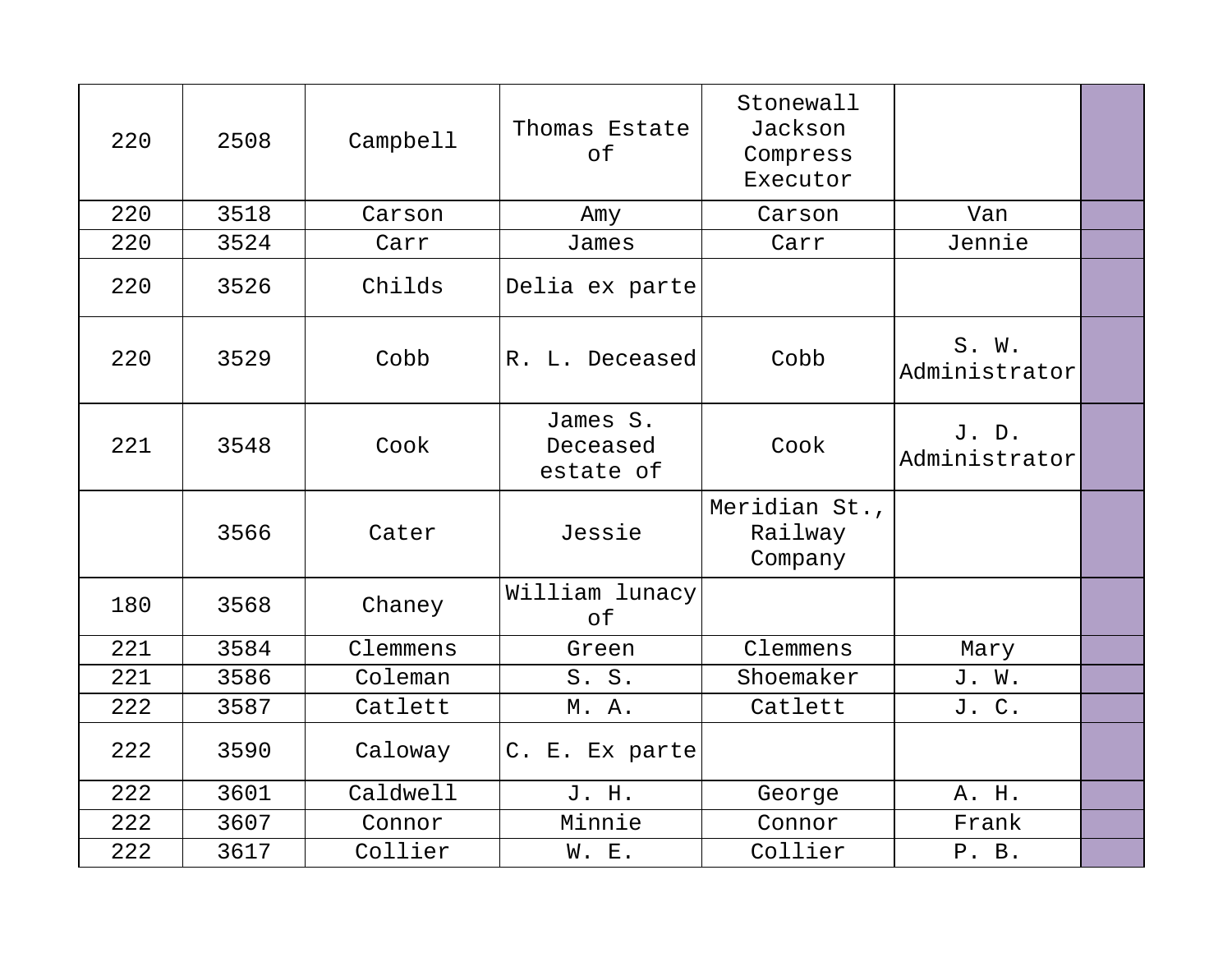| 220 | 2508 | Campbell | Thomas Estate<br>of               | Stonewall<br>Jackson<br>Compress<br>Executor |                        |  |
|-----|------|----------|-----------------------------------|----------------------------------------------|------------------------|--|
| 220 | 3518 | Carson   | Amy                               | Carson                                       | Van                    |  |
| 220 | 3524 | Carr     | James                             | Carr                                         | Jennie                 |  |
| 220 | 3526 | Childs   | Delia ex parte                    |                                              |                        |  |
| 220 | 3529 | Cobb     | R. L. Deceased                    | Cobb                                         | S. W.<br>Administrator |  |
| 221 | 3548 | Cook     | James S.<br>Deceased<br>estate of | Cook                                         | J.D.<br>Administrator  |  |
|     | 3566 | Cater    | Jessie                            | Meridian St.,<br>Railway<br>Company          |                        |  |
| 180 | 3568 | Chaney   | William lunacy<br>оf              |                                              |                        |  |
| 221 | 3584 | Clemmens | Green                             | Clemmens                                     | Mary                   |  |
| 221 | 3586 | Coleman  | S. S.                             | Shoemaker                                    | J. W.                  |  |
| 222 | 3587 | Catlett  | M. A.                             | Catlett                                      | J. C.                  |  |
| 222 | 3590 | Caloway  | C. E. Ex parte                    |                                              |                        |  |
| 222 | 3601 | Caldwell | J. H.                             | George                                       | A. H.                  |  |
| 222 | 3607 | Connor   | Minnie                            | Connor                                       | Frank                  |  |
| 222 | 3617 | Collier  | W. E.                             | Collier                                      | P. B.                  |  |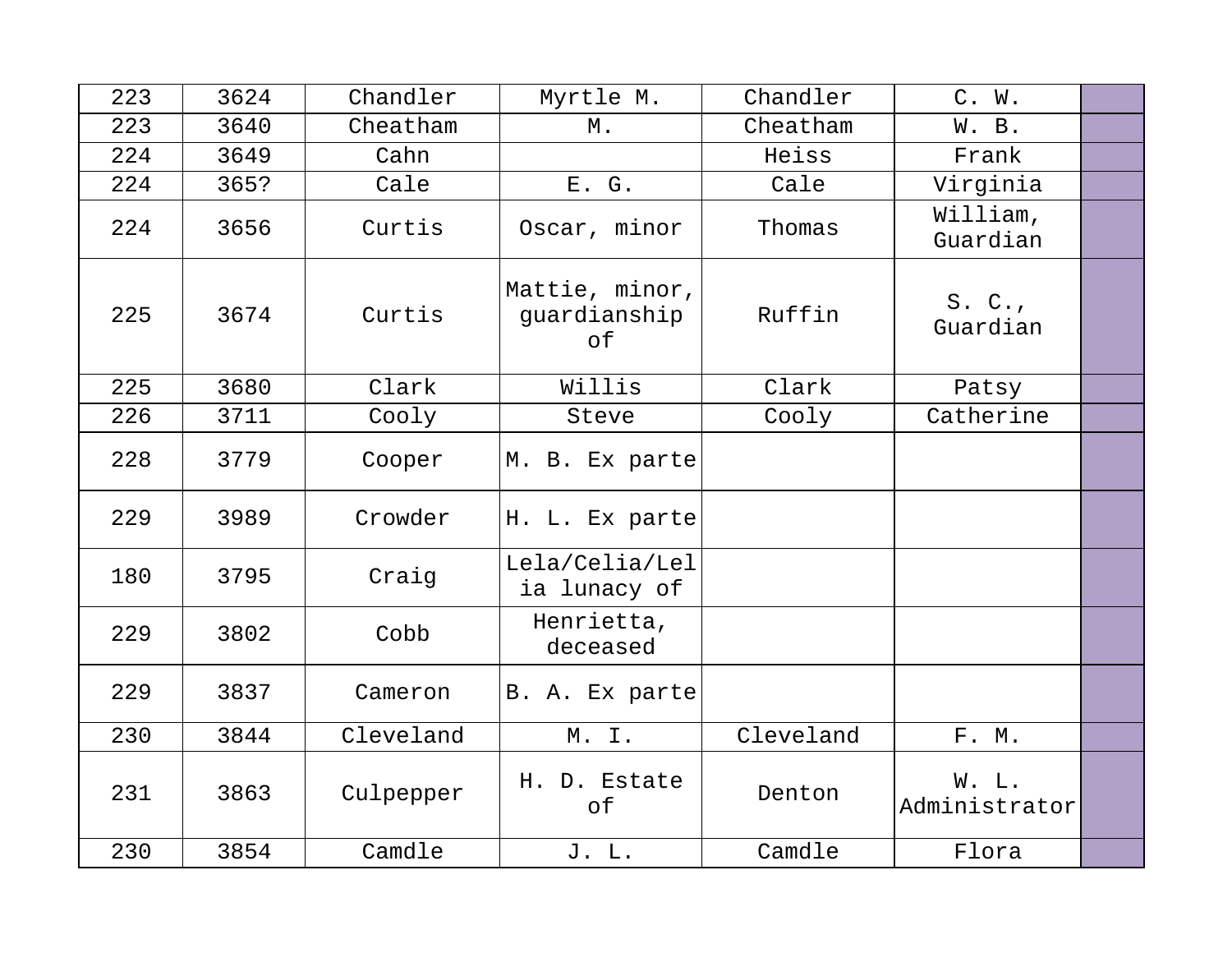| 223 | 3624 | Chandler  | Myrtle M.                            | Chandler  | C. W.                  |  |
|-----|------|-----------|--------------------------------------|-----------|------------------------|--|
| 223 | 3640 | Cheatham  | $M$ .                                | Cheatham  | W. B.                  |  |
| 224 | 3649 | Cahn      |                                      | Heiss     | Frank                  |  |
| 224 | 365? | Cale      | E. G.                                | Cale      | Virginia               |  |
| 224 | 3656 | Curtis    | Oscar, minor                         | Thomas    | William,<br>Guardian   |  |
| 225 | 3674 | Curtis    | Mattie, minor,<br>guardianship<br>of | Ruffin    | S. C.<br>Guardian      |  |
| 225 | 3680 | Clark     | Willis                               | Clark     | Patsy                  |  |
| 226 | 3711 | Cooly     | Steve                                | Cooly     | Catherine              |  |
| 228 | 3779 | Cooper    | M. B. Ex parte                       |           |                        |  |
| 229 | 3989 | Crowder   | H. L. Ex parte                       |           |                        |  |
| 180 | 3795 | Craig     | Lela/Celia/Lel<br>ia lunacy of       |           |                        |  |
| 229 | 3802 | Cobb      | Henrietta,<br>deceased               |           |                        |  |
| 229 | 3837 | Cameron   | B. A. Ex parte                       |           |                        |  |
| 230 | 3844 | Cleveland | M. I.                                | Cleveland | F. M.                  |  |
| 231 | 3863 | Culpepper | H. D. Estate<br>оf                   | Denton    | W. L.<br>Administrator |  |
| 230 | 3854 | Camdle    | J. L.                                | Camdle    | Flora                  |  |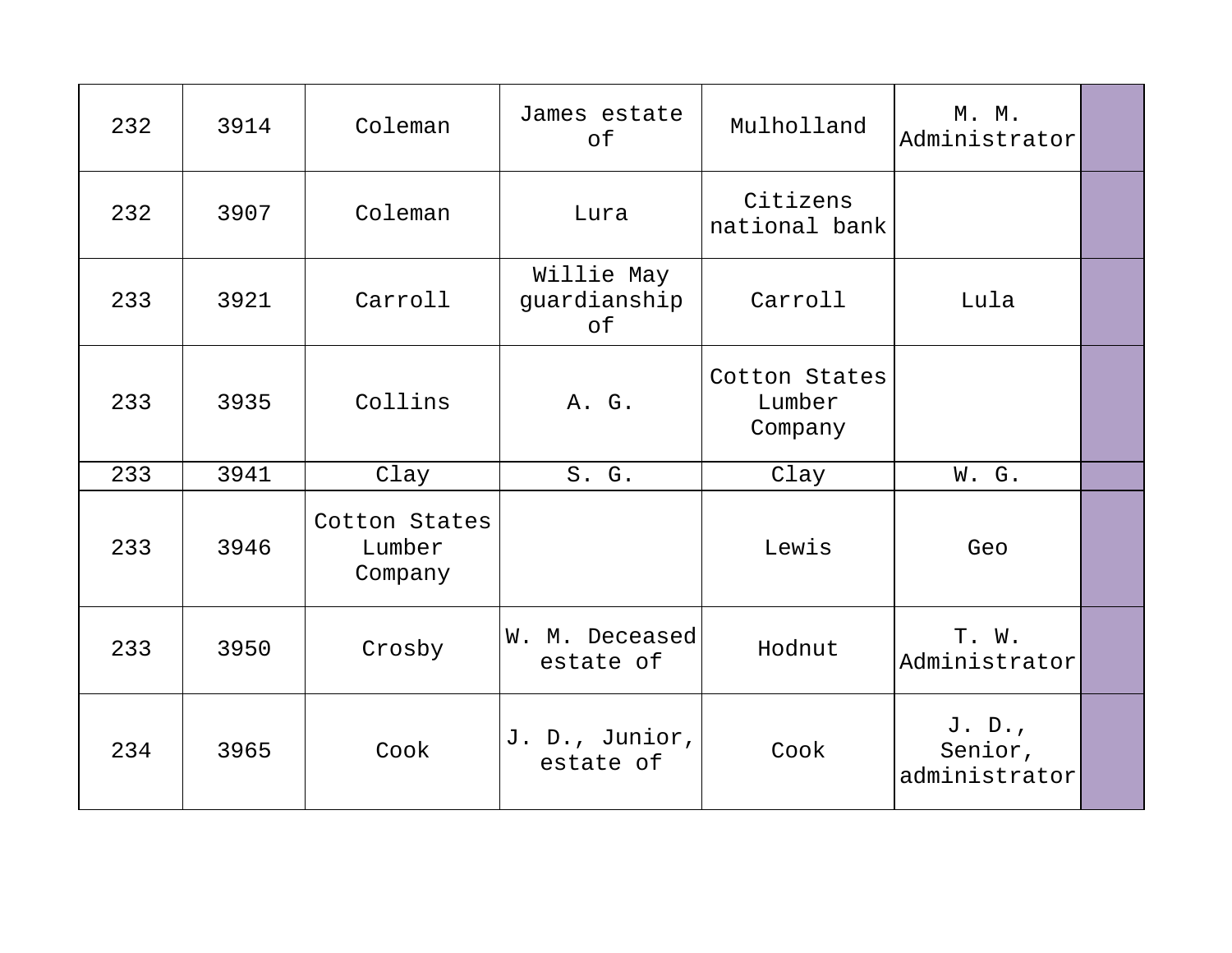| 232 | 3914 | Coleman                            | James estate<br>of               | Mulholland                         | M. M.<br>Administrator             |  |
|-----|------|------------------------------------|----------------------------------|------------------------------------|------------------------------------|--|
| 232 | 3907 | Coleman                            | Lura                             | Citizens<br>national bank          |                                    |  |
| 233 | 3921 | Carroll                            | Willie May<br>guardianship<br>of | Carroll                            | Lula                               |  |
| 233 | 3935 | Collins                            | A. G.                            | Cotton States<br>Lumber<br>Company |                                    |  |
| 233 | 3941 | Clay                               | S. G.                            | Clay                               | W. G.                              |  |
| 233 | 3946 | Cotton States<br>Lumber<br>Company |                                  | Lewis                              | Geo                                |  |
| 233 | 3950 | Crosby                             | W. M. Deceased<br>estate of      | Hodnut                             | T. W.<br>Administrator             |  |
| 234 | 3965 | Cook                               | J. D., Junior,<br>estate of      | Cook                               | J. D.,<br>Senior,<br>administrator |  |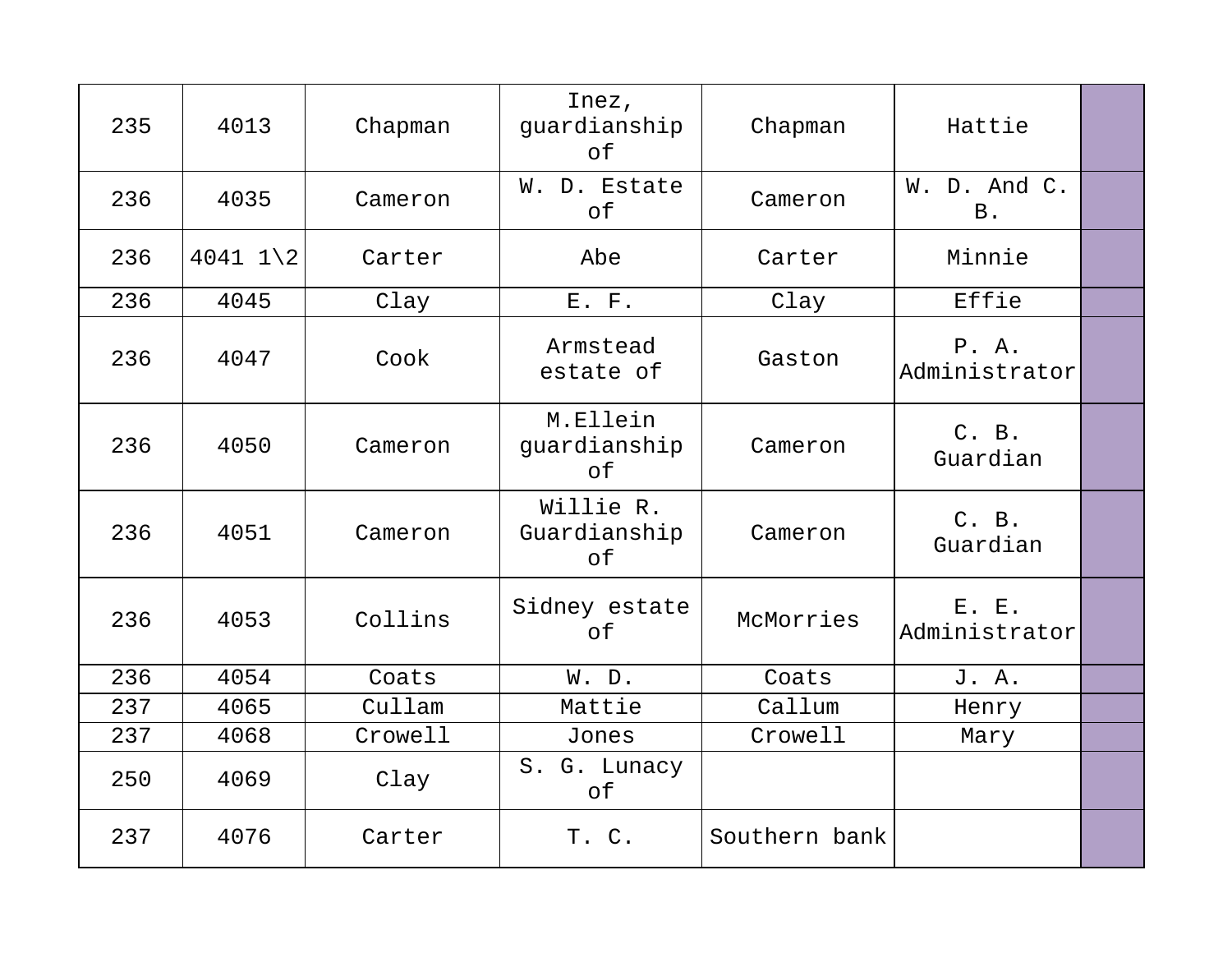| 235 | 4013                   | Chapman | Inez,<br>guardianship<br>оf     | Chapman       | Hattie                     |  |
|-----|------------------------|---------|---------------------------------|---------------|----------------------------|--|
| 236 | 4035                   | Cameron | W. D. Estate<br>of              | Cameron       | W. D. And C.<br><b>B</b> . |  |
| 236 | $4041$ $1\backslash 2$ | Carter  | Abe                             | Carter        | Minnie                     |  |
| 236 | 4045                   | Clay    | E. F.                           | Clay          | Effie                      |  |
| 236 | 4047                   | Cook    | Armstead<br>estate of           | Gaston        | P. A.<br>Administrator     |  |
| 236 | 4050                   | Cameron | M.Ellein<br>guardianship<br>of  | Cameron       | C. B.<br>Guardian          |  |
| 236 | 4051                   | Cameron | Willie R.<br>Guardianship<br>of | Cameron       | C. B.<br>Guardian          |  |
| 236 | 4053                   | Collins | Sidney estate<br>of             | McMorries     | E. E.<br>Administrator     |  |
| 236 | 4054                   | Coats   | W. D.                           | Coats         | J. A.                      |  |
| 237 | 4065                   | Cullam  | Mattie                          | Callum        | Henry                      |  |
| 237 | 4068                   | Crowell | Jones                           | Crowell       | Mary                       |  |
| 250 | 4069                   | Clay    | S. G. Lunacy<br>of              |               |                            |  |
| 237 | 4076                   | Carter  | T. C.                           | Southern bank |                            |  |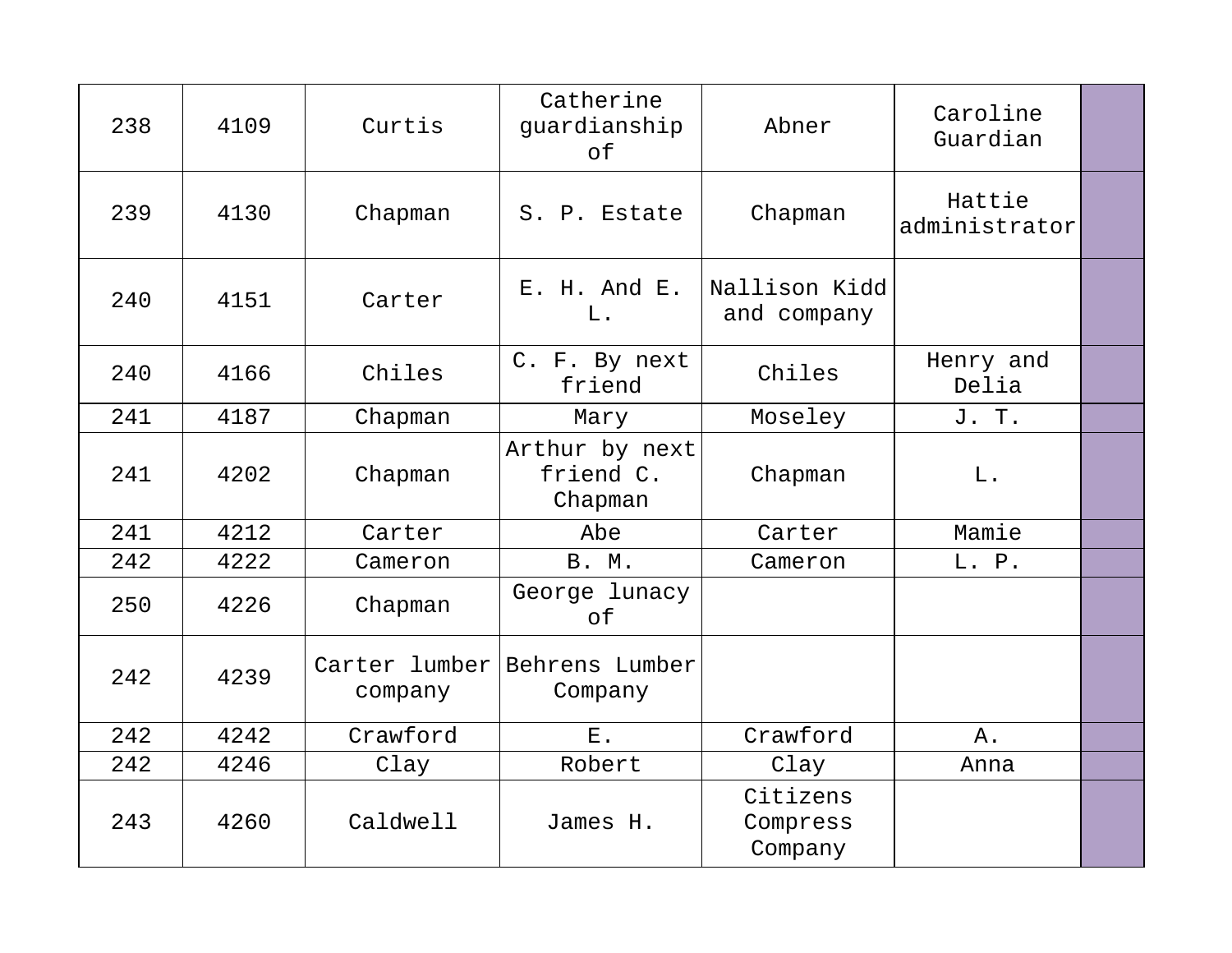| 238 | 4109 | Curtis   | Catherine<br>guardianship<br>оf           | Abner                           | Caroline<br>Guardian    |  |
|-----|------|----------|-------------------------------------------|---------------------------------|-------------------------|--|
| 239 | 4130 | Chapman  | S. P. Estate                              | Chapman                         | Hattie<br>administrator |  |
| 240 | 4151 | Carter   | E. H. And E.<br>L.                        | Nallison Kidd<br>and company    |                         |  |
| 240 | 4166 | Chiles   | C. F. By next<br>friend                   | Chiles                          | Henry and<br>Delia      |  |
| 241 | 4187 | Chapman  | Mary                                      | Moseley                         | J. T.                   |  |
| 241 | 4202 | Chapman  | Arthur by next<br>friend C.<br>Chapman    | Chapman                         | L.                      |  |
| 241 | 4212 | Carter   | Abe                                       | Carter                          | Mamie                   |  |
| 242 | 4222 | Cameron  | <b>B. M.</b>                              | Cameron                         | L. P.                   |  |
| 250 | 4226 | Chapman  | George lunacy<br>оf                       |                                 |                         |  |
| 242 | 4239 | company  | Carter lumber   Behrens Lumber<br>Company |                                 |                         |  |
| 242 | 4242 | Crawford | $E$ .                                     | Crawford                        | Α.                      |  |
| 242 | 4246 | Clay     | Robert                                    | Clay                            | Anna                    |  |
| 243 | 4260 | Caldwell | James H.                                  | Citizens<br>Compress<br>Company |                         |  |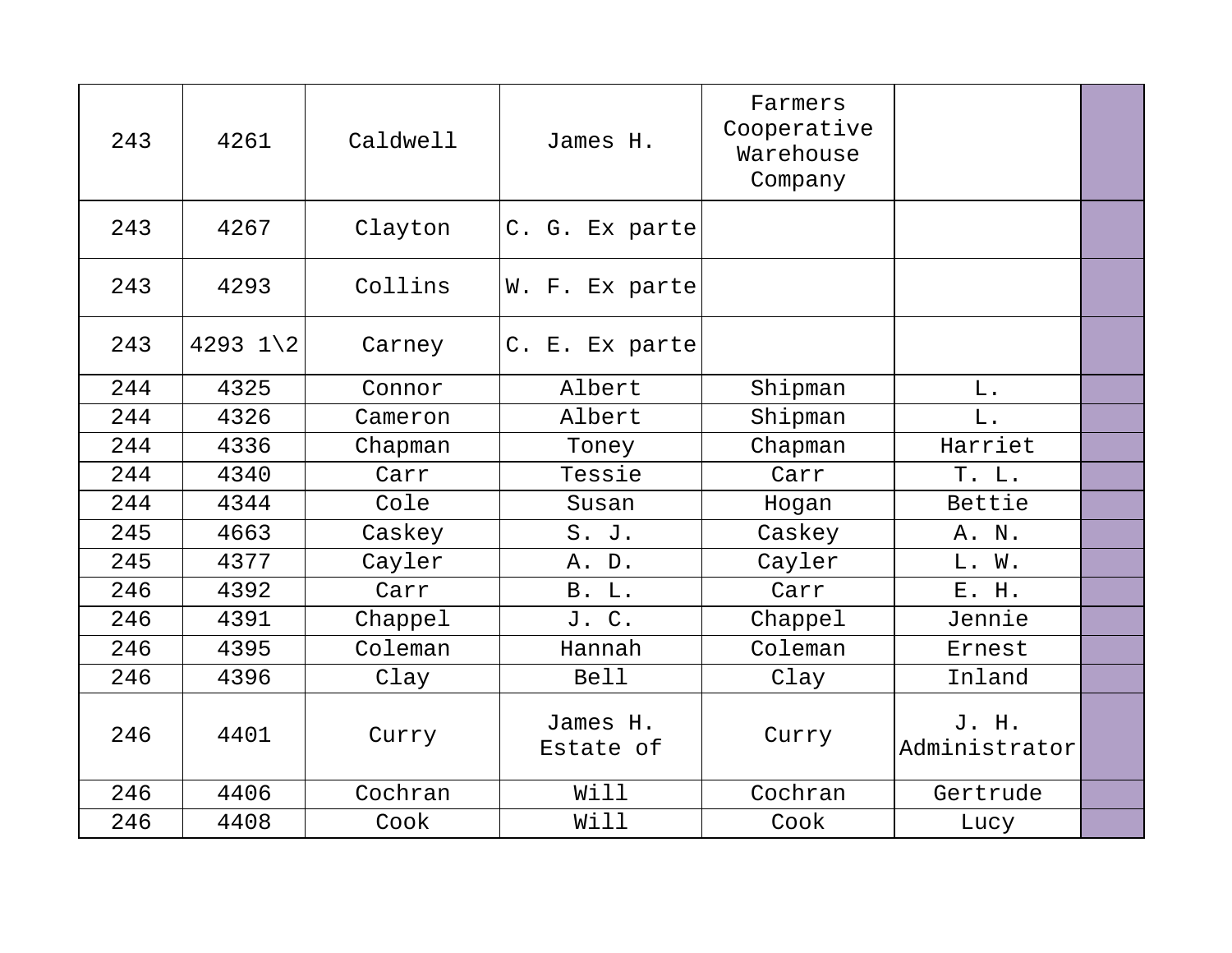| 243 | 4261                | Caldwell | James H.              | Farmers<br>Cooperative<br>Warehouse<br>Company |                        |  |
|-----|---------------------|----------|-----------------------|------------------------------------------------|------------------------|--|
| 243 | 4267                | Clayton  | C. G. Ex parte        |                                                |                        |  |
| 243 | 4293                | Collins  | W. F. Ex parte        |                                                |                        |  |
| 243 | 4293 $1\backslash2$ | Carney   | C. E. Ex parte        |                                                |                        |  |
| 244 | 4325                | Connor   | Albert                | Shipman                                        | $L$ .                  |  |
| 244 | 4326                | Cameron  | Albert                | Shipman                                        | L.                     |  |
| 244 | 4336                | Chapman  | Toney                 | Chapman                                        | Harriet                |  |
| 244 | 4340                | Carr     | Tessie                | Carr                                           | T. L.                  |  |
| 244 | 4344                | Cole     | Susan                 | Hogan                                          | Bettie                 |  |
| 245 | 4663                | Caskey   | S. J.                 | Caskey                                         | A. N.                  |  |
| 245 | 4377                | Cayler   | A. D.                 | Cayler                                         | L. W.                  |  |
| 246 | 4392                | Carr     | B. L.                 | Carr                                           | E. H.                  |  |
| 246 | 4391                | Chappel  | J. C.                 | Chappel                                        | Jennie                 |  |
| 246 | 4395                | Coleman  | Hannah                | Coleman                                        | Ernest                 |  |
| 246 | 4396                | Clay     | <b>Bell</b>           | Clay                                           | Inland                 |  |
| 246 | 4401                | Curry    | James H.<br>Estate of | Curry                                          | J. H.<br>Administrator |  |
| 246 | 4406                | Cochran  | Will                  | Cochran                                        | Gertrude               |  |
| 246 | 4408                | Cook     | Will                  | Cook                                           | Lucy                   |  |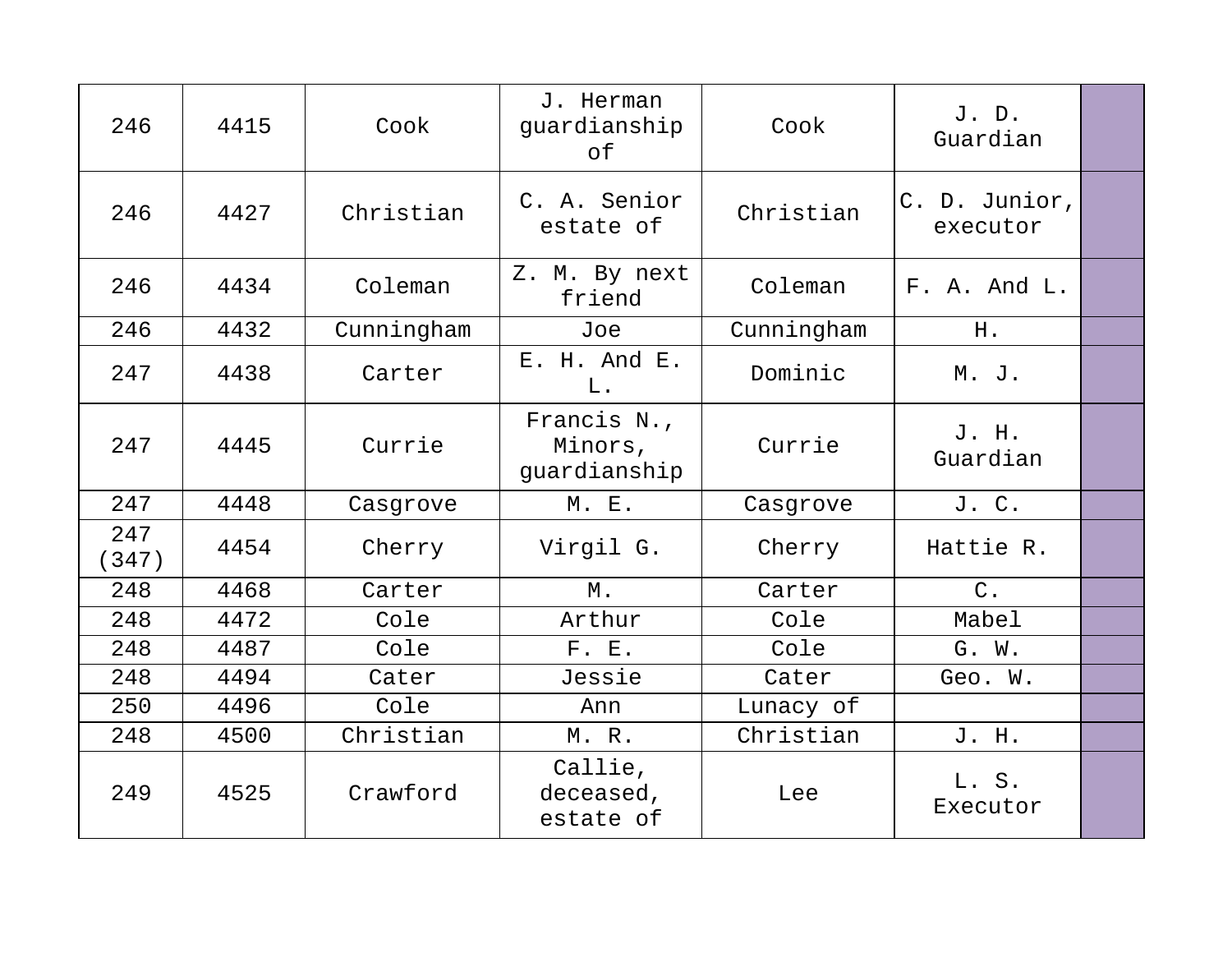| 246          | 4415 | Cook       | J. Herman<br>guardianship<br>of        | Cook       | J.D.<br>Guardian          |  |
|--------------|------|------------|----------------------------------------|------------|---------------------------|--|
| 246          | 4427 | Christian  | C. A. Senior<br>estate of              | Christian  | C. D. Junior,<br>executor |  |
| 246          | 4434 | Coleman    | Z. M. By next<br>friend                | Coleman    | F. A. And L.              |  |
| 246          | 4432 | Cunningham | Joe                                    | Cunningham | H.                        |  |
| 247          | 4438 | Carter     | E. H. And E.<br>L.                     | Dominic    | M. J.                     |  |
| 247          | 4445 | Currie     | Francis N.,<br>Minors,<br>guardianship | Currie     | J. H.<br>Guardian         |  |
| 247          | 4448 | Casgrove   | M. E.                                  | Casgrove   | J. C.                     |  |
| 247<br>(347) | 4454 | Cherry     | Virgil G.                              | Cherry     | Hattie R.                 |  |
| 248          | 4468 | Carter     | $M$ .                                  | Carter     | $C$ .                     |  |
| 248          | 4472 | Cole       | Arthur                                 | Cole       | Mabel                     |  |
| 248          | 4487 | Cole       | F. E.                                  | Cole       | G. W.                     |  |
| 248          | 4494 | Cater      | Jessie                                 | Cater      | Geo. W.                   |  |
| 250          | 4496 | Cole       | Ann                                    | Lunacy of  |                           |  |
| 248          | 4500 | Christian  | M. R.                                  | Christian  | J. H.                     |  |
| 249          | 4525 | Crawford   | Callie,<br>deceased,<br>estate of      | Lee        | L. S.<br>Executor         |  |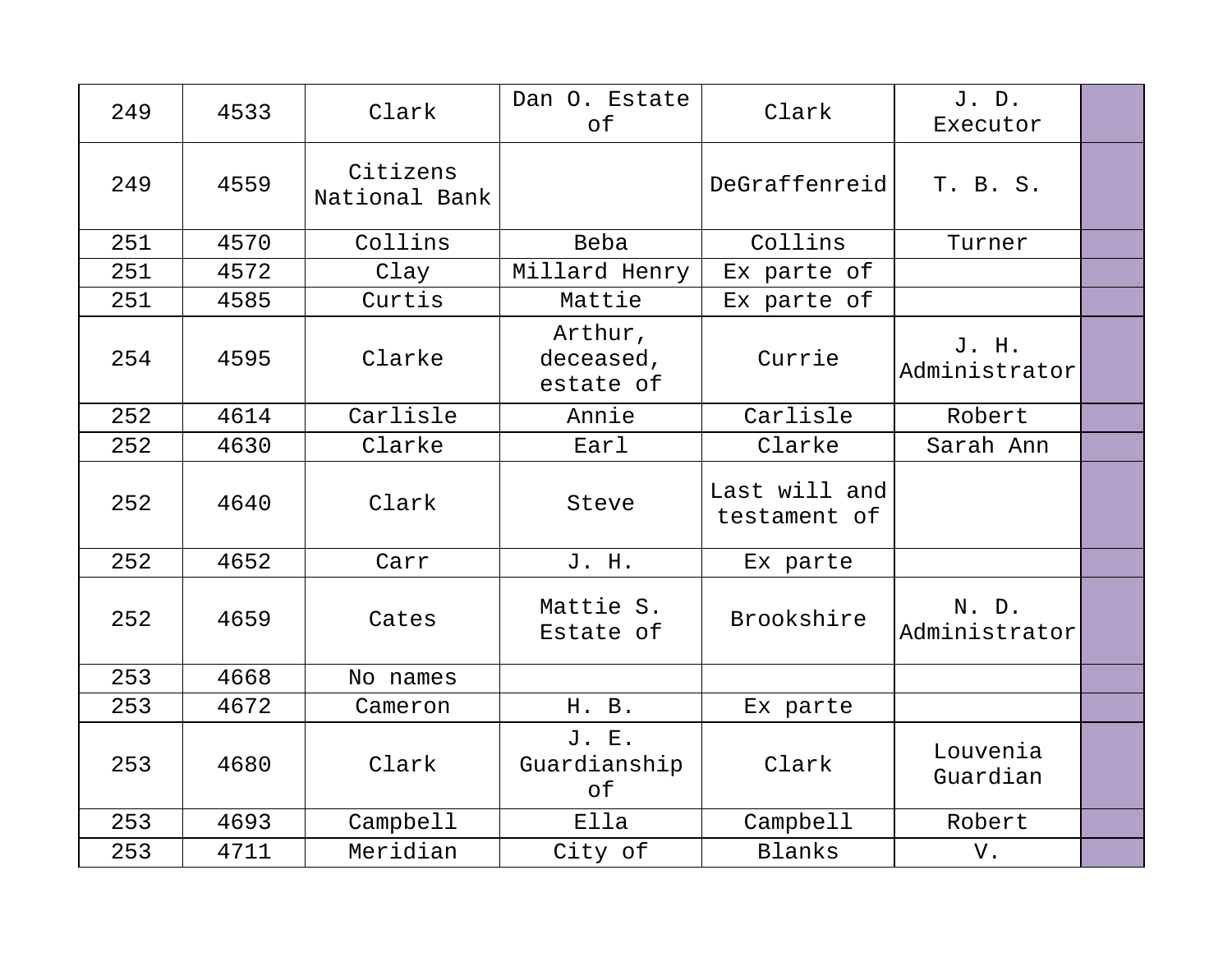| 249 | 4533 | Clark                     | Dan O. Estate<br>of               | Clark                         | J. D.<br>Executor      |  |
|-----|------|---------------------------|-----------------------------------|-------------------------------|------------------------|--|
| 249 | 4559 | Citizens<br>National Bank |                                   | DeGraffenreid                 | T. B. S.               |  |
| 251 | 4570 | Collins                   | Beba                              | Collins                       | Turner                 |  |
| 251 | 4572 | Clay                      | Millard Henry                     | Ex parte of                   |                        |  |
| 251 | 4585 | Curtis                    | Mattie                            | Ex parte of                   |                        |  |
| 254 | 4595 | Clarke                    | Arthur,<br>deceased,<br>estate of | Currie                        | J. H.<br>Administrator |  |
| 252 | 4614 | Carlisle                  | Annie                             | Carlisle                      | Robert                 |  |
| 252 | 4630 | Clarke                    | Earl                              | Clarke                        | Sarah Ann              |  |
| 252 | 4640 | Clark                     | Steve                             | Last will and<br>testament of |                        |  |
| 252 | 4652 | Carr                      | J. H.                             | Ex parte                      |                        |  |
| 252 | 4659 | Cates                     | Mattie S.<br>Estate of            | Brookshire                    | N. D.<br>Administrator |  |
| 253 | 4668 | No names                  |                                   |                               |                        |  |
| 253 | 4672 | Cameron                   | H. B.                             | Ex parte                      |                        |  |
| 253 | 4680 | Clark                     | J. E.<br>Guardianship<br>оf       | Clark                         | Louvenia<br>Guardian   |  |
| 253 | 4693 | Campbell                  | Ella                              | Campbell                      | Robert                 |  |
| 253 | 4711 | Meridian                  | City of                           | Blanks                        | V.                     |  |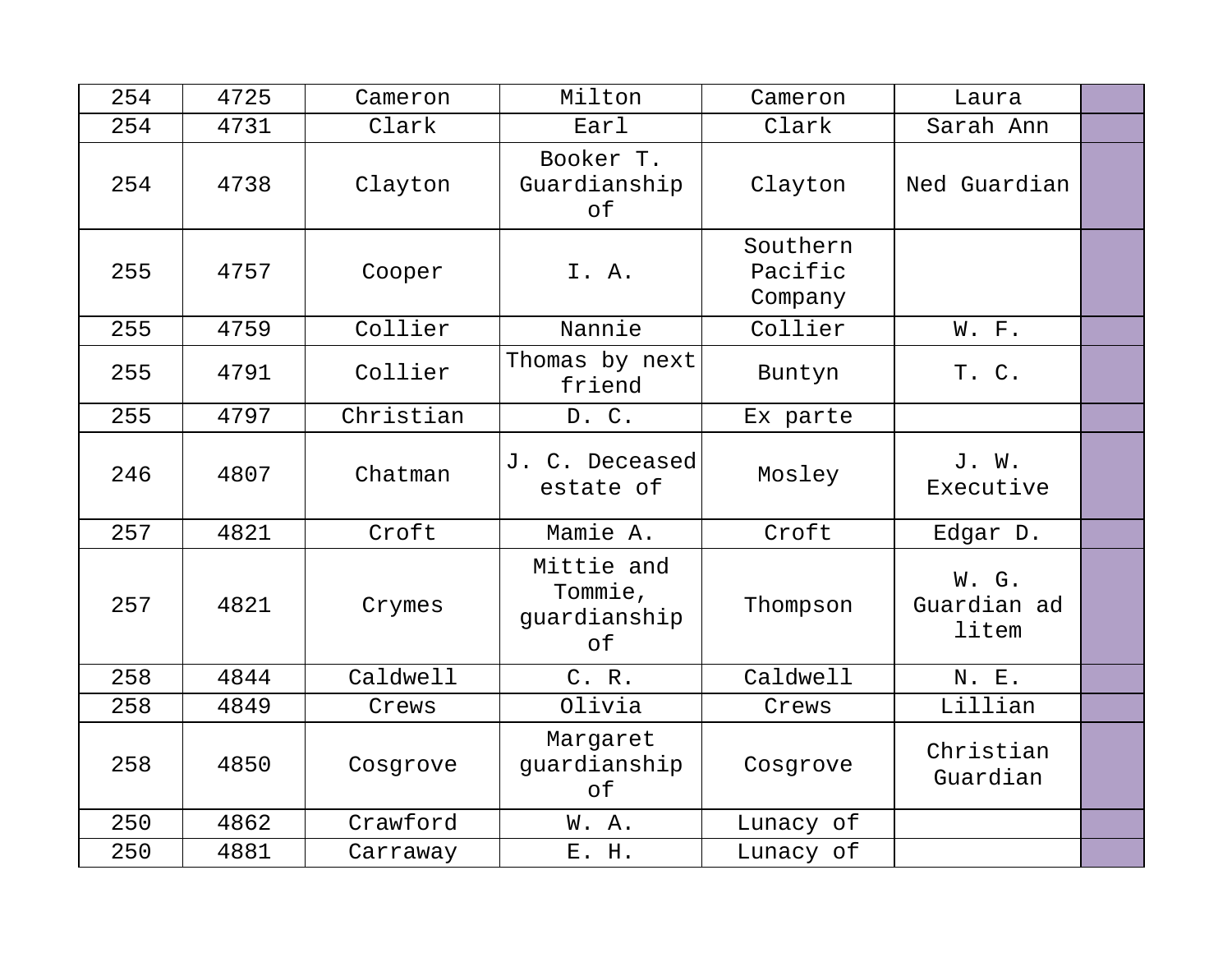| 254 | 4725 | Cameron   | Milton                                      | Cameron                        | Laura                         |  |
|-----|------|-----------|---------------------------------------------|--------------------------------|-------------------------------|--|
| 254 | 4731 | Clark     | Earl                                        | Clark                          | Sarah Ann                     |  |
| 254 | 4738 | Clayton   | Booker T.<br>Guardianship<br>оf             | Clayton                        | Ned Guardian                  |  |
| 255 | 4757 | Cooper    | I. A.                                       | Southern<br>Pacific<br>Company |                               |  |
| 255 | 4759 | Collier   | Nannie                                      | Collier                        | W. F.                         |  |
| 255 | 4791 | Collier   | Thomas by next<br>friend                    | Buntyn                         | T. C.                         |  |
| 255 | 4797 | Christian | D. C.                                       | Ex parte                       |                               |  |
| 246 | 4807 | Chatman   | J. C. Deceased<br>estate of                 | Mosley                         | J. W.<br>Executive            |  |
| 257 | 4821 | Croft     | Mamie A.                                    | Croft                          | Edgar D.                      |  |
| 257 | 4821 | Crymes    | Mittie and<br>Tommie,<br>guardianship<br>of | Thompson                       | W. G.<br>Guardian ad<br>litem |  |
| 258 | 4844 | Caldwell  | C. R.                                       | Caldwell                       | N. E.                         |  |
| 258 | 4849 | Crews     | Olivia                                      | Crews                          | Lillian                       |  |
| 258 | 4850 | Cosgrove  | Margaret<br>guardianship<br>of              | Cosgrove                       | Christian<br>Guardian         |  |
| 250 | 4862 | Crawford  | W.A.                                        | Lunacy of                      |                               |  |
| 250 | 4881 | Carraway  | E. H.                                       | Lunacy of                      |                               |  |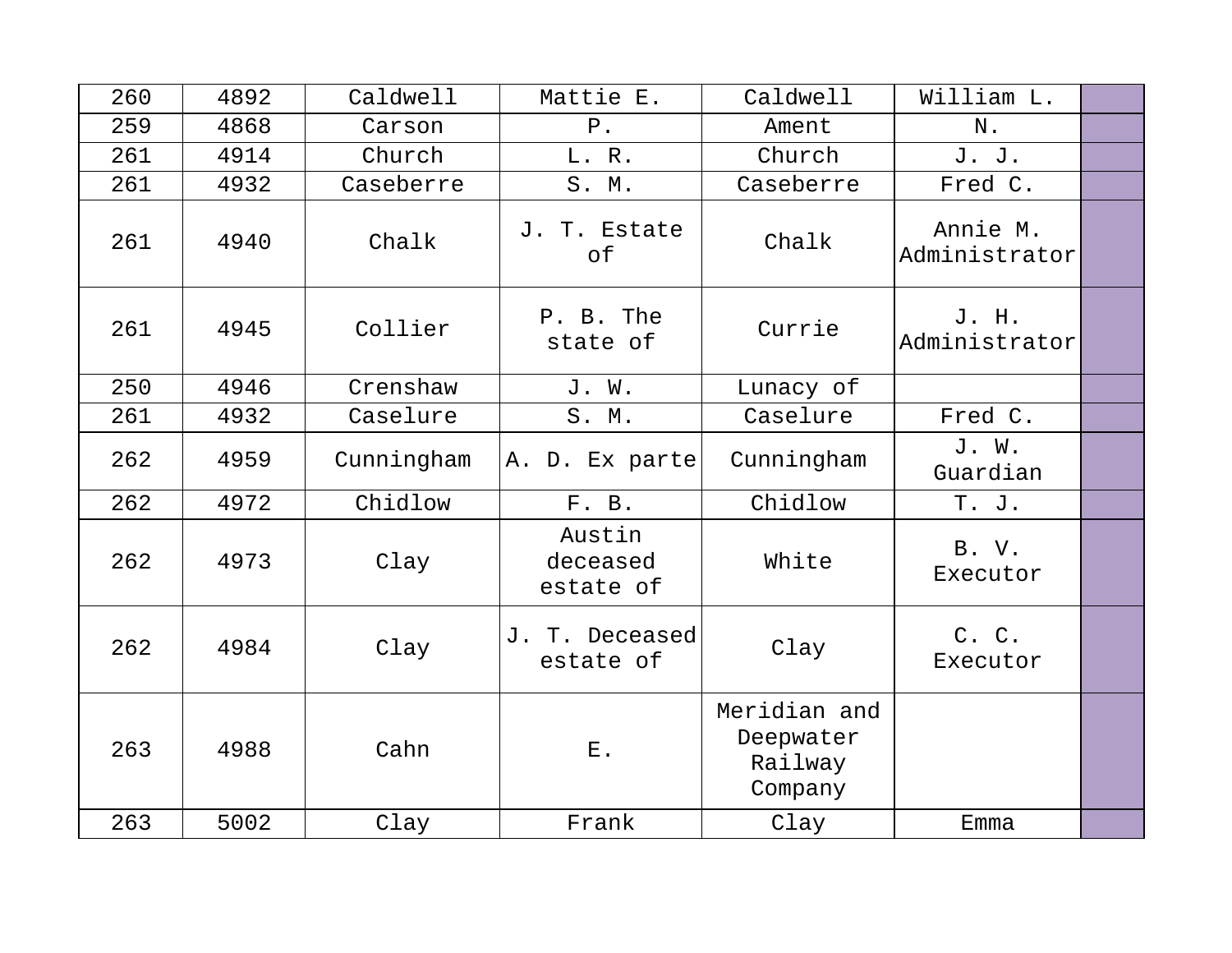| 260 | 4892 | Caldwell   | Mattie E.                       | Caldwell                                        | William L.                |  |
|-----|------|------------|---------------------------------|-------------------------------------------------|---------------------------|--|
| 259 | 4868 | Carson     | ${\bf P}$ .                     | Ament                                           | N.                        |  |
| 261 | 4914 | Church     | L. R.                           | Church                                          | J. J.                     |  |
| 261 | 4932 | Caseberre  | S. M.                           | Caseberre                                       | Fred C.                   |  |
| 261 | 4940 | Chalk      | J. T. Estate<br>of              | Chalk                                           | Annie M.<br>Administrator |  |
| 261 | 4945 | Collier    | P. B. The<br>state of           | Currie                                          | J. H.<br>Administrator    |  |
| 250 | 4946 | Crenshaw   | J. W.                           | Lunacy of                                       |                           |  |
| 261 | 4932 | Caselure   | S. M.                           | Caselure                                        | Fred C.                   |  |
| 262 | 4959 | Cunningham | A. D. Ex parte                  | Cunningham                                      | J. W.<br>Guardian         |  |
| 262 | 4972 | Chidlow    | F. B.                           | Chidlow                                         | T. J.                     |  |
| 262 | 4973 | Clay       | Austin<br>deceased<br>estate of | White                                           | B. V.<br>Executor         |  |
| 262 | 4984 | Clay       | J. T. Deceased<br>estate of     | Clay                                            | C. C.<br>Executor         |  |
| 263 | 4988 | Cahn       | Ε.                              | Meridian and<br>Deepwater<br>Railway<br>Company |                           |  |
| 263 | 5002 | Clay       | Frank                           | Clay                                            | Emma                      |  |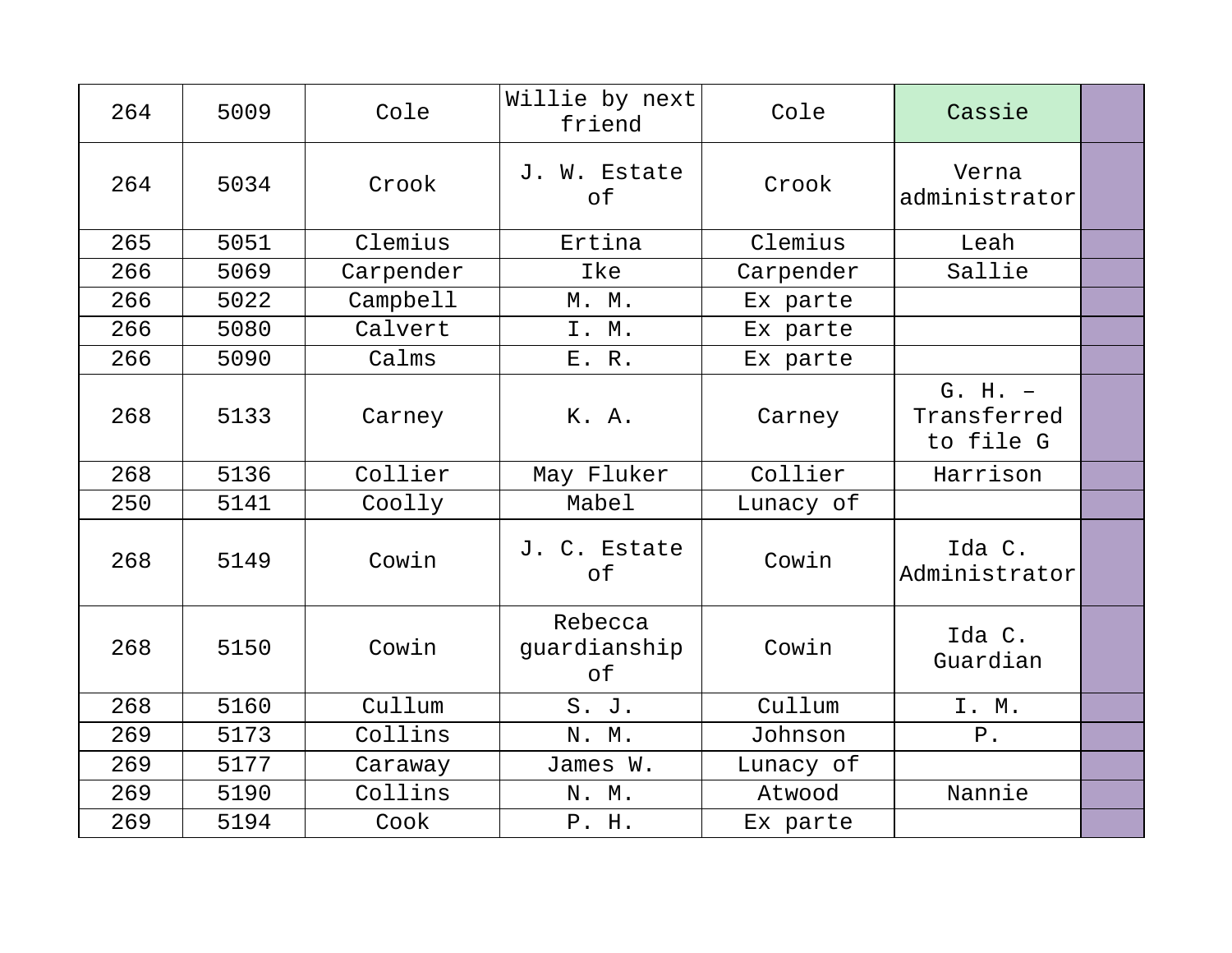| 264 | 5009 | Cole      | Willie by next<br>friend      | Cole      | Cassie                                |  |
|-----|------|-----------|-------------------------------|-----------|---------------------------------------|--|
| 264 | 5034 | Crook     | J. W. Estate<br>of            | Crook     | Verna<br>administrator                |  |
| 265 | 5051 | Clemius   | Ertina                        | Clemius   | Leah                                  |  |
| 266 | 5069 | Carpender | Ike                           | Carpender | Sallie                                |  |
| 266 | 5022 | Campbell  | M. M.                         | Ex parte  |                                       |  |
| 266 | 5080 | Calvert   | I. M.                         | Ex parte  |                                       |  |
| 266 | 5090 | Calms     | E. R.                         | Ex parte  |                                       |  |
| 268 | 5133 | Carney    | K. A.                         | Carney    | $G. H. -$<br>Transferred<br>to file G |  |
| 268 | 5136 | Collier   | May Fluker                    | Collier   | Harrison                              |  |
| 250 | 5141 | Coolly    | Mabel                         | Lunacy of |                                       |  |
| 268 | 5149 | Cowin     | J. C. Estate<br>of            | Cowin     | Ida C.<br>Administrator               |  |
| 268 | 5150 | Cowin     | Rebecca<br>guardianship<br>of | Cowin     | Ida C.<br>Guardian                    |  |
| 268 | 5160 | Cullum    | S. J.                         | Cullum    | I. M.                                 |  |
| 269 | 5173 | Collins   | N. M.                         | Johnson   | $P$ .                                 |  |
| 269 | 5177 | Caraway   | James W.                      | Lunacy of |                                       |  |
| 269 | 5190 | Collins   | N. M.                         | Atwood    | Nannie                                |  |
| 269 | 5194 | Cook      | P. H.                         | Ex parte  |                                       |  |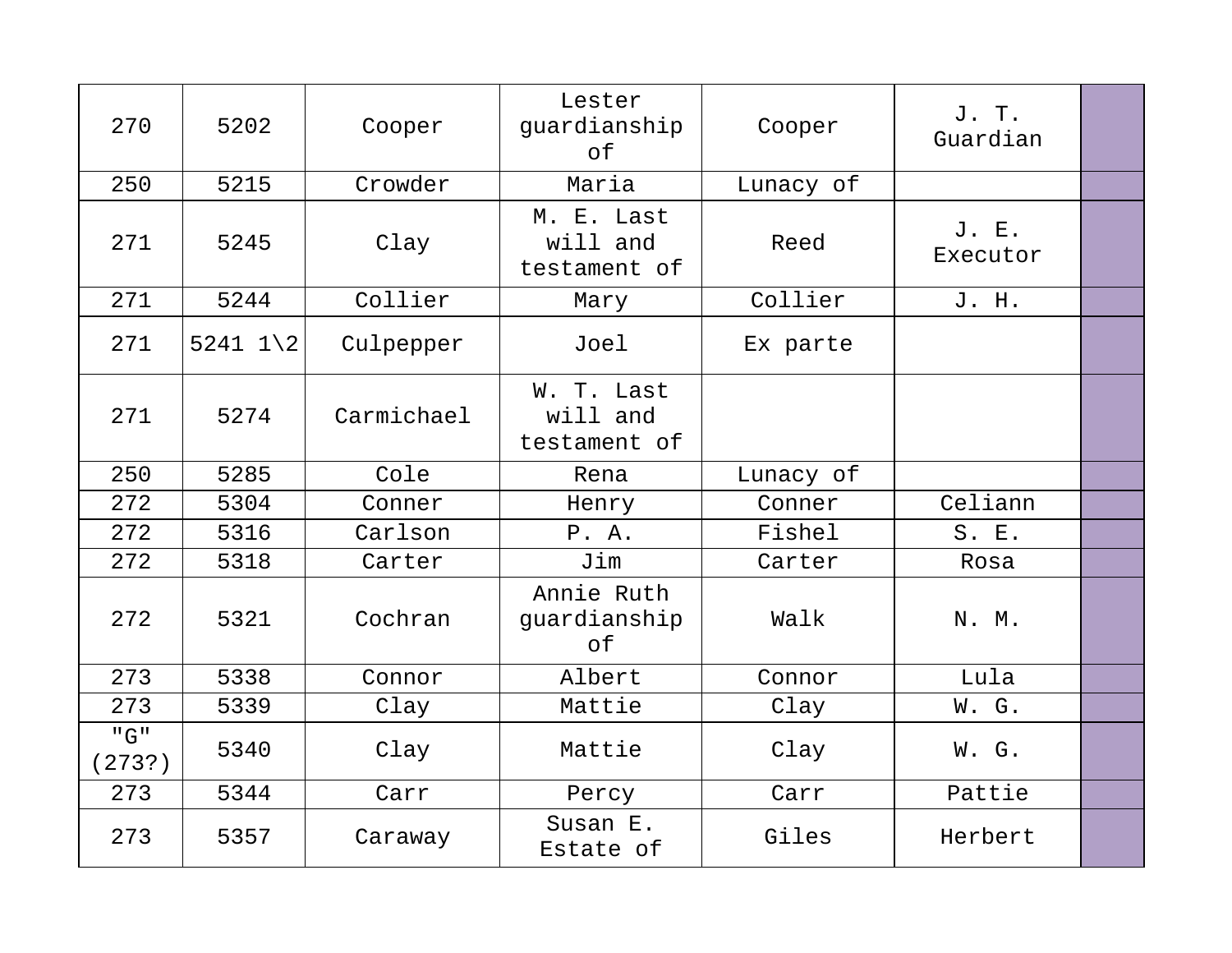| 270           | 5202                  | Cooper     | Lester<br>guardianship<br>оf           | Cooper    | J. T.<br>Guardian |  |
|---------------|-----------------------|------------|----------------------------------------|-----------|-------------------|--|
| 250           | 5215                  | Crowder    | Maria                                  | Lunacy of |                   |  |
| 271           | 5245                  | Clay       | M. E. Last<br>will and<br>testament of | Reed      | J. E.<br>Executor |  |
| 271           | 5244                  | Collier    | Mary                                   | Collier   | J. H.             |  |
| 271           | $5241$ $1\backslash2$ | Culpepper  | Joel                                   | Ex parte  |                   |  |
| 271           | 5274                  | Carmichael | W. T. Last<br>will and<br>testament of |           |                   |  |
| 250           | 5285                  | Cole       | Rena                                   | Lunacy of |                   |  |
| 272           | 5304                  | Conner     | Henry                                  | Conner    | Celiann           |  |
| 272           | 5316                  | Carlson    | P.A.                                   | Fishel    | S. E.             |  |
| 272           | 5318                  | Carter     | Jim                                    | Carter    | Rosa              |  |
| 272           | 5321                  | Cochran    | Annie Ruth<br>guardianship<br>of       | Walk      | N. M.             |  |
| 273           | 5338                  | Connor     | Albert                                 | Connor    | Lula              |  |
| 273           | 5339                  | Clay       | Mattie                                 | Clay      | W. G.             |  |
| "G"<br>(273?) | 5340                  | Clay       | Mattie                                 | Clay      | W. G.             |  |
| 273           | 5344                  | Carr       | Percy                                  | Carr      | Pattie            |  |
| 273           | 5357                  | Caraway    | Susan E.<br>Estate of                  | Giles     | Herbert           |  |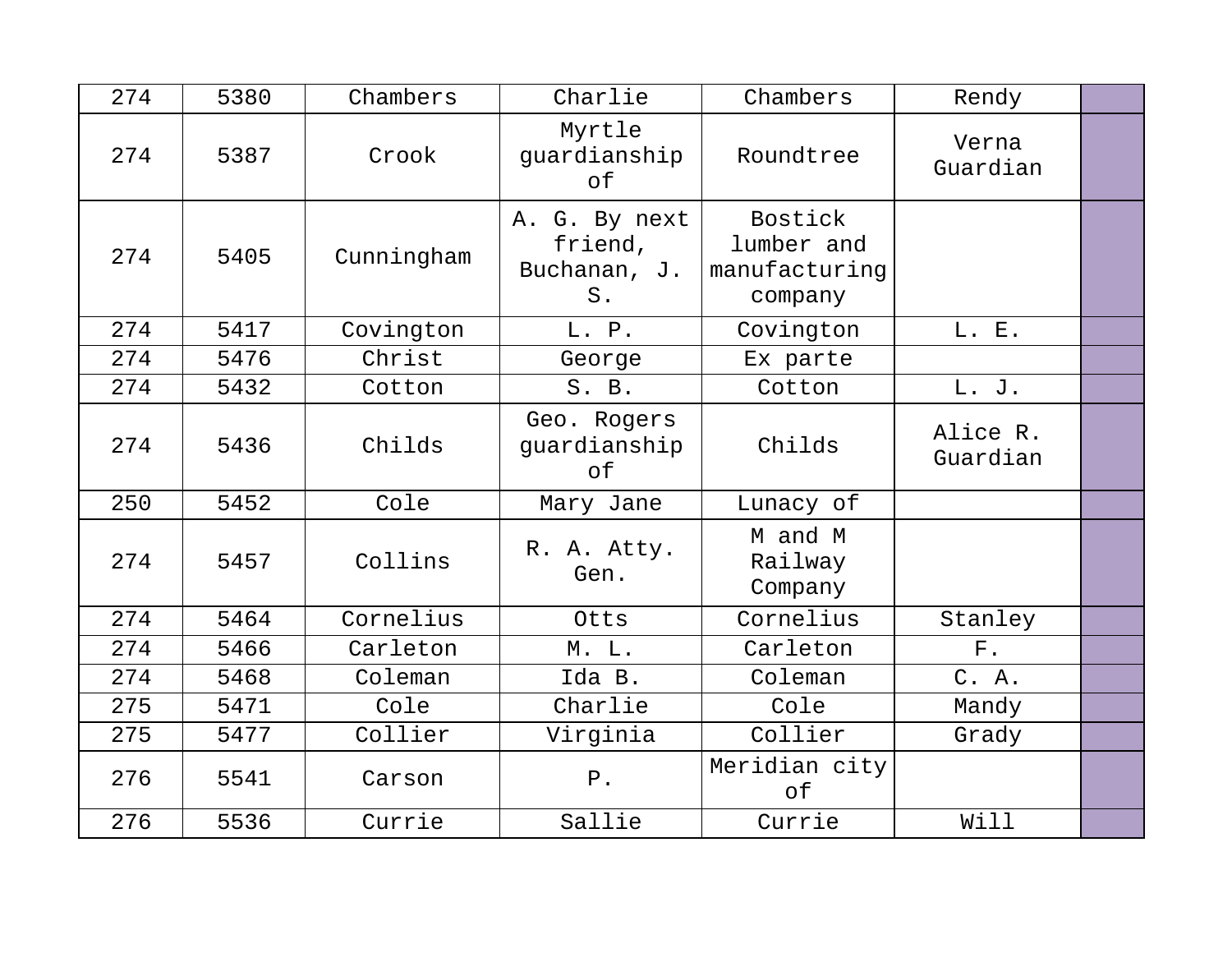| 274 | 5380 | Chambers   | Charlie                                           | Chambers                                                 | Rendy                |  |
|-----|------|------------|---------------------------------------------------|----------------------------------------------------------|----------------------|--|
| 274 | 5387 | Crook      | Myrtle<br>guardianship<br>of                      | Roundtree                                                | Verna<br>Guardian    |  |
| 274 | 5405 | Cunningham | A. G. By next<br>friend,<br>Buchanan, J.<br>$S$ . | <b>Bostick</b><br>lumber and<br>manufacturing<br>company |                      |  |
| 274 | 5417 | Covington  | L. P.                                             | Covington                                                | L. E.                |  |
| 274 | 5476 | Christ     | George                                            | Ex parte                                                 |                      |  |
| 274 | 5432 | Cotton     | S. B.                                             | Cotton                                                   | L. J.                |  |
| 274 | 5436 | Childs     | Geo. Rogers<br>guardianship<br>of                 | Childs                                                   | Alice R.<br>Guardian |  |
| 250 | 5452 | Cole       | Mary Jane                                         | Lunacy of                                                |                      |  |
| 274 | 5457 | Collins    | R. A. Atty.<br>Gen.                               | M and M<br>Railway<br>Company                            |                      |  |
| 274 | 5464 | Cornelius  | Otts                                              | Cornelius                                                | Stanley              |  |
| 274 | 5466 | Carleton   | M. L.                                             | Carleton                                                 | ${\bf F}$ .          |  |
| 274 | 5468 | Coleman    | Ida B.                                            | Coleman                                                  | C. A.                |  |
| 275 | 5471 | Cole       | Charlie                                           | Cole                                                     | Mandy                |  |
| 275 | 5477 | Collier    | Virginia                                          | Collier                                                  | Grady                |  |
| 276 | 5541 | Carson     | $P$ .                                             | Meridian city<br>of                                      |                      |  |
| 276 | 5536 | Currie     | Sallie                                            | Currie                                                   | Will                 |  |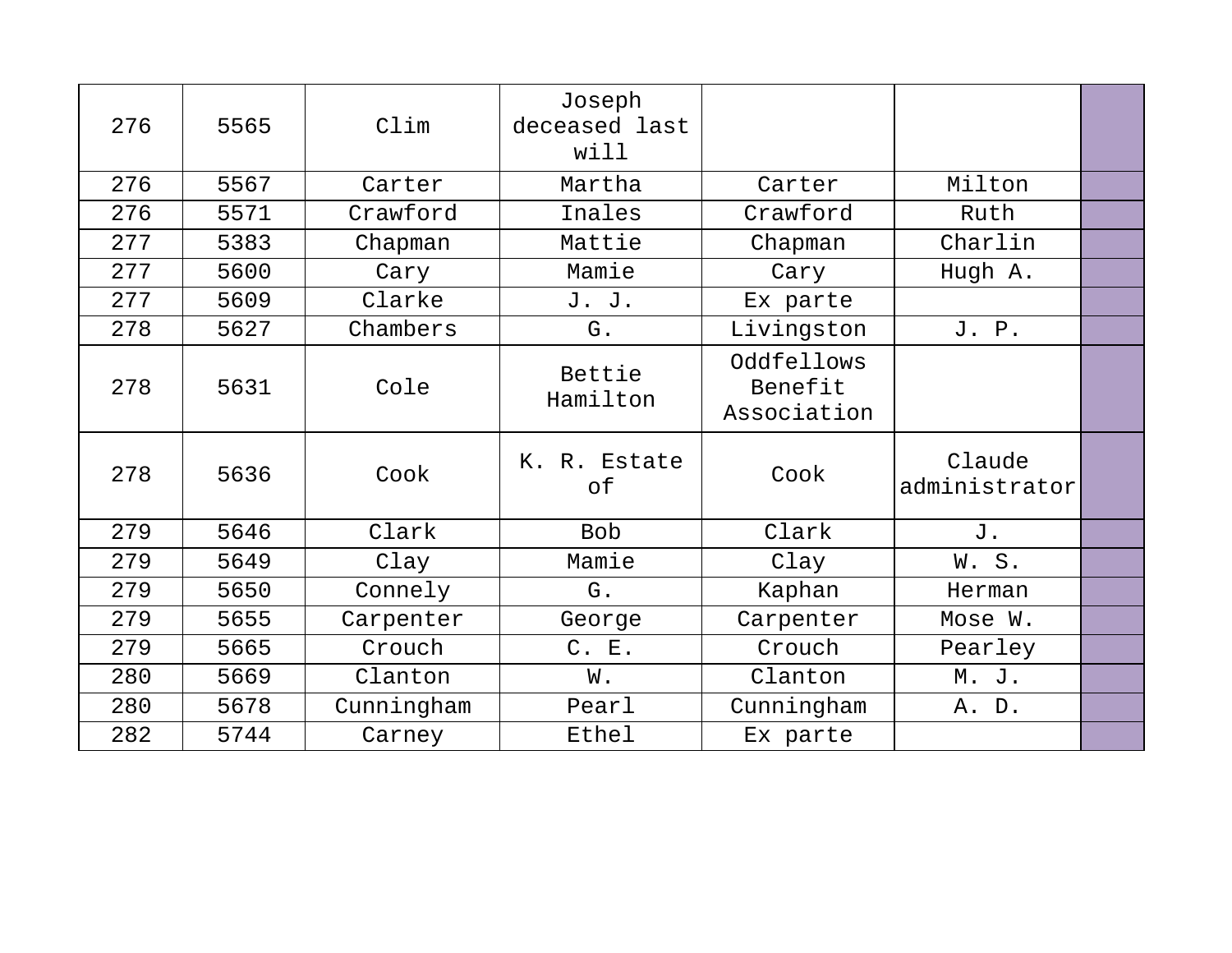| 276 | 5565 | Clim       | Joseph<br>deceased last<br>will |                                      |                         |  |
|-----|------|------------|---------------------------------|--------------------------------------|-------------------------|--|
| 276 | 5567 | Carter     | Martha                          | Carter                               | Milton                  |  |
| 276 | 5571 | Crawford   | Inales                          | Crawford                             | Ruth                    |  |
| 277 | 5383 | Chapman    | Mattie                          | Chapman                              | Charlin                 |  |
| 277 | 5600 | Cary       | Mamie                           | Cary                                 | Hugh A.                 |  |
| 277 | 5609 | Clarke     | J. J.                           | Ex parte                             |                         |  |
| 278 | 5627 | Chambers   | G.                              | Livingston                           | J. P.                   |  |
| 278 | 5631 | Cole       | Bettie<br>Hamilton              | Oddfellows<br>Benefit<br>Association |                         |  |
| 278 | 5636 | Cook       | K. R. Estate<br>of              | Cook                                 | Claude<br>administrator |  |
| 279 | 5646 | Clark      | <b>Bob</b>                      | Clark                                | J.                      |  |
| 279 | 5649 | Clay       | Mamie                           | Clay                                 | W.S.                    |  |
| 279 | 5650 | Connely    | G.                              | Kaphan                               | Herman                  |  |
| 279 | 5655 | Carpenter  | George                          | Carpenter                            | Mose W.                 |  |
| 279 | 5665 | Crouch     | C. E.                           | Crouch                               | Pearley                 |  |
| 280 | 5669 | Clanton    | W.                              | Clanton                              | M. J.                   |  |
| 280 | 5678 | Cunningham | Pearl                           | Cunningham                           | A. D.                   |  |
| 282 | 5744 | Carney     | Ethel                           | Ex parte                             |                         |  |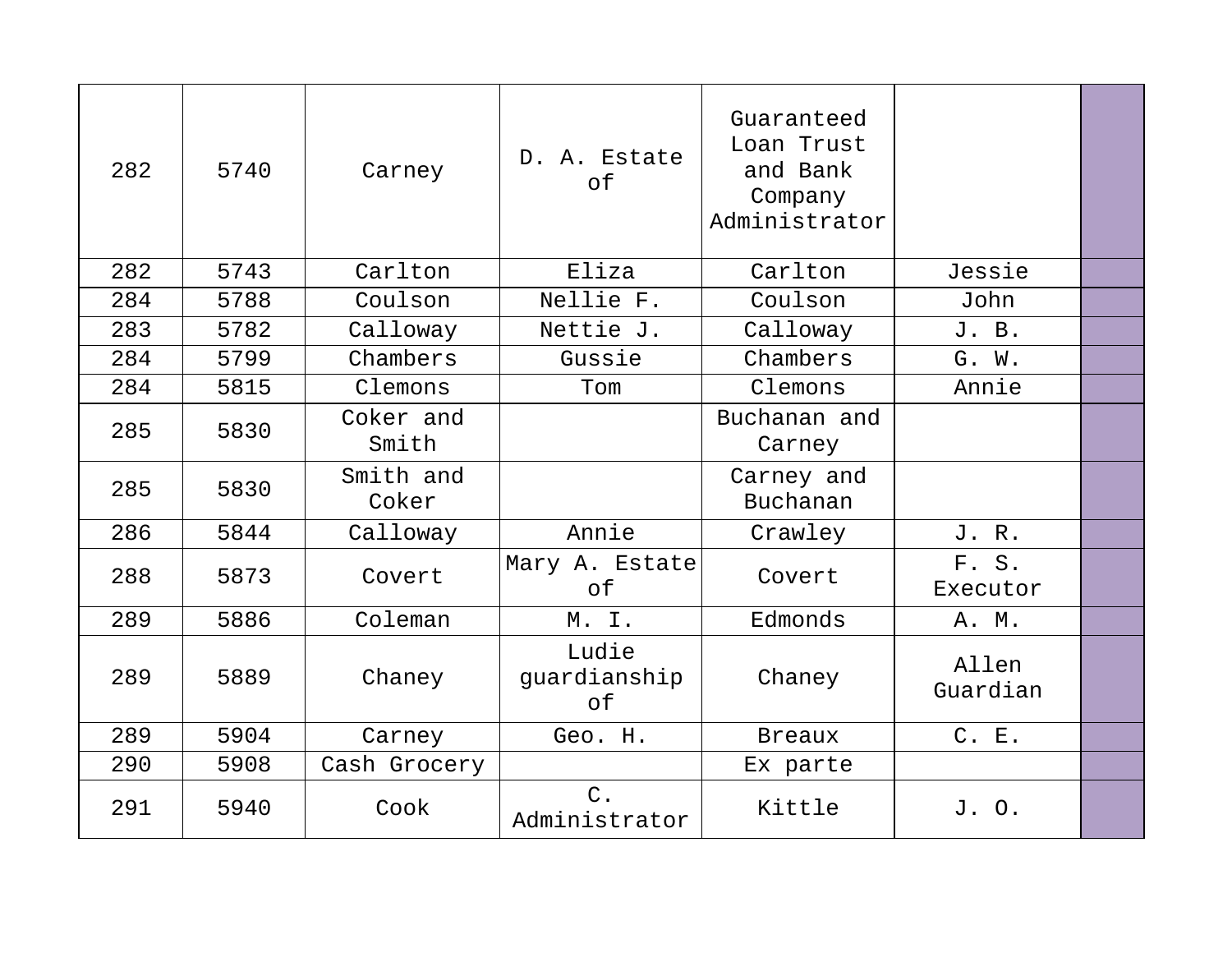| 282 | 5740 | Carney             | D. A. Estate<br>оf          | Guaranteed<br>Loan Trust<br>and Bank<br>Company<br>Administrator |                   |  |
|-----|------|--------------------|-----------------------------|------------------------------------------------------------------|-------------------|--|
| 282 | 5743 | Carlton            | Eliza                       | Carlton                                                          | Jessie            |  |
| 284 | 5788 | Coulson            | Nellie F.                   | Coulson                                                          | John              |  |
| 283 | 5782 | Calloway           | Nettie J.                   | Calloway                                                         | J. B.             |  |
| 284 | 5799 | Chambers           | Gussie                      | Chambers                                                         | G. W.             |  |
| 284 | 5815 | Clemons            | Tom                         | Clemons                                                          | Annie             |  |
| 285 | 5830 | Coker and<br>Smith |                             | Buchanan and<br>Carney                                           |                   |  |
| 285 | 5830 | Smith and<br>Coker |                             | Carney and<br>Buchanan                                           |                   |  |
| 286 | 5844 | Calloway           | Annie                       | Crawley                                                          | J. R.             |  |
| 288 | 5873 | Covert             | Mary A. Estate<br>of        | Covert                                                           | F. S.<br>Executor |  |
| 289 | 5886 | Coleman            | M. I.                       | Edmonds                                                          | A. M.             |  |
| 289 | 5889 | Chaney             | Ludie<br>guardianship<br>of | Chaney                                                           | Allen<br>Guardian |  |
| 289 | 5904 | Carney             | Geo. H.                     | <b>Breaux</b>                                                    | C. E.             |  |
| 290 | 5908 | Cash Grocery       |                             | Ex parte                                                         |                   |  |
| 291 | 5940 | Cook               | $C$ .<br>Administrator      | Kittle                                                           | J. O.             |  |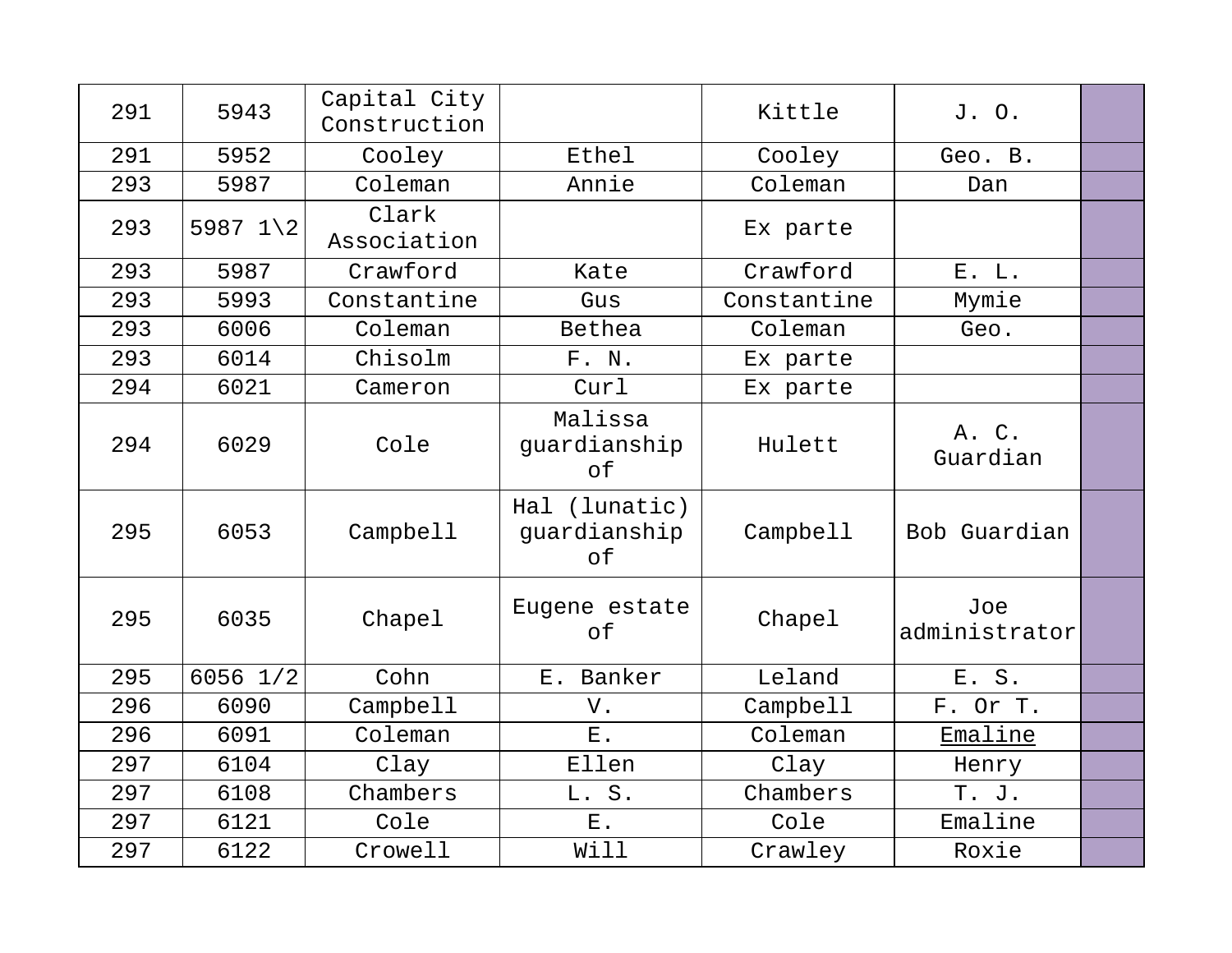| 291 | 5943                | Capital City<br>Construction |                                     | Kittle      | J. O.                |  |
|-----|---------------------|------------------------------|-------------------------------------|-------------|----------------------|--|
| 291 | 5952                | Cooley                       | Ethel                               | Cooley      | Geo. B.              |  |
| 293 | 5987                | Coleman                      | Annie                               | Coleman     | Dan                  |  |
| 293 | 5987 $1\backslash2$ | Clark<br>Association         |                                     | Ex parte    |                      |  |
| 293 | 5987                | Crawford                     | Kate                                | Crawford    | E. L.                |  |
| 293 | 5993                | Constantine                  | Gus                                 | Constantine | Mymie                |  |
| 293 | 6006                | Coleman                      | Bethea                              | Coleman     | Geo.                 |  |
| 293 | 6014                | Chisolm                      | F. N.                               | Ex parte    |                      |  |
| 294 | 6021                | Cameron                      | Curl                                | Ex parte    |                      |  |
| 294 | 6029                | Cole                         | Malissa<br>guardianship<br>of       | Hulett      | A. C.<br>Guardian    |  |
| 295 | 6053                | Campbell                     | Hal (lunatic)<br>quardianship<br>оf | Campbell    | Bob Guardian         |  |
| 295 | 6035                | Chapel                       | Eugene estate<br>оf                 | Chapel      | Joe<br>administrator |  |
| 295 | 6056 1/2            | Cohn                         | E. Banker                           | Leland      | E. S.                |  |
| 296 | 6090                | Campbell                     | V.                                  | Campbell    | F. Or T.             |  |
| 296 | 6091                | Coleman                      | $E$ .                               | Coleman     | <b>Emaline</b>       |  |
| 297 | 6104                | Clay                         | Ellen                               | Clay        | Henry                |  |
| 297 | 6108                | Chambers                     | L. S.                               | Chambers    | T. J.                |  |
| 297 | 6121                | Cole                         | ${\bf E}$ .                         | Cole        | Emaline              |  |
| 297 | 6122                | Crowell                      | Will                                | Crawley     | Roxie                |  |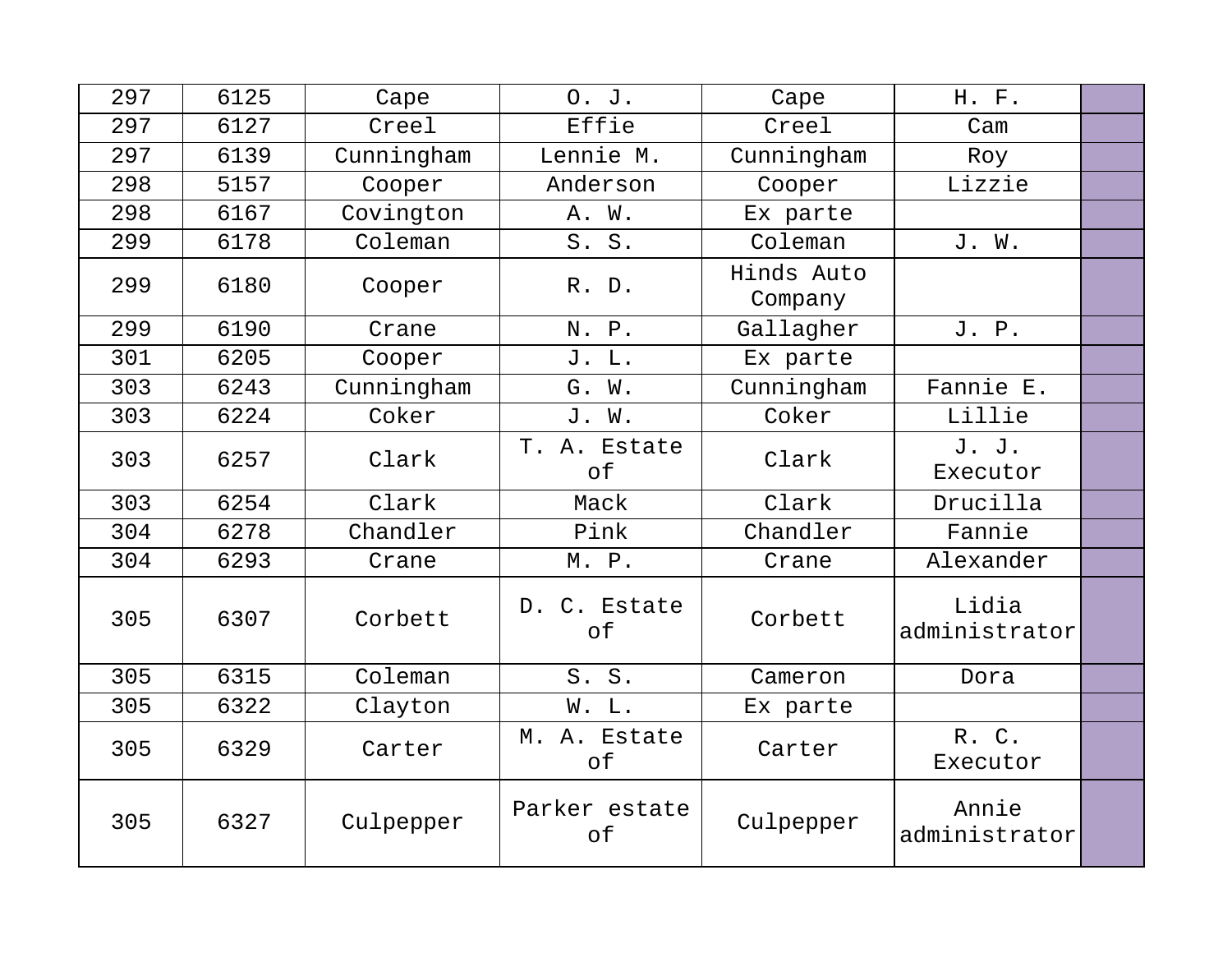| 297 | 6125 | Cape       | 0. J.               | Cape                  | H. F.                  |  |
|-----|------|------------|---------------------|-----------------------|------------------------|--|
| 297 | 6127 | Creel      | Effie               | Creel                 | Cam                    |  |
| 297 | 6139 | Cunningham | Lennie M.           | Cunningham            | Roy                    |  |
| 298 | 5157 | Cooper     | Anderson            | Cooper                | Lizzie                 |  |
| 298 | 6167 | Covington  | A. W.               | Ex parte              |                        |  |
| 299 | 6178 | Coleman    | S. S.               | Coleman               | J. W.                  |  |
| 299 | 6180 | Cooper     | R. D.               | Hinds Auto<br>Company |                        |  |
| 299 | 6190 | Crane      | N. P.               | Gallagher             | J. P.                  |  |
| 301 | 6205 | Cooper     | J. L.               | Ex parte              |                        |  |
| 303 | 6243 | Cunningham | G. W.               | Cunningham            | Fannie E.              |  |
| 303 | 6224 | Coker      | J. W.               | Coker                 | Lillie                 |  |
| 303 | 6257 | Clark      | T. A. Estate<br>of  | Clark                 | J. J.<br>Executor      |  |
| 303 | 6254 | Clark      | Mack                | Clark                 | Drucilla               |  |
| 304 | 6278 | Chandler   | Pink                | Chandler              | Fannie                 |  |
| 304 | 6293 | Crane      | M. P.               | Crane                 | Alexander              |  |
| 305 | 6307 | Corbett    | D. C. Estate<br>of  | Corbett               | Lidia<br>administrator |  |
| 305 | 6315 | Coleman    | S. S.               | Cameron               | Dora                   |  |
| 305 | 6322 | Clayton    | W. L.               | Ex parte              |                        |  |
| 305 | 6329 | Carter     | M. A. Estate<br>оf  | Carter                | R. C.<br>Executor      |  |
| 305 | 6327 | Culpepper  | Parker estate<br>of | Culpepper             | Annie<br>administrator |  |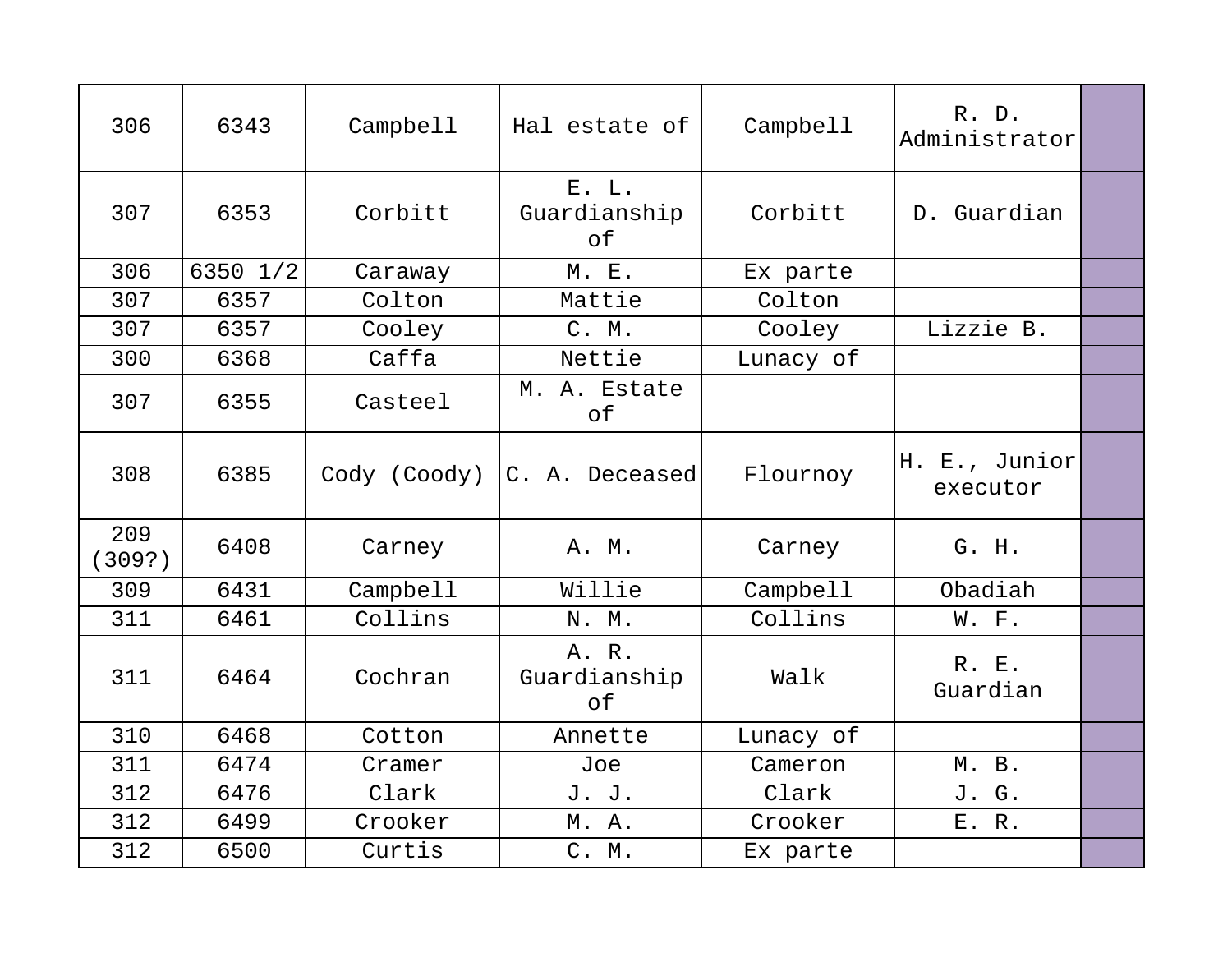| 306           | 6343     | Campbell     | Hal estate of               | Campbell  | R. D.<br>Administrator    |  |
|---------------|----------|--------------|-----------------------------|-----------|---------------------------|--|
| 307           | 6353     | Corbitt      | E. L.<br>Guardianship<br>оf | Corbitt   | D. Guardian               |  |
| 306           | 6350 1/2 | Caraway      | M. E.                       | Ex parte  |                           |  |
| 307           | 6357     | Colton       | Mattie                      | Colton    |                           |  |
| 307           | 6357     | Cooley       | C. M.                       | Cooley    | Lizzie B.                 |  |
| 300           | 6368     | Caffa        | Nettie                      | Lunacy of |                           |  |
| 307           | 6355     | Casteel      | M. A. Estate<br>оf          |           |                           |  |
| 308           | 6385     | Cody (Coody) | C. A. Deceased              | Flournoy  | H. E., Junior<br>executor |  |
| 209<br>(309?) | 6408     | Carney       | A. M.                       | Carney    | G. H.                     |  |
| 309           | 6431     | Campbell     | Willie                      | Campbell  | Obadiah                   |  |
| 311           | 6461     | Collins      | N. M.                       | Collins   | W. F.                     |  |
| 311           | 6464     | Cochran      | A. R.<br>Guardianship<br>of | Walk      | R. E.<br>Guardian         |  |
| 310           | 6468     | Cotton       | Annette                     | Lunacy of |                           |  |
| 311           | 6474     | Cramer       | Joe                         | Cameron   | M. B.                     |  |
| 312           | 6476     | Clark        | J. J.                       | Clark     | J. G.                     |  |
| 312           | 6499     | Crooker      | M. A.                       | Crooker   | E. R.                     |  |
| 312           | 6500     | Curtis       | C. M.                       | Ex parte  |                           |  |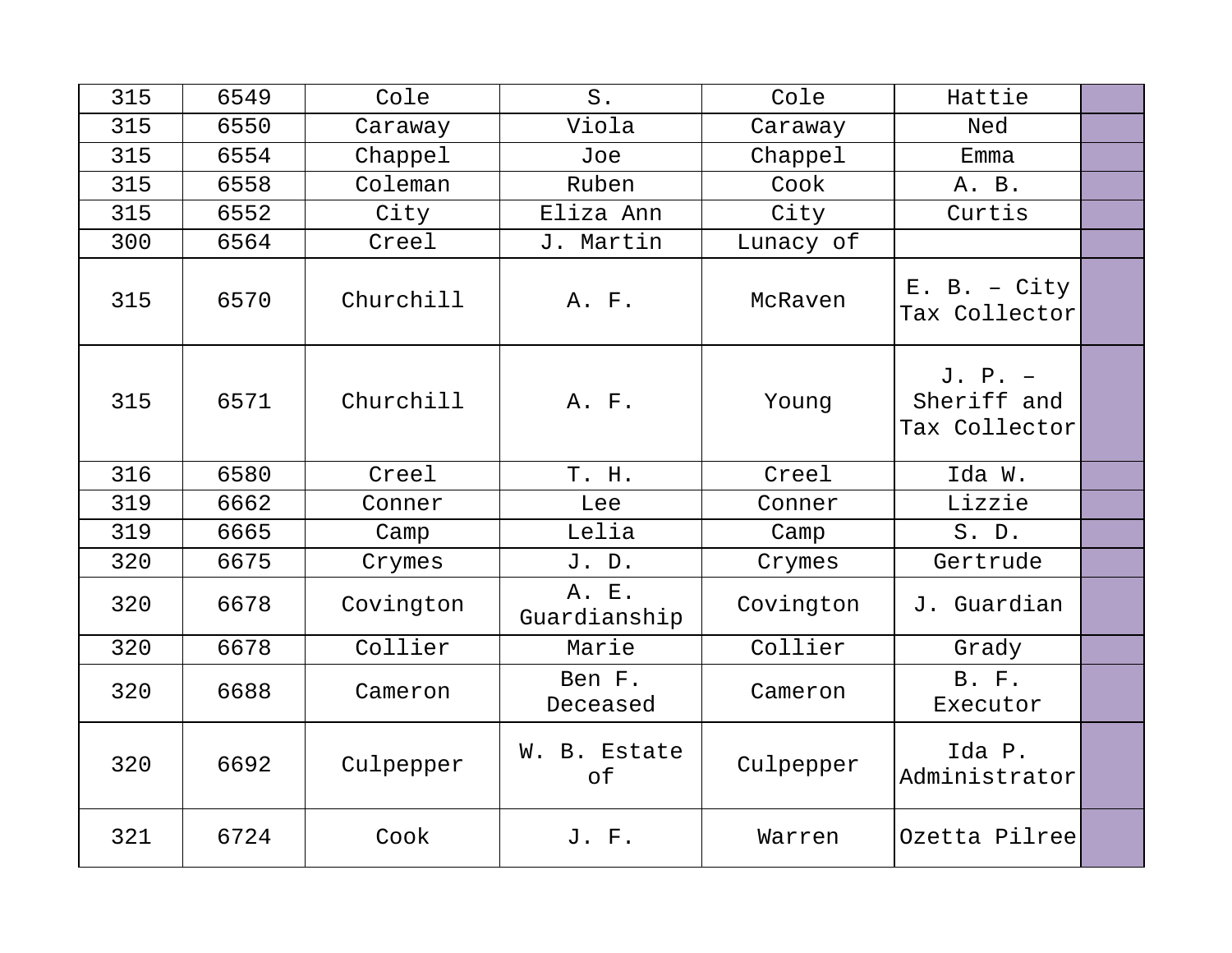| 315 | 6549 | Cole      | $S$ .                 | Cole      | Hattie                                    |  |
|-----|------|-----------|-----------------------|-----------|-------------------------------------------|--|
| 315 | 6550 | Caraway   | Viola                 | Caraway   | Ned                                       |  |
| 315 | 6554 | Chappel   | Joe                   | Chappel   | Emma                                      |  |
| 315 | 6558 | Coleman   | Ruben                 | Cook      | A. B.                                     |  |
| 315 | 6552 | City      | Eliza Ann             | City      | Curtis                                    |  |
| 300 | 6564 | Creel     | J. Martin             | Lunacy of |                                           |  |
| 315 | 6570 | Churchill | A. F.                 | McRaven   | $E. B. - City$<br>Tax Collector           |  |
| 315 | 6571 | Churchill | A. F.                 | Young     | $J. P. -$<br>Sheriff and<br>Tax Collector |  |
| 316 | 6580 | Creel     | T. H.                 | Creel     | Ida W.                                    |  |
| 319 | 6662 | Conner    | Lee                   | Conner    | Lizzie                                    |  |
| 319 | 6665 | Camp      | Lelia                 | Camp      | S. D.                                     |  |
| 320 | 6675 | Crymes    | J. D.                 | Crymes    | Gertrude                                  |  |
| 320 | 6678 | Covington | A. E.<br>Guardianship | Covington | J. Guardian                               |  |
| 320 | 6678 | Collier   | Marie                 | Collier   | Grady                                     |  |
| 320 | 6688 | Cameron   | Ben F.<br>Deceased    | Cameron   | B. F.<br>Executor                         |  |
| 320 | 6692 | Culpepper | W. B. Estate<br>of    | Culpepper | Ida P.<br>Administrator                   |  |
| 321 | 6724 | Cook      | J. F.                 | Warren    | Ozetta Pilree                             |  |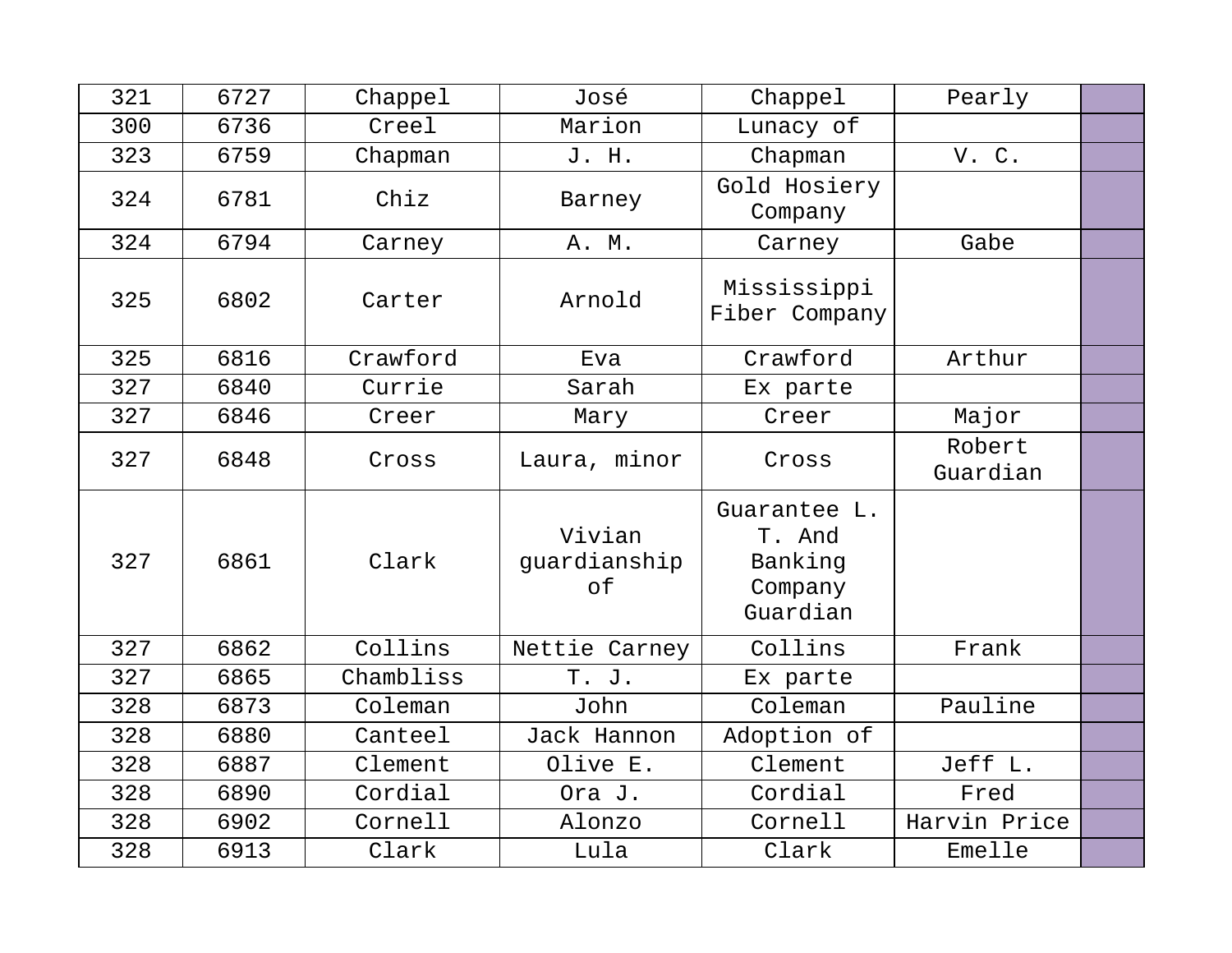| 321 | 6727 | Chappel   | José                         | Chappel                                                  | Pearly             |  |
|-----|------|-----------|------------------------------|----------------------------------------------------------|--------------------|--|
| 300 | 6736 | Creel     | Marion                       | Lunacy of                                                |                    |  |
| 323 | 6759 | Chapman   | J. H.                        | Chapman                                                  | V.C.               |  |
| 324 | 6781 | Chiz      | Barney                       | Gold Hosiery<br>Company                                  |                    |  |
| 324 | 6794 | Carney    | A. M.                        | Carney                                                   | Gabe               |  |
| 325 | 6802 | Carter    | Arnold                       | Mississippi<br>Fiber Company                             |                    |  |
| 325 | 6816 | Crawford  | Eva                          | Crawford                                                 | Arthur             |  |
| 327 | 6840 | Currie    | Sarah                        | Ex parte                                                 |                    |  |
| 327 | 6846 | Creer     | Mary                         | Creer                                                    | Major              |  |
| 327 | 6848 | Cross     | Laura, minor                 | Cross                                                    | Robert<br>Guardian |  |
| 327 | 6861 | Clark     | Vivian<br>guardianship<br>of | Guarantee L.<br>T. And<br>Banking<br>Company<br>Guardian |                    |  |
| 327 | 6862 | Collins   | Nettie Carney                | Collins                                                  | Frank              |  |
| 327 | 6865 | Chambliss | T. J.                        | Ex parte                                                 |                    |  |
| 328 | 6873 | Coleman   | John                         | Coleman                                                  | Pauline            |  |
| 328 | 6880 | Canteel   | Jack Hannon                  | Adoption of                                              |                    |  |
| 328 | 6887 | Clement   | Olive E.                     | Clement                                                  | Jeff L.            |  |
| 328 | 6890 | Cordial   | Ora J.                       | Cordial                                                  | Fred               |  |
| 328 | 6902 | Cornell   | Alonzo                       | Cornell                                                  | Harvin Price       |  |
| 328 | 6913 | Clark     | Lula                         | Clark                                                    | Emelle             |  |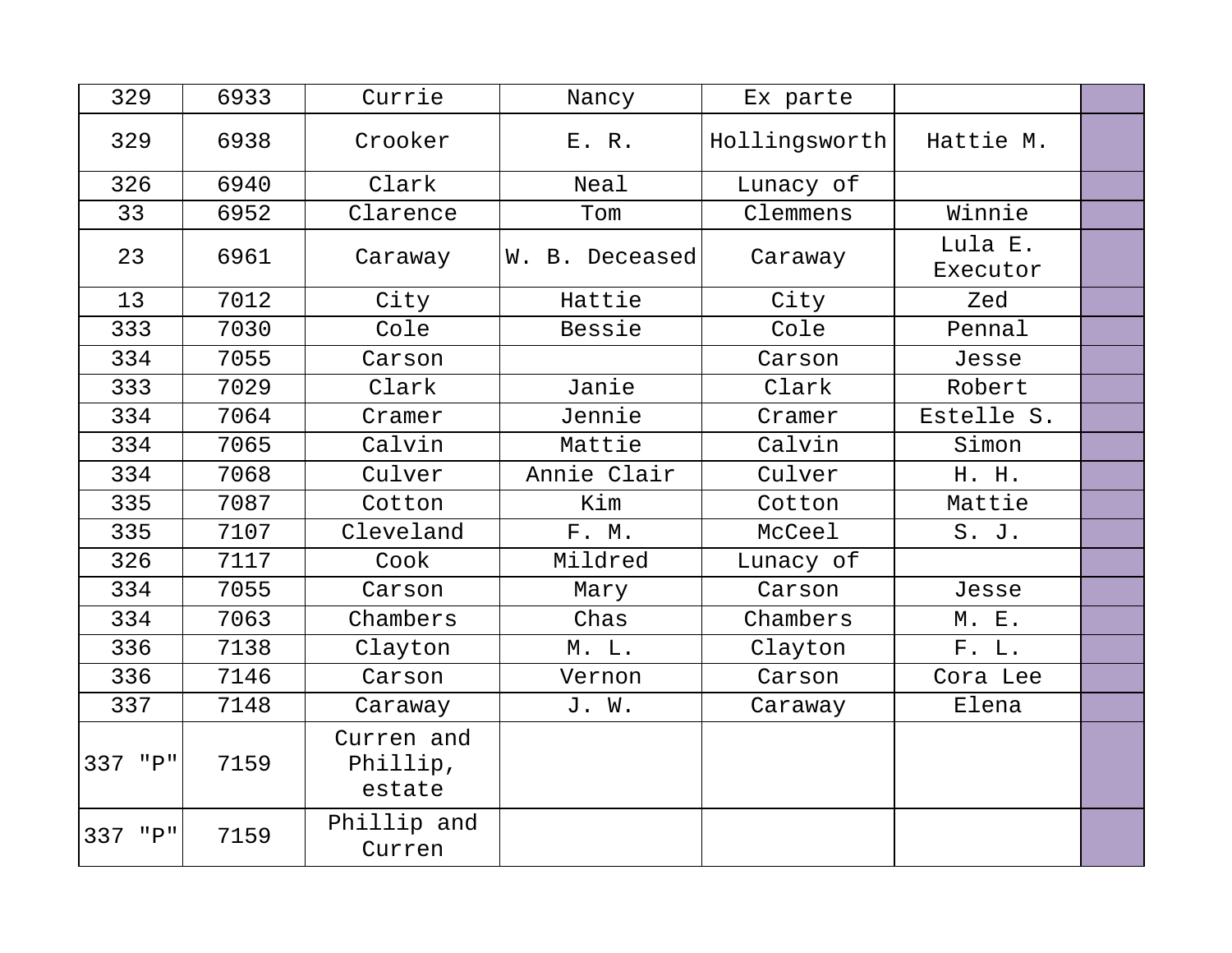| 329          | 6933 | Currie                           | Nancy          | Ex parte      |                     |  |
|--------------|------|----------------------------------|----------------|---------------|---------------------|--|
| 329          | 6938 | Crooker                          | E. R.          | Hollingsworth | Hattie M.           |  |
| 326          | 6940 | Clark                            | Neal           | Lunacy of     |                     |  |
| 33           | 6952 | Clarence                         | Tom            | Clemmens      | Winnie              |  |
| 23           | 6961 | Caraway                          | W. B. Deceased | Caraway       | Lula E.<br>Executor |  |
| 13           | 7012 | City                             | Hattie         | City          | Zed                 |  |
| 333          | 7030 | Cole                             | Bessie         | Cole          | Pennal              |  |
| 334          | 7055 | Carson                           |                | Carson        | Jesse               |  |
| 333          | 7029 | Clark                            | Janie          | Clark         | Robert              |  |
| 334          | 7064 | Cramer                           | Jennie         | Cramer        | Estelle S.          |  |
| 334          | 7065 | Calvin                           | Mattie         | Calvin        | Simon               |  |
| 334          | 7068 | Culver                           | Annie Clair    | Culver        | H. H.               |  |
| 335          | 7087 | Cotton                           | Kim            | Cotton        | Mattie              |  |
| 335          | 7107 | Cleveland                        | F. M.          | McCeel        | S. J.               |  |
| 326          | 7117 | Cook                             | Mildred        | Lunacy of     |                     |  |
| 334          | 7055 | Carson                           | Mary           | Carson        | Jesse               |  |
| 334          | 7063 | Chambers                         | Chas           | Chambers      | M. E.               |  |
| 336          | 7138 | Clayton                          | M. L.          | Clayton       | F. L.               |  |
| 336          | 7146 | Carson                           | Vernon         | Carson        | Cora Lee            |  |
| 337          | 7148 | Caraway                          | J. W.          | Caraway       | Elena               |  |
| 337 "P"      | 7159 | Curren and<br>Phillip,<br>estate |                |               |                     |  |
| $"P"$<br>337 | 7159 | Phillip and<br>Curren            |                |               |                     |  |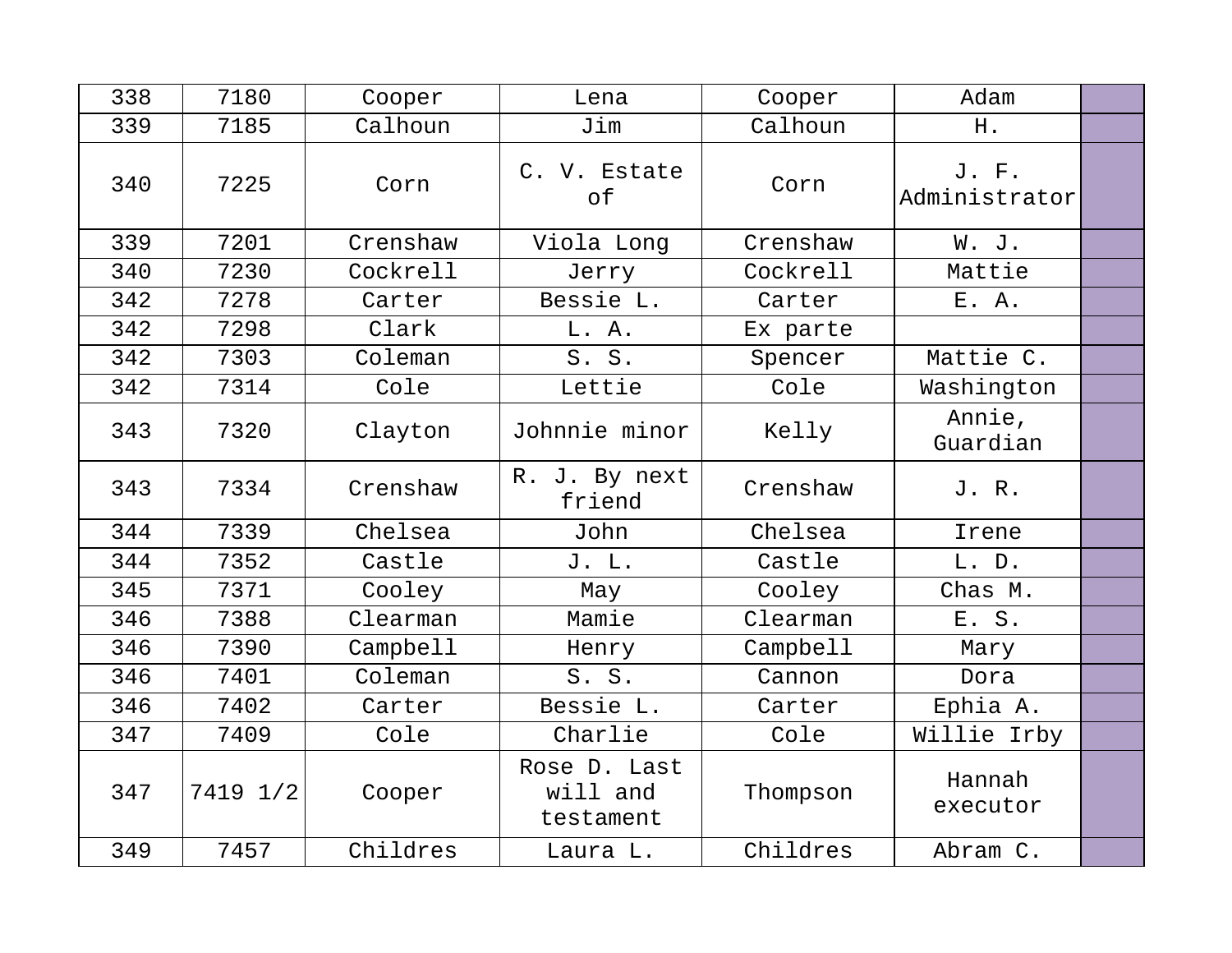| 338 | 7180     | Cooper   | Lena                                  | Cooper   | Adam                   |  |
|-----|----------|----------|---------------------------------------|----------|------------------------|--|
| 339 | 7185     | Calhoun  | Jim                                   | Calhoun  | H.                     |  |
| 340 | 7225     | Corn     | C. V. Estate<br>of                    | Corn     | J. F.<br>Administrator |  |
| 339 | 7201     | Crenshaw | Viola Long                            | Crenshaw | W. J.                  |  |
| 340 | 7230     | Cockrell | Jerry                                 | Cockrell | Mattie                 |  |
| 342 | 7278     | Carter   | Bessie L.                             | Carter   | E. A.                  |  |
| 342 | 7298     | Clark    | L. A.                                 | Ex parte |                        |  |
| 342 | 7303     | Coleman  | S. S.                                 | Spencer  | Mattie C.              |  |
| 342 | 7314     | Cole     | Lettie                                | Cole     | Washington             |  |
| 343 | 7320     | Clayton  | Johnnie minor                         | Kelly    | Annie,<br>Guardian     |  |
| 343 | 7334     | Crenshaw | R. J. By next<br>friend               | Crenshaw | J. R.                  |  |
| 344 | 7339     | Chelsea  | John                                  | Chelsea  | Irene                  |  |
| 344 | 7352     | Castle   | J. L.                                 | Castle   | L. D.                  |  |
| 345 | 7371     | Cooley   | May                                   | Cooley   | Chas M.                |  |
| 346 | 7388     | Clearman | Mamie                                 | Clearman | E. S.                  |  |
| 346 | 7390     | Campbell | Henry                                 | Campbell | Mary                   |  |
| 346 | 7401     | Coleman  | S. S.                                 | Cannon   | Dora                   |  |
| 346 | 7402     | Carter   | Bessie L.                             | Carter   | Ephia A.               |  |
| 347 | 7409     | Cole     | Charlie                               | Cole     | Willie Irby            |  |
| 347 | 7419 1/2 | Cooper   | Rose D. Last<br>will and<br>testament | Thompson | Hannah<br>executor     |  |
| 349 | 7457     | Childres | Laura L.                              | Childres | Abram C.               |  |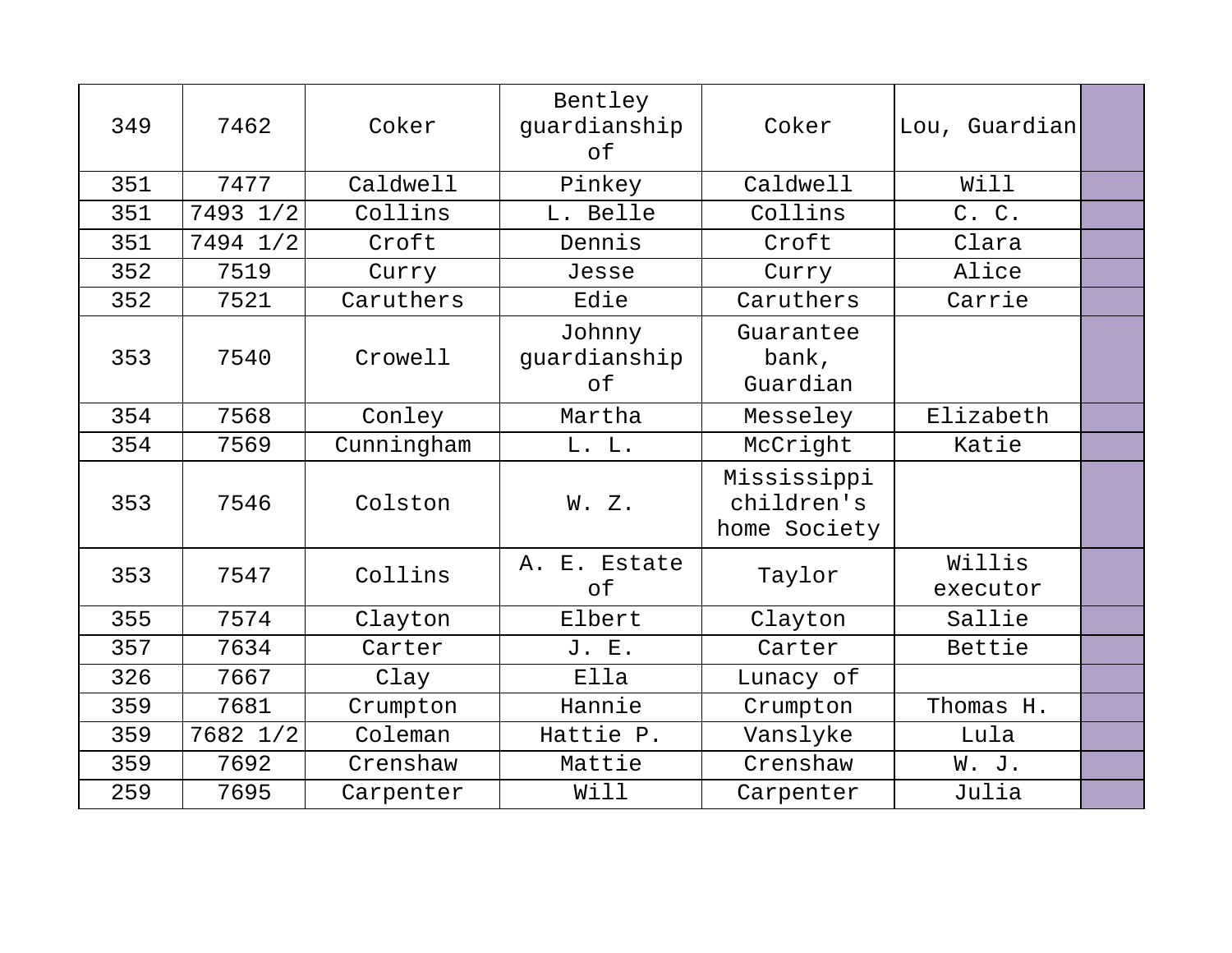| 349 | 7462     | Coker      | Bentley<br>guardianship<br>of | Coker                                     | Lou, Guardian      |  |
|-----|----------|------------|-------------------------------|-------------------------------------------|--------------------|--|
| 351 | 7477     | Caldwell   | Pinkey                        | Caldwell                                  | Will               |  |
| 351 | 7493 1/2 | Collins    | L. Belle                      | Collins                                   | C. C.              |  |
| 351 | 7494 1/2 | Croft      | Dennis                        | Croft                                     | Clara              |  |
| 352 | 7519     | Curry      | Jesse                         | Curry                                     | Alice              |  |
| 352 | 7521     | Caruthers  | Edie                          | Caruthers                                 | Carrie             |  |
| 353 | 7540     | Crowell    | Johnny<br>guardianship<br>оf  | Guarantee<br>bank,<br>Guardian            |                    |  |
| 354 | 7568     | Conley     | Martha                        | Messeley                                  | Elizabeth          |  |
| 354 | 7569     | Cunningham | L. L.                         | McCright                                  | Katie              |  |
| 353 | 7546     | Colston    | W. Z.                         | Mississippi<br>children's<br>home Society |                    |  |
| 353 | 7547     | Collins    | A. E. Estate<br>of            | Taylor                                    | Willis<br>executor |  |
| 355 | 7574     | Clayton    | Elbert                        | Clayton                                   | Sallie             |  |
| 357 | 7634     | Carter     | J. E.                         | Carter                                    | Bettie             |  |
| 326 | 7667     | Clay       | Ella                          | Lunacy of                                 |                    |  |
| 359 | 7681     | Crumpton   | Hannie                        | Crumpton                                  | Thomas H.          |  |
| 359 | 7682 1/2 | Coleman    | Hattie P.                     | Vanslyke                                  | Lula               |  |
| 359 | 7692     | Crenshaw   | Mattie                        | Crenshaw                                  | W. J.              |  |
| 259 | 7695     | Carpenter  | Will                          | Carpenter                                 | Julia              |  |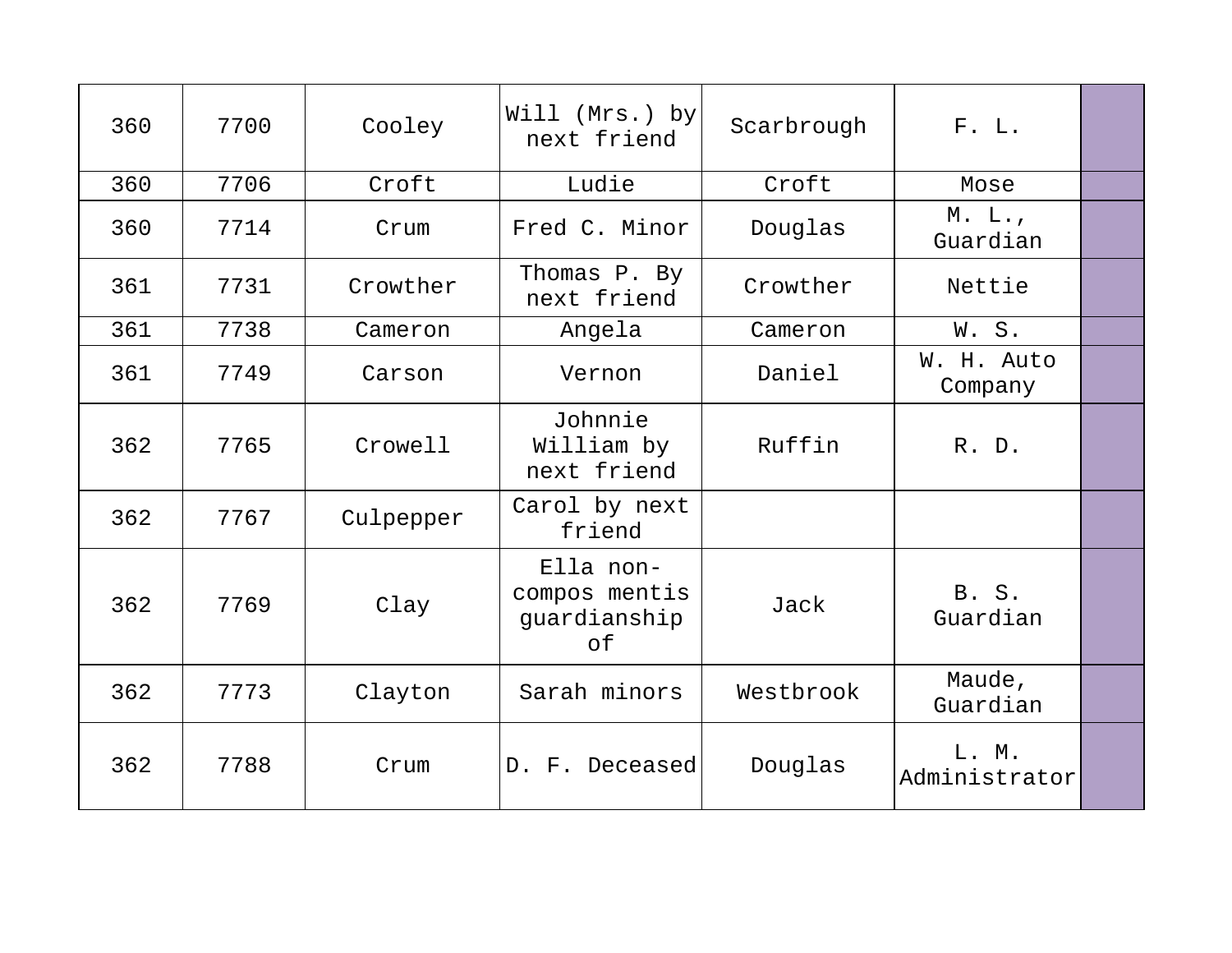| 360 | 7700 | Cooley    | Will (Mrs.) by<br>next friend                    | Scarbrough | F. L.                  |  |
|-----|------|-----------|--------------------------------------------------|------------|------------------------|--|
| 360 | 7706 | Croft     | Ludie                                            | Croft      | Mose                   |  |
| 360 | 7714 | Crum      | Fred C. Minor                                    | Douglas    | $M$ . L.,<br>Guardian  |  |
| 361 | 7731 | Crowther  | Thomas P. By<br>next friend                      | Crowther   | Nettie                 |  |
| 361 | 7738 | Cameron   | Angela                                           | Cameron    | W.S.                   |  |
| 361 | 7749 | Carson    | Vernon                                           | Daniel     | W. H. Auto<br>Company  |  |
| 362 | 7765 | Crowell   | Johnnie<br>William by<br>next friend             | Ruffin     | R. D.                  |  |
| 362 | 7767 | Culpepper | Carol by next<br>friend                          |            |                        |  |
| 362 | 7769 | Clay      | Ella non-<br>compos mentis<br>guardianship<br>of | Jack       | B. S.<br>Guardian      |  |
| 362 | 7773 | Clayton   | Sarah minors                                     | Westbrook  | Maude,<br>Guardian     |  |
| 362 | 7788 | Crum      | D. F. Deceased                                   | Douglas    | L. M.<br>Administrator |  |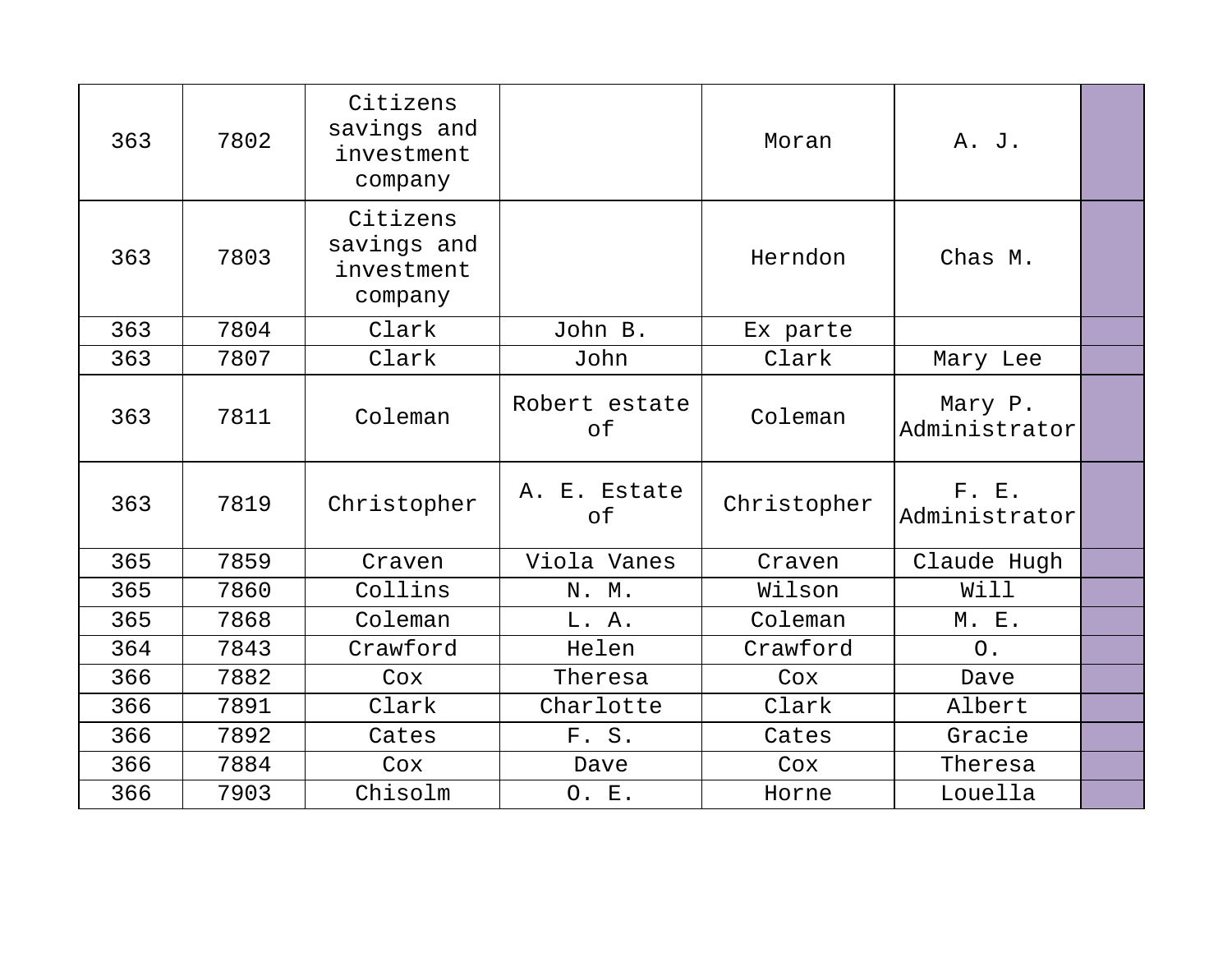| 363 | 7802 | Citizens<br>savings and<br>investment<br>company |                     | Moran       | A. J.                    |  |
|-----|------|--------------------------------------------------|---------------------|-------------|--------------------------|--|
| 363 | 7803 | Citizens<br>savings and<br>investment<br>company |                     | Herndon     | Chas M.                  |  |
| 363 | 7804 | Clark                                            | John B.             | Ex parte    |                          |  |
| 363 | 7807 | Clark                                            | John                | Clark       | Mary Lee                 |  |
| 363 | 7811 | Coleman                                          | Robert estate<br>of | Coleman     | Mary P.<br>Administrator |  |
| 363 | 7819 | Christopher                                      | A. E. Estate<br>оf  | Christopher | F. E.<br>Administrator   |  |
| 365 | 7859 | Craven                                           | Viola Vanes         | Craven      | Claude Hugh              |  |
| 365 | 7860 | Collins                                          | N. M.               | Wilson      | Will                     |  |
| 365 | 7868 | Coleman                                          | L. A.               | Coleman     | M. E.                    |  |
| 364 | 7843 | Crawford                                         | Helen               | Crawford    | O <sub>1</sub>           |  |
| 366 | 7882 | Cox                                              | Theresa             | Cox         | Dave                     |  |
| 366 | 7891 | Clark                                            | Charlotte           | Clark       | Albert                   |  |
| 366 | 7892 | Cates                                            | F. S.               | Cates       | Gracie                   |  |
| 366 | 7884 | Cox                                              | Dave                | Cox         | Theresa                  |  |
| 366 | 7903 | Chisolm                                          | O. E.               | Horne       | Louella                  |  |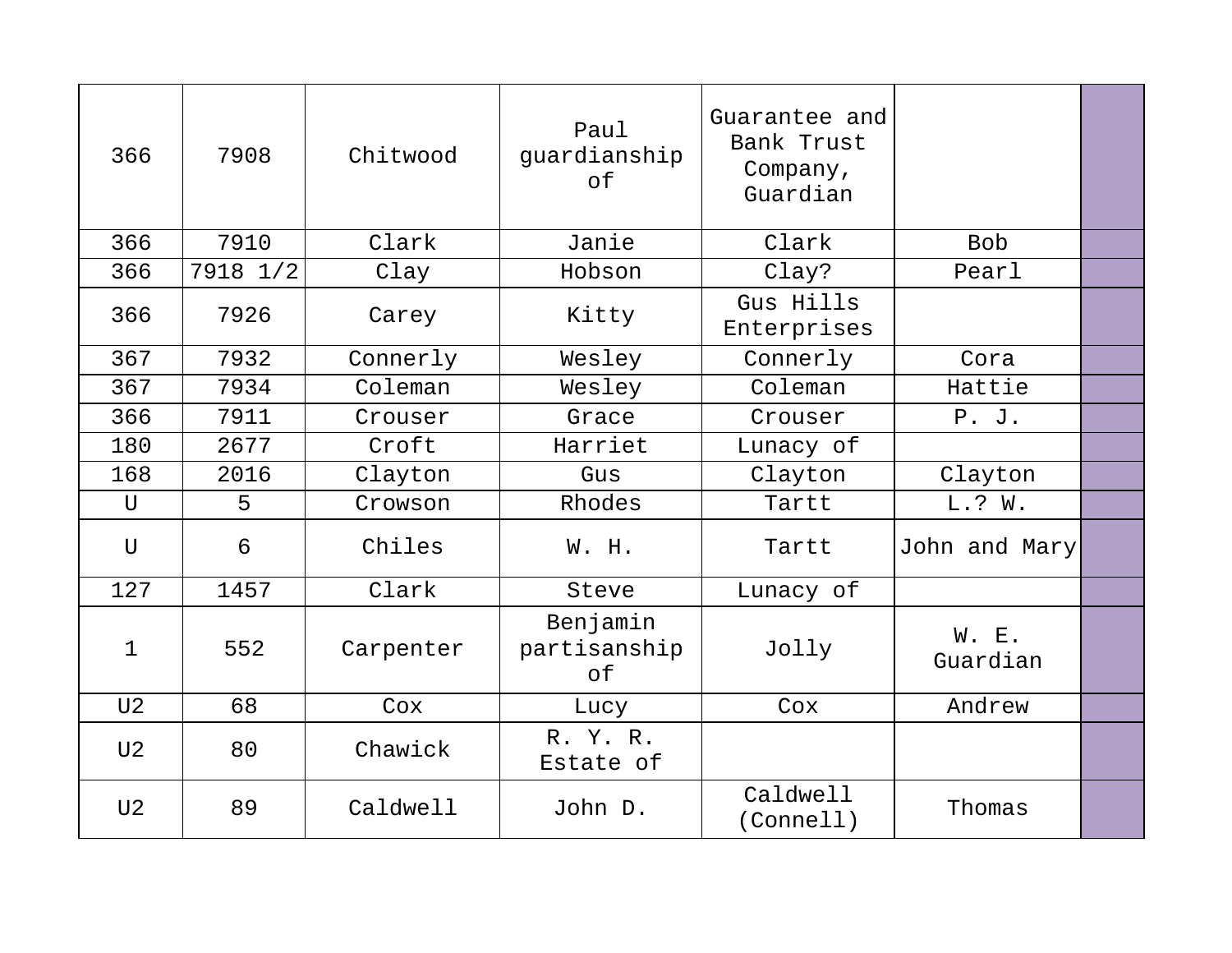| 366            | 7908     | Chitwood  | Paul<br>guardianship<br>of     | Guarantee and<br>Bank Trust<br>Company,<br>Guardian |                   |  |
|----------------|----------|-----------|--------------------------------|-----------------------------------------------------|-------------------|--|
| 366            | 7910     | Clark     | Janie                          | Clark                                               | <b>Bob</b>        |  |
| 366            | 7918 1/2 | Clay      | Hobson                         | Clay?                                               | Pearl             |  |
| 366            | 7926     | Carey     | Kitty                          | Gus Hills<br>Enterprises                            |                   |  |
| 367            | 7932     | Connerly  | Wesley                         | Connerly                                            | Cora              |  |
| 367            | 7934     | Coleman   | Wesley                         | Coleman                                             | Hattie            |  |
| 366            | 7911     | Crouser   | Grace                          | Crouser                                             | P. J.             |  |
| 180            | 2677     | Croft     | Harriet                        | Lunacy of                                           |                   |  |
| 168            | 2016     | Clayton   | Gus                            | Clayton                                             | Clayton           |  |
| $\mathbf U$    | 5        | Crowson   | Rhodes                         | Tartt                                               | L.? W.            |  |
| U              | 6        | Chiles    | W. H.                          | Tartt                                               | John and Mary     |  |
| 127            | 1457     | Clark     | Steve                          | Lunacy of                                           |                   |  |
| 1              | 552      | Carpenter | Benjamin<br>partisanship<br>of | Jolly                                               | W. E.<br>Guardian |  |
| U <sub>2</sub> | 68       | Cox       | Lucy                           | Cox                                                 | Andrew            |  |
| U <sub>2</sub> | 80       | Chawick   | R. Y. R.<br>Estate of          |                                                     |                   |  |
| U <sub>2</sub> | 89       | Caldwell  | John D.                        | Caldwell<br>(Connell)                               | Thomas            |  |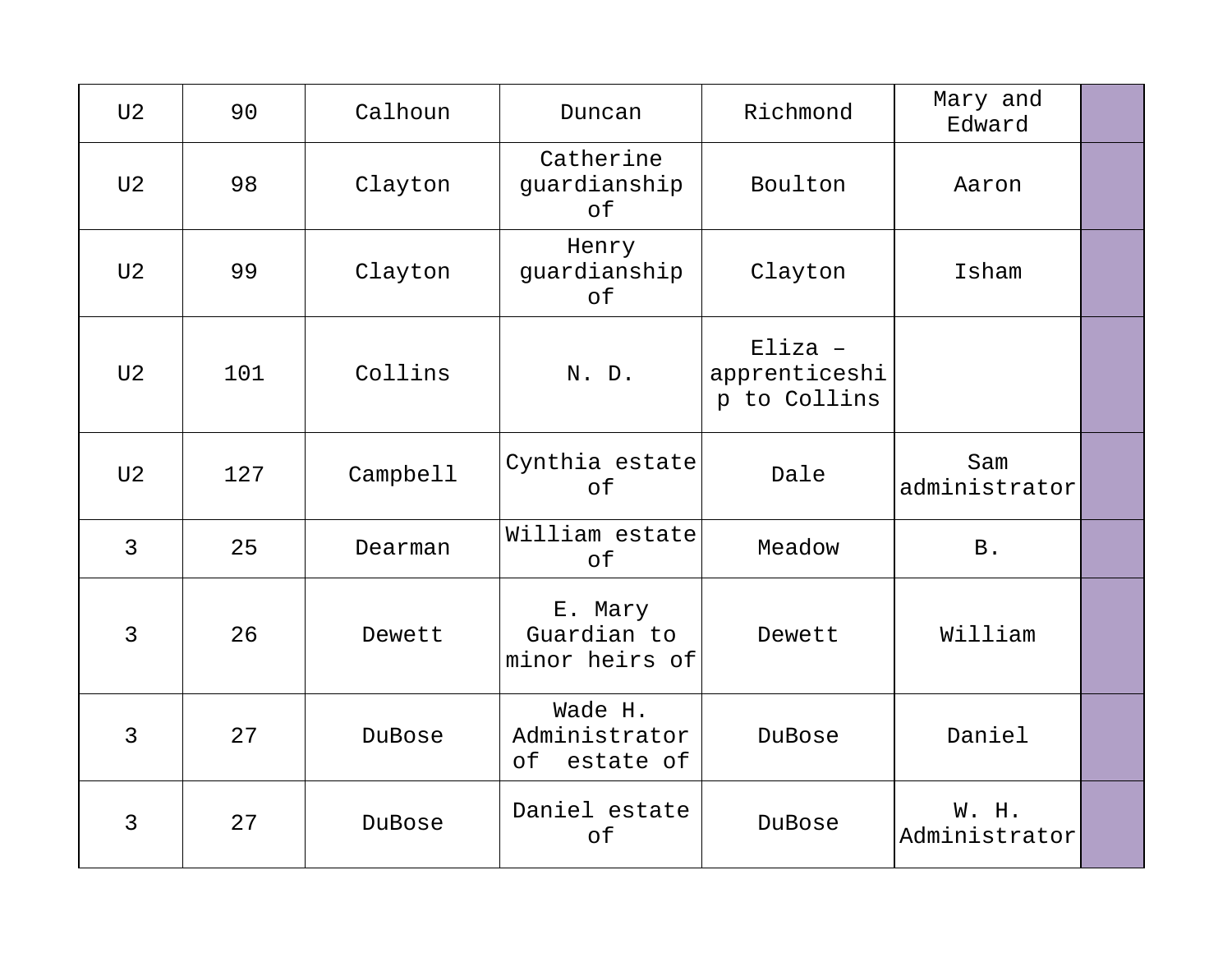| U <sub>2</sub> | 90  | Calhoun  | Duncan                                      | Richmond                                   | Mary and<br>Edward     |  |
|----------------|-----|----------|---------------------------------------------|--------------------------------------------|------------------------|--|
| U <sub>2</sub> | 98  | Clayton  | Catherine<br>guardianship<br>of             | Boulton                                    | Aaron                  |  |
| U <sub>2</sub> | 99  | Clayton  | Henry<br>guardianship<br>of                 | Clayton                                    | Isham                  |  |
| U <sub>2</sub> | 101 | Collins  | N. D.                                       | $Eliza -$<br>apprenticeshi<br>p to Collins |                        |  |
| U <sub>2</sub> | 127 | Campbell | Cynthia estate<br>of                        | Dale                                       | Sam<br>administrator   |  |
| $\overline{3}$ | 25  | Dearman  | William estate<br>of                        | Meadow                                     | <b>B</b> .             |  |
| 3              | 26  | Dewett   | E. Mary<br>Guardian to<br>minor heirs of    | Dewett                                     | William                |  |
| $\overline{3}$ | 27  | DuBose   | Wade H.<br>Administrator<br>of<br>estate of | DuBose                                     | Daniel                 |  |
| 3              | 27  | DuBose   | Daniel estate<br>of                         | DuBose                                     | W. H.<br>Administrator |  |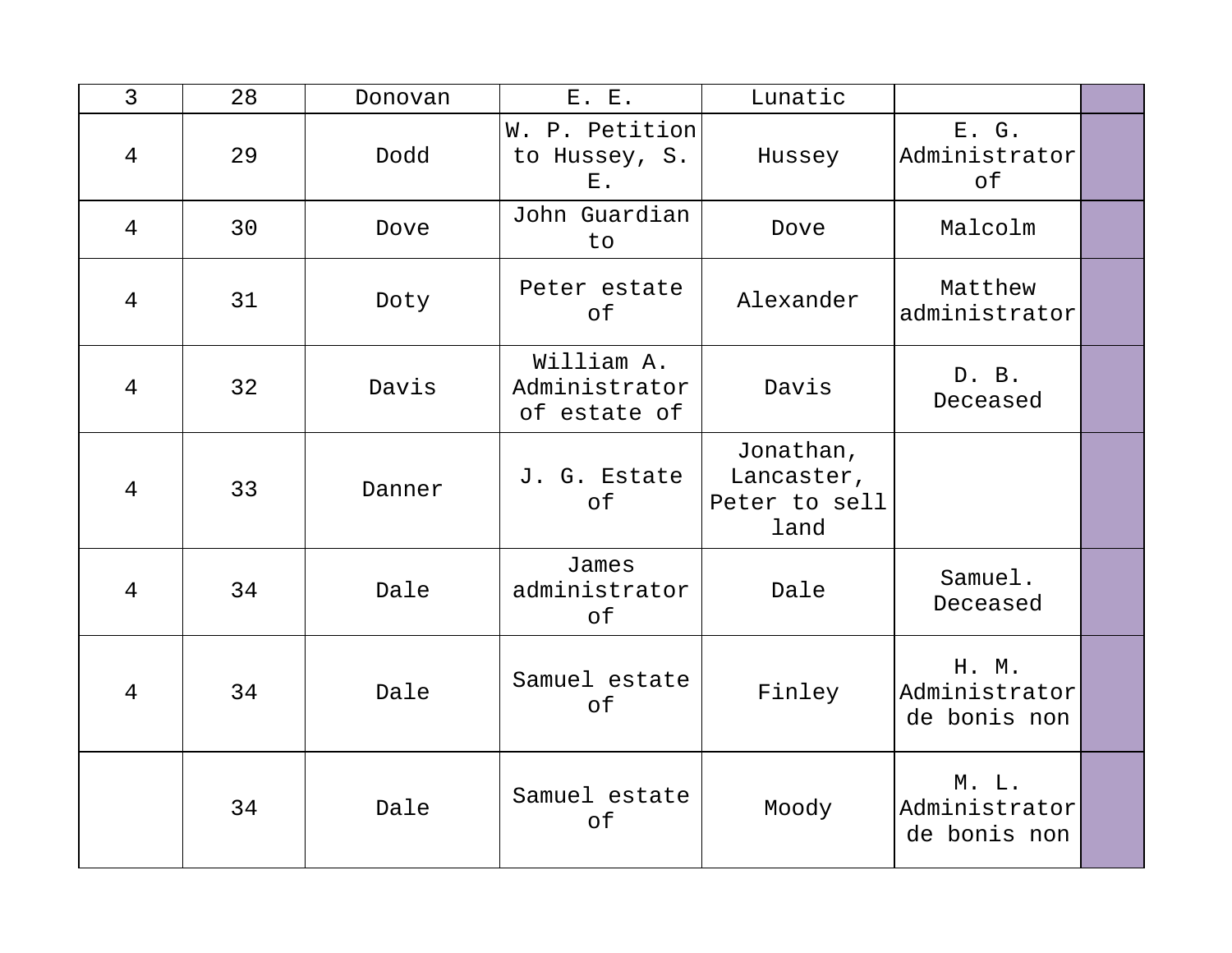| $\overline{3}$ | 28 | Donovan | E. E.                                       | Lunatic                                          |                                        |  |
|----------------|----|---------|---------------------------------------------|--------------------------------------------------|----------------------------------------|--|
| $\overline{4}$ | 29 | Dodd    | W. P. Petition<br>to Hussey, S.<br>$E$ .    | Hussey                                           | E. G.<br>Administrator<br>of           |  |
| $\overline{4}$ | 30 | Dove    | John Guardian<br>to                         | Dove                                             | Malcolm                                |  |
| $\overline{4}$ | 31 | Doty    | Peter estate<br>of                          | Alexander                                        | Matthew<br>administrator               |  |
| $\overline{4}$ | 32 | Davis   | William A.<br>Administrator<br>of estate of | Davis                                            | D. B.<br>Deceased                      |  |
| 4              | 33 | Danner  | J. G. Estate<br>of                          | Jonathan,<br>Lancaster,<br>Peter to sell<br>land |                                        |  |
| $\overline{4}$ | 34 | Dale    | James<br>administrator<br>of                | Dale                                             | Samuel.<br>Deceased                    |  |
| $\overline{4}$ | 34 | Dale    | Samuel estate<br>оf                         | Finley                                           | H. M.<br>Administrator<br>de bonis non |  |
|                | 34 | Dale    | Samuel estate<br>of                         | Moody                                            | M. L.<br>Administrator<br>de bonis non |  |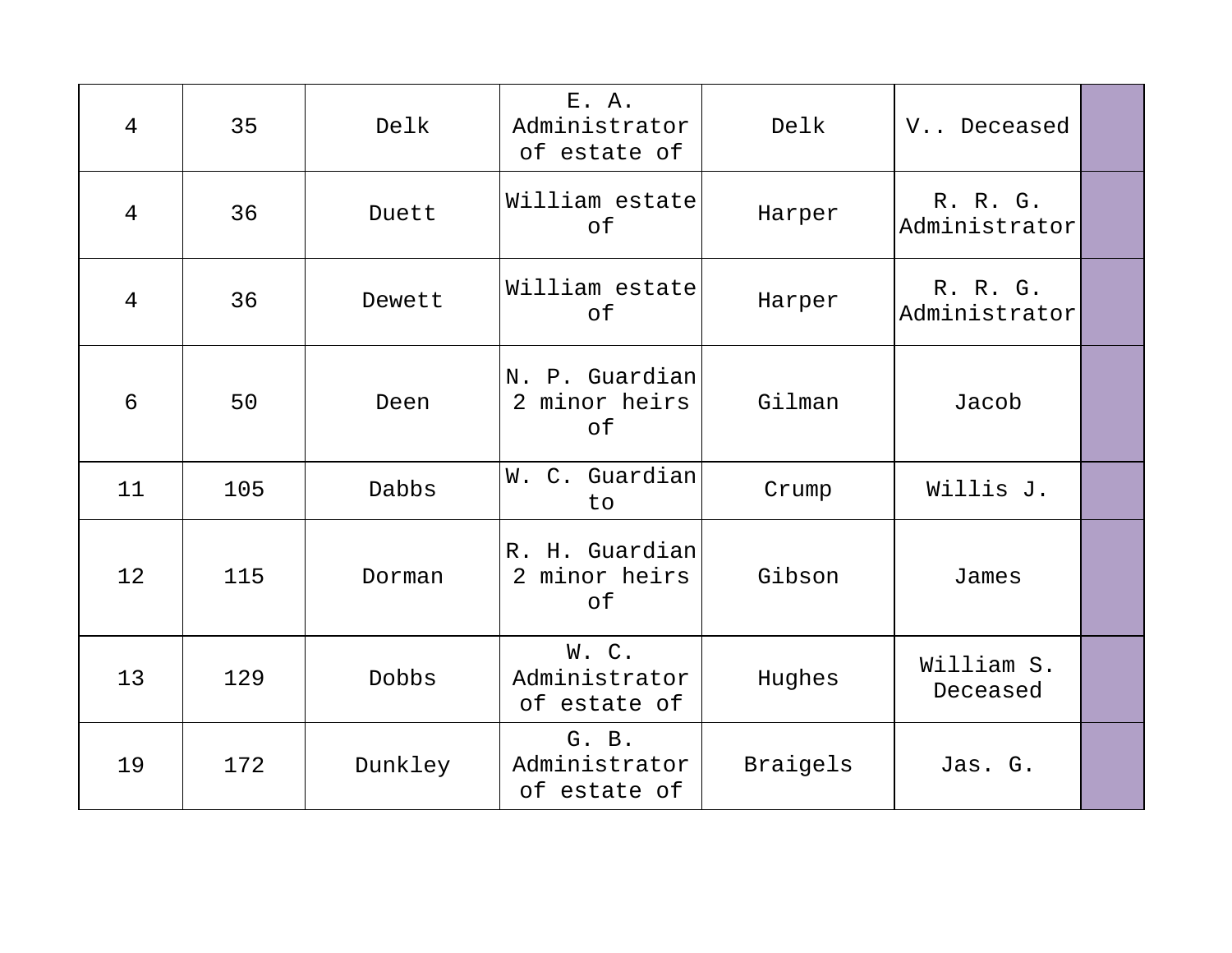| $\overline{4}$ | 35  | Delk    | E. A.<br>Administrator<br>of estate of | Delk     | V Deceased                |  |
|----------------|-----|---------|----------------------------------------|----------|---------------------------|--|
| $\overline{4}$ | 36  | Duett   | William estate<br>of                   | Harper   | R. R. G.<br>Administrator |  |
| $\overline{4}$ | 36  | Dewett  | William estate<br>of                   | Harper   | R. R. G.<br>Administrator |  |
| 6              | 50  | Deen    | N. P. Guardian<br>2 minor heirs<br>of  | Gilman   | Jacob                     |  |
| 11             | 105 | Dabbs   | W. C. Guardian<br>to                   | Crump    | Willis J.                 |  |
| 12             | 115 | Dorman  | R. H. Guardian<br>2 minor heirs<br>of  | Gibson   | James                     |  |
| 13             | 129 | Dobbs   | W.C.<br>Administrator<br>of estate of  | Hughes   | William S.<br>Deceased    |  |
| 19             | 172 | Dunkley | G. B.<br>Administrator<br>of estate of | Braigels | Jas. G.                   |  |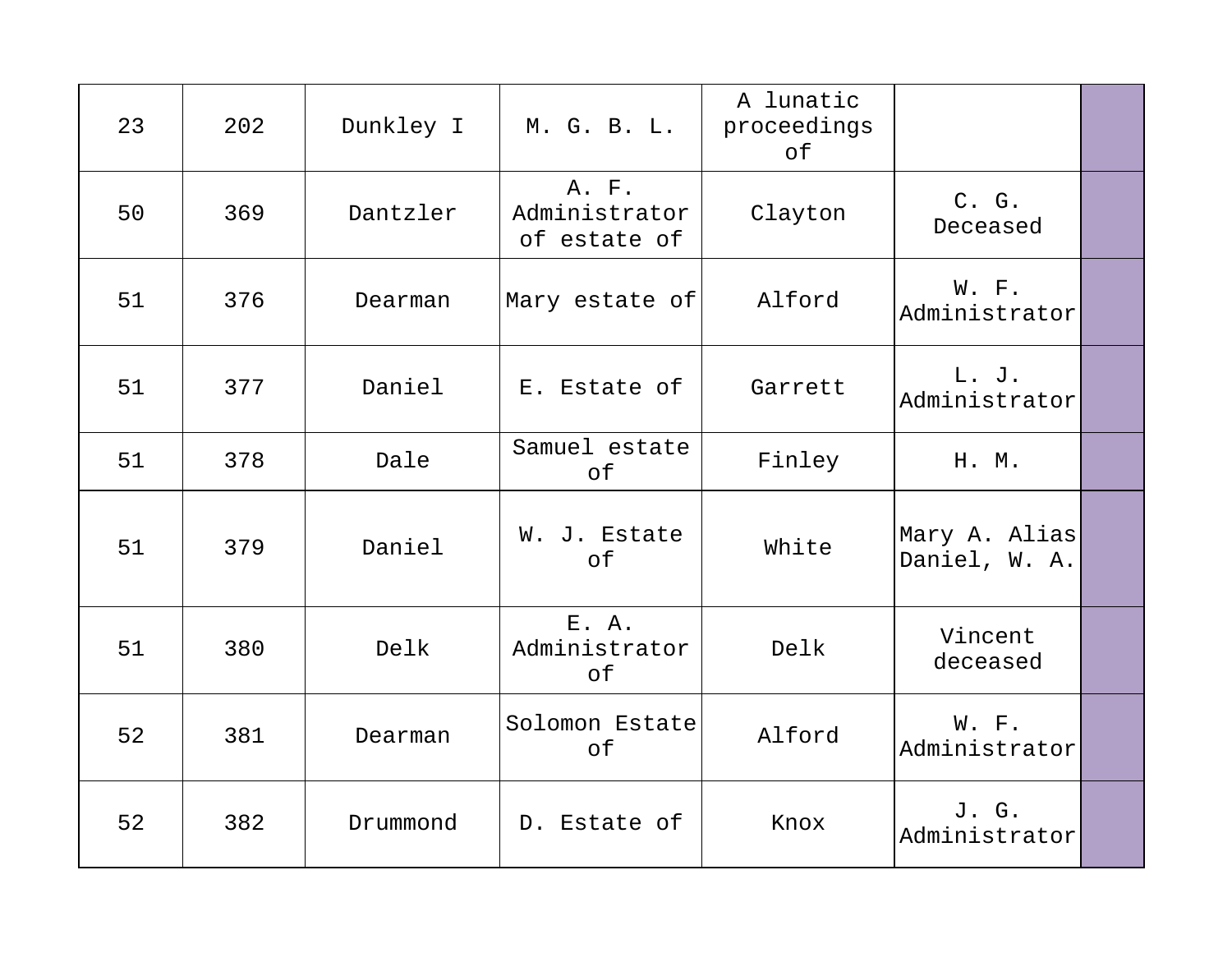| 23 | 202 | Dunkley I | M. G. B. L.                            | A lunatic<br>proceedings<br>of |                                |  |
|----|-----|-----------|----------------------------------------|--------------------------------|--------------------------------|--|
| 50 | 369 | Dantzler  | A. F.<br>Administrator<br>of estate of | Clayton                        | C. G.<br>Deceased              |  |
| 51 | 376 | Dearman   | Mary estate of                         | Alford                         | W. F.<br>Administrator         |  |
| 51 | 377 | Daniel    | E. Estate of                           | Garrett                        | L. J.<br>Administrator         |  |
| 51 | 378 | Dale      | Samuel estate<br>of                    | Finley                         | H. M.                          |  |
| 51 | 379 | Daniel    | W. J. Estate<br>of                     | White                          | Mary A. Alias<br>Daniel, W. A. |  |
| 51 | 380 | Delk      | $E$ . $A$ .<br>Administrator<br>оf     | Delk                           | Vincent<br>deceased            |  |
| 52 | 381 | Dearman   | Solomon Estate<br>of                   | Alford                         | W. F.<br>Administrator         |  |
| 52 | 382 | Drummond  | D. Estate of                           | Knox                           | J. G.<br>Administrator         |  |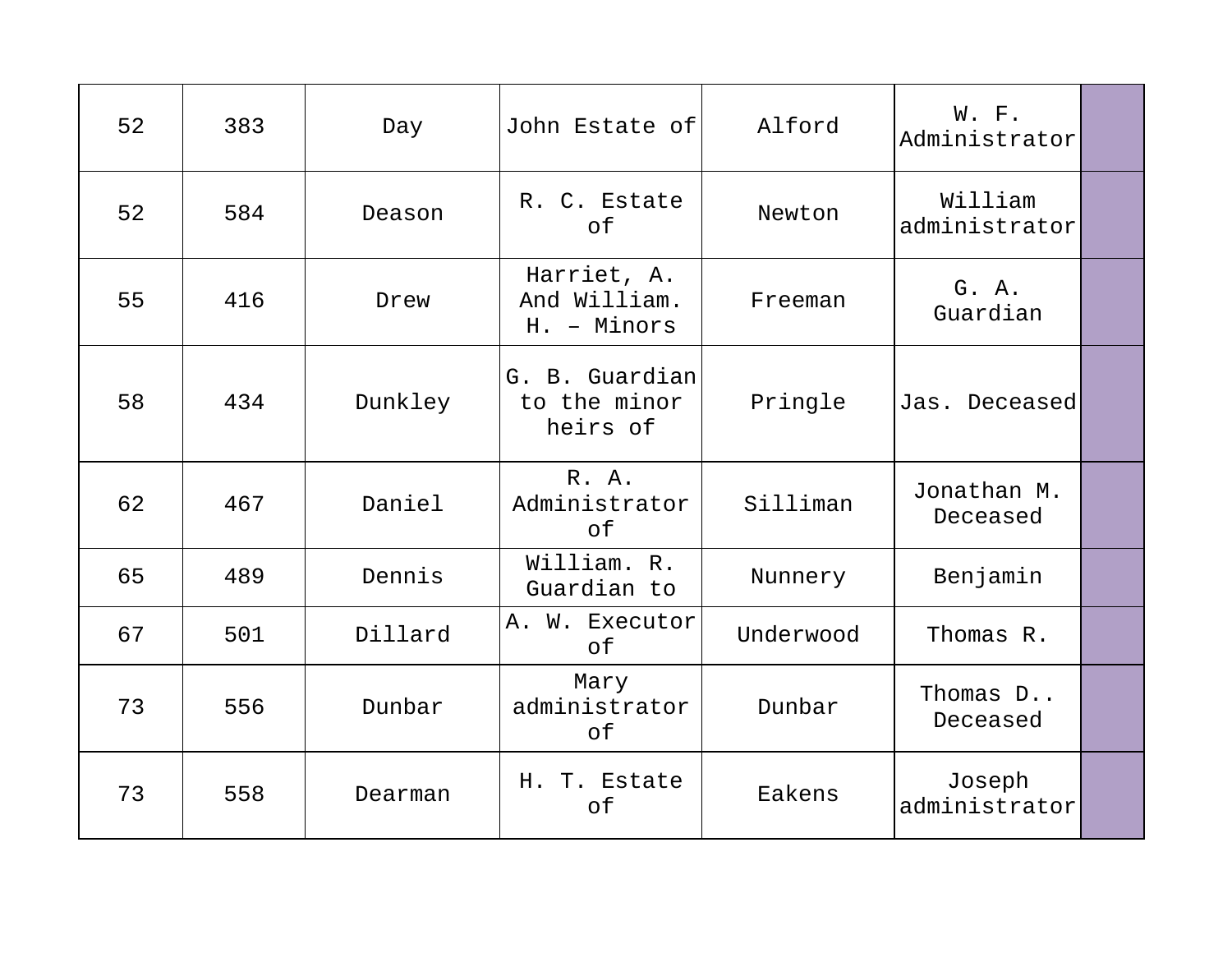| 52 | 383 | Day     | John Estate of                             | Alford    | W. F.<br>Administrator   |  |
|----|-----|---------|--------------------------------------------|-----------|--------------------------|--|
| 52 | 584 | Deason  | R. C. Estate<br>of                         | Newton    | William<br>administrator |  |
| 55 | 416 | Drew    | Harriet, A.<br>And William.<br>H. - Minors | Freeman   | G. A.<br>Guardian        |  |
| 58 | 434 | Dunkley | G. B. Guardian<br>to the minor<br>heirs of | Pringle   | Jas. Deceased            |  |
| 62 | 467 | Daniel  | R. A.<br>Administrator<br>of               | Silliman  | Jonathan M.<br>Deceased  |  |
| 65 | 489 | Dennis  | William. R.<br>Guardian to                 | Nunnery   | Benjamin                 |  |
| 67 | 501 | Dillard | A. W. Executor<br>of                       | Underwood | Thomas R.                |  |
| 73 | 556 | Dunbar  | Mary<br>administrator<br>оf                | Dunbar    | Thomas D<br>Deceased     |  |
| 73 | 558 | Dearman | H. T. Estate<br>of                         | Eakens    | Joseph<br>administrator  |  |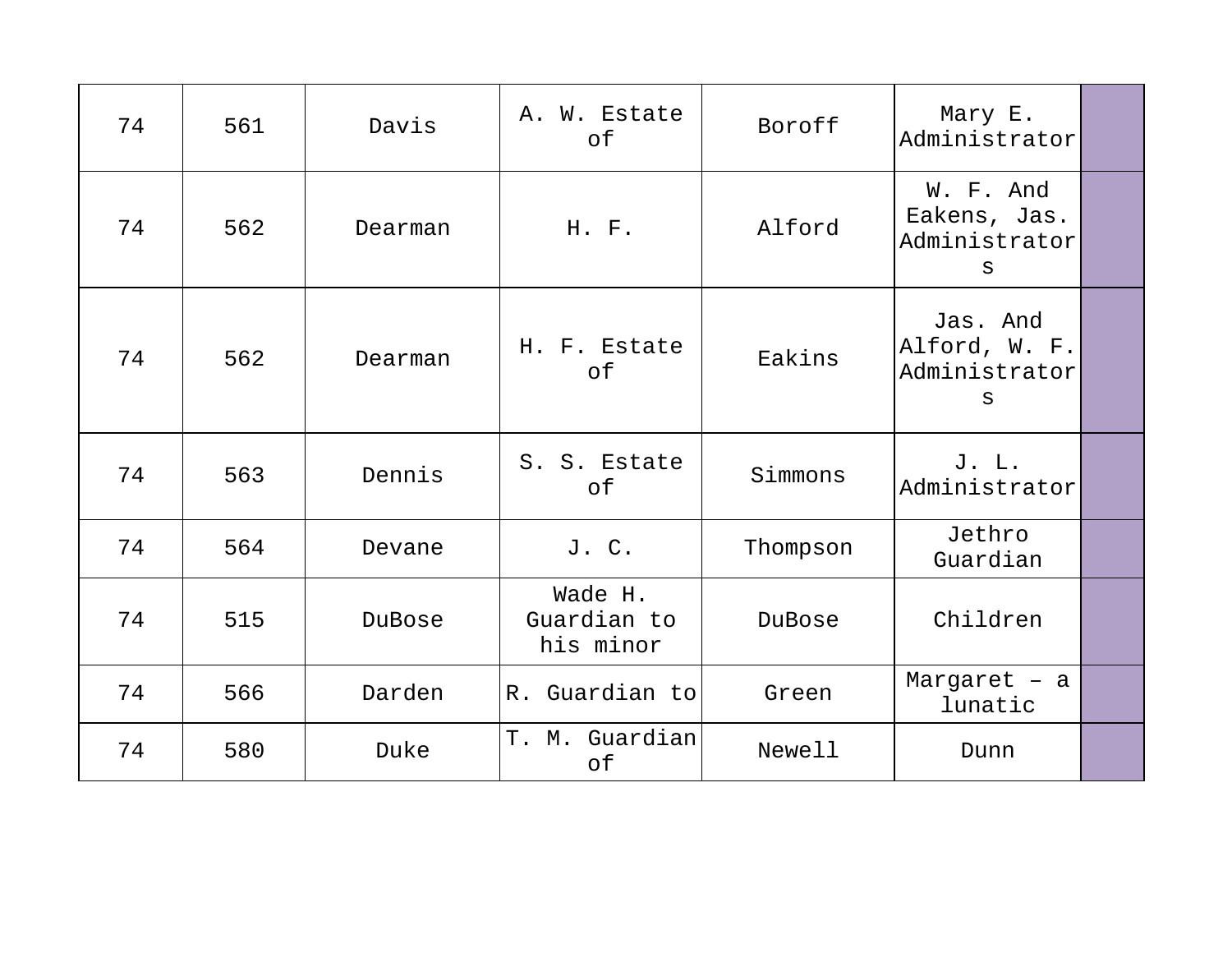| 74 | 561 | Davis   | A. W. Estate<br>of                  | Boroff   | Mary E.<br>Administrator                        |  |
|----|-----|---------|-------------------------------------|----------|-------------------------------------------------|--|
| 74 | 562 | Dearman | H. F.                               | Alford   | W. F. And<br>Eakens, Jas.<br>Administrator<br>S |  |
| 74 | 562 | Dearman | H. F. Estate<br>оf                  | Eakins   | Jas. And<br>Alford, W. F.<br>Administrator<br>S |  |
| 74 | 563 | Dennis  | S. S. Estate<br>оf                  | Simmons  | J. L.<br>Administrator                          |  |
| 74 | 564 | Devane  | J. C.                               | Thompson | Jethro<br>Guardian                              |  |
| 74 | 515 | DuBose  | Wade H.<br>Guardian to<br>his minor | DuBose   | Children                                        |  |
| 74 | 566 | Darden  | R. Guardian to                      | Green    | Margaret $-$ a<br>lunatic                       |  |
| 74 | 580 | Duke    | T. M. Guardian<br>of                | Newell   | Dunn                                            |  |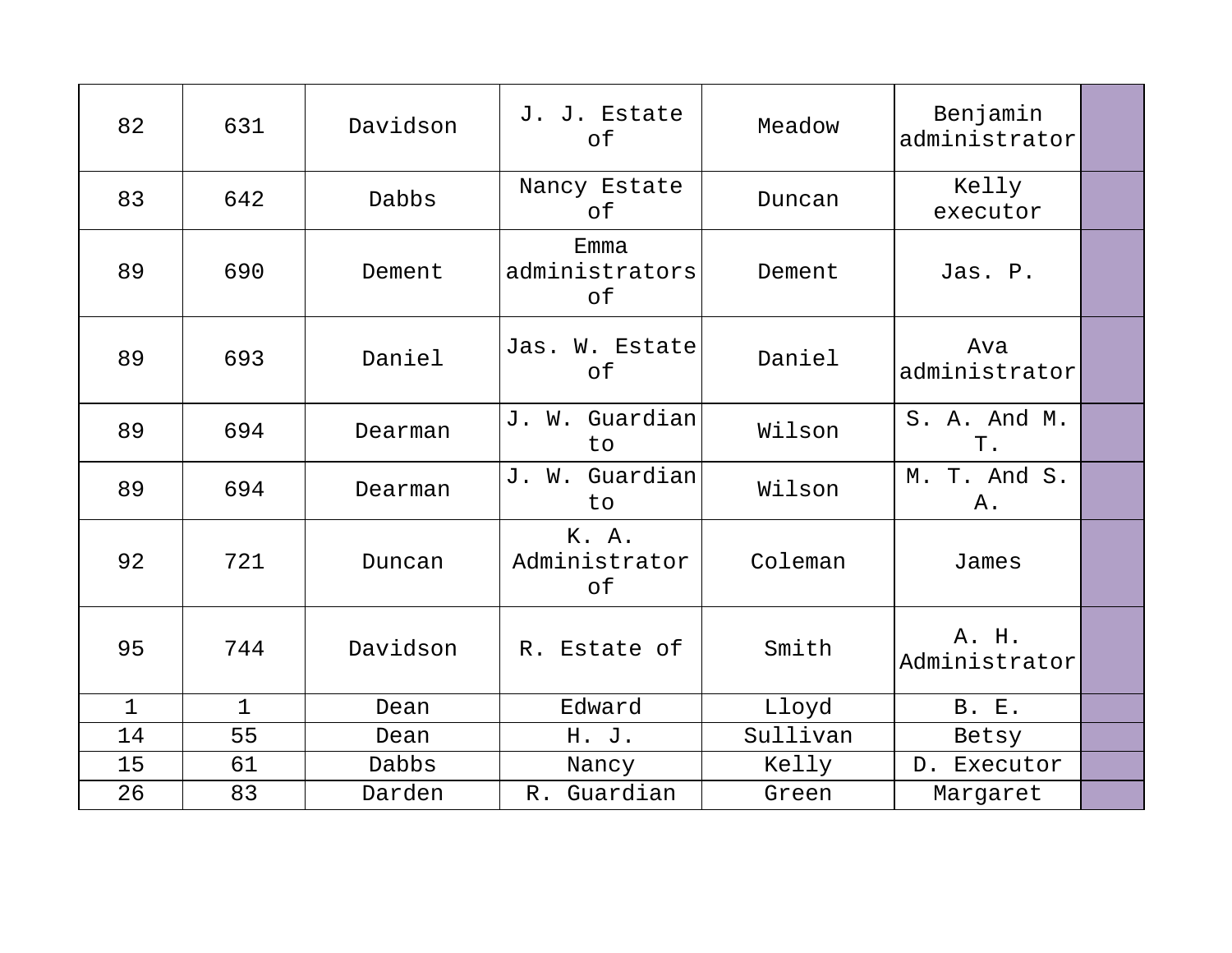| 82           | 631          | Davidson | J. J. Estate<br>of           | Meadow   | Benjamin<br>administrator |  |
|--------------|--------------|----------|------------------------------|----------|---------------------------|--|
| 83           | 642          | Dabbs    | Nancy Estate<br>оf           | Duncan   | Kelly<br>executor         |  |
| 89           | 690          | Dement   | Emma<br>administrators<br>оf | Dement   | Jas. P.                   |  |
| 89           | 693          | Daniel   | Jas. W. Estate<br>of         | Daniel   | Ava<br>administrator      |  |
| 89           | 694          | Dearman  | J. W. Guardian<br>to         | Wilson   | S. A. And M.<br>Τ.        |  |
| 89           | 694          | Dearman  | J. W. Guardian<br>to         | Wilson   | M. T. And S.<br>Α.        |  |
| 92           | 721          | Duncan   | K. A.<br>Administrator<br>of | Coleman  | James                     |  |
| 95           | 744          | Davidson | R. Estate of                 | Smith    | A. H.<br>Administrator    |  |
| $\mathbf{1}$ | $\mathbf{1}$ | Dean     | Edward                       | Lloyd    | <b>B. E.</b>              |  |
| 14           | 55           | Dean     | H. J.                        | Sullivan | Betsy                     |  |
| 15           | 61           | Dabbs    | Nancy                        | Kelly    | D. Executor               |  |
| 26           | 83           | Darden   | R. Guardian                  | Green    | Margaret                  |  |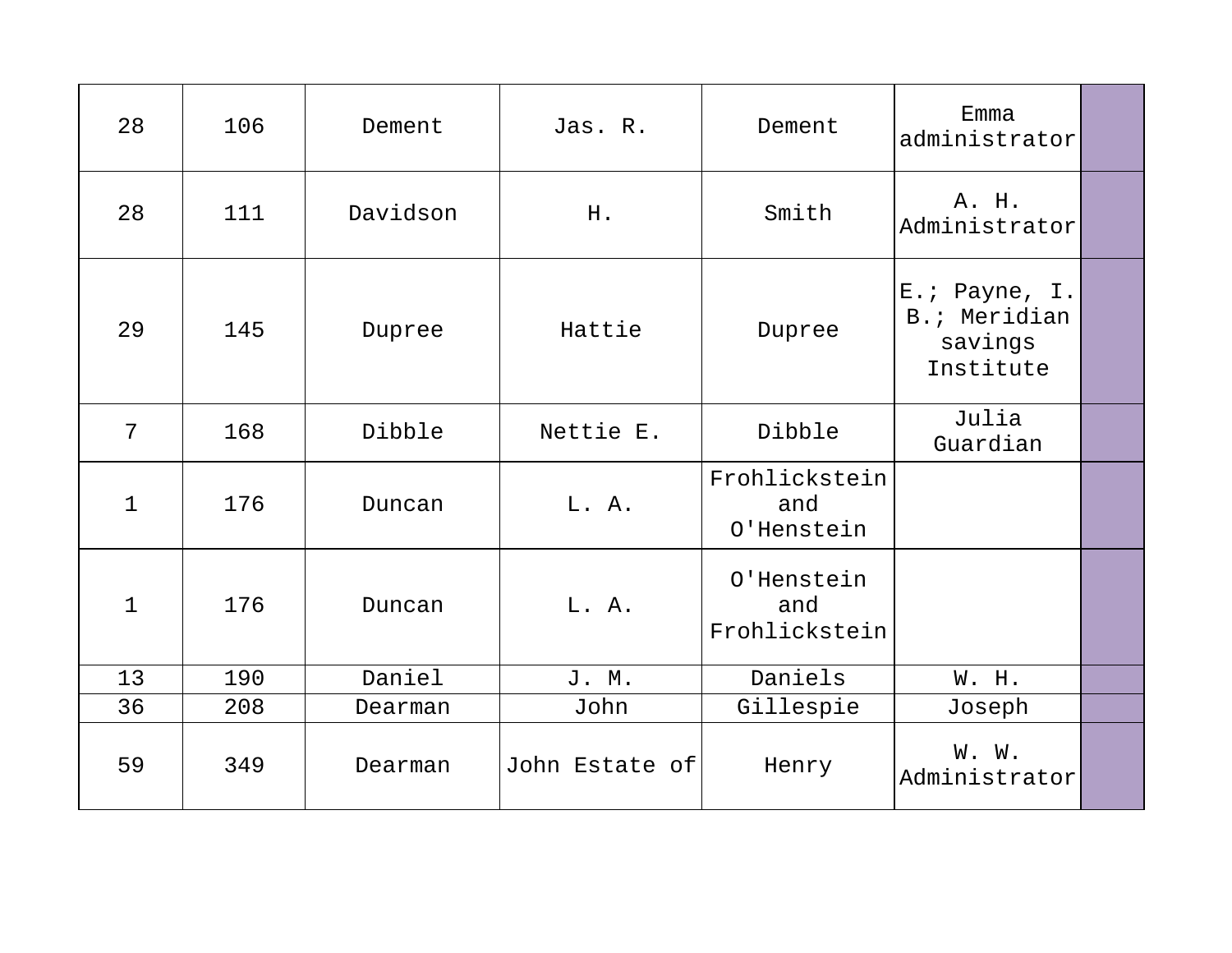| 28           | 106 | Dement   | Jas. R.        | Dement                             | Emma<br>administrator                                 |  |
|--------------|-----|----------|----------------|------------------------------------|-------------------------------------------------------|--|
| 28           | 111 | Davidson | H.             | Smith                              | A. H.<br>Administrator                                |  |
| 29           | 145 | Dupree   | Hattie         | Dupree                             | E.; Payne, I.<br>B.; Meridian<br>savings<br>Institute |  |
| 7            | 168 | Dibble   | Nettie E.      | Dibble                             | Julia<br>Guardian                                     |  |
| $\mathbf{1}$ | 176 | Duncan   | L. A.          | Frohlickstein<br>and<br>O'Henstein |                                                       |  |
| $\mathbf 1$  | 176 | Duncan   | L. A.          | O'Henstein<br>and<br>Frohlickstein |                                                       |  |
| 13           | 190 | Daniel   | J. M.          | Daniels                            | W. H.                                                 |  |
| 36           | 208 | Dearman  | John           | Gillespie                          | Joseph                                                |  |
| 59           | 349 | Dearman  | John Estate of | Henry                              | W. W.<br>Administrator                                |  |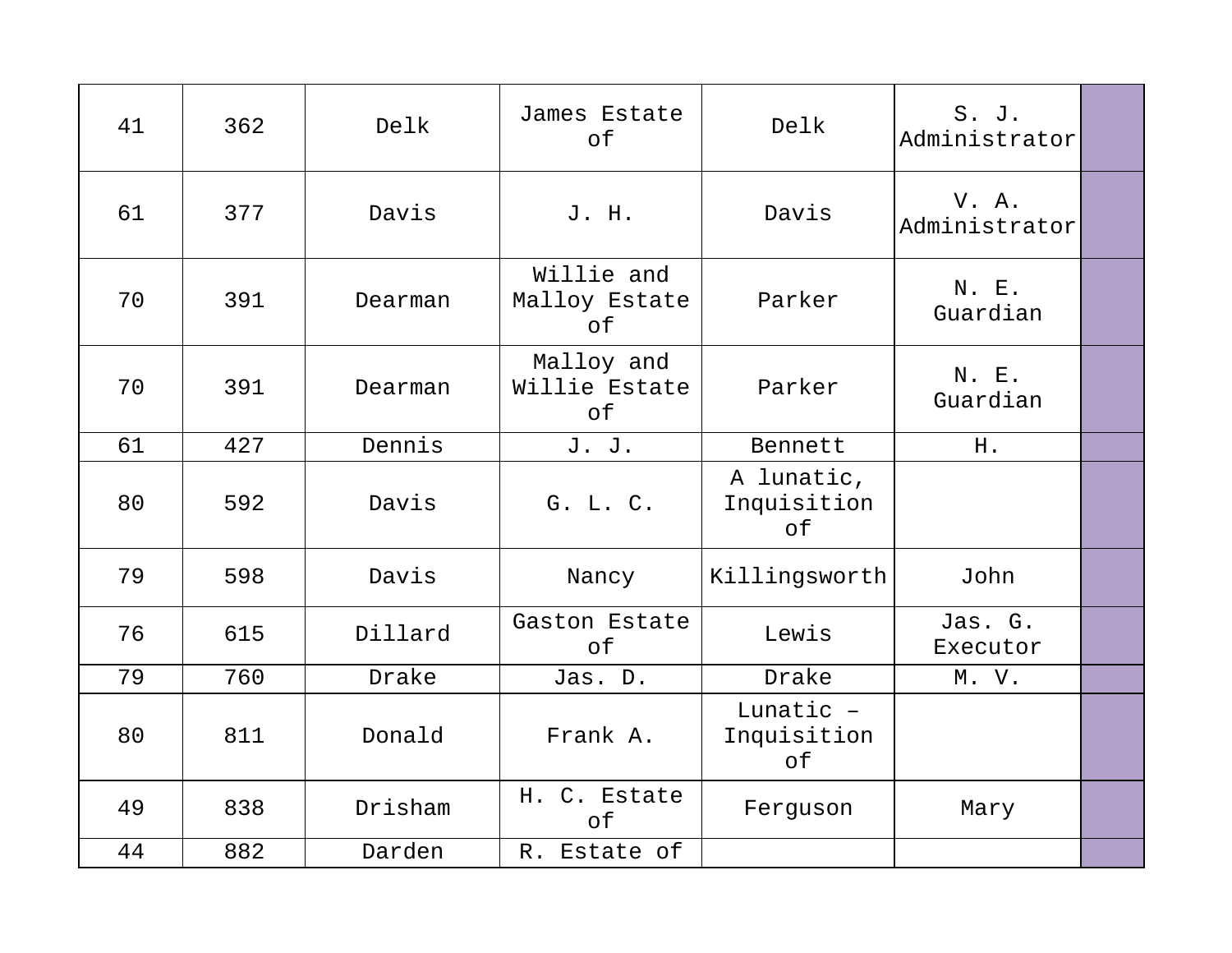| 41 | 362 | Delk    | James Estate<br>of                | Delk                            | S. J.<br>Administrator |  |
|----|-----|---------|-----------------------------------|---------------------------------|------------------------|--|
| 61 | 377 | Davis   | J. H.                             | Davis                           | V. A.<br>Administrator |  |
| 70 | 391 | Dearman | Willie and<br>Malloy Estate<br>of | Parker                          | N. E.<br>Guardian      |  |
| 70 | 391 | Dearman | Malloy and<br>Willie Estate<br>of | Parker                          | N. E.<br>Guardian      |  |
| 61 | 427 | Dennis  | J. J.                             | Bennett                         | H.                     |  |
| 80 | 592 | Davis   | G. L. C.                          | A lunatic,<br>Inquisition<br>of |                        |  |
| 79 | 598 | Davis   | Nancy                             | Killingsworth                   | John                   |  |
| 76 | 615 | Dillard | Gaston Estate<br>of               | Lewis                           | Jas. G.<br>Executor    |  |
| 79 | 760 | Drake   | Jas. D.                           | Drake                           | M. V.                  |  |
| 80 | 811 | Donald  | Frank A.                          | Lunatic -<br>Inquisition<br>оf  |                        |  |
| 49 | 838 | Drisham | H. C. Estate<br>of                | Ferguson                        | Mary                   |  |
| 44 | 882 | Darden  | R. Estate of                      |                                 |                        |  |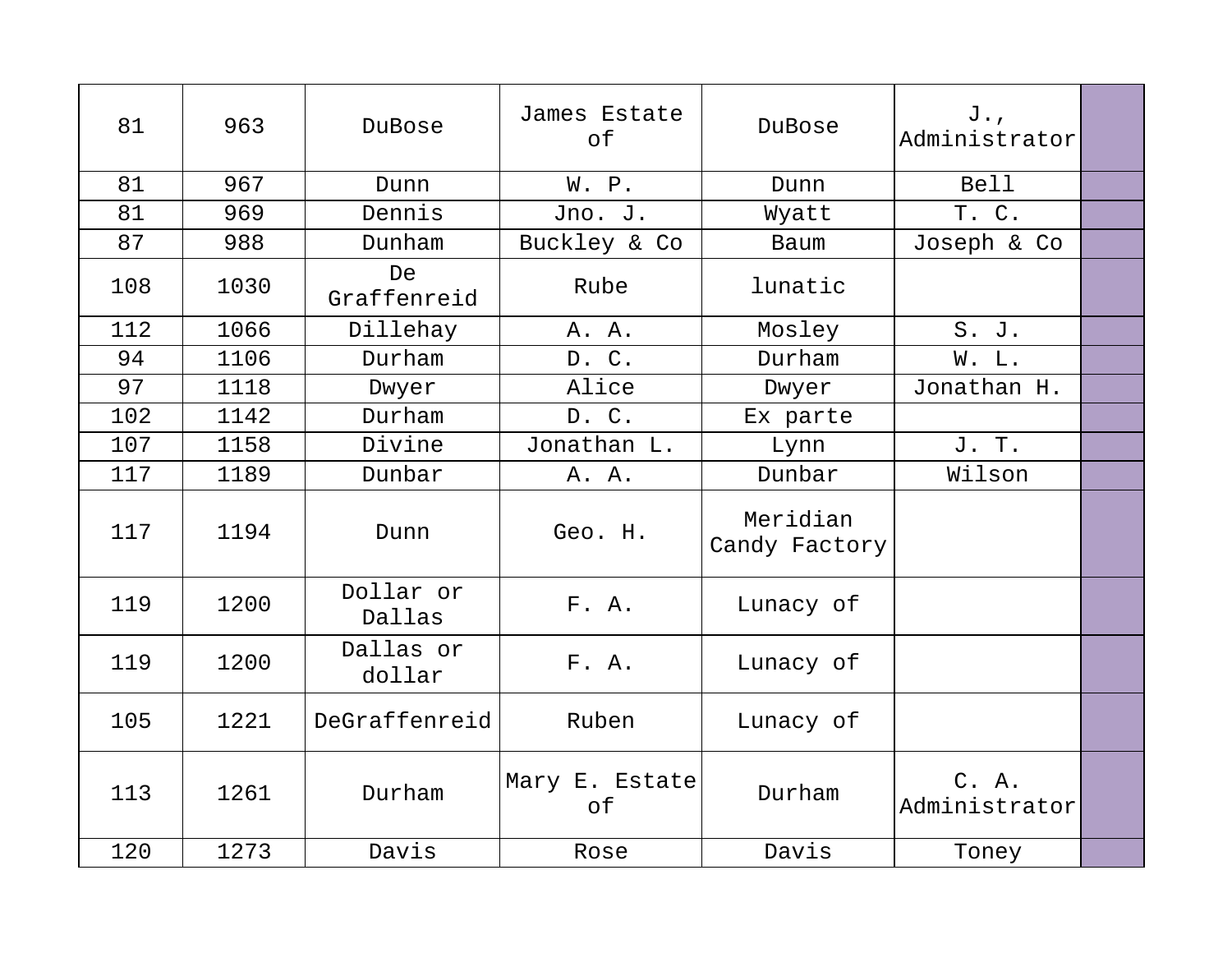| 81  | 963  | DuBose              | James Estate<br>of   | DuBose                    | J.,<br>Administrator   |  |
|-----|------|---------------------|----------------------|---------------------------|------------------------|--|
| 81  | 967  | Dunn                | W. P.                | Dunn                      | <b>Bell</b>            |  |
| 81  | 969  | Dennis              | Jno. J.              | Wyatt                     | T. C.                  |  |
| 87  | 988  | Dunham              | Buckley & Co         | Baum                      | Joseph & Co            |  |
| 108 | 1030 | De<br>Graffenreid   | Rube                 | lunatic                   |                        |  |
| 112 | 1066 | Dillehay            | A. A.                | Mosley                    | S. J.                  |  |
| 94  | 1106 | Durham              | D. C.                | Durham                    | W. L.                  |  |
| 97  | 1118 | Dwyer               | Alice                | Dwyer                     | Jonathan H.            |  |
| 102 | 1142 | Durham              | D. C.                | Ex parte                  |                        |  |
| 107 | 1158 | Divine              | Jonathan L.          | Lynn                      | J. T.                  |  |
| 117 | 1189 | Dunbar              | A. A.                | Dunbar                    | Wilson                 |  |
| 117 | 1194 | Dunn                | Geo. H.              | Meridian<br>Candy Factory |                        |  |
| 119 | 1200 | Dollar or<br>Dallas | F. A.                | Lunacy of                 |                        |  |
| 119 | 1200 | Dallas or<br>dollar | F. A.                | Lunacy of                 |                        |  |
| 105 | 1221 | DeGraffenreid       | Ruben                | Lunacy of                 |                        |  |
| 113 | 1261 | Durham              | Mary E. Estate<br>of | Durham                    | C. A.<br>Administrator |  |
| 120 | 1273 | Davis               | Rose                 | Davis                     | Toney                  |  |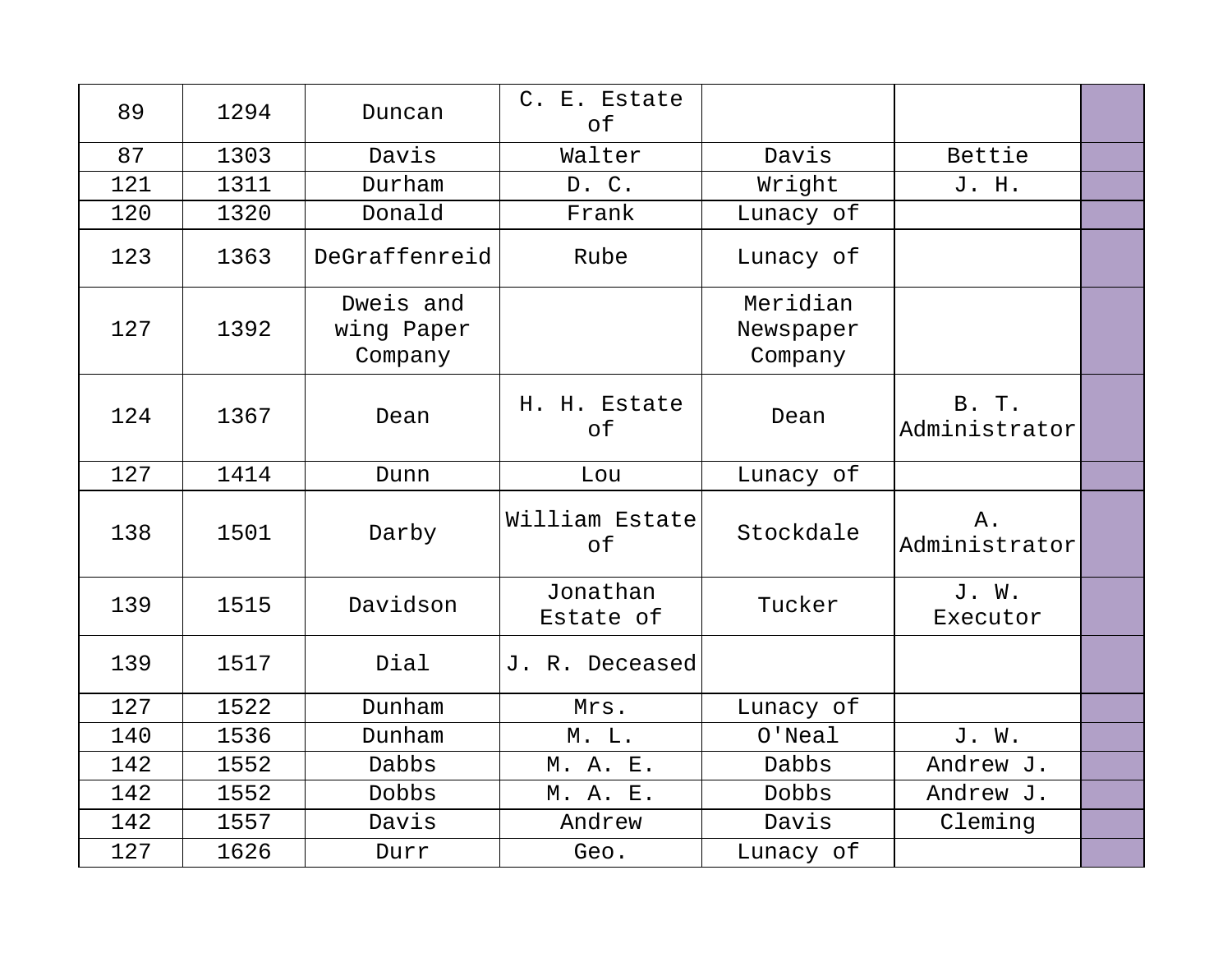| 89  | 1294 | Duncan                             | C. E. Estate<br>of    |                                  |                        |  |
|-----|------|------------------------------------|-----------------------|----------------------------------|------------------------|--|
| 87  | 1303 | Davis                              | Walter                | Davis                            | Bettie                 |  |
| 121 | 1311 | Durham                             | D. C.                 | Wright                           | J. H.                  |  |
| 120 | 1320 | Donald                             | Frank                 | Lunacy of                        |                        |  |
| 123 | 1363 | DeGraffenreid                      | Rube                  | Lunacy of                        |                        |  |
| 127 | 1392 | Dweis and<br>wing Paper<br>Company |                       | Meridian<br>Newspaper<br>Company |                        |  |
| 124 | 1367 | Dean                               | H. H. Estate<br>of    | Dean                             | B. T.<br>Administrator |  |
| 127 | 1414 | Dunn                               | Lou                   | Lunacy of                        |                        |  |
| 138 | 1501 | Darby                              | William Estate<br>of  | Stockdale                        | $A$ .<br>Administrator |  |
| 139 | 1515 | Davidson                           | Jonathan<br>Estate of | Tucker                           | J. W.<br>Executor      |  |
| 139 | 1517 | Dial                               | J. R. Deceased        |                                  |                        |  |
| 127 | 1522 | Dunham                             | Mrs.                  | Lunacy of                        |                        |  |
| 140 | 1536 | Dunham                             | M. L.                 | $O'$ Neal                        | J. W.                  |  |
| 142 | 1552 | Dabbs                              | M. A. E.              | Dabbs                            | Andrew J.              |  |
| 142 | 1552 | Dobbs                              | M. A. E.              | Dobbs                            | Andrew J.              |  |
| 142 | 1557 | Davis                              | Andrew                | Davis                            | Cleming                |  |
| 127 | 1626 | Durr                               | Geo.                  | Lunacy of                        |                        |  |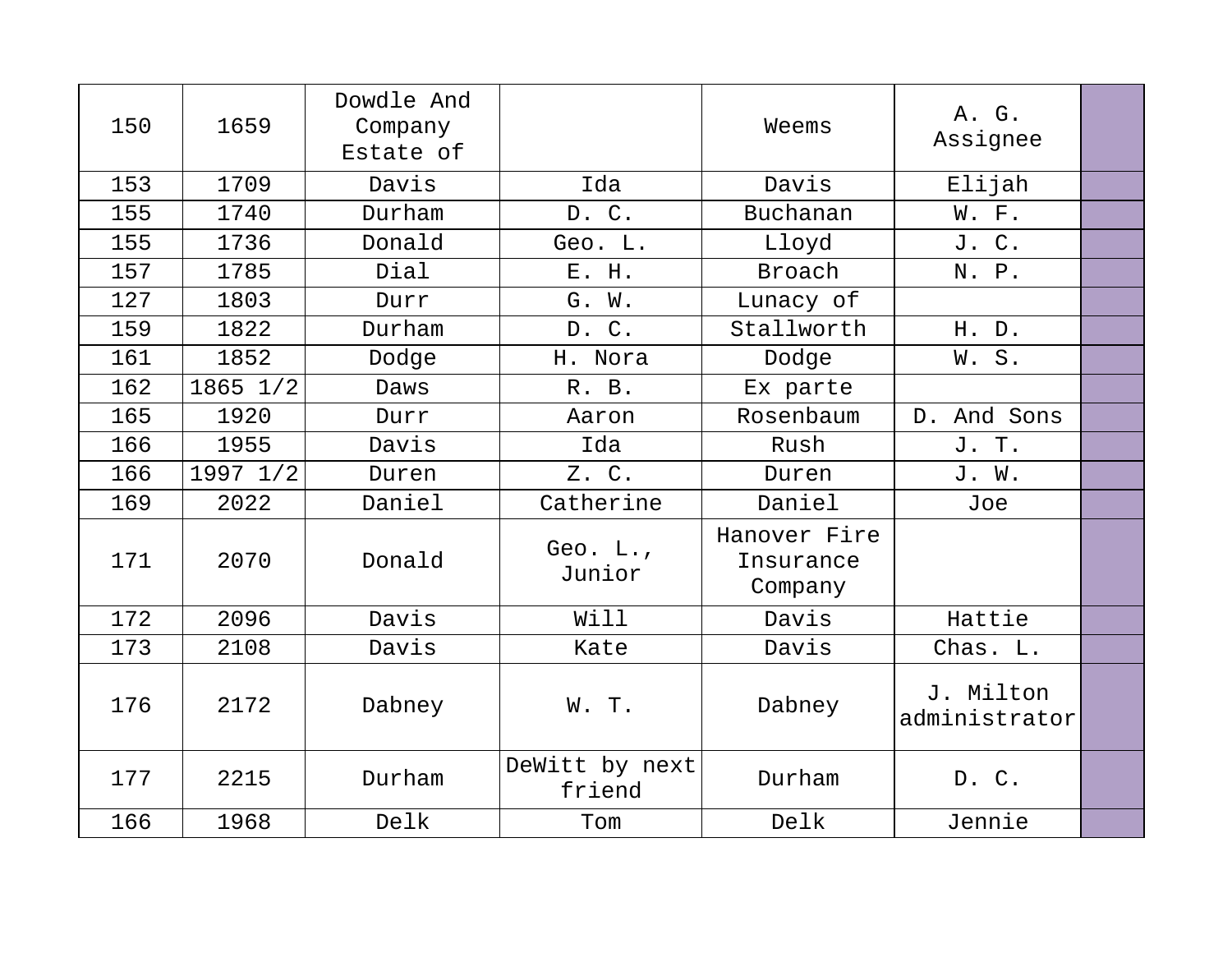| 150 | 1659     | Dowdle And<br>Company<br>Estate of |                          | Weems                                | A. G.<br>Assignee          |  |
|-----|----------|------------------------------------|--------------------------|--------------------------------------|----------------------------|--|
| 153 | 1709     | Davis                              | Ida                      | Davis                                | Elijah                     |  |
| 155 | 1740     | Durham                             | D. C.                    | Buchanan                             | W. F.                      |  |
| 155 | 1736     | Donald                             | Geo. L.                  | Lloyd                                | J. C.                      |  |
| 157 | 1785     | Dial                               | E. H.                    | Broach                               | N. P.                      |  |
| 127 | 1803     | Durr                               | G. W.                    | Lunacy of                            |                            |  |
| 159 | 1822     | Durham                             | D. C.                    | Stallworth                           | H. D.                      |  |
| 161 | 1852     | Dodge                              | H. Nora                  | Dodge                                | W.S.                       |  |
| 162 | 1865 1/2 | Daws                               | R. B.                    | Ex parte                             |                            |  |
| 165 | 1920     | Durr                               | Aaron                    | Rosenbaum                            | D. And Sons                |  |
| 166 | 1955     | Davis                              | Ida                      | Rush                                 | J. T.                      |  |
| 166 | 1997 1/2 | Duren                              | $Z$ . $C$ .              | Duren                                | J. W.                      |  |
| 169 | 2022     | Daniel                             | Catherine                | Daniel                               | Joe                        |  |
| 171 | 2070     | Donald                             | Geo. L.,<br>Junior       | Hanover Fire<br>Insurance<br>Company |                            |  |
| 172 | 2096     | Davis                              | Will                     | Davis                                | Hattie                     |  |
| 173 | 2108     | Davis                              | Kate                     | Davis                                | Chas. L.                   |  |
| 176 | 2172     | Dabney                             | W. T.                    | Dabney                               | J. Milton<br>administrator |  |
| 177 | 2215     | Durham                             | DeWitt by next<br>friend | Durham                               | D. C.                      |  |
| 166 | 1968     | Delk                               | Tom                      | Delk                                 | Jennie                     |  |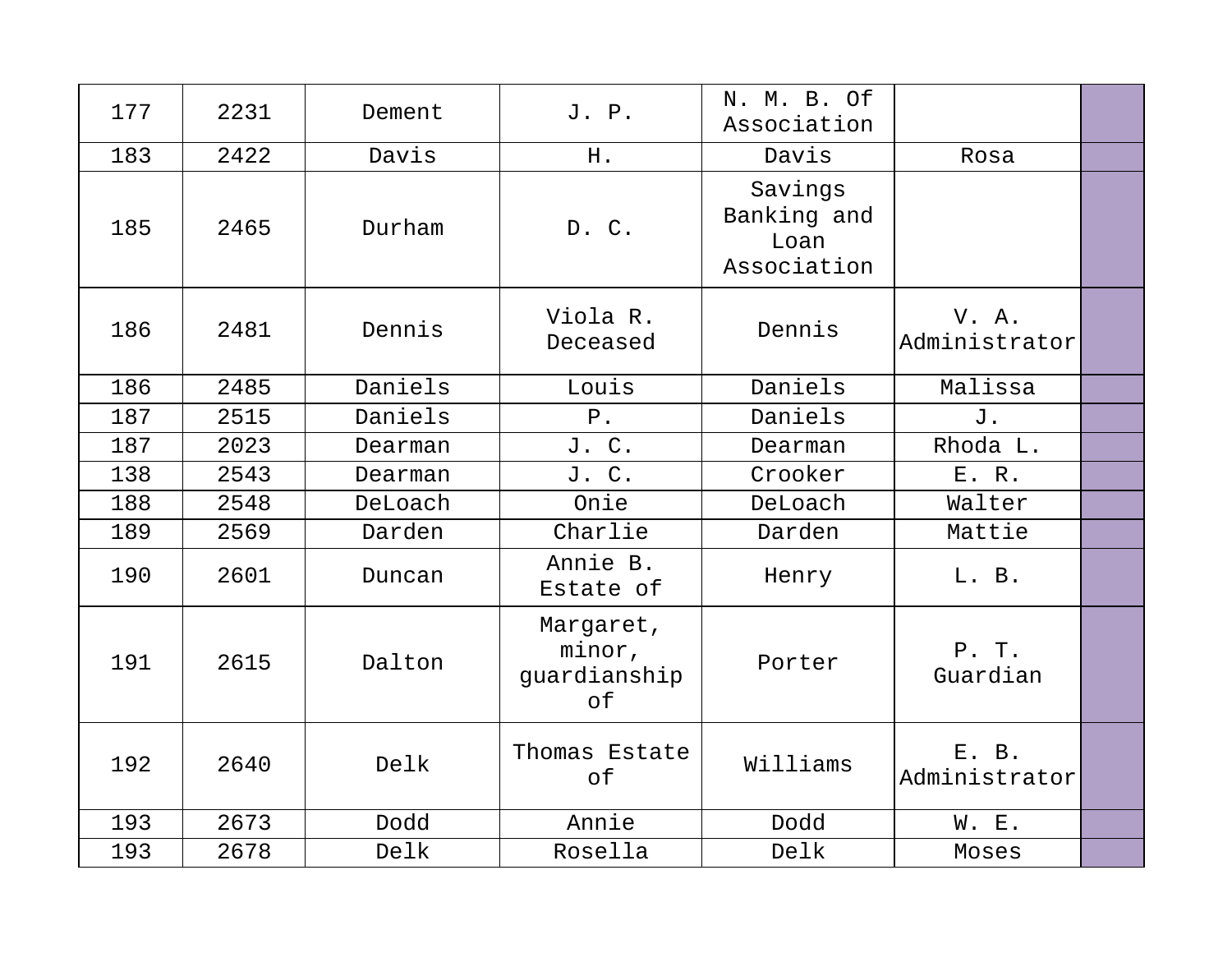| 177 | 2231 | Dement  | J. P.                                     | N. M. B. Of<br>Association                    |                        |  |
|-----|------|---------|-------------------------------------------|-----------------------------------------------|------------------------|--|
| 183 | 2422 | Davis   | H.                                        | Davis                                         | Rosa                   |  |
| 185 | 2465 | Durham  | D. C.                                     | Savings<br>Banking and<br>Loan<br>Association |                        |  |
| 186 | 2481 | Dennis  | Viola R.<br>Deceased                      | Dennis                                        | V. A.<br>Administrator |  |
| 186 | 2485 | Daniels | Louis                                     | Daniels                                       | Malissa                |  |
| 187 | 2515 | Daniels | $P$ .                                     | Daniels                                       | J.                     |  |
| 187 | 2023 | Dearman | J. C.                                     | Dearman                                       | Rhoda L.               |  |
| 138 | 2543 | Dearman | J. C.                                     | Crooker                                       | E. R.                  |  |
| 188 | 2548 | DeLoach | Onie                                      | DeLoach                                       | Walter                 |  |
| 189 | 2569 | Darden  | Charlie                                   | Darden                                        | Mattie                 |  |
| 190 | 2601 | Duncan  | Annie B.<br>Estate of                     | Henry                                         | L. B.                  |  |
| 191 | 2615 | Dalton  | Margaret,<br>minor,<br>guardianship<br>of | Porter                                        | P. T.<br>Guardian      |  |
| 192 | 2640 | Delk    | Thomas Estate<br>of                       | Williams                                      | E. B.<br>Administrator |  |
| 193 | 2673 | Dodd    | Annie                                     | Dodd                                          | W. E.                  |  |
| 193 | 2678 | Delk    | Rosella                                   | Delk                                          | Moses                  |  |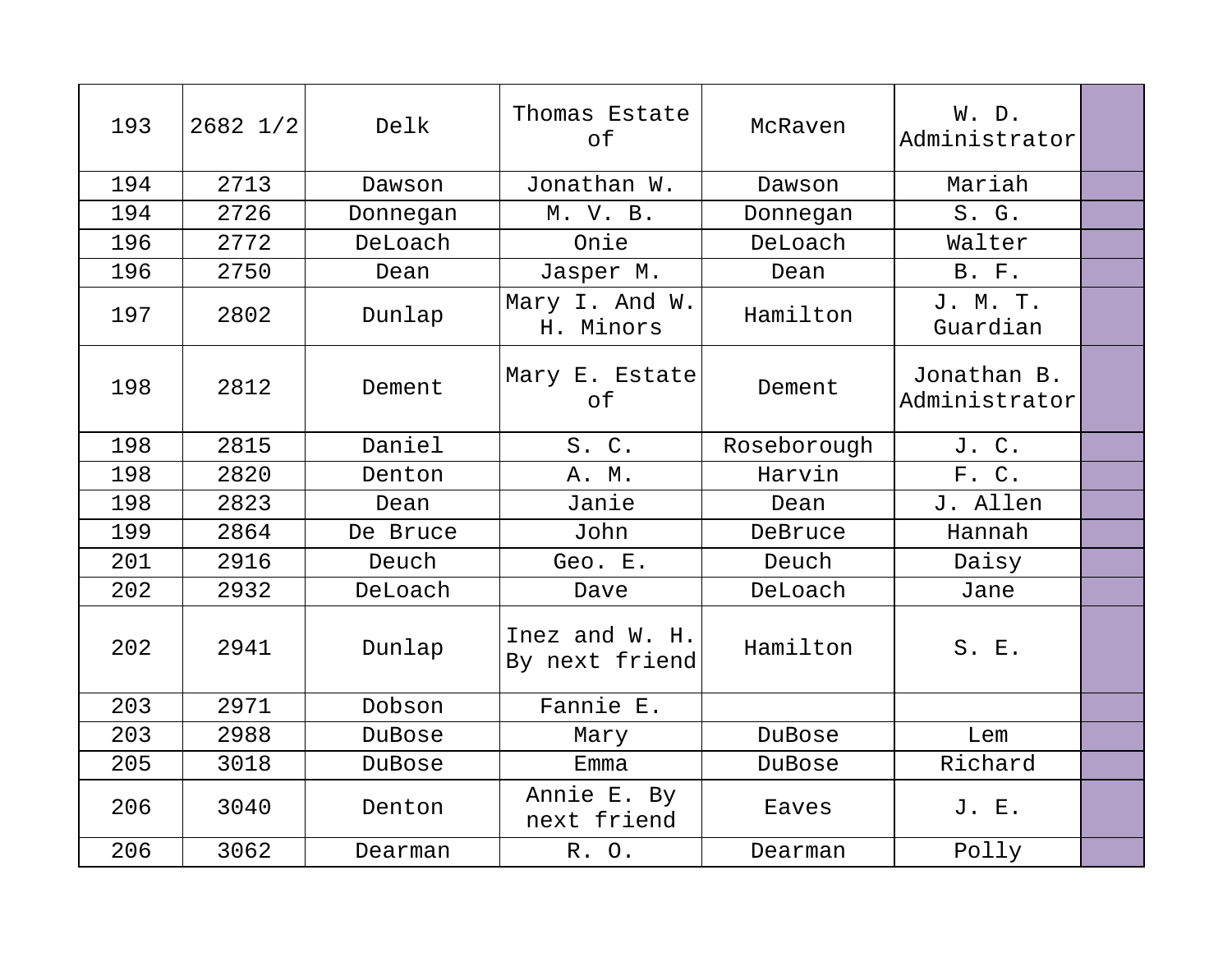| 193 | 2682 1/2 | Delk     | Thomas Estate<br>of              | McRaven     | W. D.<br>Administrator       |  |
|-----|----------|----------|----------------------------------|-------------|------------------------------|--|
| 194 | 2713     | Dawson   | Jonathan W.                      | Dawson      | Mariah                       |  |
| 194 | 2726     | Donnegan | M. V. B.                         | Donnegan    | S. G.                        |  |
| 196 | 2772     | DeLoach  | Onie                             | DeLoach     | Walter                       |  |
| 196 | 2750     | Dean     | Jasper M.                        | Dean        | B. F.                        |  |
| 197 | 2802     | Dunlap   | Mary I. And W.<br>H. Minors      | Hamilton    | J. M. T.<br>Guardian         |  |
| 198 | 2812     | Dement   | Mary E. Estate<br>of             | Dement      | Jonathan B.<br>Administrator |  |
| 198 | 2815     | Daniel   | S. C.                            | Roseborough | J. C.                        |  |
| 198 | 2820     | Denton   | A. M.                            | Harvin      | F. C.                        |  |
| 198 | 2823     | Dean     | Janie                            | Dean        | J. Allen                     |  |
| 199 | 2864     | De Bruce | John                             | DeBruce     | Hannah                       |  |
| 201 | 2916     | Deuch    | Geo. E.                          | Deuch       | Daisy                        |  |
| 202 | 2932     | DeLoach  | Dave                             | DeLoach     | Jane                         |  |
| 202 | 2941     | Dunlap   | Inez and W. H.<br>By next friend | Hamilton    | S. E.                        |  |
| 203 | 2971     | Dobson   | Fannie E.                        |             |                              |  |
| 203 | 2988     | DuBose   | Mary                             | DuBose      | Lem                          |  |
| 205 | 3018     | DuBose   | Emma                             | DuBose      | Richard                      |  |
| 206 | 3040     | Denton   | Annie E. By<br>next friend       | Eaves       | J. E.                        |  |
| 206 | 3062     | Dearman  | R. O.                            | Dearman     | Polly                        |  |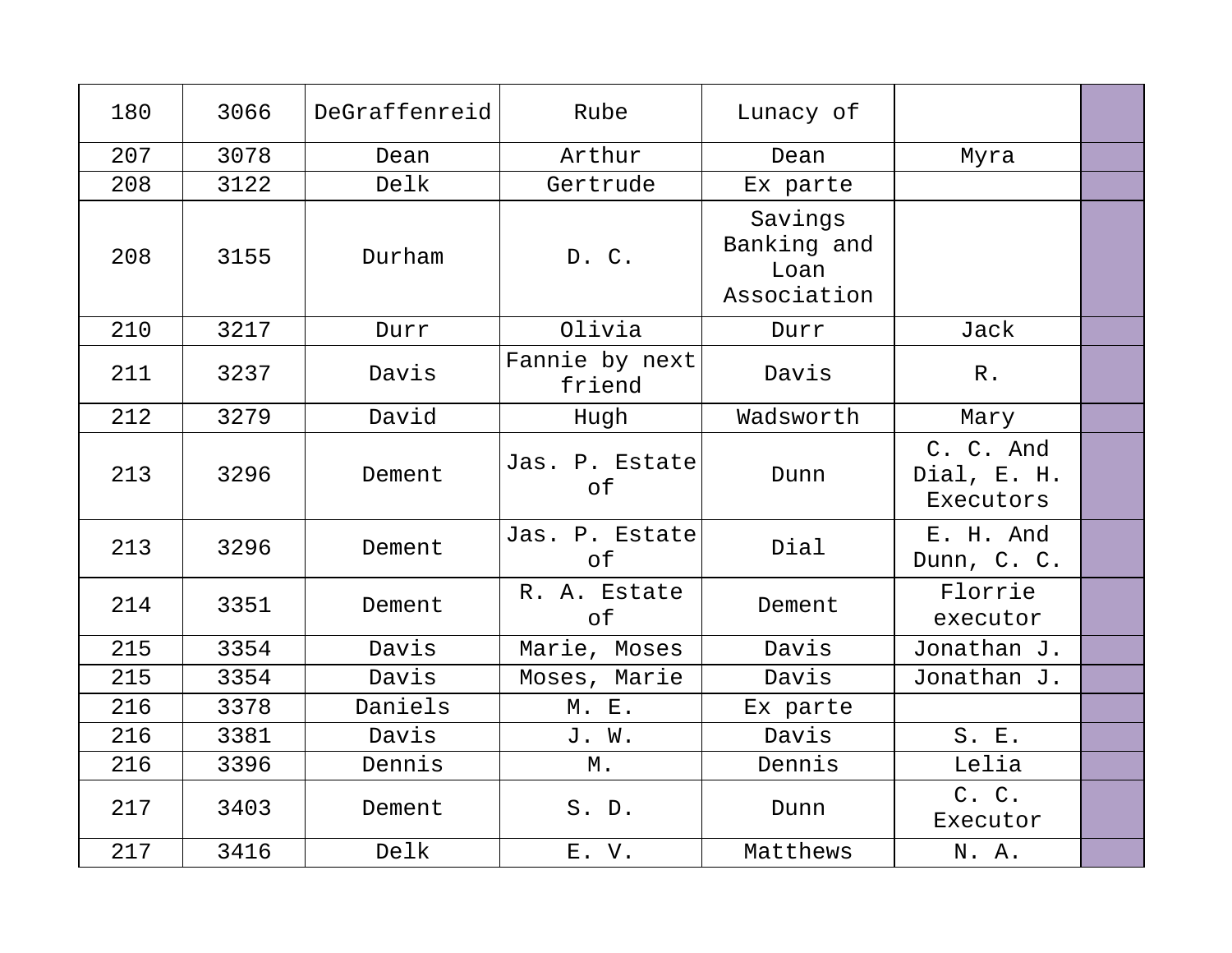| 180 | 3066 | DeGraffenreid | Rube                     | Lunacy of                                     |                                       |  |
|-----|------|---------------|--------------------------|-----------------------------------------------|---------------------------------------|--|
| 207 | 3078 | Dean          | Arthur                   | Dean                                          | Myra                                  |  |
| 208 | 3122 | Delk          | Gertrude                 | Ex parte                                      |                                       |  |
| 208 | 3155 | Durham        | D. C.                    | Savings<br>Banking and<br>Loan<br>Association |                                       |  |
| 210 | 3217 | Durr          | Olivia                   | Durr                                          | Jack                                  |  |
| 211 | 3237 | Davis         | Fannie by next<br>friend | Davis                                         | $R$ .                                 |  |
| 212 | 3279 | David         | Hugh                     | Wadsworth                                     | Mary                                  |  |
| 213 | 3296 | Dement        | Jas. P. Estate<br>of     | Dunn                                          | C. C. And<br>Dial, E. H.<br>Executors |  |
| 213 | 3296 | Dement        | Jas. P. Estate<br>of     | Dial                                          | E. H. And<br>Dunn, C. C.              |  |
| 214 | 3351 | Dement        | R. A. Estate<br>of       | Dement                                        | Florrie<br>executor                   |  |
| 215 | 3354 | Davis         | Marie, Moses             | Davis                                         | Jonathan J.                           |  |
| 215 | 3354 | Davis         | Moses, Marie             | Davis                                         | Jonathan J.                           |  |
| 216 | 3378 | Daniels       | M. E.                    | Ex parte                                      |                                       |  |
| 216 | 3381 | Davis         | J. W.                    | Davis                                         | S. E.                                 |  |
| 216 | 3396 | Dennis        | М.                       | Dennis                                        | Lelia                                 |  |
| 217 | 3403 | Dement        | S. D.                    | Dunn                                          | C. C.<br>Executor                     |  |
| 217 | 3416 | Delk          | E. V.                    | Matthews                                      | N. A.                                 |  |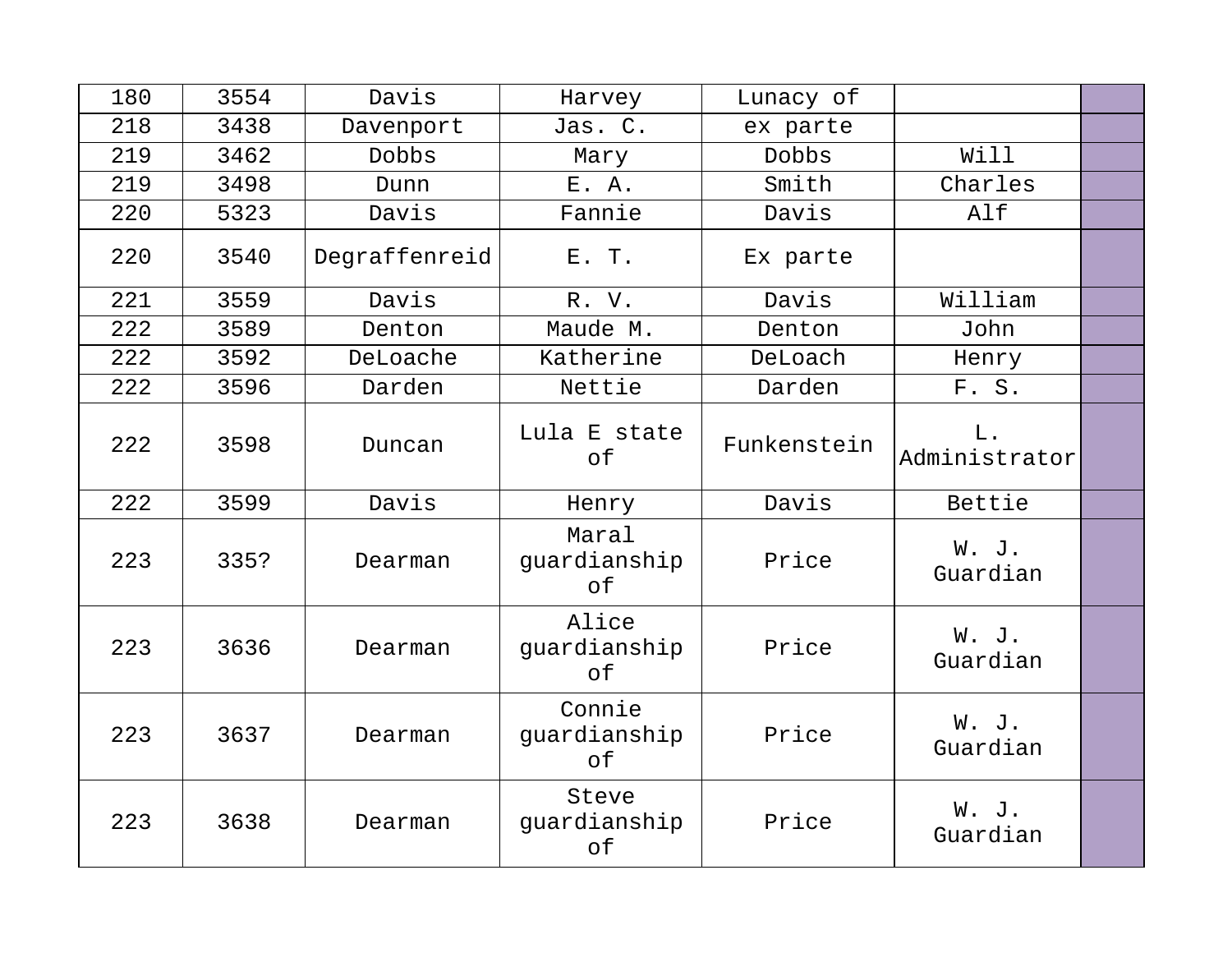| 180 | 3554 | Davis         | Harvey                       | Lunacy of   |                        |  |
|-----|------|---------------|------------------------------|-------------|------------------------|--|
| 218 | 3438 | Davenport     | Jas. C.                      | ex parte    |                        |  |
| 219 | 3462 | Dobbs         | Mary                         | Dobbs       | Will                   |  |
| 219 | 3498 | Dunn          | E. A.                        | Smith       | Charles                |  |
| 220 | 5323 | Davis         | Fannie                       | Davis       | Alf                    |  |
| 220 | 3540 | Degraffenreid | E. T.                        | Ex parte    |                        |  |
| 221 | 3559 | Davis         | R. V.                        | Davis       | William                |  |
| 222 | 3589 | Denton        | Maude M.                     | Denton      | John                   |  |
| 222 | 3592 | DeLoache      | Katherine                    | DeLoach     | Henry                  |  |
| 222 | 3596 | Darden        | Nettie                       | Darden      | F. S.                  |  |
| 222 | 3598 | Duncan        | Lula E state<br>of           | Funkenstein | $L$ .<br>Administrator |  |
| 222 | 3599 | Davis         | Henry                        | Davis       | Bettie                 |  |
| 223 | 335? | Dearman       | Maral<br>guardianship<br>of  | Price       | W. J.<br>Guardian      |  |
| 223 | 3636 | Dearman       | Alice<br>guardianship<br>of  | Price       | W. J.<br>Guardian      |  |
| 223 | 3637 | Dearman       | Connie<br>guardianship<br>of | Price       | W. J.<br>Guardian      |  |
| 223 | 3638 | Dearman       | Steve<br>guardianship<br>оf  | Price       | W. J.<br>Guardian      |  |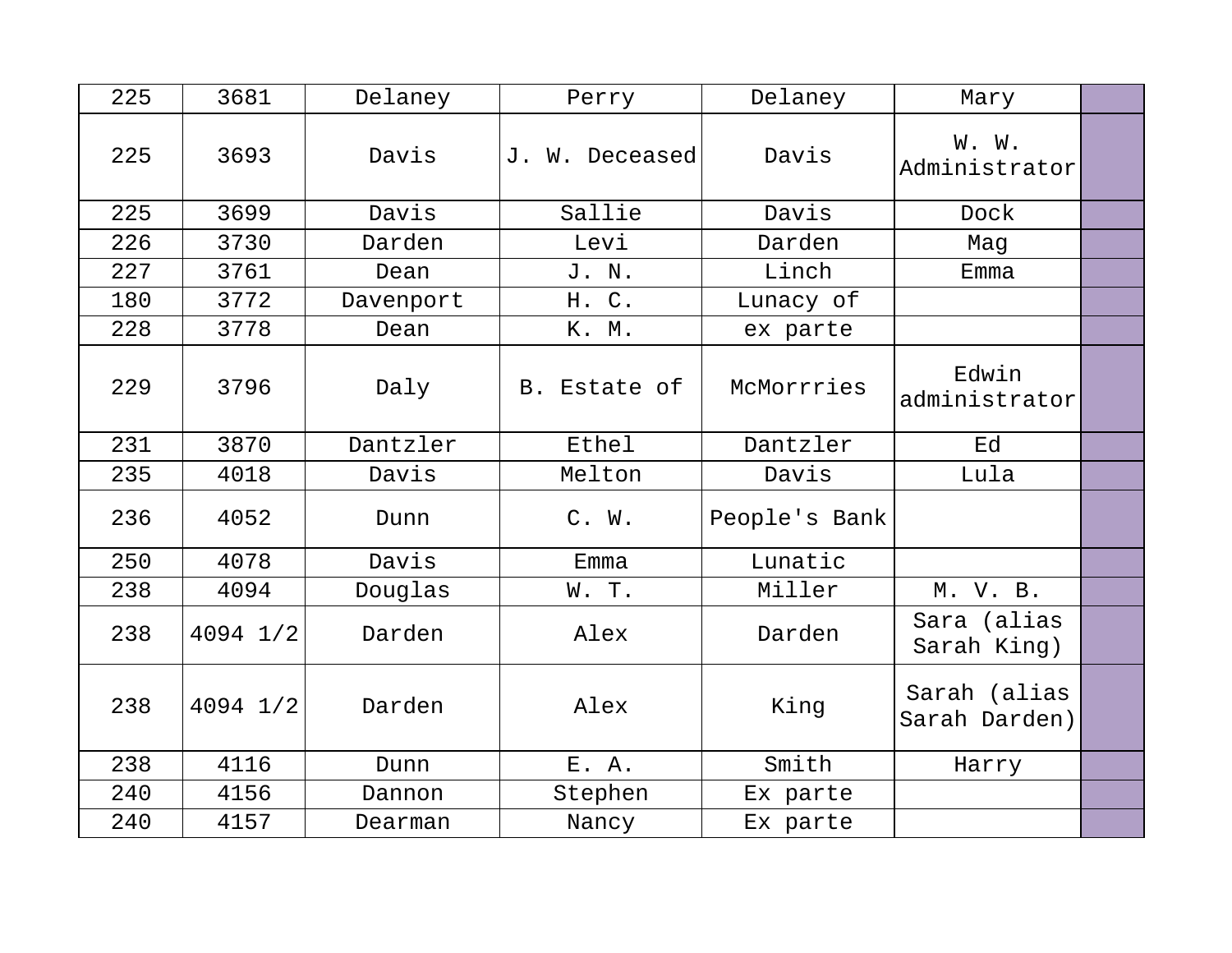| 225 | 3681     | Delaney   | Perry          | Delaney       | Mary                          |  |
|-----|----------|-----------|----------------|---------------|-------------------------------|--|
| 225 | 3693     | Davis     | J. W. Deceased | Davis         | W. W.<br>Administrator        |  |
| 225 | 3699     | Davis     | Sallie         | Davis         | Dock                          |  |
| 226 | 3730     | Darden    | Levi           | Darden        | Mag                           |  |
| 227 | 3761     | Dean      | J. N.          | Linch         | Emma                          |  |
| 180 | 3772     | Davenport | H. C.          | Lunacy of     |                               |  |
| 228 | 3778     | Dean      | K. M.          | ex parte      |                               |  |
| 229 | 3796     | Daly      | B. Estate of   | McMorrries    | Edwin<br>administrator        |  |
| 231 | 3870     | Dantzler  | Ethel          | Dantzler      | Ed                            |  |
| 235 | 4018     | Davis     | Melton         | Davis         | Lula                          |  |
| 236 | 4052     | Dunn      | C. W.          | People's Bank |                               |  |
| 250 | 4078     | Davis     | Emma           | Lunatic       |                               |  |
| 238 | 4094     | Douglas   | W. T.          | Miller        | M. V. B.                      |  |
| 238 | 4094 1/2 | Darden    | Alex           | Darden        | Sara (alias<br>Sarah King)    |  |
| 238 | 4094 1/2 | Darden    | Alex           | King          | Sarah (alias<br>Sarah Darden) |  |
| 238 | 4116     | Dunn      | E. A.          | Smith         | Harry                         |  |
| 240 | 4156     | Dannon    | Stephen        | Ex parte      |                               |  |
| 240 | 4157     | Dearman   | Nancy          | Ex parte      |                               |  |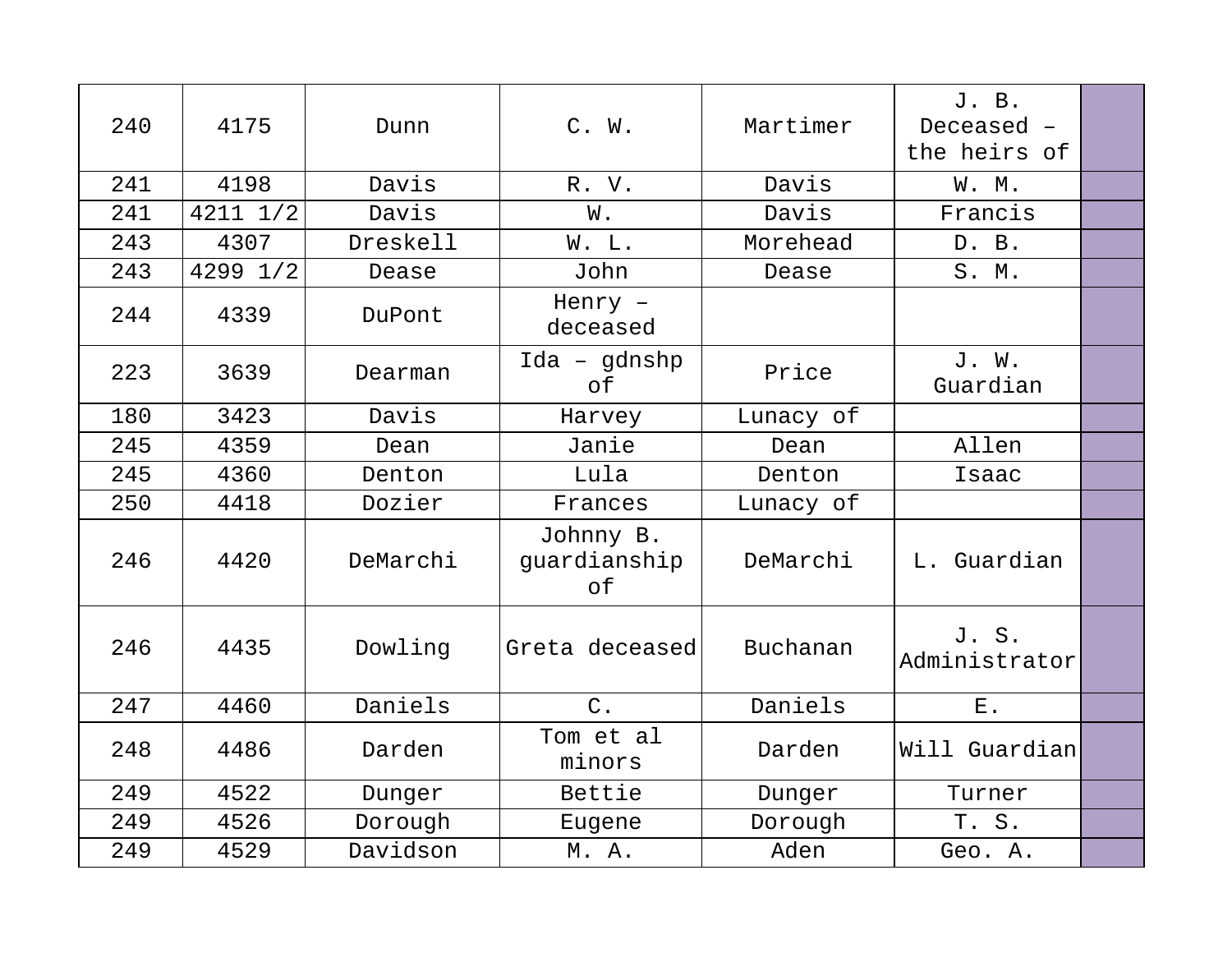| 240 | 4175     | Dunn     | C. W.                           | Martimer  | J. B.<br>Deceased -<br>the heirs of |  |
|-----|----------|----------|---------------------------------|-----------|-------------------------------------|--|
| 241 | 4198     | Davis    | R. V.                           | Davis     | W. M.                               |  |
| 241 | 4211 1/2 | Davis    | W.                              | Davis     | Francis                             |  |
| 243 | 4307     | Dreskell | W. L.                           | Morehead  | D. B.                               |  |
| 243 | 4299 1/2 | Dease    | John                            | Dease     | S. M.                               |  |
| 244 | 4339     | DuPont   | Henry -<br>deceased             |           |                                     |  |
| 223 | 3639     | Dearman  | $Ida - gdnshp$<br>of            | Price     | J. W.<br>Guardian                   |  |
| 180 | 3423     | Davis    | Harvey                          | Lunacy of |                                     |  |
| 245 | 4359     | Dean     | Janie                           | Dean      | Allen                               |  |
| 245 | 4360     | Denton   | Lula                            | Denton    | Isaac                               |  |
| 250 | 4418     | Dozier   | Frances                         | Lunacy of |                                     |  |
| 246 | 4420     | DeMarchi | Johnny B.<br>quardianship<br>of | DeMarchi  | L. Guardian                         |  |
| 246 | 4435     | Dowling  | Greta deceased                  | Buchanan  | J.S.<br>Administrator               |  |
| 247 | 4460     | Daniels  | $C$ .                           | Daniels   | $E$ .                               |  |
| 248 | 4486     | Darden   | Tom et al<br>minors             | Darden    | Will Guardian                       |  |
| 249 | 4522     | Dunger   | Bettie                          | Dunger    | Turner                              |  |
| 249 | 4526     | Dorough  | Eugene                          | Dorough   | T. S.                               |  |
| 249 | 4529     | Davidson | M. A.                           | Aden      | Geo. A.                             |  |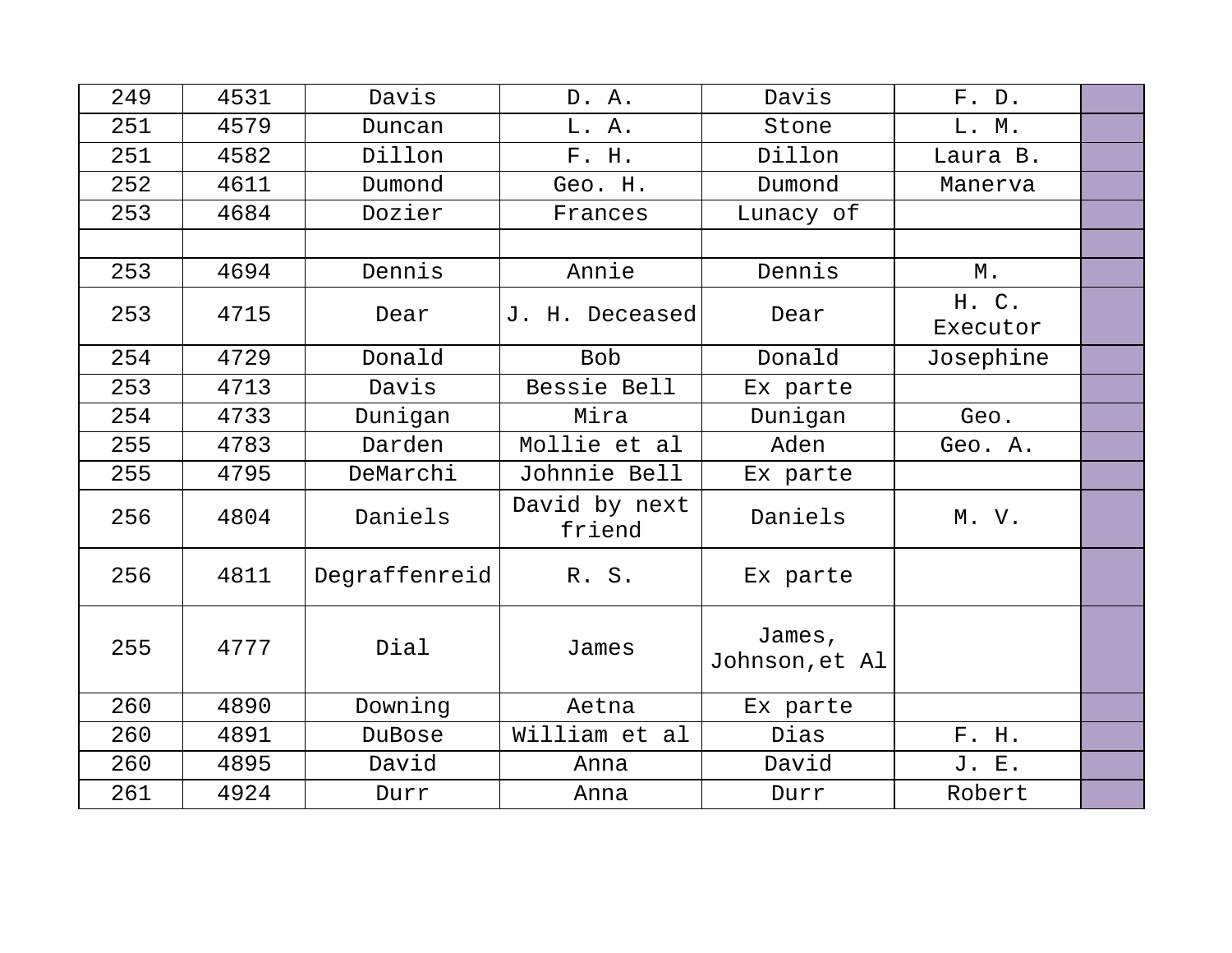| 249 | 4531 | Davis         | D. A.                   | Davis                    | F. D.             |  |
|-----|------|---------------|-------------------------|--------------------------|-------------------|--|
| 251 | 4579 | Duncan        | L. A.                   | Stone                    | L. M.             |  |
| 251 | 4582 | Dillon        | F. H.                   | Dillon                   | Laura B.          |  |
| 252 | 4611 | Dumond        | Geo. H.                 | Dumond                   | Manerva           |  |
| 253 | 4684 | Dozier        | Frances                 | Lunacy of                |                   |  |
|     |      |               |                         |                          |                   |  |
| 253 | 4694 | Dennis        | Annie                   | Dennis                   | М.                |  |
| 253 | 4715 | Dear          | J. H. Deceased          | Dear                     | H. C.<br>Executor |  |
| 254 | 4729 | Donald        | <b>Bob</b>              | Donald                   | Josephine         |  |
| 253 | 4713 | Davis         | Bessie Bell             | Ex parte                 |                   |  |
| 254 | 4733 | Dunigan       | Mira                    | Dunigan                  | Geo.              |  |
| 255 | 4783 | Darden        | Mollie et al            | Aden                     | Geo. A.           |  |
| 255 | 4795 | DeMarchi      | Johnnie Bell            | Ex parte                 |                   |  |
| 256 | 4804 | Daniels       | David by next<br>friend | Daniels                  | M. V.             |  |
| 256 | 4811 | Degraffenreid | R. S.                   | Ex parte                 |                   |  |
| 255 | 4777 | Dial          | James                   | James,<br>Johnson, et Al |                   |  |
| 260 | 4890 | Downing       | Aetna                   | Ex parte                 |                   |  |
| 260 | 4891 | DuBose        | William et al           | Dias                     | F. H.             |  |
| 260 | 4895 | David         | Anna                    | David                    | J. E.             |  |
| 261 | 4924 | Durr          | Anna                    | Durr                     | Robert            |  |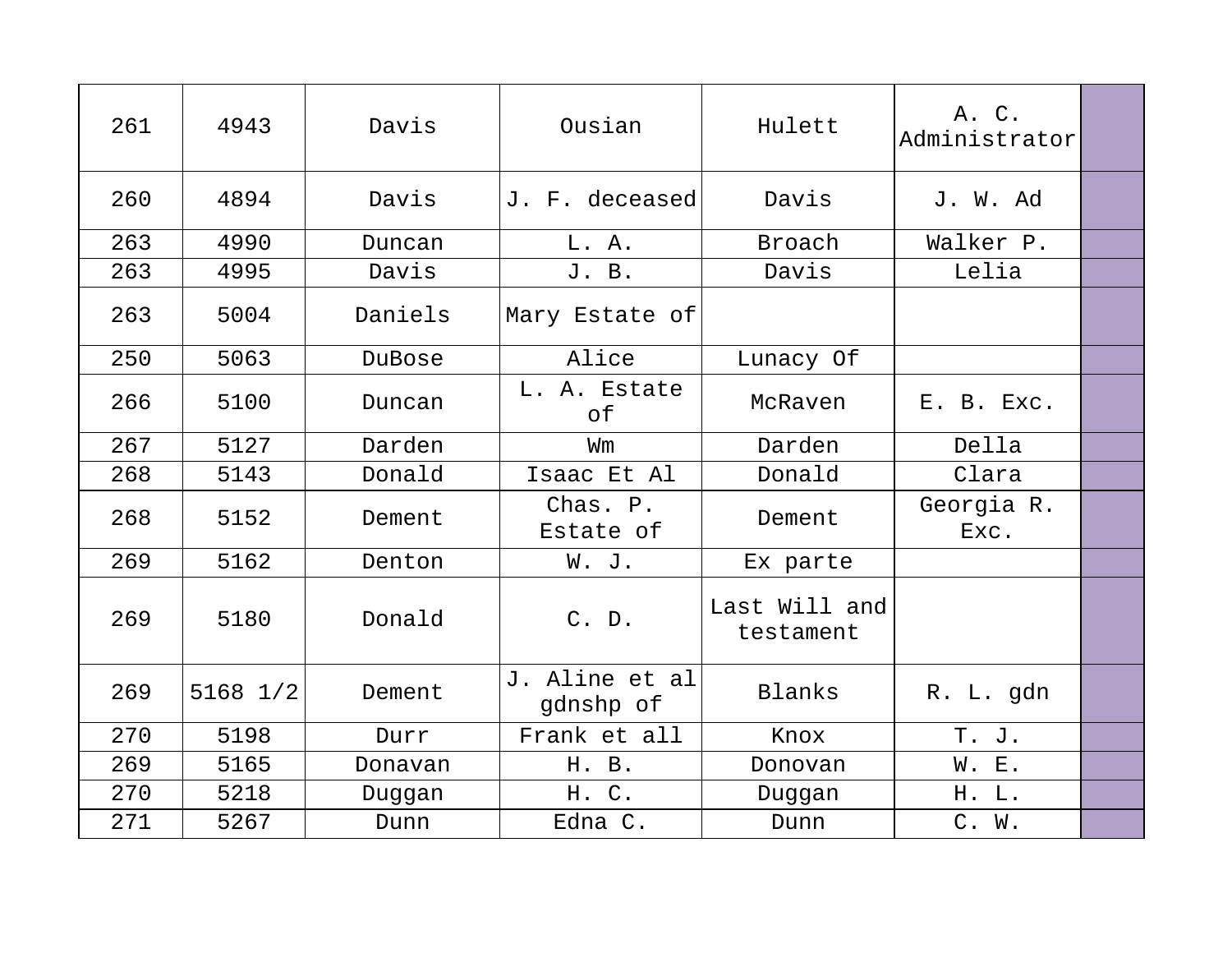| 261 | 4943     | Davis   | Ousian                      | Hulett                     | A. C.<br>Administrator |  |
|-----|----------|---------|-----------------------------|----------------------------|------------------------|--|
| 260 | 4894     | Davis   | J. F. deceased              | Davis                      | J. W. Ad               |  |
| 263 | 4990     | Duncan  | L. A.                       | Broach                     | Walker P.              |  |
| 263 | 4995     | Davis   | J. B.                       | Davis                      | Lelia                  |  |
| 263 | 5004     | Daniels | Mary Estate of              |                            |                        |  |
| 250 | 5063     | DuBose  | Alice                       | Lunacy Of                  |                        |  |
| 266 | 5100     | Duncan  | L. A. Estate<br>оf          | McRaven                    | E. B. Exc.             |  |
| 267 | 5127     | Darden  | Wm                          | Darden                     | Della                  |  |
| 268 | 5143     | Donald  | Isaac Et Al                 | Donald                     | Clara                  |  |
| 268 | 5152     | Dement  | Chas. P.<br>Estate of       | Dement                     | Georgia R.<br>Exc.     |  |
| 269 | 5162     | Denton  | W. J.                       | Ex parte                   |                        |  |
| 269 | 5180     | Donald  | C. D.                       | Last Will and<br>testament |                        |  |
| 269 | 5168 1/2 | Dement  | J. Aline et al<br>gdnshp of | Blanks                     | R. L. gdn              |  |
| 270 | 5198     | Durr    | Frank et all                | Knox                       | T. J.                  |  |
| 269 | 5165     | Donavan | H. B.                       | Donovan                    | W. E.                  |  |
| 270 | 5218     | Duggan  | H. C.                       | Duggan                     | H. L.                  |  |
| 271 | 5267     | Dunn    | Edna C.                     | Dunn                       | C. W.                  |  |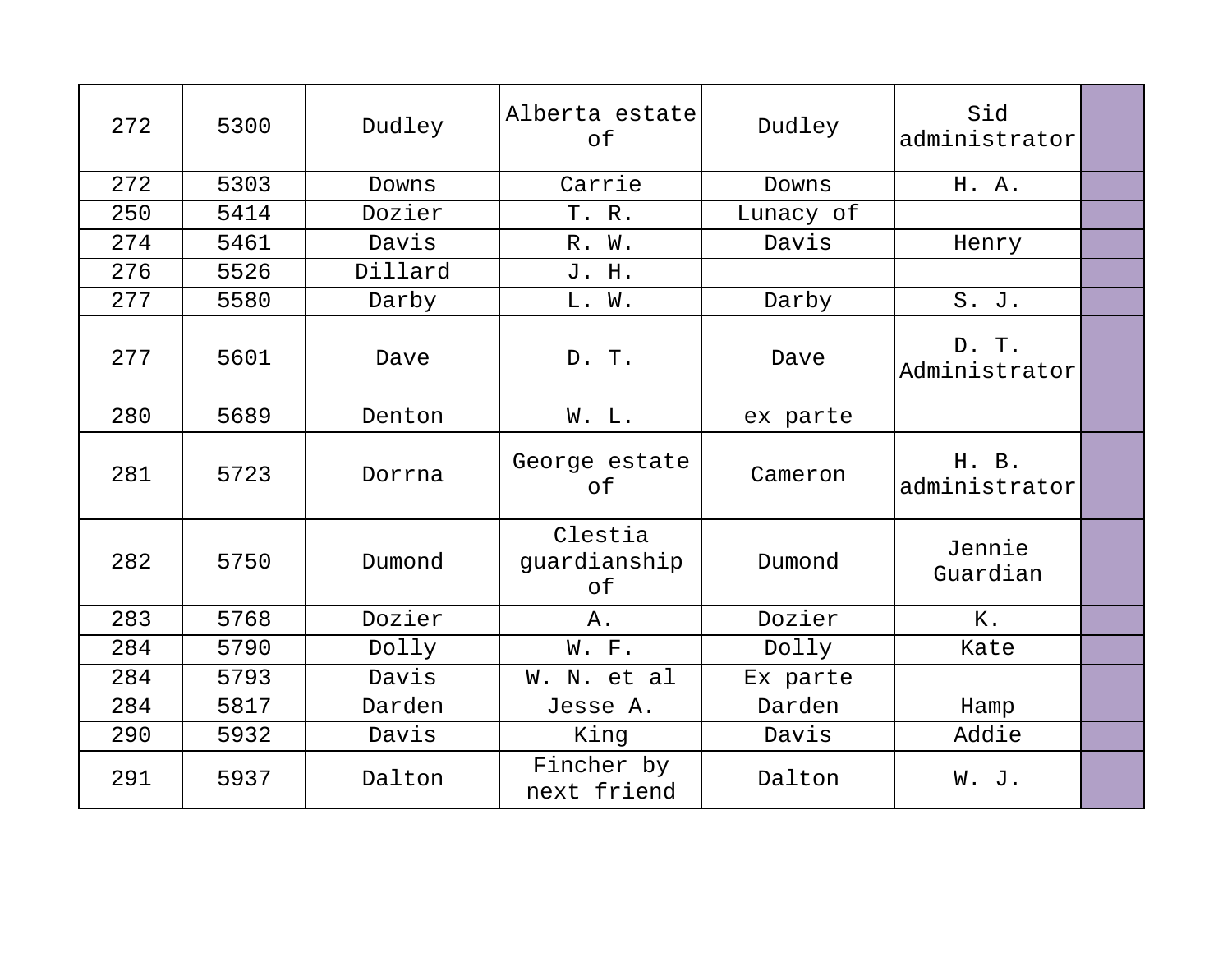| 272 | 5300 | Dudley  | Alberta estate<br>of          | Dudley    | Sid<br>administrator   |  |
|-----|------|---------|-------------------------------|-----------|------------------------|--|
| 272 | 5303 | Downs   | Carrie                        | Downs     | H. A.                  |  |
| 250 | 5414 | Dozier  | T. R.                         | Lunacy of |                        |  |
| 274 | 5461 | Davis   | R. W.                         | Davis     | Henry                  |  |
| 276 | 5526 | Dillard | J. H.                         |           |                        |  |
| 277 | 5580 | Darby   | L. W.                         | Darby     | S. J.                  |  |
| 277 | 5601 | Dave    | D. T.                         | Dave      | D. T.<br>Administrator |  |
| 280 | 5689 | Denton  | W. L.                         | ex parte  |                        |  |
| 281 | 5723 | Dorrna  | George estate<br>of           | Cameron   | H. B.<br>administrator |  |
| 282 | 5750 | Dumond  | Clestia<br>guardianship<br>of | Dumond    | Jennie<br>Guardian     |  |
| 283 | 5768 | Dozier  | Α.                            | Dozier    | Κ.                     |  |
| 284 | 5790 | Dolly   | W. F.                         | Dolly     | Kate                   |  |
| 284 | 5793 | Davis   | W. N. et al                   | Ex parte  |                        |  |
| 284 | 5817 | Darden  | Jesse A.                      | Darden    | Hamp                   |  |
| 290 | 5932 | Davis   | King                          | Davis     | Addie                  |  |
| 291 | 5937 | Dalton  | Fincher by<br>next friend     | Dalton    | W. J.                  |  |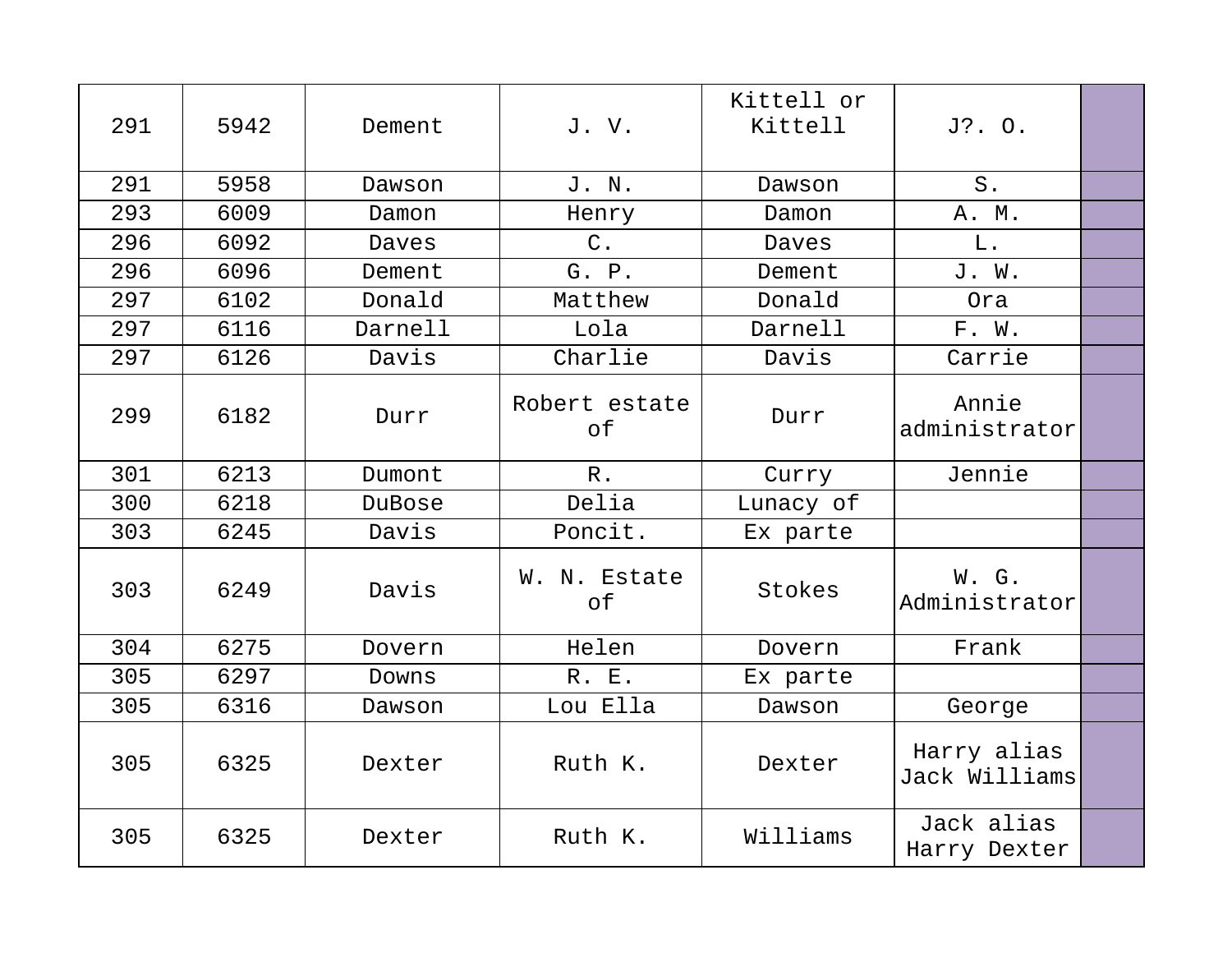| 291 | 5942 | Dement  | J.V.                | Kittell or<br>Kittell | J?. O.                       |  |
|-----|------|---------|---------------------|-----------------------|------------------------------|--|
| 291 | 5958 | Dawson  | J. N.               | Dawson                | $S$ .                        |  |
| 293 | 6009 | Damon   | Henry               | Damon                 | A. M.                        |  |
| 296 | 6092 | Daves   | $C$ .               | Daves                 | L.                           |  |
| 296 | 6096 | Dement  | G. P.               | Dement                | J. W.                        |  |
| 297 | 6102 | Donald  | Matthew             | Donald                | Ora                          |  |
| 297 | 6116 | Darnell | Lola                | Darnell               | F. W.                        |  |
| 297 | 6126 | Davis   | Charlie             | Davis                 | Carrie                       |  |
| 299 | 6182 | Durr    | Robert estate<br>оf | Durr                  | Annie<br>administrator       |  |
| 301 | 6213 | Dumont  | $R$ .               | Curry                 | Jennie                       |  |
| 300 | 6218 | DuBose  | Delia               | Lunacy of             |                              |  |
| 303 | 6245 | Davis   | Poncit.             | Ex parte              |                              |  |
| 303 | 6249 | Davis   | W. N. Estate<br>оf  | Stokes                | W. G.<br>Administrator       |  |
| 304 | 6275 | Dovern  | Helen               | Dovern                | Frank                        |  |
| 305 | 6297 | Downs   | R. E.               | Ex parte              |                              |  |
| 305 | 6316 | Dawson  | Lou Ella            | Dawson                | George                       |  |
| 305 | 6325 | Dexter  | Ruth K.             | Dexter                | Harry alias<br>Jack Williams |  |
| 305 | 6325 | Dexter  | Ruth K.             | Williams              | Jack alias<br>Harry Dexter   |  |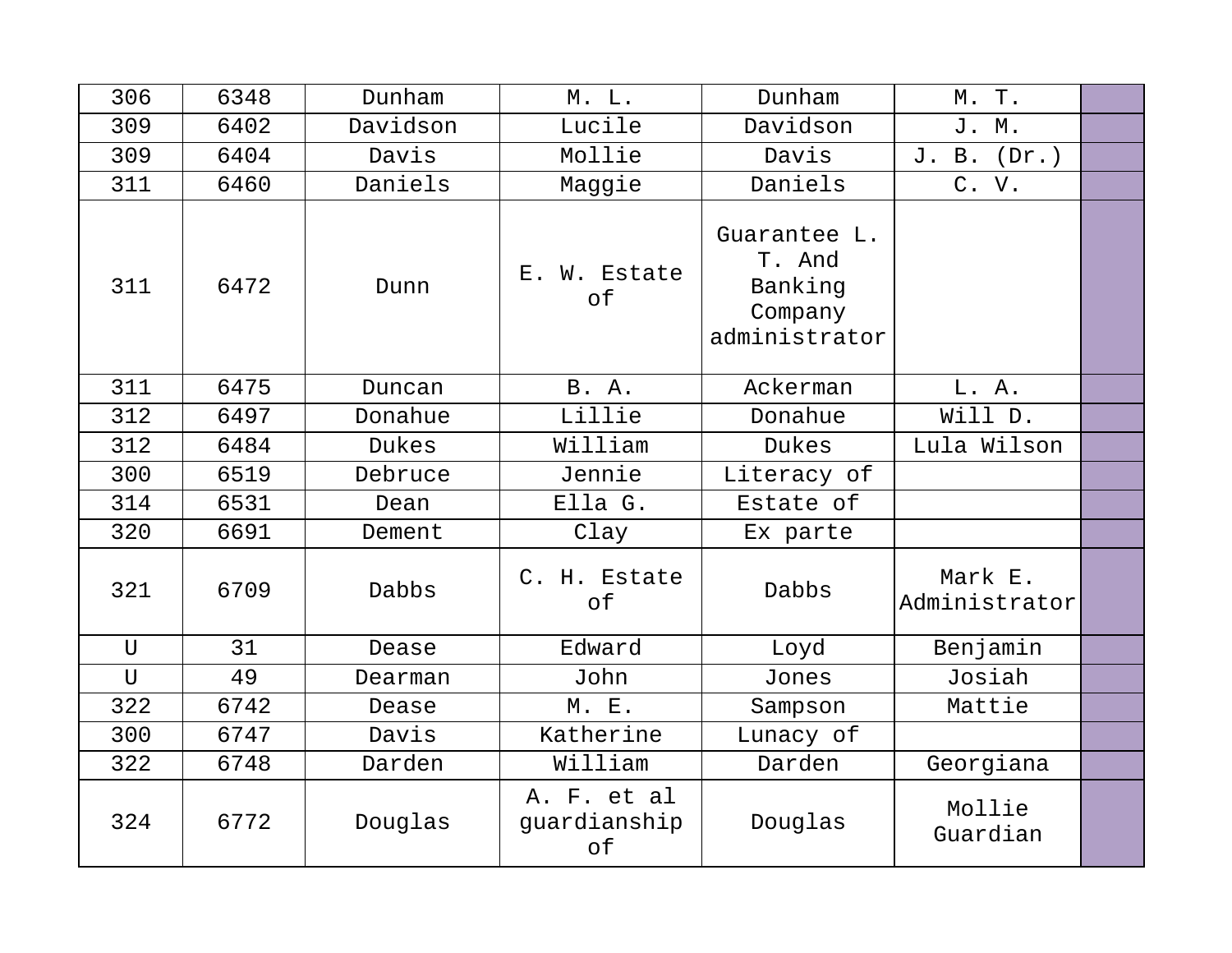| 306          | 6348 | Dunham   | M. L.                             | Dunham                                                        | M. T.                    |  |
|--------------|------|----------|-----------------------------------|---------------------------------------------------------------|--------------------------|--|
| 309          | 6402 | Davidson | Lucile                            | Davidson                                                      | J. M.                    |  |
| 309          | 6404 | Davis    | Mollie                            | Davis                                                         | J. B.<br>(Dr.)           |  |
| 311          | 6460 | Daniels  | Maggie                            | Daniels                                                       | C. V.                    |  |
| 311          | 6472 | Dunn     | E. W. Estate<br>of                | Guarantee L.<br>T. And<br>Banking<br>Company<br>administrator |                          |  |
| 311          | 6475 | Duncan   | B. A.                             | Ackerman                                                      | L. A.                    |  |
| 312          | 6497 | Donahue  | Lillie                            | Donahue                                                       | Will D.                  |  |
| 312          | 6484 | Dukes    | William                           | Dukes                                                         | Lula Wilson              |  |
| 300          | 6519 | Debruce  | Jennie                            | Literacy of                                                   |                          |  |
| 314          | 6531 | Dean     | Ella G.                           | Estate of                                                     |                          |  |
| 320          | 6691 | Dement   | Clay                              | Ex parte                                                      |                          |  |
| 321          | 6709 | Dabbs    | C. H. Estate<br>of                | Dabbs                                                         | Mark E.<br>Administrator |  |
| $\mathbf{U}$ | 31   | Dease    | Edward                            | Loyd                                                          | Benjamin                 |  |
| $\mathbf{U}$ | 49   | Dearman  | John                              | Jones                                                         | Josiah                   |  |
| 322          | 6742 | Dease    | M. E.                             | Sampson                                                       | Mattie                   |  |
| 300          | 6747 | Davis    | Katherine                         | Lunacy of                                                     |                          |  |
| 322          | 6748 | Darden   | William                           | Darden                                                        | Georgiana                |  |
| 324          | 6772 | Douglas  | A. F. et al<br>guardianship<br>оf | Douglas                                                       | Mollie<br>Guardian       |  |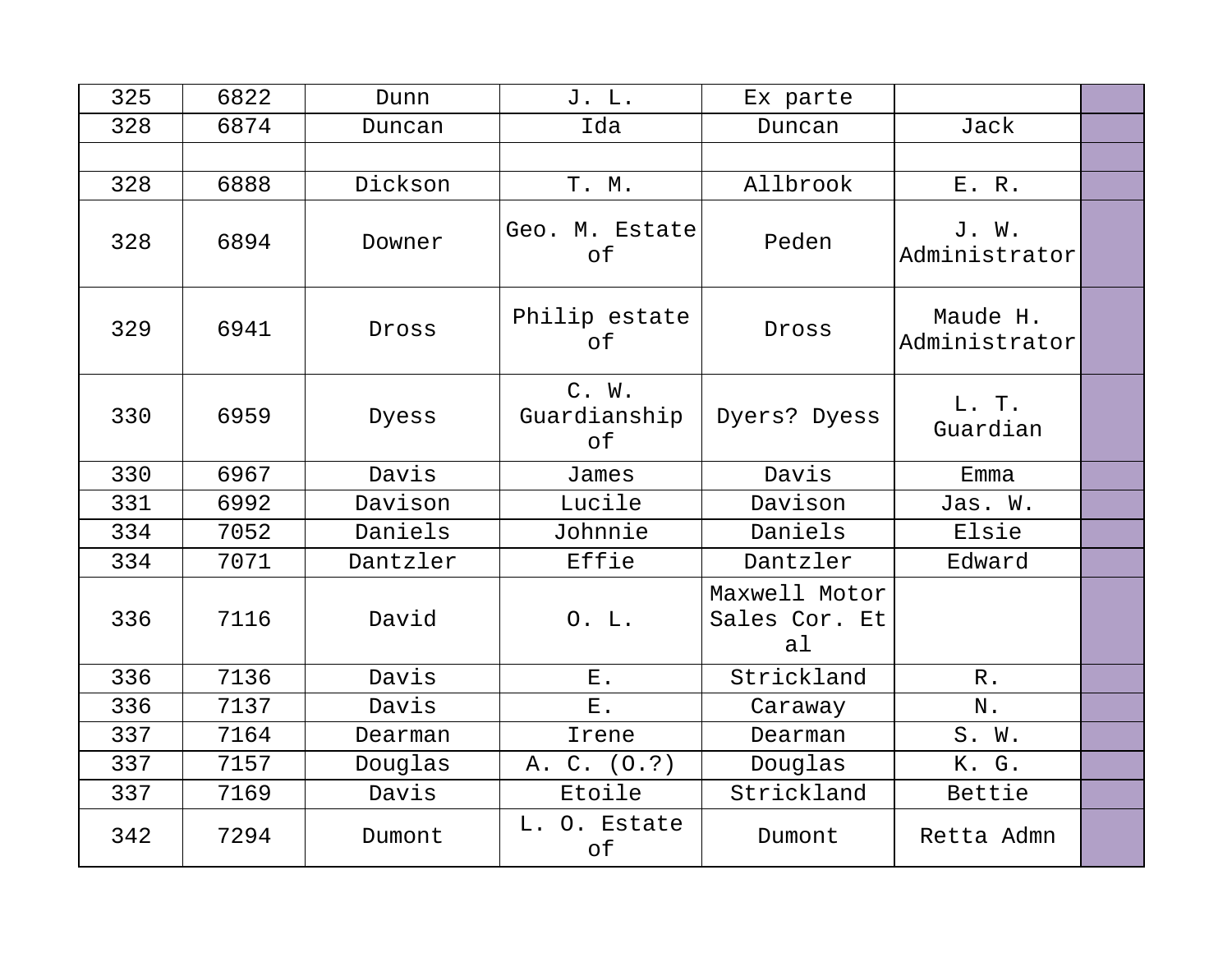| 325 | 6822 | Dunn     | J. L.                       | Ex parte                             |                           |  |
|-----|------|----------|-----------------------------|--------------------------------------|---------------------------|--|
| 328 | 6874 | Duncan   | Ida                         | Duncan                               | Jack                      |  |
|     |      |          |                             |                                      |                           |  |
| 328 | 6888 | Dickson  | T. M.                       | Allbrook                             | E. R.                     |  |
| 328 | 6894 | Downer   | Geo. M. Estate<br>of        | Peden                                | J. W.<br>Administrator    |  |
| 329 | 6941 | Dross    | Philip estate<br>оf         | Dross                                | Maude H.<br>Administrator |  |
| 330 | 6959 | Dyess    | C. W.<br>Guardianship<br>оf | Dyers? Dyess                         | L. T.<br>Guardian         |  |
| 330 | 6967 | Davis    | James                       | Davis                                | Emma                      |  |
| 331 | 6992 | Davison  | Lucile                      | Davison                              | Jas. W.                   |  |
| 334 | 7052 | Daniels  | Johnnie                     | Daniels                              | Elsie                     |  |
| 334 | 7071 | Dantzler | Effie                       | Dantzler                             | Edward                    |  |
| 336 | 7116 | David    | 0. L.                       | Maxwell Motor<br>Sales Cor. Et<br>al |                           |  |
| 336 | 7136 | Davis    | $\mathbf{E}$ .              | Strickland                           | $R$ .                     |  |
| 336 | 7137 | Davis    | ${\bf E}$ .                 | Caraway                              | ${\bf N}$ .               |  |
| 337 | 7164 | Dearman  | Irene                       | Dearman                              | S. W.                     |  |
| 337 | 7157 | Douglas  | A. C. (0.?)                 | Douglas                              | K. G.                     |  |
| 337 | 7169 | Davis    | Etoile                      | Strickland                           | Bettie                    |  |
| 342 | 7294 | Dumont   | L. O. Estate<br>of          | Dumont                               | Retta Admn                |  |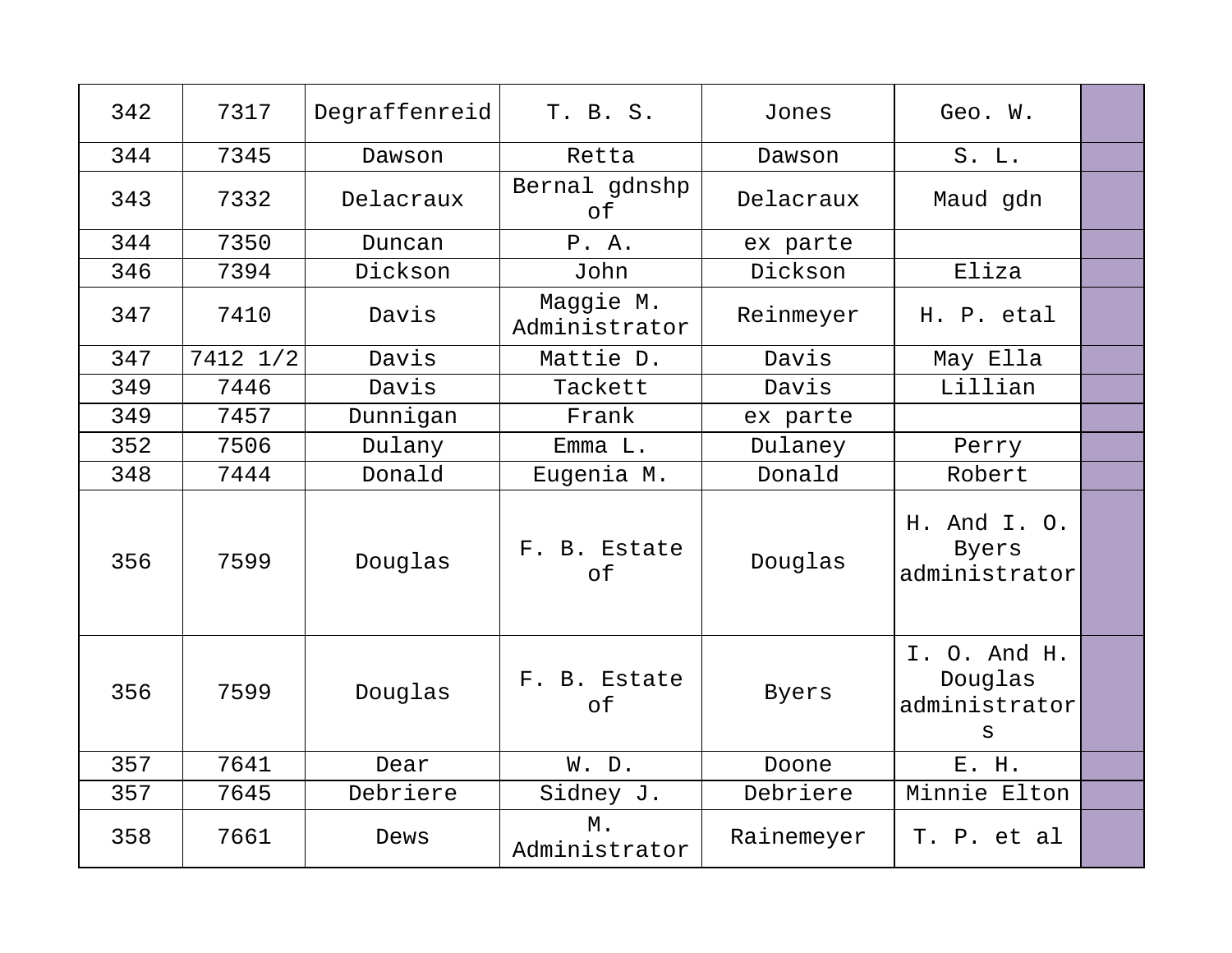| 342 | 7317     | Degraffenreid | T. B. S.                   | Jones        | Geo. W.                                       |  |
|-----|----------|---------------|----------------------------|--------------|-----------------------------------------------|--|
| 344 | 7345     | Dawson        | Retta                      | Dawson       | $S.$ $L.$                                     |  |
| 343 | 7332     | Delacraux     | Bernal gdnshp<br>of        | Delacraux    | Maud gdn                                      |  |
| 344 | 7350     | Duncan        | P. A.                      | ex parte     |                                               |  |
| 346 | 7394     | Dickson       | John                       | Dickson      | Eliza                                         |  |
| 347 | 7410     | Davis         | Maggie M.<br>Administrator | Reinmeyer    | H. P. etal                                    |  |
| 347 | 7412 1/2 | Davis         | Mattie D.                  | Davis        | May Ella                                      |  |
| 349 | 7446     | Davis         | Tackett                    | Davis        | Lillian                                       |  |
| 349 | 7457     | Dunnigan      | Frank                      | ex parte     |                                               |  |
| 352 | 7506     | Dulany        | Emma L.                    | Dulaney      | Perry                                         |  |
| 348 | 7444     | Donald        | Eugenia M.                 | Donald       | Robert                                        |  |
| 356 | 7599     | Douglas       | F. B. Estate<br>of         | Douglas      | H. And I. O.<br><b>Byers</b><br>administrator |  |
| 356 | 7599     | Douglas       | F. B. Estate<br>of         | <b>Byers</b> | I. O. And H.<br>Douglas<br>administrator<br>S |  |
| 357 | 7641     | Dear          | W. D.                      | Doone        | E. H.                                         |  |
| 357 | 7645     | Debriere      | Sidney J.                  | Debriere     | Minnie Elton                                  |  |
| 358 | 7661     | Dews          | Μ.<br>Administrator        | Rainemeyer   | T. P. et al                                   |  |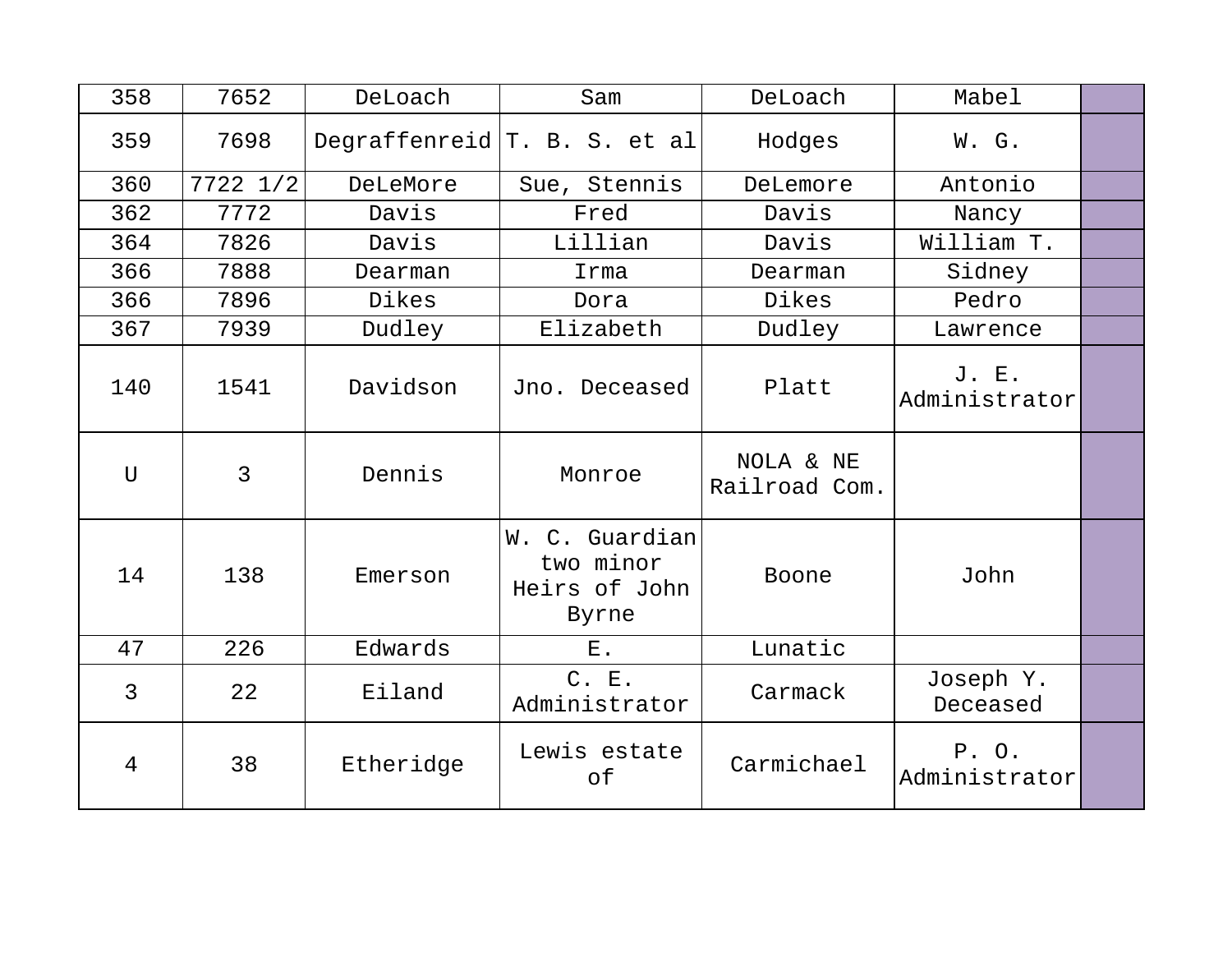| 358            | 7652           | DeLoach   | Sam                                                   | DeLoach                    | Mabel                  |  |
|----------------|----------------|-----------|-------------------------------------------------------|----------------------------|------------------------|--|
| 359            | 7698           |           | Degraffenreid $T. B. S. et al$                        | Hodges                     | W. G.                  |  |
| 360            | 7722 1/2       | DeLeMore  | Sue, Stennis                                          | DeLemore                   | Antonio                |  |
| 362            | 7772           | Davis     | Fred                                                  | Davis                      | Nancy                  |  |
| 364            | 7826           | Davis     | Lillian                                               | Davis                      | William T.             |  |
| 366            | 7888           | Dearman   | Irma                                                  | Dearman                    | Sidney                 |  |
| 366            | 7896           | Dikes     | Dora                                                  | Dikes                      | Pedro                  |  |
| 367            | 7939           | Dudley    | Elizabeth                                             | Dudley                     | Lawrence               |  |
| 140            | 1541           | Davidson  | Jno. Deceased                                         | Platt                      | J. E.<br>Administrator |  |
| $\mathbf{U}$   | $\overline{3}$ | Dennis    | Monroe                                                | NOLA & NE<br>Railroad Com. |                        |  |
| 14             | 138            | Emerson   | W. C. Guardian<br>two minor<br>Heirs of John<br>Byrne | Boone                      | John                   |  |
| 47             | 226            | Edwards   | $E$ .                                                 | Lunatic                    |                        |  |
| $\overline{3}$ | 22             | Eiland    | C. E.<br>Administrator                                | Carmack                    | Joseph Y.<br>Deceased  |  |
| 4              | 38             | Etheridge | Lewis estate<br>оf                                    | Carmichael                 | P. O.<br>Administrator |  |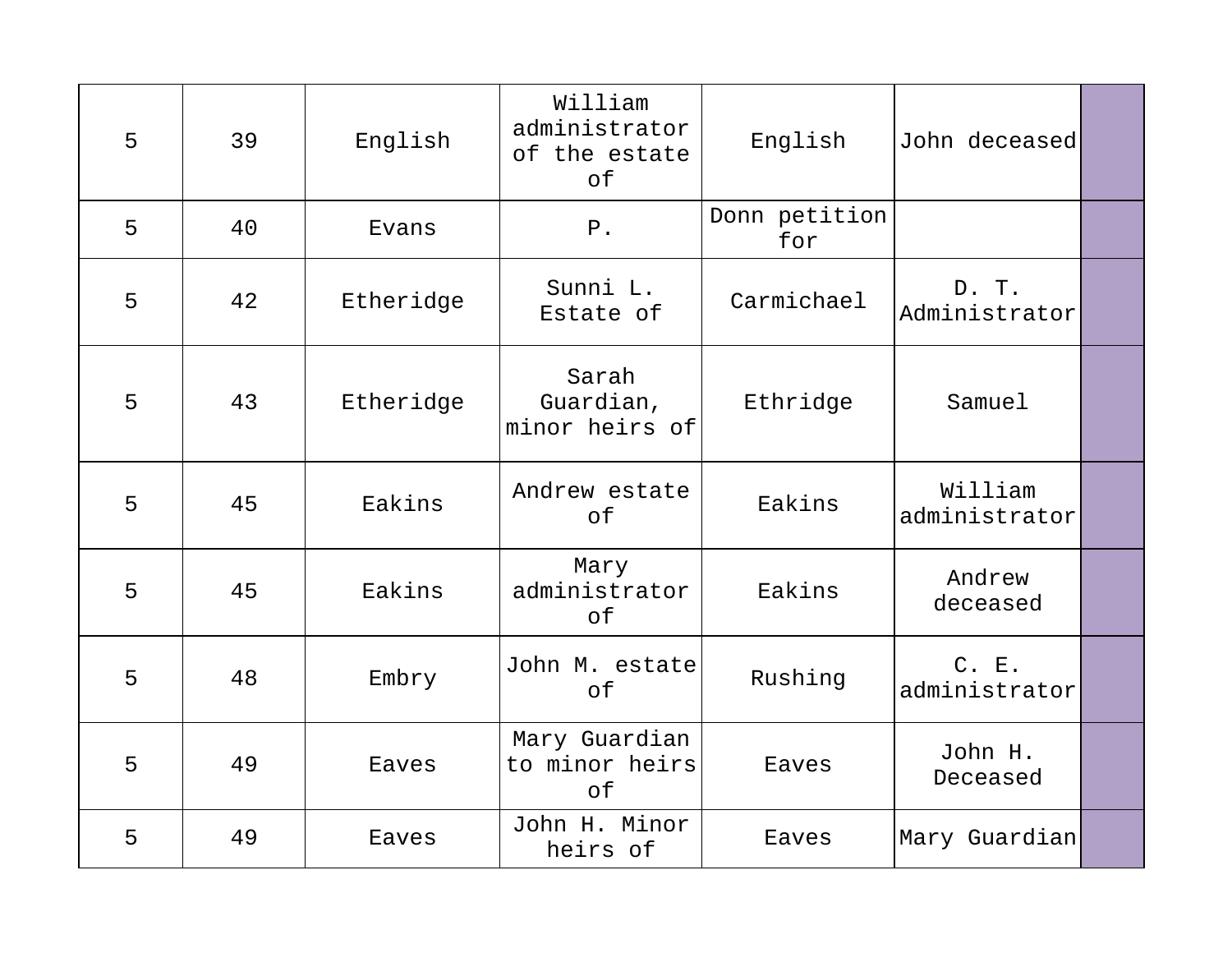| 5 | 39 | English   | William<br>administrator<br>of the estate<br>of | English              | John deceased            |  |
|---|----|-----------|-------------------------------------------------|----------------------|--------------------------|--|
| 5 | 40 | Evans     | ${\tt P}$ .                                     | Donn petition<br>for |                          |  |
| 5 | 42 | Etheridge | Sunni L.<br>Estate of                           | Carmichael           | D. T.<br>Administrator   |  |
| 5 | 43 | Etheridge | Sarah<br>Guardian,<br>minor heirs of            | Ethridge             | Samuel                   |  |
| 5 | 45 | Eakins    | Andrew estate<br>оf                             | Eakins               | William<br>administrator |  |
| 5 | 45 | Eakins    | Mary<br>administrator<br>of                     | Eakins               | Andrew<br>deceased       |  |
| 5 | 48 | Embry     | John M. estate<br>of                            | Rushing              | C. E.<br>administrator   |  |
| 5 | 49 | Eaves     | Mary Guardian<br>to minor heirs<br>of           | Eaves                | John H.<br>Deceased      |  |
| 5 | 49 | Eaves     | John H. Minor<br>heirs of                       | Eaves                | Mary Guardian            |  |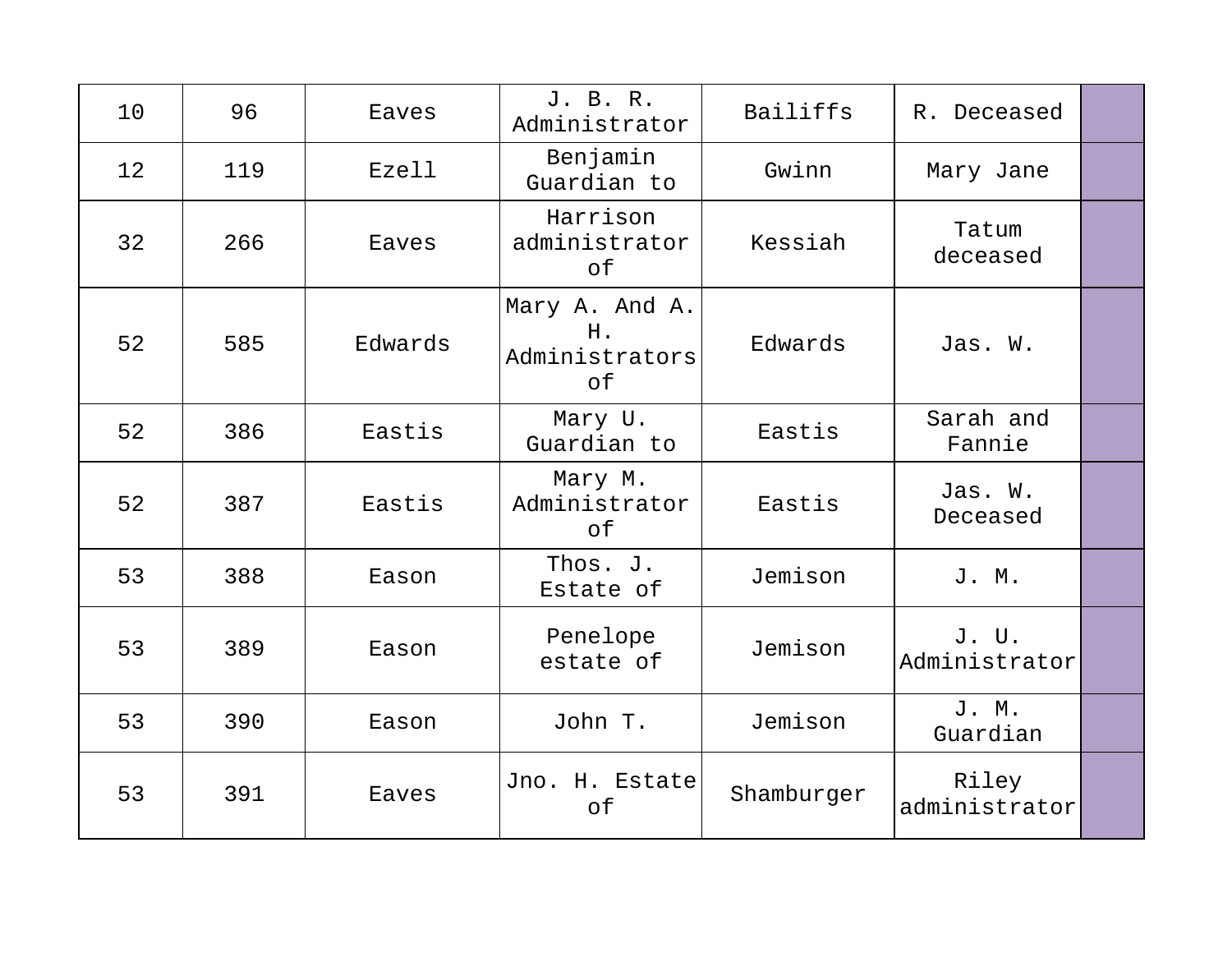| 10 | 96  | Eaves   | J. B. R.<br>Administrator                    | Bailiffs   | R. Deceased            |  |
|----|-----|---------|----------------------------------------------|------------|------------------------|--|
| 12 | 119 | Ezell   | Benjamin<br>Guardian to                      | Gwinn      | Mary Jane              |  |
| 32 | 266 | Eaves   | Harrison<br>administrator<br>of              | Kessiah    | Tatum<br>deceased      |  |
| 52 | 585 | Edwards | Mary A. And A.<br>Η.<br>Administrators<br>of | Edwards    | Jas. W.                |  |
| 52 | 386 | Eastis  | Mary U.<br>Guardian to                       | Eastis     | Sarah and<br>Fannie    |  |
| 52 | 387 | Eastis  | Mary M.<br>Administrator<br>of               | Eastis     | Jas. W.<br>Deceased    |  |
| 53 | 388 | Eason   | Thos. J.<br>Estate of                        | Jemison    | J. M.                  |  |
| 53 | 389 | Eason   | Penelope<br>estate of                        | Jemison    | J. U.<br>Administrator |  |
| 53 | 390 | Eason   | John T.                                      | Jemison    | J. M.<br>Guardian      |  |
| 53 | 391 | Eaves   | Jno. H. Estate<br>of                         | Shamburger | Riley<br>administrator |  |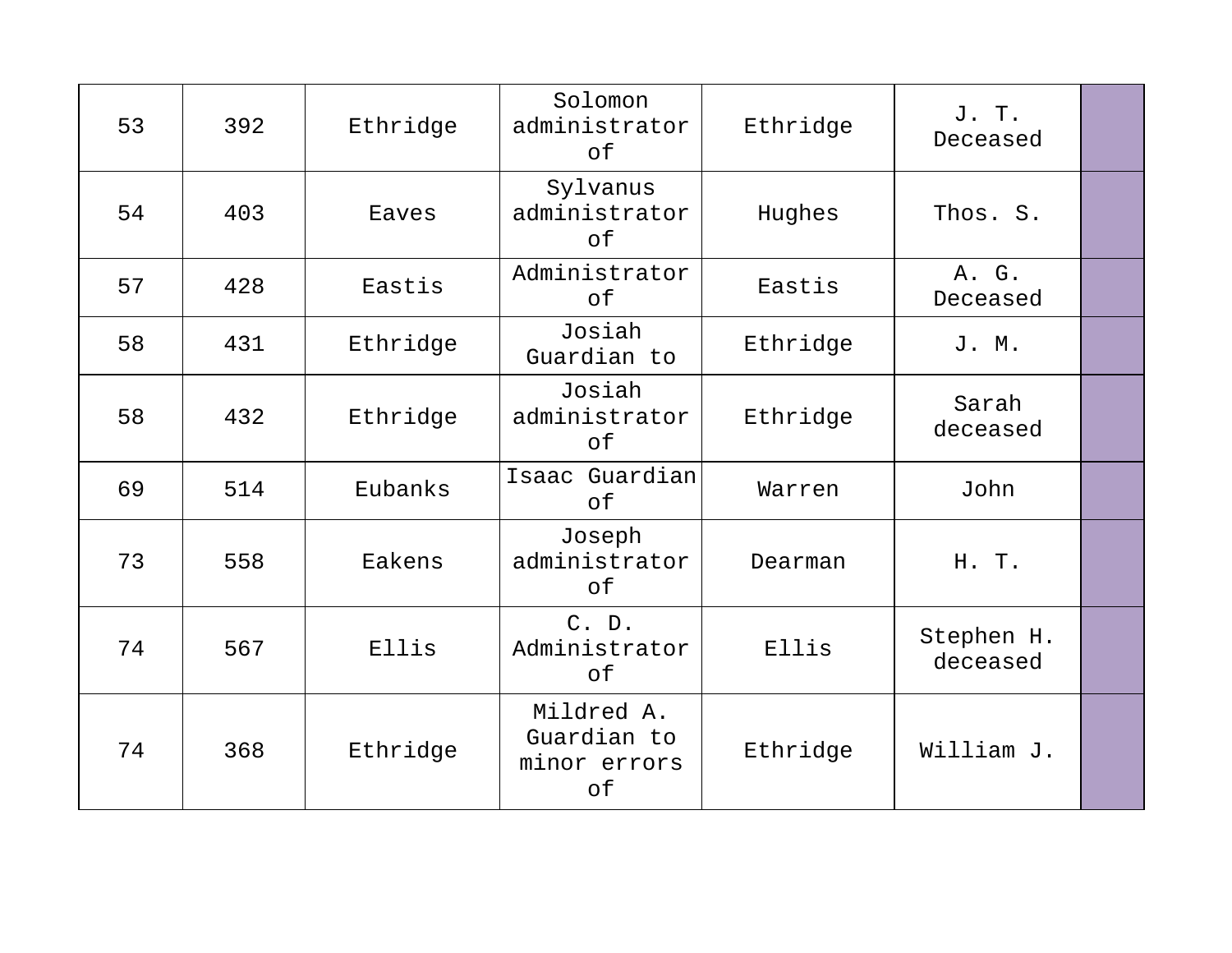| 53 | 392 | Ethridge | Solomon<br>administrator<br>of                  | Ethridge | J. T.<br>Deceased      |  |
|----|-----|----------|-------------------------------------------------|----------|------------------------|--|
| 54 | 403 | Eaves    | Sylvanus<br>administrator<br>of                 | Hughes   | Thos. S.               |  |
| 57 | 428 | Eastis   | Administrator<br>of                             | Eastis   | A. G.<br>Deceased      |  |
| 58 | 431 | Ethridge | Josiah<br>Guardian to                           | Ethridge | J. M.                  |  |
| 58 | 432 | Ethridge | Josiah<br>administrator<br>of                   | Ethridge | Sarah<br>deceased      |  |
| 69 | 514 | Eubanks  | Isaac Guardian<br>of                            | Warren   | John                   |  |
| 73 | 558 | Eakens   | Joseph<br>administrator<br>of                   | Dearman  | H. T.                  |  |
| 74 | 567 | Ellis    | C. D.<br>Administrator<br>оf                    | Ellis    | Stephen H.<br>deceased |  |
| 74 | 368 | Ethridge | Mildred A.<br>Guardian to<br>minor errors<br>of | Ethridge | William J.             |  |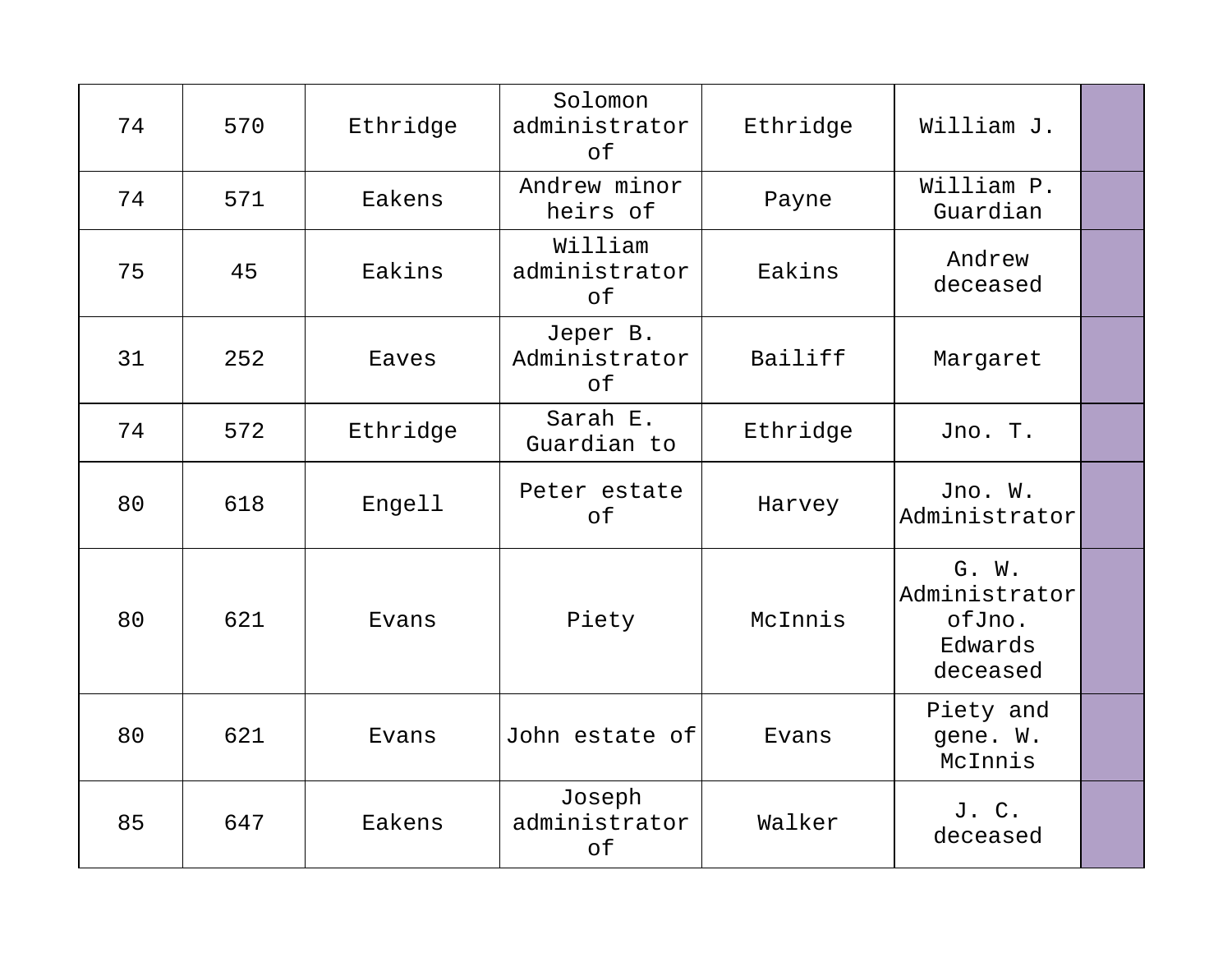| 74 | 570 | Ethridge | Solomon<br>administrator<br>of  | Ethridge | William J.                                              |  |
|----|-----|----------|---------------------------------|----------|---------------------------------------------------------|--|
| 74 | 571 | Eakens   | Andrew minor<br>heirs of        | Payne    | William P.<br>Guardian                                  |  |
| 75 | 45  | Eakins   | William<br>administrator<br>of  | Eakins   | Andrew<br>deceased                                      |  |
| 31 | 252 | Eaves    | Jeper B.<br>Administrator<br>оf | Bailiff  | Margaret                                                |  |
| 74 | 572 | Ethridge | Sarah E.<br>Guardian to         | Ethridge | Jno. T.                                                 |  |
| 80 | 618 | Engell   | Peter estate<br>of              | Harvey   | Jno. W.<br>Administrator                                |  |
| 80 | 621 | Evans    | Piety                           | McInnis  | G. W.<br>Administrator<br>ofJno.<br>Edwards<br>deceased |  |
| 80 | 621 | Evans    | John estate of                  | Evans    | Piety and<br>gene. W.<br>McInnis                        |  |
| 85 | 647 | Eakens   | Joseph<br>administrator<br>of   | Walker   | J. C.<br>deceased                                       |  |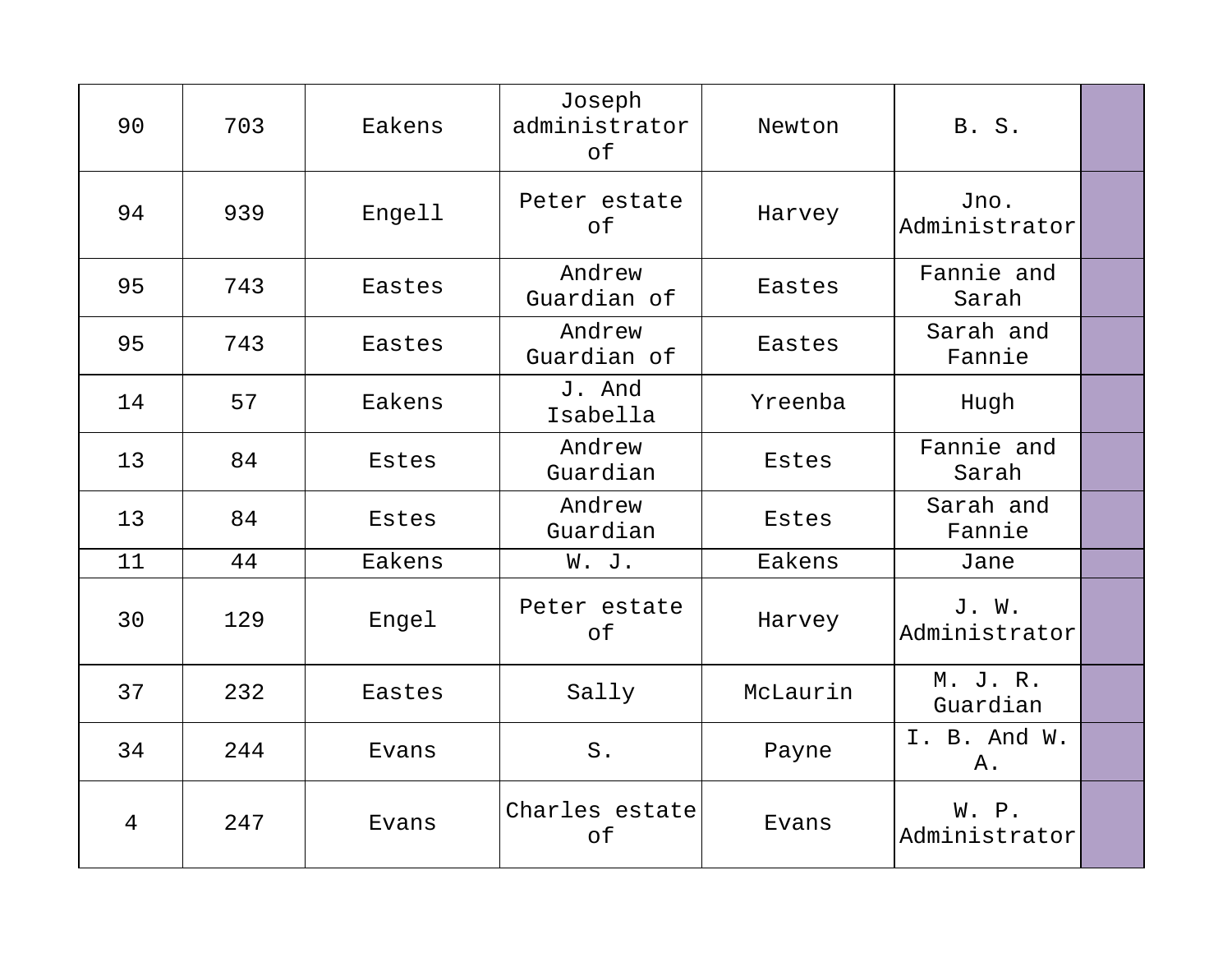| 90             | 703 | Eakens | Joseph<br>administrator<br>of | Newton   | <b>B. S.</b>           |  |
|----------------|-----|--------|-------------------------------|----------|------------------------|--|
| 94             | 939 | Engell | Peter estate<br>of            | Harvey   | Jno.<br>Administrator  |  |
| 95             | 743 | Eastes | Andrew<br>Guardian of         | Eastes   | Fannie and<br>Sarah    |  |
| 95             | 743 | Eastes | Andrew<br>Guardian of         | Eastes   | Sarah and<br>Fannie    |  |
| 14             | 57  | Eakens | J. And<br>Isabella            | Yreenba  | Hugh                   |  |
| 13             | 84  | Estes  | Andrew<br>Guardian            | Estes    | Fannie and<br>Sarah    |  |
| 13             | 84  | Estes  | Andrew<br>Guardian            | Estes    | Sarah and<br>Fannie    |  |
| 11             | 44  | Eakens | W. J.                         | Eakens   | Jane                   |  |
| 30             | 129 | Engel  | Peter estate<br>of            | Harvey   | J. W.<br>Administrator |  |
| 37             | 232 | Eastes | Sally                         | McLaurin | M. J. R.<br>Guardian   |  |
| 34             | 244 | Evans  | $S$ .                         | Payne    | I. B. And W.<br>Α.     |  |
| $\overline{4}$ | 247 | Evans  | Charles estate<br>of          | Evans    | W. P.<br>Administrator |  |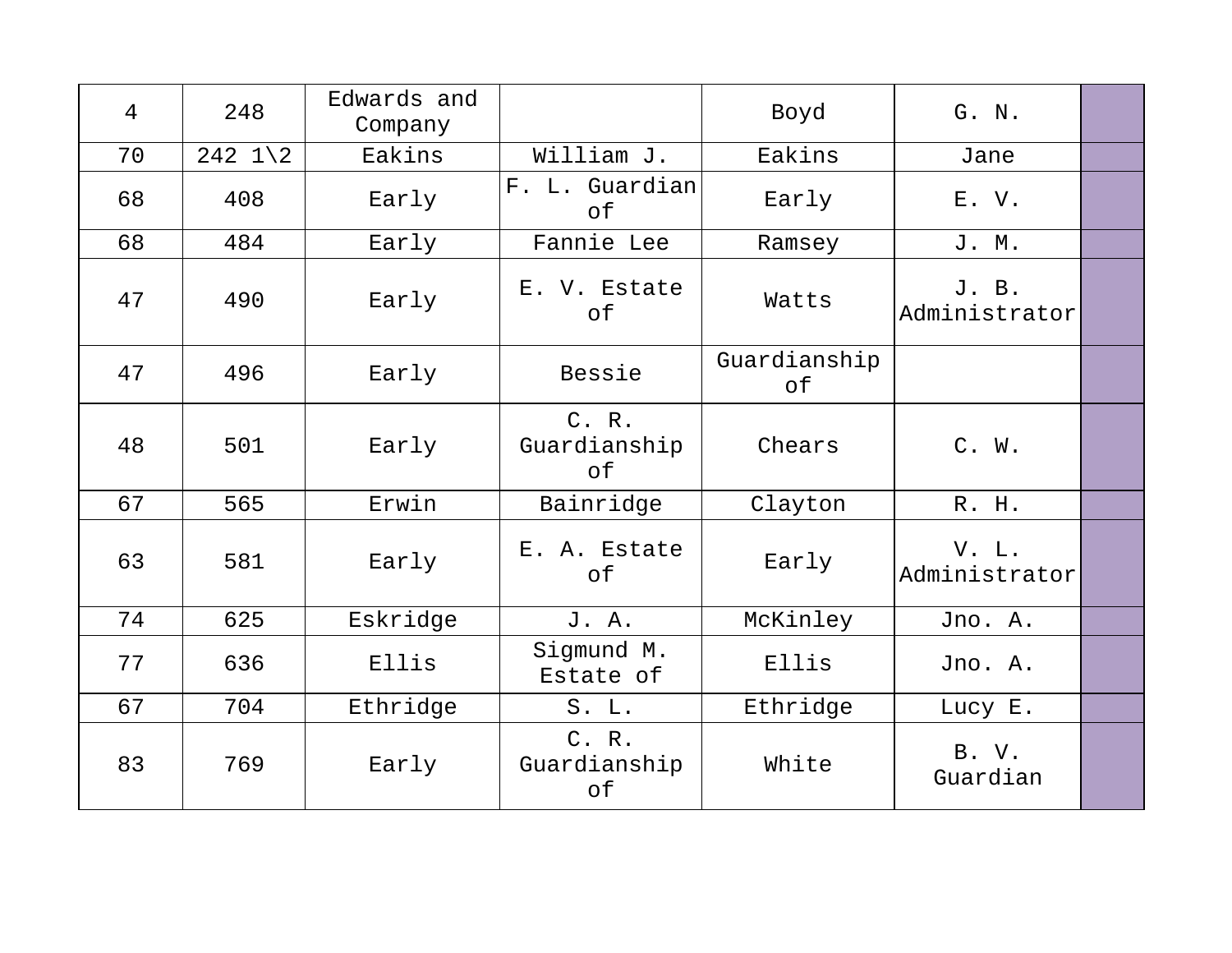| $\overline{4}$ | 248                 | Edwards and<br>Company |                             | Boyd               | G. N.                  |  |
|----------------|---------------------|------------------------|-----------------------------|--------------------|------------------------|--|
| 70             | 242 $1\backslash 2$ | Eakins                 | William J.                  | Eakins             | Jane                   |  |
| 68             | 408                 | Early                  | F. L. Guardian<br>of        | Early              | E.V.                   |  |
| 68             | 484                 | Early                  | Fannie Lee                  | Ramsey             | J. M.                  |  |
| 47             | 490                 | Early                  | E. V. Estate<br>of          | Watts              | J. B.<br>Administrator |  |
| 47             | 496                 | Early                  | Bessie                      | Guardianship<br>оf |                        |  |
| 48             | 501                 | Early                  | C. R.<br>Guardianship<br>of | Chears             | C. W.                  |  |
| 67             | 565                 | Erwin                  | Bainridge                   | Clayton            | R. H.                  |  |
| 63             | 581                 | Early                  | E. A. Estate<br>of          | Early              | V. L.<br>Administrator |  |
| 74             | 625                 | Eskridge               | J. A.                       | McKinley           | Jno. A.                |  |
| 77             | 636                 | Ellis                  | Sigmund M.<br>Estate of     | Ellis              | Jno. A.                |  |
| 67             | 704                 | Ethridge               | S. L.                       | Ethridge           | Lucy E.                |  |
| 83             | 769                 | Early                  | C. R.<br>Guardianship<br>of | White              | B. V.<br>Guardian      |  |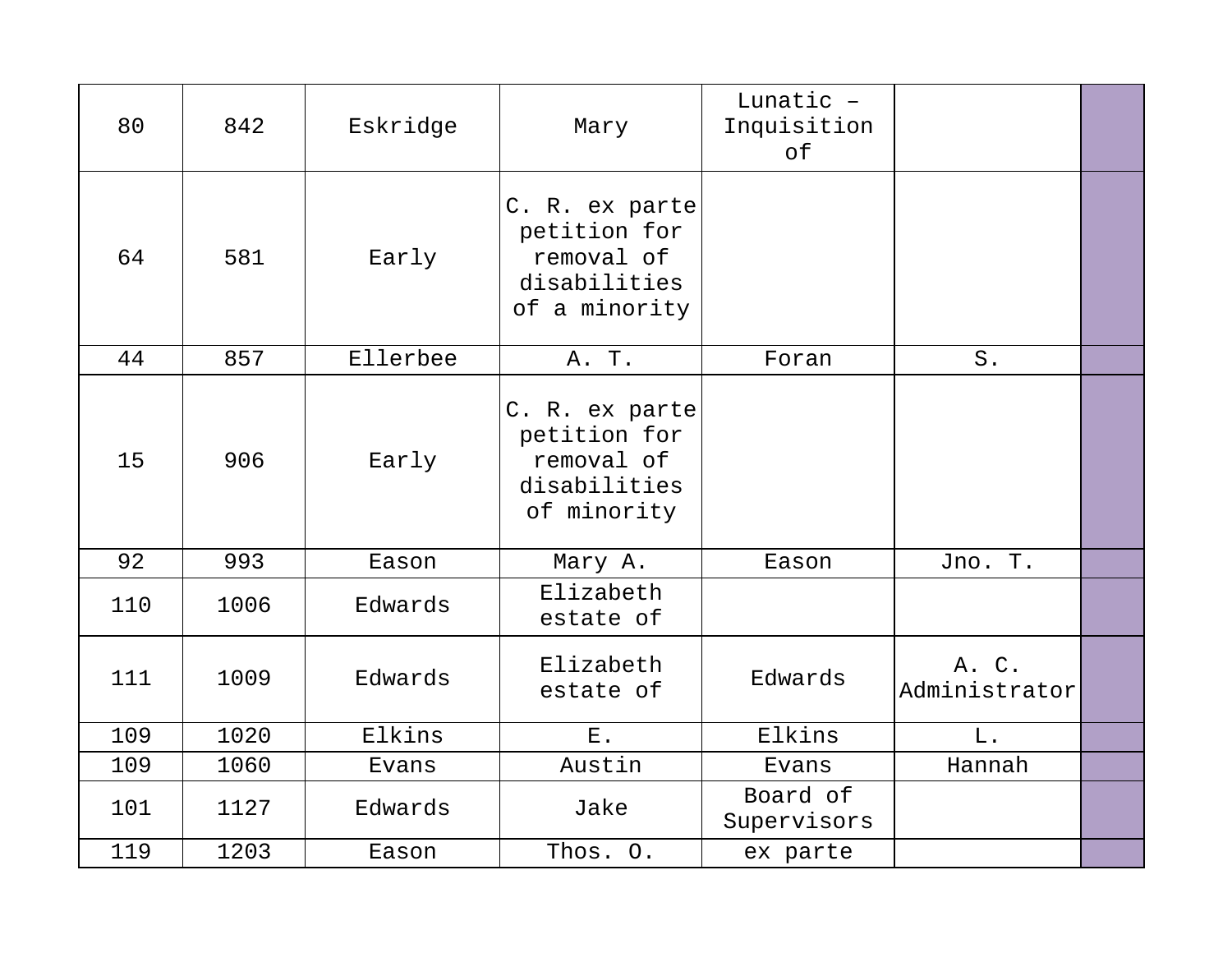| 80  | 842  | Eskridge | Mary                                                                          | Lunatic -<br>Inquisition<br>of |                        |  |
|-----|------|----------|-------------------------------------------------------------------------------|--------------------------------|------------------------|--|
| 64  | 581  | Early    | C. R. ex parte<br>petition for<br>removal of<br>disabilities<br>of a minority |                                |                        |  |
| 44  | 857  | Ellerbee | A. T.                                                                         | Foran                          | $S$ .                  |  |
| 15  | 906  | Early    | C. R. ex parte<br>petition for<br>removal of<br>disabilities<br>of minority   |                                |                        |  |
| 92  | 993  | Eason    | Mary A.                                                                       | Eason                          | Jno. T.                |  |
| 110 | 1006 | Edwards  | Elizabeth<br>estate of                                                        |                                |                        |  |
| 111 | 1009 | Edwards  | Elizabeth<br>estate of                                                        | Edwards                        | A. C.<br>Administrator |  |
| 109 | 1020 | Elkins   | ${\bf E}$ .                                                                   | Elkins                         | L.                     |  |
| 109 | 1060 | Evans    | Austin                                                                        | Evans                          | Hannah                 |  |
| 101 | 1127 | Edwards  | Jake                                                                          | Board of<br>Supervisors        |                        |  |
| 119 | 1203 | Eason    | Thos. O.                                                                      | ex parte                       |                        |  |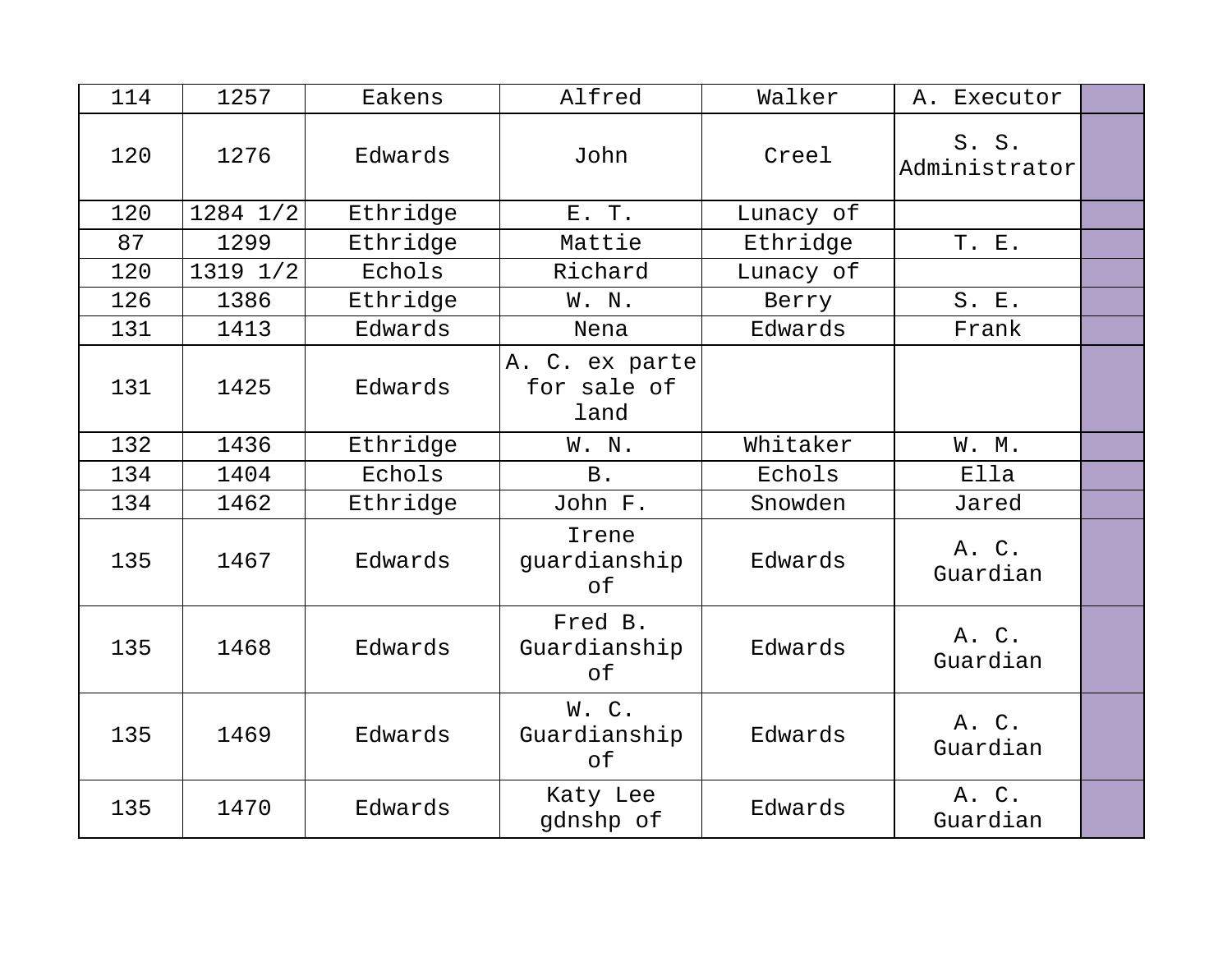| 114 | 1257     | Eakens   | Alfred                                | Walker    | A. Executor            |  |
|-----|----------|----------|---------------------------------------|-----------|------------------------|--|
| 120 | 1276     | Edwards  | John                                  | Creel     | S. S.<br>Administrator |  |
| 120 | 1284 1/2 | Ethridge | E. T.                                 | Lunacy of |                        |  |
| 87  | 1299     | Ethridge | Mattie                                | Ethridge  | T. E.                  |  |
| 120 | 1319 1/2 | Echols   | Richard                               | Lunacy of |                        |  |
| 126 | 1386     | Ethridge | W. N.                                 | Berry     | S. E.                  |  |
| 131 | 1413     | Edwards  | Nena                                  | Edwards   | Frank                  |  |
| 131 | 1425     | Edwards  | A. C. ex parte<br>for sale of<br>land |           |                        |  |
| 132 | 1436     | Ethridge | W. N.                                 | Whitaker  | W. M.                  |  |
| 134 | 1404     | Echols   | B.                                    | Echols    | Ella                   |  |
| 134 | 1462     | Ethridge | John F.                               | Snowden   | Jared                  |  |
| 135 | 1467     | Edwards  | Irene<br>guardianship<br>of           | Edwards   | A. C.<br>Guardian      |  |
| 135 | 1468     | Edwards  | Fred B.<br>Guardianship<br>оf         | Edwards   | A. C.<br>Guardian      |  |
| 135 | 1469     | Edwards  | W.C.<br>Guardianship<br>оf            | Edwards   | A. C.<br>Guardian      |  |
| 135 | 1470     | Edwards  | Katy Lee<br>gdnshp of                 | Edwards   | A. C.<br>Guardian      |  |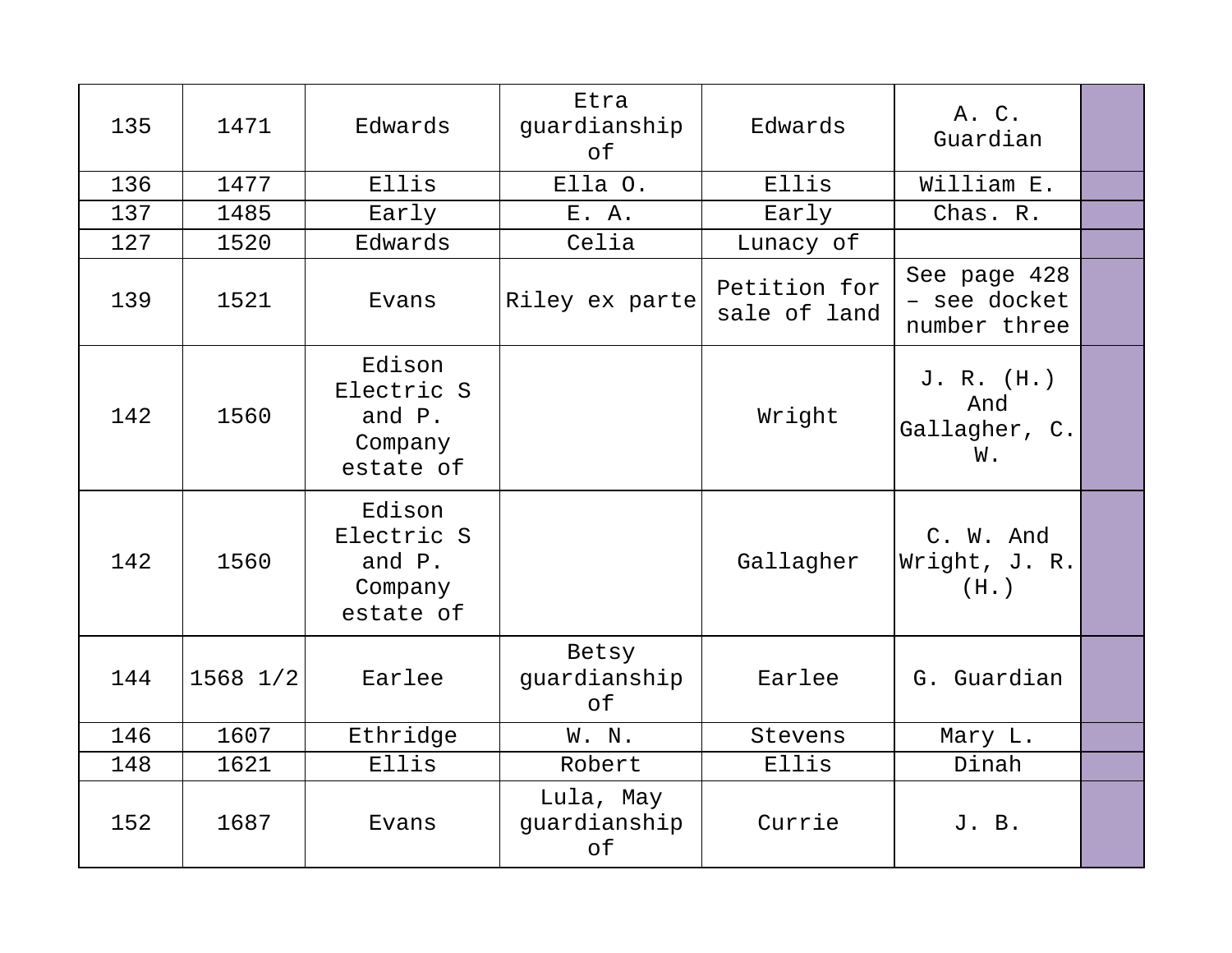| 135 | 1471         | Edwards                                                | Etra<br>guardianship<br>of      | Edwards                      | A. C.<br>Guardian                            |  |
|-----|--------------|--------------------------------------------------------|---------------------------------|------------------------------|----------------------------------------------|--|
| 136 | 1477         | Ellis                                                  | Ella O.                         | Ellis                        | William E.                                   |  |
| 137 | 1485         | Early                                                  | E. A.                           | Early                        | Chas. R.                                     |  |
| 127 | 1520         | Edwards                                                | Celia                           | Lunacy of                    |                                              |  |
| 139 | 1521         | Evans                                                  | Riley ex parte                  | Petition for<br>sale of land | See page 428<br>- see docket<br>number three |  |
| 142 | 1560         | Edison<br>Electric S<br>and P.<br>Company<br>estate of |                                 | Wright                       | J. R. (H.)<br>And<br>Gallagher, C.<br>W.     |  |
| 142 | 1560         | Edison<br>Electric S<br>and P.<br>Company<br>estate of |                                 | Gallagher                    | C. W. And<br>Wright, J. R.<br>(H. )          |  |
| 144 | $1568$ $1/2$ | Earlee                                                 | Betsy<br>quardianship<br>of     | Earlee                       | G. Guardian                                  |  |
| 146 | 1607         | Ethridge                                               | W. N.                           | Stevens                      | Mary L.                                      |  |
| 148 | 1621         | Ellis                                                  | Robert                          | Ellis                        | Dinah                                        |  |
| 152 | 1687         | Evans                                                  | Lula, May<br>guardianship<br>of | Currie                       | J. B.                                        |  |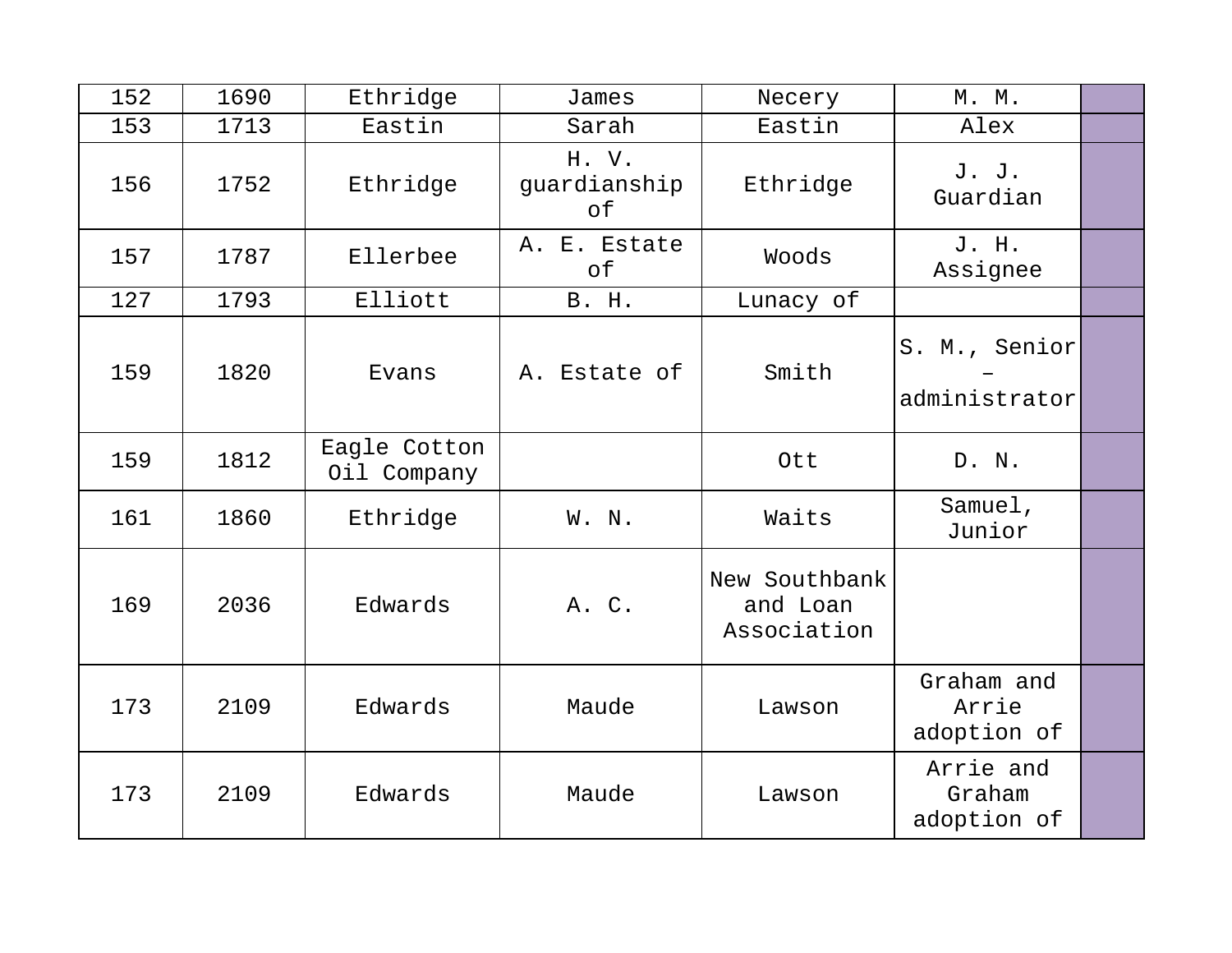| 152 | 1690 | Ethridge                    | James                       | Necery                                   | M. M.                              |  |
|-----|------|-----------------------------|-----------------------------|------------------------------------------|------------------------------------|--|
| 153 | 1713 | Eastin                      | Sarah                       | Eastin                                   | Alex                               |  |
| 156 | 1752 | Ethridge                    | H. V.<br>guardianship<br>оf | Ethridge                                 | J. J.<br>Guardian                  |  |
| 157 | 1787 | Ellerbee                    | A. E. Estate<br>оf          | Woods                                    | J. H.<br>Assignee                  |  |
| 127 | 1793 | Elliott                     | B. H.                       | Lunacy of                                |                                    |  |
| 159 | 1820 | Evans                       | A. Estate of                | Smith                                    | S. M., Senior<br>administrator     |  |
| 159 | 1812 | Eagle Cotton<br>Oil Company |                             | Ott                                      | D. N.                              |  |
| 161 | 1860 | Ethridge                    | W. N.                       | Waits                                    | Samuel,<br>Junior                  |  |
| 169 | 2036 | Edwards                     | A. C.                       | New Southbank<br>and Loan<br>Association |                                    |  |
| 173 | 2109 | Edwards                     | Maude                       | Lawson                                   | Graham and<br>Arrie<br>adoption of |  |
| 173 | 2109 | Edwards                     | Maude                       | Lawson                                   | Arrie and<br>Graham<br>adoption of |  |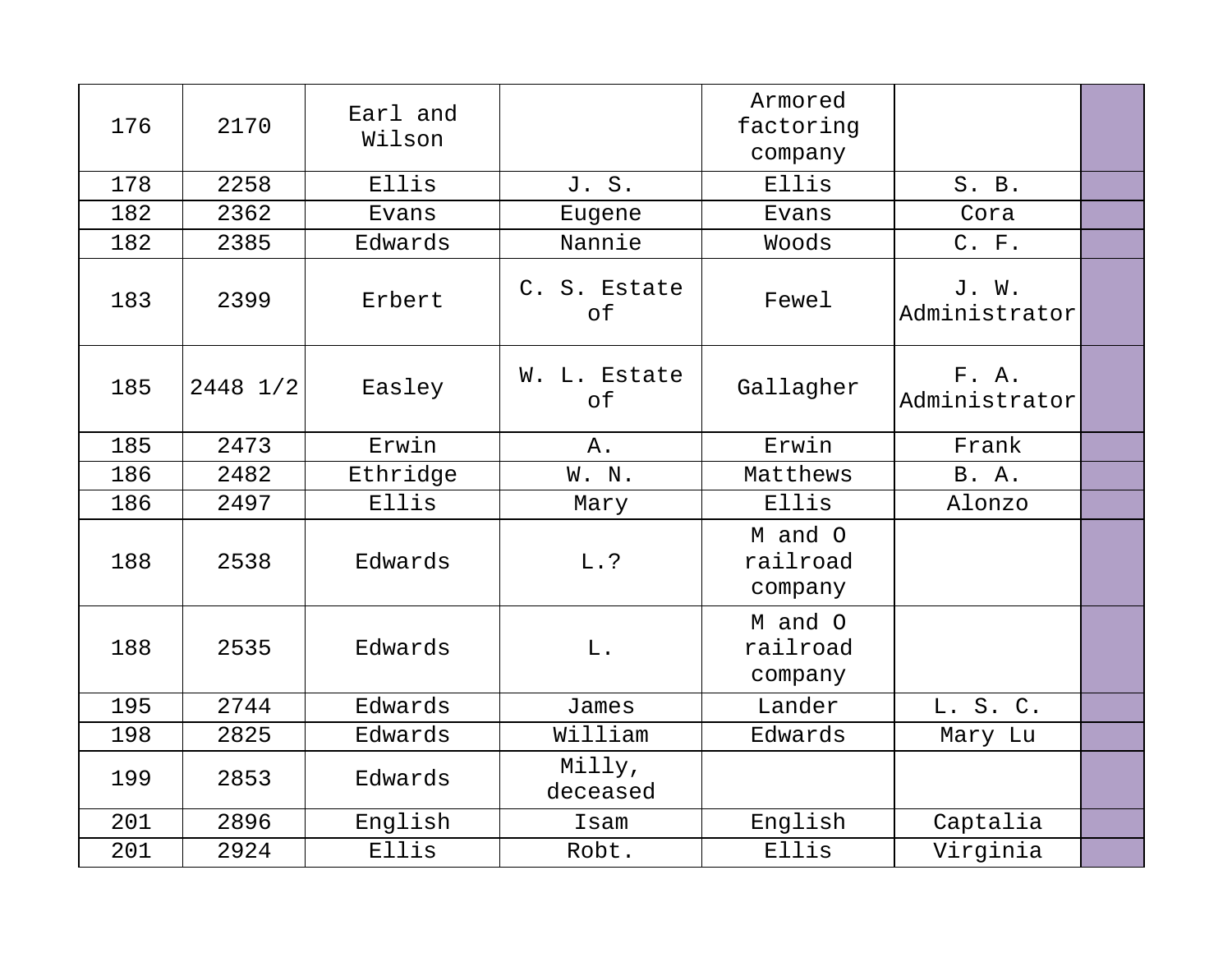| 176 | 2170     | Earl and<br>Wilson |                           | Armored<br>factoring<br>company |                        |  |
|-----|----------|--------------------|---------------------------|---------------------------------|------------------------|--|
| 178 | 2258     | Ellis              | J. S.                     | Ellis                           | S. B.                  |  |
| 182 | 2362     | Evans              | Eugene                    | Evans                           | Cora                   |  |
| 182 | 2385     | Edwards            | Nannie                    | Woods                           | C. F.                  |  |
| 183 | 2399     | Erbert             | C. S. Estate<br>$\circ f$ | Fewel                           | J. W.<br>Administrator |  |
| 185 | 2448 1/2 | Easley             | W. L. Estate<br>of        | Gallagher                       | F. A.<br>Administrator |  |
| 185 | 2473     | Erwin              | $A$ .                     | Erwin                           | Frank                  |  |
| 186 | 2482     | Ethridge           | W. N.                     | Matthews                        | <b>B.</b> A.           |  |
| 186 | 2497     | Ellis              | Mary                      | Ellis                           | Alonzo                 |  |
| 188 | 2538     | Edwards            | L.?                       | M and O<br>railroad<br>company  |                        |  |
| 188 | 2535     | Edwards            | L.                        | M and O<br>railroad<br>company  |                        |  |
| 195 | 2744     | Edwards            | James                     | Lander                          | L. S. C.               |  |
| 198 | 2825     | Edwards            | William                   | Edwards                         | Mary Lu                |  |
| 199 | 2853     | Edwards            | Milly,<br>deceased        |                                 |                        |  |
| 201 | 2896     | English            | Isam                      | English                         | Captalia               |  |
| 201 | 2924     | Ellis              | Robt.                     | Ellis                           | Virginia               |  |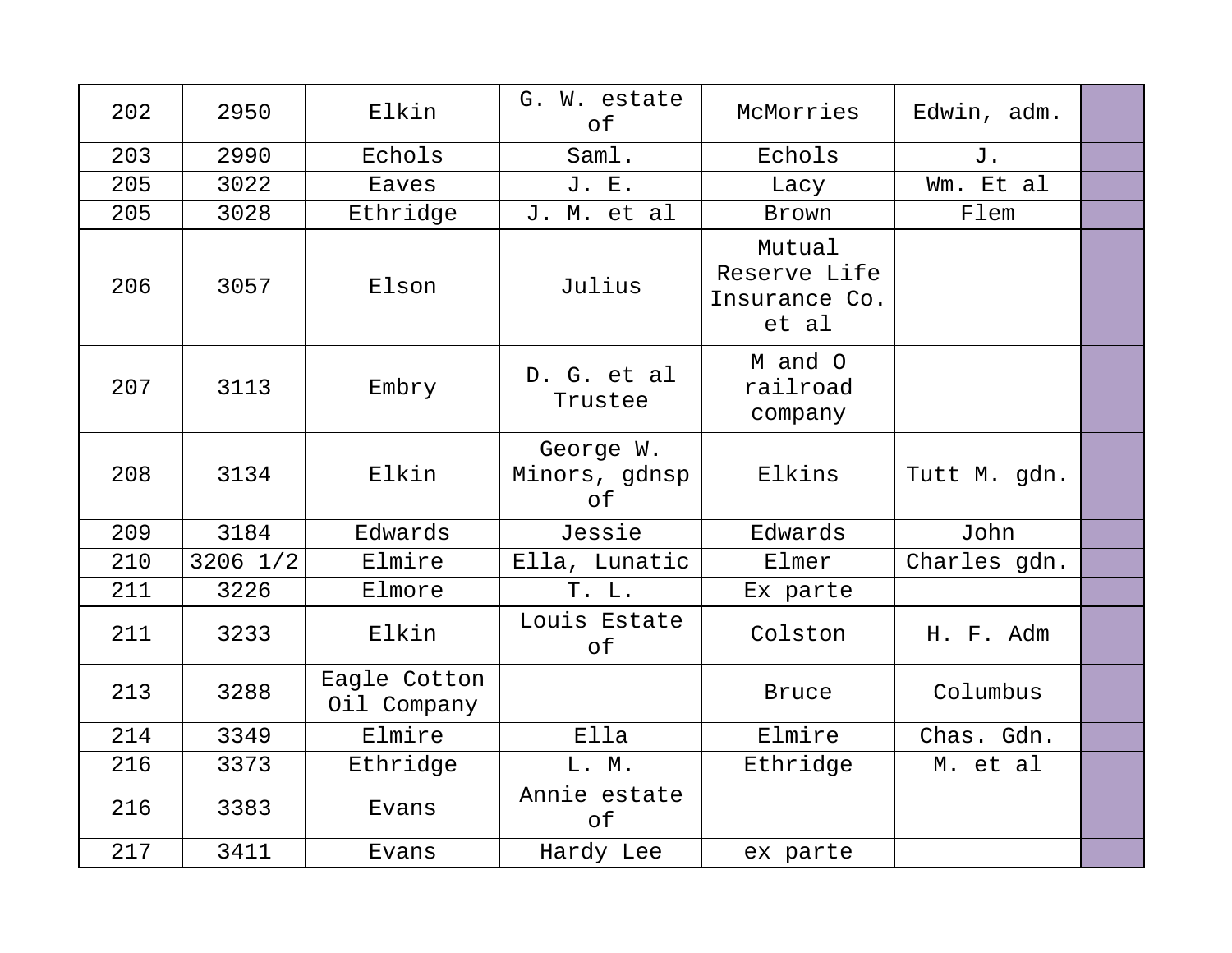| 202 | 2950         | Elkin                       | G. W. estate<br>of               | McMorries                                        | Edwin, adm.  |  |
|-----|--------------|-----------------------------|----------------------------------|--------------------------------------------------|--------------|--|
| 203 | 2990         | Echols                      | Saml.                            | Echols                                           | J.           |  |
| 205 | 3022         | Eaves                       | J. E.                            | Lacy                                             | Wm. Et al    |  |
| 205 | 3028         | Ethridge                    | J. M. et al                      | Brown                                            | Flem         |  |
| 206 | 3057         | Elson                       | Julius                           | Mutual<br>Reserve Life<br>Insurance Co.<br>et al |              |  |
| 207 | 3113         | Embry                       | D. G. et al<br>Trustee           | M and O<br>railroad<br>company                   |              |  |
| 208 | 3134         | Elkin                       | George W.<br>Minors, gdnsp<br>of | Elkins                                           | Tutt M. gdn. |  |
| 209 | 3184         | Edwards                     | Jessie                           | Edwards                                          | John         |  |
| 210 | $3206$ $1/2$ | Elmire                      | Ella, Lunatic                    | Elmer                                            | Charles gdn. |  |
| 211 | 3226         | Elmore                      | T. L.                            | Ex parte                                         |              |  |
| 211 | 3233         | Elkin                       | Louis Estate<br>of               | Colston                                          | H. F. Adm    |  |
| 213 | 3288         | Eagle Cotton<br>Oil Company |                                  | <b>Bruce</b>                                     | Columbus     |  |
| 214 | 3349         | Elmire                      | Ella                             | Elmire                                           | Chas. Gdn.   |  |
| 216 | 3373         | Ethridge                    | L. M.                            | Ethridge                                         | M. et al     |  |
| 216 | 3383         | Evans                       | Annie estate<br>of               |                                                  |              |  |
| 217 | 3411         | Evans                       | Hardy Lee                        | ex parte                                         |              |  |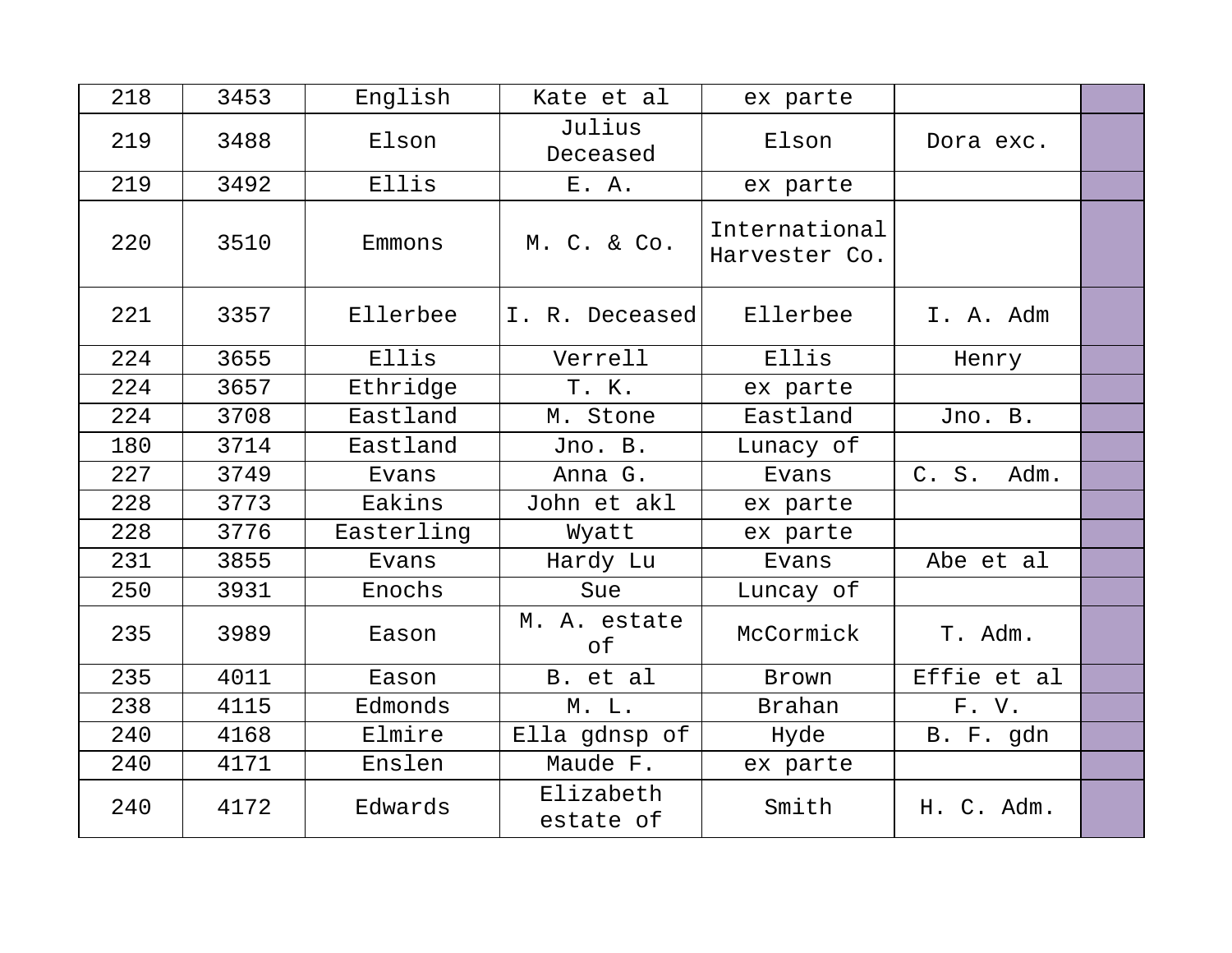| 218 | 3453 | English    | Kate et al             | ex parte                       |               |  |
|-----|------|------------|------------------------|--------------------------------|---------------|--|
| 219 | 3488 | Elson      | Julius<br>Deceased     | Elson                          | Dora exc.     |  |
| 219 | 3492 | Ellis      | E. A.                  | ex parte                       |               |  |
| 220 | 3510 | Emmons     | M. C. & Co.            | International<br>Harvester Co. |               |  |
| 221 | 3357 | Ellerbee   | I. R. Deceased         | Ellerbee                       | I. A. Adm     |  |
| 224 | 3655 | Ellis      | Verrell                | Ellis                          | Henry         |  |
| 224 | 3657 | Ethridge   | T. K.                  | ex parte                       |               |  |
| 224 | 3708 | Eastland   | M. Stone               | Eastland                       | Jno. B.       |  |
| 180 | 3714 | Eastland   | Jno. B.                | Lunacy of                      |               |  |
| 227 | 3749 | Evans      | Anna G.                | Evans                          | C. S.<br>Adm. |  |
| 228 | 3773 | Eakins     | John et akl            | ex parte                       |               |  |
| 228 | 3776 | Easterling | Wyatt                  | ex parte                       |               |  |
| 231 | 3855 | Evans      | Hardy Lu               | Evans                          | Abe et al     |  |
| 250 | 3931 | Enochs     | Sue                    | Luncay of                      |               |  |
| 235 | 3989 | Eason      | M. A. estate<br>оf     | McCormick                      | T. Adm.       |  |
| 235 | 4011 | Eason      | B. et al               | Brown                          | Effie et al   |  |
| 238 | 4115 | Edmonds    | M. L.                  | <b>Brahan</b>                  | F. V.         |  |
| 240 | 4168 | Elmire     | Ella gdnsp of          | Hyde                           | B. F. gdn     |  |
| 240 | 4171 | Enslen     | Maude F.               | ex parte                       |               |  |
| 240 | 4172 | Edwards    | Elizabeth<br>estate of | Smith                          | H. C. Adm.    |  |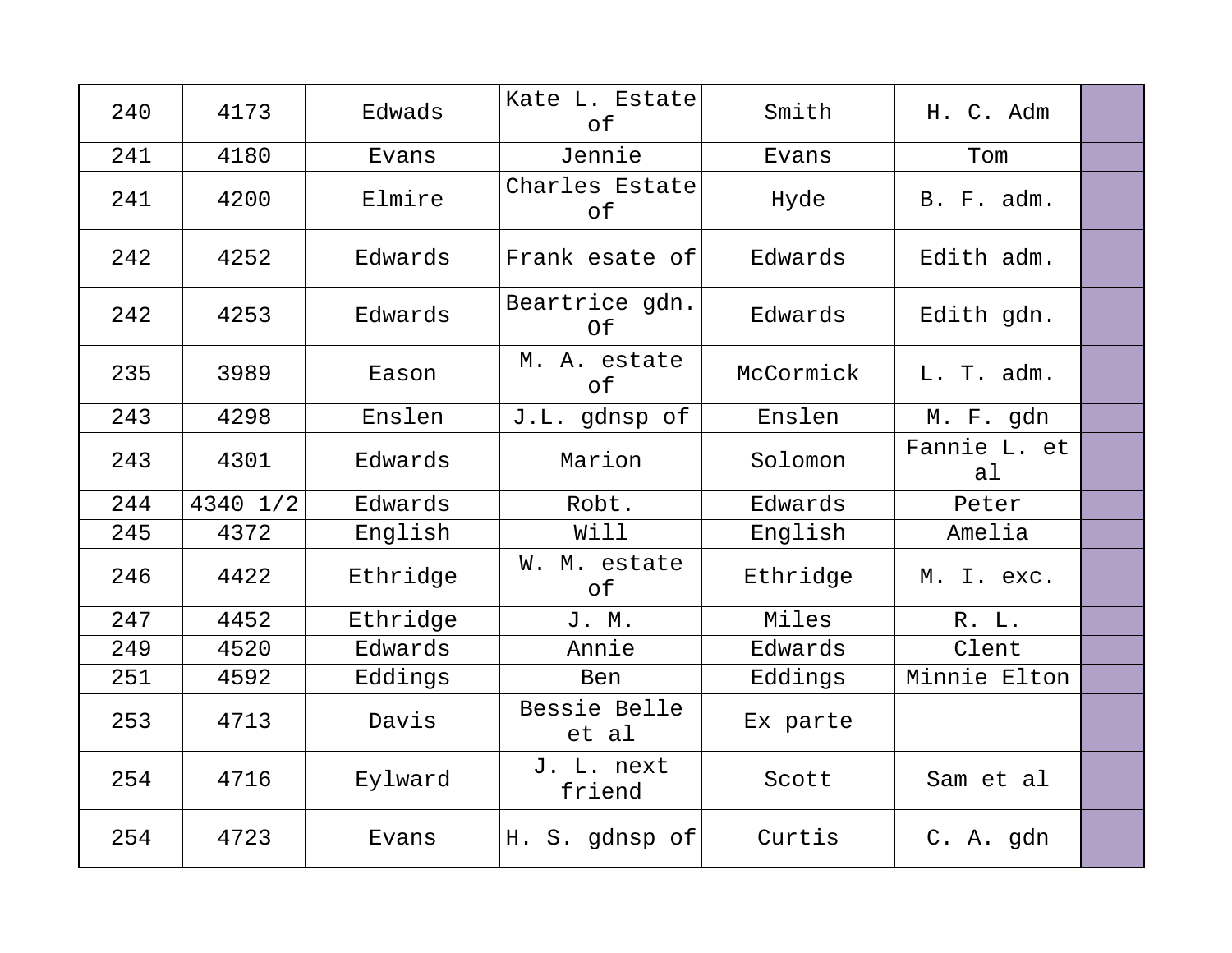| 240 | 4173     | Edwads   | Kate L. Estate<br>of  | Smith     | H. C. Adm                      |  |
|-----|----------|----------|-----------------------|-----------|--------------------------------|--|
| 241 | 4180     | Evans    | Jennie                | Evans     | Tom                            |  |
| 241 | 4200     | Elmire   | Charles Estate<br>оf  | Hyde      | B. F. adm.                     |  |
| 242 | 4252     | Edwards  | Frank esate of        | Edwards   | Edith adm.                     |  |
| 242 | 4253     | Edwards  | Beartrice gdn.<br>0f  | Edwards   | Edith gdn.                     |  |
| 235 | 3989     | Eason    | M. A. estate<br>of    | McCormick | L. T. adm.                     |  |
| 243 | 4298     | Enslen   | J.L. gdnsp of         | Enslen    | M. F. gdn                      |  |
| 243 | 4301     | Edwards  | Marion                | Solomon   | Fannie L. et<br>a <sub>l</sub> |  |
| 244 | 4340 1/2 | Edwards  | Robt.                 | Edwards   | Peter                          |  |
| 245 | 4372     | English  | Will                  | English   | Amelia                         |  |
| 246 | 4422     | Ethridge | W. M. estate<br>of    | Ethridge  | M. I. exc.                     |  |
| 247 | 4452     | Ethridge | J. M.                 | Miles     | R. L.                          |  |
| 249 | 4520     | Edwards  | Annie                 | Edwards   | Clent                          |  |
| 251 | 4592     | Eddings  | Ben                   | Eddings   | Minnie Elton                   |  |
| 253 | 4713     | Davis    | Bessie Belle<br>et al | Ex parte  |                                |  |
| 254 | 4716     | Eylward  | J. L. next<br>friend  | Scott     | Sam et al                      |  |
| 254 | 4723     | Evans    | H. S. gdnsp of        | Curtis    | C. A. gdn                      |  |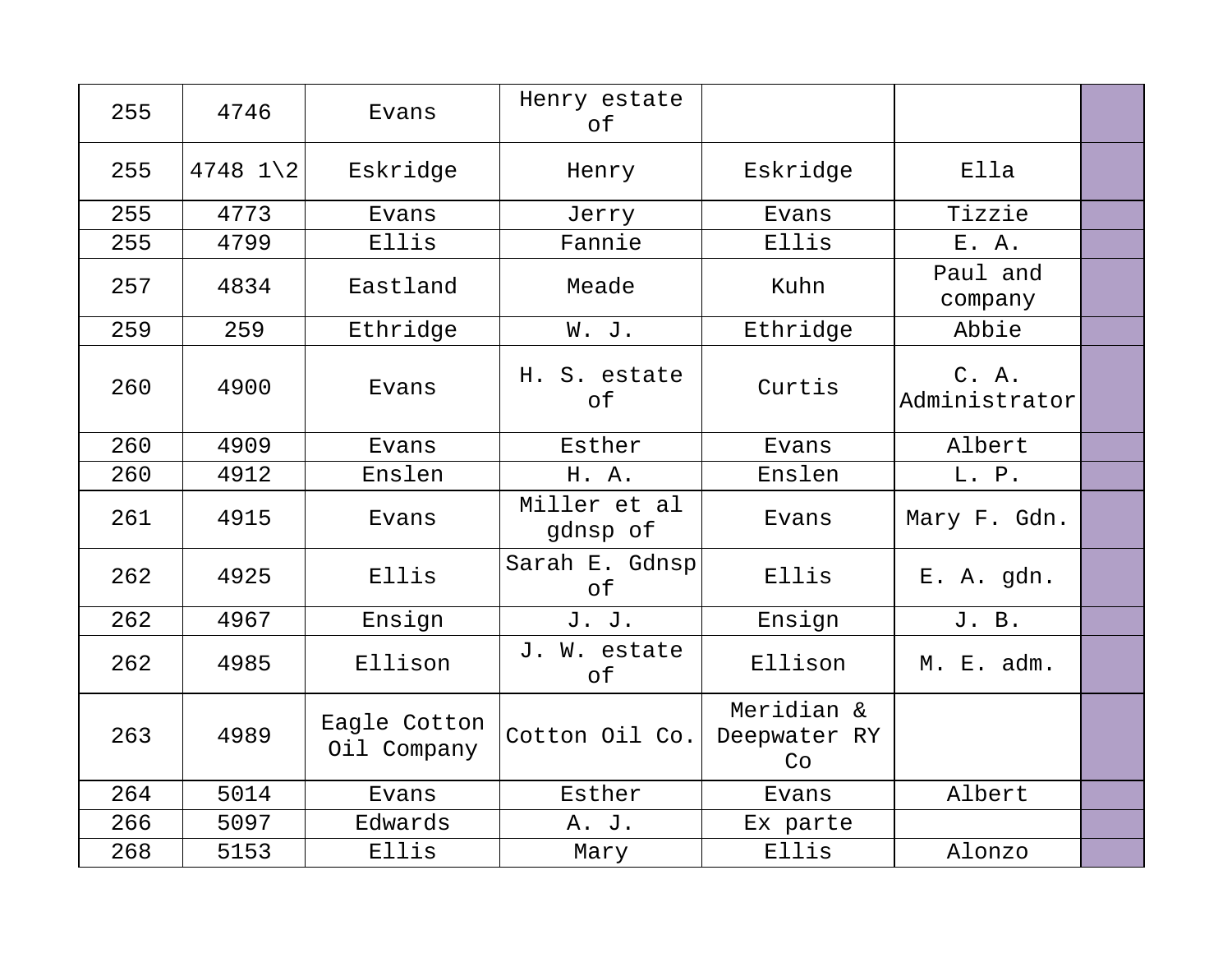| 255 | 4746       | Evans                       | Henry estate<br>оf       |                                  |                        |  |
|-----|------------|-----------------------------|--------------------------|----------------------------------|------------------------|--|
| 255 | $4748$ 1 2 | Eskridge                    | Henry                    | Eskridge                         | Ella                   |  |
| 255 | 4773       | Evans                       | Jerry                    | Evans                            | Tizzie                 |  |
| 255 | 4799       | Ellis                       | Fannie                   | Ellis                            | E. A.                  |  |
| 257 | 4834       | Eastland                    | Meade                    | Kuhn                             | Paul and<br>company    |  |
| 259 | 259        | Ethridge                    | W. J.                    | Ethridge                         | Abbie                  |  |
| 260 | 4900       | Evans                       | H. S. estate<br>оf       | Curtis                           | C. A.<br>Administrator |  |
| 260 | 4909       | Evans                       | Esther                   | Evans                            | Albert                 |  |
| 260 | 4912       | Enslen                      | H. A.                    | Enslen                           | L. P.                  |  |
| 261 | 4915       | Evans                       | Miller et al<br>gdnsp of | Evans                            | Mary F. Gdn.           |  |
| 262 | 4925       | Ellis                       | Sarah E. Gdnsp<br>of     | Ellis                            | E. A. gdn.             |  |
| 262 | 4967       | Ensign                      | J. J.                    | Ensign                           | J. B.                  |  |
| 262 | 4985       | Ellison                     | J. W. estate<br>of       | Ellison                          | M. E. adm.             |  |
| 263 | 4989       | Eagle Cotton<br>Oil Company | Cotton Oil Co.           | Meridian &<br>Deepwater RY<br>Co |                        |  |
| 264 | 5014       | Evans                       | Esther                   | Evans                            | Albert                 |  |
| 266 | 5097       | Edwards                     | A. J.                    | Ex parte                         |                        |  |
| 268 | 5153       | Ellis                       | Mary                     | Ellis                            | Alonzo                 |  |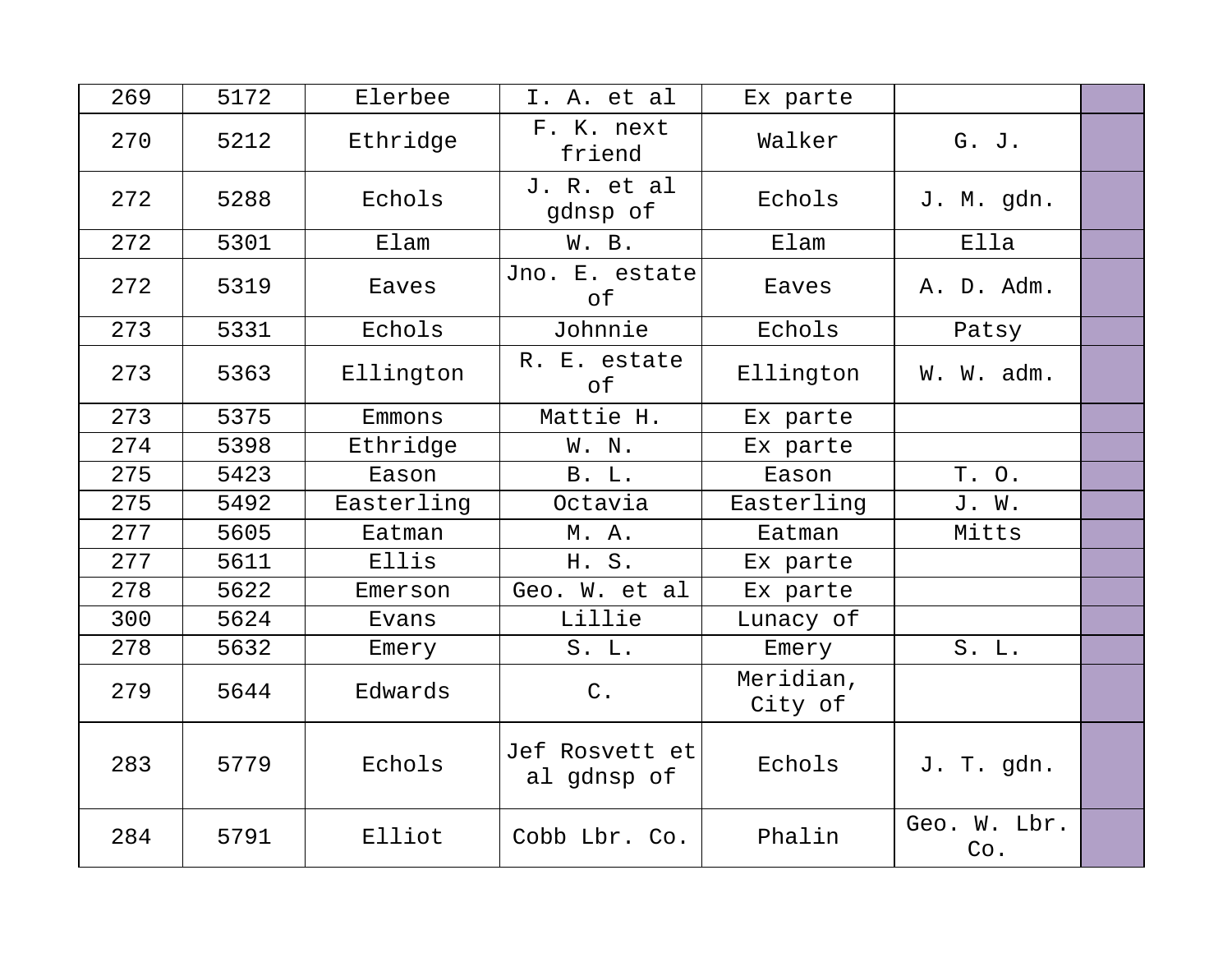| 269 | 5172 | Elerbee    | I. A. et al                   | Ex parte             |                     |  |
|-----|------|------------|-------------------------------|----------------------|---------------------|--|
| 270 | 5212 | Ethridge   | F. K. next<br>friend          | Walker               | G. J.               |  |
| 272 | 5288 | Echols     | J. R. et al<br>gdnsp of       | Echols               | J. M. gdn.          |  |
| 272 | 5301 | Elam       | W. B.                         | Elam                 | Ella                |  |
| 272 | 5319 | Eaves      | Jno. E. estate<br>оf          | Eaves                | A. D. Adm.          |  |
| 273 | 5331 | Echols     | Johnnie                       | Echols               | Patsy               |  |
| 273 | 5363 | Ellington  | R. E. estate<br>of            | Ellington            | W. W. adm.          |  |
| 273 | 5375 | Emmons     | Mattie H.                     | Ex parte             |                     |  |
| 274 | 5398 | Ethridge   | W. N.                         | Ex parte             |                     |  |
| 275 | 5423 | Eason      | <b>B.</b> L.                  | Eason                | T. O.               |  |
| 275 | 5492 | Easterling | Octavia                       | Easterling           | J. W.               |  |
| 277 | 5605 | Eatman     | M. A.                         | Eatman               | Mitts               |  |
| 277 | 5611 | Ellis      | H. S.                         | Ex parte             |                     |  |
| 278 | 5622 | Emerson    | Geo. W. et al                 | Ex parte             |                     |  |
| 300 | 5624 | Evans      | Lillie                        | Lunacy of            |                     |  |
| 278 | 5632 | Emery      | S. L.                         | Emery                | S. L.               |  |
| 279 | 5644 | Edwards    | $C$ .                         | Meridian,<br>City of |                     |  |
| 283 | 5779 | Echols     | Jef Rosvett et<br>al gdnsp of | Echols               | J. T. gdn.          |  |
| 284 | 5791 | Elliot     | Cobb Lbr. Co.                 | Phalin               | Geo. W. Lbr.<br>Co. |  |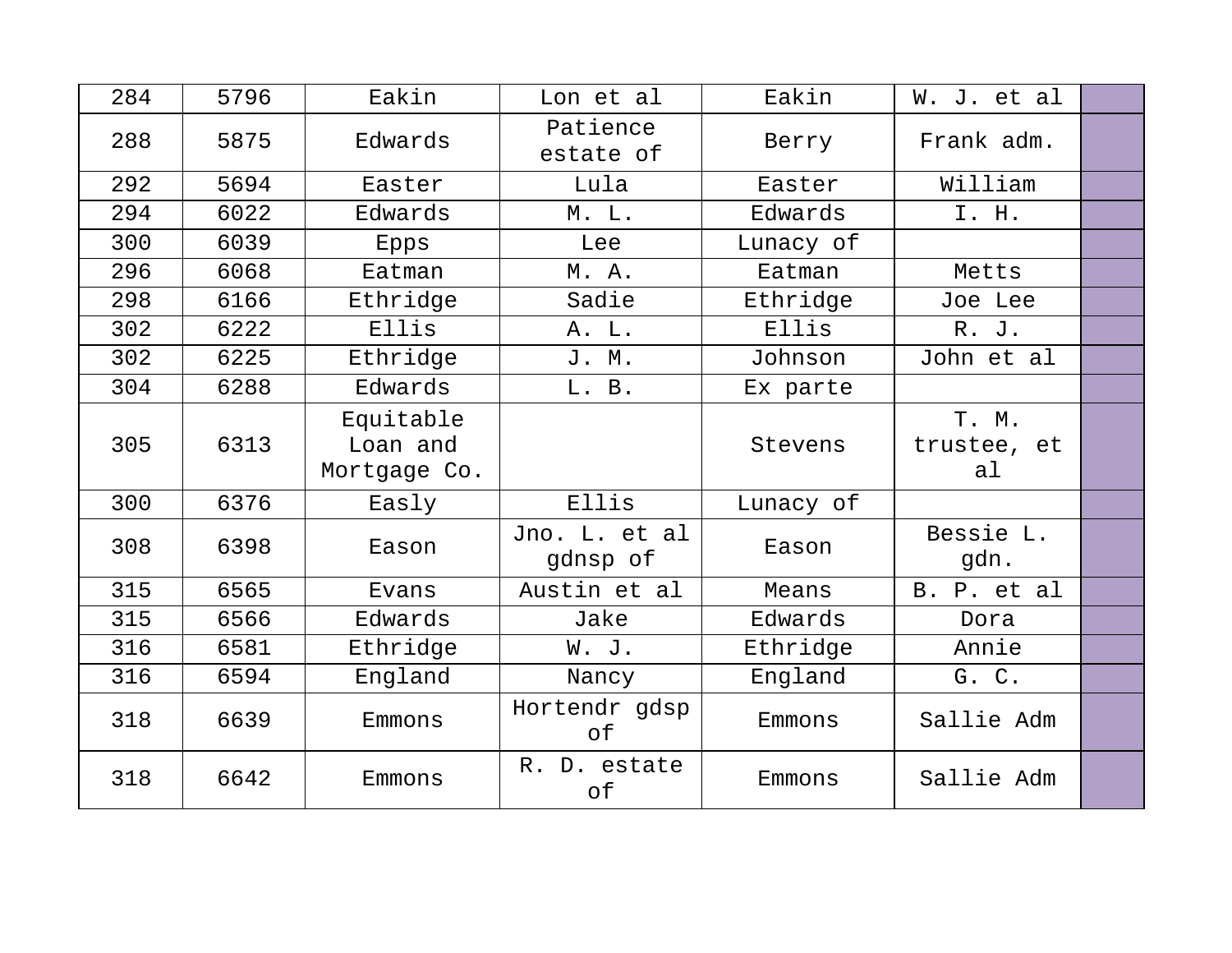| 284 | 5796 | Eakin                                 | Lon et al                 | Eakin     | W. J. et al                |  |
|-----|------|---------------------------------------|---------------------------|-----------|----------------------------|--|
| 288 | 5875 | Edwards                               | Patience<br>estate of     | Berry     | Frank adm.                 |  |
| 292 | 5694 | Easter                                | Lula                      | Easter    | William                    |  |
| 294 | 6022 | Edwards                               | M. L.                     | Edwards   | I. H.                      |  |
| 300 | 6039 | Epps                                  | Lee                       | Lunacy of |                            |  |
| 296 | 6068 | Eatman                                | M. A.                     | Eatman    | Metts                      |  |
| 298 | 6166 | Ethridge                              | Sadie                     | Ethridge  | Joe Lee                    |  |
| 302 | 6222 | Ellis                                 | A. L.                     | Ellis     | R. J.                      |  |
| 302 | 6225 | Ethridge                              | J. M.                     | Johnson   | John et al                 |  |
| 304 | 6288 | Edwards                               | L. B.                     | Ex parte  |                            |  |
| 305 | 6313 | Equitable<br>Loan and<br>Mortgage Co. |                           | Stevens   | T. M.<br>trustee, et<br>al |  |
| 300 | 6376 | Easly                                 | Ellis                     | Lunacy of |                            |  |
| 308 | 6398 | Eason                                 | Jno. L. et al<br>gdnsp of | Eason     | Bessie L.<br>gdn.          |  |
| 315 | 6565 | Evans                                 | Austin et al              | Means     | B. P. et al                |  |
| 315 | 6566 | Edwards                               | Jake                      | Edwards   | Dora                       |  |
| 316 | 6581 | Ethridge                              | W. J.                     | Ethridge  | Annie                      |  |
| 316 | 6594 | England                               | Nancy                     | England   | G. C.                      |  |
| 318 | 6639 | Emmons                                | Hortendr gdsp<br>of       | Emmons    | Sallie Adm                 |  |
| 318 | 6642 | Emmons                                | R. D. estate<br>of        | Emmons    | Sallie Adm                 |  |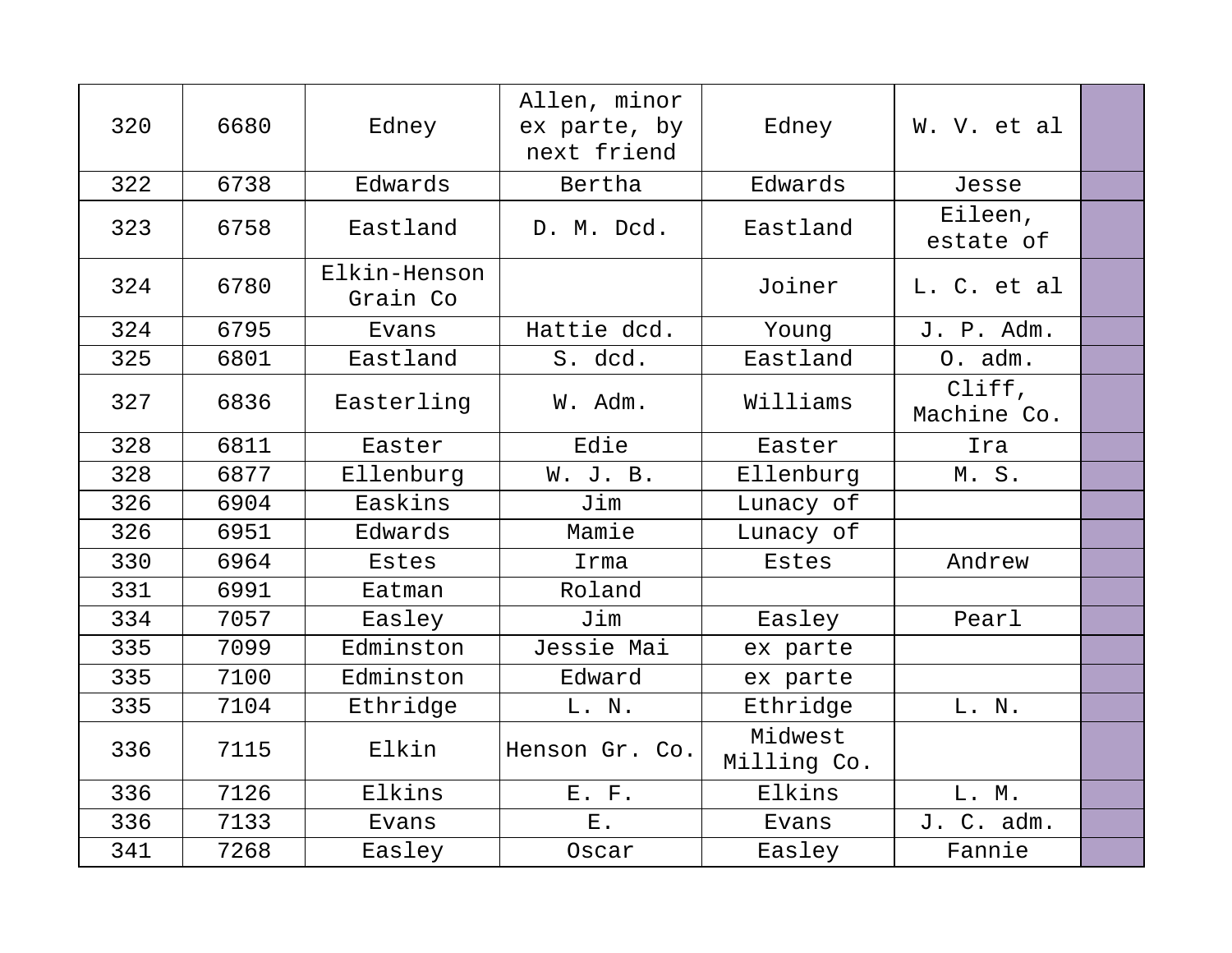| 320 | 6680 | Edney                    | Allen, minor<br>ex parte, by<br>next friend | Edney                  | W. V. et al           |  |
|-----|------|--------------------------|---------------------------------------------|------------------------|-----------------------|--|
| 322 | 6738 | Edwards                  | Bertha                                      | Edwards                | Jesse                 |  |
| 323 | 6758 | Eastland                 | D. M. Dcd.                                  | Eastland               | Eileen,<br>estate of  |  |
| 324 | 6780 | Elkin-Henson<br>Grain Co |                                             | Joiner                 | L. C. et al           |  |
| 324 | 6795 | Evans                    | Hattie dcd.                                 | Young                  | J. P. Adm.            |  |
| 325 | 6801 | Eastland                 | S. dcd.                                     | Eastland               | O. adm.               |  |
| 327 | 6836 | Easterling               | W. Adm.                                     | Williams               | Cliff,<br>Machine Co. |  |
| 328 | 6811 | Easter                   | Edie                                        | Easter                 | Ira                   |  |
| 328 | 6877 | Ellenburg                | W. J. B.                                    | Ellenburg              | M.S.                  |  |
| 326 | 6904 | Easkins                  | Jim                                         | Lunacy of              |                       |  |
| 326 | 6951 | Edwards                  | Mamie                                       | Lunacy of              |                       |  |
| 330 | 6964 | Estes                    | Irma                                        | <b>Estes</b>           | Andrew                |  |
| 331 | 6991 | Eatman                   | Roland                                      |                        |                       |  |
| 334 | 7057 | Easley                   | Jim                                         | Easley                 | Pearl                 |  |
| 335 | 7099 | Edminston                | Jessie Mai                                  | ex parte               |                       |  |
| 335 | 7100 | Edminston                | Edward                                      | ex parte               |                       |  |
| 335 | 7104 | Ethridge                 | L. N.                                       | Ethridge               | L. N.                 |  |
| 336 | 7115 | Elkin                    | Henson Gr. Co.                              | Midwest<br>Milling Co. |                       |  |
| 336 | 7126 | Elkins                   | E. F.                                       | Elkins                 | L. M.                 |  |
| 336 | 7133 | Evans                    | $E$ .                                       | Evans                  | J. C. adm.            |  |
| 341 | 7268 | Easley                   | Oscar                                       | Easley                 | Fannie                |  |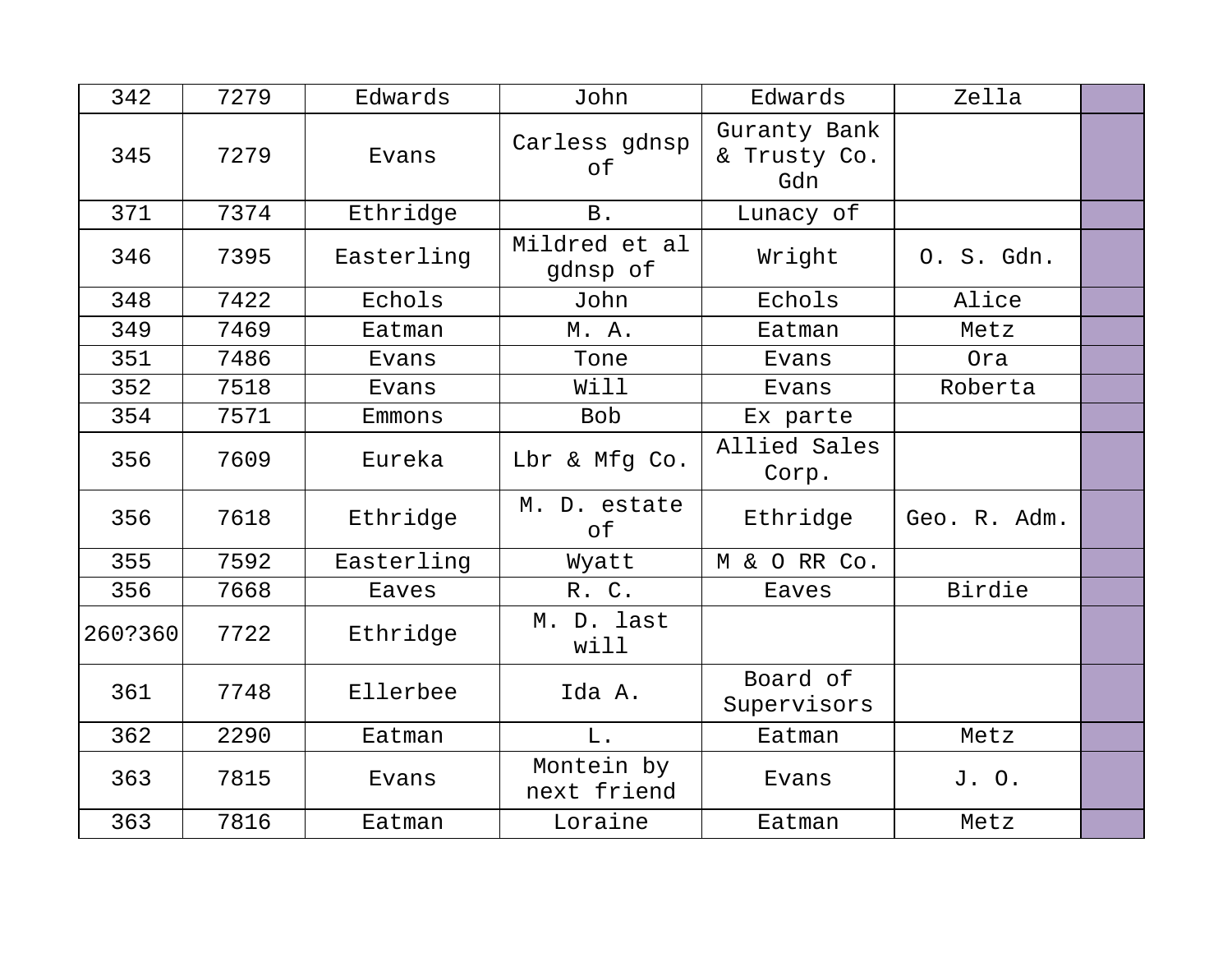| 342     | 7279 | Edwards    | John                      | Edwards                             | Zella        |  |
|---------|------|------------|---------------------------|-------------------------------------|--------------|--|
| 345     | 7279 | Evans      | Carless gdnsp<br>of       | Guranty Bank<br>& Trusty Co.<br>Gdn |              |  |
| 371     | 7374 | Ethridge   | $\, {\bf B}$ .            | Lunacy of                           |              |  |
| 346     | 7395 | Easterling | Mildred et al<br>gdnsp of | Wright                              | 0. S. Gdn.   |  |
| 348     | 7422 | Echols     | John                      | Echols                              | Alice        |  |
| 349     | 7469 | Eatman     | M. A.                     | Eatman                              | Metz         |  |
| 351     | 7486 | Evans      | Tone                      | Evans                               | Ora          |  |
| 352     | 7518 | Evans      | Will                      | Evans                               | Roberta      |  |
| 354     | 7571 | Emmons     | <b>Bob</b>                | Ex parte                            |              |  |
| 356     | 7609 | Eureka     | Lbr & Mfg Co.             | Allied Sales<br>Corp.               |              |  |
| 356     | 7618 | Ethridge   | M. D. estate<br>оf        | Ethridge                            | Geo. R. Adm. |  |
| 355     | 7592 | Easterling | Wyatt                     | M & O RR Co.                        |              |  |
| 356     | 7668 | Eaves      | R. C.                     | Eaves                               | Birdie       |  |
| 260?360 | 7722 | Ethridge   | M. D. last<br>will        |                                     |              |  |
| 361     | 7748 | Ellerbee   | Ida A.                    | Board of<br>Supervisors             |              |  |
| 362     | 2290 | Eatman     | $L$ .                     | Eatman                              | Metz         |  |
| 363     | 7815 | Evans      | Montein by<br>next friend | Evans                               | J. O.        |  |
| 363     | 7816 | Eatman     | Loraine                   | Eatman                              | Metz         |  |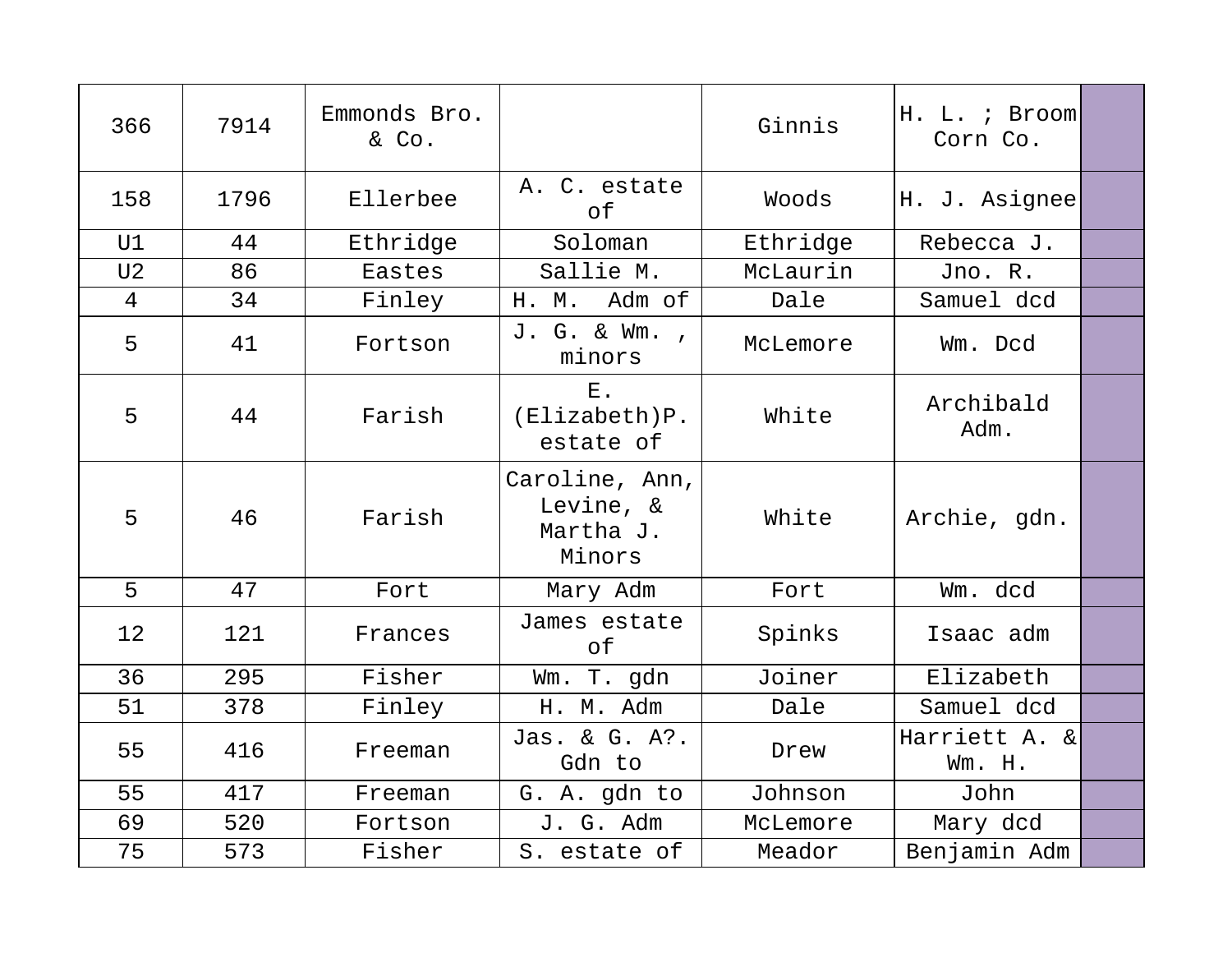| 366            | 7914 | Emmonds Bro.<br>& Co. |                                                    | Ginnis   | H. L. ; Broom<br>Corn Co. |  |
|----------------|------|-----------------------|----------------------------------------------------|----------|---------------------------|--|
| 158            | 1796 | Ellerbee              | A. C. estate<br>оf                                 | Woods    | H. J. Asignee             |  |
| U1             | 44   | Ethridge              | Soloman                                            | Ethridge | Rebecca J.                |  |
| U <sub>2</sub> | 86   | Eastes                | Sallie M.                                          | McLaurin | Jno. R.                   |  |
| $\overline{4}$ | 34   | Finley                | Adm of<br>H. M.                                    | Dale     | Samuel dcd                |  |
| 5              | 41   | Fortson               | J. G. & Wm.,<br>minors                             | McLemore | Wm. Dcd                   |  |
| 5              | 44   | Farish                | $E$ .<br>(Elixabeth)P.<br>estate of                | White    | Archibald<br>Adm.         |  |
| 5              | 46   | Farish                | Caroline, Ann,<br>Levine, &<br>Martha J.<br>Minors | White    | Archie, gdn.              |  |
| 5              | 47   | Fort                  | Mary Adm                                           | Fort     | Wm. dcd                   |  |
| 12             | 121  | Frances               | James estate<br>of                                 | Spinks   | Isaac adm                 |  |
| 36             | 295  | Fisher                | Wm. T. gdn                                         | Joiner   | Elizabeth                 |  |
| 51             | 378  | Finley                | H. M. Adm                                          | Dale     | Samuel dcd                |  |
| 55             | 416  | Freeman               | Jas. & G. A?.<br>Gdn to                            | Drew     | Harriett A. &<br>Wm. H.   |  |
| 55             | 417  | Freeman               | G. A. gdn to                                       | Johnson  | John                      |  |
| 69             | 520  | Fortson               | J. G. Adm                                          | McLemore | Mary dcd                  |  |
| 75             | 573  | Fisher                | S. estate of                                       | Meador   | Benjamin Adm              |  |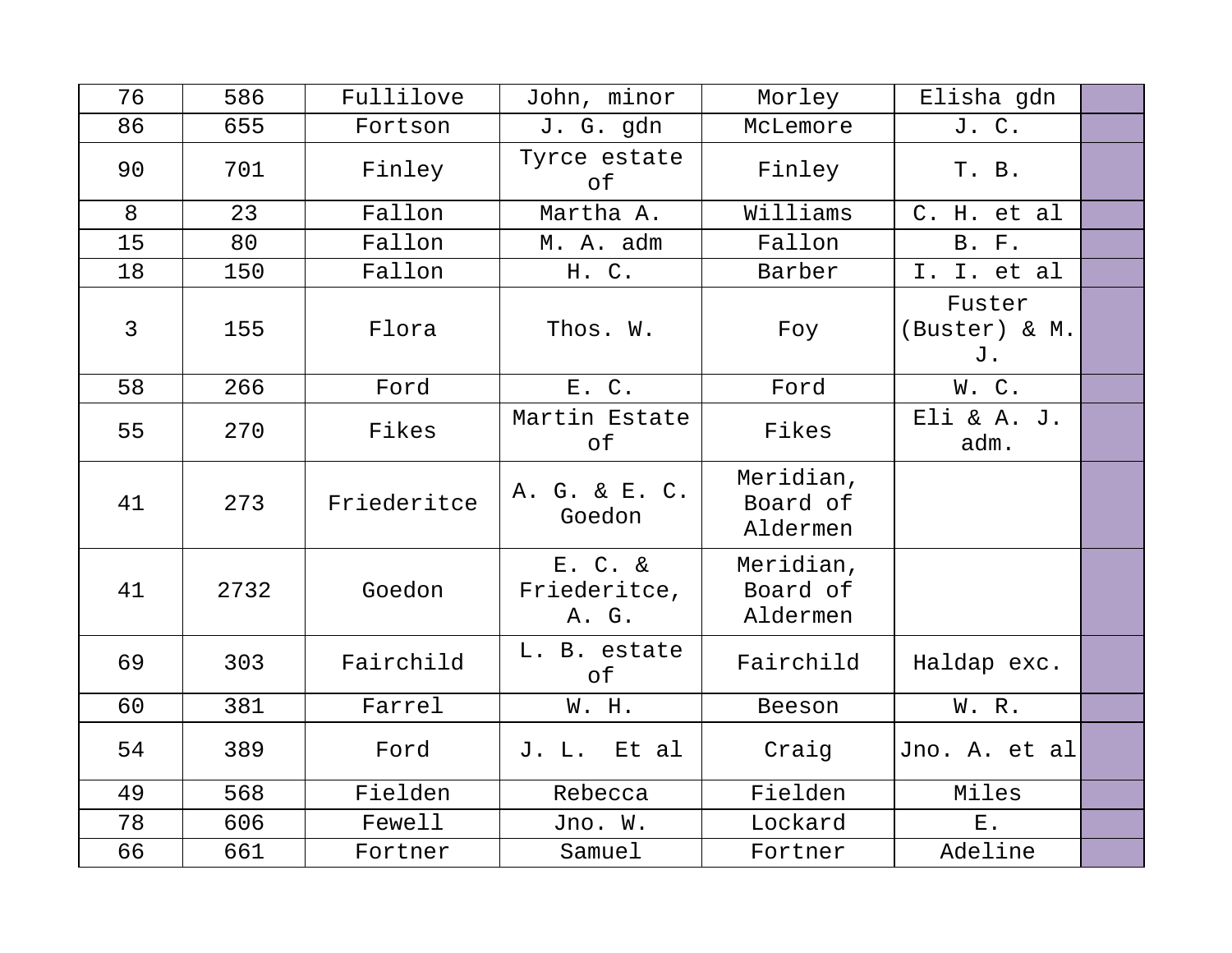| 76 | 586  | Fullilove   | John, minor                      | Morley                            | Elisha gdn                    |  |
|----|------|-------------|----------------------------------|-----------------------------------|-------------------------------|--|
| 86 | 655  | Fortson     | J. G. gdn                        | McLemore                          | J. C.                         |  |
| 90 | 701  | Finley      | Tyrce estate<br>of               | Finley                            | T. B.                         |  |
| 8  | 23   | Fallon      | Martha A.                        | Williams                          | C. H. et al                   |  |
| 15 | 80   | Fallon      | M. A. adm                        | Fallon                            | <b>B. F.</b>                  |  |
| 18 | 150  | Fallon      | H. C.                            | Barber                            | I. I. et al                   |  |
| 3  | 155  | Flora       | Thos. W.                         | Foy                               | Fuster<br>(Buster) & M.<br>J. |  |
| 58 | 266  | Ford        | E. C.                            | Ford                              | W.C.                          |  |
| 55 | 270  | Fikes       | Martin Estate<br>оf              | Fikes                             | Eli & A. J.<br>adm.           |  |
| 41 | 273  | Friederitce | A. G. & E. C.<br>Goedon          | Meridian,<br>Board of<br>Aldermen |                               |  |
| 41 | 2732 | Goedon      | E. C. &<br>Friederitce,<br>A. G. | Meridian,<br>Board of<br>Aldermen |                               |  |
| 69 | 303  | Fairchild   | L. B. estate<br>оf               | Fairchild                         | Haldap exc.                   |  |
| 60 | 381  | Farrel      | W. H.                            | Beeson                            | W. R.                         |  |
| 54 | 389  | Ford        | Et al<br>J. L.                   | Craig                             | Jno. A. et al                 |  |
| 49 | 568  | Fielden     | Rebecca                          | Fielden                           | Miles                         |  |
| 78 | 606  | Fewell      | Jno. W.                          | Lockard                           | $E$ .                         |  |
| 66 | 661  | Fortner     | Samuel                           | Fortner                           | Adeline                       |  |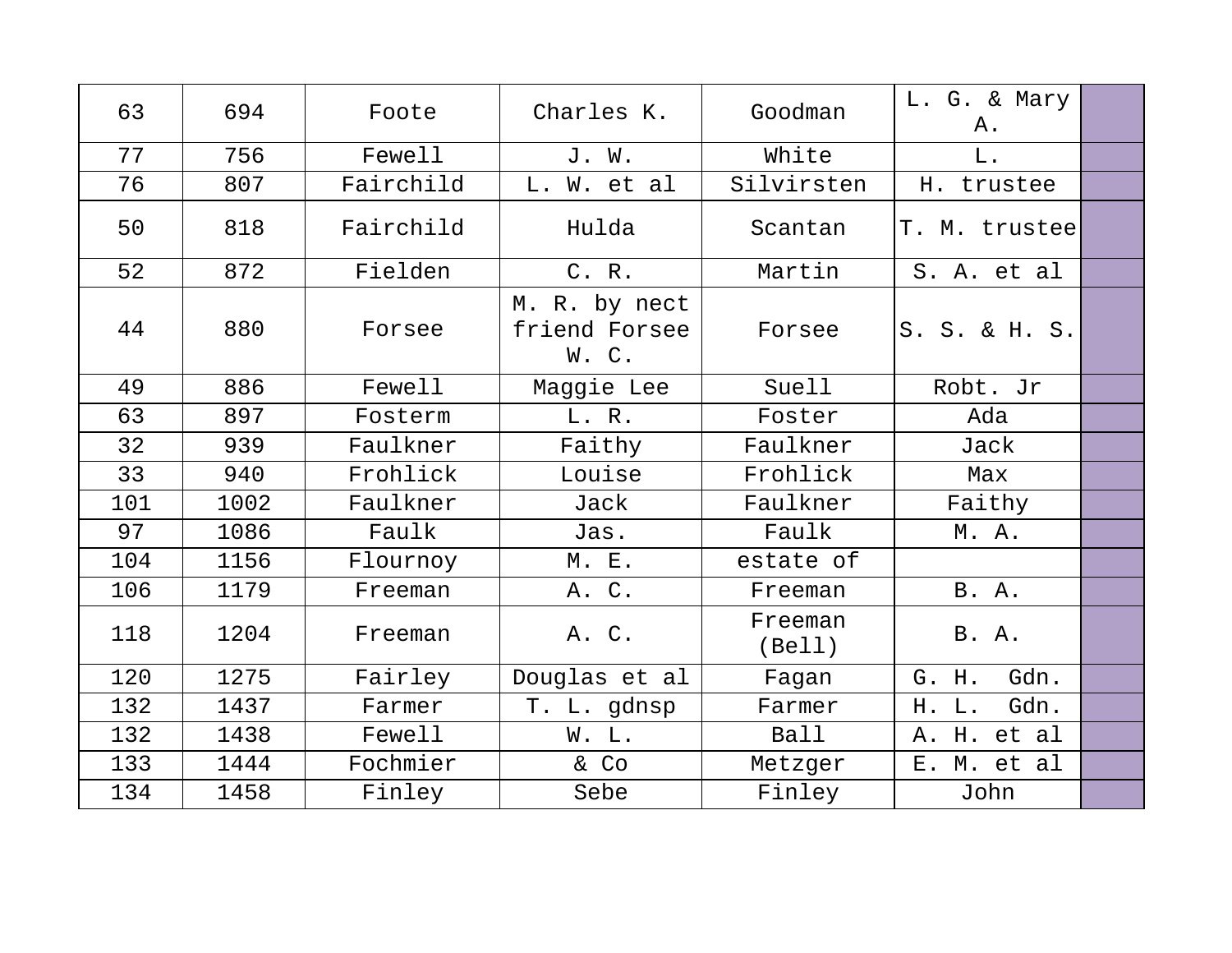| 63  | 694  | Foote     | Charles K.                             | Goodman           | L. G. & Mary<br>Α. |  |
|-----|------|-----------|----------------------------------------|-------------------|--------------------|--|
| 77  | 756  | Fewell    | J. W.                                  | White             | L.                 |  |
| 76  | 807  | Fairchild | L. W. et al                            | Silvirsten        | H. trustee         |  |
| 50  | 818  | Fairchild | Hulda                                  | Scantan           | T. M. trustee      |  |
| 52  | 872  | Fielden   | C. R.                                  | Martin            | S. A. et al        |  |
| 44  | 880  | Forsee    | M. R. by nect<br>friend Forsee<br>W.C. | Forsee            | S. S. & H. S.      |  |
| 49  | 886  | Fewell    | Maggie Lee                             | Suell             | Robt. Jr           |  |
| 63  | 897  | Fosterm   | L. R.                                  | Foster            | Ada                |  |
| 32  | 939  | Faulkner  | Faithy                                 | Faulkner          | Jack               |  |
| 33  | 940  | Frohlick  | Louise                                 | Frohlick          | Max                |  |
| 101 | 1002 | Faulkner  | Jack                                   | Faulkner          | Faithy             |  |
| 97  | 1086 | Faulk     | Jas.                                   | Faulk             | M. A.              |  |
| 104 | 1156 | Flournoy  | M. E.                                  | estate of         |                    |  |
| 106 | 1179 | Freeman   | A. C.                                  | Freeman           | <b>B.</b> A.       |  |
| 118 | 1204 | Freeman   | A. C.                                  | Freeman<br>(Bell) | <b>B.</b> A.       |  |
| 120 | 1275 | Fairley   | Douglas et al                          | Fagan             | Gdn.<br>G. H.      |  |
| 132 | 1437 | Farmer    | T. L. gdnsp                            | Farmer            | Gdn.<br>H. L.      |  |
| 132 | 1438 | Fewell    | W. L.                                  | Ball              | A. H. et al        |  |
| 133 | 1444 | Fochmier  | & Co                                   | Metzger           | E. M. et al        |  |
| 134 | 1458 | Finley    | Sebe                                   | Finley            | John               |  |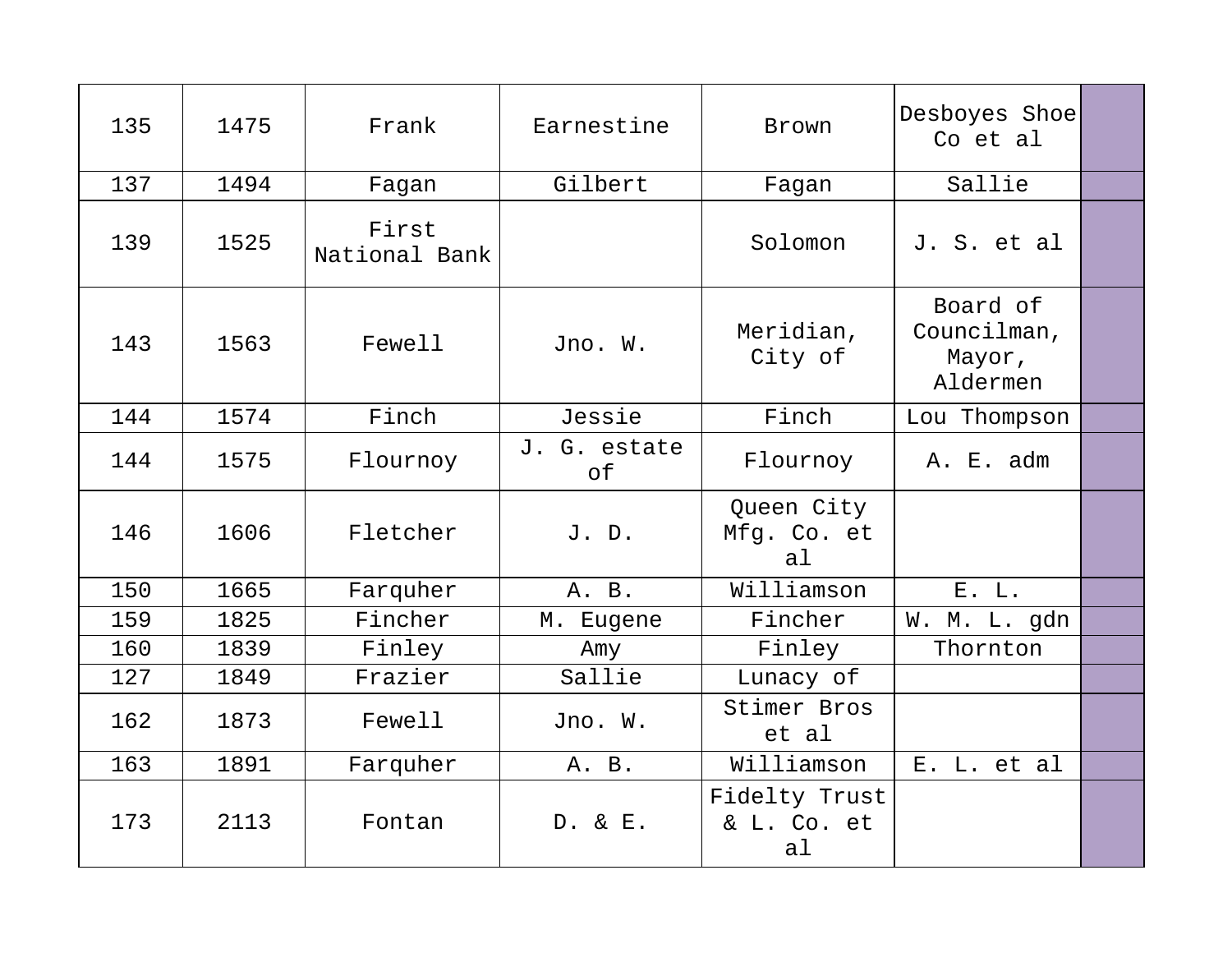| 135 | 1475 | Frank                  | Earnestine         | Brown                              | Desboyes Shoe<br>Co et al                     |  |
|-----|------|------------------------|--------------------|------------------------------------|-----------------------------------------------|--|
| 137 | 1494 | Fagan                  | Gilbert            | Fagan                              | Sallie                                        |  |
| 139 | 1525 | First<br>National Bank |                    | Solomon                            | J. S. et al                                   |  |
| 143 | 1563 | Fewell                 | Jno. W.            | Meridian,<br>City of               | Board of<br>Councilman,<br>Mayor,<br>Aldermen |  |
| 144 | 1574 | Finch                  | Jessie             | Finch                              | Lou Thompson                                  |  |
| 144 | 1575 | Flournoy               | J. G. estate<br>of | Flournoy                           | A. E. adm                                     |  |
| 146 | 1606 | Fletcher               | J. D.              | Queen City<br>Mfg. Co. et<br>al    |                                               |  |
| 150 | 1665 | Farquher               | A. B.              | Williamson                         | E. L.                                         |  |
| 159 | 1825 | Fincher                | M. Eugene          | Fincher                            | W. M. L. gdn                                  |  |
| 160 | 1839 | Finley                 | Amy                | Finley                             | Thornton                                      |  |
| 127 | 1849 | Frazier                | Sallie             | Lunacy of                          |                                               |  |
| 162 | 1873 | Fewell                 | Jno. W.            | Stimer Bros<br>et al               |                                               |  |
| 163 | 1891 | Farquher               | A. B.              | Williamson                         | E. L. et al                                   |  |
| 173 | 2113 | Fontan                 | D. & E.            | Fidelty Trust<br>& L. Co. et<br>al |                                               |  |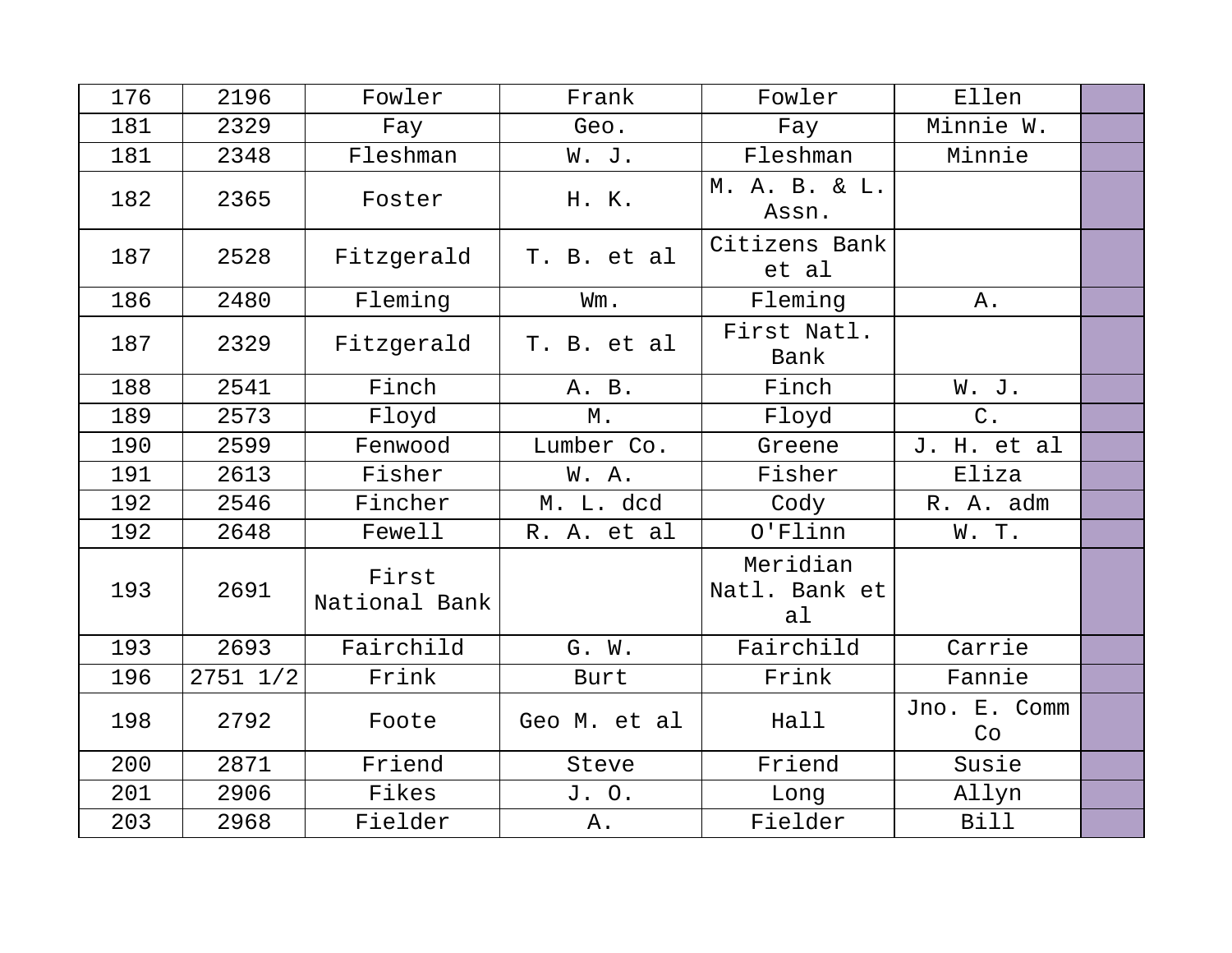| 176 | 2196         | Fowler                 | Frank        | Fowler                          | Ellen              |  |
|-----|--------------|------------------------|--------------|---------------------------------|--------------------|--|
| 181 | 2329         | Fay                    | Geo.         | Fay                             | Minnie W.          |  |
| 181 | 2348         | Fleshman               | W. J.        | Fleshman                        | Minnie             |  |
| 182 | 2365         | Foster                 | H. K.        | M. A. B. & L.<br>Assn.          |                    |  |
| 187 | 2528         | Fitzgerald             | T. B. et al  | Citizens Bank<br>et al          |                    |  |
| 186 | 2480         | Fleming                | Wm.          | Fleming                         | Α.                 |  |
| 187 | 2329         | Fitzgerald             | T. B. et al  | First Natl.<br>Bank             |                    |  |
| 188 | 2541         | Finch                  | A. B.        | Finch                           | W. J.              |  |
| 189 | 2573         | Floyd                  | М.           | Floyd                           | $C$ .              |  |
| 190 | 2599         | Fenwood                | Lumber Co.   | Greene                          | J. H. et al        |  |
| 191 | 2613         | Fisher                 | W. A.        | Fisher                          | Eliza              |  |
| 192 | 2546         | Fincher                | M. L. dcd    | Cody                            | R. A. adm          |  |
| 192 | 2648         | Fewell                 | R. A. et al  | $O'$ Flinn                      | W.T.               |  |
| 193 | 2691         | First<br>National Bank |              | Meridian<br>Natl. Bank et<br>al |                    |  |
| 193 | 2693         | Fairchild              | G. W.        | Fairchild                       | Carrie             |  |
| 196 | $2751$ $1/2$ | Frink                  | Burt         | Frink                           | Fannie             |  |
| 198 | 2792         | Foote                  | Geo M. et al | Hall                            | Jno. E. Comm<br>Co |  |
| 200 | 2871         | Friend                 | Steve        | Friend                          | Susie              |  |
| 201 | 2906         | Fikes                  | J. O.        | Long                            | Allyn              |  |
| 203 | 2968         | Fielder                | Α.           | Fielder                         | <b>Bill</b>        |  |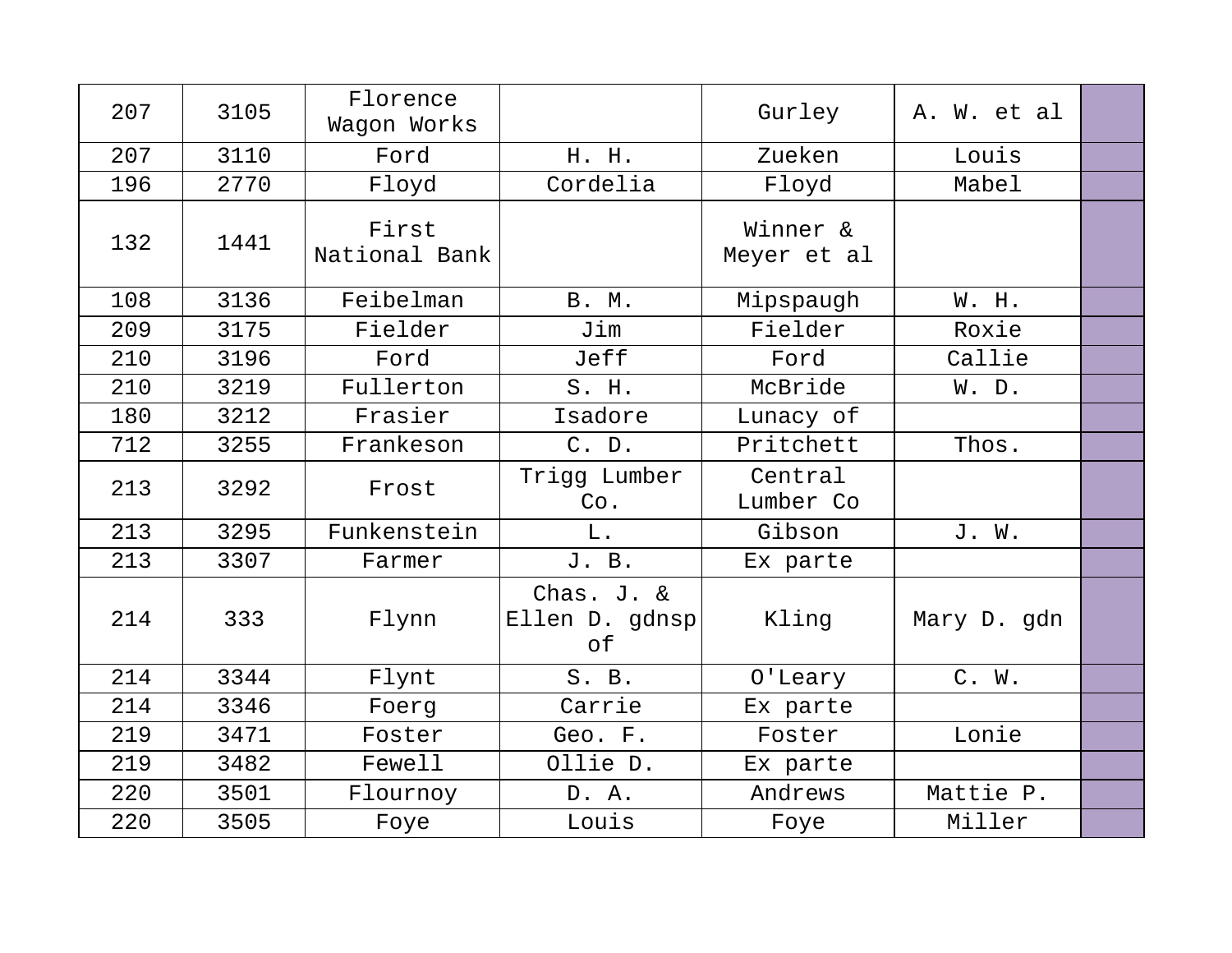| 207 | 3105 | Florence<br>Waqon Works |                                    | Gurley                  | A. W. et al |  |
|-----|------|-------------------------|------------------------------------|-------------------------|-------------|--|
| 207 | 3110 | Ford                    | H. H.                              | Zueken                  | Louis       |  |
| 196 | 2770 | Floyd                   | Cordelia                           | Floyd                   | Mabel       |  |
| 132 | 1441 | First<br>National Bank  |                                    | Winner &<br>Meyer et al |             |  |
| 108 | 3136 | Feibelman               | <b>B. M.</b>                       | Mipspaugh               | W. H.       |  |
| 209 | 3175 | Fielder                 | Jim                                | Fielder                 | Roxie       |  |
| 210 | 3196 | Ford                    | Jeff                               | Ford                    | Callie      |  |
| 210 | 3219 | Fullerton               | S. H.                              | McBride                 | W. D.       |  |
| 180 | 3212 | Frasier                 | Isadore                            | Lunacy of               |             |  |
| 712 | 3255 | Frankeson               | C. D.                              | Pritchett               | Thos.       |  |
| 213 | 3292 | Frost                   | Trigg Lumber<br>Co.                | Central<br>Lumber Co    |             |  |
| 213 | 3295 | Funkenstein             | L.                                 | Gibson                  | J. W.       |  |
| 213 | 3307 | Farmer                  | J. B.                              | Ex parte                |             |  |
| 214 | 333  | Flynn                   | Chas. J. &<br>Ellen D. gdnsp<br>оf | Kling                   | Mary D. gdn |  |
| 214 | 3344 | Flynt                   | S. B.                              | O'Leary                 | C. W.       |  |
| 214 | 3346 | Foerg                   | Carrie                             | Ex parte                |             |  |
| 219 | 3471 | Foster                  | Geo. F.                            | Foster                  | Lonie       |  |
| 219 | 3482 | Fewell                  | Ollie D.                           | Ex parte                |             |  |
| 220 | 3501 | Flournoy                | D. A.                              | Andrews                 | Mattie P.   |  |
| 220 | 3505 | Foye                    | Louis                              | Foye                    | Miller      |  |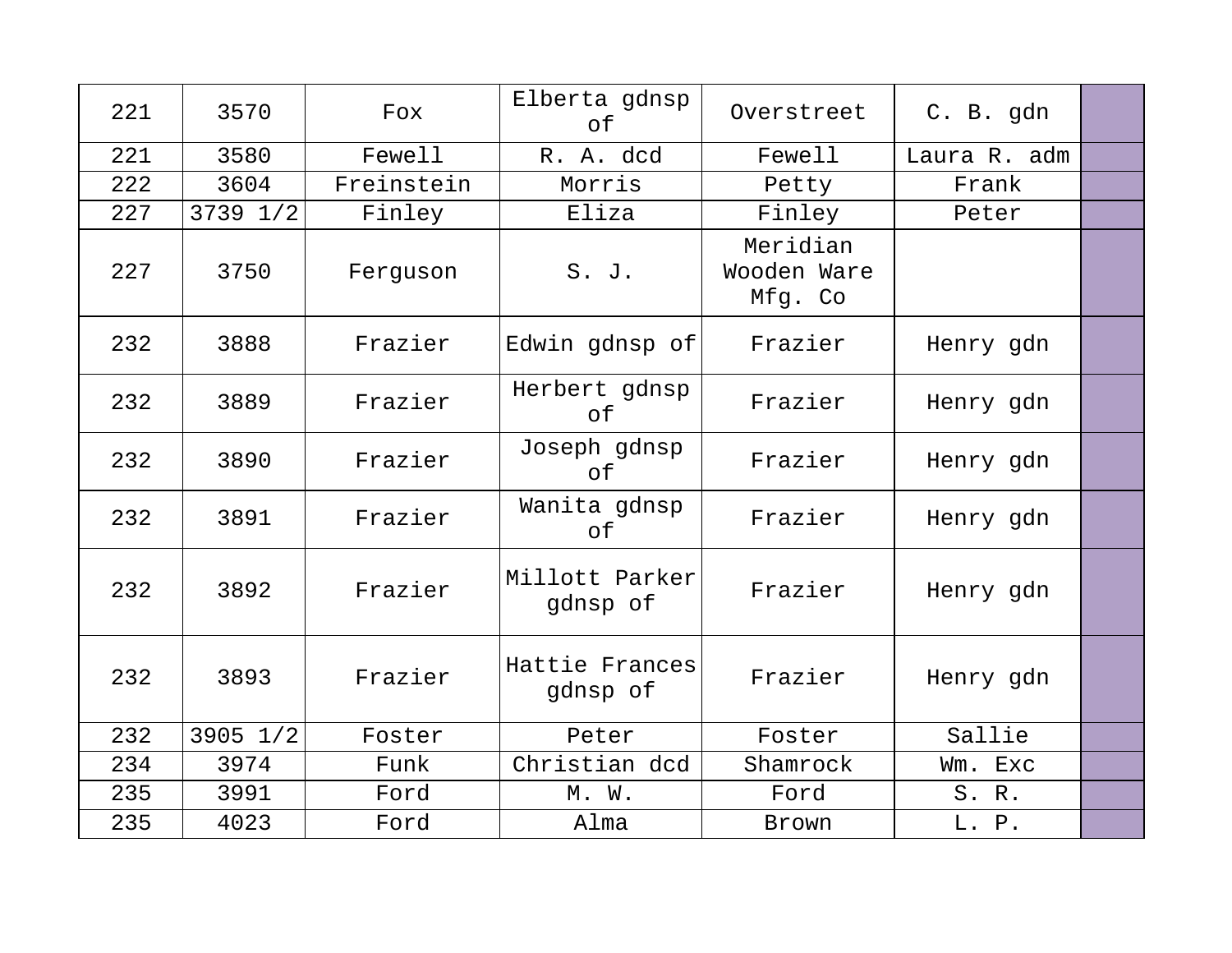| 221 | 3570     | Fox        | Elberta gdnsp<br>of        | Overstreet                         | C. B. gdn    |  |
|-----|----------|------------|----------------------------|------------------------------------|--------------|--|
| 221 | 3580     | Fewell     | R. A. dcd                  | Fewell                             | Laura R. adm |  |
| 222 | 3604     | Freinstein | Morris                     | Petty                              | Frank        |  |
| 227 | 3739 1/2 | Finley     | Eliza                      | Finley                             | Peter        |  |
| 227 | 3750     | Ferguson   | S. J.                      | Meridian<br>Wooden Ware<br>Mfg. Co |              |  |
| 232 | 3888     | Frazier    | Edwin gdnsp of             | Frazier                            | Henry gdn    |  |
| 232 | 3889     | Frazier    | Herbert gdnsp<br>of        | Frazier                            | Henry gdn    |  |
| 232 | 3890     | Frazier    | Joseph gdnsp<br>of         | Frazier                            | Henry gdn    |  |
| 232 | 3891     | Frazier    | Wanita gdnsp<br>of         | Frazier                            | Henry gdn    |  |
| 232 | 3892     | Frazier    | Millott Parker<br>gdnsp of | Frazier                            | Henry gdn    |  |
| 232 | 3893     | Frazier    | Hattie Frances<br>gdnsp of | Frazier                            | Henry gdn    |  |
| 232 | 3905 1/2 | Foster     | Peter                      | Foster                             | Sallie       |  |
| 234 | 3974     | Funk       | Christian dcd              | Shamrock                           | Wm. Exc      |  |
| 235 | 3991     | Ford       | M. W.                      | Ford                               | S.R.         |  |
| 235 | 4023     | Ford       | Alma                       | Brown                              | L. P.        |  |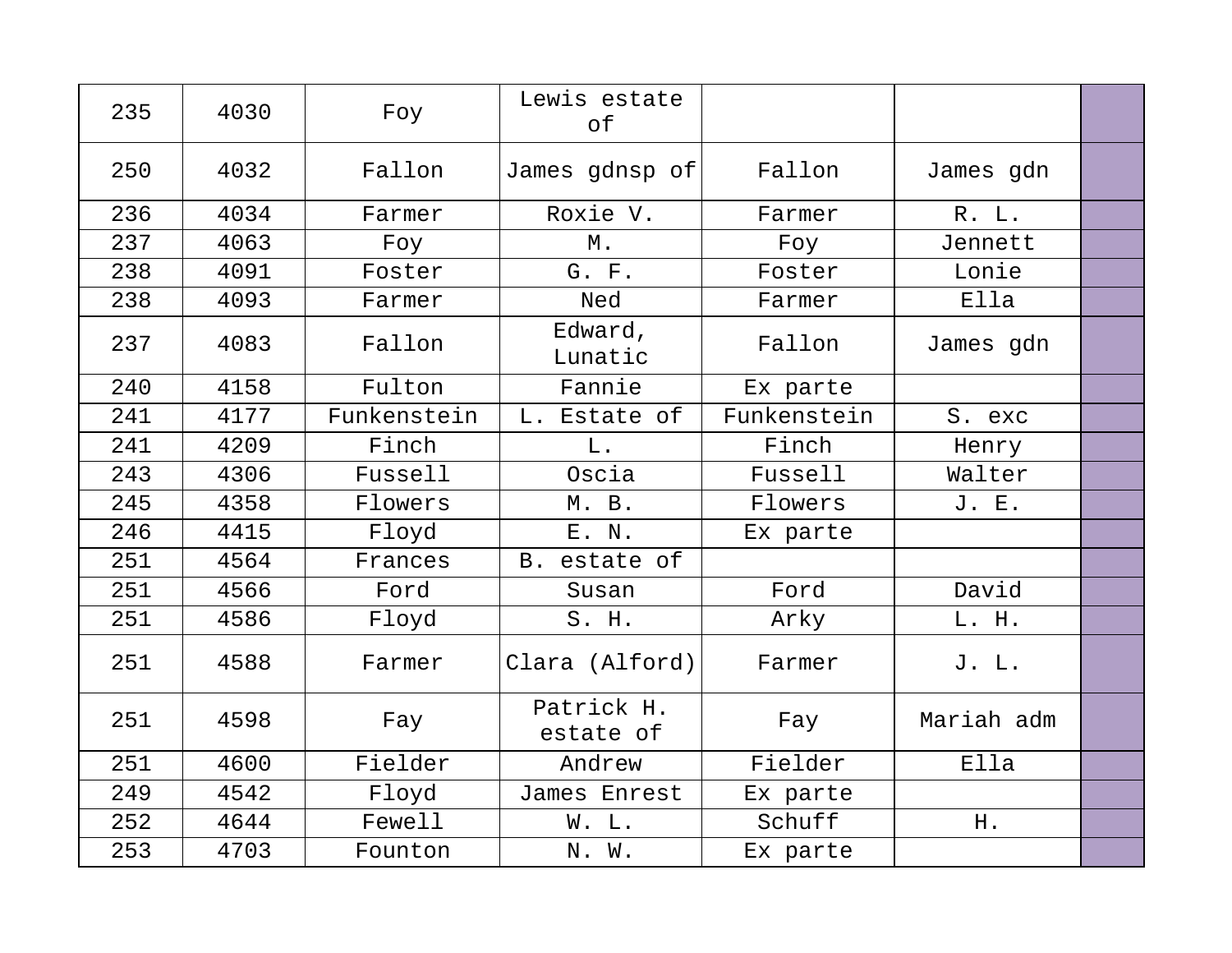| 235 | 4030 | Foy         | Lewis estate<br>оf      |             |            |  |
|-----|------|-------------|-------------------------|-------------|------------|--|
| 250 | 4032 | Fallon      | James gdnsp of          | Fallon      | James gdn  |  |
| 236 | 4034 | Farmer      | Roxie V.                | Farmer      | R. L.      |  |
| 237 | 4063 | Foy         | $M$ .                   | Foy         | Jennett    |  |
| 238 | 4091 | Foster      | G. F.                   | Foster      | Lonie      |  |
| 238 | 4093 | Farmer      | Ned                     | Farmer      | Ella       |  |
| 237 | 4083 | Fallon      | Edward,<br>Lunatic      | Fallon      | James gdn  |  |
| 240 | 4158 | Fulton      | Fannie                  | Ex parte    |            |  |
| 241 | 4177 | Funkenstein | L. Estate of            | Funkenstein | S. exc     |  |
| 241 | 4209 | Finch       | L.                      | Finch       | Henry      |  |
| 243 | 4306 | Fussell     | Oscia                   | Fussell     | Walter     |  |
| 245 | 4358 | Flowers     | M. B.                   | Flowers     | J. E.      |  |
| 246 | 4415 | Floyd       | E. N.                   | Ex parte    |            |  |
| 251 | 4564 | Frances     | B. estate of            |             |            |  |
| 251 | 4566 | Ford        | Susan                   | Ford        | David      |  |
| 251 | 4586 | Floyd       | S. H.                   | Arky        | L. H.      |  |
| 251 | 4588 | Farmer      | Clara (Alford)          | Farmer      | J. L.      |  |
| 251 | 4598 | Fay         | Patrick H.<br>estate of | Fay         | Mariah adm |  |
| 251 | 4600 | Fielder     | Andrew                  | Fielder     | Ella       |  |
| 249 | 4542 | Floyd       | James Enrest            | Ex parte    |            |  |
| 252 | 4644 | Fewell      | W. L.                   | Schuff      | H.         |  |
| 253 | 4703 | Founton     | N. W.                   | Ex parte    |            |  |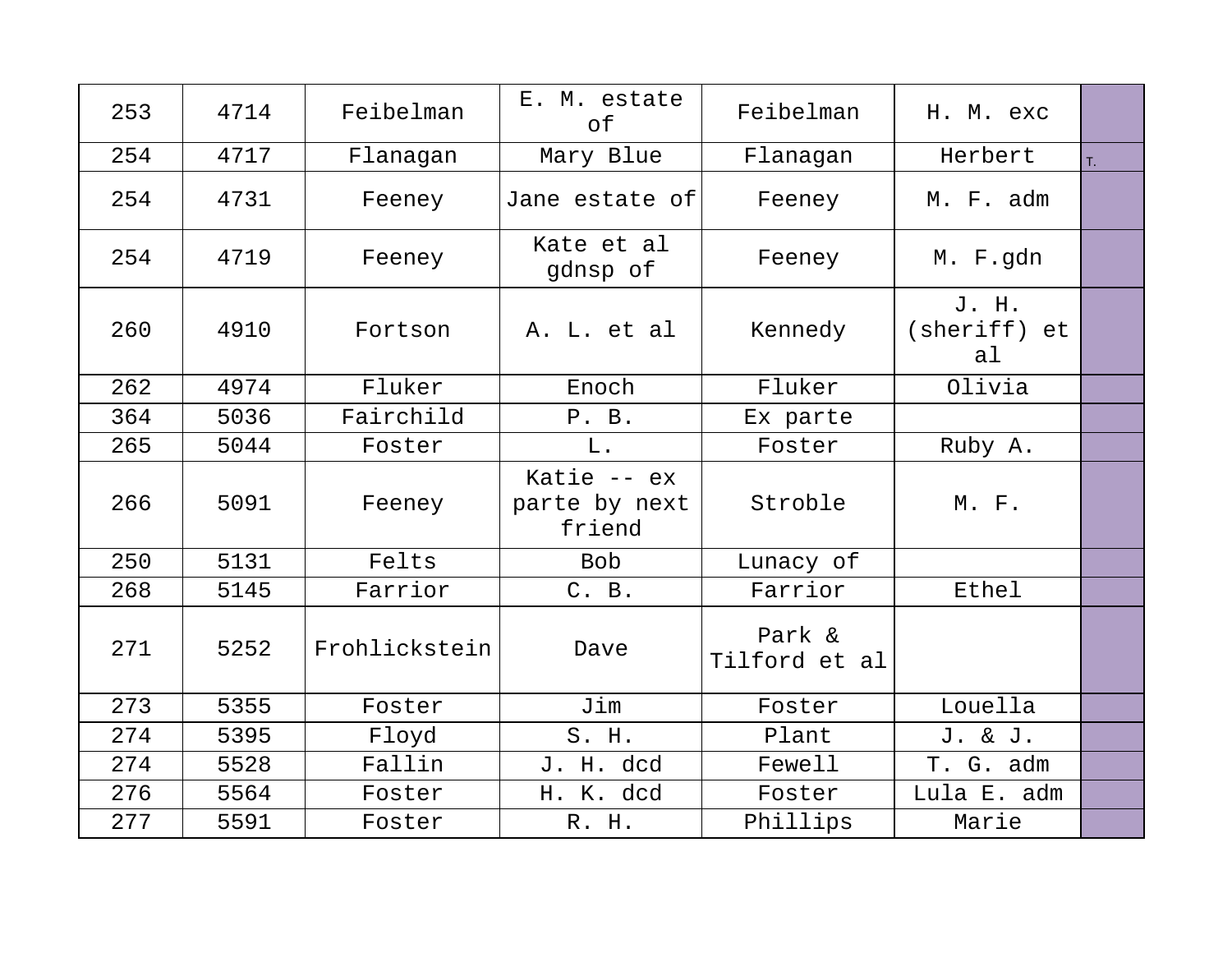| 253 | 4714 | Feibelman     | E. M. estate<br>of                      | Feibelman               | H. M. exc                   |    |
|-----|------|---------------|-----------------------------------------|-------------------------|-----------------------------|----|
| 254 | 4717 | Flanagan      | Mary Blue                               | Flanagan                | Herbert                     | T. |
| 254 | 4731 | Feeney        | Jane estate of                          | Feeney                  | M. F. adm                   |    |
| 254 | 4719 | Feeney        | Kate et al<br>gdnsp of                  | Feeney                  | M. F.gdn                    |    |
| 260 | 4910 | Fortson       | A. L. et al                             | Kennedy                 | J. H.<br>(sheriff) et<br>al |    |
| 262 | 4974 | Fluker        | Enoch                                   | Fluker                  | Olivia                      |    |
| 364 | 5036 | Fairchild     | P. B.                                   | Ex parte                |                             |    |
| 265 | 5044 | Foster        | L.                                      | Foster                  | Ruby A.                     |    |
| 266 | 5091 | Feeney        | Katie $-$ ex<br>parte by next<br>friend | Stroble                 | M. F.                       |    |
| 250 | 5131 | Felts         | <b>Bob</b>                              | Lunacy of               |                             |    |
| 268 | 5145 | Farrior       | C. B.                                   | Farrior                 | Ethel                       |    |
| 271 | 5252 | Frohlickstein | Dave                                    | Park &<br>Tilford et al |                             |    |
| 273 | 5355 | Foster        | Jim                                     | Foster                  | Louella                     |    |
| 274 | 5395 | Floyd         | S. H.                                   | Plant                   | J. & J.                     |    |
| 274 | 5528 | Fallin        | J. H. dcd                               | Fewell                  | T. G. adm                   |    |
| 276 | 5564 | Foster        | H. K. dcd                               | Foster                  | Lula E. adm                 |    |
| 277 | 5591 | Foster        | R. H.                                   | Phillips                | Marie                       |    |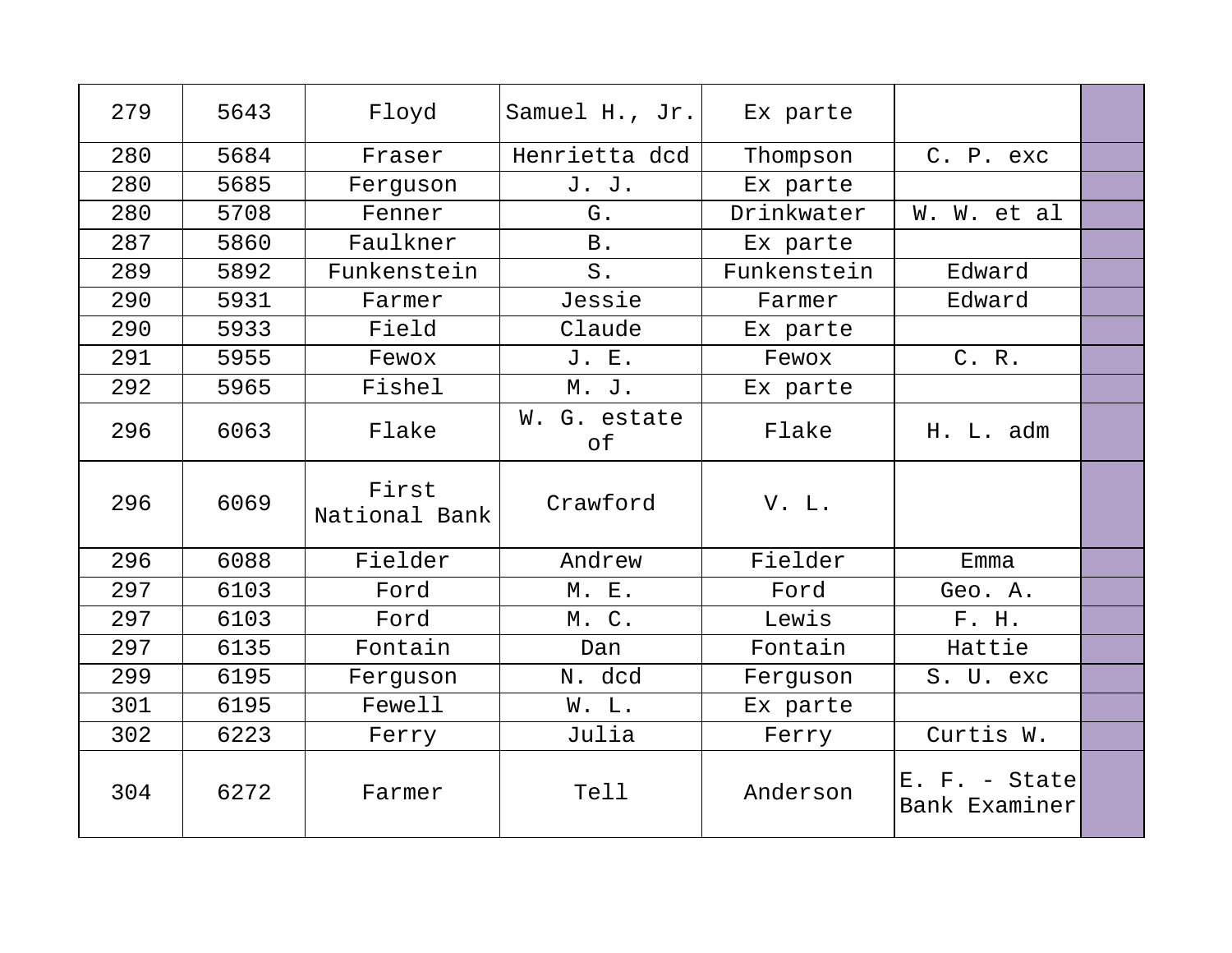| 279 | 5643 | Floyd                  | Samuel H., Jr.     | Ex parte    |                                  |  |
|-----|------|------------------------|--------------------|-------------|----------------------------------|--|
| 280 | 5684 | Fraser                 | Henrietta dcd      | Thompson    | C. P. exc                        |  |
| 280 | 5685 | Ferguson               | J. J.              | Ex parte    |                                  |  |
| 280 | 5708 | Fenner                 | G.                 | Drinkwater  | W. W. et al                      |  |
| 287 | 5860 | Faulkner               | <b>B</b> .         | Ex parte    |                                  |  |
| 289 | 5892 | Funkenstein            | $S$ .              | Funkenstein | Edward                           |  |
| 290 | 5931 | Farmer                 | Jessie             | Farmer      | Edward                           |  |
| 290 | 5933 | Field                  | Claude             | Ex parte    |                                  |  |
| 291 | 5955 | Fewox                  | J. E.              | Fewox       | C. R.                            |  |
| 292 | 5965 | Fishel                 | M. J.              | Ex parte    |                                  |  |
| 296 | 6063 | Flake                  | W. G. estate<br>оf | Flake       | H. L. adm                        |  |
| 296 | 6069 | First<br>National Bank | Crawford           | V. L.       |                                  |  |
| 296 | 6088 | Fielder                | Andrew             | Fielder     | Emma                             |  |
| 297 | 6103 | Ford                   | M. E.              | Ford        | Geo. A.                          |  |
| 297 | 6103 | Ford                   | M. C.              | Lewis       | F. H.                            |  |
| 297 | 6135 | Fontain                | Dan                | Fontain     | Hattie                           |  |
| 299 | 6195 | Ferguson               | N. dcd             | Ferguson    | S. U. exc                        |  |
| 301 | 6195 | Fewell                 | W. L.              | Ex parte    |                                  |  |
| 302 | 6223 | Ferry                  | Julia              | Ferry       | Curtis W.                        |  |
| 304 | 6272 | Farmer                 | Tell               | Anderson    | $E. F. - State$<br>Bank Examiner |  |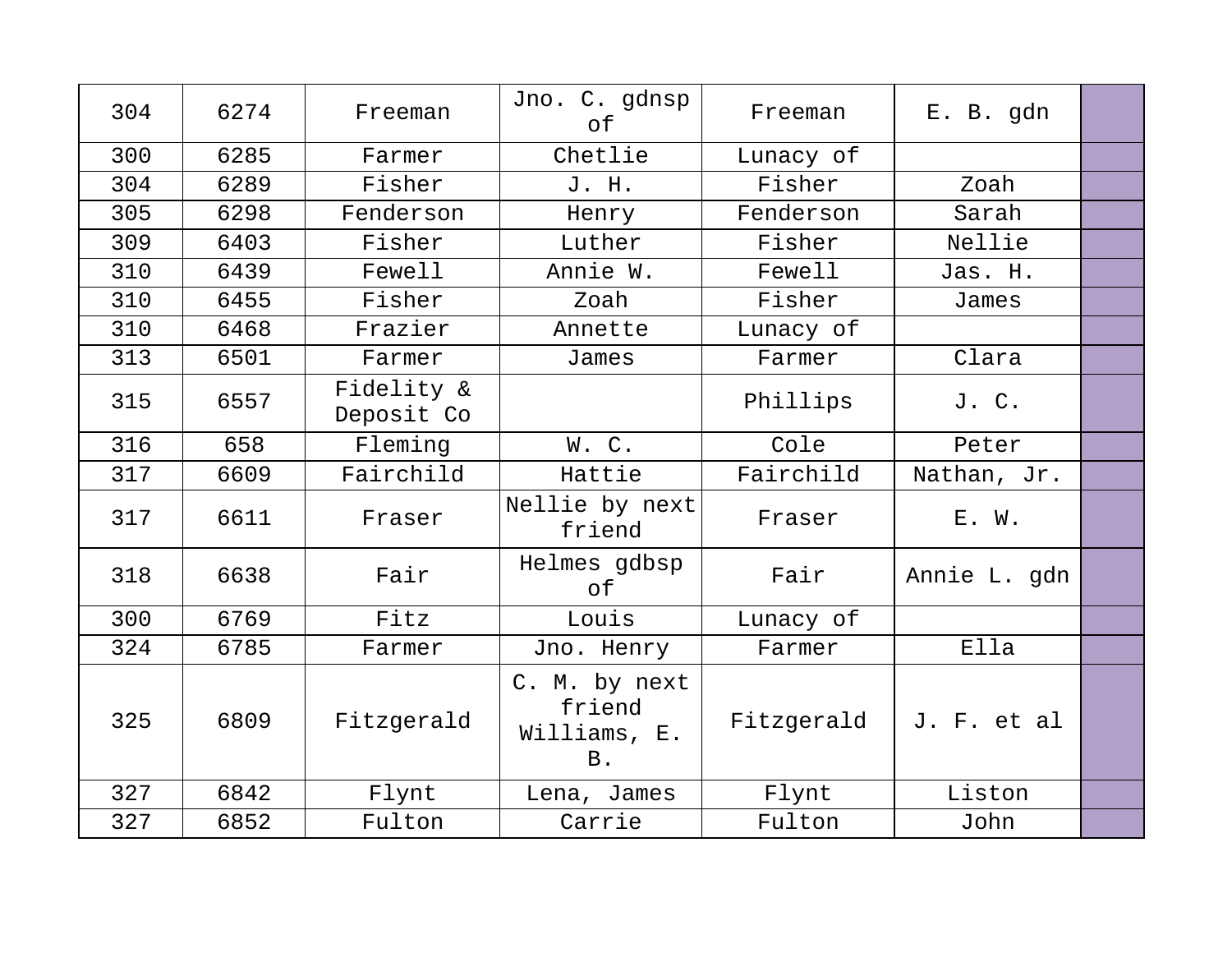| 304 | 6274 | Freeman                  | Jno. C. gdnsp<br>оf                           | Freeman    | E. B. gdn    |  |
|-----|------|--------------------------|-----------------------------------------------|------------|--------------|--|
| 300 | 6285 | Farmer                   | Chetlie                                       | Lunacy of  |              |  |
| 304 | 6289 | Fisher                   | J. H.                                         | Fisher     | Zoah         |  |
| 305 | 6298 | Fenderson                | Henry                                         | Fenderson  | Sarah        |  |
| 309 | 6403 | Fisher                   | Luther                                        | Fisher     | Nellie       |  |
| 310 | 6439 | Fewell                   | Annie W.                                      | Fewell     | Jas. H.      |  |
| 310 | 6455 | Fisher                   | Zoah                                          | Fisher     | James        |  |
| 310 | 6468 | Frazier                  | Annette                                       | Lunacy of  |              |  |
| 313 | 6501 | Farmer                   | James                                         | Farmer     | Clara        |  |
| 315 | 6557 | Fidelity &<br>Deposit Co |                                               | Phillips   | J. C.        |  |
| 316 | 658  | Fleming                  | W.C.                                          | Cole       | Peter        |  |
| 317 | 6609 | Fairchild                | Hattie                                        | Fairchild  | Nathan, Jr.  |  |
| 317 | 6611 | Fraser                   | Nellie by next<br>friend                      | Fraser     | E. W.        |  |
| 318 | 6638 | Fair                     | Helmes gdbsp<br>of                            | Fair       | Annie L. gdn |  |
| 300 | 6769 | Fitz                     | Louis                                         | Lunacy of  |              |  |
| 324 | 6785 | Farmer                   | Jno. Henry                                    | Farmer     | Ella         |  |
| 325 | 6809 | Fitzgerald               | C. M. by next<br>friend<br>Williams, E.<br>B. | Fitzgerald | J. F. et al  |  |
| 327 | 6842 | Flynt                    | Lena, James                                   | Flynt      | Liston       |  |
| 327 | 6852 | Fulton                   | Carrie                                        | Fulton     | John         |  |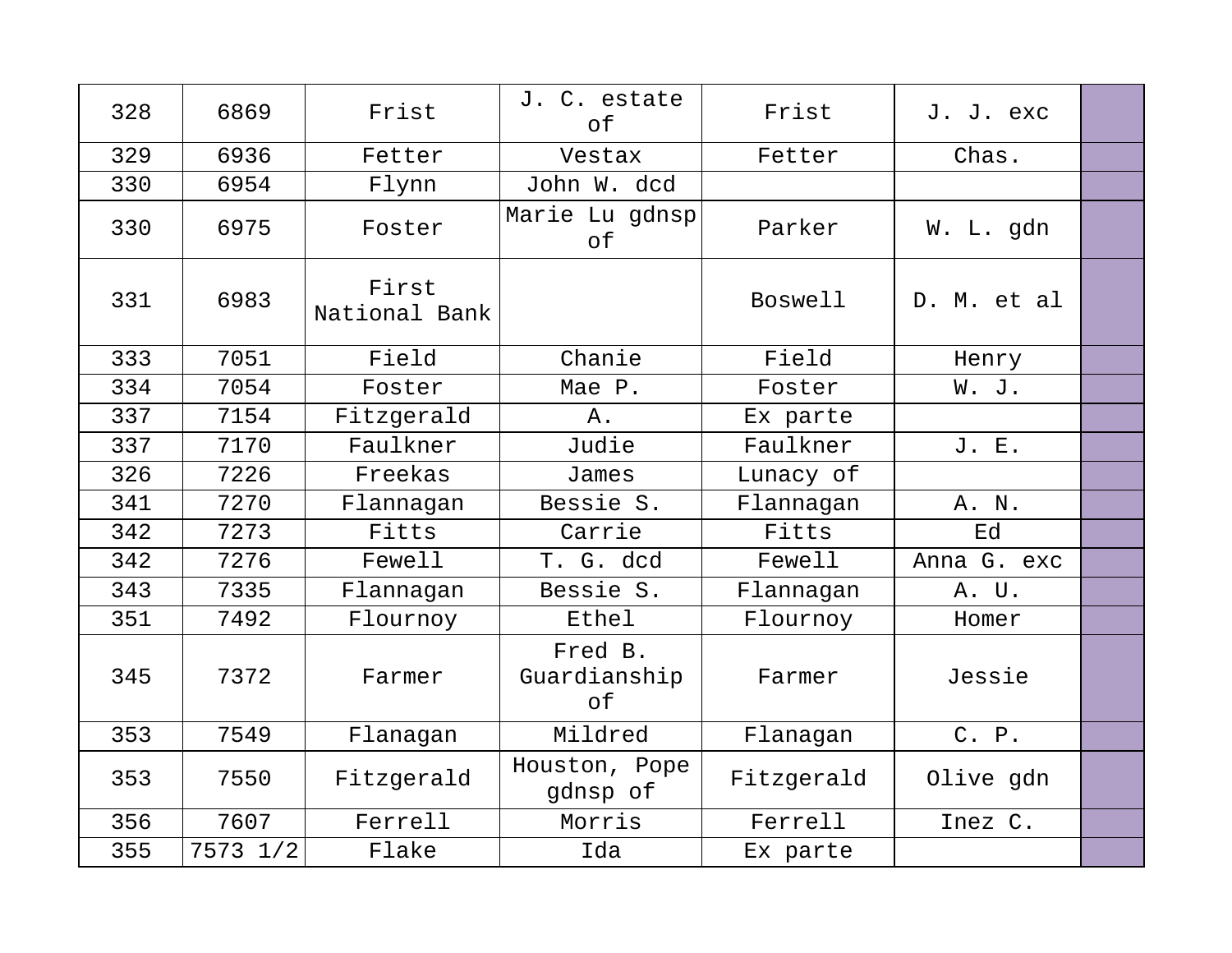| 328 | 6869     | Frist                  | J. C. estate<br>of            | Frist          | J. J. exc   |  |
|-----|----------|------------------------|-------------------------------|----------------|-------------|--|
| 329 | 6936     | Fetter                 | Vestax                        | Fetter         | Chas.       |  |
| 330 | 6954     | Flynn                  | John W. dcd                   |                |             |  |
| 330 | 6975     | Foster                 | Marie Lu gdnsp<br>of          | Parker         | W. L. gdn   |  |
| 331 | 6983     | First<br>National Bank |                               | <b>Boswell</b> | D. M. et al |  |
| 333 | 7051     | Field                  | Chanie                        | Field          | Henry       |  |
| 334 | 7054     | Foster                 | Mae P.                        | Foster         | W. J.       |  |
| 337 | 7154     | Fitzgerald             | Α.                            | Ex parte       |             |  |
| 337 | 7170     | Faulkner               | Judie                         | Faulkner       | J. E.       |  |
| 326 | 7226     | Freekas                | James                         | Lunacy of      |             |  |
| 341 | 7270     | Flannagan              | Bessie S.                     | Flannagan      | A. N.       |  |
| 342 | 7273     | Fitts                  | Carrie                        | Fitts          | Ed          |  |
| 342 | 7276     | Fewell                 | T. G. dcd                     | Fewell         | Anna G. exc |  |
| 343 | 7335     | Flannagan              | Bessie S.                     | Flannagan      | A. U.       |  |
| 351 | 7492     | Flournoy               | Ethel                         | Flournoy       | Homer       |  |
| 345 | 7372     | Farmer                 | Fred B.<br>Guardianship<br>of | Farmer         | Jessie      |  |
| 353 | 7549     | Flanagan               | Mildred                       | Flanagan       | C. P.       |  |
| 353 | 7550     | Fitzgerald             | Houston, Pope<br>gdnsp of     | Fitzgerald     | Olive gdn   |  |
| 356 | 7607     | Ferrell                | Morris                        | Ferrell        | Inez C.     |  |
| 355 | 7573 1/2 | Flake                  | Ida                           | Ex parte       |             |  |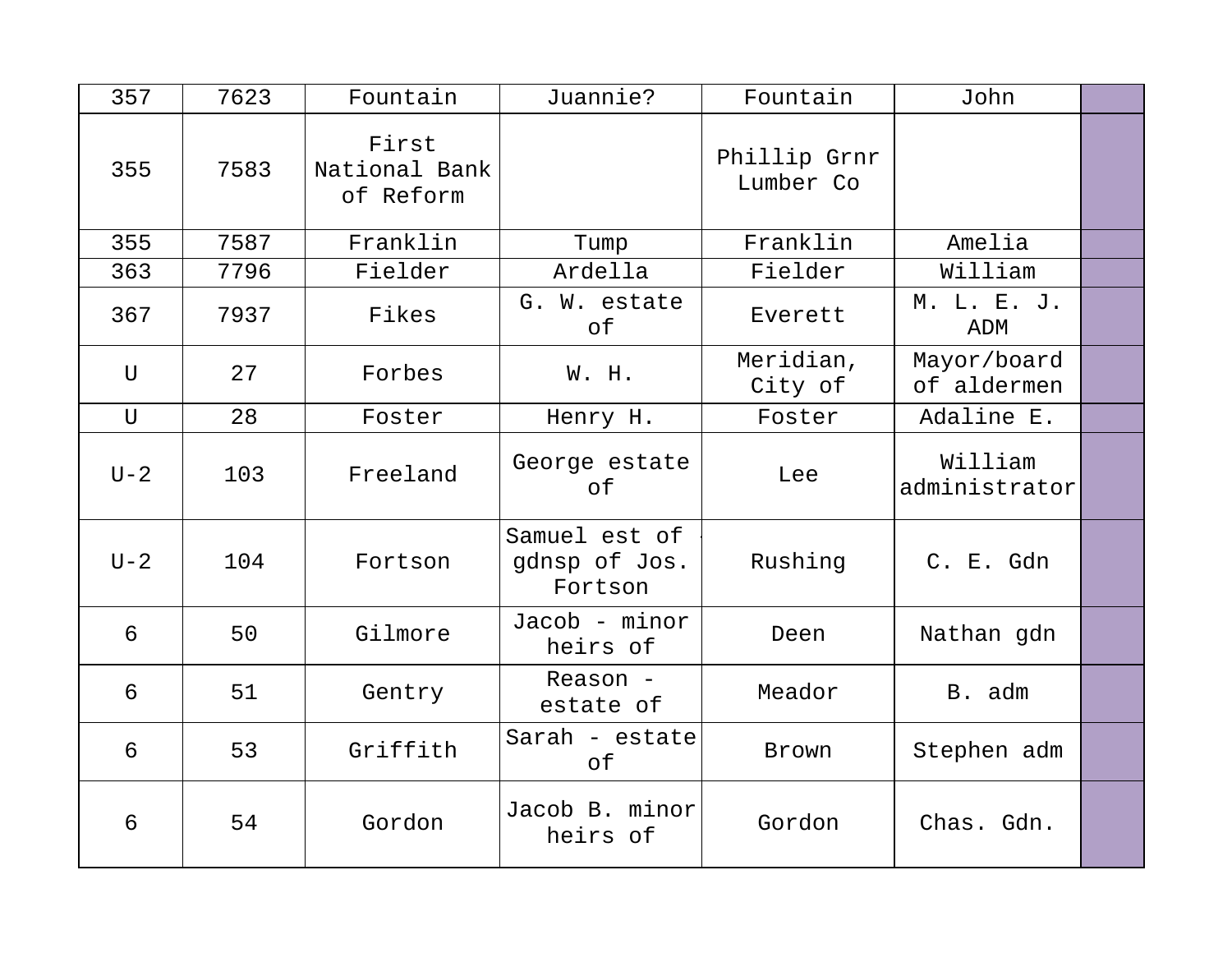| 357         | 7623 | Fountain                            | Juannie?                                  | Fountain                  | John                       |  |
|-------------|------|-------------------------------------|-------------------------------------------|---------------------------|----------------------------|--|
| 355         | 7583 | First<br>National Bank<br>of Reform |                                           | Phillip Grnr<br>Lumber Co |                            |  |
| 355         | 7587 | Franklin                            | Tump                                      | Franklin                  | Amelia                     |  |
| 363         | 7796 | Fielder                             | Ardella                                   | Fielder                   | William                    |  |
| 367         | 7937 | Fikes                               | G. W. estate<br>of                        | Everett                   | M. L. E. J.<br>ADM         |  |
| U           | 27   | Forbes                              | W. H.                                     | Meridian,<br>City of      | Mayor/board<br>of aldermen |  |
| $\mathbf U$ | 28   | Foster                              | Henry H.                                  | Foster                    | Adaline E.                 |  |
| $U-2$       | 103  | Freeland                            | George estate<br>оf                       | Lee                       | William<br>administrator   |  |
| $U-2$       | 104  | Fortson                             | Samuel est of<br>gdnsp of Jos.<br>Fortson | Rushing                   | C. E. Gdn                  |  |
| 6           | 50   | Gilmore                             | Jacob - minor<br>heirs of                 | Deen                      | Nathan gdn                 |  |
| 6           | 51   | Gentry                              | Reason -<br>estate of                     | Meador                    | B. adm                     |  |
| 6           | 53   | Griffith                            | Sarah - estate<br>оf                      | Brown                     | Stephen adm                |  |
| 6           | 54   | Gordon                              | Jacob B. minor<br>heirs of                | Gordon                    | Chas. Gdn.                 |  |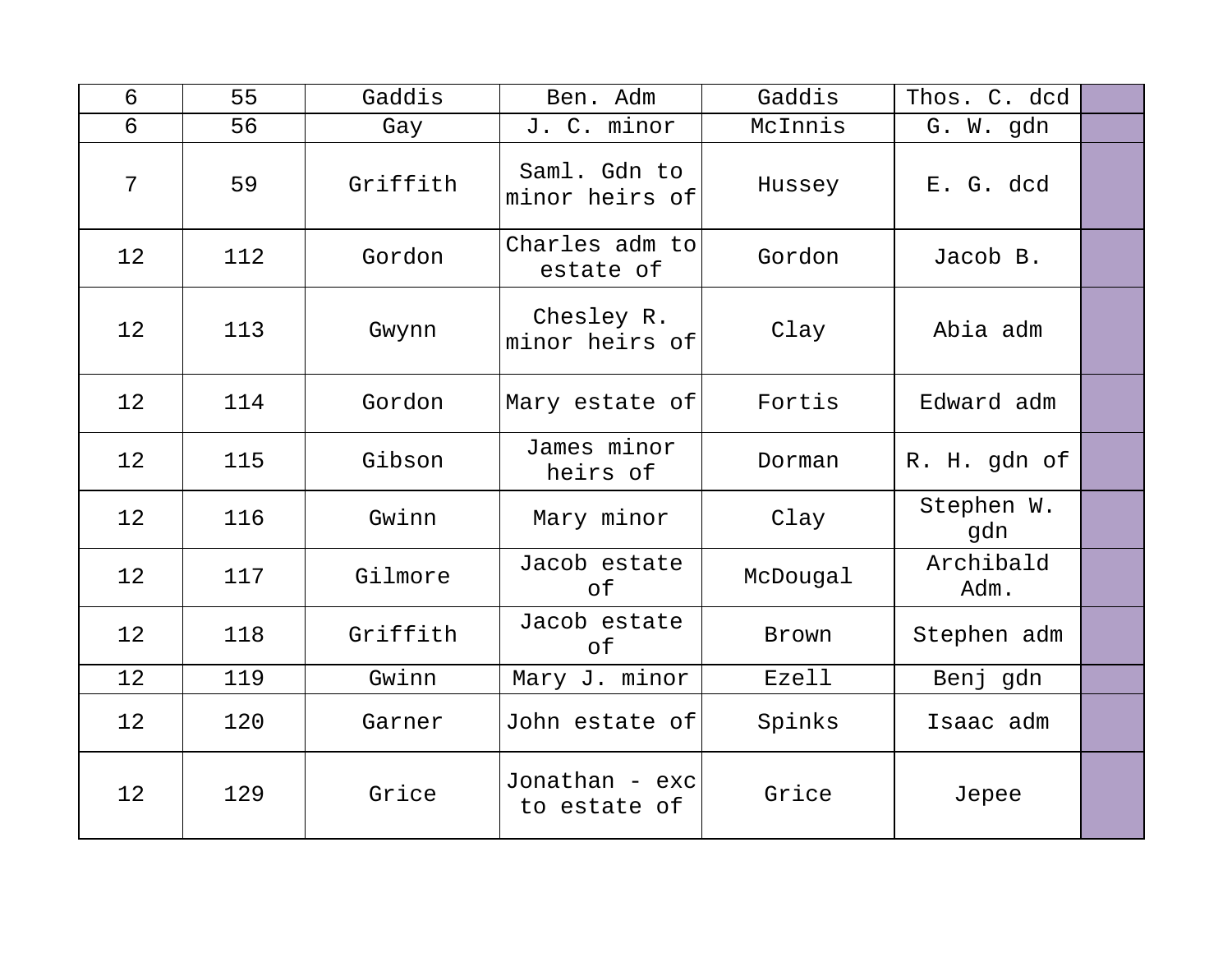| 6  | 55  | Gaddis   | Ben. Adm                       | Gaddis   | Thos. C. dcd      |  |
|----|-----|----------|--------------------------------|----------|-------------------|--|
| 6  | 56  | Gay      | J. C. minor                    | McInnis  | G. W. gdn         |  |
| 7  | 59  | Griffith | Saml. Gdn to<br>minor heirs of | Hussey   | E. G. dcd         |  |
| 12 | 112 | Gordon   | Charles adm to<br>estate of    | Gordon   | Jacob B.          |  |
| 12 | 113 | Gwynn    | Chesley R.<br>minor heirs of   | Clay     | Abia adm          |  |
| 12 | 114 | Gordon   | Mary estate of                 | Fortis   | Edward adm        |  |
| 12 | 115 | Gibson   | James minor<br>heirs of        | Dorman   | R. H. gdn of      |  |
| 12 | 116 | Gwinn    | Mary minor                     | Clay     | Stephen W.<br>gdn |  |
| 12 | 117 | Gilmore  | Jacob estate<br>of             | McDougal | Archibald<br>Adm. |  |
| 12 | 118 | Griffith | Jacob estate<br>of             | Brown    | Stephen adm       |  |
| 12 | 119 | Gwinn    | Mary J. minor                  | Ezell    | Benj gdn          |  |
| 12 | 120 | Garner   | John estate of                 | Spinks   | Isaac adm         |  |
| 12 | 129 | Grice    | Jonathan - exc<br>to estate of | Grice    | Jepee             |  |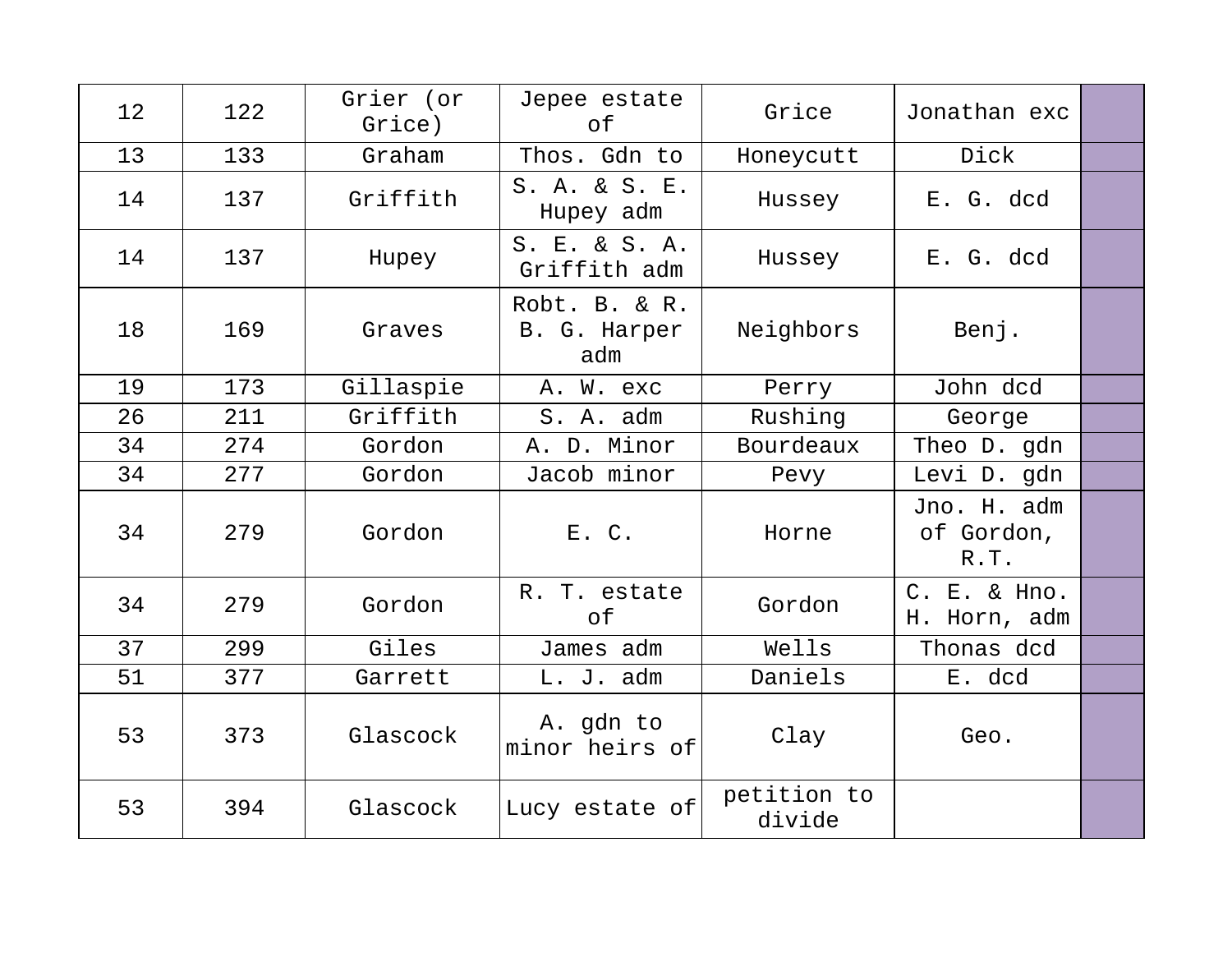| 12 | 122 | Grier (or<br>Grice) | Jepee estate<br>of                   | Grice                 | Jonathan exc                      |  |
|----|-----|---------------------|--------------------------------------|-----------------------|-----------------------------------|--|
| 13 | 133 | Graham              | Thos. Gdn to                         | Honeycutt             | Dick                              |  |
| 14 | 137 | Griffith            | S. A. & S. E.<br>Hupey adm           | Hussey                | E. G. dcd                         |  |
| 14 | 137 | Hupey               | S. E. & S. A.<br>Griffith adm        | Hussey                | E. G. dcd                         |  |
| 18 | 169 | Graves              | Robt. B. & R.<br>B. G. Harper<br>adm | Neighbors             | Benj.                             |  |
| 19 | 173 | Gillaspie           | A. W. exc                            | Perry                 | John dcd                          |  |
| 26 | 211 | Griffith            | S. A. adm                            | Rushing               | George                            |  |
| 34 | 274 | Gordon              | A. D. Minor                          | Bourdeaux             | Theo D. gdn                       |  |
| 34 | 277 | Gordon              | Jacob minor                          | Pevy                  | Levi D. gdn                       |  |
| 34 | 279 | Gordon              | E. C.                                | Horne                 | Jno. H. adm<br>of Gordon,<br>R.T. |  |
| 34 | 279 | Gordon              | R. T. estate<br>оf                   | Gordon                | C. E. & Hno.<br>H. Horn, adm      |  |
| 37 | 299 | Giles               | James adm                            | Wells                 | Thonas dcd                        |  |
| 51 | 377 | Garrett             | L. J. adm                            | Daniels               | E. dcd                            |  |
| 53 | 373 | Glascock            | A. gdn to<br>minor heirs of          | Clay                  | Geo.                              |  |
| 53 | 394 | Glascock            | Lucy estate of                       | petition to<br>divide |                                   |  |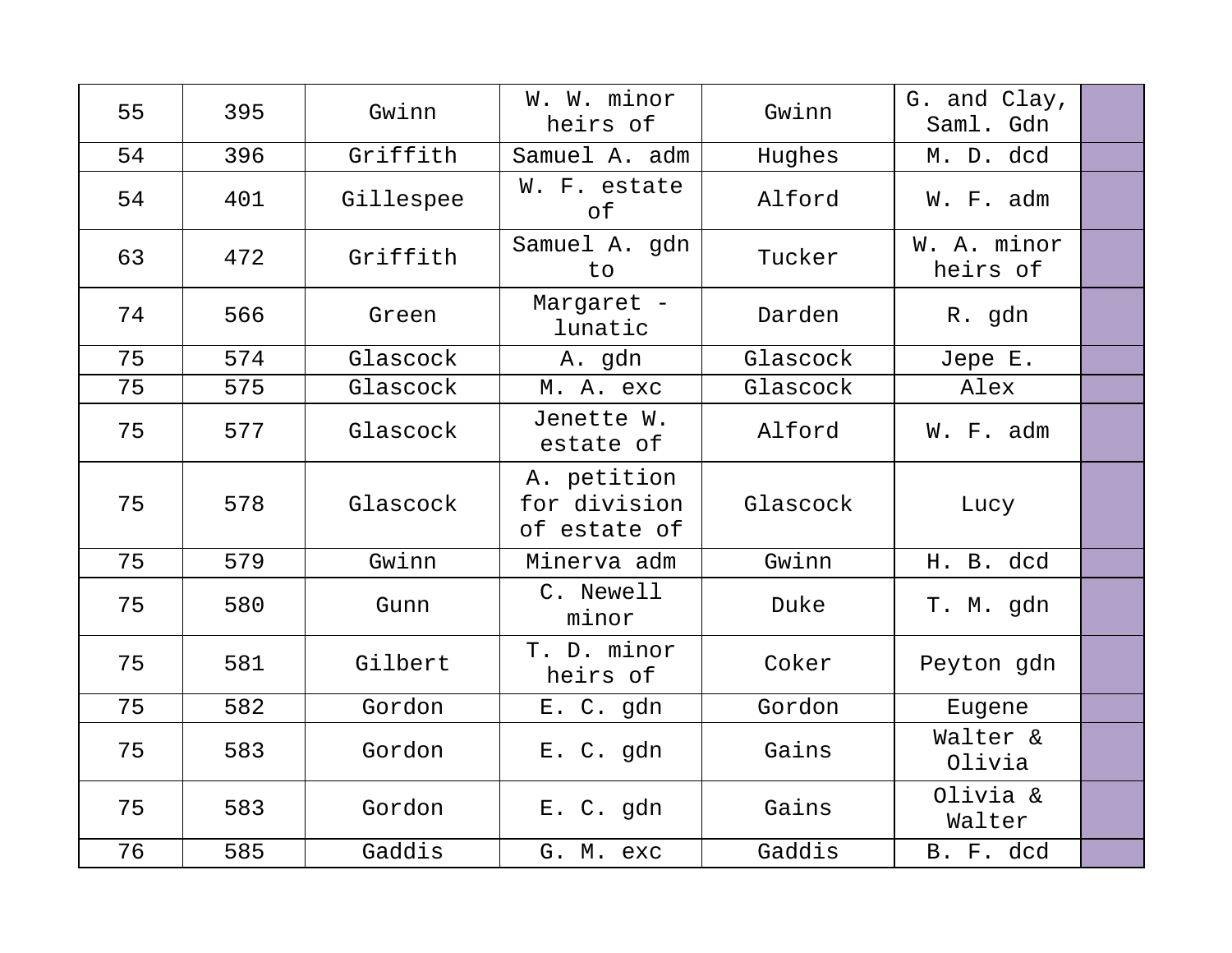| 55 | 395 | Gwinn     | W. W. minor<br>heirs of                     | Gwinn    | G. and Clay,<br>Saml. Gdn |  |
|----|-----|-----------|---------------------------------------------|----------|---------------------------|--|
| 54 | 396 | Griffith  | Samuel A. adm                               | Hughes   | M. D. dcd                 |  |
| 54 | 401 | Gillespee | W. F. estate<br>of                          | Alford   | W. F. adm                 |  |
| 63 | 472 | Griffith  | Samuel A. gdn<br>to                         | Tucker   | W. A. minor<br>heirs of   |  |
| 74 | 566 | Green     | Margaret -<br>lunatic                       | Darden   | R. gdn                    |  |
| 75 | 574 | Glascock  | A. gdn                                      | Glascock | Jepe E.                   |  |
| 75 | 575 | Glascock  | M. A. exc                                   | Glascock | Alex                      |  |
| 75 | 577 | Glascock  | Jenette W.<br>estate of                     | Alford   | W. F. adm                 |  |
| 75 | 578 | Glascock  | A. petition<br>for division<br>of estate of | Glascock | Lucy                      |  |
| 75 | 579 | Gwinn     | Minerva adm                                 | Gwinn    | H. B. dcd                 |  |
| 75 | 580 | Gunn      | C. Newell<br>minor                          | Duke     | T. M. gdn                 |  |
| 75 | 581 | Gilbert   | T. D. minor<br>heirs of                     | Coker    | Peyton gdn                |  |
| 75 | 582 | Gordon    | E. C. gdn                                   | Gordon   | Eugene                    |  |
| 75 | 583 | Gordon    | E. C. gdn                                   | Gains    | Walter &<br>Olivia        |  |
| 75 | 583 | Gordon    | E. C. gdn                                   | Gains    | Olivia &<br>Walter        |  |
| 76 | 585 | Gaddis    | G. M. exc                                   | Gaddis   | B. F. dcd                 |  |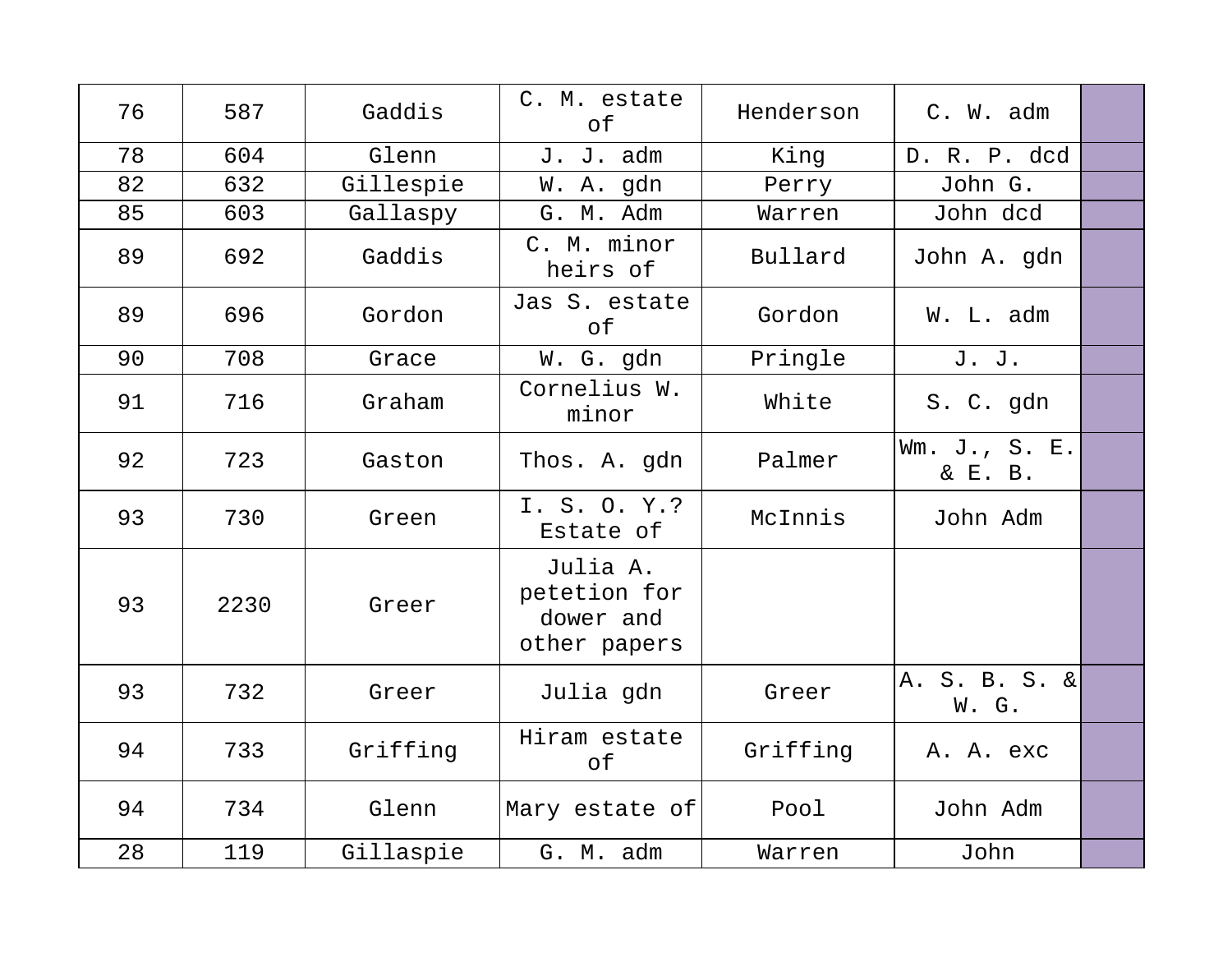| 76 | 587  | Gaddis    | C. M. estate<br>of                                    | Henderson | C. W. adm                |  |
|----|------|-----------|-------------------------------------------------------|-----------|--------------------------|--|
| 78 | 604  | Glenn     | J. J. adm                                             | King      | D. R. P. dcd             |  |
| 82 | 632  | Gillespie | W. A. gdn                                             | Perry     | John G.                  |  |
| 85 | 603  | Gallaspy  | G. M. Adm                                             | Warren    | John dcd                 |  |
| 89 | 692  | Gaddis    | C. M. minor<br>heirs of                               | Bullard   | John A. gdn              |  |
| 89 | 696  | Gordon    | Jas S. estate<br>of                                   | Gordon    | W. L. adm                |  |
| 90 | 708  | Grace     | W. G. gdn                                             | Pringle   | J. J.                    |  |
| 91 | 716  | Graham    | Cornelius W.<br>minor                                 | White     | S. C. gdn                |  |
| 92 | 723  | Gaston    | Thos. A. gdn                                          | Palmer    | Wm. J., S. E.<br>& E. B. |  |
| 93 | 730  | Green     | I. S. O. Y.?<br>Estate of                             | McInnis   | John Adm                 |  |
| 93 | 2230 | Greer     | Julia A.<br>petetion for<br>dower and<br>other papers |           |                          |  |
| 93 | 732  | Greer     | Julia gdn                                             | Greer     | A. S. B. S. &<br>W. G.   |  |
| 94 | 733  | Griffing  | Hiram estate<br>of                                    | Griffing  | A. A. exc                |  |
| 94 | 734  | Glenn     | Mary estate of                                        | Pool      | John Adm                 |  |
| 28 | 119  | Gillaspie | G. M. adm                                             | Warren    | John                     |  |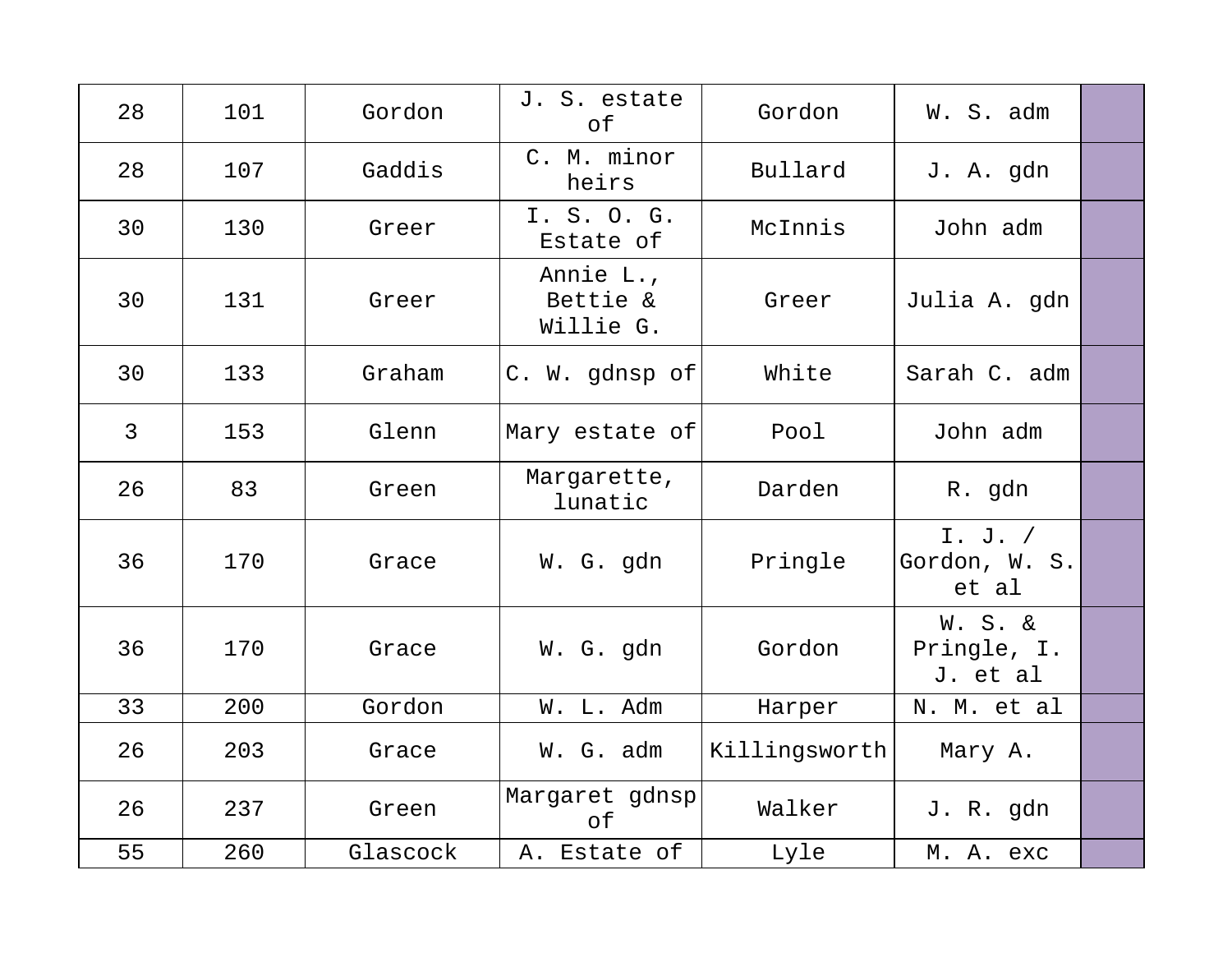| 28             | 101 | Gordon   | J. S. estate<br>of                 | Gordon        | W. S. adm                                     |  |
|----------------|-----|----------|------------------------------------|---------------|-----------------------------------------------|--|
| 28             | 107 | Gaddis   | C. M. minor<br>heirs               | Bullard       | J. A. gdn                                     |  |
| 30             | 130 | Greer    | I. S. O. G.<br>Estate of           | McInnis       | John adm                                      |  |
| 30             | 131 | Greer    | Annie L.,<br>Bettie &<br>Willie G. | Greer         | Julia A. gdn                                  |  |
| 30             | 133 | Graham   | C. W. gdnsp of                     | White         | Sarah C. adm                                  |  |
| $\mathfrak{Z}$ | 153 | Glenn    | Mary estate of                     | Pool          | John adm                                      |  |
| 26             | 83  | Green    | Margarette,<br>lunatic             | Darden        | R. gdn                                        |  |
| 36             | 170 | Grace    | W. G. gdn                          | Pringle       | I. J. /<br>Gordon, W. S.<br>et al             |  |
| 36             | 170 | Grace    | W. G. gdn                          | Gordon        | <b>W. S. &amp;</b><br>Pringle, I.<br>J. et al |  |
| 33             | 200 | Gordon   | W. L. Adm                          | Harper        | N. M. et al                                   |  |
| 26             | 203 | Grace    | W. G. adm                          | Killingsworth | Mary A.                                       |  |
| 26             | 237 | Green    | Margaret gdnsp<br>of               | Walker        | J. R. gdn                                     |  |
| 55             | 260 | Glascock | A. Estate of                       | Lyle          | M. A. exc                                     |  |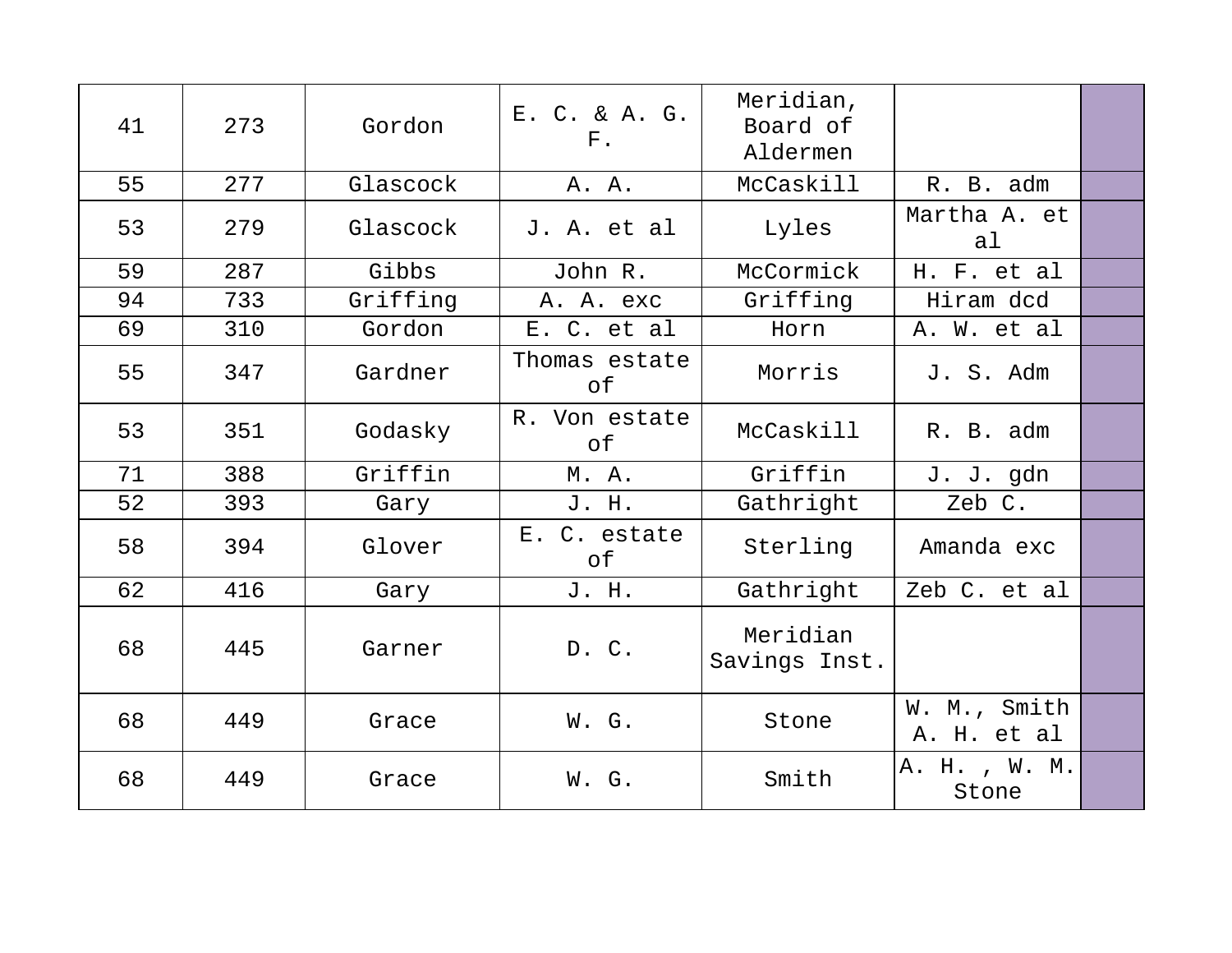| 41 | 273 | Gordon   | E. C. & A. G.<br>$F$ . | Meridian,<br>Board of<br>Aldermen |                             |  |
|----|-----|----------|------------------------|-----------------------------------|-----------------------------|--|
| 55 | 277 | Glascock | A. A.                  | McCaskill                         | R. B. adm                   |  |
| 53 | 279 | Glascock | J. A. et al            | Lyles                             | Martha A. et<br>al          |  |
| 59 | 287 | Gibbs    | John R.                | McCormick                         | H. F. et al                 |  |
| 94 | 733 | Griffing | A. A. exc              | Griffing                          | Hiram dcd                   |  |
| 69 | 310 | Gordon   | E. C. et al            | Horn                              | A. W. et al                 |  |
| 55 | 347 | Gardner  | Thomas estate<br>оf    | Morris                            | J. S. Adm                   |  |
| 53 | 351 | Godasky  | R. Von estate<br>оf    | McCaskill                         | R. B. adm                   |  |
| 71 | 388 | Griffin  | M. A.                  | Griffin                           | J. J. gdn                   |  |
| 52 | 393 | Gary     | J. H.                  | Gathright                         | Zeb C.                      |  |
| 58 | 394 | Glover   | E. C. estate<br>оf     | Sterling                          | Amanda exc                  |  |
| 62 | 416 | Gary     | J. H.                  | Gathright                         | Zeb C. et al                |  |
| 68 | 445 | Garner   | D. C.                  | Meridian<br>Savings Inst.         |                             |  |
| 68 | 449 | Grace    | W. G.                  | Stone                             | W. M., Smith<br>A. H. et al |  |
| 68 | 449 | Grace    | W. G.                  | Smith                             | A. H., W. M.<br>Stone       |  |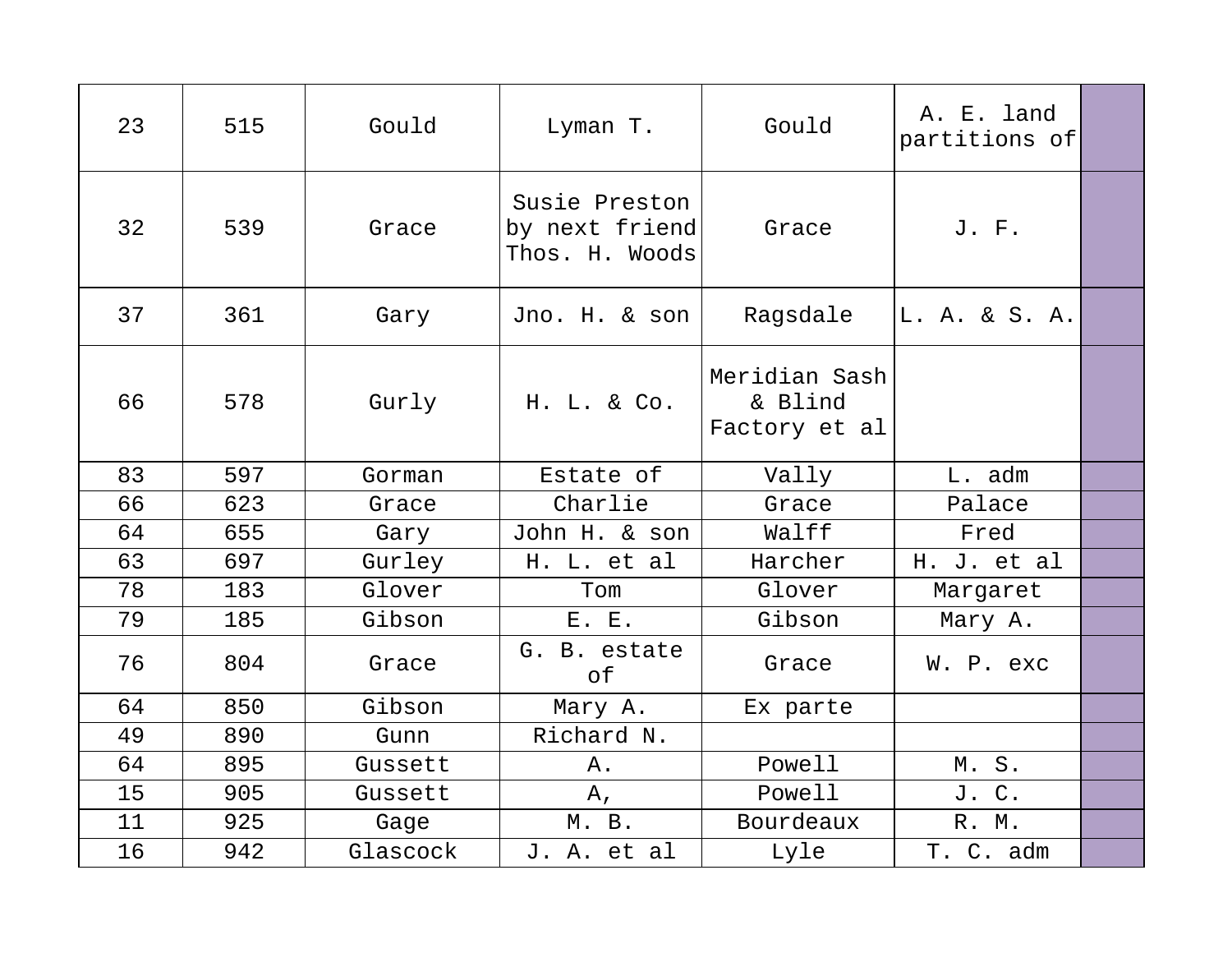| 23 | 515 | Gould    | Lyman T.                                          | Gould                                     | A. E. land<br>partitions of |  |
|----|-----|----------|---------------------------------------------------|-------------------------------------------|-----------------------------|--|
| 32 | 539 | Grace    | Susie Preston<br>by next friend<br>Thos. H. Woods | Grace                                     | J. F.                       |  |
| 37 | 361 | Gary     | Jno. H. & son                                     | Ragsdale                                  | L. A. & S. A.               |  |
| 66 | 578 | Gurly    | H. L. & Co.                                       | Meridian Sash<br>& Blind<br>Factory et al |                             |  |
| 83 | 597 | Gorman   | Estate of                                         | Vally                                     | L. adm                      |  |
| 66 | 623 | Grace    | Charlie                                           | Grace                                     | Palace                      |  |
| 64 | 655 | Gary     | John H. & son                                     | Walff                                     | Fred                        |  |
| 63 | 697 | Gurley   | H. L. et al                                       | Harcher                                   | H. J. et al                 |  |
| 78 | 183 | Glover   | Tom                                               | Glover                                    | Margaret                    |  |
| 79 | 185 | Gibson   | E. E.                                             | Gibson                                    | Mary A.                     |  |
| 76 | 804 | Grace    | G. B. estate<br>of                                | Grace                                     | W. P. exc                   |  |
| 64 | 850 | Gibson   | Mary A.                                           | Ex parte                                  |                             |  |
| 49 | 890 | Gunn     | Richard N.                                        |                                           |                             |  |
| 64 | 895 | Gussett  | Α.                                                | Powell                                    | M.S.                        |  |
| 15 | 905 | Gussett  | $A_{\prime}$                                      | Powell                                    | J. C.                       |  |
| 11 | 925 | Gage     | M. B.                                             | Bourdeaux                                 | R. M.                       |  |
| 16 | 942 | Glascock | J. A. et al                                       | Lyle                                      | T. C. adm                   |  |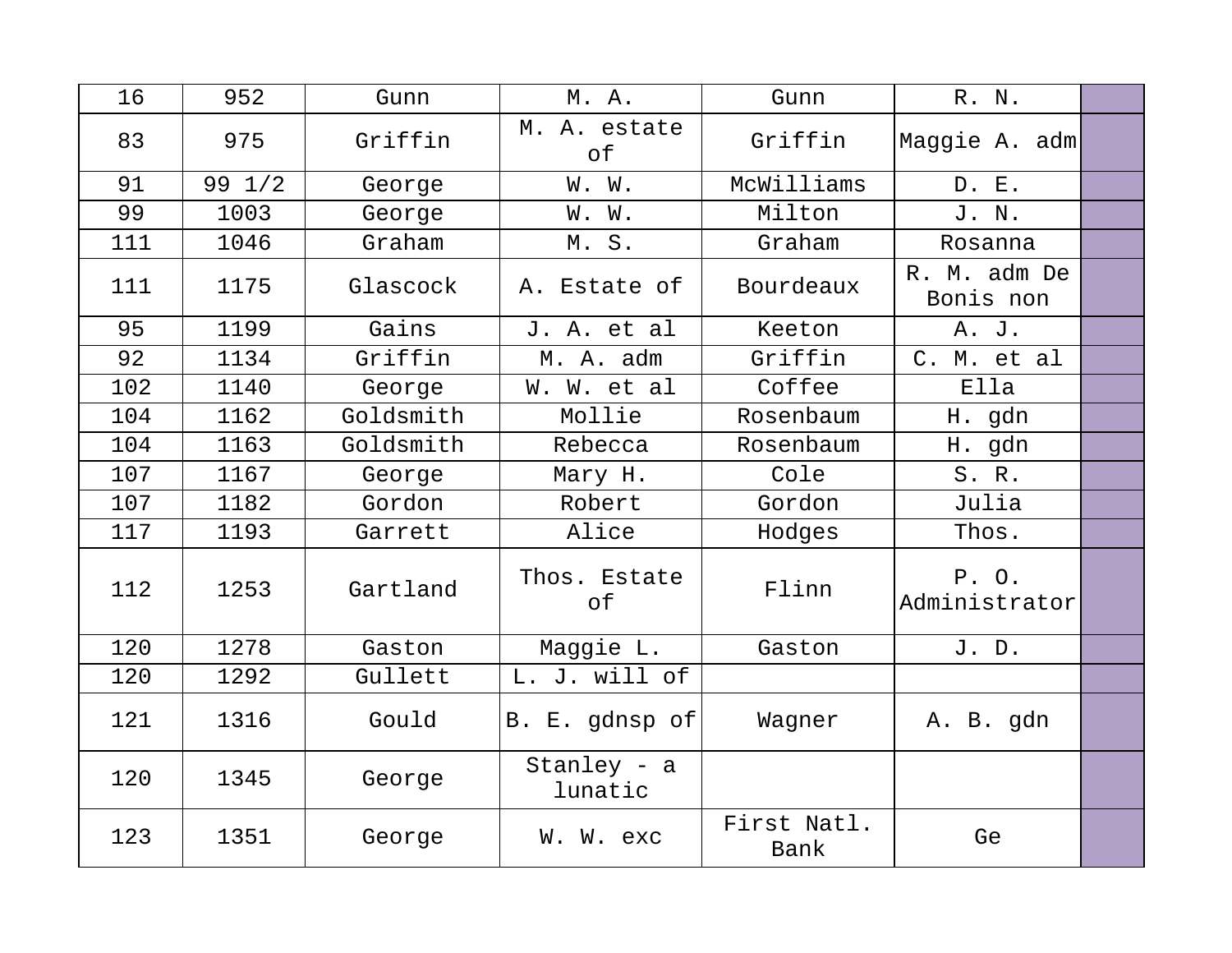| 16  | 952              | Gunn      | M. A.                  | Gunn                | R. N.                     |  |
|-----|------------------|-----------|------------------------|---------------------|---------------------------|--|
| 83  | 975              | Griffin   | M. A. estate<br>of     | Griffin             | Maggie A. adm             |  |
| 91  | $99 \frac{1}{2}$ | George    | W. W.                  | McWilliams          | D. E.                     |  |
| 99  | 1003             | George    | W. W.                  | Milton              | J. N.                     |  |
| 111 | 1046             | Graham    | M. S.                  | Graham              | Rosanna                   |  |
| 111 | 1175             | Glascock  | A. Estate of           | Bourdeaux           | R. M. adm De<br>Bonis non |  |
| 95  | 1199             | Gains     | J. A. et al            | Keeton              | A. J.                     |  |
| 92  | 1134             | Griffin   | M. A. adm              | Griffin             | C. M. et al               |  |
| 102 | 1140             | George    | W. W. et al            | Coffee              | Ella                      |  |
| 104 | 1162             | Goldsmith | Mollie                 | Rosenbaum           | H. gdn                    |  |
| 104 | 1163             | Goldsmith | Rebecca                | Rosenbaum           | H. gdn                    |  |
| 107 | 1167             | George    | Mary H.                | Cole                | S. R.                     |  |
| 107 | 1182             | Gordon    | Robert                 | Gordon              | Julia                     |  |
| 117 | 1193             | Garrett   | Alice                  | Hodges              | Thos.                     |  |
| 112 | 1253             | Gartland  | Thos. Estate<br>of     | Flinn               | P. O.<br>Administrator    |  |
| 120 | 1278             | Gaston    | Maggie L.              | Gaston              | J. D.                     |  |
| 120 | 1292             | Gullett   | L. J. will of          |                     |                           |  |
| 121 | 1316             | Gould     | B. E. gdnsp of         | Wagner              | A. B. gdn                 |  |
| 120 | 1345             | George    | Stanley - a<br>lunatic |                     |                           |  |
| 123 | 1351             | George    | W. W. exc              | First Natl.<br>Bank | Ge                        |  |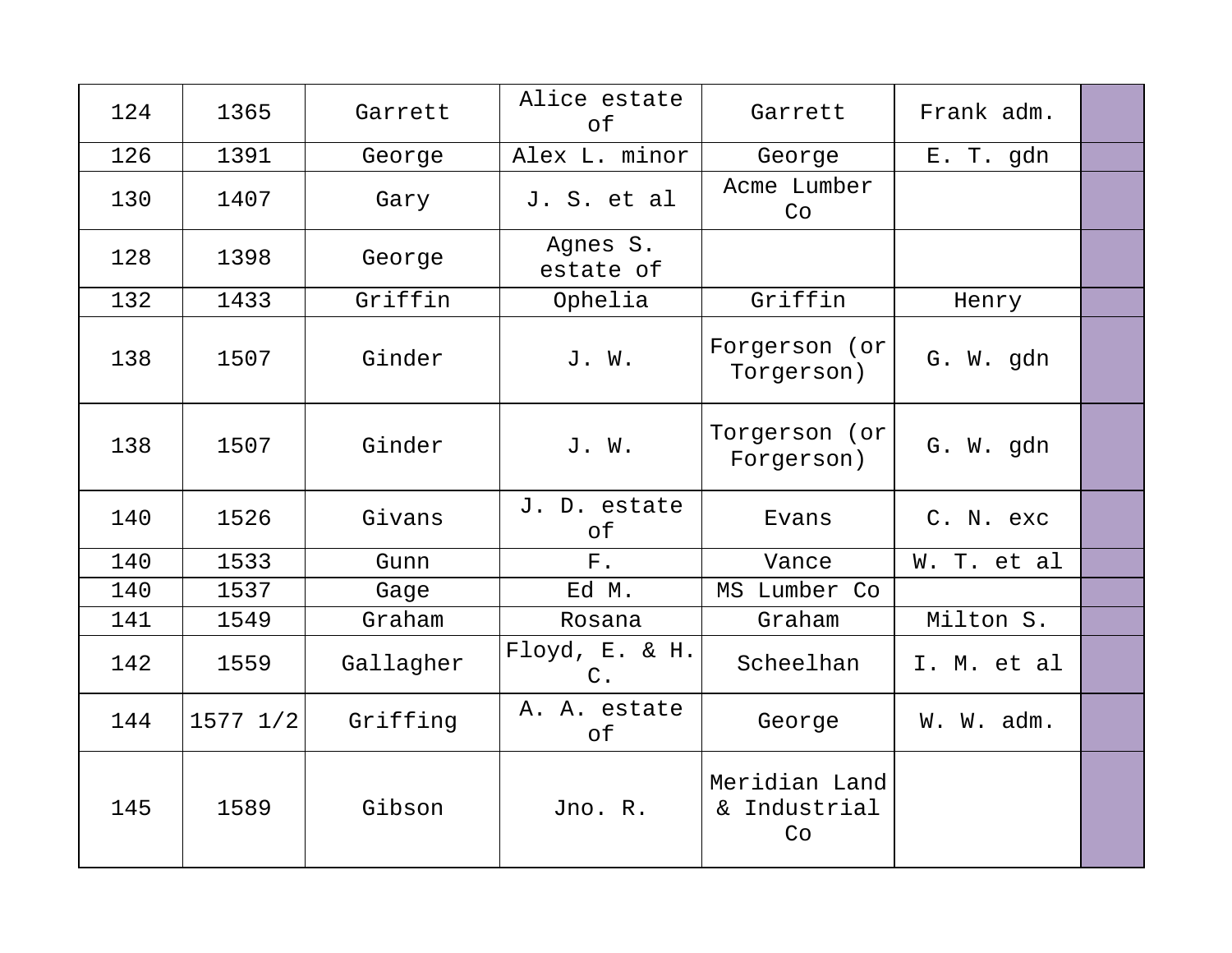| 124 | 1365         | Garrett   | Alice estate<br>оf      | Garrett                             | Frank adm.  |  |
|-----|--------------|-----------|-------------------------|-------------------------------------|-------------|--|
| 126 | 1391         | George    | Alex L. minor           | George                              | E. T. gdn   |  |
| 130 | 1407         | Gary      | J. S. et al             | Acme Lumber<br>Co                   |             |  |
| 128 | 1398         | George    | Agnes S.<br>estate of   |                                     |             |  |
| 132 | 1433         | Griffin   | Ophelia                 | Griffin                             | Henry       |  |
| 138 | 1507         | Ginder    | J. W.                   | Forgerson (or<br>Torgerson)         | G. W. gdn   |  |
| 138 | 1507         | Ginder    | J. W.                   | Torgerson (or<br>Forgerson)         | G. W. gdn   |  |
| 140 | 1526         | Givans    | J. D. estate<br>оf      | Evans                               | C. N. exc   |  |
| 140 | 1533         | Gunn      | $F$ .                   | Vance                               | W. T. et al |  |
| 140 | 1537         | Gage      | Ed M.                   | MS Lumber Co                        |             |  |
| 141 | 1549         | Graham    | Rosana                  | Graham                              | Milton S.   |  |
| 142 | 1559         | Gallagher | Floyd, E. & H.<br>$C$ . | Scheelhan                           | I. M. et al |  |
| 144 | $1577$ $1/2$ | Griffing  | A. A. estate<br>of      | George                              | W. W. adm.  |  |
| 145 | 1589         | Gibson    | Jno. R.                 | Meridian Land<br>& Industrial<br>Co |             |  |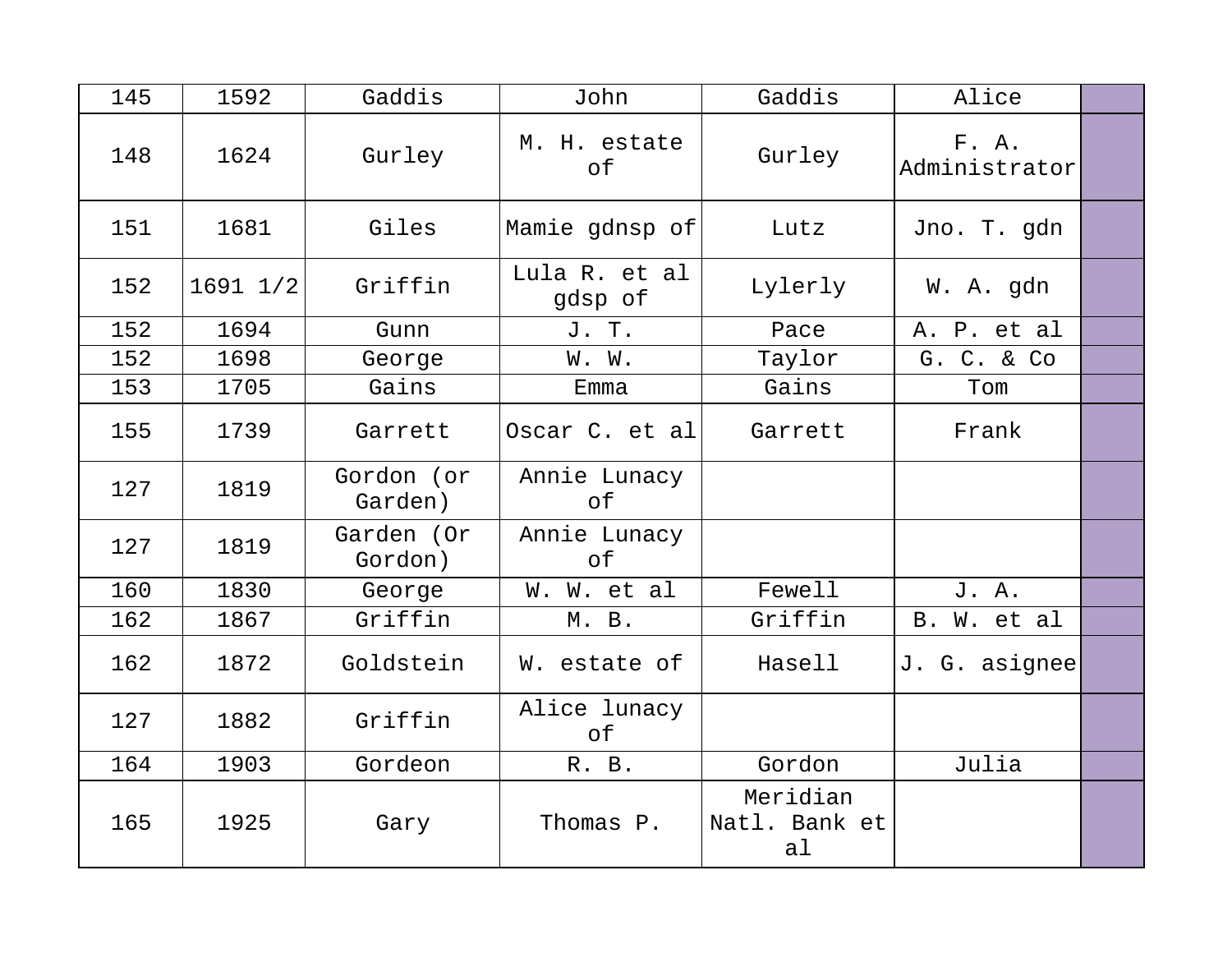| 145 | 1592         | Gaddis                | John                      | Gaddis                          | Alice                  |  |
|-----|--------------|-----------------------|---------------------------|---------------------------------|------------------------|--|
| 148 | 1624         | Gurley                | M. H. estate<br>$\circ$ f | Gurley                          | F. A.<br>Administrator |  |
| 151 | 1681         | Giles                 | Mamie gdnsp of            | Lutz                            | Jno. T. gdn            |  |
| 152 | $1691$ $1/2$ | Griffin               | Lula R. et al<br>gdsp of  | Lylerly                         | W. A. gdn              |  |
| 152 | 1694         | Gunn                  | J. T.                     | Pace                            | A. P. et al            |  |
| 152 | 1698         | George                | W. W.                     | Taylor                          | G. C. & Co             |  |
| 153 | 1705         | Gains                 | Emma                      | Gains                           | Tom                    |  |
| 155 | 1739         | Garrett               | Oscar C. et al            | Garrett                         | Frank                  |  |
| 127 | 1819         | Gordon (or<br>Garden) | Annie Lunacy<br>оf        |                                 |                        |  |
| 127 | 1819         | Garden (Or<br>Gordon) | Annie Lunacy<br>of        |                                 |                        |  |
| 160 | 1830         | George                | W. W. et al               | Fewell                          | J. A.                  |  |
| 162 | 1867         | Griffin               | M. B.                     | Griffin                         | B. W. et al            |  |
| 162 | 1872         | Goldstein             | W. estate of              | Hasell                          | J. G. asignee          |  |
| 127 | 1882         | Griffin               | Alice lunacy<br>of        |                                 |                        |  |
| 164 | 1903         | Gordeon               | R. B.                     | Gordon                          | Julia                  |  |
| 165 | 1925         | Gary                  | Thomas P.                 | Meridian<br>Natl. Bank et<br>al |                        |  |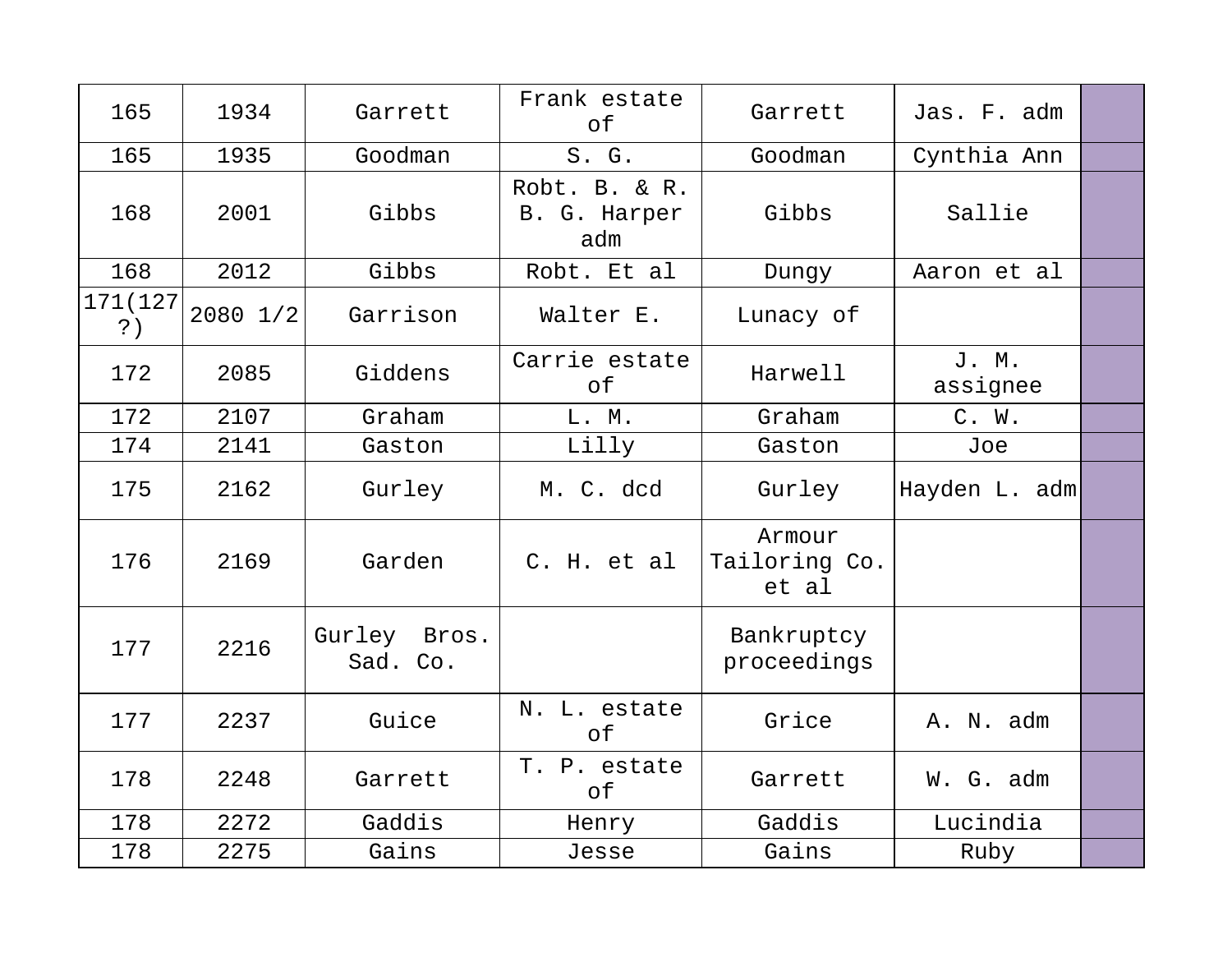| 165                        | 1934         | Garrett                  | Frank estate<br>$\circ f$            | Garrett                          | Jas. F. adm       |  |
|----------------------------|--------------|--------------------------|--------------------------------------|----------------------------------|-------------------|--|
| 165                        | 1935         | Goodman                  | S. G.                                | Goodman                          | Cynthia Ann       |  |
| 168                        | 2001         | Gibbs                    | Robt. B. & R.<br>B. G. Harper<br>adm | Gibbs                            | Sallie            |  |
| 168                        | 2012         | Gibbs                    | Robt. Et al                          | Dungy                            | Aaron et al       |  |
| 171 (127<br>$\mathsf{?}$ ) | $2080$ $1/2$ | Garrison                 | Walter E.                            | Lunacy of                        |                   |  |
| 172                        | 2085         | Giddens                  | Carrie estate<br>of                  | Harwell                          | J. M.<br>assignee |  |
| 172                        | 2107         | Graham                   | L. M.                                | Graham                           | C. W.             |  |
| 174                        | 2141         | Gaston                   | Lilly                                | Gaston                           | Joe               |  |
| 175                        | 2162         | Gurley                   | M. C. dcd                            | Gurley                           | Hayden L. adm     |  |
| 176                        | 2169         | Garden                   | C. H. et al                          | Armour<br>Tailoring Co.<br>et al |                   |  |
| 177                        | 2216         | Gurley Bros.<br>Sad. Co. |                                      | Bankruptcy<br>proceedings        |                   |  |
| 177                        | 2237         | Guice                    | N. L. estate<br>оf                   | Grice                            | A. N. adm         |  |
| 178                        | 2248         | Garrett                  | T. P. estate<br>of                   | Garrett                          | W. G. adm         |  |
| 178                        | 2272         | Gaddis                   | Henry                                | Gaddis                           | Lucindia          |  |
| 178                        | 2275         | Gains                    | Jesse                                | Gains                            | Ruby              |  |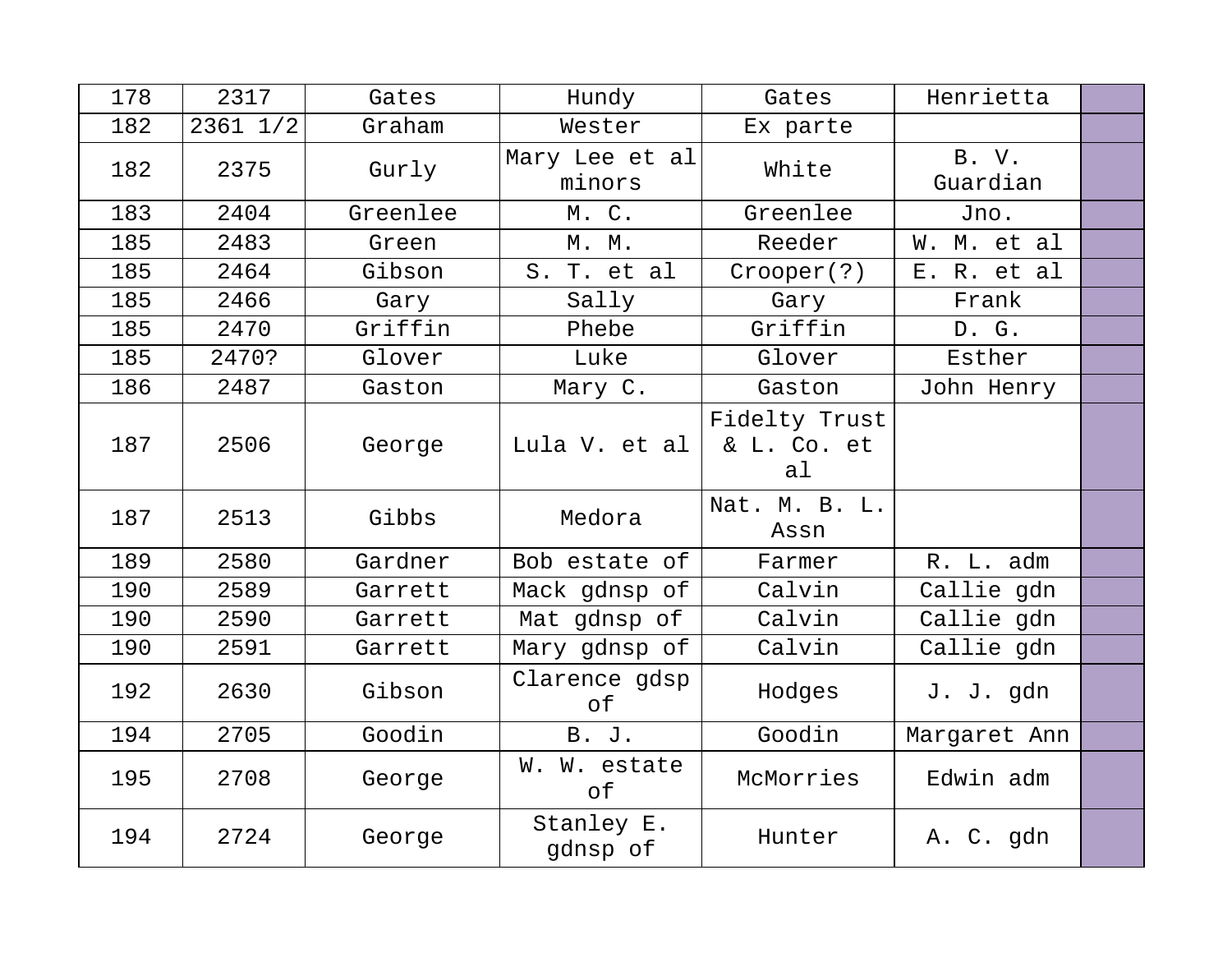| 178 | 2317     | Gates    | Hundy                    | Gates                              | Henrietta         |  |
|-----|----------|----------|--------------------------|------------------------------------|-------------------|--|
| 182 | 2361 1/2 | Graham   | Wester                   | Ex parte                           |                   |  |
| 182 | 2375     | Gurly    | Mary Lee et al<br>minors | White                              | B. V.<br>Guardian |  |
| 183 | 2404     | Greenlee | M. C.                    | Greenlee                           | Jno.              |  |
| 185 | 2483     | Green    | M. M.                    | Reeder                             | W. M. et al       |  |
| 185 | 2464     | Gibson   | S. T. et al              | Crooper(?)                         | E. R. et al       |  |
| 185 | 2466     | Gary     | Sally                    | Gary                               | Frank             |  |
| 185 | 2470     | Griffin  | Phebe                    | Griffin                            | D. G.             |  |
| 185 | 2470?    | Glover   | Luke                     | Glover                             | Esther            |  |
| 186 | 2487     | Gaston   | Mary C.                  | Gaston                             | John Henry        |  |
| 187 | 2506     | George   | Lula V. et al            | Fidelty Trust<br>& L. Co. et<br>al |                   |  |
| 187 | 2513     | Gibbs    | Medora                   | Nat. M. B. L.<br>Assn              |                   |  |
| 189 | 2580     | Gardner  | Bob estate of            | Farmer                             | R. L. adm         |  |
| 190 | 2589     | Garrett  | Mack gdnsp of            | Calvin                             | Callie gdn        |  |
| 190 | 2590     | Garrett  | Mat gdnsp of             | Calvin                             | Callie gdn        |  |
| 190 | 2591     | Garrett  | Mary gdnsp of            | Calvin                             | Callie gdn        |  |
| 192 | 2630     | Gibson   | Clarence gdsp<br>оf      | Hodges                             | J. J. gdn         |  |
| 194 | 2705     | Goodin   | B. J.                    | Goodin                             | Margaret Ann      |  |
| 195 | 2708     | George   | W. W. estate<br>of       | McMorries                          | Edwin adm         |  |
| 194 | 2724     | George   | Stanley E.<br>gdnsp of   | Hunter                             | A. C. gdn         |  |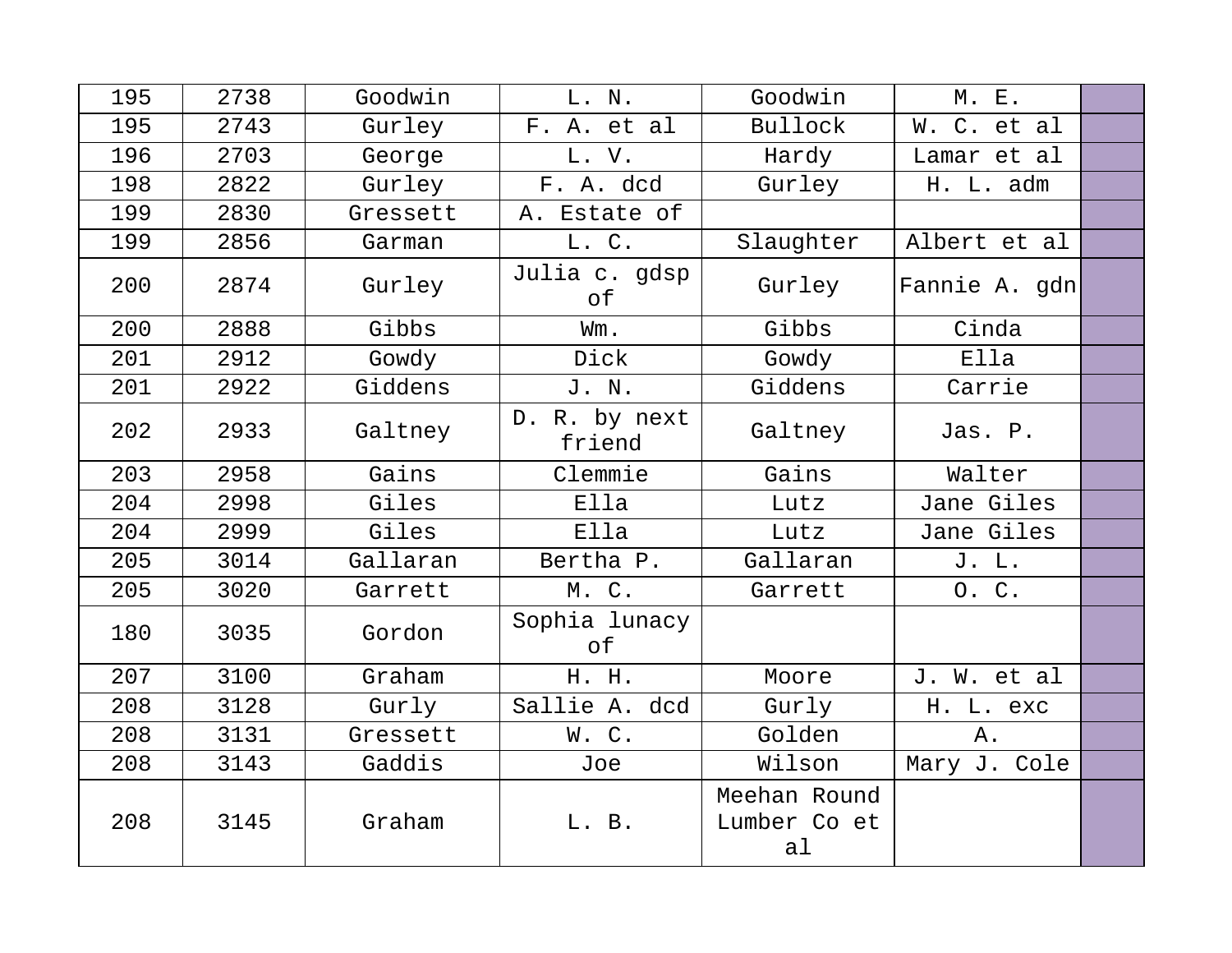| 195 | 2738 | Goodwin  | L. N.                   | Goodwin                                        | M. E.         |  |
|-----|------|----------|-------------------------|------------------------------------------------|---------------|--|
| 195 | 2743 | Gurley   | F. A. et al             | <b>Bullock</b>                                 | W. C. et al   |  |
| 196 | 2703 | George   | L. V.                   | Hardy                                          | Lamar et al   |  |
| 198 | 2822 | Gurley   | F. A. dcd               | Gurley                                         | H. L. adm     |  |
| 199 | 2830 | Gressett | A. Estate of            |                                                |               |  |
| 199 | 2856 | Garman   | L. C.                   | Slaughter                                      | Albert et al  |  |
| 200 | 2874 | Gurley   | Julia c. gdsp<br>оf     | Gurley                                         | Fannie A. gdn |  |
| 200 | 2888 | Gibbs    | Wm.                     | Gibbs                                          | Cinda         |  |
| 201 | 2912 | Gowdy    | Dick                    | Gowdy                                          | Ella          |  |
| 201 | 2922 | Giddens  | J. N.                   | Giddens                                        | Carrie        |  |
| 202 | 2933 | Galtney  | D. R. by next<br>friend | Galtney                                        | Jas. P.       |  |
| 203 | 2958 | Gains    | Clemmie                 | Gains                                          | Walter        |  |
| 204 | 2998 | Giles    | Ella                    | Lutz                                           | Jane Giles    |  |
| 204 | 2999 | Giles    | Ella                    | Lutz                                           | Jane Giles    |  |
| 205 | 3014 | Gallaran | Bertha P.               | Gallaran                                       | J. L.         |  |
| 205 | 3020 | Garrett  | M. C.                   | Garrett                                        | O. C.         |  |
| 180 | 3035 | Gordon   | Sophia lunacy<br>of     |                                                |               |  |
| 207 | 3100 | Graham   | H. H.                   | Moore                                          | J. W. et al   |  |
| 208 | 3128 | Gurly    | Sallie A. dcd           | Gurly                                          | H. L. exc     |  |
| 208 | 3131 | Gressett | W.C.                    | Golden                                         | Α.            |  |
| 208 | 3143 | Gaddis   | Joe                     | Wilson                                         | Mary J. Cole  |  |
| 208 | 3145 | Graham   | L. B.                   | Meehan Round<br>Lumber Co et<br>a <sub>1</sub> |               |  |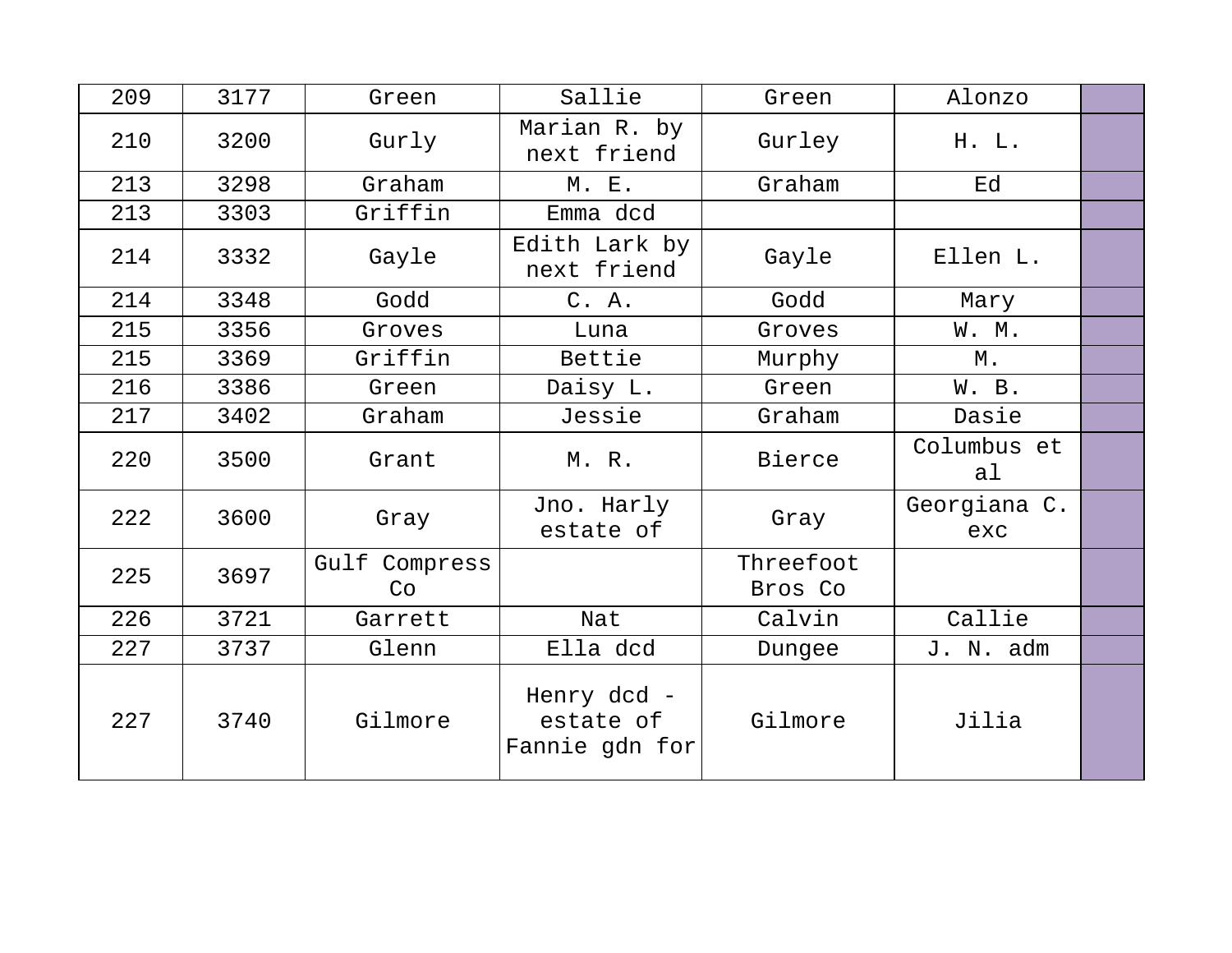| 209 | 3177 | Green               | Sallie                                     | Green                | Alonzo              |  |
|-----|------|---------------------|--------------------------------------------|----------------------|---------------------|--|
| 210 | 3200 | Gurly               | Marian R. by<br>next friend                | Gurley               | H. L.               |  |
| 213 | 3298 | Graham              | M. E.                                      | Graham               | Ed                  |  |
| 213 | 3303 | Griffin             | Emma dcd                                   |                      |                     |  |
| 214 | 3332 | Gayle               | Edith Lark by<br>next friend               | Gayle                | Ellen L.            |  |
| 214 | 3348 | Godd                | C. A.                                      | Godd                 | Mary                |  |
| 215 | 3356 | Groves              | Luna                                       | Groves               | W. M.               |  |
| 215 | 3369 | Griffin             | Bettie                                     | Murphy               | М.                  |  |
| 216 | 3386 | Green               | Daisy L.                                   | Green                | W. B.               |  |
| 217 | 3402 | Graham              | Jessie                                     | Graham               | Dasie               |  |
| 220 | 3500 | Grant               | M. R.                                      | <b>Bierce</b>        | Columbus et<br>al   |  |
| 222 | 3600 | Gray                | Jno. Harly<br>estate of                    | Gray                 | Georgiana C.<br>exc |  |
| 225 | 3697 | Gulf Compress<br>Co |                                            | Threefoot<br>Bros Co |                     |  |
| 226 | 3721 | Garrett             | Nat                                        | Calvin               | Callie              |  |
| 227 | 3737 | Glenn               | Ella dcd                                   | Dungee               | J. N. adm           |  |
| 227 | 3740 | Gilmore             | Henry dcd -<br>estate of<br>Fannie gdn for | Gilmore              | Jilia               |  |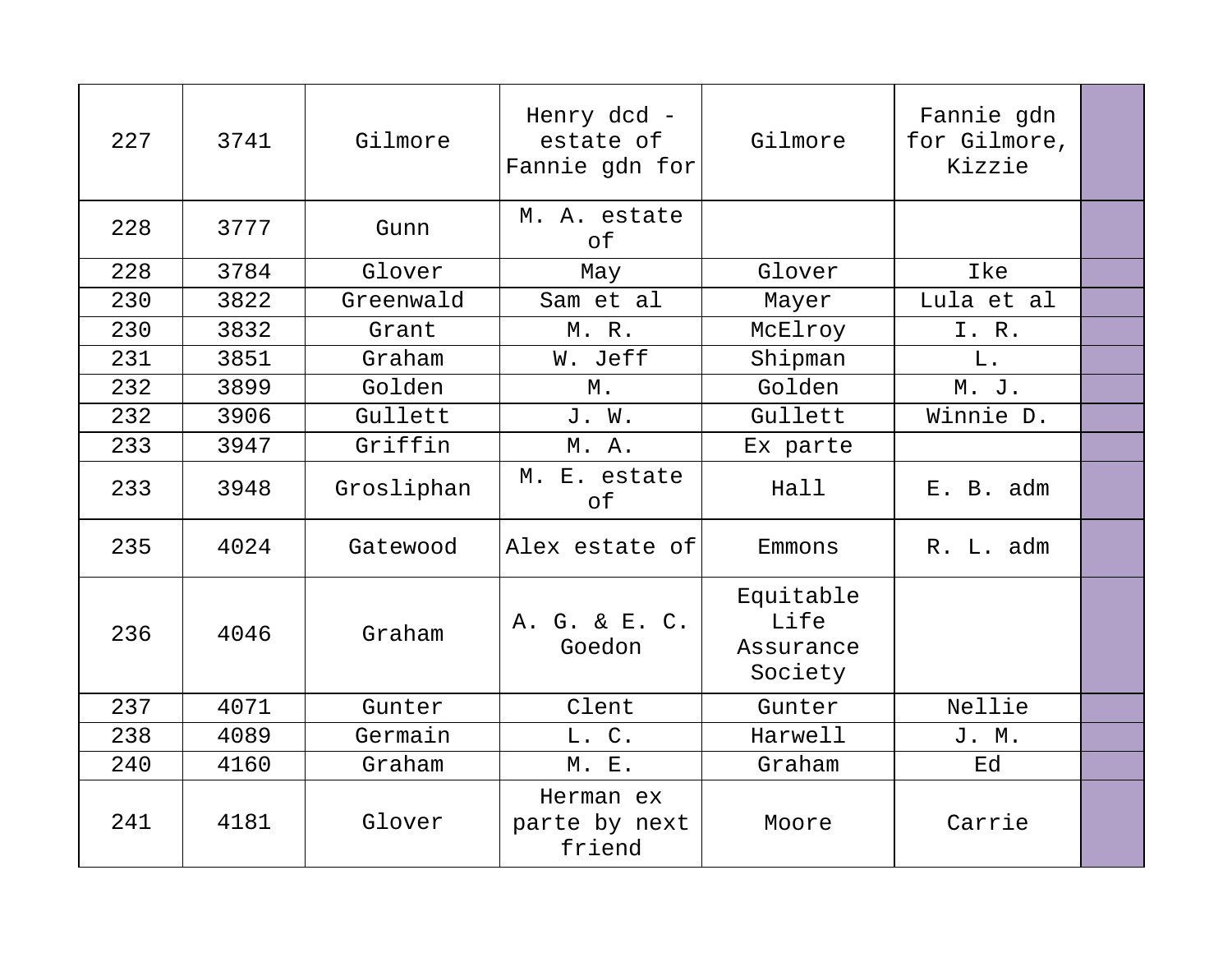| 227 | 3741 | Gilmore    | Henry dcd -<br>estate of<br>Fannie gdn for | Gilmore                                   | Fannie gdn<br>for Gilmore,<br>Kizzie |  |
|-----|------|------------|--------------------------------------------|-------------------------------------------|--------------------------------------|--|
| 228 | 3777 | Gunn       | M. A. estate<br>of                         |                                           |                                      |  |
| 228 | 3784 | Glover     | May                                        | Glover                                    | Ike                                  |  |
| 230 | 3822 | Greenwald  | Sam et al                                  | Mayer                                     | Lula et al                           |  |
| 230 | 3832 | Grant      | M. R.                                      | McElroy                                   | I. R.                                |  |
| 231 | 3851 | Graham     | W. Jeff                                    | Shipman                                   | L.                                   |  |
| 232 | 3899 | Golden     | М.                                         | Golden                                    | M. J.                                |  |
| 232 | 3906 | Gullett    | J. W.                                      | Gullett                                   | Winnie D.                            |  |
| 233 | 3947 | Griffin    | M. A.                                      | Ex parte                                  |                                      |  |
| 233 | 3948 | Grosliphan | M. E. estate<br>оf                         | Hall                                      | E. B. adm                            |  |
| 235 | 4024 | Gatewood   | Alex estate of                             | Emmons                                    | R. L. adm                            |  |
| 236 | 4046 | Graham     | A. G. & E. C.<br>Goedon                    | Equitable<br>Life<br>Assurance<br>Society |                                      |  |
| 237 | 4071 | Gunter     | Clent                                      | Gunter                                    | Nellie                               |  |
| 238 | 4089 | Germain    | L. C.                                      | Harwell                                   | J. M.                                |  |
| 240 | 4160 | Graham     | M. E.                                      | Graham                                    | Ed                                   |  |
| 241 | 4181 | Glover     | Herman ex<br>parte by next<br>friend       | Moore                                     | Carrie                               |  |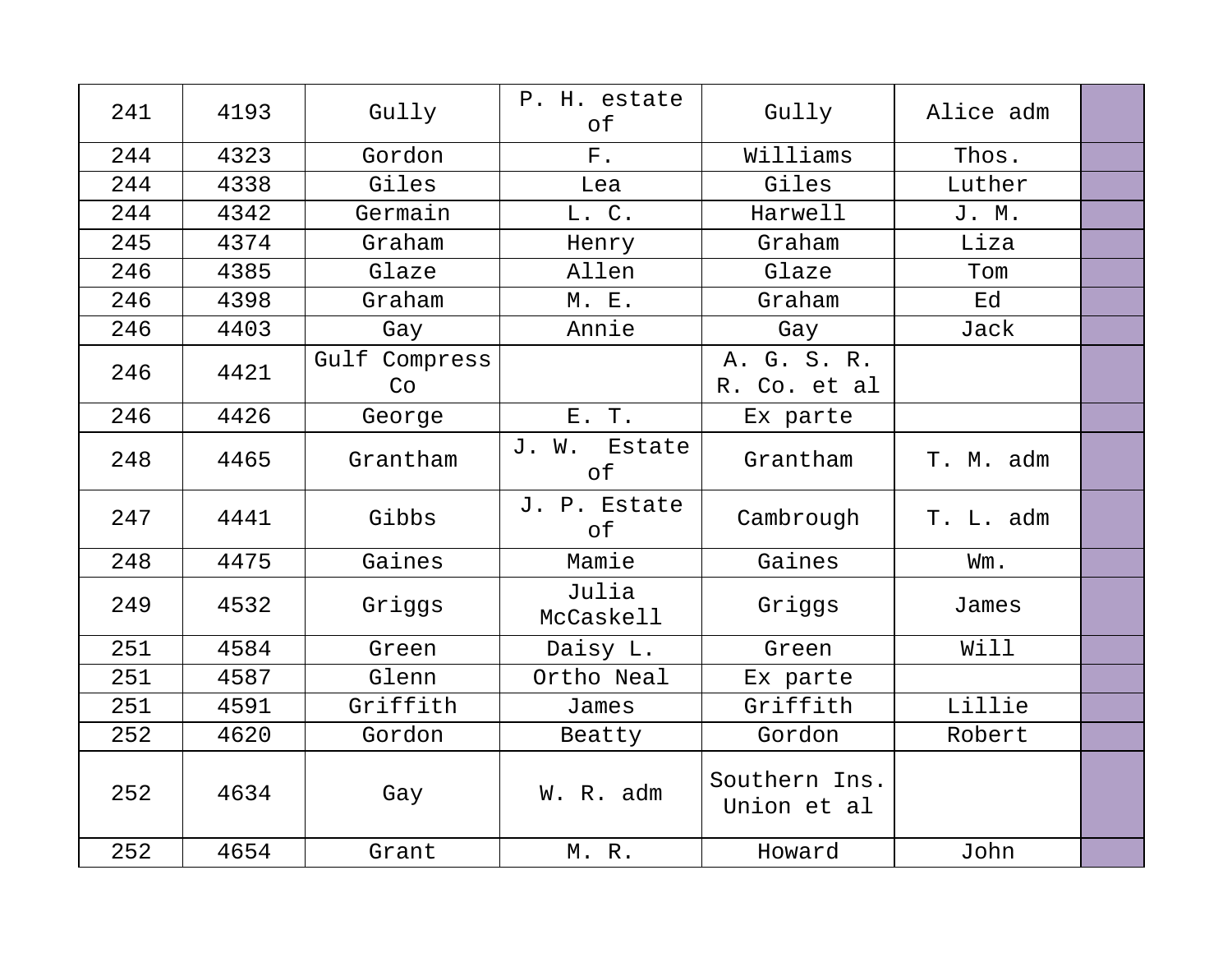| 241 | 4193 | Gully               | P. H. estate<br>оf        | Gully                        | Alice adm |  |
|-----|------|---------------------|---------------------------|------------------------------|-----------|--|
| 244 | 4323 | Gordon              | $F$ .                     | Williams                     | Thos.     |  |
| 244 | 4338 | Giles               | Lea                       | Giles                        | Luther    |  |
| 244 | 4342 | Germain             | L. C.                     | Harwell                      | J. M.     |  |
| 245 | 4374 | Graham              | Henry                     | Graham                       | Liza      |  |
| 246 | 4385 | Glaze               | Allen                     | Glaze                        | Tom       |  |
| 246 | 4398 | Graham              | <b>M. E.</b>              | Graham                       | Ed        |  |
| 246 | 4403 | Gay                 | Annie                     | Gay                          | Jack      |  |
| 246 | 4421 | Gulf Compress<br>Co |                           | A. G. S. R.<br>R. Co. et al  |           |  |
| 246 | 4426 | George              | E. T.                     | Ex parte                     |           |  |
| 248 | 4465 | Grantham            | J. W. Estate<br>$\circ$ f | Grantham                     | T. M. adm |  |
| 247 | 4441 | Gibbs               | J. P. Estate<br>оf        | Cambrough                    | T. L. adm |  |
| 248 | 4475 | Gaines              | Mamie                     | Gaines                       | Wm.       |  |
| 249 | 4532 | Griggs              | Julia<br>McCaskell        | Griggs                       | James     |  |
| 251 | 4584 | Green               | Daisy L.                  | Green                        | Will      |  |
| 251 | 4587 | Glenn               | Ortho Neal                | Ex parte                     |           |  |
| 251 | 4591 | Griffith            | James                     | Griffith                     | Lillie    |  |
| 252 | 4620 | Gordon              | Beatty                    | Gordon                       | Robert    |  |
| 252 | 4634 | Gay                 | W. R. adm                 | Southern Ins.<br>Union et al |           |  |
| 252 | 4654 | Grant               | M. R.                     | Howard                       | John      |  |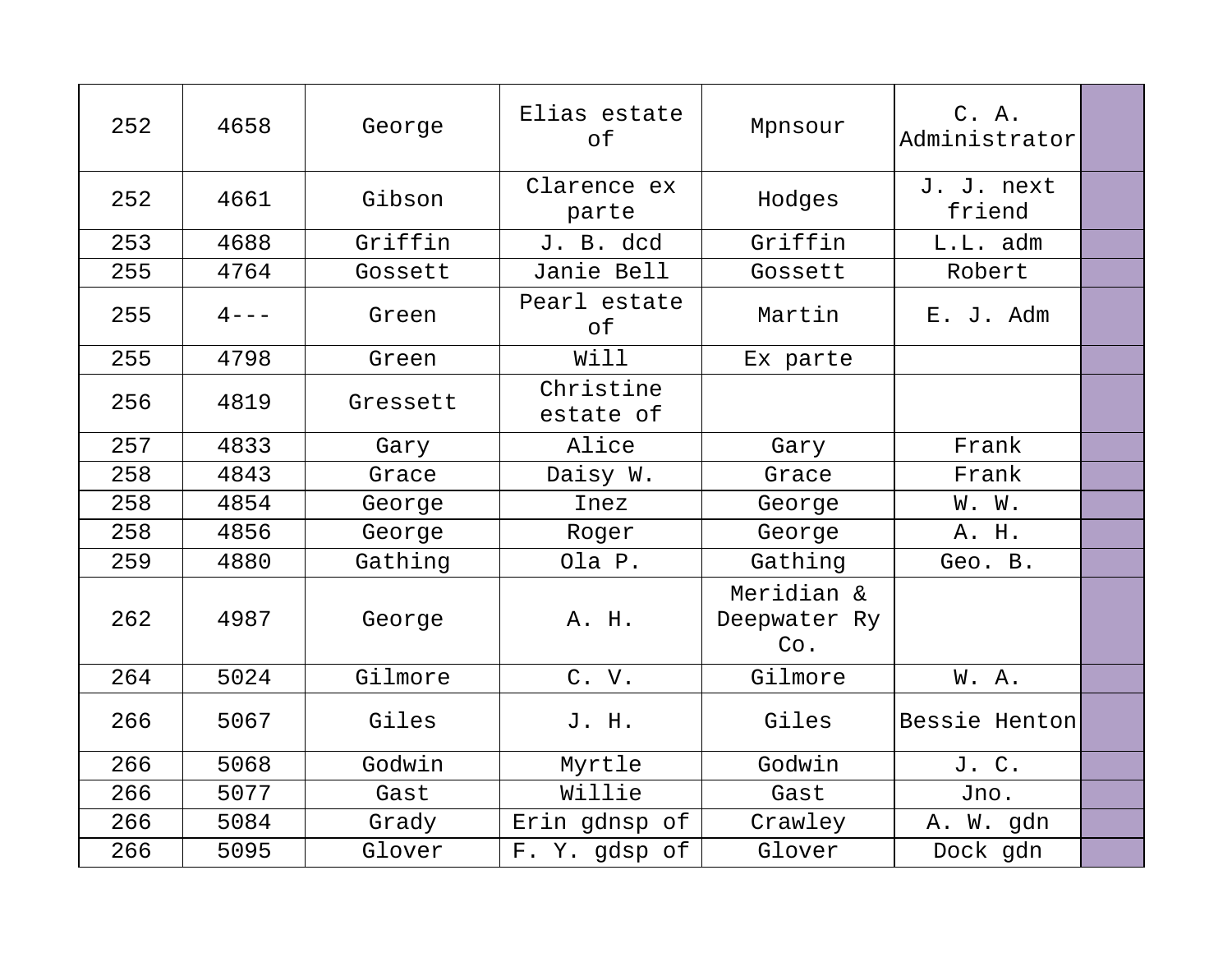| 252 | 4658      | George   | Elias estate<br>of     | Mpnsour                           | C. A.<br>Administrator |  |
|-----|-----------|----------|------------------------|-----------------------------------|------------------------|--|
| 252 | 4661      | Gibson   | Clarence ex<br>parte   | Hodges                            | J. J. next<br>friend   |  |
| 253 | 4688      | Griffin  | J. B. dcd              | Griffin                           | L.L. adm               |  |
| 255 | 4764      | Gossett  | Janie Bell             | Gossett                           | Robert                 |  |
| 255 | $4 - - -$ | Green    | Pearl estate<br>of     | Martin                            | E. J. Adm              |  |
| 255 | 4798      | Green    | Will                   | Ex parte                          |                        |  |
| 256 | 4819      | Gressett | Christine<br>estate of |                                   |                        |  |
| 257 | 4833      | Gary     | Alice                  | Gary                              | Frank                  |  |
| 258 | 4843      | Grace    | Daisy W.               | Grace                             | Frank                  |  |
| 258 | 4854      | George   | Inez                   | George                            | W. W.                  |  |
| 258 | 4856      | George   | Roger                  | George                            | A. H.                  |  |
| 259 | 4880      | Gathing  | Ola P.                 | Gathing                           | Geo. B.                |  |
| 262 | 4987      | George   | A. H.                  | Meridian &<br>Deepwater Ry<br>Co. |                        |  |
| 264 | 5024      | Gilmore  | C. V.                  | Gilmore                           | W. A.                  |  |
| 266 | 5067      | Giles    | J. H.                  | Giles                             | Bessie Henton          |  |
| 266 | 5068      | Godwin   | Myrtle                 | Godwin                            | J. C.                  |  |
| 266 | 5077      | Gast     | Willie                 | Gast                              | Jno.                   |  |
| 266 | 5084      | Grady    | Erin gdnsp of          | Crawley                           | A. W. gdn              |  |
| 266 | 5095      | Glover   | F. Y. gdsp of          | Glover                            | Dock gdn               |  |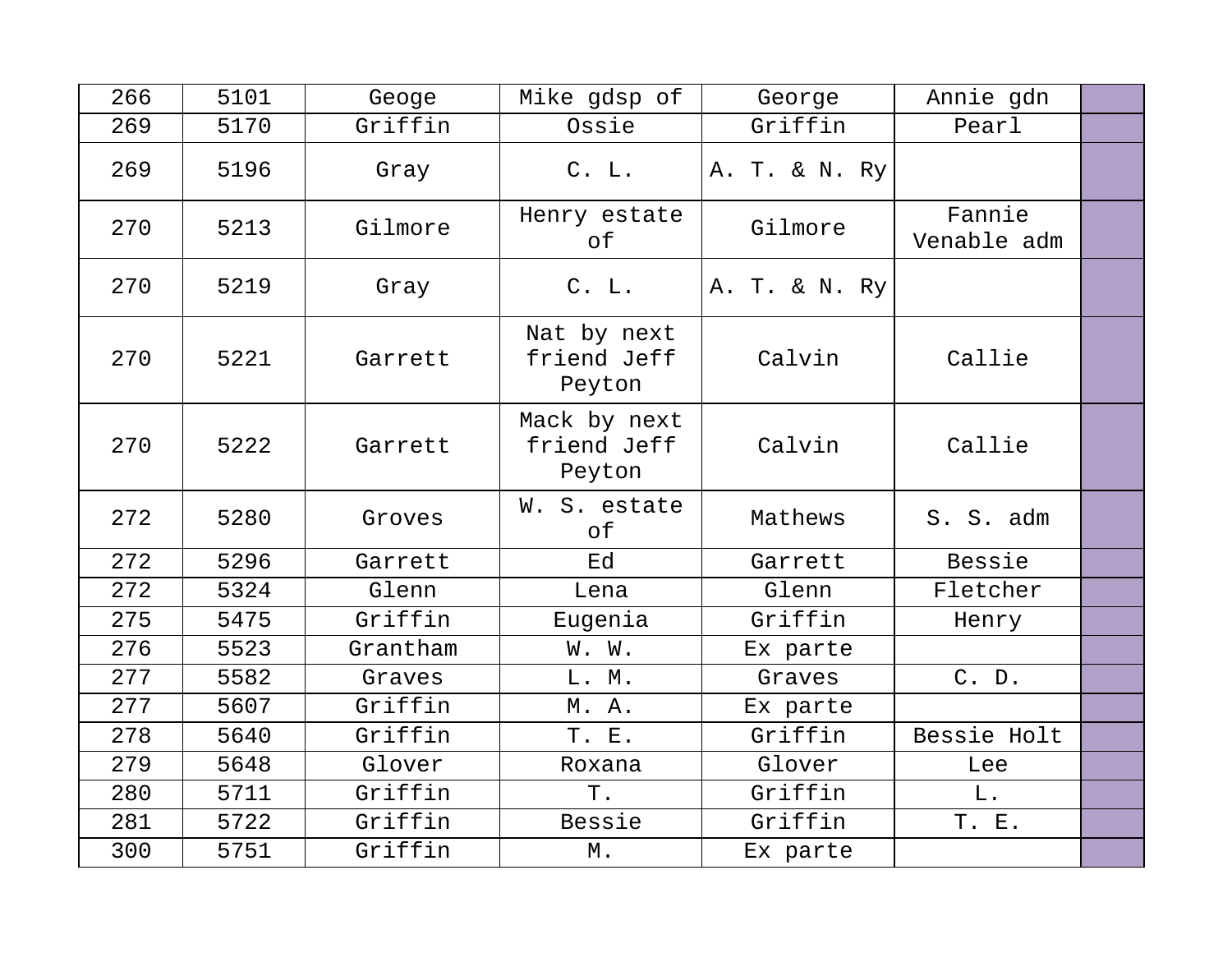| 266 | 5101 | Geoge    | Mike gdsp of                          | George        | Annie gdn             |  |
|-----|------|----------|---------------------------------------|---------------|-----------------------|--|
| 269 | 5170 | Griffin  | Ossie                                 | Griffin       | Pearl                 |  |
| 269 | 5196 | Gray     | C. L.                                 | A. T. & N. Ry |                       |  |
| 270 | 5213 | Gilmore  | Henry estate<br>of                    | Gilmore       | Fannie<br>Venable adm |  |
| 270 | 5219 | Gray     | C. L.                                 | A. T. & N. Ry |                       |  |
| 270 | 5221 | Garrett  | Nat by next<br>friend Jeff<br>Peyton  | Calvin        | Callie                |  |
| 270 | 5222 | Garrett  | Mack by next<br>friend Jeff<br>Peyton | Calvin        | Callie                |  |
| 272 | 5280 | Groves   | W. S. estate<br>of                    | Mathews       | S. S. adm             |  |
| 272 | 5296 | Garrett  | Ed                                    | Garrett       | Bessie                |  |
| 272 | 5324 | Glenn    | Lena                                  | Glenn         | Fletcher              |  |
| 275 | 5475 | Griffin  | Eugenia                               | Griffin       | Henry                 |  |
| 276 | 5523 | Grantham | W. W.                                 | Ex parte      |                       |  |
| 277 | 5582 | Graves   | L. M.                                 | Graves        | C. D.                 |  |
| 277 | 5607 | Griffin  | M. A.                                 | Ex parte      |                       |  |
| 278 | 5640 | Griffin  | T. E.                                 | Griffin       | Bessie Holt           |  |
| 279 | 5648 | Glover   | Roxana                                | Glover        | Lee                   |  |
| 280 | 5711 | Griffin  | Τ.                                    | Griffin       | ${\bf L}$ .           |  |
| 281 | 5722 | Griffin  | Bessie                                | Griffin       | T. E.                 |  |
| 300 | 5751 | Griffin  | М.                                    | Ex parte      |                       |  |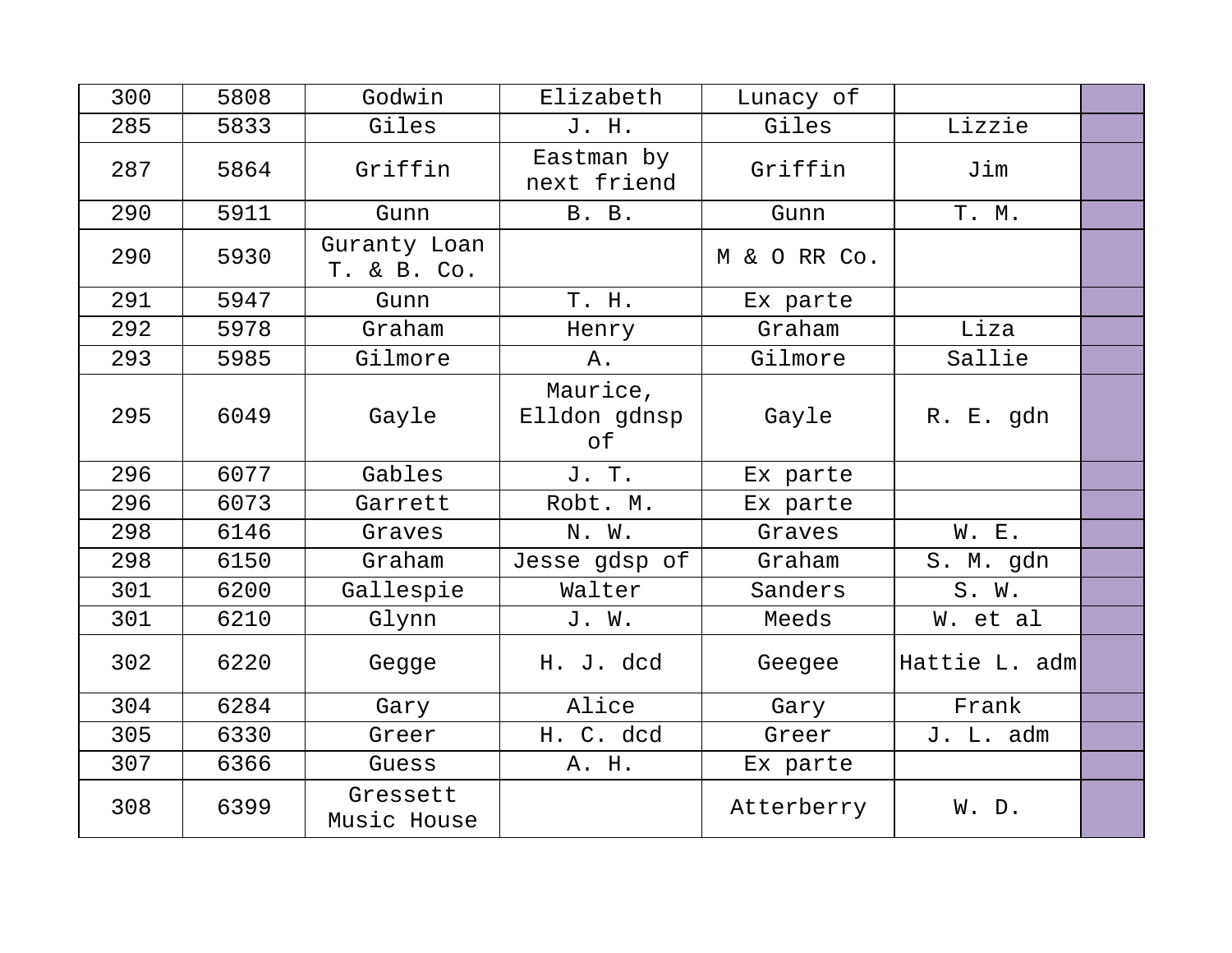| 300 | 5808 | Godwin                      | Elizabeth                      | Lunacy of    |               |  |
|-----|------|-----------------------------|--------------------------------|--------------|---------------|--|
| 285 | 5833 | Giles                       | J. H.                          | Giles        | Lizzie        |  |
| 287 | 5864 | Griffin                     | Eastman by<br>next friend      | Griffin      | Jim           |  |
| 290 | 5911 | Gunn                        | B. B.                          | Gunn         | T. M.         |  |
| 290 | 5930 | Guranty Loan<br>T. & B. Co. |                                | M & O RR Co. |               |  |
| 291 | 5947 | Gunn                        | T. H.                          | Ex parte     |               |  |
| 292 | 5978 | Graham                      | Henry                          | Graham       | Liza          |  |
| 293 | 5985 | Gilmore                     | Α.                             | Gilmore      | Sallie        |  |
| 295 | 6049 | Gayle                       | Maurice,<br>Elldon gdnsp<br>of | Gayle        | R. E. gdn     |  |
| 296 | 6077 | Gables                      | J. T.                          | Ex parte     |               |  |
| 296 | 6073 | Garrett                     | Robt. M.                       | Ex parte     |               |  |
| 298 | 6146 | Graves                      | N. W.                          | Graves       | W. E.         |  |
| 298 | 6150 | Graham                      | Jesse gdsp of                  | Graham       | S. M. gdn     |  |
| 301 | 6200 | Gallespie                   | Walter                         | Sanders      | S. W.         |  |
| 301 | 6210 | Glynn                       | J. W.                          | Meeds        | W. et al      |  |
| 302 | 6220 | Gegge                       | H. J. dcd                      | Geegee       | Hattie L. adm |  |
| 304 | 6284 | Gary                        | Alice                          | Gary         | Frank         |  |
| 305 | 6330 | Greer                       | H. C. dcd                      | Greer        | J. L. adm     |  |
| 307 | 6366 | Guess                       | A. H.                          | Ex parte     |               |  |
| 308 | 6399 | Gressett<br>Music House     |                                | Atterberry   | W. D.         |  |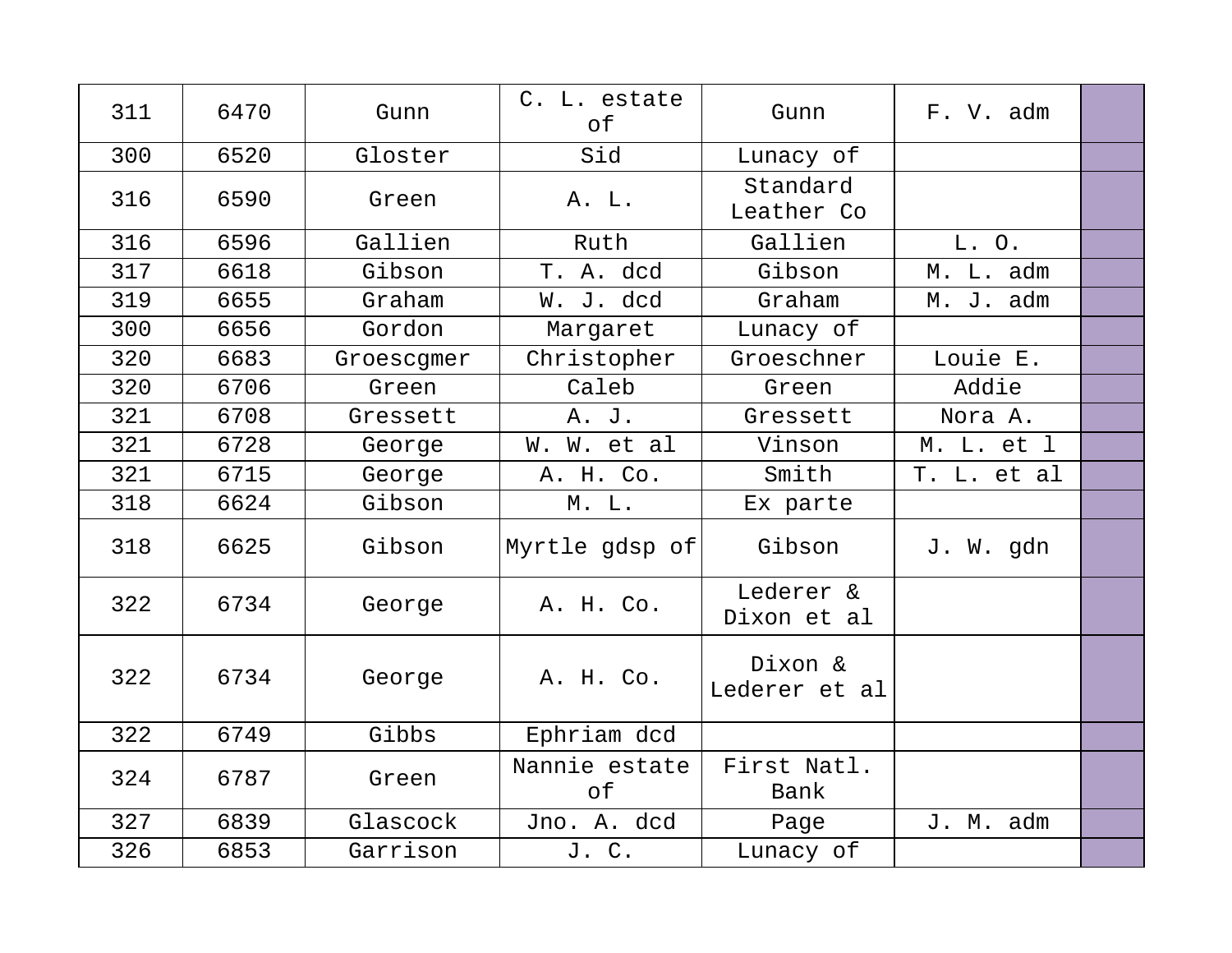| 311 | 6470 | Gunn       | C. L. estate<br>of  | Gunn                     | F. V. adm   |  |
|-----|------|------------|---------------------|--------------------------|-------------|--|
| 300 | 6520 | Gloster    | Sid                 | Lunacy of                |             |  |
| 316 | 6590 | Green      | A. L.               | Standard<br>Leather Co   |             |  |
| 316 | 6596 | Gallien    | Ruth                | Gallien                  | L.O.        |  |
| 317 | 6618 | Gibson     | T. A. dcd           | Gibson                   | M. L. adm   |  |
| 319 | 6655 | Graham     | W. J. dcd           | Graham                   | M. J. adm   |  |
| 300 | 6656 | Gordon     | Margaret            | Lunacy of                |             |  |
| 320 | 6683 | Groescgmer | Christopher         | Groeschner               | Louie E.    |  |
| 320 | 6706 | Green      | Caleb               | Green                    | Addie       |  |
| 321 | 6708 | Gressett   | A. J.               | Gressett                 | Nora A.     |  |
| 321 | 6728 | George     | W. W. et al         | Vinson                   | M. L. et l  |  |
| 321 | 6715 | George     | A. H. Co.           | Smith                    | T. L. et al |  |
| 318 | 6624 | Gibson     | M. L.               | Ex parte                 |             |  |
| 318 | 6625 | Gibson     | Myrtle gdsp of      | Gibson                   | J. W. gdn   |  |
| 322 | 6734 | George     | A. H. Co.           | Lederer &<br>Dixon et al |             |  |
| 322 | 6734 | George     | A. H. Co.           | Dixon &<br>Lederer et al |             |  |
| 322 | 6749 | Gibbs      | Ephriam dcd         |                          |             |  |
| 324 | 6787 | Green      | Nannie estate<br>of | First Natl.<br>Bank      |             |  |
| 327 | 6839 | Glascock   | Jno. A. dcd         | Page                     | J. M. adm   |  |
| 326 | 6853 | Garrison   | J. C.               | Lunacy of                |             |  |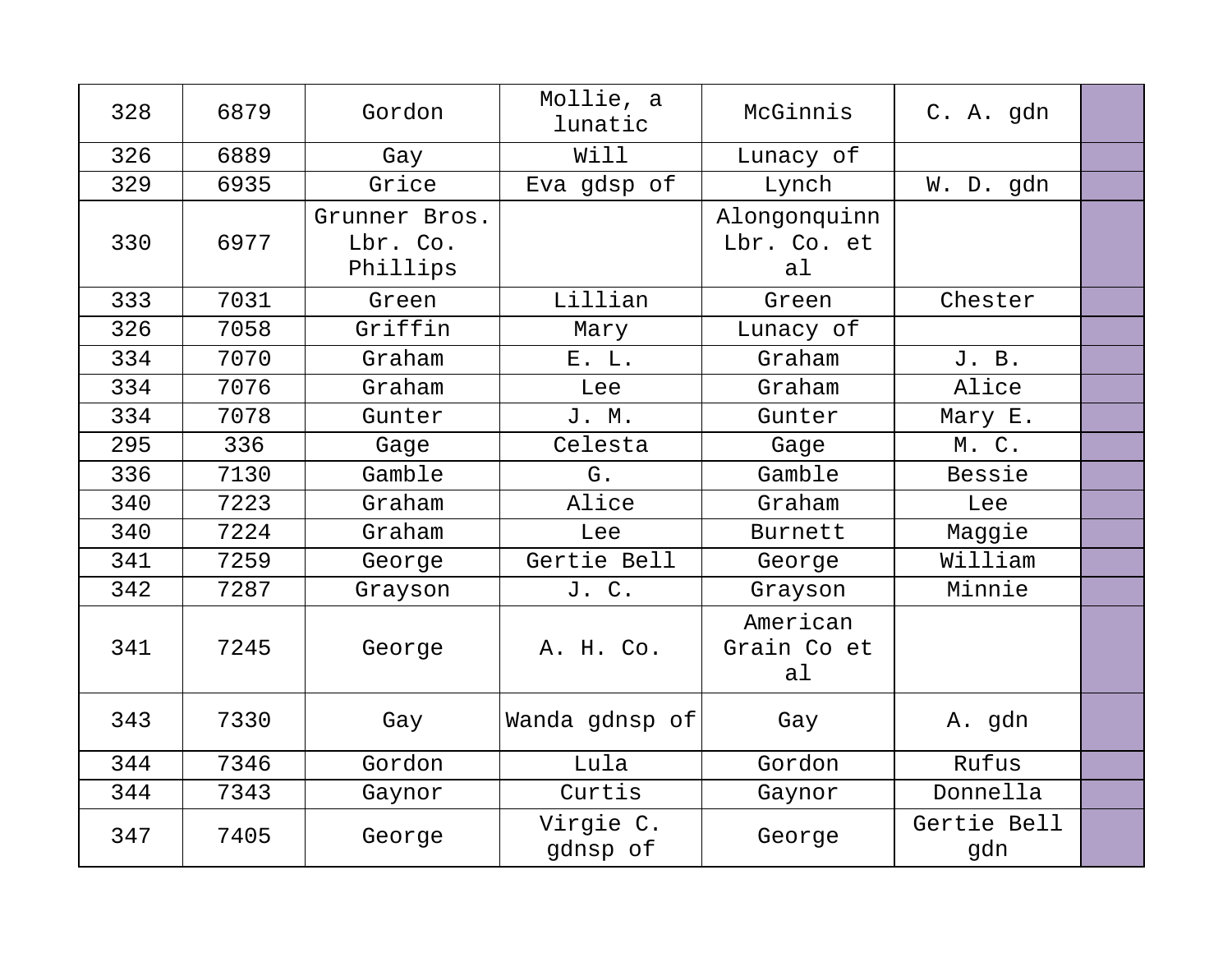| 328 | 6879 | Gordon                                | Mollie, a<br>lunatic  | McGinnis                          | C. A. gdn          |  |
|-----|------|---------------------------------------|-----------------------|-----------------------------------|--------------------|--|
| 326 | 6889 | Gay                                   | Will                  | Lunacy of                         |                    |  |
| 329 | 6935 | Grice                                 | Eva gdsp of           | Lynch                             | W. D. gdn          |  |
| 330 | 6977 | Grunner Bros.<br>Lbr. Co.<br>Phillips |                       | Alongonquinn<br>Lbr. Co. et<br>al |                    |  |
| 333 | 7031 | Green                                 | Lillian               | Green                             | Chester            |  |
| 326 | 7058 | Griffin                               | Mary                  | Lunacy of                         |                    |  |
| 334 | 7070 | Graham                                | E. L.                 | Graham                            | J. B.              |  |
| 334 | 7076 | Graham                                | Lee                   | Graham                            | Alice              |  |
| 334 | 7078 | Gunter                                | J. M.                 | Gunter                            | Mary E.            |  |
| 295 | 336  | Gage                                  | Celesta               | Gage                              | M. C.              |  |
| 336 | 7130 | Gamble                                | G.                    | Gamble                            | Bessie             |  |
| 340 | 7223 | Graham                                | Alice                 | Graham                            | Lee                |  |
| 340 | 7224 | Graham                                | Lee                   | <b>Burnett</b>                    | Maggie             |  |
| 341 | 7259 | George                                | Gertie Bell           | George                            | William            |  |
| 342 | 7287 | Grayson                               | J. C.                 | Grayson                           | Minnie             |  |
| 341 | 7245 | George                                | A. H. Co.             | American<br>Grain Co et<br>al     |                    |  |
| 343 | 7330 | Gay                                   | Wanda gdnsp of        | Gay                               | A. gdn             |  |
| 344 | 7346 | Gordon                                | Lula                  | Gordon                            | Rufus              |  |
| 344 | 7343 | Gaynor                                | Curtis                | Gaynor                            | Donnella           |  |
| 347 | 7405 | George                                | Virgie C.<br>qdnsp of | George                            | Gertie Bell<br>gdn |  |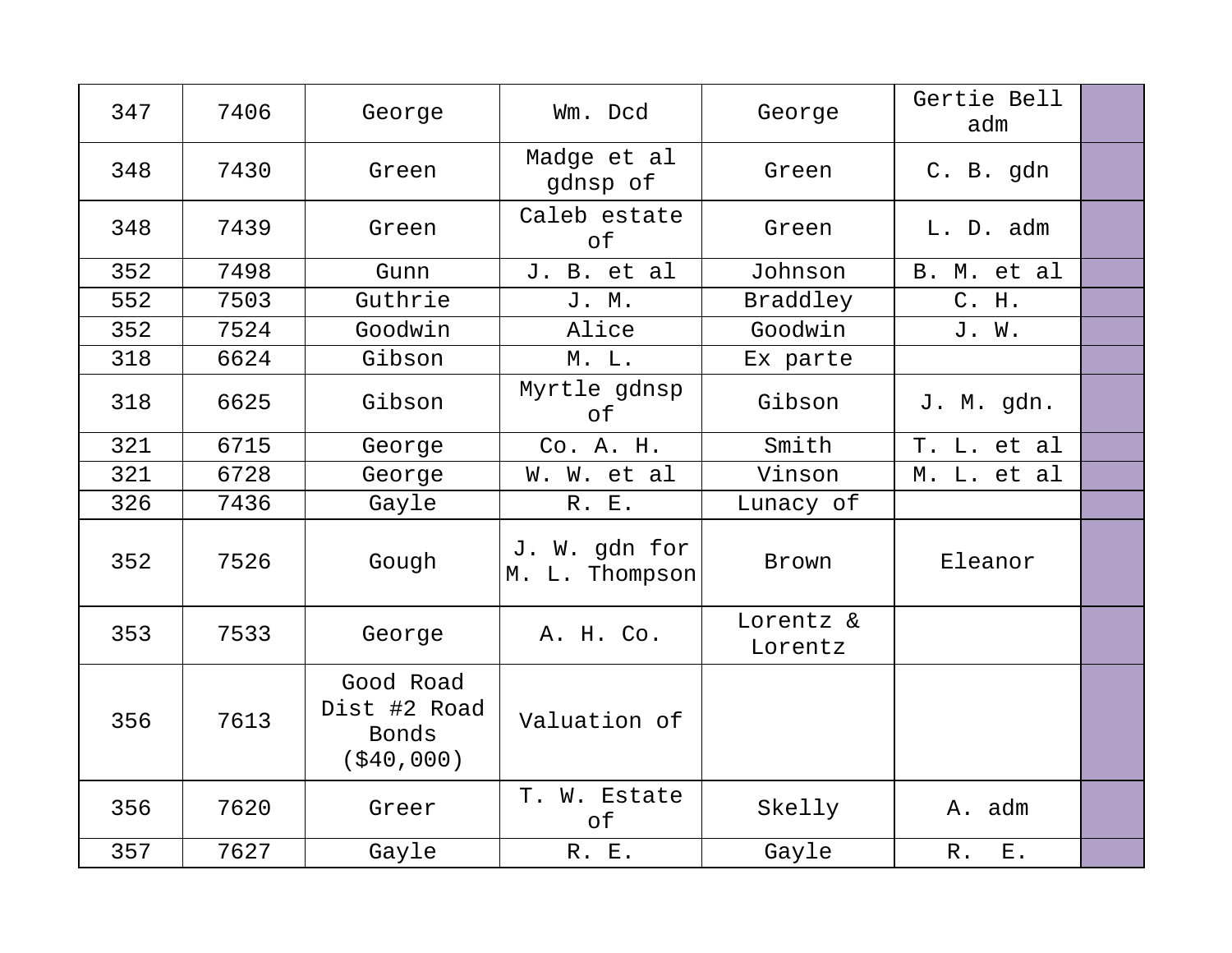| 347 | 7406 | George                                            | Wm. Dcd                         | George               | Gertie Bell<br>adm   |  |
|-----|------|---------------------------------------------------|---------------------------------|----------------------|----------------------|--|
| 348 | 7430 | Green                                             | Madge et al<br>gdnsp of         | Green                | C. B. gdn            |  |
| 348 | 7439 | Green                                             | Caleb estate<br>of              | Green                | L. D. adm            |  |
| 352 | 7498 | Gunn                                              | J. B. et al                     | Johnson              | B. M. et al          |  |
| 552 | 7503 | Guthrie                                           | J. M.                           | Braddley             | C. H.                |  |
| 352 | 7524 | Goodwin                                           | Alice                           | Goodwin              | J. W.                |  |
| 318 | 6624 | Gibson                                            | M. L.                           | Ex parte             |                      |  |
| 318 | 6625 | Gibson                                            | Myrtle gdnsp<br>оf              | Gibson               | J. M. gdn.           |  |
| 321 | 6715 | George                                            | Co. A. H.                       | Smith                | T. L. et al          |  |
| 321 | 6728 | George                                            | W. W. et al                     | Vinson               | M. L. et al          |  |
| 326 | 7436 | Gayle                                             | R. E.                           | Lunacy of            |                      |  |
| 352 | 7526 | Gough                                             | J. W. gdn for<br>M. L. Thompson | Brown                | Eleanor              |  |
| 353 | 7533 | George                                            | A. H. Co.                       | Lorentz &<br>Lorentz |                      |  |
| 356 | 7613 | Good Road<br>Dist #2 Road<br>Bonds<br>( \$40,000) | Valuation of                    |                      |                      |  |
| 356 | 7620 | Greer                                             | T. W. Estate<br>of              | Skelly               | A. adm               |  |
| 357 | 7627 | Gayle                                             | R. E.                           | Gayle                | ${\bf E}$ .<br>$R$ . |  |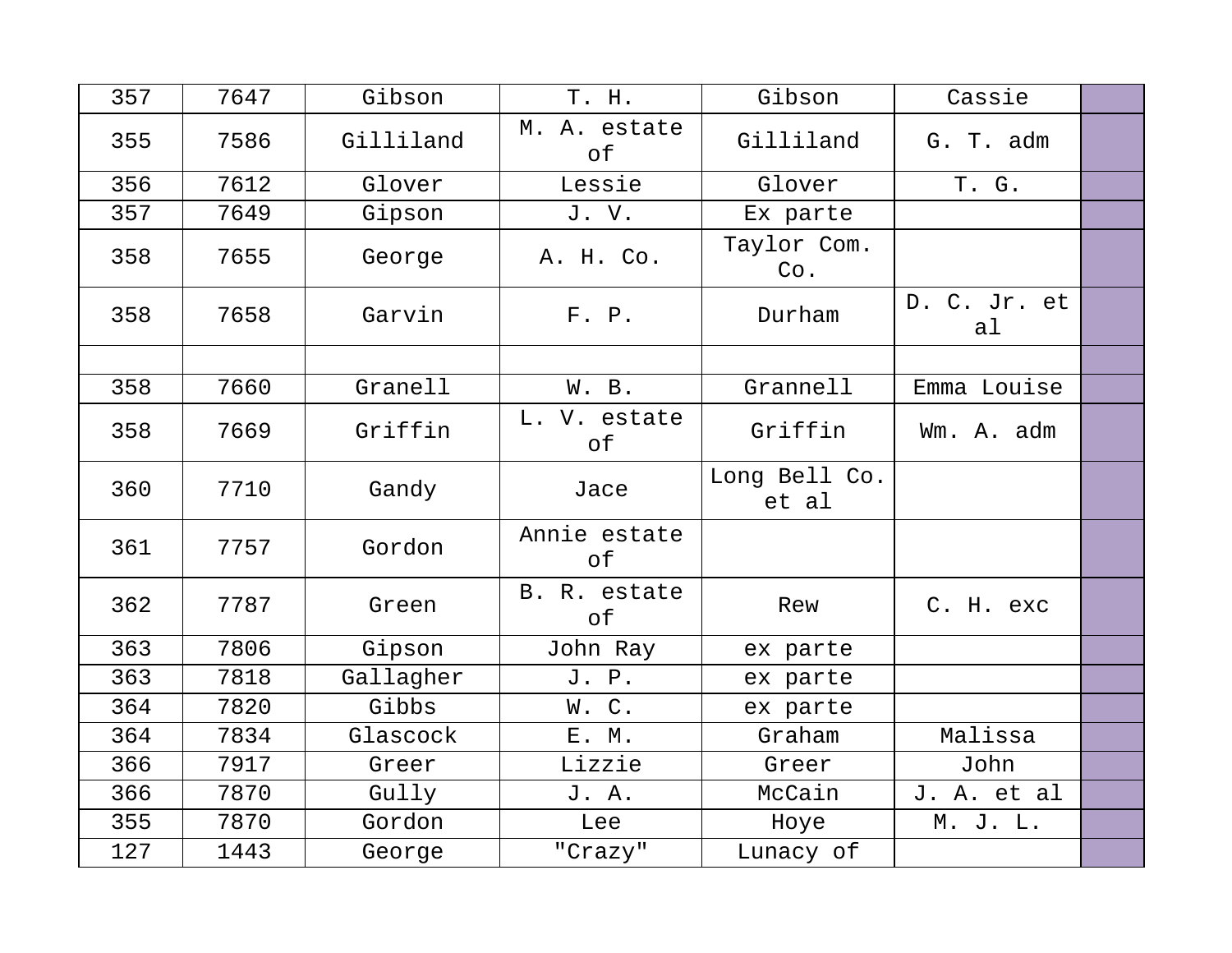| 357 | 7647 | Gibson    | T. H.              | Gibson                 | Cassie             |  |
|-----|------|-----------|--------------------|------------------------|--------------------|--|
| 355 | 7586 | Gilliland | M. A. estate<br>оf | Gilliland              | G. T. adm          |  |
| 356 | 7612 | Glover    | Lessie             | Glover                 | T. G.              |  |
| 357 | 7649 | Gipson    | J.V.               | Ex parte               |                    |  |
| 358 | 7655 | George    | A. H. Co.          | Taylor Com.<br>Co.     |                    |  |
| 358 | 7658 | Garvin    | F. P.              | Durham                 | D. C. Jr. et<br>al |  |
|     |      |           |                    |                        |                    |  |
| 358 | 7660 | Granell   | W. B.              | Grannell               | Emma Louise        |  |
| 358 | 7669 | Griffin   | L. V. estate<br>оf | Griffin                | Wm. A. adm         |  |
| 360 | 7710 | Gandy     | Jace               | Long Bell Co.<br>et al |                    |  |
| 361 | 7757 | Gordon    | Annie estate<br>of |                        |                    |  |
| 362 | 7787 | Green     | B. R. estate<br>of | Rew                    | C. H. exc          |  |
| 363 | 7806 | Gipson    | John Ray           | ex parte               |                    |  |
| 363 | 7818 | Gallagher | J. P.              | ex parte               |                    |  |
| 364 | 7820 | Gibbs     | W.C.               | ex parte               |                    |  |
| 364 | 7834 | Glascock  | E. M.              | Graham                 | Malissa            |  |
| 366 | 7917 | Greer     | Lizzie             | Greer                  | John               |  |
| 366 | 7870 | Gully     | J. A.              | McCain                 | J. A. et al        |  |
| 355 | 7870 | Gordon    | Lee                | Hoye                   | M. J. L.           |  |
| 127 | 1443 | George    | "Crazy"            | Lunacy of              |                    |  |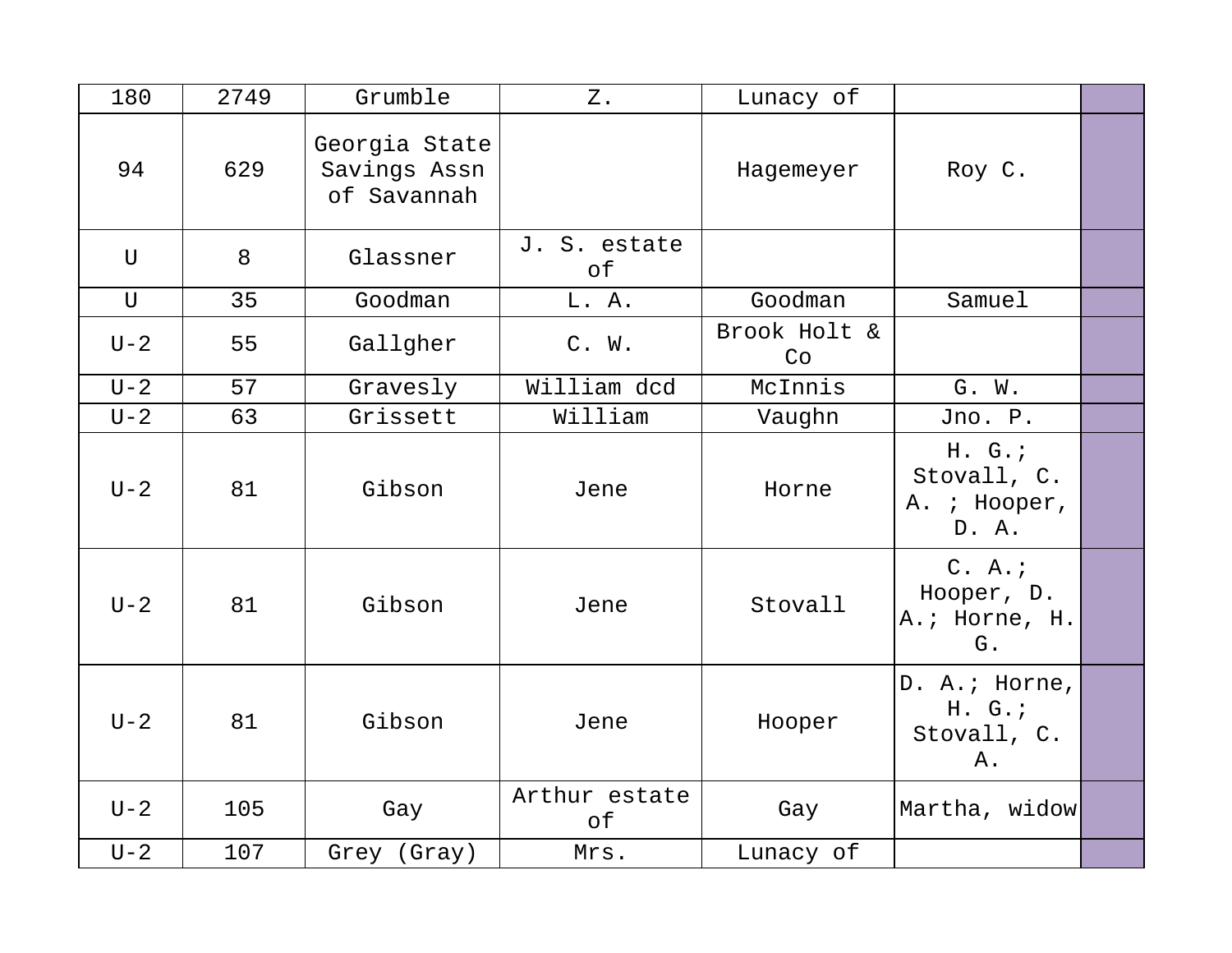| 180         | 2749 | Grumble                                      | $Z$ .               | Lunacy of          |                                               |  |
|-------------|------|----------------------------------------------|---------------------|--------------------|-----------------------------------------------|--|
| 94          | 629  | Georgia State<br>Savings Assn<br>of Savannah |                     | Hagemeyer          | Roy C.                                        |  |
| $\mathbf U$ | 8    | Glassner                                     | J. S. estate<br>оf  |                    |                                               |  |
| $\mathbf U$ | 35   | Goodman                                      | L. A.               | Goodman            | Samuel                                        |  |
| $U-2$       | 55   | Gallgher                                     | C. W.               | Brook Holt &<br>Co |                                               |  |
| $U-2$       | 57   | Gravesly                                     | William dcd         | McInnis            | G. W.                                         |  |
| $U-2$       | 63   | Grissett                                     | William             | Vaughn             | Jno. P.                                       |  |
| $U-2$       | 81   | Gibson                                       | Jene                | Horne              | H. G.<br>Stovall, C.<br>A. ; Hooper,<br>D. A. |  |
| $U-2$       | 81   | Gibson                                       | Jene                | Stovall            | C. A.<br>Hooper, D.<br>A.; Horne, H.<br>G.    |  |
| $U-2$       | 81   | Gibson                                       | Jene                | Hooper             | D. A.; Horne,<br>H. G.<br>Stovall, C.<br>Α.   |  |
| $U - 2$     | 105  | Gay                                          | Arthur estate<br>оf | Gay                | Martha, widow                                 |  |
| $U-2$       | 107  | Grey (Gray)                                  | Mrs.                | Lunacy of          |                                               |  |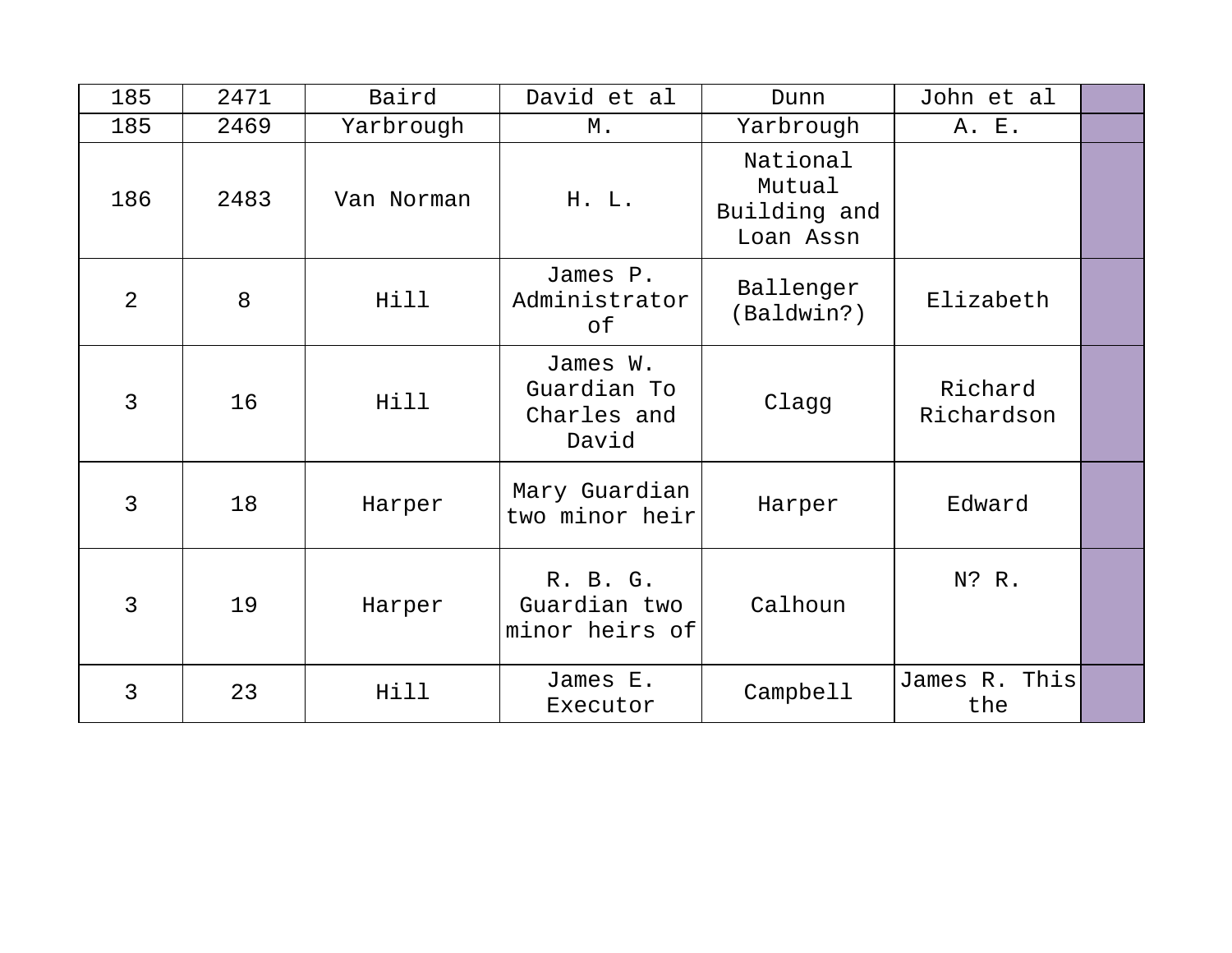| 185            | 2471 | Baird      | David et al                                     | Dunn                                            | John et al            |  |
|----------------|------|------------|-------------------------------------------------|-------------------------------------------------|-----------------------|--|
| 185            | 2469 | Yarbrough  | М.                                              | Yarbrough                                       | A. E.                 |  |
| 186            | 2483 | Van Norman | H. L.                                           | National<br>Mutual<br>Building and<br>Loan Assn |                       |  |
| $\overline{2}$ | 8    | Hill       | James P.<br>Administrator<br>оf                 | Ballenger<br>(Baldwin?)                         | Elizabeth             |  |
| 3              | 16   | Hill       | James W.<br>Guardian To<br>Charles and<br>David | Clagg                                           | Richard<br>Richardson |  |
| 3              | 18   | Harper     | Mary Guardian<br>two minor heir                 | Harper                                          | Edward                |  |
| 3              | 19   | Harper     | R. B. G.<br>Guardian two<br>minor heirs of      | Calhoun                                         | N? R.                 |  |
| 3              | 23   | Hill       | James E.<br>Executor                            | Campbell                                        | James R. This<br>the  |  |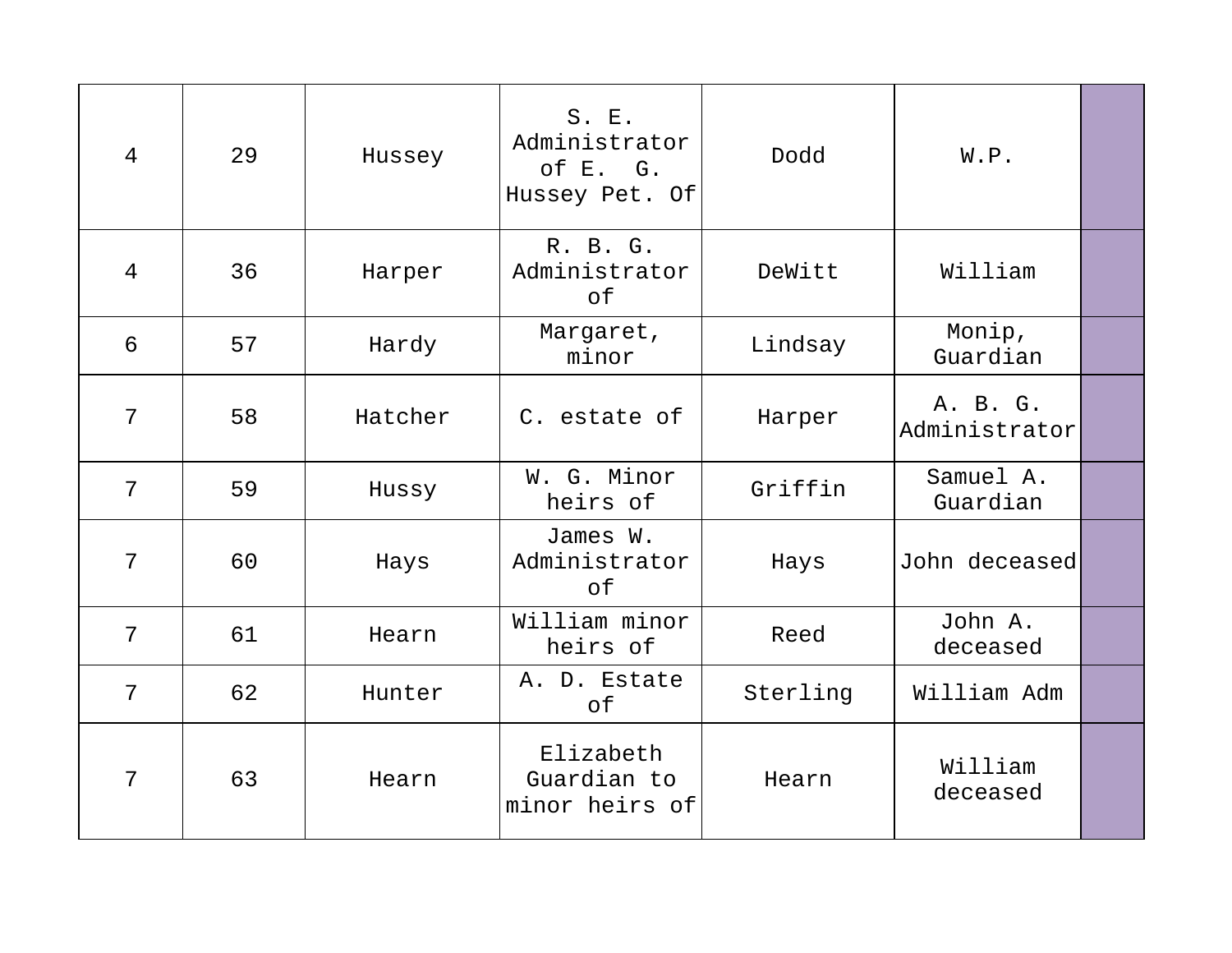| $\overline{4}$ | 29 | Hussey  | S. E.<br>Administrator<br>of E. G.<br>Hussey Pet. Of | Dodd     | W.P.                      |  |
|----------------|----|---------|------------------------------------------------------|----------|---------------------------|--|
| $\overline{4}$ | 36 | Harper  | R. B. G.<br>Administrator<br>of                      | DeWitt   | William                   |  |
| 6              | 57 | Hardy   | Margaret,<br>minor                                   | Lindsay  | Monip,<br>Guardian        |  |
| 7              | 58 | Hatcher | C. estate of                                         | Harper   | A. B. G.<br>Administrator |  |
| 7              | 59 | Hussy   | W. G. Minor<br>heirs of                              | Griffin  | Samuel A.<br>Guardian     |  |
| 7              | 60 | Hays    | James W.<br>Administrator<br>оf                      | Hays     | John deceased             |  |
| 7              | 61 | Hearn   | William minor<br>heirs of                            | Reed     | John A.<br>deceased       |  |
| 7              | 62 | Hunter  | A. D. Estate<br>of                                   | Sterling | William Adm               |  |
| 7              | 63 | Hearn   | Elizabeth<br>Guardian to<br>minor heirs of           | Hearn    | William<br>deceased       |  |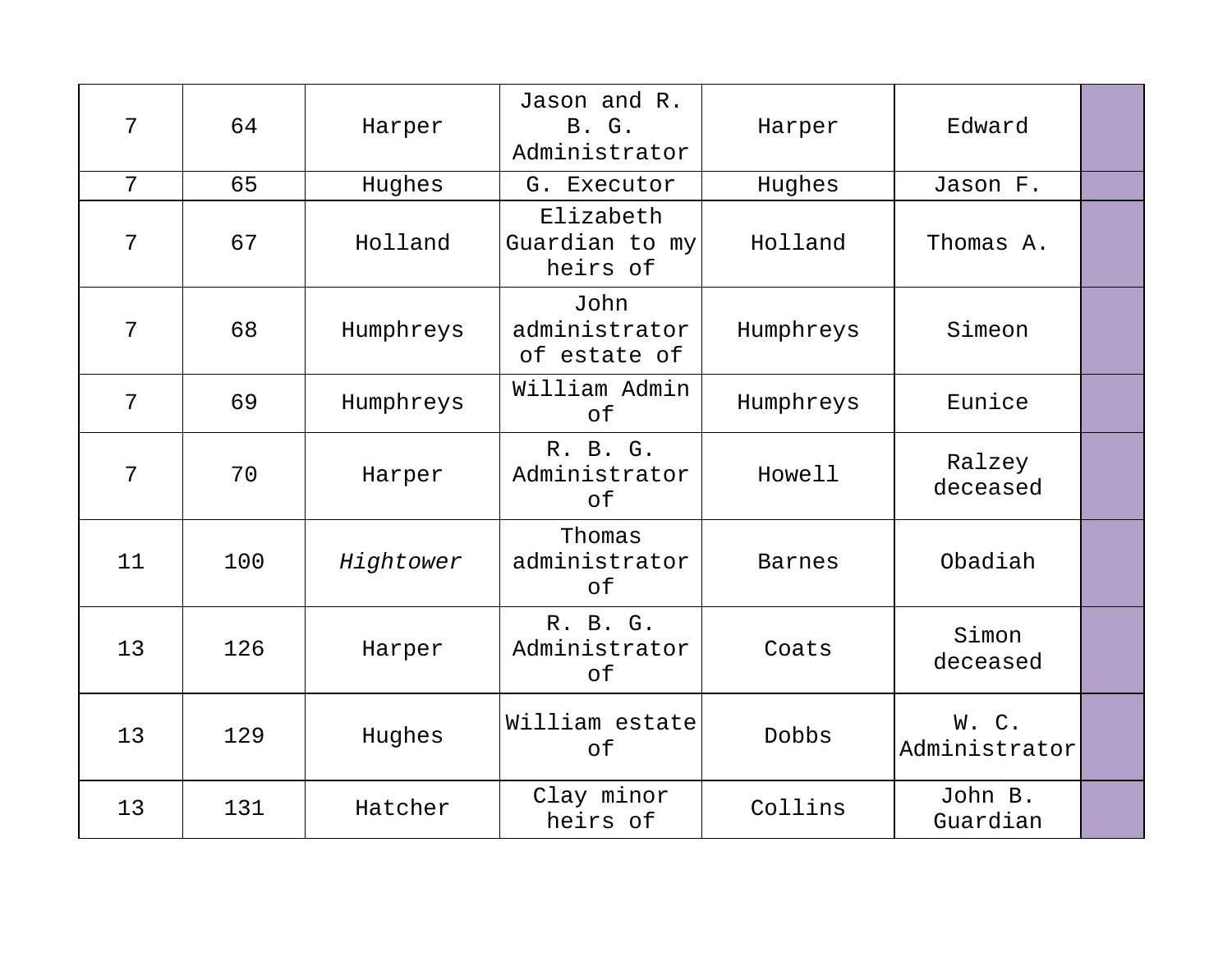| 7  | 64  | Harper    | Jason and R.<br><b>B.</b> G.<br>Administrator | Harper        | Edward                |  |
|----|-----|-----------|-----------------------------------------------|---------------|-----------------------|--|
| 7  | 65  | Hughes    | G. Executor                                   | Hughes        | Jason F.              |  |
| 7  | 67  | Holland   | Elizabeth<br>Guardian to my<br>heirs of       | Holland       | Thomas A.             |  |
| 7  | 68  | Humphreys | John<br>administrator<br>of estate of         | Humphreys     | Simeon                |  |
| 7  | 69  | Humphreys | William Admin<br>of                           | Humphreys     | Eunice                |  |
| 7  | 70  | Harper    | R. B. G.<br>Administrator<br>of               | Howell        | Ralzey<br>deceased    |  |
| 11 | 100 | Hightower | Thomas<br>administrator<br>of                 | <b>Barnes</b> | Obadiah               |  |
| 13 | 126 | Harper    | R. B. G.<br>Administrator<br>of               | Coats         | Simon<br>deceased     |  |
| 13 | 129 | Hughes    | William estate<br>of                          | Dobbs         | W.C.<br>Administrator |  |
| 13 | 131 | Hatcher   | Clay minor<br>heirs of                        | Collins       | John B.<br>Guardian   |  |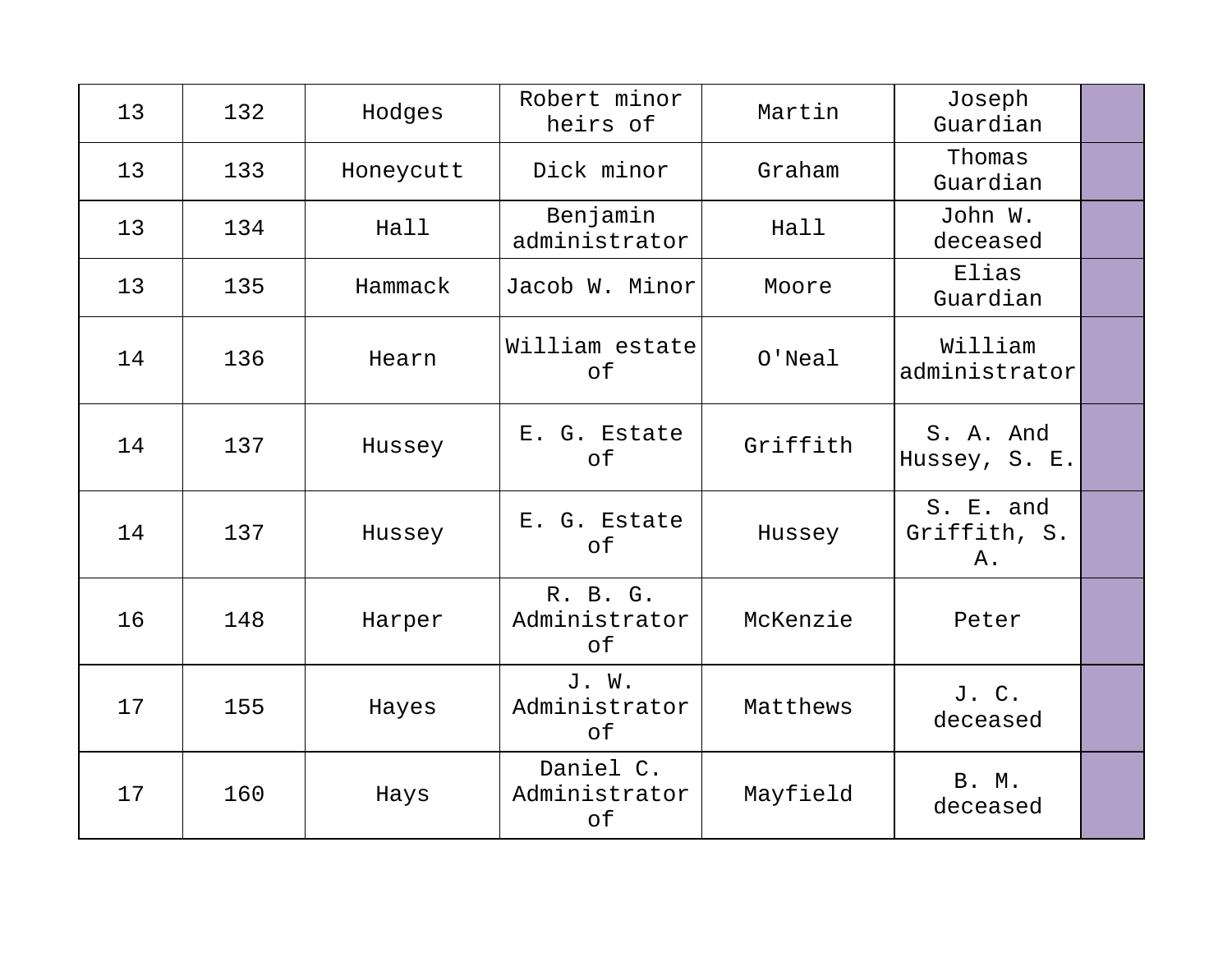| 13 | 132 | Hodges    | Robert minor<br>heirs of         | Martin    | Joseph<br>Guardian              |  |
|----|-----|-----------|----------------------------------|-----------|---------------------------------|--|
| 13 | 133 | Honeycutt | Dick minor                       | Graham    | Thomas<br>Guardian              |  |
| 13 | 134 | Hall      | Benjamin<br>administrator        | Hall      | John W.<br>deceased             |  |
| 13 | 135 | Hammack   | Jacob W. Minor                   | Moore     | Elias<br>Guardian               |  |
| 14 | 136 | Hearn     | William estate<br>of             | $O'$ Neal | William<br>administrator        |  |
| 14 | 137 | Hussey    | E. G. Estate<br>of               | Griffith  | S. A. And<br>Hussey, S. E.      |  |
| 14 | 137 | Hussey    | E. G. Estate<br>of               | Hussey    | S. E. and<br>Griffith, S.<br>Α. |  |
| 16 | 148 | Harper    | R. B. G.<br>Administrator<br>оf  | McKenzie  | Peter                           |  |
| 17 | 155 | Hayes     | J. W.<br>Administrator<br>of     | Matthews  | J. C.<br>deceased               |  |
| 17 | 160 | Hays      | Daniel C.<br>Administrator<br>of | Mayfield  | <b>B. M.</b><br>deceased        |  |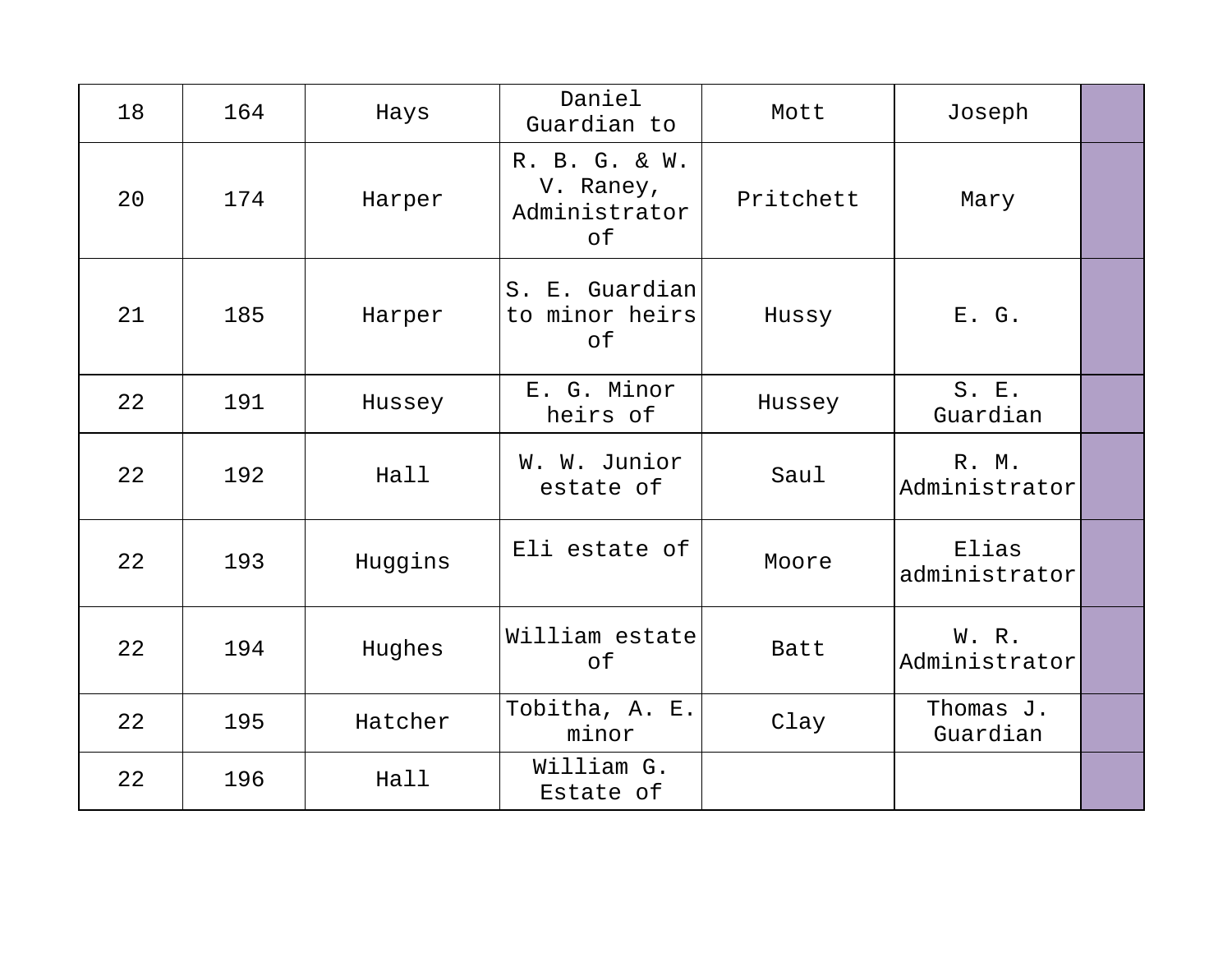| 18 | 164 | Hays    | Daniel<br>Guardian to                             | Mott      | Joseph                 |  |
|----|-----|---------|---------------------------------------------------|-----------|------------------------|--|
| 20 | 174 | Harper  | R. B. G. & W.<br>V. Raney,<br>Administrator<br>of | Pritchett | Mary                   |  |
| 21 | 185 | Harper  | S. E. Guardian<br>to minor heirs<br>of            | Hussy     | E. G.                  |  |
| 22 | 191 | Hussey  | E. G. Minor<br>heirs of                           | Hussey    | S. E.<br>Guardian      |  |
| 22 | 192 | Hall    | W. W. Junior<br>estate of                         | Saul      | R. M.<br>Administrator |  |
| 22 | 193 | Huggins | Eli estate of                                     | Moore     | Elias<br>administrator |  |
| 22 | 194 | Hughes  | William estate<br>of                              | Batt      | W. R.<br>Administrator |  |
| 22 | 195 | Hatcher | Tobitha, A. E.<br>minor                           | Clay      | Thomas J.<br>Guardian  |  |
| 22 | 196 | Hall    | William G.<br>Estate of                           |           |                        |  |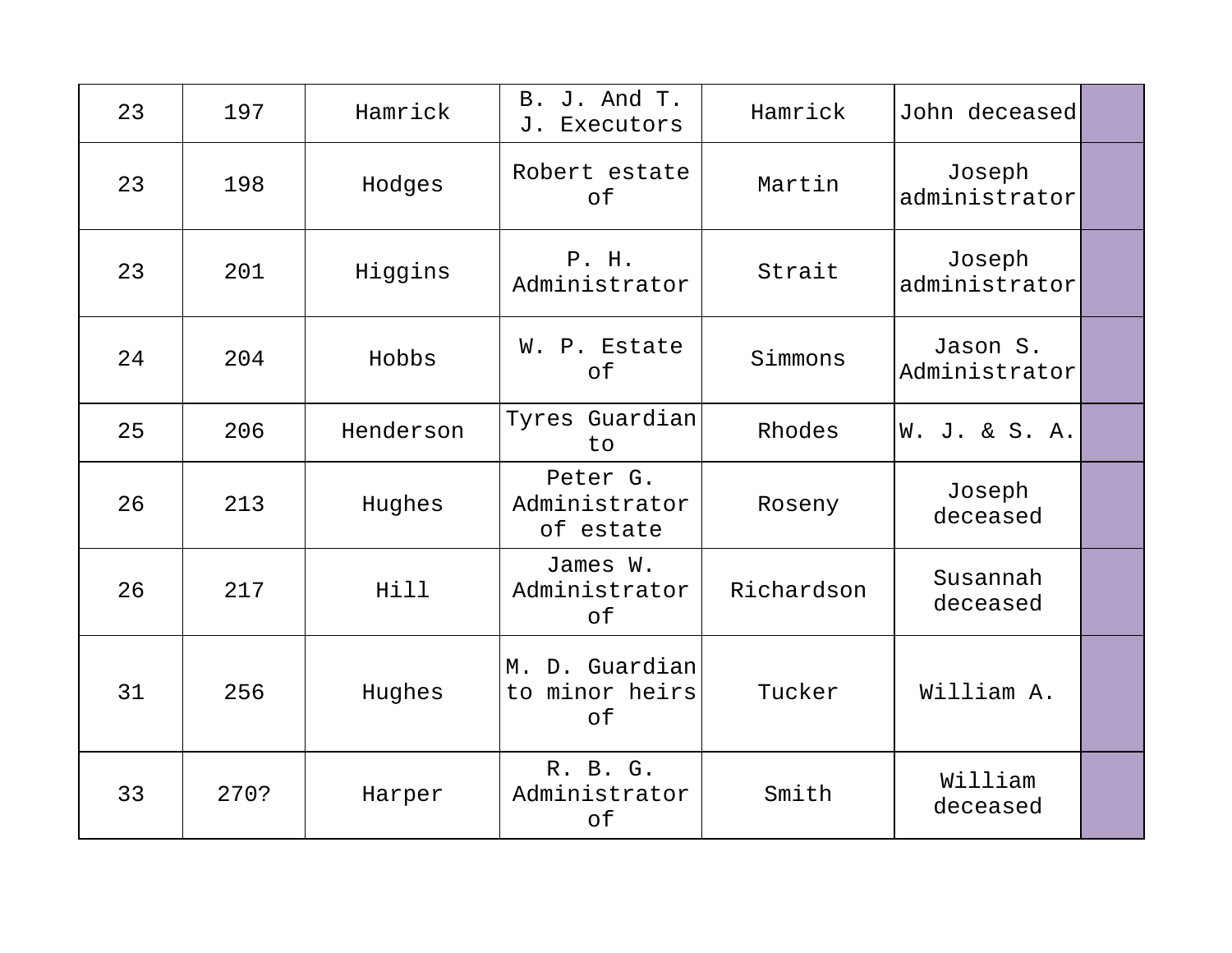| 23 | 197  | Hamrick   | B. J. And T.<br>Executors<br>J.                       | Hamrick    | John deceased             |  |
|----|------|-----------|-------------------------------------------------------|------------|---------------------------|--|
| 23 | 198  | Hodges    | Robert estate<br>of                                   | Martin     | Joseph<br>administrator   |  |
| 23 | 201  | Higgins   | P. H.<br>Administrator                                | Strait     | Joseph<br>administrator   |  |
| 24 | 204  | Hobbs     | W. P. Estate<br>of                                    | Simmons    | Jason S.<br>Administrator |  |
| 25 | 206  | Henderson | Tyres Guardian<br>to                                  | Rhodes     | W. J. & S. A.             |  |
| 26 | 213  | Hughes    | Peter G.<br>Administrator<br>of estate                | Roseny     | Joseph<br>deceased        |  |
| 26 | 217  | Hill      | James W.<br>Administrator<br>of                       | Richardson | Susannah<br>deceased      |  |
| 31 | 256  | Hughes    | D. Guardian<br>M <sub>1</sub><br>to minor heirs<br>of | Tucker     | William A.                |  |
| 33 | 270? | Harper    | R. B. G.<br>Administrator<br>of                       | Smith      | William<br>deceased       |  |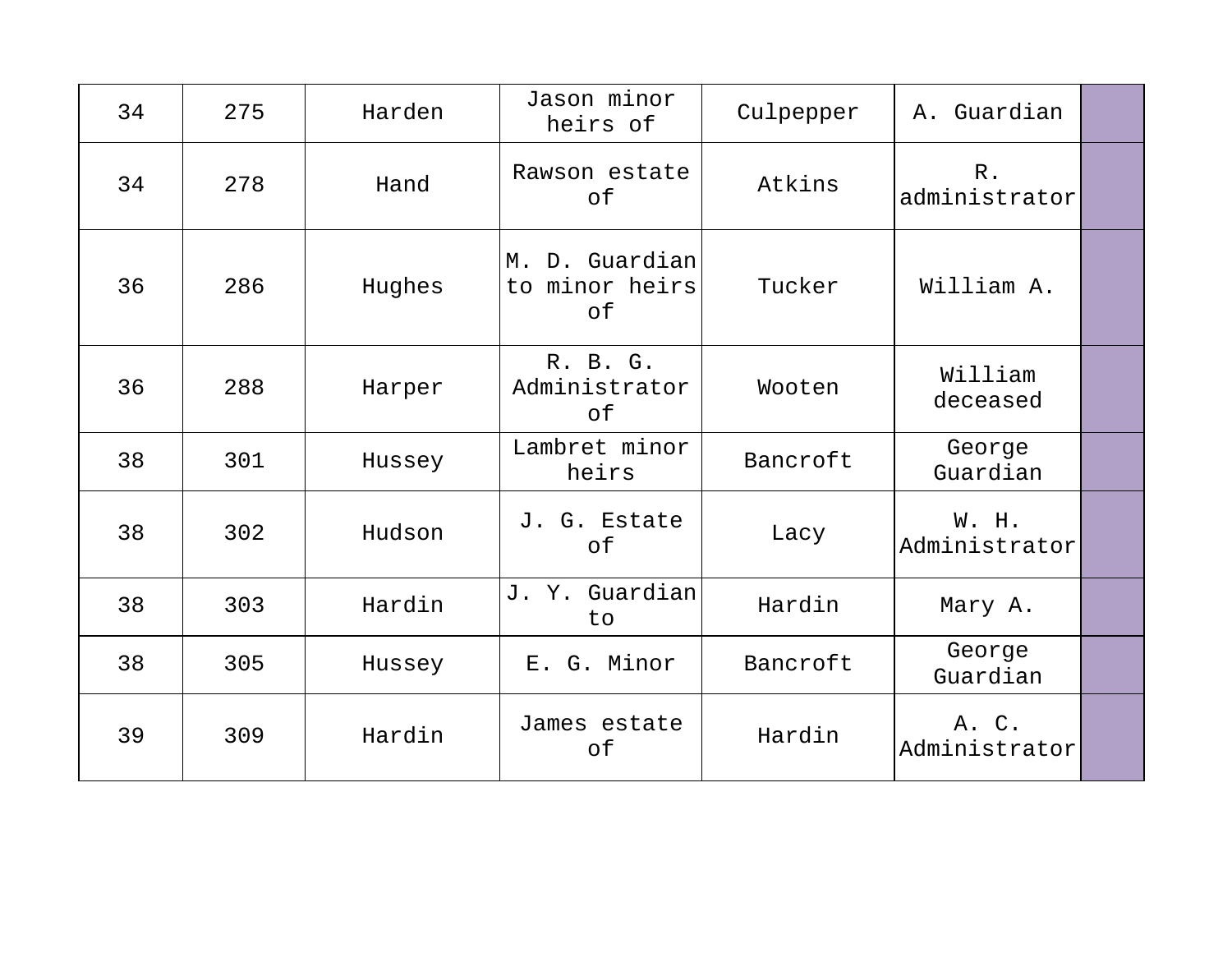| 34 | 275 | Harden | Jason minor<br>heirs of                | Culpepper | A. Guardian            |  |
|----|-----|--------|----------------------------------------|-----------|------------------------|--|
| 34 | 278 | Hand   | Rawson estate<br>of                    | Atkins    | $R$ .<br>administrator |  |
| 36 | 286 | Hughes | M. D. Guardian<br>to minor heirs<br>of | Tucker    | William A.             |  |
| 36 | 288 | Harper | R. B. G.<br>Administrator<br>of        | Wooten    | William<br>deceased    |  |
| 38 | 301 | Hussey | Lambret minor<br>heirs                 | Bancroft  | George<br>Guardian     |  |
| 38 | 302 | Hudson | J. G. Estate<br>of                     | Lacy      | W. H.<br>Administrator |  |
| 38 | 303 | Hardin | J. Y. Guardian<br>to                   | Hardin    | Mary A.                |  |
| 38 | 305 | Hussey | E. G. Minor                            | Bancroft  | George<br>Guardian     |  |
| 39 | 309 | Hardin | James estate<br>of                     | Hardin    | A. C.<br>Administrator |  |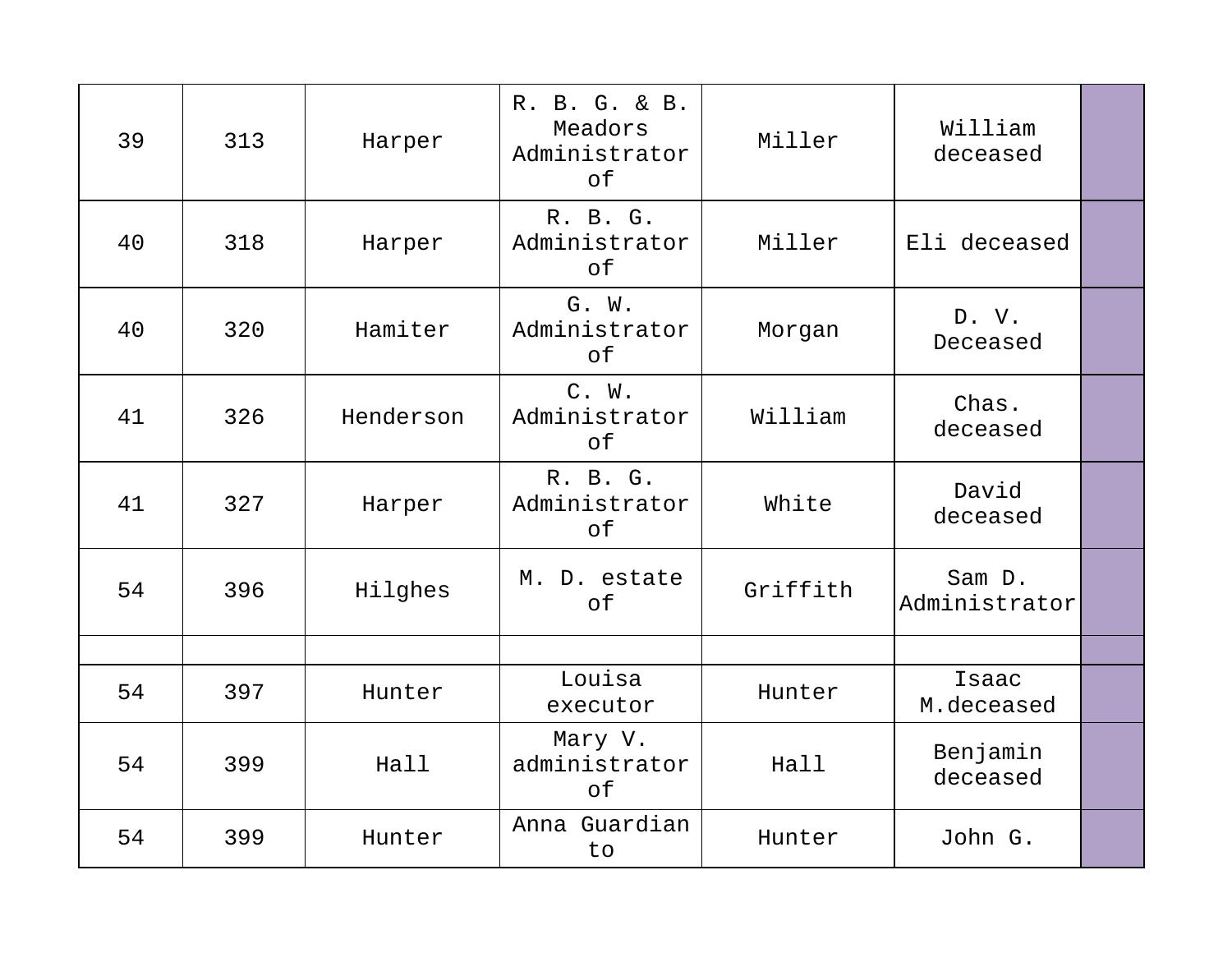| 39 | 313 | Harper    | R. B. G. & B.<br>Meadors<br>Administrator<br>of | Miller   | William<br>deceased     |  |
|----|-----|-----------|-------------------------------------------------|----------|-------------------------|--|
| 40 | 318 | Harper    | R. B. G.<br>Administrator<br>of                 | Miller   | Eli deceased            |  |
| 40 | 320 | Hamiter   | G. W.<br>Administrator<br>of                    | Morgan   | D. V.<br>Deceased       |  |
| 41 | 326 | Henderson | C. W.<br>Administrator<br>of                    | William  | Chas.<br>deceased       |  |
| 41 | 327 | Harper    | R. B. G.<br>Administrator<br>оf                 | White    | David<br>deceased       |  |
| 54 | 396 | Hilghes   | M. D. estate<br>of                              | Griffith | Sam D.<br>Administrator |  |
|    |     |           |                                                 |          |                         |  |
| 54 | 397 | Hunter    | Louisa<br>executor                              | Hunter   | Isaac<br>M.deceased     |  |
| 54 | 399 | Hall      | Mary V.<br>administrator<br>of                  | Hall     | Benjamin<br>deceased    |  |
| 54 | 399 | Hunter    | Anna Guardian<br>to                             | Hunter   | John G.                 |  |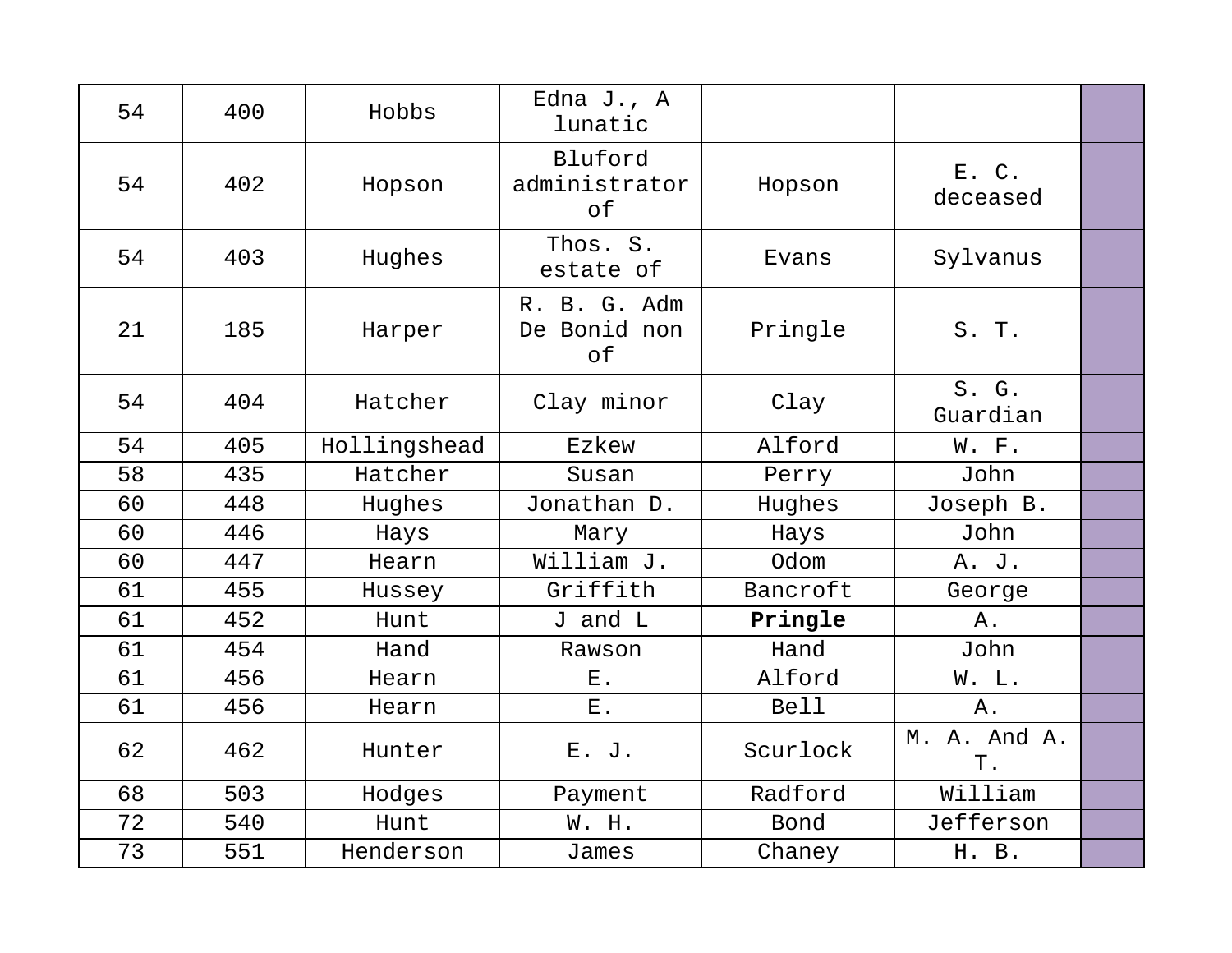| 54 | 400 | Hobbs        | Edna J., A<br>lunatic                 |             |                    |  |
|----|-----|--------------|---------------------------------------|-------------|--------------------|--|
| 54 | 402 | Hopson       | Bluford<br>administrator<br>$\circ$ f | Hopson      | E. C.<br>deceased  |  |
| 54 | 403 | Hughes       | Thos. S.<br>estate of                 | Evans       | Sylvanus           |  |
| 21 | 185 | Harper       | R. B. G. Adm<br>De Bonid non<br>of    | Pringle     | S. T.              |  |
| 54 | 404 | Hatcher      | Clay minor                            | Clay        | S. G.<br>Guardian  |  |
| 54 | 405 | Hollingshead | Ezkew                                 | Alford      | W. F.              |  |
| 58 | 435 | Hatcher      | Susan                                 | Perry       | John               |  |
| 60 | 448 | Hughes       | Jonathan D.                           | Hughes      | Joseph B.          |  |
| 60 | 446 | Hays         | Mary                                  | Hays        | John               |  |
| 60 | 447 | Hearn        | William J.                            | Odom        | A. J.              |  |
| 61 | 455 | Hussey       | Griffith                              | Bancroft    | George             |  |
| 61 | 452 | Hunt         | J and L                               | Pringle     | Α.                 |  |
| 61 | 454 | Hand         | Rawson                                | Hand        | John               |  |
| 61 | 456 | Hearn        | $E$ .                                 | Alford      | W. L.              |  |
| 61 | 456 | Hearn        | ${\bf E}$ .                           | <b>Bell</b> | Α.                 |  |
| 62 | 462 | Hunter       | E. J.                                 | Scurlock    | M. A. And A.<br>Τ. |  |
| 68 | 503 | Hodges       | Payment                               | Radford     | William            |  |
| 72 | 540 | Hunt         | W. H.                                 | Bond        | Jefferson          |  |
| 73 | 551 | Henderson    | James                                 | Chaney      | H. B.              |  |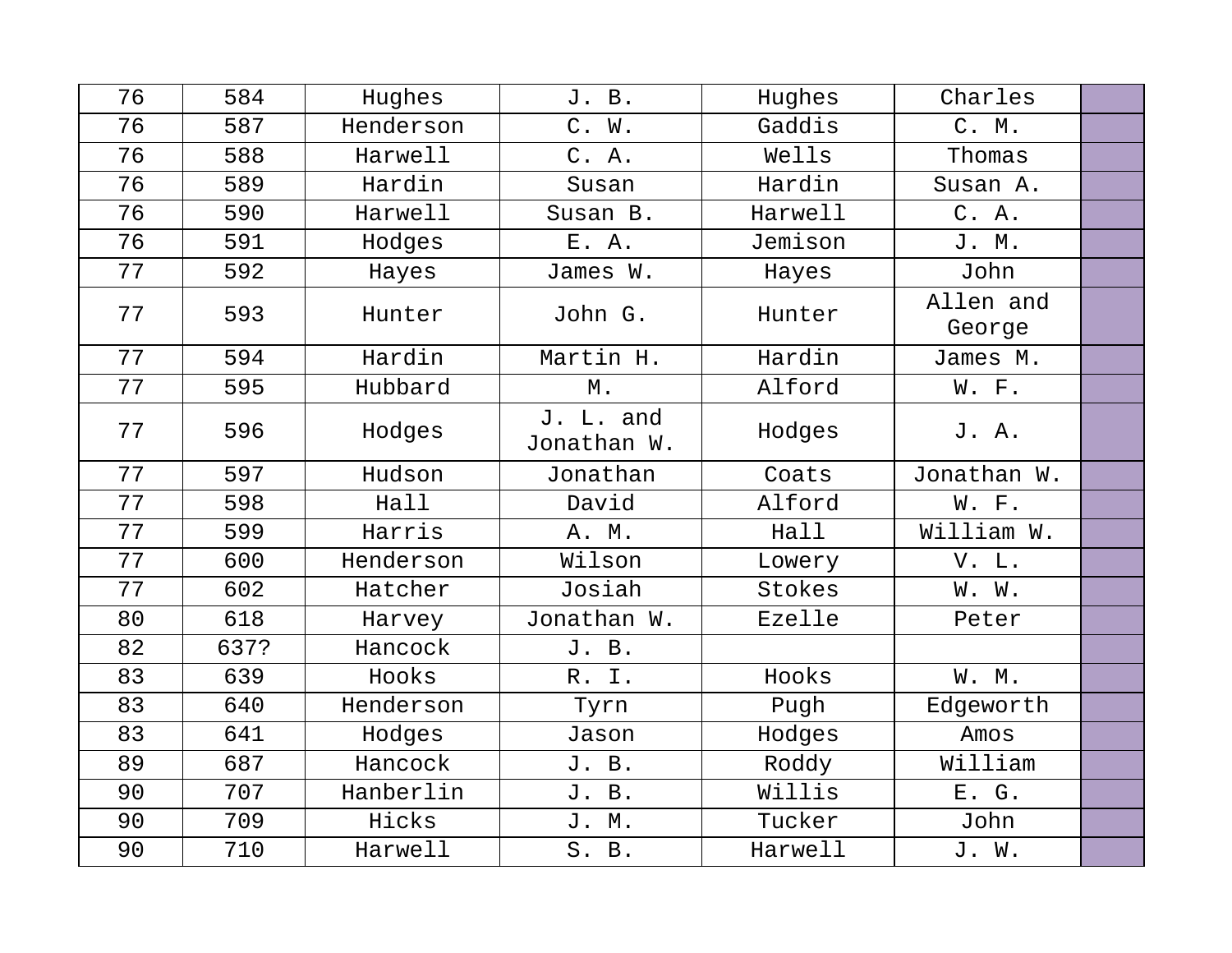| 76 | 584  | Hughes    | J. B.                    | Hughes  | Charles             |  |
|----|------|-----------|--------------------------|---------|---------------------|--|
| 76 | 587  | Henderson | C. W.                    | Gaddis  | C. M.               |  |
| 76 | 588  | Harwell   | C. A.                    | Wells   | Thomas              |  |
| 76 | 589  | Hardin    | Susan                    | Hardin  | Susan A.            |  |
| 76 | 590  | Harwell   | Susan B.                 | Harwell | C. A.               |  |
| 76 | 591  | Hodges    | E. A.                    | Jemison | J. M.               |  |
| 77 | 592  | Hayes     | James W.                 | Hayes   | John                |  |
| 77 | 593  | Hunter    | John G.                  | Hunter  | Allen and<br>George |  |
| 77 | 594  | Hardin    | Martin H.                | Hardin  | James M.            |  |
| 77 | 595  | Hubbard   | Μ.                       | Alford  | W. F.               |  |
| 77 | 596  | Hodges    | J. L. and<br>Jonathan W. | Hodges  | J. A.               |  |
| 77 | 597  | Hudson    | Jonathan                 | Coats   | Jonathan W.         |  |
| 77 | 598  | Hall      | David                    | Alford  | W. F.               |  |
| 77 | 599  | Harris    | A. M.                    | Hall    | William W.          |  |
| 77 | 600  | Henderson | Wilson                   | Lowery  | V. L.               |  |
| 77 | 602  | Hatcher   | Josiah                   | Stokes  | W. W.               |  |
| 80 | 618  | Harvey    | Jonathan W.              | Ezelle  | Peter               |  |
| 82 | 637? | Hancock   | J. B.                    |         |                     |  |
| 83 | 639  | Hooks     | R. I.                    | Hooks   | W. M.               |  |
| 83 | 640  | Henderson | Tyrn                     | Pugh    | Edgeworth           |  |
| 83 | 641  | Hodges    | Jason                    | Hodges  | Amos                |  |
| 89 | 687  | Hancock   | J. B.                    | Roddy   | William             |  |
| 90 | 707  | Hanberlin | J. B.                    | Willis  | E. G.               |  |
| 90 | 709  | Hicks     | J. M.                    | Tucker  | John                |  |
| 90 | 710  | Harwell   | S. B.                    | Harwell | J. W.               |  |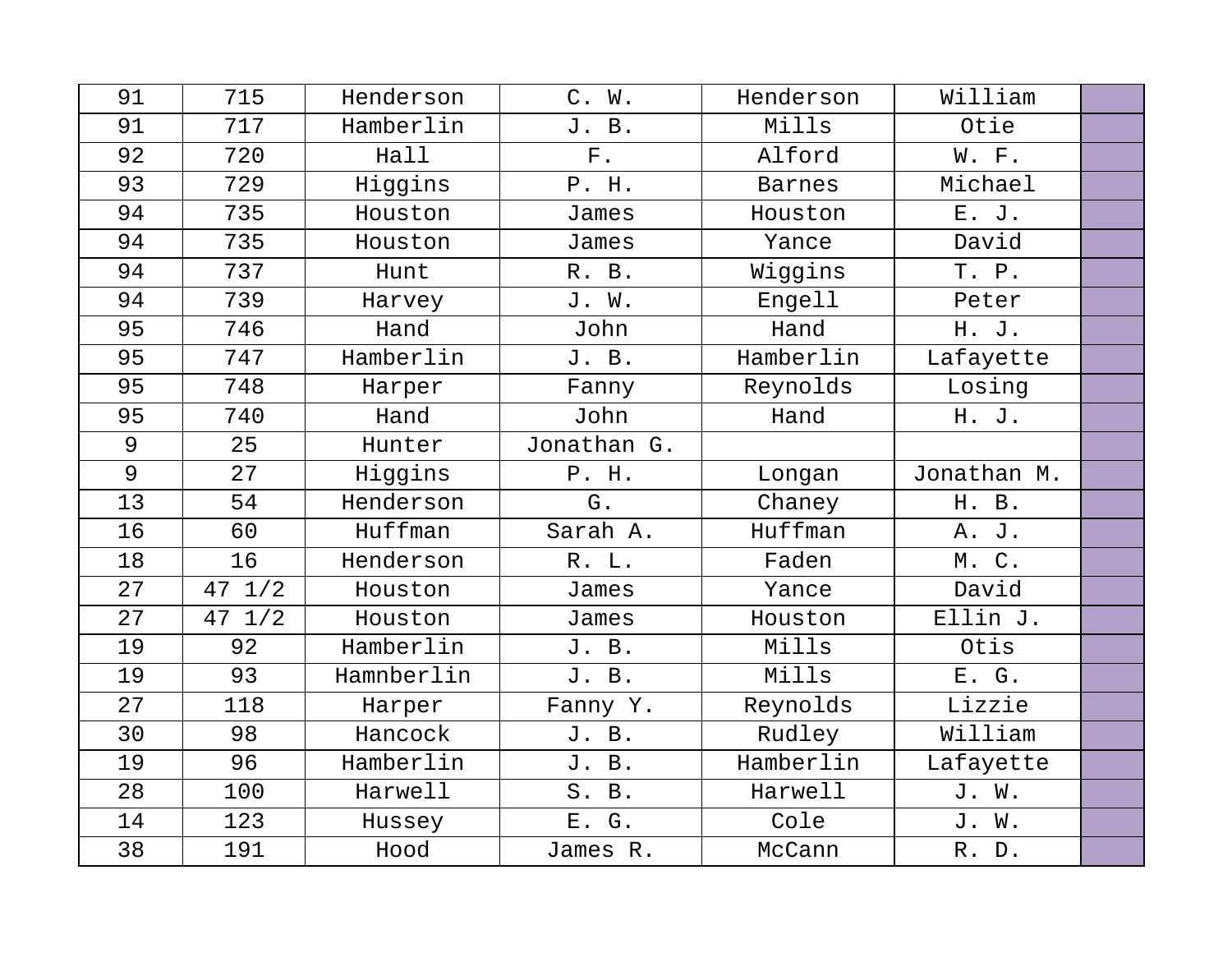| 91 | 715              | Henderson  | C. W.       | Henderson     | William     |  |
|----|------------------|------------|-------------|---------------|-------------|--|
| 91 | 717              | Hamberlin  | J. B.       | Mills         | Otie        |  |
| 92 | 720              | Hall       | ${\bf F}$ . | Alford        | W. F.       |  |
| 93 | 729              | Higgins    | P. H.       | <b>Barnes</b> | Michael     |  |
| 94 | 735              | Houston    | James       | Houston       | E. J.       |  |
| 94 | 735              | Houston    | James       | Yance         | David       |  |
| 94 | 737              | Hunt       | R. B.       | Wiggins       | T. P.       |  |
| 94 | 739              | Harvey     | J. W.       | Engell        | Peter       |  |
| 95 | 746              | Hand       | John        | Hand          | H. J.       |  |
| 95 | 747              | Hamberlin  | J. B.       | Hamberlin     | Lafayette   |  |
| 95 | 748              | Harper     | Fanny       | Reynolds      | Losing      |  |
| 95 | 740              | Hand       | John        | Hand          | H. J.       |  |
| 9  | 25               | Hunter     | Jonathan G. |               |             |  |
| 9  | 27               | Higgins    | P. H.       | Longan        | Jonathan M. |  |
| 13 | 54               | Henderson  | G.          | Chaney        | H. B.       |  |
| 16 | 60               | Huffman    | Sarah A.    | Huffman       | A. J.       |  |
| 18 | 16               | Henderson  | R. L.       | Faden         | M.C.        |  |
| 27 | $47 \frac{1}{2}$ | Houston    | James       | Yance         | David       |  |
| 27 | $47 \frac{1}{2}$ | Houston    | James       | Houston       | Ellin J.    |  |
| 19 | 92               | Hamberlin  | J. B.       | Mills         | Otis        |  |
| 19 | 93               | Hamnberlin | J. B.       | Mills         | E. G.       |  |
| 27 | 118              | Harper     | Fanny Y.    | Reynolds      | Lizzie      |  |
| 30 | 98               | Hancock    | J. B.       | Rudley        | William     |  |
| 19 | 96               | Hamberlin  | J. B.       | Hamberlin     | Lafayette   |  |
| 28 | 100              | Harwell    | S. B.       | Harwell       | J. W.       |  |
| 14 | 123              | Hussey     | E. G.       | Cole          | J. W.       |  |
| 38 | 191              | Hood       | James R.    | McCann        | R. D.       |  |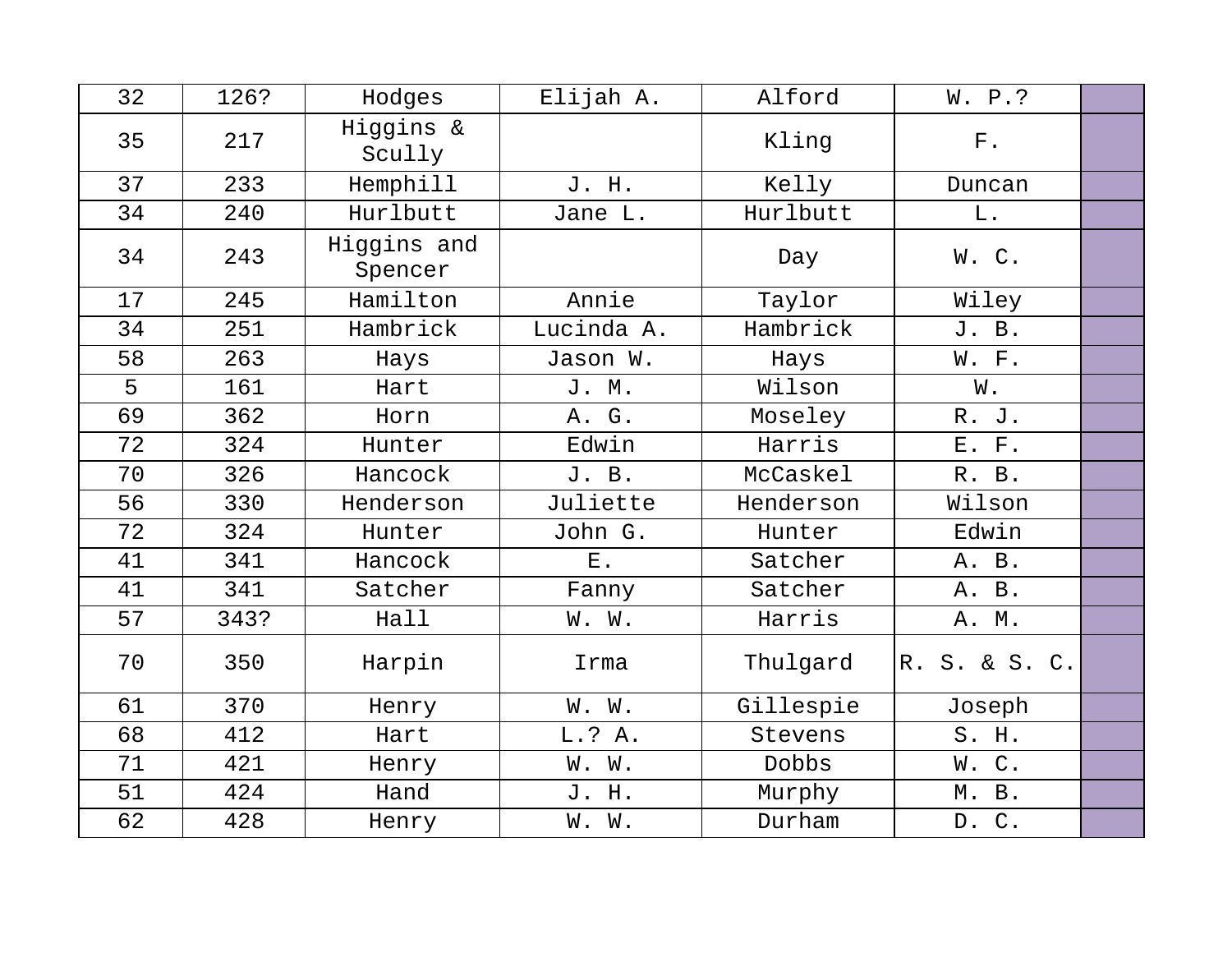| 32 | 126? | Hodges                 | Elijah A.  | Alford    | W. P.?        |  |
|----|------|------------------------|------------|-----------|---------------|--|
| 35 | 217  | Higgins &<br>Scully    |            | Kling     | ${\rm F}$ .   |  |
| 37 | 233  | Hemphill               | J. H.      | Kelly     | Duncan        |  |
| 34 | 240  | Hurlbutt               | Jane L.    | Hurlbutt  | L.            |  |
| 34 | 243  | Higgins and<br>Spencer |            | Day       | W.C.          |  |
| 17 | 245  | Hamilton               | Annie      | Taylor    | Wiley         |  |
| 34 | 251  | Hambrick               | Lucinda A. | Hambrick  | J. B.         |  |
| 58 | 263  | Hays                   | Jason W.   | Hays      | W. F.         |  |
| 5  | 161  | Hart                   | J. M.      | Wilson    | W.            |  |
| 69 | 362  | Horn                   | A. G.      | Moseley   | R. J.         |  |
| 72 | 324  | Hunter                 | Edwin      | Harris    | E. F.         |  |
| 70 | 326  | Hancock                | J. B.      | McCaskel  | R. B.         |  |
| 56 | 330  | Henderson              | Juliette   | Henderson | Wilson        |  |
| 72 | 324  | Hunter                 | John G.    | Hunter    | Edwin         |  |
| 41 | 341  | Hancock                | $E$ .      | Satcher   | A. B.         |  |
| 41 | 341  | Satcher                | Fanny      | Satcher   | A. B.         |  |
| 57 | 343? | Hall                   | W. W.      | Harris    | A. M.         |  |
| 70 | 350  | Harpin                 | Irma       | Thulgard  | R. S. & S. C. |  |
| 61 | 370  | Henry                  | W. W.      | Gillespie | Joseph        |  |
| 68 | 412  | Hart                   | L.? A.     | Stevens   | S. H.         |  |
| 71 | 421  | Henry                  | W. W.      | Dobbs     | W.C.          |  |
| 51 | 424  | Hand                   | J. H.      | Murphy    | M. B.         |  |
| 62 | 428  | Henry                  | W. W.      | Durham    | D. C.         |  |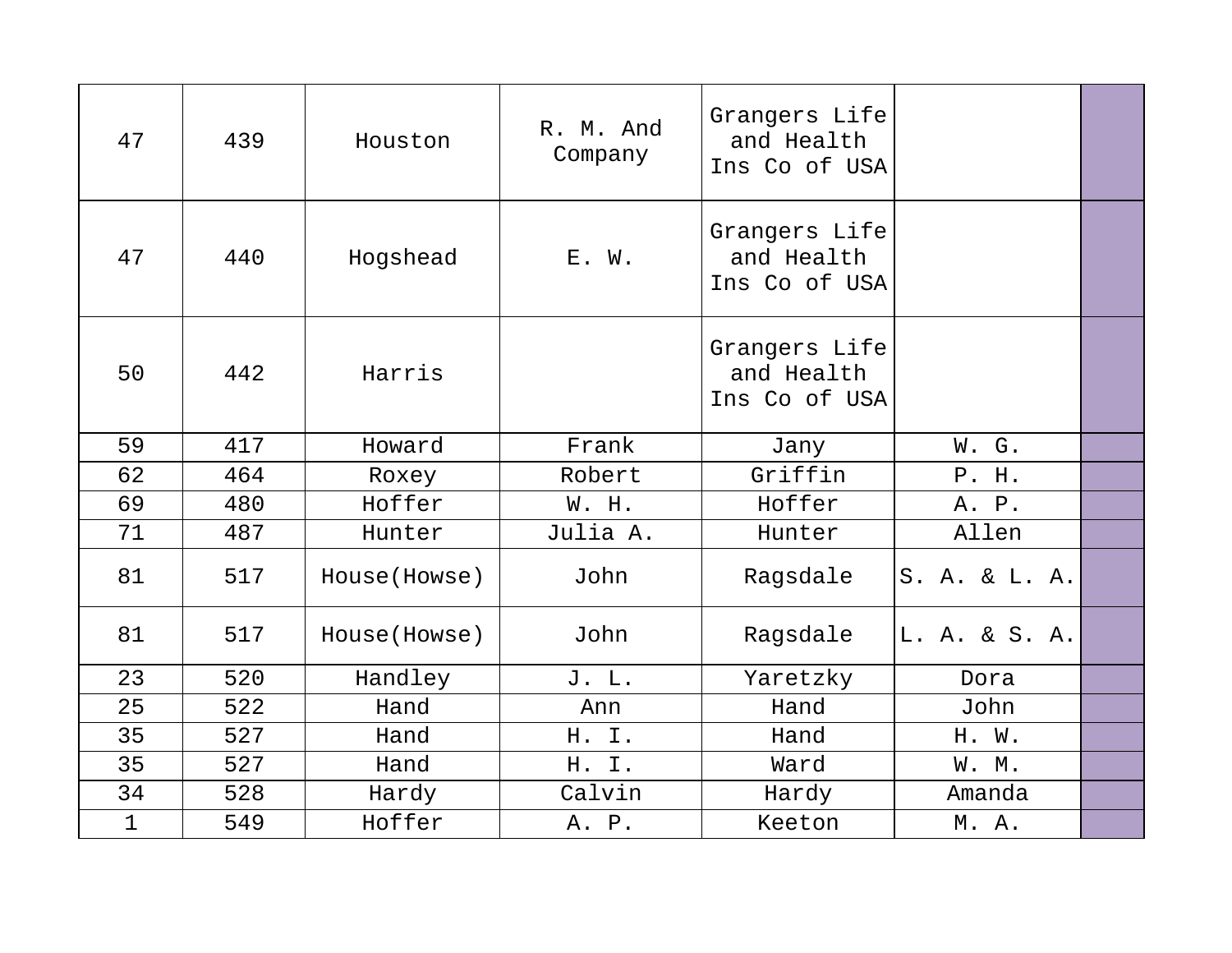| 47          | 439 | Houston       | R. M. And<br>Company | Grangers Life<br>and Health<br>Ins Co of USA |               |  |
|-------------|-----|---------------|----------------------|----------------------------------------------|---------------|--|
| 47          | 440 | Hogshead      | E. W.                | Grangers Life<br>and Health<br>Ins Co of USA |               |  |
| 50          | 442 | Harris        |                      | Grangers Life<br>and Health<br>Ins Co of USA |               |  |
| 59          | 417 | Howard        | Frank                | Jany                                         | W. G.         |  |
| 62          | 464 | Roxey         | Robert               | Griffin                                      | P. H.         |  |
| 69          | 480 | Hoffer        | W. H.                | Hoffer                                       | A. P.         |  |
| 71          | 487 | Hunter        | Julia A.             | Hunter                                       | Allen         |  |
| 81          | 517 | House (Howse) | John                 | Ragsdale                                     | S. A. & L. A. |  |
| 81          | 517 | House (Howse) | John                 | Ragsdale                                     | L. A. & S. A. |  |
| 23          | 520 | Handley       | J. L.                | Yaretzky                                     | Dora          |  |
| 25          | 522 | Hand          | Ann                  | Hand                                         | John          |  |
| 35          | 527 | Hand          | H. I.                | Hand                                         | H. W.         |  |
| 35          | 527 | Hand          | H. I.                | Ward                                         | W. M.         |  |
| 34          | 528 | Hardy         | Calvin               | Hardy                                        | Amanda        |  |
| $\mathbf 1$ | 549 | Hoffer        | A. P.                | Keeton                                       | M. A.         |  |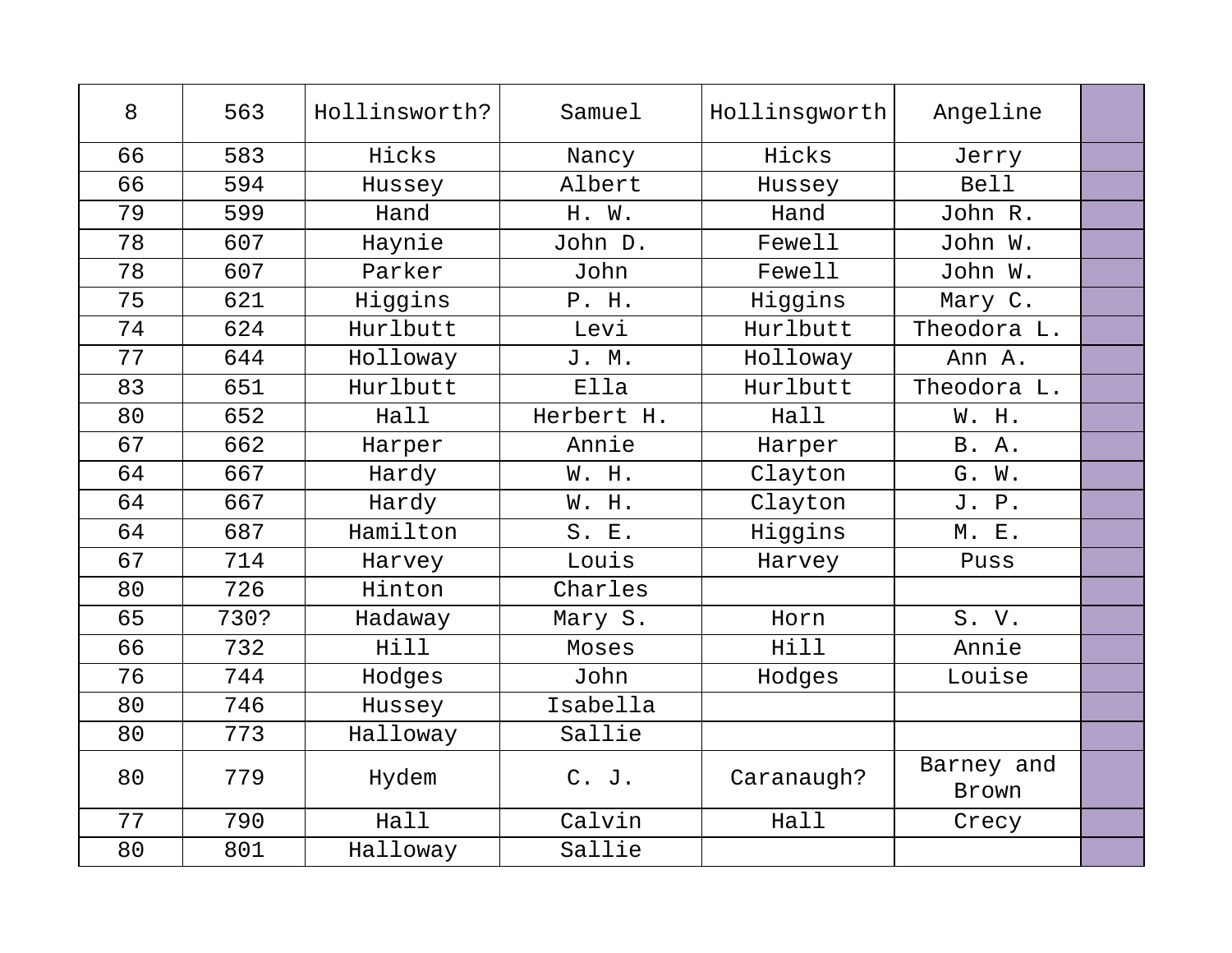| 8  | 563  | Hollinsworth? | Samuel     | Hollinsgworth | Angeline            |  |
|----|------|---------------|------------|---------------|---------------------|--|
| 66 | 583  | Hicks         | Nancy      | Hicks         | Jerry               |  |
| 66 | 594  | Hussey        | Albert     | Hussey        | <b>Bell</b>         |  |
| 79 | 599  | Hand          | H. W.      | Hand          | John R.             |  |
| 78 | 607  | Haynie        | John D.    | Fewell        | John W.             |  |
| 78 | 607  | Parker        | John       | Fewell        | John W.             |  |
| 75 | 621  | Higgins       | P. H.      | Higgins       | Mary C.             |  |
| 74 | 624  | Hurlbutt      | Levi       | Hurlbutt      | Theodora L.         |  |
| 77 | 644  | Holloway      | J. M.      | Holloway      | Ann A.              |  |
| 83 | 651  | Hurlbutt      | Ella       | Hurlbutt      | Theodora L.         |  |
| 80 | 652  | Hall          | Herbert H. | Hall          | W. H.               |  |
| 67 | 662  | Harper        | Annie      | Harper        | B. A.               |  |
| 64 | 667  | Hardy         | W. H.      | Clayton       | G. W.               |  |
| 64 | 667  | Hardy         | W. H.      | Clayton       | J. P.               |  |
| 64 | 687  | Hamilton      | S. E.      | Higgins       | M. E.               |  |
| 67 | 714  | Harvey        | Louis      | Harvey        | Puss                |  |
| 80 | 726  | Hinton        | Charles    |               |                     |  |
| 65 | 730? | Hadaway       | Mary S.    | Horn          | S. V.               |  |
| 66 | 732  | Hill          | Moses      | Hill          | Annie               |  |
| 76 | 744  | Hodges        | John       | Hodges        | Louise              |  |
| 80 | 746  | Hussey        | Isabella   |               |                     |  |
| 80 | 773  | Halloway      | Sallie     |               |                     |  |
| 80 | 779  | Hydem         | C. J.      | Caranaugh?    | Barney and<br>Brown |  |
| 77 | 790  | Hall          | Calvin     | Hall          | Crecy               |  |
| 80 | 801  | Halloway      | Sallie     |               |                     |  |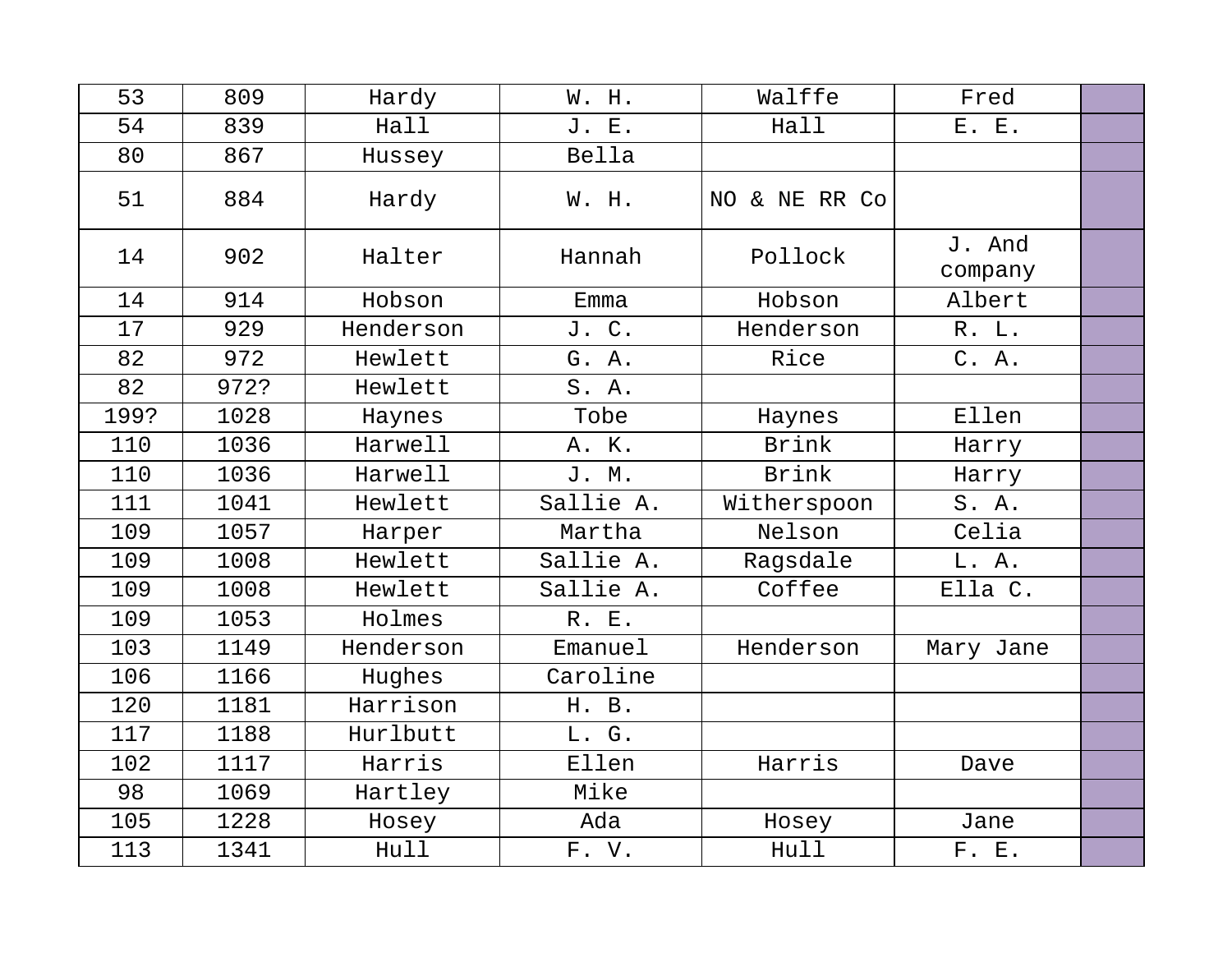| 53   | 809  | Hardy     | W. H.     | Walffe        | Fred              |  |
|------|------|-----------|-----------|---------------|-------------------|--|
| 54   | 839  | Hall      | J. E.     | Hall          | E. E.             |  |
| 80   | 867  | Hussey    | Bella     |               |                   |  |
| 51   | 884  | Hardy     | W. H.     | NO & NE RR Co |                   |  |
| 14   | 902  | Halter    | Hannah    | Pollock       | J. And<br>company |  |
| 14   | 914  | Hobson    | Emma      | Hobson        | Albert            |  |
| 17   | 929  | Henderson | J. C.     | Henderson     | R. L.             |  |
| 82   | 972  | Hewlett   | G. A.     | Rice          | C. A.             |  |
| 82   | 972? | Hewlett   | S. A.     |               |                   |  |
| 199? | 1028 | Haynes    | Tobe      | Haynes        | Ellen             |  |
| 110  | 1036 | Harwell   | A. K.     | <b>Brink</b>  | Harry             |  |
| 110  | 1036 | Harwell   | J. M.     | <b>Brink</b>  | Harry             |  |
| 111  | 1041 | Hewlett   | Sallie A. | Witherspoon   | S.A.              |  |
| 109  | 1057 | Harper    | Martha    | Nelson        | Celia             |  |
| 109  | 1008 | Hewlett   | Sallie A. | Ragsdale      | L. A.             |  |
| 109  | 1008 | Hewlett   | Sallie A. | Coffee        | Ella C.           |  |
| 109  | 1053 | Holmes    | R. E.     |               |                   |  |
| 103  | 1149 | Henderson | Emanuel   | Henderson     | Mary Jane         |  |
| 106  | 1166 | Hughes    | Caroline  |               |                   |  |
| 120  | 1181 | Harrison  | H. B.     |               |                   |  |
| 117  | 1188 | Hurlbutt  | L. G.     |               |                   |  |
| 102  | 1117 | Harris    | Ellen     | Harris        | Dave              |  |
| 98   | 1069 | Hartley   | Mike      |               |                   |  |
| 105  | 1228 | Hosey     | Ada       | Hosey         | Jane              |  |
| 113  | 1341 | Hull      | F. V.     | Hull          | F. E.             |  |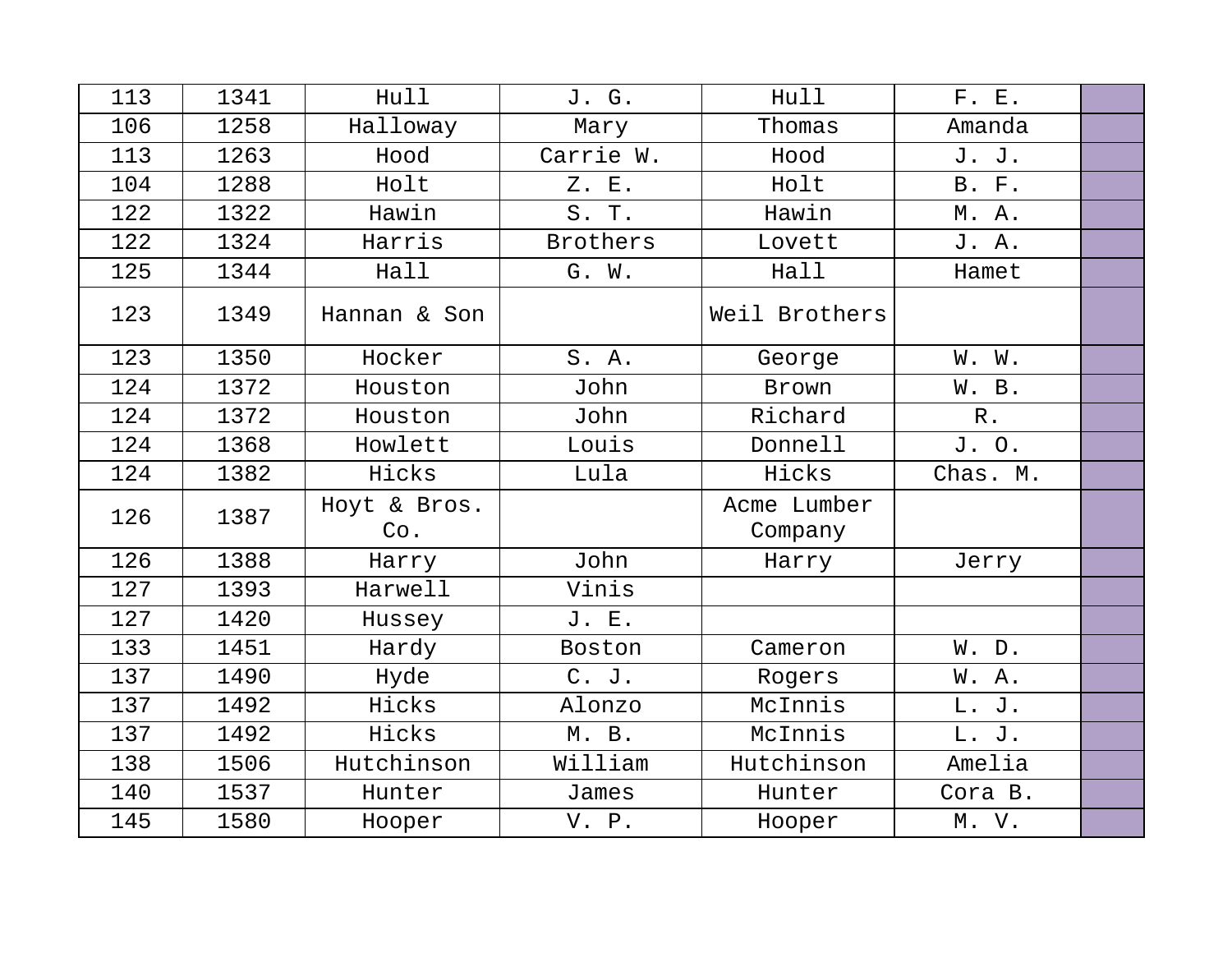| 113 | 1341 | Hull                | J. G.           | Hull                   | F. E.        |  |
|-----|------|---------------------|-----------------|------------------------|--------------|--|
| 106 | 1258 | Halloway            | Mary            | Thomas                 | Amanda       |  |
| 113 | 1263 | Hood                | Carrie W.       | Hood                   | J. J.        |  |
| 104 | 1288 | Holt                | Z. E.           | Holt                   | <b>B.</b> F. |  |
| 122 | 1322 | Hawin               | S. T.           | Hawin                  | M. A.        |  |
| 122 | 1324 | Harris              | <b>Brothers</b> | Lovett                 | J. A.        |  |
| 125 | 1344 | Hall                | G. W.           | Hall                   | Hamet        |  |
| 123 | 1349 | Hannan & Son        |                 | Weil Brothers          |              |  |
| 123 | 1350 | Hocker              | S. A.           | George                 | W. W.        |  |
| 124 | 1372 | Houston             | John            | Brown                  | W. B.        |  |
| 124 | 1372 | Houston             | John            | Richard                | $R$ .        |  |
| 124 | 1368 | Howlett             | Louis           | Donnell                | J. O.        |  |
| 124 | 1382 | Hicks               | Lula            | Hicks                  | Chas. M.     |  |
| 126 | 1387 | Hoyt & Bros.<br>Co. |                 | Acme Lumber<br>Company |              |  |
| 126 | 1388 | Harry               | John            | Harry                  | Jerry        |  |
| 127 | 1393 | Harwell             | Vinis           |                        |              |  |
| 127 | 1420 | Hussey              | J. E.           |                        |              |  |
| 133 | 1451 | Hardy               | Boston          | Cameron                | W. D.        |  |
| 137 | 1490 | Hyde                | $C.$ J.         | Rogers                 | W.A.         |  |
| 137 | 1492 | Hicks               | Alonzo          | McInnis                | L. J.        |  |
| 137 | 1492 | Hicks               | M. B.           | McInnis                | L. J.        |  |
| 138 | 1506 | Hutchinson          | William         | Hutchinson             | Amelia       |  |
| 140 | 1537 | Hunter              | James           | Hunter                 | Cora B.      |  |
| 145 | 1580 | Hooper              | V. P.           | Hooper                 | M. V.        |  |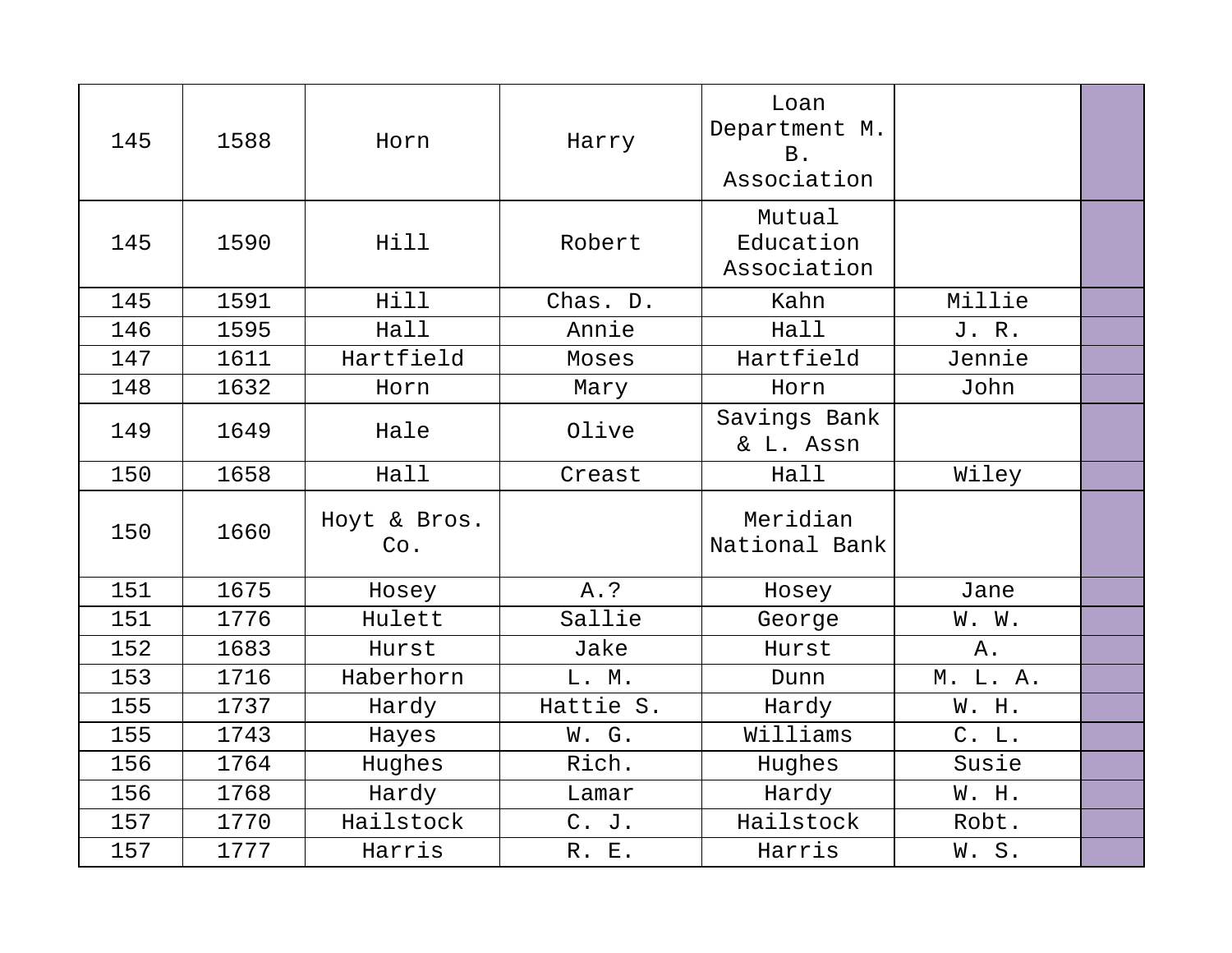| 145 | 1588 | Horn                | Harry     | Loan<br>Department M.<br><b>B</b> .<br>Association |          |  |
|-----|------|---------------------|-----------|----------------------------------------------------|----------|--|
| 145 | 1590 | Hill                | Robert    | Mutual<br>Education<br>Association                 |          |  |
| 145 | 1591 | Hill                | Chas. D.  | Kahn                                               | Millie   |  |
| 146 | 1595 | Hall                | Annie     | Hall                                               | J. R.    |  |
| 147 | 1611 | Hartfield           | Moses     | Hartfield                                          | Jennie   |  |
| 148 | 1632 | Horn                | Mary      | Horn                                               | John     |  |
| 149 | 1649 | Hale                | Olive     | Savings Bank<br>& L. Assn                          |          |  |
| 150 | 1658 | Hall                | Creast    | Hall                                               | Wiley    |  |
| 150 | 1660 | Hoyt & Bros.<br>Co. |           | Meridian<br>National Bank                          |          |  |
| 151 | 1675 | Hosey               | A.?       | Hosey                                              | Jane     |  |
| 151 | 1776 | Hulett              | Sallie    | George                                             | W. W.    |  |
| 152 | 1683 | Hurst               | Jake      | Hurst                                              | Α.       |  |
| 153 | 1716 | Haberhorn           | L. M.     | Dunn                                               | M. L. A. |  |
| 155 | 1737 | Hardy               | Hattie S. | Hardy                                              | W. H.    |  |
| 155 | 1743 | Hayes               | W. G.     | Williams                                           | C. L.    |  |
| 156 | 1764 | Hughes              | Rich.     | Hughes                                             | Susie    |  |
| 156 | 1768 | Hardy               | Lamar     | Hardy                                              | W. H.    |  |
| 157 | 1770 | Hailstock           | C. J.     | Hailstock                                          | Robt.    |  |
| 157 | 1777 | Harris              | R. E.     | Harris                                             | W.S.     |  |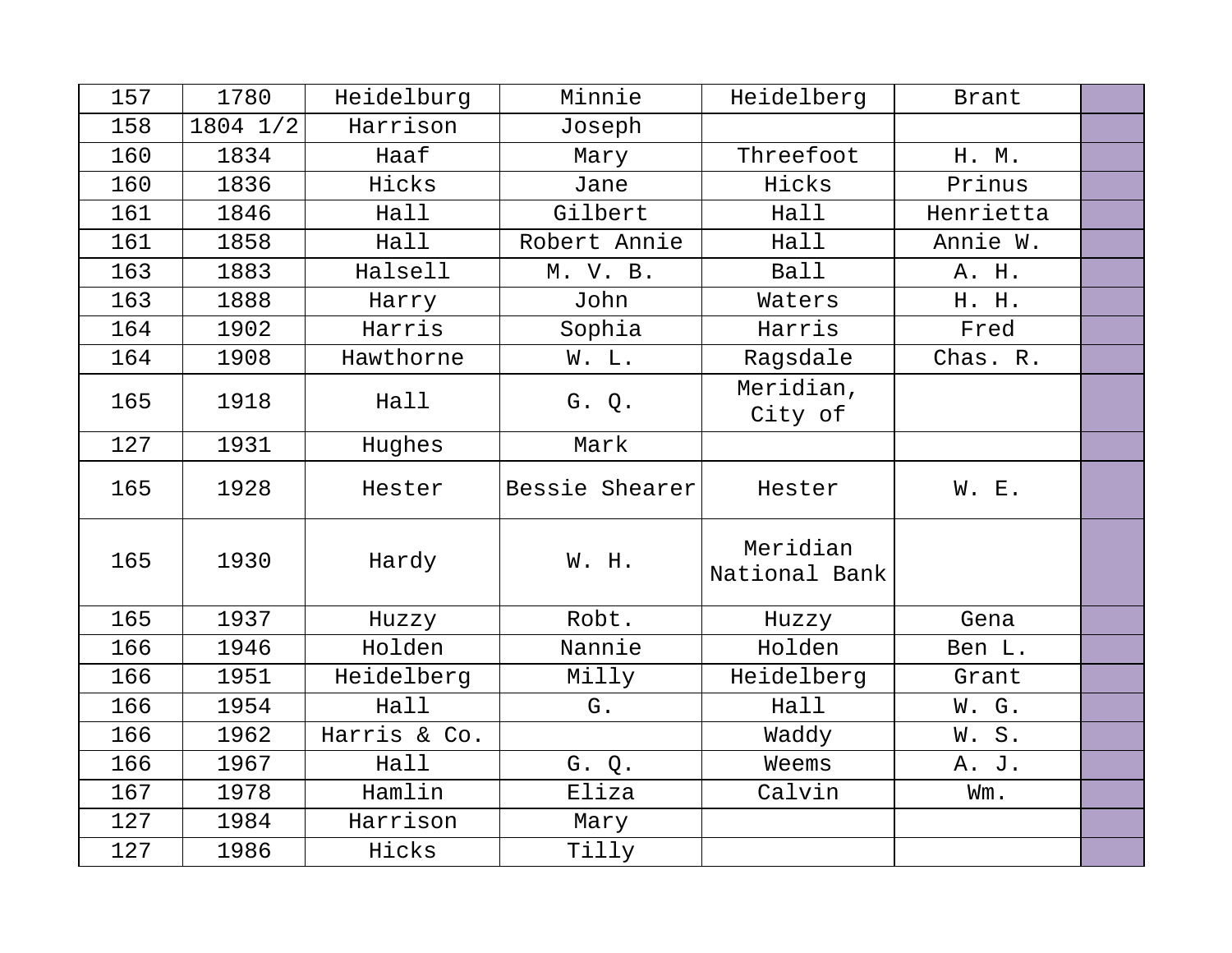| 157 | 1780     | Heidelburg   | Minnie         | Heidelberg                | <b>Brant</b> |  |
|-----|----------|--------------|----------------|---------------------------|--------------|--|
| 158 | 1804 1/2 | Harrison     | Joseph         |                           |              |  |
| 160 | 1834     | Haaf         | Mary           | Threefoot                 | H. M.        |  |
| 160 | 1836     | Hicks        | Jane           | Hicks                     | Prinus       |  |
| 161 | 1846     | Hall         | Gilbert        | Hall                      | Henrietta    |  |
| 161 | 1858     | Hall         | Robert Annie   | Hall                      | Annie W.     |  |
| 163 | 1883     | Halsell      | M. V. B.       | Ball                      | A. H.        |  |
| 163 | 1888     | Harry        | John           | Waters                    | H. H.        |  |
| 164 | 1902     | Harris       | Sophia         | Harris                    | Fred         |  |
| 164 | 1908     | Hawthorne    | W. L.          | Ragsdale                  | Chas. R.     |  |
| 165 | 1918     | Hall         | G. Q.          | Meridian,<br>City of      |              |  |
| 127 | 1931     | Hughes       | Mark           |                           |              |  |
| 165 | 1928     | Hester       | Bessie Shearer | Hester                    | W. E.        |  |
| 165 | 1930     | Hardy        | W. H.          | Meridian<br>National Bank |              |  |
| 165 | 1937     | Huzzy        | Robt.          | Huzzy                     | Gena         |  |
| 166 | 1946     | Holden       | Nannie         | Holden                    | Ben L.       |  |
| 166 | 1951     | Heidelberg   | Milly          | Heidelberg                | Grant        |  |
| 166 | 1954     | Hall         | G.             | Hall                      | W. G.        |  |
| 166 | 1962     | Harris & Co. |                | Waddy                     | W.S.         |  |
| 166 | 1967     | Hall         | G. Q.          | Weems                     | A. J.        |  |
| 167 | 1978     | Hamlin       | Eliza          | Calvin                    | Wm.          |  |
| 127 | 1984     | Harrison     | Mary           |                           |              |  |
| 127 | 1986     | Hicks        | Tilly          |                           |              |  |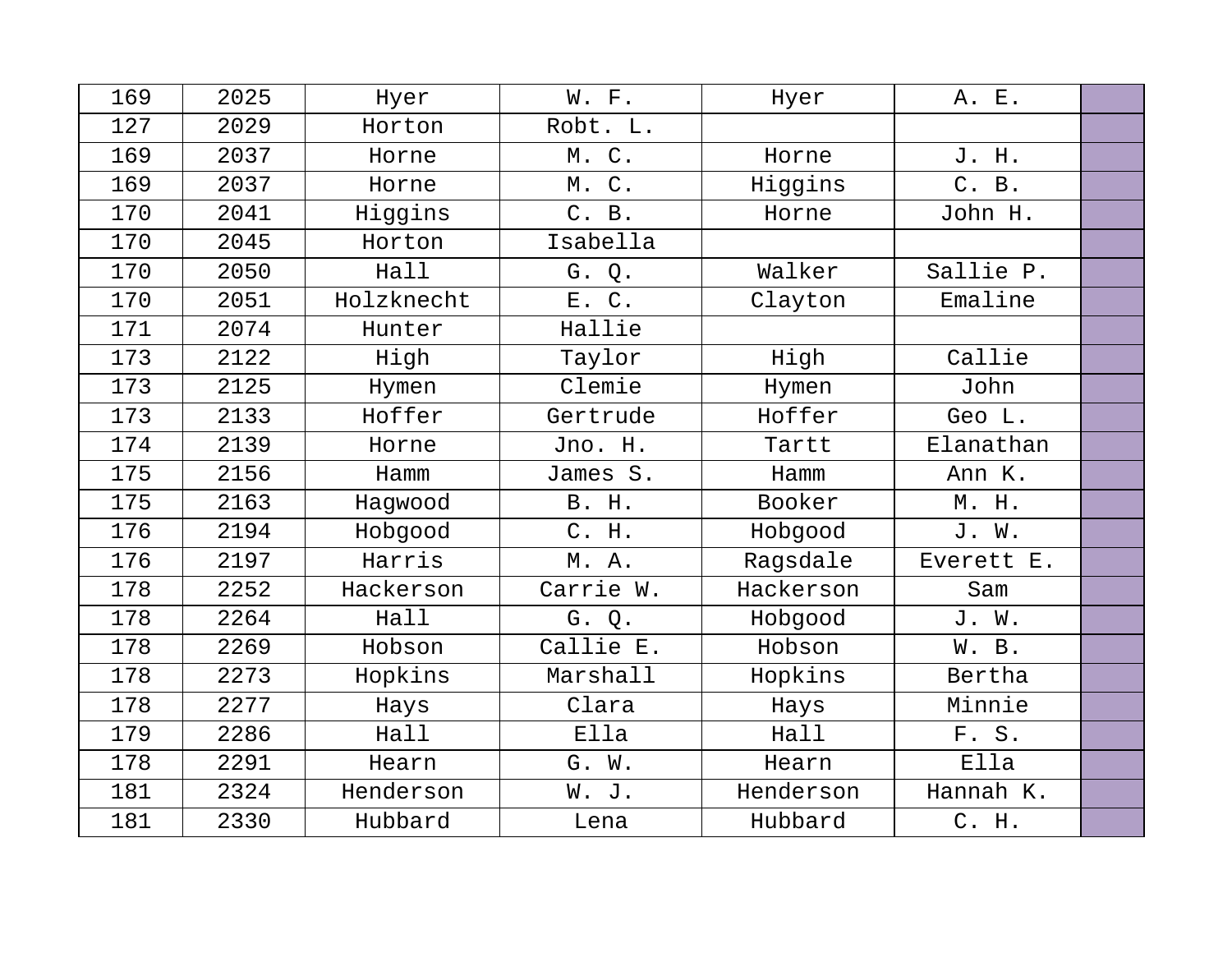| 169 | 2025 | Hyer       | W. F.     | Hyer      | A. E.      |  |
|-----|------|------------|-----------|-----------|------------|--|
| 127 | 2029 | Horton     | Robt. L.  |           |            |  |
| 169 | 2037 | Horne      | M. C.     | Horne     | J. H.      |  |
| 169 | 2037 | Horne      | M. C.     | Higgins   | C. B.      |  |
| 170 | 2041 | Higgins    | C. B.     | Horne     | John H.    |  |
| 170 | 2045 | Horton     | Isabella  |           |            |  |
| 170 | 2050 | Hall       | G. Q.     | Walker    | Sallie P.  |  |
| 170 | 2051 | Holzknecht | E. C.     | Clayton   | Emaline    |  |
| 171 | 2074 | Hunter     | Hallie    |           |            |  |
| 173 | 2122 | High       | Taylor    | High      | Callie     |  |
| 173 | 2125 | Hymen      | Clemie    | Hymen     | John       |  |
| 173 | 2133 | Hoffer     | Gertrude  | Hoffer    | Geo L.     |  |
| 174 | 2139 | Horne      | Jno. H.   | Tartt     | Elanathan  |  |
| 175 | 2156 | Hamm       | James S.  | Hamm      | Ann K.     |  |
| 175 | 2163 | Hagwood    | B. H.     | Booker    | M. H.      |  |
| 176 | 2194 | Hobgood    | C. H.     | Hobgood   | J. W.      |  |
| 176 | 2197 | Harris     | M. A.     | Ragsdale  | Everett E. |  |
| 178 | 2252 | Hackerson  | Carrie W. | Hackerson | Sam        |  |
| 178 | 2264 | Hall       | G. Q.     | Hobgood   | J. W.      |  |
| 178 | 2269 | Hobson     | Callie E. | Hobson    | W. B.      |  |
| 178 | 2273 | Hopkins    | Marshall  | Hopkins   | Bertha     |  |
| 178 | 2277 | Hays       | Clara     | Hays      | Minnie     |  |
| 179 | 2286 | Hall       | Ella      | Hall      | F. S.      |  |
| 178 | 2291 | Hearn      | G. W.     | Hearn     | Ella       |  |
| 181 | 2324 | Henderson  | W. J.     | Henderson | Hannah K.  |  |
| 181 | 2330 | Hubbard    | Lena      | Hubbard   | C. H.      |  |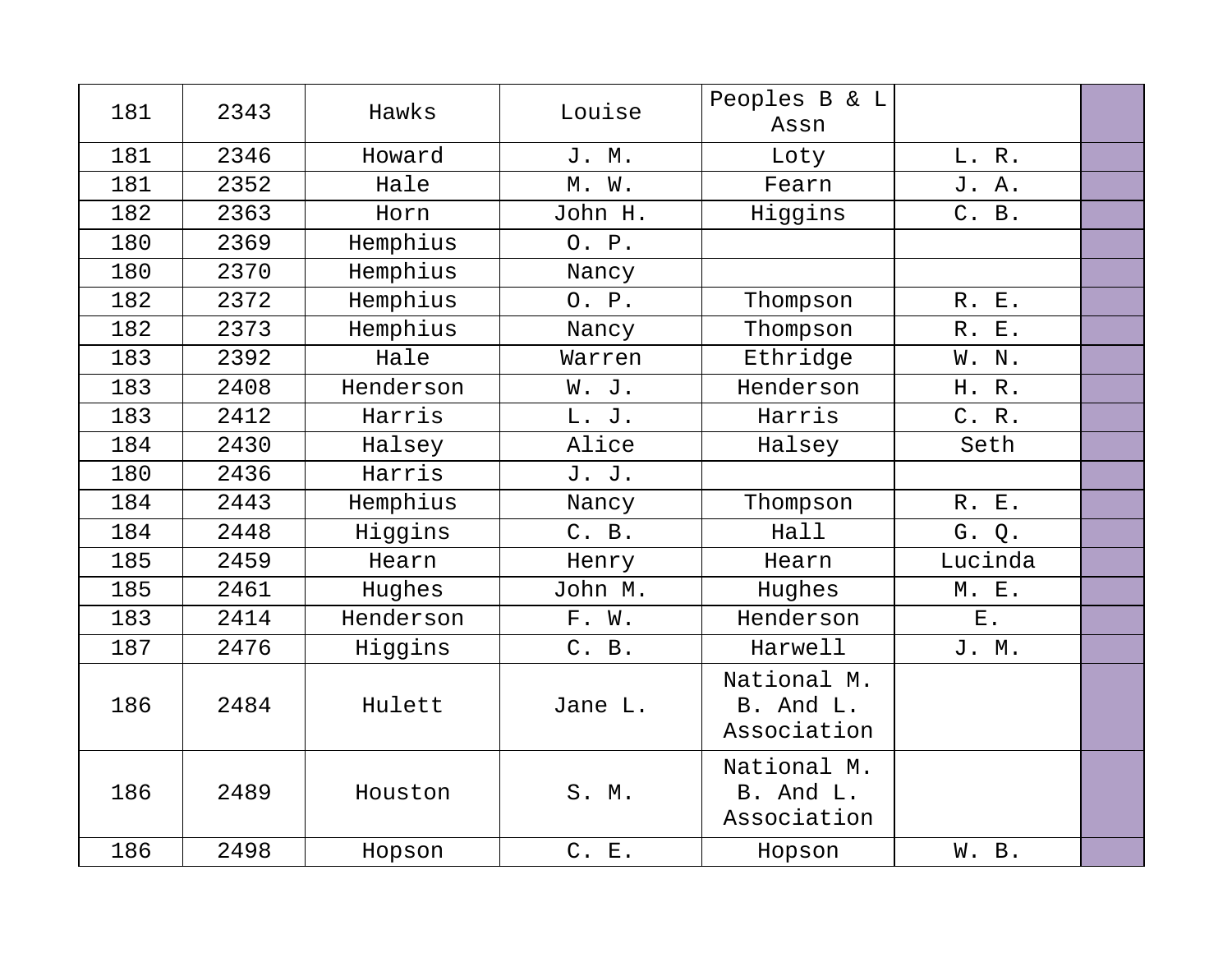| 181 | 2343 | Hawks     | Louise  | Peoples B & L<br>Assn                   |         |  |
|-----|------|-----------|---------|-----------------------------------------|---------|--|
| 181 | 2346 | Howard    | J. M.   | Loty                                    | L. R.   |  |
| 181 | 2352 | Hale      | M. W.   | Fearn                                   | J. A.   |  |
| 182 | 2363 | Horn      | John H. | Higgins                                 | C. B.   |  |
| 180 | 2369 | Hemphius  | 0. P.   |                                         |         |  |
| 180 | 2370 | Hemphius  | Nancy   |                                         |         |  |
| 182 | 2372 | Hemphius  | 0. P.   | Thompson                                | R. E.   |  |
| 182 | 2373 | Hemphius  | Nancy   | Thompson                                | R. E.   |  |
| 183 | 2392 | Hale      | Warren  | Ethridge                                | W. N.   |  |
| 183 | 2408 | Henderson | W. J.   | Henderson                               | H. R.   |  |
| 183 | 2412 | Harris    | L. J.   | Harris                                  | C. R.   |  |
| 184 | 2430 | Halsey    | Alice   | Halsey                                  | Seth    |  |
| 180 | 2436 | Harris    | J. J.   |                                         |         |  |
| 184 | 2443 | Hemphius  | Nancy   | Thompson                                | R. E.   |  |
| 184 | 2448 | Higgins   | C. B.   | Hall                                    | G. Q.   |  |
| 185 | 2459 | Hearn     | Henry   | Hearn                                   | Lucinda |  |
| 185 | 2461 | Hughes    | John M. | Hughes                                  | M. E.   |  |
| 183 | 2414 | Henderson | F. W.   | Henderson                               | $E$ .   |  |
| 187 | 2476 | Higgins   | C. B.   | Harwell                                 | J. M.   |  |
| 186 | 2484 | Hulett    | Jane L. | National M.<br>B. And L.<br>Association |         |  |
| 186 | 2489 | Houston   | S. M.   | National M.<br>B. And L.<br>Association |         |  |
| 186 | 2498 | Hopson    | C. E.   | Hopson                                  | W. B.   |  |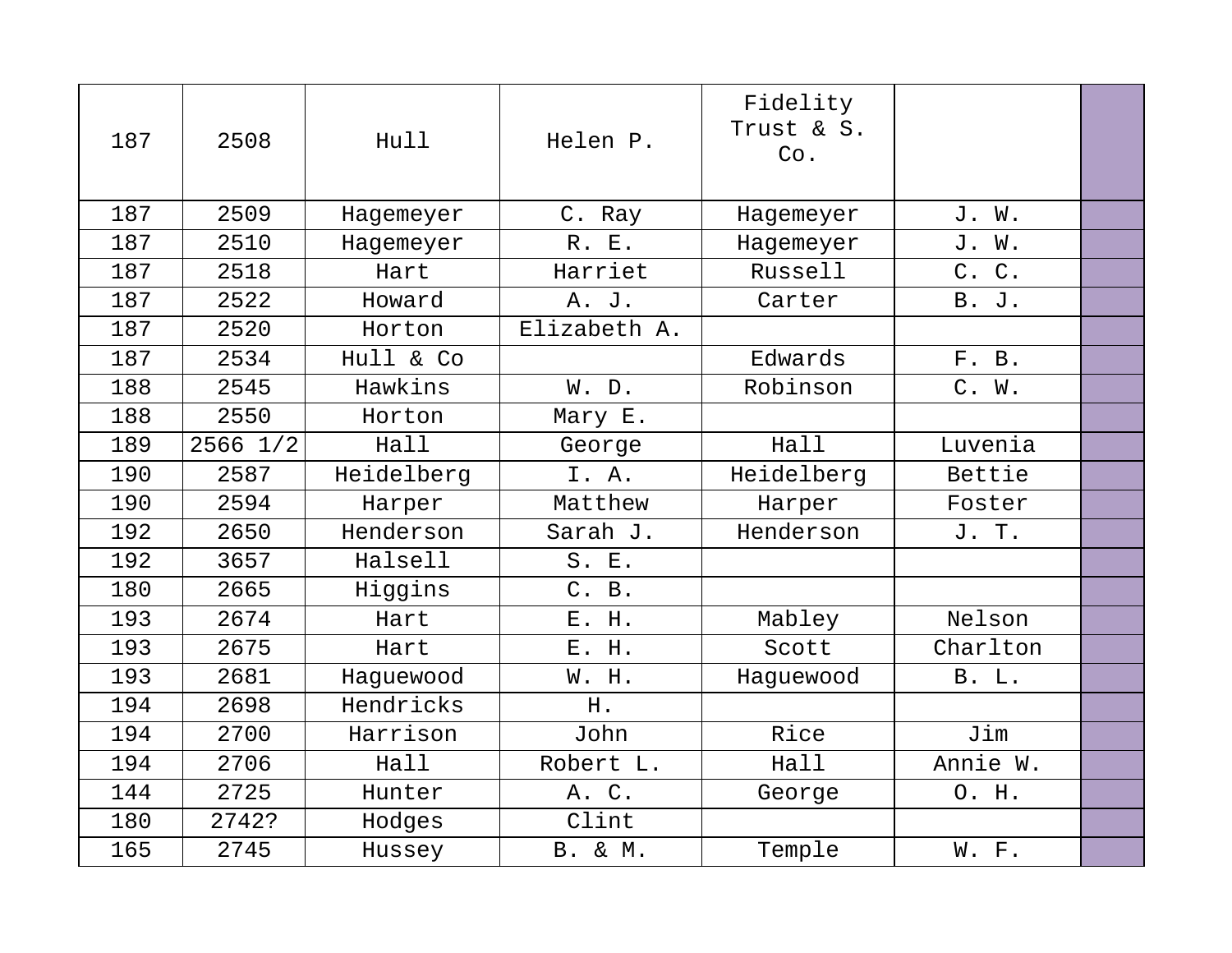| 187 | 2508     | Hull       | Helen P.       | Fidelity<br>Trust & S.<br>Co. |              |  |
|-----|----------|------------|----------------|-------------------------------|--------------|--|
| 187 | 2509     | Hagemeyer  | C. Ray         | Hagemeyer                     | J. W.        |  |
| 187 | 2510     | Hagemeyer  | R. E.          | Hagemeyer                     | J. W.        |  |
| 187 | 2518     | Hart       | Harriet        | Russell                       | C. C.        |  |
| 187 | 2522     | Howard     | A. J.          | Carter                        | B. J.        |  |
| 187 | 2520     | Horton     | Elizabeth A.   |                               |              |  |
| 187 | 2534     | Hull & Co  |                | Edwards                       | F. B.        |  |
| 188 | 2545     | Hawkins    | W. D.          | Robinson                      | C. W.        |  |
| 188 | 2550     | Horton     | Mary E.        |                               |              |  |
| 189 | 2566 1/2 | Hall       | George         | Hall                          | Luvenia      |  |
| 190 | 2587     | Heidelberg | I. A.          | Heidelberg                    | Bettie       |  |
| 190 | 2594     | Harper     | Matthew        | Harper                        | Foster       |  |
| 192 | 2650     | Henderson  | Sarah J.       | Henderson                     | J. T.        |  |
| 192 | 3657     | Halsell    | S. E.          |                               |              |  |
| 180 | 2665     | Higgins    | C. B.          |                               |              |  |
| 193 | 2674     | Hart       | E. H.          | Mabley                        | Nelson       |  |
| 193 | 2675     | Hart       | E. H.          | Scott                         | Charlton     |  |
| 193 | 2681     | Haquewood  | W. H.          | Haquewood                     | <b>B.</b> L. |  |
| 194 | 2698     | Hendricks  | H.             |                               |              |  |
| 194 | 2700     | Harrison   | John           | Rice                          | Jim          |  |
| 194 | 2706     | Hall       | Robert L.      | Hall                          | Annie W.     |  |
| 144 | 2725     | Hunter     | A. C.          | George                        | O. H.        |  |
| 180 | 2742?    | Hodges     | Clint          |                               |              |  |
| 165 | 2745     | Hussey     | <b>B.</b> & M. | Temple                        | W. F.        |  |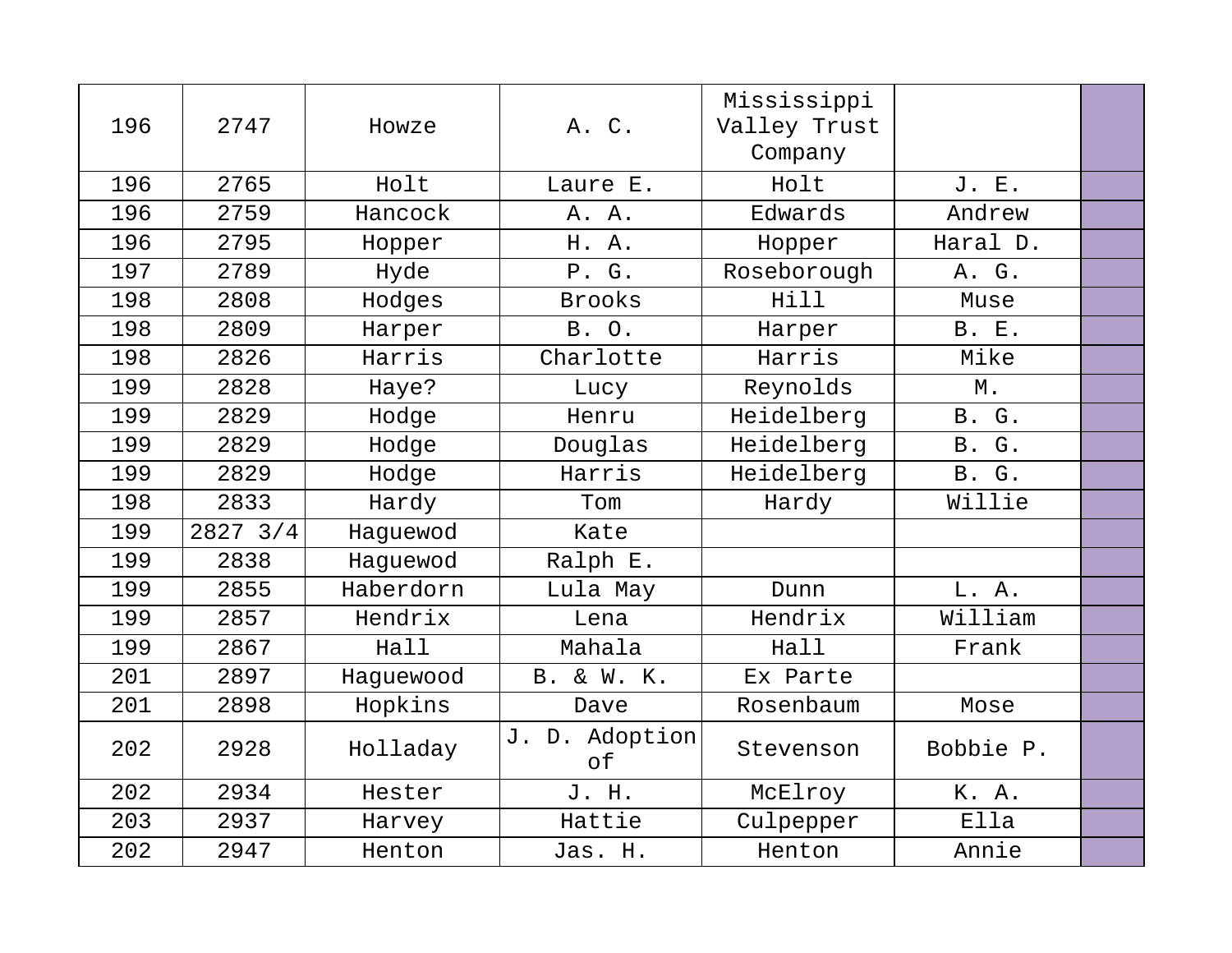| 196 | 2747         | Howze     | A. C.                | Mississippi<br>Valley Trust<br>Company |              |  |
|-----|--------------|-----------|----------------------|----------------------------------------|--------------|--|
| 196 | 2765         | Holt      | Laure E.             | Holt                                   | J. E.        |  |
| 196 | 2759         | Hancock   | A. A.                | Edwards                                | Andrew       |  |
| 196 | 2795         | Hopper    | H. A.                | Hopper                                 | Haral D.     |  |
| 197 | 2789         | Hyde      | P. G.                | Roseborough                            | A. G.        |  |
| 198 | 2808         | Hodges    | <b>Brooks</b>        | Hill                                   | Muse         |  |
| 198 | 2809         | Harper    | B. O.                | Harper                                 | <b>B. E.</b> |  |
| 198 | 2826         | Harris    | Charlotte            | Harris                                 | Mike         |  |
| 199 | 2828         | Haye?     | Lucy                 | Reynolds                               | М.           |  |
| 199 | 2829         | Hodge     | Henru                | Heidelberg                             | B. G.        |  |
| 199 | 2829         | Hodge     | Douglas              | Heidelberg                             | B. G.        |  |
| 199 | 2829         | Hodge     | Harris               | Heidelberg                             | B. G.        |  |
| 198 | 2833         | Hardy     | Tom                  | Hardy                                  | Willie       |  |
| 199 | $2827$ $3/4$ | Haquewod  | Kate                 |                                        |              |  |
| 199 | 2838         | Haquewod  | Ralph E.             |                                        |              |  |
| 199 | 2855         | Haberdorn | Lula May             | Dunn                                   | L. A.        |  |
| 199 | 2857         | Hendrix   | Lena                 | Hendrix                                | William      |  |
| 199 | 2867         | Hall      | Mahala               | Hall                                   | Frank        |  |
| 201 | 2897         | Haquewood | <b>B.</b> & W. K.    | Ex Parte                               |              |  |
| 201 | 2898         | Hopkins   | Dave                 | Rosenbaum                              | Mose         |  |
| 202 | 2928         | Holladay  | J. D. Adoption<br>of | Stevenson                              | Bobbie P.    |  |
| 202 | 2934         | Hester    | J. H.                | McElroy                                | K. A.        |  |
| 203 | 2937         | Harvey    | Hattie               | Culpepper                              | Ella         |  |
| 202 | 2947         | Henton    | Jas. H.              | Henton                                 | Annie        |  |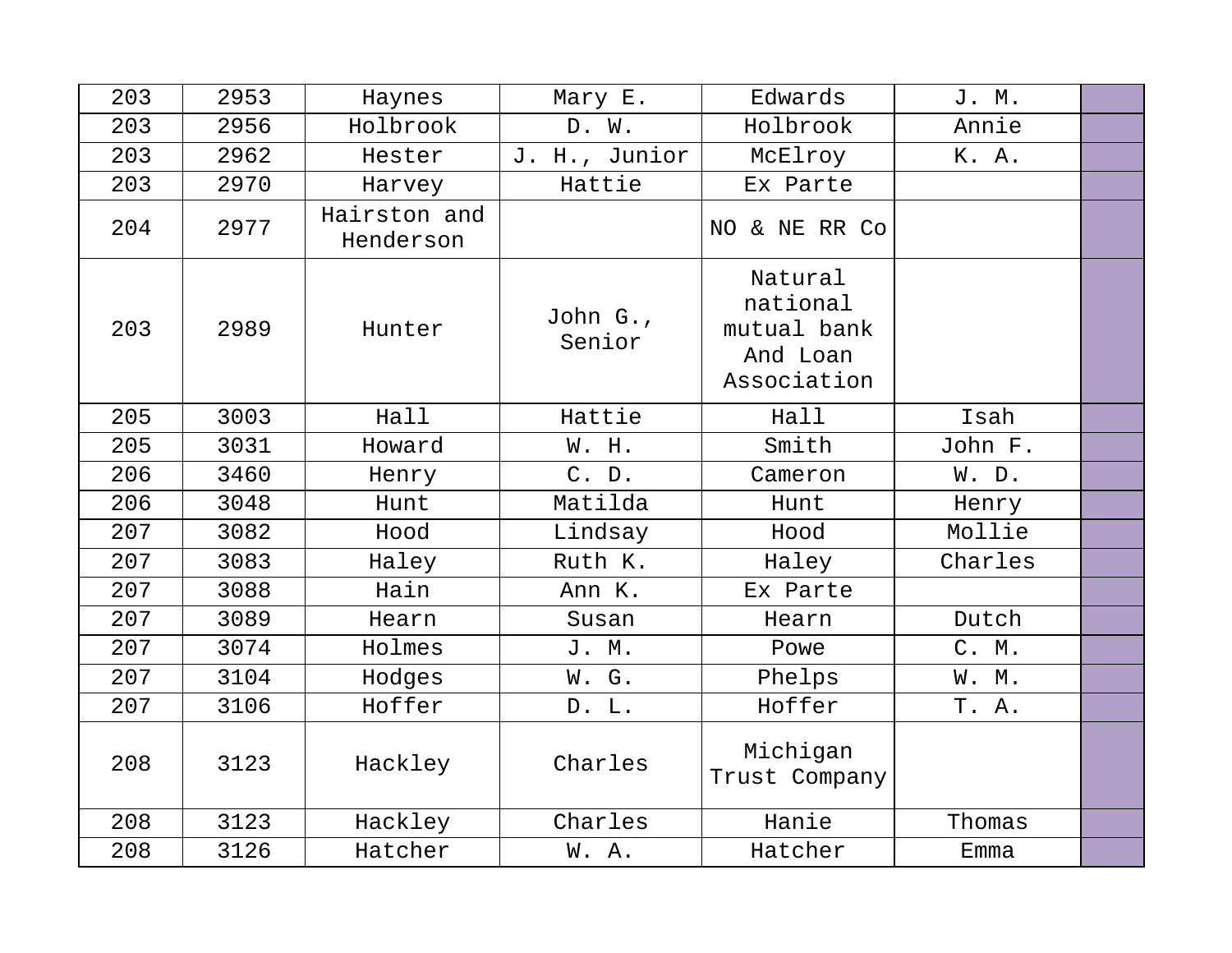| 203 | 2953 | Haynes                    | Mary E.            | Edwards                                                       | J. M.   |  |
|-----|------|---------------------------|--------------------|---------------------------------------------------------------|---------|--|
| 203 | 2956 | Holbrook                  | D. W.              | Holbrook                                                      | Annie   |  |
| 203 | 2962 | Hester                    | J. H., Junior      | McElroy                                                       | K. A.   |  |
| 203 | 2970 | Harvey                    | Hattie             | Ex Parte                                                      |         |  |
| 204 | 2977 | Hairston and<br>Henderson |                    | NO & NE RR Co                                                 |         |  |
| 203 | 2989 | Hunter                    | John G.,<br>Senior | Natural<br>national<br>mutual bank<br>And Loan<br>Association |         |  |
| 205 | 3003 | Hall                      | Hattie             | Hall                                                          | Isah    |  |
| 205 | 3031 | Howard                    | W. H.              | Smith                                                         | John F. |  |
| 206 | 3460 | Henry                     | C. D.              | Cameron                                                       | W. D.   |  |
| 206 | 3048 | Hunt                      | Matilda            | Hunt                                                          | Henry   |  |
| 207 | 3082 | Hood                      | Lindsay            | Hood                                                          | Mollie  |  |
| 207 | 3083 | Haley                     | Ruth K.            | Haley                                                         | Charles |  |
| 207 | 3088 | Hain                      | Ann K.             | Ex Parte                                                      |         |  |
| 207 | 3089 | Hearn                     | Susan              | Hearn                                                         | Dutch   |  |
| 207 | 3074 | Holmes                    | J. M.              | Powe                                                          | C. M.   |  |
| 207 | 3104 | Hodges                    | W. G.              | Phelps                                                        | W. M.   |  |
| 207 | 3106 | Hoffer                    | D. L.              | Hoffer                                                        | T. A.   |  |
| 208 | 3123 | Hackley                   | Charles            | Michigan<br>Trust Company                                     |         |  |
| 208 | 3123 | Hackley                   | Charles            | Hanie                                                         | Thomas  |  |
| 208 | 3126 | Hatcher                   | W.A.               | Hatcher                                                       | Emma    |  |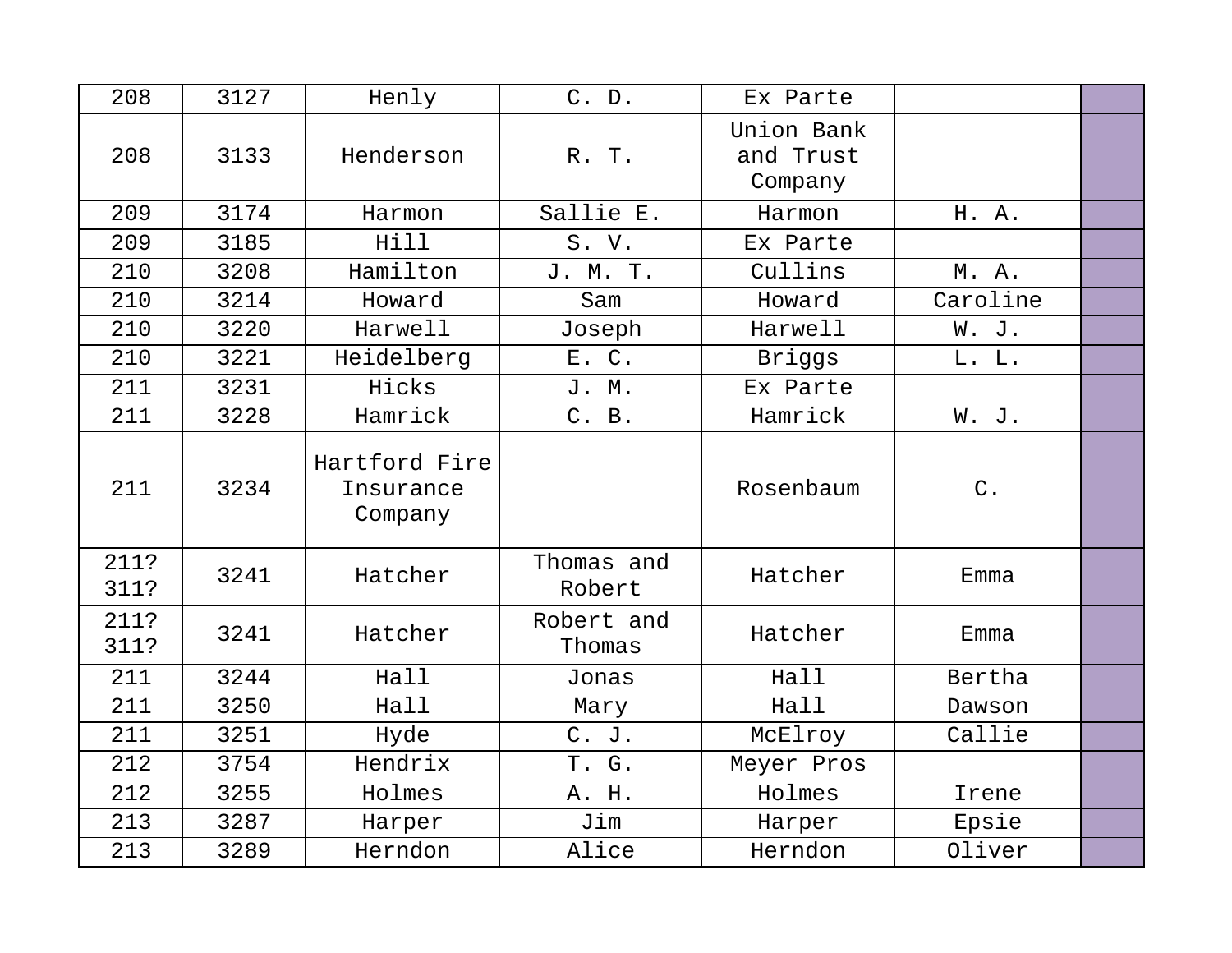| 208          | 3127 | Henly                                 | C. D.                | Ex Parte                           |                      |  |
|--------------|------|---------------------------------------|----------------------|------------------------------------|----------------------|--|
| 208          | 3133 | Henderson                             | R. T.                | Union Bank<br>and Trust<br>Company |                      |  |
| 209          | 3174 | Harmon                                | Sallie E.            | Harmon                             | H. A.                |  |
| 209          | 3185 | Hill                                  | S. V.                | Ex Parte                           |                      |  |
| 210          | 3208 | Hamilton                              | J. M. T.             | Cullins                            | M. A.                |  |
| 210          | 3214 | Howard                                | Sam                  | Howard                             | Caroline             |  |
| 210          | 3220 | Harwell                               | Joseph               | Harwell                            | W. J.                |  |
| 210          | 3221 | Heidelberg                            | E. C.                | Briggs                             | L. L.                |  |
| 211          | 3231 | Hicks                                 | J. M.                | Ex Parte                           |                      |  |
| 211          | 3228 | Hamrick                               | C. B.                | Hamrick                            | W. J.                |  |
| 211          | 3234 | Hartford Fire<br>Insurance<br>Company |                      | Rosenbaum                          | $\mathrm{C}% _{0}$ . |  |
| 211?<br>311? | 3241 | Hatcher                               | Thomas and<br>Robert | Hatcher                            | Emma                 |  |
| 211?<br>311? | 3241 | Hatcher                               | Robert and<br>Thomas | Hatcher                            | Emma                 |  |
| 211          | 3244 | Hall                                  | Jonas                | Hall                               | Bertha               |  |
| 211          | 3250 | Hall                                  | Mary                 | Hall                               | Dawson               |  |
| 211          | 3251 | Hyde                                  | C. J.                | McElroy                            | Callie               |  |
| 212          | 3754 | Hendrix                               | T. G.                | Meyer Pros                         |                      |  |
| 212          | 3255 | Holmes                                | A. H.                | Holmes                             | Irene                |  |
| 213          | 3287 | Harper                                | Jim                  | Harper                             | Epsie                |  |
| 213          | 3289 | Herndon                               | Alice                | Herndon                            | Oliver               |  |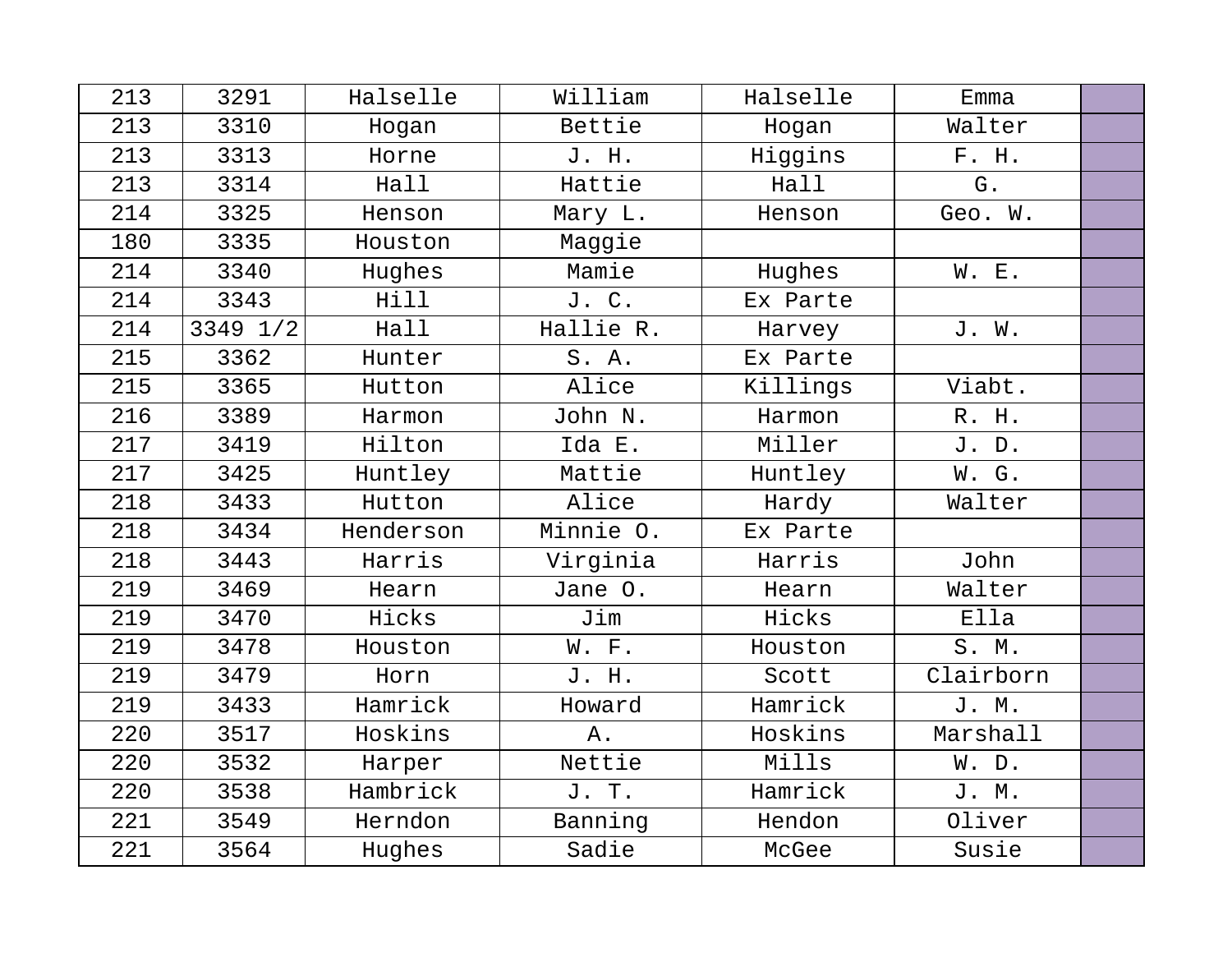| 213 | 3291     | Halselle  | William   | Halselle | Emma      |  |
|-----|----------|-----------|-----------|----------|-----------|--|
| 213 | 3310     | Hogan     | Bettie    | Hogan    | Walter    |  |
| 213 | 3313     | Horne     | J. H.     | Higgins  | F. H.     |  |
| 213 | 3314     | Hall      | Hattie    | Hall     | G.        |  |
| 214 | 3325     | Henson    | Mary L.   | Henson   | Geo. W.   |  |
| 180 | 3335     | Houston   | Maggie    |          |           |  |
| 214 | 3340     | Hughes    | Mamie     | Hughes   | W. E.     |  |
| 214 | 3343     | Hill      | J. C.     | Ex Parte |           |  |
| 214 | 3349 1/2 | Hall      | Hallie R. | Harvey   | J. W.     |  |
| 215 | 3362     | Hunter    | S.A.      | Ex Parte |           |  |
| 215 | 3365     | Hutton    | Alice     | Killings | Viabt.    |  |
| 216 | 3389     | Harmon    | John N.   | Harmon   | R. H.     |  |
| 217 | 3419     | Hilton    | Ida E.    | Miller   | J.D.      |  |
| 217 | 3425     | Huntley   | Mattie    | Huntley  | W. G.     |  |
| 218 | 3433     | Hutton    | Alice     | Hardy    | Walter    |  |
| 218 | 3434     | Henderson | Minnie O. | Ex Parte |           |  |
| 218 | 3443     | Harris    | Virginia  | Harris   | John      |  |
| 219 | 3469     | Hearn     | Jane O.   | Hearn    | Walter    |  |
| 219 | 3470     | Hicks     | Jim       | Hicks    | Ella      |  |
| 219 | 3478     | Houston   | W. F.     | Houston  | S. M.     |  |
| 219 | 3479     | Horn      | J. H.     | Scott    | Clairborn |  |
| 219 | 3433     | Hamrick   | Howard    | Hamrick  | J. M.     |  |
| 220 | 3517     | Hoskins   | Α.        | Hoskins  | Marshall  |  |
| 220 | 3532     | Harper    | Nettie    | Mills    | W. D.     |  |
| 220 | 3538     | Hambrick  | J. T.     | Hamrick  | J. M.     |  |
| 221 | 3549     | Herndon   | Banning   | Hendon   | Oliver    |  |
| 221 | 3564     | Hughes    | Sadie     | McGee    | Susie     |  |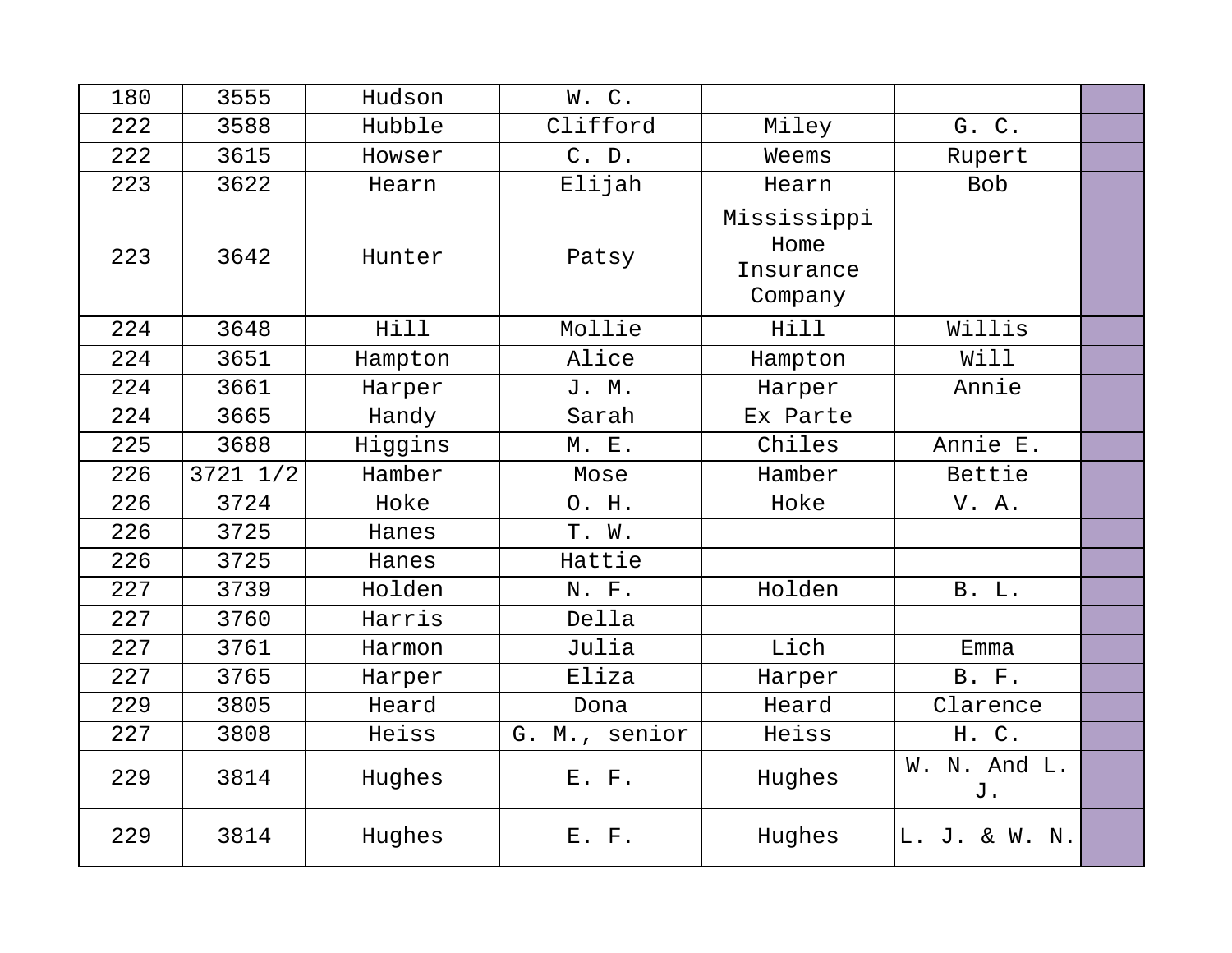| 180 | 3555         | Hudson  | W.C.          |                                             |                    |  |
|-----|--------------|---------|---------------|---------------------------------------------|--------------------|--|
| 222 | 3588         | Hubble  | Clifford      | Miley                                       | G. C.              |  |
| 222 | 3615         | Howser  | C. D.         | Weems                                       | Rupert             |  |
| 223 | 3622         | Hearn   | Elijah        | Hearn                                       | <b>Bob</b>         |  |
| 223 | 3642         | Hunter  | Patsy         | Mississippi<br>Home<br>Insurance<br>Company |                    |  |
| 224 | 3648         | Hill    | Mollie        | Hill                                        | Willis             |  |
| 224 | 3651         | Hampton | Alice         | Hampton                                     | Will               |  |
| 224 | 3661         | Harper  | J. M.         | Harper                                      | Annie              |  |
| 224 | 3665         | Handy   | Sarah         | Ex Parte                                    |                    |  |
| 225 | 3688         | Higgins | M. E.         | Chiles                                      | Annie E.           |  |
| 226 | $3721$ $1/2$ | Hamber  | Mose          | Hamber                                      | Bettie             |  |
| 226 | 3724         | Hoke    | O. H.         | Hoke                                        | V. A.              |  |
| 226 | 3725         | Hanes   | T. W.         |                                             |                    |  |
| 226 | 3725         | Hanes   | Hattie        |                                             |                    |  |
| 227 | 3739         | Holden  | N. F.         | Holden                                      | B. L.              |  |
| 227 | 3760         | Harris  | Della         |                                             |                    |  |
| 227 | 3761         | Harmon  | Julia         | Lich                                        | Emma               |  |
| 227 | 3765         | Harper  | Eliza         | Harper                                      | <b>B.</b> F.       |  |
| 229 | 3805         | Heard   | Dona          | Heard                                       | Clarence           |  |
| 227 | 3808         | Heiss   | G. M., senior | Heiss                                       | H. C.              |  |
| 229 | 3814         | Hughes  | E. F.         | Hughes                                      | W. N. And L.<br>J. |  |
| 229 | 3814         | Hughes  | E. F.         | Hughes                                      | L. J. & W. N.      |  |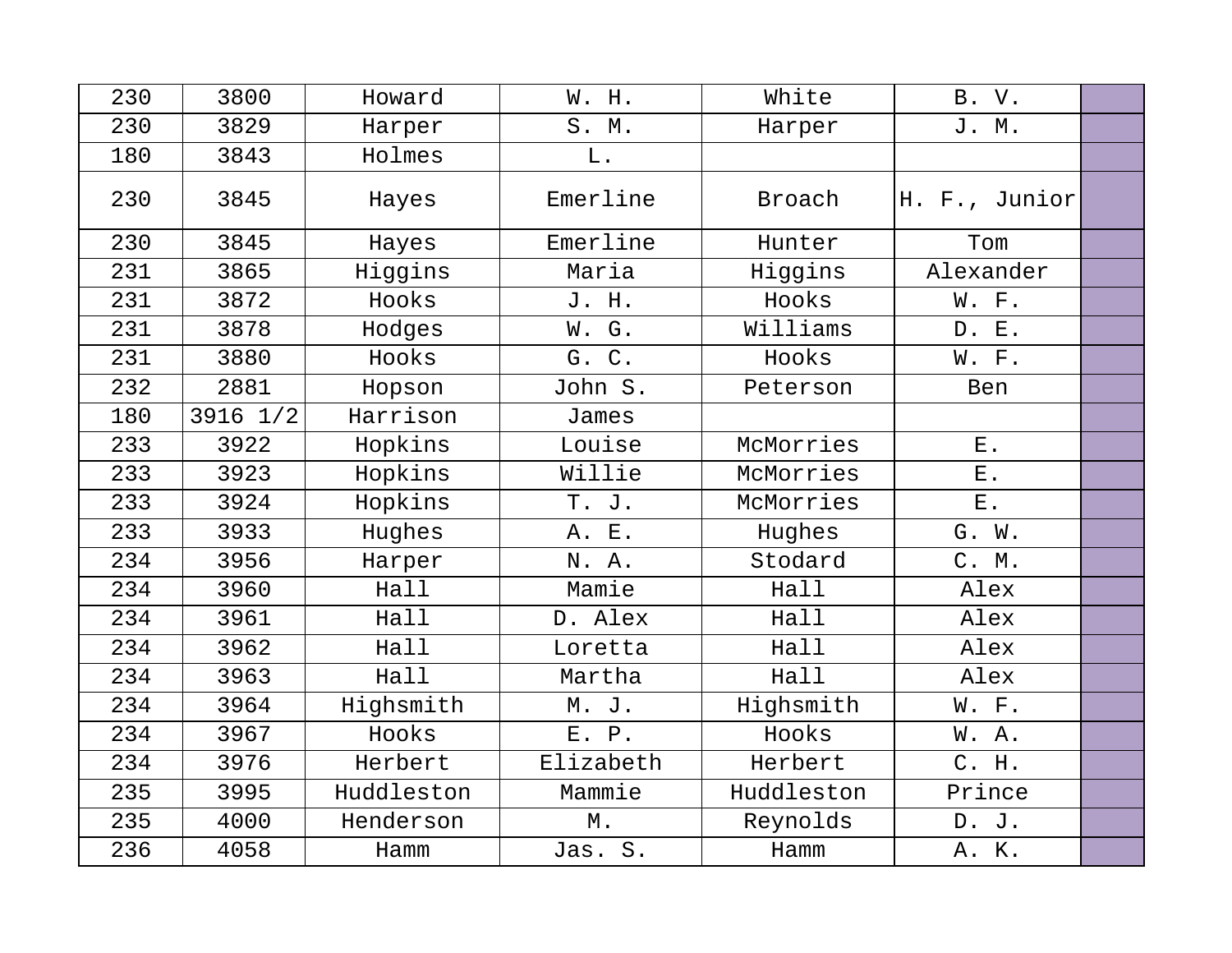| 230 | 3800     | Howard     | W. H.             | White      | B. V.         |  |
|-----|----------|------------|-------------------|------------|---------------|--|
| 230 | 3829     | Harper     | S. M.             | Harper     | J. M.         |  |
| 180 | 3843     | Holmes     | L.                |            |               |  |
| 230 | 3845     | Hayes      | Emerline          | Broach     | H. F., Junior |  |
| 230 | 3845     | Hayes      | Emerline          | Hunter     | Tom           |  |
| 231 | 3865     | Higgins    | Maria             | Higgins    | Alexander     |  |
| 231 | 3872     | Hooks      | J. H.             | Hooks      | W. F.         |  |
| 231 | 3878     | Hodges     | W. G.             | Williams   | D. E.         |  |
| 231 | 3880     | Hooks      | G. C.             | Hooks      | W. F.         |  |
| 232 | 2881     | Hopson     | John S.           | Peterson   | <b>Ben</b>    |  |
| 180 | 3916 1/2 | Harrison   | James             |            |               |  |
| 233 | 3922     | Hopkins    | Louise            | McMorries  | <b>E</b> .    |  |
| 233 | 3923     | Hopkins    | Willie            | McMorries  | ${\bf E}$ .   |  |
| 233 | 3924     | Hopkins    | T. J.             | McMorries  | $E$ .         |  |
| 233 | 3933     | Hughes     | A. E.             | Hughes     | G. W.         |  |
| 234 | 3956     | Harper     | N. A.             | Stodard    | C. M.         |  |
| 234 | 3960     | Hall       | Mamie             | Hall       | Alex          |  |
| 234 | 3961     | Hall       | D. Alex           | Hall       | Alex          |  |
| 234 | 3962     | Hall       | Loretta           | Hall       | Alex          |  |
| 234 | 3963     | Hall       | Martha            | Hall       | Alex          |  |
| 234 | 3964     | Highsmith  | M. J.             | Highsmith  | W. F.         |  |
| 234 | 3967     | Hooks      | E. P.             | Hooks      | W. A.         |  |
| 234 | 3976     | Herbert    | Elizabeth         | Herbert    | C. H.         |  |
| 235 | 3995     | Huddleston | Mammie            | Huddleston | Prince        |  |
| 235 | 4000     | Henderson  | $\mathbbmss{M}$ . | Reynolds   | D. J.         |  |
| 236 | 4058     | Hamm       | Jas. S.           | Hamm       | A. K.         |  |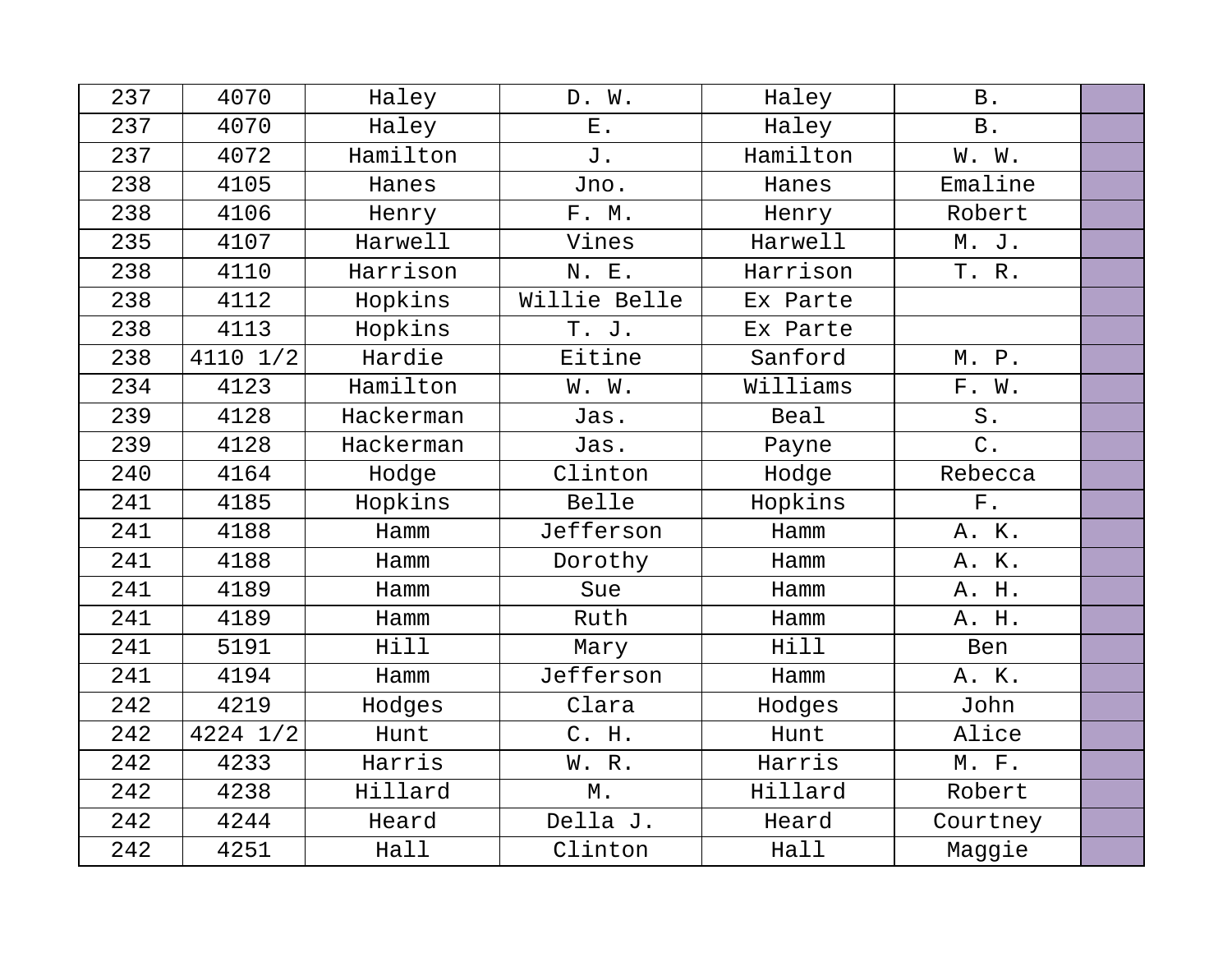| 237 | 4070     | Haley     | D. W.             | Haley    | <b>B</b> .  |  |
|-----|----------|-----------|-------------------|----------|-------------|--|
| 237 | 4070     | Haley     | ${\bf E}$ .       | Haley    | <b>B</b> .  |  |
| 237 | 4072     | Hamilton  | J.                | Hamilton | W. W.       |  |
| 238 | 4105     | Hanes     | Jno.              | Hanes    | Emaline     |  |
| 238 | 4106     | Henry     | F. M.             | Henry    | Robert      |  |
| 235 | 4107     | Harwell   | Vines             | Harwell  | M. J.       |  |
| 238 | 4110     | Harrison  | N. E.             | Harrison | T. R.       |  |
| 238 | 4112     | Hopkins   | Willie Belle      | Ex Parte |             |  |
| 238 | 4113     | Hopkins   | T. J.             | Ex Parte |             |  |
| 238 | 4110 1/2 | Hardie    | Eitine            | Sanford  | M. P.       |  |
| 234 | 4123     | Hamilton  | W. W.             | Williams | F. W.       |  |
| 239 | 4128     | Hackerman | Jas.              | Beal     | S.          |  |
| 239 | 4128     | Hackerman | Jas.              | Payne    | $C$ .       |  |
| 240 | 4164     | Hodge     | Clinton           | Hodge    | Rebecca     |  |
| 241 | 4185     | Hopkins   | Belle             | Hopkins  | ${\bf F}$ . |  |
| 241 | 4188     | Hamm      | Jefferson         | Hamm     | A. K.       |  |
| 241 | 4188     | Hamm      | Dorothy           | Hamm     | A. K.       |  |
| 241 | 4189     | Hamm      | Sue               | Hamm     | A. H.       |  |
| 241 | 4189     | Hamm      | Ruth              | Hamm     | A. H.       |  |
| 241 | 5191     | Hill      | Mary              | Hill     | Ben         |  |
| 241 | 4194     | Hamm      | Jefferson         | Hamm     | A. K.       |  |
| 242 | 4219     | Hodges    | Clara             | Hodges   | John        |  |
| 242 | 4224 1/2 | Hunt      | C. H.             | Hunt     | Alice       |  |
| 242 | 4233     | Harris    | W. R.             | Harris   | M. F.       |  |
| 242 | 4238     | Hillard   | $\mathbbmss{M}$ . | Hillard  | Robert      |  |
| 242 | 4244     | Heard     | Della J.          | Heard    | Courtney    |  |
| 242 | 4251     | Hall      | Clinton           | Hall     | Maggie      |  |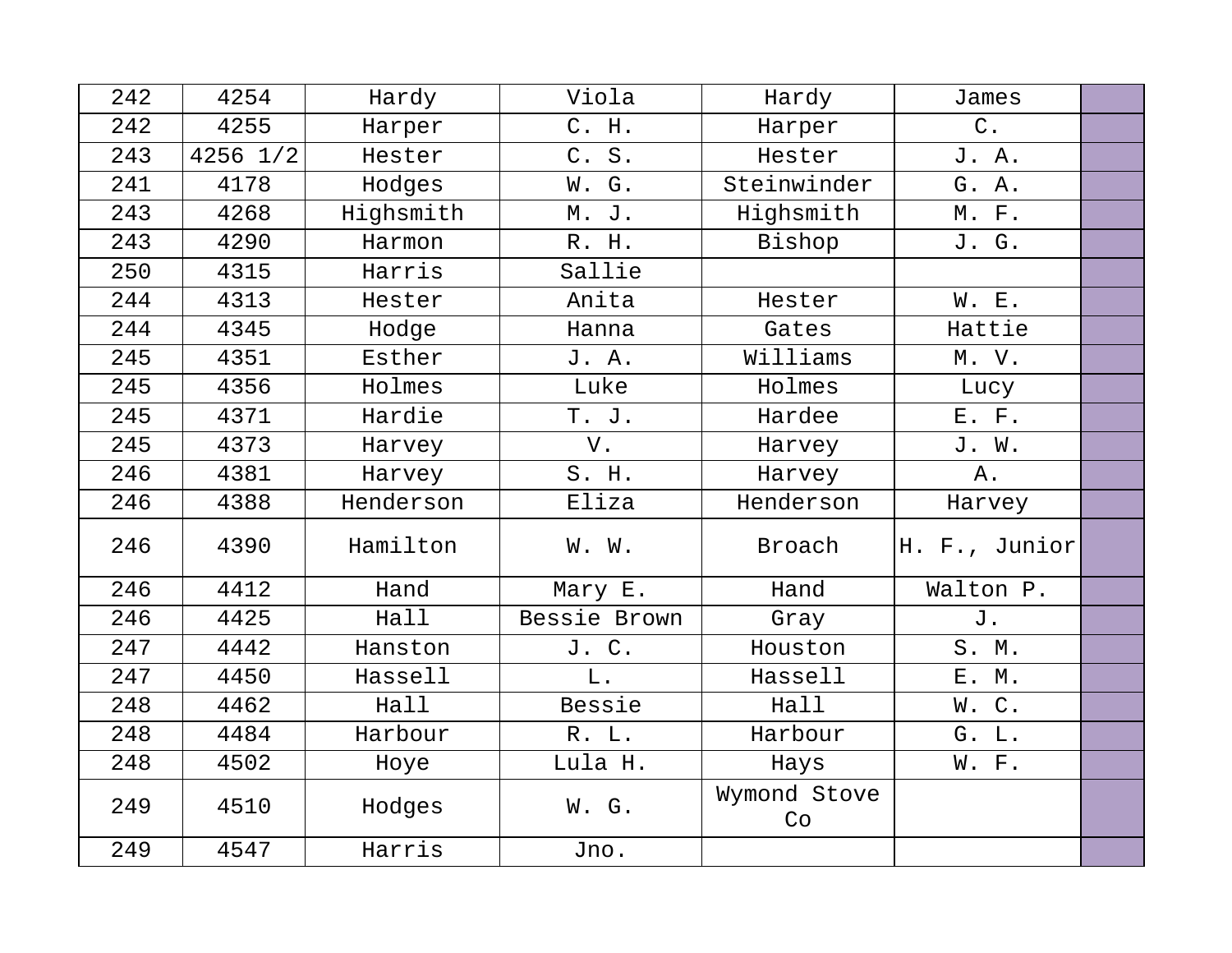| 242 | 4254         | Hardy     | Viola        | Hardy              | James         |  |
|-----|--------------|-----------|--------------|--------------------|---------------|--|
| 242 | 4255         | Harper    | C. H.        | Harper             | $C$ .         |  |
| 243 | $4256$ $1/2$ | Hester    | C. S.        | Hester             | J. A.         |  |
| 241 | 4178         | Hodges    | W. G.        | Steinwinder        | G. A.         |  |
| 243 | 4268         | Highsmith | M. J.        | Highsmith          | M. F.         |  |
| 243 | 4290         | Harmon    | R. H.        | Bishop             | J. G.         |  |
| 250 | 4315         | Harris    | Sallie       |                    |               |  |
| 244 | 4313         | Hester    | Anita        | Hester             | W. E.         |  |
| 244 | 4345         | Hodge     | Hanna        | Gates              | Hattie        |  |
| 245 | 4351         | Esther    | J. A.        | Williams           | M. V.         |  |
| 245 | 4356         | Holmes    | Luke         | Holmes             | Lucy          |  |
| 245 | 4371         | Hardie    | T. J.        | Hardee             | E. F.         |  |
| 245 | 4373         | Harvey    | V.           | Harvey             | J. W.         |  |
| 246 | 4381         | Harvey    | S. H.        | Harvey             | Α.            |  |
| 246 | 4388         | Henderson | Eliza        | Henderson          | Harvey        |  |
| 246 | 4390         | Hamilton  | W. W.        | Broach             | H. F., Junior |  |
| 246 | 4412         | Hand      | Mary E.      | Hand               | Walton P.     |  |
| 246 | 4425         | Hall      | Bessie Brown | Gray               | J.            |  |
| 247 | 4442         | Hanston   | J. C.        | Houston            | S. M.         |  |
| 247 | 4450         | Hassell   | L.           | Hassell            | E. M.         |  |
| 248 | 4462         | Hall      | Bessie       | Hall               | W.C.          |  |
| 248 | 4484         | Harbour   | R. L.        | Harbour            | G. L.         |  |
| 248 | 4502         | Hoye      | Lula H.      | Hays               | W. F.         |  |
| 249 | 4510         | Hodges    | W. G.        | Wymond Stove<br>Co |               |  |
| 249 | 4547         | Harris    | Jno.         |                    |               |  |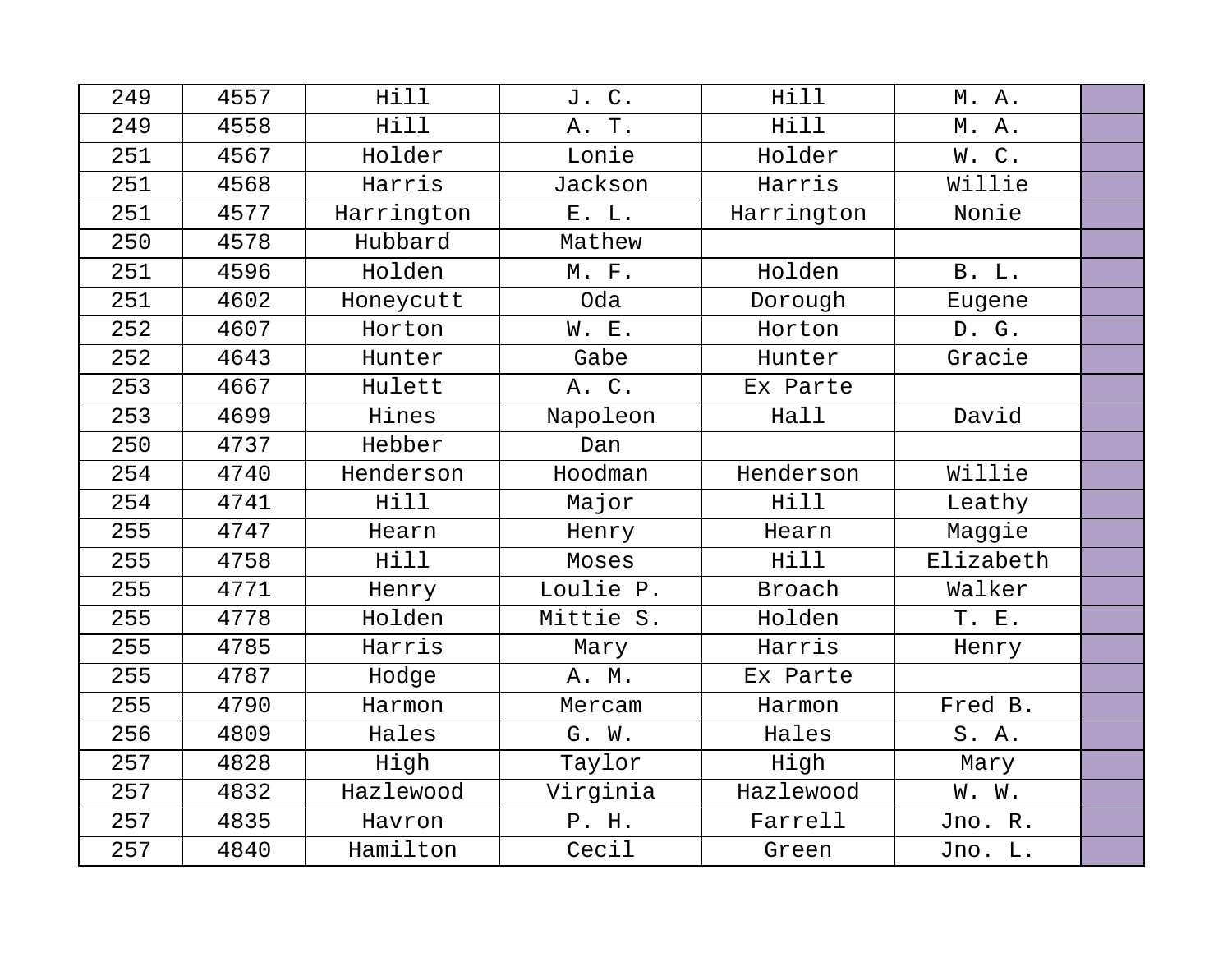| 249 | 4557 | Hill       | J. C.     | Hill          | M. A.        |  |
|-----|------|------------|-----------|---------------|--------------|--|
| 249 | 4558 | Hill       | A. T.     | Hill          | M. A.        |  |
| 251 | 4567 | Holder     | Lonie     | Holder        | W.C.         |  |
| 251 | 4568 | Harris     | Jackson   | Harris        | Willie       |  |
| 251 | 4577 | Harrington | E. L.     | Harrington    | Nonie        |  |
| 250 | 4578 | Hubbard    | Mathew    |               |              |  |
| 251 | 4596 | Holden     | M. F.     | Holden        | <b>B.</b> L. |  |
| 251 | 4602 | Honeycutt  | Oda       | Dorough       | Eugene       |  |
| 252 | 4607 | Horton     | W. E.     | Horton        | D. G.        |  |
| 252 | 4643 | Hunter     | Gabe      | Hunter        | Gracie       |  |
| 253 | 4667 | Hulett     | A. C.     | Ex Parte      |              |  |
| 253 | 4699 | Hines      | Napoleon  | Hall          | David        |  |
| 250 | 4737 | Hebber     | Dan       |               |              |  |
| 254 | 4740 | Henderson  | Hoodman   | Henderson     | Willie       |  |
| 254 | 4741 | Hill       | Major     | Hill          | Leathy       |  |
| 255 | 4747 | Hearn      | Henry     | Hearn         | Maggie       |  |
| 255 | 4758 | Hill       | Moses     | Hill          | Elizabeth    |  |
| 255 | 4771 | Henry      | Loulie P. | <b>Broach</b> | Walker       |  |
| 255 | 4778 | Holden     | Mittie S. | Holden        | T. E.        |  |
| 255 | 4785 | Harris     | Mary      | Harris        | Henry        |  |
| 255 | 4787 | Hodge      | A. M.     | Ex Parte      |              |  |
| 255 | 4790 | Harmon     | Mercam    | Harmon        | Fred B.      |  |
| 256 | 4809 | Hales      | G. W.     | Hales         | S. A.        |  |
| 257 | 4828 | High       | Taylor    | High          | Mary         |  |
| 257 | 4832 | Hazlewood  | Virginia  | Hazlewood     | W. W.        |  |
| 257 | 4835 | Havron     | P. H.     | Farrell       | Jno. R.      |  |
| 257 | 4840 | Hamilton   | Cecil     | Green         | Jno. L.      |  |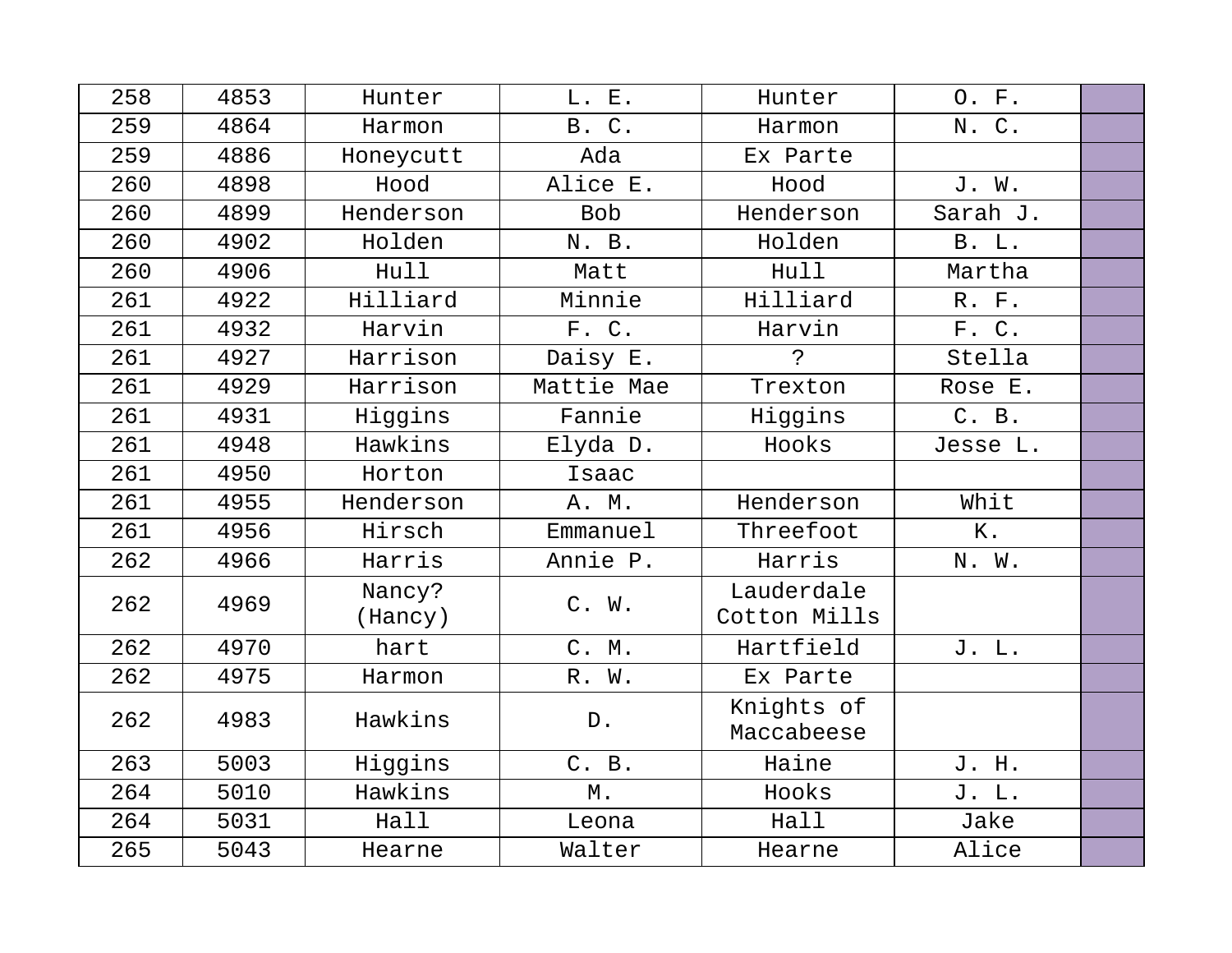| 258 | 4853 | Hunter            | L. E.         | Hunter                     | O. F.        |  |
|-----|------|-------------------|---------------|----------------------------|--------------|--|
| 259 | 4864 | Harmon            | B. C.         | Harmon                     | N. C.        |  |
| 259 | 4886 | Honeycutt         | Ada           | Ex Parte                   |              |  |
| 260 | 4898 | Hood              | Alice E.      | Hood                       | J. W.        |  |
| 260 | 4899 | Henderson         | <b>Bob</b>    | Henderson                  | Sarah J.     |  |
| 260 | 4902 | Holden            | N. B.         | Holden                     | <b>B.</b> L. |  |
| 260 | 4906 | Hull              | Matt          | Hull                       | Martha       |  |
| 261 | 4922 | Hilliard          | Minnie        | Hilliard                   | R. F.        |  |
| 261 | 4932 | Harvin            | F. C.         | Harvin                     | F. C.        |  |
| 261 | 4927 | Harrison          | Daisy E.      | $\ddot{\cdot}$             | Stella       |  |
| 261 | 4929 | Harrison          | Mattie Mae    | Trexton                    | Rose E.      |  |
| 261 | 4931 | Higgins           | Fannie        | Higgins                    | C. B.        |  |
| 261 | 4948 | Hawkins           | Elyda D.      | Hooks                      | Jesse L.     |  |
| 261 | 4950 | Horton            | Isaac         |                            |              |  |
| 261 | 4955 | Henderson         | A. M.         | Henderson                  | Whit         |  |
| 261 | 4956 | Hirsch            | Emmanuel      | Threefoot                  | $K$ .        |  |
| 262 | 4966 | Harris            | Annie P.      | Harris                     | N. W.        |  |
| 262 | 4969 | Nancy?<br>(Hancy) | C. W.         | Lauderdale<br>Cotton Mills |              |  |
| 262 | 4970 | hart              | C. M.         | Hartfield                  | J. L.        |  |
| 262 | 4975 | Harmon            | R. W.         | Ex Parte                   |              |  |
| 262 | 4983 | Hawkins           | $\mathbb D$ . | Knights of<br>Maccabeese   |              |  |
| 263 | 5003 | Higgins           | C. B.         | Haine                      | J. H.        |  |
| 264 | 5010 | Hawkins           | М.            | Hooks                      | J. L.        |  |
| 264 | 5031 | Hall              | Leona         | Hall                       | Jake         |  |
| 265 | 5043 | Hearne            | Walter        | Hearne                     | Alice        |  |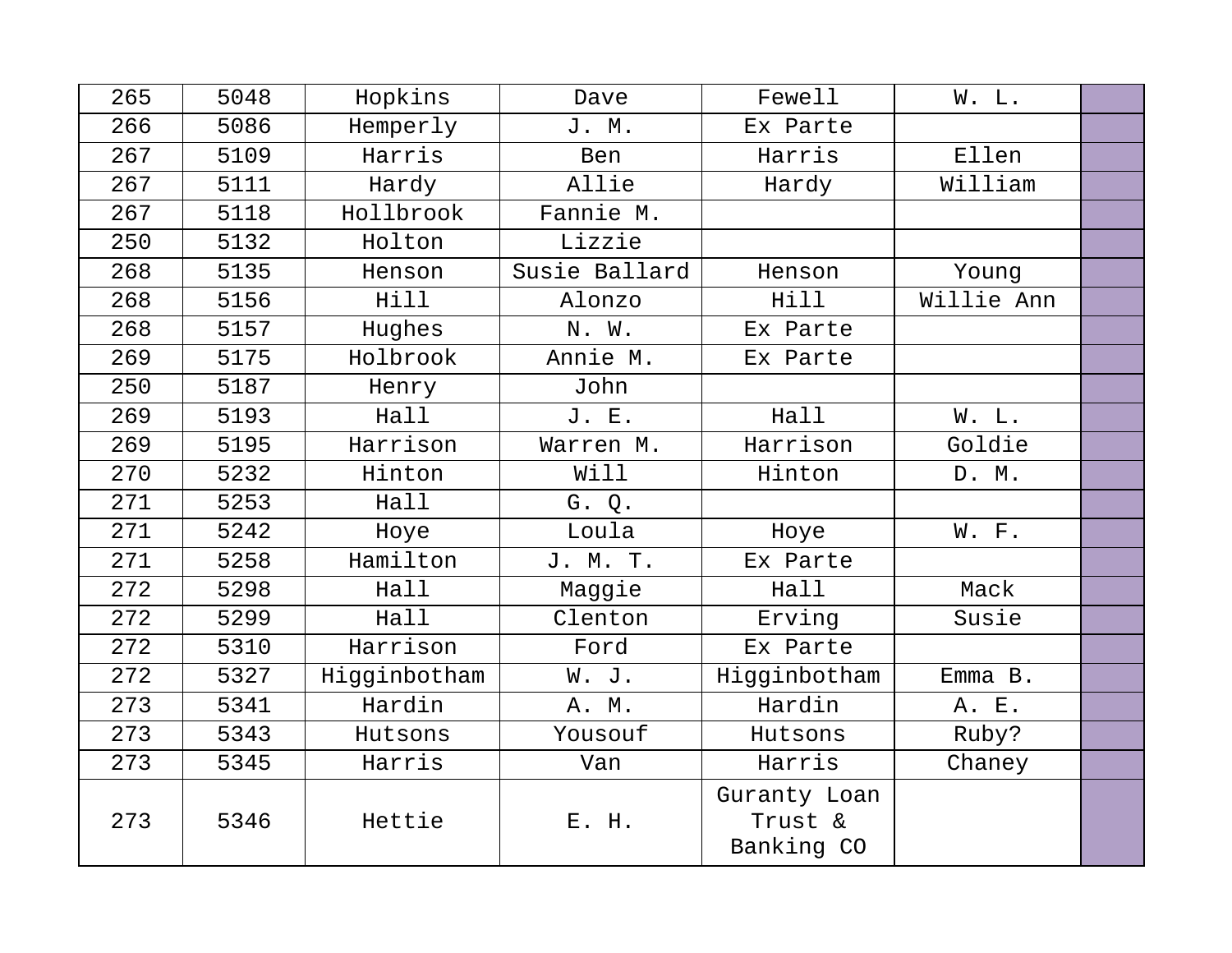| 265 | 5048 | Hopkins      | Dave          | Fewell                                | W. L.      |  |
|-----|------|--------------|---------------|---------------------------------------|------------|--|
| 266 | 5086 | Hemperly     | J. M.         | Ex Parte                              |            |  |
| 267 | 5109 | Harris       | Ben           | Harris                                | Ellen      |  |
| 267 | 5111 | Hardy        | Allie         | Hardy                                 | William    |  |
| 267 | 5118 | Hollbrook    | Fannie M.     |                                       |            |  |
| 250 | 5132 | Holton       | Lizzie        |                                       |            |  |
| 268 | 5135 | Henson       | Susie Ballard | Henson                                | Young      |  |
| 268 | 5156 | Hill         | Alonzo        | Hill                                  | Willie Ann |  |
| 268 | 5157 | Hughes       | N. W.         | Ex Parte                              |            |  |
| 269 | 5175 | Holbrook     | Annie M.      | Ex Parte                              |            |  |
| 250 | 5187 | Henry        | John          |                                       |            |  |
| 269 | 5193 | Hall         | J. E.         | Hall                                  | W. L.      |  |
| 269 | 5195 | Harrison     | Warren M.     | Harrison                              | Goldie     |  |
| 270 | 5232 | Hinton       | Will          | Hinton                                | D. M.      |  |
| 271 | 5253 | Hall         | G. Q.         |                                       |            |  |
| 271 | 5242 | Hoye         | Loula         | Hoye                                  | W. F.      |  |
| 271 | 5258 | Hamilton     | J. M. T.      | Ex Parte                              |            |  |
| 272 | 5298 | Hall         | Maggie        | Hall                                  | Mack       |  |
| 272 | 5299 | Hall         | Clenton       | Erving                                | Susie      |  |
| 272 | 5310 | Harrison     | Ford          | Ex Parte                              |            |  |
| 272 | 5327 | Higginbotham | W. J.         | Higginbotham                          | $Emma$ B.  |  |
| 273 | 5341 | Hardin       | A. M.         | Hardin                                | A. E.      |  |
| 273 | 5343 | Hutsons      | Yousouf       | Hutsons                               | Ruby?      |  |
| 273 | 5345 | Harris       | Van           | Harris                                | Chaney     |  |
| 273 | 5346 | Hettie       | E. H.         | Guranty Loan<br>Trust &<br>Banking CO |            |  |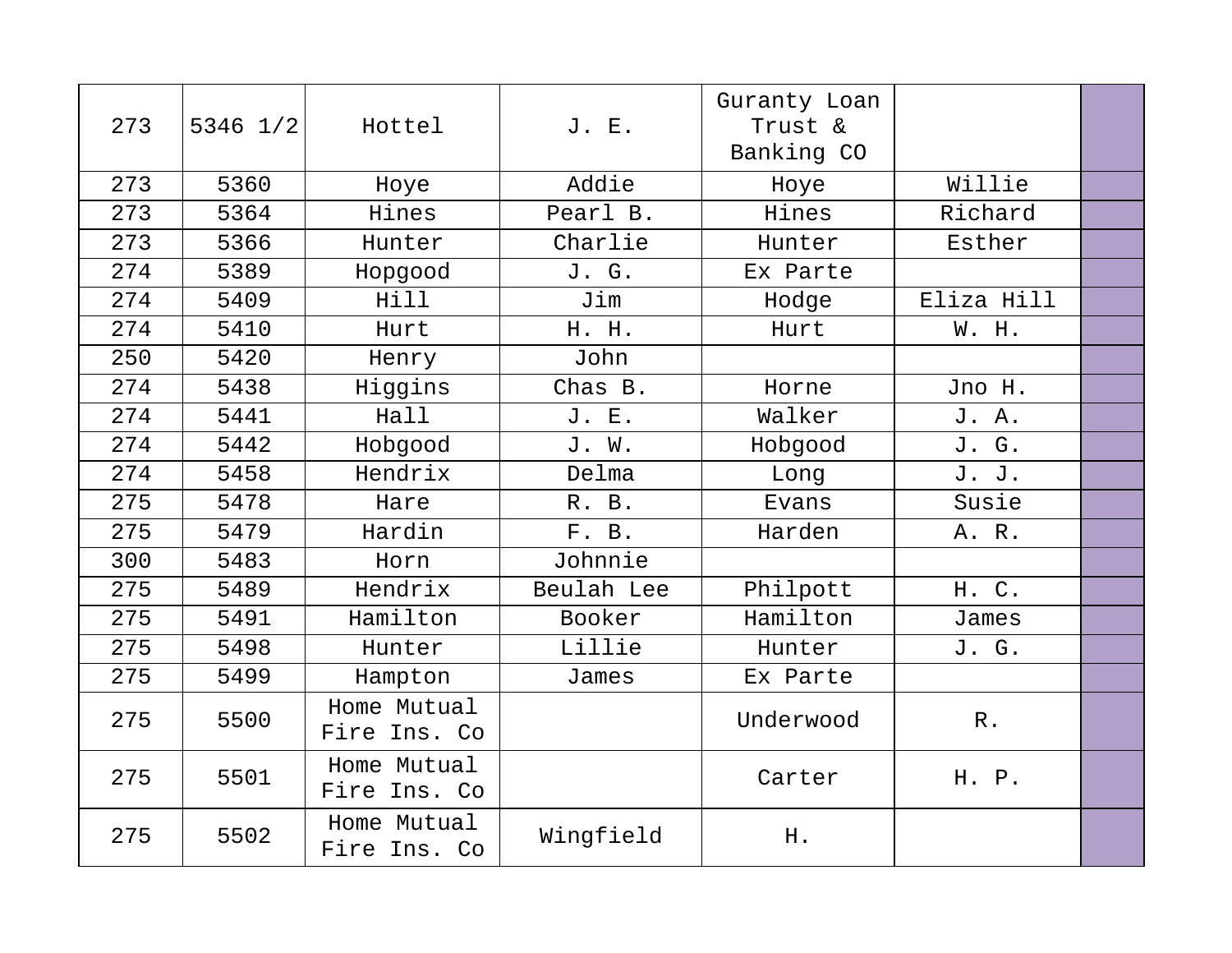| 273 | 5346 1/2 | Hottel                      | J. E.      | Guranty Loan<br>Trust &<br>Banking CO |                 |  |
|-----|----------|-----------------------------|------------|---------------------------------------|-----------------|--|
| 273 | 5360     | Hoye                        | Addie      | Hoye                                  | Willie          |  |
| 273 | 5364     | Hines                       | Pearl B.   | Hines                                 | Richard         |  |
| 273 | 5366     | Hunter                      | Charlie    | Hunter                                | Esther          |  |
| 274 | 5389     | Hopgood                     | J. G.      | Ex Parte                              |                 |  |
| 274 | 5409     | Hill                        | Jim        | Hodge                                 | Eliza Hill      |  |
| 274 | 5410     | Hurt                        | H. H.      | Hurt                                  | W. H.           |  |
| 250 | 5420     | Henry                       | John       |                                       |                 |  |
| 274 | 5438     | Higgins                     | Chas B.    | Horne                                 | Jno H.          |  |
| 274 | 5441     | Hall                        | J. E.      | Walker                                | J. A.           |  |
| 274 | 5442     | Hobgood                     | J. W.      | Hobgood                               | J. G.           |  |
| 274 | 5458     | Hendrix                     | Delma      | Long                                  | J. J.           |  |
| 275 | 5478     | Hare                        | R. B.      | Evans                                 | Susie           |  |
| 275 | 5479     | Hardin                      | F. B.      | Harden                                | A. R.           |  |
| 300 | 5483     | Horn                        | Johnnie    |                                       |                 |  |
| 275 | 5489     | Hendrix                     | Beulah Lee | Philpott                              | H. C.           |  |
| 275 | 5491     | Hamilton                    | Booker     | Hamilton                              | James           |  |
| 275 | 5498     | Hunter                      | Lillie     | Hunter                                | J. G.           |  |
| 275 | 5499     | Hampton                     | James      | Ex Parte                              |                 |  |
| 275 | 5500     | Home Mutual<br>Fire Ins. Co |            | Underwood                             | ${\mathbb R}$ . |  |
| 275 | 5501     | Home Mutual<br>Fire Ins. Co |            | Carter                                | H. P.           |  |
| 275 | 5502     | Home Mutual<br>Fire Ins. Co | Wingfield  | H.                                    |                 |  |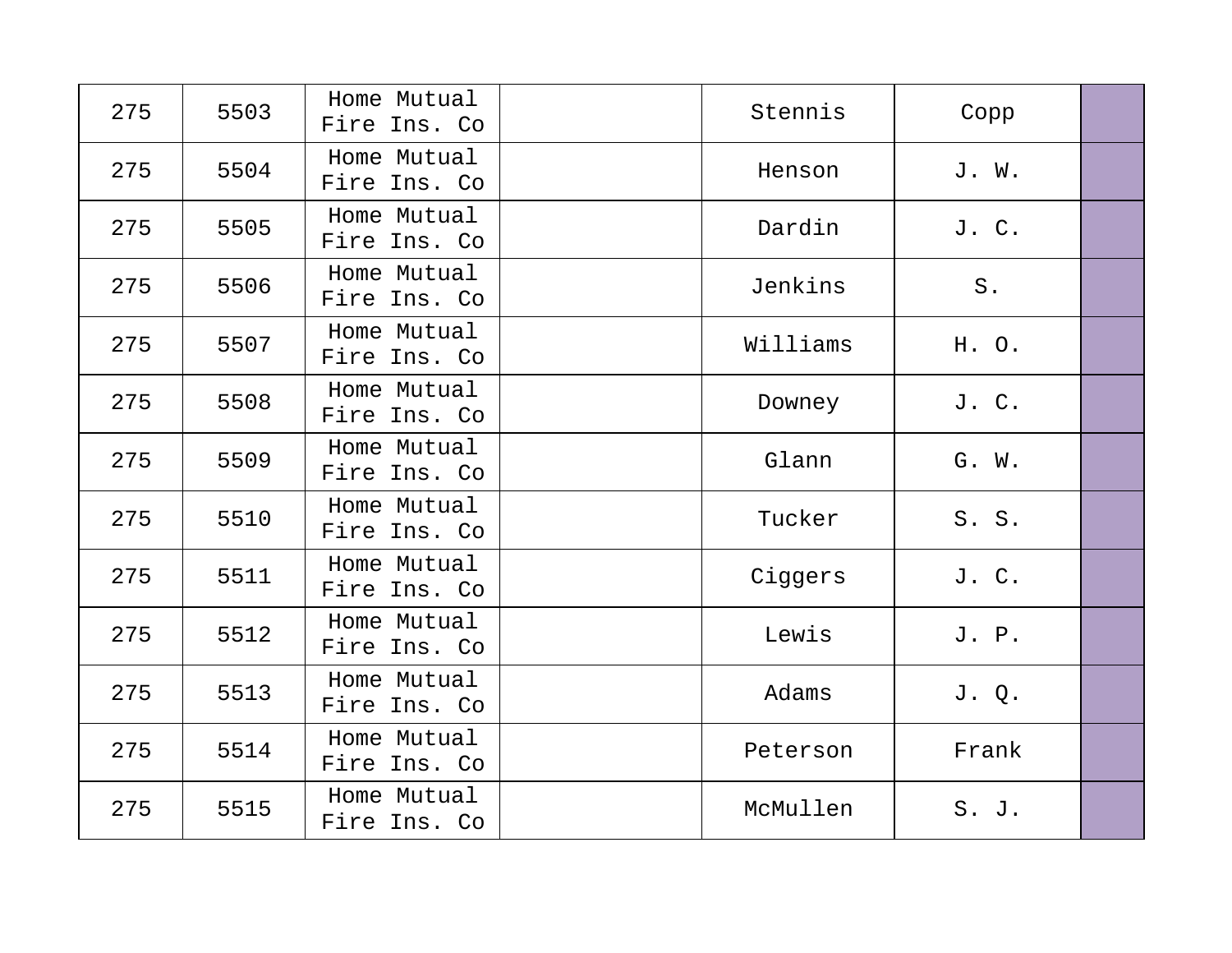| 275 | 5503 | Home Mutual<br>Fire Ins. Co | Stennis  | Copp  |  |
|-----|------|-----------------------------|----------|-------|--|
| 275 | 5504 | Home Mutual<br>Fire Ins. Co | Henson   | J. W. |  |
| 275 | 5505 | Home Mutual<br>Fire Ins. Co | Dardin   | J. C. |  |
| 275 | 5506 | Home Mutual<br>Fire Ins. Co | Jenkins  | $S$ . |  |
| 275 | 5507 | Home Mutual<br>Fire Ins. Co | Williams | H. O. |  |
| 275 | 5508 | Home Mutual<br>Fire Ins. Co | Downey   | J. C. |  |
| 275 | 5509 | Home Mutual<br>Fire Ins. Co | Glann    | G. W. |  |
| 275 | 5510 | Home Mutual<br>Fire Ins. Co | Tucker   | S. S. |  |
| 275 | 5511 | Home Mutual<br>Fire Ins. Co | Ciggers  | J. C. |  |
| 275 | 5512 | Home Mutual<br>Fire Ins. Co | Lewis    | J. P. |  |
| 275 | 5513 | Home Mutual<br>Fire Ins. Co | Adams    | J. Q. |  |
| 275 | 5514 | Home Mutual<br>Fire Ins. Co | Peterson | Frank |  |
| 275 | 5515 | Home Mutual<br>Fire Ins. Co | McMullen | S. J. |  |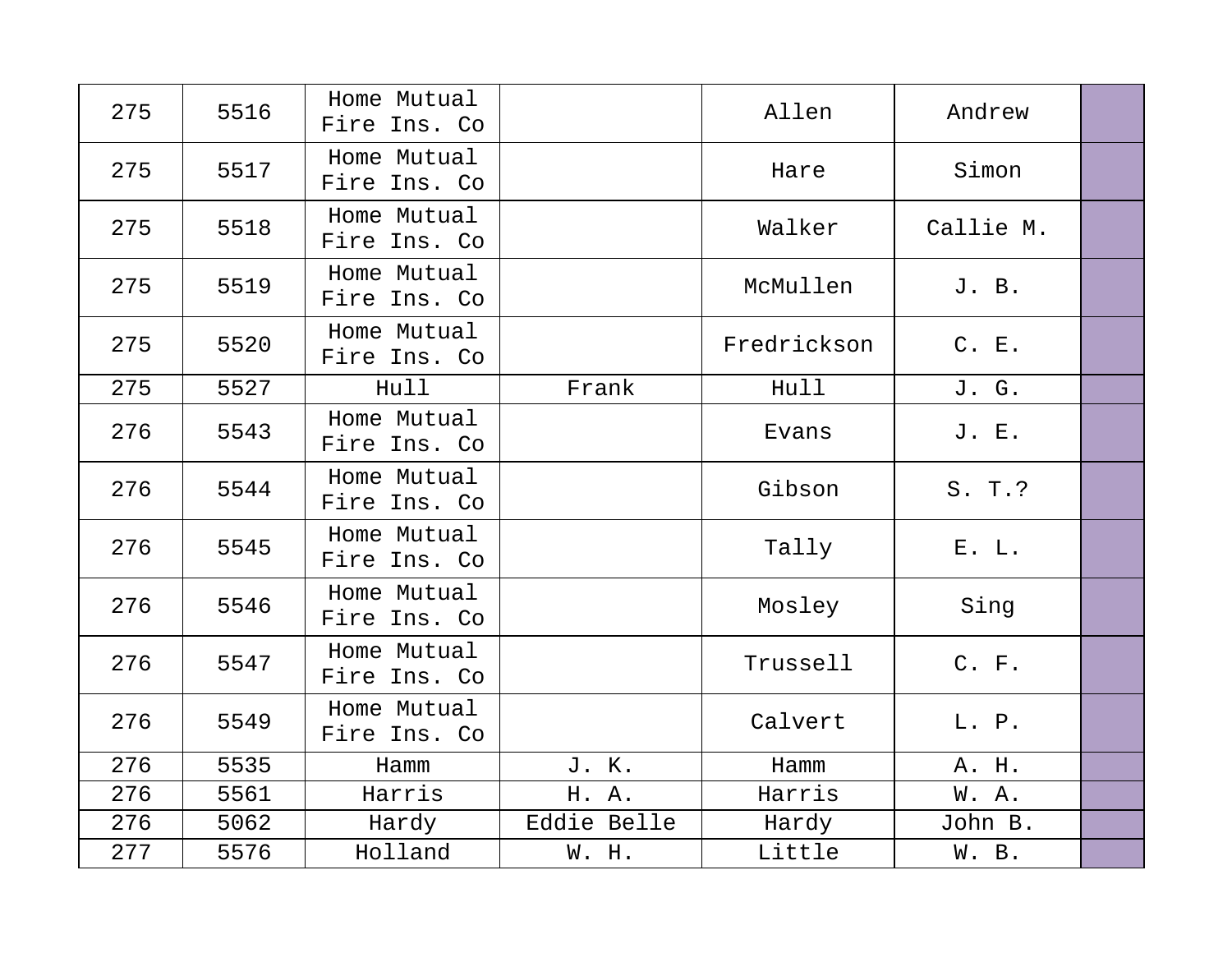| 275 | 5516 | Home Mutual<br>Fire Ins. Co |             | Allen       | Andrew    |  |
|-----|------|-----------------------------|-------------|-------------|-----------|--|
| 275 | 5517 | Home Mutual<br>Fire Ins. Co |             | Hare        | Simon     |  |
| 275 | 5518 | Home Mutual<br>Fire Ins. Co |             | Walker      | Callie M. |  |
| 275 | 5519 | Home Mutual<br>Fire Ins. Co |             | McMullen    | J. B.     |  |
| 275 | 5520 | Home Mutual<br>Fire Ins. Co |             | Fredrickson | C. E.     |  |
| 275 | 5527 | Hull                        | Frank       | Hull        | J. G.     |  |
| 276 | 5543 | Home Mutual<br>Fire Ins. Co |             | Evans       | J. E.     |  |
| 276 | 5544 | Home Mutual<br>Fire Ins. Co |             | Gibson      | S. T.?    |  |
| 276 | 5545 | Home Mutual<br>Fire Ins. Co |             | Tally       | E. L.     |  |
| 276 | 5546 | Home Mutual<br>Fire Ins. Co |             | Mosley      | Sing      |  |
| 276 | 5547 | Home Mutual<br>Fire Ins. Co |             | Trussell    | C. F.     |  |
| 276 | 5549 | Home Mutual<br>Fire Ins. Co |             | Calvert     | L. P.     |  |
| 276 | 5535 | Hamm                        | J. K.       | Hamm        | A. H.     |  |
| 276 | 5561 | Harris                      | H. A.       | Harris      | W. A.     |  |
| 276 | 5062 | Hardy                       | Eddie Belle | Hardy       | John B.   |  |
| 277 | 5576 | Holland                     | W. H.       | Little      | W. B.     |  |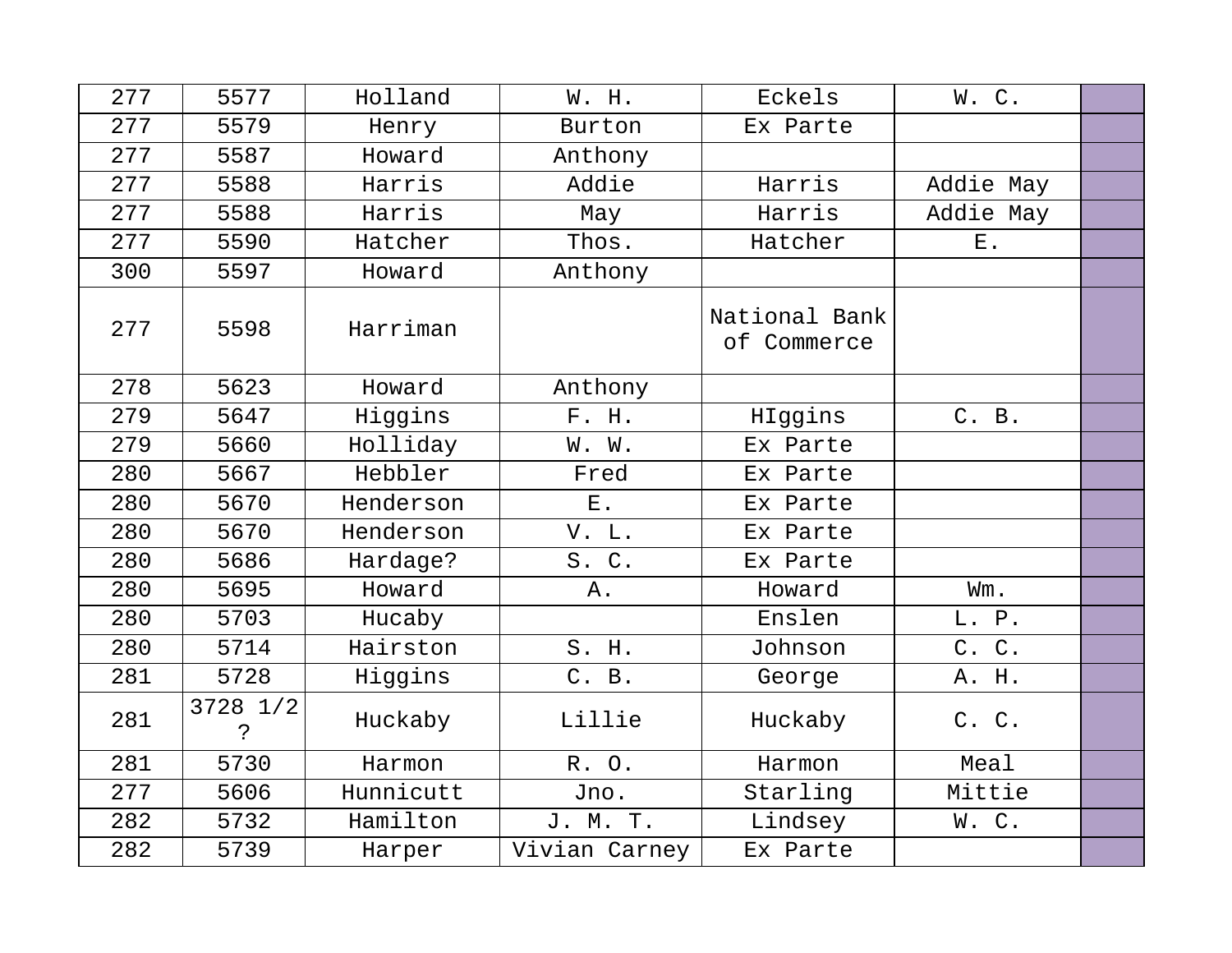| 277 | 5577           | Holland   | W. H.         | Eckels                       | W. C.     |  |
|-----|----------------|-----------|---------------|------------------------------|-----------|--|
| 277 | 5579           | Henry     | Burton        | Ex Parte                     |           |  |
| 277 | 5587           | Howard    | Anthony       |                              |           |  |
| 277 | 5588           | Harris    | Addie         | Harris                       | Addie May |  |
| 277 | 5588           | Harris    | May           | Harris                       | Addie May |  |
| 277 | 5590           | Hatcher   | Thos.         | Hatcher                      | $E$ .     |  |
| 300 | 5597           | Howard    | Anthony       |                              |           |  |
| 277 | 5598           | Harriman  |               | National Bank<br>of Commerce |           |  |
| 278 | 5623           | Howard    | Anthony       |                              |           |  |
| 279 | 5647           | Higgins   | F. H.         | HIggins                      | C. B.     |  |
| 279 | 5660           | Holliday  | W. W.         | Ex Parte                     |           |  |
| 280 | 5667           | Hebbler   | Fred          | Ex Parte                     |           |  |
| 280 | 5670           | Henderson | ${\bf E}$ .   | Ex Parte                     |           |  |
| 280 | 5670           | Henderson | V. L.         | Ex Parte                     |           |  |
| 280 | 5686           | Hardage?  | S. C.         | Ex Parte                     |           |  |
| 280 | 5695           | Howard    | Α.            | Howard                       | Wm.       |  |
| 280 | 5703           | Hucaby    |               | Enslen                       | L. P.     |  |
| 280 | 5714           | Hairston  | S. H.         | Johnson                      | C. C.     |  |
| 281 | 5728           | Higgins   | C. B.         | George                       | A. H.     |  |
| 281 | 3728 1/2<br>د. | Huckaby   | Lillie        | Huckaby                      | C. C.     |  |
| 281 | 5730           | Harmon    | R. O.         | Harmon                       | Meal      |  |
| 277 | 5606           | Hunnicutt | Jno.          | Starling                     | Mittie    |  |
| 282 | 5732           | Hamilton  | J. M. T.      | Lindsey                      | W.C.      |  |
| 282 | 5739           | Harper    | Vivian Carney | Ex Parte                     |           |  |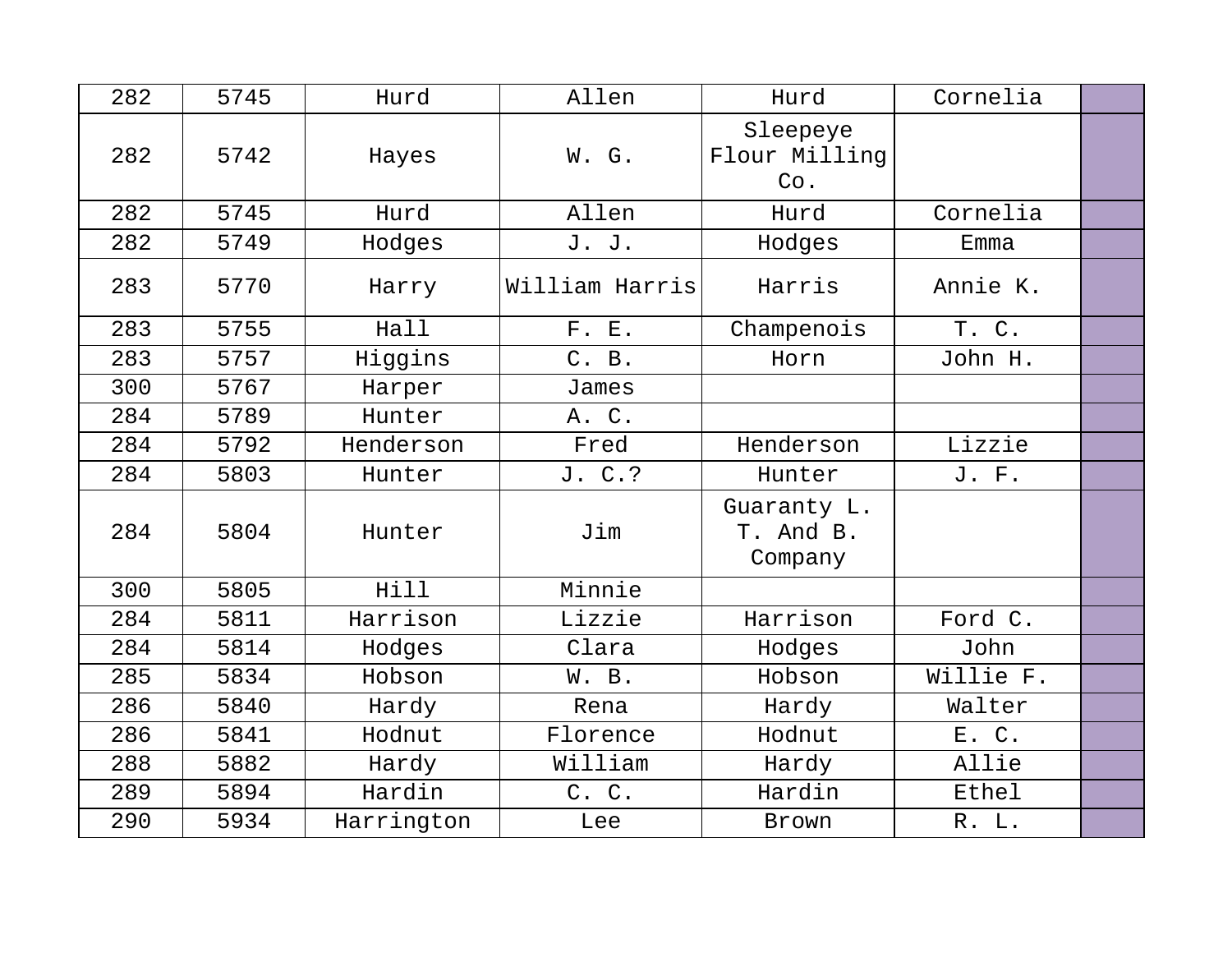| 282 | 5745 | Hurd       | Allen          | Hurd                                | Cornelia  |  |
|-----|------|------------|----------------|-------------------------------------|-----------|--|
| 282 | 5742 | Hayes      | W. G.          | Sleepeye<br>Flour Milling<br>Co.    |           |  |
| 282 | 5745 | Hurd       | Allen          | Hurd                                | Cornelia  |  |
| 282 | 5749 | Hodges     | J. J.          | Hodges                              | Emma      |  |
| 283 | 5770 | Harry      | William Harris | Harris                              | Annie K.  |  |
| 283 | 5755 | Hall       | F. E.          | Champenois                          | T. C.     |  |
| 283 | 5757 | Higgins    | C. B.          | Horn                                | John H.   |  |
| 300 | 5767 | Harper     | James          |                                     |           |  |
| 284 | 5789 | Hunter     | A. C.          |                                     |           |  |
| 284 | 5792 | Henderson  | Fred           | Henderson                           | Lizzie    |  |
| 284 | 5803 | Hunter     | J. C.?         | Hunter                              | J. F.     |  |
| 284 | 5804 | Hunter     | Jim            | Guaranty L.<br>T. And B.<br>Company |           |  |
| 300 | 5805 | Hill       | Minnie         |                                     |           |  |
| 284 | 5811 | Harrison   | Lizzie         | Harrison                            | Ford C.   |  |
| 284 | 5814 | Hodges     | Clara          | Hodges                              | John      |  |
| 285 | 5834 | Hobson     | W. B.          | Hobson                              | Willie F. |  |
| 286 | 5840 | Hardy      | Rena           | Hardy                               | Walter    |  |
| 286 | 5841 | Hodnut     | Florence       | Hodnut                              | E. C.     |  |
| 288 | 5882 | Hardy      | William        | Hardy                               | Allie     |  |
| 289 | 5894 | Hardin     | C. C.          | Hardin                              | Ethel     |  |
| 290 | 5934 | Harrington | Lee            | Brown                               | R. L.     |  |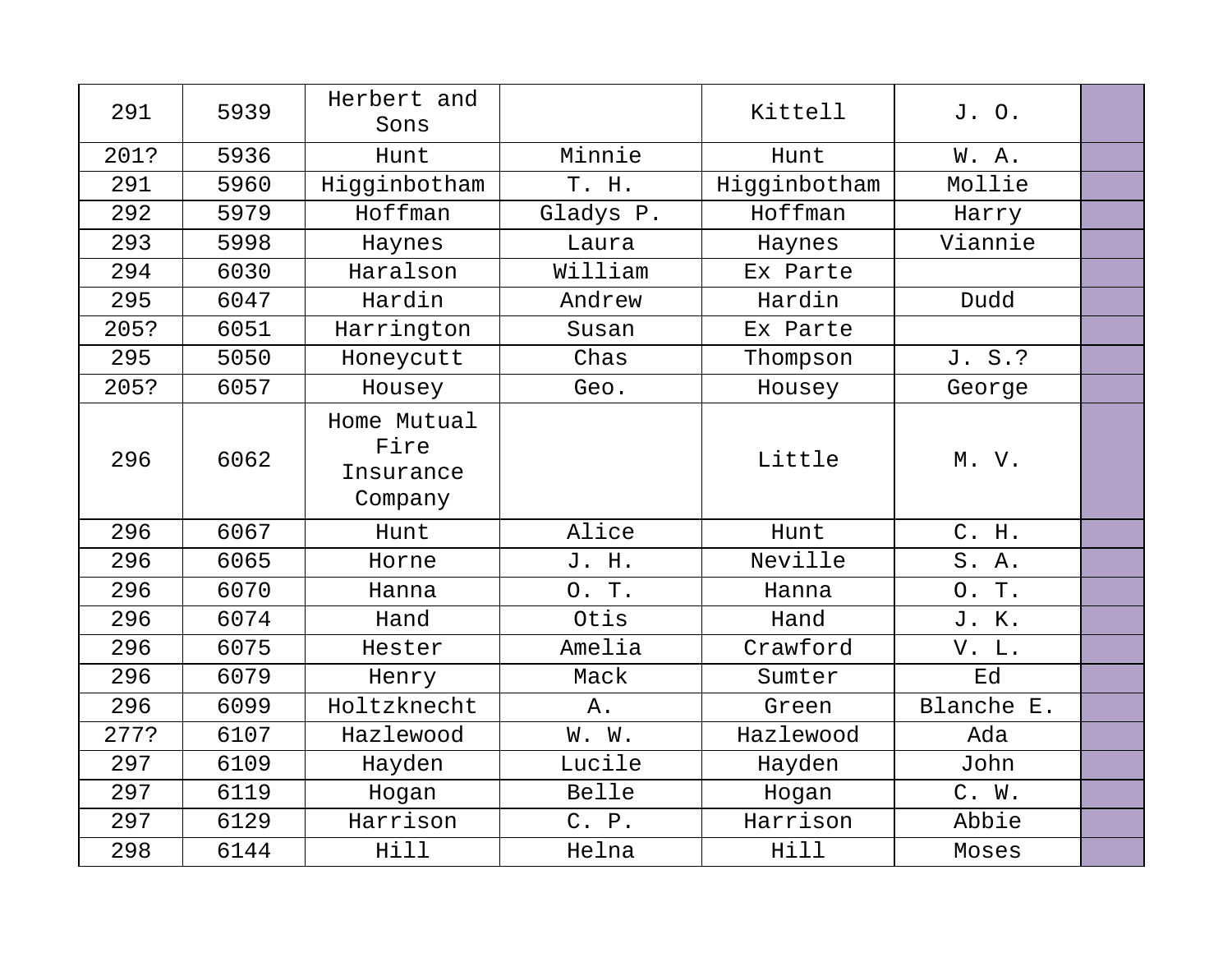| 291  | 5939 | Herbert and<br>Sons                         |           | Kittell      | J. O.      |  |
|------|------|---------------------------------------------|-----------|--------------|------------|--|
| 201? | 5936 | Hunt                                        | Minnie    | Hunt         | W.A.       |  |
| 291  | 5960 | Higginbotham                                | T. H.     | Higginbotham | Mollie     |  |
| 292  | 5979 | Hoffman                                     | Gladys P. | Hoffman      | Harry      |  |
| 293  | 5998 | Haynes                                      | Laura     | Haynes       | Viannie    |  |
| 294  | 6030 | Haralson                                    | William   | Ex Parte     |            |  |
| 295  | 6047 | Hardin                                      | Andrew    | Hardin       | Dudd       |  |
| 205? | 6051 | Harrington                                  | Susan     | Ex Parte     |            |  |
| 295  | 5050 | Honeycutt                                   | Chas      | Thompson     | J. S.?     |  |
| 205? | 6057 | Housey                                      | Geo.      | Housey       | George     |  |
| 296  | 6062 | Home Mutual<br>Fire<br>Insurance<br>Company |           | Little       | M. V.      |  |
| 296  | 6067 | Hunt                                        | Alice     | Hunt         | C. H.      |  |
| 296  | 6065 | Horne                                       | J. H.     | Neville      | S. A.      |  |
| 296  | 6070 | Hanna                                       | O. T.     | Hanna        | O. T.      |  |
| 296  | 6074 | Hand                                        | Otis      | Hand         | J. K.      |  |
| 296  | 6075 | Hester                                      | Amelia    | Crawford     | V. L.      |  |
| 296  | 6079 | Henry                                       | Mack      | Sumter       | Ed         |  |
| 296  | 6099 | Holtzknecht                                 | $A$ .     | Green        | Blanche E. |  |
| 277? | 6107 | Hazlewood                                   | W. W.     | Hazlewood    | Ada        |  |
| 297  | 6109 | Hayden                                      | Lucile    | Hayden       | John       |  |
| 297  | 6119 | Hogan                                       | Belle     | Hogan        | C. W.      |  |
| 297  | 6129 | Harrison                                    | C. P.     | Harrison     | Abbie      |  |
| 298  | 6144 | Hill                                        | Helna     | Hill         | Moses      |  |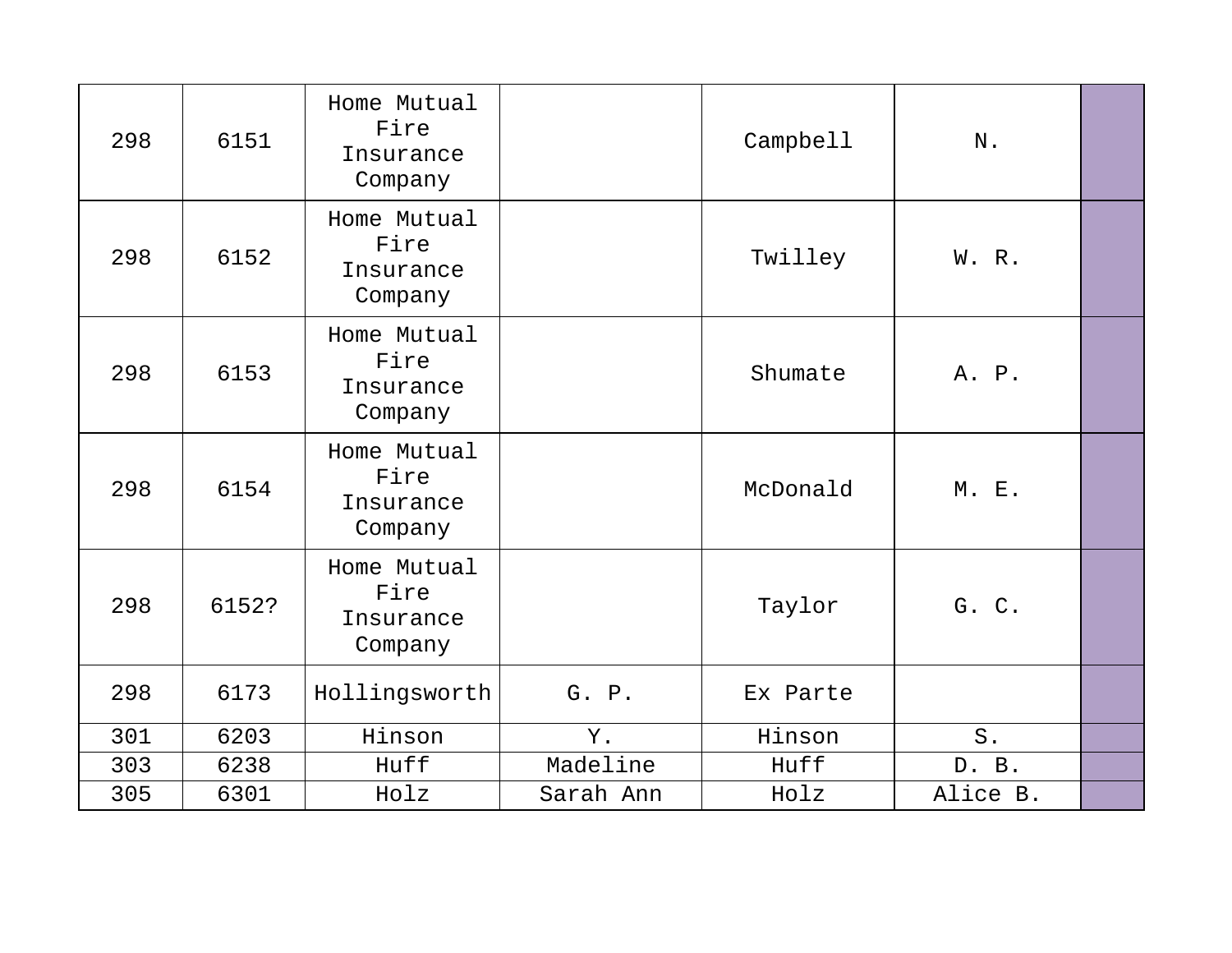| 298 | 6151  | Home Mutual<br>Fire<br>Insurance<br>Company |           | Campbell | ${\bf N}$ . |  |
|-----|-------|---------------------------------------------|-----------|----------|-------------|--|
| 298 | 6152  | Home Mutual<br>Fire<br>Insurance<br>Company |           | Twilley  | W. R.       |  |
| 298 | 6153  | Home Mutual<br>Fire<br>Insurance<br>Company |           | Shumate  | A. P.       |  |
| 298 | 6154  | Home Mutual<br>Fire<br>Insurance<br>Company |           | McDonald | M. E.       |  |
| 298 | 6152? | Home Mutual<br>Fire<br>Insurance<br>Company |           | Taylor   | G. C.       |  |
| 298 | 6173  | Hollingsworth                               | G. P.     | Ex Parte |             |  |
| 301 | 6203  | Hinson                                      | Υ.        | Hinson   | $S$ .       |  |
| 303 | 6238  | Huff                                        | Madeline  | Huff     | D. B.       |  |
| 305 | 6301  | Holz                                        | Sarah Ann | Holz     | Alice B.    |  |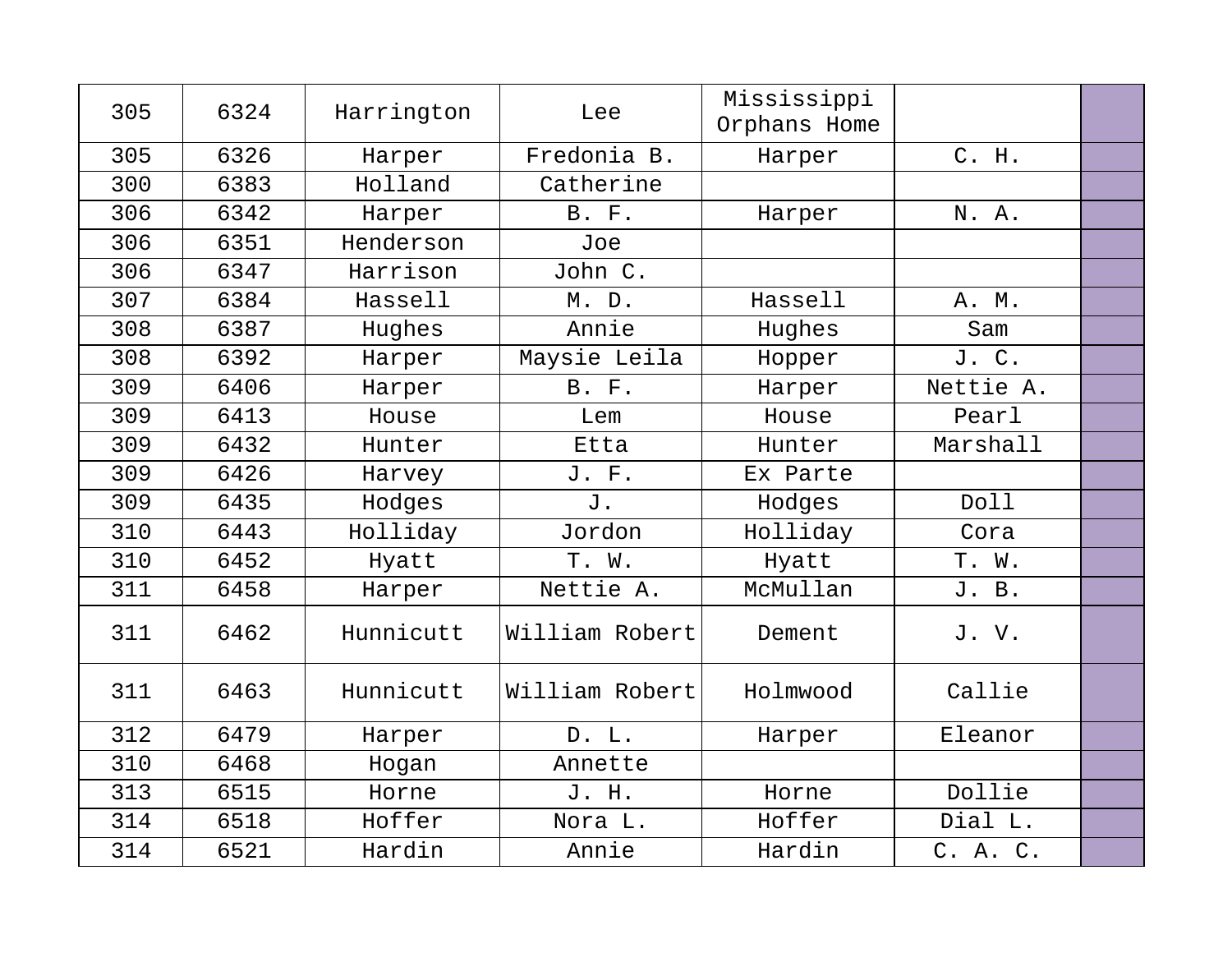| 305 | 6324 | Harrington | Lee            | Mississippi<br>Orphans Home |           |  |
|-----|------|------------|----------------|-----------------------------|-----------|--|
| 305 | 6326 | Harper     | Fredonia B.    | Harper                      | C. H.     |  |
| 300 | 6383 | Holland    | Catherine      |                             |           |  |
| 306 | 6342 | Harper     | <b>B. F.</b>   | Harper                      | N. A.     |  |
| 306 | 6351 | Henderson  | Joe            |                             |           |  |
| 306 | 6347 | Harrison   | John C.        |                             |           |  |
| 307 | 6384 | Hassell    | M. D.          | Hassell                     | A. M.     |  |
| 308 | 6387 | Hughes     | Annie          | Hughes                      | Sam       |  |
| 308 | 6392 | Harper     | Maysie Leila   | Hopper                      | J. C.     |  |
| 309 | 6406 | Harper     | <b>B.</b> F.   | Harper                      | Nettie A. |  |
| 309 | 6413 | House      | Lem            | House                       | Pearl     |  |
| 309 | 6432 | Hunter     | Etta           | Hunter                      | Marshall  |  |
| 309 | 6426 | Harvey     | J. F.          | Ex Parte                    |           |  |
| 309 | 6435 | Hodges     | J.             | Hodges                      | Doll      |  |
| 310 | 6443 | Holliday   | Jordon         | Holliday                    | Cora      |  |
| 310 | 6452 | Hyatt      | T. W.          | Hyatt                       | T. W.     |  |
| 311 | 6458 | Harper     | Nettie A.      | McMullan                    | J. B.     |  |
| 311 | 6462 | Hunnicutt  | William Robert | Dement                      | J.V.      |  |
| 311 | 6463 | Hunnicutt  | William Robert | Holmwood                    | Callie    |  |
| 312 | 6479 | Harper     | D. L.          | Harper                      | Eleanor   |  |
| 310 | 6468 | Hogan      | Annette        |                             |           |  |
| 313 | 6515 | Horne      | J. H.          | Horne                       | Dollie    |  |
| 314 | 6518 | Hoffer     | Nora L.        | Hoffer                      | Dial L.   |  |
| 314 | 6521 | Hardin     | Annie          | Hardin                      | C. A. C.  |  |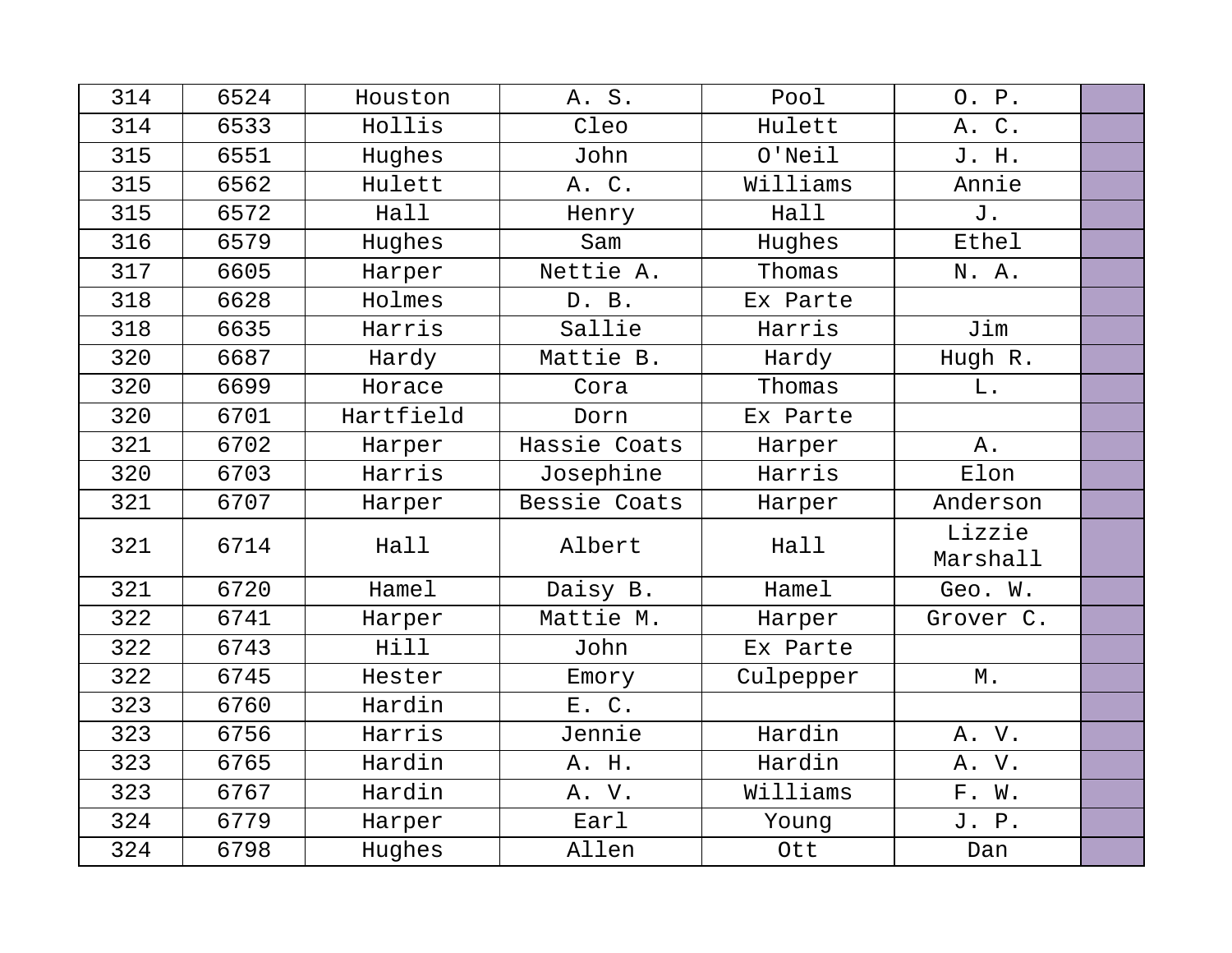| 314 | 6524 | Houston   | A. S.        | Pool      | O. P.              |  |
|-----|------|-----------|--------------|-----------|--------------------|--|
| 314 | 6533 | Hollis    | Cleo         | Hulett    | A. C.              |  |
| 315 | 6551 | Hughes    | John         | $O'$ Neil | J. H.              |  |
| 315 | 6562 | Hulett    | A. C.        | Williams  | Annie              |  |
| 315 | 6572 | Hall      | Henry        | Hall      | J.                 |  |
| 316 | 6579 | Hughes    | Sam          | Hughes    | Ethel              |  |
| 317 | 6605 | Harper    | Nettie A.    | Thomas    | N. A.              |  |
| 318 | 6628 | Holmes    | D. B.        | Ex Parte  |                    |  |
| 318 | 6635 | Harris    | Sallie       | Harris    | Jim                |  |
| 320 | 6687 | Hardy     | Mattie B.    | Hardy     | Hugh R.            |  |
| 320 | 6699 | Horace    | Cora         | Thomas    | L.                 |  |
| 320 | 6701 | Hartfield | Dorn         | Ex Parte  |                    |  |
| 321 | 6702 | Harper    | Hassie Coats | Harper    | Α.                 |  |
| 320 | 6703 | Harris    | Josephine    | Harris    | Elon               |  |
| 321 | 6707 | Harper    | Bessie Coats | Harper    | Anderson           |  |
| 321 | 6714 | Hall      | Albert       | Hall      | Lizzie<br>Marshall |  |
| 321 | 6720 | Hamel     | Daisy B.     | Hamel     | Geo. W.            |  |
| 322 | 6741 | Harper    | Mattie M.    | Harper    | Grover C.          |  |
| 322 | 6743 | Hill      | John         | Ex Parte  |                    |  |
| 322 | 6745 | Hester    | Emory        | Culpepper | М.                 |  |
| 323 | 6760 | Hardin    | E. C.        |           |                    |  |
| 323 | 6756 | Harris    | Jennie       | Hardin    | A. V.              |  |
| 323 | 6765 | Hardin    | A. H.        | Hardin    | A. V.              |  |
| 323 | 6767 | Hardin    | A. V.        | Williams  | F. W.              |  |
| 324 | 6779 | Harper    | Earl         | Young     | J. P.              |  |
| 324 | 6798 | Hughes    | Allen        | Ott       | Dan                |  |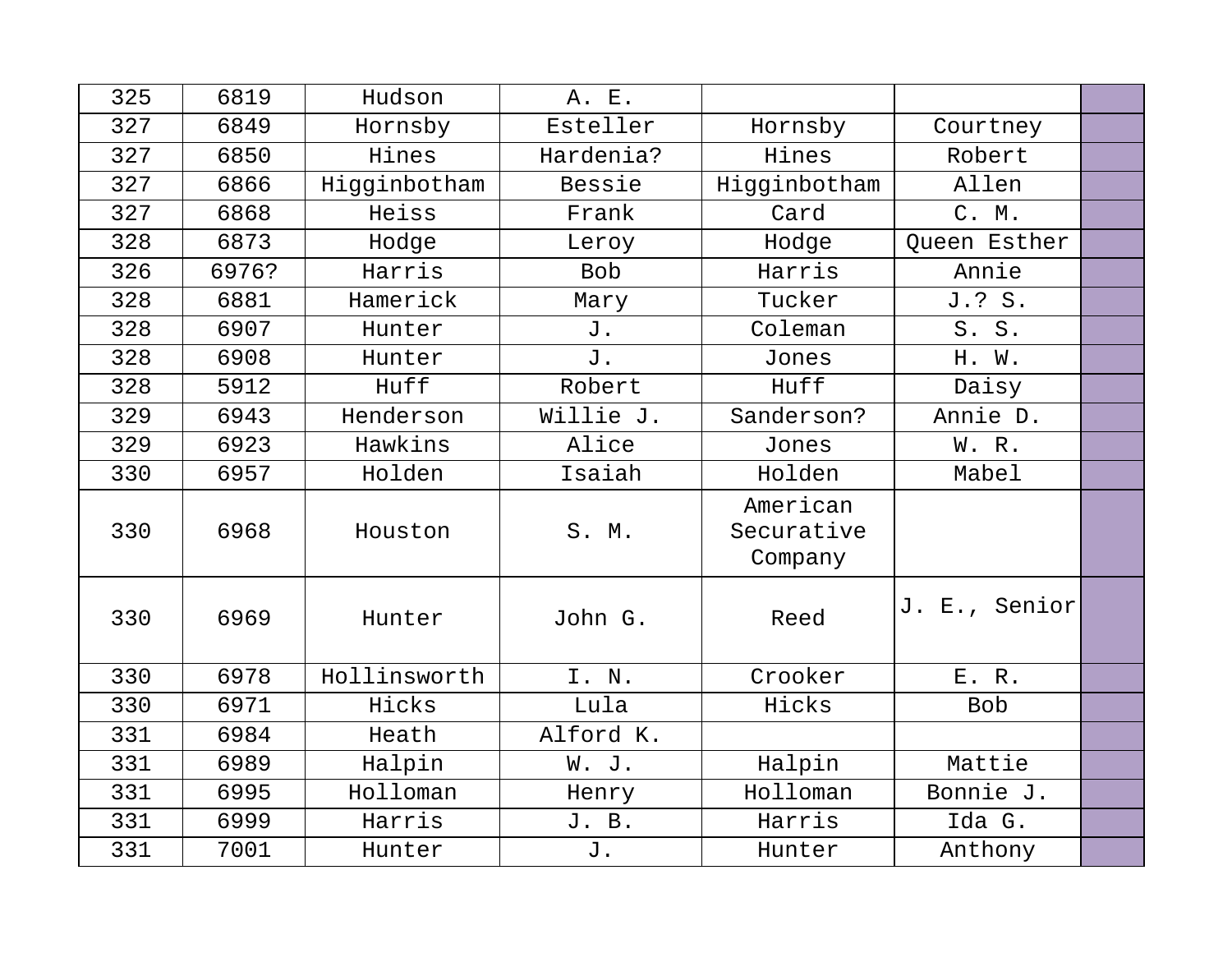| 325 | 6819  | Hudson       | A. E.      |                                   |               |  |
|-----|-------|--------------|------------|-----------------------------------|---------------|--|
| 327 | 6849  | Hornsby      | Esteller   | Hornsby                           | Courtney      |  |
| 327 | 6850  | Hines        | Hardenia?  | Hines                             | Robert        |  |
| 327 | 6866  | Higginbotham | Bessie     | Higginbotham                      | Allen         |  |
| 327 | 6868  | Heiss        | Frank      | Card                              | C. M.         |  |
| 328 | 6873  | Hodge        | Leroy      | Hodge                             | Queen Esther  |  |
| 326 | 6976? | Harris       | <b>Bob</b> | Harris                            | Annie         |  |
| 328 | 6881  | Hamerick     | Mary       | Tucker                            | J.? S.        |  |
| 328 | 6907  | Hunter       | J.         | Coleman                           | S. S.         |  |
| 328 | 6908  | Hunter       | J.         | Jones                             | H. W.         |  |
| 328 | 5912  | Huff         | Robert     | Huff                              | Daisy         |  |
| 329 | 6943  | Henderson    | Willie J.  | Sanderson?                        | Annie D.      |  |
| 329 | 6923  | Hawkins      | Alice      | Jones                             | W. R.         |  |
| 330 | 6957  | Holden       | Isaiah     | Holden                            | Mabel         |  |
| 330 | 6968  | Houston      | S. M.      | American<br>Securative<br>Company |               |  |
| 330 | 6969  | Hunter       | John G.    | Reed                              | J. E., Senior |  |
| 330 | 6978  | Hollinsworth | I. N.      | Crooker                           | E. R.         |  |
| 330 | 6971  | Hicks        | Lula       | Hicks                             | <b>Bob</b>    |  |
| 331 | 6984  | Heath        | Alford K.  |                                   |               |  |
| 331 | 6989  | Halpin       | W. J.      | Halpin                            | Mattie        |  |
| 331 | 6995  | Holloman     | Henry      | Holloman                          | Bonnie J.     |  |
| 331 | 6999  | Harris       | J. B.      | Harris                            | Ida G.        |  |
| 331 | 7001  | Hunter       | J.         | Hunter                            | Anthony       |  |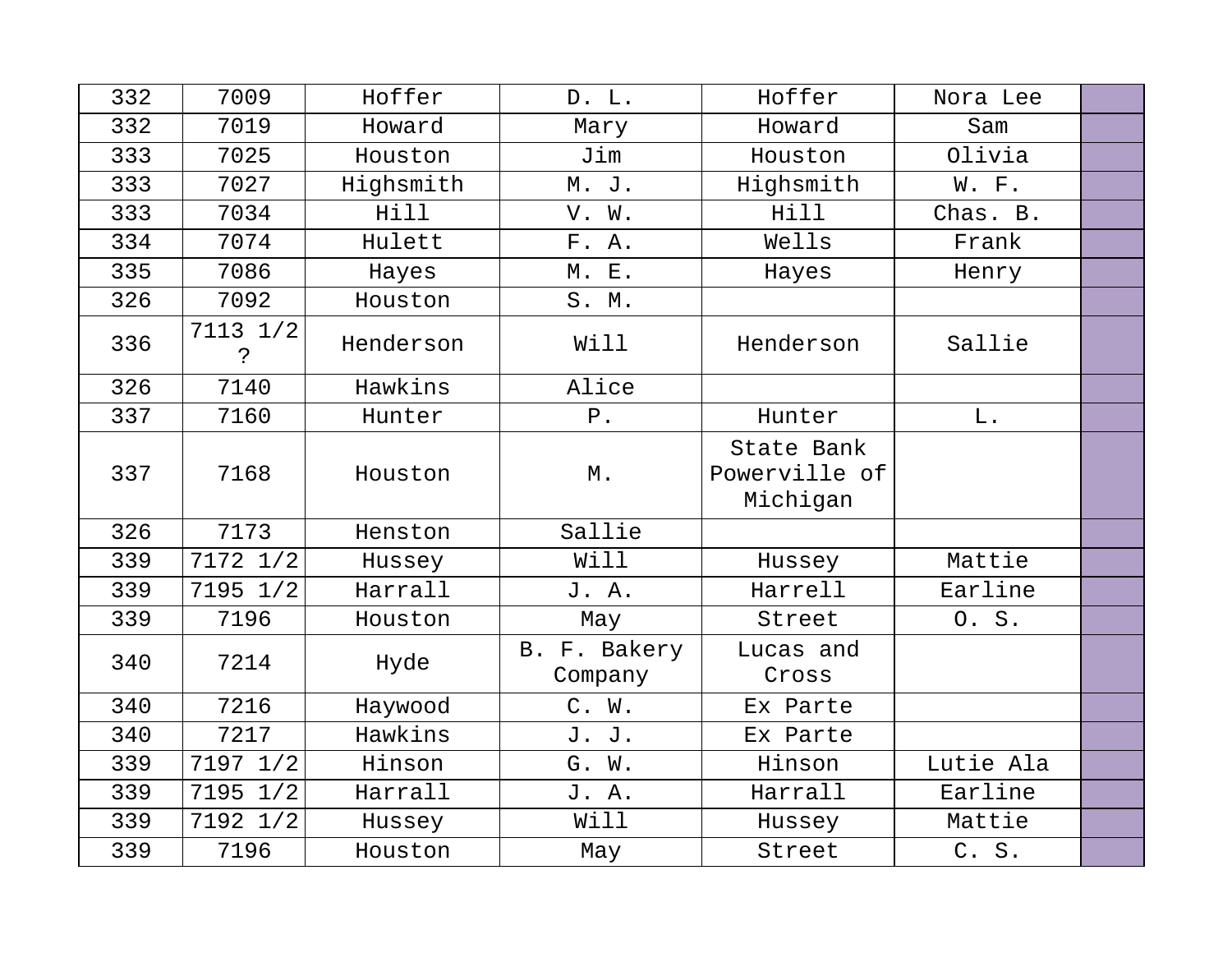| 332 | 7009                     | Hoffer    | D. L.                   | Hoffer                                  | Nora Lee  |  |
|-----|--------------------------|-----------|-------------------------|-----------------------------------------|-----------|--|
| 332 | 7019                     | Howard    | Mary                    | Howard                                  | Sam       |  |
| 333 | 7025                     | Houston   | Jim                     | Houston                                 | Olivia    |  |
| 333 | 7027                     | Highsmith | M. J.                   | Highsmith                               | W. F.     |  |
| 333 | 7034                     | Hill      | V. W.                   | Hill                                    | Chas. B.  |  |
| 334 | 7074                     | Hulett    | F. A.                   | Wells                                   | Frank     |  |
| 335 | 7086                     | Hayes     | <b>M. E.</b>            | Hayes                                   | Henry     |  |
| 326 | 7092                     | Houston   | S. M.                   |                                         |           |  |
| 336 | 7113 1/2<br>$\mathbf{S}$ | Henderson | Will                    | Henderson                               | Sallie    |  |
| 326 | 7140                     | Hawkins   | Alice                   |                                         |           |  |
| 337 | 7160                     | Hunter    | ${\bf P}$ .             | Hunter                                  | L.        |  |
| 337 | 7168                     | Houston   | М.                      | State Bank<br>Powerville of<br>Michigan |           |  |
| 326 | 7173                     | Henston   | Sallie                  |                                         |           |  |
| 339 | 7172 1/2                 | Hussey    | Will                    | Hussey                                  | Mattie    |  |
| 339 | 7195 1/2                 | Harrall   | J. A.                   | Harrell                                 | Earline   |  |
| 339 | 7196                     | Houston   | May                     | Street                                  | 0. S.     |  |
| 340 | 7214                     | Hyde      | B. F. Bakery<br>Company | Lucas and<br>Cross                      |           |  |
| 340 | 7216                     | Haywood   | C. W.                   | Ex Parte                                |           |  |
| 340 | 7217                     | Hawkins   | J. J.                   | Ex Parte                                |           |  |
| 339 | 7197 1/2                 | Hinson    | G. W.                   | Hinson                                  | Lutie Ala |  |
| 339 | 7195 1/2                 | Harrall   | J. A.                   | Harrall                                 | Earline   |  |
| 339 | 7192 1/2                 | Hussey    | Will                    | Hussey                                  | Mattie    |  |
| 339 | 7196                     | Houston   | May                     | Street                                  | C. S.     |  |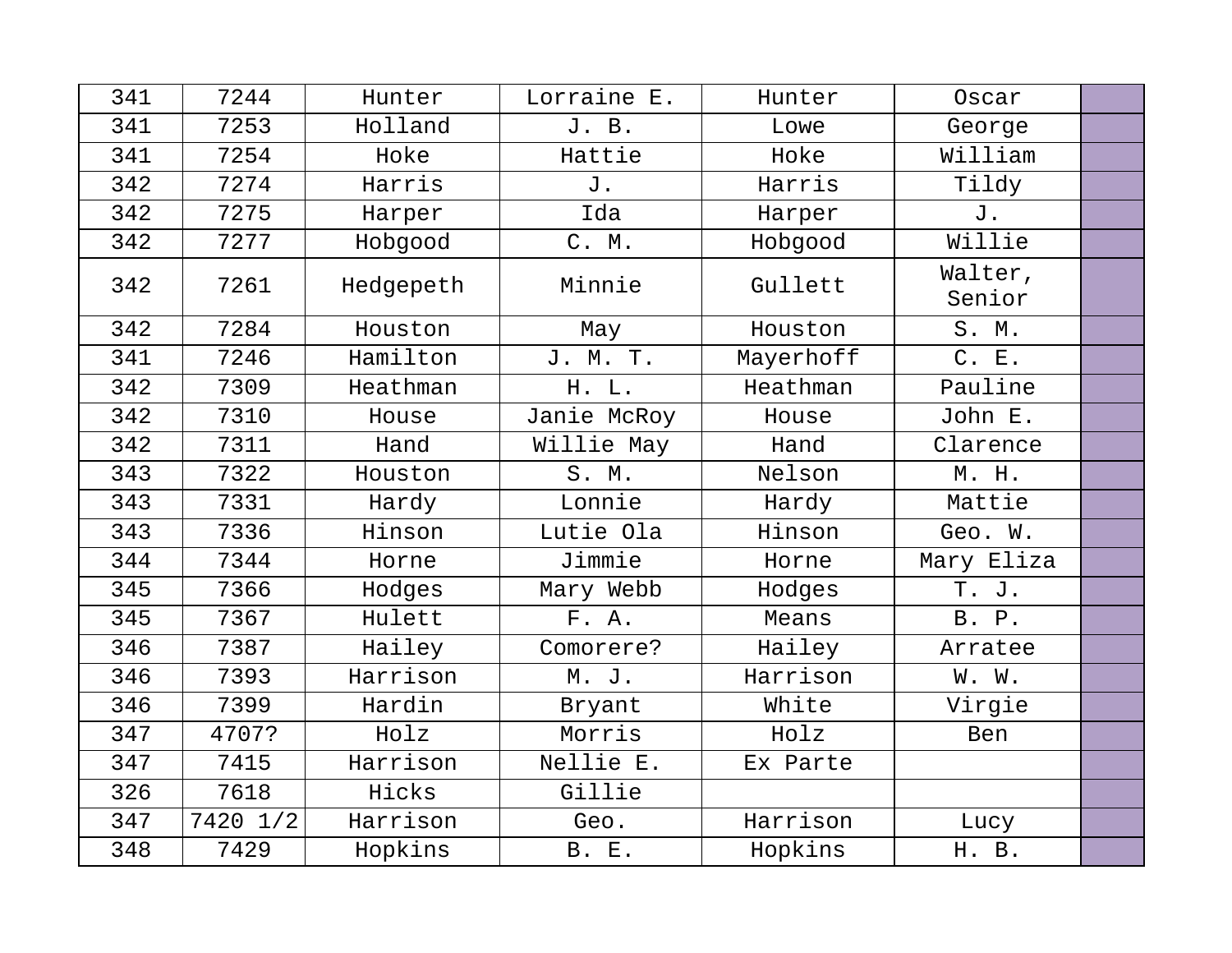| 341 | 7244     | Hunter    | Lorraine E.  | Hunter    | Oscar             |  |
|-----|----------|-----------|--------------|-----------|-------------------|--|
| 341 | 7253     | Holland   | J. B.        | Lowe      | George            |  |
| 341 | 7254     | Hoke      | Hattie       | Hoke      | William           |  |
| 342 | 7274     | Harris    | J.           | Harris    | Tildy             |  |
| 342 | 7275     | Harper    | Ida          | Harper    | J.                |  |
| 342 | 7277     | Hobgood   | C. M.        | Hobgood   | Willie            |  |
| 342 | 7261     | Hedgepeth | Minnie       | Gullett   | Walter,<br>Senior |  |
| 342 | 7284     | Houston   | May          | Houston   | S. M.             |  |
| 341 | 7246     | Hamilton  | J. M. T.     | Mayerhoff | C. E.             |  |
| 342 | 7309     | Heathman  | H. L.        | Heathman  | Pauline           |  |
| 342 | 7310     | House     | Janie McRoy  | House     | John E.           |  |
| 342 | 7311     | Hand      | Willie May   | Hand      | Clarence          |  |
| 343 | 7322     | Houston   | S. M.        | Nelson    | M. H.             |  |
| 343 | 7331     | Hardy     | Lonnie       | Hardy     | Mattie            |  |
| 343 | 7336     | Hinson    | Lutie Ola    | Hinson    | Geo. W.           |  |
| 344 | 7344     | Horne     | Jimmie       | Horne     | Mary Eliza        |  |
| 345 | 7366     | Hodges    | Mary Webb    | Hodges    | T. J.             |  |
| 345 | 7367     | Hulett    | F. A.        | Means     | B. P.             |  |
| 346 | 7387     | Hailey    | Comorere?    | Hailey    | Arratee           |  |
| 346 | 7393     | Harrison  | M. J.        | Harrison  | W. W.             |  |
| 346 | 7399     | Hardin    | Bryant       | White     | Virgie            |  |
| 347 | 4707?    | Holz      | Morris       | Holz      | Ben               |  |
| 347 | 7415     | Harrison  | Nellie E.    | Ex Parte  |                   |  |
| 326 | 7618     | Hicks     | Gillie       |           |                   |  |
| 347 | 7420 1/2 | Harrison  | Geo.         | Harrison  | Lucy              |  |
| 348 | 7429     | Hopkins   | <b>B. E.</b> | Hopkins   | H. B.             |  |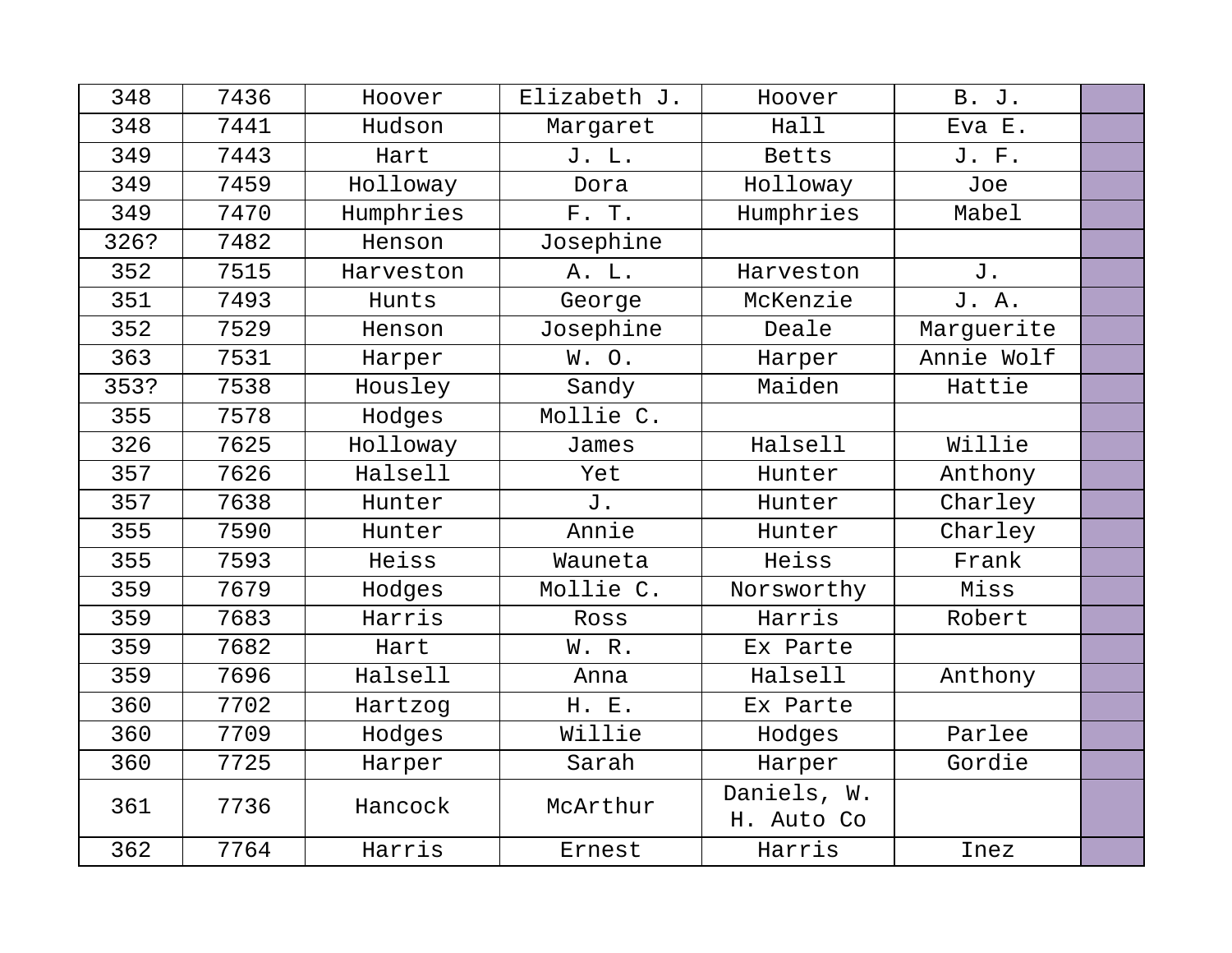| 348  | 7436 | Hoover    | Elizabeth J. | Hoover                    | B. J.      |  |
|------|------|-----------|--------------|---------------------------|------------|--|
| 348  | 7441 | Hudson    | Margaret     | Hall                      | Eva E.     |  |
| 349  | 7443 | Hart      | J. L.        | <b>Betts</b>              | J. F.      |  |
| 349  | 7459 | Holloway  | Dora         | Holloway                  | Joe        |  |
| 349  | 7470 | Humphries | F. T.        | Humphries                 | Mabel      |  |
| 326? | 7482 | Henson    | Josephine    |                           |            |  |
| 352  | 7515 | Harveston | A. L.        | Harveston                 | J.         |  |
| 351  | 7493 | Hunts     | George       | McKenzie                  | J. A.      |  |
| 352  | 7529 | Henson    | Josephine    | Deale                     | Marguerite |  |
| 363  | 7531 | Harper    | W. O.        | Harper                    | Annie Wolf |  |
| 353? | 7538 | Housley   | Sandy        | Maiden                    | Hattie     |  |
| 355  | 7578 | Hodges    | Mollie C.    |                           |            |  |
| 326  | 7625 | Holloway  | James        | Halsell                   | Willie     |  |
| 357  | 7626 | Halsell   | Yet          | Hunter                    | Anthony    |  |
| 357  | 7638 | Hunter    | J.           | Hunter                    | Charley    |  |
| 355  | 7590 | Hunter    | Annie        | Hunter                    | Charley    |  |
| 355  | 7593 | Heiss     | Wauneta      | Heiss                     | Frank      |  |
| 359  | 7679 | Hodges    | Mollie C.    | Norsworthy                | Miss       |  |
| 359  | 7683 | Harris    | Ross         | Harris                    | Robert     |  |
| 359  | 7682 | Hart      | W. R.        | Ex Parte                  |            |  |
| 359  | 7696 | Halsell   | Anna         | Halsell                   | Anthony    |  |
| 360  | 7702 | Hartzog   | H. E.        | Ex Parte                  |            |  |
| 360  | 7709 | Hodges    | Willie       | Hodges                    | Parlee     |  |
| 360  | 7725 | Harper    | Sarah        | Harper                    | Gordie     |  |
| 361  | 7736 | Hancock   | McArthur     | Daniels, W.<br>H. Auto Co |            |  |
| 362  | 7764 | Harris    | Ernest       | Harris                    | Inez       |  |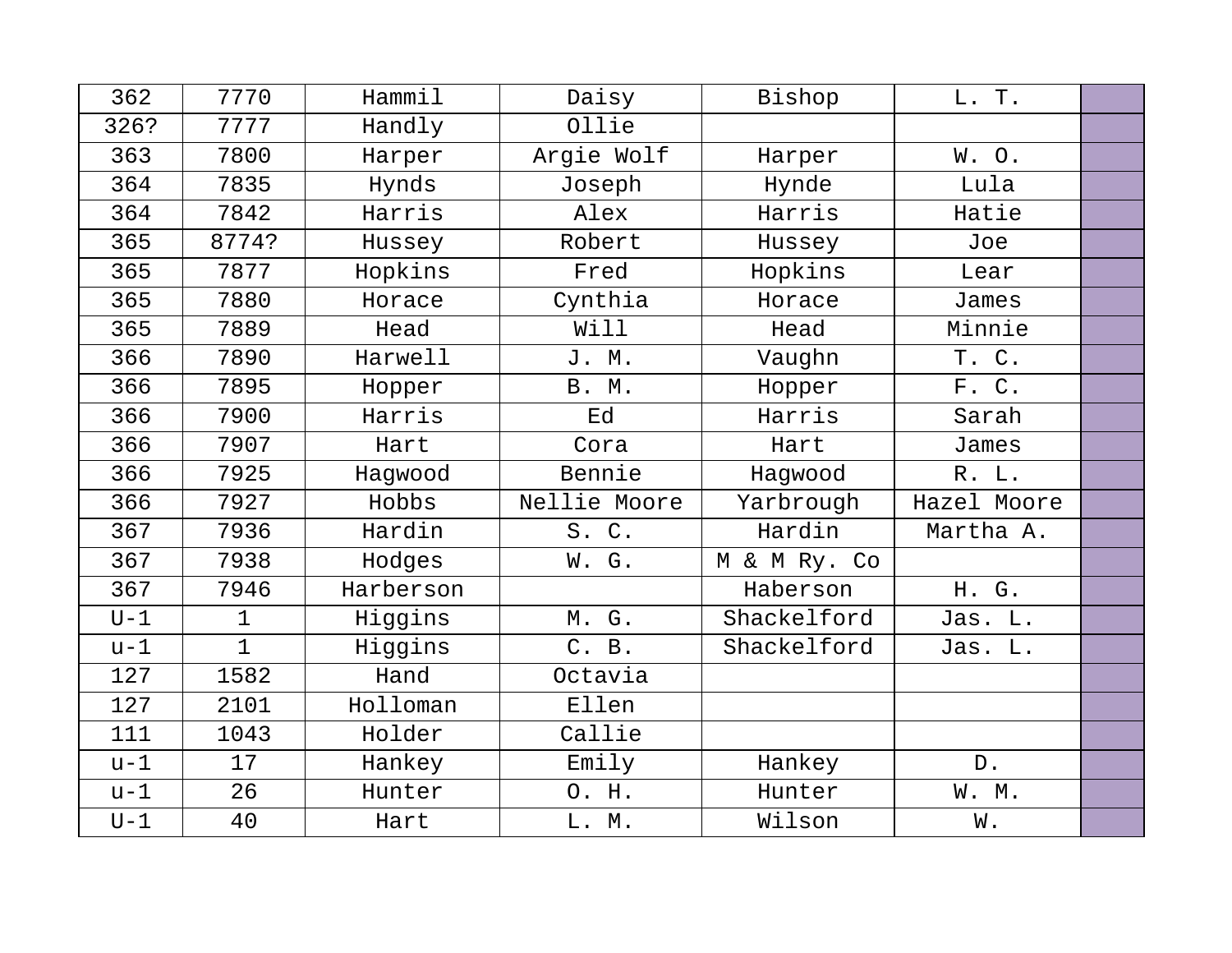| 362   | 7770         | Hammil    | Daisy        | Bishop       | L. T.       |  |
|-------|--------------|-----------|--------------|--------------|-------------|--|
| 326?  | 7777         | Handly    | Ollie        |              |             |  |
| 363   | 7800         | Harper    | Argie Wolf   | Harper       | W.O.        |  |
| 364   | 7835         | Hynds     | Joseph       | Hynde        | Lula        |  |
| 364   | 7842         | Harris    | Alex         | Harris       | Hatie       |  |
| 365   | 8774?        | Hussey    | Robert       | Hussey       | Joe         |  |
| 365   | 7877         | Hopkins   | Fred         | Hopkins      | Lear        |  |
| 365   | 7880         | Horace    | Cynthia      | Horace       | James       |  |
| 365   | 7889         | Head      | Will         | Head         | Minnie      |  |
| 366   | 7890         | Harwell   | J. M.        | Vaughn       | T. C.       |  |
| 366   | 7895         | Hopper    | B. M.        | Hopper       | F. C.       |  |
| 366   | 7900         | Harris    | Ed           | Harris       | Sarah       |  |
| 366   | 7907         | Hart      | Cora         | Hart         | James       |  |
| 366   | 7925         | Haqwood   | Bennie       | Hagwood      | R. L.       |  |
| 366   | 7927         | Hobbs     | Nellie Moore | Yarbrough    | Hazel Moore |  |
| 367   | 7936         | Hardin    | S. C.        | Hardin       | Martha A.   |  |
| 367   | 7938         | Hodges    | W. G.        | M & M Ry. Co |             |  |
| 367   | 7946         | Harberson |              | Haberson     | H. G.       |  |
| $U-1$ | $\mathbf{1}$ | Higgins   | M. G.        | Shackelford  | Jas. L.     |  |
| $u-1$ | $\mathbf{1}$ | Higgins   | C. B.        | Shackelford  | Jas. L.     |  |
| 127   | 1582         | Hand      | Octavia      |              |             |  |
| 127   | 2101         | Holloman  | Ellen        |              |             |  |
| 111   | 1043         | Holder    | Callie       |              |             |  |
| $u-1$ | 17           | Hankey    | Emily        | Hankey       | $D$ .       |  |
| $u-1$ | 26           | Hunter    | O. H.        | Hunter       | W. M.       |  |
| $U-1$ | 40           | Hart      | L. M.        | Wilson       | W.          |  |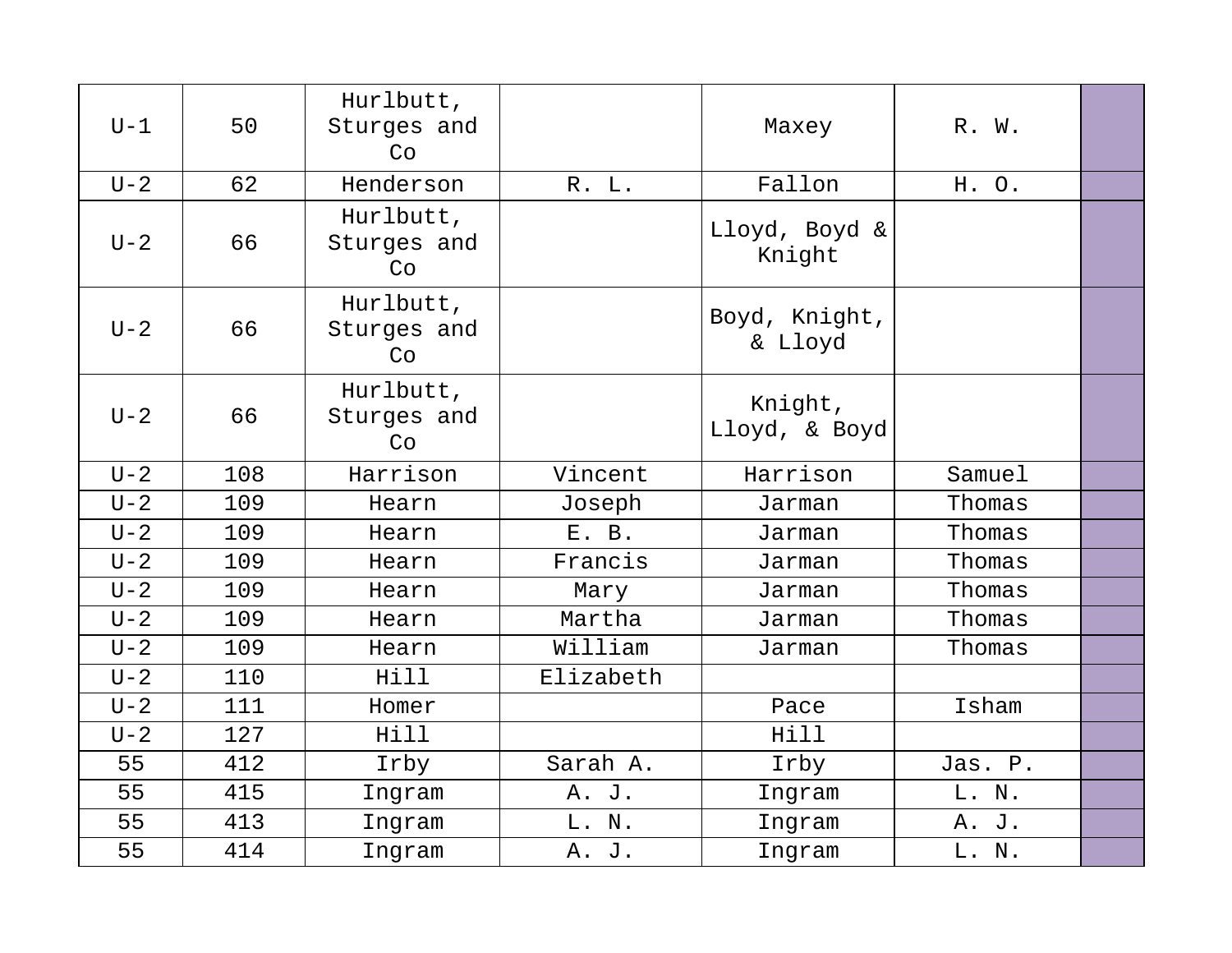| $U-1$   | 50  | Hurlbutt,<br>Sturges and<br>Co |           | Maxey                    | R. W.   |  |
|---------|-----|--------------------------------|-----------|--------------------------|---------|--|
| $U - 2$ | 62  | Henderson                      | R. L.     | Fallon                   | H. O.   |  |
| $U-2$   | 66  | Hurlbutt,<br>Sturges and<br>Co |           | Lloyd, Boyd &<br>Knight  |         |  |
| $U-2$   | 66  | Hurlbutt,<br>Sturges and<br>Co |           | Boyd, Knight,<br>& Lloyd |         |  |
| $U-2$   | 66  | Hurlbutt,<br>Sturges and<br>Co |           | Knight,<br>Lloyd, & Boyd |         |  |
| $U - 2$ | 108 | Harrison                       | Vincent   | Harrison                 | Samuel  |  |
| $U - 2$ | 109 | Hearn                          | Joseph    | Jarman                   | Thomas  |  |
| $U-2$   | 109 | Hearn                          | E. B.     | Jarman                   | Thomas  |  |
| $U - 2$ | 109 | Hearn                          | Francis   | Jarman                   | Thomas  |  |
| $U - 2$ | 109 | Hearn                          | Mary      | Jarman                   | Thomas  |  |
| $U - 2$ | 109 | Hearn                          | Martha    | Jarman                   | Thomas  |  |
| $U - 2$ | 109 | Hearn                          | William   | Jarman                   | Thomas  |  |
| $U-2$   | 110 | Hill                           | Elizabeth |                          |         |  |
| $U - 2$ | 111 | Homer                          |           | Pace                     | Isham   |  |
| $U - 2$ | 127 | Hill                           |           | Hill                     |         |  |
| 55      | 412 | Irby                           | Sarah A.  | Irby                     | Jas. P. |  |
| 55      | 415 | Ingram                         | A. J.     | Ingram                   | L. N.   |  |
| 55      | 413 | Ingram                         | L. N.     | Ingram                   | A. J.   |  |
| 55      | 414 | Ingram                         | A. J.     | Ingram                   | L. N.   |  |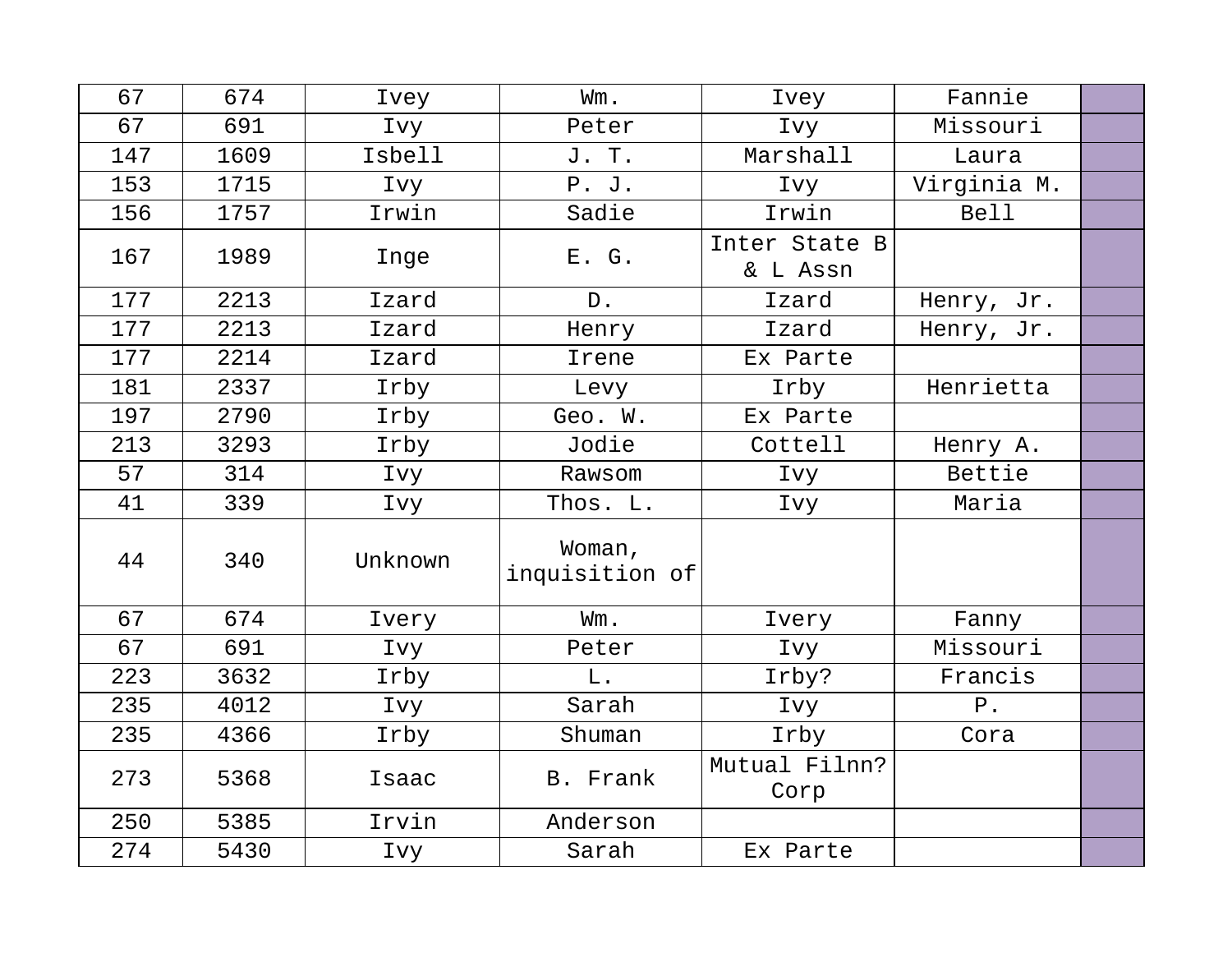| 67  | 674  | Ivey    | Wm.                      | Ivey                      | Fannie      |  |
|-----|------|---------|--------------------------|---------------------------|-------------|--|
| 67  | 691  | Ivy     | Peter                    | Ivy                       | Missouri    |  |
| 147 | 1609 | Isbell  | J. T.                    | Marshall                  | Laura       |  |
| 153 | 1715 | Ivy     | P. J.                    | Ivy                       | Virginia M. |  |
| 156 | 1757 | Irwin   | Sadie                    | Irwin                     | <b>Bell</b> |  |
| 167 | 1989 | Inge    | E. G.                    | Inter State B<br>& L Assn |             |  |
| 177 | 2213 | Izard   | $D$ .                    | Izard                     | Henry, Jr.  |  |
| 177 | 2213 | Izard   | Henry                    | Izard                     | Henry, Jr.  |  |
| 177 | 2214 | Izard   | Irene                    | Ex Parte                  |             |  |
| 181 | 2337 | Irby    | Levy                     | Irby                      | Henrietta   |  |
| 197 | 2790 | Irby    | Geo. W.                  | Ex Parte                  |             |  |
| 213 | 3293 | Irby    | Jodie                    | Cottell                   | Henry A.    |  |
| 57  | 314  | Ivy     | Rawsom                   | Ivy                       | Bettie      |  |
| 41  | 339  | Ivy     | Thos. L.                 | Ivy                       | Maria       |  |
| 44  | 340  | Unknown | Woman,<br>inquisition of |                           |             |  |
| 67  | 674  | Ivery   | Wm.                      | Ivery                     | Fanny       |  |
| 67  | 691  | Ivy     | Peter                    | Ivy                       | Missouri    |  |
| 223 | 3632 | Irby    | $L$ .                    | Irby?                     | Francis     |  |
| 235 | 4012 | Ivy     | Sarah                    | Ivy                       | $P$ .       |  |
| 235 | 4366 | Irby    | Shuman                   | Irby                      | Cora        |  |
| 273 | 5368 | Isaac   | B. Frank                 | Mutual Filnn?<br>Corp     |             |  |
| 250 | 5385 | Irvin   | Anderson                 |                           |             |  |
| 274 | 5430 | Ivy     | Sarah                    | Ex Parte                  |             |  |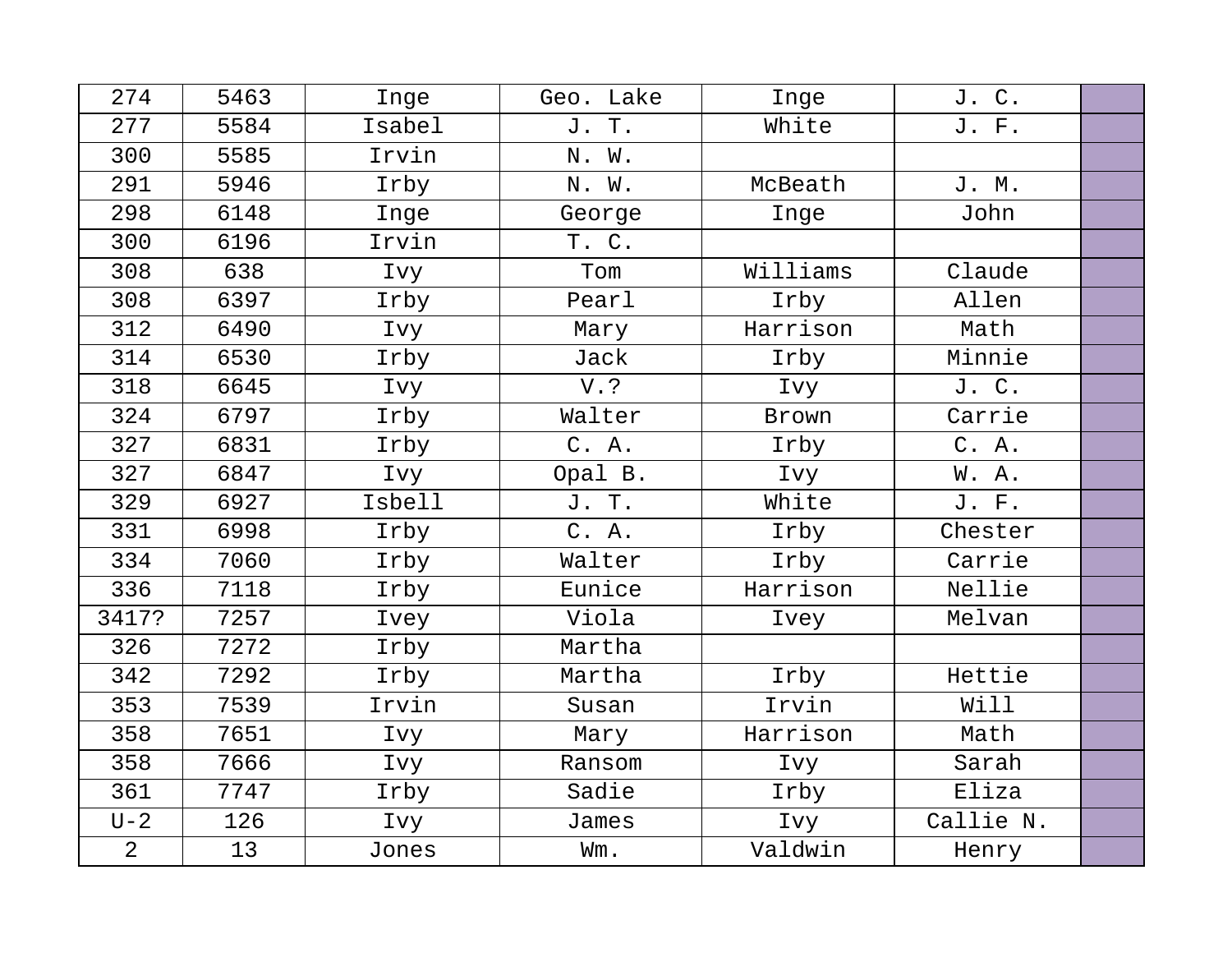| 274            | 5463 | Inge   | Geo. Lake | Inge     | J. C.     |  |
|----------------|------|--------|-----------|----------|-----------|--|
| 277            | 5584 | Isabel | J. T.     | White    | J. F.     |  |
| 300            | 5585 | Irvin  | N. W.     |          |           |  |
| 291            | 5946 | Irby   | N. W.     | McBeath  | J. M.     |  |
| 298            | 6148 | Inge   | George    | Inge     | John      |  |
| 300            | 6196 | Irvin  | T. C.     |          |           |  |
| 308            | 638  | Ivy    | Tom       | Williams | Claude    |  |
| 308            | 6397 | Irby   | Pearl     | Irby     | Allen     |  |
| 312            | 6490 | Ivy    | Mary      | Harrison | Math      |  |
| 314            | 6530 | Irby   | Jack      | Irby     | Minnie    |  |
| 318            | 6645 | Ivy    | $V.$ ?    | Ivy      | J. C.     |  |
| 324            | 6797 | Irby   | Walter    | Brown    | Carrie    |  |
| 327            | 6831 | Irby   | C. A.     | Irby     | C. A.     |  |
| 327            | 6847 | Ivy    | Opal B.   | Ivy      | W. A.     |  |
| 329            | 6927 | Isbell | J. T.     | White    | J. F.     |  |
| 331            | 6998 | Irby   | C. A.     | Irby     | Chester   |  |
| 334            | 7060 | Irby   | Walter    | Irby     | Carrie    |  |
| 336            | 7118 | Irby   | Eunice    | Harrison | Nellie    |  |
| 3417?          | 7257 | Ivey   | Viola     | Ivey     | Melvan    |  |
| 326            | 7272 | Irby   | Martha    |          |           |  |
| 342            | 7292 | Irby   | Martha    | Irby     | Hettie    |  |
| 353            | 7539 | Irvin  | Susan     | Irvin    | Will      |  |
| 358            | 7651 | Ivy    | Mary      | Harrison | Math      |  |
| 358            | 7666 | Ivy    | Ransom    | Ivy      | Sarah     |  |
| 361            | 7747 | Irby   | Sadie     | Irby     | Eliza     |  |
| $U - 2$        | 126  | Ivy    | James     | Ivy      | Callie N. |  |
| $\overline{2}$ | 13   | Jones  | Wm.       | Valdwin  | Henry     |  |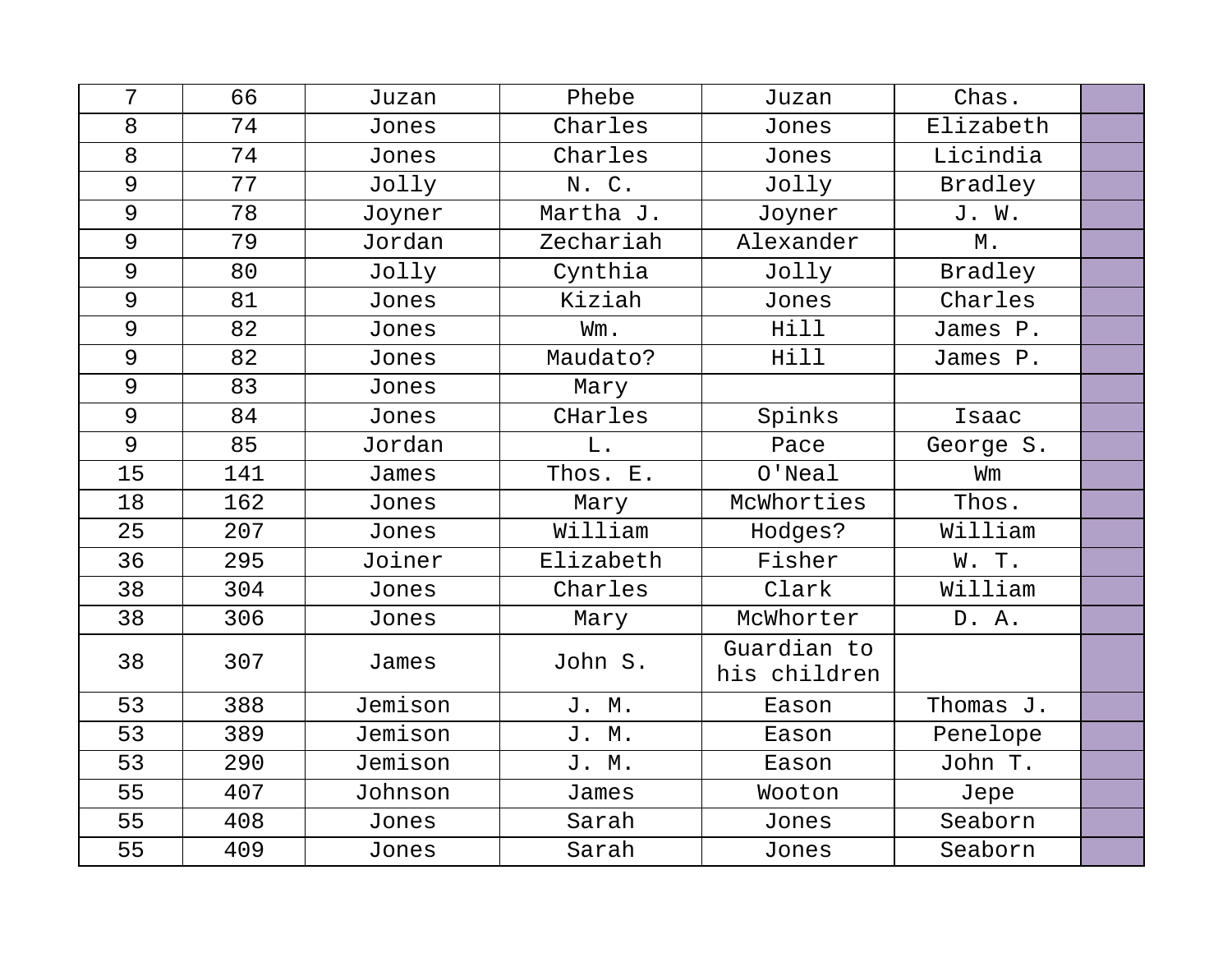| 7  | 66  | Juzan   | Phebe     | Juzan                       | Chas.     |  |
|----|-----|---------|-----------|-----------------------------|-----------|--|
| 8  | 74  | Jones   | Charles   | Jones                       | Elizabeth |  |
| 8  | 74  | Jones   | Charles   | Jones                       | Licindia  |  |
| 9  | 77  | Jolly   | N. C.     | Jolly                       | Bradley   |  |
| 9  | 78  | Joyner  | Martha J. | Joyner                      | J. W.     |  |
| 9  | 79  | Jordan  | Zechariah | Alexander                   | Μ.        |  |
| 9  | 80  | Jolly   | Cynthia   | Jolly                       | Bradley   |  |
| 9  | 81  | Jones   | Kiziah    | Jones                       | Charles   |  |
| 9  | 82  | Jones   | Wm.       | Hill                        | James P.  |  |
| 9  | 82  | Jones   | Maudato?  | Hill                        | James P.  |  |
| 9  | 83  | Jones   | Mary      |                             |           |  |
| 9  | 84  | Jones   | CHarles   | Spinks                      | Isaac     |  |
| 9  | 85  | Jordan  | $L$ .     | Pace                        | George S. |  |
| 15 | 141 | James   | Thos. E.  | $O'$ Neal                   | Wm        |  |
| 18 | 162 | Jones   | Mary      | McWhorties                  | Thos.     |  |
| 25 | 207 | Jones   | William   | Hodges?                     | William   |  |
| 36 | 295 | Joiner  | Elizabeth | Fisher                      | W. T.     |  |
| 38 | 304 | Jones   | Charles   | Clark                       | William   |  |
| 38 | 306 | Jones   | Mary      | McWhorter                   | D. A.     |  |
| 38 | 307 | James   | John S.   | Guardian to<br>his children |           |  |
| 53 | 388 | Jemison | J. M.     | Eason                       | Thomas J. |  |
| 53 | 389 | Jemison | J. M.     | Eason                       | Penelope  |  |
| 53 | 290 | Jemison | J. M.     | Eason                       | John T.   |  |
| 55 | 407 | Johnson | James     | Wooton                      | Jepe      |  |
| 55 | 408 | Jones   | Sarah     | Jones                       | Seaborn   |  |
| 55 | 409 | Jones   | Sarah     | Jones                       | Seaborn   |  |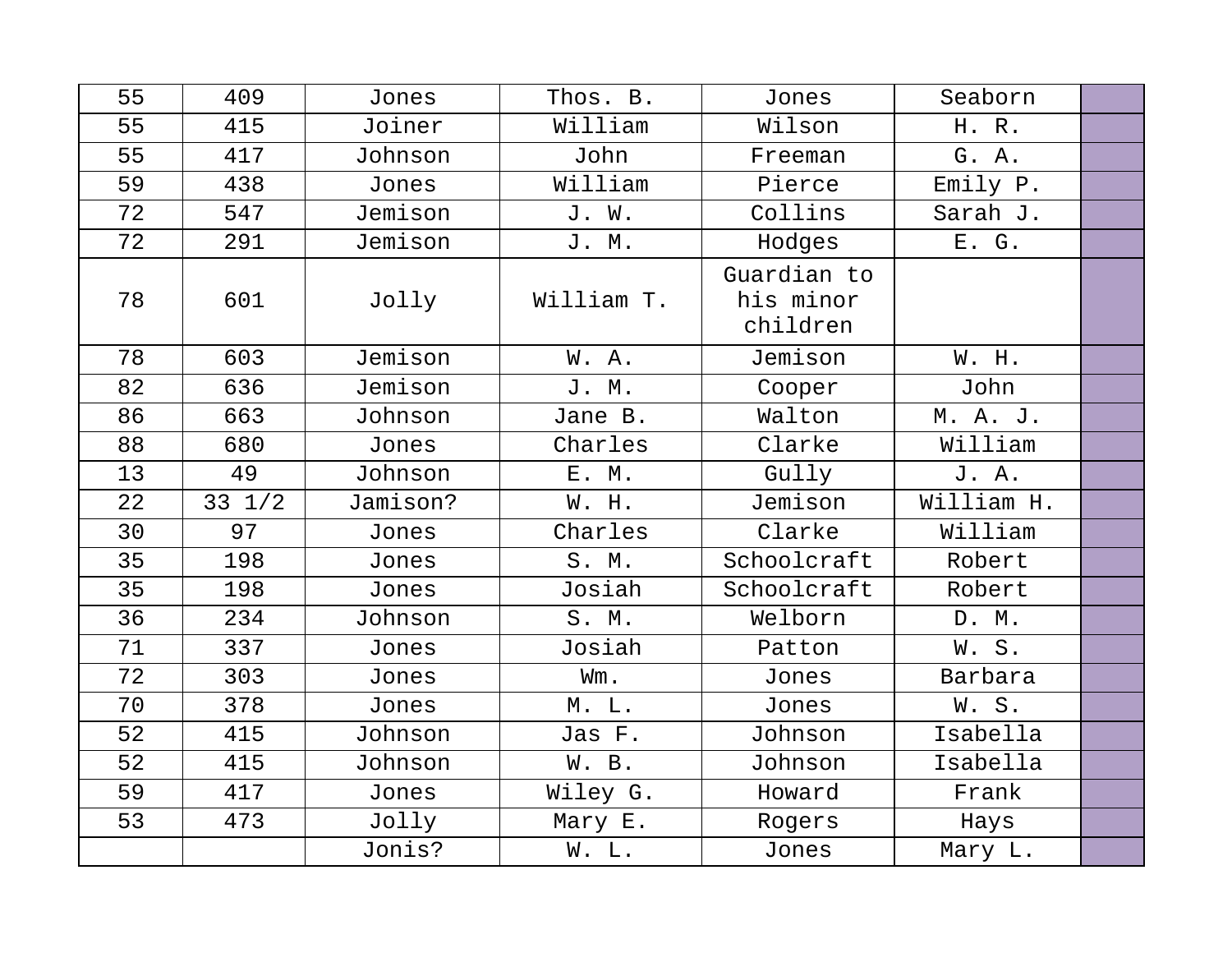| 55 | 409              | Jones    | Thos. B.   | Jones                                | Seaborn    |  |
|----|------------------|----------|------------|--------------------------------------|------------|--|
| 55 | 415              | Joiner   | William    | Wilson                               | H. R.      |  |
| 55 | 417              | Johnson  | John       | Freeman                              | G. A.      |  |
| 59 | 438              | Jones    | William    | Pierce                               | Emily P.   |  |
| 72 | 547              | Jemison  | J. W.      | Collins                              | Sarah J.   |  |
| 72 | 291              | Jemison  | J. M.      | Hodges                               | E. G.      |  |
| 78 | 601              | Jolly    | William T. | Guardian to<br>his minor<br>children |            |  |
| 78 | 603              | Jemison  | W. A.      | Jemison                              | W. H.      |  |
| 82 | 636              | Jemison  | J. M.      | Cooper                               | John       |  |
| 86 | 663              | Johnson  | Jane B.    | Walton                               | M. A. J.   |  |
| 88 | 680              | Jones    | Charles    | Clarke                               | William    |  |
| 13 | 49               | Johnson  | E. M.      | Gully                                | J. A.      |  |
| 22 | $33 \frac{1}{2}$ | Jamison? | W. H.      | Jemison                              | William H. |  |
| 30 | 97               | Jones    | Charles    | Clarke                               | William    |  |
| 35 | 198              | Jones    | S. M.      | Schoolcraft                          | Robert     |  |
| 35 | 198              | Jones    | Josiah     | Schoolcraft                          | Robert     |  |
| 36 | 234              | Johnson  | S. M.      | Welborn                              | D. M.      |  |
| 71 | 337              | Jones    | Josiah     | Patton                               | W.S.       |  |
| 72 | 303              | Jones    | Wm.        | Jones                                | Barbara    |  |
| 70 | 378              | Jones    | M. L.      | Jones                                | W. S.      |  |
| 52 | 415              | Johnson  | Jas F.     | Johnson                              | Isabella   |  |
| 52 | 415              | Johnson  | W. B.      | Johnson                              | Isabella   |  |
| 59 | 417              | Jones    | Wiley G.   | Howard                               | Frank      |  |
| 53 | 473              | Jolly    | Mary E.    | Rogers                               | Hays       |  |
|    |                  | Jonis?   | W. L.      | Jones                                | Mary L.    |  |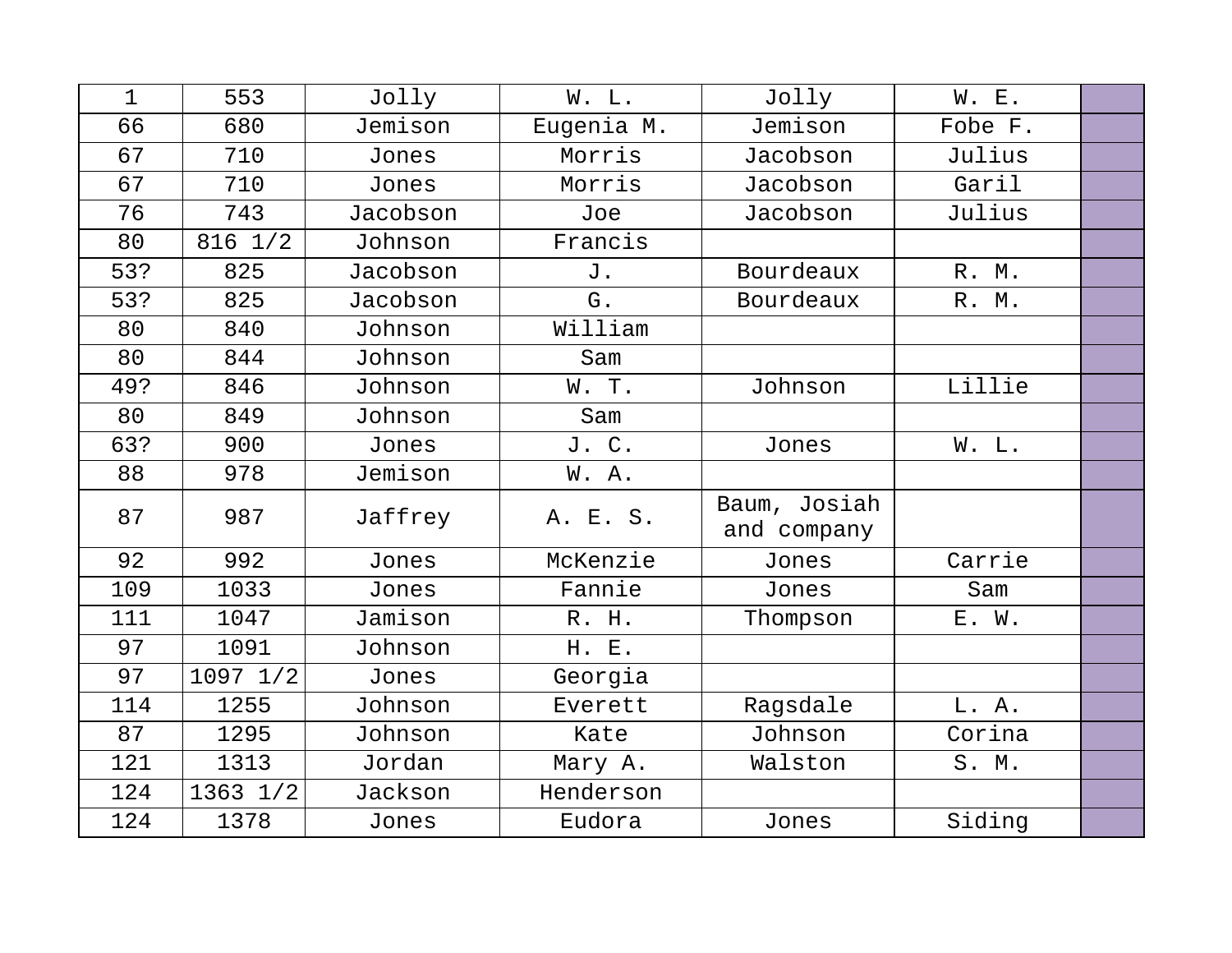| $\mathbf 1$ | 553          | Jolly    | W. L.      | Jolly                       | W. E.   |  |
|-------------|--------------|----------|------------|-----------------------------|---------|--|
| 66          | 680          | Jemison  | Eugenia M. | Jemison                     | Fobe F. |  |
| 67          | 710          | Jones    | Morris     | Jacobson                    | Julius  |  |
| 67          | 710          | Jones    | Morris     | Jacobson                    | Garil   |  |
| 76          | 743          | Jacobson | Joe        | Jacobson                    | Julius  |  |
| 80          | $816$ $1/2$  | Johnson  | Francis    |                             |         |  |
| 53?         | 825          | Jacobson | J.         | Bourdeaux                   | R. M.   |  |
| 53?         | 825          | Jacobson | G.         | Bourdeaux                   | R. M.   |  |
| 80          | 840          | Johnson  | William    |                             |         |  |
| 80          | 844          | Johnson  | Sam        |                             |         |  |
| 49?         | 846          | Johnson  | W. T.      | Johnson                     | Lillie  |  |
| 80          | 849          | Johnson  | Sam        |                             |         |  |
| 63?         | 900          | Jones    | J. C.      | Jones                       | W. L.   |  |
| 88          | 978          | Jemison  | W. A.      |                             |         |  |
| 87          | 987          | Jaffrey  | A. E. S.   | Baum, Josiah<br>and company |         |  |
| 92          | 992          | Jones    | McKenzie   | Jones                       | Carrie  |  |
| 109         | 1033         | Jones    | Fannie     | Jones                       | Sam     |  |
| 111         | 1047         | Jamison  | R. H.      | Thompson                    | E. W.   |  |
| 97          | 1091         | Johnson  | H. E.      |                             |         |  |
| 97          | $1097$ $1/2$ | Jones    | Georgia    |                             |         |  |
| 114         | 1255         | Johnson  | Everett    | Ragsdale                    | L. A.   |  |
| 87          | 1295         | Johnson  | Kate       | Johnson                     | Corina  |  |
| 121         | 1313         | Jordan   | Mary A.    | Walston                     | S. M.   |  |
| 124         | 1363 1/2     | Jackson  | Henderson  |                             |         |  |
| 124         | 1378         | Jones    | Eudora     | Jones                       | Siding  |  |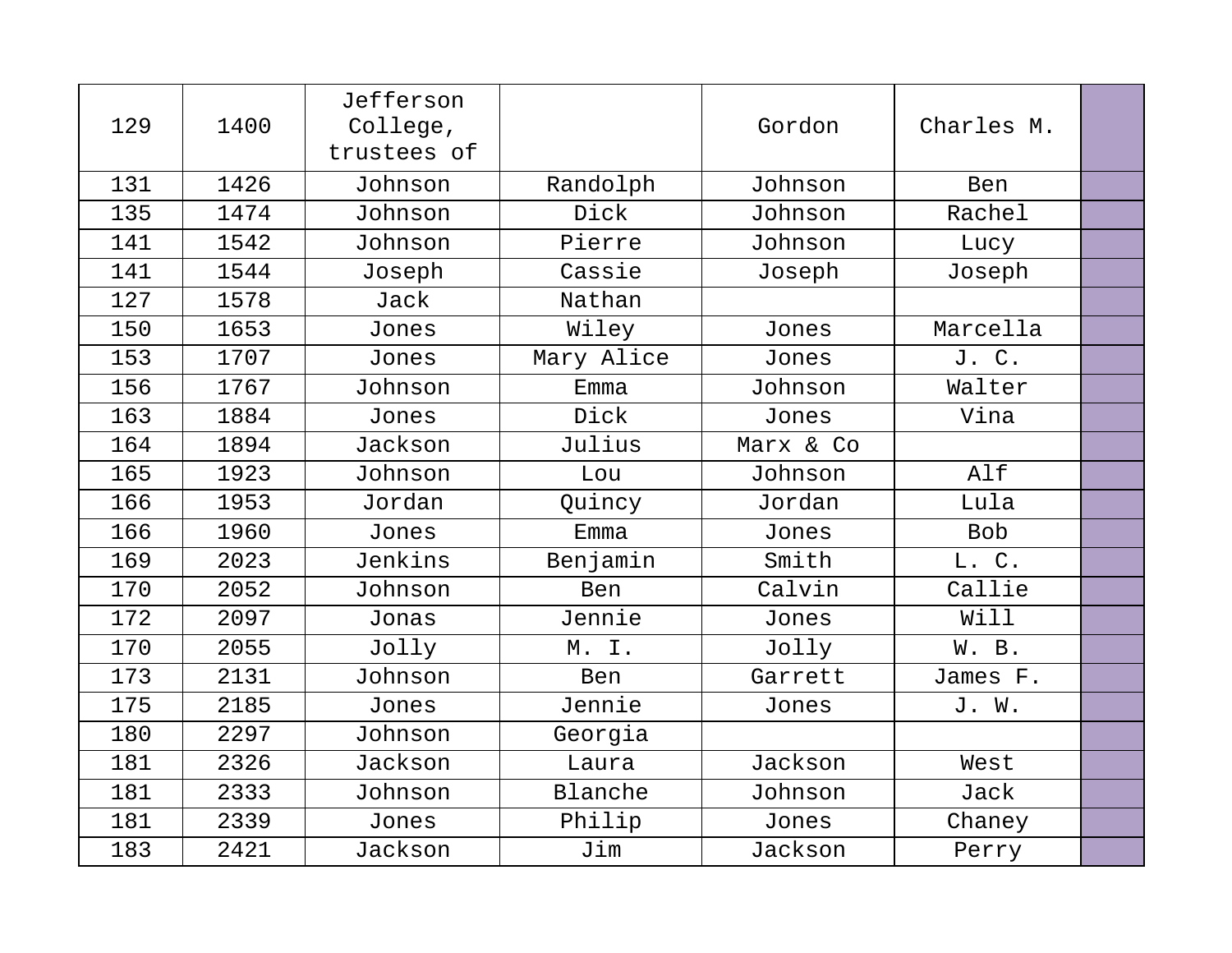| 129 | 1400 | Jefferson<br>College,<br>trustees of |            | Gordon    | Charles M. |  |
|-----|------|--------------------------------------|------------|-----------|------------|--|
| 131 | 1426 | Johnson                              | Randolph   | Johnson   | Ben        |  |
| 135 | 1474 | Johnson                              | Dick       | Johnson   | Rachel     |  |
| 141 | 1542 | Johnson                              | Pierre     | Johnson   | Lucy       |  |
| 141 | 1544 | Joseph                               | Cassie     | Joseph    | Joseph     |  |
| 127 | 1578 | Jack                                 | Nathan     |           |            |  |
| 150 | 1653 | Jones                                | Wiley      | Jones     | Marcella   |  |
| 153 | 1707 | Jones                                | Mary Alice | Jones     | J. C.      |  |
| 156 | 1767 | Johnson                              | Emma       | Johnson   | Walter     |  |
| 163 | 1884 | Jones                                | Dick       | Jones     | Vina       |  |
| 164 | 1894 | Jackson                              | Julius     | Marx & Co |            |  |
| 165 | 1923 | Johnson                              | Lou        | Johnson   | Alf        |  |
| 166 | 1953 | Jordan                               | Quincy     | Jordan    | Lula       |  |
| 166 | 1960 | Jones                                | Emma       | Jones     | <b>Bob</b> |  |
| 169 | 2023 | Jenkins                              | Benjamin   | Smith     | L. C.      |  |
| 170 | 2052 | Johnson                              | Ben        | Calvin    | Callie     |  |
| 172 | 2097 | Jonas                                | Jennie     | Jones     | Will       |  |
| 170 | 2055 | Jolly                                | M. I.      | Jolly     | W. B.      |  |
| 173 | 2131 | Johnson                              | <b>Ben</b> | Garrett   | James F.   |  |
| 175 | 2185 | Jones                                | Jennie     | Jones     | J. W.      |  |
| 180 | 2297 | Johnson                              | Georgia    |           |            |  |
| 181 | 2326 | Jackson                              | Laura      | Jackson   | West       |  |
| 181 | 2333 | Johnson                              | Blanche    | Johnson   | Jack       |  |
| 181 | 2339 | Jones                                | Philip     | Jones     | Chaney     |  |
| 183 | 2421 | Jackson                              | Jim        | Jackson   | Perry      |  |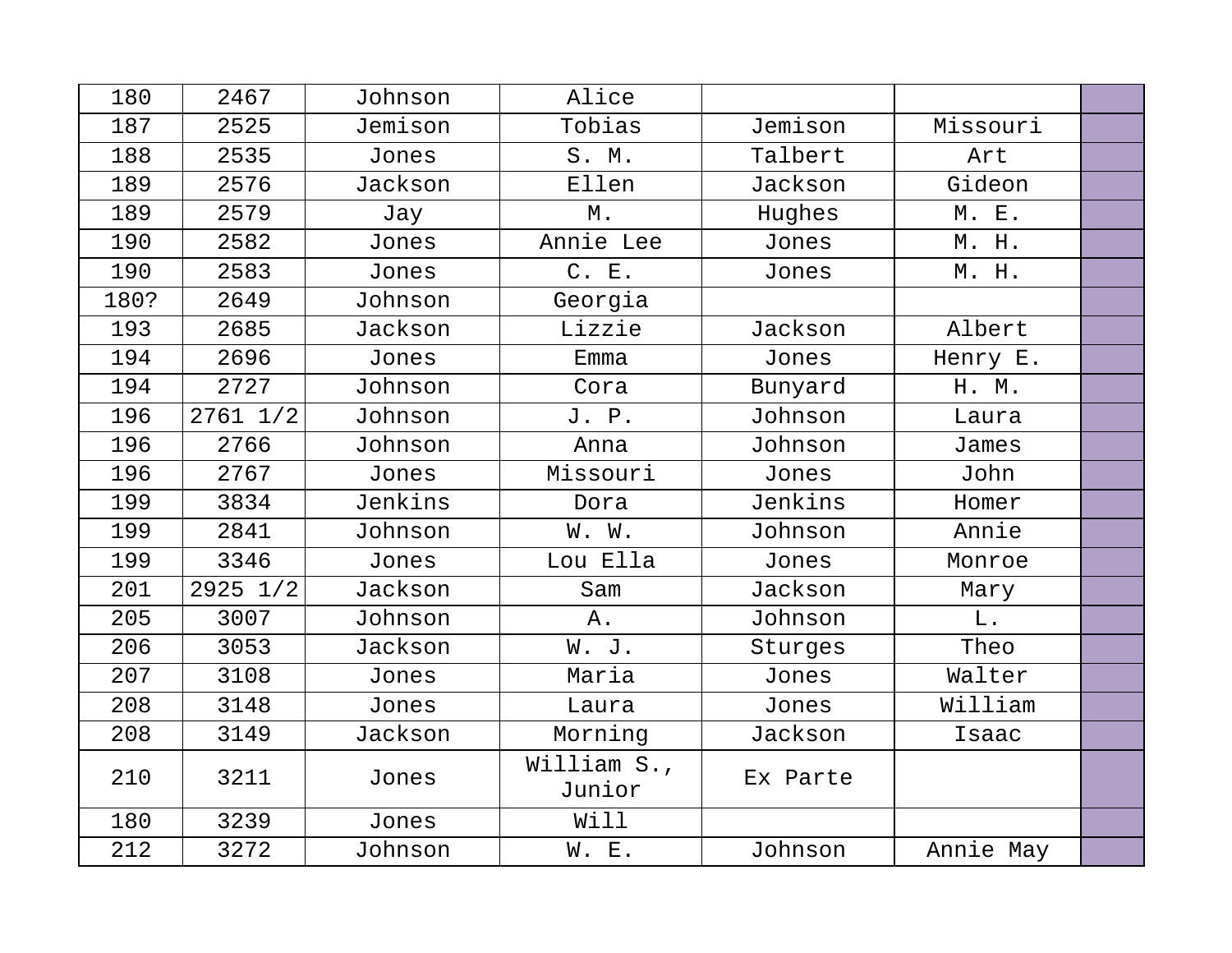| 180  | 2467         | Johnson | Alice                 |          |           |  |
|------|--------------|---------|-----------------------|----------|-----------|--|
| 187  | 2525         | Jemison | Tobias                | Jemison  | Missouri  |  |
| 188  | 2535         | Jones   | S. M.                 | Talbert  | Art       |  |
| 189  | 2576         | Jackson | Ellen                 | Jackson  | Gideon    |  |
| 189  | 2579         | Jay     | М.                    | Hughes   | M. E.     |  |
| 190  | 2582         | Jones   | Annie Lee             | Jones    | M. H.     |  |
| 190  | 2583         | Jones   | C. E.                 | Jones    | M. H.     |  |
| 180? | 2649         | Johnson | Georgia               |          |           |  |
| 193  | 2685         | Jackson | Lizzie                | Jackson  | Albert    |  |
| 194  | 2696         | Jones   | Emma                  | Jones    | Henry E.  |  |
| 194  | 2727         | Johnson | Cora                  | Bunyard  | H. M.     |  |
| 196  | $2761$ $1/2$ | Johnson | J. P.                 | Johnson  | Laura     |  |
| 196  | 2766         | Johnson | Anna                  | Johnson  | James     |  |
| 196  | 2767         | Jones   | Missouri              | Jones    | John      |  |
| 199  | 3834         | Jenkins | Dora                  | Jenkins  | Homer     |  |
| 199  | 2841         | Johnson | W. W.                 | Johnson  | Annie     |  |
| 199  | 3346         | Jones   | Lou Ella              | Jones    | Monroe    |  |
| 201  | 2925 1/2     | Jackson | Sam                   | Jackson  | Mary      |  |
| 205  | 3007         | Johnson | Α.                    | Johnson  | L.        |  |
| 206  | 3053         | Jackson | W. J.                 | Sturges  | Theo      |  |
| 207  | 3108         | Jones   | Maria                 | Jones    | Walter    |  |
| 208  | 3148         | Jones   | Laura                 | Jones    | William   |  |
| 208  | 3149         | Jackson | Morning               | Jackson  | Isaac     |  |
| 210  | 3211         | Jones   | William S.,<br>Junior | Ex Parte |           |  |
| 180  | 3239         | Jones   | Will                  |          |           |  |
| 212  | 3272         | Johnson | W. E.                 | Johnson  | Annie May |  |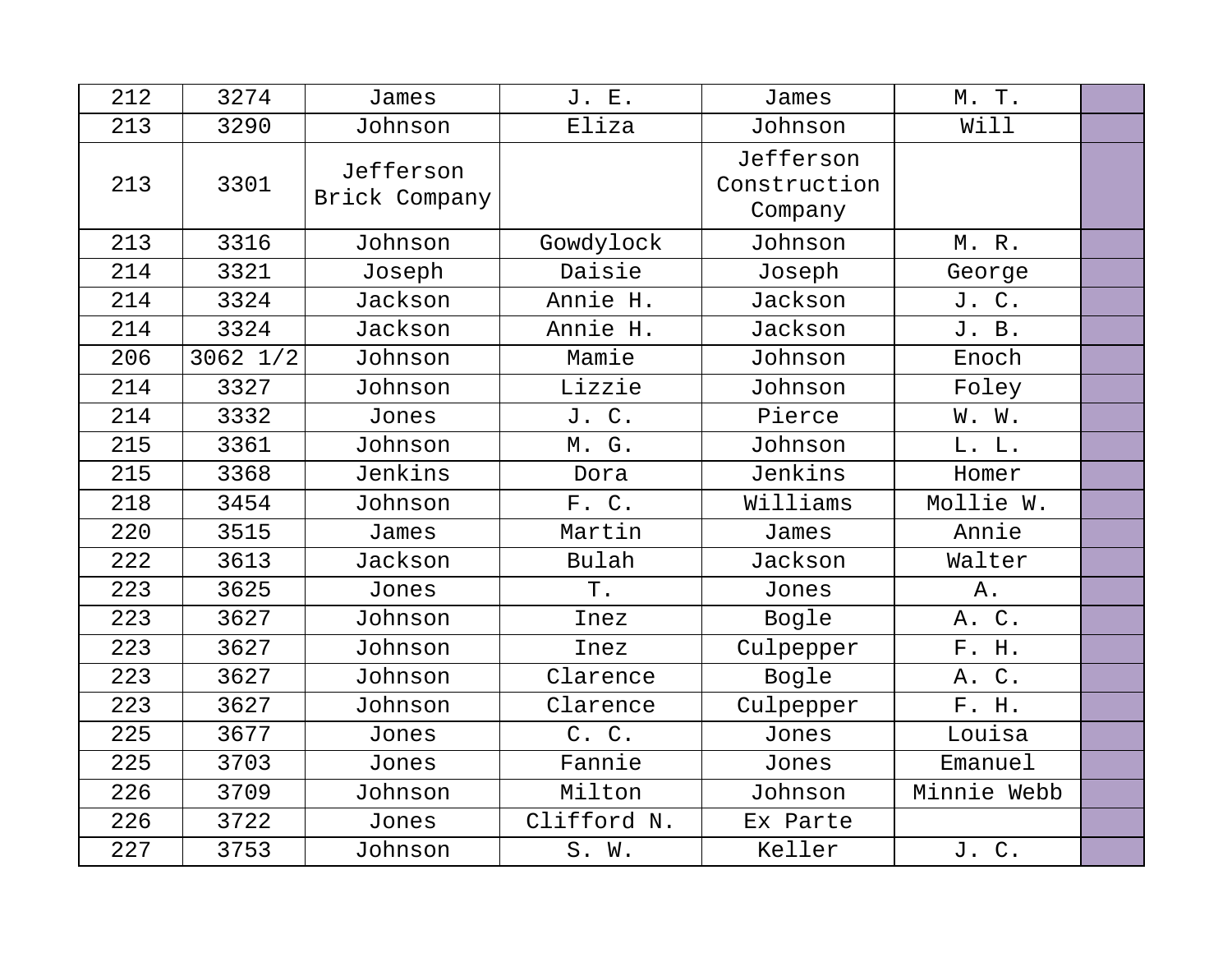| 212 | 3274         | James                      | J. E.       | James                                | M. T.       |  |
|-----|--------------|----------------------------|-------------|--------------------------------------|-------------|--|
| 213 | 3290         | Johnson                    | Eliza       | Johnson                              | Will        |  |
| 213 | 3301         | Jefferson<br>Brick Company |             | Jefferson<br>Construction<br>Company |             |  |
| 213 | 3316         | Johnson                    | Gowdylock   | Johnson                              | M. R.       |  |
| 214 | 3321         | Joseph                     | Daisie      | Joseph                               | George      |  |
| 214 | 3324         | Jackson                    | Annie H.    | Jackson                              | J. C.       |  |
| 214 | 3324         | Jackson                    | Annie H.    | Jackson                              | J. B.       |  |
| 206 | $3062$ $1/2$ | Johnson                    | Mamie       | Johnson                              | Enoch       |  |
| 214 | 3327         | Johnson                    | Lizzie      | Johnson                              | Foley       |  |
| 214 | 3332         | Jones                      | J. C.       | Pierce                               | W. W.       |  |
| 215 | 3361         | Johnson                    | M. G.       | Johnson                              | L. L.       |  |
| 215 | 3368         | Jenkins                    | Dora        | Jenkins                              | Homer       |  |
| 218 | 3454         | Johnson                    | F. C.       | Williams                             | Mollie W.   |  |
| 220 | 3515         | James                      | Martin      | James                                | Annie       |  |
| 222 | 3613         | Jackson                    | Bulah       | Jackson                              | Walter      |  |
| 223 | 3625         | Jones                      | Τ.          | Jones                                | Α.          |  |
| 223 | 3627         | Johnson                    | Inez        | Bogle                                | A. C.       |  |
| 223 | 3627         | Johnson                    | Inez        | Culpepper                            | F. H.       |  |
| 223 | 3627         | Johnson                    | Clarence    | Bogle                                | A. C.       |  |
| 223 | 3627         | Johnson                    | Clarence    | Culpepper                            | F. H.       |  |
| 225 | 3677         | Jones                      | C. C.       | Jones                                | Louisa      |  |
| 225 | 3703         | Jones                      | Fannie      | Jones                                | Emanuel     |  |
| 226 | 3709         | Johnson                    | Milton      | Johnson                              | Minnie Webb |  |
| 226 | 3722         | Jones                      | Clifford N. | Ex Parte                             |             |  |
| 227 | 3753         | Johnson                    | S. W.       | Keller                               | J. C.       |  |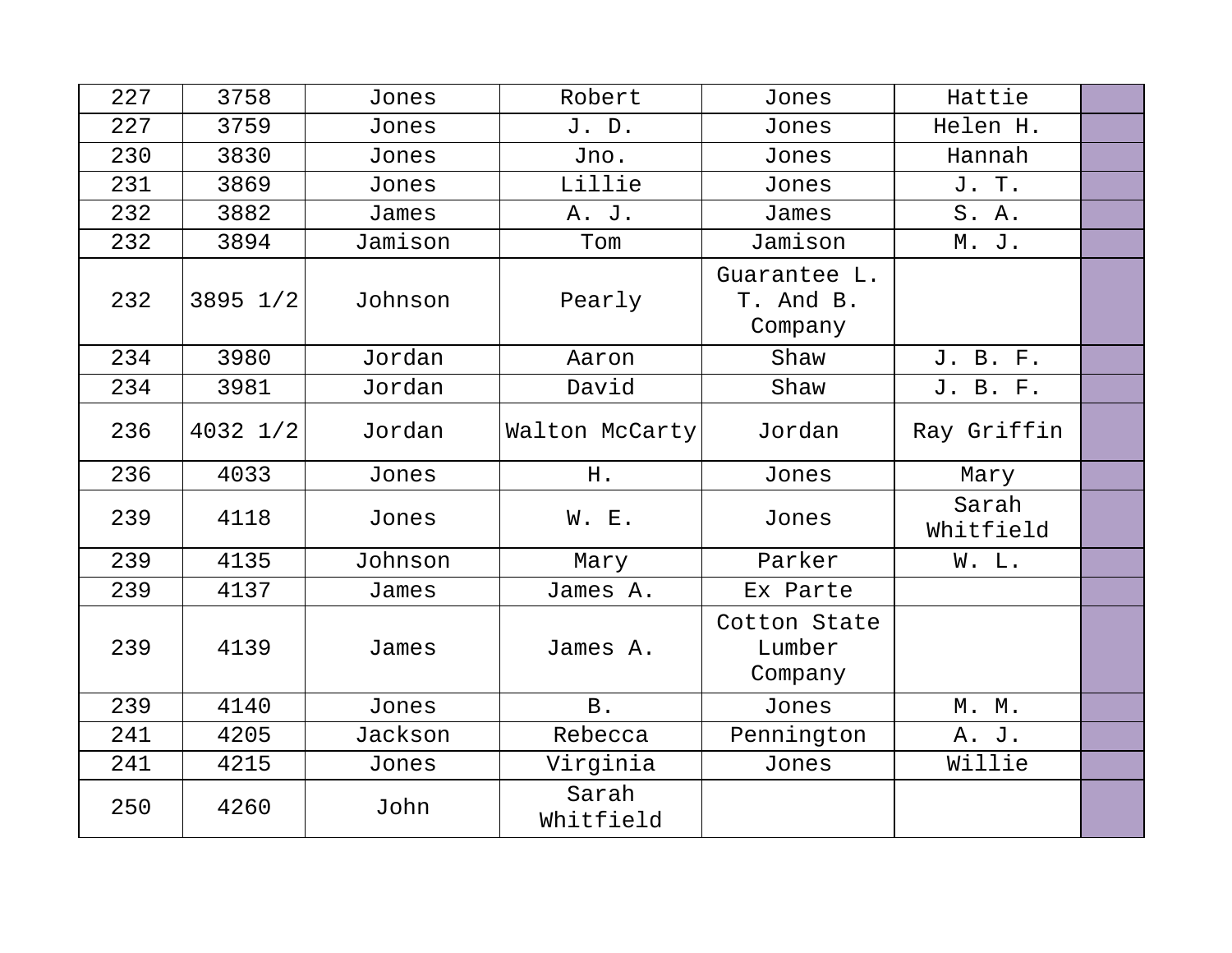| 227 | 3758     | Jones   | Robert         | Jones                                | Hattie             |  |
|-----|----------|---------|----------------|--------------------------------------|--------------------|--|
| 227 | 3759     | Jones   | J. D.          | Jones                                | Helen H.           |  |
| 230 | 3830     | Jones   | Jno.           | Jones                                | Hannah             |  |
| 231 | 3869     | Jones   | Lillie         | Jones                                | J. T.              |  |
| 232 | 3882     | James   | A. J.          | James                                | S. A.              |  |
| 232 | 3894     | Jamison | Tom            | Jamison                              | M. J.              |  |
| 232 | 3895 1/2 | Johnson | Pearly         | Guarantee L.<br>T. And B.<br>Company |                    |  |
| 234 | 3980     | Jordan  | Aaron          | Shaw                                 | J. B. F.           |  |
| 234 | 3981     | Jordan  | David          | Shaw                                 | J. B. F.           |  |
| 236 | 4032 1/2 | Jordan  | Walton McCarty | Jordan                               | Ray Griffin        |  |
| 236 | 4033     | Jones   | H.             | Jones                                | Mary               |  |
| 239 | 4118     | Jones   | W. E.          | Jones                                | Sarah<br>Whitfield |  |
| 239 | 4135     | Johnson | Mary           | Parker                               | W. L.              |  |
| 239 | 4137     | James   | James A.       | Ex Parte                             |                    |  |
| 239 | 4139     | James   | James A.       | Cotton State<br>Lumber<br>Company    |                    |  |
| 239 | 4140     | Jones   | <b>B</b> .     | Jones                                | M. M.              |  |
| 241 | 4205     | Jackson | Rebecca        | Pennington                           | A. J.              |  |
| 241 |          |         |                |                                      |                    |  |
|     | 4215     | Jones   | Virginia       | Jones                                | Willie             |  |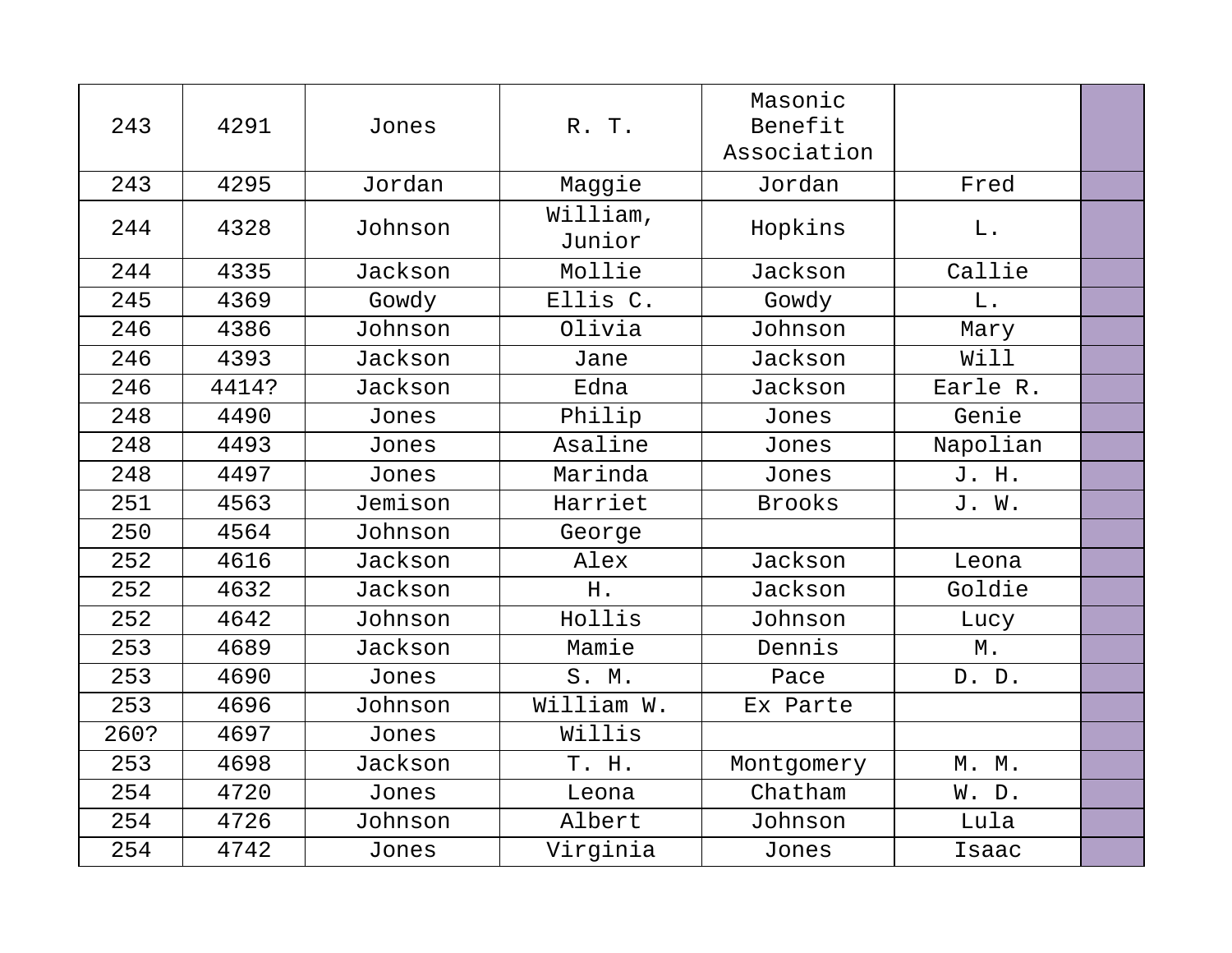| 243  | 4291  | Jones   | R. T.              | Masonic<br>Benefit<br>Association |          |  |
|------|-------|---------|--------------------|-----------------------------------|----------|--|
| 243  | 4295  | Jordan  | Maggie             | Jordan                            | Fred     |  |
| 244  | 4328  | Johnson | William,<br>Junior | Hopkins                           | L.       |  |
| 244  | 4335  | Jackson | Mollie             | Jackson                           | Callie   |  |
| 245  | 4369  | Gowdy   | Ellis C.           | Gowdy                             | $L$ .    |  |
| 246  | 4386  | Johnson | Olivia             | Johnson                           | Mary     |  |
| 246  | 4393  | Jackson | Jane               | Jackson                           | Will     |  |
| 246  | 4414? | Jackson | Edna               | Jackson                           | Earle R. |  |
| 248  | 4490  | Jones   | Philip             | Jones                             | Genie    |  |
| 248  | 4493  | Jones   | Asaline            | Jones                             | Napolian |  |
| 248  | 4497  | Jones   | Marinda            | Jones                             | J. H.    |  |
| 251  | 4563  | Jemison | Harriet            | <b>Brooks</b>                     | J. W.    |  |
| 250  | 4564  | Johnson | George             |                                   |          |  |
| 252  | 4616  | Jackson | Alex               | Jackson                           | Leona    |  |
| 252  | 4632  | Jackson | H.                 | Jackson                           | Goldie   |  |
| 252  | 4642  | Johnson | Hollis             | Johnson                           | Lucy     |  |
| 253  | 4689  | Jackson | Mamie              | Dennis                            | Μ.       |  |
| 253  | 4690  | Jones   | S. M.              | Pace                              | D. D.    |  |
| 253  | 4696  | Johnson | William W.         | Ex Parte                          |          |  |
| 260? | 4697  | Jones   | Willis             |                                   |          |  |
| 253  | 4698  | Jackson | T. H.              | Montgomery                        | M. M.    |  |
| 254  | 4720  | Jones   | Leona              | Chatham                           | W. D.    |  |
| 254  | 4726  | Johnson | Albert             | Johnson                           | Lula     |  |
| 254  | 4742  | Jones   | Virginia           | Jones                             | Isaac    |  |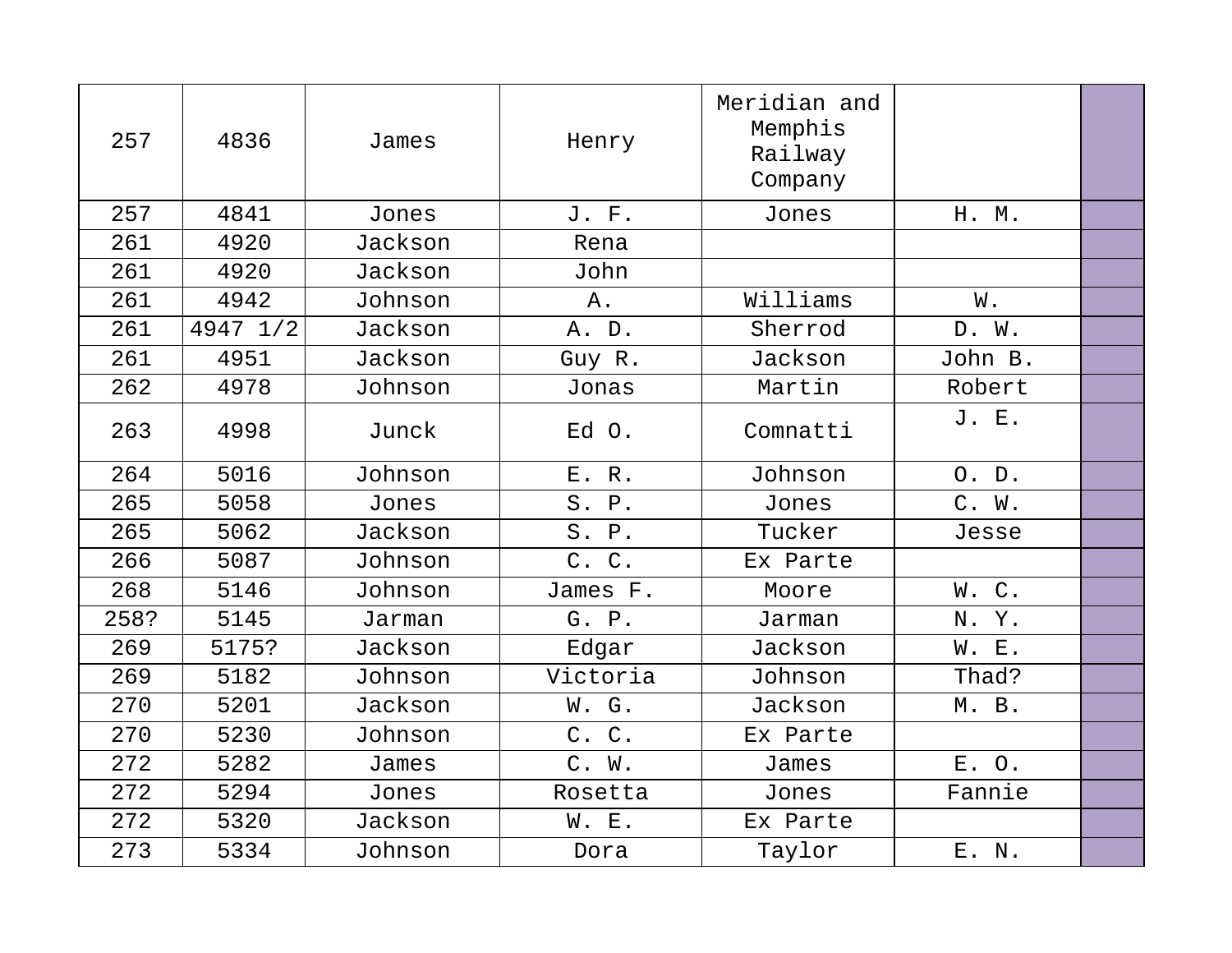| 257  | 4836     | James   | Henry    | Meridian and<br>Memphis<br>Railway<br>Company |         |  |
|------|----------|---------|----------|-----------------------------------------------|---------|--|
| 257  | 4841     | Jones   | J. F.    | Jones                                         | H. M.   |  |
| 261  | 4920     | Jackson | Rena     |                                               |         |  |
| 261  | 4920     | Jackson | John     |                                               |         |  |
| 261  | 4942     | Johnson | Α.       | Williams                                      | W.      |  |
| 261  | 4947 1/2 | Jackson | A. D.    | Sherrod                                       | D. W.   |  |
| 261  | 4951     | Jackson | Guy R.   | Jackson                                       | John B. |  |
| 262  | 4978     | Johnson | Jonas    | Martin                                        | Robert  |  |
| 263  | 4998     | Junck   | Ed O.    | Comnatti                                      | J. E.   |  |
| 264  | 5016     | Johnson | E. R.    | Johnson                                       | O. D.   |  |
| 265  | 5058     | Jones   | S. P.    | Jones                                         | C. W.   |  |
| 265  | 5062     | Jackson | S. P.    | Tucker                                        | Jesse   |  |
| 266  | 5087     | Johnson | C. C.    | Ex Parte                                      |         |  |
| 268  | 5146     | Johnson | James F. | Moore                                         | W.C.    |  |
| 258? | 5145     | Jarman  | G. P.    | Jarman                                        | N.Y.    |  |
| 269  | 5175?    | Jackson | Edgar    | Jackson                                       | W. E.   |  |
| 269  | 5182     | Johnson | Victoria | Johnson                                       | Thad?   |  |
| 270  | 5201     | Jackson | W. G.    | Jackson                                       | M. B.   |  |
| 270  | 5230     | Johnson | C. C.    | Ex Parte                                      |         |  |
| 272  | 5282     | James   | C. W.    | James                                         | E. O.   |  |
| 272  | 5294     | Jones   | Rosetta  | Jones                                         | Fannie  |  |
| 272  | 5320     | Jackson | W. E.    | Ex Parte                                      |         |  |
| 273  | 5334     | Johnson | Dora     | Taylor                                        | E. N.   |  |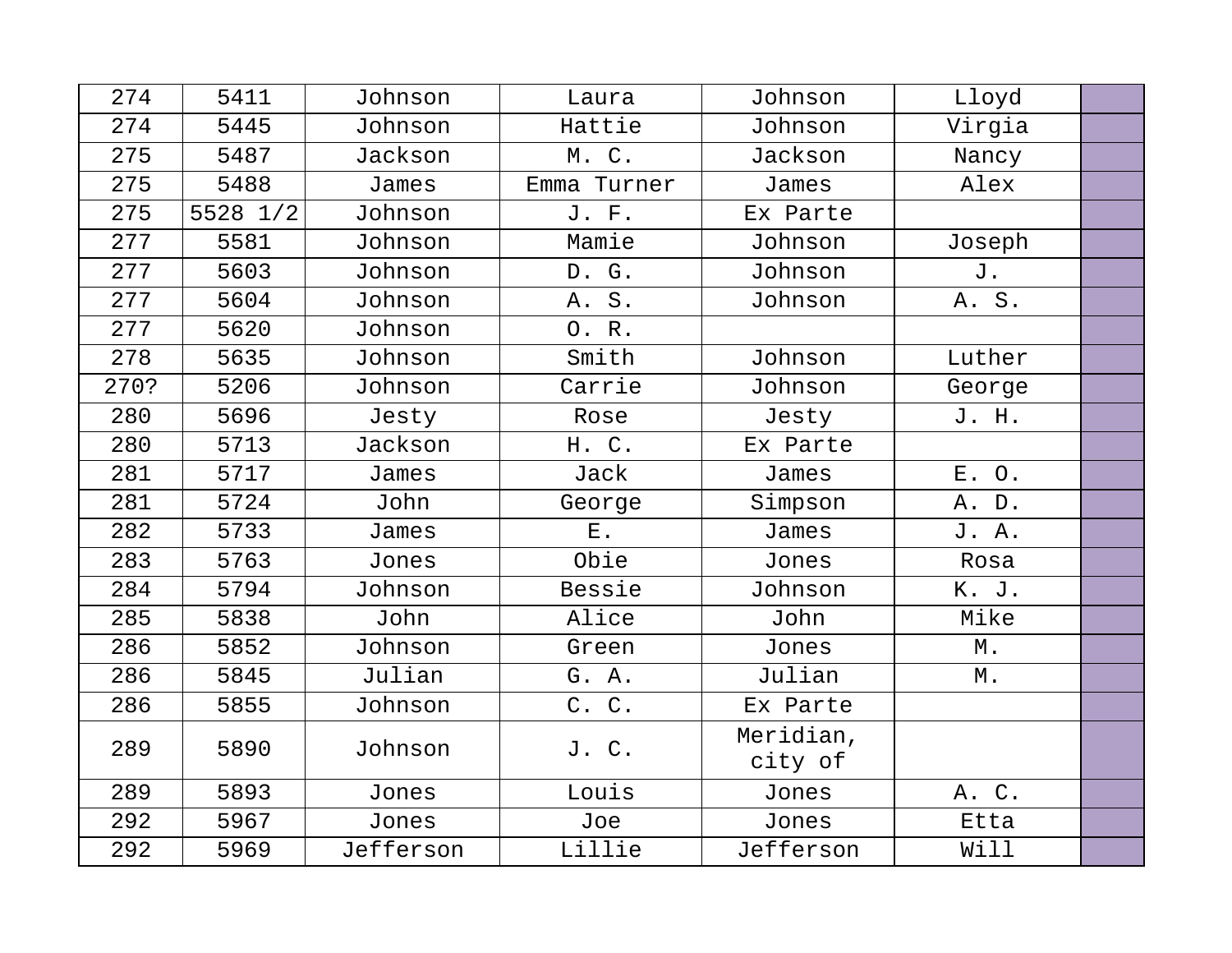| 274  | 5411     | Johnson   | Laura       | Johnson              | Lloyd  |  |
|------|----------|-----------|-------------|----------------------|--------|--|
| 274  | 5445     | Johnson   | Hattie      | Johnson              | Virgia |  |
| 275  | 5487     | Jackson   | M. C.       | Jackson              | Nancy  |  |
| 275  | 5488     | James     | Emma Turner | James                | Alex   |  |
| 275  | 5528 1/2 | Johnson   | J. F.       | Ex Parte             |        |  |
| 277  | 5581     | Johnson   | Mamie       | Johnson              | Joseph |  |
| 277  | 5603     | Johnson   | D. G.       | Johnson              | J.     |  |
| 277  | 5604     | Johnson   | A. S.       | Johnson              | A. S.  |  |
| 277  | 5620     | Johnson   | 0. R.       |                      |        |  |
| 278  | 5635     | Johnson   | Smith       | Johnson              | Luther |  |
| 270? | 5206     | Johnson   | Carrie      | Johnson              | George |  |
| 280  | 5696     | Jesty     | Rose        | Jesty                | J. H.  |  |
| 280  | 5713     | Jackson   | H. C.       | Ex Parte             |        |  |
| 281  | 5717     | James     | Jack        | James                | E. O.  |  |
| 281  | 5724     | John      | George      | Simpson              | A. D.  |  |
| 282  | 5733     | James     | $E$ .       | James                | J. A.  |  |
| 283  | 5763     | Jones     | Obie        | Jones                | Rosa   |  |
| 284  | 5794     | Johnson   | Bessie      | Johnson              | K. J.  |  |
| 285  | 5838     | John      | Alice       | John                 | Mike   |  |
| 286  | 5852     | Johnson   | Green       | Jones                | М.     |  |
| 286  | 5845     | Julian    | G. A.       | Julian               | Μ.     |  |
| 286  | 5855     | Johnson   | C. C.       | Ex Parte             |        |  |
| 289  | 5890     | Johnson   | J. C.       | Meridian,<br>city of |        |  |
| 289  | 5893     | Jones     | Louis       | Jones                | A. C.  |  |
| 292  | 5967     | Jones     | Joe         | Jones                | Etta   |  |
| 292  | 5969     | Jefferson | Lillie      | Jefferson            | Will   |  |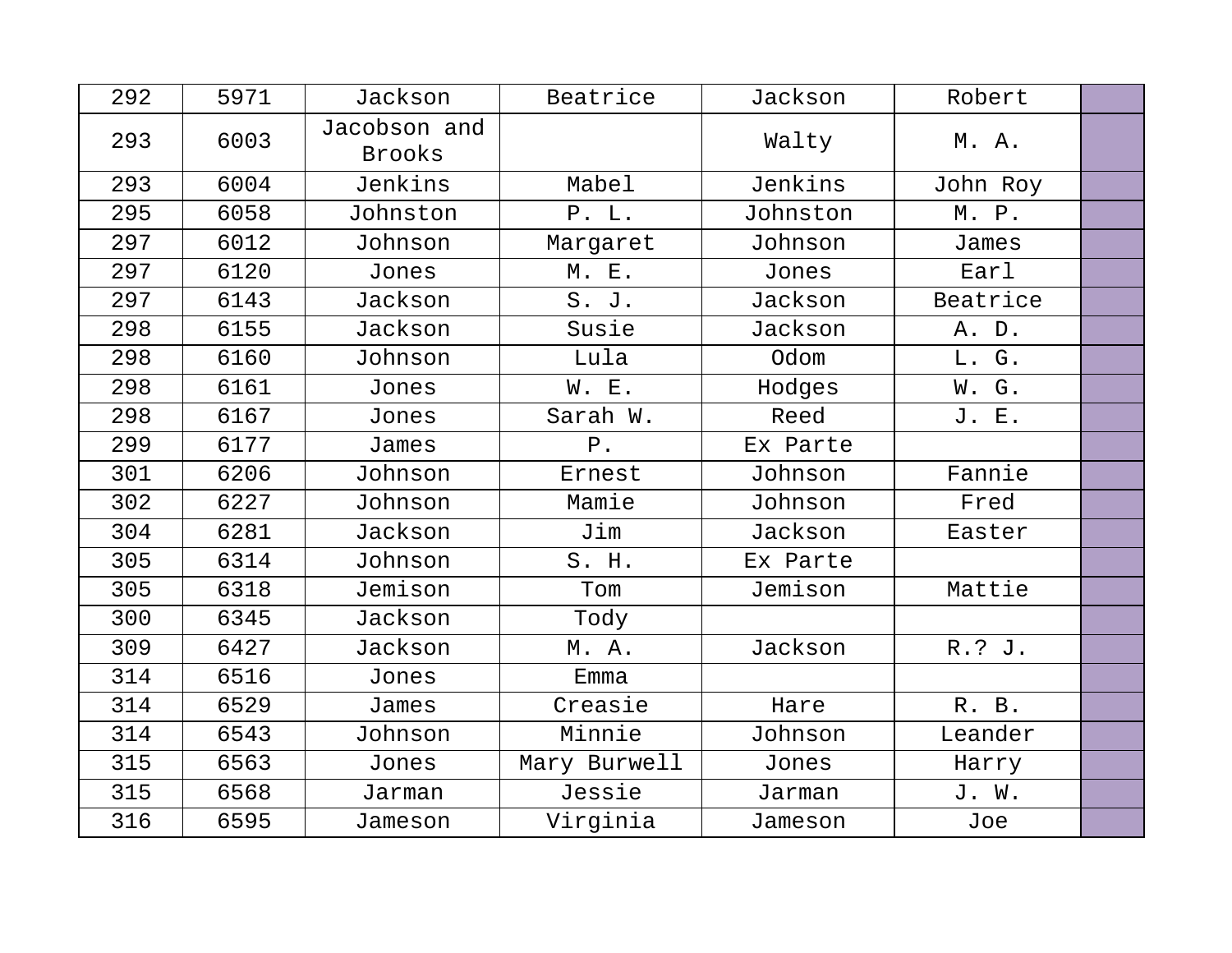| 292 | 5971 | Jackson                | Beatrice     | Jackson  | Robert   |  |
|-----|------|------------------------|--------------|----------|----------|--|
| 293 | 6003 | Jacobson and<br>Brooks |              | Walty    | M. A.    |  |
| 293 | 6004 | Jenkins                | Mabel        | Jenkins  | John Roy |  |
| 295 | 6058 | Johnston               | P. L.        | Johnston | M. P.    |  |
| 297 | 6012 | Johnson                | Margaret     | Johnson  | James    |  |
| 297 | 6120 | Jones                  | M. E.        | Jones    | Earl     |  |
| 297 | 6143 | Jackson                | S. J.        | Jackson  | Beatrice |  |
| 298 | 6155 | Jackson                | Susie        | Jackson  | A. D.    |  |
| 298 | 6160 | Johnson                | Lula         | Odom     | L. G.    |  |
| 298 | 6161 | Jones                  | W. E.        | Hodges   | W. G.    |  |
| 298 | 6167 | Jones                  | Sarah W.     | Reed     | J. E.    |  |
| 299 | 6177 | James                  | $P$ .        | Ex Parte |          |  |
| 301 | 6206 | Johnson                | Ernest       | Johnson  | Fannie   |  |
| 302 | 6227 | Johnson                | Mamie        | Johnson  | Fred     |  |
| 304 | 6281 | Jackson                | Jim          | Jackson  | Easter   |  |
| 305 | 6314 | Johnson                | S. H.        | Ex Parte |          |  |
| 305 | 6318 | Jemison                | Tom          | Jemison  | Mattie   |  |
| 300 | 6345 | Jackson                | Tody         |          |          |  |
| 309 | 6427 | Jackson                | M. A.        | Jackson  | R.? J.   |  |
| 314 | 6516 | Jones                  | Emma         |          |          |  |
| 314 | 6529 | James                  | Creasie      | Hare     | R. B.    |  |
| 314 | 6543 | Johnson                | Minnie       | Johnson  | Leander  |  |
| 315 | 6563 | Jones                  | Mary Burwell | Jones    | Harry    |  |
| 315 | 6568 | Jarman                 | Jessie       | Jarman   | J. W.    |  |
| 316 | 6595 | Jameson                | Virginia     | Jameson  | Joe      |  |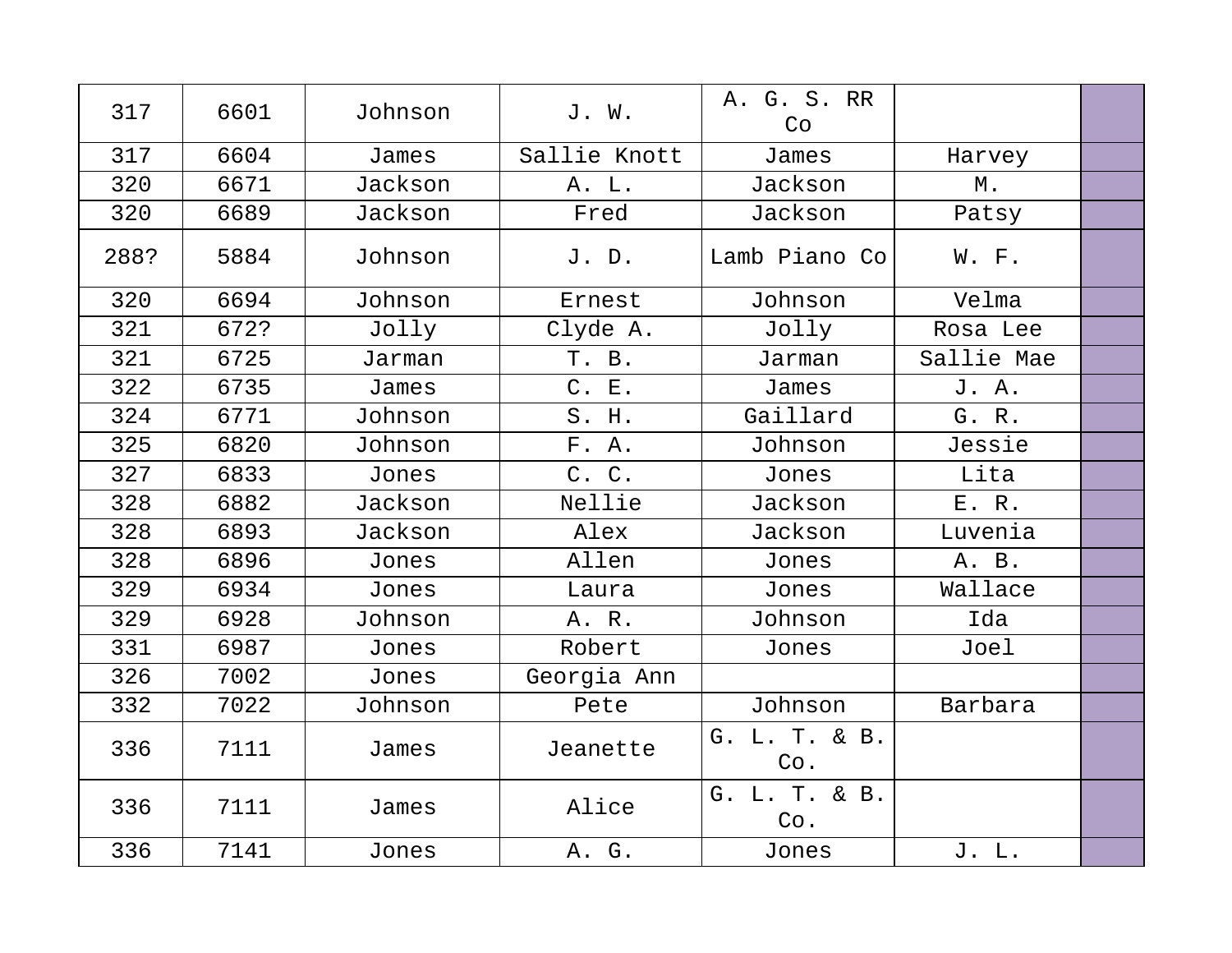| 317  | 6601 | Johnson | J. W.        | A. G. S. RR<br>Co    |            |  |
|------|------|---------|--------------|----------------------|------------|--|
| 317  | 6604 | James   | Sallie Knott | James                | Harvey     |  |
| 320  | 6671 | Jackson | A. L.        | Jackson              | Μ.         |  |
| 320  | 6689 | Jackson | Fred         | Jackson              | Patsy      |  |
| 288? | 5884 | Johnson | J. D.        | Lamb Piano Co        | W. F.      |  |
| 320  | 6694 | Johnson | Ernest       | Johnson              | Velma      |  |
| 321  | 672? | Jolly   | Clyde A.     | Jolly                | Rosa Lee   |  |
| 321  | 6725 | Jarman  | T. B.        | Jarman               | Sallie Mae |  |
| 322  | 6735 | James   | C. E.        | James                | J. A.      |  |
| 324  | 6771 | Johnson | S. H.        | Gaillard             | G. R.      |  |
| 325  | 6820 | Johnson | F. A.        | Johnson              | Jessie     |  |
| 327  | 6833 | Jones   | C. C.        | Jones                | Lita       |  |
| 328  | 6882 | Jackson | Nellie       | Jackson              | E. R.      |  |
| 328  | 6893 | Jackson | Alex         | Jackson              | Luvenia    |  |
| 328  | 6896 | Jones   | Allen        | Jones                | A. B.      |  |
| 329  | 6934 | Jones   | Laura        | Jones                | Wallace    |  |
| 329  | 6928 | Johnson | A. R.        | Johnson              | Ida        |  |
| 331  | 6987 | Jones   | Robert       | Jones                | Joel       |  |
| 326  | 7002 | Jones   | Georgia Ann  |                      |            |  |
| 332  | 7022 | Johnson | Pete         | Johnson              | Barbara    |  |
| 336  | 7111 | James   | Jeanette     | G. L. T. & B.<br>Co. |            |  |
| 336  | 7111 | James   | Alice        | G. L. T. & B.<br>Co. |            |  |
| 336  | 7141 | Jones   | A. G.        | Jones                | J. L.      |  |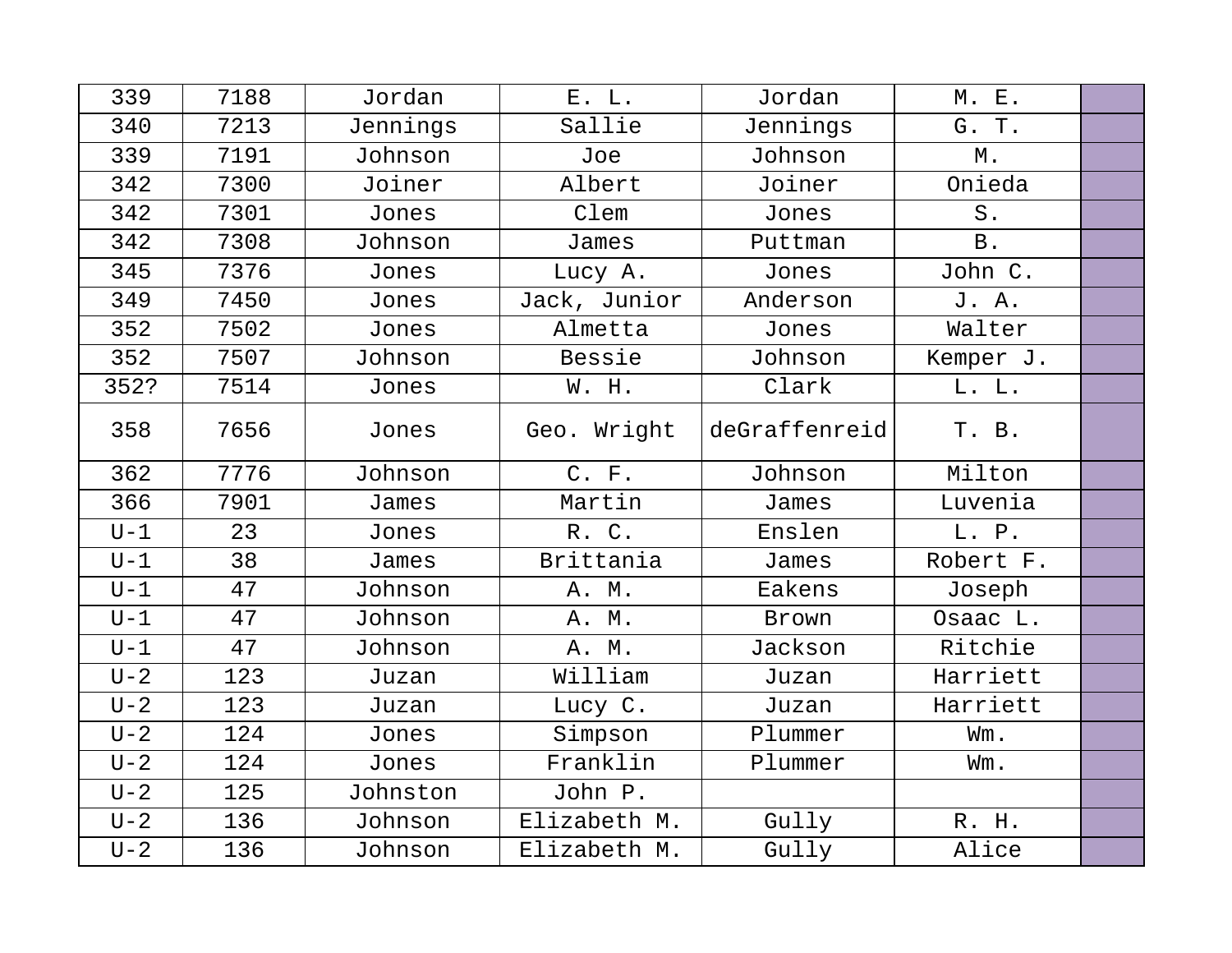| 339     | 7188 | Jordan   | E. L.        | Jordan        | M. E.       |  |
|---------|------|----------|--------------|---------------|-------------|--|
| 340     | 7213 | Jennings | Sallie       | Jennings      | G. T.       |  |
| 339     | 7191 | Johnson  | Joe          | Johnson       | Μ.          |  |
| 342     | 7300 | Joiner   | Albert       | Joiner        | Onieda      |  |
| 342     | 7301 | Jones    | Clem         | Jones         | ${\tt S}$ . |  |
| 342     | 7308 | Johnson  | James        | Puttman       | <b>B</b> .  |  |
| 345     | 7376 | Jones    | Lucy A.      | Jones         | John C.     |  |
| 349     | 7450 | Jones    | Jack, Junior | Anderson      | J. A.       |  |
| 352     | 7502 | Jones    | Almetta      | Jones         | Walter      |  |
| 352     | 7507 | Johnson  | Bessie       | Johnson       | Kemper J.   |  |
| 352?    | 7514 | Jones    | W. H.        | Clark         | L. L.       |  |
| 358     | 7656 | Jones    | Geo. Wright  | deGraffenreid | T. B.       |  |
| 362     | 7776 | Johnson  | C. F.        | Johnson       | Milton      |  |
| 366     | 7901 | James    | Martin       | James         | Luvenia     |  |
| $U-1$   | 23   | Jones    | R. C.        | Enslen        | L. P.       |  |
| $U-1$   | 38   | James    | Brittania    | James         | Robert F.   |  |
| $U-1$   | 47   | Johnson  | A. M.        | Eakens        | Joseph      |  |
| $U-1$   | 47   | Johnson  | A. M.        | Brown         | Osaac L.    |  |
| $U-1$   | 47   | Johnson  | A. M.        | Jackson       | Ritchie     |  |
| $U - 2$ | 123  | Juzan    | William      | Juzan         | Harriett    |  |
| $U - 2$ | 123  | Juzan    | Lucy C.      | Juzan         | Harriett    |  |
| $U - 2$ | 124  | Jones    | Simpson      | Plummer       | Wm.         |  |
| $U-2$   | 124  | Jones    | Franklin     | Plummer       | Wm.         |  |
| $U - 2$ | 125  | Johnston | John P.      |               |             |  |
| $U - 2$ | 136  | Johnson  | Elizabeth M. | Gully         | R. H.       |  |
| $U - 2$ | 136  | Johnson  | Elizabeth M. | Gully         | Alice       |  |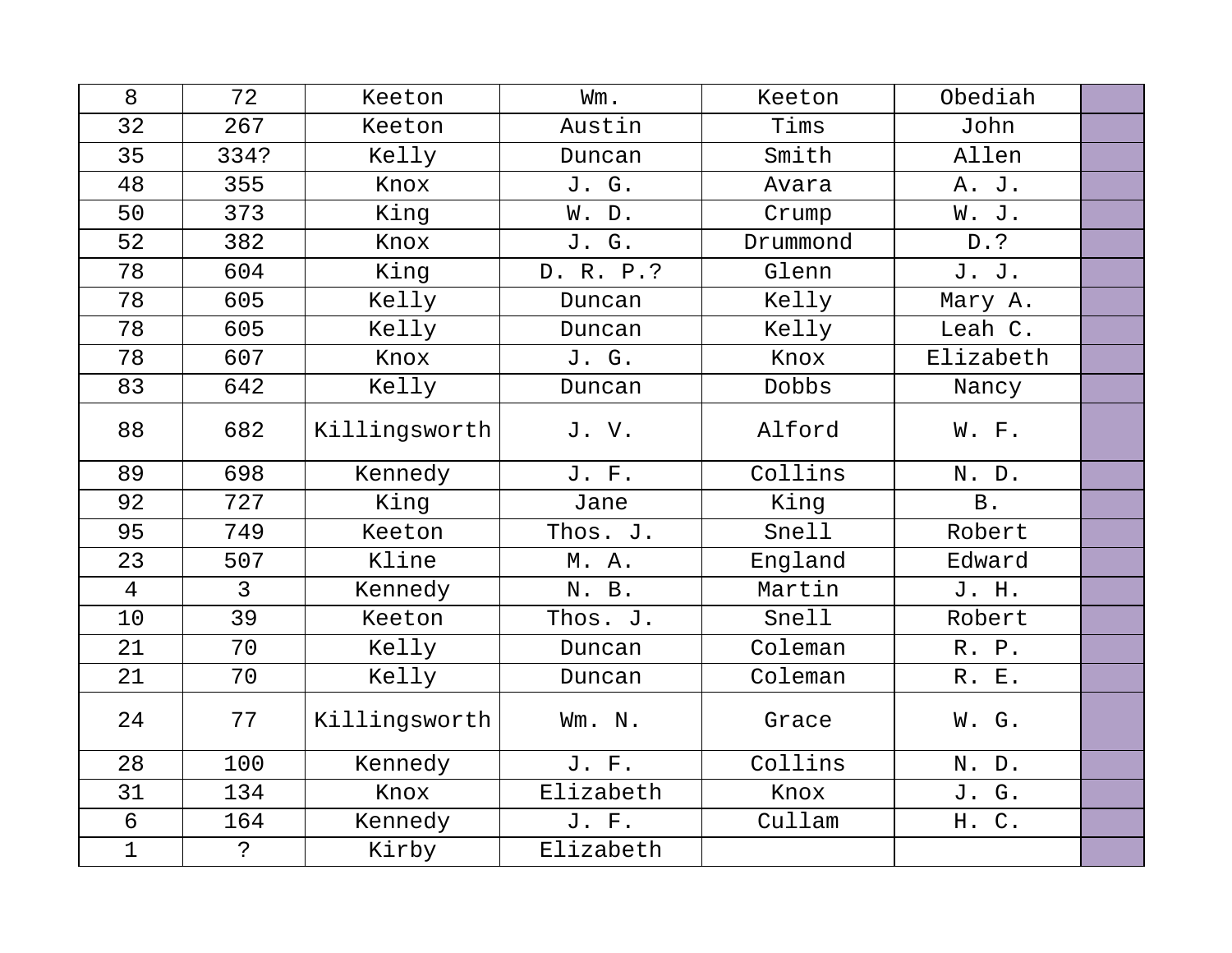| 8              | 72            | Keeton        | Wm.       | Keeton   | Obediah   |  |
|----------------|---------------|---------------|-----------|----------|-----------|--|
| 32             | 267           | Keeton        | Austin    | Tims     | John      |  |
| 35             | 334?          | Kelly         | Duncan    | Smith    | Allen     |  |
| 48             | 355           | Knox          | J. G.     | Avara    | A. J.     |  |
| 50             | 373           | King          | W. D.     | Crump    | W. J.     |  |
| 52             | 382           | Knox          | J. G.     | Drummond | D.?       |  |
| 78             | 604           | King          | D. R. P.? | Glenn    | J. J.     |  |
| 78             | 605           | Kelly         | Duncan    | Kelly    | Mary A.   |  |
| 78             | 605           | Kelly         | Duncan    | Kelly    | Leah C.   |  |
| 78             | 607           | Knox          | J. G.     | Knox     | Elizabeth |  |
| 83             | 642           | Kelly         | Duncan    | Dobbs    | Nancy     |  |
| 88             | 682           | Killingsworth | J.V.      | Alford   | W. F.     |  |
| 89             | 698           | Kennedy       | J. F.     | Collins  | N. D.     |  |
| 92             | 727           | King          | Jane      | King     | B.        |  |
| 95             | 749           | Keeton        | Thos. J.  | Snell    | Robert    |  |
| 23             | 507           | Kline         | M. A.     | England  | Edward    |  |
| $\overline{4}$ | $\mathcal{E}$ | Kennedy       | N. B.     | Martin   | J. H.     |  |
| 10             | 39            | Keeton        | Thos. J.  | Snell    | Robert    |  |
| 21             | 70            | Kelly         | Duncan    | Coleman  | R. P.     |  |
| 21             | 70            | Kelly         | Duncan    | Coleman  | R. E.     |  |
| 24             | 77            | Killingsworth | Wm. N.    | Grace    | W. G.     |  |
| 28             | 100           | Kennedy       | J. F.     | Collins  | N. D.     |  |
| 31             | 134           | Knox          | Elizabeth | Knox     | J. G.     |  |
| 6              | 164           | Kennedy       | J. F.     | Cullam   | H. C.     |  |
| $\mathbf{1}$   | $\mathcal{S}$ | Kirby         | Elizabeth |          |           |  |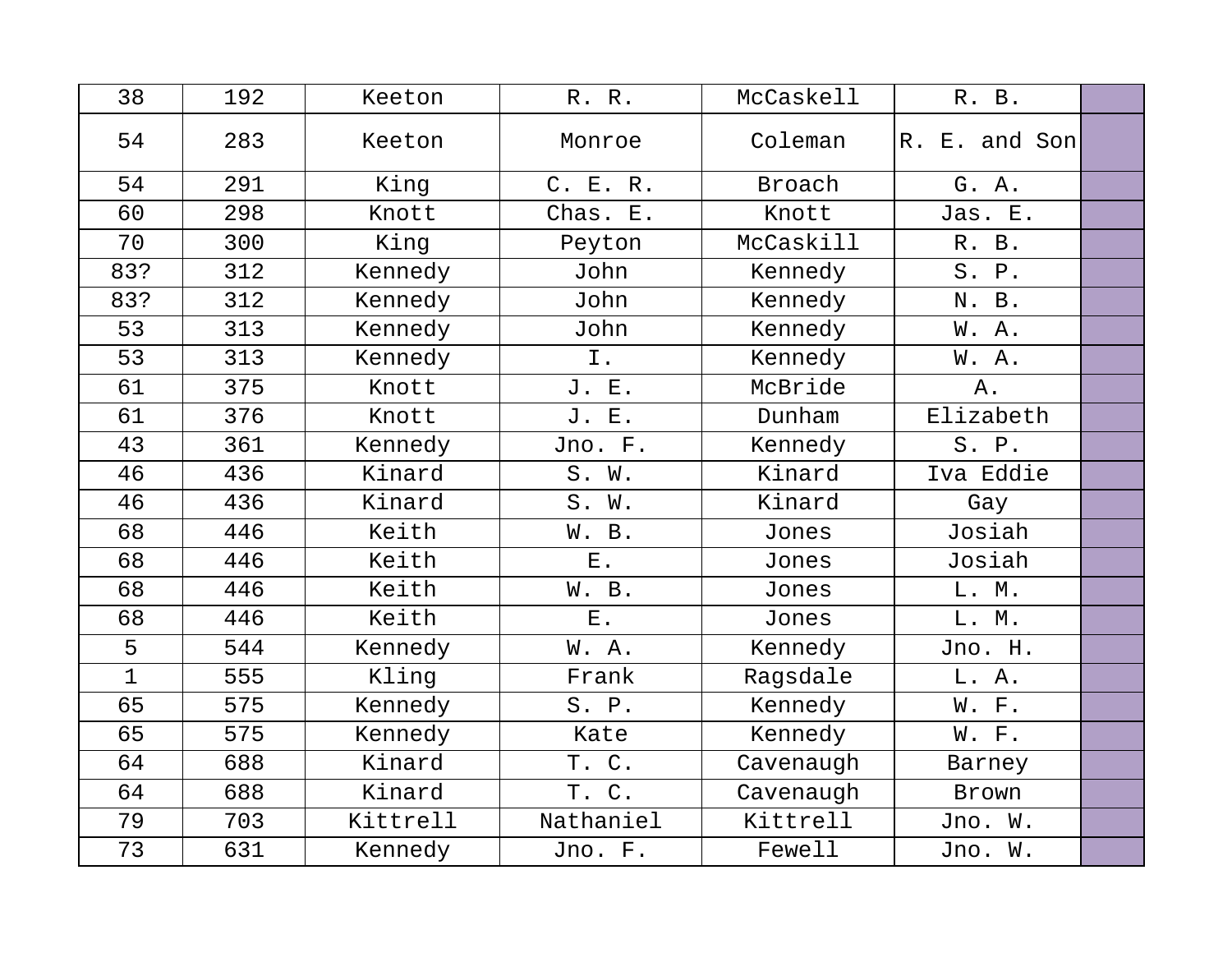| 38           | 192 | Keeton   | R. R.       | McCaskell | R. B.         |  |
|--------------|-----|----------|-------------|-----------|---------------|--|
| 54           | 283 | Keeton   | Monroe      | Coleman   | R. E. and Son |  |
| 54           | 291 | King     | C. E. R.    | Broach    | G. A.         |  |
| 60           | 298 | Knott    | Chas. E.    | Knott     | Jas. E.       |  |
| 70           | 300 | King     | Peyton      | McCaskill | R. B.         |  |
| 83?          | 312 | Kennedy  | John        | Kennedy   | S. P.         |  |
| 83?          | 312 | Kennedy  | John        | Kennedy   | N. B.         |  |
| 53           | 313 | Kennedy  | John        | Kennedy   | W. A.         |  |
| 53           | 313 | Kennedy  | I.          | Kennedy   | W. A.         |  |
| 61           | 375 | Knott    | J. E.       | McBride   | Α.            |  |
| 61           | 376 | Knott    | J. E.       | Dunham    | Elizabeth     |  |
| 43           | 361 | Kennedy  | Jno. F.     | Kennedy   | S. P.         |  |
| 46           | 436 | Kinard   | S. W.       | Kinard    | Iva Eddie     |  |
| 46           | 436 | Kinard   | S. W.       | Kinard    | Gay           |  |
| 68           | 446 | Keith    | W. B.       | Jones     | Josiah        |  |
| 68           | 446 | Keith    | $E$ .       | Jones     | Josiah        |  |
| 68           | 446 | Keith    | W. B.       | Jones     | L. M.         |  |
| 68           | 446 | Keith    | ${\bf E}$ . | Jones     | L. M.         |  |
| 5            | 544 | Kennedy  | W.A.        | Kennedy   | Jno. H.       |  |
| $\mathbf{1}$ | 555 | Kling    | Frank       | Ragsdale  | L. A.         |  |
| 65           | 575 | Kennedy  | S. P.       | Kennedy   | W. F.         |  |
| 65           | 575 | Kennedy  | Kate        | Kennedy   | W. F.         |  |
| 64           | 688 | Kinard   | T. C.       | Cavenaugh | Barney        |  |
| 64           | 688 | Kinard   | T. C.       | Cavenaugh | Brown         |  |
| 79           | 703 | Kittrell | Nathaniel   | Kittrell  | Jno. W.       |  |
| 73           | 631 | Kennedy  | Jno. F.     | Fewell    | Jno. W.       |  |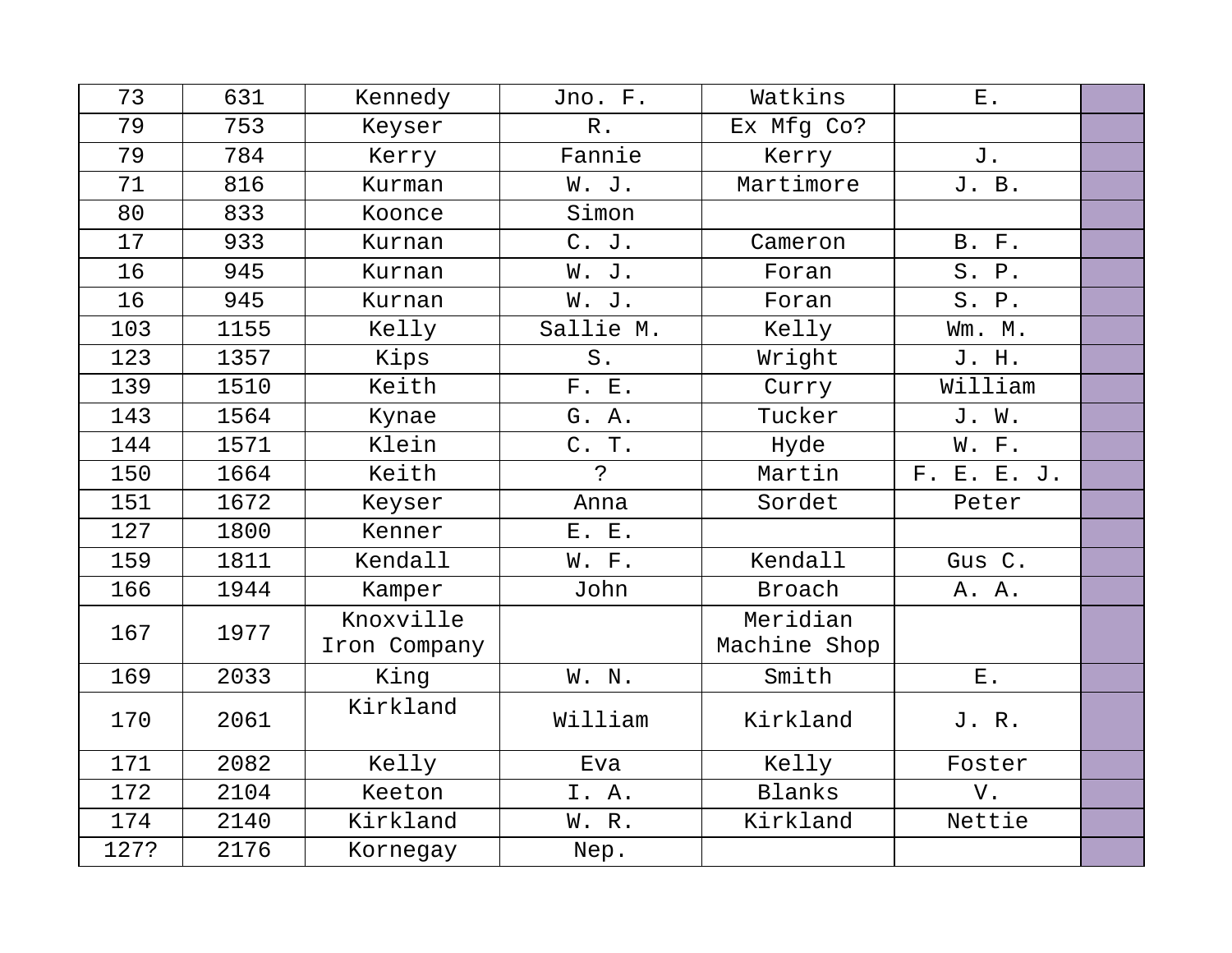| 73   | 631  | Kennedy                   | Jno. F.     | Watkins                  | ${\bf E}$ .  |  |
|------|------|---------------------------|-------------|--------------------------|--------------|--|
| 79   | 753  | Keyser                    | $R$ .       | Ex Mfg Co?               |              |  |
| 79   | 784  | Kerry                     | Fannie      | Kerry                    | J.           |  |
| 71   | 816  | Kurman                    | W. J.       | Martimore                | J. B.        |  |
| 80   | 833  | Koonce                    | Simon       |                          |              |  |
| 17   | 933  | Kurnan                    | C. J.       | Cameron                  | <b>B.</b> F. |  |
| 16   | 945  | Kurnan                    | W. J.       | Foran                    | S. P.        |  |
| 16   | 945  | Kurnan                    | W. J.       | Foran                    | S. P.        |  |
| 103  | 1155 | Kelly                     | Sallie M.   | Kelly                    | Wm. M.       |  |
| 123  | 1357 | Kips                      | $S$ .       | Wright                   | J. H.        |  |
| 139  | 1510 | Keith                     | F. E.       | Curry                    | William      |  |
| 143  | 1564 | Kynae                     | G. A.       | Tucker                   | J. W.        |  |
| 144  | 1571 | Klein                     | C. T.       | Hyde                     | W. F.        |  |
| 150  | 1664 | Keith                     | $\tilde{S}$ | Martin                   | F. E. E. J.  |  |
| 151  | 1672 | Keyser                    | Anna        | Sordet                   | Peter        |  |
| 127  | 1800 | Kenner                    | E. E.       |                          |              |  |
| 159  | 1811 | Kendall                   | W. F.       | Kendall                  | Gus C.       |  |
| 166  | 1944 | Kamper                    | John        | Broach                   | A. A.        |  |
| 167  | 1977 | Knoxville<br>Iron Company |             | Meridian<br>Machine Shop |              |  |
| 169  | 2033 | King                      | W. N.       | Smith                    | ${\bf E}$ .  |  |
| 170  | 2061 | Kirkland                  | William     | Kirkland                 | J. R.        |  |
| 171  | 2082 | Kelly                     | Eva         | Kelly                    | Foster       |  |
| 172  | 2104 | Keeton                    | I. A.       | Blanks                   | V.           |  |
| 174  | 2140 | Kirkland                  | W. R.       | Kirkland                 | Nettie       |  |
| 127? | 2176 | Kornegay                  | Nep.        |                          |              |  |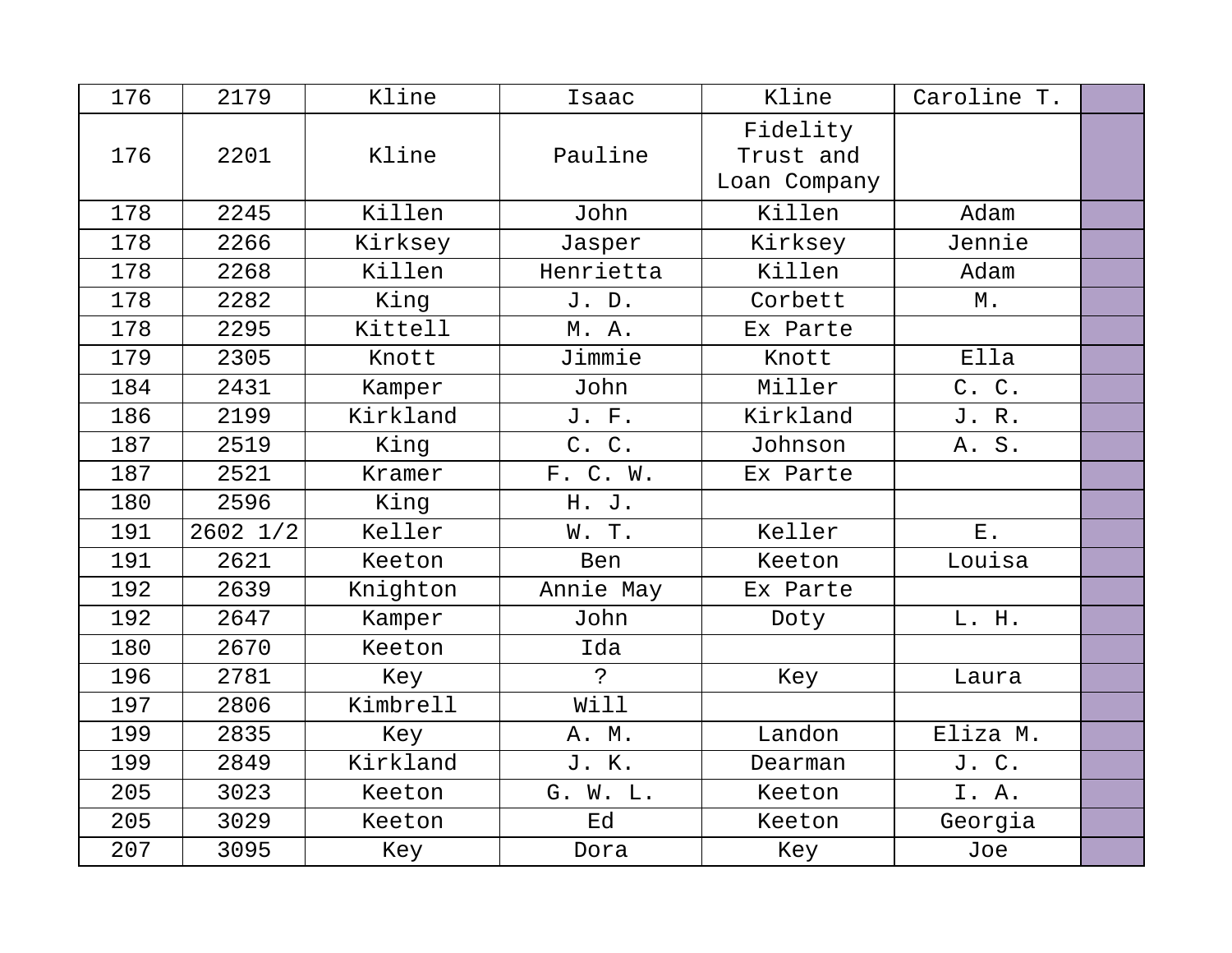| 176 | 2179         | Kline    | Isaac          | Kline                                 | Caroline T. |  |
|-----|--------------|----------|----------------|---------------------------------------|-------------|--|
| 176 | 2201         | Kline    | Pauline        | Fidelity<br>Trust and<br>Loan Company |             |  |
| 178 | 2245         | Killen   | John           | Killen                                | Adam        |  |
| 178 | 2266         | Kirksey  | Jasper         | Kirksey                               | Jennie      |  |
| 178 | 2268         | Killen   | Henrietta      | Killen                                | Adam        |  |
| 178 | 2282         | King     | J. D.          | Corbett                               | М.          |  |
| 178 | 2295         | Kittell  | M. A.          | Ex Parte                              |             |  |
| 179 | 2305         | Knott    | Jimmie         | Knott                                 | Ella        |  |
| 184 | 2431         | Kamper   | John           | Miller                                | C. C.       |  |
| 186 | 2199         | Kirkland | J. F.          | Kirkland                              | J. R.       |  |
| 187 | 2519         | King     | C. C.          | Johnson                               | A. S.       |  |
| 187 | 2521         | Kramer   | F. C. W.       | Ex Parte                              |             |  |
| 180 | 2596         | King     | H. J.          |                                       |             |  |
| 191 | $2602$ $1/2$ | Keller   | W. T.          | Keller                                | ${\bf E}$ . |  |
| 191 | 2621         | Keeton   | Ben            | Keeton                                | Louisa      |  |
| 192 | 2639         | Knighton | Annie May      | Ex Parte                              |             |  |
| 192 | 2647         | Kamper   | John           | Doty                                  | L. H.       |  |
| 180 | 2670         | Keeton   | Ida            |                                       |             |  |
| 196 | 2781         | Key      | $\overline{P}$ | Key                                   | Laura       |  |
| 197 | 2806         | Kimbrell | Will           |                                       |             |  |
| 199 | 2835         | Key      | A. M.          | Landon                                | Eliza M.    |  |
| 199 | 2849         | Kirkland | J. K.          | Dearman                               | J. C.       |  |
| 205 | 3023         | Keeton   | G. W. L.       | Keeton                                | I. A.       |  |
| 205 | 3029         | Keeton   | Ed             | Keeton                                | Georgia     |  |
| 207 | 3095         | Key      | Dora           | Key                                   | Joe         |  |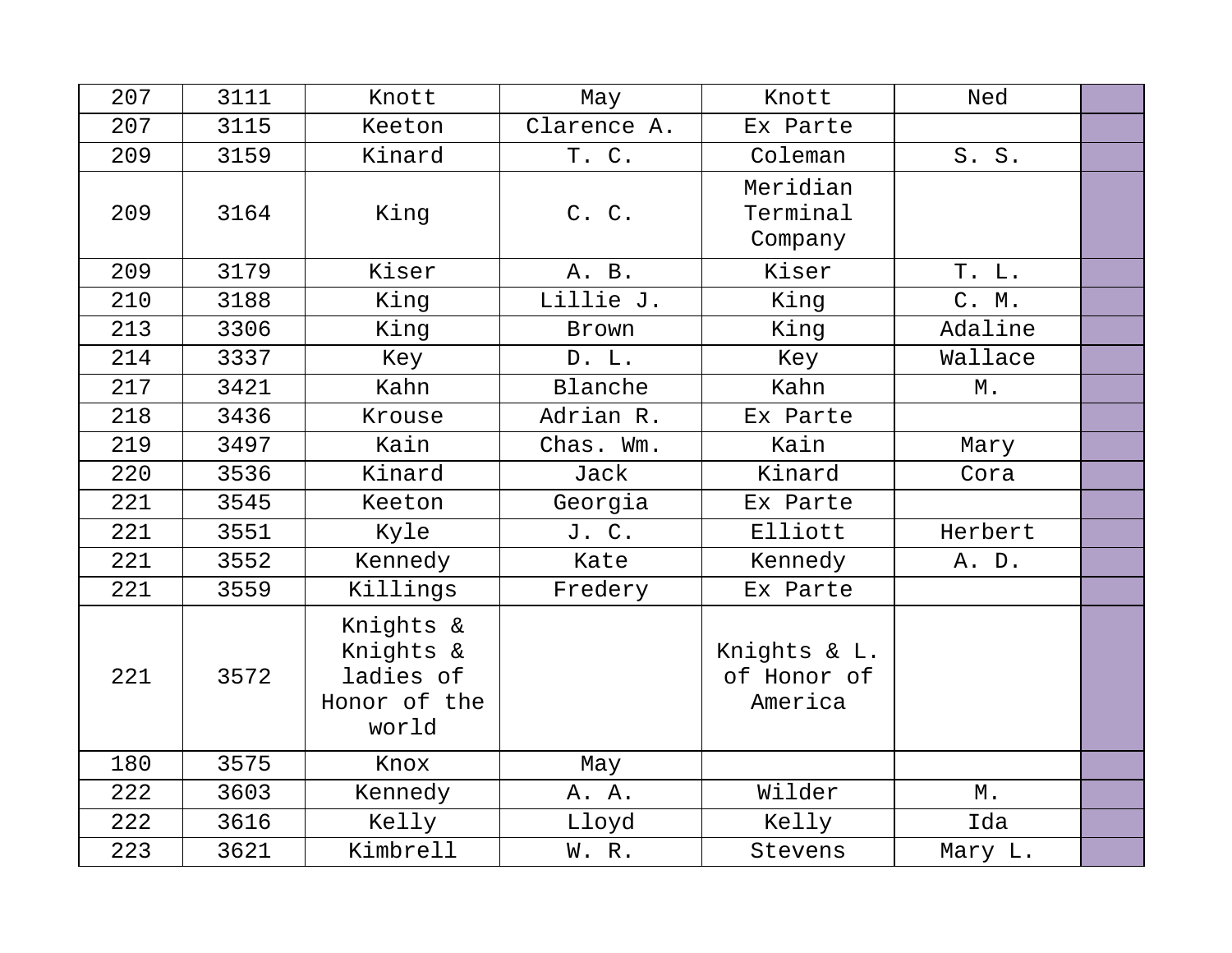| 207 | 3111 | Knott                                                        | May         | Knott                                  | Ned     |  |
|-----|------|--------------------------------------------------------------|-------------|----------------------------------------|---------|--|
| 207 | 3115 | Keeton                                                       | Clarence A. | Ex Parte                               |         |  |
| 209 | 3159 | Kinard                                                       | T. C.       | Coleman                                | S. S.   |  |
| 209 | 3164 | King                                                         | C. C.       | Meridian<br>Terminal<br>Company        |         |  |
| 209 | 3179 | Kiser                                                        | A. B.       | Kiser                                  | T. L.   |  |
| 210 | 3188 | King                                                         | Lillie J.   | King                                   | C. M.   |  |
| 213 | 3306 | King                                                         | Brown       | King                                   | Adaline |  |
| 214 | 3337 | Key                                                          | D. L.       | Key                                    | Wallace |  |
| 217 | 3421 | Kahn                                                         | Blanche     | Kahn                                   | М.      |  |
| 218 | 3436 | Krouse                                                       | Adrian R.   | Ex Parte                               |         |  |
| 219 | 3497 | Kain                                                         | Chas. Wm.   | Kain                                   | Mary    |  |
| 220 | 3536 | Kinard                                                       | Jack        | Kinard                                 | Cora    |  |
| 221 | 3545 | Keeton                                                       | Georgia     | Ex Parte                               |         |  |
| 221 | 3551 | Kyle                                                         | J. C.       | Elliott                                | Herbert |  |
| 221 | 3552 | Kennedy                                                      | Kate        | Kennedy                                | A. D.   |  |
| 221 | 3559 | Killings                                                     | Fredery     | Ex Parte                               |         |  |
| 221 | 3572 | Knights &<br>Knights &<br>ladies of<br>Honor of the<br>world |             | Knights & L.<br>of Honor of<br>America |         |  |
| 180 | 3575 | Knox                                                         | May         |                                        |         |  |
| 222 | 3603 | Kennedy                                                      | A. A.       | Wilder                                 | М.      |  |
| 222 | 3616 | Kelly                                                        | Lloyd       | Kelly                                  | Ida     |  |
| 223 | 3621 | Kimbrell                                                     | W. R.       | Stevens                                | Mary L. |  |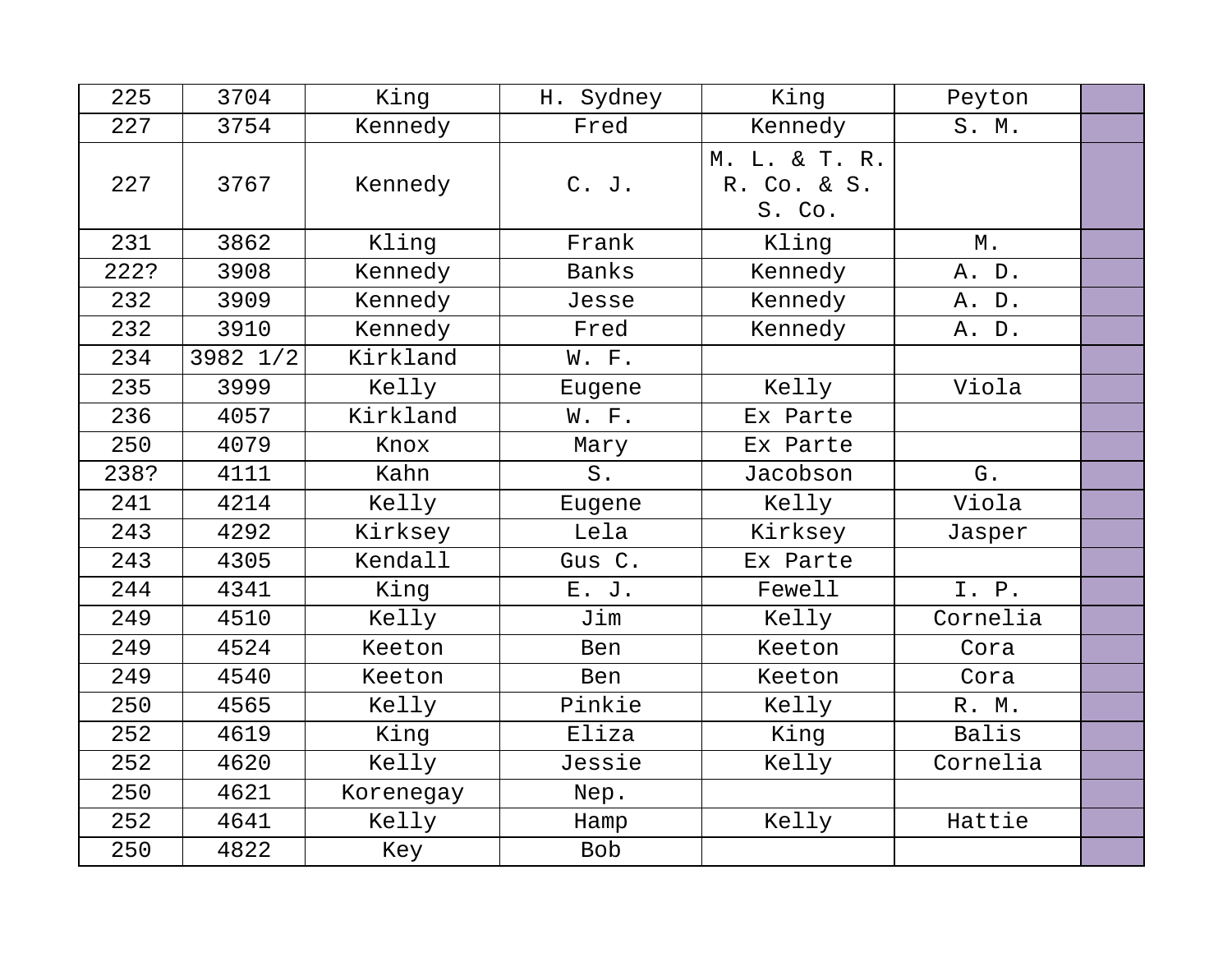| 225  | 3704     | King      | H. Sydney    | King                                   | Peyton   |  |
|------|----------|-----------|--------------|----------------------------------------|----------|--|
| 227  | 3754     | Kennedy   | Fred         | Kennedy                                | S. M.    |  |
| 227  | 3767     | Kennedy   | C. J.        | M. L. & T. R.<br>R. Co. & S.<br>S. Co. |          |  |
| 231  | 3862     | Kling     | Frank        | Kling                                  | М.       |  |
| 222? | 3908     | Kennedy   | <b>Banks</b> | Kennedy                                | A. D.    |  |
| 232  | 3909     | Kennedy   | Jesse        | Kennedy                                | A. D.    |  |
| 232  | 3910     | Kennedy   | Fred         | Kennedy                                | A. D.    |  |
| 234  | 3982 1/2 | Kirkland  | W. F.        |                                        |          |  |
| 235  | 3999     | Kelly     | Eugene       | Kelly                                  | Viola    |  |
| 236  | 4057     | Kirkland  | W. F.        | Ex Parte                               |          |  |
| 250  | 4079     | Knox      | Mary         | Ex Parte                               |          |  |
| 238? | 4111     | Kahn      | $S$ .        | Jacobson                               | G.       |  |
| 241  | 4214     | Kelly     | Eugene       | Kelly                                  | Viola    |  |
| 243  | 4292     | Kirksey   | Lela         | Kirksey                                | Jasper   |  |
| 243  | 4305     | Kendall   | Gus C.       | Ex Parte                               |          |  |
| 244  | 4341     | King      | E. J.        | Fewell                                 | I. P.    |  |
| 249  | 4510     | Kelly     | Jim          | Kelly                                  | Cornelia |  |
| 249  | 4524     | Keeton    | Ben          | Keeton                                 | Cora     |  |
| 249  | 4540     | Keeton    | Ben          | Keeton                                 | Cora     |  |
| 250  | 4565     | Kelly     | Pinkie       | Kelly                                  | R. M.    |  |
| 252  | 4619     | King      | Eliza        | King                                   | Balis    |  |
| 252  | 4620     | Kelly     | Jessie       | Kelly                                  | Cornelia |  |
| 250  | 4621     | Korenegay | Nep.         |                                        |          |  |
| 252  | 4641     | Kelly     | Hamp         | Kelly                                  | Hattie   |  |
| 250  | 4822     | Key       | <b>Bob</b>   |                                        |          |  |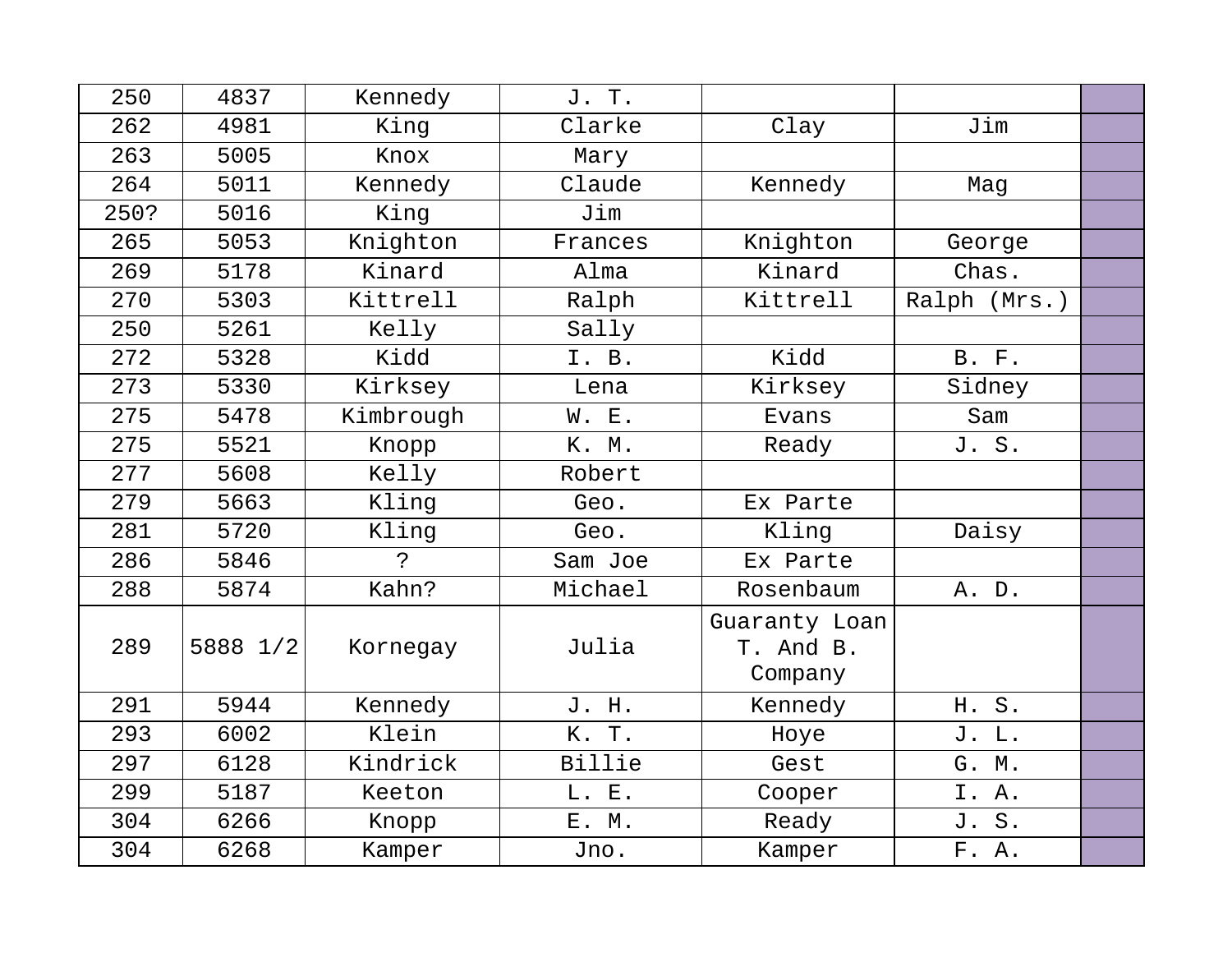| 250  | 4837     | Kennedy      | J. T.   |                                       |              |  |
|------|----------|--------------|---------|---------------------------------------|--------------|--|
| 262  | 4981     | King         | Clarke  | Clay                                  | Jim          |  |
| 263  | 5005     | Knox         | Mary    |                                       |              |  |
| 264  | 5011     | Kennedy      | Claude  | Kennedy                               | Mag          |  |
| 250? | 5016     | King         | Jim     |                                       |              |  |
| 265  | 5053     | Knighton     | Frances | Knighton                              | George       |  |
| 269  | 5178     | Kinard       | Alma    | Kinard                                | Chas.        |  |
| 270  | 5303     | Kittrell     | Ralph   | Kittrell                              | Ralph (Mrs.) |  |
| 250  | 5261     | Kelly        | Sally   |                                       |              |  |
| 272  | 5328     | Kidd         | I. B.   | Kidd                                  | <b>B.</b> F. |  |
| 273  | 5330     | Kirksey      | Lena    | Kirksey                               | Sidney       |  |
| 275  | 5478     | Kimbrough    | W. E.   | Evans                                 | Sam          |  |
| 275  | 5521     | Knopp        | K. M.   | Ready                                 | J. S.        |  |
| 277  | 5608     | Kelly        | Robert  |                                       |              |  |
| 279  | 5663     | Kling        | Geo.    | Ex Parte                              |              |  |
| 281  | 5720     | Kling        | Geo.    | Kling                                 | Daisy        |  |
| 286  | 5846     | $\mathbf{P}$ | Sam Joe | Ex Parte                              |              |  |
| 288  | 5874     | Kahn?        | Michael | Rosenbaum                             | A. D.        |  |
| 289  | 5888 1/2 | Kornegay     | Julia   | Guaranty Loan<br>T. And B.<br>Company |              |  |
| 291  | 5944     | Kennedy      | J. H.   | Kennedy                               | H. S.        |  |
| 293  | 6002     | Klein        | K. T.   | Hoye                                  | J. L.        |  |
| 297  | 6128     | Kindrick     | Billie  | Gest                                  | G. M.        |  |
| 299  | 5187     | Keeton       | L. E.   | Cooper                                | I. A.        |  |
| 304  | 6266     | Knopp        | E. M.   | Ready                                 | J. S.        |  |
| 304  | 6268     | Kamper       | Jno.    | Kamper                                | F. A.        |  |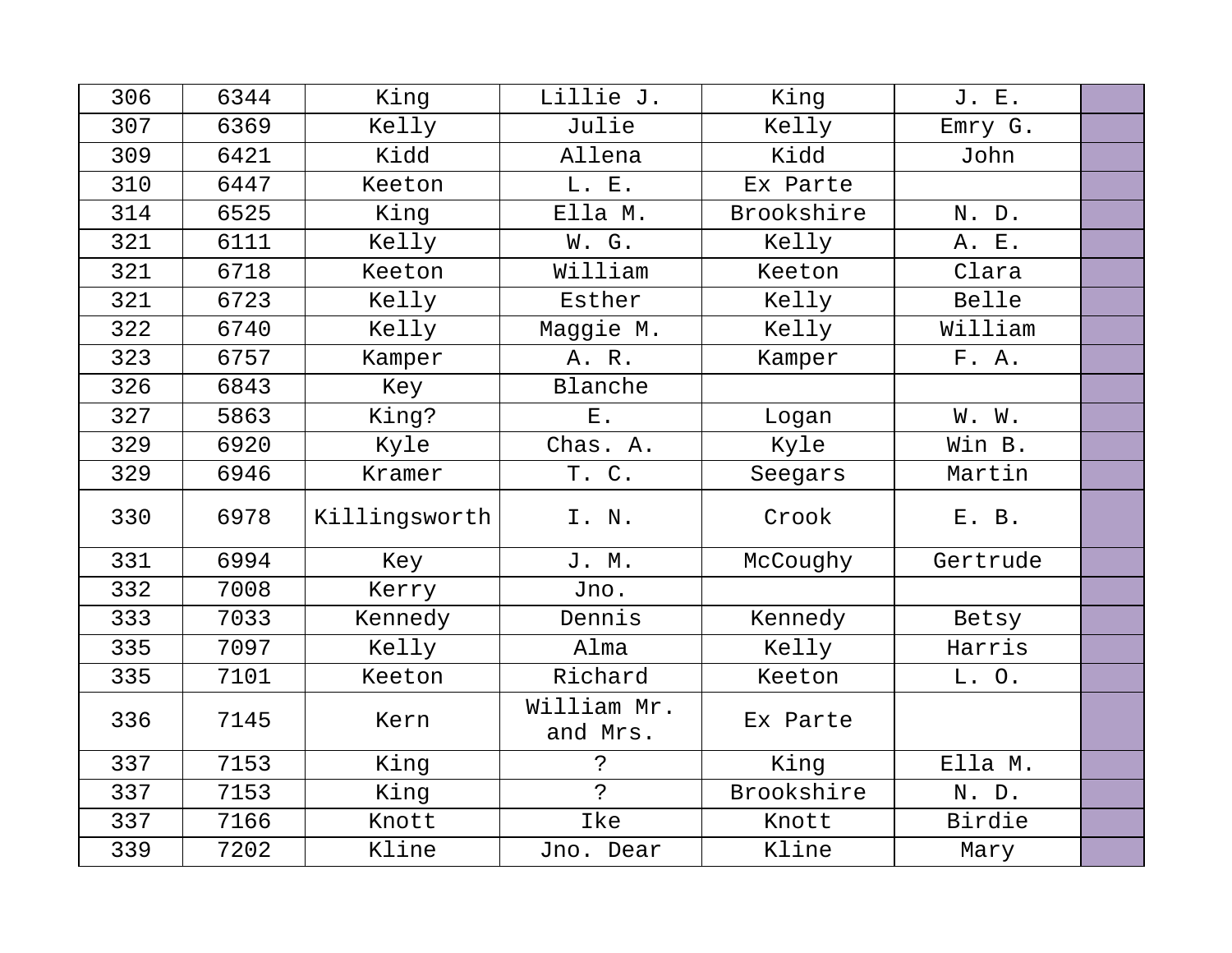| 306 | 6344 | King          | Lillie J.               | King       | J. E.    |  |
|-----|------|---------------|-------------------------|------------|----------|--|
| 307 | 6369 | Kelly         | Julie                   | Kelly      | Emry G.  |  |
| 309 | 6421 | Kidd          | Allena                  | Kidd       | John     |  |
| 310 | 6447 | Keeton        | L. E.                   | Ex Parte   |          |  |
| 314 | 6525 | King          | Ella M.                 | Brookshire | N. D.    |  |
| 321 | 6111 | Kelly         | W. G.                   | Kelly      | A. E.    |  |
| 321 | 6718 | Keeton        | William                 | Keeton     | Clara    |  |
| 321 | 6723 | Kelly         | Esther                  | Kelly      | Belle    |  |
| 322 | 6740 | Kelly         | Maggie M.               | Kelly      | William  |  |
| 323 | 6757 | Kamper        | A. R.                   | Kamper     | F. A.    |  |
| 326 | 6843 | Key           | Blanche                 |            |          |  |
| 327 | 5863 | King?         | ${\bf E}$ .             | Logan      | W. W.    |  |
| 329 | 6920 | Kyle          | Chas. A.                | Kyle       | Win B.   |  |
| 329 | 6946 | Kramer        | T. C.                   | Seegars    | Martin   |  |
| 330 | 6978 | Killingsworth | I. N.                   | Crook      | E. B.    |  |
| 331 | 6994 | Key           | J. M.                   | McCoughy   | Gertrude |  |
| 332 | 7008 | Kerry         | Jno.                    |            |          |  |
| 333 | 7033 | Kennedy       | Dennis                  | Kennedy    | Betsy    |  |
| 335 | 7097 | Kelly         | Alma                    | Kelly      | Harris   |  |
| 335 | 7101 | Keeton        | Richard                 | Keeton     | L.O.     |  |
| 336 | 7145 | Kern          | William Mr.<br>and Mrs. | Ex Parte   |          |  |
| 337 | 7153 | King          | $\tilde{S}$             | King       | Ella M.  |  |
| 337 | 7153 | King          | $\tilde{P}$             | Brookshire | N. D.    |  |
| 337 | 7166 | Knott         | Ike                     | Knott      | Birdie   |  |
| 339 | 7202 | Kline         | Jno. Dear               | Kline      | Mary     |  |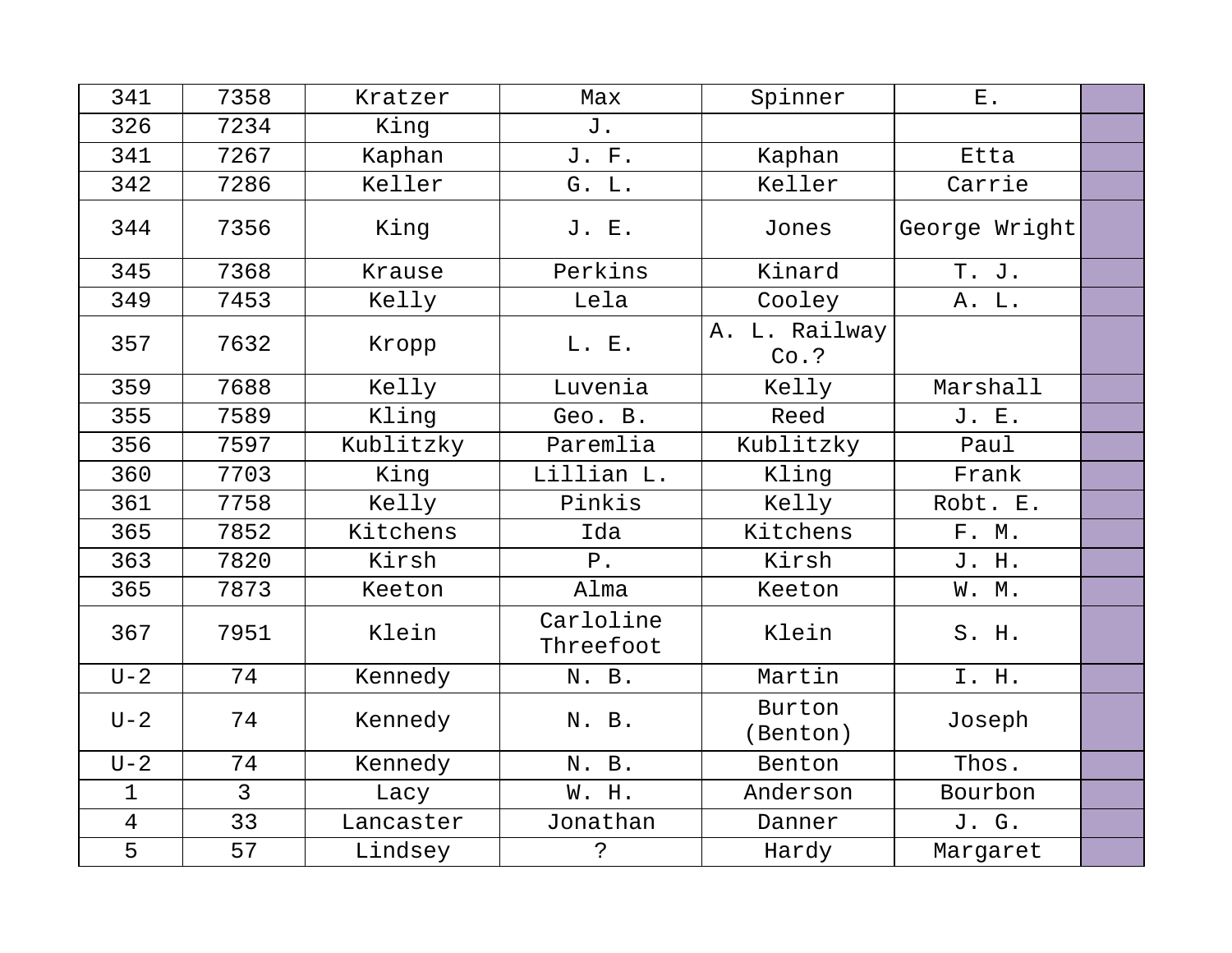| 341            | 7358           | Kratzer   | Max                    | Spinner                  | $E$ .         |  |
|----------------|----------------|-----------|------------------------|--------------------------|---------------|--|
| 326            | 7234           | King      | J.                     |                          |               |  |
| 341            | 7267           | Kaphan    | J. F.                  | Kaphan                   | Etta          |  |
| 342            | 7286           | Keller    | G. L.                  | Keller                   | Carrie        |  |
| 344            | 7356           | King      | J. E.                  | Jones                    | George Wright |  |
| 345            | 7368           | Krause    | Perkins                | Kinard                   | T. J.         |  |
| 349            | 7453           | Kelly     | Lela                   | Cooley                   | A. L.         |  |
| 357            | 7632           | Kropp     | L. E.                  | A. L. Railway<br>$Co.$ ? |               |  |
| 359            | 7688           | Kelly     | Luvenia                | Kelly                    | Marshall      |  |
| 355            | 7589           | Kling     | Geo. B.                | Reed                     | J. E.         |  |
| 356            | 7597           | Kublitzky | Paremlia               | Kublitzky                | Paul          |  |
| 360            | 7703           | King      | Lillian L.             | Kling                    | Frank         |  |
| 361            | 7758           | Kelly     | Pinkis                 | Kelly                    | Robt. E.      |  |
| 365            | 7852           | Kitchens  | Ida                    | Kitchens                 | F. M.         |  |
| 363            | 7820           | Kirsh     | ${\tt P}$ .            | Kirsh                    | J. H.         |  |
| 365            | 7873           | Keeton    | Alma                   | Keeton                   | W. M.         |  |
| 367            | 7951           | Klein     | Carloline<br>Threefoot | Klein                    | S. H.         |  |
| $U-2$          | 74             | Kennedy   | N. B.                  | Martin                   | I. H.         |  |
| $U-2$          | 74             | Kennedy   | N. B.                  | Burton<br>(Benton)       | Joseph        |  |
| $U-2$          | 74             | Kennedy   | N. B.                  | Benton                   | Thos.         |  |
| $\mathbf 1$    | $\overline{3}$ | Lacy      | W. H.                  | Anderson                 | Bourbon       |  |
| $\overline{4}$ | 33             | Lancaster | Jonathan               | Danner                   | J. G.         |  |
| 5              | 57             | Lindsey   | $\ddot{\cdot}$         | Hardy                    | Margaret      |  |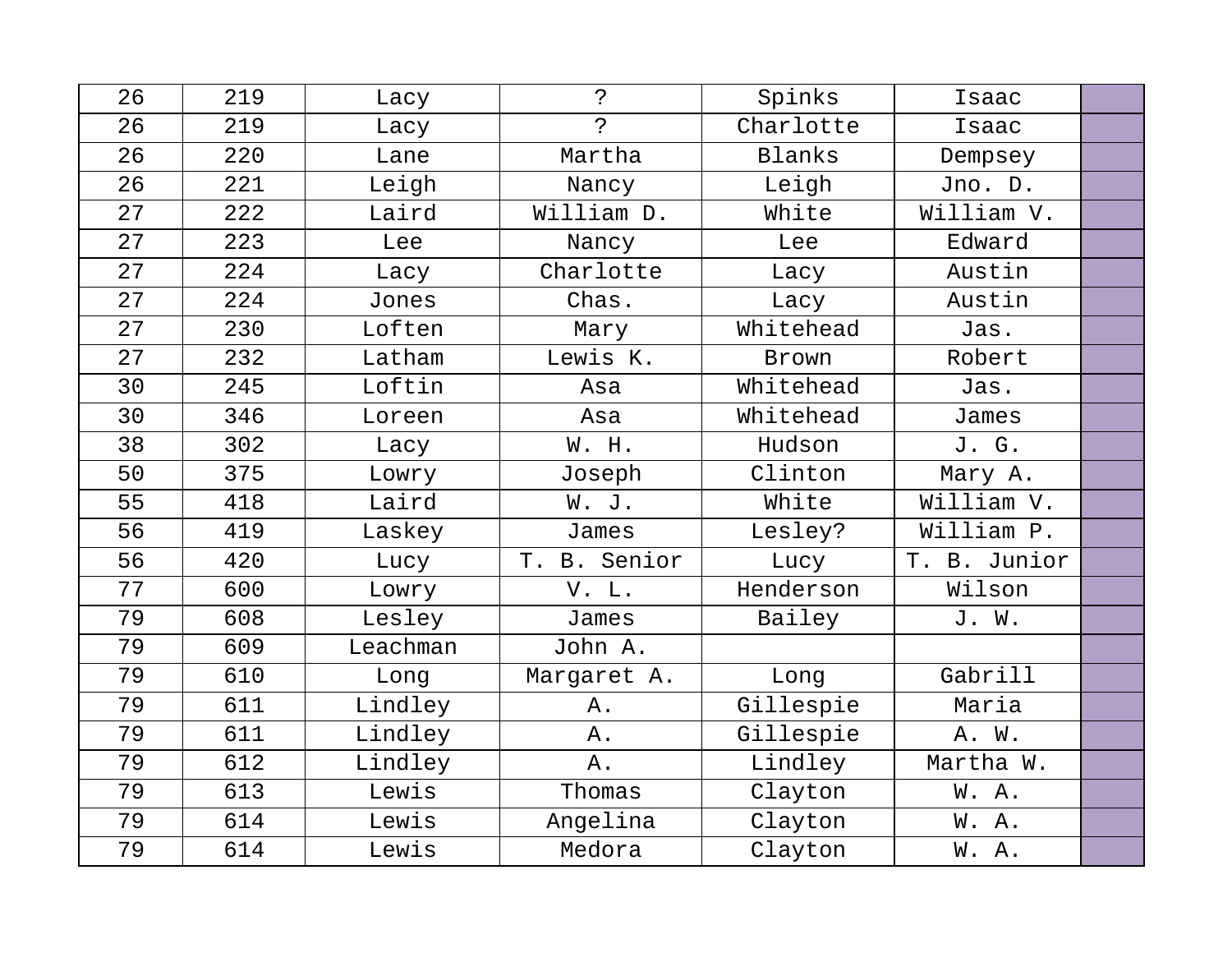| 26 | 219 | Lacy     | $\ddot{ }$   | Spinks    | Isaac        |  |
|----|-----|----------|--------------|-----------|--------------|--|
| 26 | 219 | Lacy     | っ            | Charlotte | Isaac        |  |
| 26 | 220 | Lane     | Martha       | Blanks    | Dempsey      |  |
| 26 | 221 | Leigh    | Nancy        | Leigh     | Jno. D.      |  |
| 27 | 222 | Laird    | William D.   | White     | William V.   |  |
| 27 | 223 | Lee      | Nancy        | Lee       | Edward       |  |
| 27 | 224 | Lacy     | Charlotte    | Lacy      | Austin       |  |
| 27 | 224 | Jones    | Chas.        | Lacy      | Austin       |  |
| 27 | 230 | Loften   | Mary         | Whitehead | Jas.         |  |
| 27 | 232 | Latham   | Lewis K.     | Brown     | Robert       |  |
| 30 | 245 | Loftin   | Asa          | Whitehead | Jas.         |  |
| 30 | 346 | Loreen   | Asa          | Whitehead | James        |  |
| 38 | 302 | Lacy     | W. H.        | Hudson    | J. G.        |  |
| 50 | 375 | Lowry    | Joseph       | Clinton   | Mary A.      |  |
| 55 | 418 | Laird    | W. J.        | White     | William V.   |  |
| 56 | 419 | Laskey   | James        | Lesley?   | William P.   |  |
| 56 | 420 | Lucy     | T. B. Senior | Lucy      | T. B. Junior |  |
| 77 | 600 | Lowry    | V. L.        | Henderson | Wilson       |  |
| 79 | 608 | Lesley   | James        | Bailey    | J. W.        |  |
| 79 | 609 | Leachman | John A.      |           |              |  |
| 79 | 610 | Long     | Margaret A.  | Long      | Gabrill      |  |
| 79 | 611 | Lindley  | Α.           | Gillespie | Maria        |  |
| 79 | 611 | Lindley  | Α.           | Gillespie | A. W.        |  |
| 79 | 612 | Lindley  | Α.           | Lindley   | Martha W.    |  |
| 79 | 613 | Lewis    | Thomas       | Clayton   | W.A.         |  |
| 79 | 614 | Lewis    | Angelina     | Clayton   | W. A.        |  |
| 79 | 614 | Lewis    | Medora       | Clayton   | W. A.        |  |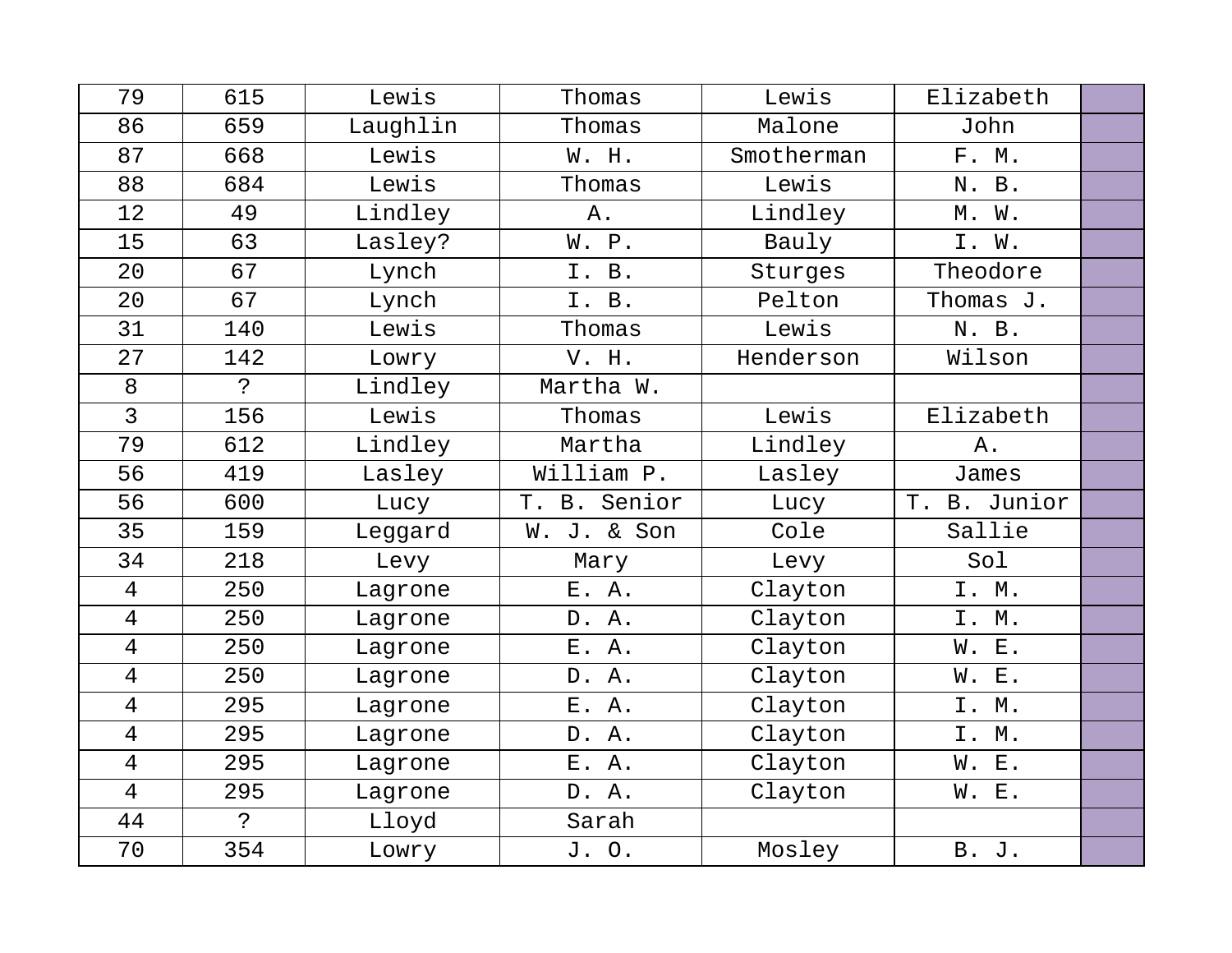| 79             | 615          | Lewis    | Thomas       | Lewis      | Elizabeth    |  |
|----------------|--------------|----------|--------------|------------|--------------|--|
| 86             | 659          | Laughlin | Thomas       | Malone     | John         |  |
| 87             | 668          | Lewis    | W. H.        | Smotherman | F. M.        |  |
| 88             | 684          | Lewis    | Thomas       | Lewis      | N. B.        |  |
| 12             | 49           | Lindley  | Α.           | Lindley    | M. W.        |  |
| 15             | 63           | Lasley?  | W. P.        | Bauly      | I. W.        |  |
| 20             | 67           | Lynch    | I. B.        | Sturges    | Theodore     |  |
| 20             | 67           | Lynch    | I. B.        | Pelton     | Thomas J.    |  |
| 31             | 140          | Lewis    | Thomas       | Lewis      | N. B.        |  |
| 27             | 142          | Lowry    | V. H.        | Henderson  | Wilson       |  |
| 8              | $\mathbf{P}$ | Lindley  | Martha W.    |            |              |  |
| $\overline{3}$ | 156          | Lewis    | Thomas       | Lewis      | Elizabeth    |  |
| 79             | 612          | Lindley  | Martha       | Lindley    | Α.           |  |
| 56             | 419          | Lasley   | William P.   | Lasley     | James        |  |
| 56             | 600          | Lucy     | T. B. Senior | Lucy       | T. B. Junior |  |
| 35             | 159          | Leggard  | W. J. & Son  | Cole       | Sallie       |  |
| 34             | 218          | Levy     | Mary         | Levy       | Sol          |  |
| $\overline{4}$ | 250          | Lagrone  | E. A.        | Clayton    | I. M.        |  |
| 4              | 250          | Lagrone  | D. A.        | Clayton    | I. M.        |  |
| 4              | 250          | Lagrone  | E. A.        | Clayton    | W. E.        |  |
| 4              | 250          | Lagrone  | D. A.        | Clayton    | W. E.        |  |
| $\overline{4}$ | 295          | Lagrone  | E. A.        | Clayton    | I. M.        |  |
| 4              | 295          | Lagrone  | D. A.        | Clayton    | I. M.        |  |
| $\overline{4}$ | 295          | Lagrone  | E. A.        | Clayton    | W. E.        |  |
| $\overline{4}$ | 295          | Lagrone  | D. A.        | Clayton    | W. E.        |  |
| 44             | $\mathbf{S}$ | Lloyd    | Sarah        |            |              |  |
| 70             | 354          | Lowry    | J. O.        | Mosley     | B. J.        |  |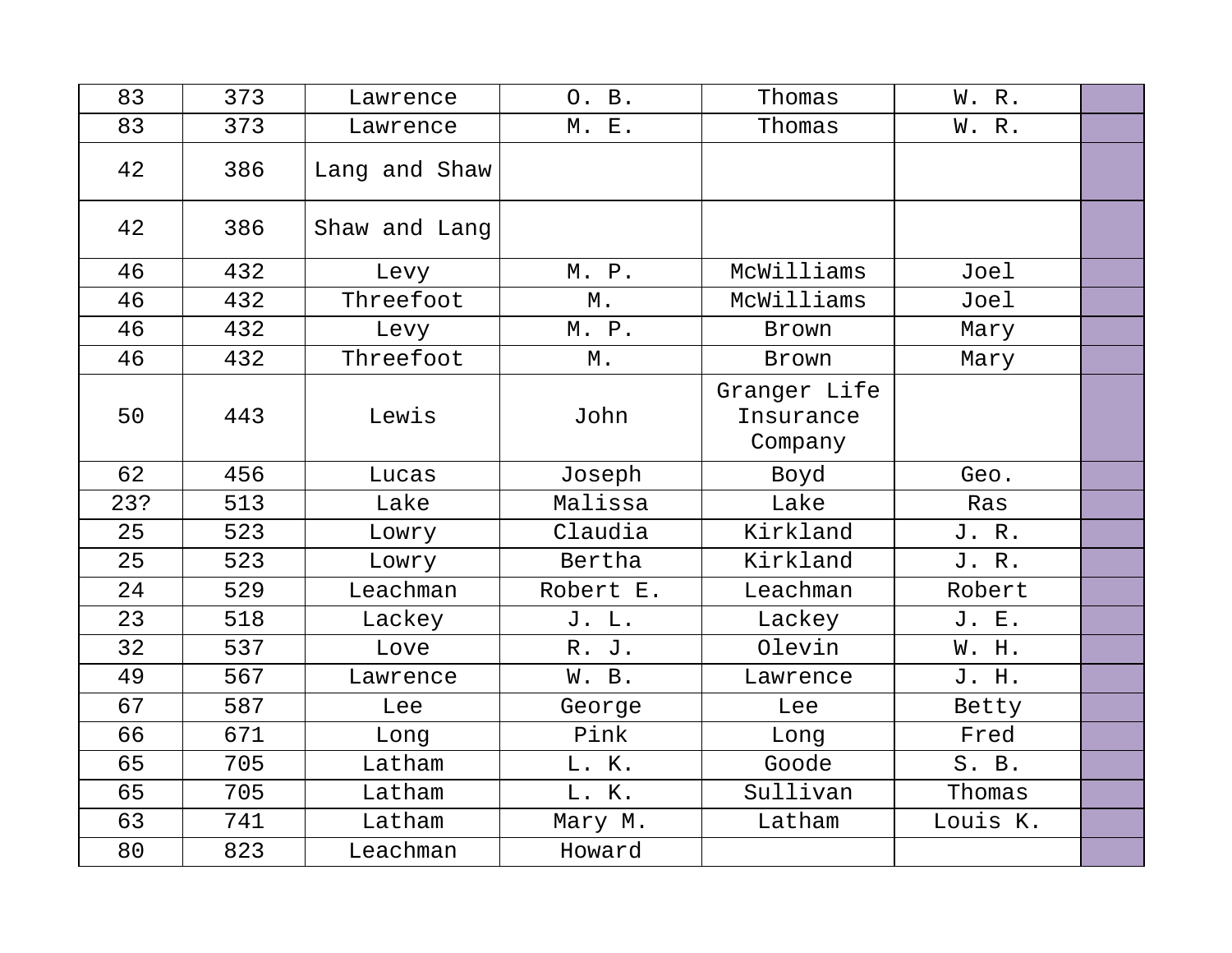| 83  | 373 | Lawrence      | O. B.             | Thomas                               | W. R.    |  |
|-----|-----|---------------|-------------------|--------------------------------------|----------|--|
| 83  | 373 | Lawrence      | M. E.             | Thomas                               | W. R.    |  |
| 42  | 386 | Lang and Shaw |                   |                                      |          |  |
| 42  | 386 | Shaw and Lang |                   |                                      |          |  |
| 46  | 432 | Levy          | M. P.             | McWilliams                           | Joel     |  |
| 46  | 432 | Threefoot     | $\mathbbmss{M}$ . | McWilliams                           | Joel     |  |
| 46  | 432 | Levy          | M. P.             | Brown                                | Mary     |  |
| 46  | 432 | Threefoot     | М.                | Brown                                | Mary     |  |
| 50  | 443 | Lewis         | John              | Granger Life<br>Insurance<br>Company |          |  |
| 62  | 456 | Lucas         | Joseph            | Boyd                                 | Geo.     |  |
| 23? | 513 | Lake          | Malissa           | Lake                                 | Ras      |  |
| 25  | 523 | Lowry         | Claudia           | Kirkland                             | J. R.    |  |
| 25  | 523 | Lowry         | Bertha            | Kirkland                             | J. R.    |  |
| 24  | 529 | Leachman      | Robert E.         | Leachman                             | Robert   |  |
| 23  | 518 | Lackey        | J. L.             | Lackey                               | J. E.    |  |
| 32  | 537 | Love          | R. J.             | Olevin                               | W. H.    |  |
| 49  | 567 | Lawrence      | W. B.             | Lawrence                             | J. H.    |  |
| 67  | 587 | Lee           | George            | Lee                                  | Betty    |  |
| 66  | 671 | Long          | Pink              | Long                                 | Fred     |  |
| 65  | 705 | Latham        | L. K.             | Goode                                | S. B.    |  |
| 65  | 705 | Latham        | L. K.             | Sullivan                             | Thomas   |  |
| 63  | 741 | Latham        | Mary M.           | Latham                               | Louis K. |  |
| 80  | 823 | Leachman      | Howard            |                                      |          |  |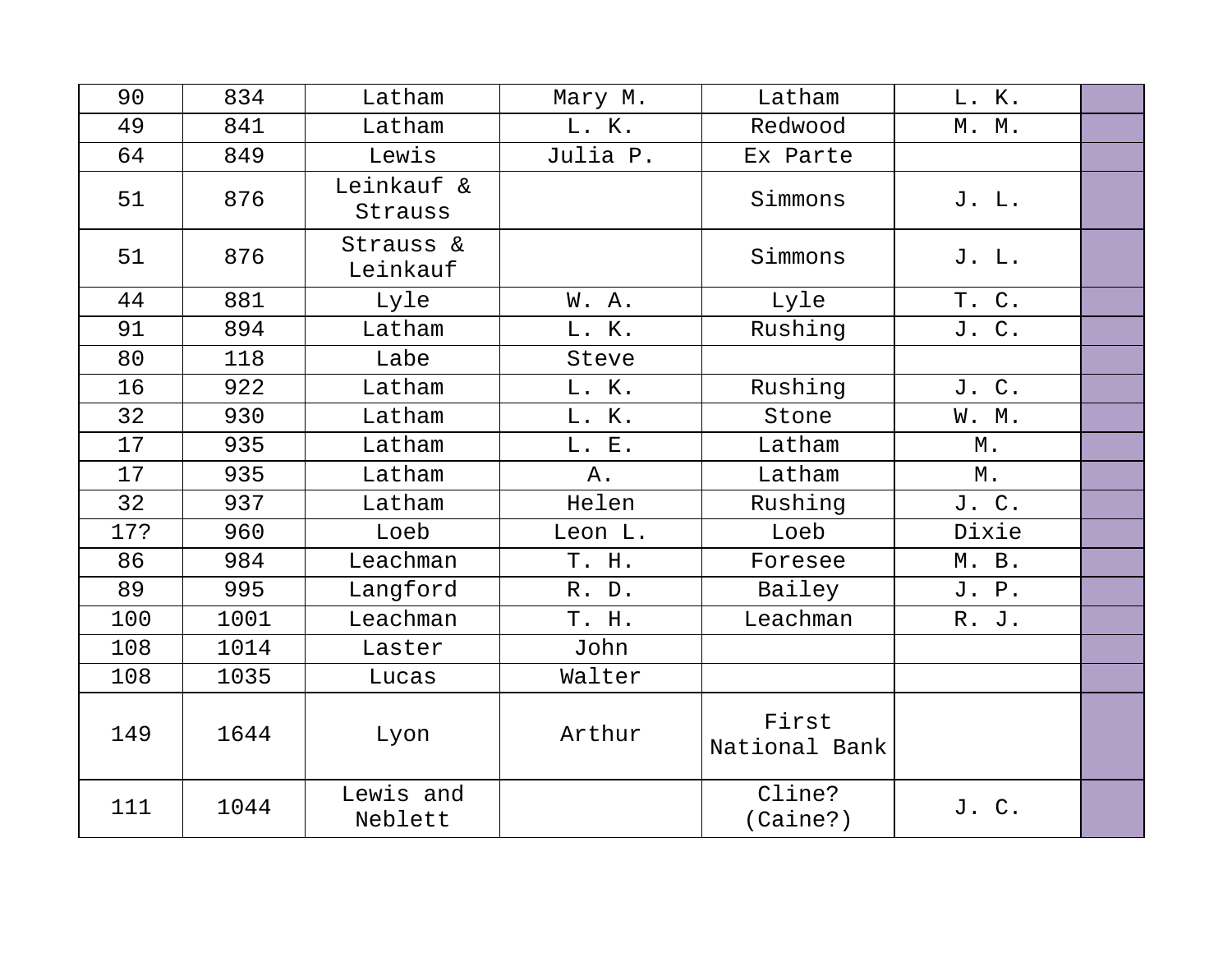| 90  | 834  | Latham                | Mary M.  | Latham                 | L. K. |  |
|-----|------|-----------------------|----------|------------------------|-------|--|
| 49  | 841  | Latham                | L. K.    | Redwood                | M. M. |  |
| 64  | 849  | Lewis                 | Julia P. | Ex Parte               |       |  |
| 51  | 876  | Leinkauf &<br>Strauss |          | Simmons                | J. L. |  |
| 51  | 876  | Strauss &<br>Leinkauf |          | Simmons                | J. L. |  |
| 44  | 881  | Lyle                  | W. A.    | Lyle                   | T. C. |  |
| 91  | 894  | Latham                | L. K.    | Rushing                | J. C. |  |
| 80  | 118  | Labe                  | Steve    |                        |       |  |
| 16  | 922  | Latham                | L. K.    | Rushing                | J. C. |  |
| 32  | 930  | Latham                | L. K.    | Stone                  | W. M. |  |
| 17  | 935  | Latham                | L. E.    | Latham                 | М.    |  |
| 17  | 935  | Latham                | Α.       | Latham                 | М.    |  |
| 32  | 937  | Latham                | Helen    | Rushing                | J. C. |  |
| 17? | 960  | Loeb                  | Leon L.  | Loeb                   | Dixie |  |
| 86  | 984  | Leachman              | T. H.    | Foresee                | M. B. |  |
| 89  | 995  | Langford              | R. D.    | Bailey                 | J. P. |  |
| 100 | 1001 | Leachman              | T. H.    | Leachman               | R. J. |  |
| 108 | 1014 | Laster                | John     |                        |       |  |
| 108 | 1035 | Lucas                 | Walter   |                        |       |  |
| 149 | 1644 | Lyon                  | Arthur   | First<br>National Bank |       |  |
| 111 | 1044 | Lewis and<br>Neblett  |          | Cline?<br>(Caine?)     | J. C. |  |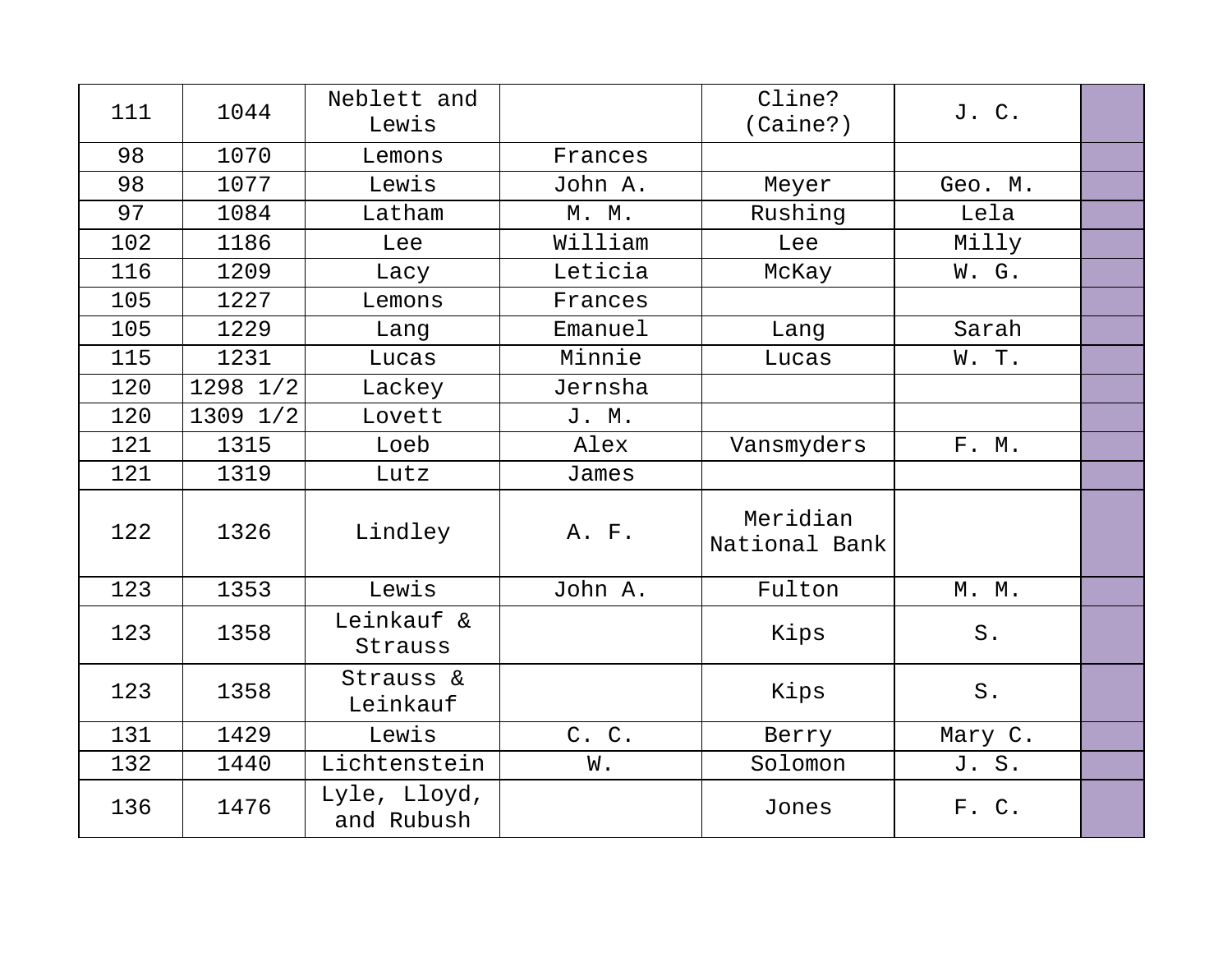| 111 | 1044     | Neblett and<br>Lewis       |         | Cline?<br>(Caine?)        | J. C.       |  |
|-----|----------|----------------------------|---------|---------------------------|-------------|--|
| 98  | 1070     | Lemons                     | Frances |                           |             |  |
| 98  | 1077     | Lewis                      | John A. | Meyer                     | Geo. M.     |  |
| 97  | 1084     | Latham                     | M. M.   | Rushing                   | Lela        |  |
| 102 | 1186     | Lee                        | William | Lee                       | Milly       |  |
| 116 | 1209     | Lacy                       | Leticia | McKay                     | W. G.       |  |
| 105 | 1227     | Lemons                     | Frances |                           |             |  |
| 105 | 1229     | Lang                       | Emanuel | Lang                      | Sarah       |  |
| 115 | 1231     | Lucas                      | Minnie  | Lucas                     | W. T.       |  |
| 120 | 1298 1/2 | Lackey                     | Jernsha |                           |             |  |
| 120 | 1309 1/2 | Lovett                     | J. M.   |                           |             |  |
| 121 | 1315     | Loeb                       | Alex    | Vansmyders                | F. M.       |  |
| 121 | 1319     | Lutz                       | James   |                           |             |  |
| 122 | 1326     | Lindley                    | A. F.   | Meridian<br>National Bank |             |  |
| 123 | 1353     | Lewis                      | John A. | Fulton                    | M. M.       |  |
| 123 | 1358     | Leinkauf &<br>Strauss      |         | Kips                      | ${\tt S}$ . |  |
| 123 | 1358     | Strauss &<br>Leinkauf      |         | Kips                      | $S$ .       |  |
| 131 | 1429     | Lewis                      | C. C.   | Berry                     | Mary C.     |  |
| 132 | 1440     | Lichtenstein               | W.      | Solomon                   | J. S.       |  |
| 136 | 1476     | Lyle, Lloyd,<br>and Rubush |         | Jones                     | F. C.       |  |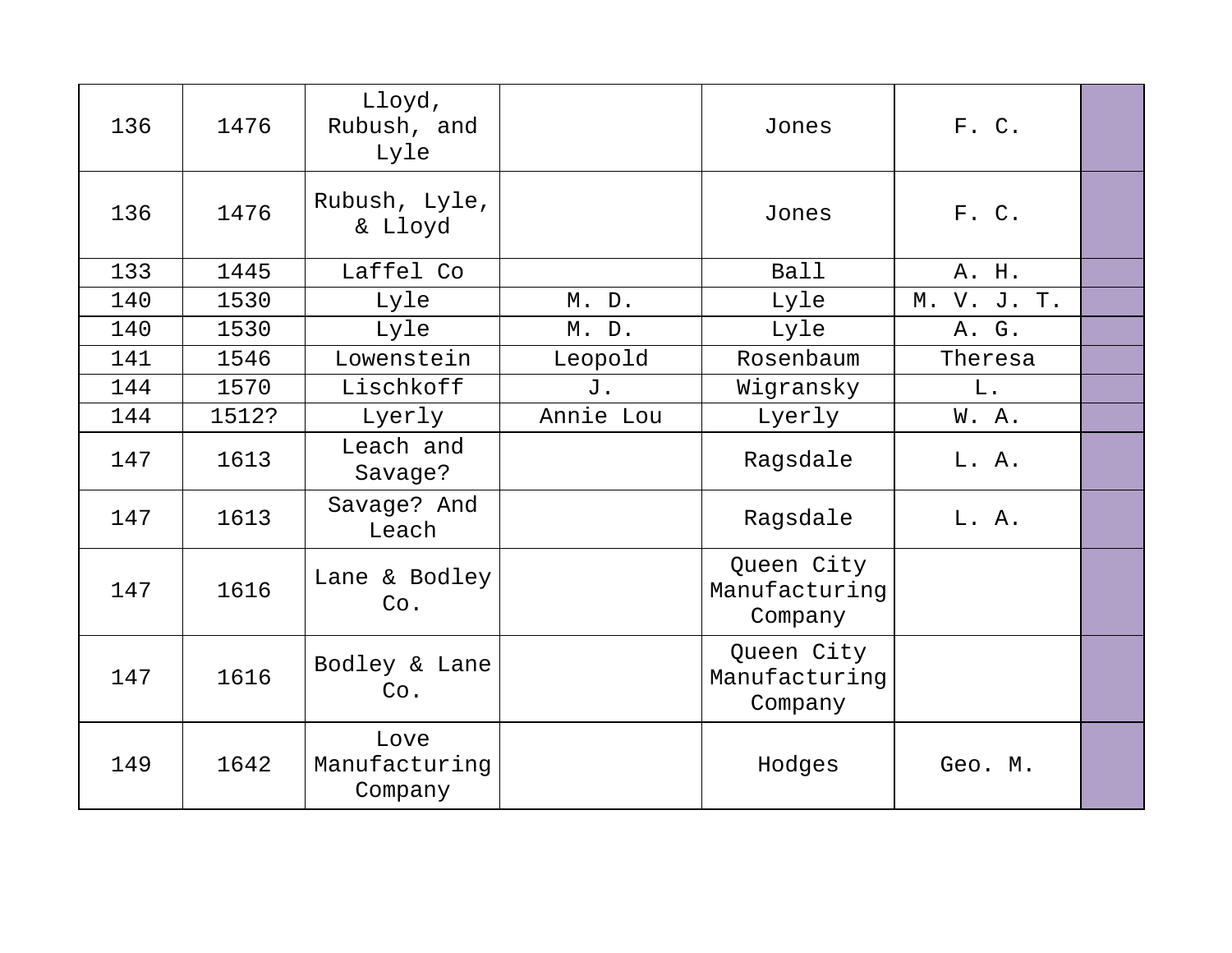| 136 | 1476  | Lloyd,<br>Rubush, and<br>Lyle    |           | Jones                                  | F. C.       |  |
|-----|-------|----------------------------------|-----------|----------------------------------------|-------------|--|
| 136 | 1476  | Rubush, Lyle,<br>& Lloyd         |           | Jones                                  | F. C.       |  |
| 133 | 1445  | Laffel Co                        |           | Ball                                   | A. H.       |  |
| 140 | 1530  | Lyle                             | M. D.     | Lyle                                   | M. V. J. T. |  |
| 140 | 1530  | Lyle                             | M. D.     | Lyle                                   | A. G.       |  |
| 141 | 1546  | Lowenstein                       | Leopold   | Rosenbaum                              | Theresa     |  |
| 144 | 1570  | Lischkoff                        | J.        | Wigransky                              | L.          |  |
| 144 | 1512? | Lyerly                           | Annie Lou | Lyerly                                 | W.A.        |  |
| 147 | 1613  | Leach and<br>Savage?             |           | Ragsdale                               | L. A.       |  |
| 147 | 1613  | Savage? And<br>Leach             |           | Ragsdale                               | L. A.       |  |
| 147 | 1616  | Lane & Bodley<br>Co.             |           | Queen City<br>Manufacturing<br>Company |             |  |
| 147 | 1616  | Bodley & Lane<br>Co.             |           | Queen City<br>Manufacturing<br>Company |             |  |
| 149 | 1642  | Love<br>Manufacturing<br>Company |           | Hodges                                 | Geo. M.     |  |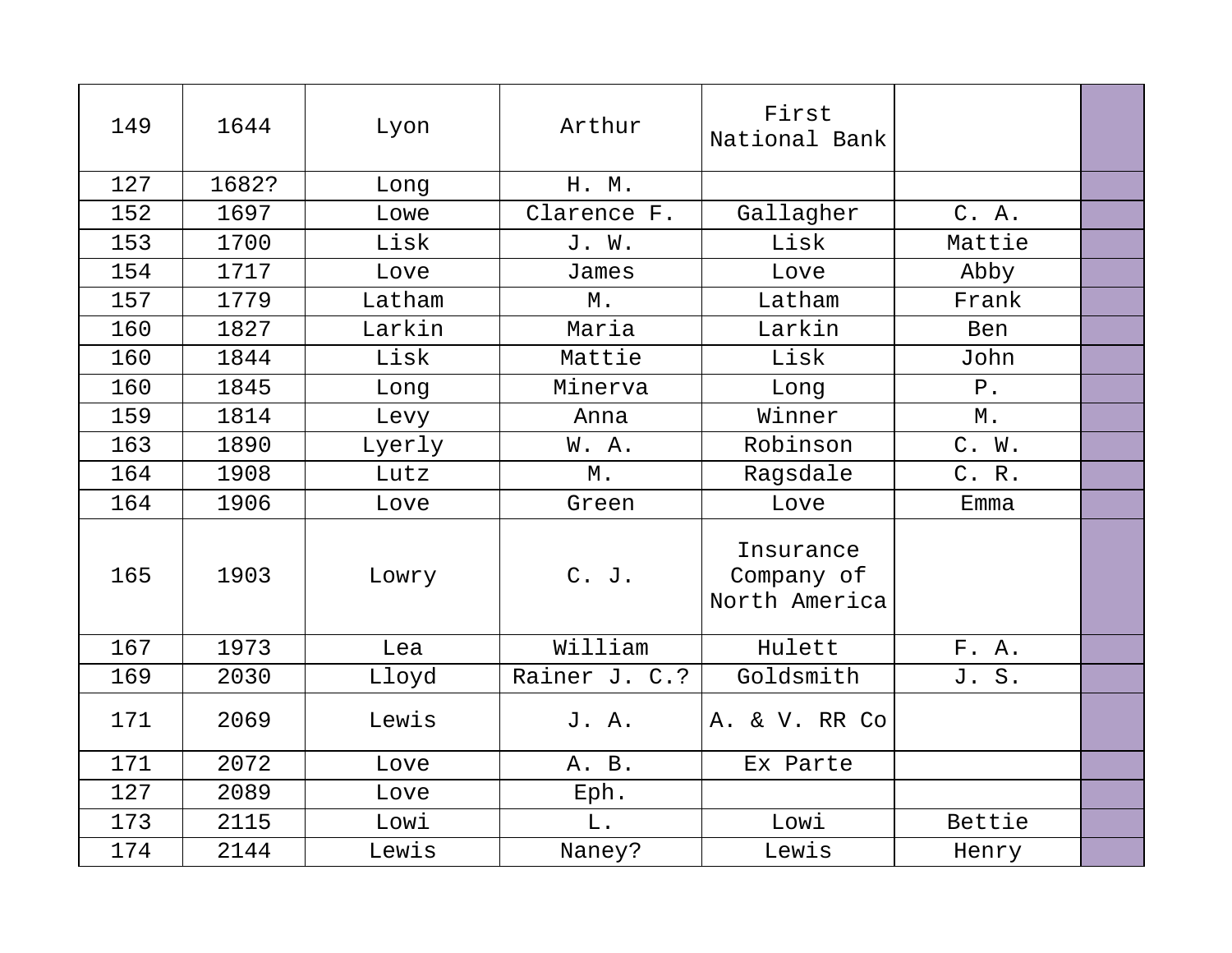| 149 | 1644  | Lyon   | Arthur        | First<br>National Bank                   |            |  |
|-----|-------|--------|---------------|------------------------------------------|------------|--|
| 127 | 1682? | Long   | H. M.         |                                          |            |  |
| 152 | 1697  | Lowe   | Clarence F.   | Gallagher                                | C. A.      |  |
| 153 | 1700  | Lisk   | J. W.         | Lisk                                     | Mattie     |  |
| 154 | 1717  | Love   | James         | Love                                     | Abby       |  |
| 157 | 1779  | Latham | $\mathbb M$ . | Latham                                   | Frank      |  |
| 160 | 1827  | Larkin | Maria         | Larkin                                   | <b>Ben</b> |  |
| 160 | 1844  | Lisk   | Mattie        | Lisk                                     | John       |  |
| 160 | 1845  | Long   | Minerva       | Long                                     | $P$ .      |  |
| 159 | 1814  | Levy   | Anna          | Winner                                   | М.         |  |
| 163 | 1890  | Lyerly | W.A.          | Robinson                                 | C. W.      |  |
| 164 | 1908  | Lutz   | Μ.            | Ragsdale                                 | C. R.      |  |
| 164 | 1906  | Love   | Green         | Love                                     | Emma       |  |
| 165 | 1903  | Lowry  | C. J.         | Insurance<br>Company of<br>North America |            |  |
| 167 | 1973  | Lea    | William       | Hulett                                   | F. A.      |  |
| 169 | 2030  | Lloyd  | Rainer J. C.? | Goldsmith                                | J. S.      |  |
| 171 | 2069  | Lewis  | J. A.         | A. & V. RR Co                            |            |  |
| 171 | 2072  | Love   | A. B.         | Ex Parte                                 |            |  |
| 127 | 2089  | Love   | Eph.          |                                          |            |  |
| 173 | 2115  | Lowi   | ${\bf L}$ .   | Lowi                                     | Bettie     |  |
| 174 | 2144  | Lewis  | Naney?        | Lewis                                    | Henry      |  |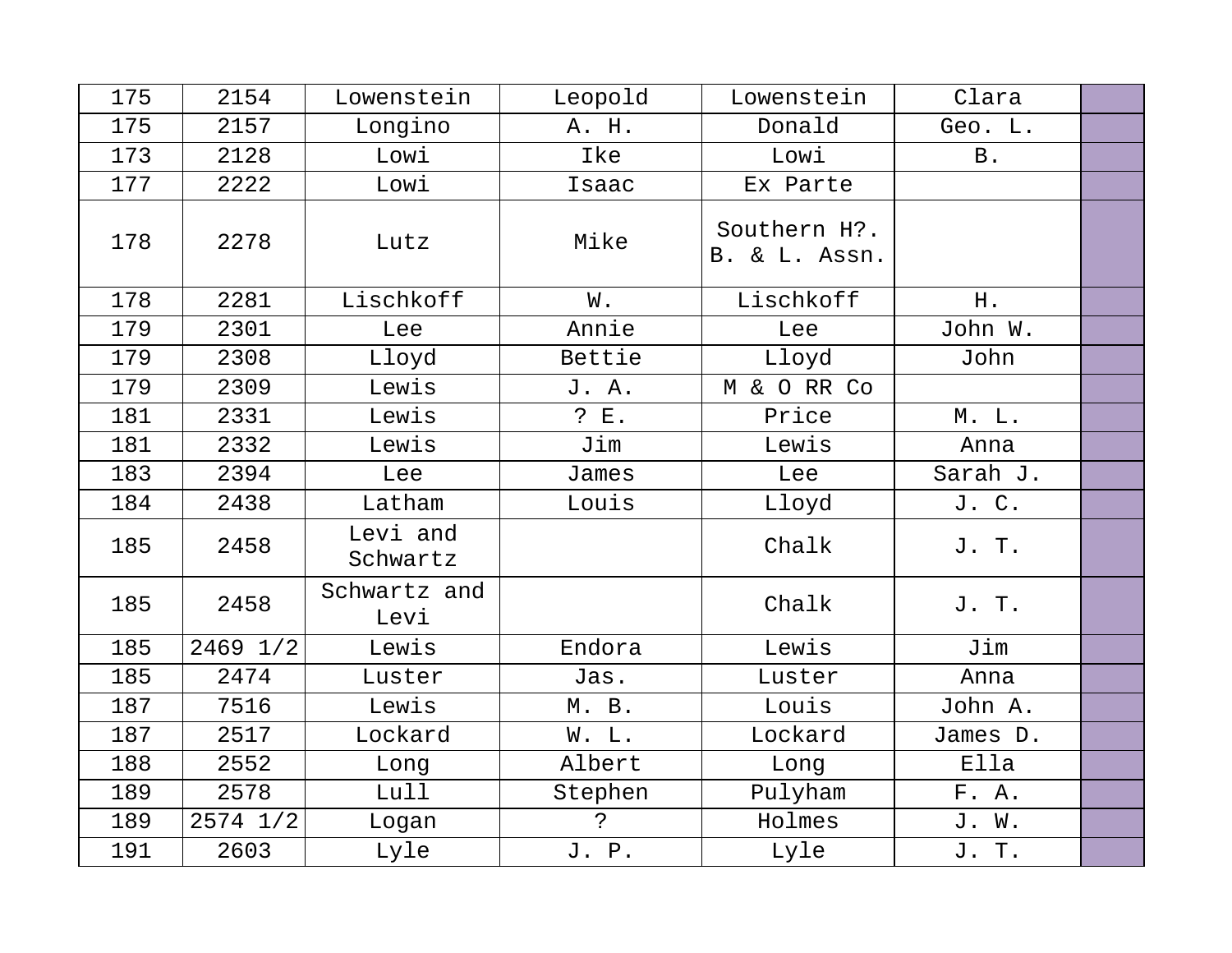| 175 | 2154     | Lowenstein           | Leopold     | Lowenstein                    | Clara      |  |
|-----|----------|----------------------|-------------|-------------------------------|------------|--|
| 175 | 2157     | Longino              | A. H.       | Donald                        | Geo. L.    |  |
| 173 | 2128     | Lowi                 | Ike         | Lowi                          | <b>B</b> . |  |
| 177 | 2222     | Lowi                 | Isaac       | Ex Parte                      |            |  |
| 178 | 2278     | Lutz                 | Mike        | Southern H?.<br>B. & L. Assn. |            |  |
| 178 | 2281     | Lischkoff            | W.          | Lischkoff                     | H.         |  |
| 179 | 2301     | Lee                  | Annie       | Lee                           | John W.    |  |
| 179 | 2308     | Lloyd                | Bettie      | Lloyd                         | John       |  |
| 179 | 2309     | Lewis                | J. A.       | M & O RR Co                   |            |  |
| 181 | 2331     | Lewis                | ? E.        | Price                         | M. L.      |  |
| 181 | 2332     | Lewis                | Jim         | Lewis                         | Anna       |  |
| 183 | 2394     | Lee                  | James       | Lee                           | Sarah J.   |  |
| 184 | 2438     | Latham               | Louis       | Lloyd                         | J. C.      |  |
| 185 | 2458     | Levi and<br>Schwartz |             | Chalk                         | J. T.      |  |
| 185 | 2458     | Schwartz and<br>Levi |             | Chalk                         | J. T.      |  |
| 185 | 2469 1/2 | Lewis                | Endora      | Lewis                         | Jim        |  |
| 185 | 2474     | Luster               | Jas.        | Luster                        | Anna       |  |
| 187 | 7516     | Lewis                | M. B.       | Louis                         | John A.    |  |
| 187 | 2517     | Lockard              | W. L.       | Lockard                       | James D.   |  |
| 188 | 2552     | Long                 | Albert      | Long                          | Ella       |  |
| 189 | 2578     | Lull                 | Stephen     | Pulyham                       | F. A.      |  |
| 189 | 2574 1/2 | Logan                | $\tilde{C}$ | Holmes                        | J. W.      |  |
| 191 | 2603     | Lyle                 | J. P.       | Lyle                          | J. T.      |  |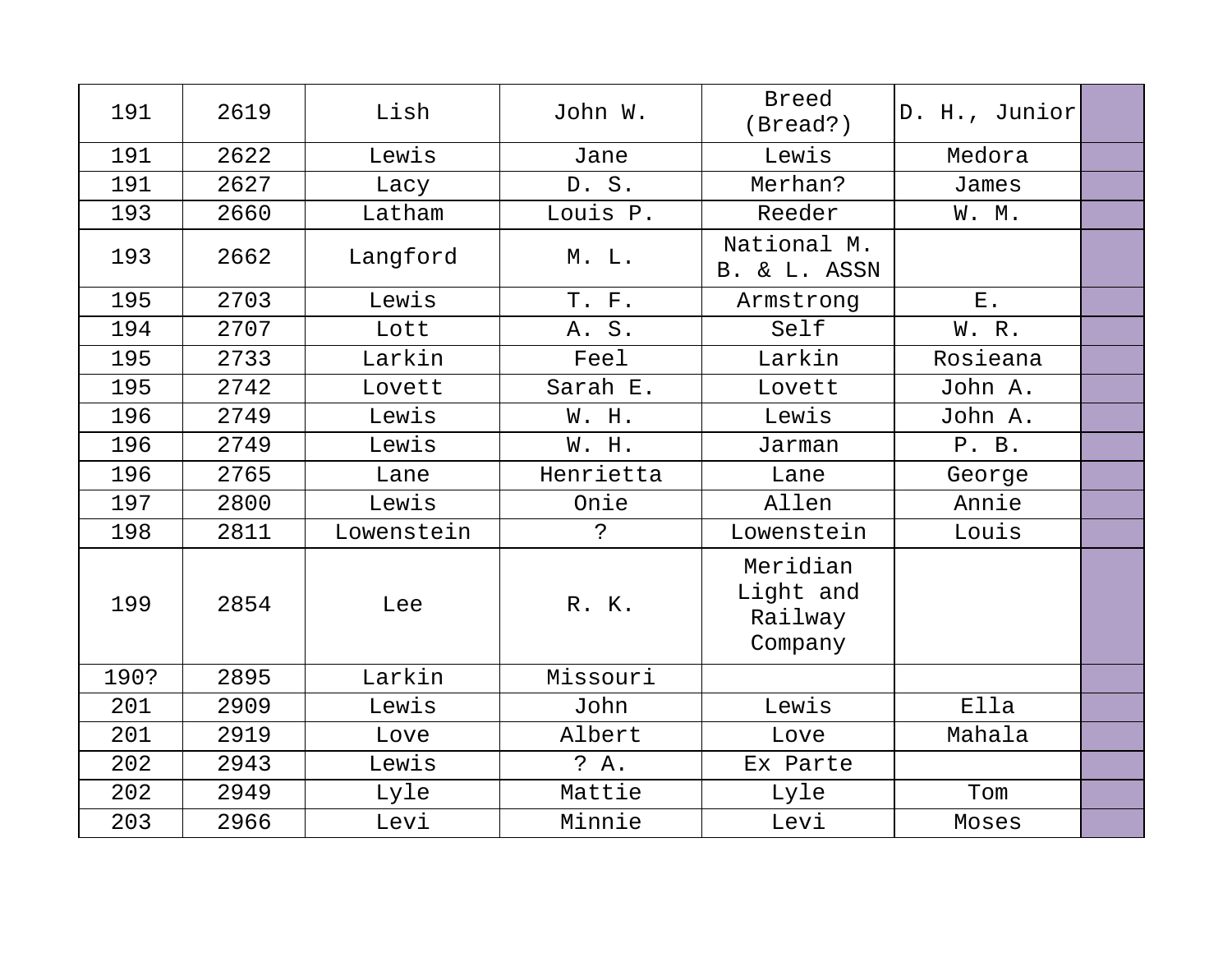| 191  | 2619 | Lish       | John W.     | <b>Breed</b><br>(Bread?)                    | D. H., Junior |  |
|------|------|------------|-------------|---------------------------------------------|---------------|--|
| 191  | 2622 | Lewis      | Jane        | Lewis                                       | Medora        |  |
| 191  | 2627 | Lacy       | D. S.       | Merhan?                                     | James         |  |
| 193  | 2660 | Latham     | Louis P.    | Reeder                                      | W. M.         |  |
| 193  | 2662 | Langford   | M. L.       | National M.<br>B. & L. ASSN                 |               |  |
| 195  | 2703 | Lewis      | T. F.       | Armstrong                                   | $E$ .         |  |
| 194  | 2707 | Lott       | $S$ .<br>Α. | Self                                        | W. R.         |  |
| 195  | 2733 | Larkin     | Feel        | Larkin                                      | Rosieana      |  |
| 195  | 2742 | Lovett     | Sarah E.    | Lovett                                      | John A.       |  |
| 196  | 2749 | Lewis      | W. H.       | Lewis                                       | John A.       |  |
| 196  | 2749 | Lewis      | W. H.       | Jarman                                      | P. B.         |  |
| 196  | 2765 | Lane       | Henrietta   | Lane                                        | George        |  |
| 197  | 2800 | Lewis      | Onie        | Allen                                       | Annie         |  |
| 198  | 2811 | Lowenstein | $\tilde{S}$ | Lowenstein                                  | Louis         |  |
| 199  | 2854 | Lee        | R. K.       | Meridian<br>Light and<br>Railway<br>Company |               |  |
| 190? | 2895 | Larkin     | Missouri    |                                             |               |  |
| 201  | 2909 | Lewis      | John        | Lewis                                       | Ella          |  |
| 201  | 2919 | Love       | Albert      | Love                                        | Mahala        |  |
| 202  | 2943 | Lewis      | ? A.        | Ex Parte                                    |               |  |
| 202  | 2949 | Lyle       | Mattie      | Lyle                                        | Tom           |  |
| 203  | 2966 | Levi       | Minnie      | Levi                                        | Moses         |  |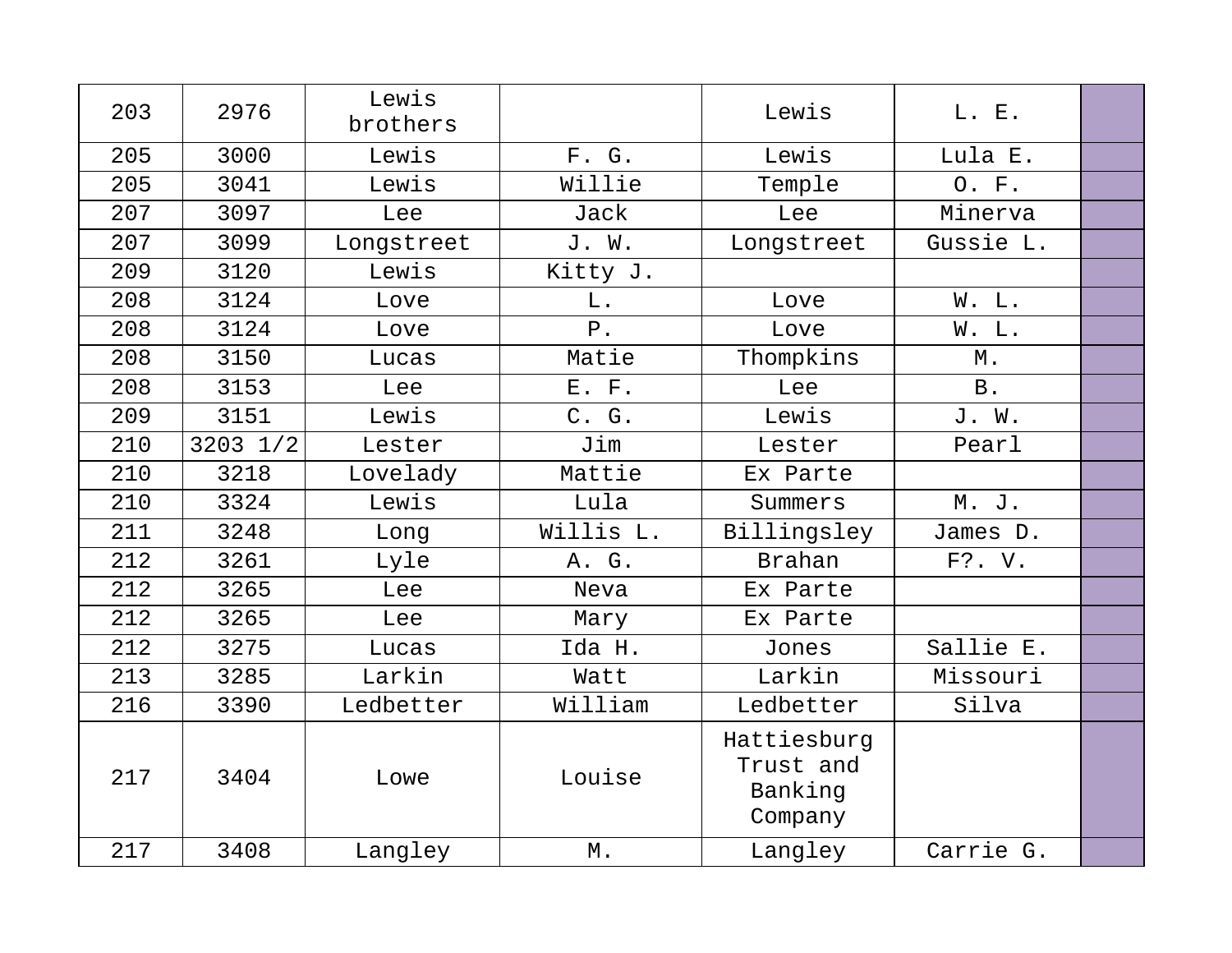| 203 | 2976         | Lewis      |           |                                                |            |  |
|-----|--------------|------------|-----------|------------------------------------------------|------------|--|
|     |              | brothers   |           | Lewis                                          | L. E.      |  |
| 205 | 3000         | Lewis      | F. G.     | Lewis                                          | Lula E.    |  |
| 205 | 3041         | Lewis      | Willie    | Temple                                         | O. F.      |  |
| 207 | 3097         | Lee        | Jack      | Lee                                            | Minerva    |  |
| 207 | 3099         | Longstreet | J. W.     | Longstreet                                     | Gussie L.  |  |
| 209 | 3120         | Lewis      | Kitty J.  |                                                |            |  |
| 208 | 3124         | Love       | L.        | Love                                           | W. L.      |  |
| 208 | 3124         | Love       | $P$ .     | Love                                           | W. L.      |  |
| 208 | 3150         | Lucas      | Matie     | Thompkins                                      | $M$ .      |  |
| 208 | 3153         | Lee        | E. F.     | Lee                                            | <b>B</b> . |  |
| 209 | 3151         | Lewis      | C. G.     | Lewis                                          | J. W.      |  |
| 210 | $3203$ $1/2$ | Lester     | Jim       | Lester                                         | Pearl      |  |
| 210 | 3218         | Lovelady   | Mattie    | Ex Parte                                       |            |  |
| 210 | 3324         | Lewis      | Lula      | Summers                                        | M. J.      |  |
| 211 | 3248         | Long       | Willis L. | Billingsley                                    | James D.   |  |
| 212 | 3261         | Lyle       | A. G.     | <b>Brahan</b>                                  | F?. V.     |  |
| 212 | 3265         | Lee        | Neva      | Ex Parte                                       |            |  |
| 212 | 3265         | Lee        | Mary      | Ex Parte                                       |            |  |
| 212 | 3275         | Lucas      | Ida H.    | Jones                                          | Sallie E.  |  |
| 213 | 3285         | Larkin     | Watt      | Larkin                                         | Missouri   |  |
| 216 | 3390         | Ledbetter  | William   | Ledbetter                                      | Silva      |  |
| 217 | 3404         | Lowe       | Louise    | Hattiesburg<br>Trust and<br>Banking<br>Company |            |  |
| 217 | 3408         | Langley    | М.        | Langley                                        | Carrie G.  |  |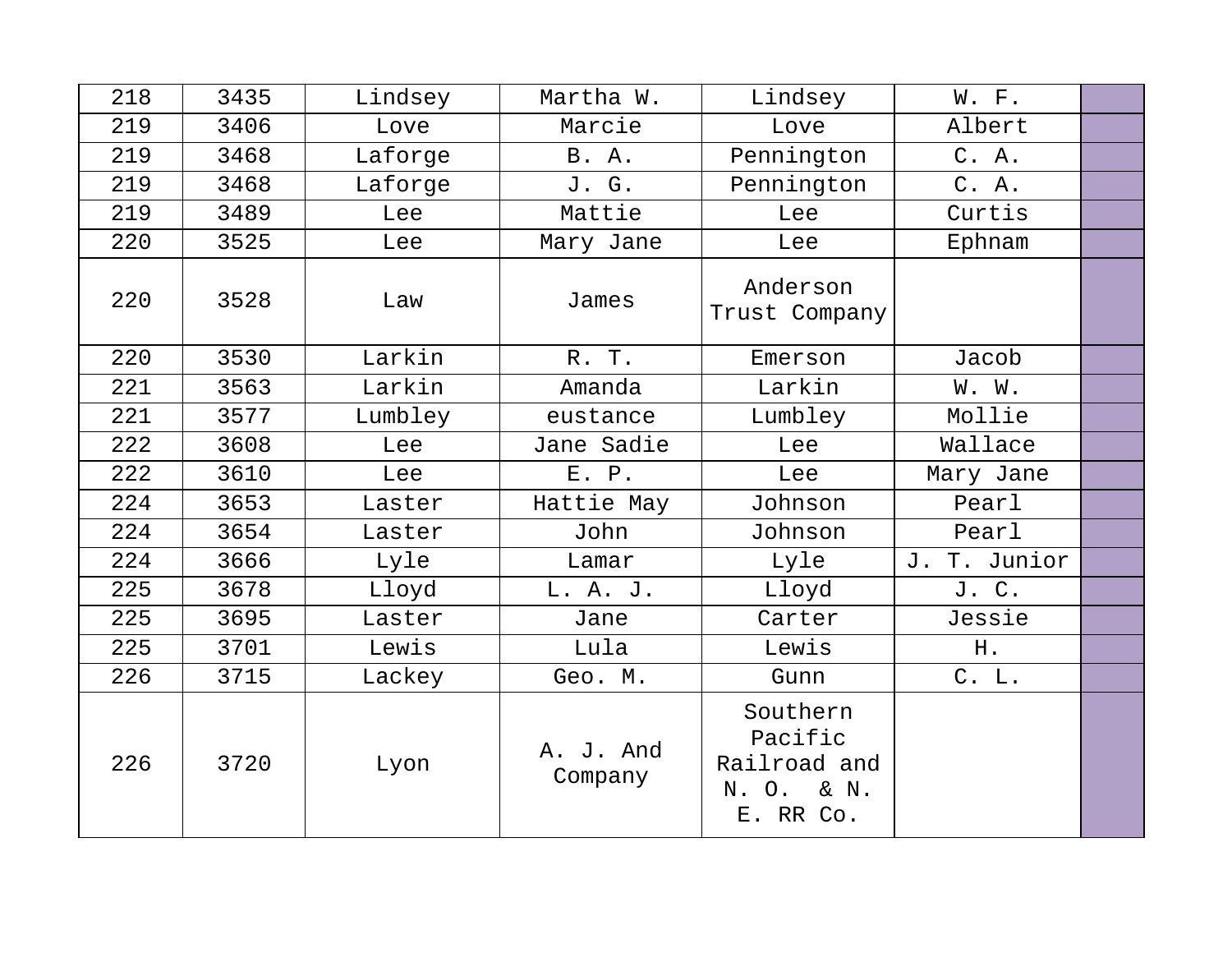| 218 | 3435 | Lindsey | Martha W.            | Lindsey                                                        | W. F.           |  |
|-----|------|---------|----------------------|----------------------------------------------------------------|-----------------|--|
| 219 | 3406 | Love    | Marcie               | Love                                                           | Albert          |  |
| 219 | 3468 | Laforge | B. A.                | Pennington                                                     | C. A.           |  |
| 219 | 3468 | Laforge | J. G.                | Pennington                                                     | C. A.           |  |
| 219 | 3489 | Lee     | Mattie               | Lee                                                            | Curtis          |  |
| 220 | 3525 | Lee     | Mary Jane            | Lee                                                            | Ephnam          |  |
| 220 | 3528 | Law     | James                | Anderson<br>Trust Company                                      |                 |  |
| 220 | 3530 | Larkin  | R. T.                | Emerson                                                        | Jacob           |  |
| 221 | 3563 | Larkin  | Amanda               | Larkin                                                         | W. W.           |  |
| 221 | 3577 | Lumbley | eustance             | Lumbley                                                        | Mollie          |  |
| 222 | 3608 | Lee     | Jane Sadie           | Lee                                                            | Wallace         |  |
| 222 | 3610 | Lee     | E. P.                | Lee                                                            | Mary Jane       |  |
| 224 | 3653 | Laster  | Hattie May           | Johnson                                                        | Pearl           |  |
| 224 | 3654 | Laster  | John                 | Johnson                                                        | Pearl           |  |
| 224 | 3666 | Lyle    | Lamar                | Lyle                                                           | T. Junior<br>J. |  |
| 225 | 3678 | Lloyd   | L. A. J.             | Lloyd                                                          | J. C.           |  |
| 225 | 3695 | Laster  | Jane                 | Carter                                                         | Jessie          |  |
| 225 | 3701 | Lewis   | Lula                 | Lewis                                                          | H.              |  |
| 226 | 3715 | Lackey  | Geo. M.              | Gunn                                                           | C. L.           |  |
| 226 | 3720 | Lyon    | A. J. And<br>Company | Southern<br>Pacific<br>Railroad and<br>N. O. & N.<br>E. RR Co. |                 |  |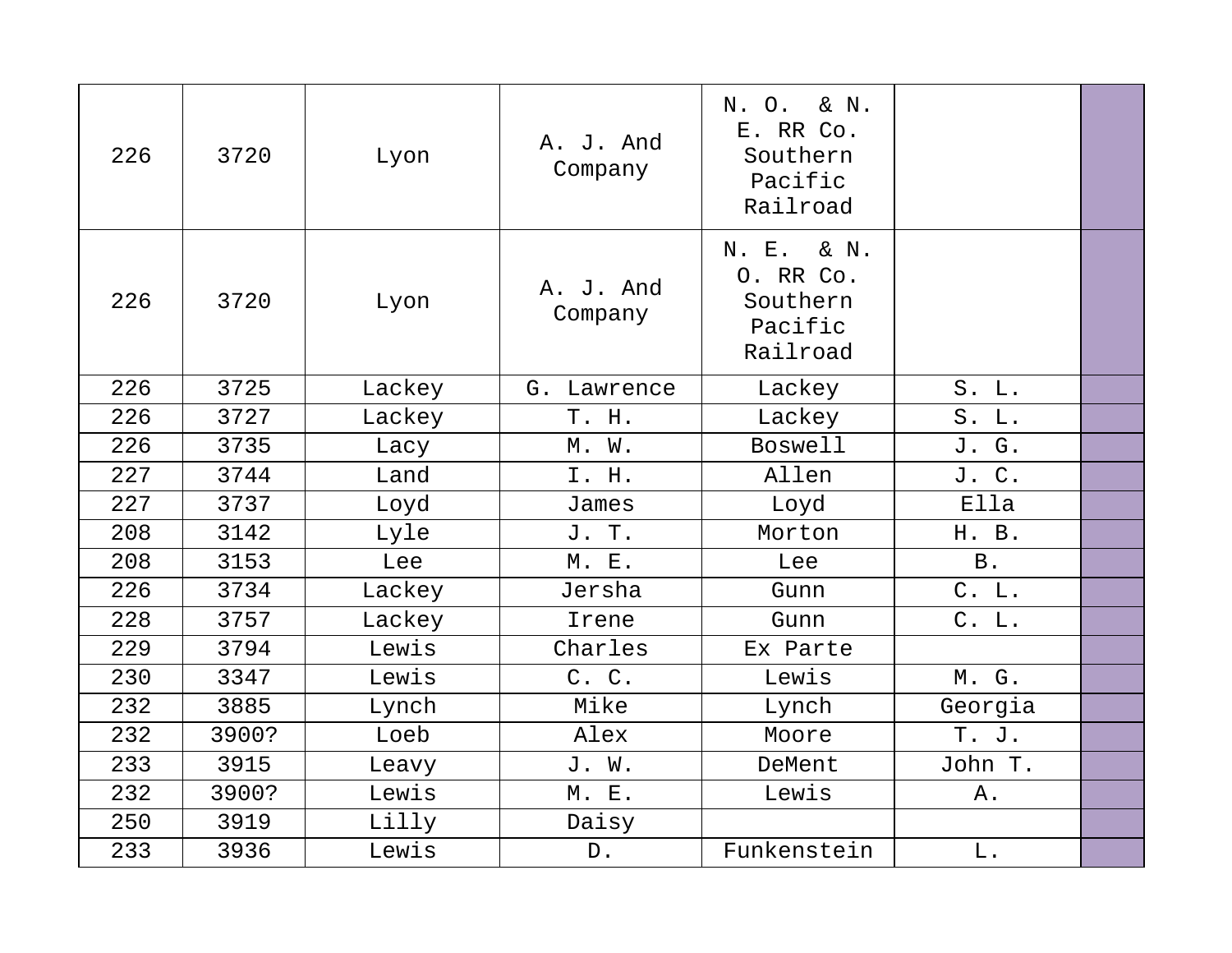| 226 | 3720  | Lyon   | A. J. And<br>Company | N. O.<br>& N.<br>E. RR Co.<br>Southern<br>Pacific<br>Railroad |            |  |
|-----|-------|--------|----------------------|---------------------------------------------------------------|------------|--|
| 226 | 3720  | Lyon   | A. J. And<br>Company | N. E.<br>& N.<br>O. RR Co.<br>Southern<br>Pacific<br>Railroad |            |  |
| 226 | 3725  | Lackey | G. Lawrence          | Lackey                                                        | S. L.      |  |
| 226 | 3727  | Lackey | T. H.                | Lackey                                                        | $S.$ L.    |  |
| 226 | 3735  | Lacy   | $M.$ $W.$            | <b>Boswell</b>                                                | J. G.      |  |
| 227 | 3744  | Land   | I. H.                | Allen                                                         | J. C.      |  |
| 227 | 3737  | Loyd   | James                | Loyd                                                          | Ella       |  |
| 208 | 3142  | Lyle   | J. T.                | Morton                                                        | H. B.      |  |
| 208 | 3153  | Lee    | M. E.                | Lee                                                           | <b>B</b> . |  |
| 226 | 3734  | Lackey | Jersha               | Gunn                                                          | C. L.      |  |
| 228 | 3757  | Lackey | Irene                | Gunn                                                          | C. L.      |  |
| 229 | 3794  | Lewis  | Charles              | Ex Parte                                                      |            |  |
| 230 | 3347  | Lewis  | C. C.                | Lewis                                                         | M. G.      |  |
| 232 | 3885  | Lynch  | Mike                 | Lynch                                                         | Georgia    |  |
| 232 | 3900? | Loeb   | Alex                 | Moore                                                         | T. J.      |  |
| 233 | 3915  | Leavy  | J. W.                | DeMent                                                        | John T.    |  |
| 232 | 3900? | Lewis  | M. E.                | Lewis                                                         | Α.         |  |
| 250 | 3919  | Lilly  | Daisy                |                                                               |            |  |
| 233 | 3936  | Lewis  | ${\mathbb D}$ .      | Funkenstein                                                   | $L$ .      |  |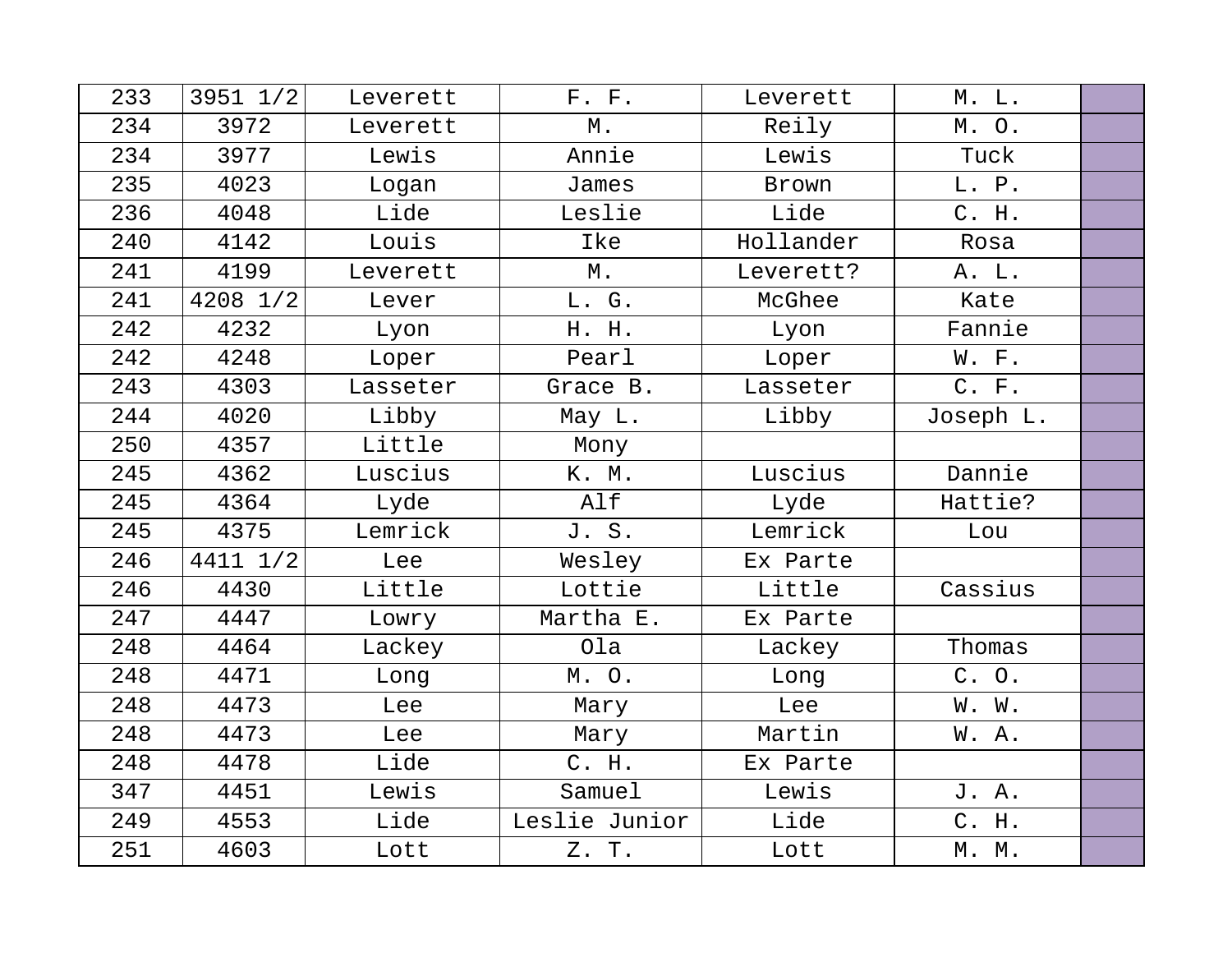| 233 | $3951$ $1/2$ | Leverett | F. F.         | Leverett  | M. L.     |  |
|-----|--------------|----------|---------------|-----------|-----------|--|
| 234 | 3972         | Leverett | М.            | Reily     | M. O.     |  |
| 234 | 3977         | Lewis    | Annie         | Lewis     | Tuck      |  |
| 235 | 4023         | Logan    | James         | Brown     | L. P.     |  |
| 236 | 4048         | Lide     | Leslie        | Lide      | C. H.     |  |
| 240 | 4142         | Louis    | Ike           | Hollander | Rosa      |  |
| 241 | 4199         | Leverett | $M$ .         | Leverett? | A. L.     |  |
| 241 | $4208$ $1/2$ | Lever    | L. G.         | McGhee    | Kate      |  |
| 242 | 4232         | Lyon     | H. H.         | Lyon      | Fannie    |  |
| 242 | 4248         | Loper    | Pearl         | Loper     | W. F.     |  |
| 243 | 4303         | Lasseter | Grace B.      | Lasseter  | C. F.     |  |
| 244 | 4020         | Libby    | May L.        | Libby     | Joseph L. |  |
| 250 | 4357         | Little   | Mony          |           |           |  |
| 245 | 4362         | Luscius  | K. M.         | Luscius   | Dannie    |  |
| 245 | 4364         | Lyde     | Alf           | Lyde      | Hattie?   |  |
| 245 | 4375         | Lemrick  | J. S.         | Lemrick   | Lou       |  |
| 246 | 4411 1/2     | Lee      | Wesley        | Ex Parte  |           |  |
| 246 | 4430         | Little   | Lottie        | Little    | Cassius   |  |
| 247 | 4447         | Lowry    | Martha E.     | Ex Parte  |           |  |
| 248 | 4464         | Lackey   | Ola           | Lackey    | Thomas    |  |
| 248 | 4471         | Long     | M.O.          | Long      | C. O.     |  |
| 248 | 4473         | Lee      | Mary          | Lee       | W. W.     |  |
| 248 | 4473         | Lee      | Mary          | Martin    | W.A.      |  |
| 248 | 4478         | Lide     | C. H.         | Ex Parte  |           |  |
| 347 | 4451         | Lewis    | Samuel        | Lewis     | J. A.     |  |
| 249 | 4553         | Lide     | Leslie Junior | Lide      | C. H.     |  |
| 251 | 4603         | Lott     | Z. T.         | Lott      | M. M.     |  |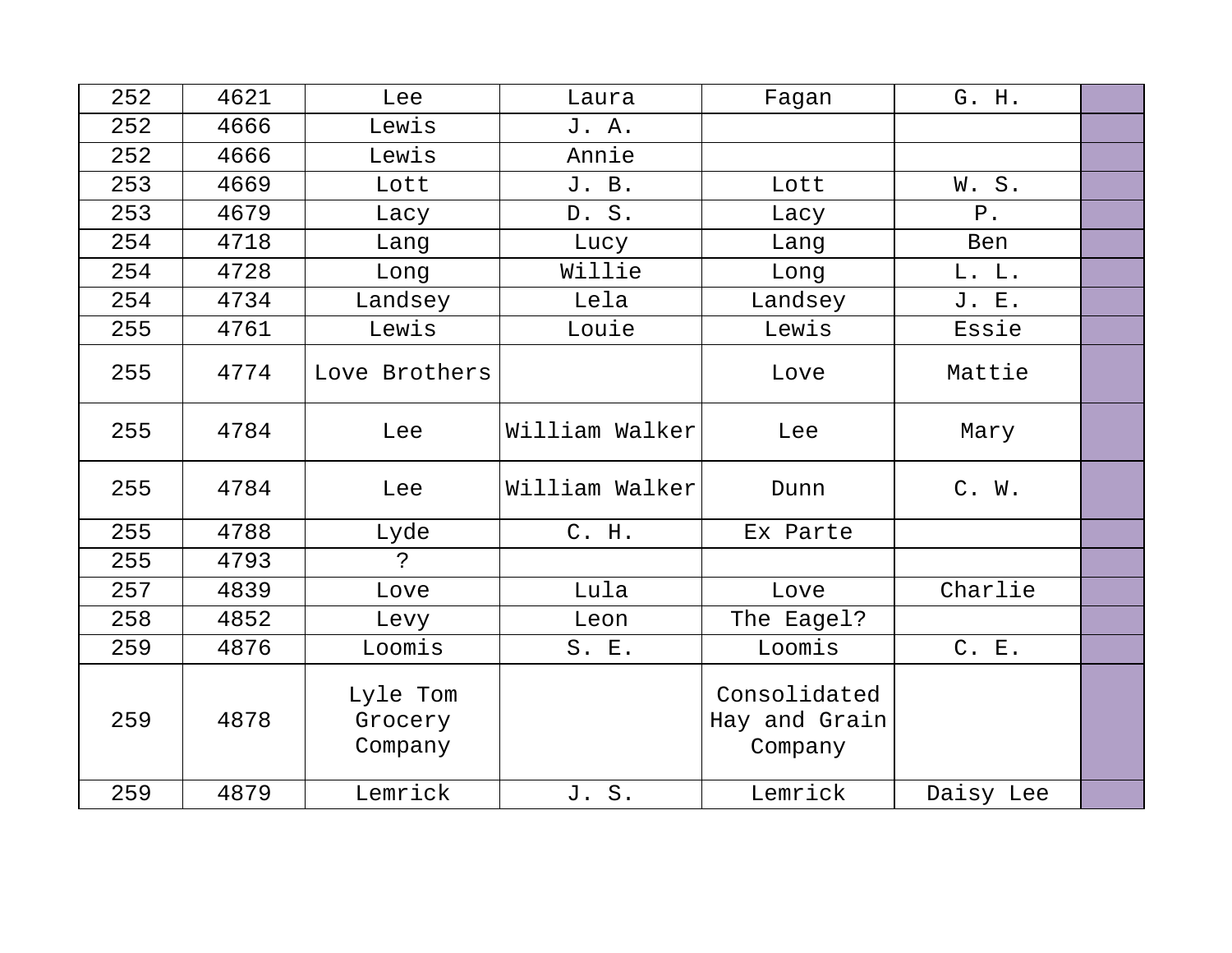| 252 | 4621 | Lee                            | Laura          | Fagan                                    | G. H.     |  |
|-----|------|--------------------------------|----------------|------------------------------------------|-----------|--|
| 252 | 4666 | Lewis                          | J. A.          |                                          |           |  |
| 252 | 4666 | Lewis                          | Annie          |                                          |           |  |
| 253 | 4669 | Lott                           | J. B.          | Lott                                     | W.S.      |  |
| 253 | 4679 | Lacy                           | D. S.          | Lacy                                     | $P$ .     |  |
| 254 | 4718 | Lang                           | Lucy           | Lang                                     | Ben       |  |
| 254 | 4728 | Long                           | Willie         | Long                                     | L. L.     |  |
| 254 | 4734 | Landsey                        | Lela           | Landsey                                  | J. E.     |  |
| 255 | 4761 | Lewis                          | Louie          | Lewis                                    | Essie     |  |
| 255 | 4774 | Love Brothers                  |                | Love                                     | Mattie    |  |
| 255 | 4784 | Lee                            | William Walker | Lee                                      | Mary      |  |
| 255 | 4784 | Lee                            | William Walker | Dunn                                     | $C.$ W.   |  |
| 255 | 4788 | Lyde                           | C. H.          | Ex Parte                                 |           |  |
| 255 | 4793 | $\mathbf{P}$                   |                |                                          |           |  |
| 257 | 4839 | Love                           | Lula           | Love                                     | Charlie   |  |
| 258 | 4852 | Levy                           | Leon           | The Eagel?                               |           |  |
| 259 | 4876 | Loomis                         | S. E.          | Loomis                                   | C. E.     |  |
| 259 | 4878 | Lyle Tom<br>Grocery<br>Company |                | Consolidated<br>Hay and Grain<br>Company |           |  |
| 259 | 4879 | Lemrick                        | J. S.          | Lemrick                                  | Daisy Lee |  |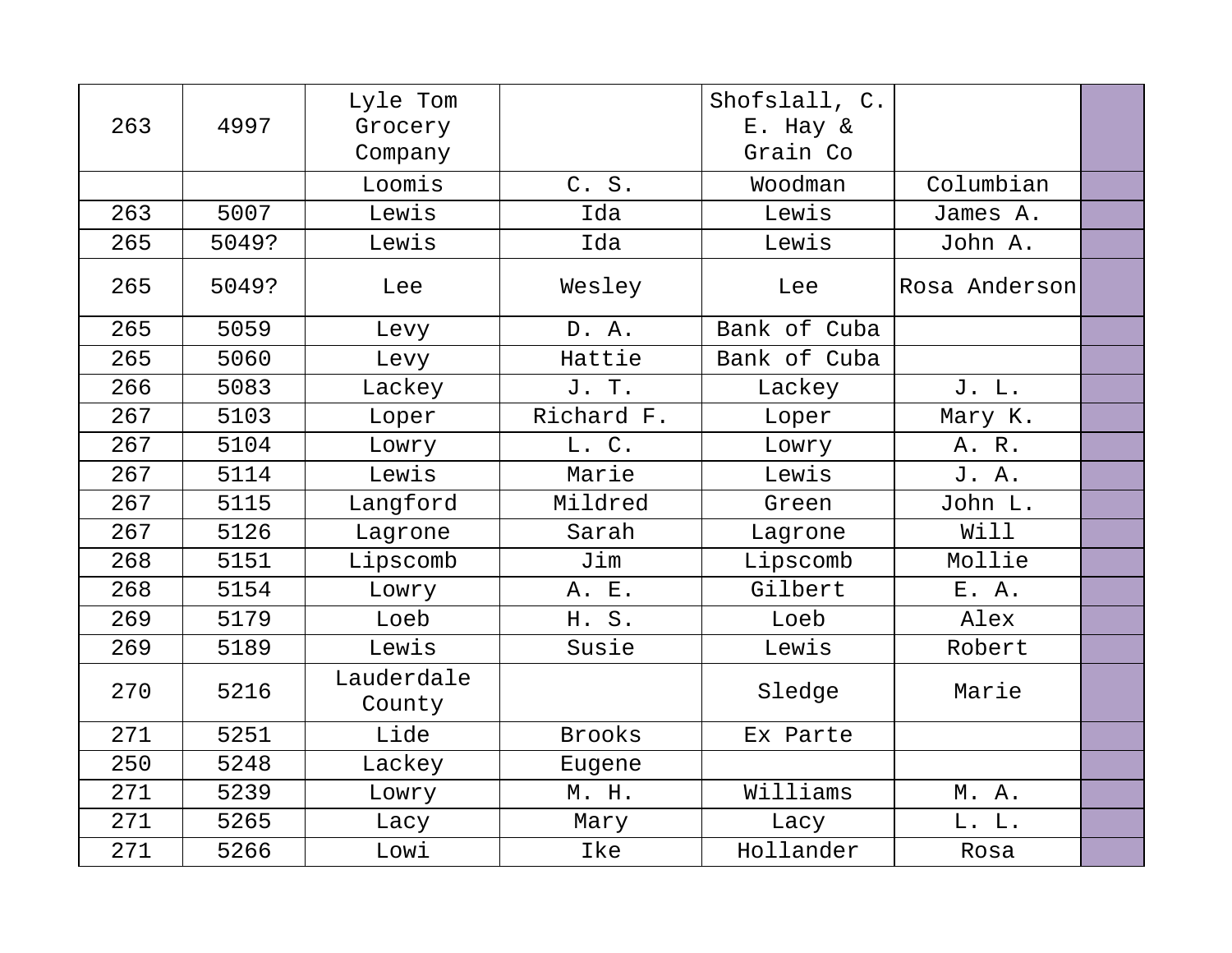| 263 | 4997  | Lyle Tom<br>Grocery<br>Company |               | Shofslall, C.<br>E. Hay &<br>Grain Co |               |  |
|-----|-------|--------------------------------|---------------|---------------------------------------|---------------|--|
|     |       | Loomis                         | C. S.         | Woodman                               | Columbian     |  |
| 263 | 5007  | Lewis                          | Ida           | Lewis                                 | James A.      |  |
| 265 | 5049? | Lewis                          | Ida           | Lewis                                 | John A.       |  |
| 265 | 5049? | Lee                            | Wesley        | Lee                                   | Rosa Anderson |  |
| 265 | 5059  | Levy                           | D. A.         | Bank of Cuba                          |               |  |
| 265 | 5060  | Levy                           | Hattie        | Bank of Cuba                          |               |  |
| 266 | 5083  | Lackey                         | J. T.         | Lackey                                | J. L.         |  |
| 267 | 5103  | Loper                          | Richard F.    | Loper                                 | Mary K.       |  |
| 267 | 5104  | Lowry                          | L. C.         | Lowry                                 | A. R.         |  |
| 267 | 5114  | Lewis                          | Marie         | Lewis                                 | J. A.         |  |
| 267 | 5115  | Langford                       | Mildred       | Green                                 | John L.       |  |
| 267 | 5126  | Lagrone                        | Sarah         | Lagrone                               | Will          |  |
| 268 | 5151  | Lipscomb                       | Jim           | Lipscomb                              | Mollie        |  |
| 268 | 5154  | Lowry                          | A. E.         | Gilbert                               | E. A.         |  |
| 269 | 5179  | Loeb                           | H. S.         | Loeb                                  | Alex          |  |
| 269 | 5189  | Lewis                          | Susie         | Lewis                                 | Robert        |  |
| 270 | 5216  | Lauderdale<br>County           |               | Sledge                                | Marie         |  |
| 271 | 5251  | Lide                           | <b>Brooks</b> | Ex Parte                              |               |  |
| 250 | 5248  | Lackey                         | Eugene        |                                       |               |  |
| 271 | 5239  | Lowry                          | M. H.         | Williams                              | M. A.         |  |
| 271 | 5265  | Lacy                           | Mary          | Lacy                                  | L. L.         |  |
| 271 | 5266  | Lowi                           | Ike           | Hollander                             | Rosa          |  |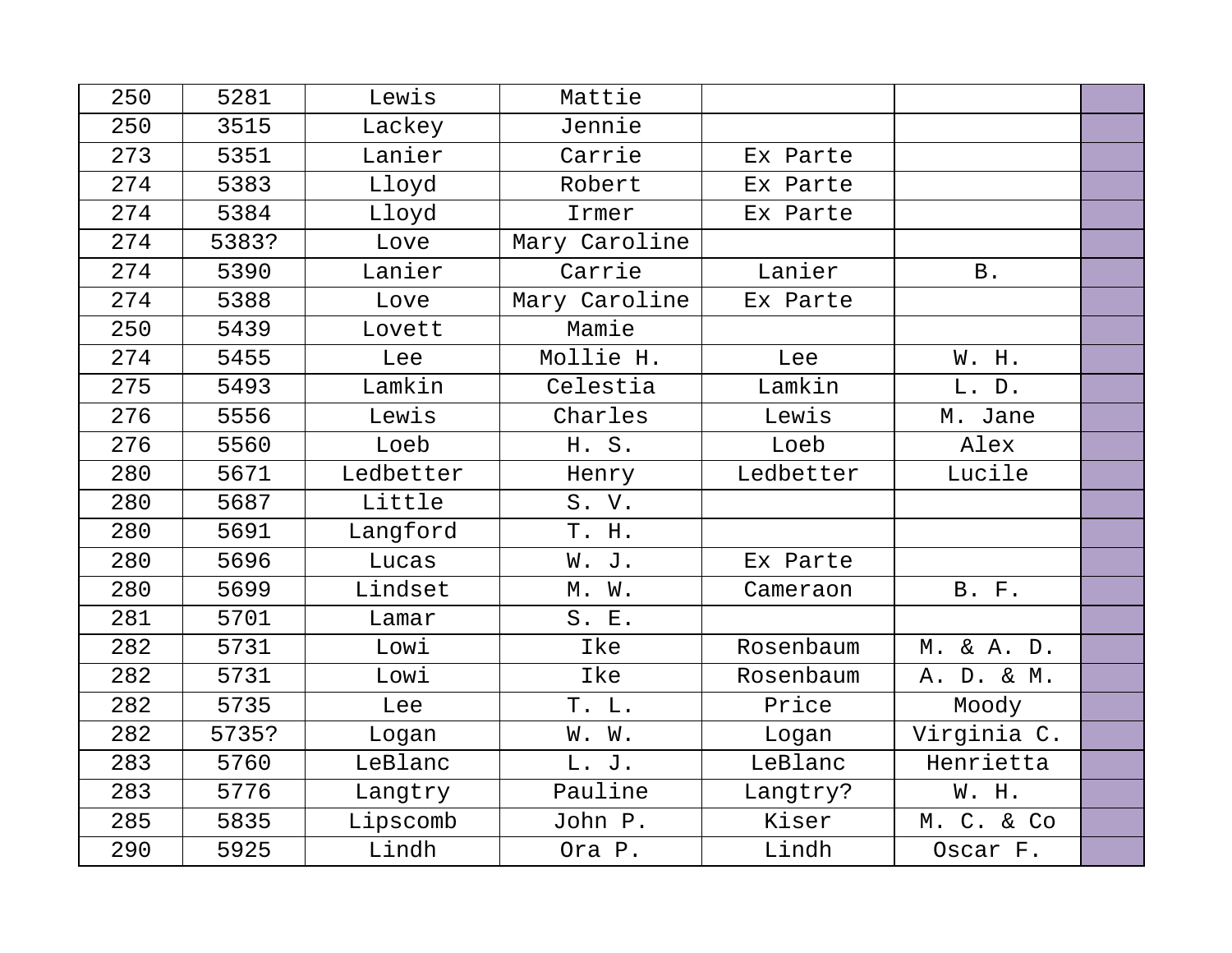| 250 | 5281  | Lewis     | Mattie        |           |              |  |
|-----|-------|-----------|---------------|-----------|--------------|--|
| 250 | 3515  | Lackey    | Jennie        |           |              |  |
| 273 | 5351  | Lanier    | Carrie        | Ex Parte  |              |  |
| 274 | 5383  | Lloyd     | Robert        | Ex Parte  |              |  |
| 274 | 5384  | Lloyd     | Irmer         | Ex Parte  |              |  |
| 274 | 5383? | Love      | Mary Caroline |           |              |  |
| 274 | 5390  | Lanier    | Carrie        | Lanier    | <b>B</b> .   |  |
| 274 | 5388  | Love      | Mary Caroline | Ex Parte  |              |  |
| 250 | 5439  | Lovett    | Mamie         |           |              |  |
| 274 | 5455  | Lee       | Mollie H.     | Lee       | W. H.        |  |
| 275 | 5493  | Lamkin    | Celestia      | Lamkin    | L. D.        |  |
| 276 | 5556  | Lewis     | Charles       | Lewis     | M. Jane      |  |
| 276 | 5560  | Loeb      | H. S.         | Loeb      | Alex         |  |
| 280 | 5671  | Ledbetter | Henry         | Ledbetter | Lucile       |  |
| 280 | 5687  | Little    | S. V.         |           |              |  |
| 280 | 5691  | Langford  | T. H.         |           |              |  |
| 280 | 5696  | Lucas     | W. J.         | Ex Parte  |              |  |
| 280 | 5699  | Lindset   | M. W.         | Cameraon  | <b>B. F.</b> |  |
| 281 | 5701  | Lamar     | S. E.         |           |              |  |
| 282 | 5731  | Lowi      | Ike           | Rosenbaum | M. & A. D.   |  |
| 282 | 5731  | Lowi      | Ike           | Rosenbaum | A. D. & M.   |  |
| 282 | 5735  | Lee       | T. L.         | Price     | Moody        |  |
| 282 | 5735? | Logan     | W. W.         | Logan     | Virginia C.  |  |
| 283 | 5760  | LeBlanc   | L. J.         | LeBlanc   | Henrietta    |  |
| 283 | 5776  | Langtry   | Pauline       | Langtry?  | W. H.        |  |
| 285 | 5835  | Lipscomb  | John P.       | Kiser     | M. C. & Co   |  |
| 290 | 5925  | Lindh     | Ora P.        | Lindh     | Oscar F.     |  |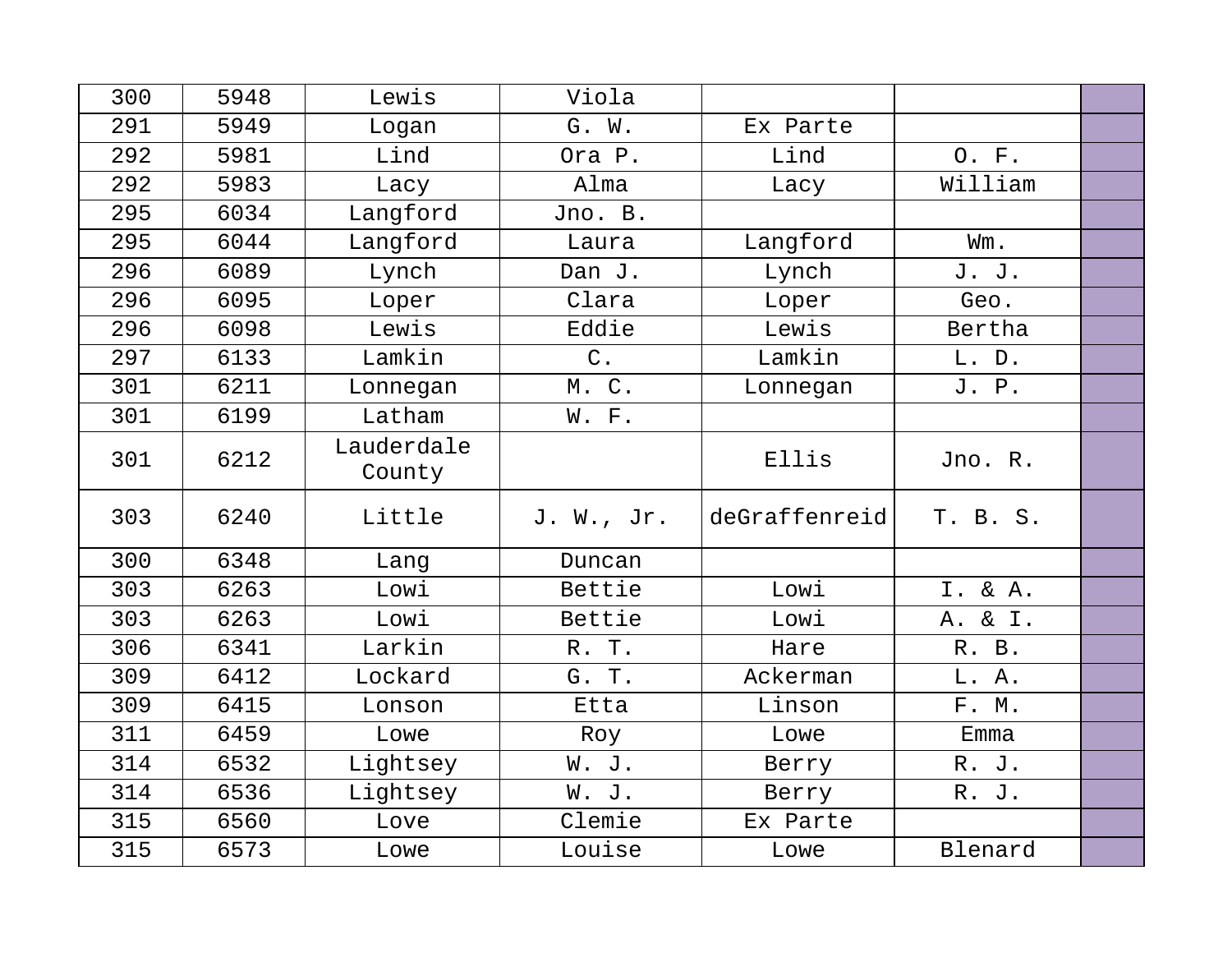| 300 | 5948 | Lewis      | Viola      |               |          |  |
|-----|------|------------|------------|---------------|----------|--|
| 291 | 5949 | Logan      | G. W.      | Ex Parte      |          |  |
| 292 | 5981 | Lind       | Ora P.     | Lind          | O. F.    |  |
| 292 | 5983 | Lacy       | Alma       | Lacy          | William  |  |
| 295 | 6034 | Langford   | Jno. B.    |               |          |  |
| 295 | 6044 | Langford   | Laura      | Langford      | Wm.      |  |
| 296 | 6089 | Lynch      | Dan J.     | Lynch         | J. J.    |  |
| 296 | 6095 | Loper      | Clara      | Loper         | Geo.     |  |
| 296 | 6098 | Lewis      | Eddie      | Lewis         | Bertha   |  |
| 297 | 6133 | Lamkin     | $C$ .      | Lamkin        | L. D.    |  |
| 301 | 6211 | Lonnegan   | M. C.      | Lonnegan      | J. P.    |  |
| 301 | 6199 | Latham     | W. F.      |               |          |  |
| 301 | 6212 | Lauderdale |            | Ellis         | Jno. R.  |  |
|     |      | County     |            |               |          |  |
| 303 | 6240 | Little     | J. W., Jr. | deGraffenreid | T. B. S. |  |
| 300 | 6348 | Lang       | Duncan     |               |          |  |
| 303 | 6263 | Lowi       | Bettie     | Lowi          | I. & A.  |  |
| 303 | 6263 | Lowi       | Bettie     | Lowi          | A. & I.  |  |
| 306 | 6341 | Larkin     | R. T.      | Hare          | R. B.    |  |
| 309 | 6412 | Lockard    | G. T.      | Ackerman      | L. A.    |  |
| 309 | 6415 | Lonson     | Etta       | Linson        | F. M.    |  |
| 311 | 6459 | Lowe       | Roy        | Lowe          | Emma     |  |
| 314 | 6532 | Lightsey   | W. J.      | Berry         | R. J.    |  |
| 314 | 6536 | Lightsey   | W. J.      | Berry         | R. J.    |  |
| 315 | 6560 | Love       | Clemie     | Ex Parte      |          |  |
| 315 | 6573 | Lowe       | Louise     | Lowe          | Blenard  |  |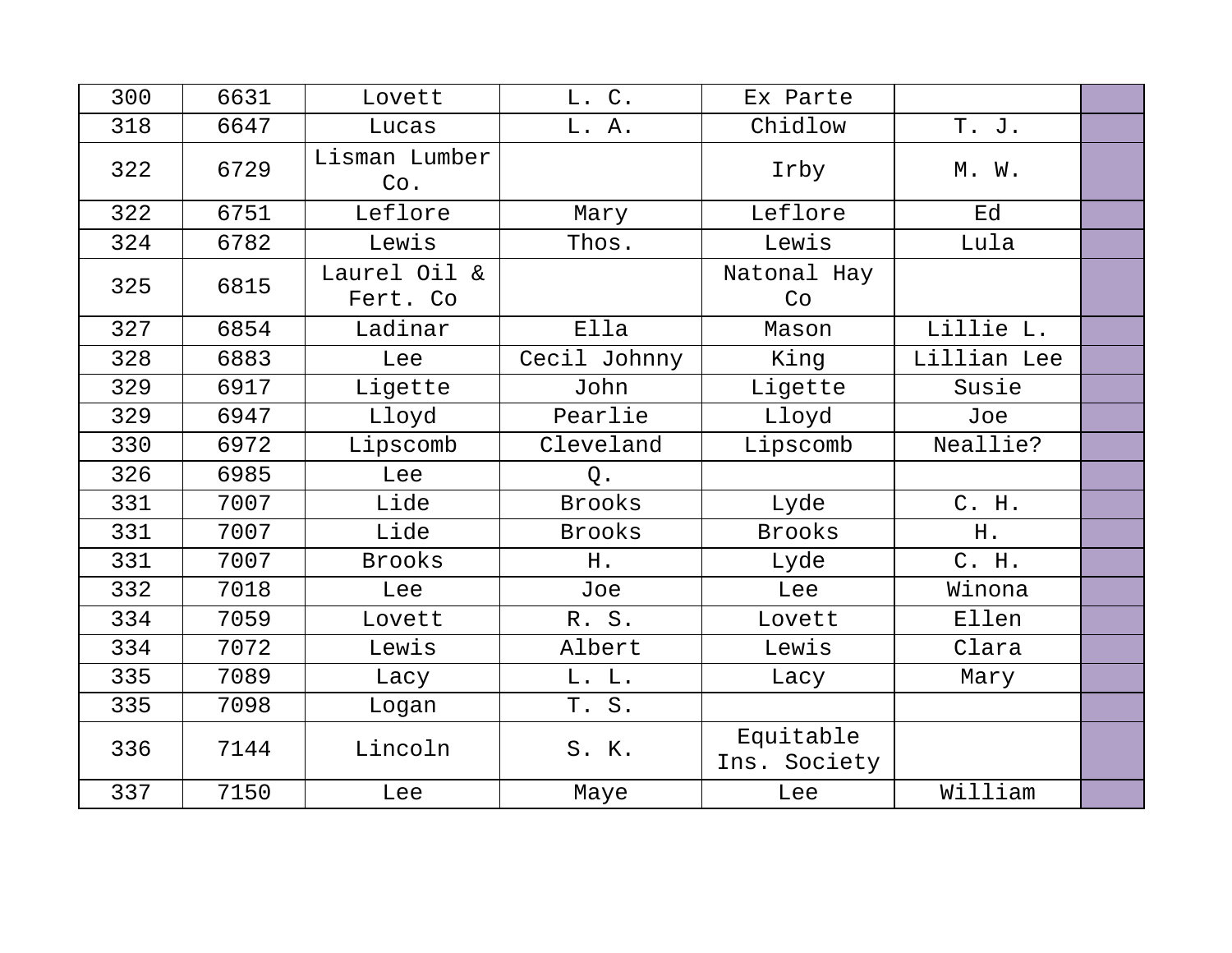| 300 | 6631 | Lovett                   | L. C.         | Ex Parte                  |             |  |
|-----|------|--------------------------|---------------|---------------------------|-------------|--|
| 318 | 6647 | Lucas                    | L. A.         | Chidlow                   | T. J.       |  |
| 322 | 6729 | Lisman Lumber<br>Co.     |               | Irby                      | M. W.       |  |
| 322 | 6751 | Leflore                  | Mary          | Leflore                   | Ed          |  |
| 324 | 6782 | Lewis                    | Thos.         | Lewis                     | Lula        |  |
| 325 | 6815 | Laurel Oil &<br>Fert. Co |               | Natonal Hay<br>Co         |             |  |
| 327 | 6854 | Ladinar                  | Ella          | Mason                     | Lillie L.   |  |
| 328 | 6883 | Lee                      | Cecil Johnny  | King                      | Lillian Lee |  |
| 329 | 6917 | Ligette                  | John          | Ligette                   | Susie       |  |
| 329 | 6947 | Lloyd                    | Pearlie       | Lloyd                     | Joe         |  |
| 330 | 6972 | Lipscomb                 | Cleveland     | Lipscomb                  | Neallie?    |  |
| 326 | 6985 | Lee                      | $Q$ .         |                           |             |  |
| 331 | 7007 | Lide                     | <b>Brooks</b> | Lyde                      | C. H.       |  |
| 331 | 7007 | Lide                     | <b>Brooks</b> | <b>Brooks</b>             | H.          |  |
| 331 | 7007 | <b>Brooks</b>            | H.            | Lyde                      | C. H.       |  |
| 332 | 7018 | Lee                      | Joe           | Lee                       | Winona      |  |
| 334 | 7059 | Lovett                   | R. S.         | Lovett                    | Ellen       |  |
| 334 | 7072 | Lewis                    | Albert        | Lewis                     | Clara       |  |
| 335 | 7089 | Lacy                     | L. L.         | Lacy                      | Mary        |  |
| 335 | 7098 | Logan                    | T. S.         |                           |             |  |
| 336 | 7144 | Lincoln                  | S. K.         | Equitable<br>Ins. Society |             |  |
| 337 | 7150 | Lee                      | Maye          | Lee                       | William     |  |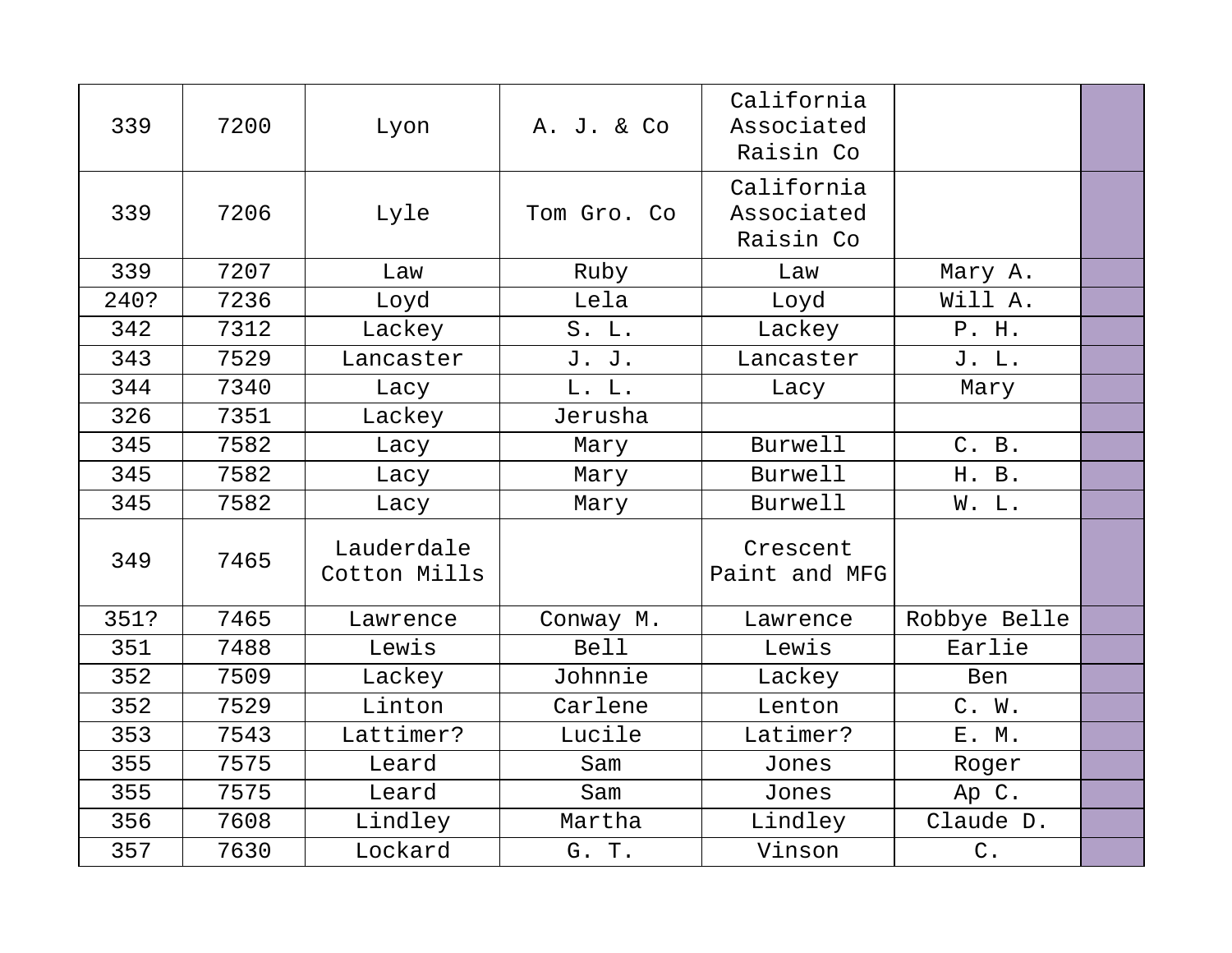| 339  | 7200 | Lyon                       | A. J. & Co  | California<br>Associated<br>Raisin Co |               |  |
|------|------|----------------------------|-------------|---------------------------------------|---------------|--|
| 339  | 7206 | Lyle                       | Tom Gro. Co | California<br>Associated<br>Raisin Co |               |  |
| 339  | 7207 | Law                        | Ruby        | Law                                   | Mary A.       |  |
| 240? | 7236 | Loyd                       | Lela        | Loyd                                  | Will A.       |  |
| 342  | 7312 | Lackey                     | S. L.       | Lackey                                | P. H.         |  |
| 343  | 7529 | Lancaster                  | J. J.       | Lancaster                             | J. L.         |  |
| 344  | 7340 | Lacy                       | L. L.       | Lacy                                  | Mary          |  |
| 326  | 7351 | Lackey                     | Jerusha     |                                       |               |  |
| 345  | 7582 | Lacy                       | Mary        | <b>Burwell</b>                        | C. B.         |  |
| 345  | 7582 | Lacy                       | Mary        | Burwell                               | H. B.         |  |
| 345  | 7582 | Lacy                       | Mary        | Burwell                               | W. L.         |  |
| 349  | 7465 | Lauderdale<br>Cotton Mills |             | Crescent<br>Paint and MFG             |               |  |
| 351? | 7465 | Lawrence                   | Conway M.   | Lawrence                              | Robbye Belle  |  |
| 351  | 7488 | Lewis                      | <b>Bell</b> | Lewis                                 | Earlie        |  |
| 352  | 7509 | Lackey                     | Johnnie     | Lackey                                | Ben           |  |
| 352  | 7529 | Linton                     | Carlene     | Lenton                                | C. W.         |  |
| 353  | 7543 | Lattimer?                  | Lucile      | Latimer?                              | E. M.         |  |
| 355  | 7575 | Leard                      | Sam         | Jones                                 | Roger         |  |
| 355  | 7575 | Leard                      | Sam         | Jones                                 | Ap C.         |  |
| 356  | 7608 | Lindley                    | Martha      | Lindley                               | Claude D.     |  |
| 357  | 7630 | Lockard                    | G. T.       | Vinson                                | $\mathsf C$ . |  |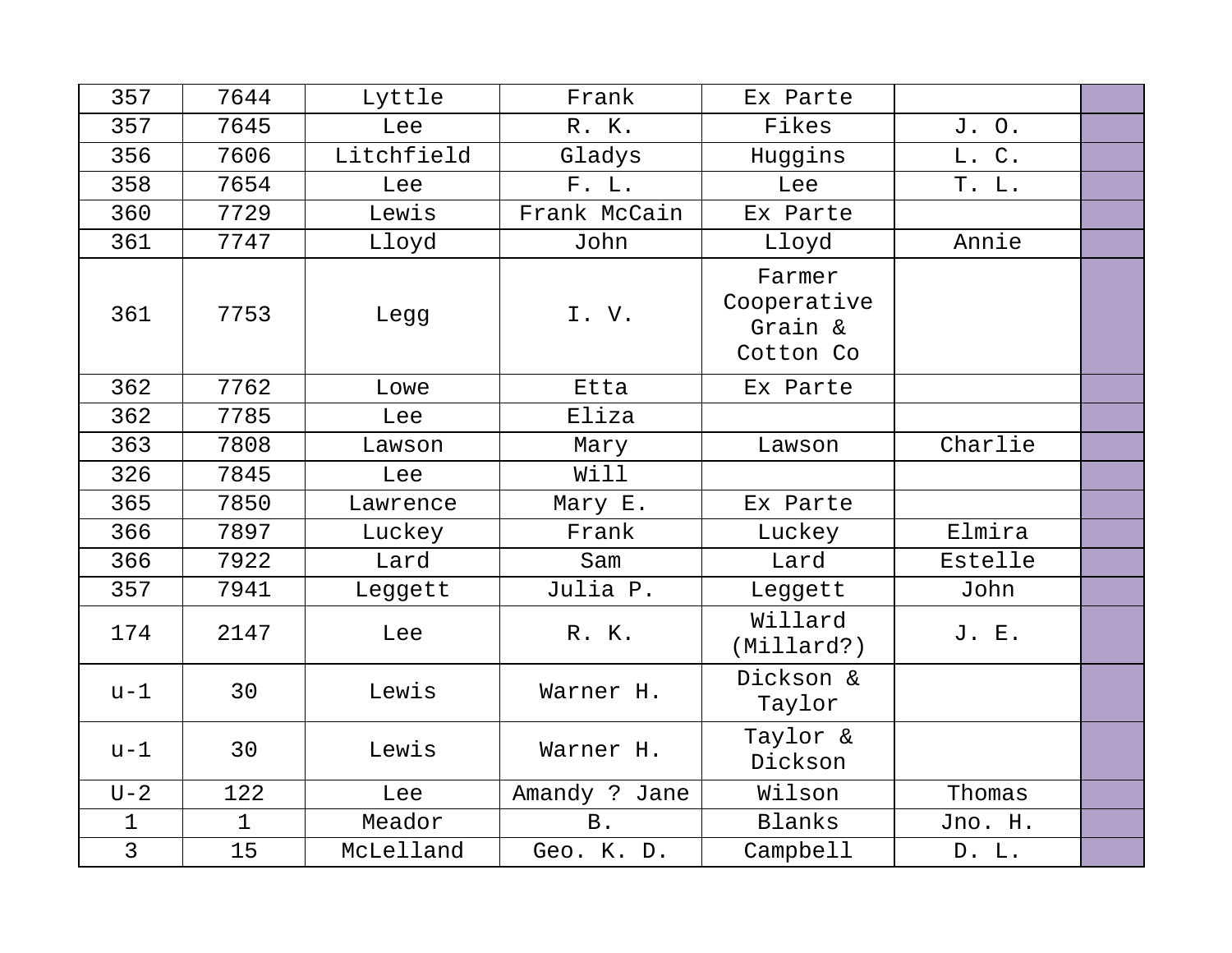| 357            | 7644        | Lyttle     | Frank         | Ex Parte                                      |         |  |
|----------------|-------------|------------|---------------|-----------------------------------------------|---------|--|
| 357            | 7645        | Lee        | R. K.         | Fikes                                         | J. O.   |  |
| 356            | 7606        | Litchfield | Gladys        | Huggins                                       | L. C.   |  |
| 358            | 7654        | Lee        | F. L.         | Lee                                           | T. L.   |  |
| 360            | 7729        | Lewis      | Frank McCain  | Ex Parte                                      |         |  |
| 361            | 7747        | Lloyd      | John          | Lloyd                                         | Annie   |  |
| 361            | 7753        | Legg       | I.V.          | Farmer<br>Cooperative<br>Grain &<br>Cotton Co |         |  |
| 362            | 7762        | Lowe       | Etta          | Ex Parte                                      |         |  |
| 362            | 7785        | Lee        | Eliza         |                                               |         |  |
| 363            | 7808        | Lawson     | Mary          | Lawson                                        | Charlie |  |
| 326            | 7845        | Lee        | Will          |                                               |         |  |
| 365            | 7850        | Lawrence   | Mary E.       | Ex Parte                                      |         |  |
| 366            | 7897        | Luckey     | Frank         | Luckey                                        | Elmira  |  |
| 366            | 7922        | Lard       | Sam           | Lard                                          | Estelle |  |
| 357            | 7941        | Leggett    | Julia P.      | Leggett                                       | John    |  |
| 174            | 2147        | Lee        | R. K.         | Willard<br>(Millard?)                         | J. E.   |  |
| $u-1$          | 30          | Lewis      | Warner H.     | Dickson &<br>Taylor                           |         |  |
| $u-1$          | 30          | Lewis      | Warner H.     | Taylor &<br>Dickson                           |         |  |
| $U-2$          | 122         | Lee        | Amandy ? Jane | Wilson                                        | Thomas  |  |
| $\mathbf 1$    | $\mathbf 1$ | Meador     | <b>B</b> .    | Blanks                                        | Jno. H. |  |
| $\overline{3}$ | 15          | McLelland  | Geo. K. D.    | Campbell                                      | D. L.   |  |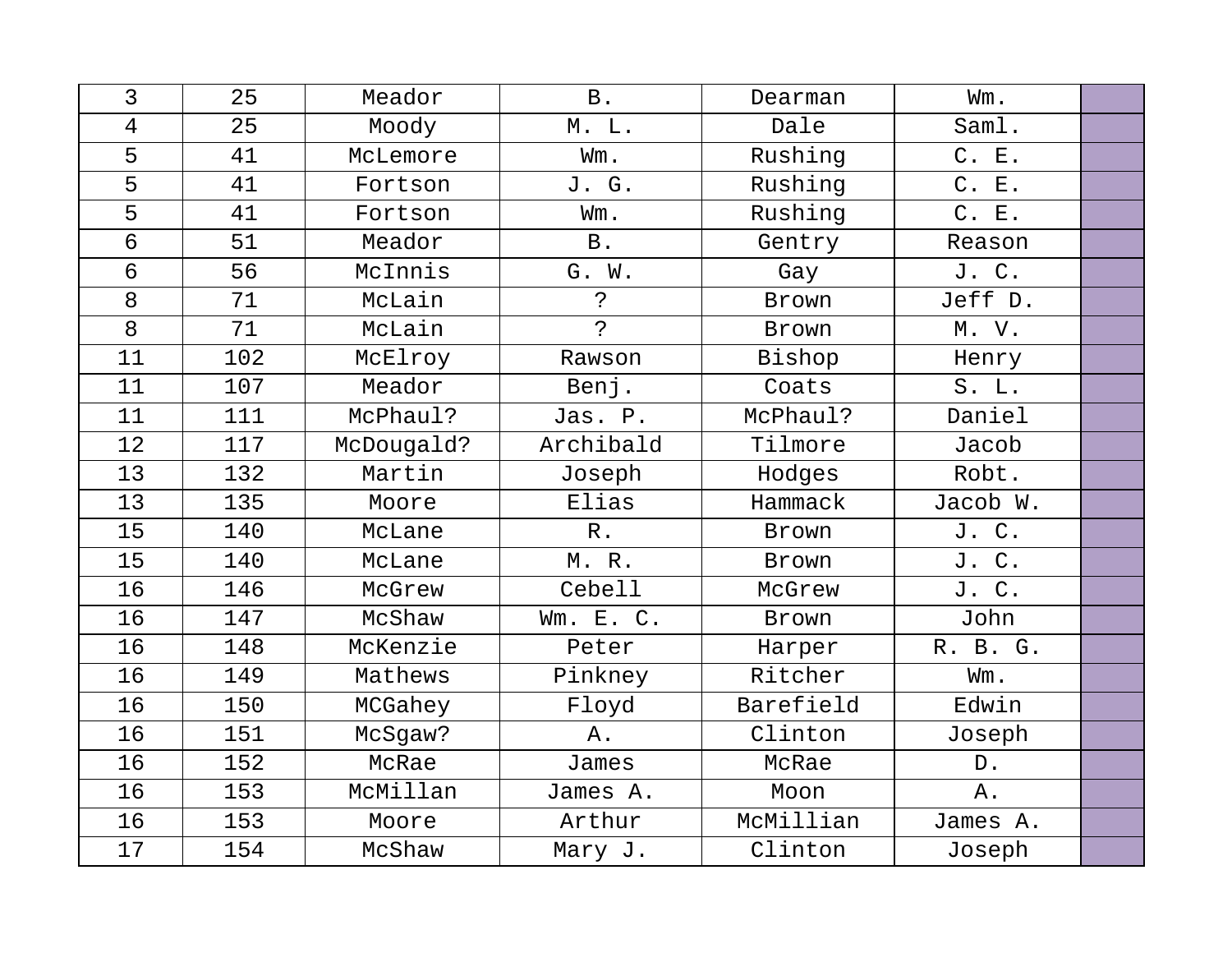| 3  | 25  | Meador     | B.             | Dearman   | Wm.      |  |
|----|-----|------------|----------------|-----------|----------|--|
| 4  | 25  | Moody      | M. L.          | Dale      | Saml.    |  |
| 5  | 41  | McLemore   | Wm.            | Rushing   | C. E.    |  |
| 5  | 41  | Fortson    | J. G.          | Rushing   | C. E.    |  |
| 5  | 41  | Fortson    | Wm.            | Rushing   | C. E.    |  |
| 6  | 51  | Meador     | <b>B</b> .     | Gentry    | Reason   |  |
| 6  | 56  | McInnis    | G. W.          | Gay       | J. C.    |  |
| 8  | 71  | McLain     | $\ddot{\cdot}$ | Brown     | Jeff D.  |  |
| 8  | 71  | McLain     | $\overline{P}$ | Brown     | M. V.    |  |
| 11 | 102 | McElroy    | Rawson         | Bishop    | Henry    |  |
| 11 | 107 | Meador     | Benj.          | Coats     | S. L.    |  |
| 11 | 111 | McPhaul?   | Jas. P.        | McPhaul?  | Daniel   |  |
| 12 | 117 | McDougald? | Archibald      | Tilmore   | Jacob    |  |
| 13 | 132 | Martin     | Joseph         | Hodges    | Robt.    |  |
| 13 | 135 | Moore      | Elias          | Hammack   | Jacob W. |  |
| 15 | 140 | McLane     | $R$ .          | Brown     | J. C.    |  |
| 15 | 140 | McLane     | M.R.           | Brown     | J. C.    |  |
| 16 | 146 | McGrew     | Cebell         | McGrew    | J. C.    |  |
| 16 | 147 | McShaw     | Wm. E. C.      | Brown     | John     |  |
| 16 | 148 | McKenzie   | Peter          | Harper    | R. B. G. |  |
| 16 | 149 | Mathews    | Pinkney        | Ritcher   | Wm.      |  |
| 16 | 150 | MCGahey    | Floyd          | Barefield | Edwin    |  |
| 16 | 151 | McSgaw?    | Α.             | Clinton   | Joseph   |  |
| 16 | 152 | McRae      | James          | McRae     | D.       |  |
| 16 | 153 | McMillan   | James A.       | Moon      | Α.       |  |
| 16 | 153 | Moore      | Arthur         | McMillian | James A. |  |
| 17 | 154 | McShaw     | Mary J.        | Clinton   | Joseph   |  |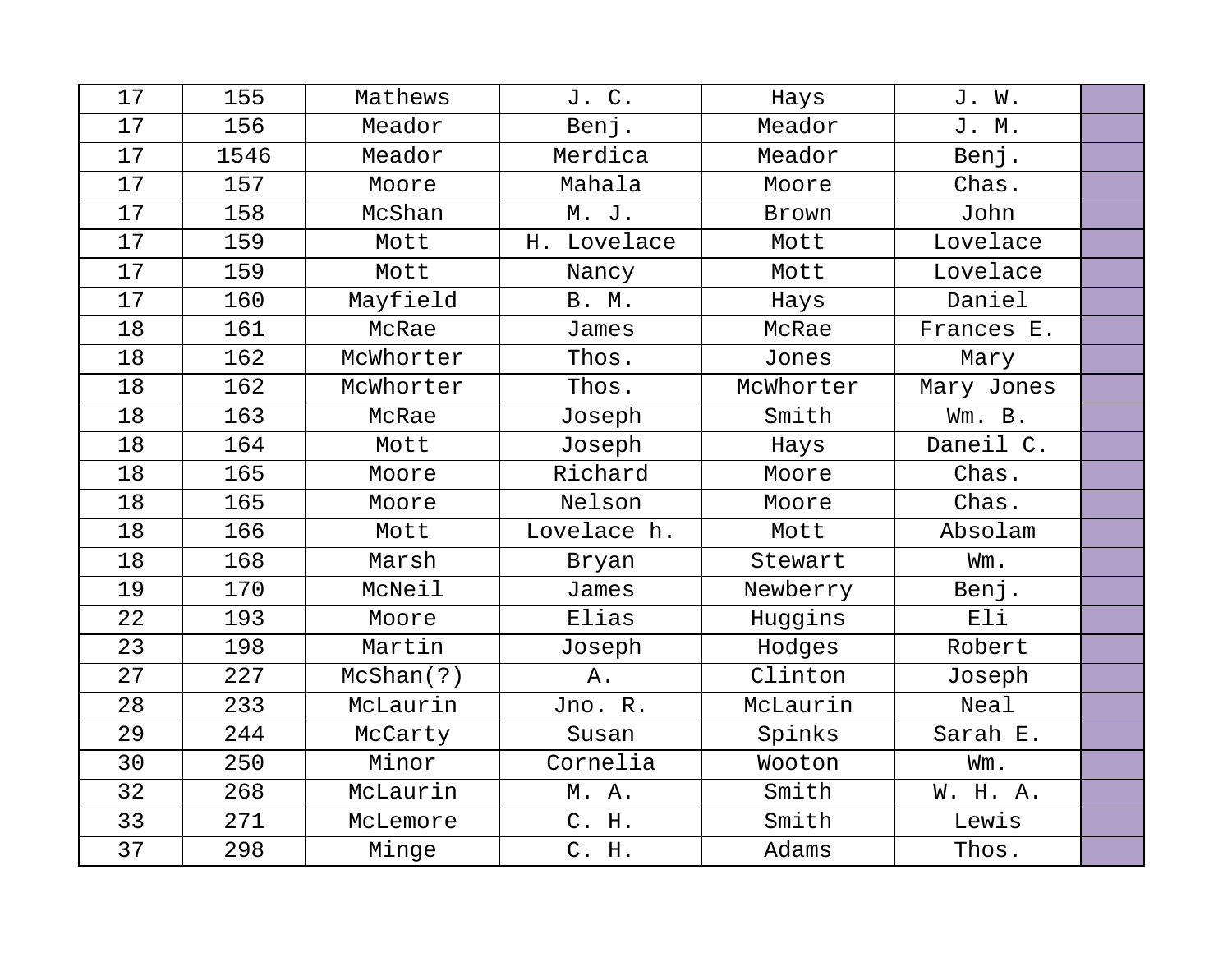| 17 | 155  | Mathews   | J. C.        | Hays      | J. W.      |  |
|----|------|-----------|--------------|-----------|------------|--|
| 17 | 156  | Meador    | Benj.        | Meador    | J. M.      |  |
| 17 | 1546 | Meador    | Merdica      | Meador    | Benj.      |  |
| 17 | 157  | Moore     | Mahala       | Moore     | Chas.      |  |
| 17 | 158  | McShan    | M. J.        | Brown     | John       |  |
| 17 | 159  | Mott      | H. Lovelace  | Mott      | Lovelace   |  |
| 17 | 159  | Mott      | Nancy        | Mott      | Lovelace   |  |
| 17 | 160  | Mayfield  | <b>B. M.</b> | Hays      | Daniel     |  |
| 18 | 161  | McRae     | James        | McRae     | Frances E. |  |
| 18 | 162  | McWhorter | Thos.        | Jones     | Mary       |  |
| 18 | 162  | McWhorter | Thos.        | McWhorter | Mary Jones |  |
| 18 | 163  | McRae     | Joseph       | Smith     | Wm. B.     |  |
| 18 | 164  | Mott      | Joseph       | Hays      | Daneil C.  |  |
| 18 | 165  | Moore     | Richard      | Moore     | Chas.      |  |
| 18 | 165  | Moore     | Nelson       | Moore     | Chas.      |  |
| 18 | 166  | Mott      | Lovelace h.  | Mott      | Absolam    |  |
| 18 | 168  | Marsh     | Bryan        | Stewart   | Wm.        |  |
| 19 | 170  | McNeil    | James        | Newberry  | Benj.      |  |
| 22 | 193  | Moore     | Elias        | Huggins   | Eli        |  |
| 23 | 198  | Martin    | Joseph       | Hodges    | Robert     |  |
| 27 | 227  | McShan(?) | Α.           | Clinton   | Joseph     |  |
| 28 | 233  | McLaurin  | Jno. R.      | McLaurin  | Neal       |  |
| 29 | 244  | McCarty   | Susan        | Spinks    | Sarah E.   |  |
| 30 | 250  | Minor     | Cornelia     | Wooton    | Wm.        |  |
| 32 | 268  | McLaurin  | M. A.        | Smith     | W. H. A.   |  |
| 33 | 271  | McLemore  | C. H.        | Smith     | Lewis      |  |
| 37 | 298  | Minge     | C. H.        | Adams     | Thos.      |  |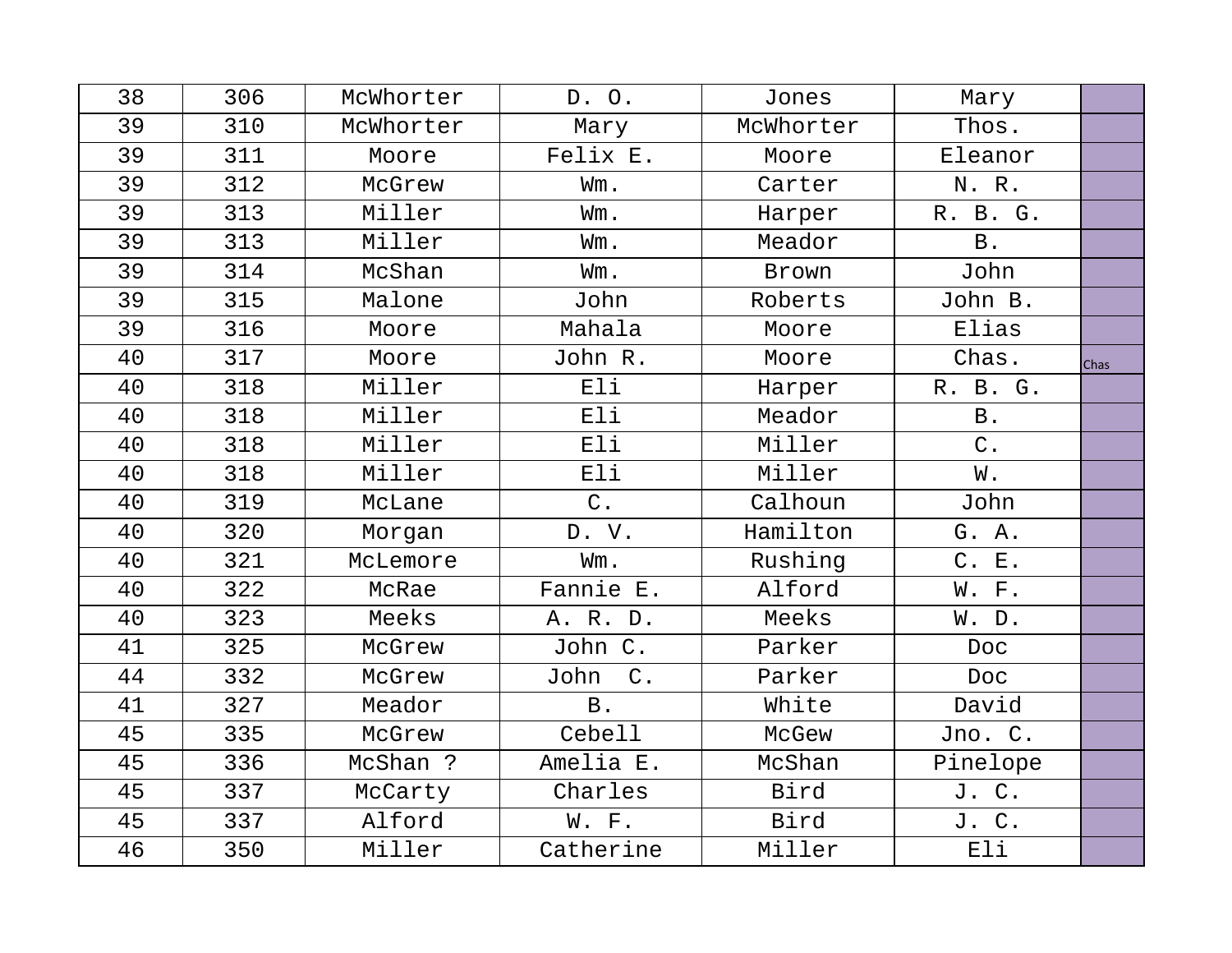| 38 | 306 | McWhorter | D. O.                 | Jones     | Mary       |      |
|----|-----|-----------|-----------------------|-----------|------------|------|
| 39 | 310 | McWhorter | Mary                  | McWhorter | Thos.      |      |
| 39 | 311 | Moore     | Felix E.              | Moore     | Eleanor    |      |
| 39 | 312 | McGrew    | Wm.                   | Carter    | N. R.      |      |
| 39 | 313 | Miller    | Wm.                   | Harper    | R. B. G.   |      |
| 39 | 313 | Miller    | Wm.                   | Meador    | <b>B</b> . |      |
| 39 | 314 | McShan    | Wm.                   | Brown     | John       |      |
| 39 | 315 | Malone    | John                  | Roberts   | John B.    |      |
| 39 | 316 | Moore     | Mahala                | Moore     | Elias      |      |
| 40 | 317 | Moore     | John R.               | Moore     | Chas.      | Chas |
| 40 | 318 | Miller    | Eli                   | Harper    | R. B. G.   |      |
| 40 | 318 | Miller    | Eli                   | Meador    | <b>B</b> . |      |
| 40 | 318 | Miller    | Eli                   | Miller    | $C$ .      |      |
| 40 | 318 | Miller    | Eli                   | Miller    | W.         |      |
| 40 | 319 | McLane    | $C$ .                 | Calhoun   | John       |      |
| 40 | 320 | Morgan    | D. V.                 | Hamilton  | G. A.      |      |
| 40 | 321 | McLemore  | Wm.                   | Rushing   | C. E.      |      |
| 40 | 322 | McRae     | Fannie E.             | Alford    | W. F.      |      |
| 40 | 323 | Meeks     | A. R. D.              | Meeks     | W. D.      |      |
| 41 | 325 | McGrew    | John C.               | Parker    | Doc        |      |
| 44 | 332 | McGrew    | $\mathsf C$ .<br>John | Parker    | <b>Doc</b> |      |
| 41 | 327 | Meador    | $\, {\bf B}$ .        | White     | David      |      |
| 45 | 335 | McGrew    | Cebell                | McGew     | Jno. C.    |      |
| 45 | 336 | McShan ?  | Amelia E.             | McShan    | Pinelope   |      |
| 45 | 337 | McCarty   | Charles               | Bird      | J. C.      |      |
| 45 | 337 | Alford    | W. F.                 | Bird      | J. C.      |      |
| 46 | 350 | Miller    | Catherine             | Miller    | Eli        |      |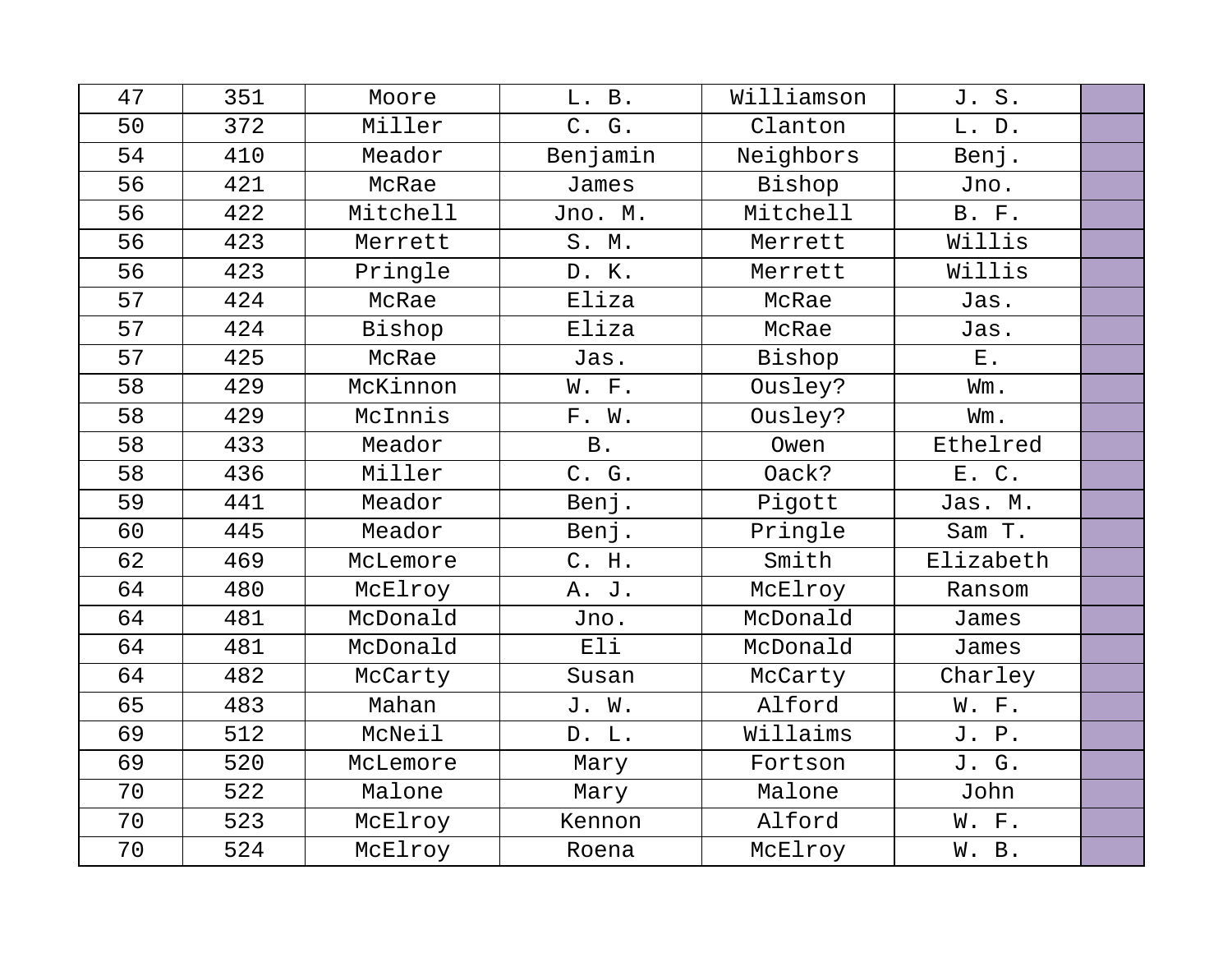| 47 | 351 | Moore    | L. B.      | Williamson | J. S.        |  |
|----|-----|----------|------------|------------|--------------|--|
| 50 | 372 | Miller   | C. G.      | Clanton    | L. D.        |  |
| 54 | 410 | Meador   | Benjamin   | Neighbors  | Benj.        |  |
| 56 | 421 | McRae    | James      | Bishop     | Jno.         |  |
| 56 | 422 | Mitchell | Jno. M.    | Mitchell   | <b>B.</b> F. |  |
| 56 | 423 | Merrett  | S. M.      | Merrett    | Willis       |  |
| 56 | 423 | Pringle  | D. K.      | Merrett    | Willis       |  |
| 57 | 424 | McRae    | Eliza      | McRae      | Jas.         |  |
| 57 | 424 | Bishop   | Eliza      | McRae      | Jas.         |  |
| 57 | 425 | McRae    | Jas.       | Bishop     | $E$ .        |  |
| 58 | 429 | McKinnon | W. F.      | Ousley?    | Wm.          |  |
| 58 | 429 | McInnis  | F. W.      | Ousley?    | Wm.          |  |
| 58 | 433 | Meador   | <b>B</b> . | Owen       | Ethelred     |  |
| 58 | 436 | Miller   | C. G.      | Oack?      | E. C.        |  |
| 59 | 441 | Meador   | Benj.      | Pigott     | Jas. M.      |  |
| 60 | 445 | Meador   | Benj.      | Pringle    | Sam T.       |  |
| 62 | 469 | McLemore | C. H.      | Smith      | Elizabeth    |  |
| 64 | 480 | McElroy  | A. J.      | McElroy    | Ransom       |  |
| 64 | 481 | McDonald | Jno.       | McDonald   | James        |  |
| 64 | 481 | McDonald | Eli        | McDonald   | James        |  |
| 64 | 482 | McCarty  | Susan      | McCarty    | Charley      |  |
| 65 | 483 | Mahan    | J. W.      | Alford     | W. F.        |  |
| 69 | 512 | McNeil   | D. L.      | Willaims   | J. P.        |  |
| 69 | 520 | McLemore | Mary       | Fortson    | J. G.        |  |
| 70 | 522 | Malone   | Mary       | Malone     | John         |  |
| 70 | 523 | McElroy  | Kennon     | Alford     | W. F.        |  |
| 70 | 524 | McElroy  | Roena      | McElroy    | W. B.        |  |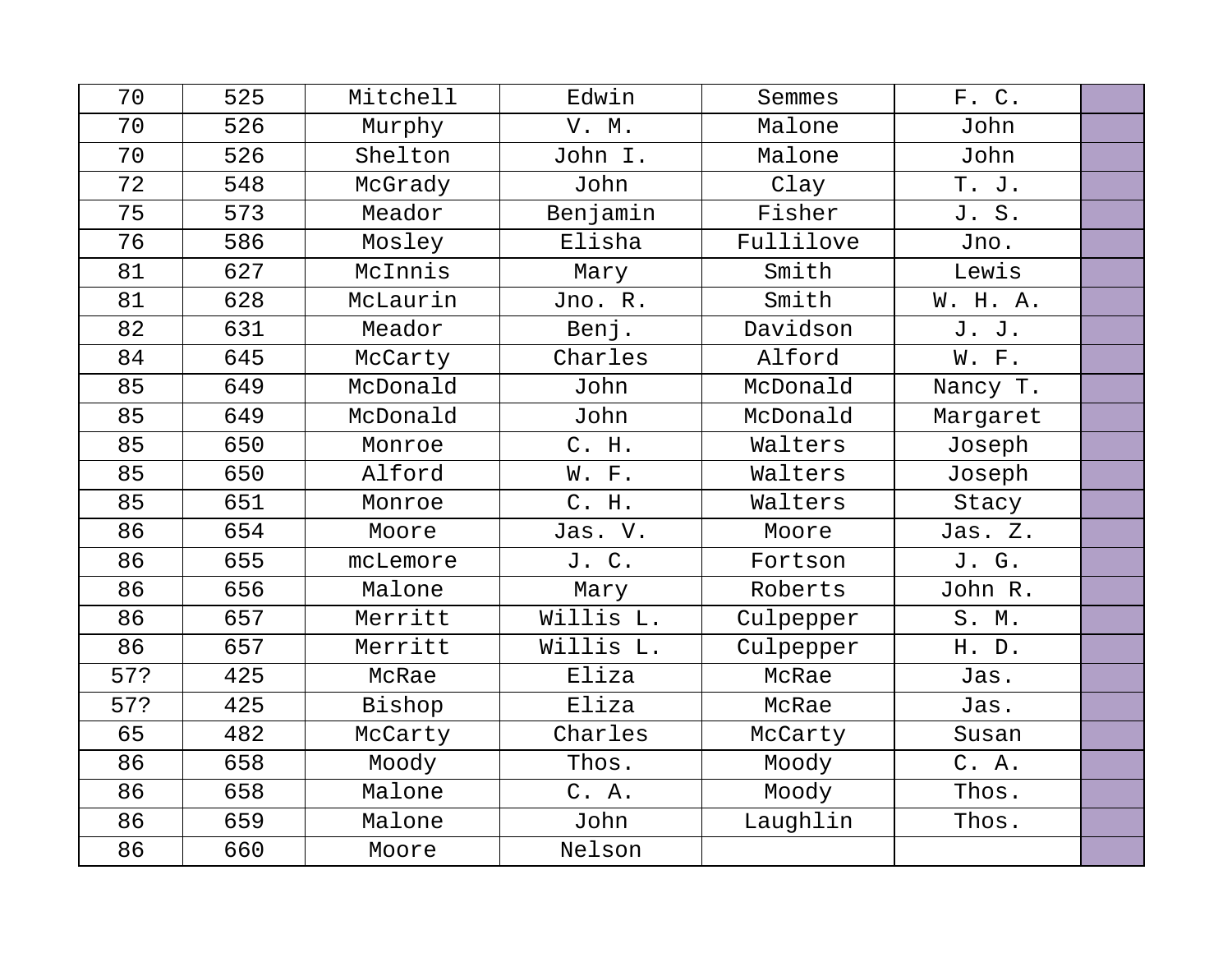| 70  | 525 | Mitchell | Edwin     | Semmes    | F. C.    |  |
|-----|-----|----------|-----------|-----------|----------|--|
| 70  | 526 | Murphy   | V. M.     | Malone    | John     |  |
| 70  | 526 | Shelton  | John I.   | Malone    | John     |  |
| 72  | 548 | McGrady  | John      | Clay      | T. J.    |  |
| 75  | 573 | Meador   | Benjamin  | Fisher    | J. S.    |  |
| 76  | 586 | Mosley   | Elisha    | Fullilove | Jno.     |  |
| 81  | 627 | McInnis  | Mary      | Smith     | Lewis    |  |
| 81  | 628 | McLaurin | Jno. R.   | Smith     | W. H. A. |  |
| 82  | 631 | Meador   | Benj.     | Davidson  | J. J.    |  |
| 84  | 645 | McCarty  | Charles   | Alford    | W. F.    |  |
| 85  | 649 | McDonald | John      | McDonald  | Nancy T. |  |
| 85  | 649 | McDonald | John      | McDonald  | Margaret |  |
| 85  | 650 | Monroe   | C. H.     | Walters   | Joseph   |  |
| 85  | 650 | Alford   | W. F.     | Walters   | Joseph   |  |
| 85  | 651 | Monroe   | C. H.     | Walters   | Stacy    |  |
| 86  | 654 | Moore    | Jas. V.   | Moore     | Jas. Z.  |  |
| 86  | 655 | mcLemore | J. C.     | Fortson   | J. G.    |  |
| 86  | 656 | Malone   | Mary      | Roberts   | John R.  |  |
| 86  | 657 | Merritt  | Willis L. | Culpepper | S. M.    |  |
| 86  | 657 | Merritt  | Willis L. | Culpepper | H. D.    |  |
| 57? | 425 | McRae    | Eliza     | McRae     | Jas.     |  |
| 57? | 425 | Bishop   | Eliza     | McRae     | Jas.     |  |
| 65  | 482 | McCarty  | Charles   | McCarty   | Susan    |  |
| 86  | 658 | Moody    | Thos.     | Moody     | C. A.    |  |
| 86  | 658 | Malone   | C. A.     | Moody     | Thos.    |  |
| 86  | 659 | Malone   | John      | Laughlin  | Thos.    |  |
| 86  | 660 | Moore    | Nelson    |           |          |  |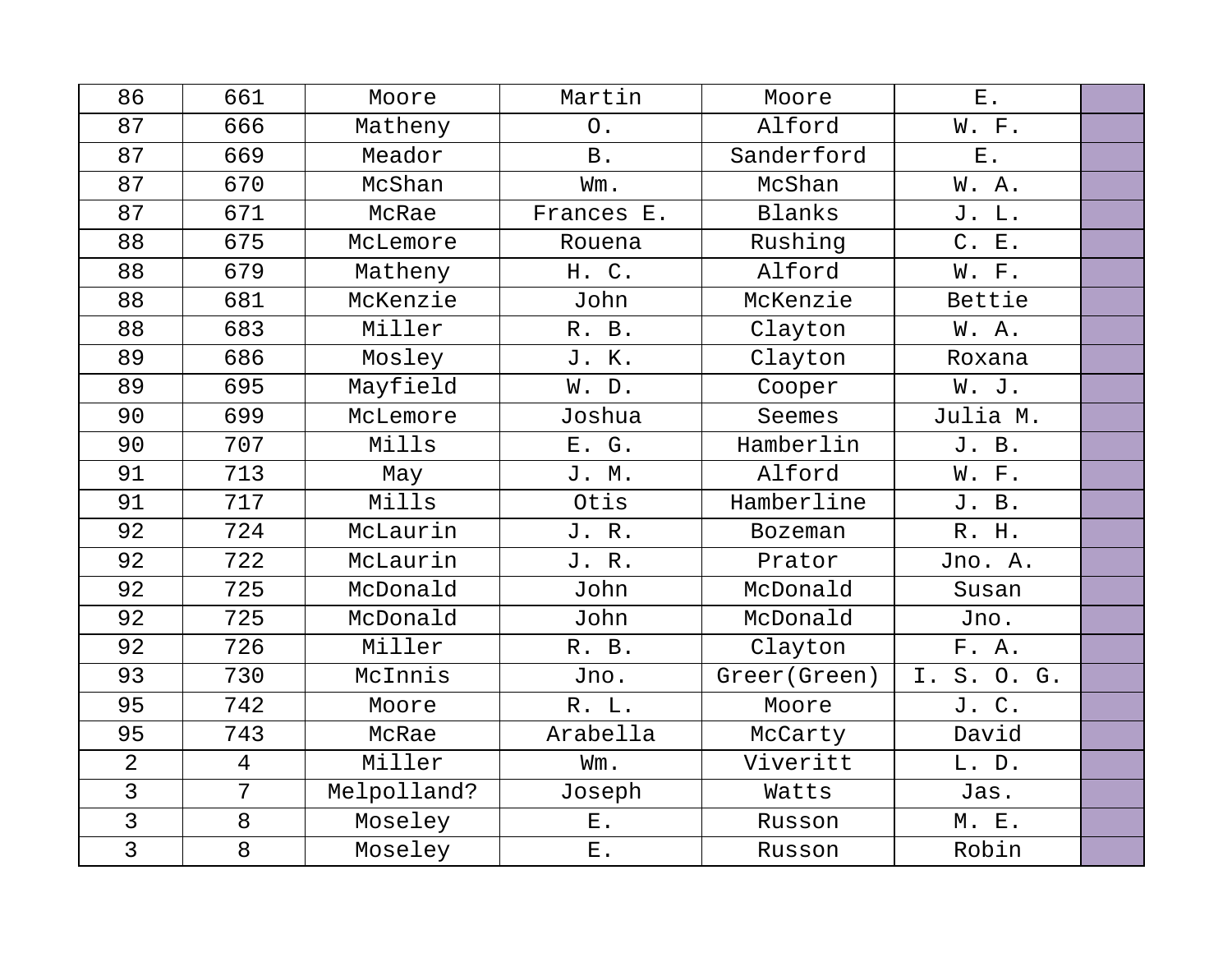| 86             | 661             | Moore       | Martin      | Moore          | $E$ .       |  |
|----------------|-----------------|-------------|-------------|----------------|-------------|--|
| 87             | 666             | Matheny     | $\circ$ .   | Alford         | W. F.       |  |
| 87             | 669             | Meador      | <b>B</b> .  | Sanderford     | $E$ .       |  |
| 87             | 670             | McShan      | Wm.         | McShan         | W.A.        |  |
| 87             | 671             | McRae       | Frances E.  | Blanks         | J. L.       |  |
| 88             | 675             | McLemore    | Rouena      | Rushing        | C. E.       |  |
| 88             | 679             | Matheny     | H. C.       | Alford         | W. F.       |  |
| 88             | 681             | McKenzie    | John        | McKenzie       | Bettie      |  |
| 88             | 683             | Miller      | R. B.       | Clayton        | W.A.        |  |
| 89             | 686             | Mosley      | J. K.       | Clayton        | Roxana      |  |
| 89             | 695             | Mayfield    | W. D.       | Cooper         | W. J.       |  |
| 90             | 699             | McLemore    | Joshua      | Seemes         | Julia M.    |  |
| 90             | 707             | Mills       | E. G.       | Hamberlin      | J. B.       |  |
| 91             | 713             | May         | J. M.       | Alford         | W. F.       |  |
| 91             | 717             | Mills       | Otis        | Hamberline     | J. B.       |  |
| 92             | 724             | McLaurin    | J. R.       | <b>Bozeman</b> | R. H.       |  |
| 92             | 722             | McLaurin    | J.R.        | Prator         | Jno. A.     |  |
| 92             | 725             | McDonald    | John        | McDonald       | Susan       |  |
| 92             | 725             | McDonald    | John        | McDonald       | Jno.        |  |
| 92             | 726             | Miller      | R. B.       | Clayton        | F. A.       |  |
| 93             | 730             | McInnis     | Jno.        | Greer (Green)  | I. S. O. G. |  |
| 95             | 742             | Moore       | R. L.       | Moore          | J. C.       |  |
| 95             | 743             | McRae       | Arabella    | McCarty        | David       |  |
| $\overline{2}$ | $\overline{4}$  | Miller      | Wm.         | Viveritt       | L. D.       |  |
| $\overline{3}$ | $7\overline{ }$ | Melpolland? | Joseph      | Watts          | Jas.        |  |
| $\overline{3}$ | 8               | Moseley     | $E$ .       | Russon         | M. E.       |  |
| $\overline{3}$ | 8               | Moseley     | ${\bf E}$ . | Russon         | Robin       |  |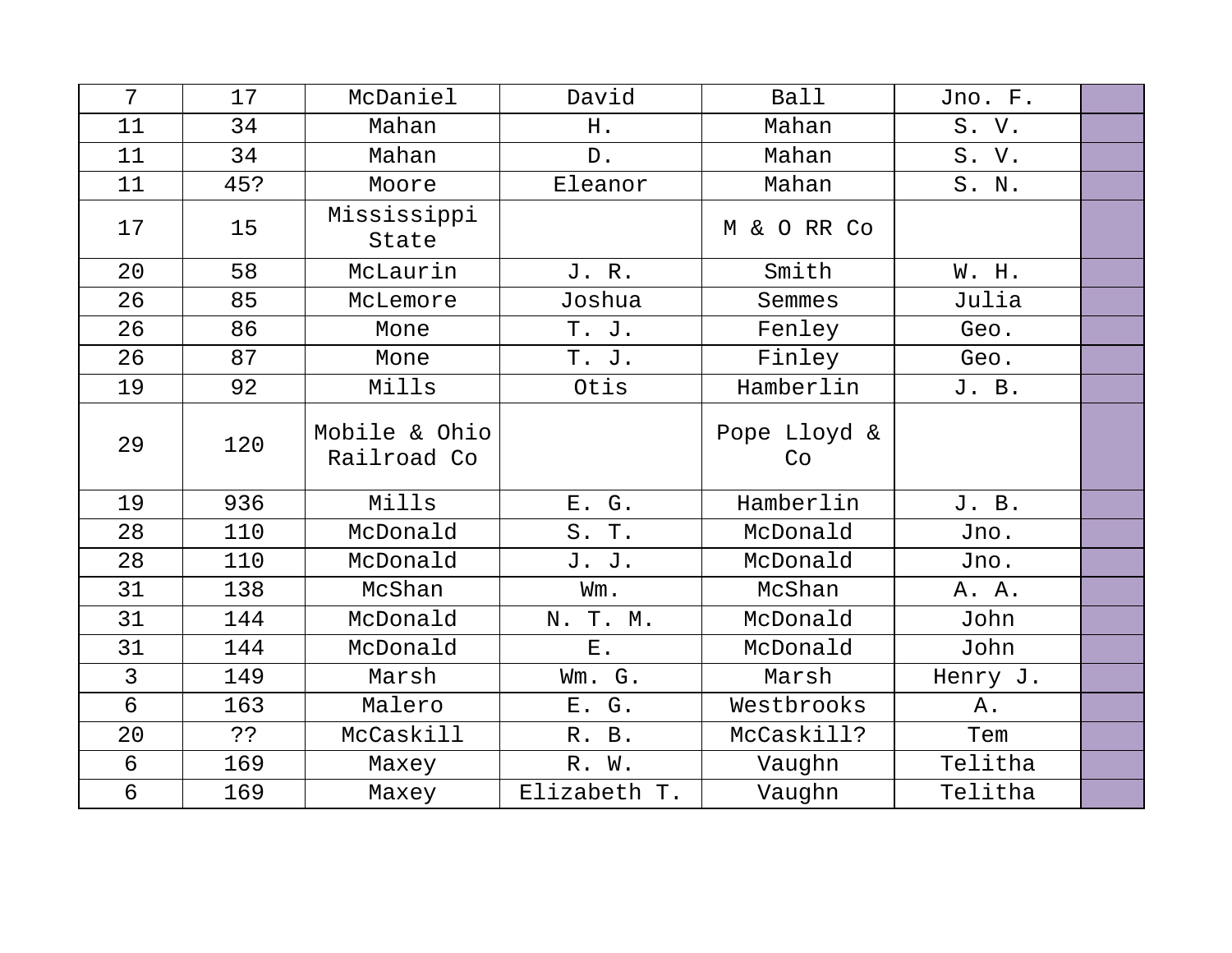| 7                | 17  | McDaniel                     | David        | Ball               | Jno. F.  |  |
|------------------|-----|------------------------------|--------------|--------------------|----------|--|
| 11               | 34  | Mahan                        | H.           | Mahan              | S. V.    |  |
| 11               | 34  | Mahan                        | $D$ .        | Mahan              | S. V.    |  |
| 11               | 45? | Moore                        | Eleanor      | Mahan              | S. N.    |  |
| 17               | 15  | Mississippi<br>State         |              | M & O RR Co        |          |  |
| 20               | 58  | McLaurin                     | J. R.        | Smith              | W. H.    |  |
| 26               | 85  | McLemore                     | Joshua       | Semmes             | Julia    |  |
| 26               | 86  | Mone                         | T. J.        | Fenley             | Geo.     |  |
| 26               | 87  | Mone                         | T. J.        | Finley             | Geo.     |  |
| 19               | 92  | Mills                        | Otis         | Hamberlin          | J. B.    |  |
| 29               | 120 | Mobile & Ohio<br>Railroad Co |              | Pope Lloyd &<br>Co |          |  |
| 19               | 936 | Mills                        | E. G.        | Hamberlin          | J. B.    |  |
| 28               | 110 | McDonald                     | S. T.        | McDonald           | Jno.     |  |
| 28               | 110 | McDonald                     | J. J.        | McDonald           | Jno.     |  |
| 31               | 138 | McShan                       | Wm.          | McShan             | A. A.    |  |
| 31               | 144 | McDonald                     | N. T. M.     | McDonald           | John     |  |
| 31               | 144 | McDonald                     | <b>E</b> .   | McDonald           | John     |  |
| $\overline{3}$   | 149 | Marsh                        | Wm. G.       | Marsh              | Henry J. |  |
| $6 \overline{6}$ | 163 | Malero                       | E. G.        | Westbrooks         | Α.       |  |
| 20               | ??  | McCaskill                    | R. B.        | McCaskill?         | Tem      |  |
| 6                | 169 | Maxey                        | R. W.        | Vaughn             | Telitha  |  |
| $\sigma$         | 169 | Maxey                        | Elizabeth T. | Vaughn             | Telitha  |  |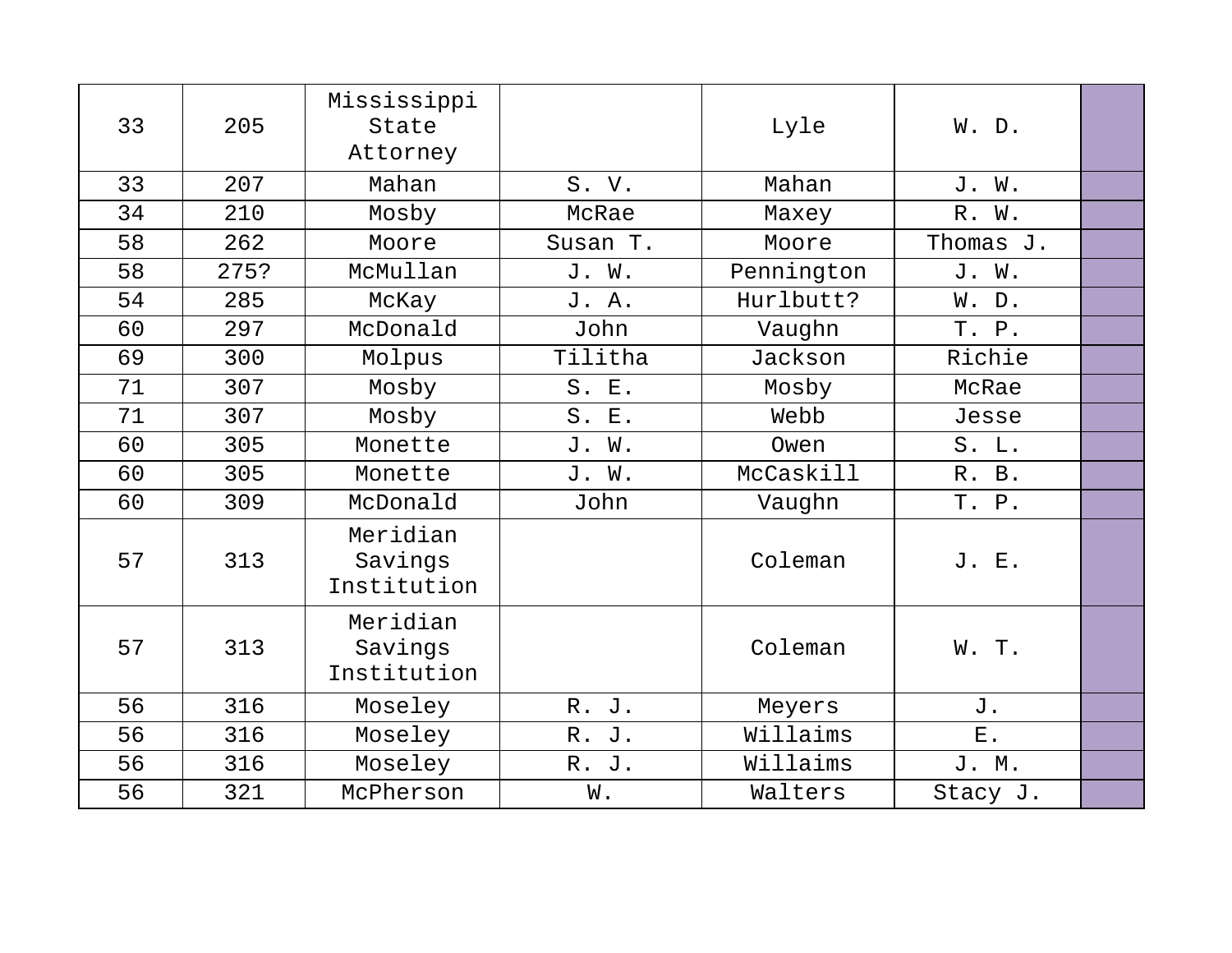| 33 | 205  | Mississippi<br>State<br>Attorney   |          | Lyle       | W. D.       |  |
|----|------|------------------------------------|----------|------------|-------------|--|
| 33 | 207  | Mahan                              | S. V.    | Mahan      | J. W.       |  |
| 34 | 210  | Mosby                              | McRae    | Maxey      | R. W.       |  |
| 58 | 262  | Moore                              | Susan T. | Moore      | Thomas J.   |  |
| 58 | 275? | McMullan                           | J. W.    | Pennington | J. W.       |  |
| 54 | 285  | McKay                              | J. A.    | Hurlbutt?  | W. D.       |  |
| 60 | 297  | McDonald                           | John     | Vaughn     | T. P.       |  |
| 69 | 300  | Molpus                             | Tilitha  | Jackson    | Richie      |  |
| 71 | 307  | Mosby                              | S. E.    | Mosby      | McRae       |  |
| 71 | 307  | Mosby                              | S. E.    | Webb       | Jesse       |  |
| 60 | 305  | Monette                            | J. W.    | Owen       | S. L.       |  |
| 60 | 305  | Monette                            | J. W.    | McCaskill  | R. B.       |  |
| 60 | 309  | McDonald                           | John     | Vaughn     | T. P.       |  |
| 57 | 313  | Meridian<br>Savings<br>Institution |          | Coleman    | J. E.       |  |
| 57 | 313  | Meridian<br>Savings<br>Institution |          | Coleman    | W. T.       |  |
| 56 | 316  | Moseley                            | R. J.    | Meyers     | J.          |  |
| 56 | 316  | Moseley                            | R. J.    | Willaims   | ${\bf E}$ . |  |
| 56 | 316  | Moseley                            | R. J.    | Willaims   | J. M.       |  |
| 56 | 321  | McPherson                          | W.       | Walters    | Stacy J.    |  |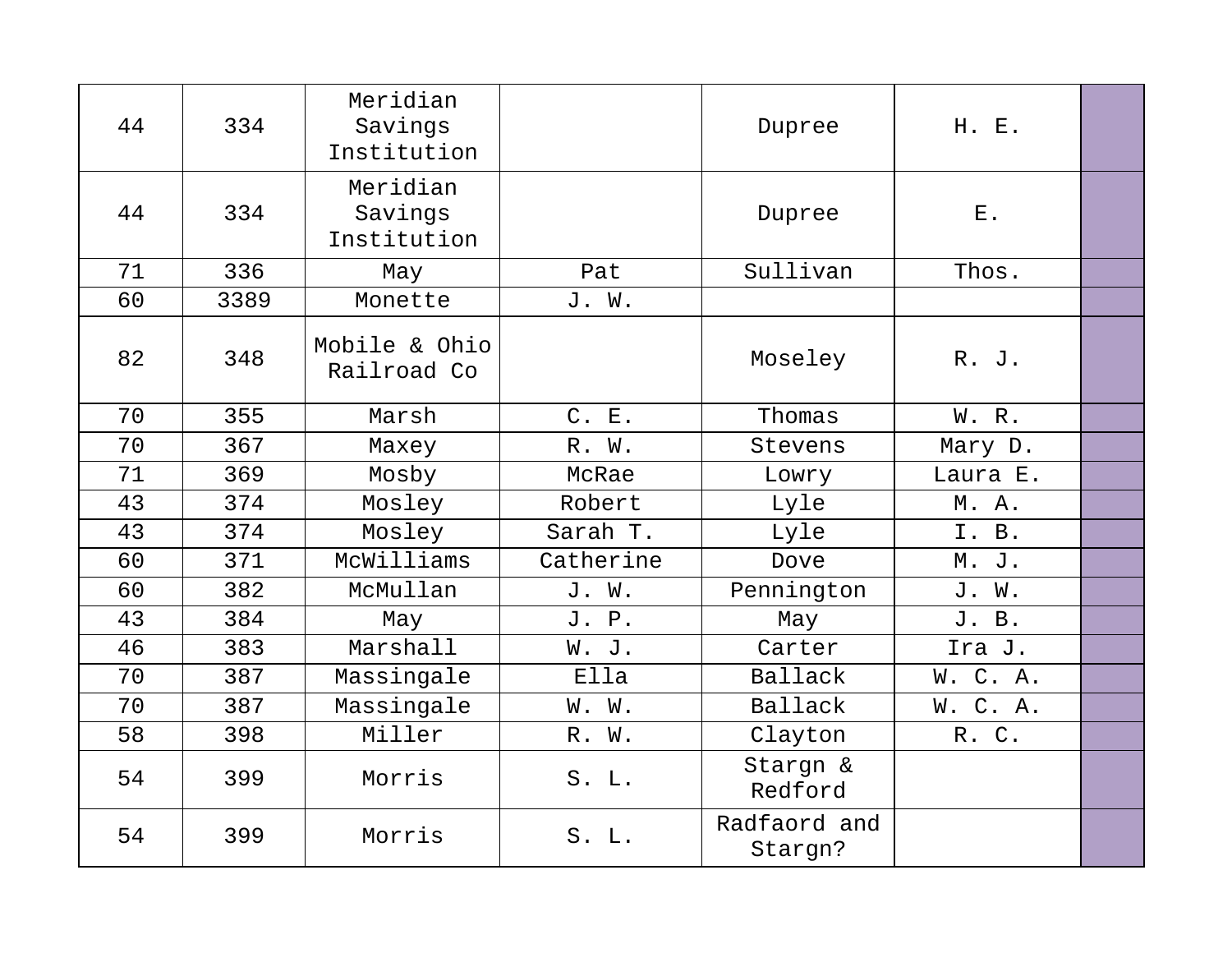| 44 | 334  | Meridian<br>Savings<br>Institution |           | Dupree                  | H. E.       |  |
|----|------|------------------------------------|-----------|-------------------------|-------------|--|
| 44 | 334  | Meridian<br>Savings<br>Institution |           | Dupree                  | ${\bf E}$ . |  |
| 71 | 336  | May                                | Pat       | Sullivan                | Thos.       |  |
| 60 | 3389 | Monette                            | J. W.     |                         |             |  |
| 82 | 348  | Mobile & Ohio<br>Railroad Co       |           | Moseley                 | R. J.       |  |
| 70 | 355  | Marsh                              | C. E.     | Thomas                  | W. R.       |  |
| 70 | 367  | Maxey                              | R. W.     | Stevens                 | Mary D.     |  |
| 71 | 369  | Mosby                              | McRae     | Lowry                   | Laura E.    |  |
| 43 | 374  | Mosley                             | Robert    | Lyle                    | M. A.       |  |
| 43 | 374  | Mosley                             | Sarah T.  | Lyle                    | I. B.       |  |
| 60 | 371  | McWilliams                         | Catherine | Dove                    | M. J.       |  |
| 60 | 382  | McMullan                           | J. W.     | Pennington              | J. W.       |  |
| 43 | 384  | May                                | J. P.     | May                     | J. B.       |  |
| 46 | 383  | Marshall                           | W. J.     | Carter                  | Ira J.      |  |
| 70 | 387  | Massingale                         | Ella      | Ballack                 | W. C. A.    |  |
| 70 | 387  | Massingale                         | W. W.     | Ballack                 | W. C. A.    |  |
| 58 | 398  | Miller                             | R. W.     | Clayton                 | R.C.        |  |
| 54 | 399  | Morris                             | S. L.     | Stargn &<br>Redford     |             |  |
| 54 | 399  | Morris                             | S. L.     | Radfaord and<br>Stargn? |             |  |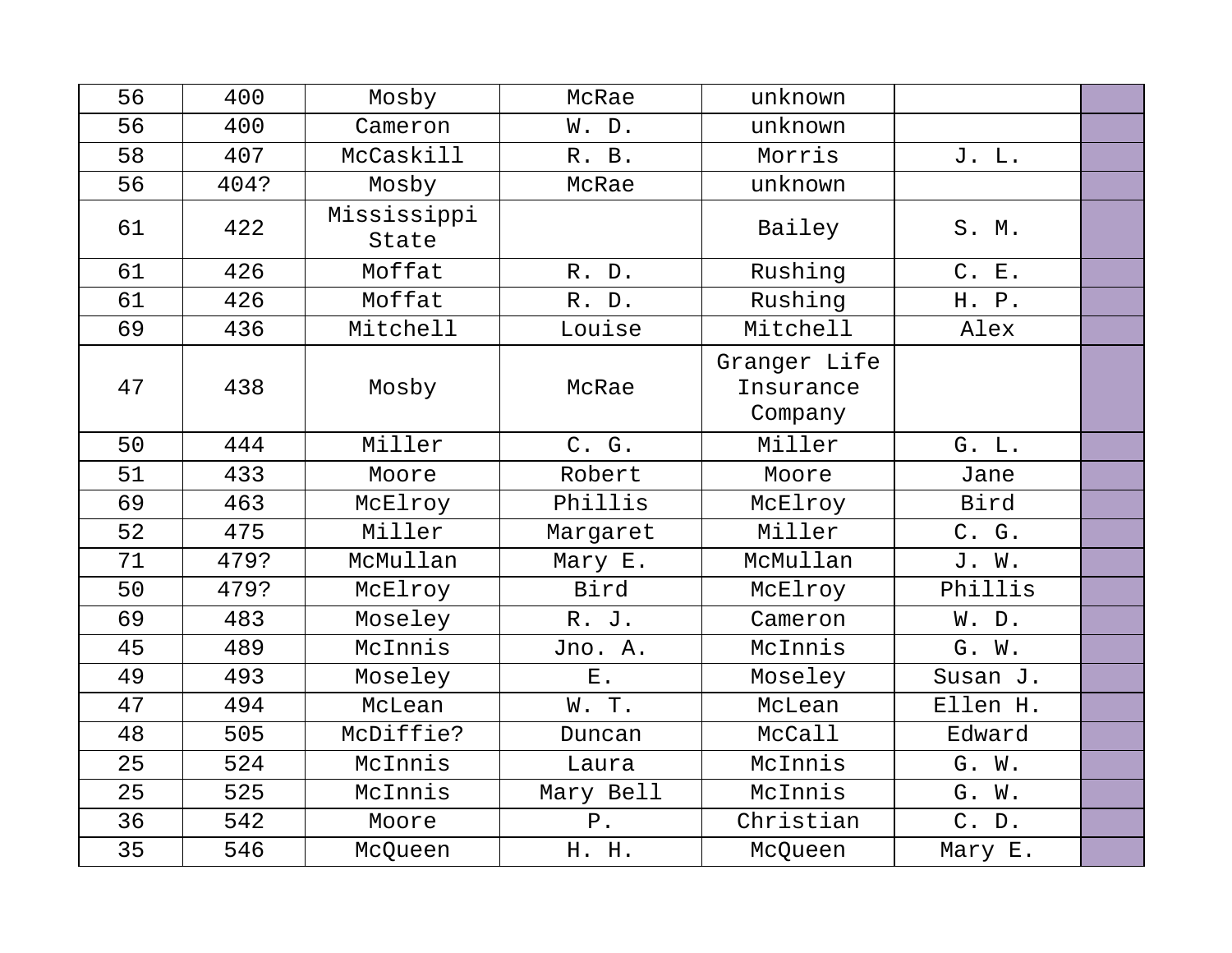| 56 | 400  | Mosby                | McRae       | unknown                              |          |  |
|----|------|----------------------|-------------|--------------------------------------|----------|--|
| 56 | 400  | Cameron              | W. D.       | unknown                              |          |  |
| 58 | 407  | McCaskill            | R. B.       | Morris                               | J. L.    |  |
| 56 | 404? | Mosby                | McRae       | unknown                              |          |  |
| 61 | 422  | Mississippi<br>State |             | Bailey                               | S. M.    |  |
| 61 | 426  | Moffat               | R. D.       | Rushing                              | C. E.    |  |
| 61 | 426  | Moffat               | R. D.       | Rushing                              | H. P.    |  |
| 69 | 436  | Mitchell             | Louise      | Mitchell                             | Alex     |  |
| 47 | 438  | Mosby                | McRae       | Granger Life<br>Insurance<br>Company |          |  |
| 50 | 444  | Miller               | C. G.       | Miller                               | G. L.    |  |
| 51 | 433  | Moore                | Robert      | Moore                                | Jane     |  |
| 69 | 463  | McElroy              | Phillis     | McElroy                              | Bird     |  |
| 52 | 475  | Miller               | Margaret    | Miller                               | C. G.    |  |
| 71 | 479? | McMullan             | Mary E.     | McMullan                             | J. W.    |  |
| 50 | 479? | McElroy              | Bird        | McElroy                              | Phillis  |  |
| 69 | 483  | Moseley              | R. J.       | Cameron                              | W. D.    |  |
| 45 | 489  | McInnis              | Jno. A.     | McInnis                              | G. W.    |  |
| 49 | 493  | Moseley              | ${\bf E}$ . | Moseley                              | Susan J. |  |
| 47 | 494  | McLean               | W.T.        | McLean                               | Ellen H. |  |
| 48 | 505  | McDiffie?            | Duncan      | McCall                               | Edward   |  |
| 25 | 524  | McInnis              | Laura       | McInnis                              | G. W.    |  |
| 25 | 525  | McInnis              | Mary Bell   | McInnis                              | G. W.    |  |
| 36 | 542  | Moore                | ${\tt P}$ . | Christian                            | C. D.    |  |
| 35 | 546  | McQueen              | H. H.       | McQueen                              | Mary E.  |  |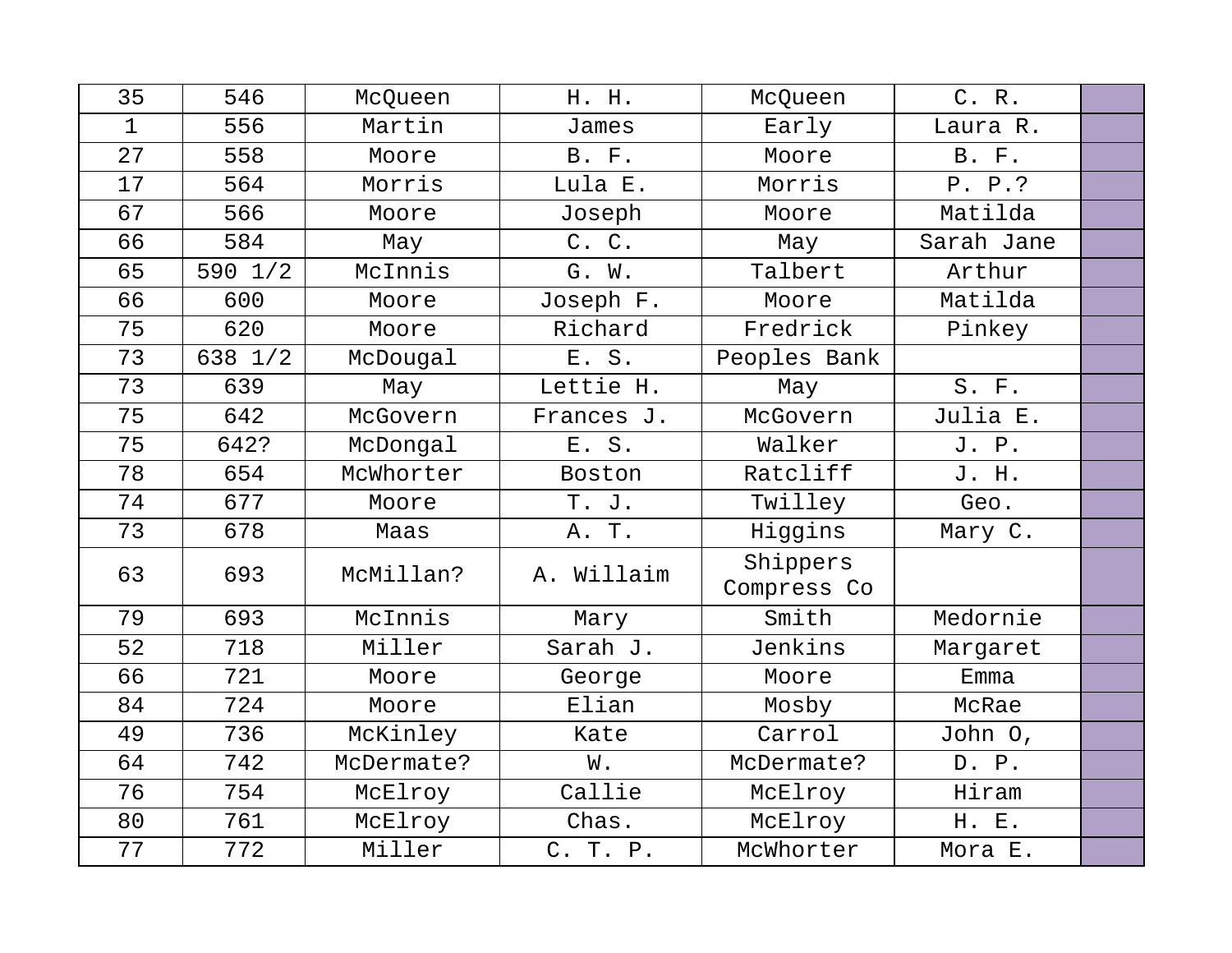| 35          | 546     | McQueen    | H. H.         | McQueen                 | C. R.        |  |
|-------------|---------|------------|---------------|-------------------------|--------------|--|
| $\mathbf 1$ | 556     | Martin     | James         | Early                   | Laura R.     |  |
| 27          | 558     | Moore      | <b>B.</b> F.  | Moore                   | <b>B.</b> F. |  |
| 17          | 564     | Morris     | Lula E.       | Morris                  | P. P. ?      |  |
| 67          | 566     | Moore      | Joseph        | Moore                   | Matilda      |  |
| 66          | 584     | May        | C. C.         | May                     | Sarah Jane   |  |
| 65          | 590 1/2 | McInnis    | G. W.         | Talbert                 | Arthur       |  |
| 66          | 600     | Moore      | Joseph F.     | Moore                   | Matilda      |  |
| 75          | 620     | Moore      | Richard       | Fredrick                | Pinkey       |  |
| 73          | 638 1/2 | McDougal   | E. S.         | Peoples Bank            |              |  |
| 73          | 639     | May        | Lettie H.     | May                     | S. F.        |  |
| 75          | 642     | McGovern   | Frances J.    | McGovern                | Julia E.     |  |
| 75          | 642?    | McDongal   | E. S.         | Walker                  | J. P.        |  |
| 78          | 654     | McWhorter  | Boston        | Ratcliff                | J. H.        |  |
| 74          | 677     | Moore      | T. J.         | Twilley                 | Geo.         |  |
| 73          | 678     | Maas       | A. T.         | Higgins                 | Mary C.      |  |
| 63          | 693     | McMillan?  | Willaim<br>Α. | Shippers<br>Compress Co |              |  |
| 79          | 693     | McInnis    | Mary          | Smith                   | Medornie     |  |
| 52          | 718     | Miller     | Sarah J.      | Jenkins                 | Margaret     |  |
| 66          | 721     | Moore      | George        | Moore                   | Emma         |  |
| 84          | 724     | Moore      | Elian         | Mosby                   | McRae        |  |
| 49          | 736     | McKinley   | Kate          | Carrol                  | John O,      |  |
| 64          | 742     | McDermate? | W.            | McDermate?              | D. P.        |  |
| 76          | 754     | McElroy    | Callie        | McElroy                 | Hiram        |  |
| 80          | 761     | McElroy    | Chas.         | McElroy                 | H. E.        |  |
| 77          | 772     | Miller     | C. T. P.      | McWhorter               | Mora E.      |  |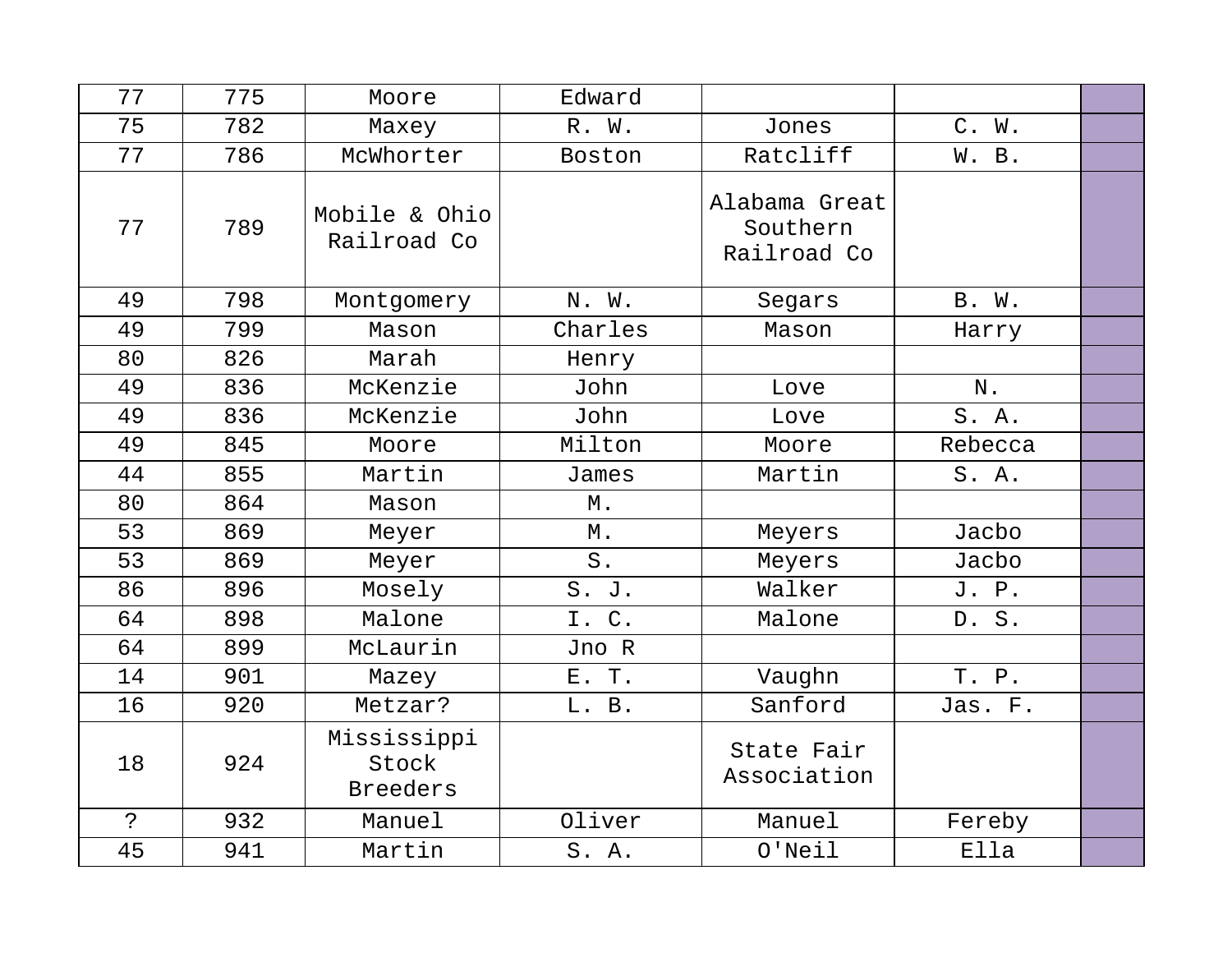| 77           | 775 | Moore                                   | Edward  |                                          |         |  |
|--------------|-----|-----------------------------------------|---------|------------------------------------------|---------|--|
| 75           | 782 | Maxey                                   | R. W.   | Jones                                    | C. W.   |  |
| 77           | 786 | McWhorter                               | Boston  | Ratcliff                                 | W. B.   |  |
| 77           | 789 | Mobile & Ohio<br>Railroad Co            |         | Alabama Great<br>Southern<br>Railroad Co |         |  |
| 49           | 798 | Montgomery                              | N. W.   | Segars                                   | B. W.   |  |
| 49           | 799 | Mason                                   | Charles | Mason                                    | Harry   |  |
| 80           | 826 | Marah                                   | Henry   |                                          |         |  |
| 49           | 836 | McKenzie                                | John    | Love                                     | N.      |  |
| 49           | 836 | McKenzie                                | John    | Love                                     | S. A.   |  |
| 49           | 845 | Moore                                   | Milton  | Moore                                    | Rebecca |  |
| 44           | 855 | Martin                                  | James   | Martin                                   | S. A.   |  |
| 80           | 864 | Mason                                   | Μ.      |                                          |         |  |
| 53           | 869 | Meyer                                   | М.      | Meyers                                   | Jacbo   |  |
| 53           | 869 | Meyer                                   | $S$ .   | Meyers                                   | Jacbo   |  |
| 86           | 896 | Mosely                                  | S. J.   | Walker                                   | J. P.   |  |
| 64           | 898 | Malone                                  | I. C.   | Malone                                   | D. S.   |  |
| 64           | 899 | McLaurin                                | Jno R   |                                          |         |  |
| 14           | 901 | Mazey                                   | E. T.   | Vaughn                                   | T. P.   |  |
| 16           | 920 | Metzar?                                 | L. B.   | Sanford                                  | Jas. F. |  |
| 18           | 924 | Mississippi<br>Stock<br><b>Breeders</b> |         | State Fair<br>Association                |         |  |
| $\mathbf{S}$ | 932 | Manuel                                  | Oliver  | Manuel                                   | Fereby  |  |
| 45           | 941 | Martin                                  | S. A.   | $O'$ Neil                                | Ella    |  |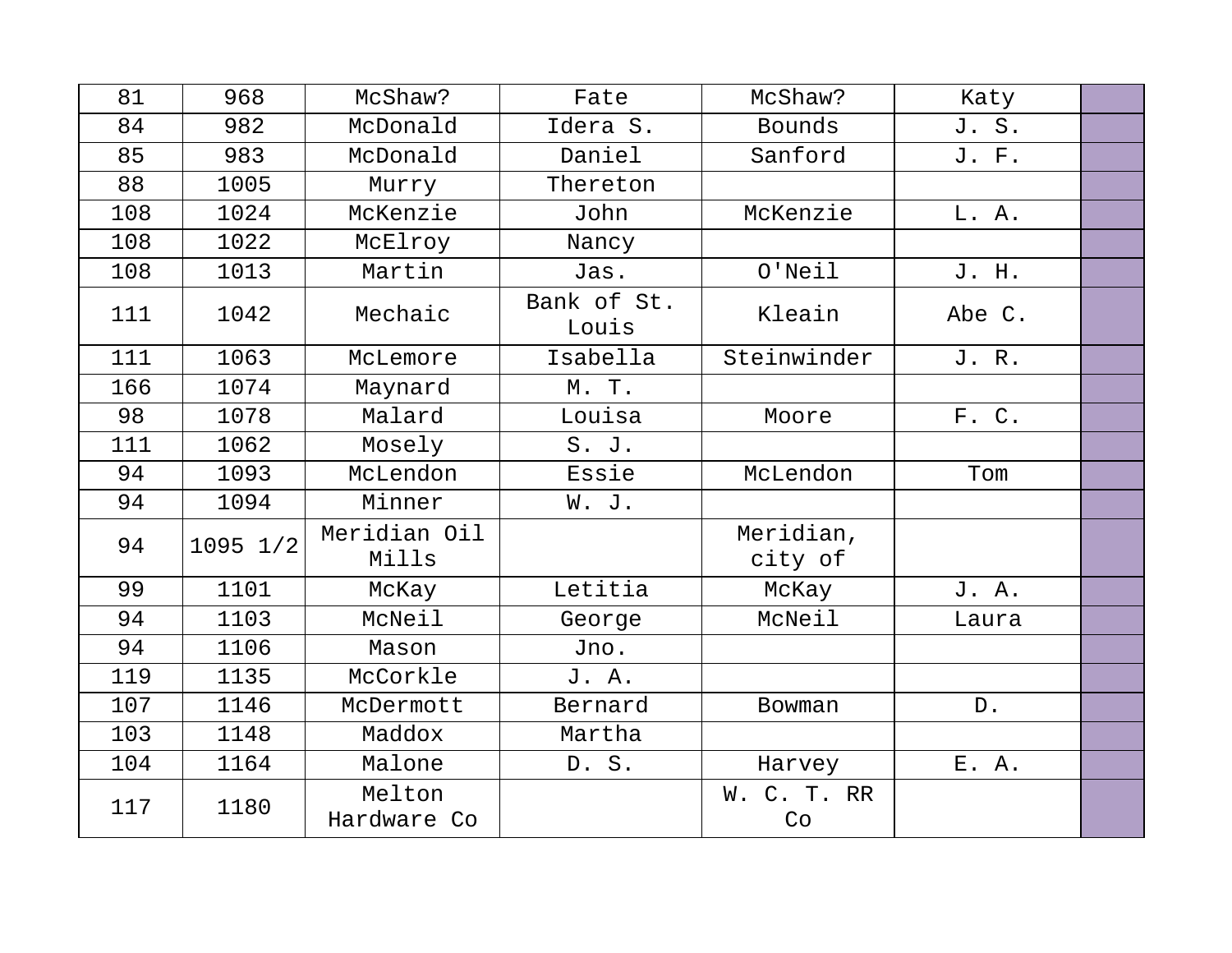| 81  | 968      | McShaw?               | Fate                 | McShaw?              | Katy   |  |
|-----|----------|-----------------------|----------------------|----------------------|--------|--|
| 84  | 982      | McDonald              | Idera S.             | <b>Bounds</b>        | J. S.  |  |
| 85  | 983      | McDonald              | Daniel               | Sanford              | J. F.  |  |
| 88  | 1005     | Murry                 | Thereton             |                      |        |  |
| 108 | 1024     | McKenzie              | John                 | McKenzie             | L. A.  |  |
| 108 | 1022     | McElroy               | Nancy                |                      |        |  |
| 108 | 1013     | Martin                | Jas.                 | $O'$ Neil            | J. H.  |  |
| 111 | 1042     | Mechaic               | Bank of St.<br>Louis | Kleain               | Abe C. |  |
| 111 | 1063     | McLemore              | Isabella             | Steinwinder          | J. R.  |  |
| 166 | 1074     | Maynard               | M. T.                |                      |        |  |
| 98  | 1078     | Malard                | Louisa               | Moore                | F. C.  |  |
| 111 | 1062     | Mosely                | S. J.                |                      |        |  |
| 94  | 1093     | McLendon              | Essie                | McLendon             | Tom    |  |
| 94  | 1094     | Minner                | W. J.                |                      |        |  |
| 94  | 1095 1/2 | Meridian Oil<br>Mills |                      | Meridian,<br>city of |        |  |
| 99  | 1101     | McKay                 | Letitia              | McKay                | J. A.  |  |
| 94  | 1103     | McNeil                | George               | McNeil               | Laura  |  |
| 94  | 1106     | Mason                 | Jno.                 |                      |        |  |
| 119 | 1135     | McCorkle              | J. A.                |                      |        |  |
| 107 | 1146     | McDermott             | Bernard              | Bowman               | D.     |  |
| 103 | 1148     | Maddox                | Martha               |                      |        |  |
| 104 | 1164     | Malone                | D. S.                | Harvey               | E. A.  |  |
| 117 | 1180     | Melton<br>Hardware Co |                      | C. T. RR<br>W.<br>Co |        |  |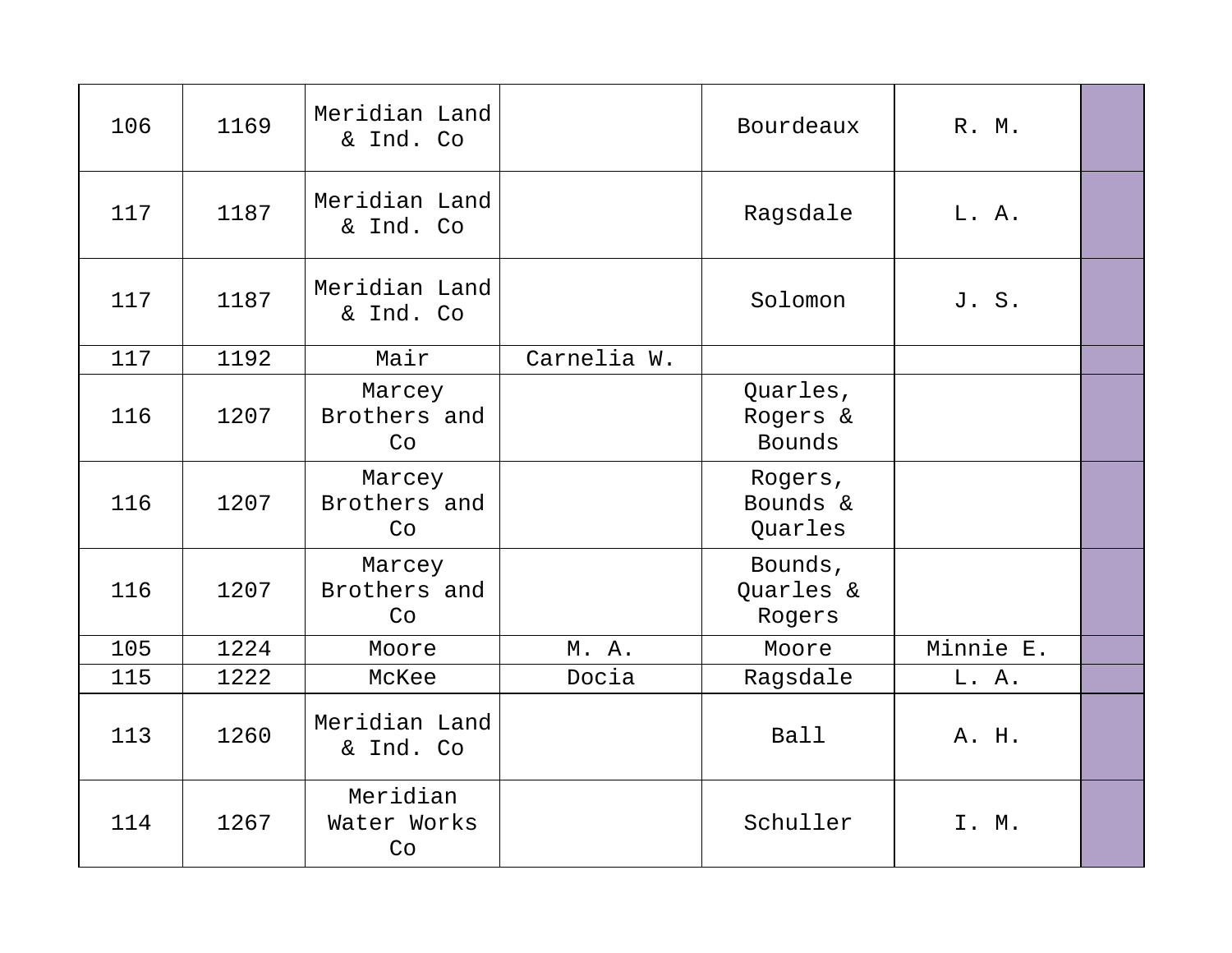| 106 | 1169 | Meridian Land<br>& Ind. Co    |             | Bourdeaux                             | R. M.     |  |
|-----|------|-------------------------------|-------------|---------------------------------------|-----------|--|
| 117 | 1187 | Meridian Land<br>& Ind. Co    |             | Ragsdale                              | L. A.     |  |
| 117 | 1187 | Meridian Land<br>& Ind. Co    |             | Solomon                               | J. S.     |  |
| 117 | 1192 | Mair                          | Carnelia W. |                                       |           |  |
| 116 | 1207 | Marcey<br>Brothers and<br>Co  |             | Quarles,<br>Rogers &<br><b>Bounds</b> |           |  |
| 116 | 1207 | Marcey<br>Brothers and<br>Co  |             | Rogers,<br>Bounds &<br>Quarles        |           |  |
| 116 | 1207 | Marcey<br>Brothers and<br>Co  |             | Bounds,<br>Quarles &<br>Rogers        |           |  |
| 105 | 1224 | Moore                         | M. A.       | Moore                                 | Minnie E. |  |
| 115 | 1222 | McKee                         | Docia       | Ragsdale                              | L. A.     |  |
| 113 | 1260 | Meridian Land<br>& Ind. Co    |             | <b>Ball</b>                           | A. H.     |  |
| 114 | 1267 | Meridian<br>Water Works<br>Co |             | Schuller                              | I. M.     |  |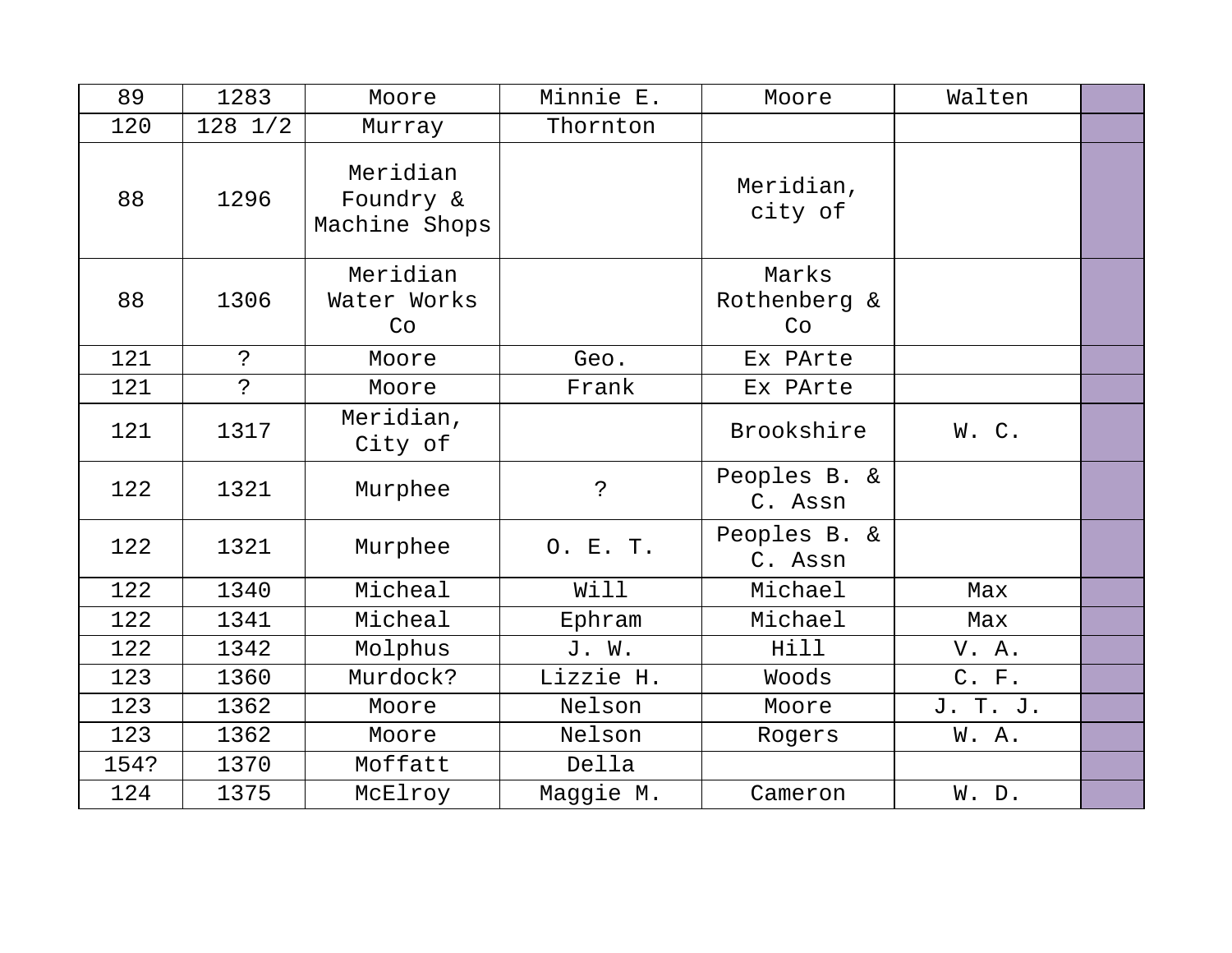| 89   | 1283         | Moore                                  | Minnie E. | Moore                       | Walten   |  |
|------|--------------|----------------------------------------|-----------|-----------------------------|----------|--|
| 120  | $128$ $1/2$  | Murray                                 | Thornton  |                             |          |  |
| 88   | 1296         | Meridian<br>Foundry &<br>Machine Shops |           | Meridian,<br>city of        |          |  |
| 88   | 1306         | Meridian<br>Water Works<br>Co          |           | Marks<br>Rothenberg &<br>Co |          |  |
| 121  | $\mathbf{P}$ | Moore                                  | Geo.      | Ex PArte                    |          |  |
| 121  | $\ddot{ }$   | Moore                                  | Frank     | Ex PArte                    |          |  |
| 121  | 1317         | Meridian,<br>City of                   |           | Brookshire                  | W. C.    |  |
| 122  | 1321         | Murphee                                | ?         | Peoples B. &<br>C. Assn     |          |  |
| 122  | 1321         | Murphee                                | O. E. T.  | Peoples B. &<br>C. Assn     |          |  |
| 122  | 1340         | Micheal                                | Will      | Michael                     | Max      |  |
| 122  | 1341         | Micheal                                | Ephram    | Michael                     | Max      |  |
| 122  | 1342         | Molphus                                | J. W.     | Hill                        | V. A.    |  |
| 123  | 1360         | Murdock?                               | Lizzie H. | Woods                       | C. F.    |  |
| 123  | 1362         | Moore                                  | Nelson    | Moore                       | J. T. J. |  |
| 123  | 1362         | Moore                                  | Nelson    | Rogers                      | W.A.     |  |
| 154? | 1370         | Moffatt                                | Della     |                             |          |  |
| 124  | 1375         | McElroy                                | Maggie M. | Cameron                     | W. D.    |  |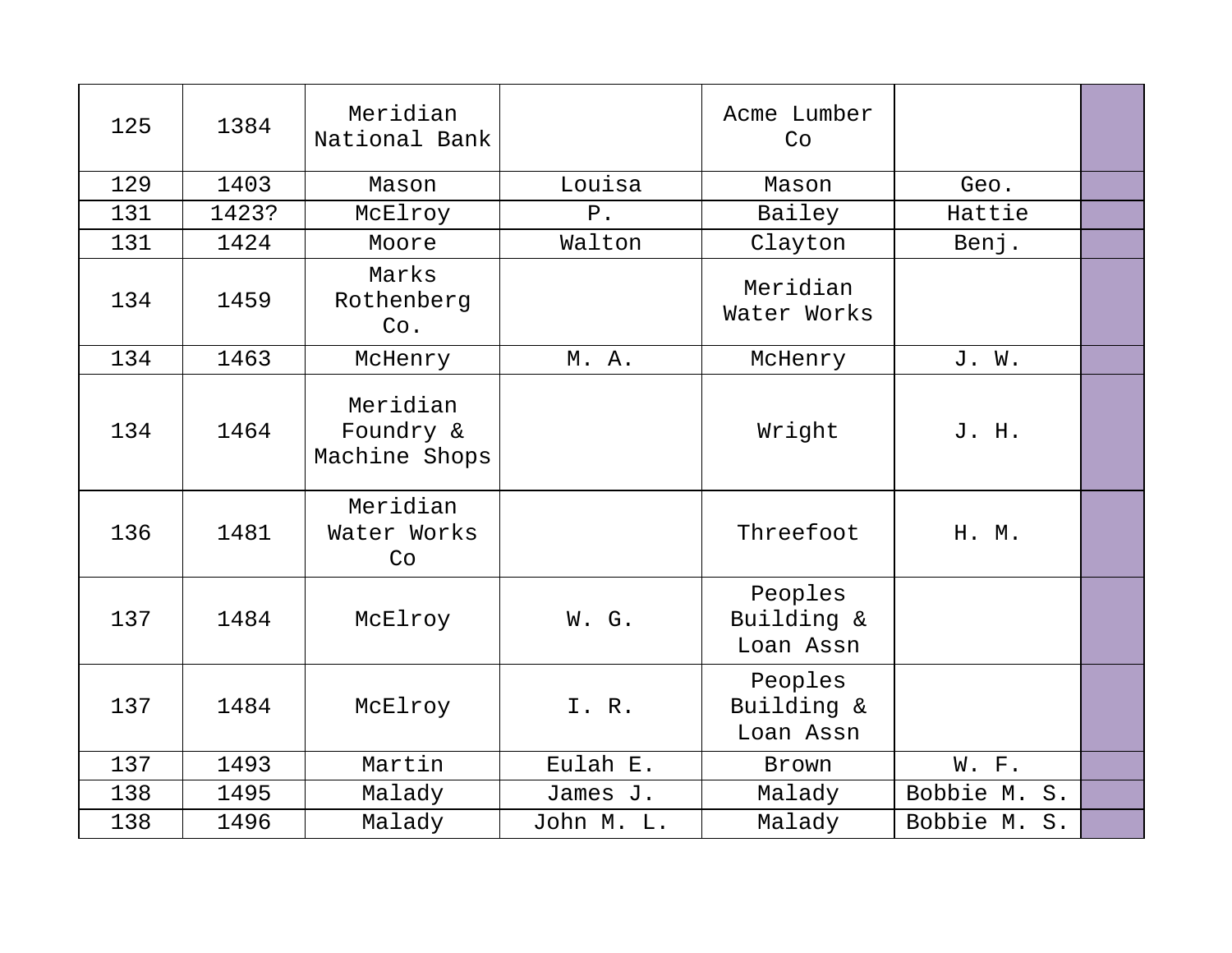| 125 | 1384  | Meridian<br>National Bank              |            | Acme Lumber<br>Co                  |                    |  |
|-----|-------|----------------------------------------|------------|------------------------------------|--------------------|--|
| 129 | 1403  | Mason                                  | Louisa     | Mason                              | Geo.               |  |
| 131 | 1423? | McElroy                                | $P$ .      | Bailey                             | Hattie             |  |
| 131 | 1424  | Moore                                  | Walton     | Clayton                            | Benj.              |  |
| 134 | 1459  | Marks<br>Rothenberg<br>Co.             |            | Meridian<br>Water Works            |                    |  |
| 134 | 1463  | McHenry                                | M. A.      | McHenry                            | J. W.              |  |
| 134 | 1464  | Meridian<br>Foundry &<br>Machine Shops |            | Wright                             | J. H.              |  |
| 136 | 1481  | Meridian<br>Water Works<br>Co          |            | Threefoot                          | H. M.              |  |
| 137 | 1484  | McElroy                                | W. G.      | Peoples<br>Building &<br>Loan Assn |                    |  |
| 137 | 1484  | McElroy                                | I. R.      | Peoples<br>Building &<br>Loan Assn |                    |  |
| 137 | 1493  | Martin                                 | Eulah E.   | Brown                              | W. F.              |  |
| 138 | 1495  | Malady                                 | James J.   | Malady                             | Bobbie M.<br>$S$ . |  |
| 138 | 1496  | Malady                                 | John M. L. | Malady                             | Bobbie M. S.       |  |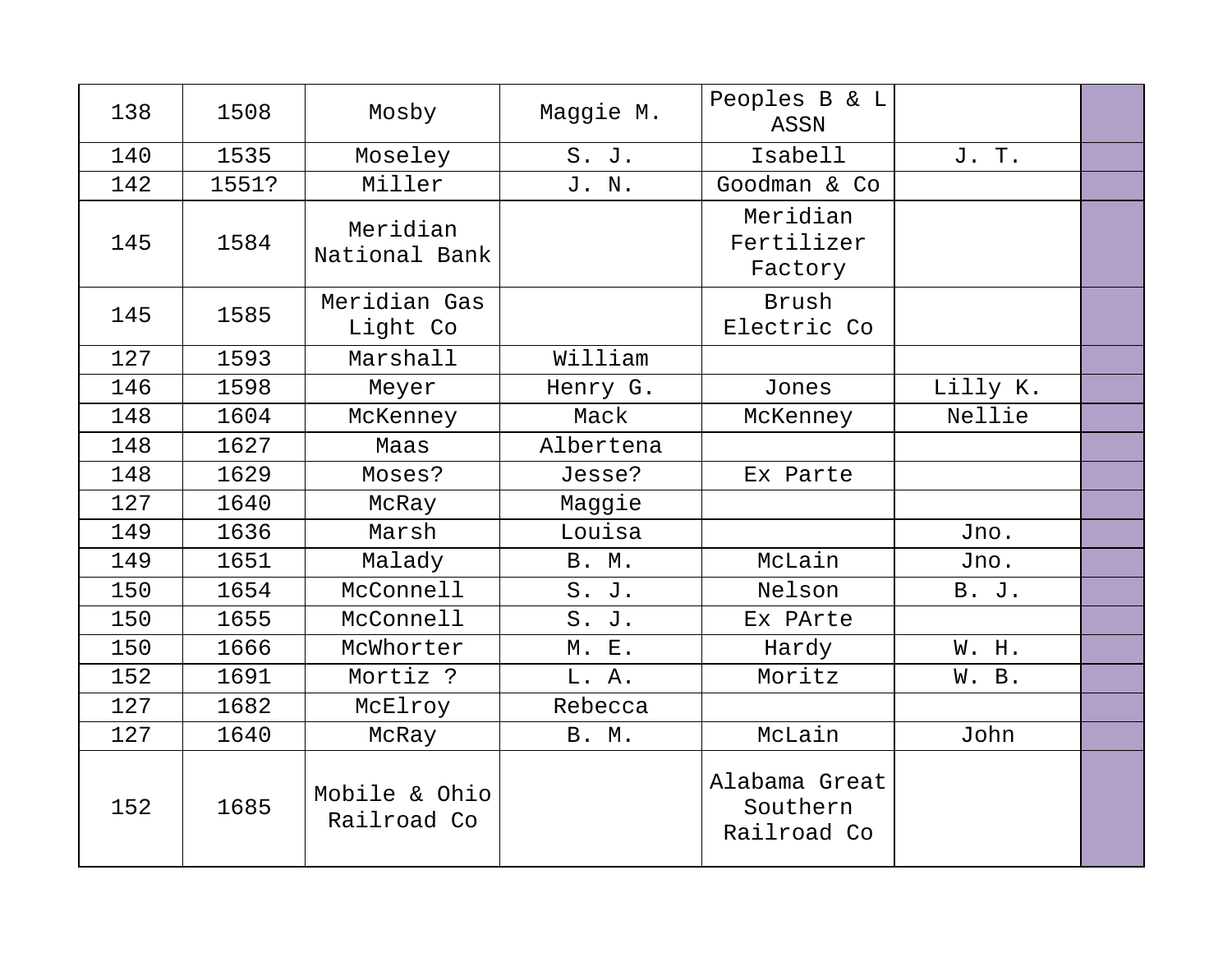| 138 | 1508  | Mosby                        | Maggie M.    | Peoples B & L<br>ASSN                    |          |  |
|-----|-------|------------------------------|--------------|------------------------------------------|----------|--|
| 140 | 1535  | Moseley                      | S. J.        | Isabell                                  | J. T.    |  |
| 142 | 1551? | Miller                       | J. N.        | Goodman & Co                             |          |  |
| 145 | 1584  | Meridian<br>National Bank    |              | Meridian<br>Fertilizer<br>Factory        |          |  |
| 145 | 1585  | Meridian Gas<br>Light Co     |              | Brush<br>Electric Co                     |          |  |
| 127 | 1593  | Marshall                     | William      |                                          |          |  |
| 146 | 1598  | Meyer                        | Henry G.     | Jones                                    | Lilly K. |  |
| 148 | 1604  | McKenney                     | Mack         | McKenney                                 | Nellie   |  |
| 148 | 1627  | Maas                         | Albertena    |                                          |          |  |
| 148 | 1629  | Moses?                       | Jesse?       | Ex Parte                                 |          |  |
| 127 | 1640  | McRay                        | Maggie       |                                          |          |  |
| 149 | 1636  | Marsh                        | Louisa       |                                          | Jno.     |  |
| 149 | 1651  | Malady                       | <b>B. M.</b> | McLain                                   | Jno.     |  |
| 150 | 1654  | McConnell                    | S. J.        | Nelson                                   | B. J.    |  |
| 150 | 1655  | McConnell                    | S. J.        | Ex PArte                                 |          |  |
| 150 | 1666  | McWhorter                    | M. E.        | Hardy                                    | W. H.    |  |
| 152 | 1691  | Mortiz ?                     | L. A.        | Moritz                                   | W. B.    |  |
| 127 | 1682  | McElroy                      | Rebecca      |                                          |          |  |
| 127 | 1640  | McRay                        | <b>B. M.</b> | McLain                                   | John     |  |
| 152 | 1685  | Mobile & Ohio<br>Railroad Co |              | Alabama Great<br>Southern<br>Railroad Co |          |  |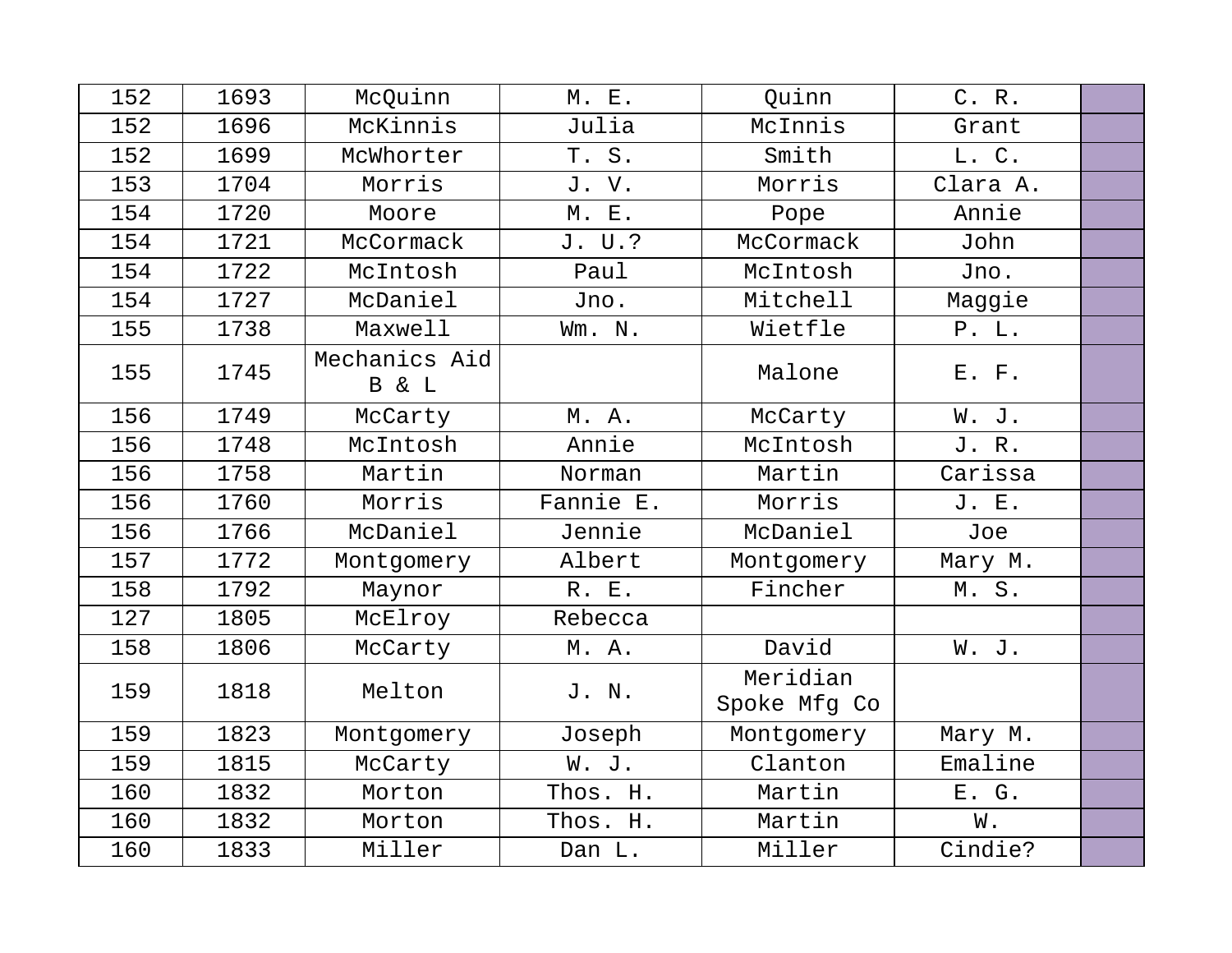| 152 | 1693 | McQuinn                | M. E.     | Quinn                    | C. R.    |  |
|-----|------|------------------------|-----------|--------------------------|----------|--|
| 152 | 1696 | McKinnis               | Julia     | McInnis                  | Grant    |  |
| 152 | 1699 | McWhorter              | T. S.     | Smith                    | L. C.    |  |
| 153 | 1704 | Morris                 | J. V.     | Morris                   | Clara A. |  |
| 154 | 1720 | Moore                  | M. E.     | Pope                     | Annie    |  |
| 154 | 1721 | McCormack              | J. U.?    | McCormack                | John     |  |
| 154 | 1722 | McIntosh               | Paul      | McIntosh                 | Jno.     |  |
| 154 | 1727 | McDaniel               | Jno.      | Mitchell                 | Maggie   |  |
| 155 | 1738 | Maxwell                | Wm. N.    | Wietfle                  | P. L.    |  |
| 155 | 1745 | Mechanics Aid<br>B & L |           | Malone                   | E. F.    |  |
| 156 | 1749 | McCarty                | M. A.     | McCarty                  | W. J.    |  |
| 156 | 1748 | McIntosh               | Annie     | McIntosh                 | J. R.    |  |
| 156 | 1758 | Martin                 | Norman    | Martin                   | Carissa  |  |
| 156 | 1760 | Morris                 | Fannie E. | Morris                   | J. E.    |  |
| 156 | 1766 | McDaniel               | Jennie    | McDaniel                 | Joe      |  |
| 157 | 1772 | Montgomery             | Albert    | Montgomery               | Mary M.  |  |
| 158 | 1792 | Maynor                 | R. E.     | Fincher                  | M.S.     |  |
| 127 | 1805 | McElroy                | Rebecca   |                          |          |  |
| 158 | 1806 | McCarty                | M.A.      | David                    | W. J.    |  |
| 159 | 1818 | Melton                 | J. N.     | Meridian<br>Spoke Mfg Co |          |  |
| 159 | 1823 | Montgomery             | Joseph    | Montgomery               | Mary M.  |  |
| 159 | 1815 | McCarty                | W. J.     | Clanton                  | Emaline  |  |
| 160 | 1832 | Morton                 | Thos. H.  | Martin                   | E. G.    |  |
| 160 | 1832 | Morton                 | Thos. H.  | Martin                   | W.       |  |
| 160 | 1833 | Miller                 | Dan L.    | Miller                   | Cindie?  |  |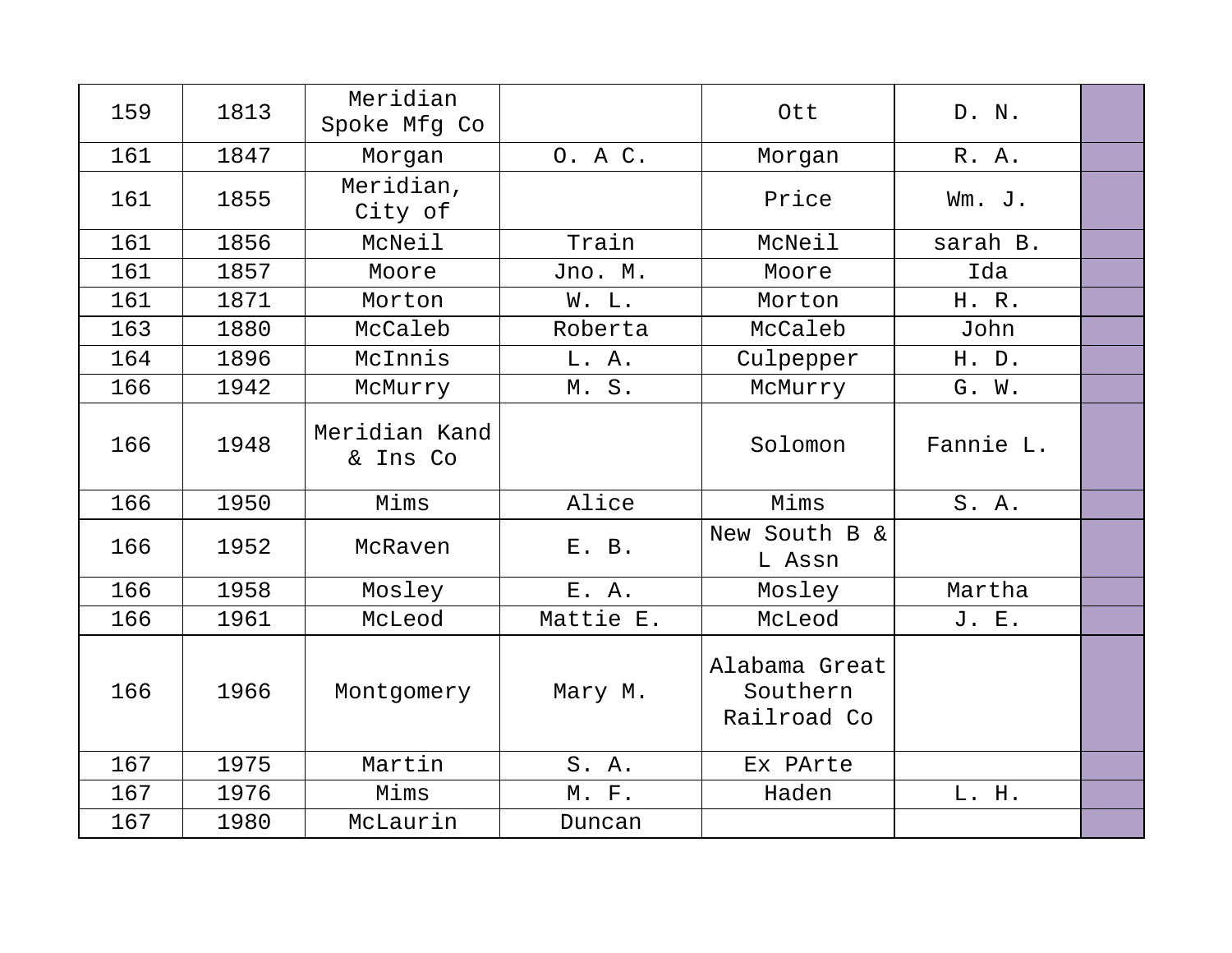| 159 | 1813 | Meridian<br>Spoke Mfg Co  |           | Ott                                      | D. N.     |  |
|-----|------|---------------------------|-----------|------------------------------------------|-----------|--|
| 161 | 1847 | Morgan                    | 0. A C.   | Morgan                                   | R. A.     |  |
| 161 | 1855 | Meridian,<br>City of      |           | Price                                    | Wm. J.    |  |
| 161 | 1856 | McNeil                    | Train     | McNeil                                   | sarah B.  |  |
| 161 | 1857 | Moore                     | Jno. M.   | Moore                                    | Ida       |  |
| 161 | 1871 | Morton                    | W. L.     | Morton                                   | H. R.     |  |
| 163 | 1880 | McCaleb                   | Roberta   | McCaleb                                  | John      |  |
| 164 | 1896 | McInnis                   | L. A.     | Culpepper                                | H. D.     |  |
| 166 | 1942 | McMurry                   | M.S.      | McMurry                                  | G. W.     |  |
| 166 | 1948 | Meridian Kand<br>& Ins Co |           | Solomon                                  | Fannie L. |  |
| 166 | 1950 | Mims                      | Alice     | Mims                                     | S. A.     |  |
| 166 | 1952 | McRaven                   | E. B.     | New South B &<br>L Assn                  |           |  |
| 166 | 1958 | Mosley                    | E. A.     | Mosley                                   | Martha    |  |
| 166 | 1961 | McLeod                    | Mattie E. | McLeod                                   | J. E.     |  |
| 166 | 1966 | Montgomery                | Mary M.   | Alabama Great<br>Southern<br>Railroad Co |           |  |
| 167 | 1975 | Martin                    | S. A.     | Ex PArte                                 |           |  |
| 167 | 1976 | Mims                      | $M.$ $F.$ | Haden                                    | L. H.     |  |
| 167 | 1980 | McLaurin                  | Duncan    |                                          |           |  |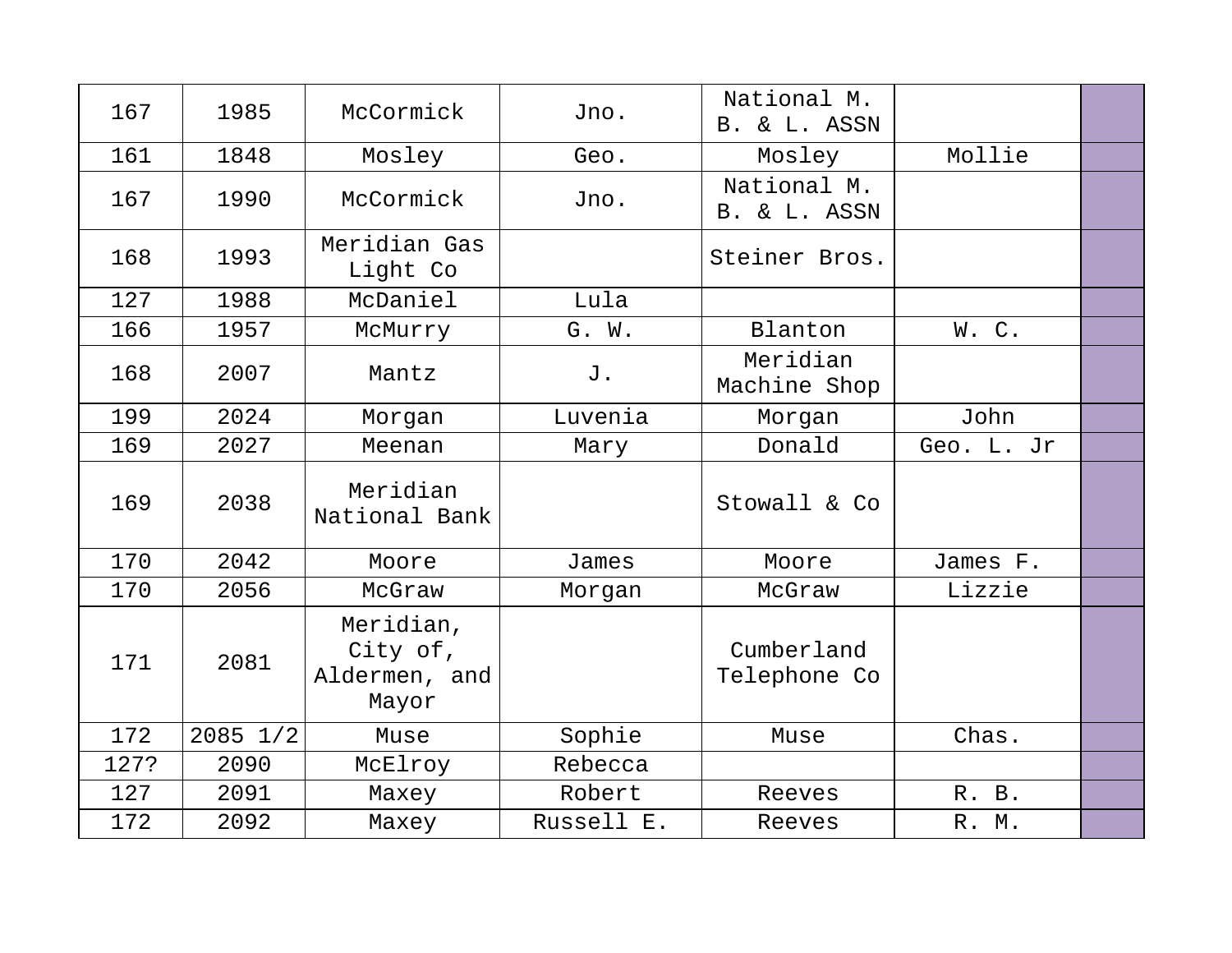| 167  | 1985     | McCormick                                       | Jno.       | National M.<br>B. & L. ASSN |            |  |
|------|----------|-------------------------------------------------|------------|-----------------------------|------------|--|
| 161  | 1848     | Mosley                                          | Geo.       | Mosley                      | Mollie     |  |
| 167  | 1990     | McCormick                                       | Jno.       | National M.<br>B. & L. ASSN |            |  |
| 168  | 1993     | Meridian Gas<br>Light Co                        |            | Steiner Bros.               |            |  |
| 127  | 1988     | McDaniel                                        | Lula       |                             |            |  |
| 166  | 1957     | McMurry                                         | G. W.      | Blanton                     | W.C.       |  |
| 168  | 2007     | Mantz                                           | J.         | Meridian<br>Machine Shop    |            |  |
| 199  | 2024     | Morgan                                          | Luvenia    | Morgan                      | John       |  |
| 169  | 2027     | Meenan                                          | Mary       | Donald                      | Geo. L. Jr |  |
| 169  | 2038     | Meridian<br>National Bank                       |            | Stowall & Co                |            |  |
| 170  | 2042     | Moore                                           | James      | Moore                       | James F.   |  |
| 170  | 2056     | McGraw                                          | Morgan     | McGraw                      | Lizzie     |  |
| 171  | 2081     | Meridian,<br>City of,<br>Aldermen, and<br>Mayor |            | Cumberland<br>Telephone Co  |            |  |
| 172  | 2085 1/2 | Muse                                            | Sophie     | Muse                        | Chas.      |  |
| 127? | 2090     | McElroy                                         | Rebecca    |                             |            |  |
| 127  | 2091     | Maxey                                           | Robert     | Reeves                      | R. B.      |  |
| 172  | 2092     | Maxey                                           | Russell E. | Reeves                      | R. M.      |  |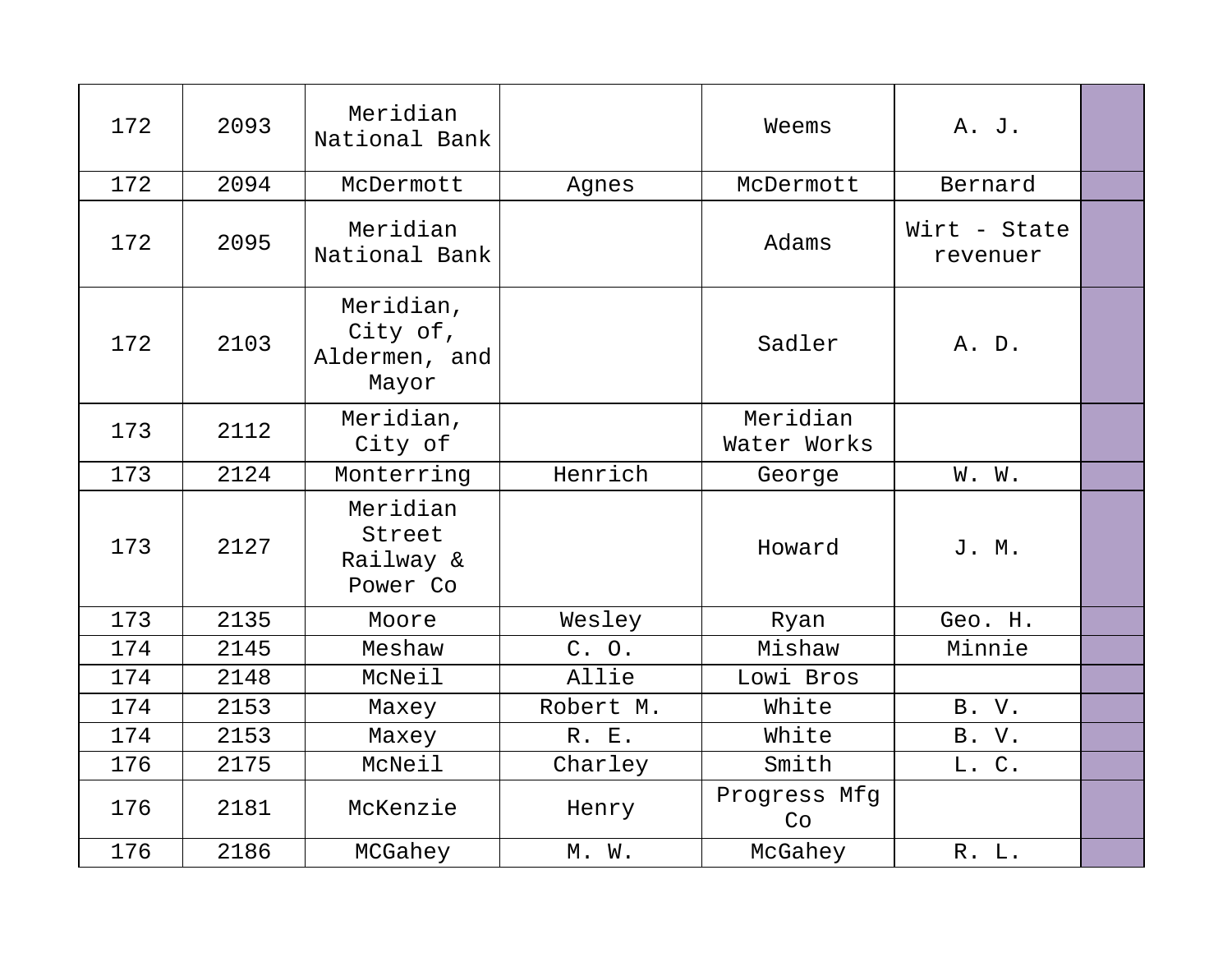| 172 | 2093 | Meridian<br>National Bank                       |           | Weems                   | A. J.                    |  |
|-----|------|-------------------------------------------------|-----------|-------------------------|--------------------------|--|
| 172 | 2094 | McDermott                                       | Agnes     | McDermott               | Bernard                  |  |
| 172 | 2095 | Meridian<br>National Bank                       |           | Adams                   | Wirt - State<br>revenuer |  |
| 172 | 2103 | Meridian,<br>City of,<br>Aldermen, and<br>Mayor |           | Sadler                  | A. D.                    |  |
| 173 | 2112 | Meridian,<br>City of                            |           | Meridian<br>Water Works |                          |  |
| 173 | 2124 | Monterring                                      | Henrich   | George                  | W. W.                    |  |
| 173 | 2127 | Meridian<br>Street<br>Railway &<br>Power Co     |           | Howard                  | J. M.                    |  |
| 173 | 2135 | Moore                                           | Wesley    | Ryan                    | Geo. H.                  |  |
| 174 | 2145 | Meshaw                                          | C. O.     | Mishaw                  | Minnie                   |  |
| 174 | 2148 | McNeil                                          | Allie     | Lowi Bros               |                          |  |
| 174 | 2153 | Maxey                                           | Robert M. | White                   | B. V.                    |  |
| 174 | 2153 | Maxey                                           | R. E.     | White                   | B. V.                    |  |
| 176 | 2175 | McNeil                                          | Charley   | Smith                   | L. C.                    |  |
| 176 | 2181 | McKenzie                                        | Henry     | Progress Mfg<br>Co      |                          |  |
| 176 | 2186 | MCGahey                                         | M. W.     | McGahey                 | R. L.                    |  |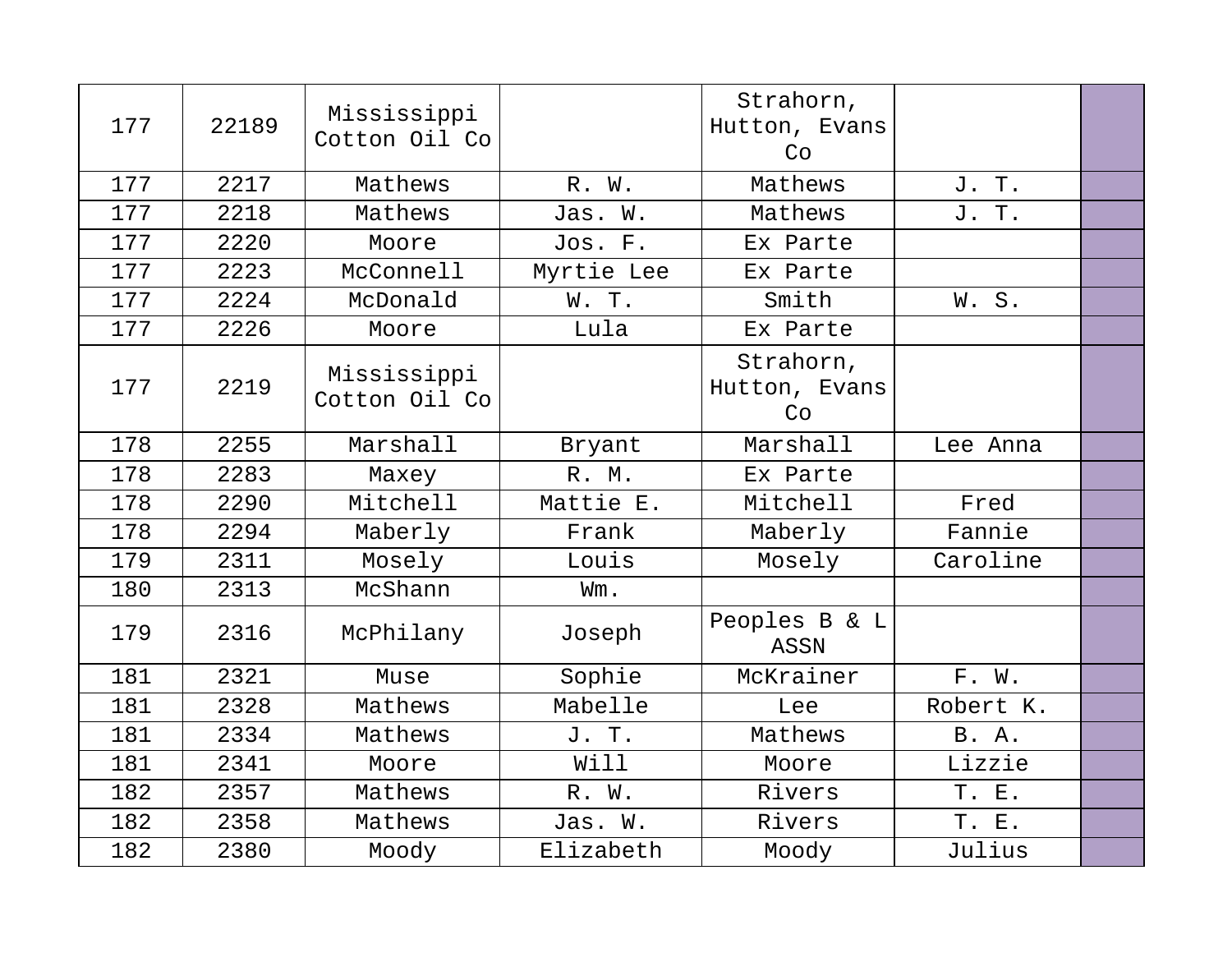| 177 | 22189 | Mississippi<br>Cotton Oil Co |            | Strahorn,<br>Hutton, Evans<br>Co |              |  |
|-----|-------|------------------------------|------------|----------------------------------|--------------|--|
| 177 | 2217  | Mathews                      | R. W.      | Mathews                          | J. T.        |  |
| 177 | 2218  | Mathews                      | Jas. W.    | Mathews                          | J. T.        |  |
| 177 | 2220  | Moore                        | Jos. F.    | Ex Parte                         |              |  |
| 177 | 2223  | McConnell                    | Myrtie Lee | Ex Parte                         |              |  |
| 177 | 2224  | McDonald                     | W. T.      | Smith                            | W.S.         |  |
| 177 | 2226  | Moore                        | Lula       | Ex Parte                         |              |  |
| 177 | 2219  | Mississippi<br>Cotton Oil Co |            | Strahorn,<br>Hutton, Evans<br>Co |              |  |
| 178 | 2255  | Marshall                     | Bryant     | Marshall                         | Lee Anna     |  |
| 178 | 2283  | Maxey                        | R. M.      | Ex Parte                         |              |  |
| 178 | 2290  | Mitchell                     | Mattie E.  | Mitchell                         | Fred         |  |
| 178 | 2294  | Maberly                      | Frank      | Maberly                          | Fannie       |  |
| 179 | 2311  | Mosely                       | Louis      | Mosely                           | Caroline     |  |
| 180 | 2313  | McShann                      | Wm.        |                                  |              |  |
| 179 | 2316  | McPhilany                    | Joseph     | Peoples B & L<br>ASSN            |              |  |
| 181 | 2321  | Muse                         | Sophie     | McKrainer                        | F. W.        |  |
| 181 | 2328  | Mathews                      | Mabelle    | Lee                              | Robert K.    |  |
| 181 | 2334  | Mathews                      | J. T.      | Mathews                          | <b>B.</b> A. |  |
| 181 | 2341  | Moore                        | Will       | Moore                            | Lizzie       |  |
| 182 | 2357  | Mathews                      | R. W.      | Rivers                           | T. E.        |  |
| 182 | 2358  | Mathews                      | Jas. W.    | Rivers                           | T. E.        |  |
| 182 | 2380  | Moody                        | Elizabeth  | Moody                            | Julius       |  |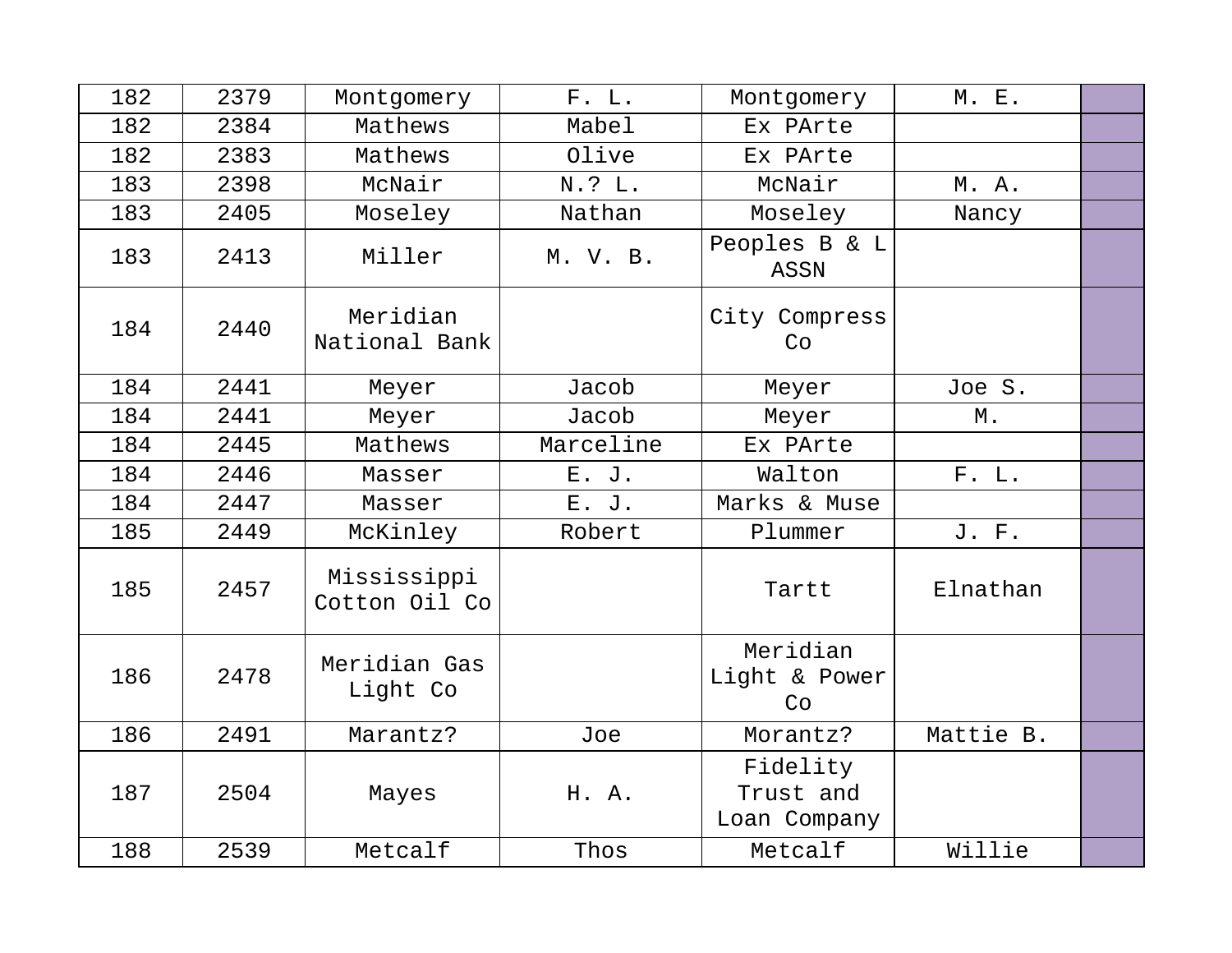| 182 | 2379 | Montgomery                   | F. L.     | Montgomery                            | M. E.     |  |
|-----|------|------------------------------|-----------|---------------------------------------|-----------|--|
| 182 | 2384 | Mathews                      | Mabel     | Ex PArte                              |           |  |
| 182 | 2383 | Mathews                      | Olive     | Ex PArte                              |           |  |
| 183 | 2398 | McNair                       | N.? L.    | McNair                                | M. A.     |  |
| 183 | 2405 | Moseley                      | Nathan    | Moseley                               | Nancy     |  |
| 183 | 2413 | Miller                       | M. V. B.  | Peoples B & L<br><b>ASSN</b>          |           |  |
| 184 | 2440 | Meridian<br>National Bank    |           | City Compress<br>Co                   |           |  |
| 184 | 2441 | Meyer                        | Jacob     | Meyer                                 | Joe S.    |  |
| 184 | 2441 | Meyer                        | Jacob     | Meyer                                 | Μ.        |  |
| 184 | 2445 | Mathews                      | Marceline | Ex PArte                              |           |  |
| 184 | 2446 | Masser                       | E. J.     | Walton                                | F. L.     |  |
| 184 | 2447 | Masser                       | E. J.     | Marks & Muse                          |           |  |
| 185 | 2449 | McKinley                     | Robert    | Plummer                               | J. F.     |  |
| 185 | 2457 | Mississippi<br>Cotton Oil Co |           | Tartt                                 | Elnathan  |  |
| 186 | 2478 | Meridian Gas<br>Light Co     |           | Meridian<br>Light & Power<br>Co       |           |  |
| 186 | 2491 | Marantz?                     | Joe       | Morantz?                              | Mattie B. |  |
| 187 | 2504 | Mayes                        | H. A.     | Fidelity<br>Trust and<br>Loan Company |           |  |
| 188 | 2539 | Metcalf                      | Thos      | Metcalf                               | Willie    |  |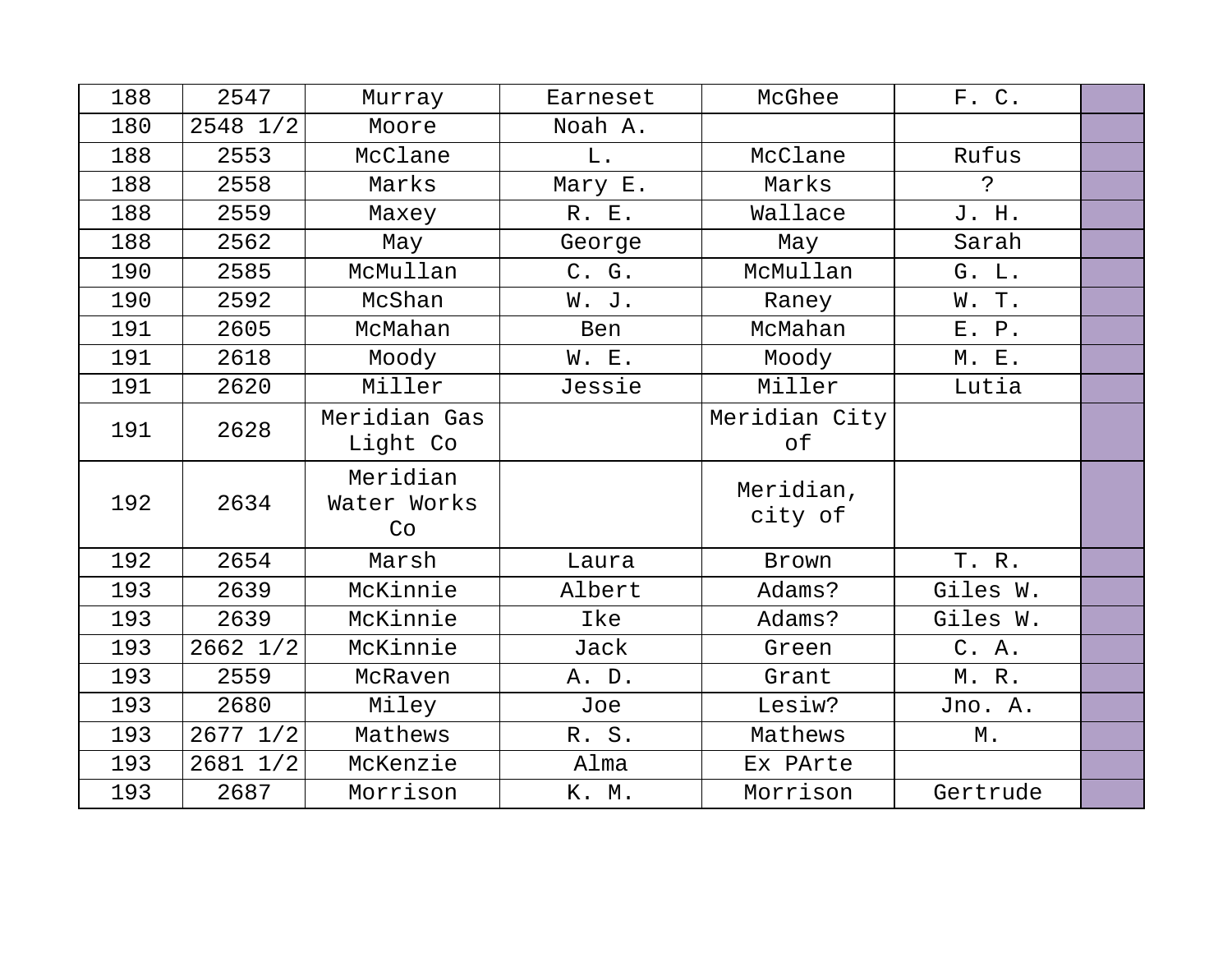| 188 | 2547         | Murray                        | Earneset | McGhee               | F. C.    |  |
|-----|--------------|-------------------------------|----------|----------------------|----------|--|
| 180 | 2548 1/2     | Moore                         | Noah A.  |                      |          |  |
| 188 | 2553         | McClane                       | $L$ .    | McClane              | Rufus    |  |
| 188 | 2558         | Marks                         | Mary E.  | Marks                | Ċ.       |  |
| 188 | 2559         | Maxey                         | R. E.    | Wallace              | J. H.    |  |
| 188 | 2562         | May                           | George   | May                  | Sarah    |  |
| 190 | 2585         | McMullan                      | C. G.    | McMullan             | G. L.    |  |
| 190 | 2592         | McShan                        | W. J.    | Raney                | W. T.    |  |
| 191 | 2605         | McMahan                       | Ben      | McMahan              | E. P.    |  |
| 191 | 2618         | Moody                         | W. E.    | Moody                | M. E.    |  |
| 191 | 2620         | Miller                        | Jessie   | Miller               | Lutia    |  |
| 191 | 2628         | Meridian Gas<br>Light Co      |          | Meridian City<br>оf  |          |  |
| 192 | 2634         | Meridian<br>Water Works<br>Co |          | Meridian,<br>city of |          |  |
| 192 | 2654         | Marsh                         | Laura    | Brown                | T. R.    |  |
| 193 | 2639         | McKinnie                      | Albert   | Adams?               | Giles W. |  |
| 193 | 2639         | McKinnie                      | Ike      | Adams?               | Giles W. |  |
| 193 | 2662 1/2     | McKinnie                      | Jack     | Green                | C. A.    |  |
| 193 | 2559         | McRaven                       | A. D.    | Grant                | M.R.     |  |
| 193 | 2680         | Miley                         | Joe      | Lesiw?               | Jno. A.  |  |
| 193 | $2677$ $1/2$ | Mathews                       | R. S.    | Mathews              | М.       |  |
| 193 | 2681 1/2     | McKenzie                      | Alma     | Ex PArte             |          |  |
| 193 | 2687         | Morrison                      | K. M.    | Morrison             | Gertrude |  |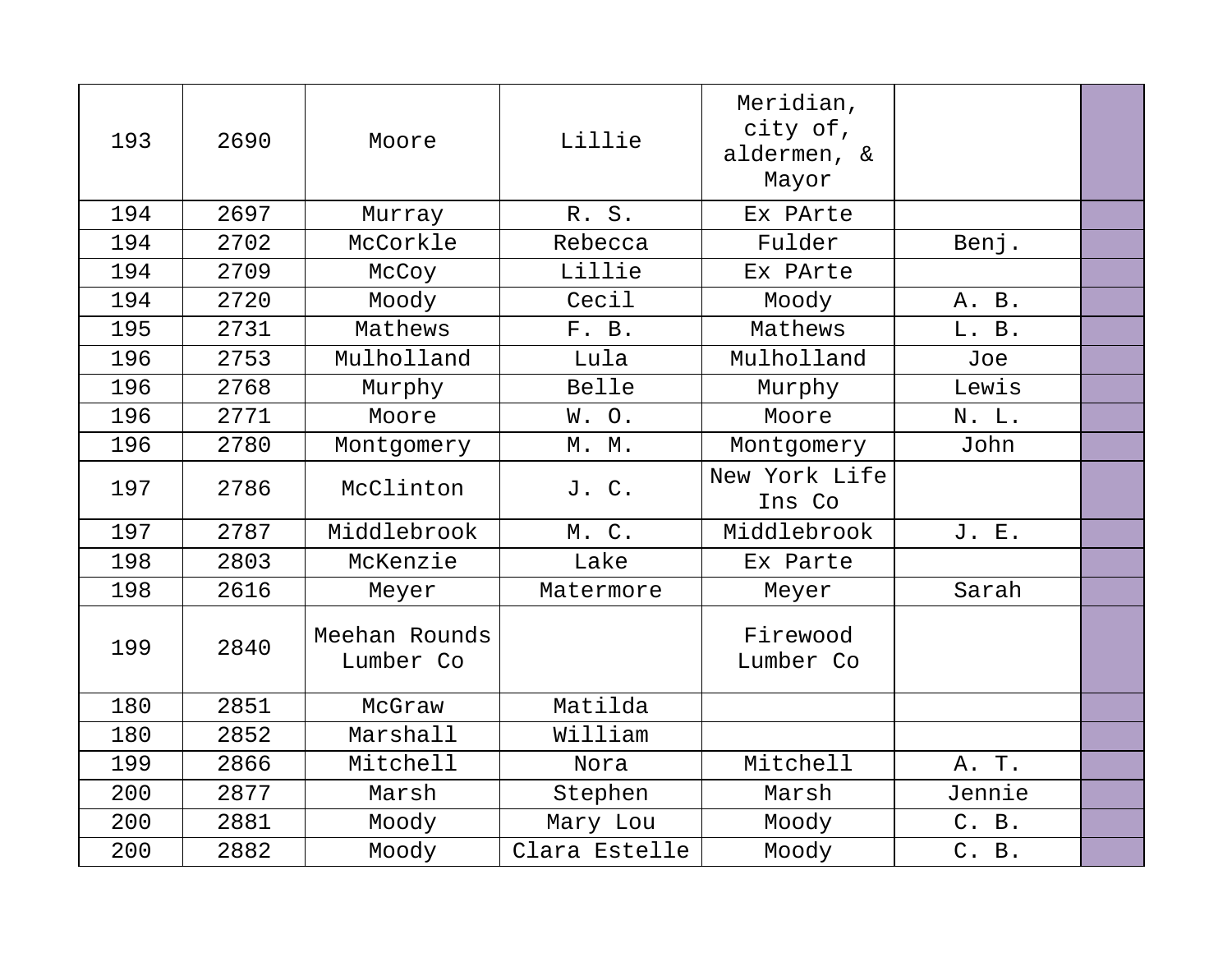| 193 | 2690 | Moore                      | Lillie        | Meridian,<br>city of,<br>aldermen, &<br>Mayor |        |  |
|-----|------|----------------------------|---------------|-----------------------------------------------|--------|--|
| 194 | 2697 | Murray                     | R. S.         | Ex PArte                                      |        |  |
| 194 | 2702 | McCorkle                   | Rebecca       | Fulder                                        | Benj.  |  |
| 194 | 2709 | McCoy                      | Lillie        | Ex PArte                                      |        |  |
| 194 | 2720 | Moody                      | Cecil         | Moody                                         | A. B.  |  |
| 195 | 2731 | Mathews                    | F. B.         | Mathews                                       | L. B.  |  |
| 196 | 2753 | Mulholland                 | Lula          | Mulholland                                    | Joe    |  |
| 196 | 2768 | Murphy                     | Belle         | Murphy                                        | Lewis  |  |
| 196 | 2771 | Moore                      | W.O.          | Moore                                         | N. L.  |  |
| 196 | 2780 | Montgomery                 | M. M.         | Montgomery                                    | John   |  |
| 197 | 2786 | McClinton                  | J. C.         | New York Life<br>Ins Co                       |        |  |
| 197 | 2787 | Middlebrook                | M. C.         | Middlebrook                                   | J. E.  |  |
| 198 | 2803 | McKenzie                   | Lake          | Ex Parte                                      |        |  |
| 198 | 2616 | Meyer                      | Matermore     | Meyer                                         | Sarah  |  |
| 199 | 2840 | Meehan Rounds<br>Lumber Co |               | Firewood<br>Lumber Co                         |        |  |
| 180 | 2851 | McGraw                     | Matilda       |                                               |        |  |
| 180 | 2852 | Marshall                   | William       |                                               |        |  |
| 199 | 2866 | Mitchell                   | Nora          | Mitchell                                      | A. T.  |  |
| 200 | 2877 | Marsh                      | Stephen       | Marsh                                         | Jennie |  |
| 200 | 2881 | Moody                      | Mary Lou      | Moody                                         | C. B.  |  |
| 200 | 2882 | Moody                      | Clara Estelle | Moody                                         | C. B.  |  |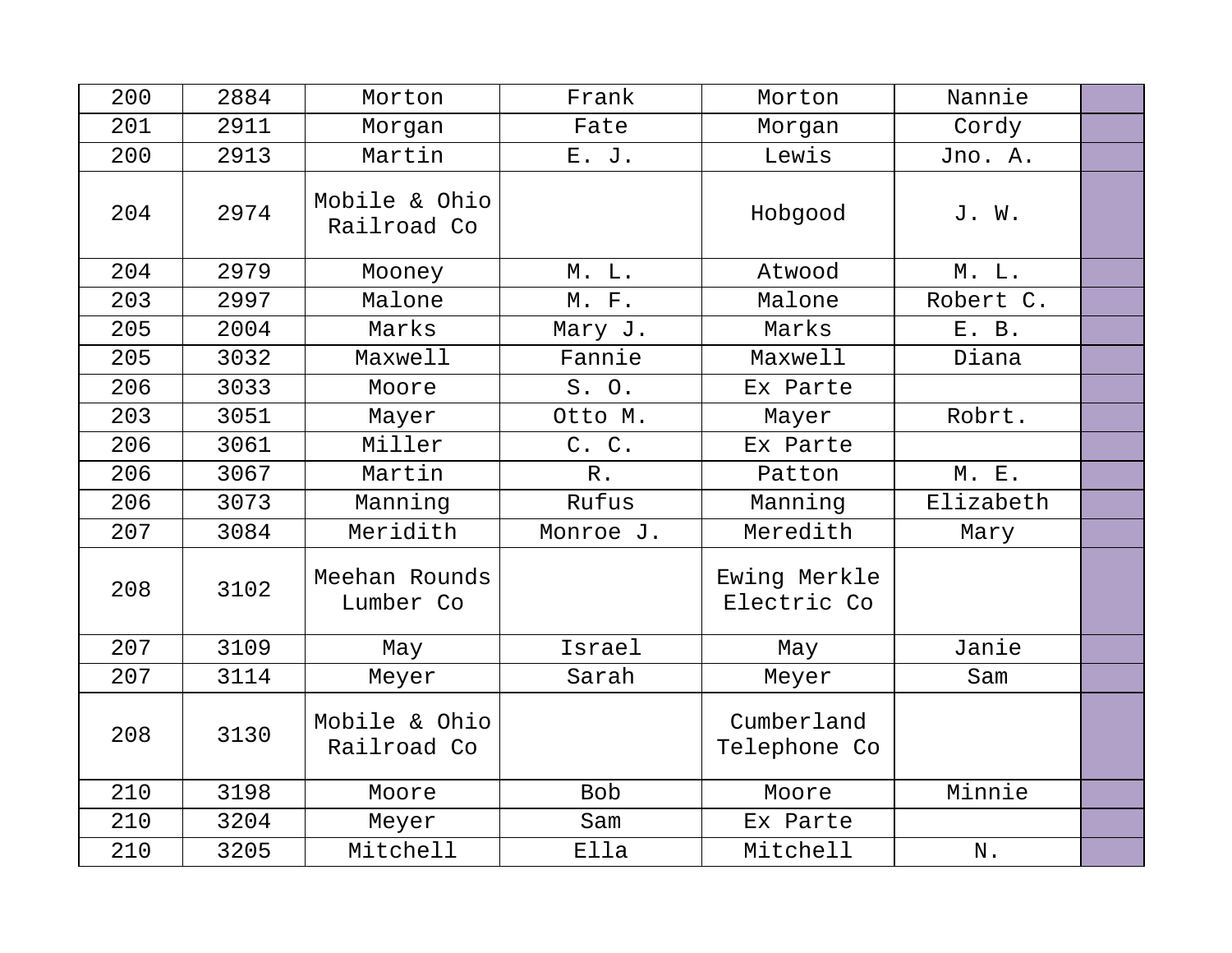| 200 | 2884 | Morton                       | Frank      | Morton                      | Nannie        |  |
|-----|------|------------------------------|------------|-----------------------------|---------------|--|
| 201 | 2911 | Morgan                       | Fate       | Morgan                      | Cordy         |  |
| 200 | 2913 | Martin                       | E. J.      | Lewis                       | Jno. A.       |  |
| 204 | 2974 | Mobile & Ohio<br>Railroad Co |            | Hobgood                     | J. W.         |  |
| 204 | 2979 | Mooney                       | M. L.      | Atwood                      | M. L.         |  |
| 203 | 2997 | Malone                       | M. F.      | Malone                      | Robert C.     |  |
| 205 | 2004 | Marks                        | Mary J.    | Marks                       | E. B.         |  |
| 205 | 3032 | Maxwell                      | Fannie     | Maxwell                     | Diana         |  |
| 206 | 3033 | Moore                        | S. O.      | Ex Parte                    |               |  |
| 203 | 3051 | Mayer                        | Otto M.    | Mayer                       | Robrt.        |  |
| 206 | 3061 | Miller                       | C. C.      | Ex Parte                    |               |  |
| 206 | 3067 | Martin                       | $R$ .      | Patton                      | <b>M. E.</b>  |  |
| 206 | 3073 | Manning                      | Rufus      | Manning                     | Elizabeth     |  |
| 207 | 3084 | Meridith                     | Monroe J.  | Meredith                    | Mary          |  |
| 208 | 3102 | Meehan Rounds<br>Lumber Co   |            | Ewing Merkle<br>Electric Co |               |  |
| 207 | 3109 | May                          | Israel     | May                         | Janie         |  |
| 207 | 3114 | Meyer                        | Sarah      | Meyer                       | Sam           |  |
| 208 | 3130 | Mobile & Ohio<br>Railroad Co |            | Cumberland<br>Telephone Co  |               |  |
| 210 | 3198 | Moore                        | <b>Bob</b> | Moore                       | Minnie        |  |
| 210 | 3204 | Meyer                        | Sam        | Ex Parte                    |               |  |
| 210 | 3205 | Mitchell                     | Ella       | Mitchell                    | $\mathbf N$ . |  |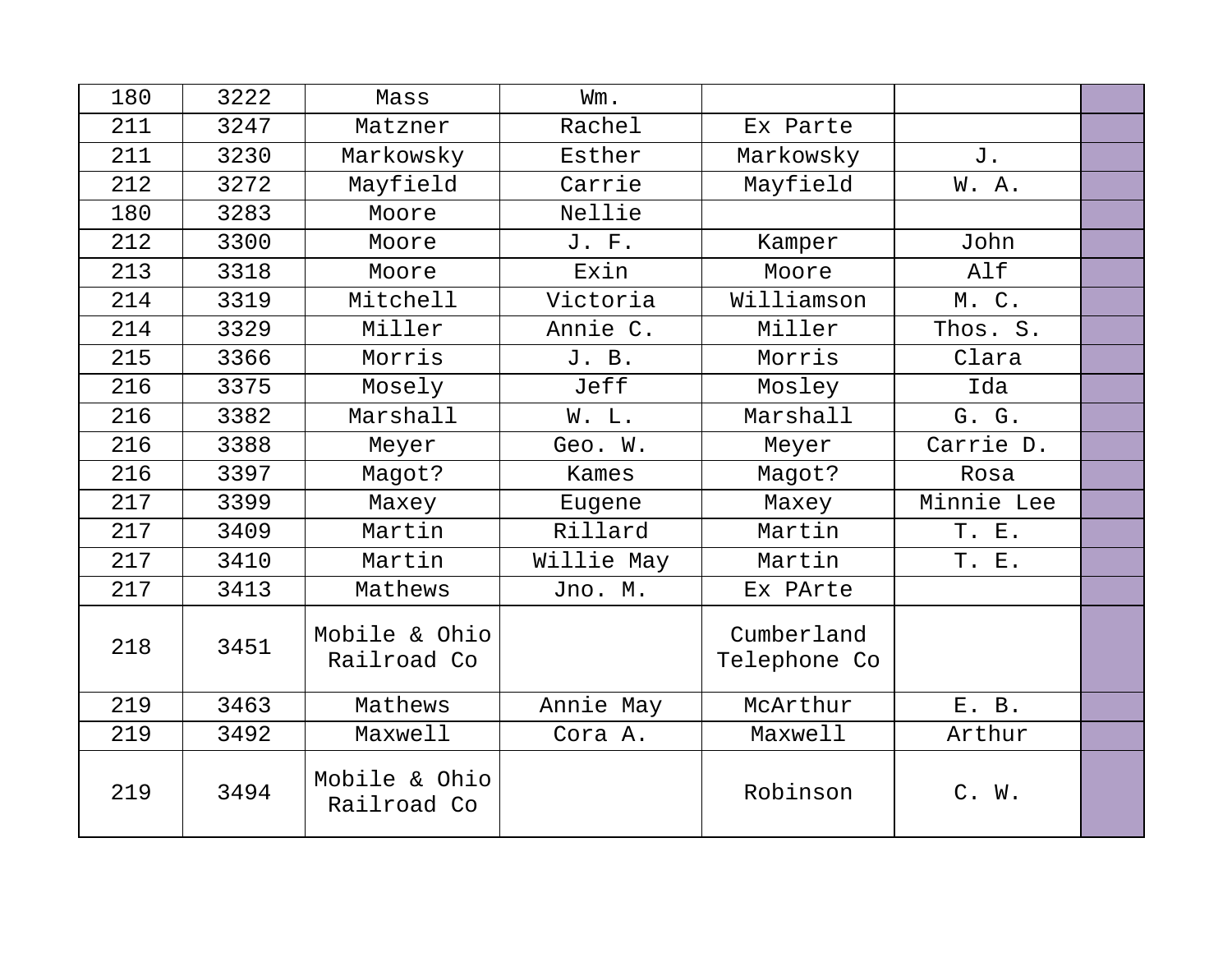| 180 | 3222 | Mass                         | Wm.        |                            |            |  |
|-----|------|------------------------------|------------|----------------------------|------------|--|
| 211 | 3247 | Matzner                      | Rachel     | Ex Parte                   |            |  |
| 211 | 3230 | Markowsky                    | Esther     | Markowsky                  | J.         |  |
| 212 | 3272 | Mayfield                     | Carrie     | Mayfield                   | W.A.       |  |
| 180 | 3283 | Moore                        | Nellie     |                            |            |  |
| 212 | 3300 | Moore                        | J. F.      | Kamper                     | John       |  |
| 213 | 3318 | Moore                        | Exin       | Moore                      | Alf        |  |
| 214 | 3319 | Mitchell                     | Victoria   | Williamson                 | M.C.       |  |
| 214 | 3329 | Miller                       | Annie C.   | Miller                     | Thos. S.   |  |
| 215 | 3366 | Morris                       | J. B.      | Morris                     | Clara      |  |
| 216 | 3375 | Mosely                       | Jeff       | Mosley                     | Ida        |  |
| 216 | 3382 | Marshall                     | W. L.      | Marshall                   | G. G.      |  |
| 216 | 3388 | Meyer                        | Geo. W.    | Meyer                      | Carrie D.  |  |
| 216 | 3397 | Magot?                       | Kames      | Magot?                     | Rosa       |  |
| 217 | 3399 | Maxey                        | Eugene     | Maxey                      | Minnie Lee |  |
| 217 | 3409 | Martin                       | Rillard    | Martin                     | T. E.      |  |
| 217 | 3410 | Martin                       | Willie May | Martin                     | T. E.      |  |
| 217 | 3413 | Mathews                      | Jno. M.    | Ex PArte                   |            |  |
| 218 | 3451 | Mobile & Ohio<br>Railroad Co |            | Cumberland<br>Telephone Co |            |  |
| 219 | 3463 | Mathews                      | Annie May  | McArthur                   | E. B.      |  |
| 219 | 3492 | Maxwell                      | Cora A.    | Maxwell                    | Arthur     |  |
| 219 | 3494 | Mobile & Ohio<br>Railroad Co |            | Robinson                   | C. W.      |  |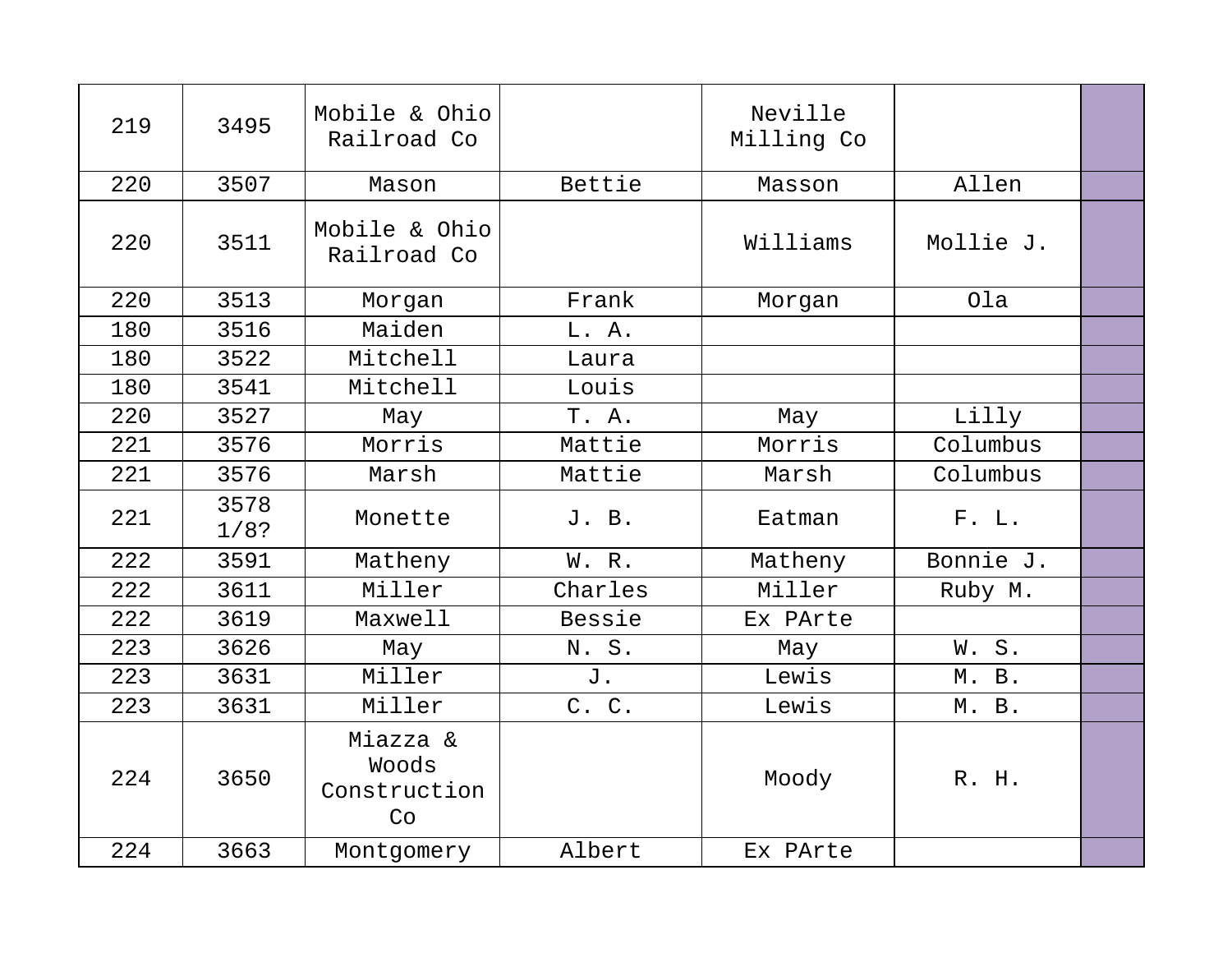| 219 | 3495         | Mobile & Ohio<br>Railroad Co            |         | Neville<br>Milling Co |           |  |
|-----|--------------|-----------------------------------------|---------|-----------------------|-----------|--|
| 220 | 3507         | Mason                                   | Bettie  | Masson                | Allen     |  |
| 220 | 3511         | Mobile & Ohio<br>Railroad Co            |         | Williams              | Mollie J. |  |
| 220 | 3513         | Morgan                                  | Frank   | Morgan                | Ola       |  |
| 180 | 3516         | Maiden                                  | L. A.   |                       |           |  |
| 180 | 3522         | Mitchell                                | Laura   |                       |           |  |
| 180 | 3541         | Mitchell                                | Louis   |                       |           |  |
| 220 | 3527         | May                                     | T. A.   | May                   | Lilly     |  |
| 221 | 3576         | Morris                                  | Mattie  | Morris                | Columbus  |  |
| 221 | 3576         | Marsh                                   | Mattie  | Marsh                 | Columbus  |  |
| 221 | 3578<br>1/8? | Monette                                 | J. B.   | Eatman                | F. L.     |  |
| 222 | 3591         | Matheny                                 | W. R.   | Matheny               | Bonnie J. |  |
| 222 | 3611         | Miller                                  | Charles | Miller                | Ruby M.   |  |
| 222 | 3619         | Maxwell                                 | Bessie  | Ex PArte              |           |  |
| 223 | 3626         | May                                     | N. S.   | May                   | W.S.      |  |
| 223 | 3631         | Miller                                  | J.      | Lewis                 | M. B.     |  |
| 223 | 3631         | Miller                                  | C. C.   | Lewis                 | M. B.     |  |
| 224 | 3650         | Miazza &<br>Woods<br>Construction<br>Co |         | Moody                 | R. H.     |  |
| 224 | 3663         | Montgomery                              | Albert  | Ex PArte              |           |  |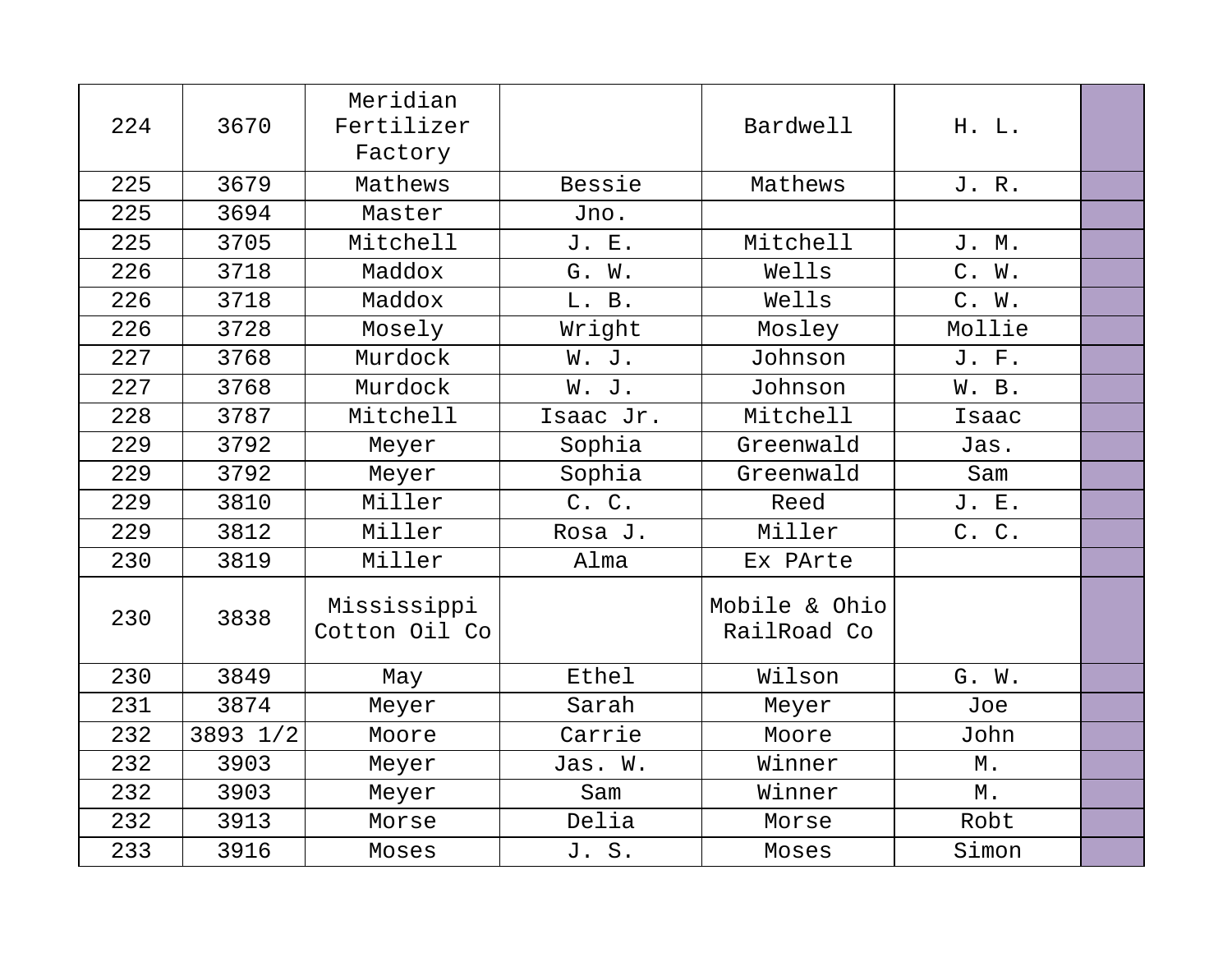| 224 | 3670     | Meridian<br>Fertilizer<br>Factory |           | Bardwell                     | H. L.  |  |
|-----|----------|-----------------------------------|-----------|------------------------------|--------|--|
| 225 | 3679     | Mathews                           | Bessie    | Mathews                      | J. R.  |  |
| 225 | 3694     | Master                            | Jno.      |                              |        |  |
| 225 | 3705     | Mitchell                          | J. E.     | Mitchell                     | J. M.  |  |
| 226 | 3718     | Maddox                            | G. W.     | Wells                        | C. W.  |  |
| 226 | 3718     | Maddox                            | L. B.     | Wells                        | C. W.  |  |
| 226 | 3728     | Mosely                            | Wright    | Mosley                       | Mollie |  |
| 227 | 3768     | Murdock                           | W. J.     | Johnson                      | J. F.  |  |
| 227 | 3768     | Murdock                           | W. J.     | Johnson                      | W. B.  |  |
| 228 | 3787     | Mitchell                          | Isaac Jr. | Mitchell                     | Isaac  |  |
| 229 | 3792     | Meyer                             | Sophia    | Greenwald                    | Jas.   |  |
| 229 | 3792     | Meyer                             | Sophia    | Greenwald                    | Sam    |  |
| 229 | 3810     | Miller                            | C. C.     | Reed                         | J. E.  |  |
| 229 | 3812     | Miller                            | Rosa J.   | Miller                       | C. C.  |  |
| 230 | 3819     | Miller                            | Alma      | Ex PArte                     |        |  |
| 230 | 3838     | Mississippi<br>Cotton Oil Co      |           | Mobile & Ohio<br>RailRoad Co |        |  |
| 230 | 3849     | May                               | Ethel     | Wilson                       | G. W.  |  |
| 231 | 3874     | Meyer                             | Sarah     | Meyer                        | Joe    |  |
| 232 | 3893 1/2 | Moore                             | Carrie    | Moore                        | John   |  |
| 232 | 3903     | Meyer                             | Jas. W.   | Winner                       | М.     |  |
| 232 | 3903     | Meyer                             | Sam       | Winner                       | $M$ .  |  |
| 232 | 3913     | Morse                             | Delia     | Morse                        | Robt   |  |
| 233 | 3916     | Moses                             | J. S.     | Moses                        | Simon  |  |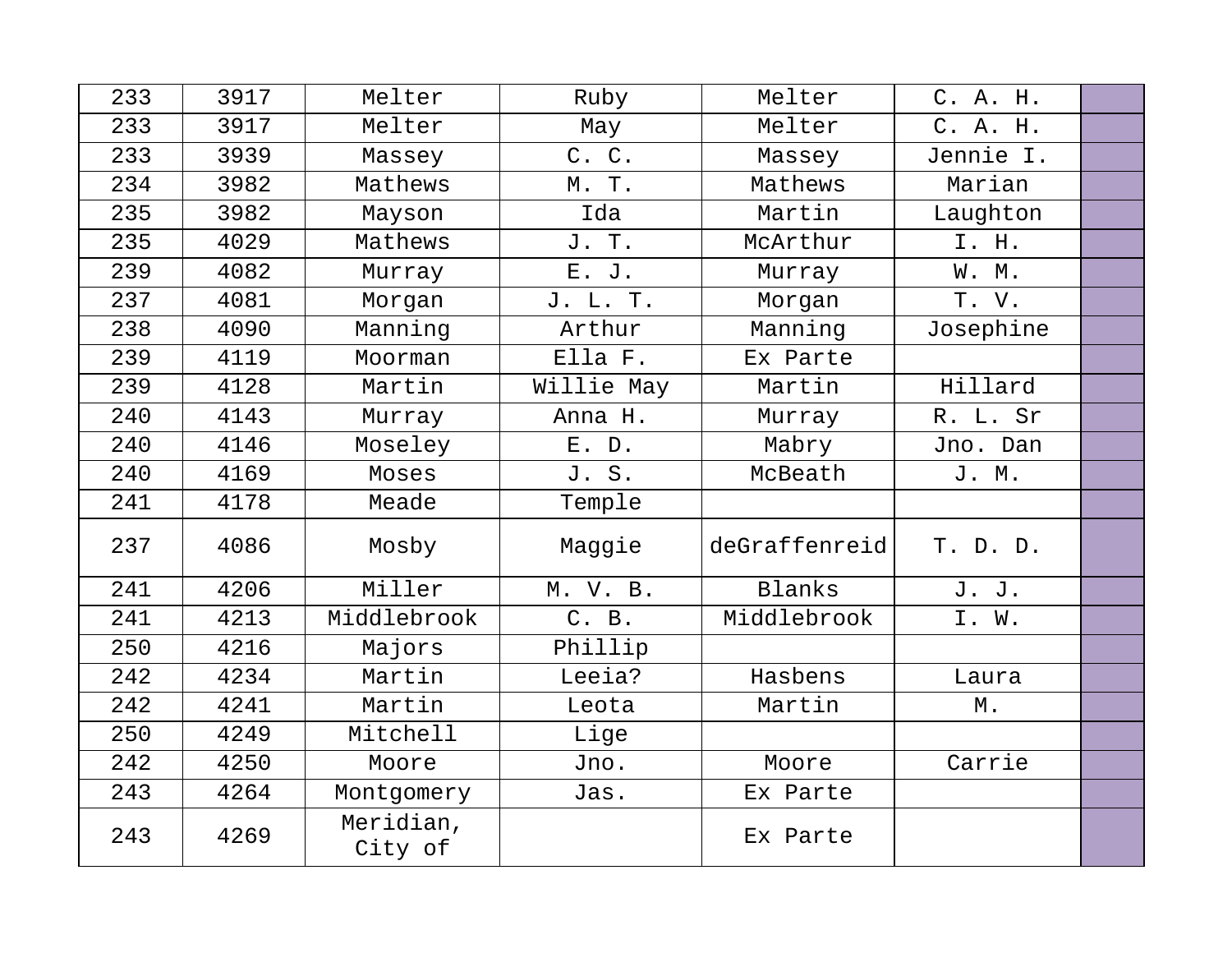| 233 | 3917 | Melter               | Ruby       | Melter        | C. A. H.  |  |
|-----|------|----------------------|------------|---------------|-----------|--|
| 233 | 3917 | Melter               | May        | Melter        | C. A. H.  |  |
| 233 | 3939 | Massey               | C. C.      | Massey        | Jennie I. |  |
| 234 | 3982 | Mathews              | M. T.      | Mathews       | Marian    |  |
| 235 | 3982 | Mayson               | Ida        | Martin        | Laughton  |  |
| 235 | 4029 | Mathews              | J. T.      | McArthur      | I. H.     |  |
| 239 | 4082 | Murray               | E. J.      | Murray        | W. M.     |  |
| 237 | 4081 | Morgan               | J. L. T.   | Morgan        | T. V.     |  |
| 238 | 4090 | Manning              | Arthur     | Manning       | Josephine |  |
| 239 | 4119 | Moorman              | Ella F.    | Ex Parte      |           |  |
| 239 | 4128 | Martin               | Willie May | Martin        | Hillard   |  |
| 240 | 4143 | Murray               | Anna H.    | Murray        | R. L. Sr  |  |
| 240 | 4146 | Moseley              | $E.$ $D.$  | Mabry         | Jno. Dan  |  |
| 240 | 4169 | Moses                | J. S.      | McBeath       | J. M.     |  |
| 241 | 4178 | Meade                | Temple     |               |           |  |
| 237 | 4086 | Mosby                | Maggie     | deGraffenreid | T. D. D.  |  |
| 241 | 4206 | Miller               | M. V. B.   | Blanks        | J. J.     |  |
| 241 | 4213 | Middlebrook          | C. B.      | Middlebrook   | I. W.     |  |
| 250 | 4216 | Majors               | Phillip    |               |           |  |
| 242 | 4234 | Martin               | Leeia?     | Hasbens       | Laura     |  |
| 242 | 4241 | Martin               | Leota      | Martin        | М.        |  |
| 250 | 4249 | Mitchell             | Lige       |               |           |  |
| 242 | 4250 | Moore                | Jno.       | Moore         | Carrie    |  |
| 243 | 4264 | Montgomery           | Jas.       | Ex Parte      |           |  |
| 243 | 4269 | Meridian,<br>City of |            | Ex Parte      |           |  |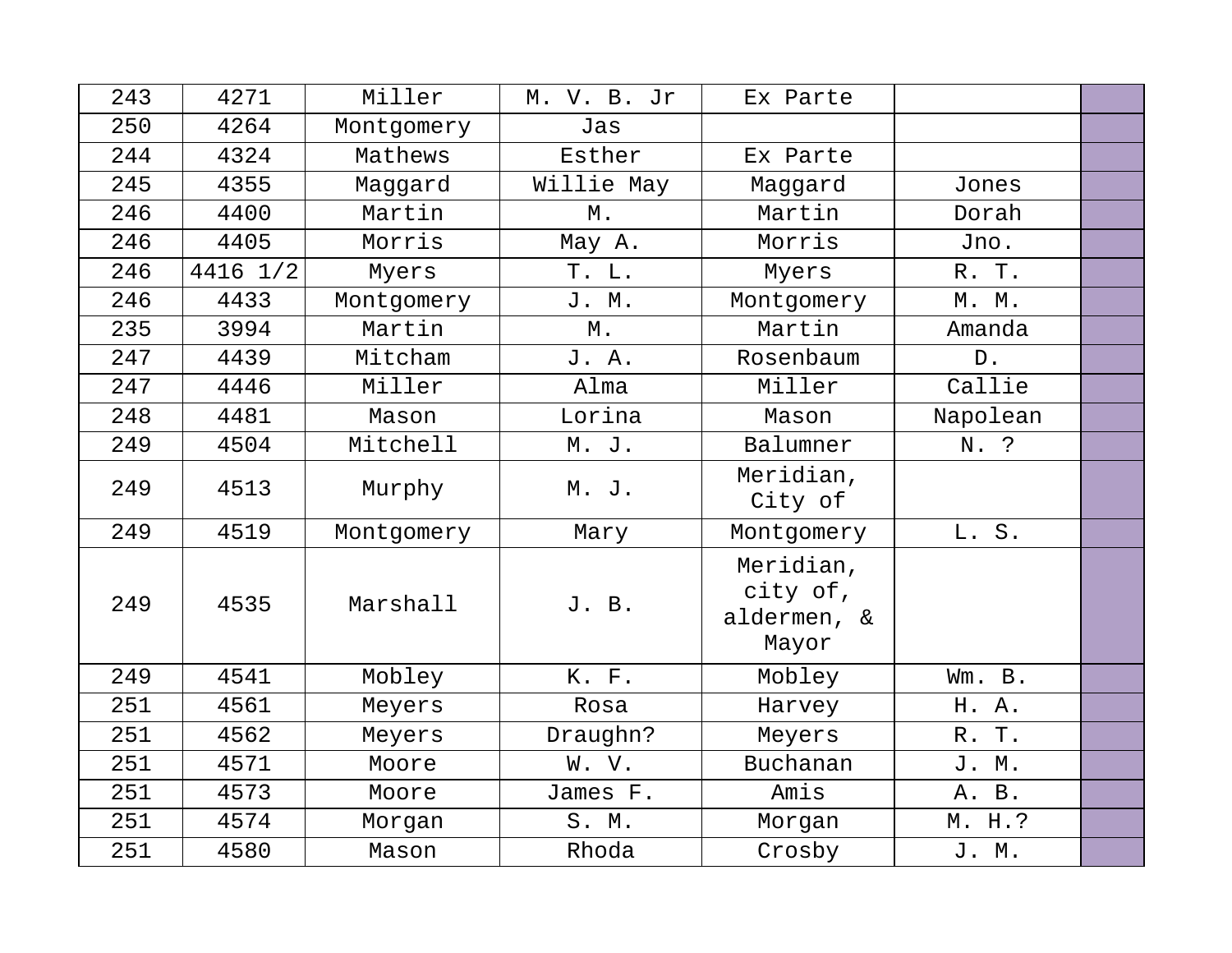| 243 | 4271     | Miller     | M. V. B. Jr | Ex Parte                                      |                 |  |
|-----|----------|------------|-------------|-----------------------------------------------|-----------------|--|
| 250 | 4264     | Montgomery | Jas         |                                               |                 |  |
| 244 | 4324     | Mathews    | Esther      | Ex Parte                                      |                 |  |
| 245 | 4355     | Maggard    | Willie May  | Maggard                                       | Jones           |  |
| 246 | 4400     | Martin     | Μ.          | Martin                                        | Dorah           |  |
| 246 | 4405     | Morris     | May A.      | Morris                                        | Jno.            |  |
| 246 | 4416 1/2 | Myers      | T. L.       | Myers                                         | R. T.           |  |
| 246 | 4433     | Montgomery | J. M.       | Montgomery                                    | M. M.           |  |
| 235 | 3994     | Martin     | $M$ .       | Martin                                        | Amanda          |  |
| 247 | 4439     | Mitcham    | J. A.       | Rosenbaum                                     | ${\mathbb D}$ . |  |
| 247 | 4446     | Miller     | Alma        | Miller                                        | Callie          |  |
| 248 | 4481     | Mason      | Lorina      | Mason                                         | Napolean        |  |
| 249 | 4504     | Mitchell   | M. J.       | Balumner                                      | N. ?            |  |
| 249 | 4513     | Murphy     | M. J.       | Meridian,<br>City of                          |                 |  |
| 249 | 4519     | Montgomery | Mary        | Montgomery                                    | L. S.           |  |
| 249 | 4535     | Marshall   | J. B.       | Meridian,<br>city of,<br>aldermen, &<br>Mayor |                 |  |
| 249 | 4541     | Mobley     | K. F.       | Mobley                                        | Wm. B.          |  |
| 251 | 4561     | Meyers     | Rosa        | Harvey                                        | H. A.           |  |
| 251 | 4562     | Meyers     | Draughn?    | Meyers                                        | R. T.           |  |
| 251 | 4571     | Moore      | W. V.       | Buchanan                                      | J. M.           |  |
| 251 | 4573     | Moore      | James F.    | Amis                                          | A. B.           |  |
| 251 | 4574     | Morgan     | S. M.       | Morgan                                        | M. H.?          |  |
| 251 | 4580     | Mason      | Rhoda       | Crosby                                        | J. M.           |  |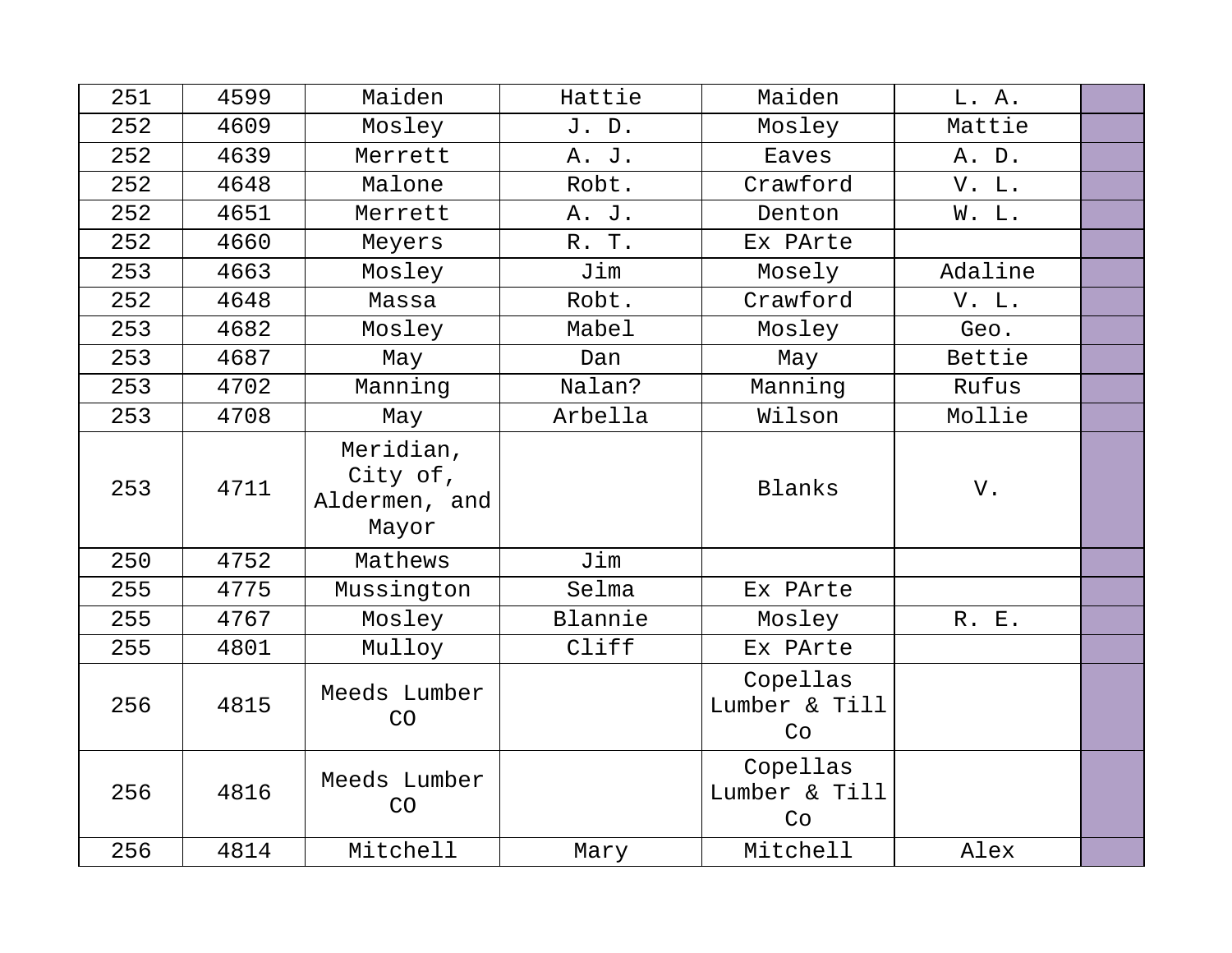| 251 | 4599 | Maiden                                          | Hattie  | Maiden                          | L. A.   |  |
|-----|------|-------------------------------------------------|---------|---------------------------------|---------|--|
| 252 | 4609 | Mosley                                          | J. D.   | Mosley                          | Mattie  |  |
| 252 | 4639 | Merrett                                         | A. J.   | Eaves                           | A. D.   |  |
| 252 | 4648 | Malone                                          | Robt.   | Crawford                        | V. L.   |  |
| 252 | 4651 | Merrett                                         | A. J.   | Denton                          | W. L.   |  |
| 252 | 4660 | Meyers                                          | R. T.   | Ex PArte                        |         |  |
| 253 | 4663 | Mosley                                          | Jim     | Mosely                          | Adaline |  |
| 252 | 4648 | Massa                                           | Robt.   | Crawford                        | V. L.   |  |
| 253 | 4682 | Mosley                                          | Mabel   | Mosley                          | Geo.    |  |
| 253 | 4687 | May                                             | Dan     | May                             | Bettie  |  |
| 253 | 4702 | Manning                                         | Nalan?  | Manning                         | Rufus   |  |
| 253 | 4708 | May                                             | Arbella | Wilson                          | Mollie  |  |
| 253 | 4711 | Meridian,<br>City of,<br>Aldermen, and<br>Mayor |         | Blanks                          | V.      |  |
| 250 | 4752 | Mathews                                         | Jim     |                                 |         |  |
| 255 | 4775 | Mussington                                      | Selma   | Ex PArte                        |         |  |
| 255 | 4767 | Mosley                                          | Blannie | Mosley                          | R. E.   |  |
| 255 | 4801 | Mulloy                                          | Cliff   | Ex PArte                        |         |  |
| 256 | 4815 | Meeds Lumber<br>CO                              |         | Copellas<br>Lumber & Till<br>Co |         |  |
| 256 | 4816 | Meeds Lumber<br>CO                              |         | Copellas<br>Lumber & Till<br>Co |         |  |
| 256 | 4814 | Mitchell                                        | Mary    | Mitchell                        | Alex    |  |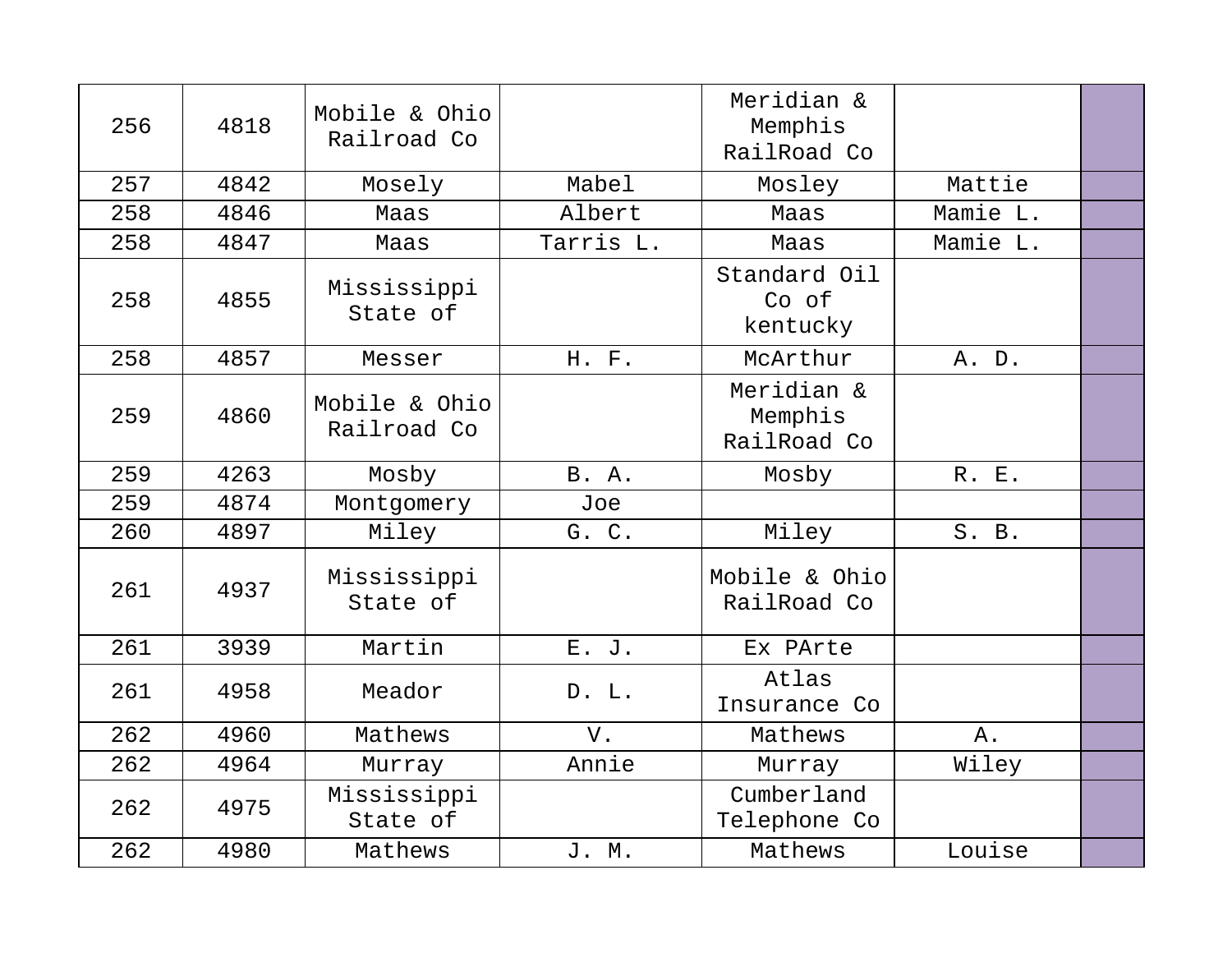| 256 | 4818 | Mobile & Ohio<br>Railroad Co |              | Meridian &<br>Memphis<br>RailRoad Co |          |  |
|-----|------|------------------------------|--------------|--------------------------------------|----------|--|
| 257 | 4842 | Mosely                       | Mabel        | Mosley                               | Mattie   |  |
| 258 | 4846 | Maas                         | Albert       | Maas                                 | Mamie L. |  |
| 258 | 4847 | Maas                         | Tarris L.    | Maas                                 | Mamie L. |  |
| 258 | 4855 | Mississippi<br>State of      |              | Standard Oil<br>Co of<br>kentucky    |          |  |
| 258 | 4857 | Messer                       | H. F.        | McArthur                             | A. D.    |  |
| 259 | 4860 | Mobile & Ohio<br>Railroad Co |              | Meridian &<br>Memphis<br>RailRoad Co |          |  |
| 259 | 4263 | Mosby                        | <b>B.</b> A. | Mosby                                | R. E.    |  |
| 259 | 4874 | Montgomery                   | Joe          |                                      |          |  |
| 260 | 4897 | Miley                        | G. C.        | Miley                                | S. B.    |  |
| 261 | 4937 | Mississippi<br>State of      |              | Mobile & Ohio<br>RailRoad Co         |          |  |
| 261 | 3939 | Martin                       | E. J.        | Ex PArte                             |          |  |
| 261 | 4958 | Meador                       | D. L.        | Atlas<br>Insurance Co                |          |  |
| 262 | 4960 | Mathews                      | V.           | Mathews                              | Α.       |  |
| 262 | 4964 | Murray                       | Annie        | Murray                               | Wiley    |  |
| 262 | 4975 | Mississippi<br>State of      |              | Cumberland<br>Telephone Co           |          |  |
| 262 | 4980 | Mathews                      | J. M.        | Mathews                              | Louise   |  |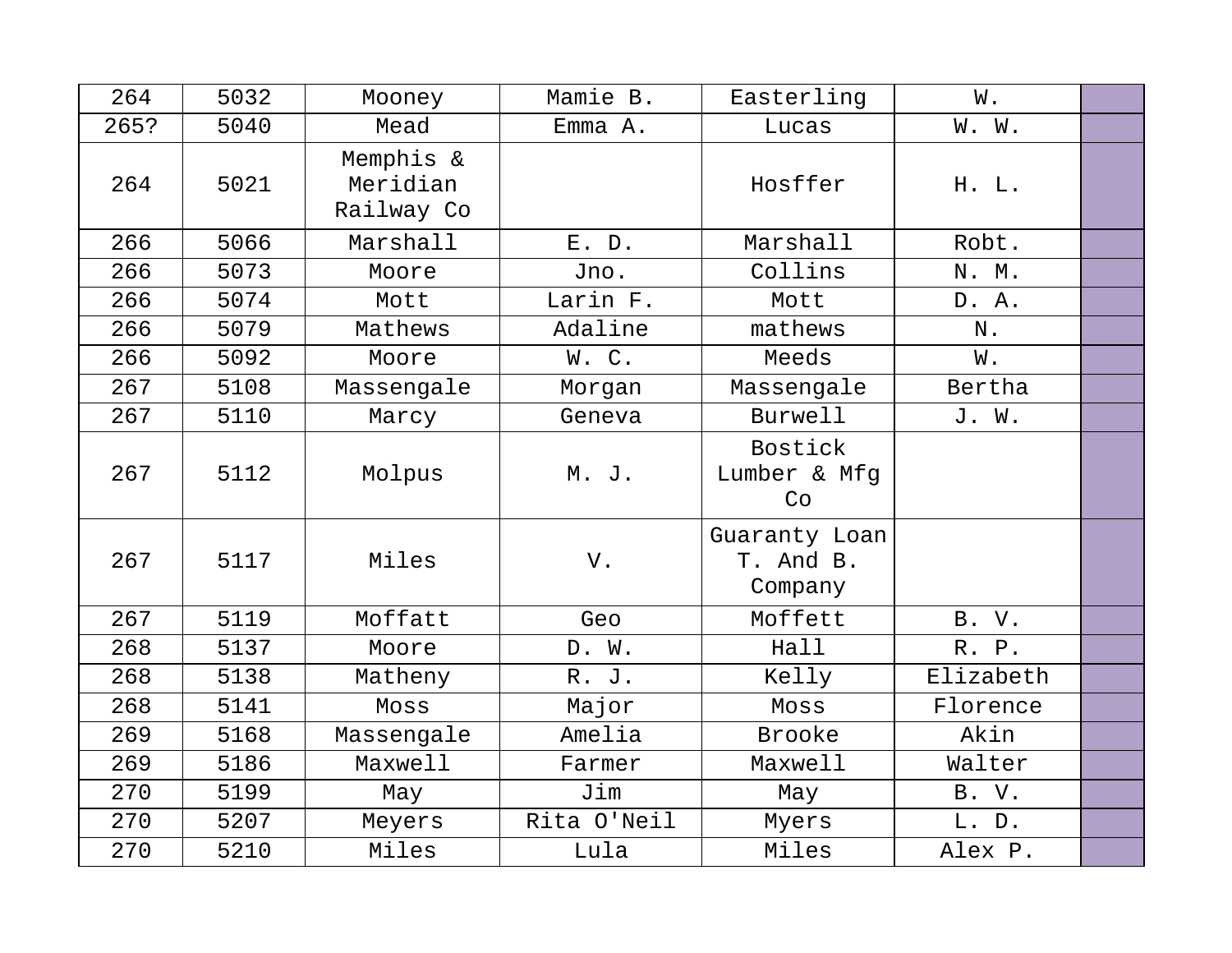| 264  | 5032 | Mooney                              | Mamie B.    | Easterling                            | W.        |  |
|------|------|-------------------------------------|-------------|---------------------------------------|-----------|--|
| 265? | 5040 | Mead                                | Emma A.     | Lucas                                 | W. W.     |  |
| 264  | 5021 | Memphis &<br>Meridian<br>Railway Co |             | Hosffer                               | H. L.     |  |
| 266  | 5066 | Marshall                            | $E.$ $D.$   | Marshall                              | Robt.     |  |
| 266  | 5073 | Moore                               | Jno.        | Collins                               | N. M.     |  |
| 266  | 5074 | Mott                                | Larin F.    | Mott                                  | D. A.     |  |
| 266  | 5079 | Mathews                             | Adaline     | mathews                               | N.        |  |
| 266  | 5092 | Moore                               | W.C.        | Meeds                                 | W.        |  |
| 267  | 5108 | Massengale                          | Morgan      | Massengale                            | Bertha    |  |
| 267  | 5110 | Marcy                               | Geneva      | <b>Burwell</b>                        | J. W.     |  |
| 267  | 5112 | Molpus                              | M. J.       | Bostick<br>Lumber & Mfg<br>Co         |           |  |
| 267  | 5117 | Miles                               | V.          | Guaranty Loan<br>T. And B.<br>Company |           |  |
| 267  | 5119 | Moffatt                             | Geo         | Moffett                               | B. V.     |  |
| 268  | 5137 | Moore                               | D. W.       | Hall                                  | R. P.     |  |
| 268  | 5138 | Matheny                             | R. J.       | Kelly                                 | Elizabeth |  |
| 268  | 5141 | Moss                                | Major       | Moss                                  | Florence  |  |
| 269  | 5168 | Massengale                          | Amelia      | <b>Brooke</b>                         | Akin      |  |
| 269  | 5186 | Maxwell                             | Farmer      | Maxwell                               | Walter    |  |
| 270  | 5199 | May                                 | Jim         | May                                   | B. V.     |  |
| 270  | 5207 | Meyers                              | Rita O'Neil | Myers                                 | L. D.     |  |
| 270  | 5210 | Miles                               | Lula        | Miles                                 | Alex P.   |  |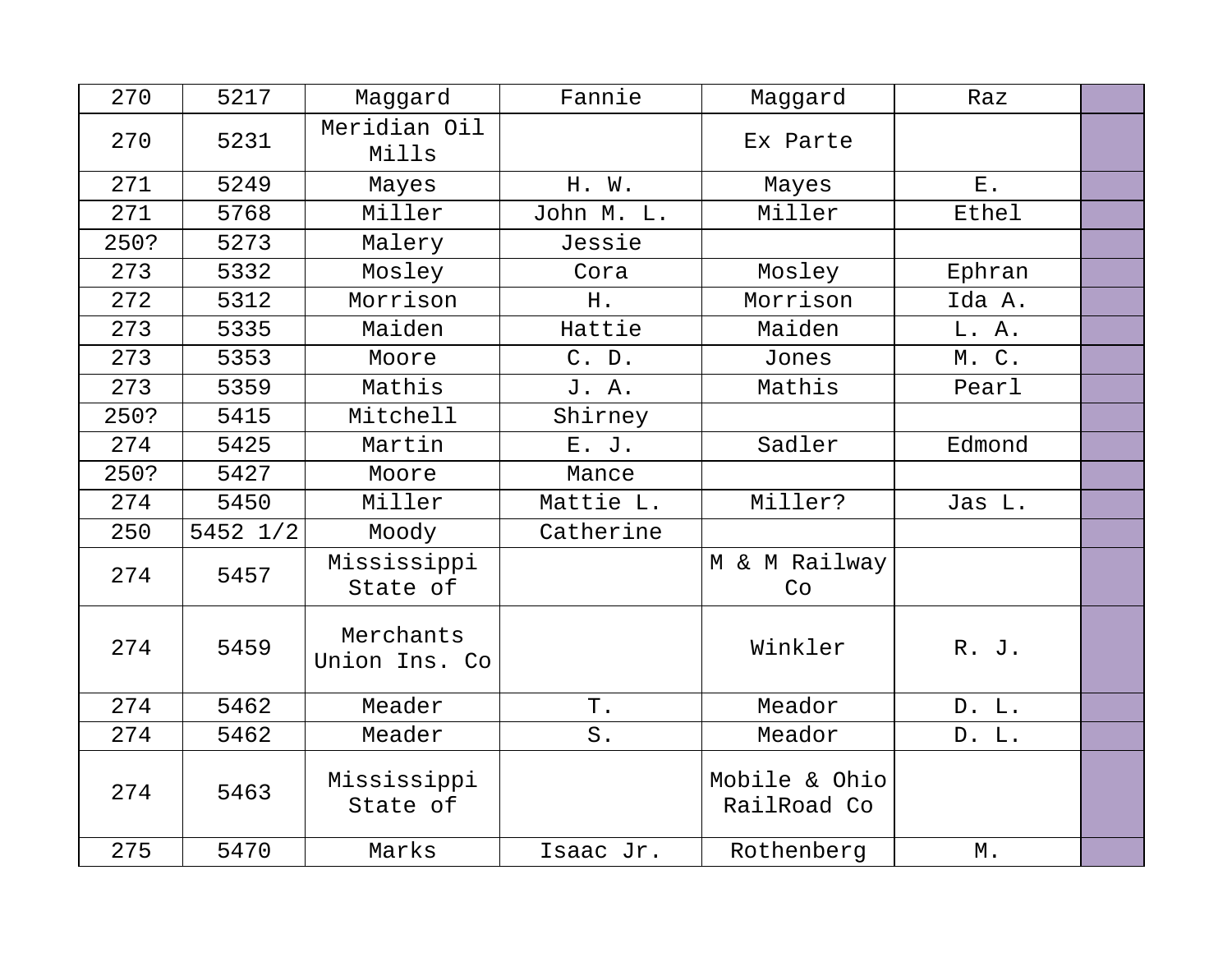| 270  | 5217     | Maggard                    | Fannie     | Maggard                      | Raz    |  |
|------|----------|----------------------------|------------|------------------------------|--------|--|
| 270  | 5231     | Meridian Oil<br>Mills      |            | Ex Parte                     |        |  |
| 271  | 5249     | Mayes                      | H. W.      | Mayes                        | $E$ .  |  |
| 271  | 5768     | Miller                     | John M. L. | Miller                       | Ethel  |  |
| 250? | 5273     | Malery                     | Jessie     |                              |        |  |
| 273  | 5332     | Mosley                     | Cora       | Mosley                       | Ephran |  |
| 272  | 5312     | Morrison                   | H.         | Morrison                     | Ida A. |  |
| 273  | 5335     | Maiden                     | Hattie     | Maiden                       | L. A.  |  |
| 273  | 5353     | Moore                      | C. D.      | Jones                        | M. C.  |  |
| 273  | 5359     | Mathis                     | J. A.      | Mathis                       | Pearl  |  |
| 250? | 5415     | Mitchell                   | Shirney    |                              |        |  |
| 274  | 5425     | Martin                     | E. J.      | Sadler                       | Edmond |  |
| 250? | 5427     | Moore                      | Mance      |                              |        |  |
| 274  | 5450     | Miller                     | Mattie L.  | Miller?                      | Jas L. |  |
| 250  | 5452 1/2 | Moody                      | Catherine  |                              |        |  |
| 274  | 5457     | Mississippi<br>State of    |            | M & M Railway<br>Co          |        |  |
| 274  | 5459     | Merchants<br>Union Ins. Co |            | Winkler                      | R. J.  |  |
| 274  | 5462     | Meader                     | Τ.         | Meador                       | D. L.  |  |
| 274  | 5462     | Meader                     | $S$ .      | Meador                       | D. L.  |  |
| 274  | 5463     | Mississippi<br>State of    |            | Mobile & Ohio<br>RailRoad Co |        |  |
| 275  | 5470     | Marks                      | Isaac Jr.  | Rothenberg                   | Μ.     |  |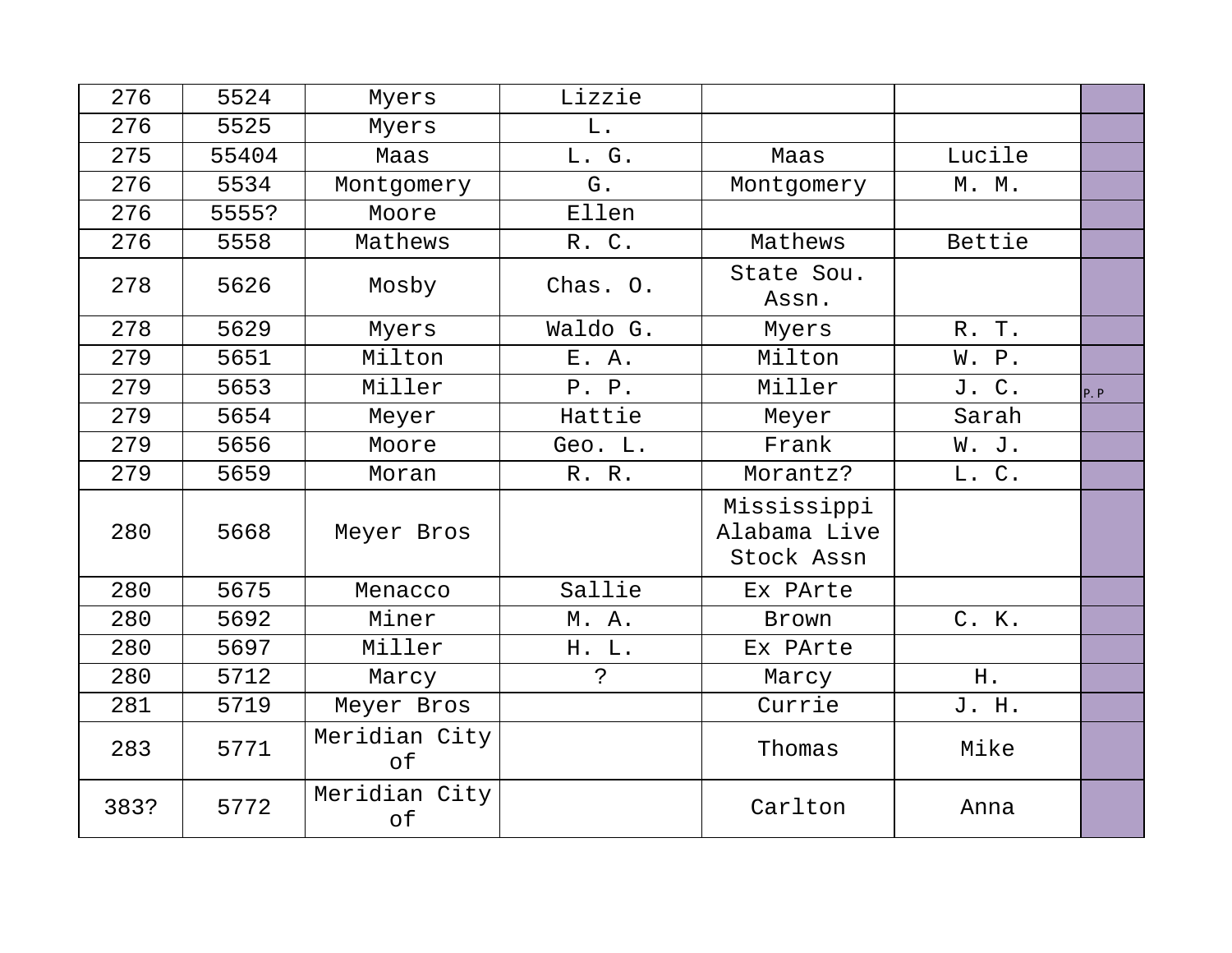| 276  | 5524  | Myers               | Lizzie        |                                           |        |     |
|------|-------|---------------------|---------------|-------------------------------------------|--------|-----|
| 276  | 5525  | Myers               | L.            |                                           |        |     |
| 275  | 55404 | Maas                | L. G.         | Maas                                      | Lucile |     |
| 276  | 5534  | Montgomery          | G.            | Montgomery                                | M. M.  |     |
| 276  | 5555? | Moore               | Ellen         |                                           |        |     |
| 276  | 5558  | Mathews             | R. C.         | Mathews                                   | Bettie |     |
| 278  | 5626  | Mosby               | Chas. O.      | State Sou.<br>Assn.                       |        |     |
| 278  | 5629  | Myers               | Waldo G.      | Myers                                     | R. T.  |     |
| 279  | 5651  | Milton              | E. A.         | Milton                                    | W. P.  |     |
| 279  | 5653  | Miller              | P. P.         | Miller                                    | J. C.  | P.P |
| 279  | 5654  | Meyer               | Hattie        | Meyer                                     | Sarah  |     |
| 279  | 5656  | Moore               | Geo. L.       | Frank                                     | W. J.  |     |
| 279  | 5659  | Moran               | R. R.         | Morantz?                                  | L. C.  |     |
| 280  | 5668  | Meyer Bros          |               | Mississippi<br>Alabama Live<br>Stock Assn |        |     |
| 280  | 5675  | Menacco             | Sallie        | Ex PArte                                  |        |     |
| 280  | 5692  | Miner               | M. A.         | Brown                                     | C. K.  |     |
| 280  | 5697  | Miller              | H. L.         | Ex PArte                                  |        |     |
| 280  | 5712  | Marcy               | $\mathcal{S}$ | Marcy                                     | H.     |     |
| 281  | 5719  | Meyer Bros          |               | Currie                                    | J. H.  |     |
| 283  | 5771  | Meridian City<br>of |               | Thomas                                    | Mike   |     |
| 383? | 5772  | Meridian City<br>of |               | Carlton                                   | Anna   |     |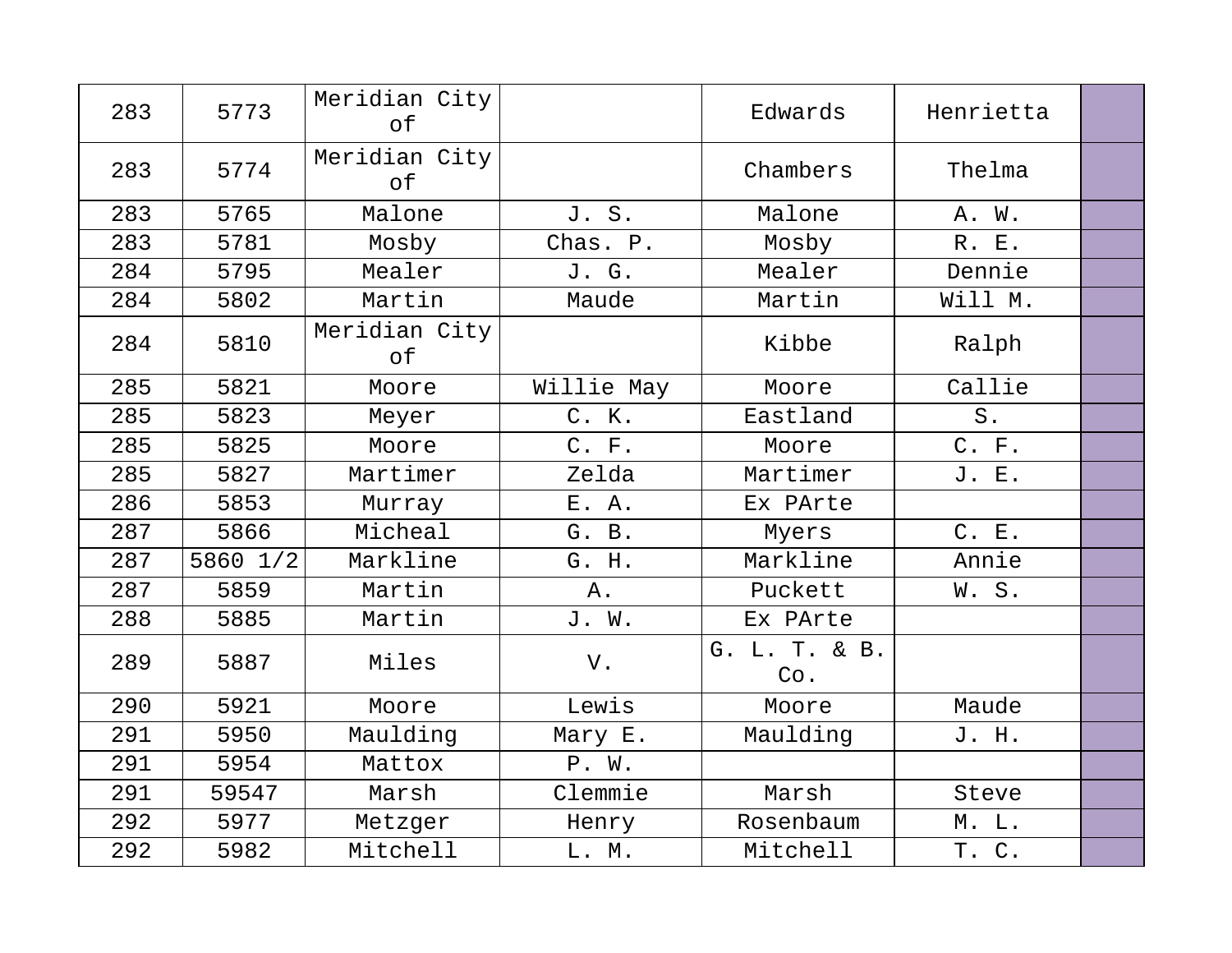| 283 | 5773     | Meridian City<br>of |            | Edwards              | Henrietta   |  |
|-----|----------|---------------------|------------|----------------------|-------------|--|
| 283 | 5774     | Meridian City<br>of |            | Chambers             | Thelma      |  |
| 283 | 5765     | Malone              | J. S.      | Malone               | A. W.       |  |
| 283 | 5781     | Mosby               | Chas. P.   | Mosby                | R. E.       |  |
| 284 | 5795     | Mealer              | J. G.      | Mealer               | Dennie      |  |
| 284 | 5802     | Martin              | Maude      | Martin               | Will M.     |  |
| 284 | 5810     | Meridian City<br>of |            | Kibbe                | Ralph       |  |
| 285 | 5821     | Moore               | Willie May | Moore                | Callie      |  |
| 285 | 5823     | Meyer               | C. K.      | Eastland             | ${\tt S}$ . |  |
| 285 | 5825     | Moore               | C. F.      | Moore                | C. F.       |  |
| 285 | 5827     | Martimer            | Zelda      | Martimer             | J. E.       |  |
| 286 | 5853     | Murray              | E. A.      | Ex PArte             |             |  |
| 287 | 5866     | Micheal             | G. B.      | Myers                | C. E.       |  |
| 287 | 5860 1/2 | Markline            | G. H.      | Markline             | Annie       |  |
| 287 | 5859     | Martin              | Α.         | Puckett              | W.S.        |  |
| 288 | 5885     | Martin              | J. W.      | Ex PArte             |             |  |
| 289 | 5887     | Miles               | V.         | G. L. T. & B.<br>Co. |             |  |
| 290 | 5921     | Moore               | Lewis      | Moore                | Maude       |  |
| 291 | 5950     | Maulding            | Mary E.    | Maulding             | J. H.       |  |
| 291 | 5954     | Mattox              | P. W.      |                      |             |  |
| 291 | 59547    | Marsh               | Clemmie    | Marsh                | Steve       |  |
| 292 | 5977     | Metzger             | Henry      | Rosenbaum            | $M.$ $L.$   |  |
| 292 | 5982     | Mitchell            | L. M.      | Mitchell             | T. C.       |  |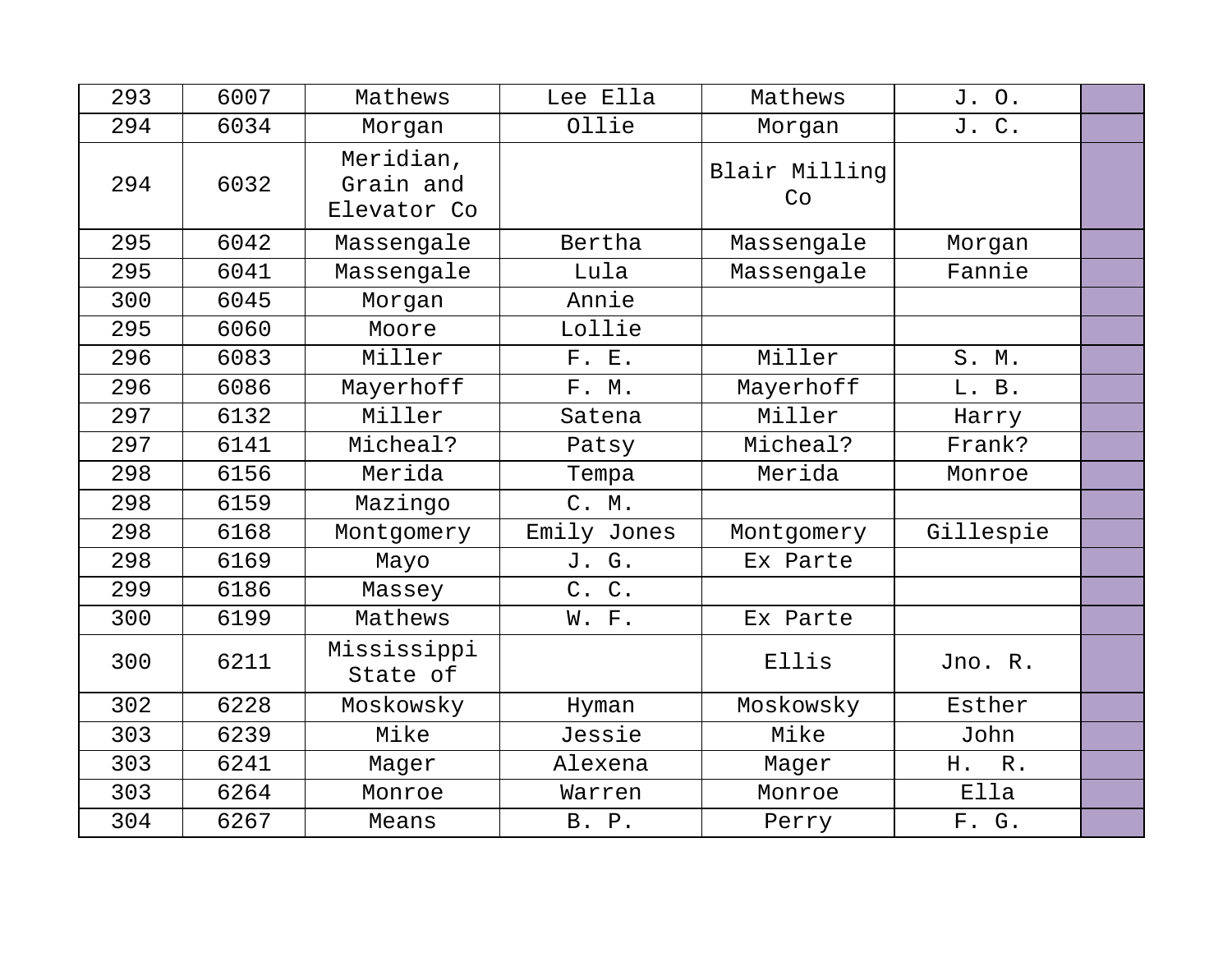| 293 | 6007 | Mathews                               | Lee Ella       | Mathews             | J. O.                 |  |
|-----|------|---------------------------------------|----------------|---------------------|-----------------------|--|
| 294 | 6034 | Morgan                                | Ollie          | Morgan              | J. C.                 |  |
| 294 | 6032 | Meridian,<br>Grain and<br>Elevator Co |                | Blair Milling<br>Co |                       |  |
| 295 | 6042 | Massengale                            | Bertha         | Massengale          | Morgan                |  |
| 295 | 6041 | Massengale                            | Lula           | Massengale          | Fannie                |  |
| 300 | 6045 | Morgan                                | Annie          |                     |                       |  |
| 295 | 6060 | Moore                                 | Lollie         |                     |                       |  |
| 296 | 6083 | Miller                                | F. E.          | Miller              | S. M.                 |  |
| 296 | 6086 | Mayerhoff                             | F. M.          | Mayerhoff           | L. B.                 |  |
| 297 | 6132 | Miller                                | Satena         | Miller              | Harry                 |  |
| 297 | 6141 | Micheal?                              | Patsy          | Micheal?            | Frank?                |  |
| 298 | 6156 | Merida                                | Tempa          | Merida              | Monroe                |  |
| 298 | 6159 | Mazingo                               | C. M.          |                     |                       |  |
| 298 | 6168 | Montgomery                            | Emily Jones    | Montgomery          | Gillespie             |  |
| 298 | 6169 | Mayo                                  | J. G.          | Ex Parte            |                       |  |
| 299 | 6186 | Massey                                | $C$ .<br>$C$ . |                     |                       |  |
| 300 | 6199 | Mathews                               | W. F.          | Ex Parte            |                       |  |
| 300 | 6211 | Mississippi<br>State of               |                | Ellis               | Jno. R.               |  |
| 302 | 6228 | Moskowsky                             | Hyman          | Moskowsky           | Esther                |  |
| 303 | 6239 | Mike                                  | Jessie         | Mike                | John                  |  |
| 303 | 6241 | Mager                                 | Alexena        | Mager               | ${\mathbb R}$ .<br>H. |  |
| 303 | 6264 | Monroe                                | Warren         | Monroe              | Ella                  |  |
| 304 | 6267 | Means                                 | B. P.          | Perry               | F. G.                 |  |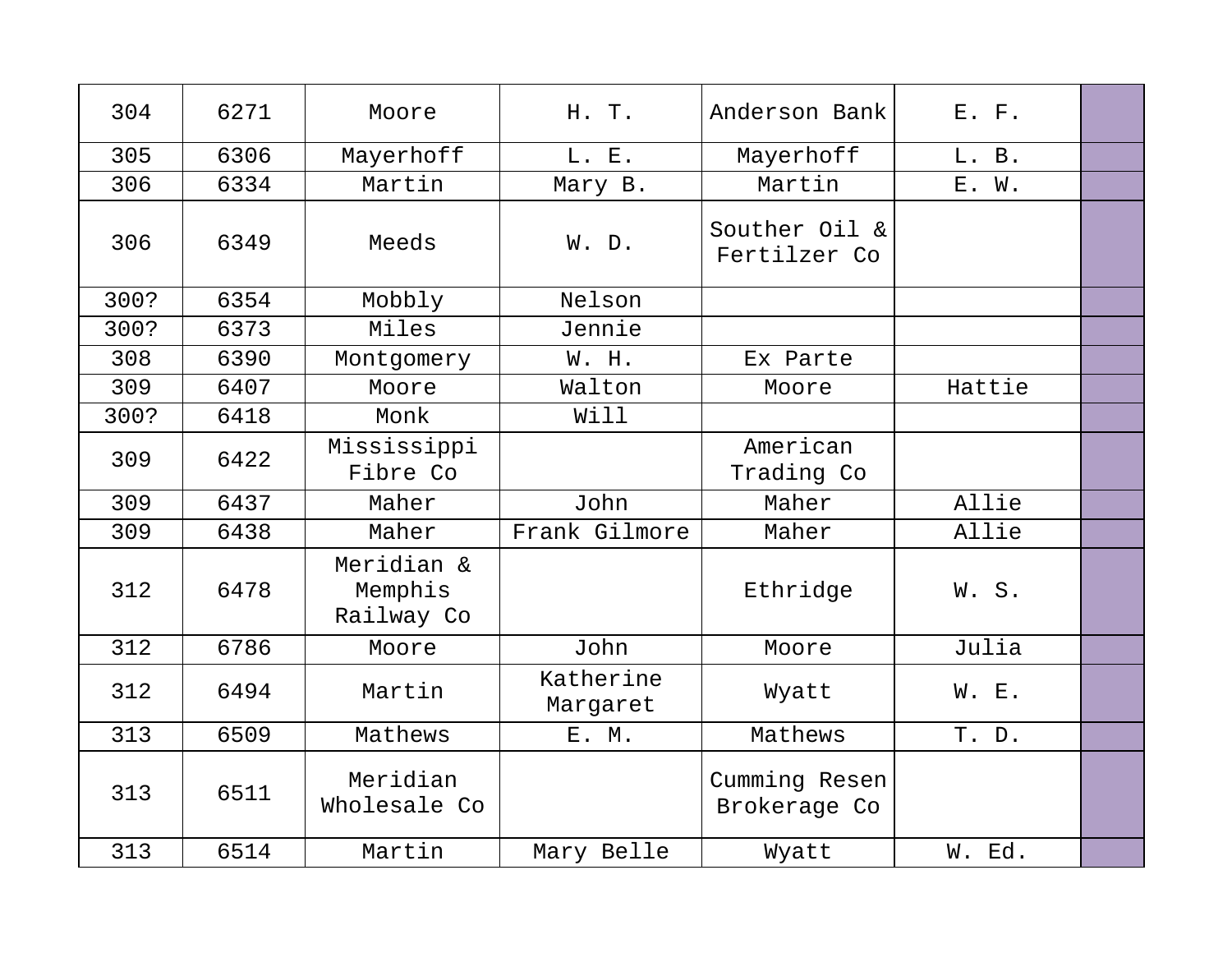| 304  | 6271 | Moore                               | H. T.                 | Anderson Bank                 | $E.$ $F.$ |  |
|------|------|-------------------------------------|-----------------------|-------------------------------|-----------|--|
| 305  | 6306 | Mayerhoff                           | L. E.                 | Mayerhoff                     | L. B.     |  |
| 306  | 6334 | Martin                              | Mary B.               | Martin                        | E. W.     |  |
| 306  | 6349 | Meeds                               | W. D.                 | Souther Oil &<br>Fertilzer Co |           |  |
| 300? | 6354 | Mobbly                              | Nelson                |                               |           |  |
| 300? | 6373 | Miles                               | Jennie                |                               |           |  |
| 308  | 6390 | Montgomery                          | W. H.                 | Ex Parte                      |           |  |
| 309  | 6407 | Moore                               | Walton                | Moore                         | Hattie    |  |
| 300? | 6418 | Monk                                | Will                  |                               |           |  |
| 309  | 6422 | Mississippi<br>Fibre Co             |                       | American<br>Trading Co        |           |  |
| 309  | 6437 | Maher                               | John                  | Maher                         | Allie     |  |
| 309  | 6438 | Maher                               | Frank Gilmore         | Maher                         | Allie     |  |
| 312  | 6478 | Meridian &<br>Memphis<br>Railway Co |                       | Ethridge                      | W.S.      |  |
| 312  | 6786 | Moore                               | John                  | Moore                         | Julia     |  |
| 312  | 6494 | Martin                              | Katherine<br>Margaret | Wyatt                         | W. E.     |  |
| 313  | 6509 | Mathews                             | E. M.                 | Mathews                       | T. D.     |  |
| 313  | 6511 | Meridian<br>Wholesale Co            |                       | Cumming Resen<br>Brokerage Co |           |  |
| 313  | 6514 | Martin                              | Mary Belle            | Wyatt                         | W. Ed.    |  |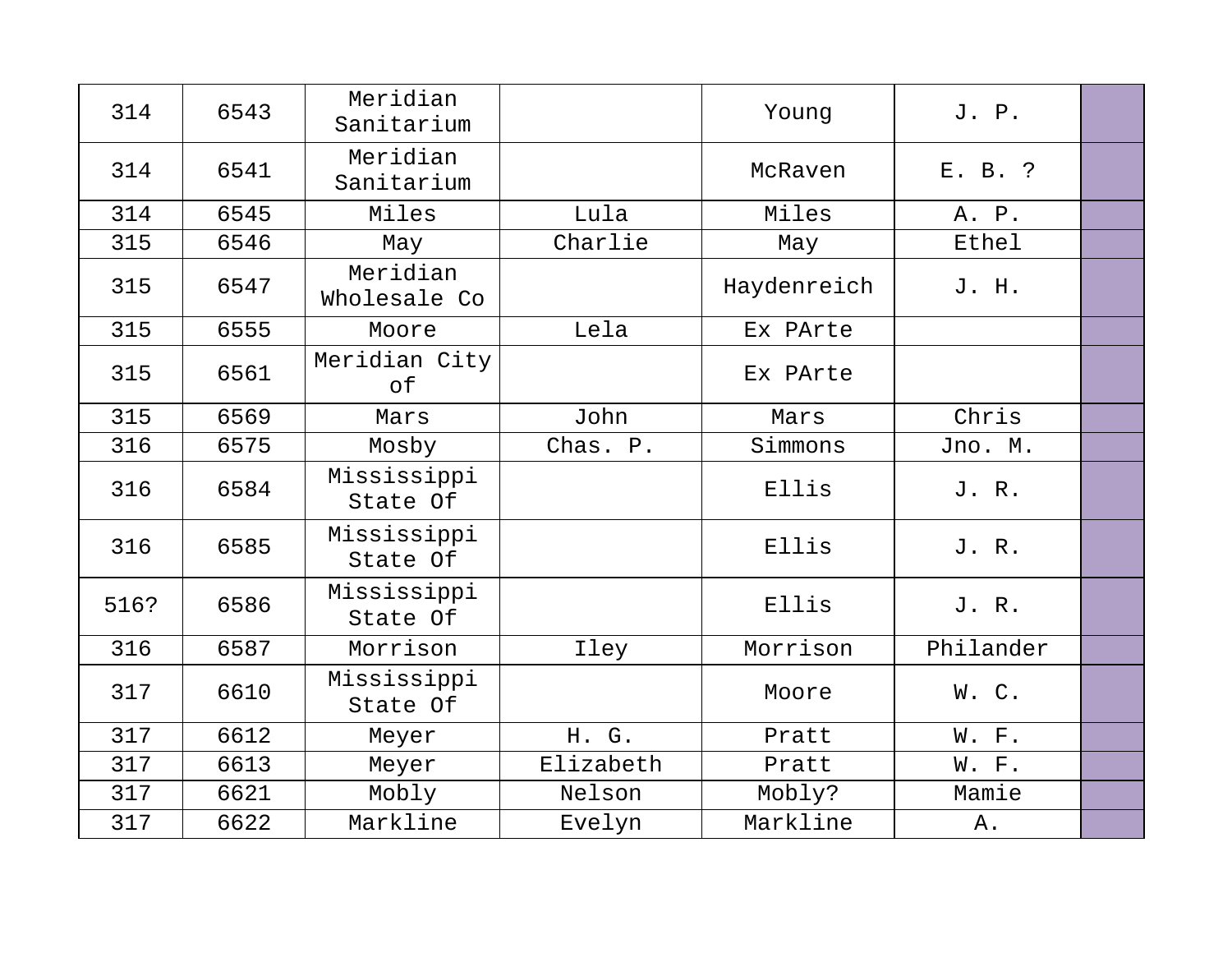| 314  | 6543 | Meridian<br>Sanitarium   |           | Young       | J. P.     |  |
|------|------|--------------------------|-----------|-------------|-----------|--|
| 314  | 6541 | Meridian<br>Sanitarium   |           | McRaven     | E. B. ?   |  |
| 314  | 6545 | Miles                    | Lula      | Miles       | A. P.     |  |
| 315  | 6546 | May                      | Charlie   | May         | Ethel     |  |
| 315  | 6547 | Meridian<br>Wholesale Co |           | Haydenreich | J. H.     |  |
| 315  | 6555 | Moore                    | Lela      | Ex PArte    |           |  |
| 315  | 6561 | Meridian City<br>of      |           | Ex PArte    |           |  |
| 315  | 6569 | Mars                     | John      | Mars        | Chris     |  |
| 316  | 6575 | Mosby                    | Chas. P.  | Simmons     | Jno. M.   |  |
| 316  | 6584 | Mississippi<br>State Of  |           | Ellis       | J. R.     |  |
| 316  | 6585 | Mississippi<br>State Of  |           | Ellis       | J. R.     |  |
| 516? | 6586 | Mississippi<br>State Of  |           | Ellis       | J. R.     |  |
| 316  | 6587 | Morrison                 | Iley      | Morrison    | Philander |  |
| 317  | 6610 | Mississippi<br>State Of  |           | Moore       | W.C.      |  |
| 317  | 6612 | Meyer                    | H. G.     | Pratt       | W. F.     |  |
| 317  | 6613 | Meyer                    | Elizabeth | Pratt       | W. F.     |  |
| 317  | 6621 | Mobly                    | Nelson    | Mobly?      | Mamie     |  |
| 317  | 6622 | Markline                 | Evelyn    | Markline    | Α.        |  |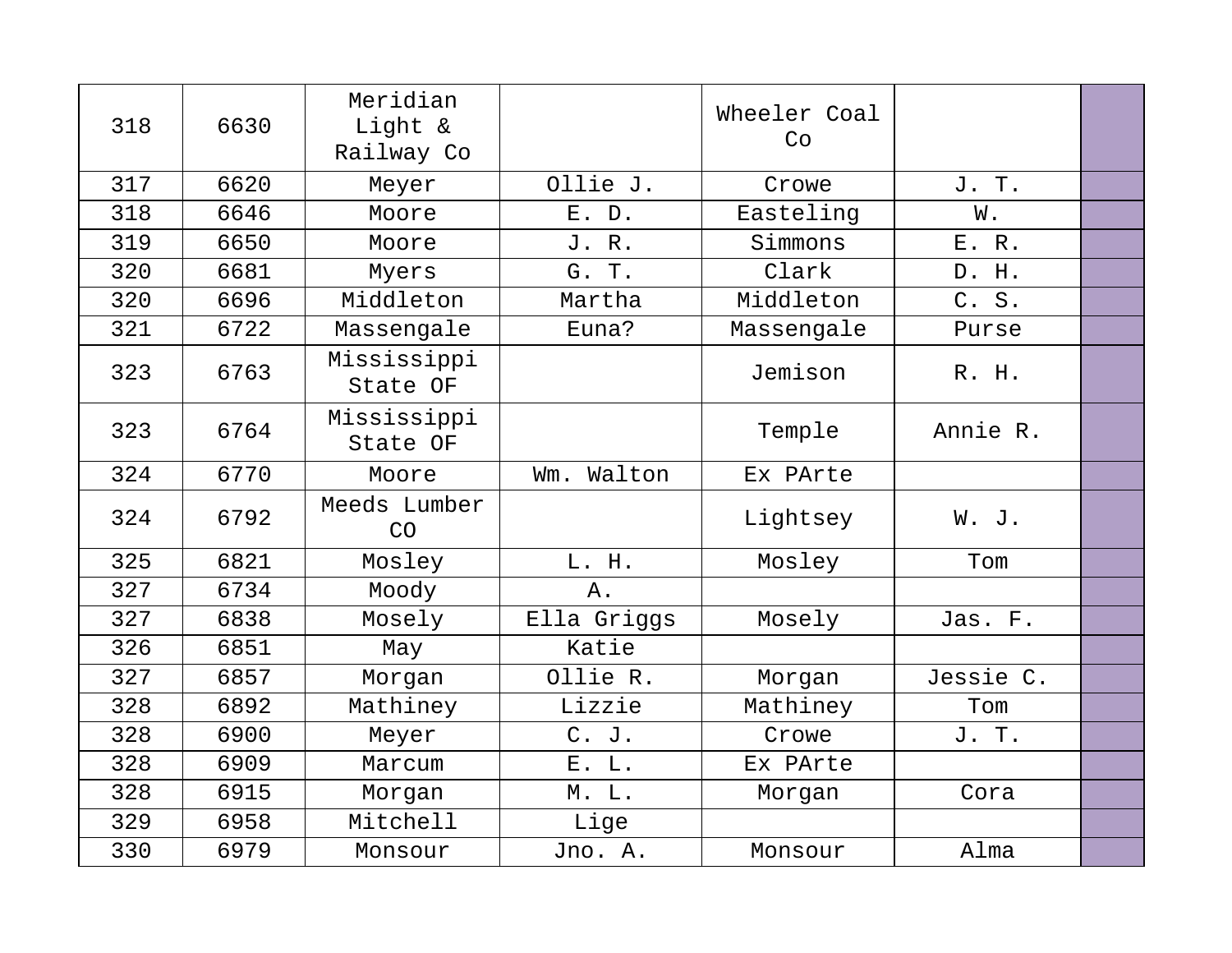| 318 | 6630 | Meridian<br>Light &<br>Railway Co |               | Wheeler Coal<br>Co |           |  |
|-----|------|-----------------------------------|---------------|--------------------|-----------|--|
| 317 | 6620 | Meyer                             | Ollie J.      | Crowe              | J. T.     |  |
| 318 | 6646 | Moore                             | E. D.         | Easteling          | W.        |  |
| 319 | 6650 | Moore                             | J. R.         | Simmons            | E.R.      |  |
| 320 | 6681 | Myers                             | G. T.         | Clark              | D. H.     |  |
| 320 | 6696 | Middleton                         | Martha        | Middleton          | C. S.     |  |
| 321 | 6722 | Massengale                        | Euna?         | Massengale         | Purse     |  |
| 323 | 6763 | Mississippi<br>State OF           |               | Jemison            | R. H.     |  |
| 323 | 6764 | Mississippi<br>State OF           |               | Temple             | Annie R.  |  |
| 324 | 6770 | Moore                             | Walton<br>Wm. | Ex PArte           |           |  |
| 324 | 6792 | Meeds Lumber<br>CO                |               | Lightsey           | W. J.     |  |
| 325 | 6821 | Mosley                            | L. H.         | Mosley             | Tom       |  |
| 327 | 6734 | Moody                             | Α.            |                    |           |  |
| 327 | 6838 | Mosely                            | Ella Griggs   | Mosely             | Jas. F.   |  |
| 326 | 6851 | May                               | Katie         |                    |           |  |
| 327 | 6857 | Morgan                            | Ollie R.      | Morgan             | Jessie C. |  |
| 328 | 6892 | Mathiney                          | Lizzie        | Mathiney           | Tom       |  |
| 328 | 6900 | Meyer                             | $C.$ J.       | Crowe              | J. T.     |  |
| 328 | 6909 | Marcum                            | E. L.         | Ex PArte           |           |  |
| 328 | 6915 | Morgan                            | M. L.         | Morgan             | Cora      |  |
| 329 | 6958 | Mitchell                          | Lige          |                    |           |  |
| 330 | 6979 | Monsour                           | Jno. A.       | Monsour            | Alma      |  |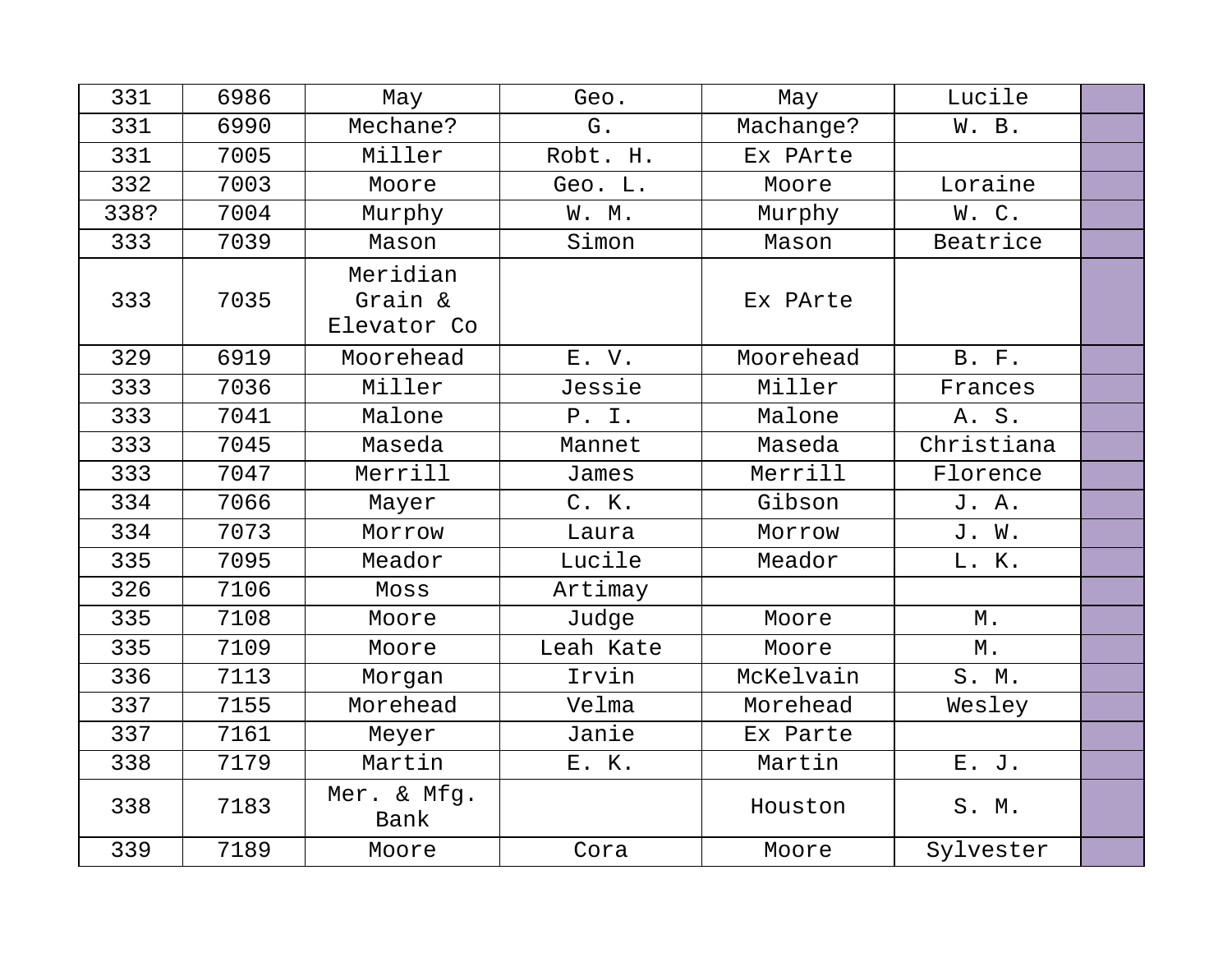| 331  | 6986 | May                 | Geo.      | May       | Lucile            |  |
|------|------|---------------------|-----------|-----------|-------------------|--|
| 331  | 6990 | Mechane?            | G.        | Machange? | W. B.             |  |
| 331  | 7005 | Miller              | Robt. H.  | Ex PArte  |                   |  |
| 332  | 7003 | Moore               | Geo. L.   | Moore     | Loraine           |  |
| 338? | 7004 | Murphy              | W. M.     | Murphy    | W.C.              |  |
| 333  | 7039 | Mason               | Simon     | Mason     | Beatrice          |  |
|      |      | Meridian            |           |           |                   |  |
| 333  | 7035 | Grain &             |           | Ex PArte  |                   |  |
|      |      | Elevator Co         |           |           |                   |  |
| 329  | 6919 | Moorehead           | E. V.     | Moorehead | B. F.             |  |
| 333  | 7036 | Miller              | Jessie    | Miller    | Frances           |  |
| 333  | 7041 | Malone              | P. I.     | Malone    | A. S.             |  |
| 333  | 7045 | Maseda              | Mannet    | Maseda    | Christiana        |  |
| 333  | 7047 | Merrill             | James     | Merrill   | Florence          |  |
| 334  | 7066 | Mayer               | C. K.     | Gibson    | J. A.             |  |
| 334  | 7073 | Morrow              | Laura     | Morrow    | J. W.             |  |
| 335  | 7095 | Meador              | Lucile    | Meador    | L. K.             |  |
| 326  | 7106 | Moss                | Artimay   |           |                   |  |
| 335  | 7108 | Moore               | Judge     | Moore     | $\mathbbmss{M}$ . |  |
| 335  | 7109 | Moore               | Leah Kate | Moore     | $\mathbbmss{M}$ . |  |
| 336  | 7113 | Morgan              | Irvin     | McKelvain | S. M.             |  |
| 337  | 7155 | Morehead            | Velma     | Morehead  | Wesley            |  |
| 337  | 7161 | Meyer               | Janie     | Ex Parte  |                   |  |
| 338  | 7179 | Martin              | E. K.     | Martin    | E. J.             |  |
| 338  | 7183 | Mer. & Mfg.<br>Bank |           | Houston   | S. M.             |  |
| 339  | 7189 | Moore               | Cora      | Moore     | Sylvester         |  |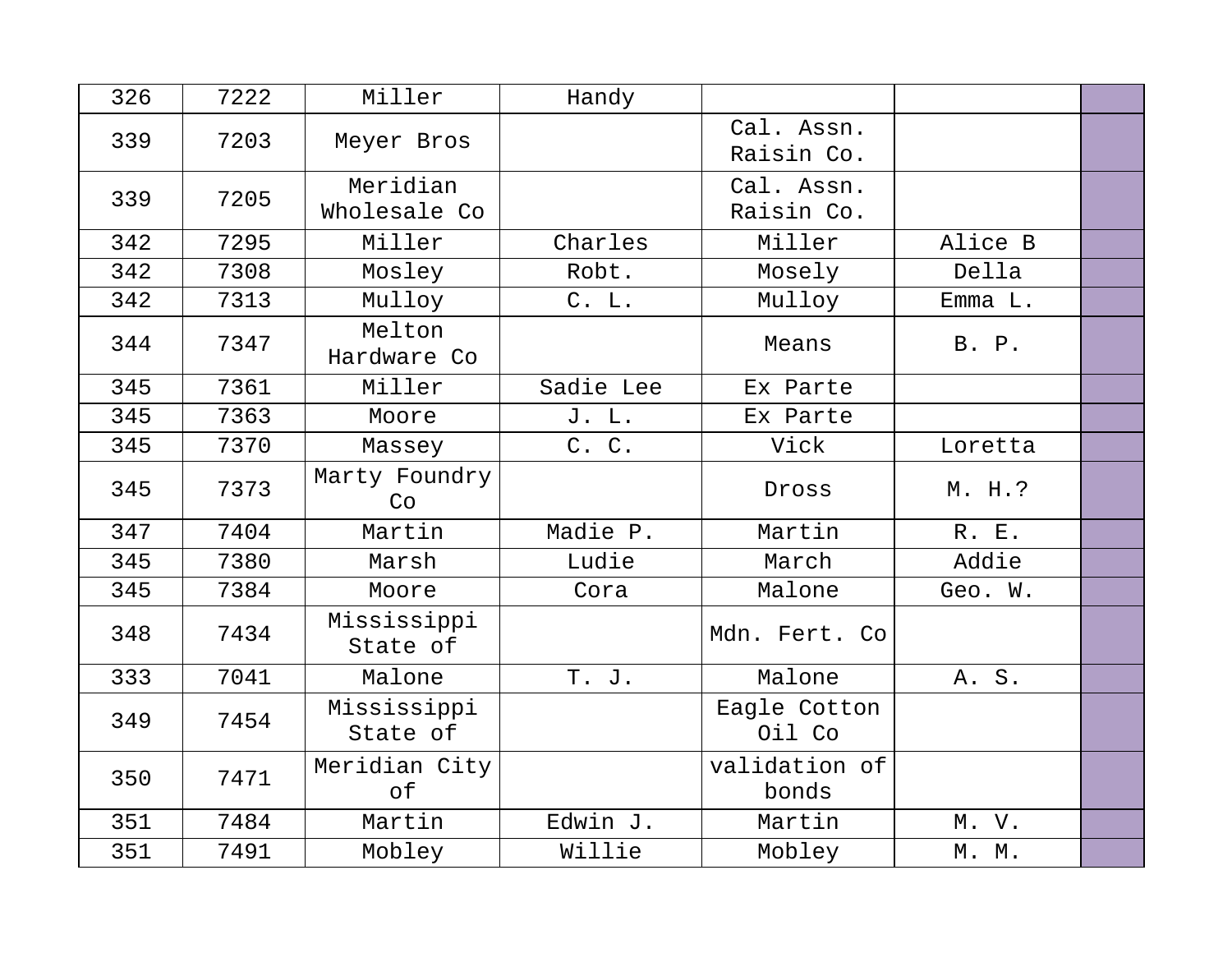| 326 | 7222 | Miller                   | Handy     |                          |         |  |
|-----|------|--------------------------|-----------|--------------------------|---------|--|
| 339 | 7203 | Meyer Bros               |           | Cal. Assn.<br>Raisin Co. |         |  |
| 339 | 7205 | Meridian<br>Wholesale Co |           | Cal. Assn.<br>Raisin Co. |         |  |
| 342 | 7295 | Miller                   | Charles   | Miller                   | Alice B |  |
| 342 | 7308 | Mosley                   | Robt.     | Mosely                   | Della   |  |
| 342 | 7313 | Mulloy                   | C. L.     | Mulloy                   | Emma L. |  |
| 344 | 7347 | Melton<br>Hardware Co    |           | Means                    | B. P.   |  |
| 345 | 7361 | Miller                   | Sadie Lee | Ex Parte                 |         |  |
| 345 | 7363 | Moore                    | J. L.     | Ex Parte                 |         |  |
| 345 | 7370 | Massey                   | C. C.     | Vick                     | Loretta |  |
| 345 | 7373 | Marty Foundry<br>Co      |           | Dross                    | M. H.?  |  |
| 347 | 7404 | Martin                   | Madie P.  | Martin                   | R. E.   |  |
| 345 | 7380 | Marsh                    | Ludie     | March                    | Addie   |  |
| 345 | 7384 | Moore                    | Cora      | Malone                   | Geo. W. |  |
| 348 | 7434 | Mississippi<br>State of  |           | Mdn. Fert. Co            |         |  |
| 333 | 7041 | Malone                   | T. J.     | Malone                   | A. S.   |  |
| 349 | 7454 | Mississippi<br>State of  |           | Eagle Cotton<br>Oil Co   |         |  |
| 350 | 7471 | Meridian City<br>оf      |           | validation of<br>bonds   |         |  |
| 351 | 7484 | Martin                   | Edwin J.  | Martin                   | M. V.   |  |
| 351 | 7491 | Mobley                   | Willie    | Mobley                   | M. M.   |  |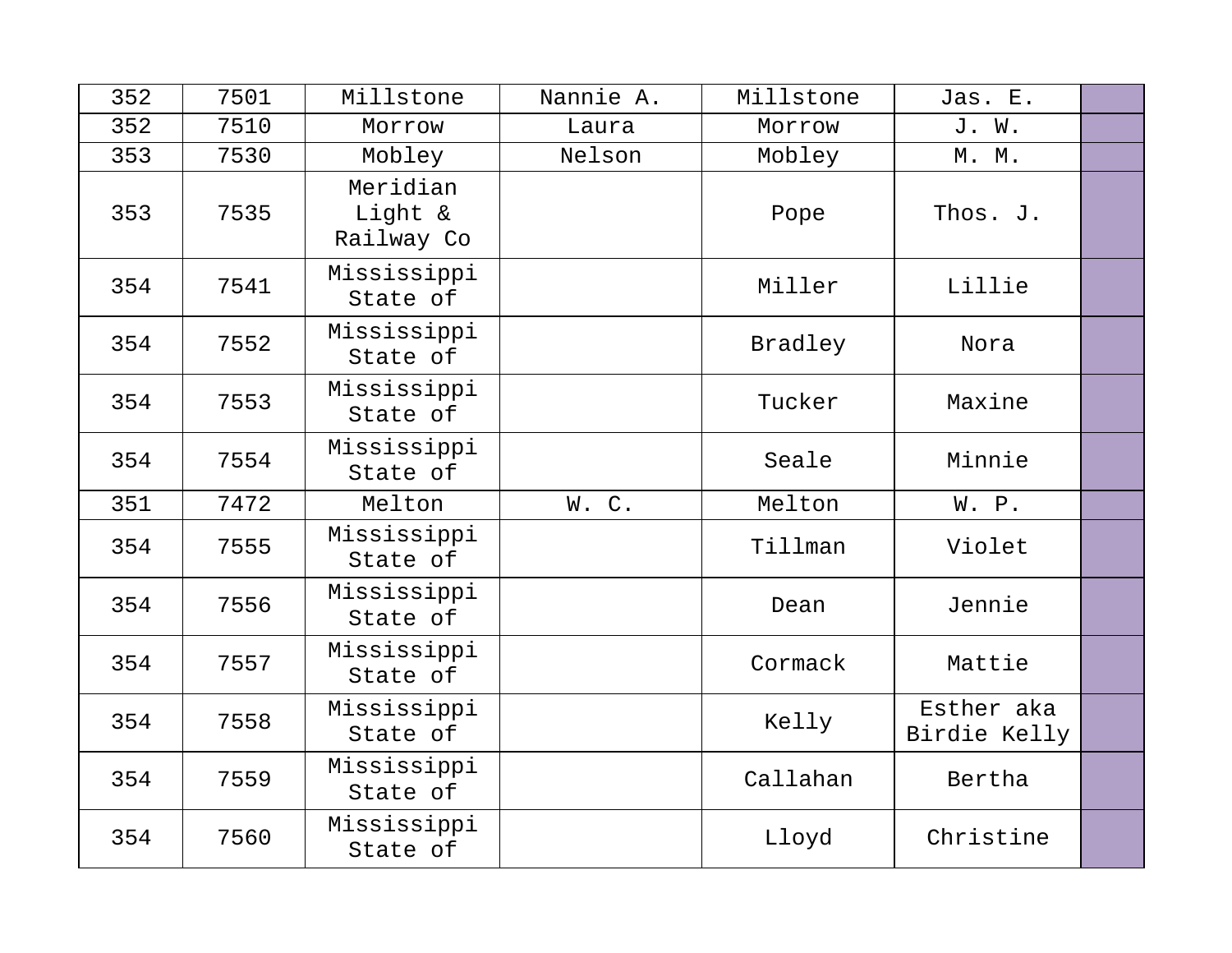| 352 | 7501 | Millstone                         | Nannie A. | Millstone | Jas. E.                    |  |
|-----|------|-----------------------------------|-----------|-----------|----------------------------|--|
| 352 | 7510 | Morrow                            | Laura     | Morrow    | J. W.                      |  |
| 353 | 7530 | Mobley                            | Nelson    | Mobley    | M. M.                      |  |
| 353 | 7535 | Meridian<br>Light &<br>Railway Co |           | Pope      | Thos. J.                   |  |
| 354 | 7541 | Mississippi<br>State of           |           | Miller    | Lillie                     |  |
| 354 | 7552 | Mississippi<br>State of           |           | Bradley   | Nora                       |  |
| 354 | 7553 | Mississippi<br>State of           |           | Tucker    | Maxine                     |  |
| 354 | 7554 | Mississippi<br>State of           |           | Seale     | Minnie                     |  |
| 351 | 7472 | Melton                            | W.C.      | Melton    | W. P.                      |  |
| 354 | 7555 | Mississippi<br>State of           |           | Tillman   | Violet                     |  |
| 354 | 7556 | Mississippi<br>State of           |           | Dean      | Jennie                     |  |
| 354 | 7557 | Mississippi<br>State of           |           | Cormack   | Mattie                     |  |
| 354 | 7558 | Mississippi<br>State of           |           | Kelly     | Esther aka<br>Birdie Kelly |  |
| 354 | 7559 | Mississippi<br>State of           |           | Callahan  | Bertha                     |  |
| 354 | 7560 | Mississippi<br>State of           |           | Lloyd     | Christine                  |  |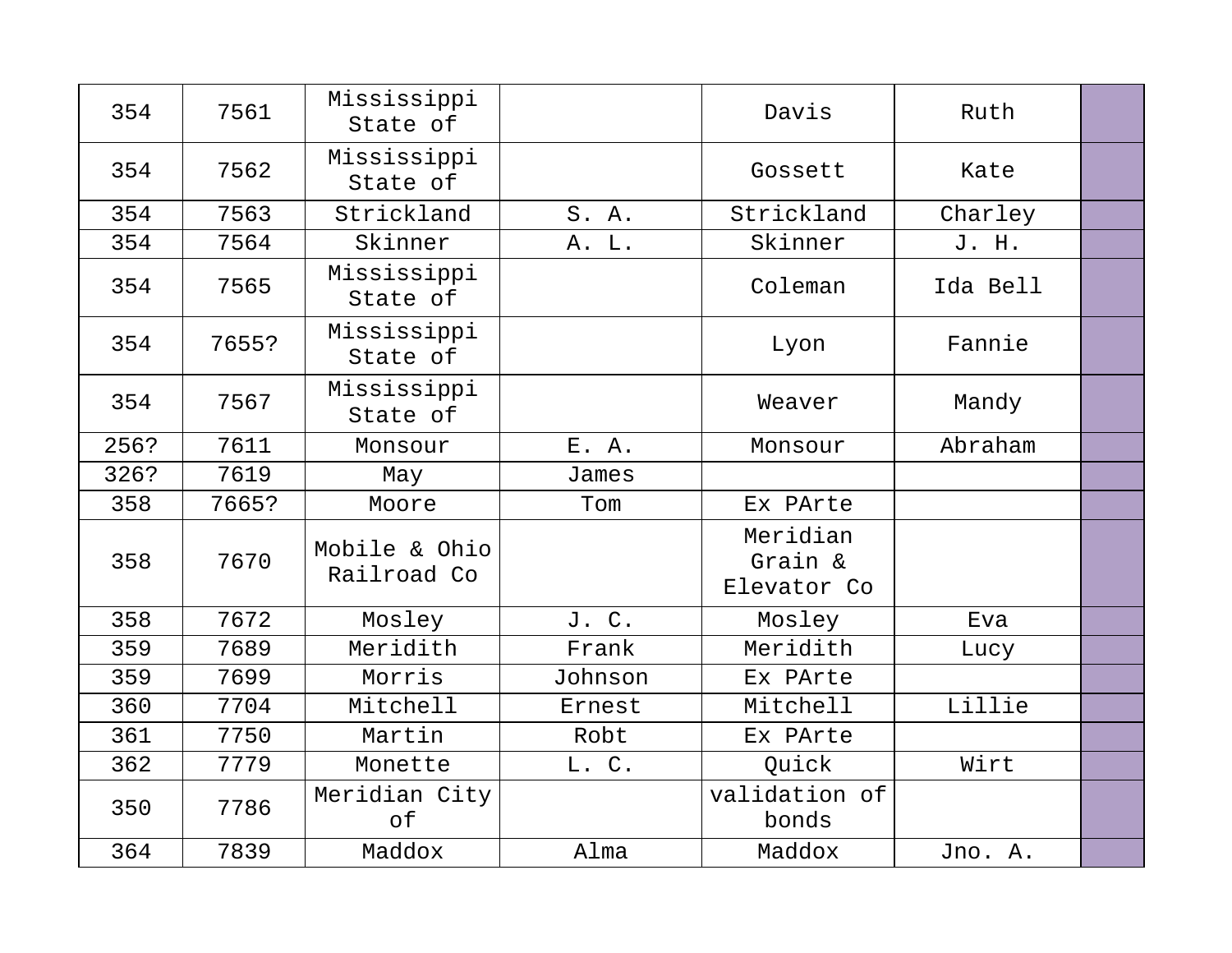| 354  | 7561  | Mississippi<br>State of      |         | Davis                              | Ruth     |  |
|------|-------|------------------------------|---------|------------------------------------|----------|--|
| 354  | 7562  | Mississippi<br>State of      |         | Gossett                            | Kate     |  |
| 354  | 7563  | Strickland                   | S. A.   | Strickland                         | Charley  |  |
| 354  | 7564  | Skinner                      | A. L.   | Skinner                            | J. H.    |  |
| 354  | 7565  | Mississippi<br>State of      |         | Coleman                            | Ida Bell |  |
| 354  | 7655? | Mississippi<br>State of      |         | Lyon                               | Fannie   |  |
| 354  | 7567  | Mississippi<br>State of      |         | Weaver                             | Mandy    |  |
| 256? | 7611  | Monsour                      | E. A.   | Monsour                            | Abraham  |  |
| 326? | 7619  | May                          | James   |                                    |          |  |
| 358  | 7665? | Moore                        | Tom     | Ex PArte                           |          |  |
| 358  | 7670  | Mobile & Ohio<br>Railroad Co |         | Meridian<br>Grain &<br>Elevator Co |          |  |
| 358  | 7672  | Mosley                       | J. C.   | Mosley                             | Eva      |  |
| 359  | 7689  | Meridith                     | Frank   | Meridith                           | Lucy     |  |
| 359  | 7699  | Morris                       | Johnson | Ex PArte                           |          |  |
| 360  | 7704  | Mitchell                     | Ernest  | Mitchell                           | Lillie   |  |
| 361  | 7750  | Martin                       | Robt    | Ex PArte                           |          |  |
| 362  | 7779  | Monette                      | L. C.   | Quick                              | Wirt     |  |
| 350  | 7786  | Meridian City<br>of          |         | validation of<br>bonds             |          |  |
| 364  | 7839  | Maddox                       | Alma    | Maddox                             | Jno. A.  |  |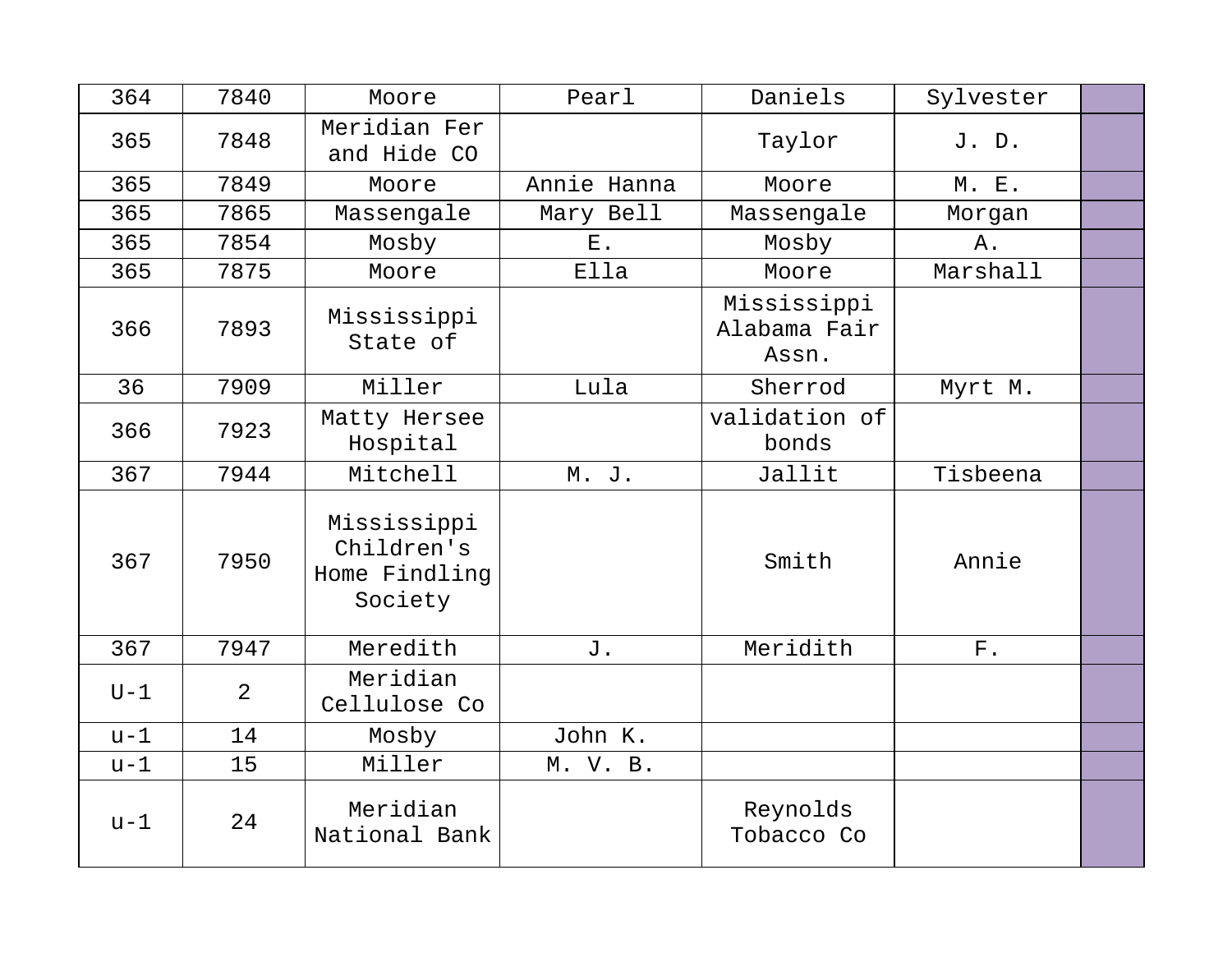| 364   | 7840 | Moore                                                 | Pearl       | Daniels                              | Sylvester   |  |
|-------|------|-------------------------------------------------------|-------------|--------------------------------------|-------------|--|
| 365   | 7848 | Meridian Fer<br>and Hide CO                           |             | Taylor                               | J. D.       |  |
| 365   | 7849 | Moore                                                 | Annie Hanna | Moore                                | M. E.       |  |
| 365   | 7865 | Massengale                                            | Mary Bell   | Massengale                           | Morgan      |  |
| 365   | 7854 | Mosby                                                 | Ε.          | Mosby                                | Α.          |  |
| 365   | 7875 | Moore                                                 | Ella        | Moore                                | Marshall    |  |
| 366   | 7893 | Mississippi<br>State of                               |             | Mississippi<br>Alabama Fair<br>Assn. |             |  |
| 36    | 7909 | Miller                                                | Lula        | Sherrod                              | Myrt M.     |  |
| 366   | 7923 | Matty Hersee<br>Hospital                              |             | validation of<br>bonds               |             |  |
| 367   | 7944 | Mitchell                                              | M. J.       | Jallit                               | Tisbeena    |  |
| 367   | 7950 | Mississippi<br>Children's<br>Home Findling<br>Society |             | Smith                                | Annie       |  |
| 367   | 7947 | Meredith                                              | J.          | Meridith                             | ${\rm F}$ . |  |
| $U-1$ | 2    | Meridian<br>Cellulose Co                              |             |                                      |             |  |
| $u-1$ | 14   | Mosby                                                 | John K.     |                                      |             |  |
| $u-1$ | 15   | Miller                                                | M. V. B.    |                                      |             |  |
| $u-1$ | 24   | Meridian<br>National Bank                             |             | Reynolds<br>Tobacco Co               |             |  |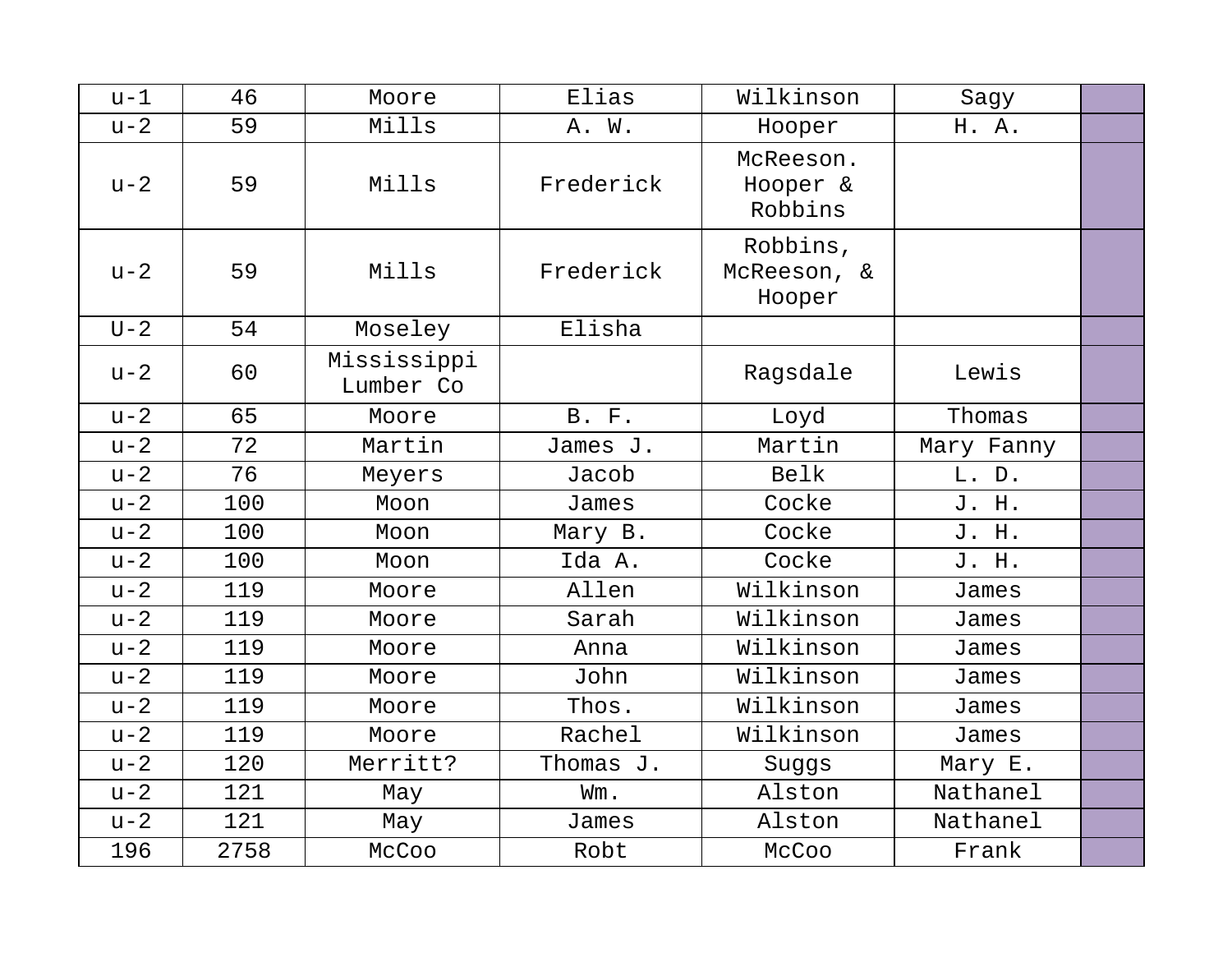| $u-1$ | 46   | Moore                    | Elias        | Wilkinson                         | Sagy       |  |
|-------|------|--------------------------|--------------|-----------------------------------|------------|--|
| $u-2$ | 59   | Mills                    | A. W.        | Hooper                            | H. A.      |  |
| $u-2$ | 59   | Mills                    | Frederick    | McReeson.<br>Hooper &<br>Robbins  |            |  |
| $u-2$ | 59   | Mills                    | Frederick    | Robbins,<br>McReeson, &<br>Hooper |            |  |
| $U-2$ | 54   | Moseley                  | Elisha       |                                   |            |  |
| $u-2$ | 60   | Mississippi<br>Lumber Co |              | Ragsdale                          | Lewis      |  |
| $u-2$ | 65   | Moore                    | <b>B.</b> F. | Loyd                              | Thomas     |  |
| $u-2$ | 72   | Martin                   | James J.     | Martin                            | Mary Fanny |  |
| $u-2$ | 76   | Meyers                   | Jacob        | Belk                              | L. D.      |  |
| $u-2$ | 100  | Moon                     | James        | Cocke                             | J. H.      |  |
| $u-2$ | 100  | Moon                     | Mary B.      | Cocke                             | J. H.      |  |
| $u-2$ | 100  | Moon                     | Ida A.       | Cocke                             | J. H.      |  |
| $u-2$ | 119  | Moore                    | Allen        | Wilkinson                         | James      |  |
| $u-2$ | 119  | Moore                    | Sarah        | Wilkinson                         | James      |  |
| $u-2$ | 119  | Moore                    | Anna         | Wilkinson                         | James      |  |
| $u-2$ | 119  | Moore                    | John         | Wilkinson                         | James      |  |
| $u-2$ | 119  | Moore                    | Thos.        | Wilkinson                         | James      |  |
| $u-2$ | 119  | Moore                    | Rachel       | Wilkinson                         | James      |  |
| $u-2$ | 120  | Merritt?                 | Thomas J.    | Suggs                             | Mary E.    |  |
| $u-2$ | 121  | May                      | Wm.          | Alston                            | Nathanel   |  |
| $u-2$ | 121  | May                      | James        | Alston                            | Nathanel   |  |
| 196   | 2758 | McCoo                    | Robt         | McCoo                             | Frank      |  |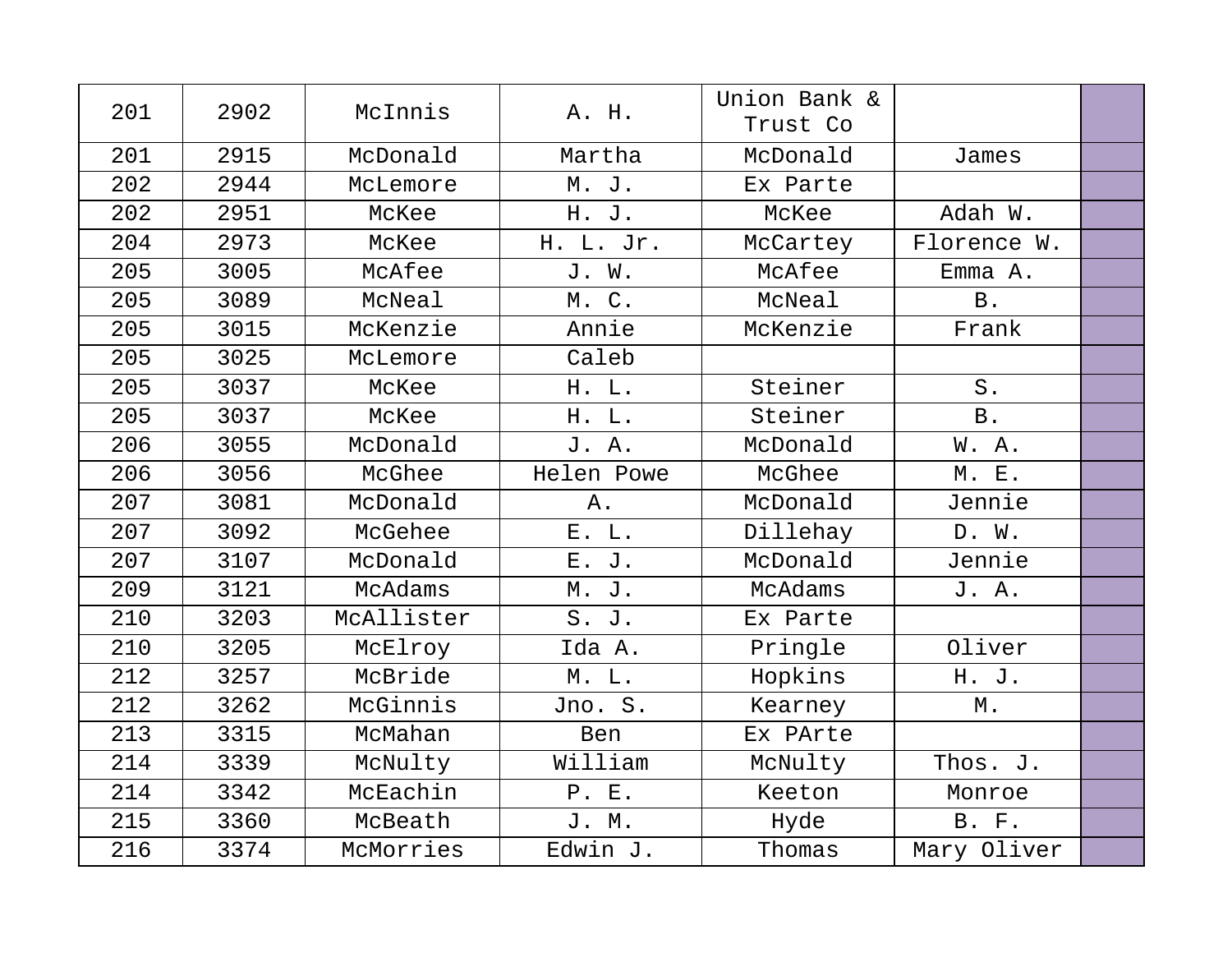| 201 | 2902 | McInnis    | A. H.      | Union Bank &<br>Trust Co |                   |  |
|-----|------|------------|------------|--------------------------|-------------------|--|
| 201 | 2915 | McDonald   | Martha     | McDonald                 | James             |  |
| 202 | 2944 | McLemore   | M. J.      | Ex Parte                 |                   |  |
| 202 | 2951 | McKee      | H. J.      | McKee                    | Adah W.           |  |
| 204 | 2973 | McKee      | H. L. Jr.  | McCartey                 | Florence W.       |  |
| 205 | 3005 | McAfee     | J. W.      | McAfee                   | Emma A.           |  |
| 205 | 3089 | McNeal     | M. C.      | McNeal                   | <b>B</b> .        |  |
| 205 | 3015 | McKenzie   | Annie      | McKenzie                 | Frank             |  |
| 205 | 3025 | McLemore   | Caleb      |                          |                   |  |
| 205 | 3037 | McKee      | H. L.      | Steiner                  | $S$ .             |  |
| 205 | 3037 | McKee      | H. L.      | Steiner                  | B.                |  |
| 206 | 3055 | McDonald   | J. A.      | McDonald                 | W.A.              |  |
| 206 | 3056 | McGhee     | Helen Powe | McGhee                   | M. E.             |  |
| 207 | 3081 | McDonald   | Α.         | McDonald                 | Jennie            |  |
| 207 | 3092 | McGehee    | E. L.      | Dillehay                 | D. W.             |  |
| 207 | 3107 | McDonald   | E. J.      | McDonald                 | Jennie            |  |
| 209 | 3121 | McAdams    | M. J.      | McAdams                  | J. A.             |  |
| 210 | 3203 | McAllister | S. J.      | Ex Parte                 |                   |  |
| 210 | 3205 | McElroy    | Ida A.     | Pringle                  | Oliver            |  |
| 212 | 3257 | McBride    | M. L.      | Hopkins                  | H. J.             |  |
| 212 | 3262 | McGinnis   | Jno. S.    | Kearney                  | $\mathbbmss{M}$ . |  |
| 213 | 3315 | McMahan    | Ben        | Ex PArte                 |                   |  |
| 214 | 3339 | McNulty    | William    | McNulty                  | Thos. J.          |  |
| 214 | 3342 | McEachin   | P. E.      | Keeton                   | Monroe            |  |
| 215 | 3360 | McBeath    | J. M.      | Hyde                     | <b>B. F.</b>      |  |
| 216 | 3374 | McMorries  | Edwin J.   | Thomas                   | Mary Oliver       |  |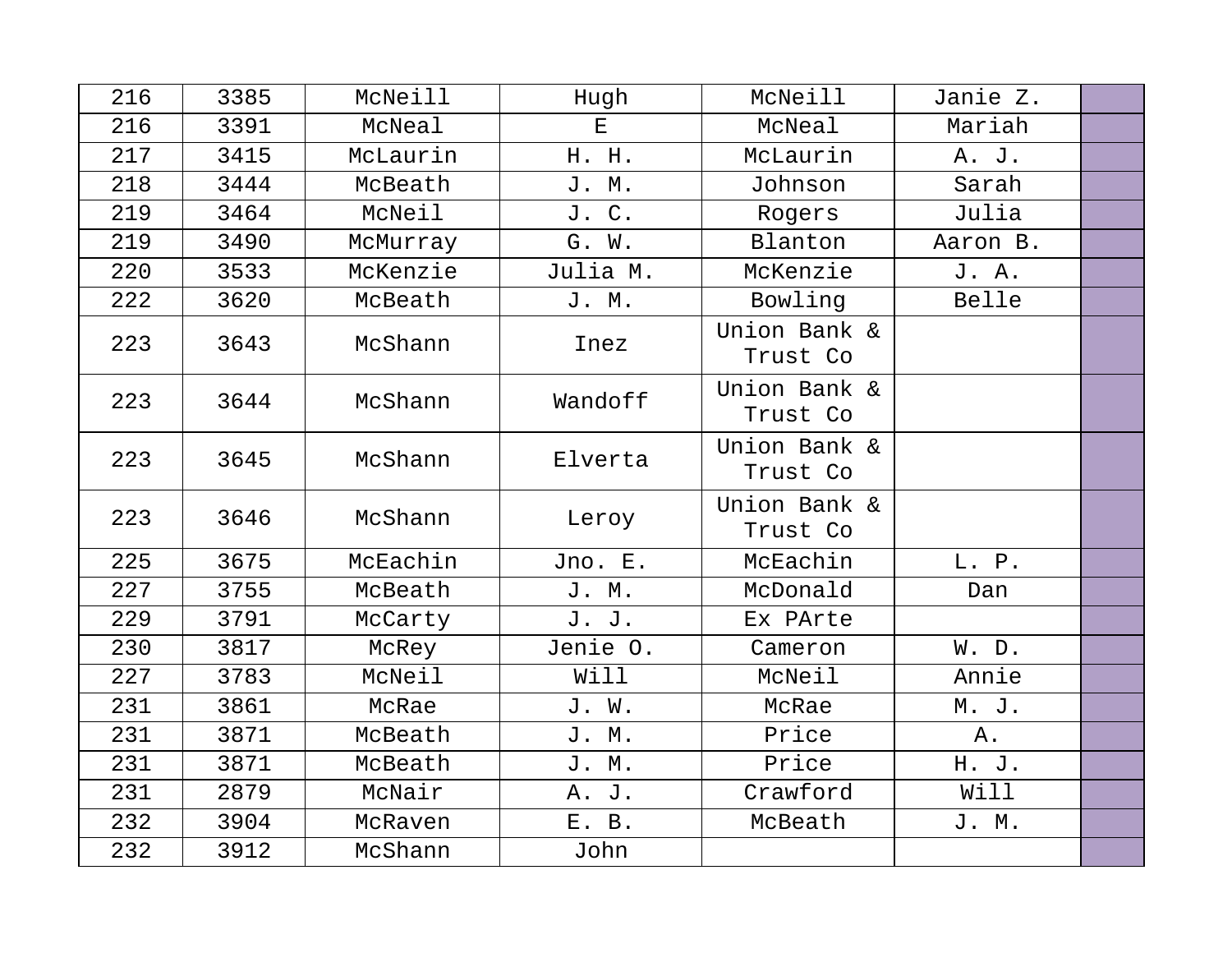| 216 | 3385 | McNeill  | Hugh         | McNeill                  | Janie Z. |  |
|-----|------|----------|--------------|--------------------------|----------|--|
| 216 | 3391 | McNeal   | $\mathbf{E}$ | McNeal                   | Mariah   |  |
| 217 | 3415 | McLaurin | H. H.        | McLaurin                 | A. J.    |  |
| 218 | 3444 | McBeath  | J. M.        | Johnson                  | Sarah    |  |
| 219 | 3464 | McNeil   | J. C.        | Rogers                   | Julia    |  |
| 219 | 3490 | McMurray | G. W.        | Blanton                  | Aaron B. |  |
| 220 | 3533 | McKenzie | Julia M.     | McKenzie                 | J. A.    |  |
| 222 | 3620 | McBeath  | J. M.        | Bowling                  | Belle    |  |
| 223 | 3643 | McShann  | Inez         | Union Bank &<br>Trust Co |          |  |
| 223 | 3644 | McShann  | Wandoff      | Union Bank &<br>Trust Co |          |  |
| 223 | 3645 | McShann  | Elverta      | Union Bank &<br>Trust Co |          |  |
| 223 | 3646 | McShann  | Leroy        | Union Bank &<br>Trust Co |          |  |
| 225 | 3675 | McEachin | Jno. E.      | McEachin                 | L. P.    |  |
| 227 | 3755 | McBeath  | J. M.        | McDonald                 | Dan      |  |
| 229 | 3791 | McCarty  | J. J.        | Ex PArte                 |          |  |
| 230 | 3817 | McRey    | Jenie O.     | Cameron                  | W. D.    |  |
| 227 | 3783 | McNeil   | Will         | McNeil                   | Annie    |  |
| 231 | 3861 | McRae    | J. W.        | McRae                    | M. J.    |  |
| 231 | 3871 | McBeath  | J. M.        | Price                    | Α.       |  |
| 231 | 3871 | McBeath  | J. M.        | Price                    | H. J.    |  |
| 231 | 2879 | McNair   | A. J.        | Crawford                 | Will     |  |
| 232 | 3904 | McRaven  | E. B.        | McBeath                  | J. M.    |  |
| 232 | 3912 | McShann  | John         |                          |          |  |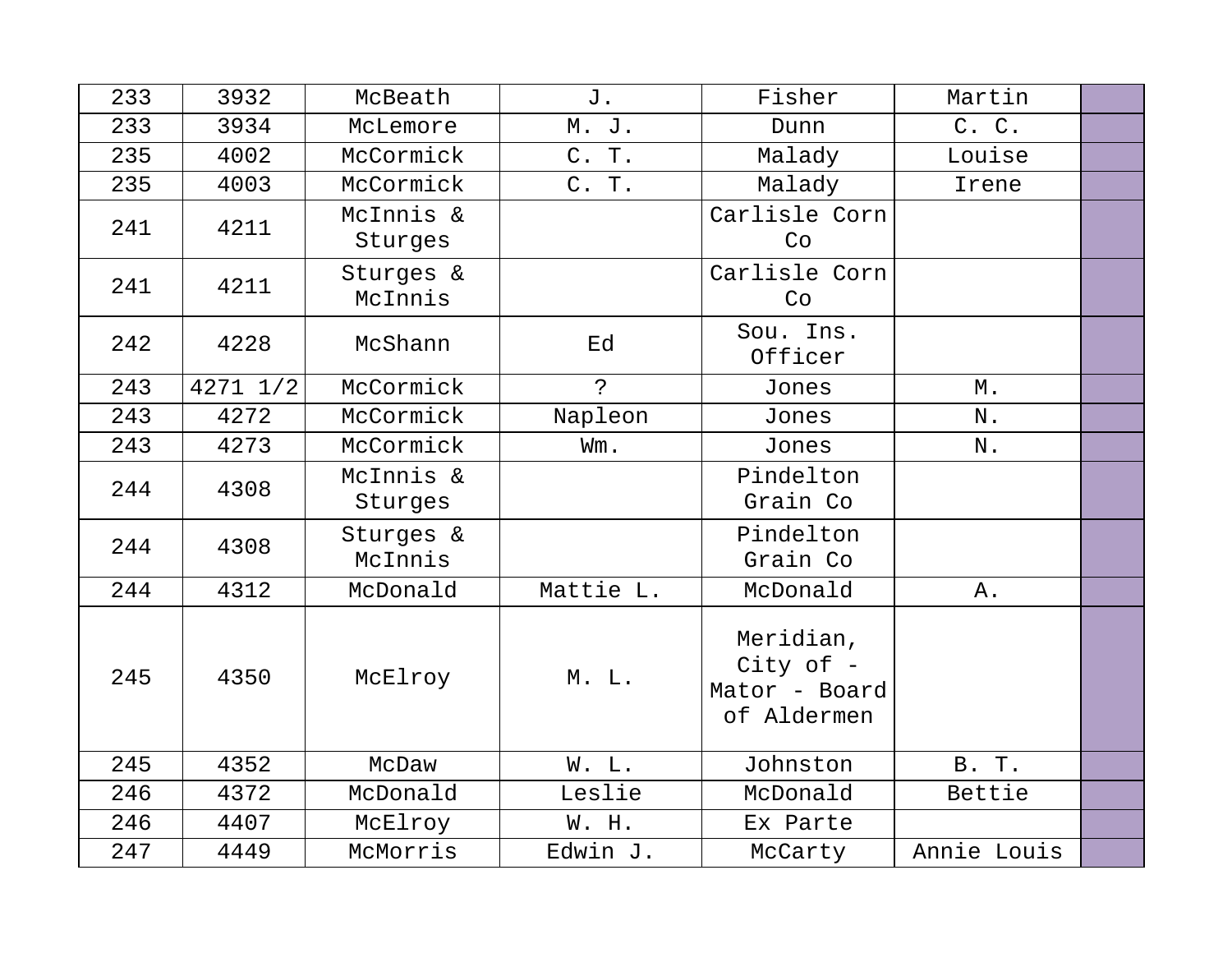| 233 | 3932         | McBeath              | J.          | Fisher                                                   | Martin      |  |
|-----|--------------|----------------------|-------------|----------------------------------------------------------|-------------|--|
| 233 | 3934         | McLemore             | M. J.       | Dunn                                                     | C. C.       |  |
| 235 | 4002         | McCormick            | C. T.       | Malady                                                   | Louise      |  |
| 235 | 4003         | McCormick            | C. T.       | Malady                                                   | Irene       |  |
| 241 | 4211         | McInnis &<br>Sturges |             | Carlisle Corn<br>Co                                      |             |  |
| 241 | 4211         | Sturges &<br>McInnis |             | Carlisle Corn<br>Co                                      |             |  |
| 242 | 4228         | McShann              | Ed          | Sou. Ins.<br>Officer                                     |             |  |
| 243 | $4271$ $1/2$ | McCormick            | $\tilde{z}$ | Jones                                                    | М.          |  |
| 243 | 4272         | McCormick            | Napleon     | Jones                                                    | N.          |  |
| 243 | 4273         | McCormick            | Wm.         | Jones                                                    | N.          |  |
| 244 | 4308         | McInnis &<br>Sturges |             | Pindelton<br>Grain Co                                    |             |  |
| 244 | 4308         | Sturges &<br>McInnis |             | Pindelton<br>Grain Co                                    |             |  |
| 244 | 4312         | McDonald             | Mattie L.   | McDonald                                                 | Α.          |  |
| 245 | 4350         | McElroy              | M. L.       | Meridian,<br>City of $-$<br>Mator - Board<br>of Aldermen |             |  |
| 245 | 4352         | McDaw                | W. L.       | Johnston                                                 | B. T.       |  |
| 246 | 4372         | McDonald             | Leslie      | McDonald                                                 | Bettie      |  |
| 246 | 4407         | McElroy              | W. H.       | Ex Parte                                                 |             |  |
| 247 | 4449         | McMorris             | Edwin J.    | McCarty                                                  | Annie Louis |  |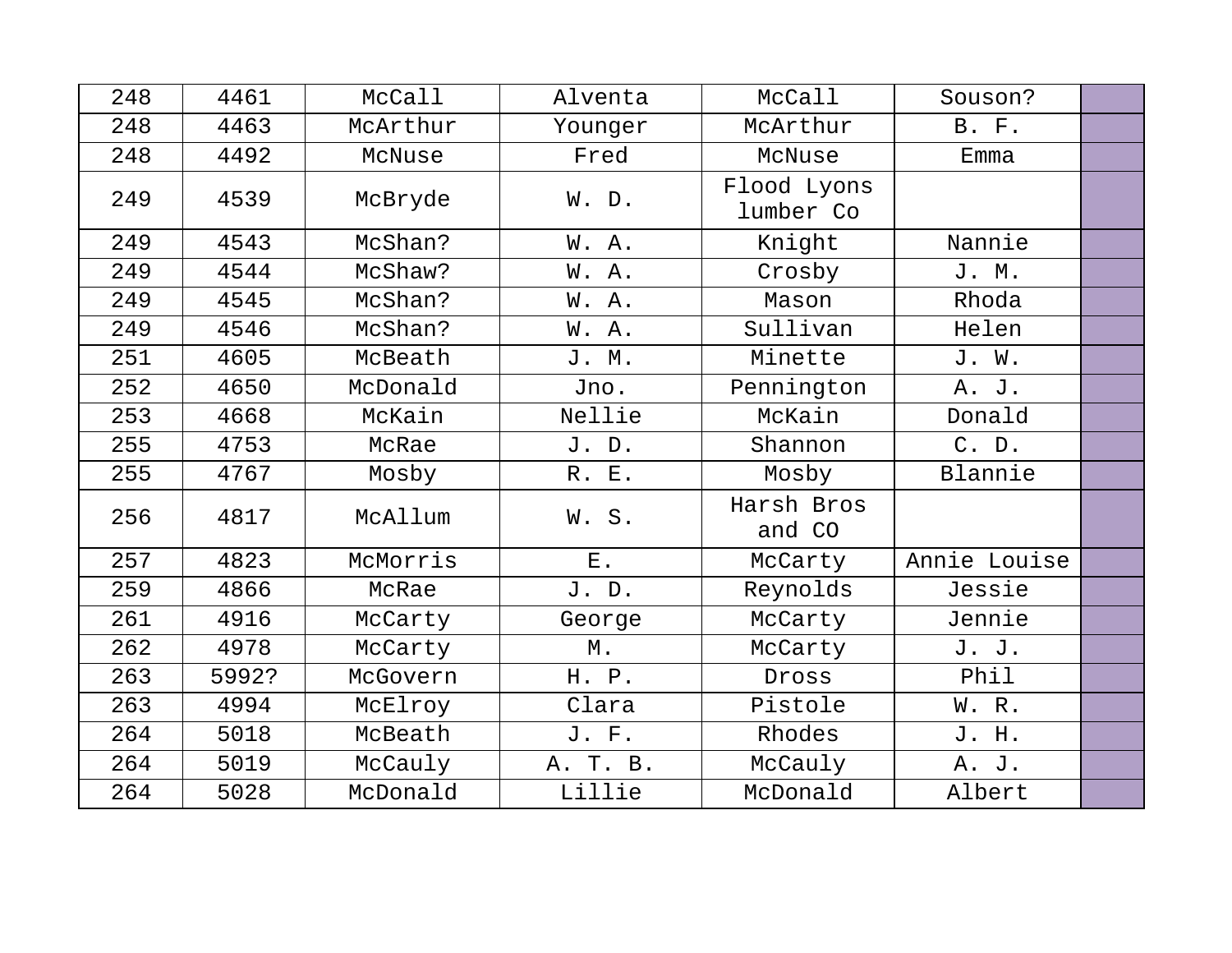| 248 | 4461  | McCall   | Alventa  | McCall                   | Souson?      |  |
|-----|-------|----------|----------|--------------------------|--------------|--|
| 248 | 4463  | McArthur | Younger  | McArthur                 | <b>B. F.</b> |  |
| 248 | 4492  | McNuse   | Fred     | McNuse                   | Emma         |  |
| 249 | 4539  | McBryde  | W. D.    | Flood Lyons<br>lumber Co |              |  |
| 249 | 4543  | McShan?  | W. A.    | Knight                   | Nannie       |  |
| 249 | 4544  | McShaw?  | W. A.    | Crosby                   | J. M.        |  |
| 249 | 4545  | McShan?  | W. A.    | Mason                    | Rhoda        |  |
| 249 | 4546  | McShan?  | W. A.    | Sullivan                 | Helen        |  |
| 251 | 4605  | McBeath  | J. M.    | Minette                  | J. W.        |  |
| 252 | 4650  | McDonald | Jno.     | Pennington               | A. J.        |  |
| 253 | 4668  | McKain   | Nellie   | McKain                   | Donald       |  |
| 255 | 4753  | McRae    | J. D.    | Shannon                  | C. D.        |  |
| 255 | 4767  | Mosby    | R. E.    | Mosby                    | Blannie      |  |
| 256 | 4817  | McAllum  | W.S.     | Harsh Bros<br>and CO     |              |  |
| 257 | 4823  | McMorris | $E$ .    | McCarty                  | Annie Louise |  |
| 259 | 4866  | McRae    | J. D.    | Reynolds                 | Jessie       |  |
| 261 | 4916  | McCarty  | George   | McCarty                  | Jennie       |  |
| 262 | 4978  | McCarty  | Μ.       | McCarty                  | J. J.        |  |
| 263 | 5992? | McGovern | H. P.    | Dross                    | Phil         |  |
| 263 | 4994  | McElroy  | Clara    | Pistole                  | W. R.        |  |
| 264 | 5018  | McBeath  | J. F.    | Rhodes                   | J. H.        |  |
| 264 | 5019  | McCauly  | A. T. B. | McCauly                  | A. J.        |  |
| 264 | 5028  | McDonald | Lillie   | McDonald                 | Albert       |  |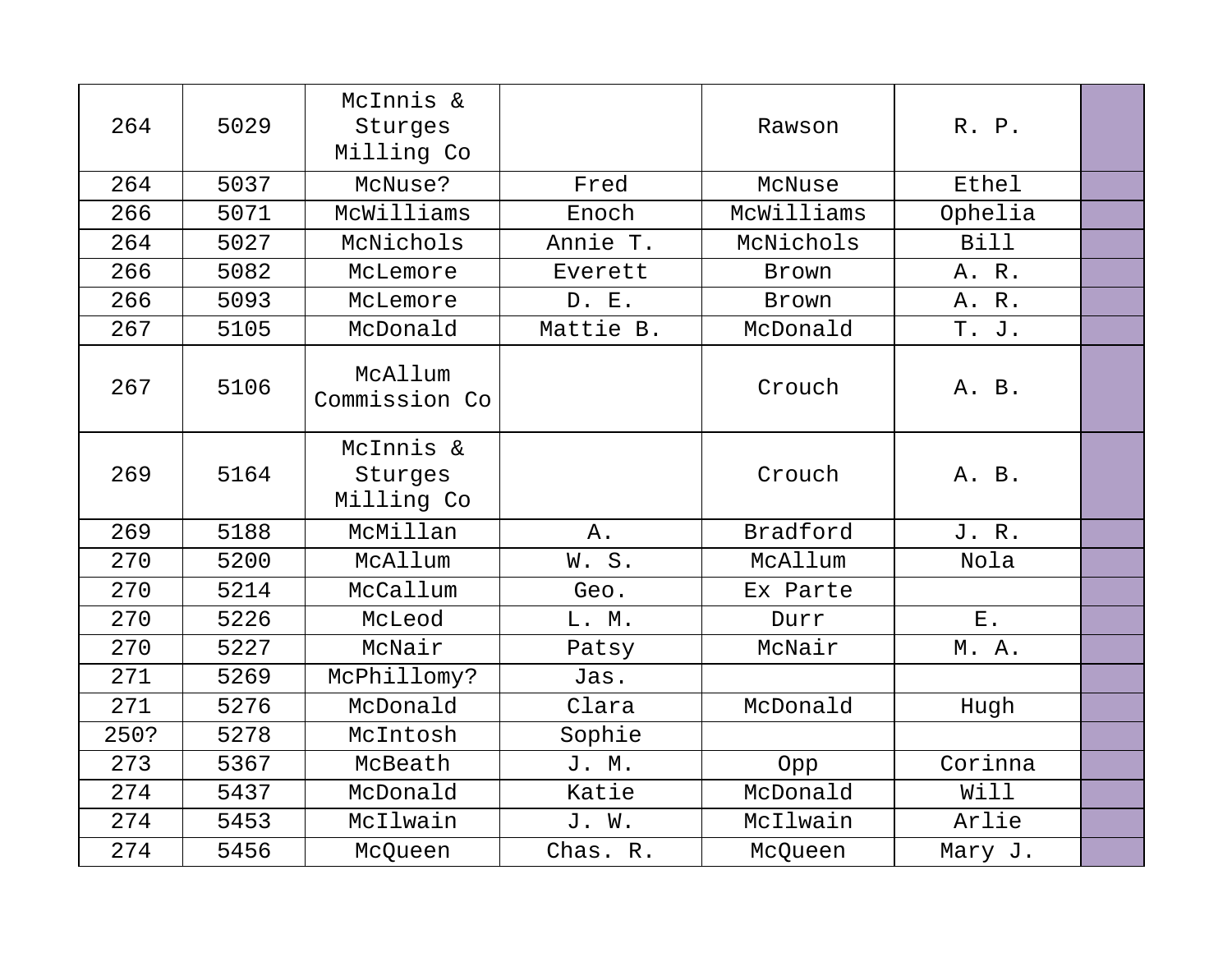| 264  | 5029 | McInnis &<br>Sturges<br>Milling Co |           | Rawson          | R. P.       |  |
|------|------|------------------------------------|-----------|-----------------|-------------|--|
| 264  | 5037 | McNuse?                            | Fred      | McNuse          | Ethel       |  |
| 266  | 5071 | McWilliams                         | Enoch     | McWilliams      | Ophelia     |  |
| 264  | 5027 | McNichols                          | Annie T.  | McNichols       | <b>Bill</b> |  |
| 266  | 5082 | McLemore                           | Everett   | Brown           | A. R.       |  |
| 266  | 5093 | McLemore                           | D. E.     | Brown           | A. R.       |  |
| 267  | 5105 | McDonald                           | Mattie B. | McDonald        | T. J.       |  |
| 267  | 5106 | McAllum<br>Commission Co           |           | Crouch          | A. B.       |  |
| 269  | 5164 | McInnis &<br>Sturges<br>Milling Co |           | Crouch          | A. B.       |  |
| 269  | 5188 | McMillan                           | Α.        | <b>Bradford</b> | J. R.       |  |
| 270  | 5200 | McAllum                            | W.S.      | McAllum         | Nola        |  |
| 270  | 5214 | McCallum                           | Geo.      | Ex Parte        |             |  |
| 270  | 5226 | McLeod                             | L. M.     | Durr            | ${\bf E}$ . |  |
| 270  | 5227 | McNair                             | Patsy     | McNair          | M. A.       |  |
| 271  | 5269 | McPhillomy?                        | Jas.      |                 |             |  |
| 271  | 5276 | McDonald                           | Clara     | McDonald        | Hugh        |  |
| 250? | 5278 | McIntosh                           | Sophie    |                 |             |  |
| 273  | 5367 | McBeath                            | J. M.     | Opp             | Corinna     |  |
| 274  | 5437 | McDonald                           | Katie     | McDonald        | Will        |  |
| 274  | 5453 | McIlwain                           | J. W.     | McIlwain        | Arlie       |  |
| 274  | 5456 | McQueen                            | Chas. R.  | McQueen         | Mary J.     |  |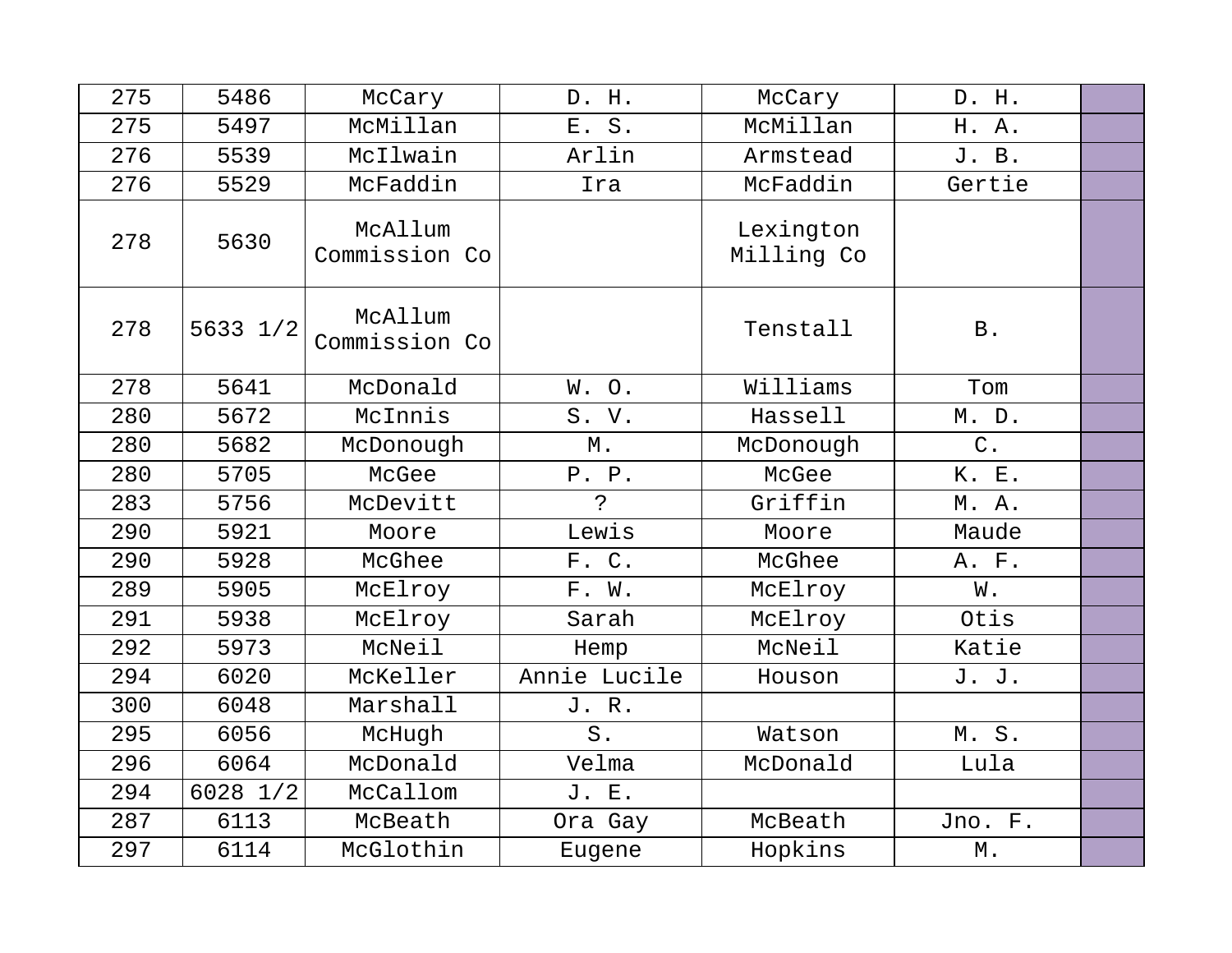| 275 | 5486     | McCary                   | D. H.          | McCary                  | D. H.             |  |
|-----|----------|--------------------------|----------------|-------------------------|-------------------|--|
| 275 | 5497     | McMillan                 | E. S.          | McMillan                | H. A.             |  |
| 276 | 5539     | McIlwain                 | Arlin          | Armstead                | J. B.             |  |
| 276 | 5529     | McFaddin                 | Ira            | McFaddin                | Gertie            |  |
| 278 | 5630     | McAllum<br>Commission Co |                | Lexington<br>Milling Co |                   |  |
| 278 | 5633 1/2 | McAllum<br>Commission Co |                | Tenstall                | <b>B</b> .        |  |
| 278 | 5641     | McDonald                 | W.O.           | Williams                | Tom               |  |
| 280 | 5672     | McInnis                  | S. V.          | Hassell                 | M. D.             |  |
| 280 | 5682     | McDonough                | $M$ .          | McDonough               | $C$ .             |  |
| 280 | 5705     | McGee                    | P. P.          | McGee                   | K. E.             |  |
| 283 | 5756     | McDevitt                 | $\overline{P}$ | Griffin                 | M. A.             |  |
| 290 | 5921     | Moore                    | Lewis          | Moore                   | Maude             |  |
| 290 | 5928     | McGhee                   | F. C.          | McGhee                  | A. F.             |  |
| 289 | 5905     | McElroy                  | F. W.          | McElroy                 | W.                |  |
| 291 | 5938     | McElroy                  | Sarah          | McElroy                 | Otis              |  |
| 292 | 5973     | McNeil                   | Hemp           | McNeil                  | Katie             |  |
| 294 | 6020     | McKeller                 | Annie Lucile   | Houson                  | J. J.             |  |
| 300 | 6048     | Marshall                 | J. R.          |                         |                   |  |
| 295 | 6056     | McHugh                   | $S$ .          | Watson                  | M.S.              |  |
| 296 | 6064     | McDonald                 | Velma          | McDonald                | Lula              |  |
| 294 | 6028 1/2 | McCallom                 | J. E.          |                         |                   |  |
| 287 | 6113     | McBeath                  | Ora Gay        | McBeath                 | Jno. F.           |  |
| 297 | 6114     | McGlothin                | Eugene         | Hopkins                 | $\mathbbmss{M}$ . |  |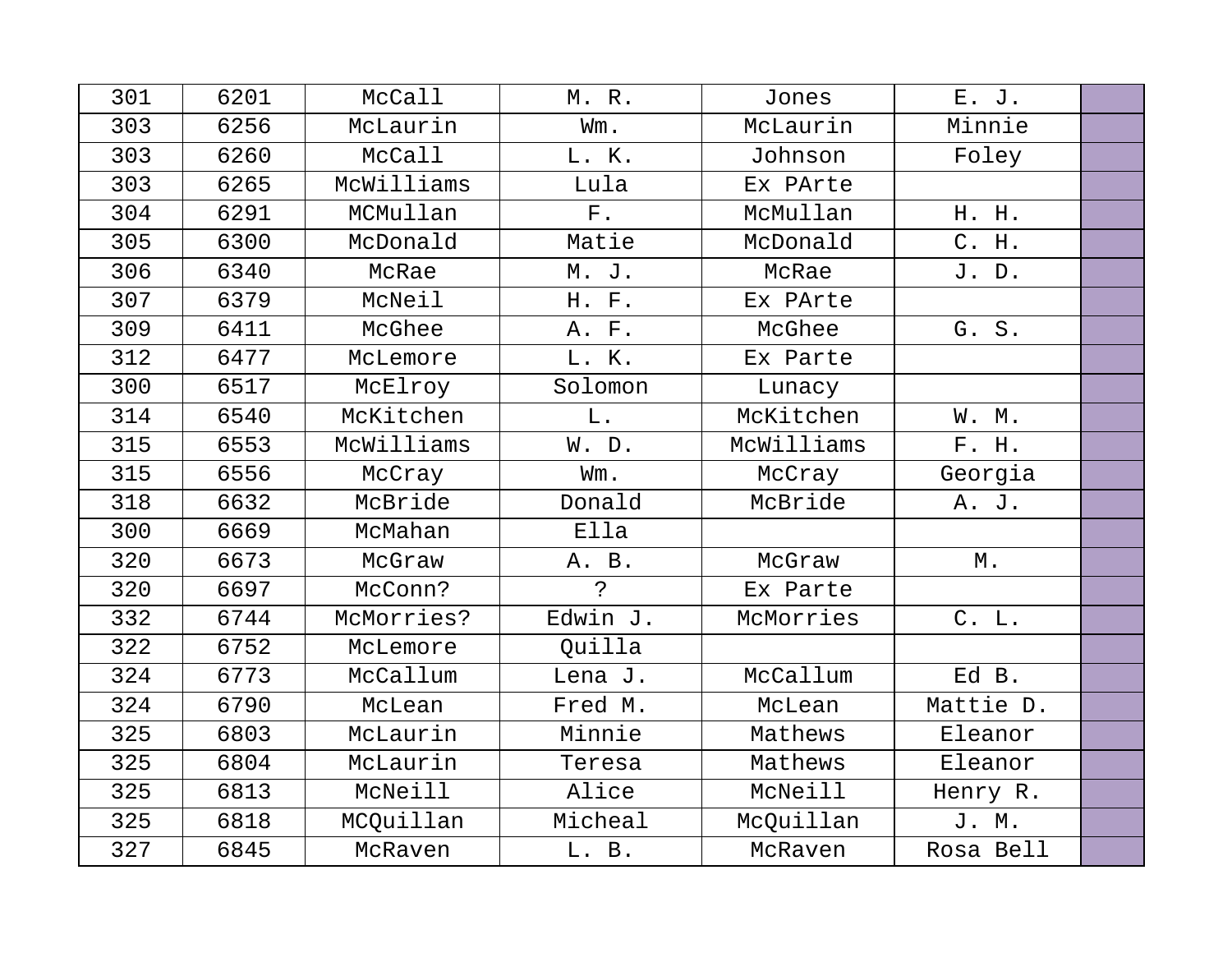| 301 | 6201 | McCall     | M. R.       | Jones      | E. J.     |  |
|-----|------|------------|-------------|------------|-----------|--|
| 303 | 6256 | McLaurin   | Wm.         | McLaurin   | Minnie    |  |
| 303 | 6260 | McCall     | L. K.       | Johnson    | Foley     |  |
| 303 | 6265 | McWilliams | Lula        | Ex PArte   |           |  |
| 304 | 6291 | MCMullan   | ${\bf F}$ . | McMullan   | H. H.     |  |
| 305 | 6300 | McDonald   | Matie       | McDonald   | C. H.     |  |
| 306 | 6340 | McRae      | M. J.       | McRae      | J. D.     |  |
| 307 | 6379 | McNeil     | H. F.       | Ex PArte   |           |  |
| 309 | 6411 | McGhee     | A. F.       | McGhee     | G. S.     |  |
| 312 | 6477 | McLemore   | L. K.       | Ex Parte   |           |  |
| 300 | 6517 | McElroy    | Solomon     | Lunacy     |           |  |
| 314 | 6540 | McKitchen  | L.          | McKitchen  | W. M.     |  |
| 315 | 6553 | McWilliams | W. D.       | McWilliams | F. H.     |  |
| 315 | 6556 | McCray     | Wm.         | McCray     | Georgia   |  |
| 318 | 6632 | McBride    | Donald      | McBride    | A. J.     |  |
| 300 | 6669 | McMahan    | Ella        |            |           |  |
| 320 | 6673 | McGraw     | A. B.       | McGraw     | М.        |  |
| 320 | 6697 | McConn?    | $\tilde{S}$ | Ex Parte   |           |  |
| 332 | 6744 | McMorries? | Edwin J.    | McMorries  | C. L.     |  |
| 322 | 6752 | McLemore   | Quilla      |            |           |  |
| 324 | 6773 | McCallum   | Lena J.     | McCallum   | Ed B.     |  |
| 324 | 6790 | McLean     | Fred M.     | McLean     | Mattie D. |  |
| 325 | 6803 | McLaurin   | Minnie      | Mathews    | Eleanor   |  |
| 325 | 6804 | McLaurin   | Teresa      | Mathews    | Eleanor   |  |
| 325 | 6813 | McNeill    | Alice       | McNeill    | Henry R.  |  |
| 325 | 6818 | MCQuillan  | Micheal     | McQuillan  | J. M.     |  |
| 327 | 6845 | McRaven    | L. B.       | McRaven    | Rosa Bell |  |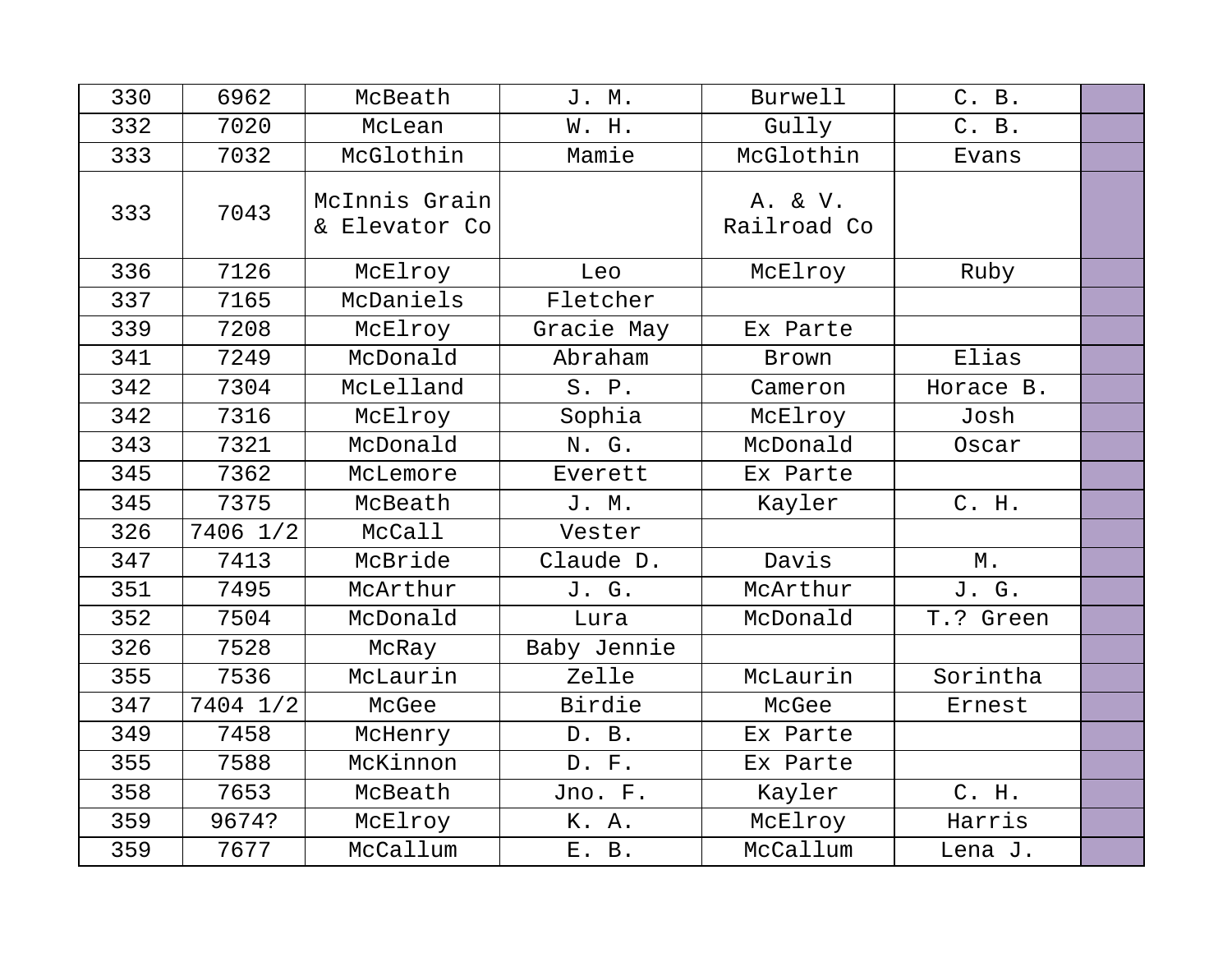| 330 | 6962     | McBeath                        | J. M.       | Burwell                | C. B.     |  |
|-----|----------|--------------------------------|-------------|------------------------|-----------|--|
| 332 | 7020     | McLean                         | W. H.       | Gully                  | C. B.     |  |
| 333 | 7032     | McGlothin                      | Mamie       | McGlothin              | Evans     |  |
| 333 | 7043     | McInnis Grain<br>& Elevator Co |             | A. & V.<br>Railroad Co |           |  |
| 336 | 7126     | McElroy                        | Leo         | McElroy                | Ruby      |  |
| 337 | 7165     | McDaniels                      | Fletcher    |                        |           |  |
| 339 | 7208     | McElroy                        | Gracie May  | Ex Parte               |           |  |
| 341 | 7249     | McDonald                       | Abraham     | Brown                  | Elias     |  |
| 342 | 7304     | McLelland                      | S. P.       | Cameron                | Horace B. |  |
| 342 | 7316     | McElroy                        | Sophia      | McElroy                | Josh      |  |
| 343 | 7321     | McDonald                       | N. G.       | McDonald               | Oscar     |  |
| 345 | 7362     | McLemore                       | Everett     | Ex Parte               |           |  |
| 345 | 7375     | McBeath                        | J. M.       | Kayler                 | C. H.     |  |
| 326 | 7406 1/2 | McCall                         | Vester      |                        |           |  |
| 347 | 7413     | McBride                        | Claude D.   | Davis                  | М.        |  |
| 351 | 7495     | McArthur                       | J. G.       | McArthur               | J. G.     |  |
| 352 | 7504     | McDonald                       | Lura        | McDonald               | T.? Green |  |
| 326 | 7528     | McRay                          | Baby Jennie |                        |           |  |
| 355 | 7536     | McLaurin                       | Zelle       | McLaurin               | Sorintha  |  |
| 347 | 7404 1/2 | McGee                          | Birdie      | McGee                  | Ernest    |  |
| 349 | 7458     | McHenry                        | D. B.       | Ex Parte               |           |  |
| 355 | 7588     | McKinnon                       | D. F.       | Ex Parte               |           |  |
| 358 | 7653     | McBeath                        | Jno. F.     | Kayler                 | C. H.     |  |
| 359 | 9674?    | McElroy                        | K. A.       | McElroy                | Harris    |  |
| 359 | 7677     | McCallum                       | E. B.       | McCallum               | Lena J.   |  |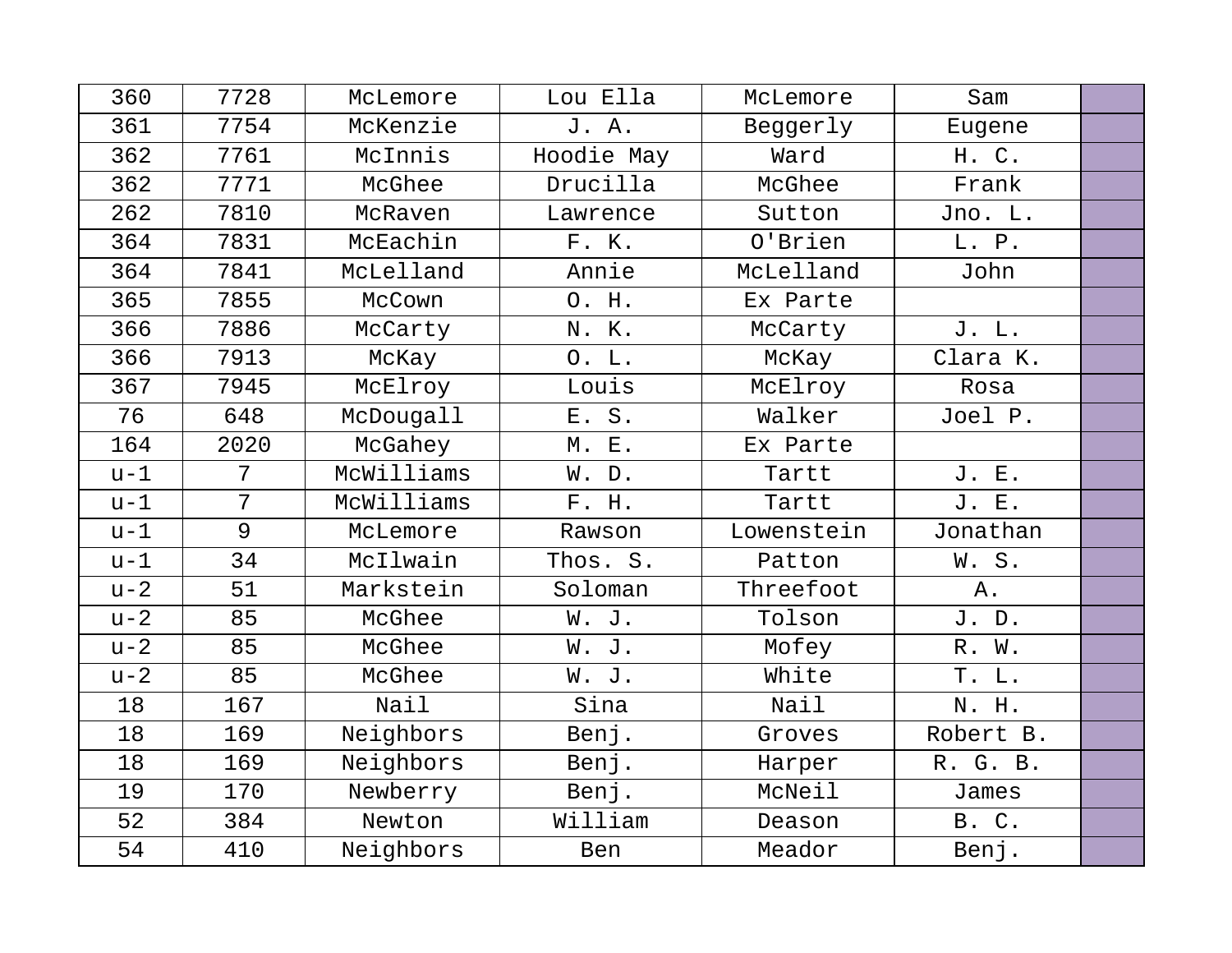| 360   | 7728            | McLemore   | Lou Ella   | McLemore   | Sam       |  |
|-------|-----------------|------------|------------|------------|-----------|--|
| 361   | 7754            | McKenzie   | J. A.      | Beggerly   | Eugene    |  |
| 362   | 7761            | McInnis    | Hoodie May | Ward       | H. C.     |  |
| 362   | 7771            | McGhee     | Drucilla   | McGhee     | Frank     |  |
| 262   | 7810            | McRaven    | Lawrence   | Sutton     | Jno. L.   |  |
| 364   | 7831            | McEachin   | F. K.      | O'Brien    | L. P.     |  |
| 364   | 7841            | McLelland  | Annie      | McLelland  | John      |  |
| 365   | 7855            | McCown     | O. H.      | Ex Parte   |           |  |
| 366   | 7886            | McCarty    | N. K.      | McCarty    | J. L.     |  |
| 366   | 7913            | McKay      | 0. L.      | McKay      | Clara K.  |  |
| 367   | 7945            | McElroy    | Louis      | McElroy    | Rosa      |  |
| 76    | 648             | McDougall  | E. S.      | Walker     | Joel P.   |  |
| 164   | 2020            | McGahey    | M. E.      | Ex Parte   |           |  |
| $u-1$ | 7               | McWilliams | W. D.      | Tartt      | J. E.     |  |
| $u-1$ | $7\overline{ }$ | McWilliams | F. H.      | Tartt      | J. E.     |  |
| $u-1$ | $\overline{9}$  | McLemore   | Rawson     | Lowenstein | Jonathan  |  |
| $u-1$ | 34              | McIlwain   | Thos. S.   | Patton     | W.S.      |  |
| $u-2$ | 51              | Markstein  | Soloman    | Threefoot  | Α.        |  |
| $u-2$ | 85              | McGhee     | W. J.      | Tolson     | J.D.      |  |
| $u-2$ | 85              | McGhee     | W. J.      | Mofey      | R. W.     |  |
| $u-2$ | 85              | McGhee     | W. J.      | White      | T. L.     |  |
| 18    | 167             | Nail       | Sina       | Nail       | N. H.     |  |
| 18    | 169             | Neighbors  | Benj.      | Groves     | Robert B. |  |
| 18    | 169             | Neighbors  | Benj.      | Harper     | R. G. B.  |  |
| 19    | 170             | Newberry   | Benj.      | McNeil     | James     |  |
| 52    | 384             | Newton     | William    | Deason     | B. C.     |  |
| 54    | 410             | Neighbors  | Ben        | Meador     | Benj.     |  |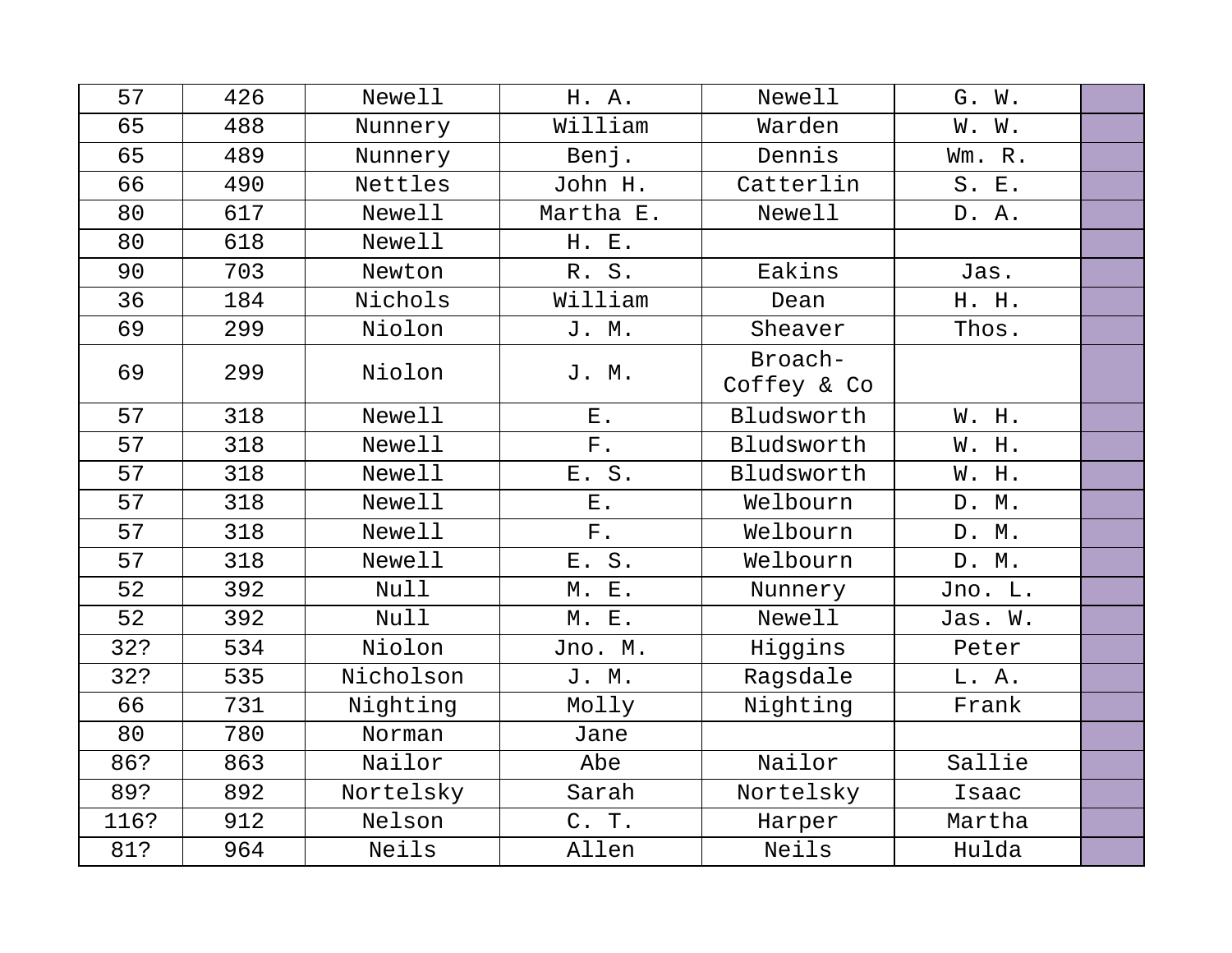| 57   | 426 | Newell      | H. A.       | Newell                 | G. W.   |  |
|------|-----|-------------|-------------|------------------------|---------|--|
| 65   | 488 | Nunnery     | William     | Warden                 | W. W.   |  |
| 65   | 489 | Nunnery     | Benj.       | Dennis                 | Wm. R.  |  |
| 66   | 490 | Nettles     | John H.     | Catterlin              | S. E.   |  |
| 80   | 617 | Newell      | Martha E.   | Newell                 | D. A.   |  |
| 80   | 618 | Newell      | H. E.       |                        |         |  |
| 90   | 703 | Newton      | R. S.       | Eakins                 | Jas.    |  |
| 36   | 184 | Nichols     | William     | Dean                   | H. H.   |  |
| 69   | 299 | Niolon      | J. M.       | Sheaver                | Thos.   |  |
| 69   | 299 | Niolon      | J. M.       | Broach-<br>Coffey & Co |         |  |
| 57   | 318 | Newell      | $E$ .       | Bludsworth             | W. H.   |  |
| 57   | 318 | Newell      | ${\rm F}$ . | Bludsworth             | W. H.   |  |
| 57   | 318 | Newell      | E. S.       | Bludsworth             | W. H.   |  |
| 57   | 318 | Newell      | ${\bf E}$ . | Welbourn               | D. M.   |  |
| 57   | 318 | Newell      | ${\bf F}$ . | Welbourn               | D. M.   |  |
| 57   | 318 | Newell      | E. S.       | Welbourn               | D. M.   |  |
| 52   | 392 | <b>Null</b> | M. E.       | Nunnery                | Jno. L. |  |
| 52   | 392 | Null        | M. E.       | Newell                 | Jas. W. |  |
| 32?  | 534 | Niolon      | Jno. M.     | Higgins                | Peter   |  |
| 32?  | 535 | Nicholson   | J. M.       | Ragsdale               | L. A.   |  |
| 66   | 731 | Nighting    | Molly       | Nighting               | Frank   |  |
| 80   | 780 | Norman      | Jane        |                        |         |  |
| 86?  | 863 | Nailor      | Abe         | Nailor                 | Sallie  |  |
| 89?  | 892 | Nortelsky   | Sarah       | Nortelsky              | Isaac   |  |
| 116? | 912 | Nelson      | C. T.       | Harper                 | Martha  |  |
| 81?  | 964 | Neils       | Allen       | Neils                  | Hulda   |  |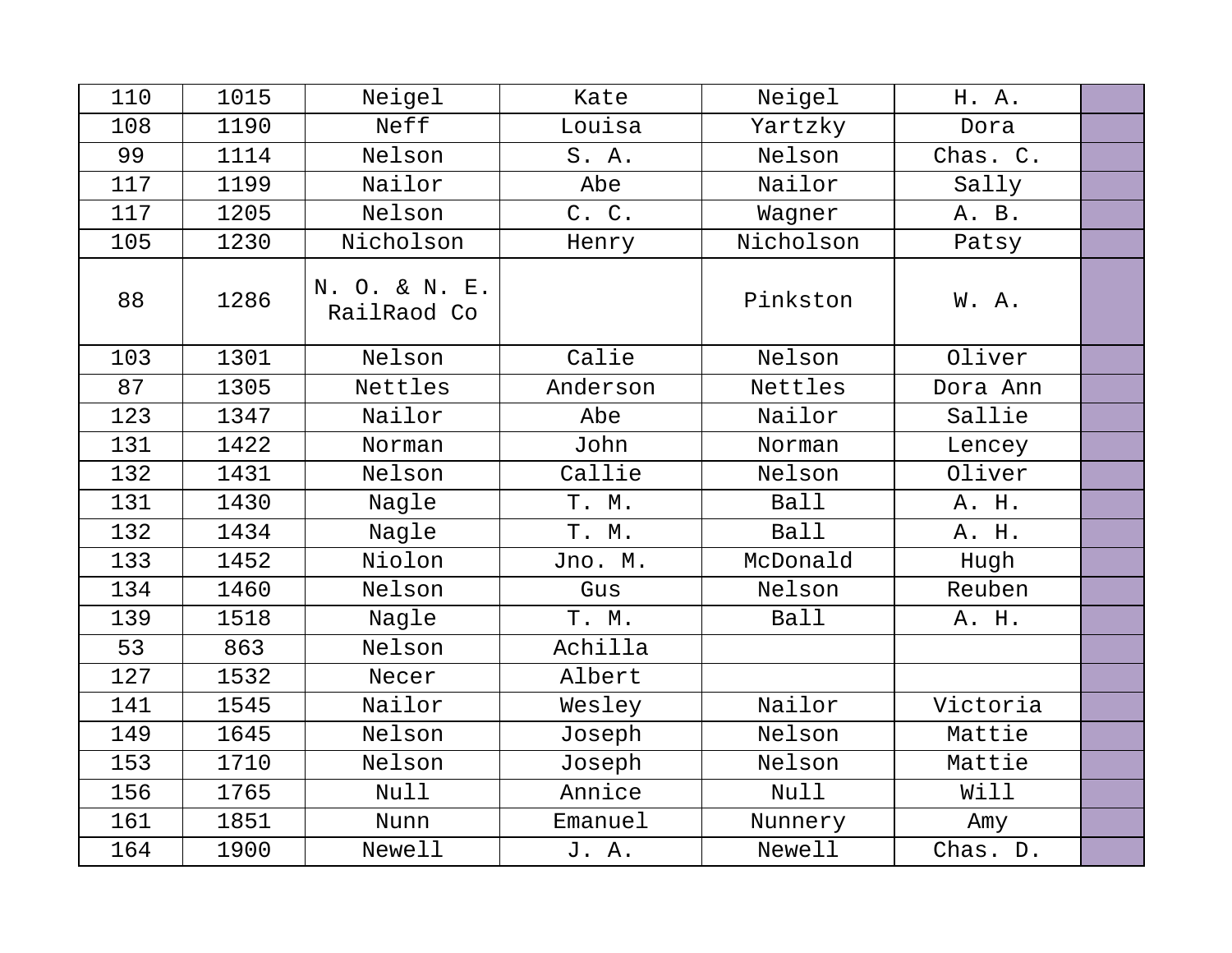| 110 | 1015 | Neigel                       | Kate     | Neigel      | H. A.    |  |
|-----|------|------------------------------|----------|-------------|----------|--|
| 108 | 1190 | Neff                         | Louisa   | Yartzky     | Dora     |  |
| 99  | 1114 | Nelson                       | S. A.    | Nelson      | Chas. C. |  |
| 117 | 1199 | Nailor                       | Abe      | Nailor      | Sally    |  |
| 117 | 1205 | Nelson                       | C. C.    | Wagner      | A. B.    |  |
| 105 | 1230 | Nicholson                    | Henry    | Nicholson   | Patsy    |  |
| 88  | 1286 | N. O. & N. E.<br>RailRaod Co |          | Pinkston    | W.A.     |  |
| 103 | 1301 | Nelson                       | Calie    | Nelson      | Oliver   |  |
| 87  | 1305 | Nettles                      | Anderson | Nettles     | Dora Ann |  |
| 123 | 1347 | Nailor                       | Abe      | Nailor      | Sallie   |  |
| 131 | 1422 | Norman                       | John     | Norman      | Lencey   |  |
| 132 | 1431 | Nelson                       | Callie   | Nelson      | Oliver   |  |
| 131 | 1430 | Nagle                        | T. M.    | <b>Ball</b> | A. H.    |  |
| 132 | 1434 | Nagle                        | T. M.    | <b>Ball</b> | A. H.    |  |
| 133 | 1452 | Niolon                       | Jno. M.  | McDonald    | Hugh     |  |
| 134 | 1460 | Nelson                       | Gus      | Nelson      | Reuben   |  |
| 139 | 1518 | Nagle                        | T. M.    | <b>Ball</b> | A. H.    |  |
| 53  | 863  | Nelson                       | Achilla  |             |          |  |
| 127 | 1532 | Necer                        | Albert   |             |          |  |
| 141 | 1545 | Nailor                       | Wesley   | Nailor      | Victoria |  |
| 149 | 1645 | Nelson                       | Joseph   | Nelson      | Mattie   |  |
| 153 | 1710 | Nelson                       | Joseph   | Nelson      | Mattie   |  |
| 156 | 1765 | Null                         | Annice   | Null        | Will     |  |
| 161 | 1851 | Nunn                         | Emanuel  | Nunnery     | Amy      |  |
| 164 | 1900 | <b>Newell</b>                | J. A.    | Newell      | Chas. D. |  |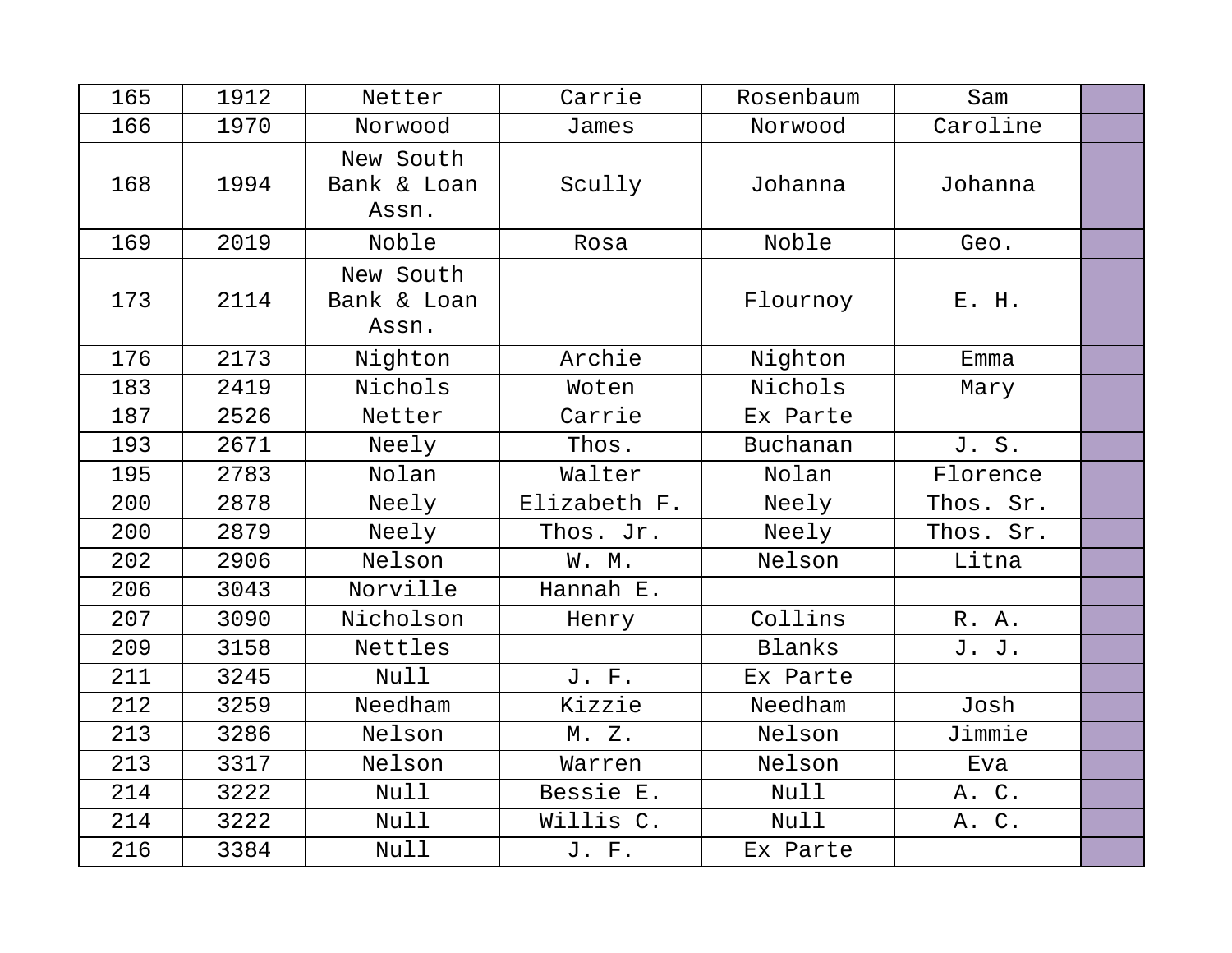| 165 | 1912 | Netter                            | Carrie       | Rosenbaum | Sam       |  |
|-----|------|-----------------------------------|--------------|-----------|-----------|--|
| 166 | 1970 | Norwood                           | James        | Norwood   | Caroline  |  |
| 168 | 1994 | New South<br>Bank & Loan<br>Assn. | Scully       | Johanna   | Johanna   |  |
| 169 | 2019 | Noble                             | Rosa         | Noble     | Geo.      |  |
| 173 | 2114 | New South<br>Bank & Loan<br>Assn. |              | Flournoy  | E. H.     |  |
| 176 | 2173 | Nighton                           | Archie       | Nighton   | Emma      |  |
| 183 | 2419 | Nichols                           | Woten        | Nichols   | Mary      |  |
| 187 | 2526 | Netter                            | Carrie       | Ex Parte  |           |  |
| 193 | 2671 | Neely                             | Thos.        | Buchanan  | J. S.     |  |
| 195 | 2783 | Nolan                             | Walter       | Nolan     | Florence  |  |
| 200 | 2878 | Neely                             | Elizabeth F. | Neely     | Thos. Sr. |  |
| 200 | 2879 | Neely                             | Thos. Jr.    | Neely     | Thos. Sr. |  |
| 202 | 2906 | Nelson                            | W. M.        | Nelson    | Litna     |  |
| 206 | 3043 | Norville                          | Hannah E.    |           |           |  |
| 207 | 3090 | Nicholson                         | Henry        | Collins   | R. A.     |  |
| 209 | 3158 | Nettles                           |              | Blanks    | J. J.     |  |
| 211 | 3245 | Null                              | J. F.        | Ex Parte  |           |  |
| 212 | 3259 | Needham                           | Kizzie       | Needham   | Josh      |  |
| 213 | 3286 | Nelson                            | M. Z.        | Nelson    | Jimmie    |  |
| 213 | 3317 | Nelson                            | Warren       | Nelson    | Eva       |  |
| 214 | 3222 | Null                              | Bessie E.    | Null      | A. C.     |  |
| 214 | 3222 | Null                              | Willis C.    | Null      | A. C.     |  |
| 216 | 3384 | Null                              | J. F.        | Ex Parte  |           |  |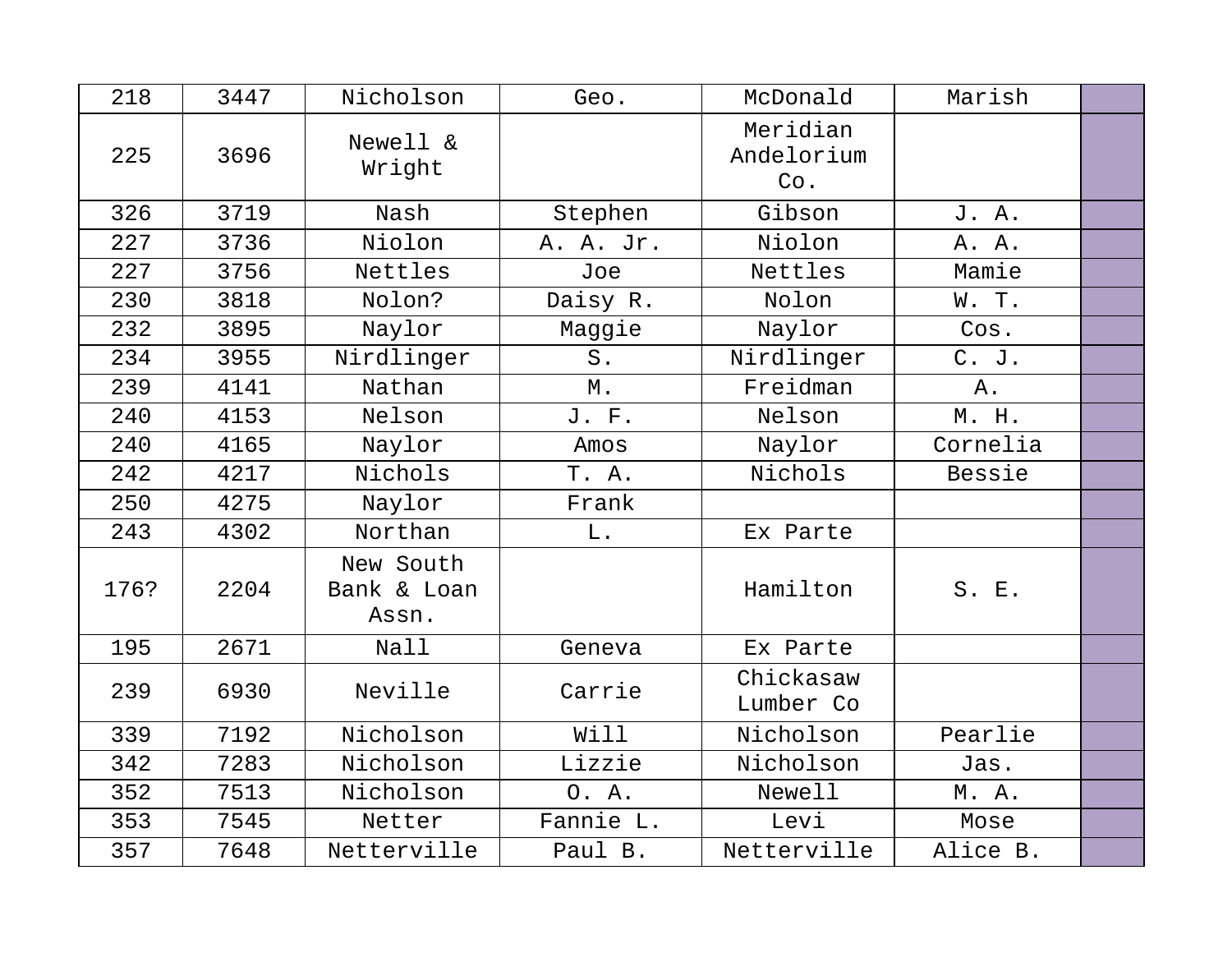| 218  | 3447 | Nicholson                         | Geo.        | McDonald                      | Marish   |  |
|------|------|-----------------------------------|-------------|-------------------------------|----------|--|
| 225  | 3696 | Newell &<br>Wright                |             | Meridian<br>Andelorium<br>Co. |          |  |
| 326  | 3719 | Nash                              | Stephen     | Gibson                        | J. A.    |  |
| 227  | 3736 | Niolon                            | A. A. Jr.   | Niolon                        | A. A.    |  |
| 227  | 3756 | Nettles                           | Joe         | Nettles                       | Mamie    |  |
| 230  | 3818 | Nolon?                            | Daisy R.    | Nolon                         | W. T.    |  |
| 232  | 3895 | Naylor                            | Maggie      | Naylor                        | Cos.     |  |
| 234  | 3955 | Nirdlinger                        | S.          | Nirdlinger                    | C. J.    |  |
| 239  | 4141 | Nathan                            | Μ.          | Freidman                      | Α.       |  |
| 240  | 4153 | Nelson                            | J. F.       | Nelson                        | M. H.    |  |
| 240  | 4165 | Naylor                            | Amos        | Naylor                        | Cornelia |  |
| 242  | 4217 | Nichols                           | T. A.       | Nichols                       | Bessie   |  |
| 250  | 4275 | Naylor                            | Frank       |                               |          |  |
| 243  | 4302 | Northan                           | ${\bf L}$ . | Ex Parte                      |          |  |
| 176? | 2204 | New South<br>Bank & Loan<br>Assn. |             | Hamilton                      | S. E.    |  |
| 195  | 2671 | Nall                              | Geneva      | Ex Parte                      |          |  |
| 239  | 6930 | Neville                           | Carrie      | Chickasaw<br>Lumber Co        |          |  |
| 339  | 7192 | Nicholson                         | Will        | Nicholson                     | Pearlie  |  |
| 342  | 7283 | Nicholson                         | Lizzie      | Nicholson                     | Jas.     |  |
| 352  | 7513 | Nicholson                         | 0. A.       | Newell                        | M. A.    |  |
| 353  | 7545 | Netter                            | Fannie L.   | Levi                          | Mose     |  |
| 357  | 7648 | Netterville                       | Paul B.     | Netterville                   | Alice B. |  |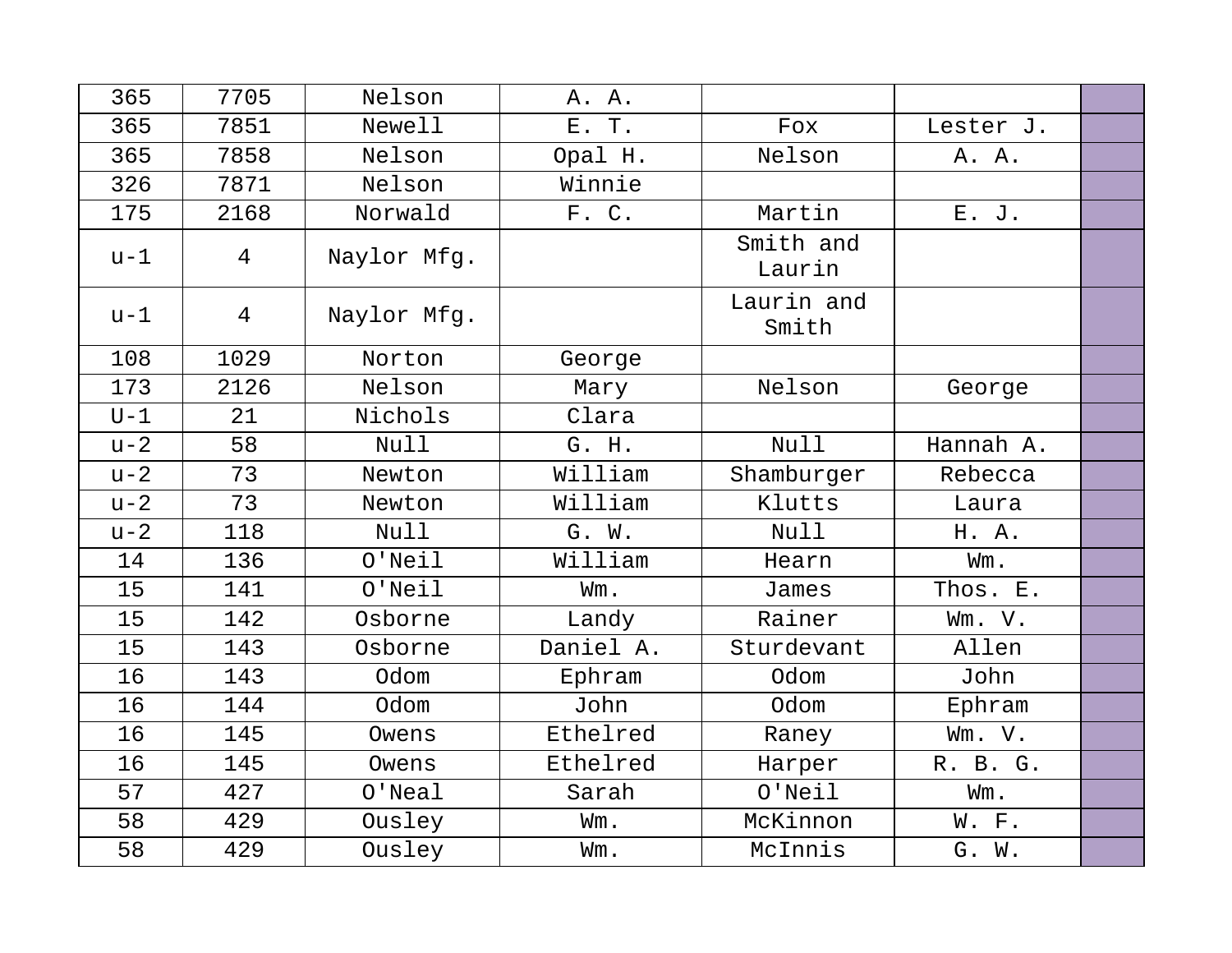| 365   | 7705           | Nelson      | A. A.     |                     |           |  |
|-------|----------------|-------------|-----------|---------------------|-----------|--|
| 365   | 7851           | Newell      | E. T.     | Fox                 | Lester J. |  |
| 365   | 7858           | Nelson      | Opal H.   | Nelson              | A. A.     |  |
| 326   | 7871           | Nelson      | Winnie    |                     |           |  |
| 175   | 2168           | Norwald     | F. C.     | Martin              | E. J.     |  |
| $u-1$ | $\overline{4}$ | Naylor Mfg. |           | Smith and<br>Laurin |           |  |
| $u-1$ | $\overline{4}$ | Naylor Mfg. |           | Laurin and<br>Smith |           |  |
| 108   | 1029           | Norton      | George    |                     |           |  |
| 173   | 2126           | Nelson      | Mary      | Nelson              | George    |  |
| $U-1$ | 21             | Nichols     | Clara     |                     |           |  |
| $u-2$ | 58             | Null        | G. H.     | <b>Null</b>         | Hannah A. |  |
| $u-2$ | 73             | Newton      | William   | Shamburger          | Rebecca   |  |
| $u-2$ | 73             | Newton      | William   | Klutts              | Laura     |  |
| $u-2$ | 118            | Null        | G. W.     | <b>Null</b>         | H. A.     |  |
| 14    | 136            | $O'$ Neil   | William   | Hearn               | Wm.       |  |
| 15    | 141            | $O'$ Neil   | Wm.       | James               | Thos. E.  |  |
| 15    | 142            | Osborne     | Landy     | Rainer              | Wm. V.    |  |
| 15    | 143            | Osborne     | Daniel A. | Sturdevant          | Allen     |  |
| 16    | 143            | Odom        | Ephram    | Odom                | John      |  |
| 16    | 144            | Odom        | John      | Odom                | Ephram    |  |
| 16    | 145            | Owens       | Ethelred  | Raney               | Wm. V.    |  |
| 16    | 145            | Owens       | Ethelred  | Harper              | R. B. G.  |  |
| 57    | 427            | $O'$ Neal   | Sarah     | $O'$ Neil           | Wm.       |  |
| 58    | 429            | Ousley      | Wm.       | McKinnon            | W. F.     |  |
| 58    | 429            | Ousley      | Wm.       | McInnis             | G. W.     |  |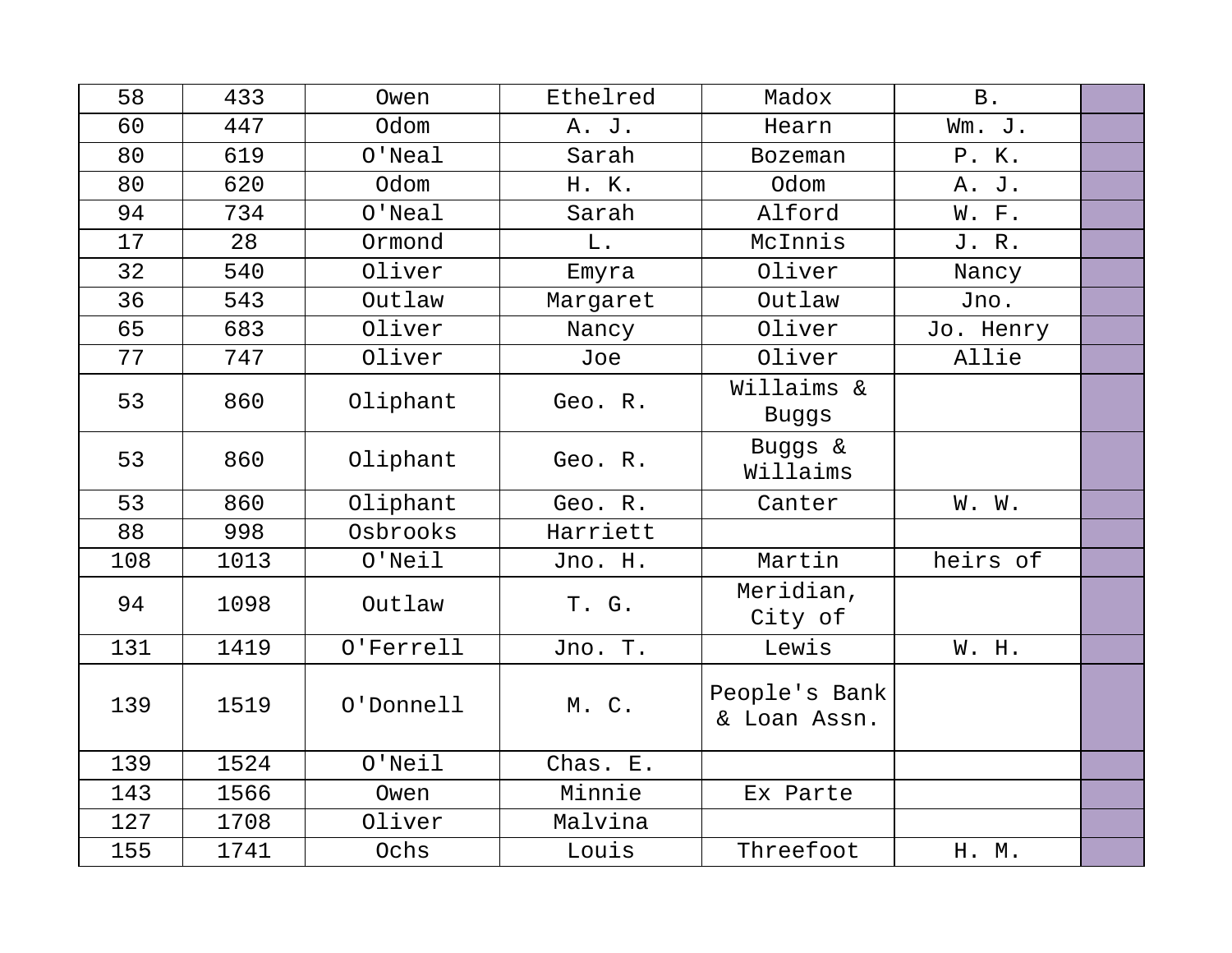| 58  | 433  | Owen        | Ethelred | Madox                         | <b>B</b> . |  |
|-----|------|-------------|----------|-------------------------------|------------|--|
| 60  | 447  | Odom        | A. J.    | Hearn                         | Wm. J.     |  |
| 80  | 619  | $O'$ Neal   | Sarah    | <b>Bozeman</b>                | P. K.      |  |
| 80  | 620  | Odom        | H. K.    | Odom                          | A. J.      |  |
| 94  | 734  | $O'$ Neal   | Sarah    | Alford                        | W. F.      |  |
| 17  | 28   | Ormond      | L.       | McInnis                       | J. R.      |  |
| 32  | 540  | Oliver      | Emyra    | Oliver                        | Nancy      |  |
| 36  | 543  | Outlaw      | Margaret | Outlaw                        | Jno.       |  |
| 65  | 683  | Oliver      | Nancy    | Oliver                        | Jo. Henry  |  |
| 77  | 747  | Oliver      | Joe      | Oliver                        | Allie      |  |
| 53  | 860  | Oliphant    | Geo. R.  | Willaims &<br>Buggs           |            |  |
| 53  | 860  | Oliphant    | Geo. R.  | Buggs &<br>Willaims           |            |  |
| 53  | 860  | Oliphant    | Geo. R.  | Canter                        | W. W.      |  |
| 88  | 998  | Osbrooks    | Harriett |                               |            |  |
| 108 | 1013 | $O'$ Neil   | Jno. H.  | Martin                        | heirs of   |  |
| 94  | 1098 | Outlaw      | T. G.    | Meridian,<br>City of          |            |  |
| 131 | 1419 | O'Ferrell   | Jno. T.  | Lewis                         | W. H.      |  |
| 139 | 1519 | O'Donnell   | M. C.    | People's Bank<br>& Loan Assn. |            |  |
| 139 | 1524 | $O'$ Neil   | Chas. E. |                               |            |  |
| 143 | 1566 | Owen        | Minnie   | Ex Parte                      |            |  |
| 127 | 1708 | Oliver      | Malvina  |                               |            |  |
| 155 | 1741 | <b>Ochs</b> | Louis    | Threefoot                     | H. M.      |  |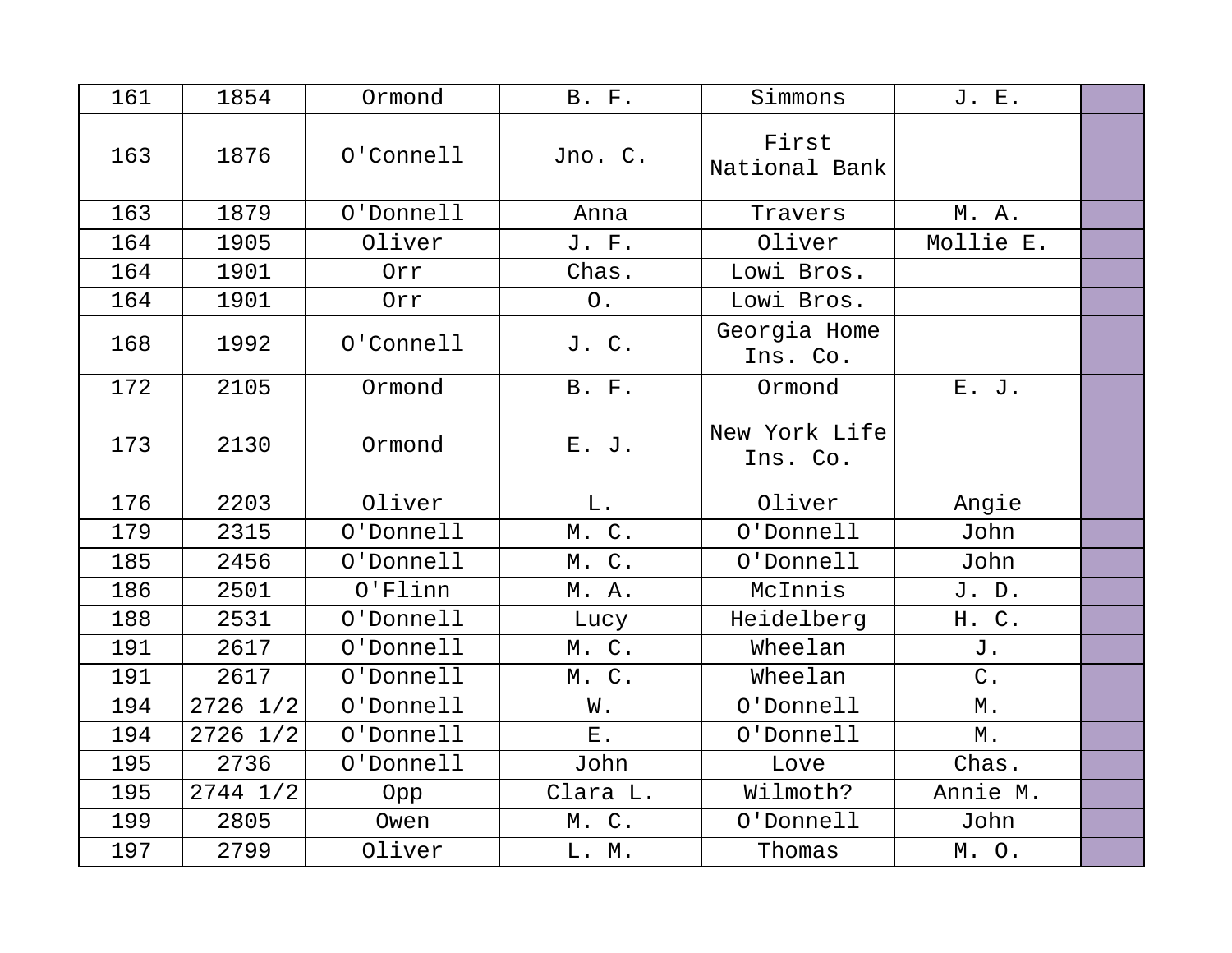| 161 | 1854         | Ormond     | <b>B.</b> F. | Simmons                   | J. E.             |  |
|-----|--------------|------------|--------------|---------------------------|-------------------|--|
| 163 | 1876         | O'Connell  | Jno. C.      | First<br>National Bank    |                   |  |
| 163 | 1879         | O'Donnell  | Anna         | Travers                   | M. A.             |  |
| 164 | 1905         | Oliver     | J. F.        | Oliver                    | Mollie E.         |  |
| 164 | 1901         | Orr        | Chas.        | Lowi Bros.                |                   |  |
| 164 | 1901         | Orr        | $\circ$ .    | Lowi Bros.                |                   |  |
| 168 | 1992         | O'Connell  | J. C.        | Georgia Home<br>Ins. Co.  |                   |  |
| 172 | 2105         | Ormond     | <b>B.</b> F. | Ormond                    | E. J.             |  |
| 173 | 2130         | Ormond     | E. J.        | New York Life<br>Ins. Co. |                   |  |
| 176 | 2203         | Oliver     | L.           | Oliver                    | Angie             |  |
| 179 | 2315         | O'Donnell  | M. C.        | O'Donnell                 | John              |  |
| 185 | 2456         | O'Donnell  | M. C.        | O'Donnell                 | John              |  |
| 186 | 2501         | $O'$ Flinn | M. A.        | McInnis                   | J. D.             |  |
| 188 | 2531         | O'Donnell  | Lucy         | Heidelberg                | H. C.             |  |
| 191 | 2617         | O'Donnell  | M. C.        | Wheelan                   | J.                |  |
| 191 | 2617         | O'Donnell  | M. C.        | Wheelan                   | $C$ .             |  |
| 194 | $2726$ $1/2$ | O'Donnell  | W.           | O'Donnell                 | $\mathbbmss{M}$ . |  |
| 194 | $2726$ $1/2$ | O'Donnell  | ${\bf E}$ .  | O'Donnell                 | Μ.                |  |
| 195 | 2736         | O'Donnell  | John         | Love                      | Chas.             |  |
| 195 | $2744$ $1/2$ | Opp        | Clara L.     | Wilmoth?                  | Annie M.          |  |
| 199 | 2805         | Owen       | M. C.        | O'Donnell                 | John              |  |
| 197 | 2799         | Oliver     | L. M.        | Thomas                    | M. O.             |  |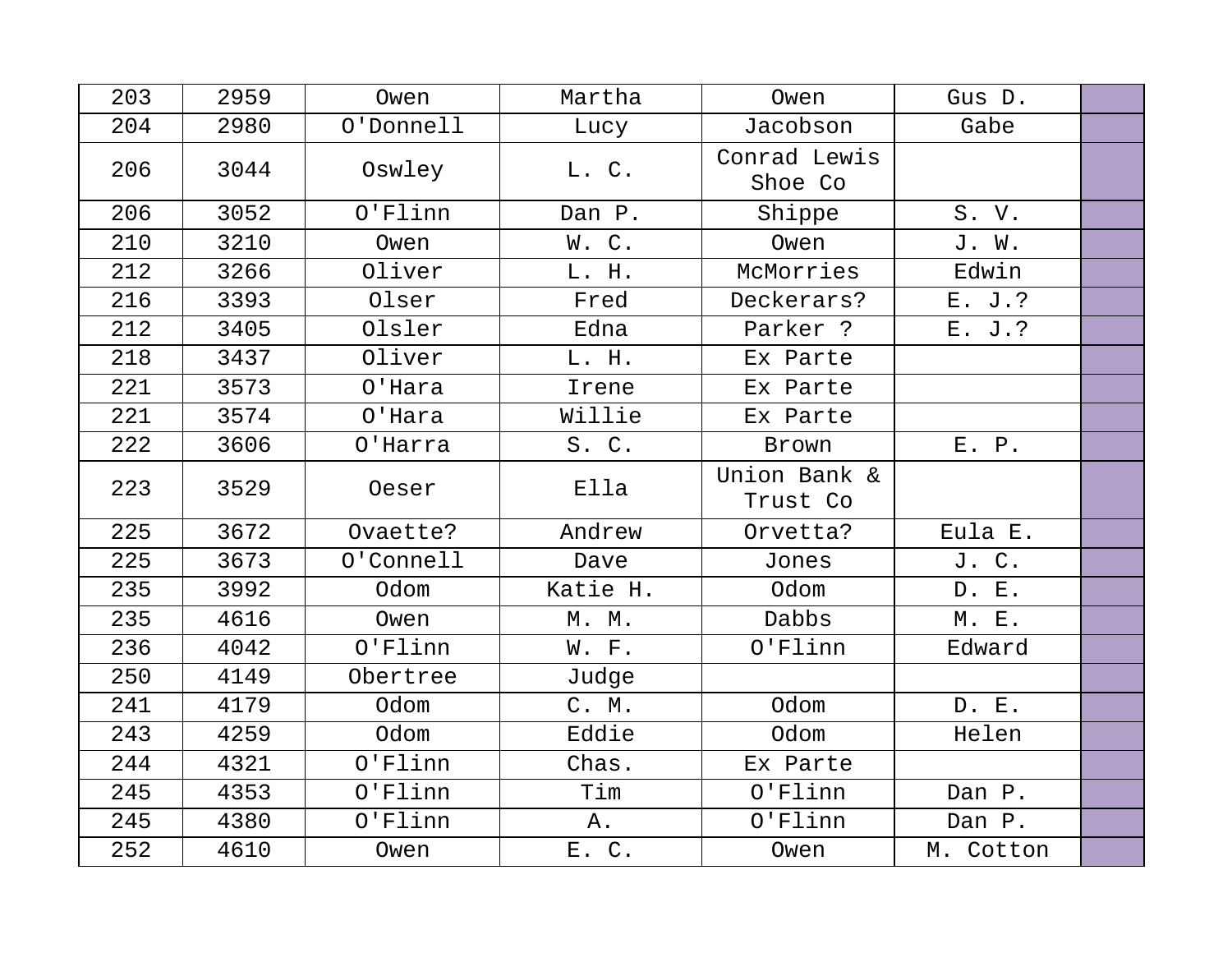| 203 | 2959 | Owen       | Martha   | Owen                     | Gus D.    |  |
|-----|------|------------|----------|--------------------------|-----------|--|
| 204 | 2980 | O'Donnell  | Lucy     | Jacobson                 | Gabe      |  |
| 206 | 3044 | Oswley     | L. C.    | Conrad Lewis<br>Shoe Co  |           |  |
| 206 | 3052 | O'Flinn    | Dan P.   | Shippe                   | S. V.     |  |
| 210 | 3210 | Owen       | W.C.     | Owen                     | J. W.     |  |
| 212 | 3266 | Oliver     | L. H.    | McMorries                | Edwin     |  |
| 216 | 3393 | Olser      | Fred     | Deckerars?               | E. J.?    |  |
| 212 | 3405 | Olsler     | Edna     | Parker ?                 | E. J.?    |  |
| 218 | 3437 | Oliver     | L. H.    | Ex Parte                 |           |  |
| 221 | 3573 | O'Hara     | Irene    | Ex Parte                 |           |  |
| 221 | 3574 | O'Hara     | Willie   | Ex Parte                 |           |  |
| 222 | 3606 | O'Harra    | S. C.    | Brown                    | E. P.     |  |
| 223 | 3529 | Oeser      | Ella     | Union Bank &<br>Trust Co |           |  |
| 225 | 3672 | Ovaette?   | Andrew   | Orvetta?                 | Eula E.   |  |
| 225 | 3673 | O'Connell  | Dave     | Jones                    | J. C.     |  |
| 235 | 3992 | Odom       | Katie H. | Odom                     | D. E.     |  |
| 235 | 4616 | Owen       | M. M.    | Dabbs                    | M. E.     |  |
| 236 | 4042 | O'Flinn    | W. F.    | O'Flinn                  | Edward    |  |
| 250 | 4149 | Obertree   | Judge    |                          |           |  |
| 241 | 4179 | Odom       | C. M.    | Odom                     | D. E.     |  |
| 243 | 4259 | Odom       | Eddie    | Odom                     | Helen     |  |
| 244 | 4321 | O'Flinn    | Chas.    | Ex Parte                 |           |  |
| 245 | 4353 | $O'$ Flinn | Tim      | $O'$ Flinn               | Dan P.    |  |
| 245 | 4380 | O'Flinn    | Α.       | O'Flinn                  | Dan P.    |  |
| 252 | 4610 | Owen       | E. C.    | Owen                     | M. Cotton |  |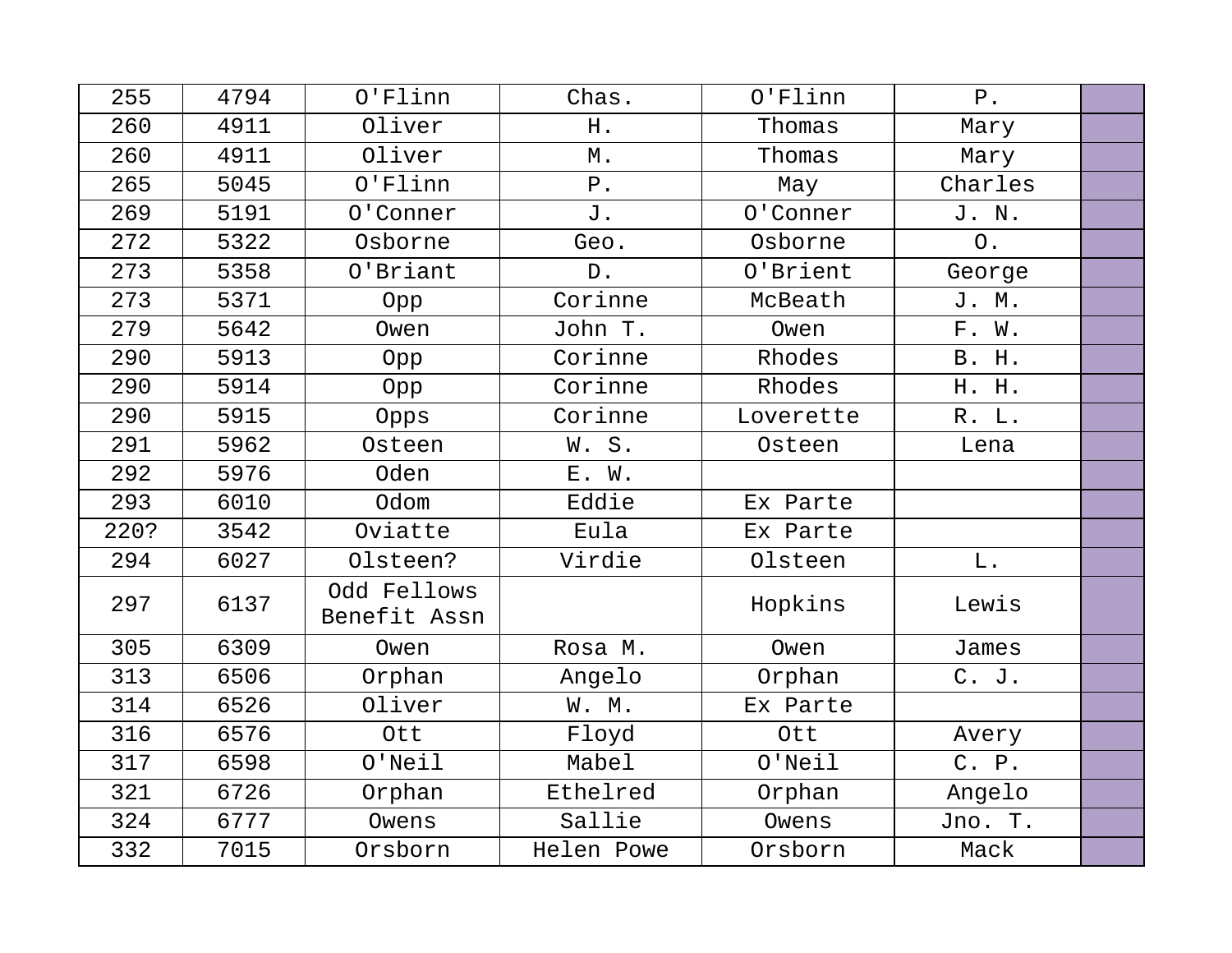| 255  | 4794 | $O'$ Flinn                  | Chas.       | O'Flinn   | ${\bf P}$ . |  |
|------|------|-----------------------------|-------------|-----------|-------------|--|
| 260  | 4911 | Oliver                      | H.          | Thomas    | Mary        |  |
| 260  | 4911 | Oliver                      | М.          | Thomas    | Mary        |  |
| 265  | 5045 | $O'$ Flinn                  | ${\tt P}$ . | May       | Charles     |  |
| 269  | 5191 | 0'Conner                    | J.          | 0'Conner  | J. N.       |  |
| 272  | 5322 | Osborne                     | Geo.        | Osborne   | $\circ$ .   |  |
| 273  | 5358 | O'Briant                    | $D$ .       | O'Brient  | George      |  |
| 273  | 5371 | Opp                         | Corinne     | McBeath   | J. M.       |  |
| 279  | 5642 | Owen                        | John T.     | Owen      | F. W.       |  |
| 290  | 5913 | Opp                         | Corinne     | Rhodes    | B. H.       |  |
| 290  | 5914 | Opp                         | Corinne     | Rhodes    | H. H.       |  |
| 290  | 5915 | Opps                        | Corinne     | Loverette | R. L.       |  |
| 291  | 5962 | Osteen                      | W.S.        | Osteen    | Lena        |  |
| 292  | 5976 | <b>Oden</b>                 | E. W.       |           |             |  |
| 293  | 6010 | Odom                        | Eddie       | Ex Parte  |             |  |
| 220? | 3542 | Oviatte                     | Eula        | Ex Parte  |             |  |
| 294  | 6027 | Olsteen?                    | Virdie      | Olsteen   | L.          |  |
| 297  | 6137 | Odd Fellows<br>Benefit Assn |             | Hopkins   | Lewis       |  |
| 305  | 6309 | Owen                        | Rosa M.     | Owen      | James       |  |
| 313  | 6506 | Orphan                      | Angelo      | Orphan    | C. J.       |  |
| 314  | 6526 | Oliver                      | W. M.       | Ex Parte  |             |  |
| 316  | 6576 | Ott                         | Floyd       | Ott       | Avery       |  |
| 317  | 6598 | $O'$ Neil                   | Mabel       | $O'$ Neil | C. P.       |  |
| 321  | 6726 | Orphan                      | Ethelred    | Orphan    | Angelo      |  |
| 324  | 6777 | Owens                       | Sallie      | Owens     | Jno. T.     |  |
| 332  | 7015 | Orsborn                     | Helen Powe  | Orsborn   | Mack        |  |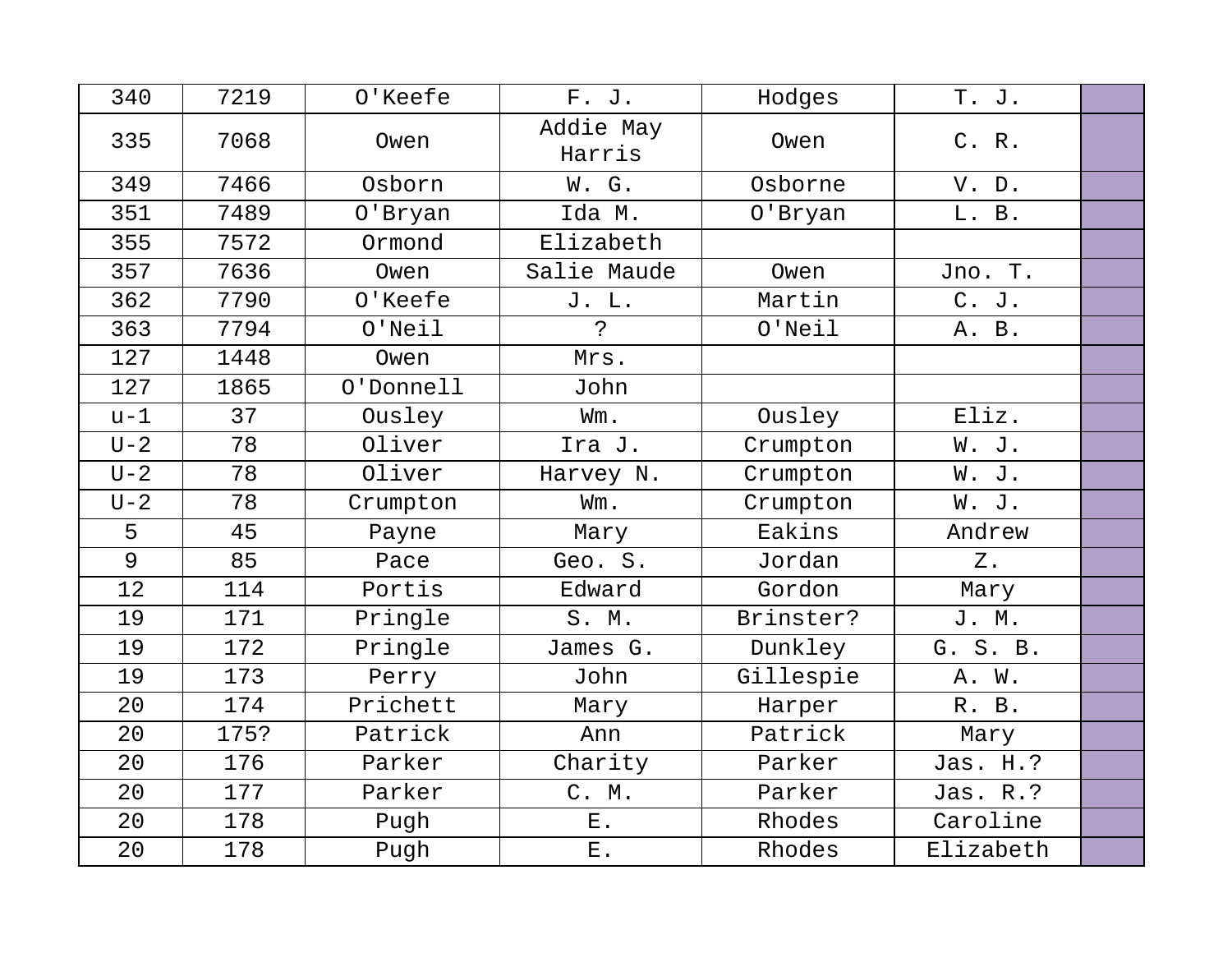| 340     | 7219 | O'Keefe   | F. J.               | Hodges    | T. J.     |  |
|---------|------|-----------|---------------------|-----------|-----------|--|
| 335     | 7068 | Owen      | Addie May<br>Harris | Owen      | C. R.     |  |
| 349     | 7466 | Osborn    | W. G.               | Osborne   | V. D.     |  |
| 351     | 7489 | 0'Bryan   | Ida M.              | 0'Bryan   | L. B.     |  |
| 355     | 7572 | Ormond    | Elizabeth           |           |           |  |
| 357     | 7636 | Owen      | Salie Maude         | Owen      | Jno. T.   |  |
| 362     | 7790 | O'Keefe   | J. L.               | Martin    | C. J.     |  |
| 363     | 7794 | $O'$ Neil | $\mathbf{P}$        | $O'$ Neil | A. B.     |  |
| 127     | 1448 | Owen      | Mrs.                |           |           |  |
| 127     | 1865 | O'Donnell | John                |           |           |  |
| $u-1$   | 37   | Ousley    | Wm.                 | Ousley    | Eliz.     |  |
| $U - 2$ | 78   | Oliver    | Ira J.              | Crumpton  | W. J.     |  |
| $U - 2$ | 78   | Oliver    | Harvey N.           | Crumpton  | W. J.     |  |
| $U-2$   | 78   | Crumpton  | Wm.                 | Crumpton  | W. J.     |  |
| 5       | 45   | Payne     | Mary                | Eakins    | Andrew    |  |
| 9       | 85   | Pace      | Geo. S.             | Jordan    | $Z$ .     |  |
| 12      | 114  | Portis    | Edward              | Gordon    | Mary      |  |
| 19      | 171  | Pringle   | S. M.               | Brinster? | J. M.     |  |
| 19      | 172  | Pringle   | James G.            | Dunkley   | G. S. B.  |  |
| 19      | 173  | Perry     | John                | Gillespie | A. W.     |  |
| 20      | 174  | Prichett  | Mary                | Harper    | R. B.     |  |
| 20      | 175? | Patrick   | Ann                 | Patrick   | Mary      |  |
| 20      | 176  | Parker    | Charity             | Parker    | Jas. H.?  |  |
| 20      | 177  | Parker    | C. M.               | Parker    | Jas. R.?  |  |
| 20      | 178  | Pugh      | ${\bf E}$ .         | Rhodes    | Caroline  |  |
| 20      | 178  | Pugh      | ${\bf E}$ .         | Rhodes    | Elizabeth |  |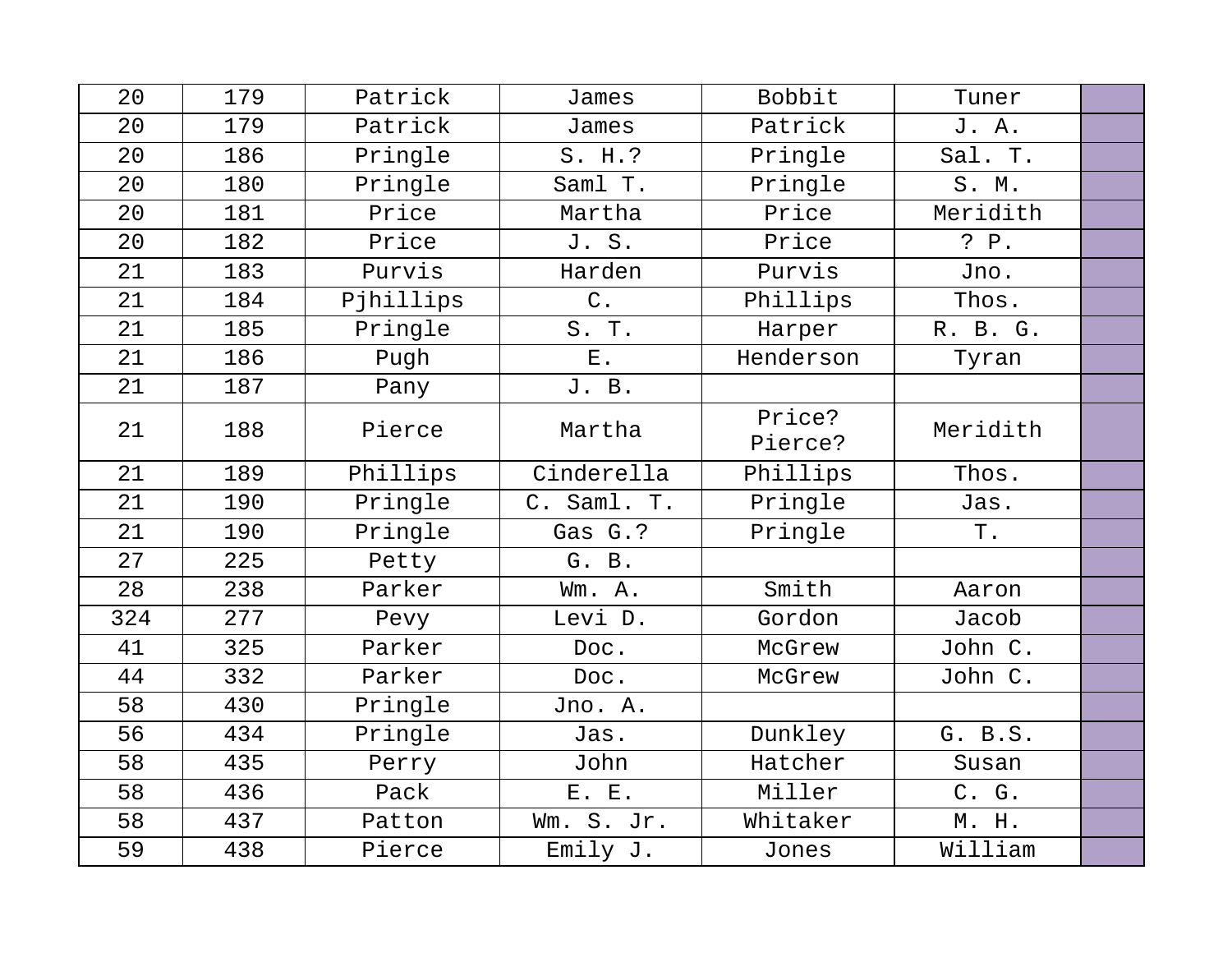| 20  | 179 | Patrick   | James       | Bobbit            | Tuner    |  |
|-----|-----|-----------|-------------|-------------------|----------|--|
| 20  | 179 | Patrick   | James       | Patrick           | J. A.    |  |
| 20  | 186 | Pringle   | S. H.?      | Pringle           | Sal. T.  |  |
| 20  | 180 | Pringle   | Saml T.     | Pringle           | S. M.    |  |
| 20  | 181 | Price     | Martha      | Price             | Meridith |  |
| 20  | 182 | Price     | J. S.       | Price             | P. P.    |  |
| 21  | 183 | Purvis    | Harden      | Purvis            | Jno.     |  |
| 21  | 184 | Pjhillips | $C$ .       | Phillips          | Thos.    |  |
| 21  | 185 | Pringle   | S. T.       | Harper            | R. B. G. |  |
| 21  | 186 | Pugh      | $E$ .       | Henderson         | Tyran    |  |
| 21  | 187 | Pany      | J. B.       |                   |          |  |
| 21  | 188 | Pierce    | Martha      | Price?<br>Pierce? | Meridith |  |
| 21  | 189 | Phillips  | Cinderella  | Phillips          | Thos.    |  |
| 21  | 190 | Pringle   | C. Saml. T. | Pringle           | Jas.     |  |
| 21  | 190 | Pringle   | Gas G.?     | Pringle           | Τ.       |  |
| 27  | 225 | Petty     | G. B.       |                   |          |  |
| 28  | 238 | Parker    | Wm. A.      | Smith             | Aaron    |  |
| 324 | 277 | Pevy      | Levi D.     | Gordon            | Jacob    |  |
| 41  | 325 | Parker    | Doc.        | McGrew            | John C.  |  |
| 44  | 332 | Parker    | Doc.        | McGrew            | John C.  |  |
| 58  | 430 | Pringle   | Jno. A.     |                   |          |  |
| 56  | 434 | Pringle   | Jas.        | Dunkley           | G. B.S.  |  |
| 58  | 435 | Perry     | John        | Hatcher           | Susan    |  |
| 58  | 436 | Pack      | E. E.       | Miller            | C. G.    |  |
| 58  | 437 | Patton    | Wm. S. Jr.  | Whitaker          | M. H.    |  |
| 59  | 438 | Pierce    | Emily J.    | Jones             | William  |  |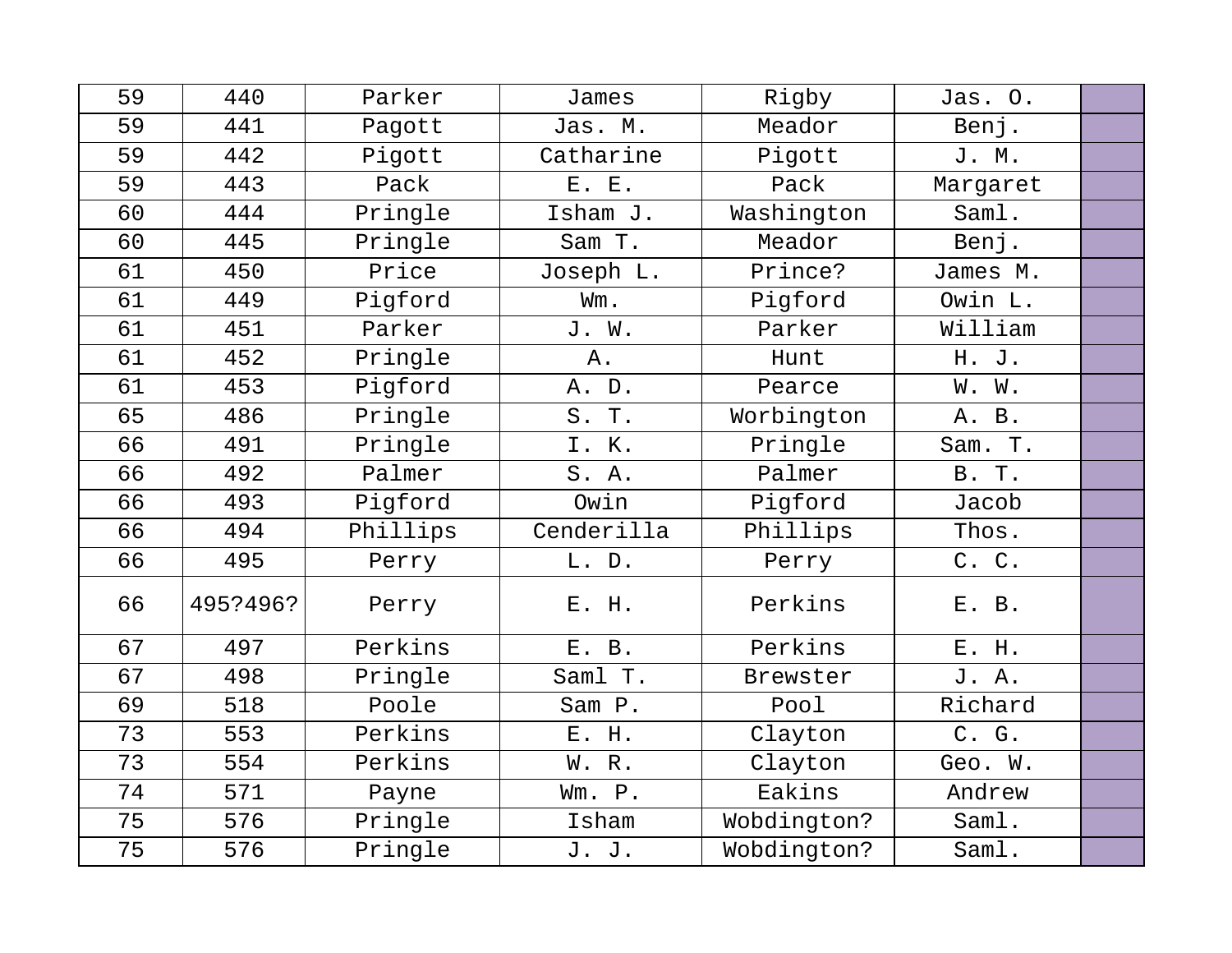| 59 | 440      | Parker   | James      | Rigby       | Jas. O.  |  |
|----|----------|----------|------------|-------------|----------|--|
| 59 | 441      | Pagott   | Jas. M.    | Meador      | Benj.    |  |
| 59 | 442      | Pigott   | Catharine  | Pigott      | J. M.    |  |
| 59 | 443      | Pack     | E. E.      | Pack        | Margaret |  |
| 60 | 444      | Pringle  | Isham J.   | Washington  | Saml.    |  |
| 60 | 445      | Pringle  | Sam T.     | Meador      | Benj.    |  |
| 61 | 450      | Price    | Joseph L.  | Prince?     | James M. |  |
| 61 | 449      | Pigford  | Wm.        | Pigford     | Owin L.  |  |
| 61 | 451      | Parker   | J. W.      | Parker      | William  |  |
| 61 | 452      | Pringle  | Α.         | Hunt        | H. J.    |  |
| 61 | 453      | Pigford  | A. D.      | Pearce      | W. W.    |  |
| 65 | 486      | Pringle  | S. T.      | Worbington  | A. B.    |  |
| 66 | 491      | Pringle  | I. K.      | Pringle     | Sam. T.  |  |
| 66 | 492      | Palmer   | S. A.      | Palmer      | B. T.    |  |
| 66 | 493      | Pigford  | Owin       | Pigford     | Jacob    |  |
| 66 | 494      | Phillips | Cenderilla | Phillips    | Thos.    |  |
| 66 | 495      | Perry    | L. D.      | Perry       | C. C.    |  |
| 66 | 495?496? | Perry    | E. H.      | Perkins     | E. B.    |  |
| 67 | 497      | Perkins  | E. B.      | Perkins     | E. H.    |  |
| 67 | 498      | Pringle  | Saml T.    | Brewster    | J. A.    |  |
| 69 | 518      | Poole    | Sam P.     | Pool        | Richard  |  |
| 73 | 553      | Perkins  | E. H.      | Clayton     | C. G.    |  |
| 73 | 554      | Perkins  | W. R.      | Clayton     | Geo. W.  |  |
| 74 | 571      | Payne    | Wm. P.     | Eakins      | Andrew   |  |
| 75 | 576      | Pringle  | Isham      | Wobdington? | Saml.    |  |
| 75 | 576      | Pringle  | J. J.      | Wobdington? | Saml.    |  |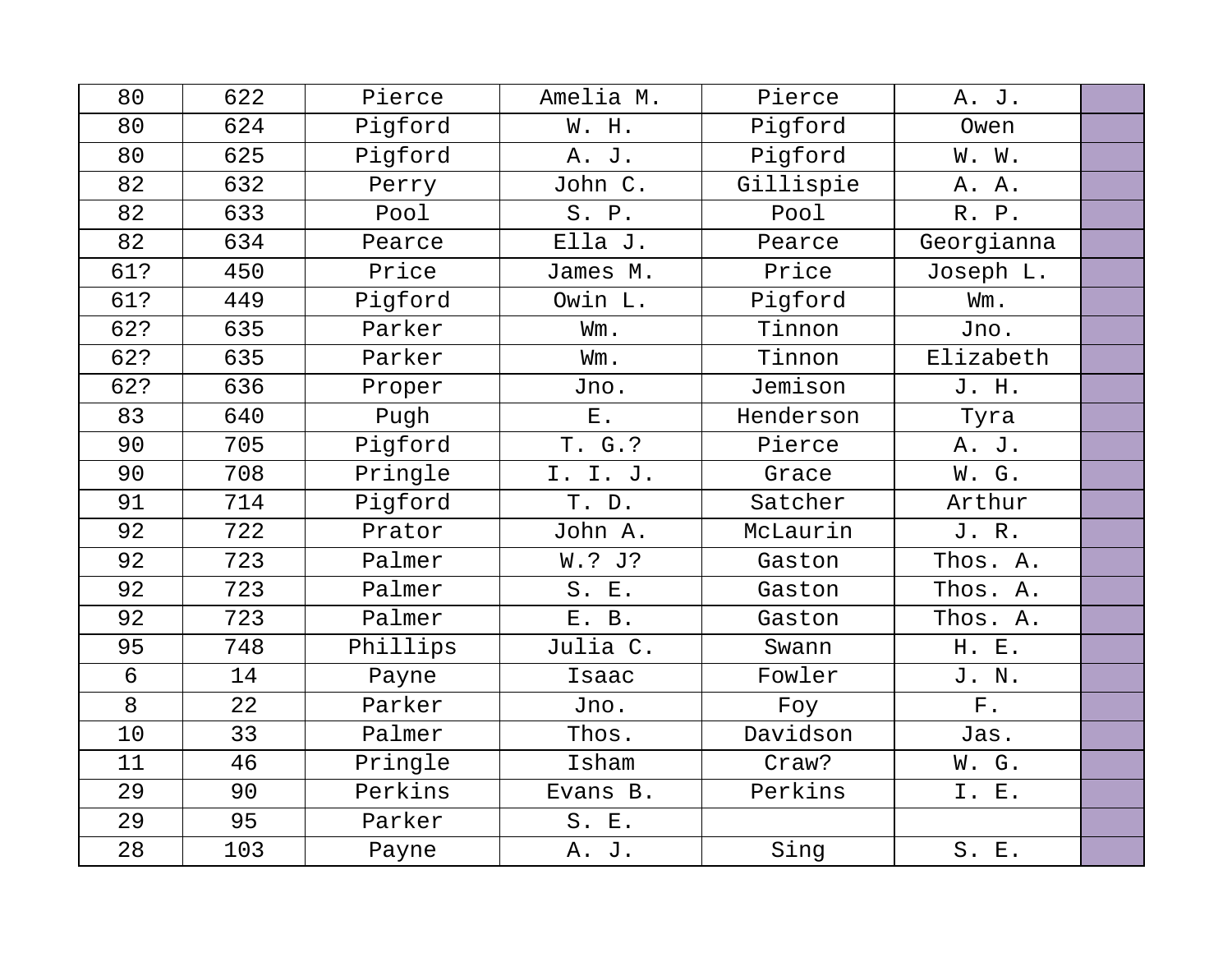| 80  | 622 | Pierce   | Amelia M. | Pierce    | A. J.       |  |
|-----|-----|----------|-----------|-----------|-------------|--|
| 80  | 624 | Pigford  | W. H.     | Pigford   | Owen        |  |
| 80  | 625 | Pigford  | A. J.     | Pigford   | W. W.       |  |
| 82  | 632 | Perry    | John C.   | Gillispie | A. A.       |  |
| 82  | 633 | Pool     | S. P.     | Pool      | R. P.       |  |
| 82  | 634 | Pearce   | Ella J.   | Pearce    | Georgianna  |  |
| 61? | 450 | Price    | James M.  | Price     | Joseph L.   |  |
| 61? | 449 | Pigford  | Owin L.   | Pigford   | Wm.         |  |
| 62? | 635 | Parker   | Wm.       | Tinnon    | Jno.        |  |
| 62? | 635 | Parker   | Wm.       | Tinnon    | Elizabeth   |  |
| 62? | 636 | Proper   | Jno.      | Jemison   | J. H.       |  |
| 83  | 640 | Pugh     | $E$ .     | Henderson | Tyra        |  |
| 90  | 705 | Pigford  | T. G. ?   | Pierce    | A. J.       |  |
| 90  | 708 | Pringle  | I. I. J.  | Grace     | W. G.       |  |
| 91  | 714 | Pigford  | T. D.     | Satcher   | Arthur      |  |
| 92  | 722 | Prator   | John A.   | McLaurin  | J. R.       |  |
| 92  | 723 | Palmer   | W.? J?    | Gaston    | Thos. A.    |  |
| 92  | 723 | Palmer   | S. E.     | Gaston    | Thos. A.    |  |
| 92  | 723 | Palmer   | E. B.     | Gaston    | Thos. A.    |  |
| 95  | 748 | Phillips | Julia C.  | Swann     | H. E.       |  |
| 6   | 14  | Payne    | Isaac     | Fowler    | J. N.       |  |
| 8   | 22  | Parker   | Jno.      | Foy       | ${\bf F}$ . |  |
| 10  | 33  | Palmer   | Thos.     | Davidson  | Jas.        |  |
| 11  | 46  | Pringle  | Isham     | Craw?     | W. G.       |  |
| 29  | 90  | Perkins  | Evans B.  | Perkins   | I. E.       |  |
| 29  | 95  | Parker   | S. E.     |           |             |  |
| 28  | 103 | Payne    | A. J.     | Sing      | S. E.       |  |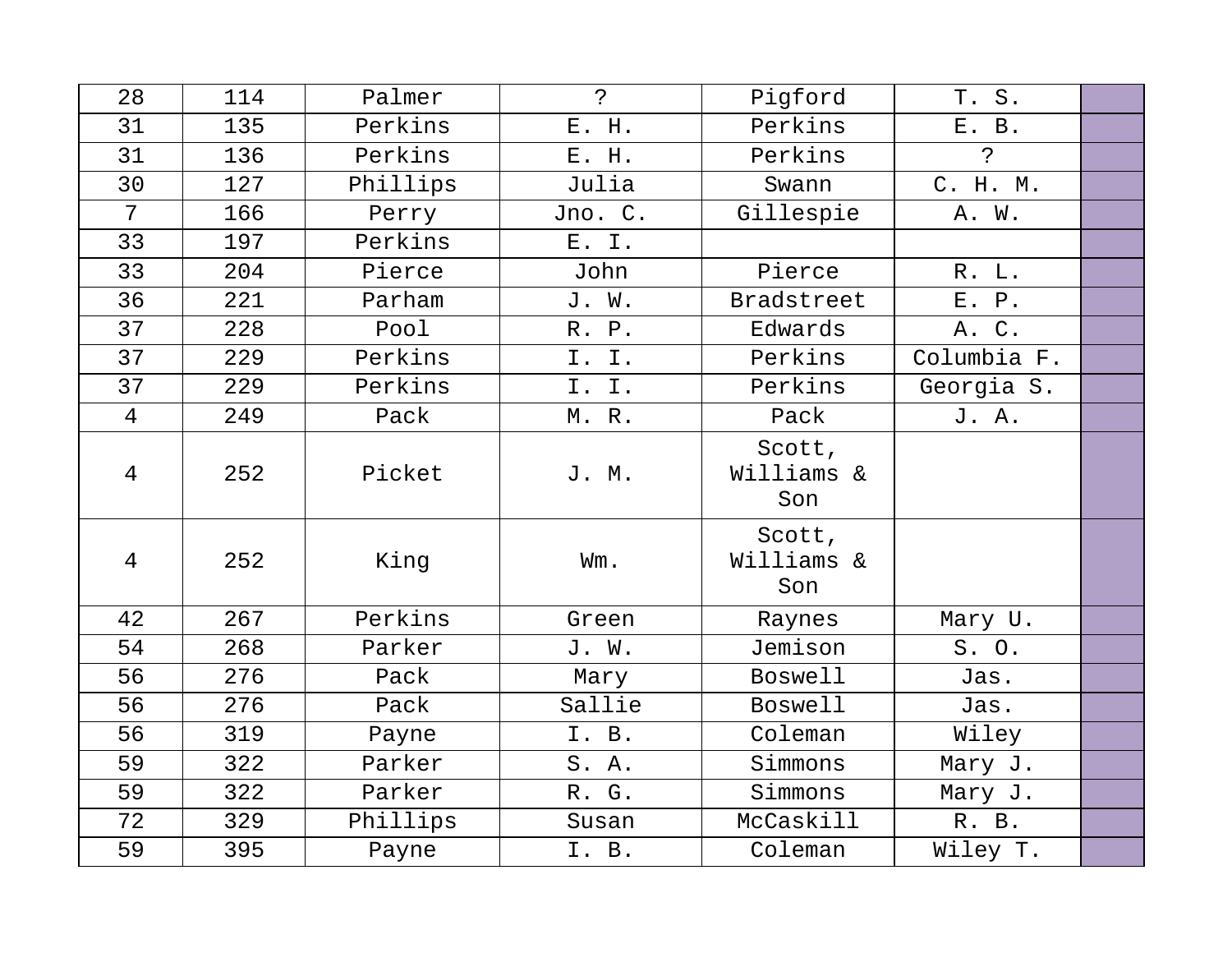| 28             | 114 | Palmer   | $\tilde{S}$ | Pigford                     | T. S.       |  |
|----------------|-----|----------|-------------|-----------------------------|-------------|--|
| 31             | 135 | Perkins  | E. H.       | Perkins                     | E. B.       |  |
| 31             | 136 | Perkins  | E. H.       | Perkins                     | Ċ.          |  |
| 30             | 127 | Phillips | Julia       | Swann                       | C. H. M.    |  |
| $\overline{7}$ | 166 | Perry    | Jno. C.     | Gillespie                   | A. W.       |  |
| 33             | 197 | Perkins  | E. I.       |                             |             |  |
| 33             | 204 | Pierce   | John        | Pierce                      | R. L.       |  |
| 36             | 221 | Parham   | J. W.       | <b>Bradstreet</b>           | E. P.       |  |
| 37             | 228 | Pool     | R. P.       | Edwards                     | A. C.       |  |
| 37             | 229 | Perkins  | I. I.       | Perkins                     | Columbia F. |  |
| 37             | 229 | Perkins  | I. I.       | Perkins                     | Georgia S.  |  |
| $\overline{4}$ | 249 | Pack     | M. R.       | Pack                        | J. A.       |  |
| 4              | 252 | Picket   | J. M.       | Scott,<br>Williams &<br>Son |             |  |
| $\overline{4}$ | 252 | King     | Wm.         | Scott,<br>Williams &<br>Son |             |  |
| 42             | 267 | Perkins  | Green       | Raynes                      | Mary U.     |  |
| 54             | 268 | Parker   | J. W.       | Jemison                     | S. O.       |  |
| 56             | 276 | Pack     | Mary        | <b>Boswell</b>              | Jas.        |  |
| 56             | 276 | Pack     | Sallie      | <b>Boswell</b>              | Jas.        |  |
| 56             | 319 | Payne    | I. B.       | Coleman                     | Wiley       |  |
| 59             | 322 | Parker   | S. A.       | Simmons                     | Mary J.     |  |
| 59             | 322 | Parker   | R. G.       | Simmons                     | Mary J.     |  |
| 72             | 329 | Phillips | Susan       | McCaskill                   | R. B.       |  |
| 59             | 395 | Payne    | I. B.       | Coleman                     | Wiley T.    |  |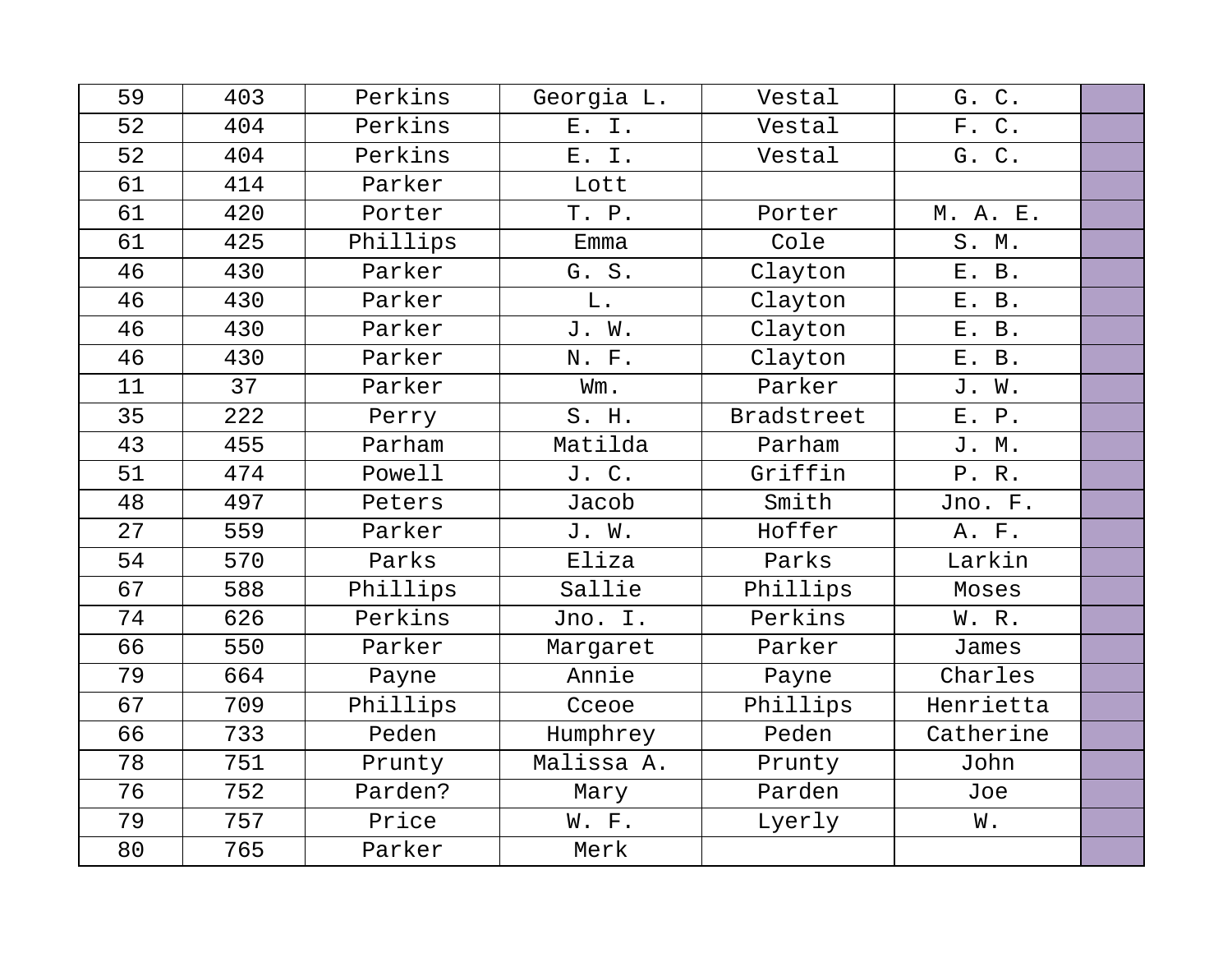| 59 | 403 | Perkins  | Georgia L. | Vestal     | G. C.     |  |
|----|-----|----------|------------|------------|-----------|--|
| 52 | 404 | Perkins  | E. I.      | Vestal     | F. C.     |  |
| 52 | 404 | Perkins  | E. I.      | Vestal     | G. C.     |  |
| 61 | 414 | Parker   | Lott       |            |           |  |
| 61 | 420 | Porter   | T. P.      | Porter     | M. A. E.  |  |
| 61 | 425 | Phillips | Emma       | Cole       | S. M.     |  |
| 46 | 430 | Parker   | G. S.      | Clayton    | E. B.     |  |
| 46 | 430 | Parker   | L.         | Clayton    | E. B.     |  |
| 46 | 430 | Parker   | J. W.      | Clayton    | E. B.     |  |
| 46 | 430 | Parker   | N. F.      | Clayton    | E. B.     |  |
| 11 | 37  | Parker   | Wm.        | Parker     | J. W.     |  |
| 35 | 222 | Perry    | S. H.      | Bradstreet | E. P.     |  |
| 43 | 455 | Parham   | Matilda    | Parham     | J. M.     |  |
| 51 | 474 | Powell   | J. C.      | Griffin    | P.R.      |  |
| 48 | 497 | Peters   | Jacob      | Smith      | Jno. F.   |  |
| 27 | 559 | Parker   | J. W.      | Hoffer     | A. F.     |  |
| 54 | 570 | Parks    | Eliza      | Parks      | Larkin    |  |
| 67 | 588 | Phillips | Sallie     | Phillips   | Moses     |  |
| 74 | 626 | Perkins  | Jno. I.    | Perkins    | W. R.     |  |
| 66 | 550 | Parker   | Margaret   | Parker     | James     |  |
| 79 | 664 | Payne    | Annie      | Payne      | Charles   |  |
| 67 | 709 | Phillips | Cceoe      | Phillips   | Henrietta |  |
| 66 | 733 | Peden    | Humphrey   | Peden      | Catherine |  |
| 78 | 751 | Prunty   | Malissa A. | Prunty     | John      |  |
| 76 | 752 | Parden?  | Mary       | Parden     | Joe       |  |
| 79 | 757 | Price    | W. F.      | Lyerly     | W.        |  |
| 80 | 765 | Parker   | Merk       |            |           |  |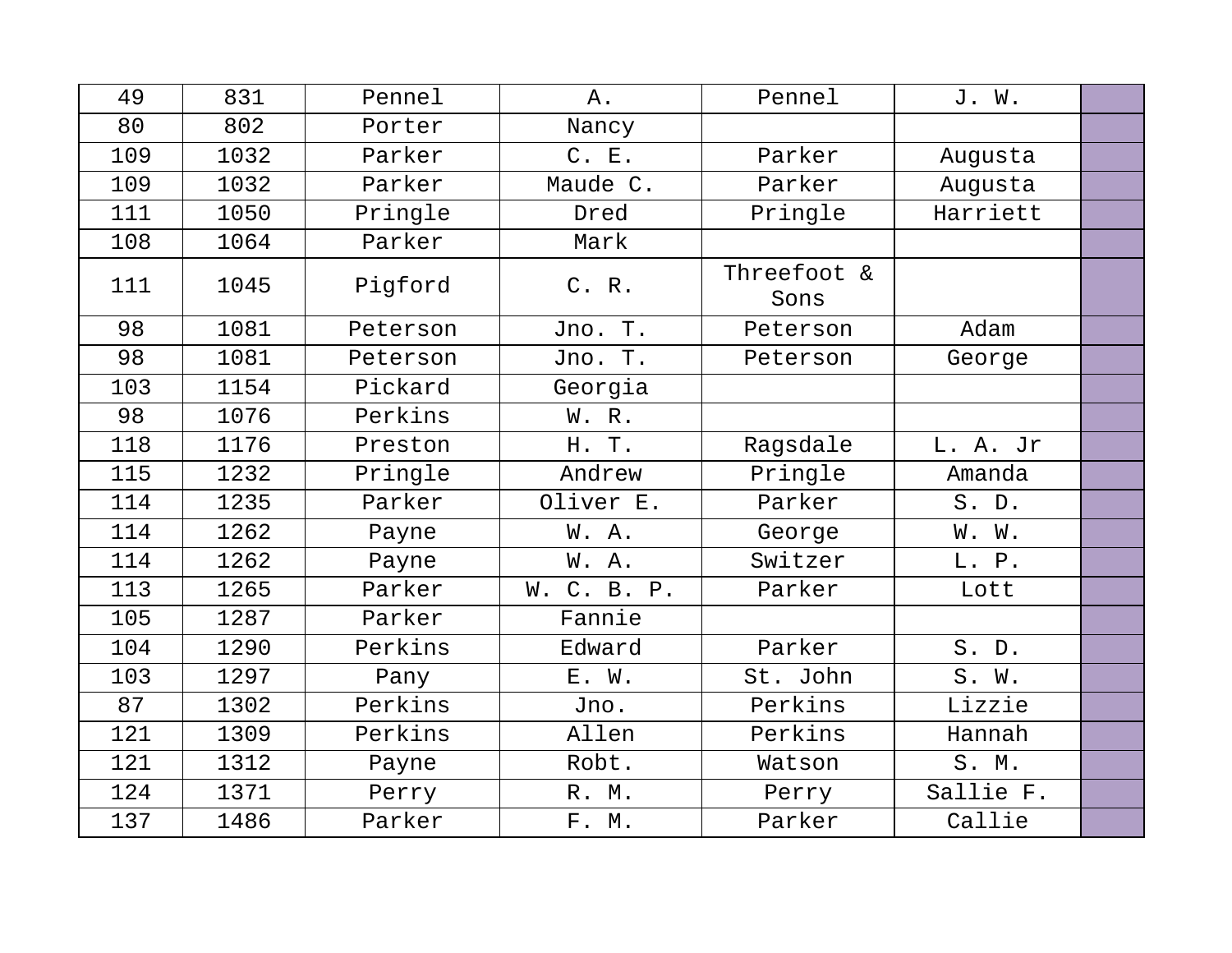| 49  | 831  | Pennel   | Α.          | Pennel              | J. W.     |  |
|-----|------|----------|-------------|---------------------|-----------|--|
| 80  | 802  | Porter   | Nancy       |                     |           |  |
| 109 | 1032 | Parker   | C. E.       | Parker              | Augusta   |  |
| 109 | 1032 | Parker   | Maude C.    | Parker              | Augusta   |  |
| 111 | 1050 | Pringle  | Dred        | Pringle             | Harriett  |  |
| 108 | 1064 | Parker   | Mark        |                     |           |  |
| 111 | 1045 | Pigford  | C. R.       | Threefoot &<br>Sons |           |  |
| 98  | 1081 | Peterson | Jno. T.     | Peterson            | Adam      |  |
| 98  | 1081 | Peterson | Jno. T.     | Peterson            | George    |  |
| 103 | 1154 | Pickard  | Georgia     |                     |           |  |
| 98  | 1076 | Perkins  | W. R.       |                     |           |  |
| 118 | 1176 | Preston  | H. T.       | Ragsdale            | L. A. Jr  |  |
| 115 | 1232 | Pringle  | Andrew      | Pringle             | Amanda    |  |
| 114 | 1235 | Parker   | Oliver E.   | Parker              | S. D.     |  |
| 114 | 1262 | Payne    | W.A.        | George              | W. W.     |  |
| 114 | 1262 | Payne    | W. A.       | Switzer             | L. P.     |  |
| 113 | 1265 | Parker   | W. C. B. P. | Parker              | Lott      |  |
| 105 | 1287 | Parker   | Fannie      |                     |           |  |
| 104 | 1290 | Perkins  | Edward      | Parker              | S. D.     |  |
| 103 | 1297 | Pany     | E. W.       | St. John            | S. W.     |  |
| 87  | 1302 | Perkins  | Jno.        | Perkins             | Lizzie    |  |
| 121 | 1309 | Perkins  | Allen       | Perkins             | Hannah    |  |
| 121 | 1312 | Payne    | Robt.       | Watson              | S. M.     |  |
| 124 | 1371 | Perry    | R. M.       | Perry               | Sallie F. |  |
| 137 | 1486 | Parker   | F. M.       | Parker              | Callie    |  |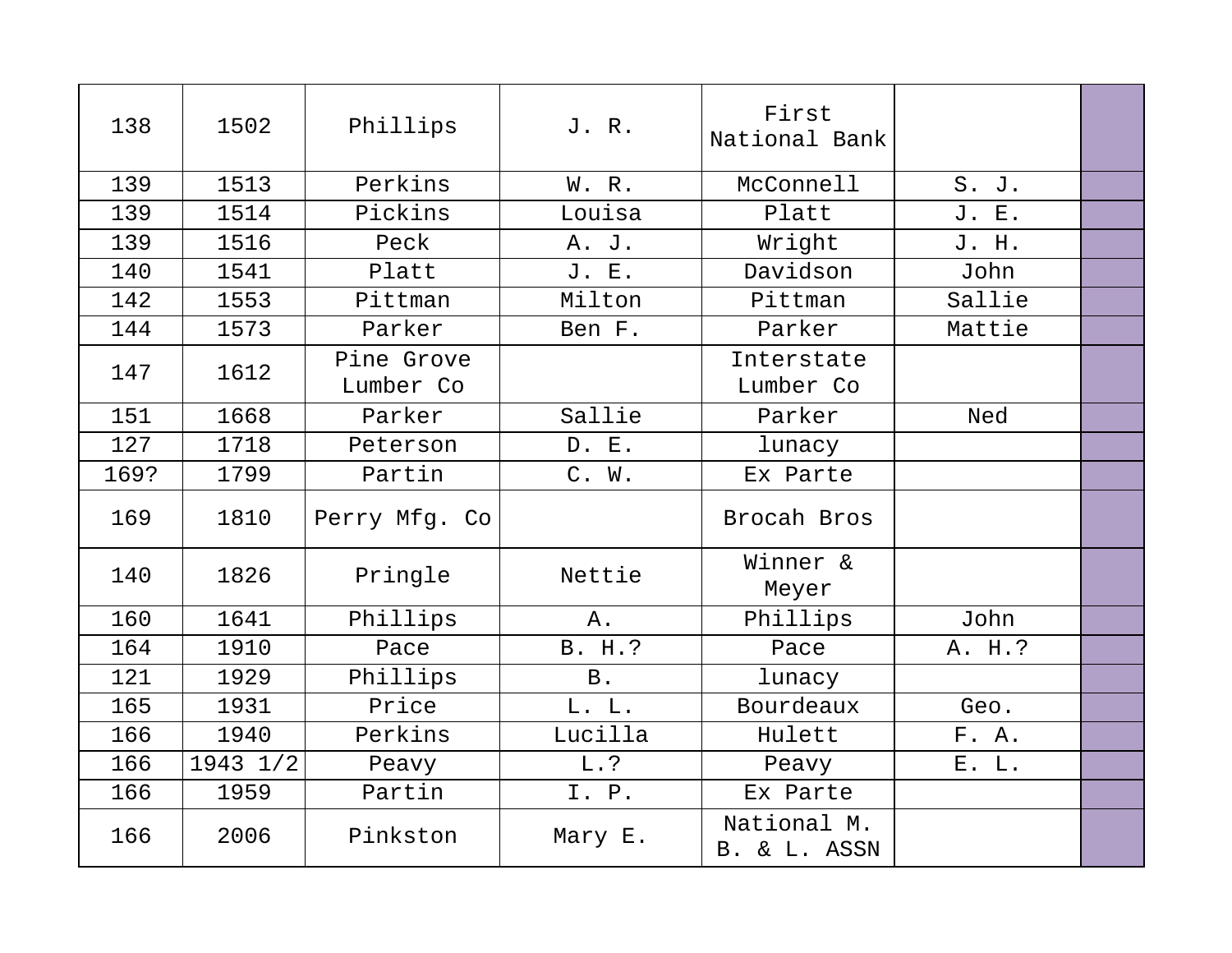| 138  | 1502     | Phillips                | J. R.      | First<br>National Bank      |        |  |
|------|----------|-------------------------|------------|-----------------------------|--------|--|
| 139  | 1513     | Perkins                 | W. R.      | McConnell                   | S. J.  |  |
| 139  | 1514     | Pickins                 | Louisa     | Platt                       | J. E.  |  |
| 139  | 1516     | Peck                    | A. J.      | Wright                      | J. H.  |  |
| 140  | 1541     | Platt                   | J. E.      | Davidson                    | John   |  |
| 142  | 1553     | Pittman                 | Milton     | Pittman                     | Sallie |  |
| 144  | 1573     | Parker                  | Ben F.     | Parker                      | Mattie |  |
| 147  | 1612     | Pine Grove<br>Lumber Co |            | Interstate<br>Lumber Co     |        |  |
| 151  | 1668     | Parker                  | Sallie     | Parker                      | Ned    |  |
| 127  | 1718     | Peterson                | D. E.      | lunacy                      |        |  |
| 169? | 1799     | Partin                  | C. W.      | Ex Parte                    |        |  |
| 169  | 1810     | Perry Mfg. Co           |            | Brocah Bros                 |        |  |
| 140  | 1826     | Pringle                 | Nettie     | Winner &<br>Meyer           |        |  |
| 160  | 1641     | Phillips                | Α.         | Phillips                    | John   |  |
| 164  | 1910     | Pace                    | B. H.?     | Pace                        | A. H.? |  |
| 121  | 1929     | Phillips                | <b>B</b> . | lunacy                      |        |  |
| 165  | 1931     | Price                   | L. L.      | Bourdeaux                   | Geo.   |  |
| 166  | 1940     | Perkins                 | Lucilla    | Hulett                      | F. A.  |  |
| 166  | 1943 1/2 | Peavy                   | L.?        | Peavy                       | E. L.  |  |
| 166  | 1959     | Partin                  | I. P.      | Ex Parte                    |        |  |
| 166  | 2006     | Pinkston                | Mary E.    | National M.<br>B. & L. ASSN |        |  |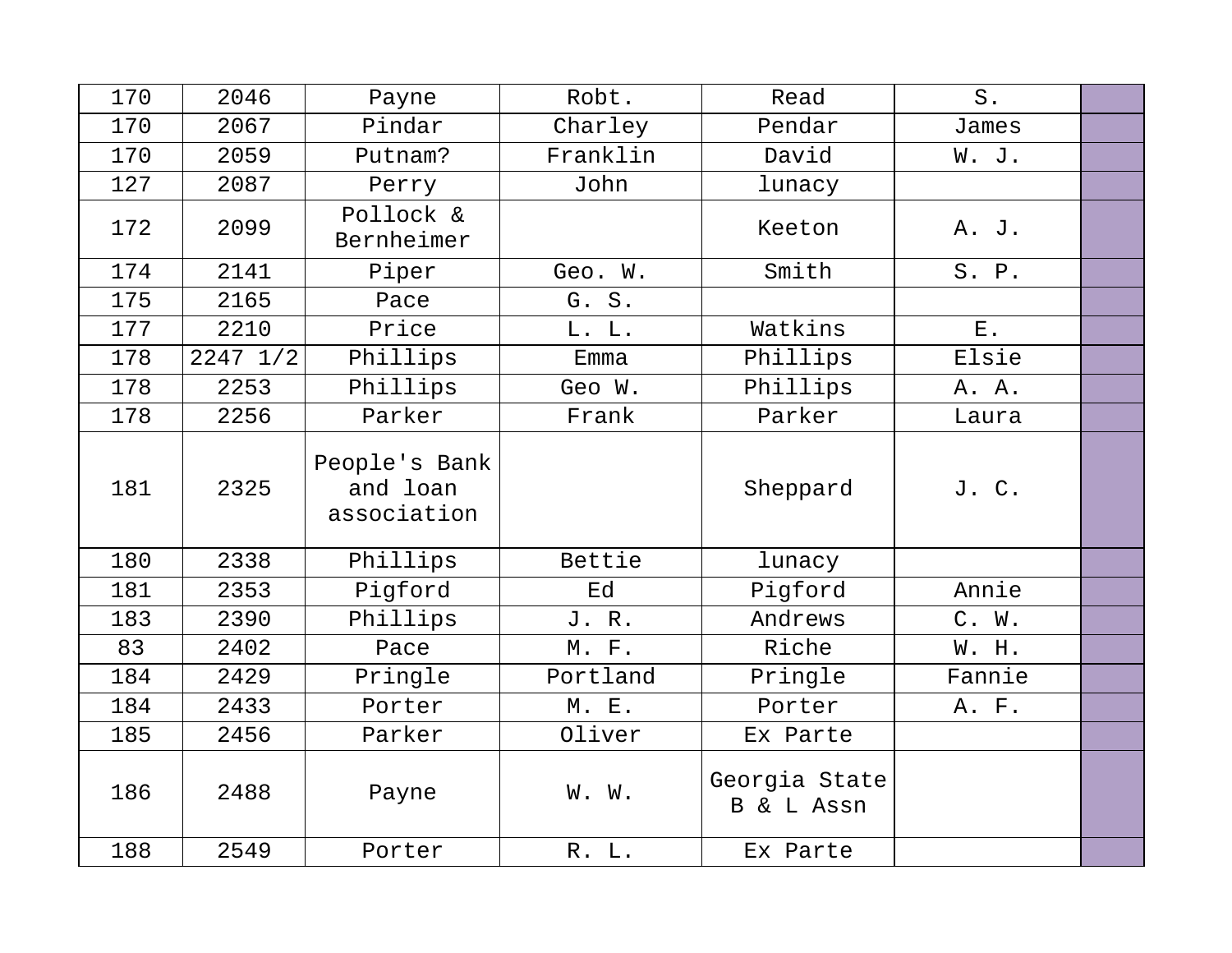| 170 | 2046         | Payne                                    | Robt.        | Read                        | $S$ .  |  |
|-----|--------------|------------------------------------------|--------------|-----------------------------|--------|--|
| 170 | 2067         | Pindar                                   | Charley      | Pendar                      | James  |  |
| 170 | 2059         | Putnam?                                  | Franklin     | David                       | W. J.  |  |
| 127 | 2087         | Perry                                    | John         | lunacy                      |        |  |
| 172 | 2099         | Pollock &<br>Bernheimer                  |              | Keeton                      | A. J.  |  |
| 174 | 2141         | Piper                                    | Geo. W.      | Smith                       | S. P.  |  |
| 175 | 2165         | Pace                                     | G. S.        |                             |        |  |
| 177 | 2210         | Price                                    | L. L.        | Watkins                     | $E$ .  |  |
| 178 | $2247$ $1/2$ | Phillips                                 | Emma         | Phillips                    | Elsie  |  |
| 178 | 2253         | Phillips                                 | Geo W.       | Phillips                    | A. A.  |  |
| 178 | 2256         | Parker                                   | Frank        | Parker                      | Laura  |  |
| 181 | 2325         | People's Bank<br>and loan<br>association |              | Sheppard                    | J. C.  |  |
| 180 | 2338         | Phillips                                 | Bettie       | lunacy                      |        |  |
| 181 | 2353         | Pigford                                  | Ed           | Pigford                     | Annie  |  |
| 183 | 2390         | Phillips                                 | J. R.        | Andrews                     | C. W.  |  |
| 83  | 2402         | Pace                                     | M. F.        | Riche                       | W. H.  |  |
| 184 | 2429         | Pringle                                  | Portland     | Pringle                     | Fannie |  |
| 184 | 2433         | Porter                                   | <b>M. E.</b> | Porter                      | A. F.  |  |
| 185 | 2456         | Parker                                   | Oliver       | Ex Parte                    |        |  |
| 186 | 2488         | Payne                                    | W. W.        | Georgia State<br>B & L Assn |        |  |
| 188 | 2549         | Porter                                   | R. L.        | Ex Parte                    |        |  |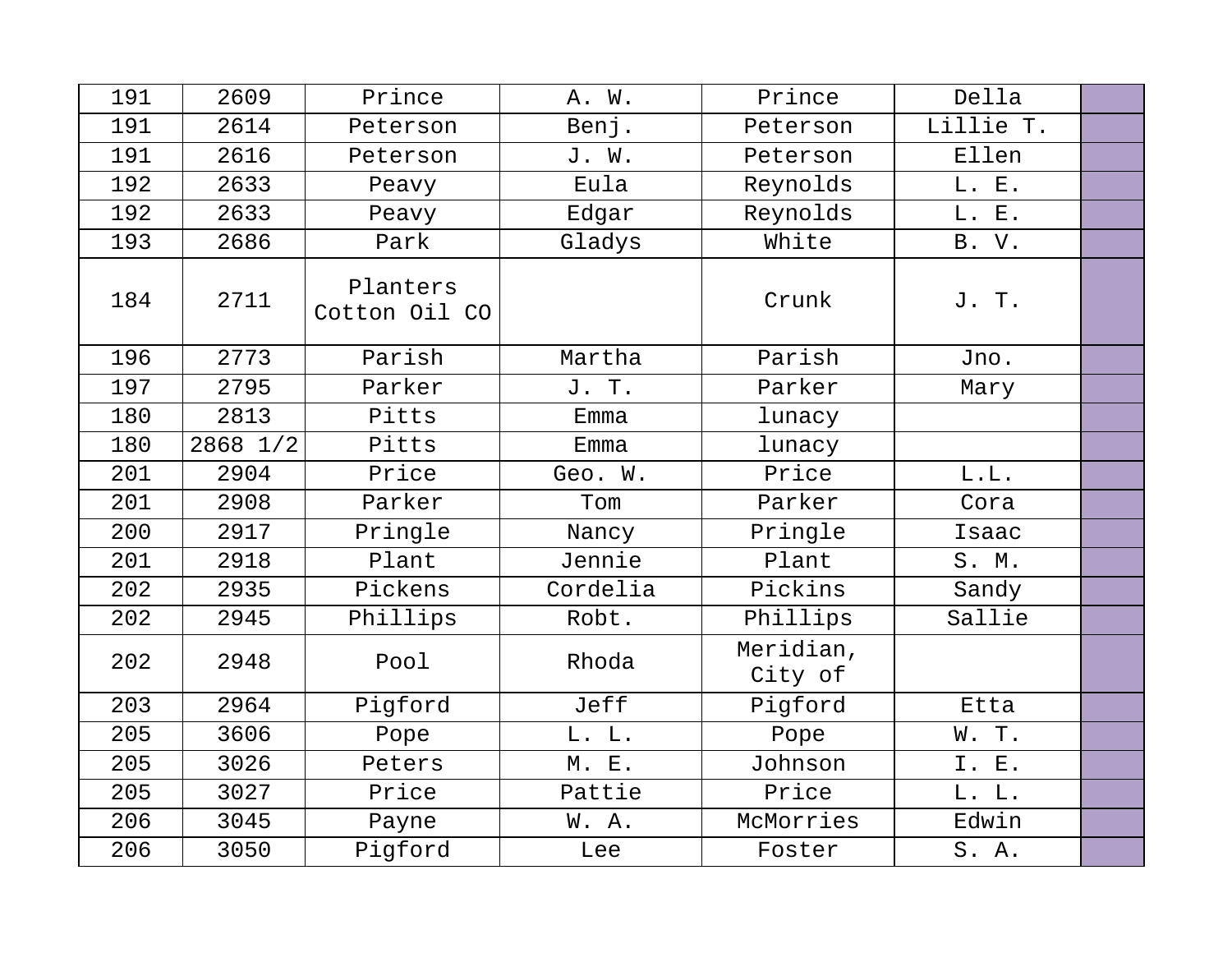| 191 | 2609     | Prince                    | A. W.    | Prince               | Della     |  |
|-----|----------|---------------------------|----------|----------------------|-----------|--|
| 191 | 2614     | Peterson                  | Benj.    | Peterson             | Lillie T. |  |
| 191 | 2616     | Peterson                  | J. W.    | Peterson             | Ellen     |  |
| 192 | 2633     | Peavy                     | Eula     | Reynolds             | L. E.     |  |
| 192 | 2633     | Peavy                     | Edgar    | Reynolds             | L. E.     |  |
| 193 | 2686     | Park                      | Gladys   | White                | B. V.     |  |
| 184 | 2711     | Planters<br>Cotton Oil CO |          | Crunk                | J. T.     |  |
| 196 | 2773     | Parish                    | Martha   | Parish               | Jno.      |  |
| 197 | 2795     | Parker                    | J. T.    | Parker               | Mary      |  |
| 180 | 2813     | Pitts                     | Emma     | lunacy               |           |  |
| 180 | 2868 1/2 | Pitts                     | Emma     | lunacy               |           |  |
| 201 | 2904     | Price                     | Geo. W.  | Price                | L.L.      |  |
| 201 | 2908     | Parker                    | Tom      | Parker               | Cora      |  |
| 200 | 2917     | Pringle                   | Nancy    | Pringle              | Isaac     |  |
| 201 | 2918     | Plant                     | Jennie   | Plant                | S. M.     |  |
| 202 | 2935     | Pickens                   | Cordelia | Pickins              | Sandy     |  |
| 202 | 2945     | Phillips                  | Robt.    | Phillips             | Sallie    |  |
| 202 | 2948     | Pool                      | Rhoda    | Meridian,<br>City of |           |  |
| 203 | 2964     | Pigford                   | Jeff     | Pigford              | Etta      |  |
| 205 | 3606     | Pope                      | L. L.    | Pope                 | W. T.     |  |
| 205 | 3026     | Peters                    | M. E.    | Johnson              | I. E.     |  |
| 205 | 3027     | Price                     | Pattie   | Price                | L. L.     |  |
| 206 | 3045     | Payne                     | W.A.     | McMorries            | Edwin     |  |
| 206 | 3050     | Pigford                   | Lee      | Foster               | S. A.     |  |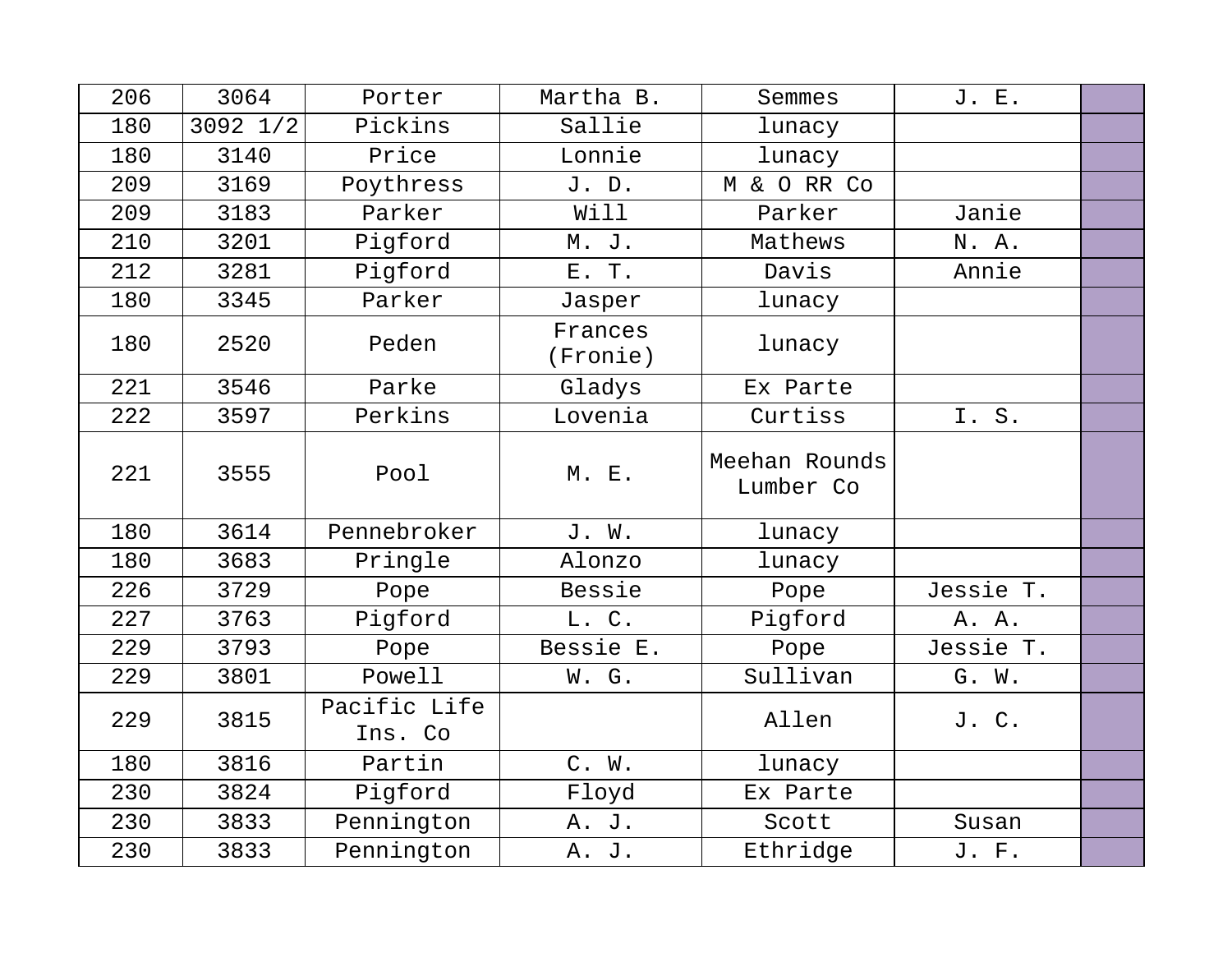| 206 | 3064     | Porter                  | Martha B.           | Semmes                     | J. E.     |  |
|-----|----------|-------------------------|---------------------|----------------------------|-----------|--|
| 180 | 3092 1/2 | Pickins                 | Sallie              | lunacy                     |           |  |
| 180 | 3140     | Price                   | Lonnie              | lunacy                     |           |  |
| 209 | 3169     | Poythress               | J. D.               | M & O RR Co                |           |  |
| 209 | 3183     | Parker                  | Will                | Parker                     | Janie     |  |
| 210 | 3201     | Pigford                 | M. J.               | Mathews                    | N. A.     |  |
| 212 | 3281     | Pigford                 | E. T.               | Davis                      | Annie     |  |
| 180 | 3345     | Parker                  | Jasper              | lunacy                     |           |  |
| 180 | 2520     | Peden                   | Frances<br>(Fronie) | lunacy                     |           |  |
| 221 | 3546     | Parke                   | Gladys              | Ex Parte                   |           |  |
| 222 | 3597     | Perkins                 | Lovenia             | Curtiss                    | I.S.      |  |
| 221 | 3555     | Pool                    | M. E.               | Meehan Rounds<br>Lumber Co |           |  |
| 180 | 3614     | Pennebroker             | J. W.               | lunacy                     |           |  |
| 180 | 3683     | Pringle                 | Alonzo              | lunacy                     |           |  |
| 226 | 3729     | Pope                    | Bessie              | Pope                       | Jessie T. |  |
| 227 | 3763     | Pigford                 | L. C.               | Pigford                    | A. A.     |  |
| 229 | 3793     | Pope                    | Bessie E.           | Pope                       | Jessie T. |  |
| 229 | 3801     | Powell                  | W. G.               | Sullivan                   | G. W.     |  |
| 229 | 3815     | Pacific Life<br>Ins. Co |                     | Allen                      | J. C.     |  |
| 180 | 3816     | Partin                  | C. W.               | lunacy                     |           |  |
| 230 | 3824     | Pigford                 | Floyd               | Ex Parte                   |           |  |
| 230 | 3833     | Pennington              | A. J.               | Scott                      | Susan     |  |
| 230 | 3833     | Pennington              | A. J.               | Ethridge                   | J. F.     |  |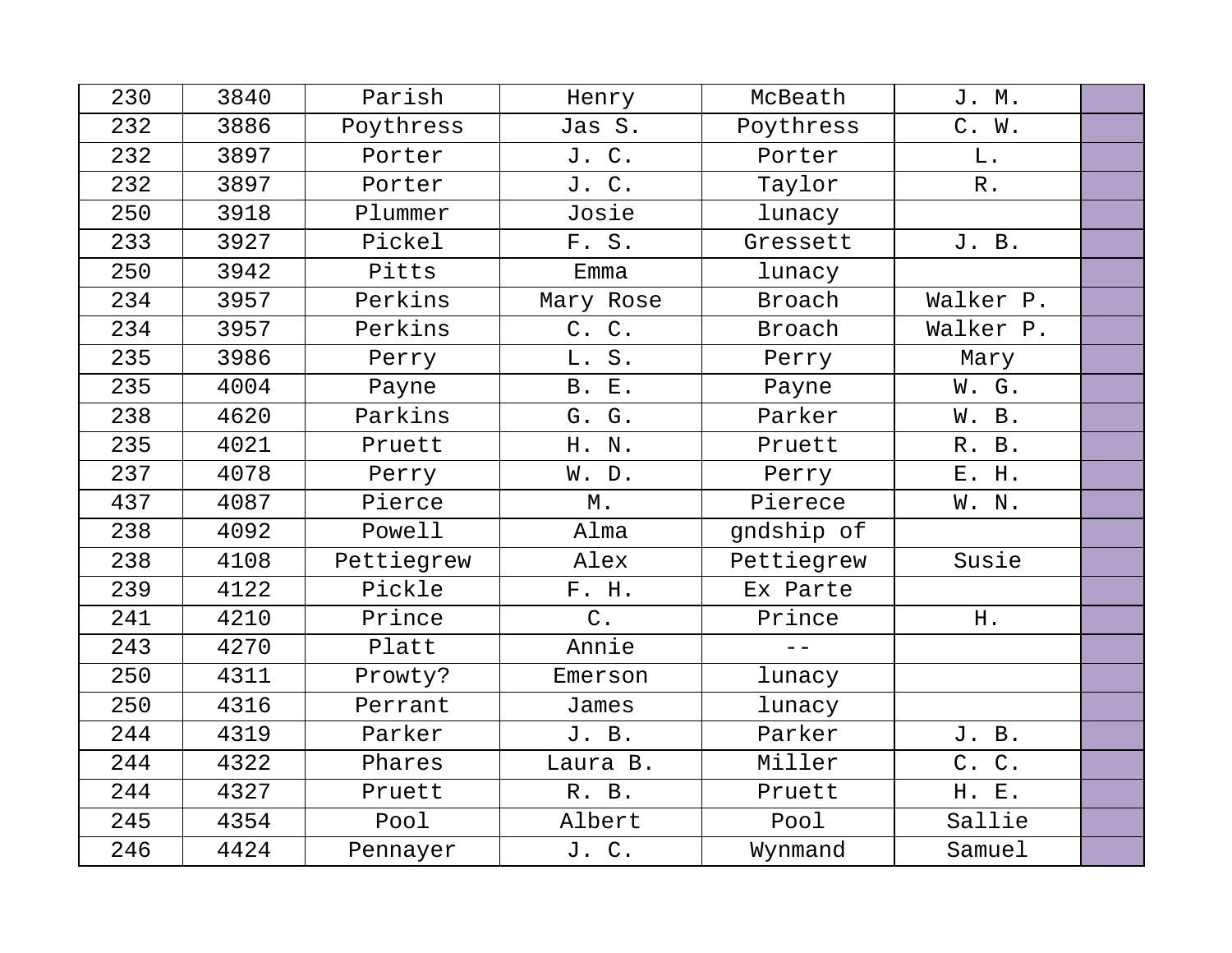| 230 | 3840 | Parish     | Henry        | McBeath    | J. M.     |  |
|-----|------|------------|--------------|------------|-----------|--|
| 232 | 3886 | Poythress  | Jas S.       | Poythress  | C. W.     |  |
| 232 | 3897 | Porter     | J. C.        | Porter     | L.        |  |
| 232 | 3897 | Porter     | J. C.        | Taylor     | $R$ .     |  |
| 250 | 3918 | Plummer    | Josie        | lunacy     |           |  |
| 233 | 3927 | Pickel     | F. S.        | Gressett   | J. B.     |  |
| 250 | 3942 | Pitts      | Emma         | lunacy     |           |  |
| 234 | 3957 | Perkins    | Mary Rose    | Broach     | Walker P. |  |
| 234 | 3957 | Perkins    | C. C.        | Broach     | Walker P. |  |
| 235 | 3986 | Perry      | L. S.        | Perry      | Mary      |  |
| 235 | 4004 | Payne      | <b>B. E.</b> | Payne      | W. G.     |  |
| 238 | 4620 | Parkins    | G. G.        | Parker     | W. B.     |  |
| 235 | 4021 | Pruett     | H. N.        | Pruett     | R. B.     |  |
| 237 | 4078 | Perry      | W. D.        | Perry      | E. H.     |  |
| 437 | 4087 | Pierce     | $M$ .        | Pierece    | W. N.     |  |
| 238 | 4092 | Powell     | Alma         | gndship of |           |  |
| 238 | 4108 | Pettiegrew | Alex         | Pettiegrew | Susie     |  |
| 239 | 4122 | Pickle     | F. H.        | Ex Parte   |           |  |
| 241 | 4210 | Prince     | $C$ .        | Prince     | H.        |  |
| 243 | 4270 | Platt      | Annie        | $=$ $-$    |           |  |
| 250 | 4311 | Prowty?    | Emerson      | lunacy     |           |  |
| 250 | 4316 | Perrant    | James        | lunacy     |           |  |
| 244 | 4319 | Parker     | J. B.        | Parker     | J. B.     |  |
| 244 | 4322 | Phares     | Laura B.     | Miller     | C. C.     |  |
| 244 | 4327 | Pruett     | R. B.        | Pruett     | H. E.     |  |
| 245 | 4354 | Pool       | Albert       | Pool       | Sallie    |  |
| 246 | 4424 | Pennayer   | J. C.        | Wynmand    | Samuel    |  |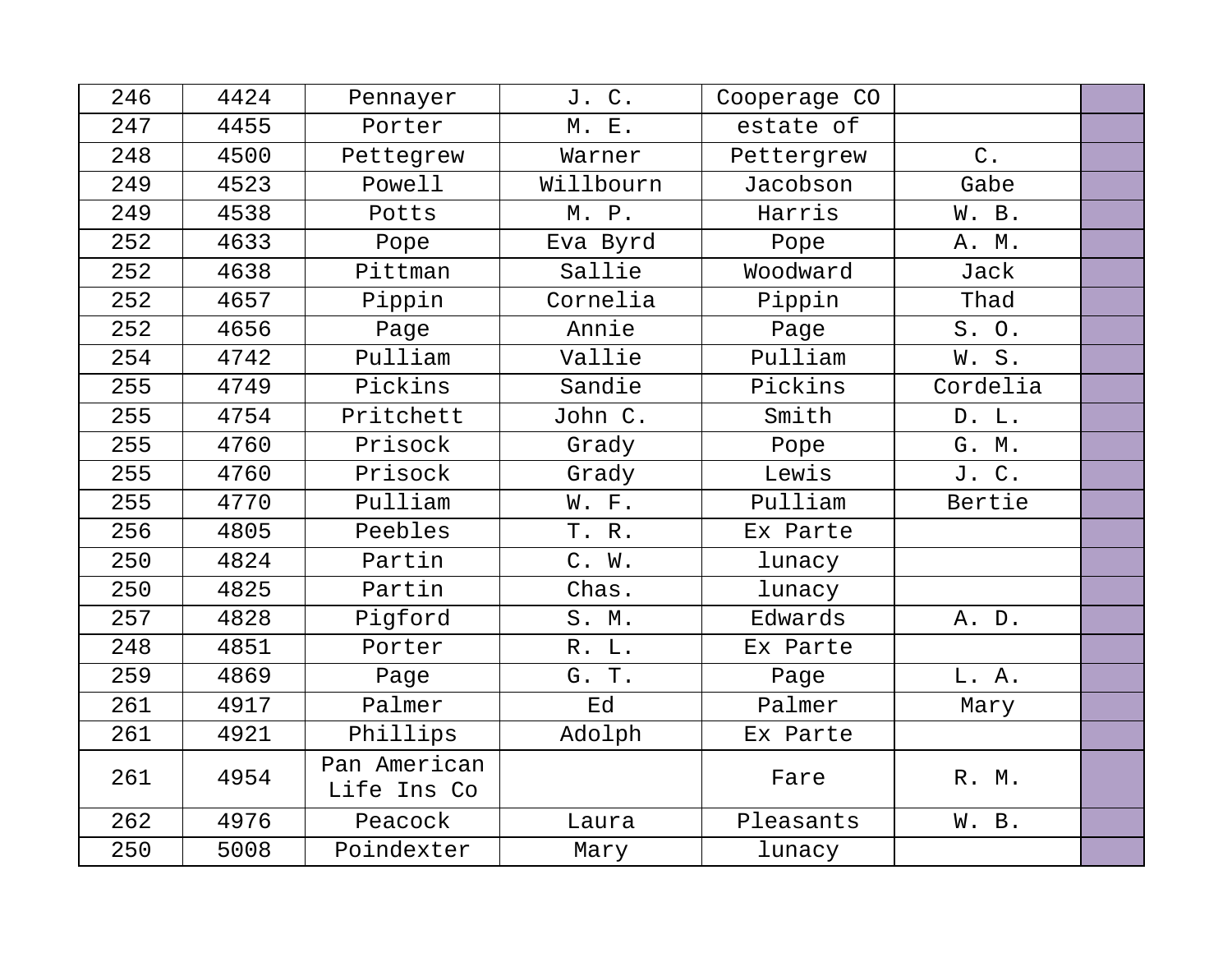| 246 | 4424 | Pennayer                    | J. C.     | Cooperage CO |          |  |
|-----|------|-----------------------------|-----------|--------------|----------|--|
| 247 | 4455 | Porter                      | M. E.     | estate of    |          |  |
| 248 | 4500 | Pettegrew                   | Warner    | Pettergrew   | $C$ .    |  |
| 249 | 4523 | Powell                      | Willbourn | Jacobson     | Gabe     |  |
| 249 | 4538 | Potts                       | M. P.     | Harris       | W. B.    |  |
| 252 | 4633 | Pope                        | Eva Byrd  | Pope         | A. M.    |  |
| 252 | 4638 | Pittman                     | Sallie    | Woodward     | Jack     |  |
| 252 | 4657 | Pippin                      | Cornelia  | Pippin       | Thad     |  |
| 252 | 4656 | Page                        | Annie     | Page         | S. O.    |  |
| 254 | 4742 | Pulliam                     | Vallie    | Pulliam      | W.S.     |  |
| 255 | 4749 | Pickins                     | Sandie    | Pickins      | Cordelia |  |
| 255 | 4754 | Pritchett                   | John C.   | Smith        | D. L.    |  |
| 255 | 4760 | Prisock                     | Grady     | Pope         | G. M.    |  |
| 255 | 4760 | Prisock                     | Grady     | Lewis        | J. C.    |  |
| 255 | 4770 | Pulliam                     | W. F.     | Pulliam      | Bertie   |  |
| 256 | 4805 | Peebles                     | T. R.     | Ex Parte     |          |  |
| 250 | 4824 | Partin                      | C. W.     | lunacy       |          |  |
| 250 | 4825 | Partin                      | Chas.     | lunacy       |          |  |
| 257 | 4828 | Pigford                     | S. M.     | Edwards      | A. D.    |  |
| 248 | 4851 | Porter                      | R. L.     | Ex Parte     |          |  |
| 259 | 4869 | Page                        | G. T.     | Page         | L. A.    |  |
| 261 | 4917 | Palmer                      | Ed        | Palmer       | Mary     |  |
| 261 | 4921 | Phillips                    | Adolph    | Ex Parte     |          |  |
| 261 | 4954 | Pan American<br>Life Ins Co |           | Fare         | R. M.    |  |
| 262 | 4976 | Peacock                     | Laura     | Pleasants    | W. B.    |  |
| 250 | 5008 | Poindexter                  | Mary      | lunacy       |          |  |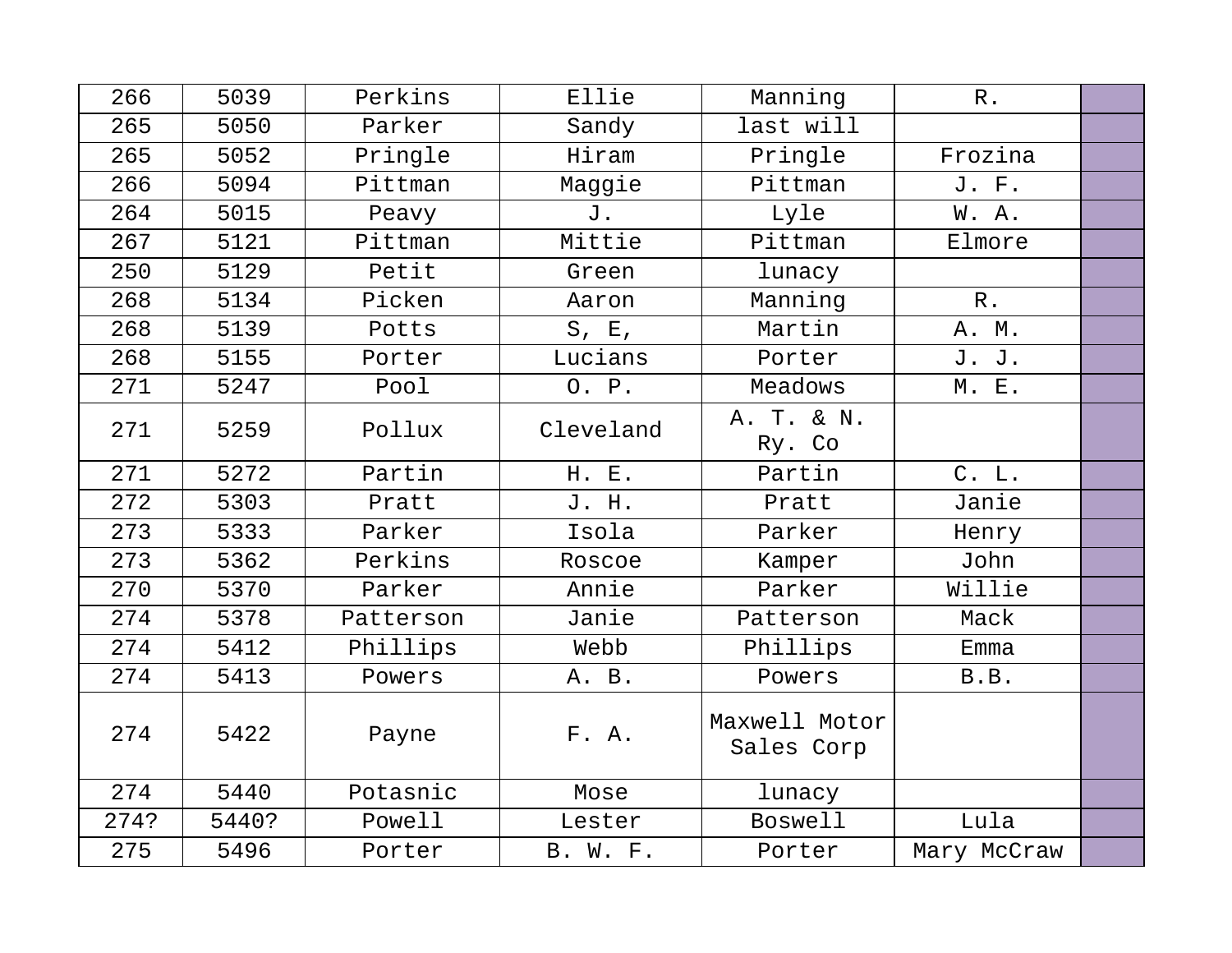| 266  | 5039  | Perkins   | Ellie     | Manning                     | $R$ .       |  |
|------|-------|-----------|-----------|-----------------------------|-------------|--|
| 265  | 5050  | Parker    | Sandy     | last will                   |             |  |
| 265  | 5052  | Pringle   | Hiram     | Pringle                     | Frozina     |  |
| 266  | 5094  | Pittman   | Maggie    | Pittman                     | J. F.       |  |
| 264  | 5015  | Peavy     | J.        | Lyle                        | W. A.       |  |
| 267  | 5121  | Pittman   | Mittie    | Pittman                     | Elmore      |  |
| 250  | 5129  | Petit     | Green     | lunacy                      |             |  |
| 268  | 5134  | Picken    | Aaron     | Manning                     | $R$ .       |  |
| 268  | 5139  | Potts     | $S$ , E,  | Martin                      | A. M.       |  |
| 268  | 5155  | Porter    | Lucians   | Porter                      | J. J.       |  |
| 271  | 5247  | Pool      | O. P.     | Meadows                     | M. E.       |  |
| 271  | 5259  | Pollux    | Cleveland | A. T. & N.                  |             |  |
|      |       |           |           | Ry. Co                      |             |  |
| 271  | 5272  | Partin    | H. E.     | Partin                      | C. L.       |  |
| 272  | 5303  | Pratt     | J. H.     | Pratt                       | Janie       |  |
| 273  | 5333  | Parker    | Isola     | Parker                      | Henry       |  |
| 273  | 5362  | Perkins   | Roscoe    | Kamper                      | John        |  |
| 270  | 5370  | Parker    | Annie     | Parker                      | Willie      |  |
| 274  | 5378  | Patterson | Janie     | Patterson                   | Mack        |  |
| 274  | 5412  | Phillips  | Webb      | Phillips                    | Emma        |  |
| 274  | 5413  | Powers    | A. B.     | Powers                      | B.B.        |  |
| 274  | 5422  | Payne     | F. A.     | Maxwell Motor<br>Sales Corp |             |  |
| 274  | 5440  | Potasnic  | Mose      | lunacy                      |             |  |
| 274? | 5440? | Powell    | Lester    | <b>Boswell</b>              | Lula        |  |
| 275  | 5496  | Porter    | B. W. F.  | Porter                      | Mary McCraw |  |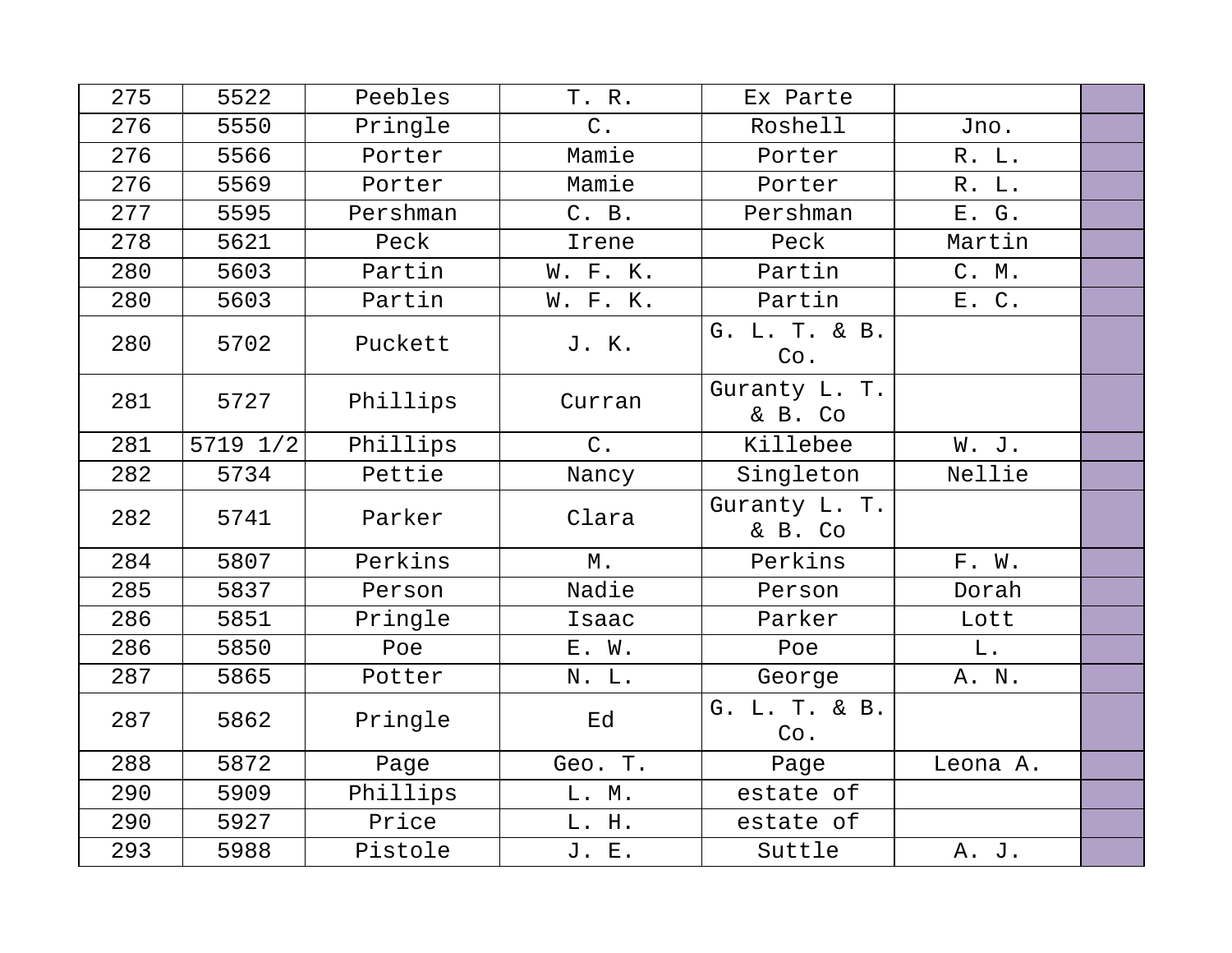| 275 | 5522     | Peebles  | T. R.    | Ex Parte                 |          |  |
|-----|----------|----------|----------|--------------------------|----------|--|
| 276 | 5550     | Pringle  | $C$ .    | Roshell                  | Jno.     |  |
| 276 | 5566     | Porter   | Mamie    | Porter                   | R. L.    |  |
| 276 | 5569     | Porter   | Mamie    | Porter                   | R. L.    |  |
| 277 | 5595     | Pershman | C. B.    | Pershman                 | E. G.    |  |
| 278 | 5621     | Peck     | Irene    | Peck                     | Martin   |  |
| 280 | 5603     | Partin   | W. F. K. | Partin                   | C. M.    |  |
| 280 | 5603     | Partin   | W. F. K. | Partin                   | E. C.    |  |
| 280 | 5702     | Puckett  | J. K.    | G. L. T. & B.<br>Co.     |          |  |
| 281 | 5727     | Phillips | Curran   | Guranty L. T.<br>& B. Co |          |  |
| 281 | 5719 1/2 | Phillips | $C$ .    | Killebee                 | W. J.    |  |
| 282 | 5734     | Pettie   | Nancy    | Singleton                | Nellie   |  |
| 282 | 5741     | Parker   | Clara    | Guranty L. T.<br>& B. Co |          |  |
| 284 | 5807     | Perkins  | $M$ .    | Perkins                  | F. W.    |  |
| 285 | 5837     | Person   | Nadie    | Person                   | Dorah    |  |
| 286 | 5851     | Pringle  | Isaac    | Parker                   | Lott     |  |
| 286 | 5850     | Poe      | E. W.    | Poe                      | L.       |  |
| 287 | 5865     | Potter   | N. L.    | George                   | A. N.    |  |
| 287 | 5862     | Pringle  | Ed       | G. L. T. & B.<br>Co.     |          |  |
| 288 | 5872     | Page     | Geo. T.  | Page                     | Leona A. |  |
| 290 | 5909     | Phillips | L. M.    | estate of                |          |  |
| 290 | 5927     | Price    | L. H.    | estate of                |          |  |
| 293 | 5988     | Pistole  | J. E.    | Suttle                   | A. J.    |  |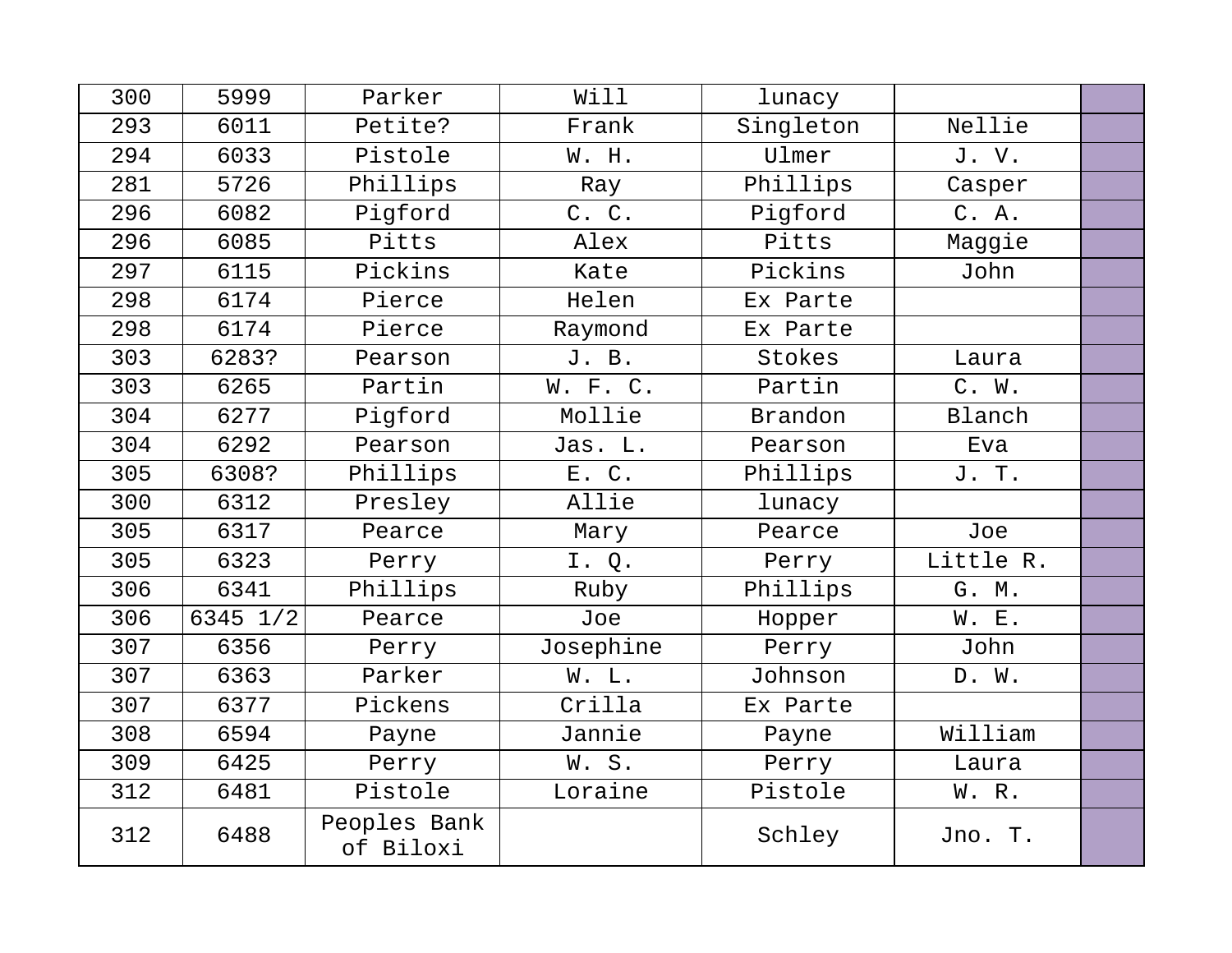| 300 | 5999     | Parker                    | Will      | lunacy    |           |  |
|-----|----------|---------------------------|-----------|-----------|-----------|--|
| 293 | 6011     | Petite?                   | Frank     | Singleton | Nellie    |  |
| 294 | 6033     | Pistole                   | W. H.     | Ulmer     | J.V.      |  |
| 281 | 5726     | Phillips                  | Ray       | Phillips  | Casper    |  |
| 296 | 6082     | Pigford                   | C. C.     | Pigford   | C. A.     |  |
| 296 | 6085     | Pitts                     | Alex      | Pitts     | Maggie    |  |
| 297 | 6115     | Pickins                   | Kate      | Pickins   | John      |  |
| 298 | 6174     | Pierce                    | Helen     | Ex Parte  |           |  |
| 298 | 6174     | Pierce                    | Raymond   | Ex Parte  |           |  |
| 303 | 6283?    | Pearson                   | J. B.     | Stokes    | Laura     |  |
| 303 | 6265     | Partin                    | W. F. C.  | Partin    | C. W.     |  |
| 304 | 6277     | Pigford                   | Mollie    | Brandon   | Blanch    |  |
| 304 | 6292     | Pearson                   | Jas. L.   | Pearson   | Eva       |  |
| 305 | 6308?    | Phillips                  | E. C.     | Phillips  | J. T.     |  |
| 300 | 6312     | Presley                   | Allie     | lunacy    |           |  |
| 305 | 6317     | Pearce                    | Mary      | Pearce    | Joe       |  |
| 305 | 6323     | Perry                     | I. Q.     | Perry     | Little R. |  |
| 306 | 6341     | Phillips                  | Ruby      | Phillips  | G. M.     |  |
| 306 | 6345 1/2 | Pearce                    | Joe       | Hopper    | W. E.     |  |
| 307 | 6356     | Perry                     | Josephine | Perry     | John      |  |
| 307 | 6363     | Parker                    | W. L.     | Johnson   | D. W.     |  |
| 307 | 6377     | Pickens                   | Crilla    | Ex Parte  |           |  |
| 308 | 6594     | Payne                     | Jannie    | Payne     | William   |  |
| 309 | 6425     | Perry                     | W.S.      | Perry     | Laura     |  |
| 312 | 6481     | Pistole                   | Loraine   | Pistole   | W. R.     |  |
| 312 | 6488     | Peoples Bank<br>of Biloxi |           | Schley    | Jno. T.   |  |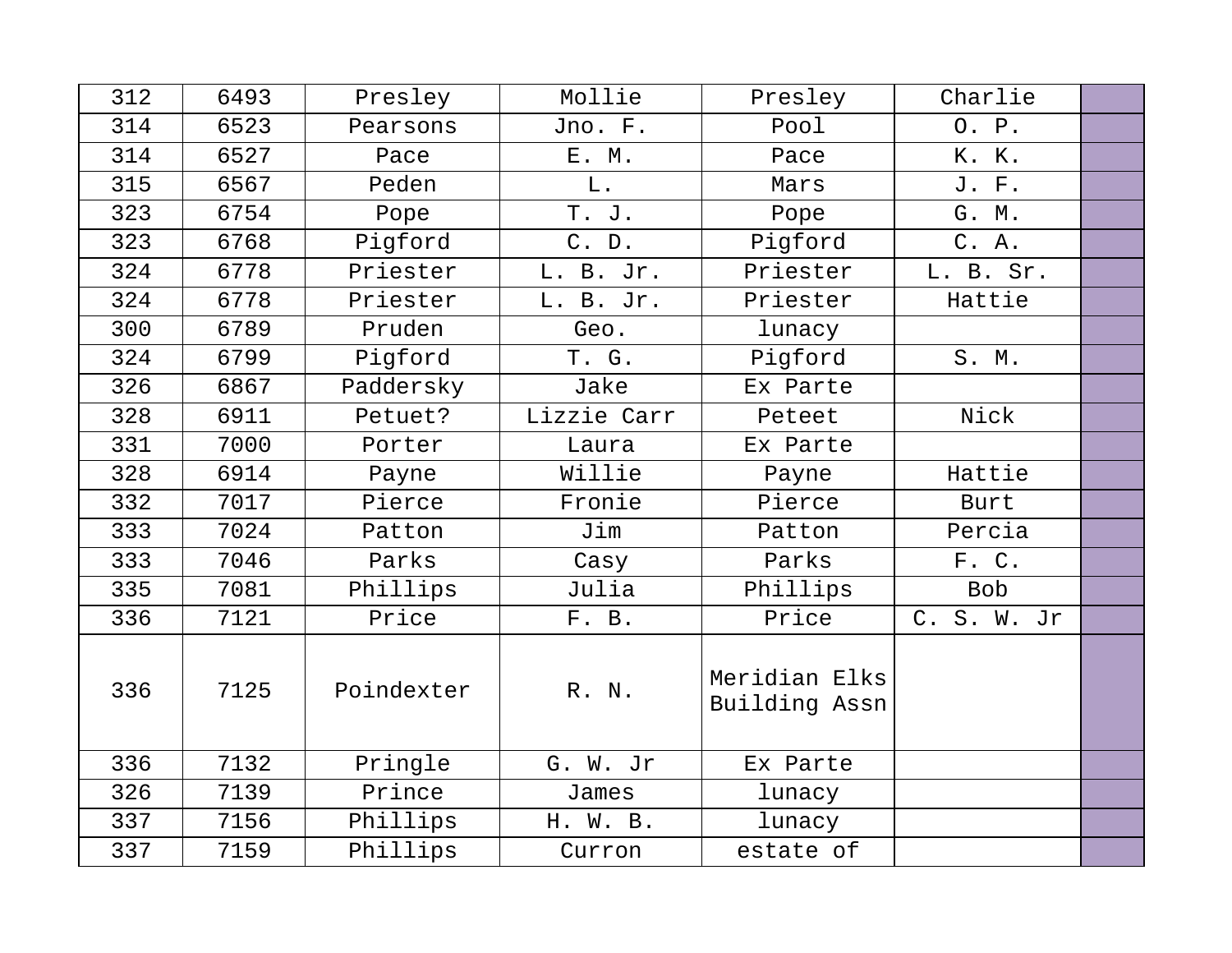| 312 | 6493 | Presley    | Mollie      | Presley                        | Charlie     |  |
|-----|------|------------|-------------|--------------------------------|-------------|--|
| 314 | 6523 | Pearsons   | Jno. F.     | Pool                           | O. P.       |  |
| 314 | 6527 | Pace       | E. M.       | Pace                           | K. K.       |  |
| 315 | 6567 | Peden      | L.          | Mars                           | J. F.       |  |
| 323 | 6754 | Pope       | T. J.       | Pope                           | G. M.       |  |
| 323 | 6768 | Pigford    | C. D.       | Pigford                        | C. A.       |  |
| 324 | 6778 | Priester   | L. B. Jr.   | Priester                       | L. B. Sr.   |  |
| 324 | 6778 | Priester   | L. B. Jr.   | Priester                       | Hattie      |  |
| 300 | 6789 | Pruden     | Geo.        | lunacy                         |             |  |
| 324 | 6799 | Pigford    | T. G.       | Pigford                        | S. M.       |  |
| 326 | 6867 | Paddersky  | Jake        | Ex Parte                       |             |  |
| 328 | 6911 | Petuet?    | Lizzie Carr | Peteet                         | Nick        |  |
| 331 | 7000 | Porter     | Laura       | Ex Parte                       |             |  |
| 328 | 6914 | Payne      | Willie      | Payne                          | Hattie      |  |
| 332 | 7017 | Pierce     | Fronie      | Pierce                         | Burt        |  |
| 333 | 7024 | Patton     | Jim         | Patton                         | Percia      |  |
| 333 | 7046 | Parks      | Casy        | Parks                          | F. C.       |  |
| 335 | 7081 | Phillips   | Julia       | Phillips                       | <b>Bob</b>  |  |
| 336 | 7121 | Price      | F. B.       | Price                          | C. S. W. Jr |  |
| 336 | 7125 | Poindexter | R. N.       | Meridian Elks<br>Building Assn |             |  |
| 336 | 7132 | Pringle    | G. W. Jr    | Ex Parte                       |             |  |
| 326 | 7139 | Prince     | James       | lunacy                         |             |  |
| 337 | 7156 | Phillips   | H. W. B.    | lunacy                         |             |  |
| 337 | 7159 | Phillips   | Curron      | estate of                      |             |  |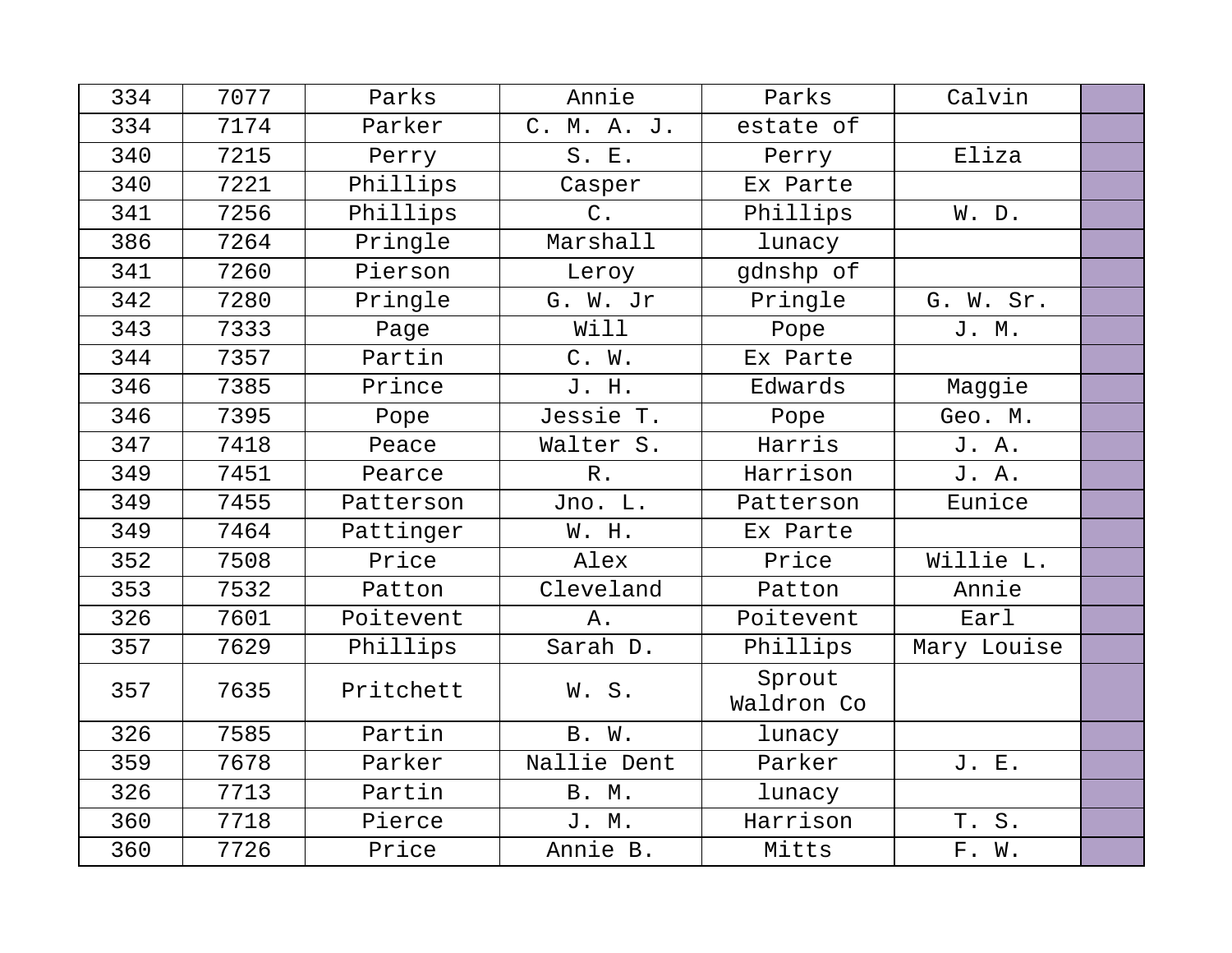| 334 | 7077 | Parks     | Annie       | Parks                | Calvin      |  |
|-----|------|-----------|-------------|----------------------|-------------|--|
| 334 | 7174 | Parker    | C. M. A. J. | estate of            |             |  |
| 340 | 7215 | Perry     | S. E.       | Perry                | Eliza       |  |
| 340 | 7221 | Phillips  | Casper      | Ex Parte             |             |  |
| 341 | 7256 | Phillips  | $C$ .       | Phillips             | W. D.       |  |
| 386 | 7264 | Pringle   | Marshall    | lunacy               |             |  |
| 341 | 7260 | Pierson   | Leroy       | gdnshp of            |             |  |
| 342 | 7280 | Pringle   | G. W. Jr    | Pringle              | G. W. Sr.   |  |
| 343 | 7333 | Page      | Will        | Pope                 | J. M.       |  |
| 344 | 7357 | Partin    | C. W.       | Ex Parte             |             |  |
| 346 | 7385 | Prince    | J. H.       | Edwards              | Maggie      |  |
| 346 | 7395 | Pope      | Jessie T.   | Pope                 | Geo. M.     |  |
| 347 | 7418 | Peace     | Walter S.   | Harris               | J. A.       |  |
| 349 | 7451 | Pearce    | $R$ .       | Harrison             | J. A.       |  |
| 349 | 7455 | Patterson | Jno. L.     | Patterson            | Eunice      |  |
| 349 | 7464 | Pattinger | W. H.       | Ex Parte             |             |  |
| 352 | 7508 | Price     | Alex        | Price                | Willie L.   |  |
| 353 | 7532 | Patton    | Cleveland   | Patton               | Annie       |  |
| 326 | 7601 | Poitevent | Α.          | Poitevent            | Earl        |  |
| 357 | 7629 | Phillips  | Sarah D.    | Phillips             | Mary Louise |  |
| 357 | 7635 | Pritchett | W.S.        | Sprout<br>Waldron Co |             |  |
| 326 | 7585 | Partin    | B. W.       | lunacy               |             |  |
| 359 | 7678 | Parker    | Nallie Dent | Parker               | J. E.       |  |
| 326 | 7713 | Partin    | B. M.       | lunacy               |             |  |
| 360 | 7718 | Pierce    | J. M.       | Harrison             | T. S.       |  |
| 360 | 7726 | Price     | Annie B.    | Mitts                | F. W.       |  |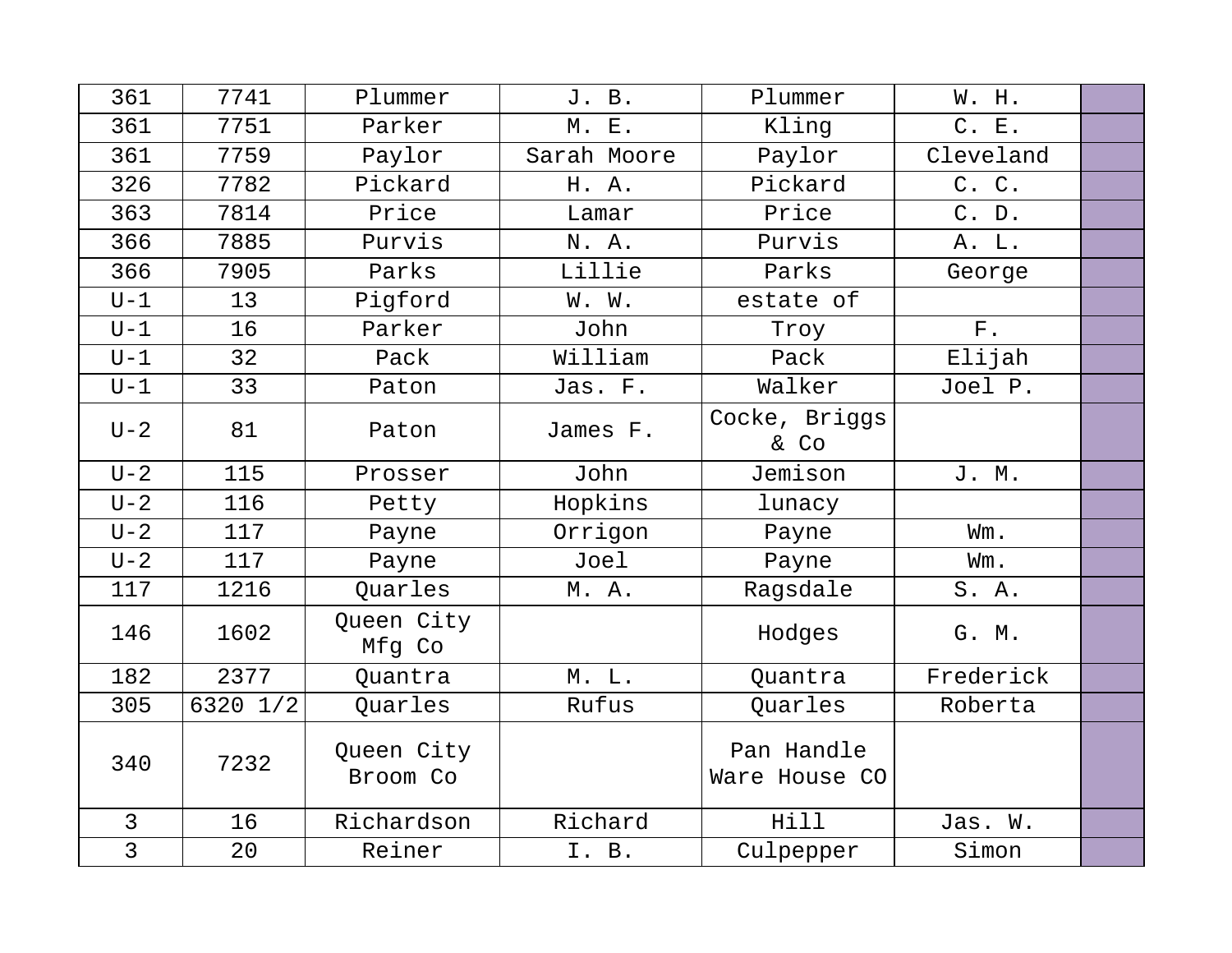| 361            | 7741     | Plummer                | J. B.       | Plummer                     | W. H.       |  |
|----------------|----------|------------------------|-------------|-----------------------------|-------------|--|
| 361            | 7751     | Parker                 | M. E.       | Kling                       | C. E.       |  |
| 361            | 7759     | Paylor                 | Sarah Moore | Paylor                      | Cleveland   |  |
| 326            | 7782     | Pickard                | H. A.       | Pickard                     | C. C.       |  |
| 363            | 7814     | Price                  | Lamar       | Price                       | C. D.       |  |
| 366            | 7885     | Purvis                 | N. A.       | Purvis                      | A. L.       |  |
| 366            | 7905     | Parks                  | Lillie      | Parks                       | George      |  |
| $U-1$          | 13       | Pigford                | W. W.       | estate of                   |             |  |
| $U-1$          | 16       | Parker                 | John        | Troy                        | ${\bf F}$ . |  |
| $U-1$          | 32       | Pack                   | William     | Pack                        | Elijah      |  |
| $U-1$          | 33       | Paton                  | Jas. F.     | Walker                      | Joel P.     |  |
| $U - 2$        | 81       | Paton                  | James F.    | Cocke, Briggs<br>& Co       |             |  |
| $U - 2$        | 115      | Prosser                | John        | Jemison                     | J. M.       |  |
| $U-2$          | 116      | Petty                  | Hopkins     | lunacy                      |             |  |
| $U-2$          | 117      | Payne                  | Orrigon     | Payne                       | Wm.         |  |
| $U-2$          | 117      | Payne                  | Joel        | Payne                       | Wm.         |  |
| 117            | 1216     | Quarles                | M.A.        | Ragsdale                    | S. A.       |  |
| 146            | 1602     | Queen City<br>Mfg Co   |             | Hodges                      | G. M.       |  |
| 182            | 2377     | Ouantra                | M. L.       | Ouantra                     | Frederick   |  |
| 305            | 6320 1/2 | Quarles                | Rufus       | Quarles                     | Roberta     |  |
| 340            | 7232     | Queen City<br>Broom Co |             | Pan Handle<br>Ware House CO |             |  |
| $\overline{3}$ | 16       | Richardson             | Richard     | Hill                        | Jas. W.     |  |
| $\overline{3}$ | 20       | Reiner                 | I. B.       | Culpepper                   | Simon       |  |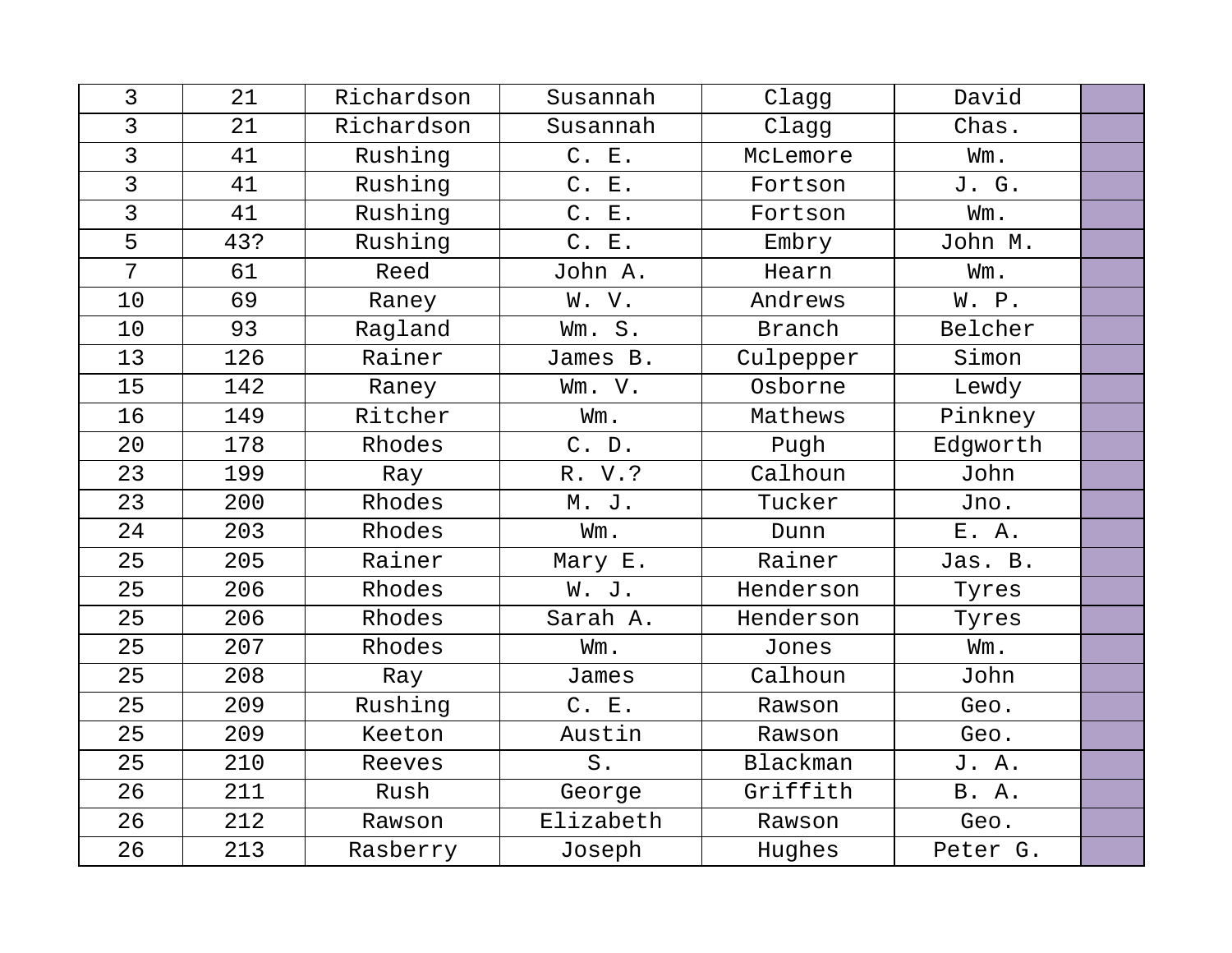| 3               | 21  | Richardson | Susannah  | Clagg     | David        |  |
|-----------------|-----|------------|-----------|-----------|--------------|--|
| 3               | 21  | Richardson | Susannah  | Clagg     | Chas.        |  |
| $\overline{3}$  | 41  | Rushing    | C. E.     | McLemore  | Wm.          |  |
| $\overline{3}$  | 41  | Rushing    | C. E.     | Fortson   | J. G.        |  |
| $\overline{3}$  | 41  | Rushing    | C. E.     | Fortson   | Wm.          |  |
| 5               | 43? | Rushing    | C. E.     | Embry     | John M.      |  |
| 7               | 61  | Reed       | John A.   | Hearn     | Wm.          |  |
| 10              | 69  | Raney      | W. V.     | Andrews   | W. P.        |  |
| 10              | 93  | Ragland    | Wm. S.    | Branch    | Belcher      |  |
| 13              | 126 | Rainer     | James B.  | Culpepper | Simon        |  |
| 15              | 142 | Raney      | Wm. V.    | Osborne   | Lewdy        |  |
| 16              | 149 | Ritcher    | Wm.       | Mathews   | Pinkney      |  |
| 20 <sub>o</sub> | 178 | Rhodes     | C. D.     | Pugh      | Edgworth     |  |
| 23              | 199 | Ray        | R. V.?    | Calhoun   | John         |  |
| 23              | 200 | Rhodes     | M. J.     | Tucker    | Jno.         |  |
| 24              | 203 | Rhodes     | Wm.       | Dunn      | E. A.        |  |
| 25              | 205 | Rainer     | Mary E.   | Rainer    | Jas. B.      |  |
| 25              | 206 | Rhodes     | W. J.     | Henderson | Tyres        |  |
| 25              | 206 | Rhodes     | Sarah A.  | Henderson | Tyres        |  |
| 25              | 207 | Rhodes     | Wm.       | Jones     | Wm.          |  |
| 25              | 208 | Ray        | James     | Calhoun   | John         |  |
| 25              | 209 | Rushing    | C. E.     | Rawson    | Geo.         |  |
| 25              | 209 | Keeton     | Austin    | Rawson    | Geo.         |  |
| 25              | 210 | Reeves     | $S$ .     | Blackman  | J. A.        |  |
| 26              | 211 | Rush       | George    | Griffith  | <b>B.</b> A. |  |
| 26              | 212 | Rawson     | Elizabeth | Rawson    | Geo.         |  |
| 26              | 213 | Rasberry   | Joseph    | Hughes    | Peter G.     |  |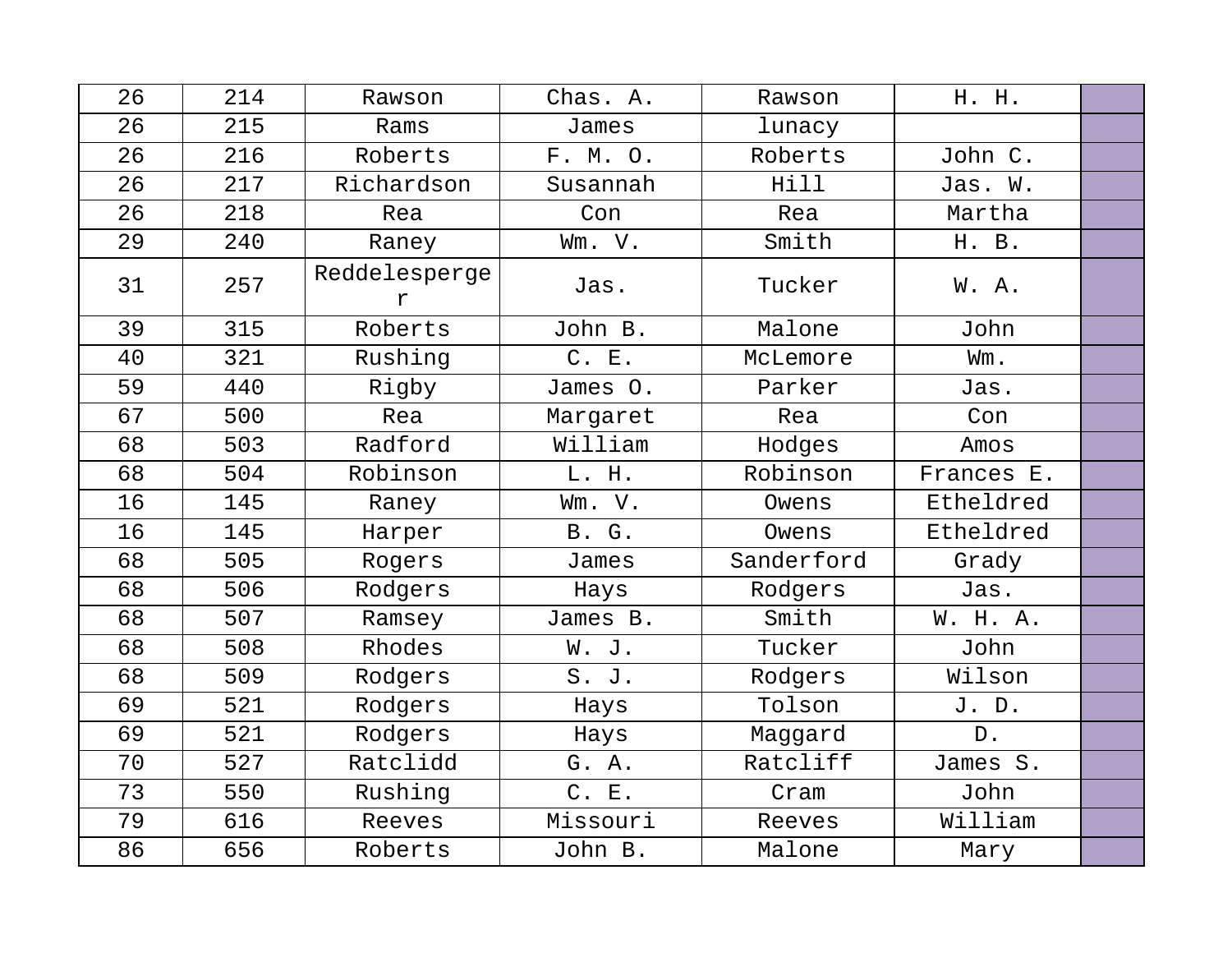| 26 | 214 | Rawson             | Chas. A. | Rawson     | H. H.      |  |
|----|-----|--------------------|----------|------------|------------|--|
| 26 | 215 | Rams               | James    | lunacy     |            |  |
| 26 | 216 | Roberts            | F. M. O. | Roberts    | John C.    |  |
| 26 | 217 | Richardson         | Susannah | Hill       | Jas. W.    |  |
| 26 | 218 | Rea                | Con      | Rea        | Martha     |  |
| 29 | 240 | Raney              | Wm. V.   | Smith      | H. B.      |  |
| 31 | 257 | Reddelesperge<br>r | Jas.     | Tucker     | W. A.      |  |
| 39 | 315 | Roberts            | John B.  | Malone     | John       |  |
| 40 | 321 | Rushing            | C. E.    | McLemore   | Wm.        |  |
| 59 | 440 | Rigby              | James O. | Parker     | Jas.       |  |
| 67 | 500 | Rea                | Margaret | Rea        | Con        |  |
| 68 | 503 | Radford            | William  | Hodges     | Amos       |  |
| 68 | 504 | Robinson           | L. H.    | Robinson   | Frances E. |  |
| 16 | 145 | Raney              | Wm. V.   | Owens      | Etheldred  |  |
| 16 | 145 | Harper             | B. G.    | Owens      | Etheldred  |  |
| 68 | 505 | Rogers             | James    | Sanderford | Grady      |  |
| 68 | 506 | Rodgers            | Hays     | Rodgers    | Jas.       |  |
| 68 | 507 | Ramsey             | James B. | Smith      | W. H. A.   |  |
| 68 | 508 | Rhodes             | W. J.    | Tucker     | John       |  |
| 68 | 509 | Rodgers            | S. J.    | Rodgers    | Wilson     |  |
| 69 | 521 | Rodgers            | Hays     | Tolson     | J. D.      |  |
| 69 | 521 | Rodgers            | Hays     | Maggard    | D.         |  |
| 70 | 527 | Ratclidd           | G. A.    | Ratcliff   | James S.   |  |
| 73 | 550 | Rushing            | C. E.    | Cram       | John       |  |
| 79 | 616 | Reeves             | Missouri | Reeves     | William    |  |
| 86 | 656 | Roberts            | John B.  | Malone     | Mary       |  |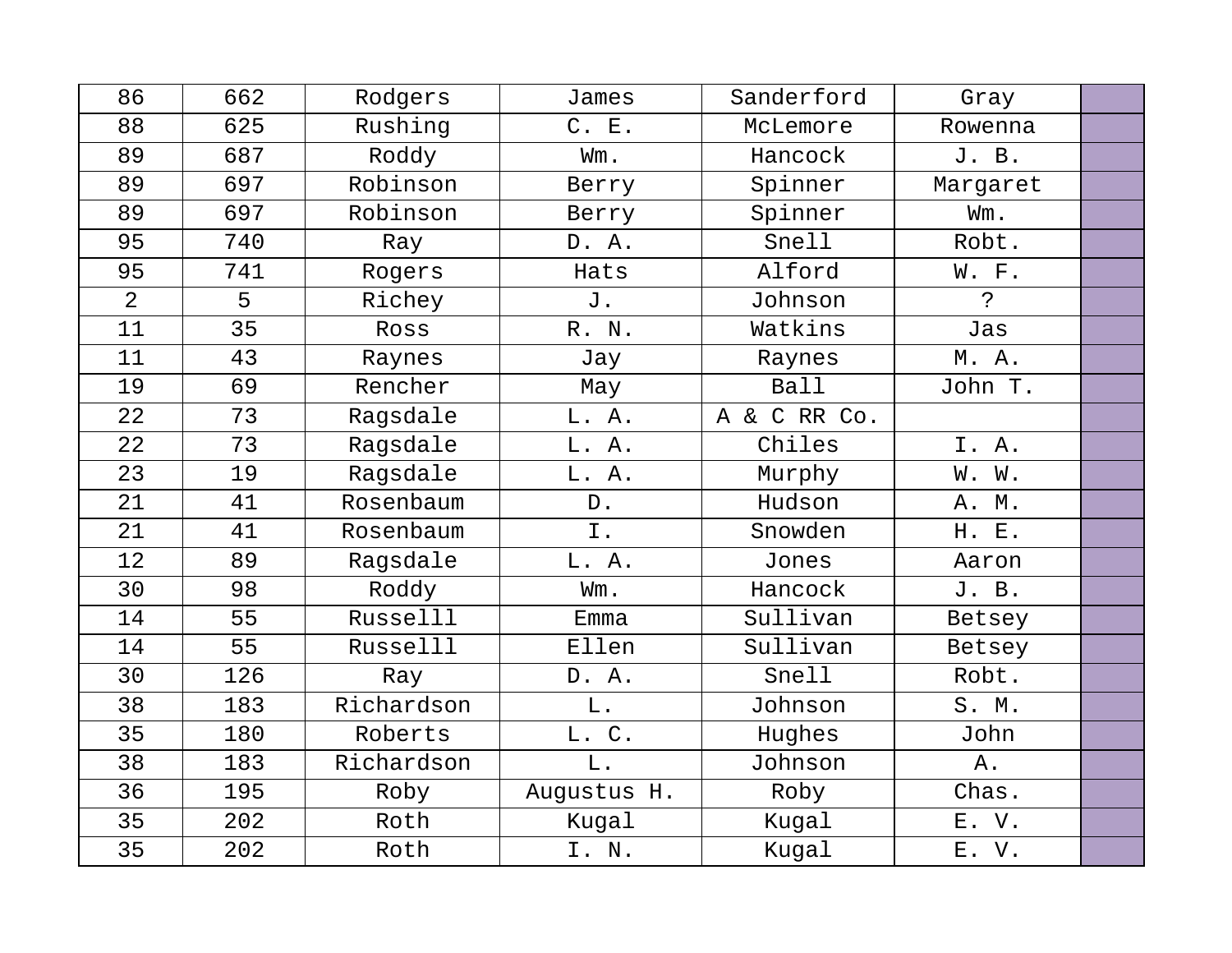| 86             | 662 | Rodgers    | James         | Sanderford   | Gray        |  |
|----------------|-----|------------|---------------|--------------|-------------|--|
| 88             | 625 | Rushing    | C. E.         | McLemore     | Rowenna     |  |
| 89             | 687 | Roddy      | Wm.           | Hancock      | J. B.       |  |
| 89             | 697 | Robinson   | Berry         | Spinner      | Margaret    |  |
| 89             | 697 | Robinson   | Berry         | Spinner      | Wm.         |  |
| 95             | 740 | Ray        | D. A.         | Snell        | Robt.       |  |
| 95             | 741 | Rogers     | Hats          | Alford       | W. F.       |  |
| $\overline{2}$ | 5   | Richey     | J.            | Johnson      | $\tilde{S}$ |  |
| 11             | 35  | Ross       | R. N.         | Watkins      | Jas         |  |
| 11             | 43  | Raynes     | Jay           | Raynes       | M. A.       |  |
| 19             | 69  | Rencher    | May           | <b>Ball</b>  | John T.     |  |
| 22             | 73  | Ragsdale   | L. A.         | A & C RR Co. |             |  |
| 22             | 73  | Ragsdale   | L. A.         | Chiles       | I. A.       |  |
| 23             | 19  | Ragsdale   | L. A.         | Murphy       | W. W.       |  |
| 21             | 41  | Rosenbaum  | $D$ .         | Hudson       | A. M.       |  |
| 21             | 41  | Rosenbaum  | I.            | Snowden      | H. E.       |  |
| 12             | 89  | Ragsdale   | L. A.         | Jones        | Aaron       |  |
| 30             | 98  | Roddy      | Wm.           | Hancock      | J. B.       |  |
| 14             | 55  | Russelll   | Emma          | Sullivan     | Betsey      |  |
| 14             | 55  | Russelll   | Ellen         | Sullivan     | Betsey      |  |
| 30             | 126 | Ray        | D. A.         | Snell        | Robt.       |  |
| 38             | 183 | Richardson | L.            | Johnson      | S. M.       |  |
| 35             | 180 | Roberts    | L. C.         | Hughes       | John        |  |
| 38             | 183 | Richardson | $\mathbf L$ . | Johnson      | Α.          |  |
| 36             | 195 | Roby       | Augustus H.   | Roby         | Chas.       |  |
| 35             | 202 | Roth       | Kugal         | Kugal        | E. V.       |  |
| 35             | 202 | Roth       | I. N.         | Kugal        | E. V.       |  |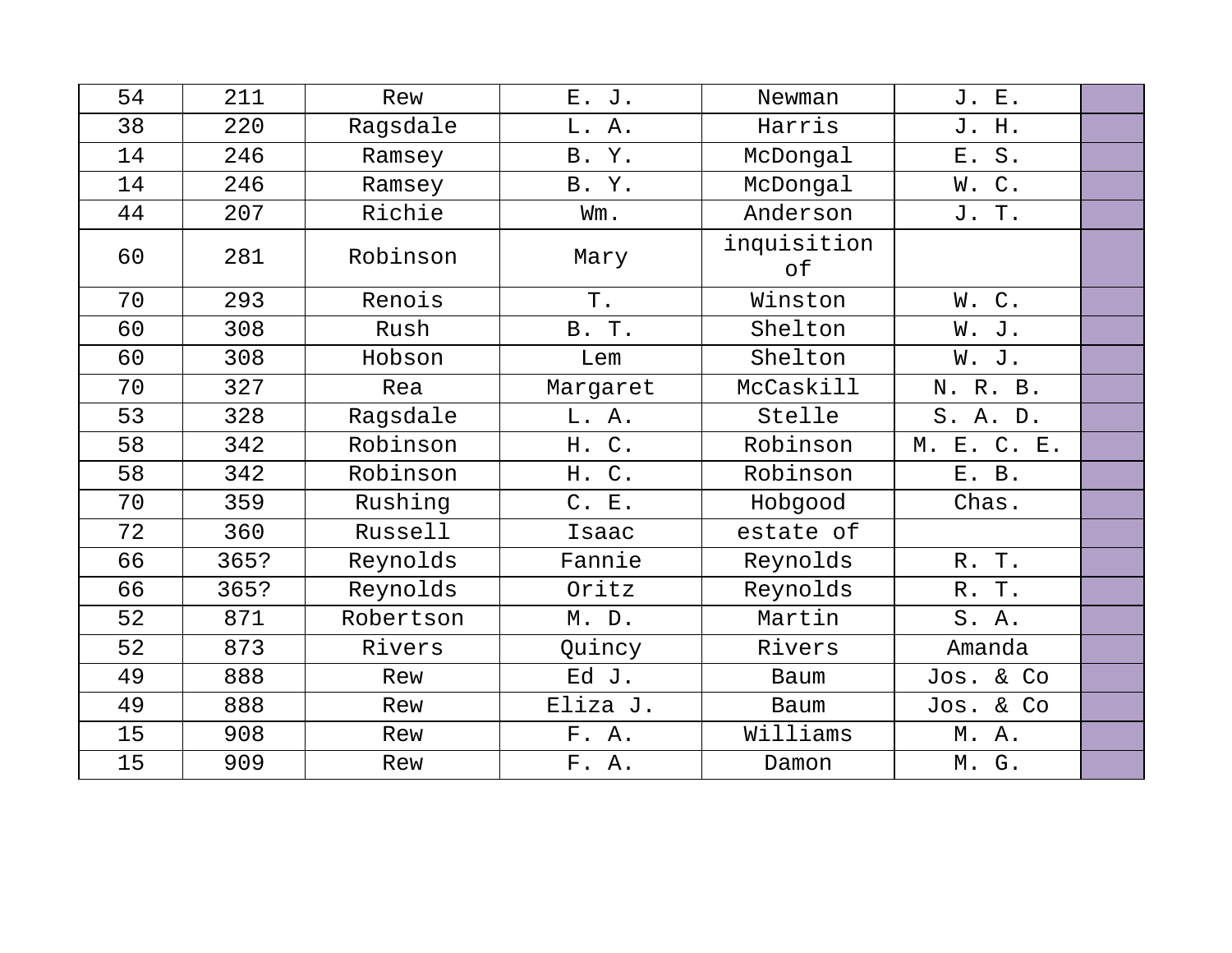| 54 | 211  | Rew       | E. J.               | Newman            | J. E.       |  |
|----|------|-----------|---------------------|-------------------|-------------|--|
| 38 | 220  | Ragsdale  | L. A.               | Harris            | J. H.       |  |
| 14 | 246  | Ramsey    | B. Y.               | McDongal          | $S$ .<br>E. |  |
| 14 | 246  | Ramsey    | B. Y.               | McDongal          | W.C.        |  |
| 44 | 207  | Richie    | Wm.                 | Anderson          | J. T.       |  |
| 60 | 281  | Robinson  | Mary                | inquisition<br>оf |             |  |
| 70 | 293  | Renois    | Τ.                  | Winston           | W.C.        |  |
| 60 | 308  | Rush      | B. T.               | Shelton           | W.<br>J.    |  |
| 60 | 308  | Hobson    | Lem                 | Shelton           | W. J.       |  |
| 70 | 327  | Rea       | Margaret            | McCaskill         | N. R. B.    |  |
| 53 | 328  | Ragsdale  | L. A.               | Stelle            | S. A. D.    |  |
| 58 | 342  | Robinson  | $C$ .<br>Н.         | Robinson          | M. E. C. E. |  |
| 58 | 342  | Robinson  | $\mathsf C$ .<br>H. | Robinson          | E. B.       |  |
| 70 | 359  | Rushing   | C. E.               | Hobgood           | Chas.       |  |
| 72 | 360  | Russell   | Isaac               | estate of         |             |  |
| 66 | 365? | Reynolds  | Fannie              | Reynolds          | R. T.       |  |
| 66 | 365? | Reynolds  | Oritz               | Reynolds          | R. T.       |  |
| 52 | 871  | Robertson | M. D.               | Martin            | S.A.        |  |
| 52 | 873  | Rivers    | Quincy              | Rivers            | Amanda      |  |
| 49 | 888  | Rew       | Ed J.               | Baum              | Jos. & Co   |  |
| 49 | 888  | Rew       | Eliza J.            | Baum              | Jos. & Co   |  |
| 15 | 908  | Rew       | F. A.               | Williams          | M. A.       |  |
| 15 | 909  | Rew       | F. A.               | Damon             | M. G.       |  |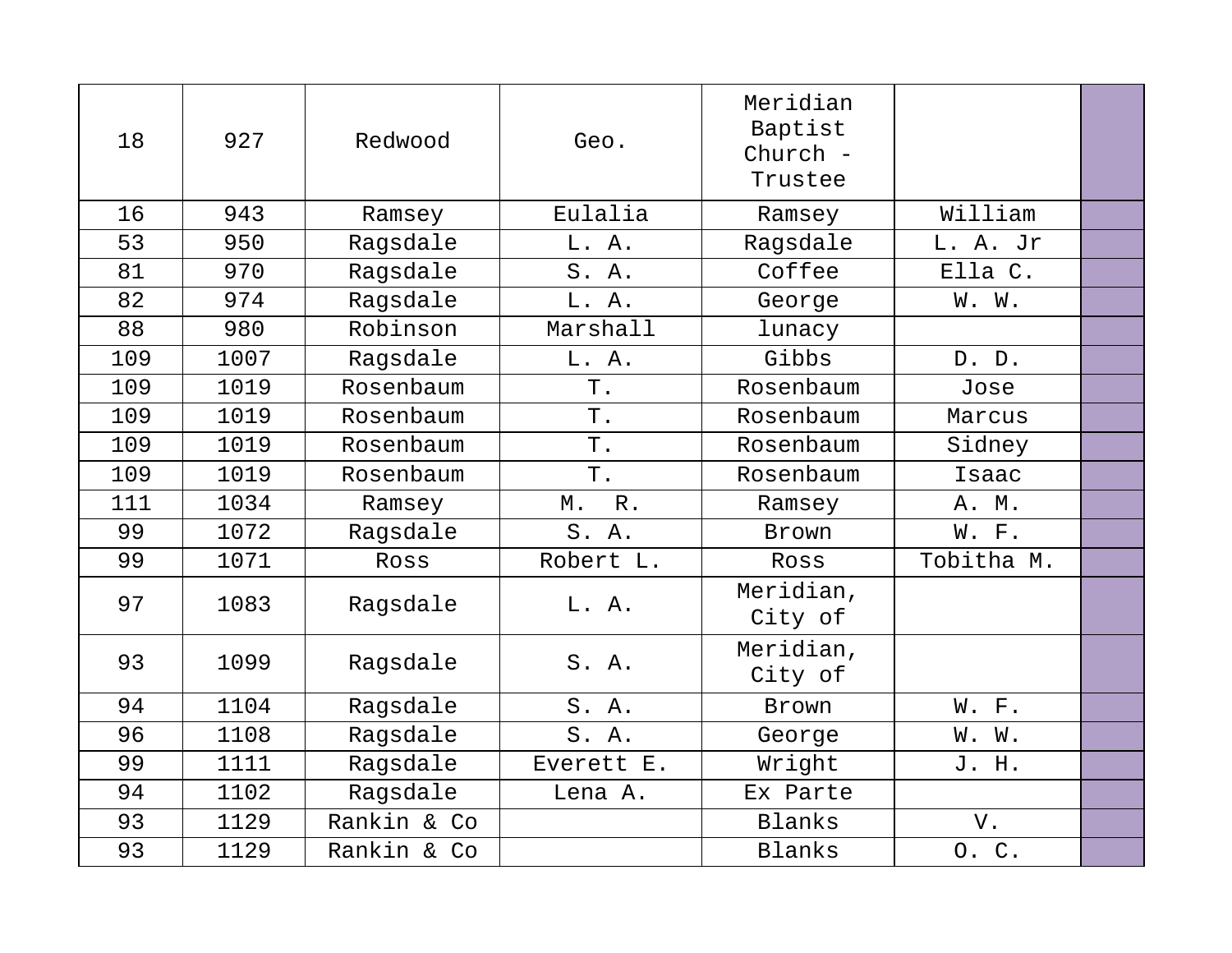| 18  | 927  | Redwood     | Geo.        | Meridian<br>Baptist<br>Church -<br>Trustee |            |  |
|-----|------|-------------|-------------|--------------------------------------------|------------|--|
| 16  | 943  | Ramsey      | Eulalia     | Ramsey                                     | William    |  |
| 53  | 950  | Ragsdale    | L. A.       | Ragsdale                                   | L. A. Jr   |  |
| 81  | 970  | Ragsdale    | S. A.       | Coffee                                     | Ella C.    |  |
| 82  | 974  | Ragsdale    | L. A.       | George                                     | W. W.      |  |
| 88  | 980  | Robinson    | Marshall    | lunacy                                     |            |  |
| 109 | 1007 | Ragsdale    | L. A.       | Gibbs                                      | D. D.      |  |
| 109 | 1019 | Rosenbaum   | $T$ .       | Rosenbaum                                  | Jose       |  |
| 109 | 1019 | Rosenbaum   | T.          | Rosenbaum                                  | Marcus     |  |
| 109 | 1019 | Rosenbaum   | Τ.          | Rosenbaum                                  | Sidney     |  |
| 109 | 1019 | Rosenbaum   | $T$ .       | Rosenbaum                                  | Isaac      |  |
| 111 | 1034 | Ramsey      | $R$ .<br>М. | Ramsey                                     | A. M.      |  |
| 99  | 1072 | Ragsdale    | S. A.       | Brown                                      | W. F.      |  |
| 99  | 1071 | Ross        | Robert L.   | Ross                                       | Tobitha M. |  |
| 97  | 1083 | Ragsdale    | L. A.       | Meridian,<br>City of                       |            |  |
| 93  | 1099 | Ragsdale    | S.A.        | Meridian,<br>City of                       |            |  |
| 94  | 1104 | Ragsdale    | S. A.       | Brown                                      | W. F.      |  |
| 96  | 1108 | Ragsdale    | S. A.       | George                                     | W. W.      |  |
| 99  | 1111 | Ragsdale    | Everett E.  | Wright                                     | J. H.      |  |
| 94  | 1102 | Ragsdale    | Lena A.     | Ex Parte                                   |            |  |
| 93  | 1129 | Rankin & Co |             | Blanks                                     | V.         |  |
| 93  | 1129 | Rankin & Co |             | Blanks                                     | 0. C.      |  |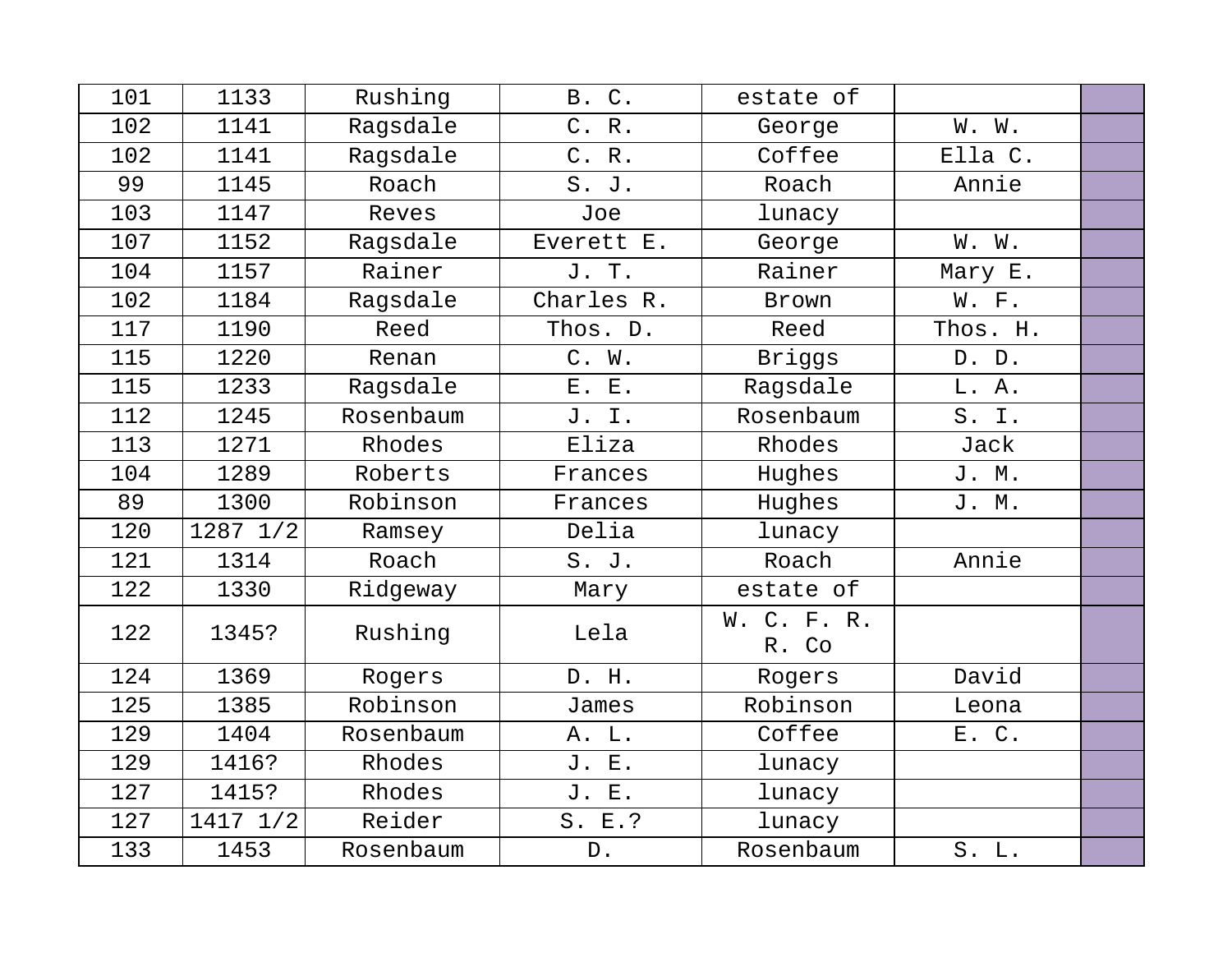| 101 | 1133     | Rushing   | <b>B. C.</b>    | estate of            |          |  |
|-----|----------|-----------|-----------------|----------------------|----------|--|
| 102 | 1141     | Ragsdale  | C. R.           | George               | W. W.    |  |
| 102 | 1141     | Ragsdale  | C. R.           | Coffee               | Ella C.  |  |
| 99  | 1145     | Roach     | S. J.           | Roach                | Annie    |  |
| 103 | 1147     | Reves     | Joe             | lunacy               |          |  |
| 107 | 1152     | Ragsdale  | Everett E.      | George               | W. W.    |  |
| 104 | 1157     | Rainer    | J. T.           | Rainer               | Mary E.  |  |
| 102 | 1184     | Ragsdale  | Charles R.      | Brown                | W. F.    |  |
| 117 | 1190     | Reed      | Thos. D.        | Reed                 | Thos. H. |  |
| 115 | 1220     | Renan     | C. W.           | Briggs               | D. D.    |  |
| 115 | 1233     | Ragsdale  | E. E.           | Ragsdale             | L. A.    |  |
| 112 | 1245     | Rosenbaum | J. I.           | Rosenbaum            | S. I.    |  |
| 113 | 1271     | Rhodes    | Eliza           | Rhodes               | Jack     |  |
| 104 | 1289     | Roberts   | Frances         | Hughes               | J. M.    |  |
| 89  | 1300     | Robinson  | Frances         | Hughes               | J. M.    |  |
| 120 | 1287 1/2 | Ramsey    | Delia           | lunacy               |          |  |
| 121 | 1314     | Roach     | S. J.           | Roach                | Annie    |  |
| 122 | 1330     | Ridgeway  | Mary            | estate of            |          |  |
| 122 | 1345?    | Rushing   | Lela            | W. C. F. R.<br>R. Co |          |  |
| 124 | 1369     | Rogers    | D. H.           | Rogers               | David    |  |
| 125 | 1385     | Robinson  | James           | Robinson             | Leona    |  |
| 129 | 1404     | Rosenbaum | A. L.           | Coffee               | E. C.    |  |
| 129 | 1416?    | Rhodes    | J. E.           | lunacy               |          |  |
| 127 | 1415?    | Rhodes    | J. E.           | lunacy               |          |  |
| 127 | 1417 1/2 | Reider    | S. E.?          | lunacy               |          |  |
| 133 | 1453     | Rosenbaum | ${\mathbb D}$ . | Rosenbaum            | S. L.    |  |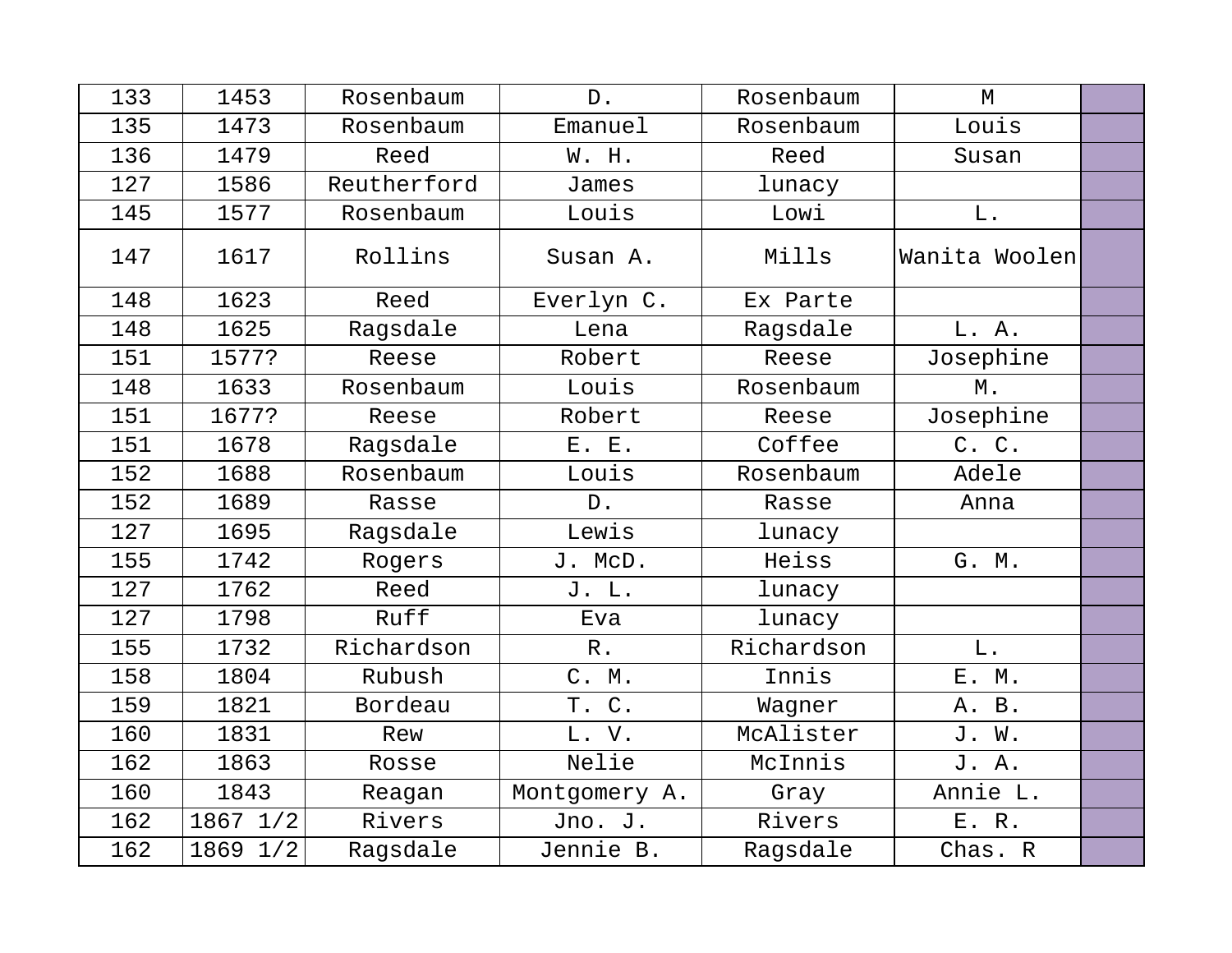| 133 | 1453     | Rosenbaum   | $D$ .         | Rosenbaum  | M             |  |
|-----|----------|-------------|---------------|------------|---------------|--|
| 135 | 1473     | Rosenbaum   | Emanuel       | Rosenbaum  | Louis         |  |
| 136 | 1479     | Reed        | W. H.         | Reed       | Susan         |  |
| 127 | 1586     | Reutherford | James         | lunacy     |               |  |
| 145 | 1577     | Rosenbaum   | Louis         | Lowi       | ${\bf L}$ .   |  |
| 147 | 1617     | Rollins     | Susan A.      | Mills      | Wanita Woolen |  |
| 148 | 1623     | Reed        | Everlyn C.    | Ex Parte   |               |  |
| 148 | 1625     | Ragsdale    | Lena          | Ragsdale   | L. A.         |  |
| 151 | 1577?    | Reese       | Robert        | Reese      | Josephine     |  |
| 148 | 1633     | Rosenbaum   | Louis         | Rosenbaum  | Μ.            |  |
| 151 | 1677?    | Reese       | Robert        | Reese      | Josephine     |  |
| 151 | 1678     | Ragsdale    | E. E.         | Coffee     | C. C.         |  |
| 152 | 1688     | Rosenbaum   | Louis         | Rosenbaum  | Adele         |  |
| 152 | 1689     | Rasse       | D.            | Rasse      | Anna          |  |
| 127 | 1695     | Ragsdale    | Lewis         | lunacy     |               |  |
| 155 | 1742     | Rogers      | J. McD.       | Heiss      | G. M.         |  |
| 127 | 1762     | Reed        | J. L.         | lunacy     |               |  |
| 127 | 1798     | Ruff        | Eva           | lunacy     |               |  |
| 155 | 1732     | Richardson  | $R$ .         | Richardson | $\mathbf L$ . |  |
| 158 | 1804     | Rubush      | C. M.         | Innis      | E. M.         |  |
| 159 | 1821     | Bordeau     | T. C.         | Wagner     | A. B.         |  |
| 160 | 1831     | Rew         | L. V.         | McAlister  | J. W.         |  |
| 162 | 1863     | Rosse       | Nelie         | McInnis    | J. A.         |  |
| 160 | 1843     | Reagan      | Montgomery A. | Gray       | Annie L.      |  |
| 162 | 1867 1/2 | Rivers      | Jno. J.       | Rivers     | E. R.         |  |
| 162 | 1869 1/2 | Ragsdale    | Jennie B.     | Ragsdale   | Chas. R       |  |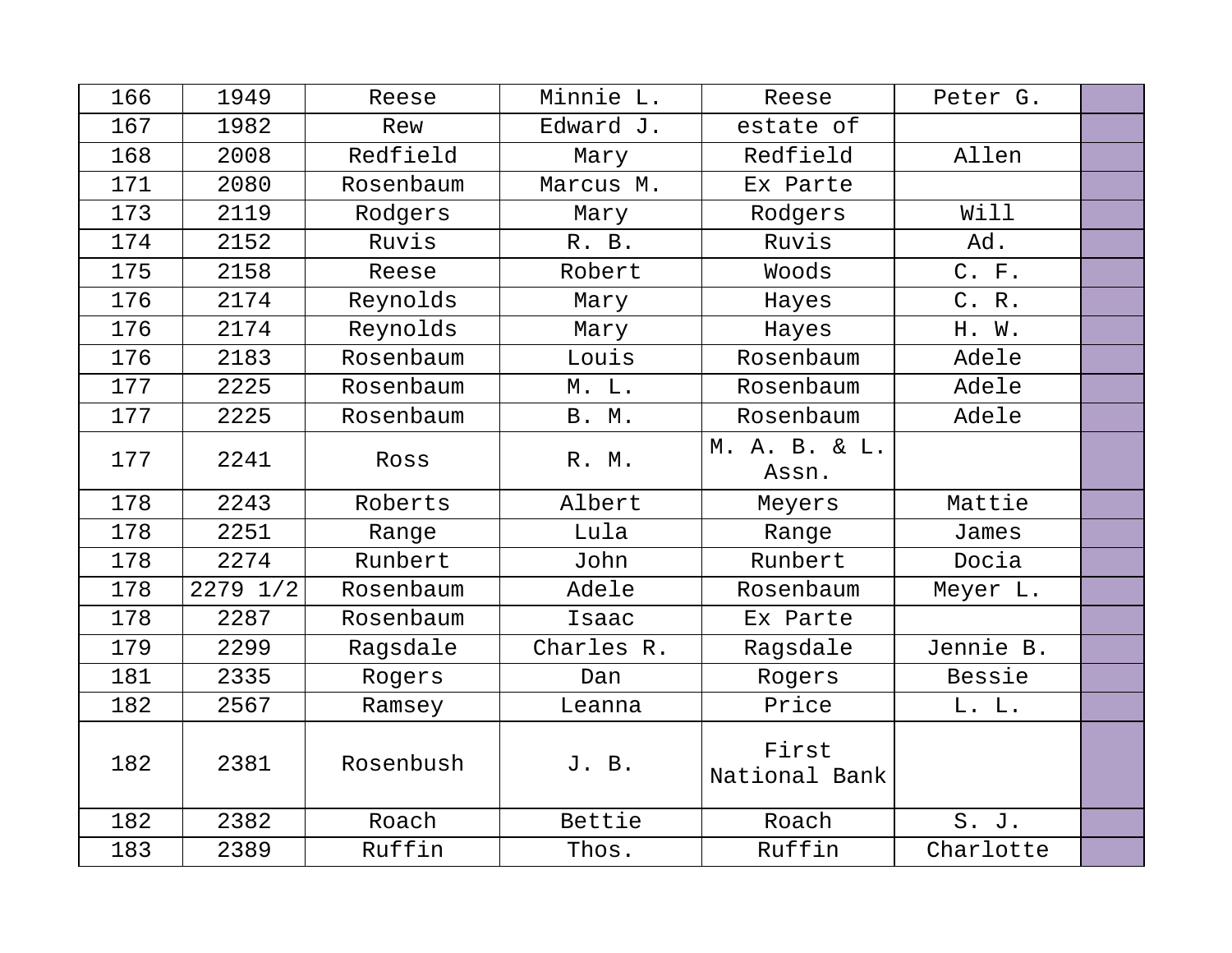| 166 | 1949     | Reese     | Minnie L.    | Reese                  | Peter G.  |  |
|-----|----------|-----------|--------------|------------------------|-----------|--|
| 167 | 1982     | Rew       | Edward J.    | estate of              |           |  |
| 168 | 2008     | Redfield  | Mary         | Redfield               | Allen     |  |
| 171 | 2080     | Rosenbaum | Marcus M.    | Ex Parte               |           |  |
| 173 | 2119     | Rodgers   | Mary         | Rodgers                | Will      |  |
| 174 | 2152     | Ruvis     | R. B.        | Ruvis                  | Ad.       |  |
| 175 | 2158     | Reese     | Robert       | Woods                  | C. F.     |  |
| 176 | 2174     | Reynolds  | Mary         | Hayes                  | C. R.     |  |
| 176 | 2174     | Reynolds  | Mary         | Hayes                  | H. W.     |  |
| 176 | 2183     | Rosenbaum | Louis        | Rosenbaum              | Adele     |  |
| 177 | 2225     | Rosenbaum | M. L.        | Rosenbaum              | Adele     |  |
| 177 | 2225     | Rosenbaum | <b>B. M.</b> | Rosenbaum              | Adele     |  |
| 177 | 2241     | Ross      | R. M.        | M. A. B. & L.<br>Assn. |           |  |
| 178 | 2243     | Roberts   | Albert       | Meyers                 | Mattie    |  |
| 178 | 2251     | Range     | Lula         | Range                  | James     |  |
| 178 | 2274     | Runbert   | John         | Runbert                | Docia     |  |
| 178 | 2279 1/2 | Rosenbaum | Adele        | Rosenbaum              | Meyer L.  |  |
| 178 | 2287     | Rosenbaum | Isaac        | Ex Parte               |           |  |
| 179 | 2299     | Ragsdale  | Charles R.   | Ragsdale               | Jennie B. |  |
| 181 | 2335     | Rogers    | Dan          | Rogers                 | Bessie    |  |
| 182 | 2567     | Ramsey    | Leanna       | Price                  | L. L.     |  |
| 182 | 2381     | Rosenbush | J. B.        | First<br>National Bank |           |  |
| 182 | 2382     | Roach     | Bettie       | Roach                  | S. J.     |  |
| 183 | 2389     | Ruffin    | Thos.        | Ruffin                 | Charlotte |  |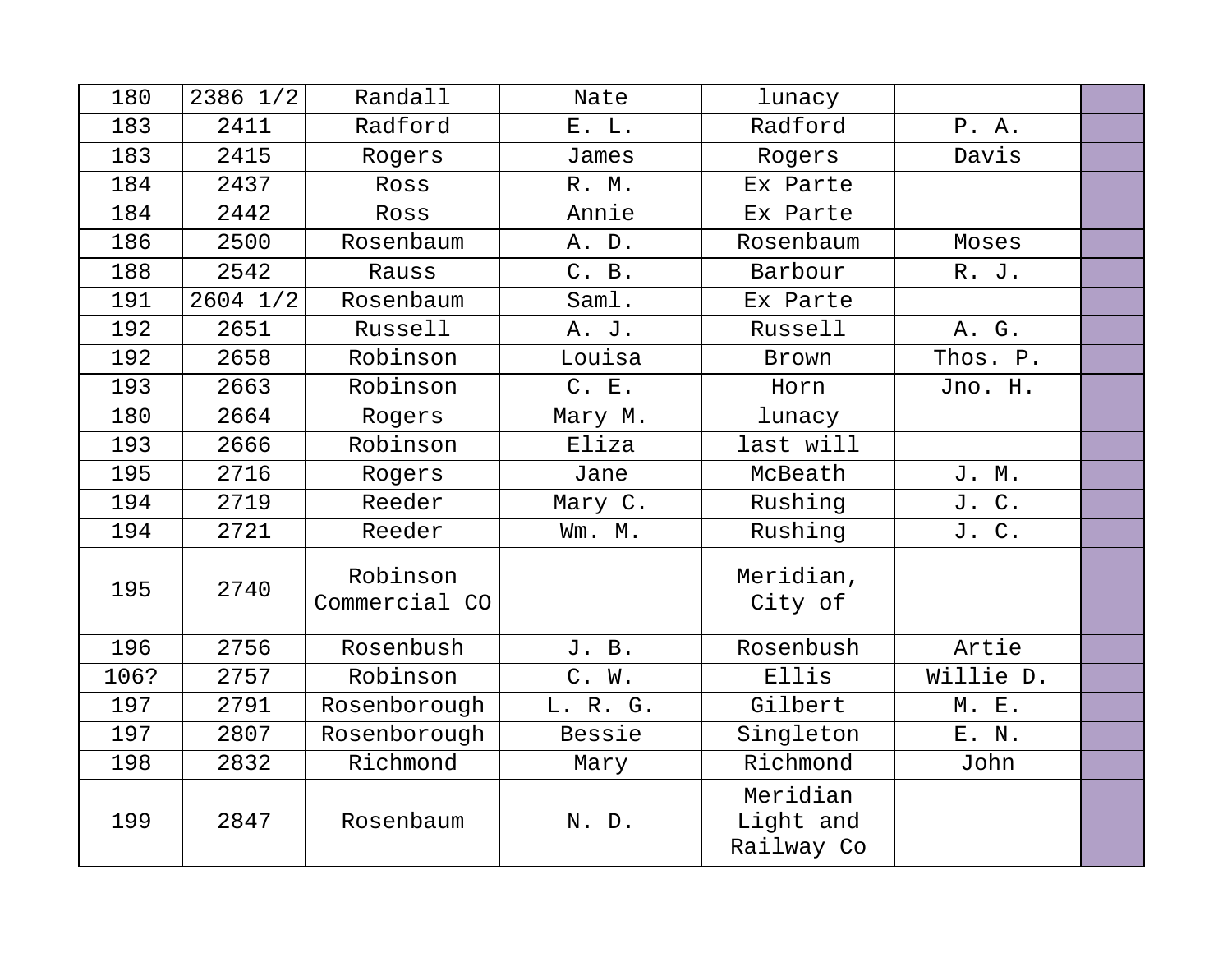| 180  | 2386 1/2     | Randall                   | Nate     | lunacy                              |           |  |
|------|--------------|---------------------------|----------|-------------------------------------|-----------|--|
| 183  | 2411         | Radford                   | E. L.    | Radford                             | P.A.      |  |
| 183  | 2415         | Rogers                    | James    | Rogers                              | Davis     |  |
| 184  | 2437         | Ross                      | R. M.    | Ex Parte                            |           |  |
| 184  | 2442         | Ross                      | Annie    | Ex Parte                            |           |  |
| 186  | 2500         | Rosenbaum                 | A. D.    | Rosenbaum                           | Moses     |  |
| 188  | 2542         | Rauss                     | C. B.    | Barbour                             | R. J.     |  |
| 191  | $2604$ $1/2$ | Rosenbaum                 | Saml.    | Ex Parte                            |           |  |
| 192  | 2651         | Russell                   | A. J.    | Russell                             | A. G.     |  |
| 192  | 2658         | Robinson                  | Louisa   | Brown                               | Thos. P.  |  |
| 193  | 2663         | Robinson                  | C. E.    | Horn                                | Jno. H.   |  |
| 180  | 2664         | Rogers                    | Mary M.  | lunacy                              |           |  |
| 193  | 2666         | Robinson                  | Eliza    | last will                           |           |  |
| 195  | 2716         | Rogers                    | Jane     | McBeath                             | J. M.     |  |
| 194  | 2719         | Reeder                    | Mary C.  | Rushing                             | J. C.     |  |
| 194  | 2721         | Reeder                    | Wm. M.   | Rushing                             | J. C.     |  |
| 195  | 2740         | Robinson<br>Commercial CO |          | Meridian,<br>City of                |           |  |
| 196  | 2756         | Rosenbush                 | J. B.    | Rosenbush                           | Artie     |  |
| 106? | 2757         | Robinson                  | C. W.    | Ellis                               | Willie D. |  |
| 197  | 2791         | Rosenborough              | L. R. G. | Gilbert                             | M. E.     |  |
| 197  | 2807         | Rosenborough              | Bessie   | Singleton                           | E. N.     |  |
| 198  | 2832         | Richmond                  | Mary     | Richmond                            | John      |  |
| 199  | 2847         | Rosenbaum                 | N. D.    | Meridian<br>Light and<br>Railway Co |           |  |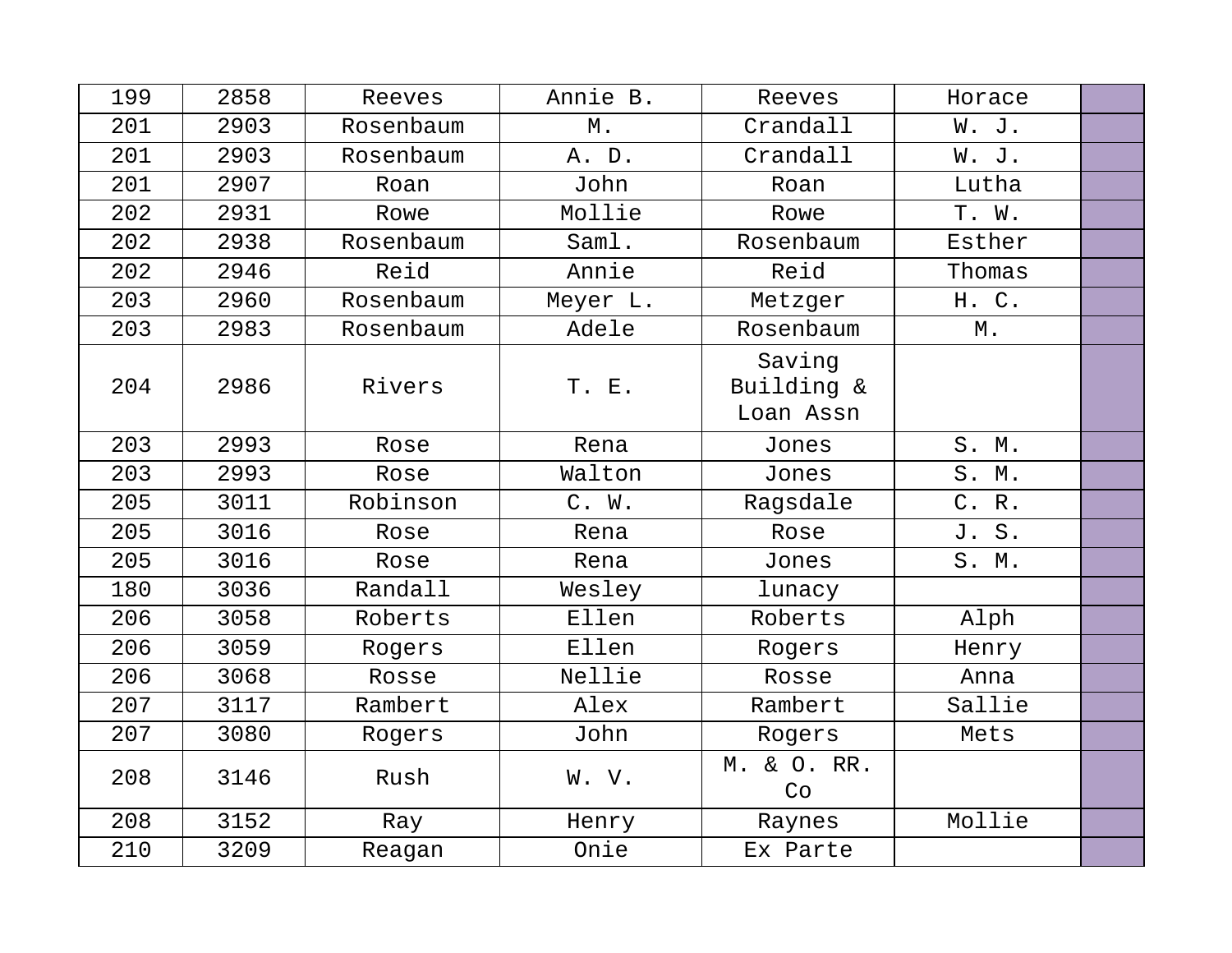| 199 | 2858 | Reeves    | Annie B. | Reeves                            | Horace |  |
|-----|------|-----------|----------|-----------------------------------|--------|--|
| 201 | 2903 | Rosenbaum | $M$ .    | Crandall                          | W. J.  |  |
| 201 | 2903 | Rosenbaum | A. D.    | Crandall                          | W. J.  |  |
| 201 | 2907 | Roan      | John     | Roan                              | Lutha  |  |
| 202 | 2931 | Rowe      | Mollie   | Rowe                              | T. W.  |  |
| 202 | 2938 | Rosenbaum | Saml.    | Rosenbaum                         | Esther |  |
| 202 | 2946 | Reid      | Annie    | Reid                              | Thomas |  |
| 203 | 2960 | Rosenbaum | Meyer L. | Metzger                           | H. C.  |  |
| 203 | 2983 | Rosenbaum | Adele    | Rosenbaum                         | $M$ .  |  |
| 204 | 2986 | Rivers    | T. E.    | Saving<br>Building &<br>Loan Assn |        |  |
| 203 | 2993 | Rose      | Rena     | Jones                             | S. M.  |  |
| 203 | 2993 | Rose      | Walton   | Jones                             | S. M.  |  |
| 205 | 3011 | Robinson  | C. W.    | Ragsdale                          | C. R.  |  |
| 205 | 3016 | Rose      | Rena     | Rose                              | J. S.  |  |
| 205 | 3016 | Rose      | Rena     | Jones                             | S. M.  |  |
| 180 | 3036 | Randall   | Wesley   | lunacy                            |        |  |
| 206 | 3058 | Roberts   | Ellen    | Roberts                           | Alph   |  |
| 206 | 3059 | Rogers    | Ellen    | Rogers                            | Henry  |  |
| 206 | 3068 | Rosse     | Nellie   | Rosse                             | Anna   |  |
| 207 | 3117 | Rambert   | Alex     | Rambert                           | Sallie |  |
| 207 | 3080 | Rogers    | John     | Rogers                            | Mets   |  |
| 208 | 3146 | Rush      | W. V.    | M. & O. RR.<br>Co                 |        |  |
| 208 | 3152 | Ray       | Henry    | Raynes                            | Mollie |  |
| 210 | 3209 | Reagan    | Onie     | Ex Parte                          |        |  |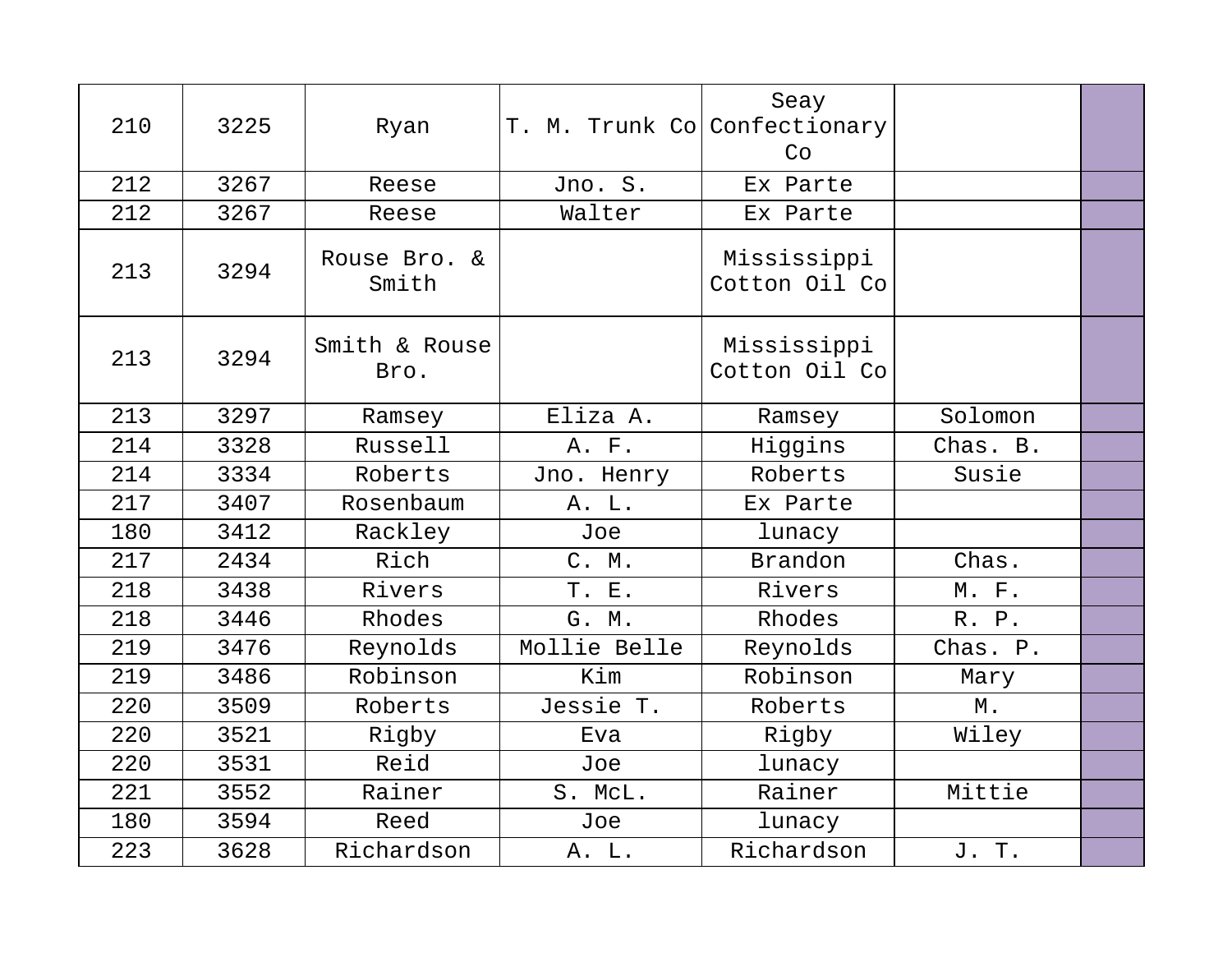| 210 | 3225 | Ryan                  | T. M. Trunk Co Confectionary | Seay<br>Co                   |           |  |
|-----|------|-----------------------|------------------------------|------------------------------|-----------|--|
| 212 | 3267 | Reese                 | Jno. S.                      | Ex Parte                     |           |  |
| 212 | 3267 | Reese                 | Walter                       | Ex Parte                     |           |  |
| 213 | 3294 | Rouse Bro. &<br>Smith |                              | Mississippi<br>Cotton Oil Co |           |  |
| 213 | 3294 | Smith & Rouse<br>Bro. |                              | Mississippi<br>Cotton Oil Co |           |  |
| 213 | 3297 | Ramsey                | Eliza A.                     | Ramsey                       | Solomon   |  |
| 214 | 3328 | Russell               | A. F.                        | Higgins                      | Chas. B.  |  |
| 214 | 3334 | Roberts               | Jno. Henry                   | Roberts                      | Susie     |  |
| 217 | 3407 | Rosenbaum             | A. L.                        | Ex Parte                     |           |  |
| 180 | 3412 | Rackley               | Joe                          | lunacy                       |           |  |
| 217 | 2434 | Rich                  | C. M.                        | <b>Brandon</b>               | Chas.     |  |
| 218 | 3438 | Rivers                | T. E.                        | Rivers                       | $M.$ $F.$ |  |
| 218 | 3446 | Rhodes                | G. M.                        | Rhodes                       | R. P.     |  |
| 219 | 3476 | Reynolds              | Mollie Belle                 | Reynolds                     | Chas. P.  |  |
| 219 | 3486 | Robinson              | Kim                          | Robinson                     | Mary      |  |
| 220 | 3509 | Roberts               | Jessie T.                    | Roberts                      | М.        |  |
| 220 | 3521 | Rigby                 | Eva                          | Rigby                        | Wiley     |  |
| 220 | 3531 | Reid                  | Joe                          | lunacy                       |           |  |
| 221 | 3552 | Rainer                | S. McL.                      | Rainer                       | Mittie    |  |
| 180 | 3594 | Reed                  | Joe                          | lunacy                       |           |  |
| 223 | 3628 | Richardson            | A. L.                        | Richardson                   | J. T.     |  |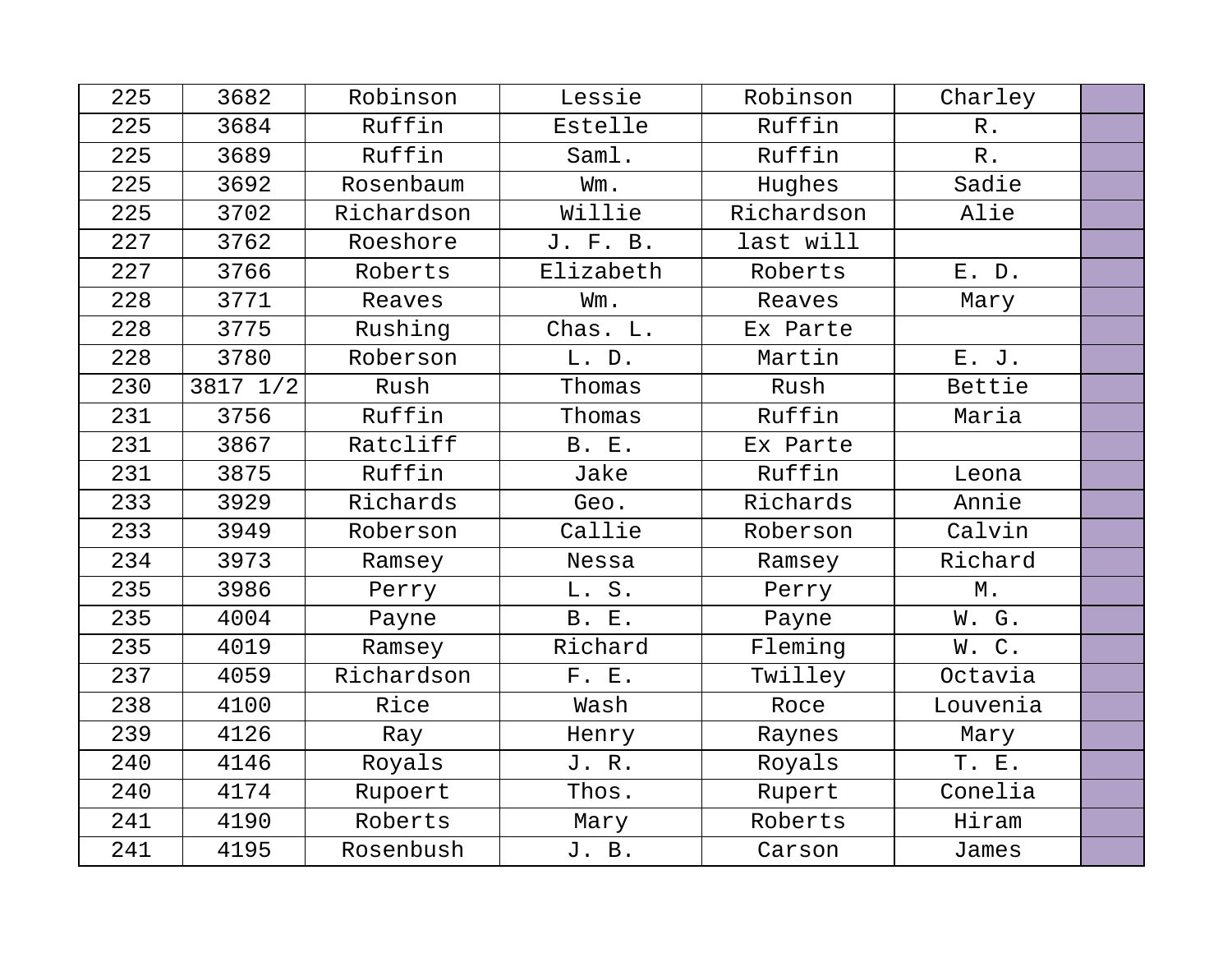| 225 | 3682     | Robinson   | Lessie       | Robinson   | Charley  |  |
|-----|----------|------------|--------------|------------|----------|--|
| 225 | 3684     | Ruffin     | Estelle      | Ruffin     | $R$ .    |  |
| 225 | 3689     | Ruffin     | Saml.        | Ruffin     | $R$ .    |  |
| 225 | 3692     | Rosenbaum  | Wm.          | Hughes     | Sadie    |  |
| 225 | 3702     | Richardson | Willie       | Richardson | Alie     |  |
| 227 | 3762     | Roeshore   | J. F. B.     | last will  |          |  |
| 227 | 3766     | Roberts    | Elizabeth    | Roberts    | E. D.    |  |
| 228 | 3771     | Reaves     | Wm.          | Reaves     | Mary     |  |
| 228 | 3775     | Rushing    | Chas. L.     | Ex Parte   |          |  |
| 228 | 3780     | Roberson   | L. D.        | Martin     | E. J.    |  |
| 230 | 3817 1/2 | Rush       | Thomas       | Rush       | Bettie   |  |
| 231 | 3756     | Ruffin     | Thomas       | Ruffin     | Maria    |  |
| 231 | 3867     | Ratcliff   | <b>B. E.</b> | Ex Parte   |          |  |
| 231 | 3875     | Ruffin     | Jake         | Ruffin     | Leona    |  |
| 233 | 3929     | Richards   | Geo.         | Richards   | Annie    |  |
| 233 | 3949     | Roberson   | Callie       | Roberson   | Calvin   |  |
| 234 | 3973     | Ramsey     | Nessa        | Ramsey     | Richard  |  |
| 235 | 3986     | Perry      | L. S.        | Perry      | $M$ .    |  |
| 235 | 4004     | Payne      | <b>B. E.</b> | Payne      | W. G.    |  |
| 235 | 4019     | Ramsey     | Richard      | Fleming    | W.C.     |  |
| 237 | 4059     | Richardson | F. E.        | Twilley    | Octavia  |  |
| 238 | 4100     | Rice       | Wash         | Roce       | Louvenia |  |
| 239 | 4126     | Ray        | Henry        | Raynes     | Mary     |  |
| 240 | 4146     | Royals     | J.R.         | Royals     | T. E.    |  |
| 240 | 4174     | Rupoert    | Thos.        | Rupert     | Conelia  |  |
| 241 | 4190     | Roberts    | Mary         | Roberts    | Hiram    |  |
| 241 | 4195     | Rosenbush  | J. B.        | Carson     | James    |  |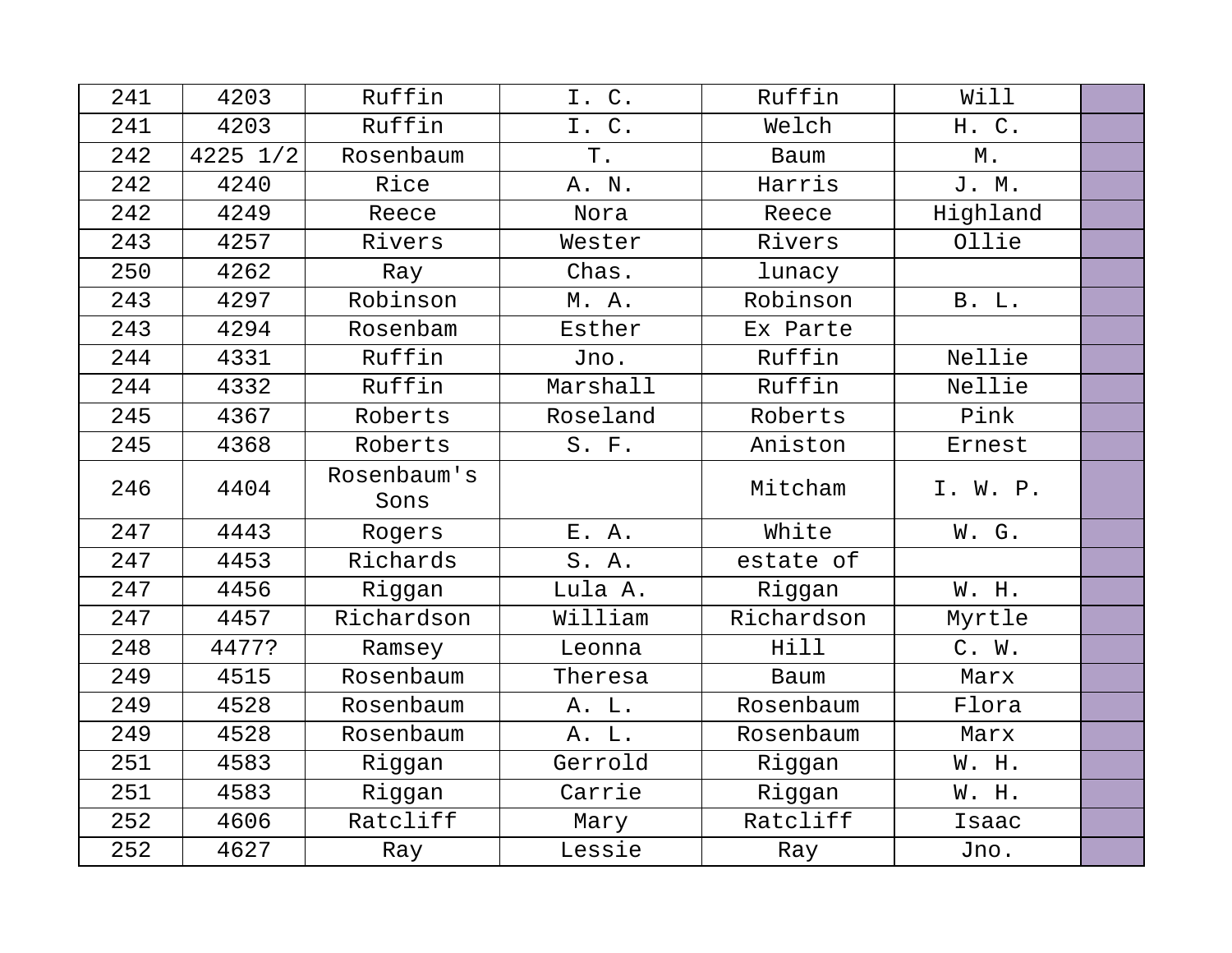| 241 | 4203         | Ruffin              | I. C.    | Ruffin      | Will     |  |
|-----|--------------|---------------------|----------|-------------|----------|--|
| 241 | 4203         | Ruffin              | I. C.    | Welch       | H. C.    |  |
| 242 | $4225$ $1/2$ | Rosenbaum           | T.       | Baum        | М.       |  |
| 242 | 4240         | Rice                | A. N.    | Harris      | J. M.    |  |
| 242 | 4249         | Reece               | Nora     | Reece       | Highland |  |
| 243 | 4257         | Rivers              | Wester   | Rivers      | Ollie    |  |
| 250 | 4262         | Ray                 | Chas.    | lunacy      |          |  |
| 243 | 4297         | Robinson            | M. A.    | Robinson    | B. L.    |  |
| 243 | 4294         | Rosenbam            | Esther   | Ex Parte    |          |  |
| 244 | 4331         | Ruffin              | Jno.     | Ruffin      | Nellie   |  |
| 244 | 4332         | Ruffin              | Marshall | Ruffin      | Nellie   |  |
| 245 | 4367         | Roberts             | Roseland | Roberts     | Pink     |  |
| 245 | 4368         | Roberts             | S. F.    | Aniston     | Ernest   |  |
| 246 | 4404         | Rosenbaum's<br>Sons |          | Mitcham     | I. W. P. |  |
| 247 | 4443         | Rogers              | E. A.    | White       | W. G.    |  |
| 247 | 4453         | Richards            | S. A.    | estate of   |          |  |
| 247 | 4456         | Riggan              | Lula A.  | Riggan      | W. H.    |  |
| 247 | 4457         | Richardson          | William  | Richardson  | Myrtle   |  |
| 248 | 4477?        | Ramsey              | Leonna   | Hill        | C. W.    |  |
| 249 | 4515         | Rosenbaum           | Theresa  | <b>Baum</b> | Marx     |  |
| 249 | 4528         | Rosenbaum           | A. L.    | Rosenbaum   | Flora    |  |
| 249 | 4528         | Rosenbaum           | A. L.    | Rosenbaum   | Marx     |  |
| 251 | 4583         | Riggan              | Gerrold  | Riggan      | W. H.    |  |
| 251 | 4583         | Riggan              | Carrie   | Riggan      | W. H.    |  |
| 252 | 4606         | Ratcliff            | Mary     | Ratcliff    | Isaac    |  |
| 252 | 4627         | Ray                 | Lessie   | Ray         | Jno.     |  |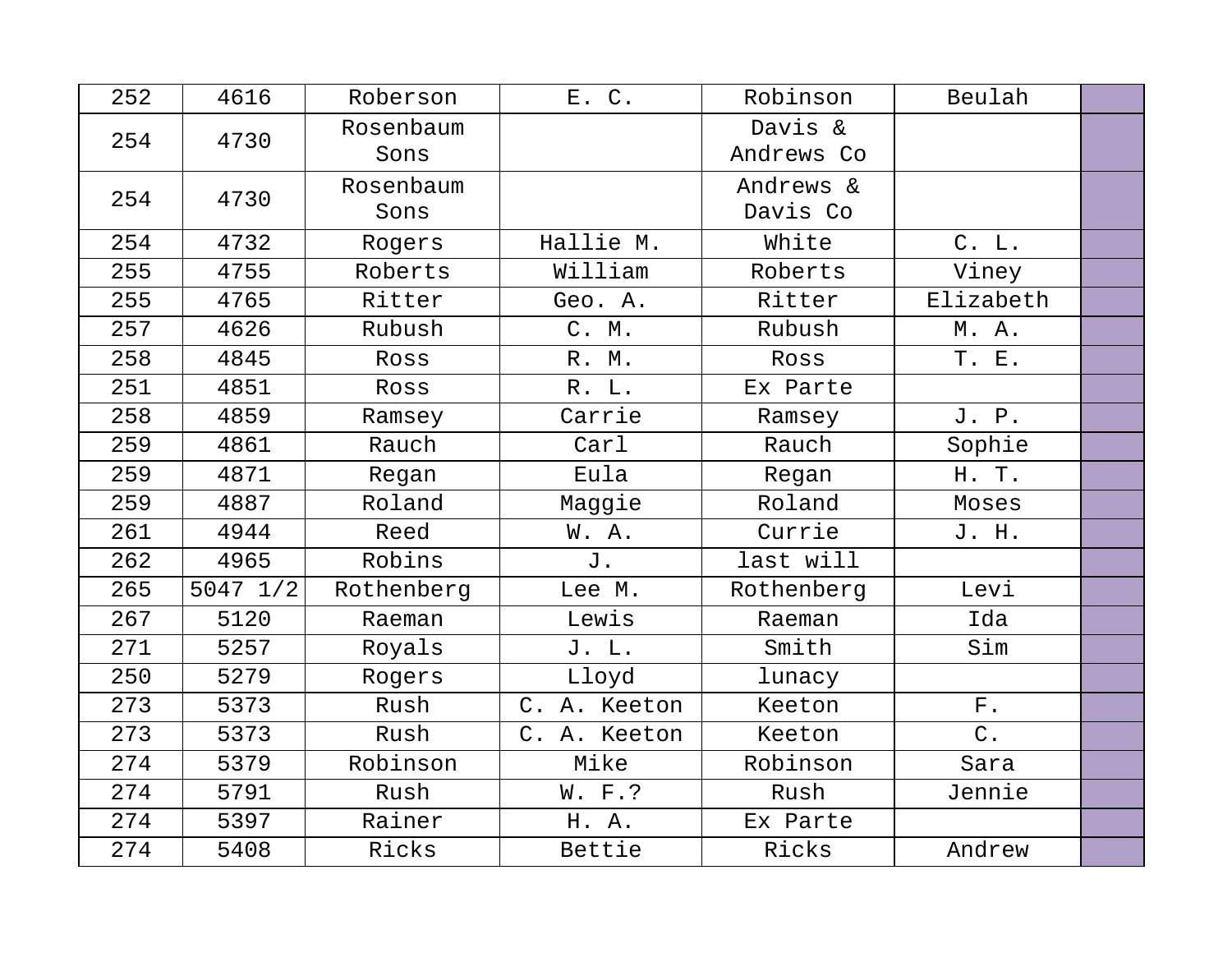| 252 | 4616         | Roberson          | E. C.              | Robinson              | Beulah      |  |
|-----|--------------|-------------------|--------------------|-----------------------|-------------|--|
| 254 | 4730         | Rosenbaum<br>Sons |                    | Davis &<br>Andrews Co |             |  |
| 254 | 4730         | Rosenbaum<br>Sons |                    | Andrews &<br>Davis Co |             |  |
| 254 | 4732         | Rogers            | Hallie M.          | White                 | C. L.       |  |
| 255 | 4755         | Roberts           | William            | Roberts               | Viney       |  |
| 255 | 4765         | Ritter            | Geo. A.            | Ritter                | Elizabeth   |  |
| 257 | 4626         | Rubush            | C. M.              | Rubush                | M. A.       |  |
| 258 | 4845         | Ross              | R. M.              | Ross                  | T. E.       |  |
| 251 | 4851         | Ross              | R. L.              | Ex Parte              |             |  |
| 258 | 4859         | Ramsey            | Carrie             | Ramsey                | J. P.       |  |
| 259 | 4861         | Rauch             | Carl               | Rauch                 | Sophie      |  |
| 259 | 4871         | Regan             | Eula               | Regan                 | H. T.       |  |
| 259 | 4887         | Roland            | Maggie             | Roland                | Moses       |  |
| 261 | 4944         | Reed              | W.A.               | Currie                | J. H.       |  |
| 262 | 4965         | Robins            | J.                 | last will             |             |  |
| 265 | $5047$ $1/2$ | Rothenberg        | Lee M.             | Rothenberg            | Levi        |  |
| 267 | 5120         | Raeman            | Lewis              | Raeman                | Ida         |  |
| 271 | 5257         | Royals            | J. L.              | Smith                 | Sim         |  |
| 250 | 5279         | Rogers            | Lloyd              | lunacy                |             |  |
| 273 | 5373         | Rush              | C. A. Keeton       | Keeton                | ${\rm F}$ . |  |
| 273 | 5373         | Rush              | $C$ .<br>A. Keeton | Keeton                | $C$ .       |  |
| 274 | 5379         | Robinson          | Mike               | Robinson              | Sara        |  |
| 274 | 5791         | Rush              | W. F.?             | Rush                  | Jennie      |  |
| 274 | 5397         | Rainer            | H. A.              | Ex Parte              |             |  |
| 274 | 5408         | Ricks             | Bettie             | Ricks                 | Andrew      |  |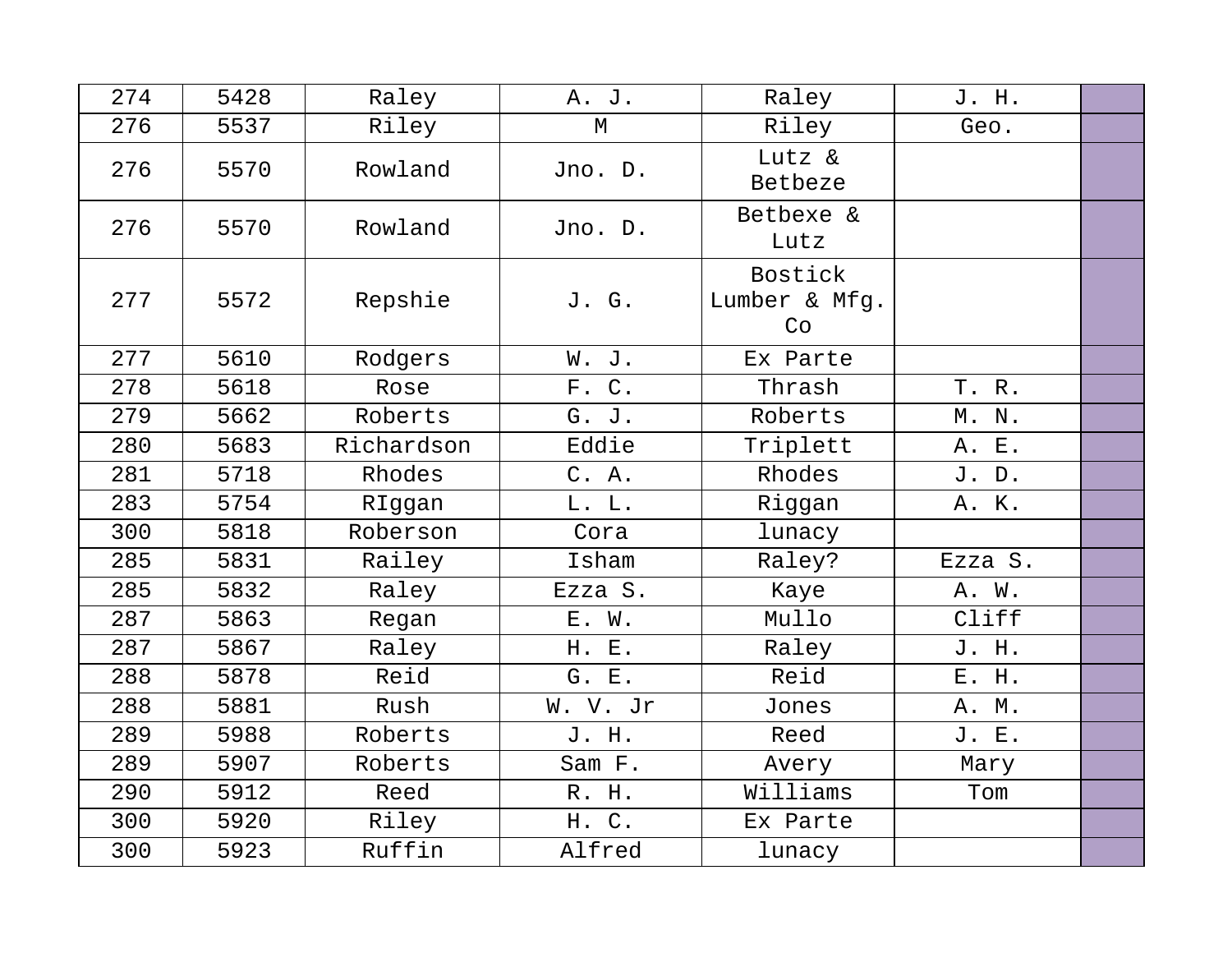| 274 | 5428 | Raley      | A. J.       | Raley                          | J. H.   |  |
|-----|------|------------|-------------|--------------------------------|---------|--|
| 276 | 5537 | Riley      | $\mathbb M$ | Riley                          | Geo.    |  |
| 276 | 5570 | Rowland    | Jno. D.     | Lutz &<br>Betbeze              |         |  |
| 276 | 5570 | Rowland    | Jno. D.     | Betbexe &<br>Lutz              |         |  |
| 277 | 5572 | Repshie    | J. G.       | Bostick<br>Lumber & Mfg.<br>Co |         |  |
| 277 | 5610 | Rodgers    | W. J.       | Ex Parte                       |         |  |
| 278 | 5618 | Rose       | F. C.       | Thrash                         | T. R.   |  |
| 279 | 5662 | Roberts    | G. J.       | Roberts                        | M. N.   |  |
| 280 | 5683 | Richardson | Eddie       | Triplett                       | A. E.   |  |
| 281 | 5718 | Rhodes     | C. A.       | Rhodes                         | J. D.   |  |
| 283 | 5754 | RIggan     | L. L.       | Riggan                         | A. K.   |  |
| 300 | 5818 | Roberson   | Cora        | lunacy                         |         |  |
| 285 | 5831 | Railey     | Isham       | Raley?                         | Ezza S. |  |
| 285 | 5832 | Raley      | Ezza S.     | Kaye                           | A. W.   |  |
| 287 | 5863 | Regan      | E. W.       | Mullo                          | Cliff   |  |
| 287 | 5867 | Raley      | H. E.       | Raley                          | J. H.   |  |
| 288 | 5878 | Reid       | G. E.       | Reid                           | E. H.   |  |
| 288 | 5881 | Rush       | W. V. Jr    | Jones                          | A. M.   |  |
| 289 | 5988 | Roberts    | J. H.       | Reed                           | J. E.   |  |
| 289 | 5907 | Roberts    | Sam F.      | Avery                          | Mary    |  |
| 290 | 5912 | Reed       | R. H.       | Williams                       | Tom     |  |
| 300 | 5920 | Riley      | H. C.       | Ex Parte                       |         |  |
| 300 | 5923 | Ruffin     | Alfred      | lunacy                         |         |  |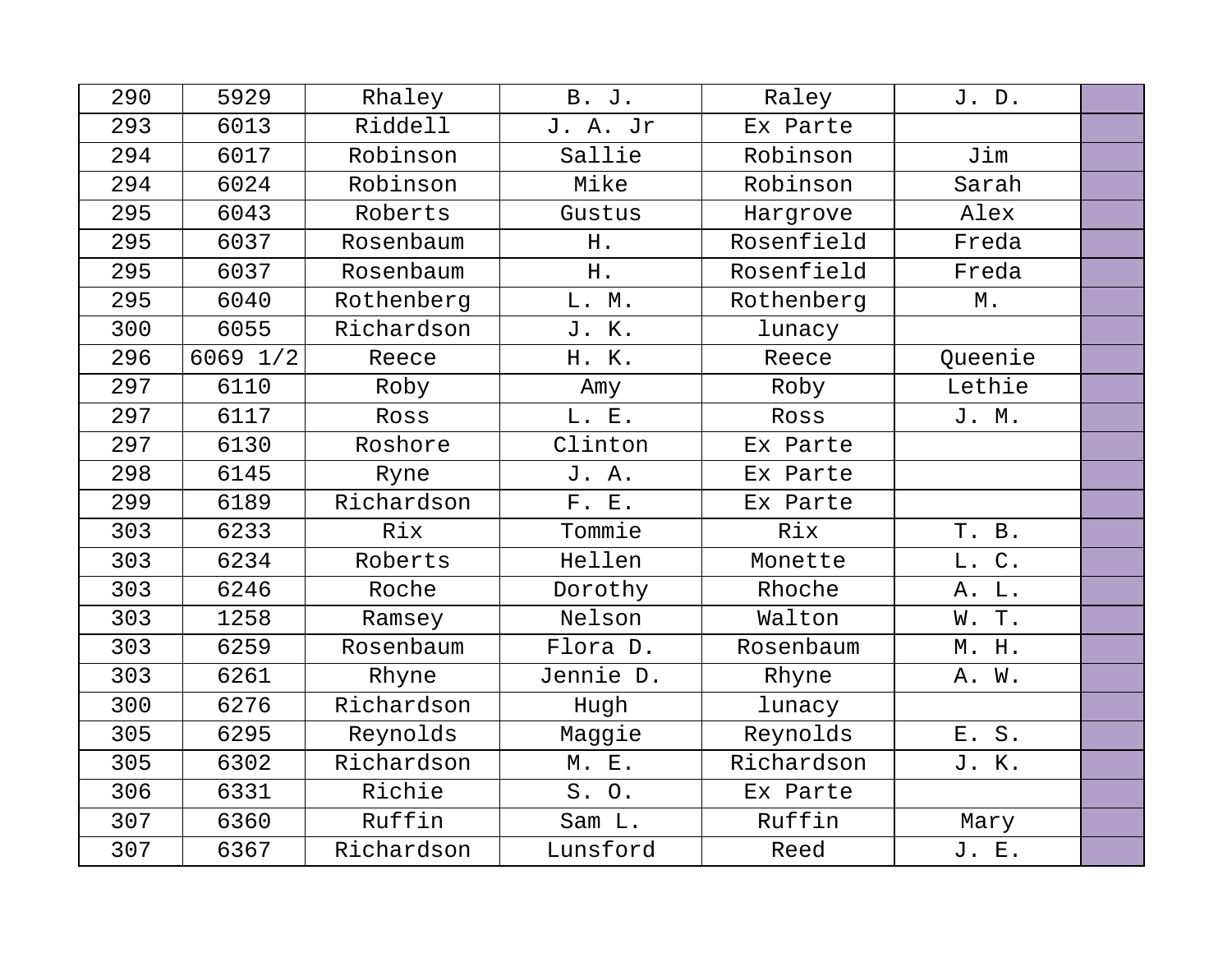| 290 | 5929     | Rhaley     | <b>B.</b> J. | Raley      | J. D.   |  |
|-----|----------|------------|--------------|------------|---------|--|
| 293 | 6013     | Riddell    | J. A. Jr     | Ex Parte   |         |  |
| 294 | 6017     | Robinson   | Sallie       | Robinson   | Jim     |  |
| 294 | 6024     | Robinson   | Mike         | Robinson   | Sarah   |  |
| 295 | 6043     | Roberts    | Gustus       | Hargrove   | Alex    |  |
| 295 | 6037     | Rosenbaum  | Η.           | Rosenfield | Freda   |  |
| 295 | 6037     | Rosenbaum  | H.           | Rosenfield | Freda   |  |
| 295 | 6040     | Rothenberg | L. M.        | Rothenberg | М.      |  |
| 300 | 6055     | Richardson | J. K.        | lunacy     |         |  |
| 296 | 6069 1/2 | Reece      | H. K.        | Reece      | Queenie |  |
| 297 | 6110     | Roby       | Amy          | Roby       | Lethie  |  |
| 297 | 6117     | Ross       | L. E.        | Ross       | J. M.   |  |
| 297 | 6130     | Roshore    | Clinton      | Ex Parte   |         |  |
| 298 | 6145     | Ryne       | J. A.        | Ex Parte   |         |  |
| 299 | 6189     | Richardson | F. E.        | Ex Parte   |         |  |
| 303 | 6233     | Rix        | Tommie       | Rix        | T. B.   |  |
| 303 | 6234     | Roberts    | Hellen       | Monette    | L. C.   |  |
| 303 | 6246     | Roche      | Dorothy      | Rhoche     | A. L.   |  |
| 303 | 1258     | Ramsey     | Nelson       | Walton     | W. T.   |  |
| 303 | 6259     | Rosenbaum  | Flora D.     | Rosenbaum  | M. H.   |  |
| 303 | 6261     | Rhyne      | Jennie D.    | Rhyne      | A. W.   |  |
| 300 | 6276     | Richardson | Hugh         | lunacy     |         |  |
| 305 | 6295     | Reynolds   | Maggie       | Reynolds   | E. S.   |  |
| 305 | 6302     | Richardson | M. E.        | Richardson | J. K.   |  |
| 306 | 6331     | Richie     | S. O.        | Ex Parte   |         |  |
| 307 | 6360     | Ruffin     | Sam L.       | Ruffin     | Mary    |  |
| 307 | 6367     | Richardson | Lunsford     | Reed       | J. E.   |  |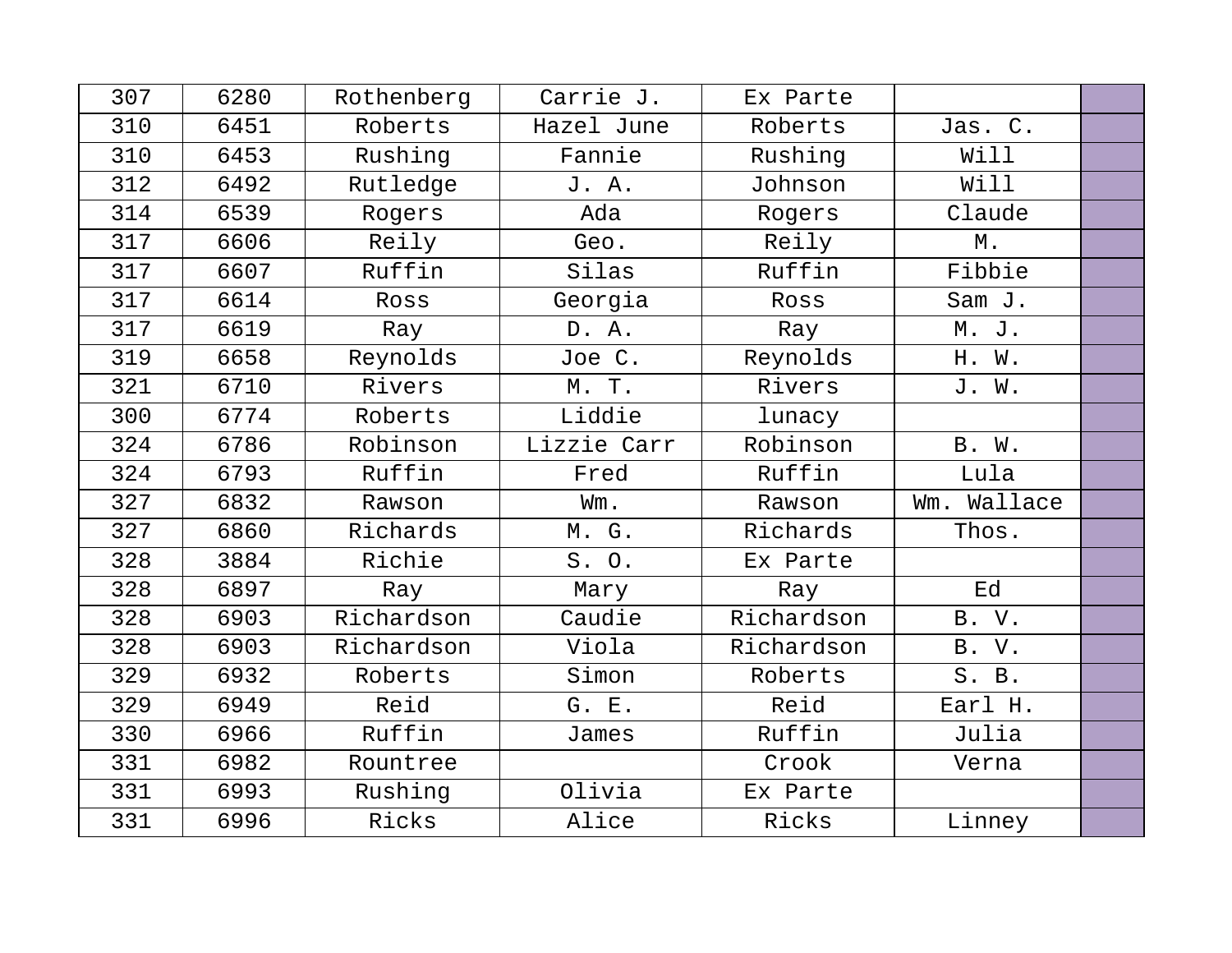| 307 | 6280 | Rothenberg | Carrie J.   | Ex Parte   |               |  |
|-----|------|------------|-------------|------------|---------------|--|
| 310 | 6451 | Roberts    | Hazel June  | Roberts    | Jas. C.       |  |
| 310 | 6453 | Rushing    | Fannie      | Rushing    | Will          |  |
| 312 | 6492 | Rutledge   | J. A.       | Johnson    | Will          |  |
| 314 | 6539 | Rogers     | Ada         | Rogers     | Claude        |  |
| 317 | 6606 | Reily      | Geo.        | Reily      | $\mathbb M$ . |  |
| 317 | 6607 | Ruffin     | Silas       | Ruffin     | Fibbie        |  |
| 317 | 6614 | Ross       | Georgia     | Ross       | Sam J.        |  |
| 317 | 6619 | Ray        | D. A.       | Ray        | M. J.         |  |
| 319 | 6658 | Reynolds   | Joe C.      | Reynolds   | H. W.         |  |
| 321 | 6710 | Rivers     | M. T.       | Rivers     | J. W.         |  |
| 300 | 6774 | Roberts    | Liddie      | lunacy     |               |  |
| 324 | 6786 | Robinson   | Lizzie Carr | Robinson   | B. W.         |  |
| 324 | 6793 | Ruffin     | Fred        | Ruffin     | Lula          |  |
| 327 | 6832 | Rawson     | Wm.         | Rawson     | Wm. Wallace   |  |
| 327 | 6860 | Richards   | M. G.       | Richards   | Thos.         |  |
| 328 | 3884 | Richie     | S. O.       | Ex Parte   |               |  |
| 328 | 6897 | Ray        | Mary        | Ray        | Ed            |  |
| 328 | 6903 | Richardson | Caudie      | Richardson | B. V.         |  |
| 328 | 6903 | Richardson | Viola       | Richardson | B. V.         |  |
| 329 | 6932 | Roberts    | Simon       | Roberts    | S. B.         |  |
| 329 | 6949 | Reid       | G. E.       | Reid       | Earl H.       |  |
| 330 | 6966 | Ruffin     | James       | Ruffin     | Julia         |  |
| 331 | 6982 | Rountree   |             | Crook      | Verna         |  |
| 331 | 6993 | Rushing    | Olivia      | Ex Parte   |               |  |
| 331 | 6996 | Ricks      | Alice       | Ricks      | Linney        |  |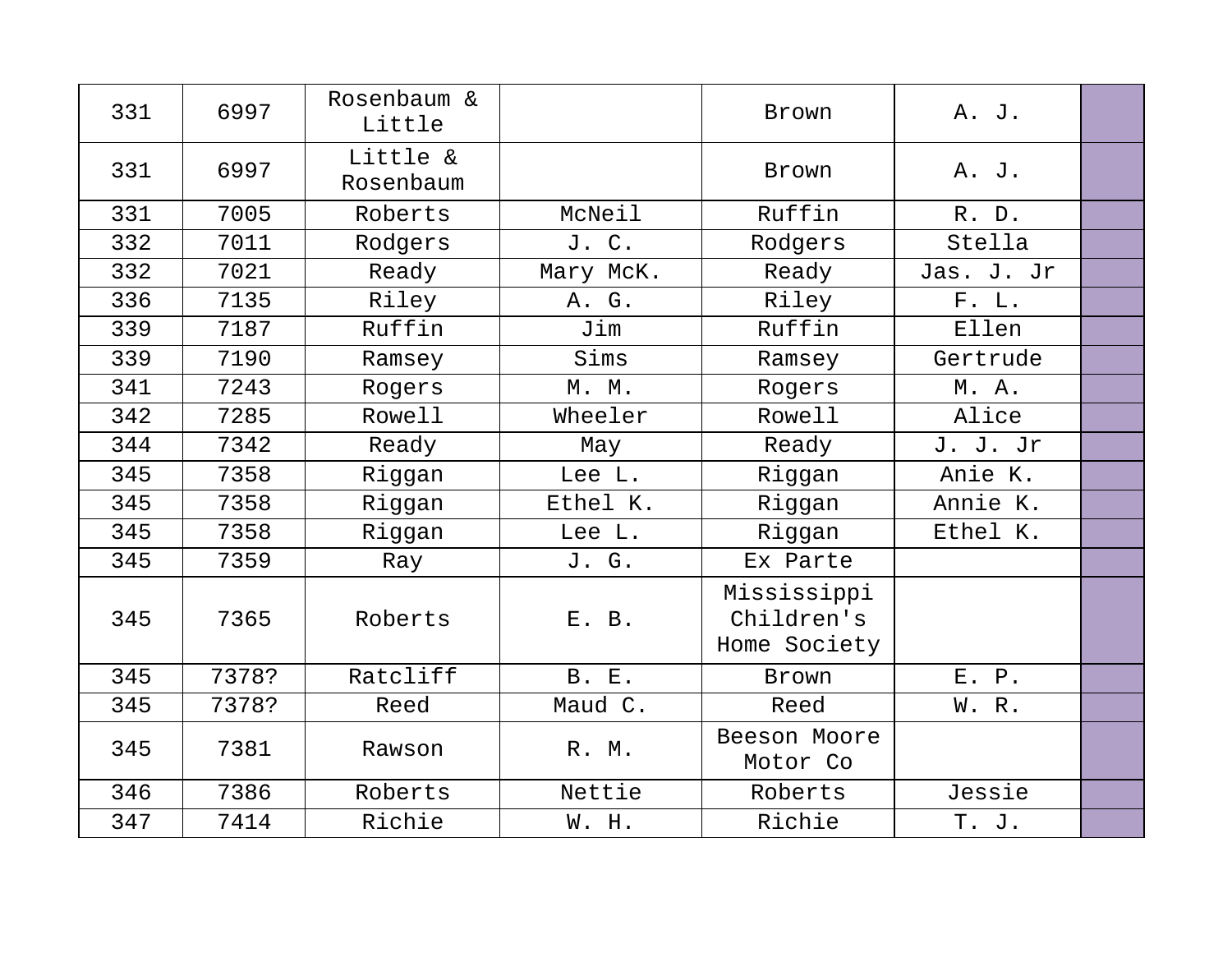| 331 | 6997  | Rosenbaum &<br>Little |              | Brown                                     | A. J.      |  |
|-----|-------|-----------------------|--------------|-------------------------------------------|------------|--|
| 331 | 6997  | Little &<br>Rosenbaum |              | Brown                                     | A. J.      |  |
| 331 | 7005  | Roberts               | McNeil       | Ruffin                                    | R. D.      |  |
| 332 | 7011  | Rodgers               | J. C.        | Rodgers                                   | Stella     |  |
| 332 | 7021  | Ready                 | Mary McK.    | Ready                                     | Jas. J. Jr |  |
| 336 | 7135  | Riley                 | A. G.        | Riley                                     | F. L.      |  |
| 339 | 7187  | Ruffin                | Jim          | Ruffin                                    | Ellen      |  |
| 339 | 7190  | Ramsey                | Sims         | Ramsey                                    | Gertrude   |  |
| 341 | 7243  | Rogers                | M. M.        | Rogers                                    | M. A.      |  |
| 342 | 7285  | Rowell                | Wheeler      | Rowell                                    | Alice      |  |
| 344 | 7342  | Ready                 | May          | Ready                                     | J. J. Jr   |  |
| 345 | 7358  | Riggan                | Lee L.       | Riggan                                    | Anie K.    |  |
| 345 | 7358  | Riggan                | Ethel K.     | Riggan                                    | Annie K.   |  |
| 345 | 7358  | Riggan                | Lee L.       | Riggan                                    | Ethel K.   |  |
| 345 | 7359  | Ray                   | J. G.        | Ex Parte                                  |            |  |
| 345 | 7365  | Roberts               | E. B.        | Mississippi<br>Children's<br>Home Society |            |  |
| 345 | 7378? | Ratcliff              | <b>B. E.</b> | Brown                                     | E. P.      |  |
| 345 | 7378? | Reed                  | Maud C.      | Reed                                      | W. R.      |  |
| 345 | 7381  | Rawson                | R. M.        | Beeson Moore<br>Motor Co                  |            |  |
| 346 | 7386  | Roberts               | Nettie       | Roberts                                   | Jessie     |  |
| 347 | 7414  | Richie                | W. H.        | Richie                                    | T. J.      |  |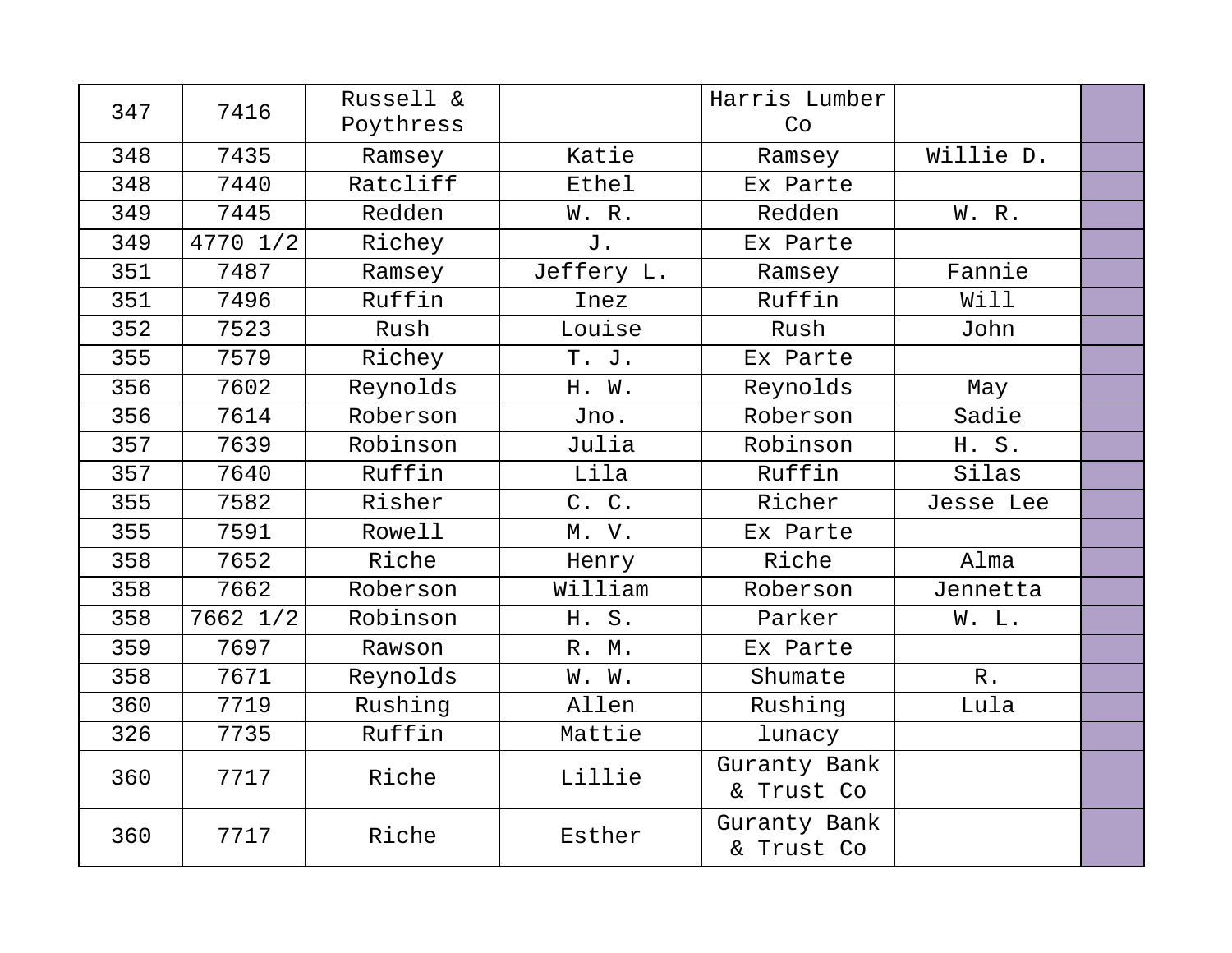| 347 | 7416     | Russell &<br>Poythress |              | Harris Lumber<br>Co        |                 |  |
|-----|----------|------------------------|--------------|----------------------------|-----------------|--|
| 348 | 7435     | Ramsey                 | Katie        | Ramsey                     | Willie D.       |  |
| 348 | 7440     | Ratcliff               | <b>Ethel</b> | Ex Parte                   |                 |  |
| 349 | 7445     | Redden                 | W. R.        | Redden                     | W. R.           |  |
| 349 | 4770 1/2 | Richey                 | J.           | Ex Parte                   |                 |  |
| 351 | 7487     | Ramsey                 | Jeffery L.   | Ramsey                     | Fannie          |  |
| 351 | 7496     | Ruffin                 | Inez         | Ruffin                     | Will            |  |
| 352 | 7523     | Rush                   | Louise       | Rush                       | John            |  |
| 355 | 7579     | Richey                 | T. J.        | Ex Parte                   |                 |  |
| 356 | 7602     | Reynolds               | H. W.        | Reynolds                   | May             |  |
| 356 | 7614     | Roberson               | Jno.         | Roberson                   | Sadie           |  |
| 357 | 7639     | Robinson               | Julia        | Robinson                   | H. S.           |  |
| 357 | 7640     | Ruffin                 | Lila         | Ruffin                     | Silas           |  |
| 355 | 7582     | Risher                 | C. C.        | Richer                     | Jesse Lee       |  |
| 355 | 7591     | Rowell                 | M. V.        | Ex Parte                   |                 |  |
| 358 | 7652     | Riche                  | Henry        | Riche                      | Alma            |  |
| 358 | 7662     | Roberson               | William      | Roberson                   | Jennetta        |  |
| 358 | 7662 1/2 | Robinson               | H. S.        | Parker                     | W. L.           |  |
| 359 | 7697     | Rawson                 | R. M.        | Ex Parte                   |                 |  |
| 358 | 7671     | Reynolds               | W. W.        | Shumate                    | ${\mathbb R}$ . |  |
| 360 | 7719     | Rushing                | Allen        | Rushing                    | Lula            |  |
| 326 | 7735     | Ruffin                 | Mattie       | lunacy                     |                 |  |
| 360 | 7717     | Riche                  | Lillie       | Guranty Bank<br>& Trust Co |                 |  |
| 360 | 7717     | Riche                  | Esther       | Guranty Bank<br>& Trust Co |                 |  |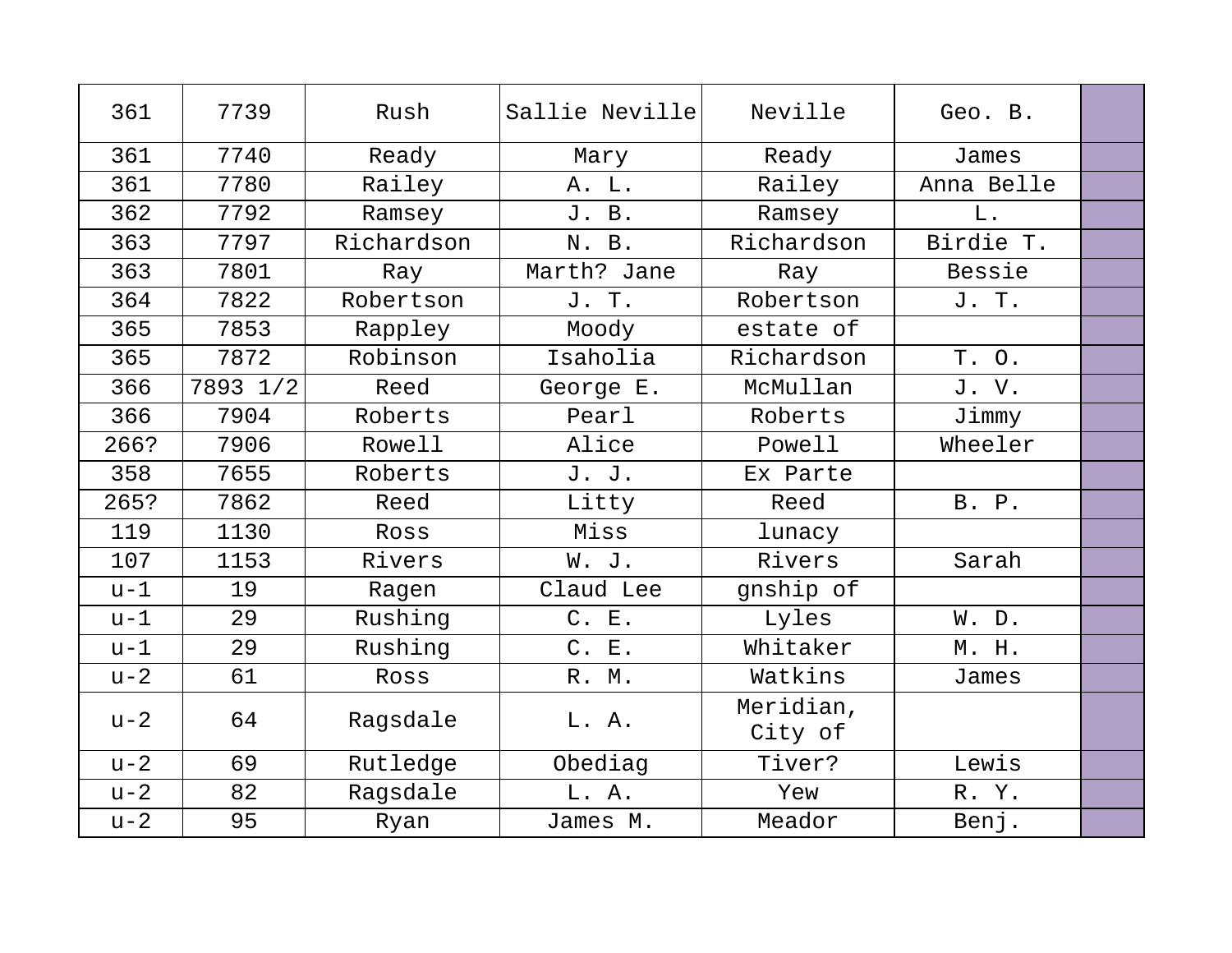| 361   | 7739     | Rush       | Sallie Neville | Neville              | Geo. B.    |  |
|-------|----------|------------|----------------|----------------------|------------|--|
| 361   | 7740     | Ready      | Mary           | Ready                | James      |  |
| 361   | 7780     | Railey     | A. L.          | Railey               | Anna Belle |  |
| 362   | 7792     | Ramsey     | J. B.          | Ramsey               | L.         |  |
| 363   | 7797     | Richardson | N. B.          | Richardson           | Birdie T.  |  |
| 363   | 7801     | Ray        | Marth? Jane    | Ray                  | Bessie     |  |
| 364   | 7822     | Robertson  | J. T.          | Robertson            | J. T.      |  |
| 365   | 7853     | Rappley    | Moody          | estate of            |            |  |
| 365   | 7872     | Robinson   | Isaholia       | Richardson           | T. O.      |  |
| 366   | 7893 1/2 | Reed       | George E.      | McMullan             | J. V.      |  |
| 366   | 7904     | Roberts    | Pearl          | Roberts              | Jimmy      |  |
| 266?  | 7906     | Rowell     | Alice          | Powell               | Wheeler    |  |
| 358   | 7655     | Roberts    | J. J.          | Ex Parte             |            |  |
| 265?  | 7862     | Reed       | Litty          | Reed                 | B. P.      |  |
| 119   | 1130     | Ross       | Miss           | lunacy               |            |  |
| 107   | 1153     | Rivers     | W. J.          | Rivers               | Sarah      |  |
| $u-1$ | 19       | Ragen      | Claud Lee      | gnship of            |            |  |
| $u-1$ | 29       | Rushing    | C. E.          | Lyles                | W. D.      |  |
| $u-1$ | 29       | Rushing    | C. E.          | Whitaker             | M. H.      |  |
| $u-2$ | 61       | Ross       | R. M.          | Watkins              | James      |  |
| $u-2$ | 64       | Ragsdale   | L. A.          | Meridian,<br>City of |            |  |
| $u-2$ | 69       | Rutledge   | Obediag        | Tiver?               | Lewis      |  |
| $u-2$ | 82       | Ragsdale   | L. A.          | Yew                  | R.Y.       |  |
| $u-2$ | 95       | Ryan       | James M.       | Meador               | Benj.      |  |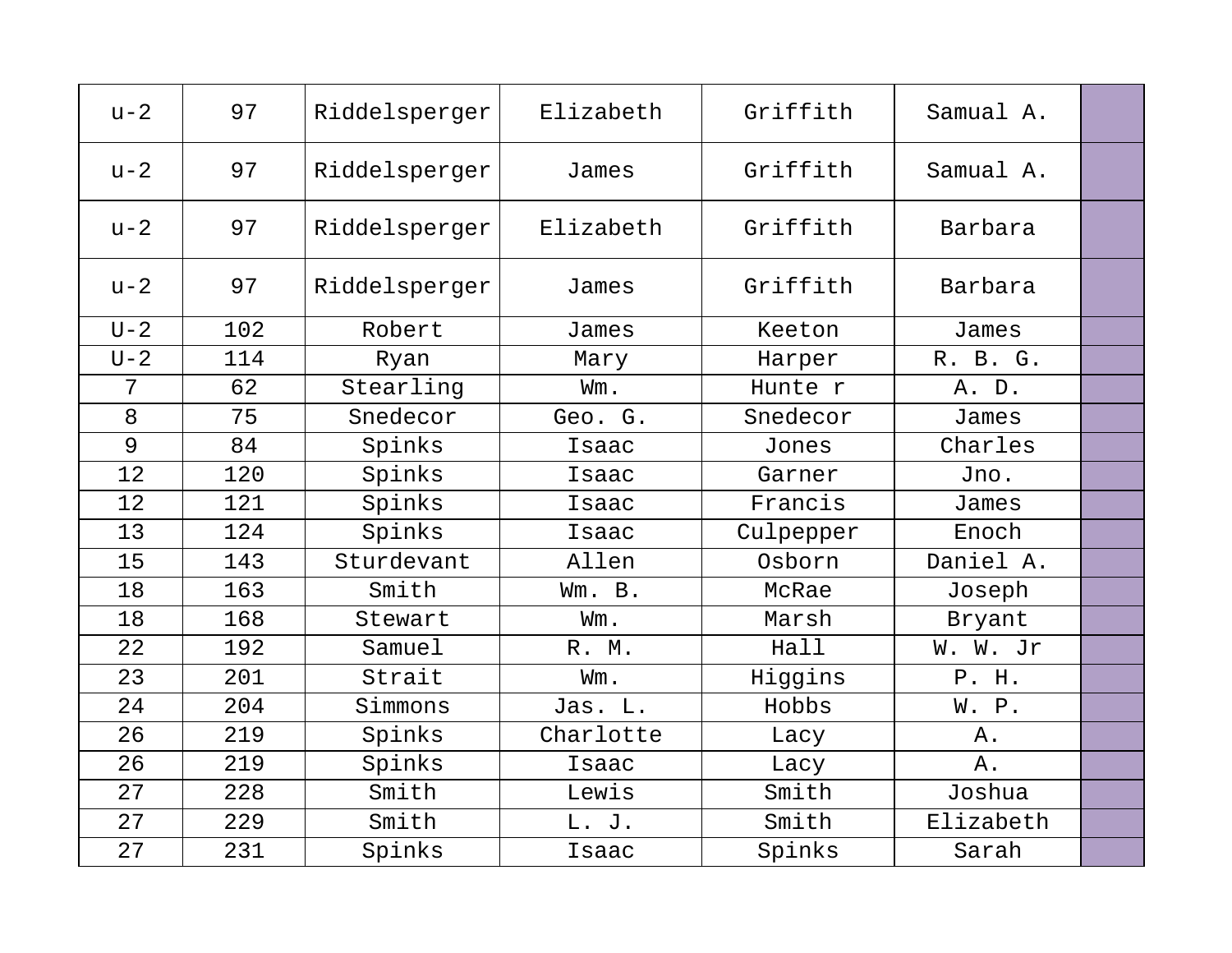| $u-2$   | 97  | Riddelsperger | Elizabeth | Griffith  | Samual A. |  |
|---------|-----|---------------|-----------|-----------|-----------|--|
| $u-2$   | 97  | Riddelsperger | James     | Griffith  | Samual A. |  |
| $u-2$   | 97  | Riddelsperger | Elizabeth | Griffith  | Barbara   |  |
| $u-2$   | 97  | Riddelsperger | James     | Griffith  | Barbara   |  |
| $U-2$   | 102 | Robert        | James     | Keeton    | James     |  |
| $U - 2$ | 114 | Ryan          | Mary      | Harper    | R. B. G.  |  |
| 7       | 62  | Stearling     | Wm.       | Hunte r   | A. D.     |  |
| 8       | 75  | Snedecor      | Geo. G.   | Snedecor  | James     |  |
| 9       | 84  | Spinks        | Isaac     | Jones     | Charles   |  |
| 12      | 120 | Spinks        | Isaac     | Garner    | Jno.      |  |
| 12      | 121 | Spinks        | Isaac     | Francis   | James     |  |
| 13      | 124 | Spinks        | Isaac     | Culpepper | Enoch     |  |
| 15      | 143 | Sturdevant    | Allen     | Osborn    | Daniel A. |  |
| 18      | 163 | Smith         | Wm. B.    | McRae     | Joseph    |  |
| 18      | 168 | Stewart       | Wm.       | Marsh     | Bryant    |  |
| 22      | 192 | Samuel        | R. M.     | Hall      | W. W. Jr  |  |
| 23      | 201 | Strait        | Wm.       | Higgins   | P. H.     |  |
| 24      | 204 | Simmons       | Jas. L.   | Hobbs     | W. P.     |  |
| 26      | 219 | Spinks        | Charlotte | Lacy      | Α.        |  |
| 26      | 219 | Spinks        | Isaac     | Lacy      | $A$ .     |  |
| 27      | 228 | Smith         | Lewis     | Smith     | Joshua    |  |
| 27      | 229 | Smith         | L. J.     | Smith     | Elizabeth |  |
| 27      | 231 | Spinks        | Isaac     | Spinks    | Sarah     |  |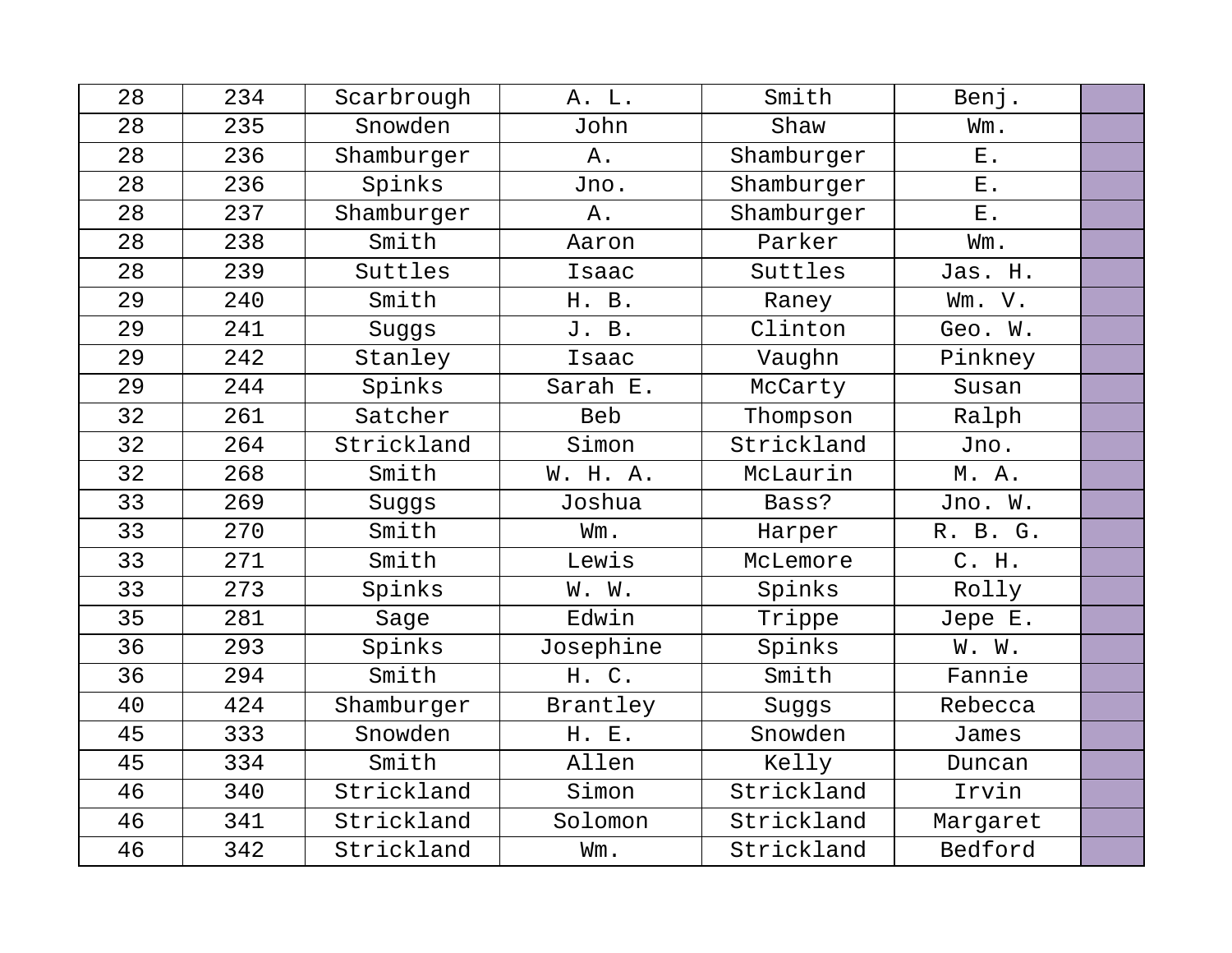| 28 | 234 | Scarbrough | A. L.      | Smith      | Benj.          |  |
|----|-----|------------|------------|------------|----------------|--|
| 28 | 235 | Snowden    | John       | Shaw       | Wm.            |  |
| 28 | 236 | Shamburger | Α.         | Shamburger | $E$ .          |  |
| 28 | 236 | Spinks     | Jno.       | Shamburger | $\mathbf{E}$ . |  |
| 28 | 237 | Shamburger | Α.         | Shamburger | $E$ .          |  |
| 28 | 238 | Smith      | Aaron      | Parker     | Wm.            |  |
| 28 | 239 | Suttles    | Isaac      | Suttles    | Jas. H.        |  |
| 29 | 240 | Smith      | H. B.      | Raney      | Wm. V.         |  |
| 29 | 241 | Suggs      | J. B.      | Clinton    | Geo. W.        |  |
| 29 | 242 | Stanley    | Isaac      | Vaughn     | Pinkney        |  |
| 29 | 244 | Spinks     | Sarah E.   | McCarty    | Susan          |  |
| 32 | 261 | Satcher    | <b>Beb</b> | Thompson   | Ralph          |  |
| 32 | 264 | Strickland | Simon      | Strickland | Jno.           |  |
| 32 | 268 | Smith      | W. H. A.   | McLaurin   | M. A.          |  |
| 33 | 269 | Suggs      | Joshua     | Bass?      | Jno. W.        |  |
| 33 | 270 | Smith      | Wm.        | Harper     | R. B. G.       |  |
| 33 | 271 | Smith      | Lewis      | McLemore   | C. H.          |  |
| 33 | 273 | Spinks     | W. W.      | Spinks     | Rolly          |  |
| 35 | 281 | Sage       | Edwin      | Trippe     | Jepe E.        |  |
| 36 | 293 | Spinks     | Josephine  | Spinks     | W. W.          |  |
| 36 | 294 | Smith      | H. C.      | Smith      | Fannie         |  |
| 40 | 424 | Shamburger | Brantley   | Suggs      | Rebecca        |  |
| 45 | 333 | Snowden    | H. E.      | Snowden    | James          |  |
| 45 | 334 | Smith      | Allen      | Kelly      | Duncan         |  |
| 46 | 340 | Strickland | Simon      | Strickland | Irvin          |  |
| 46 | 341 | Strickland | Solomon    | Strickland | Margaret       |  |
| 46 | 342 | Strickland | Wm.        | Strickland | Bedford        |  |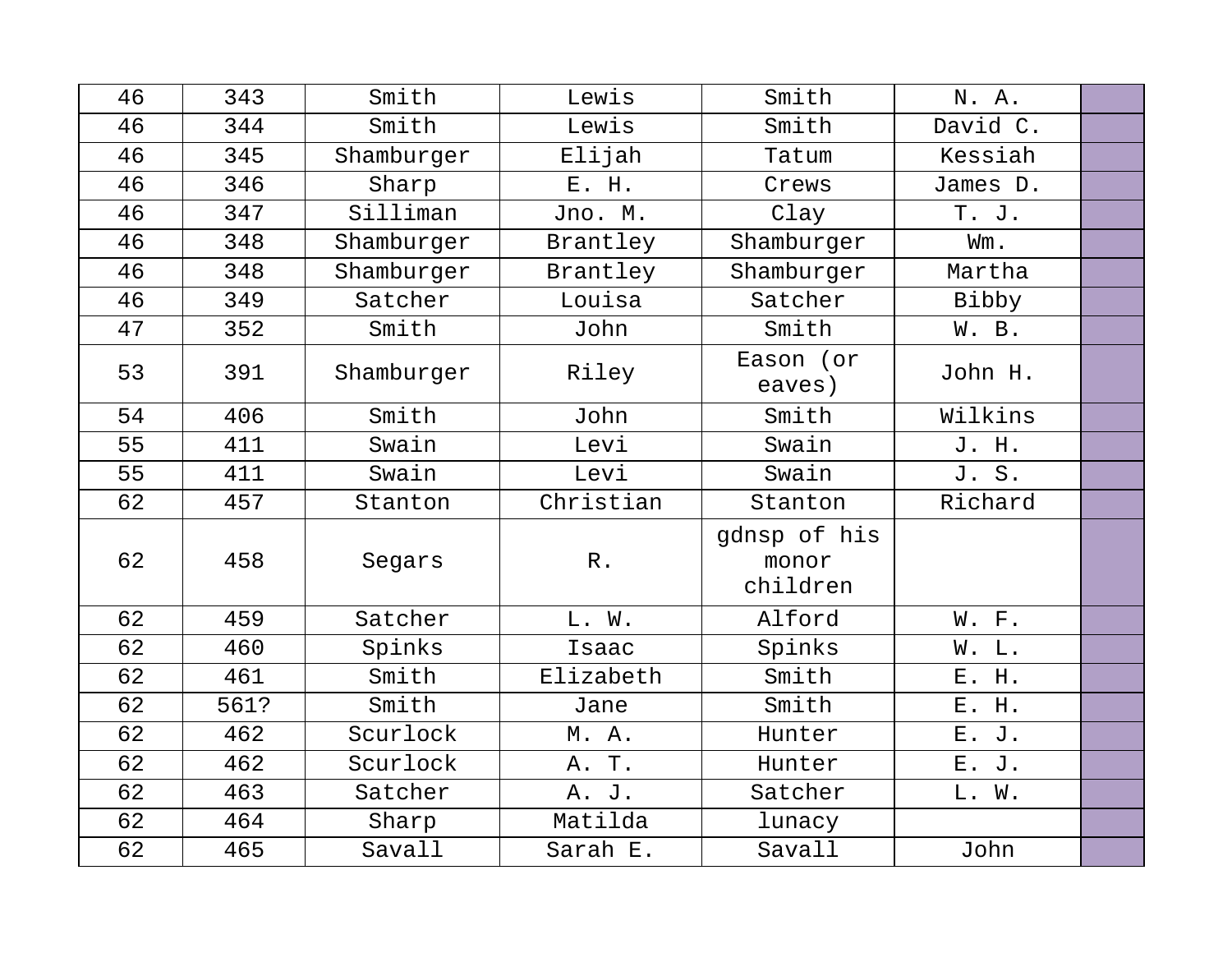| 46 | 343  | Smith      | Lewis           | Smith                             | N. A.    |  |
|----|------|------------|-----------------|-----------------------------------|----------|--|
| 46 | 344  | Smith      | Lewis           | Smith                             | David C. |  |
| 46 | 345  | Shamburger | Elijah          | Tatum                             | Kessiah  |  |
| 46 | 346  | Sharp      | E. H.           | Crews                             | James D. |  |
| 46 | 347  | Silliman   | Jno. M.         | Clay                              | T. J.    |  |
| 46 | 348  | Shamburger | Brantley        | Shamburger                        | Wm.      |  |
| 46 | 348  | Shamburger | Brantley        | Shamburger                        | Martha   |  |
| 46 | 349  | Satcher    | Louisa          | Satcher                           | Bibby    |  |
| 47 | 352  | Smith      | John            | Smith                             | W. B.    |  |
| 53 | 391  | Shamburger | Riley           | Eason (or<br>eaves)               | John H.  |  |
| 54 | 406  | Smith      | John            | Smith                             | Wilkins  |  |
| 55 | 411  | Swain      | Levi            | Swain                             | J. H.    |  |
| 55 | 411  | Swain      | Levi            | Swain                             | J. S.    |  |
| 62 | 457  | Stanton    | Christian       | Stanton                           | Richard  |  |
| 62 | 458  | Segars     | ${\mathbb R}$ . | gdnsp of his<br>monor<br>children |          |  |
| 62 | 459  | Satcher    | L. W.           | Alford                            | W. F.    |  |
| 62 | 460  | Spinks     | Isaac           | Spinks                            | W. L.    |  |
| 62 | 461  | Smith      | Elizabeth       | Smith                             | E. H.    |  |
| 62 | 561? | Smith      | Jane            | Smith                             | E. H.    |  |
| 62 | 462  | Scurlock   | M.A.            | Hunter                            | E. J.    |  |
| 62 | 462  | Scurlock   | A. T.           | Hunter                            | E. J.    |  |
| 62 | 463  | Satcher    | A. J.           | Satcher                           | L. W.    |  |
| 62 | 464  | Sharp      | Matilda         | lunacy                            |          |  |
| 62 | 465  | Savall     | Sarah E.        | Savall                            | John     |  |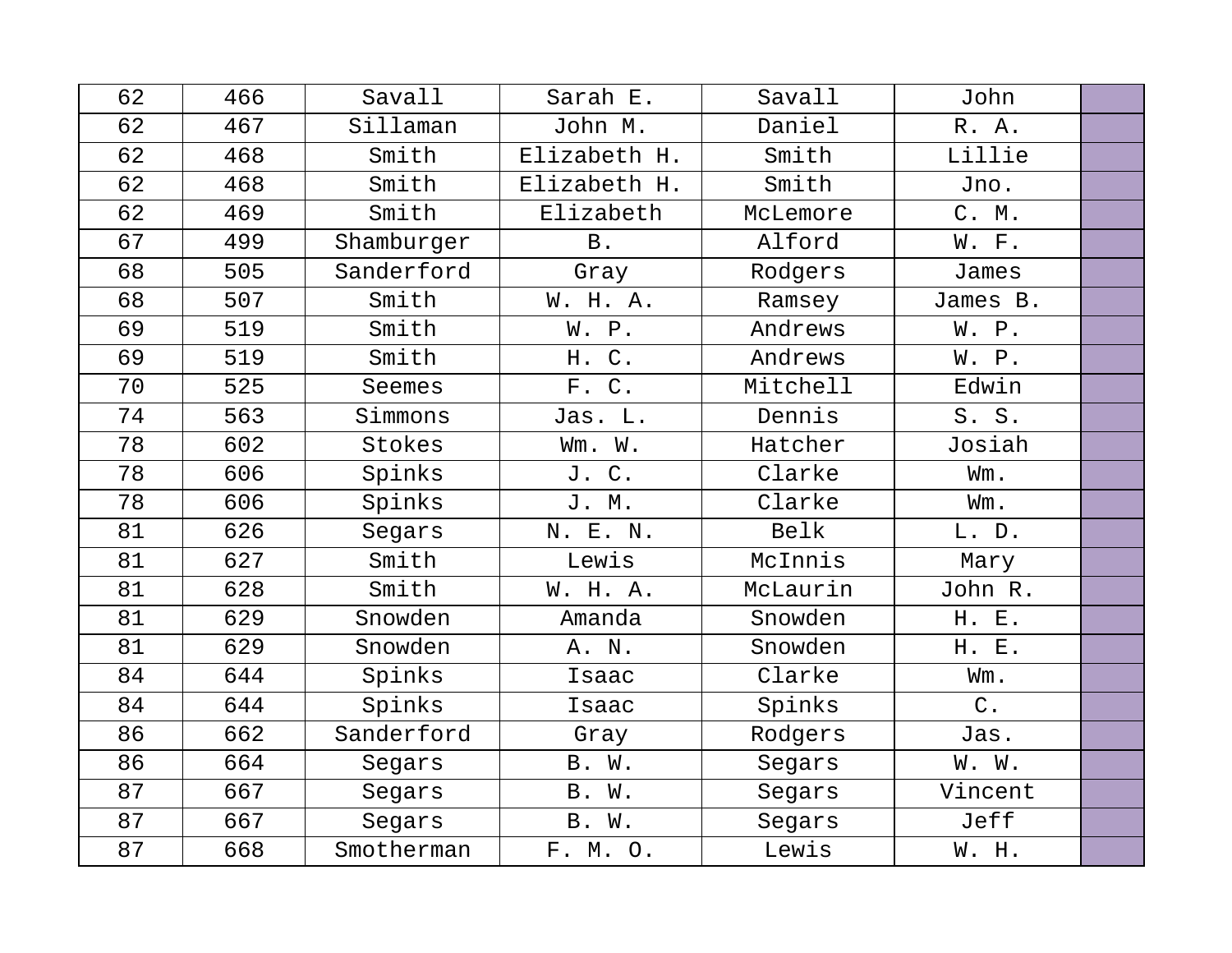| 62 | 466 | Savall     | Sarah E.     | Savall   | John     |  |
|----|-----|------------|--------------|----------|----------|--|
| 62 | 467 | Sillaman   | John M.      | Daniel   | R. A.    |  |
| 62 | 468 | Smith      | Elizabeth H. | Smith    | Lillie   |  |
| 62 | 468 | Smith      | Elizabeth H. | Smith    | Jno.     |  |
| 62 | 469 | Smith      | Elizabeth    | McLemore | C. M.    |  |
| 67 | 499 | Shamburger | <b>B</b> .   | Alford   | W. F.    |  |
| 68 | 505 | Sanderford | Gray         | Rodgers  | James    |  |
| 68 | 507 | Smith      | W. H. A.     | Ramsey   | James B. |  |
| 69 | 519 | Smith      | W. P.        | Andrews  | W. P.    |  |
| 69 | 519 | Smith      | $C$ .<br>Η.  | Andrews  | W. P.    |  |
| 70 | 525 | Seemes     | F. C.        | Mitchell | Edwin    |  |
| 74 | 563 | Simmons    | Jas. L.      | Dennis   | S. S.    |  |
| 78 | 602 | Stokes     | Wm. W.       | Hatcher  | Josiah   |  |
| 78 | 606 | Spinks     | J.<br>$C$ .  | Clarke   | Wm.      |  |
| 78 | 606 | Spinks     | J. M.        | Clarke   | Wm.      |  |
| 81 | 626 | Segars     | N. E. N.     | Belk     | L. D.    |  |
| 81 | 627 | Smith      | Lewis        | McInnis  | Mary     |  |
| 81 | 628 | Smith      | W. H. A.     | McLaurin | John R.  |  |
| 81 | 629 | Snowden    | Amanda       | Snowden  | H. E.    |  |
| 81 | 629 | Snowden    | A. N.        | Snowden  | H. E.    |  |
| 84 | 644 | Spinks     | Isaac        | Clarke   | Wm.      |  |
| 84 | 644 | Spinks     | Isaac        | Spinks   | $C$ .    |  |
| 86 | 662 | Sanderford | Gray         | Rodgers  | Jas.     |  |
| 86 | 664 | Segars     | B. W.        | Segars   | W. W.    |  |
| 87 | 667 | Segars     | B. W.        | Segars   | Vincent  |  |
| 87 | 667 | Segars     | B. W.        | Segars   | Jeff     |  |
| 87 | 668 | Smotherman | F. M. O.     | Lewis    | W. H.    |  |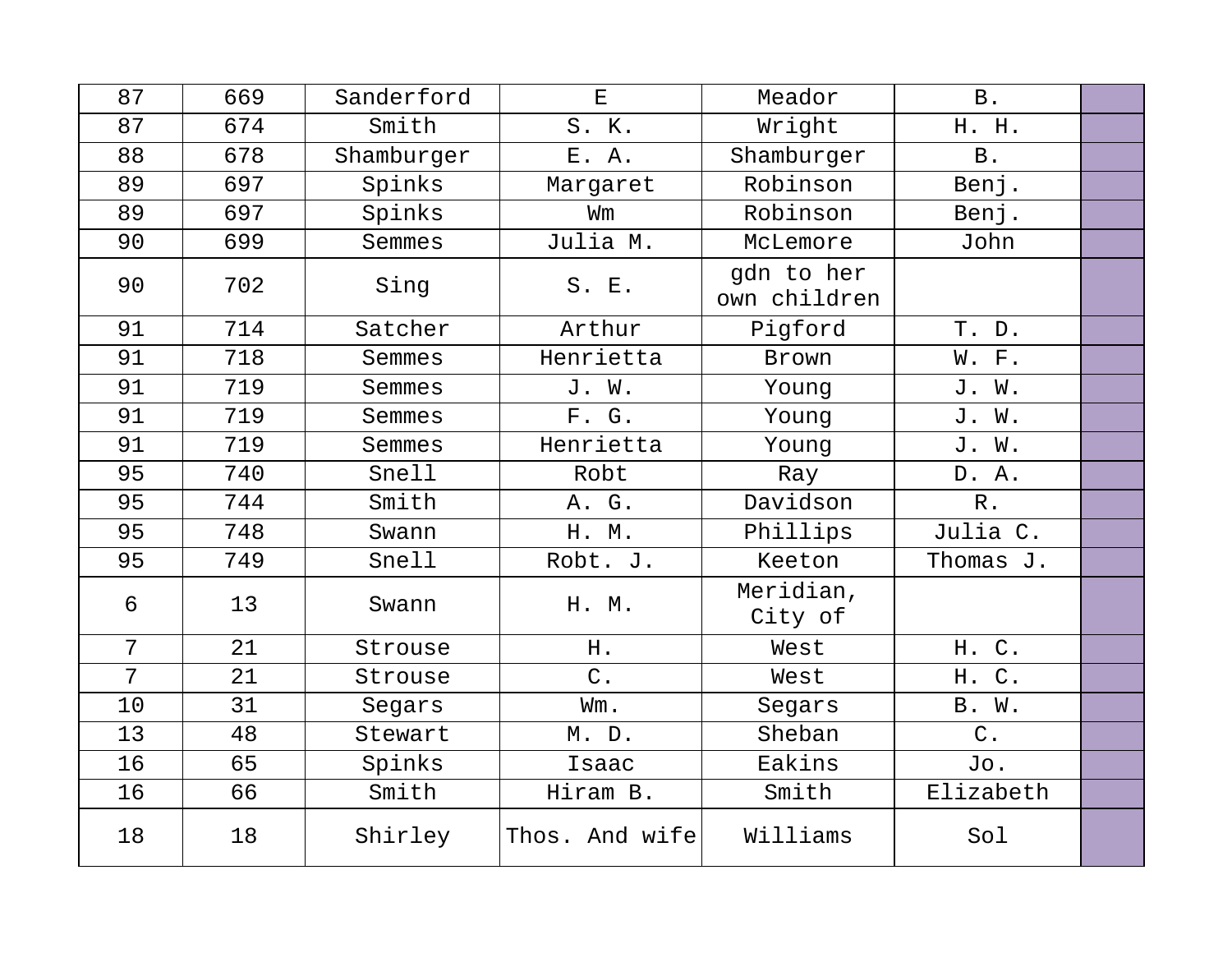| 87             | 669 | Sanderford | $\mathbf{E}% _{t}\left  \mathbf{1}\right\rangle =\mathbf{1}_{t}\left  \mathbf{1}\right\rangle$ | Meador                     | B.         |  |
|----------------|-----|------------|------------------------------------------------------------------------------------------------|----------------------------|------------|--|
| 87             | 674 | Smith      | S. K.                                                                                          | Wright                     | H. H.      |  |
| 88             | 678 | Shamburger | E. A.                                                                                          | Shamburger                 | <b>B</b> . |  |
| 89             | 697 | Spinks     | Margaret                                                                                       | Robinson                   | Benj.      |  |
| 89             | 697 | Spinks     | Wm                                                                                             | Robinson                   | Benj.      |  |
| 90             | 699 | Semmes     | Julia M.                                                                                       | McLemore                   | John       |  |
| 90             | 702 | Sing       | S. E.                                                                                          | gdn to her<br>own children |            |  |
| 91             | 714 | Satcher    | Arthur                                                                                         | Pigford                    | T. D.      |  |
| 91             | 718 | Semmes     | Henrietta                                                                                      | Brown                      | W. F.      |  |
| 91             | 719 | Semmes     | J. W.                                                                                          | Young                      | J. W.      |  |
| 91             | 719 | Semmes     | F. G.                                                                                          | Young                      | J. W.      |  |
| 91             | 719 | Semmes     | Henrietta                                                                                      | Young                      | J. W.      |  |
| 95             | 740 | Snell      | Robt                                                                                           | Ray                        | D. A.      |  |
| 95             | 744 | Smith      | A. G.                                                                                          | Davidson                   | $R$ .      |  |
| 95             | 748 | Swann      | H. M.                                                                                          | Phillips                   | Julia C.   |  |
| 95             | 749 | Snell      | Robt. J.                                                                                       | Keeton                     | Thomas J.  |  |
| 6              | 13  | Swann      | H. M.                                                                                          | Meridian,<br>City of       |            |  |
| $\overline{7}$ | 21  | Strouse    | H.                                                                                             | West                       | H. C.      |  |
| $\overline{7}$ | 21  | Strouse    | $C$ .                                                                                          | West                       | H. C.      |  |
| 10             | 31  | Segars     | Wm.                                                                                            | Segars                     | B. W.      |  |
| 13             | 48  | Stewart    | M. D.                                                                                          | Sheban                     | $C$ .      |  |
| 16             | 65  | Spinks     | Isaac                                                                                          | Eakins                     | Jo.        |  |
| 16             | 66  | Smith      | Hiram B.                                                                                       | Smith                      | Elizabeth  |  |
| 18             | 18  | Shirley    | Thos. And wife                                                                                 | Williams                   | Sol        |  |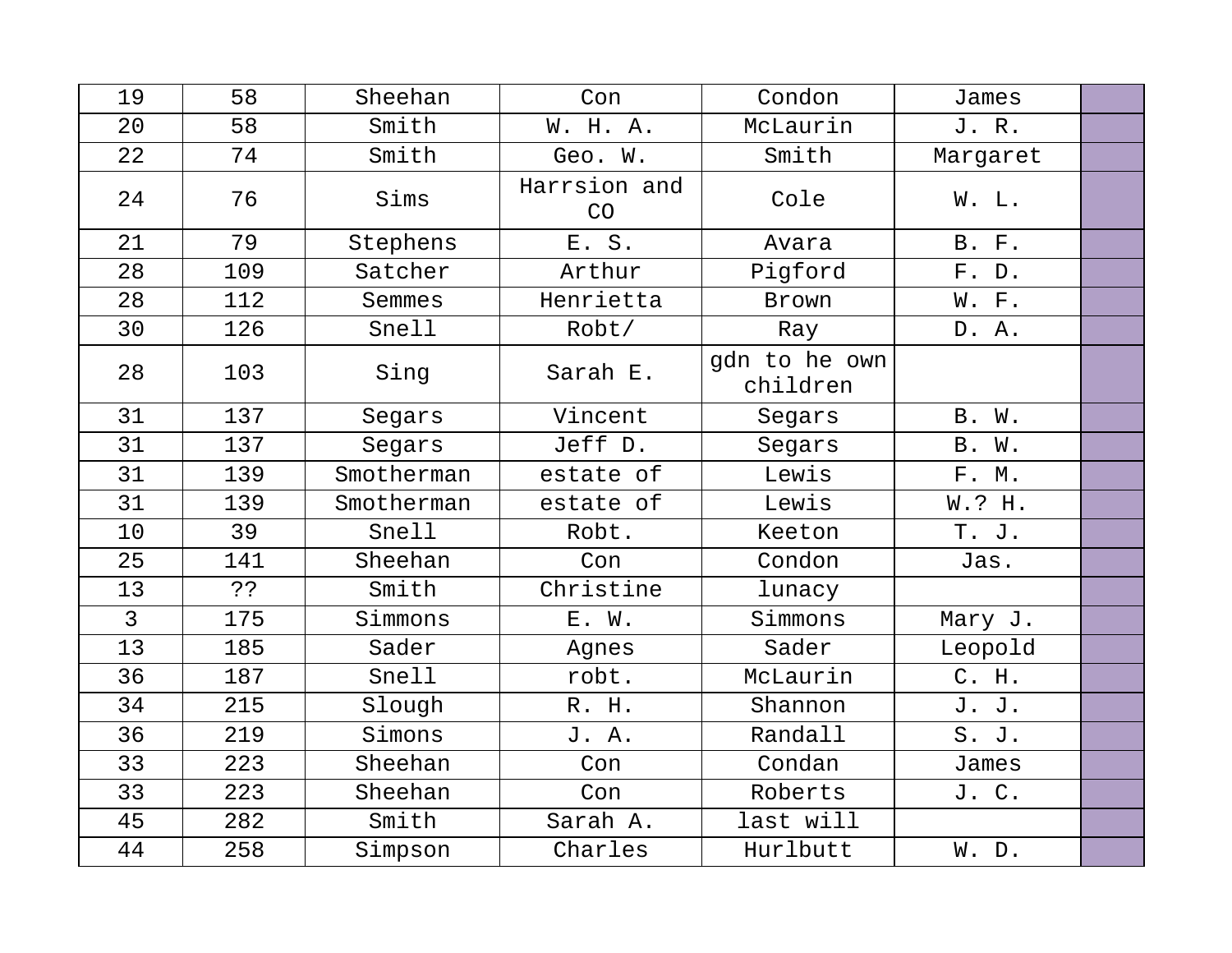| 19             | 58  | Sheehan    | Con                | Condon                    | James        |  |
|----------------|-----|------------|--------------------|---------------------------|--------------|--|
| 20             | 58  | Smith      | W. H. A.           | McLaurin                  | J. R.        |  |
| 22             | 74  | Smith      | Geo. W.            | Smith                     | Margaret     |  |
| 24             | 76  | Sims       | Harrsion and<br>CO | Cole                      | W. L.        |  |
| 21             | 79  | Stephens   | E. S.              | Avara                     | <b>B.</b> F. |  |
| 28             | 109 | Satcher    | Arthur             | Pigford                   | F. D.        |  |
| 28             | 112 | Semmes     | Henrietta          | Brown                     | W. F.        |  |
| 30             | 126 | Snell      | Robt/              | Ray                       | D. A.        |  |
| 28             | 103 | Sing       | Sarah E.           | qdn to he own<br>children |              |  |
| 31             | 137 | Segars     | Vincent            | Segars                    | B. W.        |  |
| 31             | 137 | Segars     | Jeff D.            | Segars                    | B. W.        |  |
| 31             | 139 | Smotherman | estate of          | Lewis                     | F. M.        |  |
| 31             | 139 | Smotherman | estate of          | Lewis                     | W.? H.       |  |
| 10             | 39  | Snell      | Robt.              | Keeton                    | T. J.        |  |
| 25             | 141 | Sheehan    | Con                | Condon                    | Jas.         |  |
| 13             | خ ذ | Smith      | Christine          | lunacy                    |              |  |
| $\overline{3}$ | 175 | Simmons    | E. W.              | Simmons                   | Mary J.      |  |
| 13             | 185 | Sader      | Agnes              | Sader                     | Leopold      |  |
| 36             | 187 | Snell      | robt.              | McLaurin                  | C. H.        |  |
| 34             | 215 | Slough     | R. H.              | Shannon                   | J. J.        |  |
| 36             | 219 | Simons     | J. A.              | Randall                   | S. J.        |  |
| 33             | 223 | Sheehan    | Con                | Condan                    | James        |  |
| 33             | 223 | Sheehan    | Con                | Roberts                   | J. C.        |  |
| 45             | 282 | Smith      | Sarah A.           | last will                 |              |  |
| 44             | 258 | Simpson    | Charles            | Hurlbutt                  | W. D.        |  |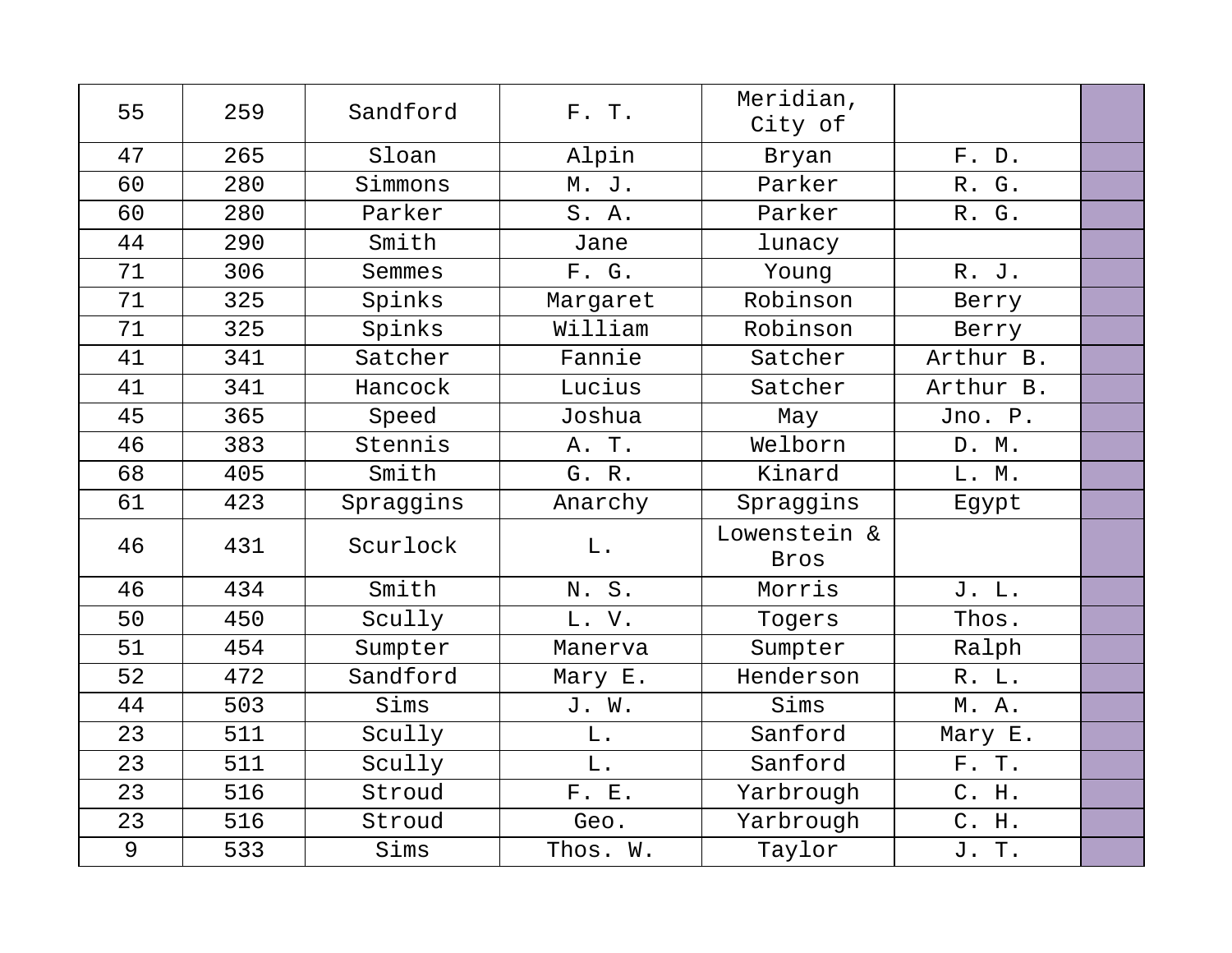| 55 | 259 | Sandford  | F. T.       | Meridian,<br>City of |           |  |
|----|-----|-----------|-------------|----------------------|-----------|--|
| 47 | 265 | Sloan     | Alpin       | Bryan                | F. D.     |  |
| 60 | 280 | Simmons   | M. J.       | Parker               | R. G.     |  |
| 60 | 280 | Parker    | S. A.       | Parker               | R. G.     |  |
| 44 | 290 | Smith     | Jane        | lunacy               |           |  |
| 71 | 306 | Semmes    | F. G.       | Young                | R. J.     |  |
| 71 | 325 | Spinks    | Margaret    | Robinson             | Berry     |  |
| 71 | 325 | Spinks    | William     | Robinson             | Berry     |  |
| 41 | 341 | Satcher   | Fannie      | Satcher              | Arthur B. |  |
| 41 | 341 | Hancock   | Lucius      | Satcher              | Arthur B. |  |
| 45 | 365 | Speed     | Joshua      | May                  | Jno. P.   |  |
| 46 | 383 | Stennis   | A. T.       | Welborn              | D. M.     |  |
| 68 | 405 | Smith     | G. R.       | Kinard               | L. M.     |  |
| 61 | 423 | Spraggins | Anarchy     | Spraggins            | Egypt     |  |
| 46 | 431 | Scurlock  | ${\bf L}$ . | Lowenstein &<br>Bros |           |  |
| 46 | 434 | Smith     | N.S.        | Morris               | J. L.     |  |
| 50 | 450 | Scully    | L. V.       | Togers               | Thos.     |  |
| 51 | 454 | Sumpter   | Manerva     | Sumpter              | Ralph     |  |
| 52 | 472 | Sandford  | Mary E.     | Henderson            | R. L.     |  |
| 44 | 503 | Sims      | J. W.       | Sims                 | M. A.     |  |
| 23 | 511 | Scully    | $L$ .       | Sanford              | Mary E.   |  |
| 23 | 511 | Scully    | L.          | Sanford              | F. T.     |  |
| 23 | 516 | Stroud    | F. E.       | Yarbrough            | C. H.     |  |
| 23 | 516 | Stroud    | Geo.        | Yarbrough            | C. H.     |  |
| 9  | 533 | Sims      | Thos. W.    | Taylor               | J. T.     |  |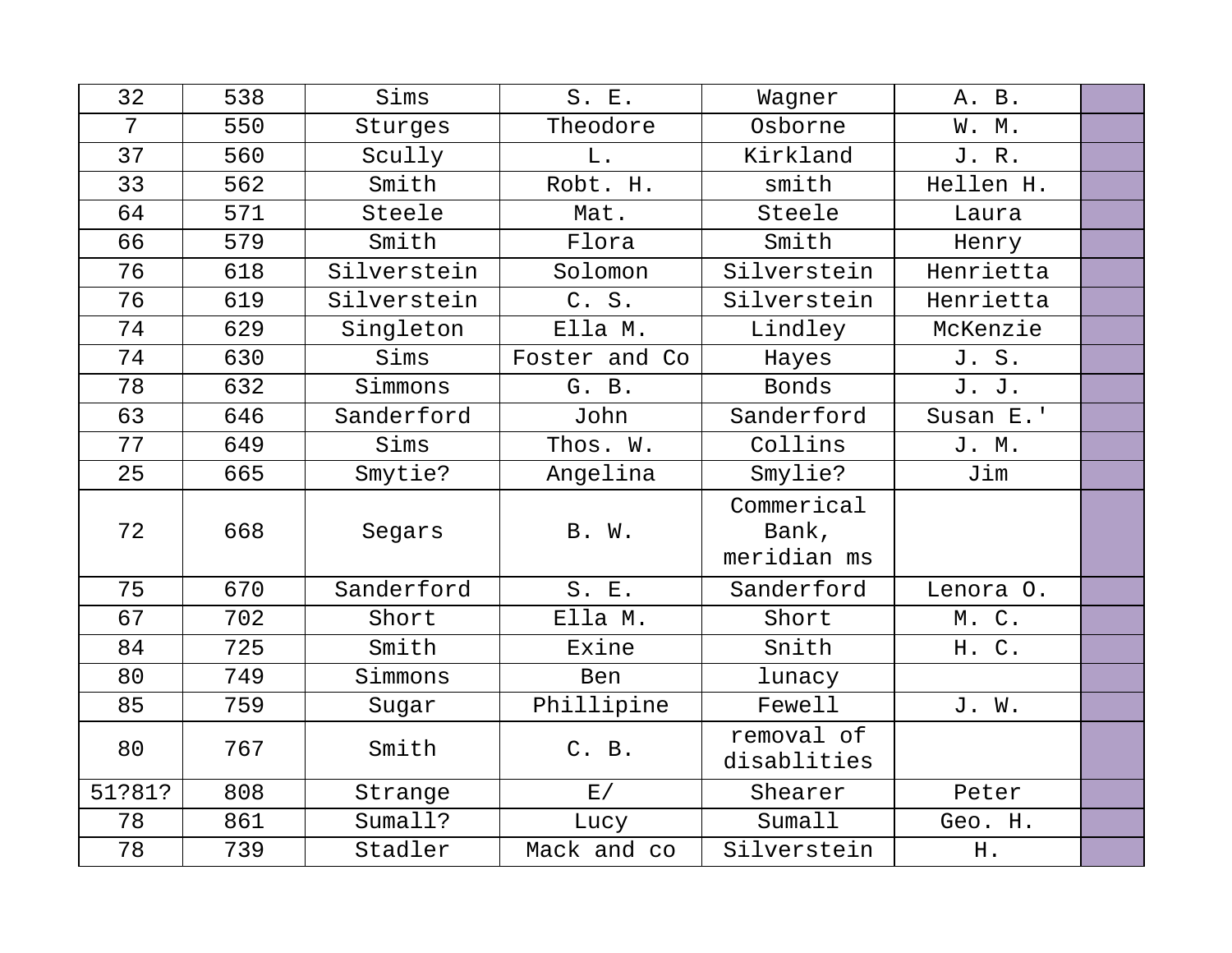| 32     | 538 | Sims        | S. E.         | Wagner                             | A. B.     |  |
|--------|-----|-------------|---------------|------------------------------------|-----------|--|
| 7      | 550 | Sturges     | Theodore      | Osborne                            | W. M.     |  |
| 37     | 560 | Scully      | $L$ .         | Kirkland                           | J.R.      |  |
| 33     | 562 | Smith       | Robt. H.      | smith                              | Hellen H. |  |
| 64     | 571 | Steele      | Mat.          | Steele                             | Laura     |  |
| 66     | 579 | Smith       | Flora         | Smith                              | Henry     |  |
| 76     | 618 | Silverstein | Solomon       | Silverstein                        | Henrietta |  |
| 76     | 619 | Silverstein | C. S.         | Silverstein                        | Henrietta |  |
| 74     | 629 | Singleton   | Ella M.       | Lindley                            | McKenzie  |  |
| 74     | 630 | Sims        | Foster and Co | Hayes                              | J. S.     |  |
| 78     | 632 | Simmons     | G. B.         | Bonds                              | J. J.     |  |
| 63     | 646 | Sanderford  | John          | Sanderford                         | Susan E.' |  |
| 77     | 649 | Sims        | Thos. W.      | Collins                            | J. M.     |  |
| 25     | 665 | Smytie?     | Angelina      | Smylie?                            | Jim       |  |
| 72     | 668 | Segars      | B. W.         | Commerical<br>Bank,<br>meridian ms |           |  |
| 75     | 670 | Sanderford  | S. E.         | Sanderford                         | Lenora O. |  |
| 67     | 702 | Short       | Ella M.       | Short                              | M. C.     |  |
| 84     | 725 | Smith       | Exine         | Snith                              | H. C.     |  |
| 80     | 749 | Simmons     | Ben           | lunacy                             |           |  |
| 85     | 759 | Sugar       | Phillipine    | Fewell                             | J. W.     |  |
| 80     | 767 | Smith       | C. B.         | removal of<br>disablities          |           |  |
| 51?81? | 808 | Strange     | E/            | Shearer                            | Peter     |  |
| 78     | 861 | Sumall?     | Lucy          | Sumall                             | Geo. H.   |  |
| 78     | 739 | Stadler     | Mack and co   | Silverstein                        | H.        |  |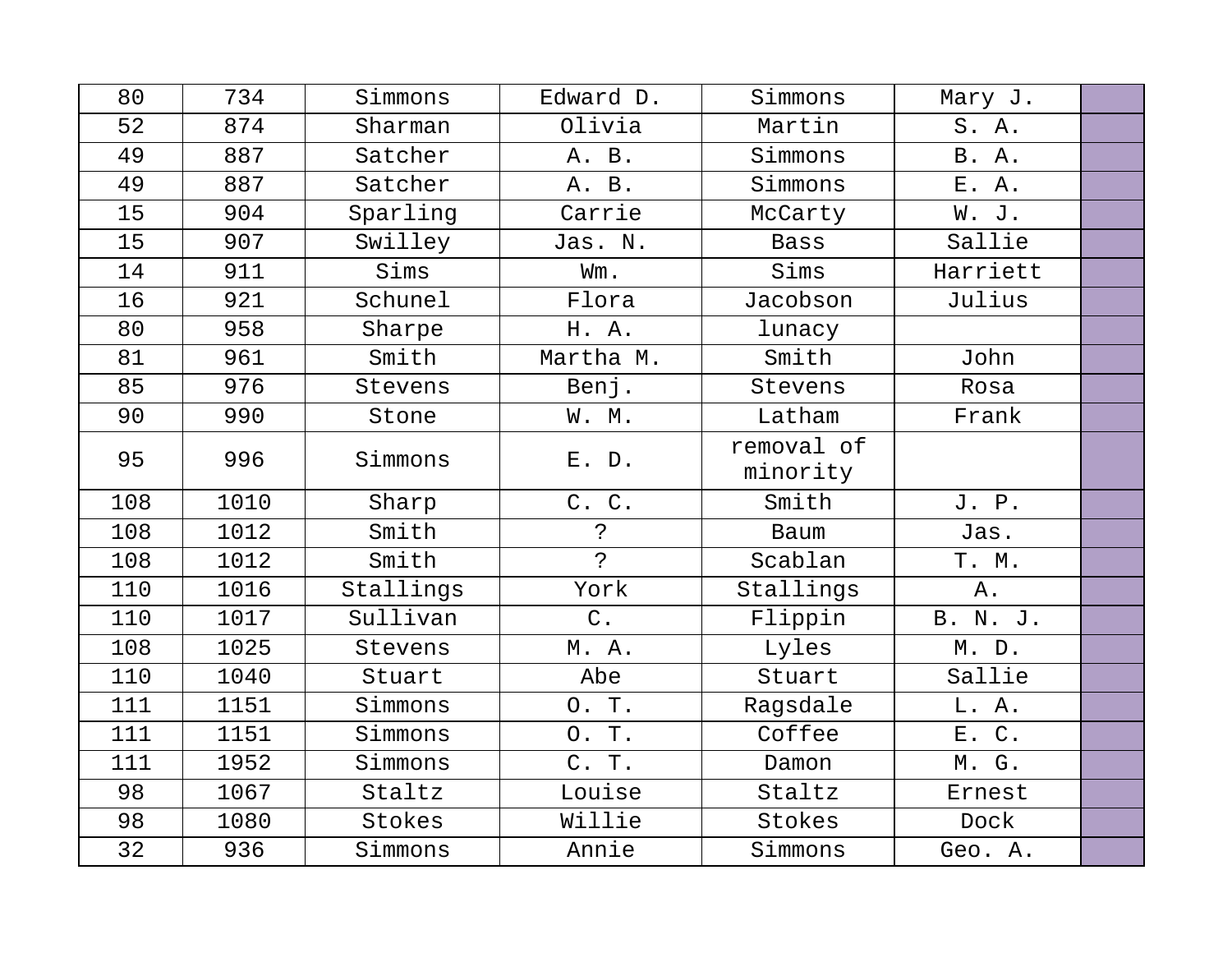| 80  | 734  | Simmons   | Edward D.           | Simmons                | Mary J.      |  |
|-----|------|-----------|---------------------|------------------------|--------------|--|
| 52  | 874  | Sharman   | Olivia              | Martin                 | S.A.         |  |
| 49  | 887  | Satcher   | A. B.               | Simmons                | <b>B.</b> A. |  |
| 49  | 887  | Satcher   | A. B.               | Simmons                | E. A.        |  |
| 15  | 904  | Sparling  | Carrie              | McCarty                | W. J.        |  |
| 15  | 907  | Swilley   | Jas. N.             | <b>Bass</b>            | Sallie       |  |
| 14  | 911  | Sims      | Wm.                 | Sims                   | Harriett     |  |
| 16  | 921  | Schunel   | Flora               | Jacobson               | Julius       |  |
| 80  | 958  | Sharpe    | H. A.               | lunacy                 |              |  |
| 81  | 961  | Smith     | Martha M.           | Smith                  | John         |  |
| 85  | 976  | Stevens   | Benj.               | Stevens                | Rosa         |  |
| 90  | 990  | Stone     | W. M.               | Latham                 | Frank        |  |
| 95  | 996  | Simmons   | E. D.               | removal of<br>minority |              |  |
| 108 | 1010 | Sharp     | C. C.               | Smith                  | J. P.        |  |
| 108 | 1012 | Smith     | $\ddot{\cdot}$      | Baum                   | Jas.         |  |
| 108 | 1012 | Smith     | $\tilde{P}$         | Scablan                | T. M.        |  |
| 110 | 1016 | Stallings | York                | Stallings              | ${\tt A}$ .  |  |
| 110 | 1017 | Sullivan  | $C$ .               | Flippin                | B. N. J.     |  |
| 108 | 1025 | Stevens   | M. A.               | Lyles                  | M. D.        |  |
| 110 | 1040 | Stuart    | Abe                 | Stuart                 | Sallie       |  |
| 111 | 1151 | Simmons   | O. T.               | Ragsdale               | L. A.        |  |
| 111 | 1151 | Simmons   | $\mathbf T$ .<br>О. | Coffee                 | E. C.        |  |
| 111 | 1952 | Simmons   | C. T.               | Damon                  | M. G.        |  |
| 98  | 1067 | Staltz    | Louise              | Staltz                 | Ernest       |  |
| 98  | 1080 | Stokes    | Willie              | Stokes                 | Dock         |  |
| 32  | 936  | Simmons   | Annie               | Simmons                | Geo. A.      |  |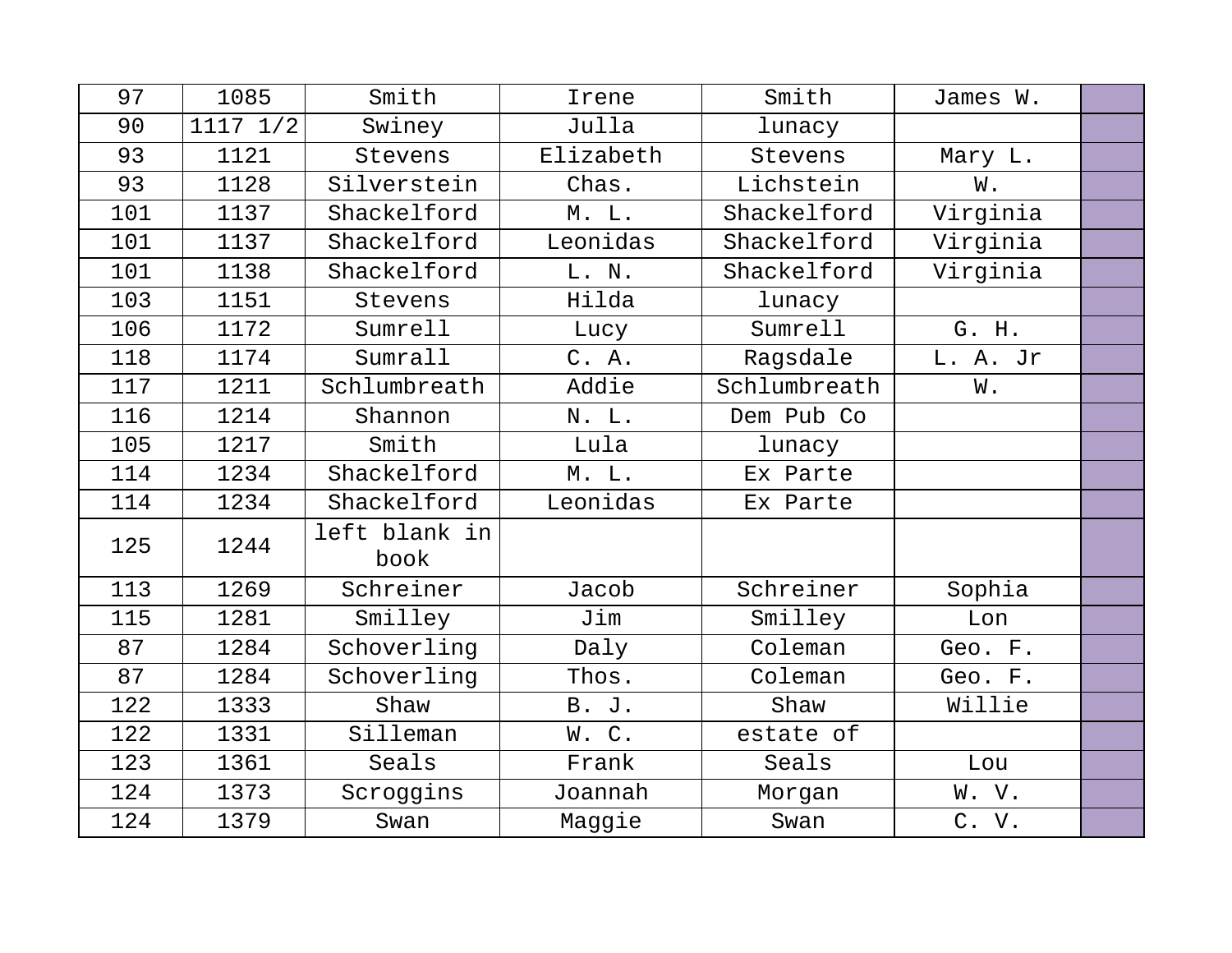| 97  | 1085     | Smith                 | Irene     | Smith        | James W. |  |
|-----|----------|-----------------------|-----------|--------------|----------|--|
| 90  | 1117 1/2 | Swiney                | Julla     | lunacy       |          |  |
| 93  | 1121     | Stevens               | Elizabeth | Stevens      | Mary L.  |  |
| 93  | 1128     | Silverstein           | Chas.     | Lichstein    | W.       |  |
| 101 | 1137     | Shackelford           | $M.$ $L.$ | Shackelford  | Virginia |  |
| 101 | 1137     | Shackelford           | Leonidas  | Shackelford  | Virginia |  |
| 101 | 1138     | Shackelford           | L. N.     | Shackelford  | Virginia |  |
| 103 | 1151     | Stevens               | Hilda     | lunacy       |          |  |
| 106 | 1172     | Sumrell               | Lucy      | Sumrell      | G. H.    |  |
| 118 | 1174     | Sumrall               | C. A.     | Ragsdale     | L. A. Jr |  |
| 117 | 1211     | Schlumbreath          | Addie     | Schlumbreath | W.       |  |
| 116 | 1214     | Shannon               | N. L.     | Dem Pub Co   |          |  |
| 105 | 1217     | Smith                 | Lula      | lunacy       |          |  |
| 114 | 1234     | Shackelford           | M. L.     | Ex Parte     |          |  |
| 114 | 1234     | Shackelford           | Leonidas  | Ex Parte     |          |  |
| 125 | 1244     | left blank in<br>book |           |              |          |  |
| 113 | 1269     | Schreiner             | Jacob     | Schreiner    | Sophia   |  |
| 115 | 1281     | Smilley               | Jim       | Smilley      | Lon      |  |
| 87  | 1284     | Schoverling           | Daly      | Coleman      | Geo. F.  |  |
| 87  | 1284     | Schoverling           | Thos.     | Coleman      | Geo. F.  |  |
| 122 | 1333     | Shaw                  | B. J.     | Shaw         | Willie   |  |
| 122 | 1331     | Silleman              | W.C.      | estate of    |          |  |
| 123 | 1361     | Seals                 | Frank     | Seals        | Lou      |  |
| 124 | 1373     | Scroggins             | Joannah   | Morgan       | W. V.    |  |
| 124 | 1379     | Swan                  | Maggie    | Swan         | C. V.    |  |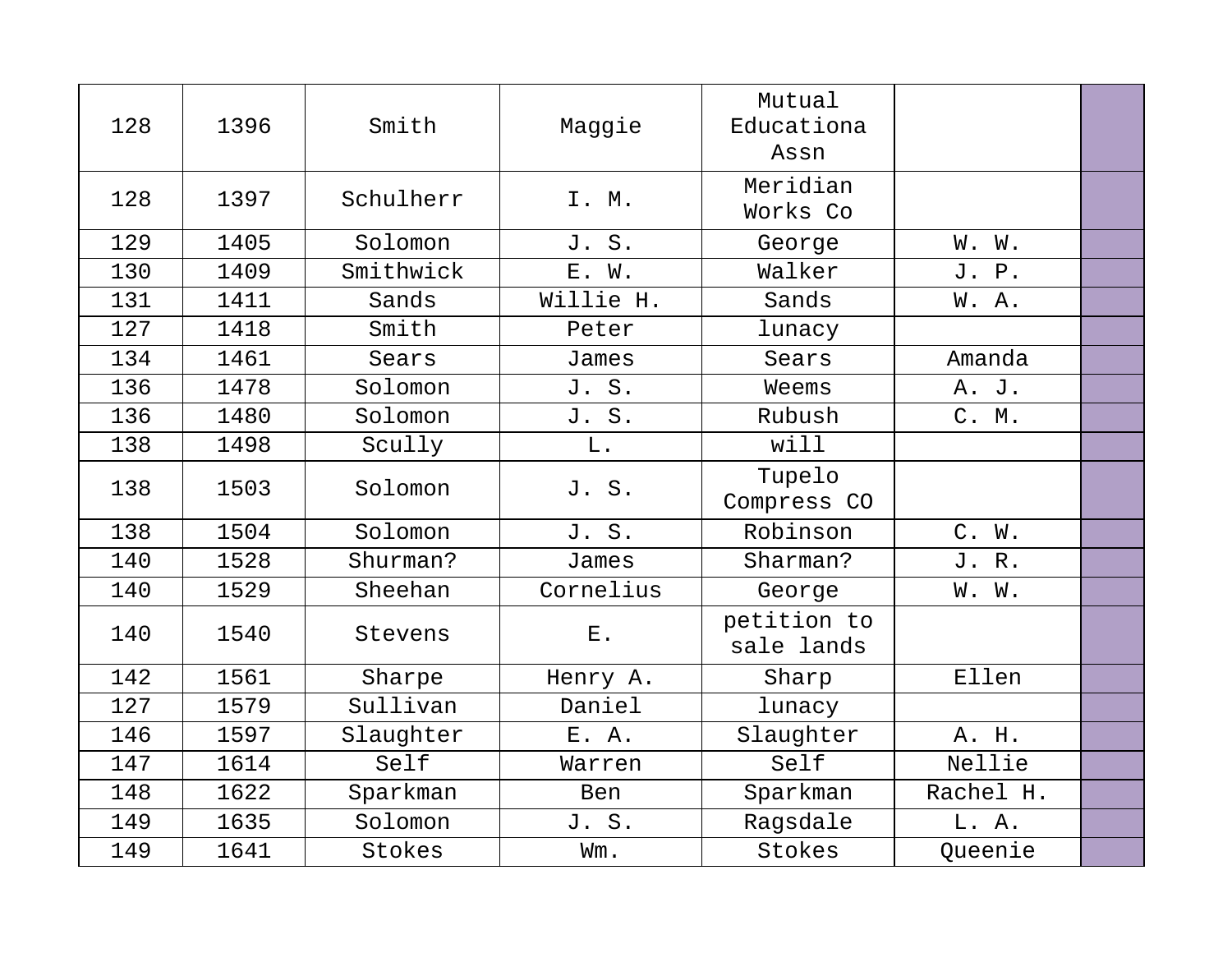| 128 | 1396 | Smith     | Maggie      | Mutual<br>Educationa<br>Assn |           |  |
|-----|------|-----------|-------------|------------------------------|-----------|--|
| 128 | 1397 | Schulherr | I. M.       | Meridian<br>Works Co         |           |  |
| 129 | 1405 | Solomon   | J. S.       | George                       | W. W.     |  |
| 130 | 1409 | Smithwick | E. W.       | Walker                       | J. P.     |  |
| 131 | 1411 | Sands     | Willie H.   | Sands                        | W.A.      |  |
| 127 | 1418 | Smith     | Peter       | lunacy                       |           |  |
| 134 | 1461 | Sears     | James       | Sears                        | Amanda    |  |
| 136 | 1478 | Solomon   | J. S.       | Weems                        | A. J.     |  |
| 136 | 1480 | Solomon   | J. S.       | Rubush                       | C. M.     |  |
| 138 | 1498 | Scully    | L.          | will                         |           |  |
| 138 | 1503 | Solomon   | J. S.       | Tupelo<br>Compress CO        |           |  |
| 138 | 1504 | Solomon   | J. S.       | Robinson                     | C. W.     |  |
| 140 | 1528 | Shurman?  | James       | Sharman?                     | J. R.     |  |
| 140 | 1529 | Sheehan   | Cornelius   | George                       | W. W.     |  |
| 140 | 1540 | Stevens   | ${\bf E}$ . | petition to<br>sale lands    |           |  |
| 142 | 1561 | Sharpe    | Henry A.    | Sharp                        | Ellen     |  |
| 127 | 1579 | Sullivan  | Daniel      | lunacy                       |           |  |
| 146 | 1597 | Slaughter | E. A.       | Slaughter                    | A. H.     |  |
| 147 | 1614 | Self      | Warren      | Self                         | Nellie    |  |
| 148 | 1622 | Sparkman  | Ben         | Sparkman                     | Rachel H. |  |
| 149 | 1635 | Solomon   | J. S.       | Ragsdale                     | L. A.     |  |
| 149 | 1641 | Stokes    | Wm.         | Stokes                       | Queenie   |  |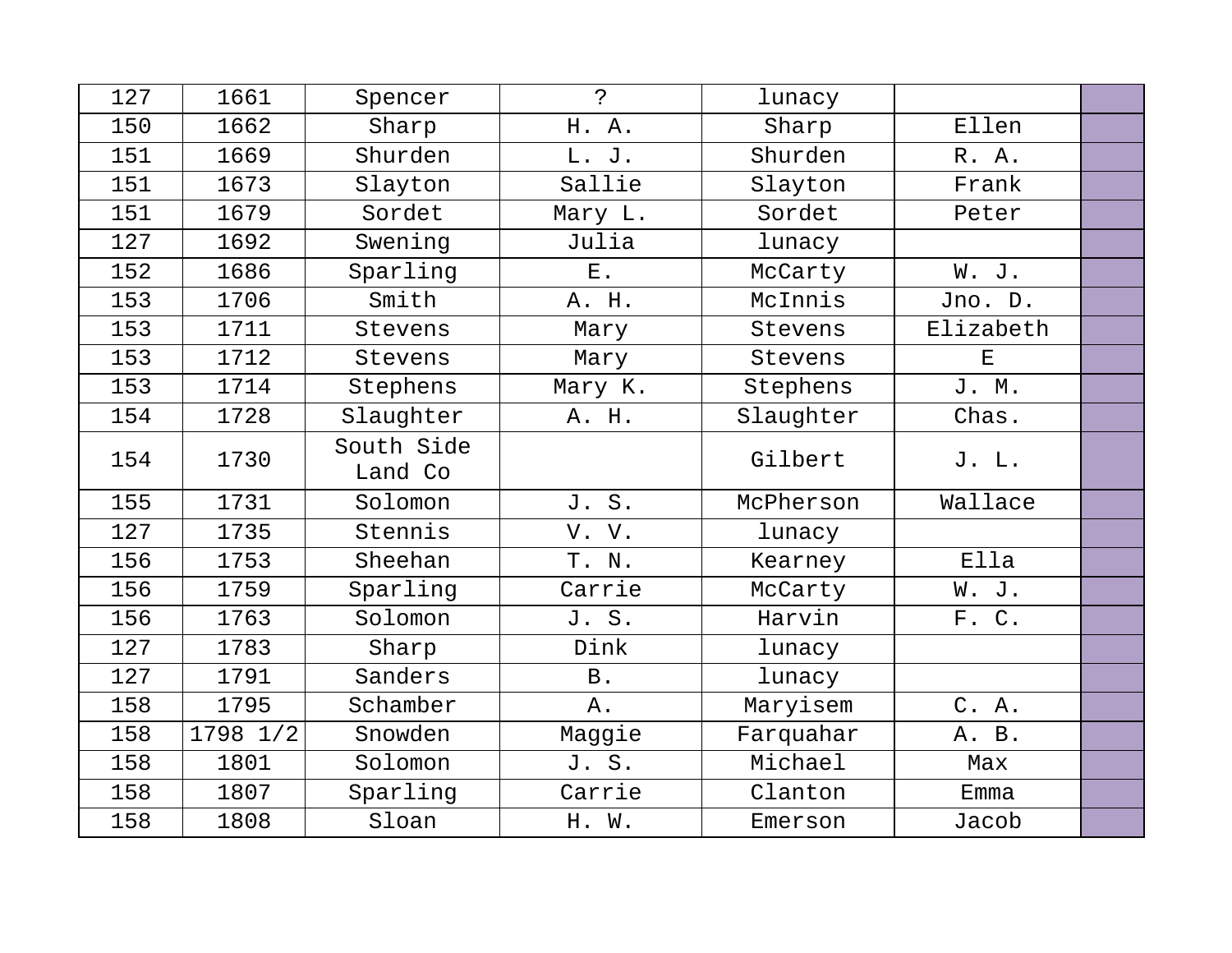| 127 | 1661     | Spencer               | $\mathbf{P}$   | lunacy    |                                                                                                |  |
|-----|----------|-----------------------|----------------|-----------|------------------------------------------------------------------------------------------------|--|
| 150 | 1662     | Sharp                 | H. A.          | Sharp     | Ellen                                                                                          |  |
| 151 | 1669     | Shurden               | L. J.          | Shurden   | R. A.                                                                                          |  |
| 151 | 1673     | Slayton               | Sallie         | Slayton   | Frank                                                                                          |  |
| 151 | 1679     | Sordet                | Mary L.        | Sordet    | Peter                                                                                          |  |
| 127 | 1692     | Swening               | Julia          | lunacy    |                                                                                                |  |
| 152 | 1686     | Sparling              | $\mathbf{E}$ . | McCarty   | W. J.                                                                                          |  |
| 153 | 1706     | Smith                 | A. H.          | McInnis   | Jno. D.                                                                                        |  |
| 153 | 1711     | Stevens               | Mary           | Stevens   | Elizabeth                                                                                      |  |
| 153 | 1712     | Stevens               | Mary           | Stevens   | $\mathbf{E}% _{t}\left  \mathbf{1}\right\rangle =\mathbf{1}_{t}\left  \mathbf{1}\right\rangle$ |  |
| 153 | 1714     | Stephens              | Mary K.        | Stephens  | J. M.                                                                                          |  |
| 154 | 1728     | Slaughter             | A. H.          | Slaughter | Chas.                                                                                          |  |
| 154 | 1730     | South Side<br>Land Co |                | Gilbert   | J. L.                                                                                          |  |
| 155 | 1731     | Solomon               | J. S.          | McPherson | Wallace                                                                                        |  |
| 127 | 1735     | Stennis               | V. V.          | lunacy    |                                                                                                |  |
| 156 | 1753     | Sheehan               | T. N.          | Kearney   | Ella                                                                                           |  |
| 156 | 1759     | Sparling              | Carrie         | McCarty   | W. J.                                                                                          |  |
| 156 | 1763     | Solomon               | J. S.          | Harvin    | F. C.                                                                                          |  |
| 127 | 1783     | Sharp                 | Dink           | lunacy    |                                                                                                |  |
| 127 | 1791     | Sanders               | B.             | lunacy    |                                                                                                |  |
| 158 | 1795     | Schamber              | Α.             | Maryisem  | C. A.                                                                                          |  |
| 158 | 1798 1/2 | Snowden               | Maggie         | Farquahar | A. B.                                                                                          |  |
| 158 | 1801     | Solomon               | J. S.          | Michael   | Max                                                                                            |  |
| 158 | 1807     | Sparling              | Carrie         | Clanton   | Emma                                                                                           |  |
| 158 | 1808     | Sloan                 | H. W.          | Emerson   | Jacob                                                                                          |  |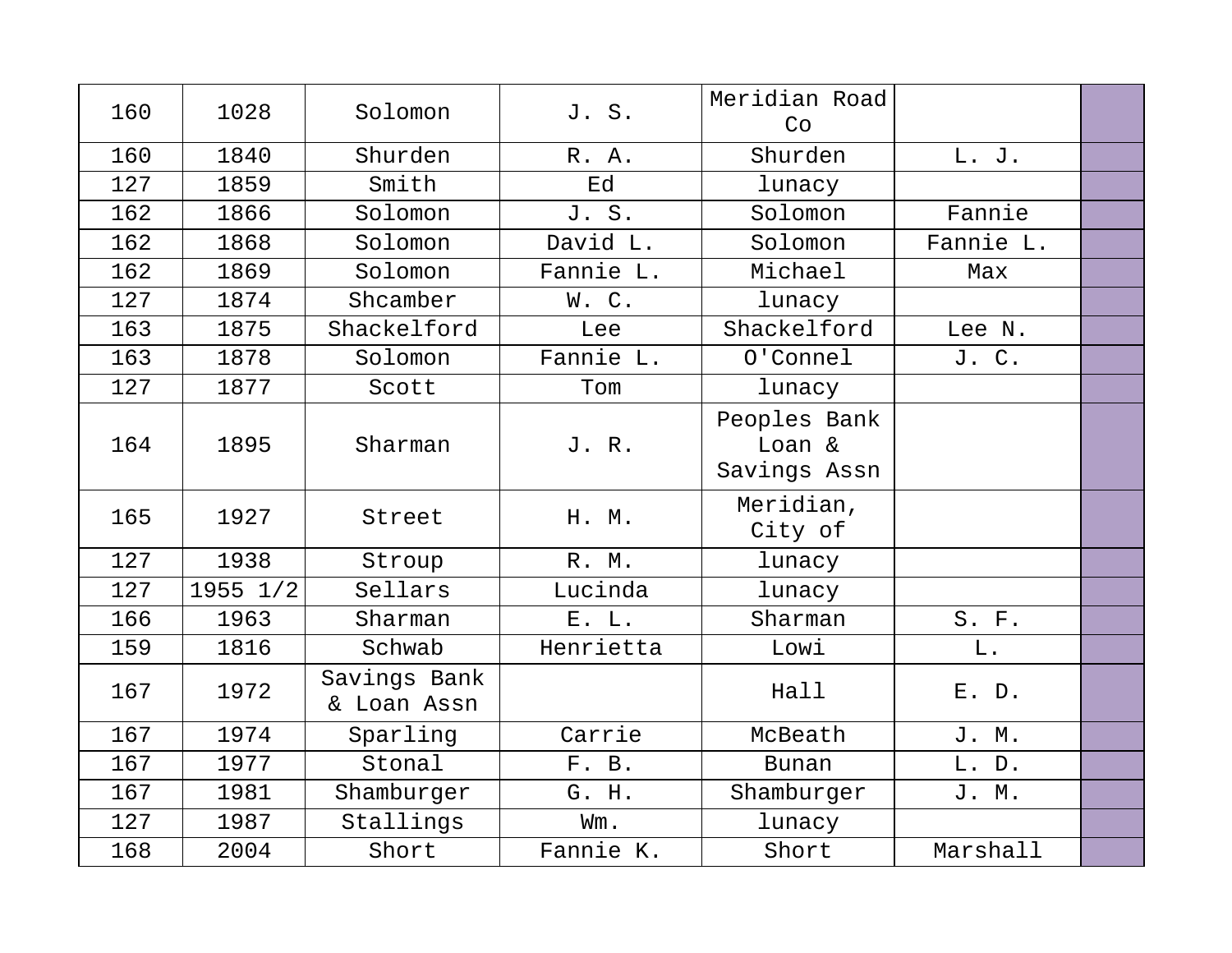| 160 | 1028         | Solomon                     | J. S.     | Meridian Road<br>Co                    |           |  |
|-----|--------------|-----------------------------|-----------|----------------------------------------|-----------|--|
| 160 | 1840         | Shurden                     | R. A.     | Shurden                                | L. J.     |  |
| 127 | 1859         | Smith                       | Ed        | lunacy                                 |           |  |
| 162 | 1866         | Solomon                     | J. S.     | Solomon                                | Fannie    |  |
| 162 | 1868         | Solomon                     | David L.  | Solomon                                | Fannie L. |  |
| 162 | 1869         | Solomon                     | Fannie L. | Michael                                | Max       |  |
| 127 | 1874         | Shcamber                    | W.C.      | lunacy                                 |           |  |
| 163 | 1875         | Shackelford                 | Lee       | Shackelford                            | Lee N.    |  |
| 163 | 1878         | Solomon                     | Fannie L. | O'Connel                               | J. C.     |  |
| 127 | 1877         | Scott                       | Tom       | lunacy                                 |           |  |
| 164 | 1895         | Sharman                     | J. R.     | Peoples Bank<br>Loan &<br>Savings Assn |           |  |
| 165 | 1927         | Street                      | H. M.     | Meridian,<br>City of                   |           |  |
| 127 | 1938         | Stroup                      | R. M.     | lunacy                                 |           |  |
| 127 | $1955$ $1/2$ | Sellars                     | Lucinda   | lunacy                                 |           |  |
| 166 | 1963         | Sharman                     | E. L.     | Sharman                                | S. F.     |  |
| 159 | 1816         | Schwab                      | Henrietta | Lowi                                   | L.        |  |
| 167 | 1972         | Savings Bank<br>& Loan Assn |           | Hall                                   | E. D.     |  |
| 167 | 1974         | Sparling                    | Carrie    | McBeath                                | J. M.     |  |
| 167 | 1977         | Stonal                      | F. B.     | <b>Bunan</b>                           | L. D.     |  |
| 167 | 1981         | Shamburger                  | G. H.     | Shamburger                             | J. M.     |  |
| 127 | 1987         | Stallings                   | Wm.       | lunacy                                 |           |  |
| 168 | 2004         | Short                       | Fannie K. | Short                                  | Marshall  |  |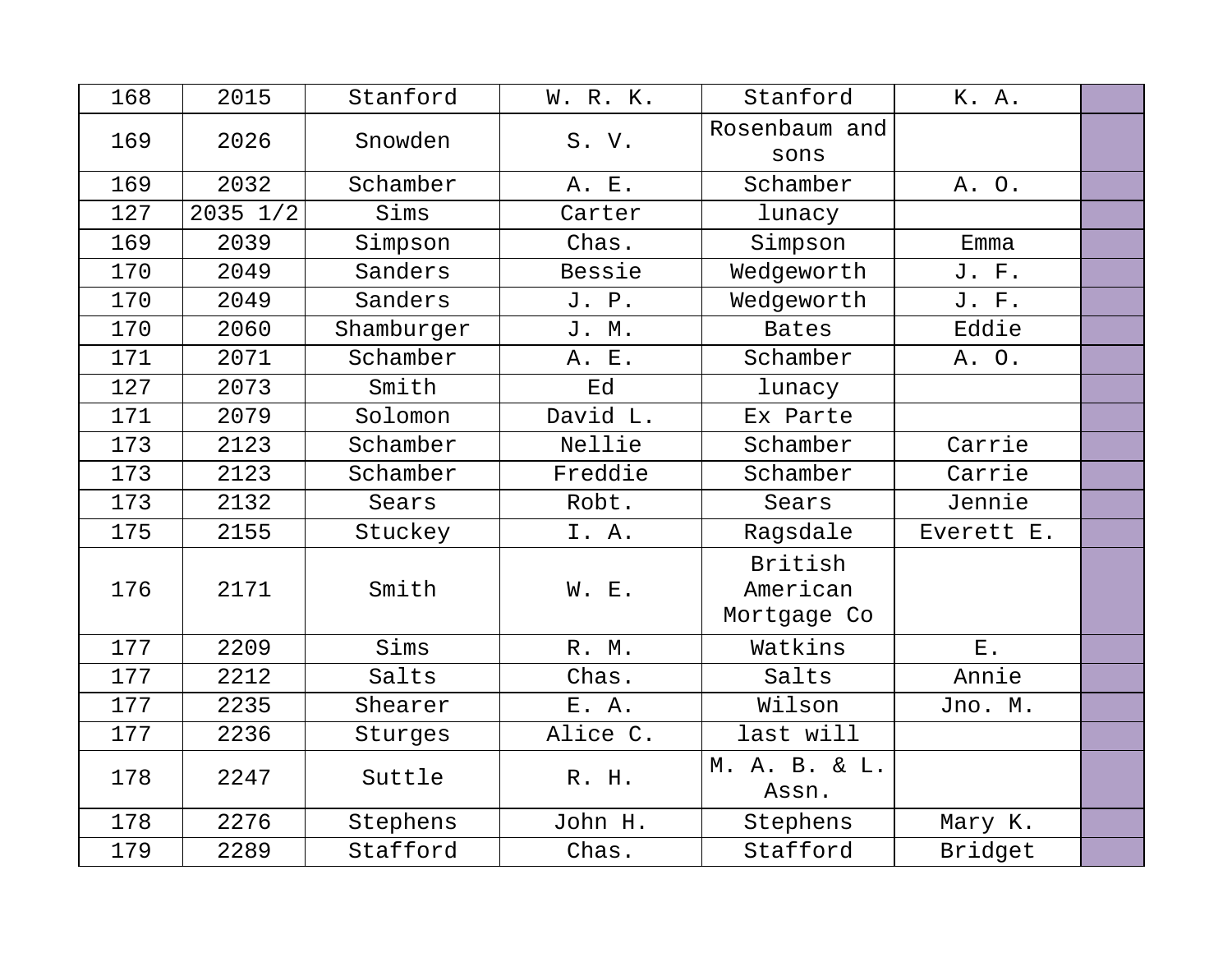| 168 | 2015         | Stanford   | W. R. K. | Stanford                           | K. A.       |  |
|-----|--------------|------------|----------|------------------------------------|-------------|--|
| 169 | 2026         | Snowden    | S. V.    | Rosenbaum and<br>sons              |             |  |
| 169 | 2032         | Schamber   | A. E.    | Schamber                           | A. O.       |  |
| 127 | $2035$ $1/2$ | Sims       | Carter   | lunacy                             |             |  |
| 169 | 2039         | Simpson    | Chas.    | Simpson                            | Emma        |  |
| 170 | 2049         | Sanders    | Bessie   | Wedgeworth                         | J. F.       |  |
| 170 | 2049         | Sanders    | J. P.    | Wedgeworth                         | J. F.       |  |
| 170 | 2060         | Shamburger | J. M.    | <b>Bates</b>                       | Eddie       |  |
| 171 | 2071         | Schamber   | A. E.    | Schamber                           | A. O.       |  |
| 127 | 2073         | Smith      | Ed       | lunacy                             |             |  |
| 171 | 2079         | Solomon    | David L. | Ex Parte                           |             |  |
| 173 | 2123         | Schamber   | Nellie   | Schamber                           | Carrie      |  |
| 173 | 2123         | Schamber   | Freddie  | Schamber                           | Carrie      |  |
| 173 | 2132         | Sears      | Robt.    | Sears                              | Jennie      |  |
| 175 | 2155         | Stuckey    | I. A.    | Ragsdale                           | Everett E.  |  |
| 176 | 2171         | Smith      | W. E.    | British<br>American<br>Mortgage Co |             |  |
| 177 | 2209         | Sims       | R. M.    | Watkins                            | ${\bf E}$ . |  |
| 177 | 2212         | Salts      | Chas.    | Salts                              | Annie       |  |
| 177 | 2235         | Shearer    | E. A.    | Wilson                             | Jno. M.     |  |
| 177 | 2236         | Sturges    | Alice C. | last will                          |             |  |
| 178 | 2247         | Suttle     | R. H.    | M. A. B. & L.<br>Assn.             |             |  |
| 178 | 2276         | Stephens   | John H.  | Stephens                           | Mary K.     |  |
| 179 | 2289         | Stafford   | Chas.    | Stafford                           | Bridget     |  |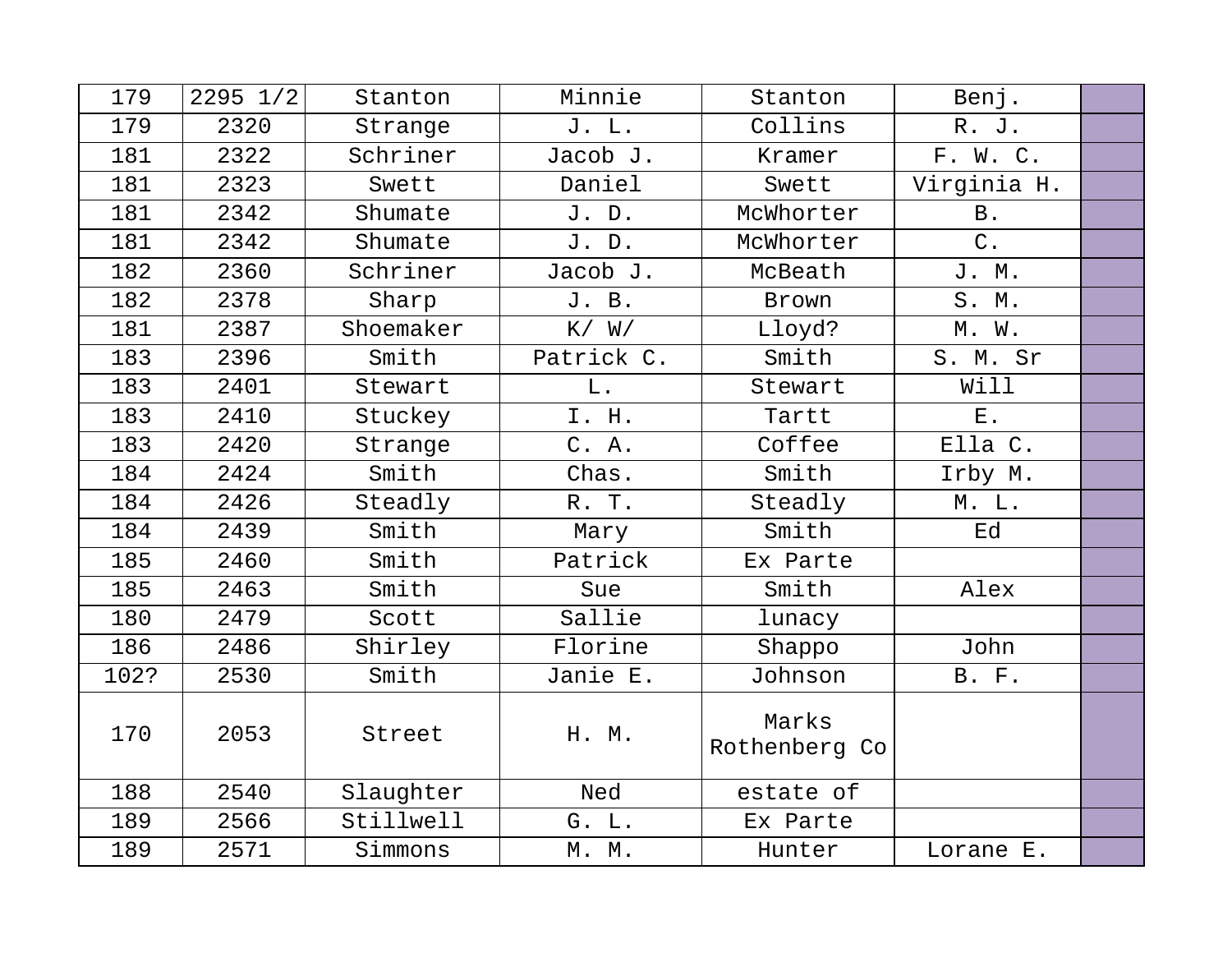| 179  | $2295$ $1/2$ | Stanton   | Minnie     | Stanton                | Benj.        |  |
|------|--------------|-----------|------------|------------------------|--------------|--|
| 179  | 2320         | Strange   | J. L.      | Collins                | R. J.        |  |
| 181  | 2322         | Schriner  | Jacob J.   | Kramer                 | F. W. C.     |  |
| 181  | 2323         | Swett     | Daniel     | Swett                  | Virginia H.  |  |
| 181  | 2342         | Shumate   | J. D.      | McWhorter              | <b>B</b> .   |  |
| 181  | 2342         | Shumate   | J. D.      | McWhorter              | $C$ .        |  |
| 182  | 2360         | Schriner  | Jacob J.   | McBeath                | J. M.        |  |
| 182  | 2378         | Sharp     | J. B.      | Brown                  | S. M.        |  |
| 181  | 2387         | Shoemaker | K / W /    | Lloyd?                 | M. W.        |  |
| 183  | 2396         | Smith     | Patrick C. | Smith                  | S. M. Sr     |  |
| 183  | 2401         | Stewart   | L.         | Stewart                | Will         |  |
| 183  | 2410         | Stuckey   | I. H.      | Tartt                  | $E$ .        |  |
| 183  | 2420         | Strange   | C. A.      | Coffee                 | Ella C.      |  |
| 184  | 2424         | Smith     | Chas.      | Smith                  | Irby M.      |  |
| 184  | 2426         | Steadly   | R. T.      | Steadly                | M. L.        |  |
| 184  | 2439         | Smith     | Mary       | Smith                  | Ed           |  |
| 185  | 2460         | Smith     | Patrick    | Ex Parte               |              |  |
| 185  | 2463         | Smith     | Sue        | Smith                  | Alex         |  |
| 180  | 2479         | Scott     | Sallie     | lunacy                 |              |  |
| 186  | 2486         | Shirley   | Florine    | Shappo                 | John         |  |
| 102? | 2530         | Smith     | Janie E.   | Johnson                | <b>B.</b> F. |  |
| 170  | 2053         | Street    | H. M.      | Marks<br>Rothenberg Co |              |  |
| 188  | 2540         | Slaughter | Ned        | estate of              |              |  |
| 189  | 2566         | Stillwell | G. L.      | Ex Parte               |              |  |
| 189  | 2571         | Simmons   | M. M.      | Hunter                 | Lorane E.    |  |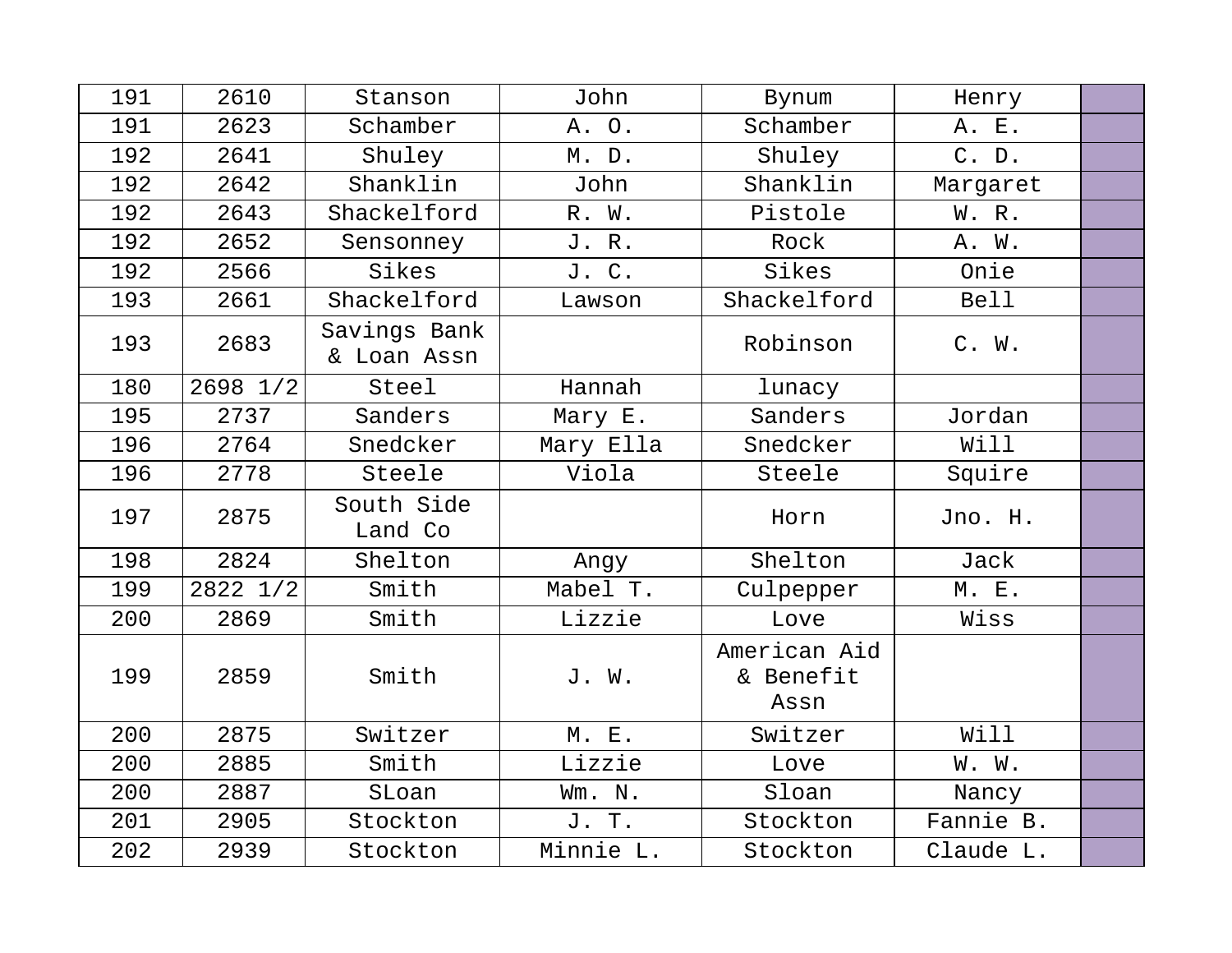| 191 | 2610     | Stanson                     | John      | Bynum                             | Henry       |  |
|-----|----------|-----------------------------|-----------|-----------------------------------|-------------|--|
| 191 | 2623     | Schamber                    | A. O.     | Schamber                          | A. E.       |  |
| 192 | 2641     | Shuley                      | M. D.     | Shuley                            | C. D.       |  |
| 192 | 2642     | Shanklin                    | John      | Shanklin                          | Margaret    |  |
| 192 | 2643     | Shackelford                 | R. W.     | Pistole                           | W. R.       |  |
| 192 | 2652     | Sensonney                   | J. R.     | Rock                              | A. W.       |  |
| 192 | 2566     | Sikes                       | J. C.     | Sikes                             | Onie        |  |
| 193 | 2661     | Shackelford                 | Lawson    | Shackelford                       | <b>Bell</b> |  |
| 193 | 2683     | Savings Bank<br>& Loan Assn |           | Robinson                          | C. W.       |  |
| 180 | 2698 1/2 | Steel                       | Hannah    | lunacy                            |             |  |
| 195 | 2737     | Sanders                     | Mary E.   | Sanders                           | Jordan      |  |
| 196 | 2764     | Snedcker                    | Mary Ella | Snedcker                          | Will        |  |
| 196 | 2778     | Steele                      | Viola     | Steele                            | Squire      |  |
| 197 | 2875     | South Side<br>Land Co       |           | Horn                              | Jno. H.     |  |
| 198 | 2824     | Shelton                     | Angy      | Shelton                           | Jack        |  |
| 199 | 2822 1/2 | Smith                       | Mabel T.  | Culpepper                         | M. E.       |  |
| 200 | 2869     | Smith                       | Lizzie    | Love                              | Wiss        |  |
| 199 | 2859     | Smith                       | J. W.     | American Aid<br>& Benefit<br>Assn |             |  |
| 200 | 2875     | Switzer                     | M. E.     | Switzer                           | Will        |  |
| 200 | 2885     | Smith                       | Lizzie    | Love                              | W. W.       |  |
| 200 | 2887     | SLoan                       | Wm. N.    | Sloan                             | Nancy       |  |
| 201 | 2905     | Stockton                    | J. T.     | Stockton                          | Fannie B.   |  |
| 202 | 2939     | Stockton                    | Minnie L. | Stockton                          | Claude L.   |  |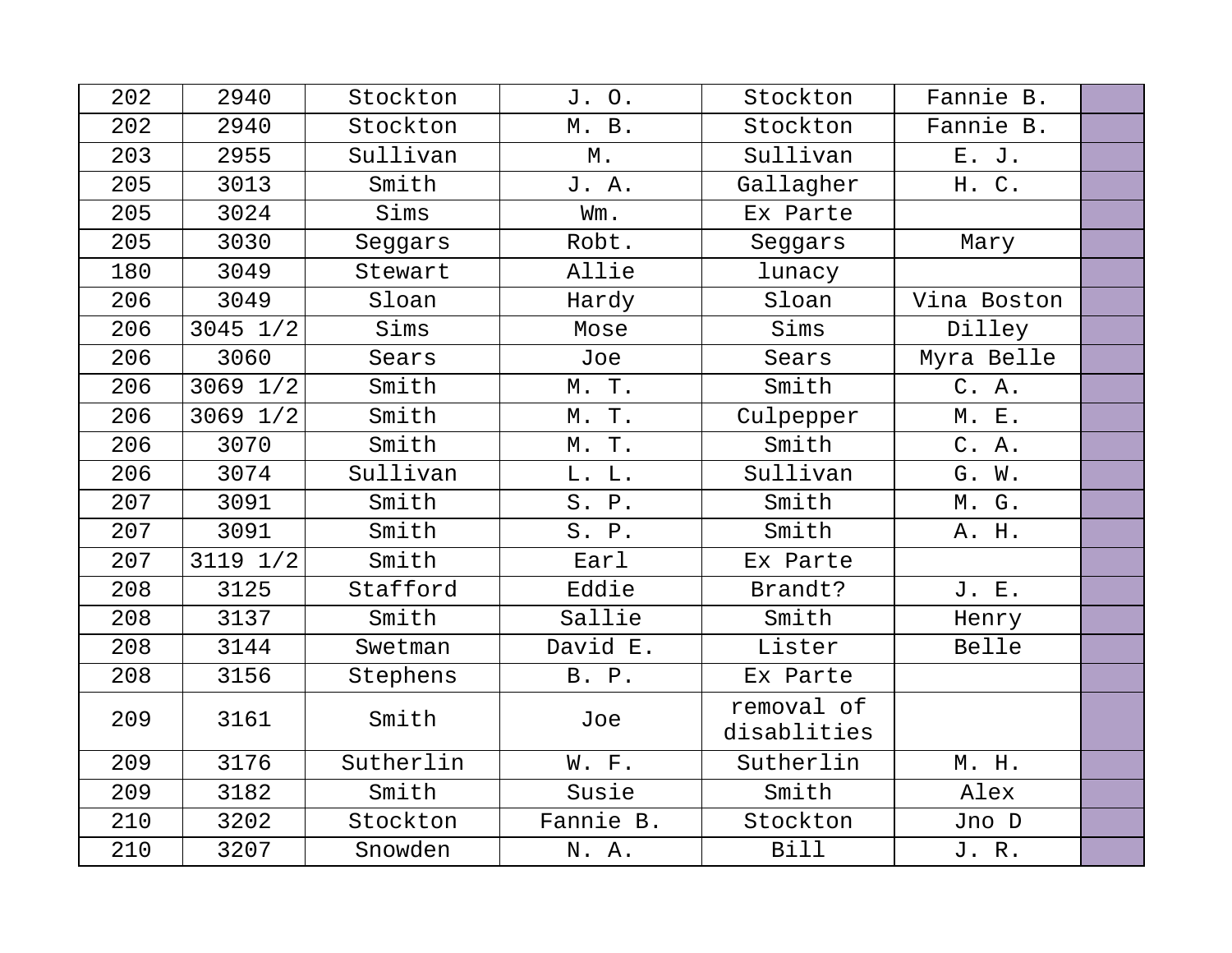| 202 | 2940         | Stockton  | J. O.     | Stockton                  | Fannie B.   |  |
|-----|--------------|-----------|-----------|---------------------------|-------------|--|
| 202 | 2940         | Stockton  | M. B.     | Stockton                  | Fannie B.   |  |
| 203 | 2955         | Sullivan  | М.        | Sullivan                  | E. J.       |  |
| 205 | 3013         | Smith     | J. A.     | Gallagher                 | H. C.       |  |
| 205 | 3024         | Sims      | Wm.       | Ex Parte                  |             |  |
| 205 | 3030         | Seggars   | Robt.     | Seggars                   | Mary        |  |
| 180 | 3049         | Stewart   | Allie     | lunacy                    |             |  |
| 206 | 3049         | Sloan     | Hardy     | Sloan                     | Vina Boston |  |
| 206 | $3045$ $1/2$ | Sims      | Mose      | Sims                      | Dilley      |  |
| 206 | 3060         | Sears     | Joe       | Sears                     | Myra Belle  |  |
| 206 | 3069 1/2     | Smith     | M. T.     | Smith                     | C. A.       |  |
| 206 | 3069 1/2     | Smith     | M. T.     | Culpepper                 | M. E.       |  |
| 206 | 3070         | Smith     | M. T.     | Smith                     | C. A.       |  |
| 206 | 3074         | Sullivan  | L. L.     | Sullivan                  | G. W.       |  |
| 207 | 3091         | Smith     | S. P.     | Smith                     | M. G.       |  |
| 207 | 3091         | Smith     | S. P.     | Smith                     | A. H.       |  |
| 207 | 3119 1/2     | Smith     | Earl      | Ex Parte                  |             |  |
| 208 | 3125         | Stafford  | Eddie     | Brandt?                   | J. E.       |  |
| 208 | 3137         | Smith     | Sallie    | Smith                     | Henry       |  |
| 208 | 3144         | Swetman   | David E.  | Lister                    | Belle       |  |
| 208 | 3156         | Stephens  | B. P.     | Ex Parte                  |             |  |
| 209 | 3161         | Smith     | Joe       | removal of<br>disablities |             |  |
| 209 | 3176         | Sutherlin | W. F.     | Sutherlin                 | M. H.       |  |
| 209 | 3182         | Smith     | Susie     | Smith                     | Alex        |  |
| 210 | 3202         | Stockton  | Fannie B. | Stockton                  | Jno D       |  |
| 210 | 3207         | Snowden   | N. A.     | <b>Bill</b>               | J. R.       |  |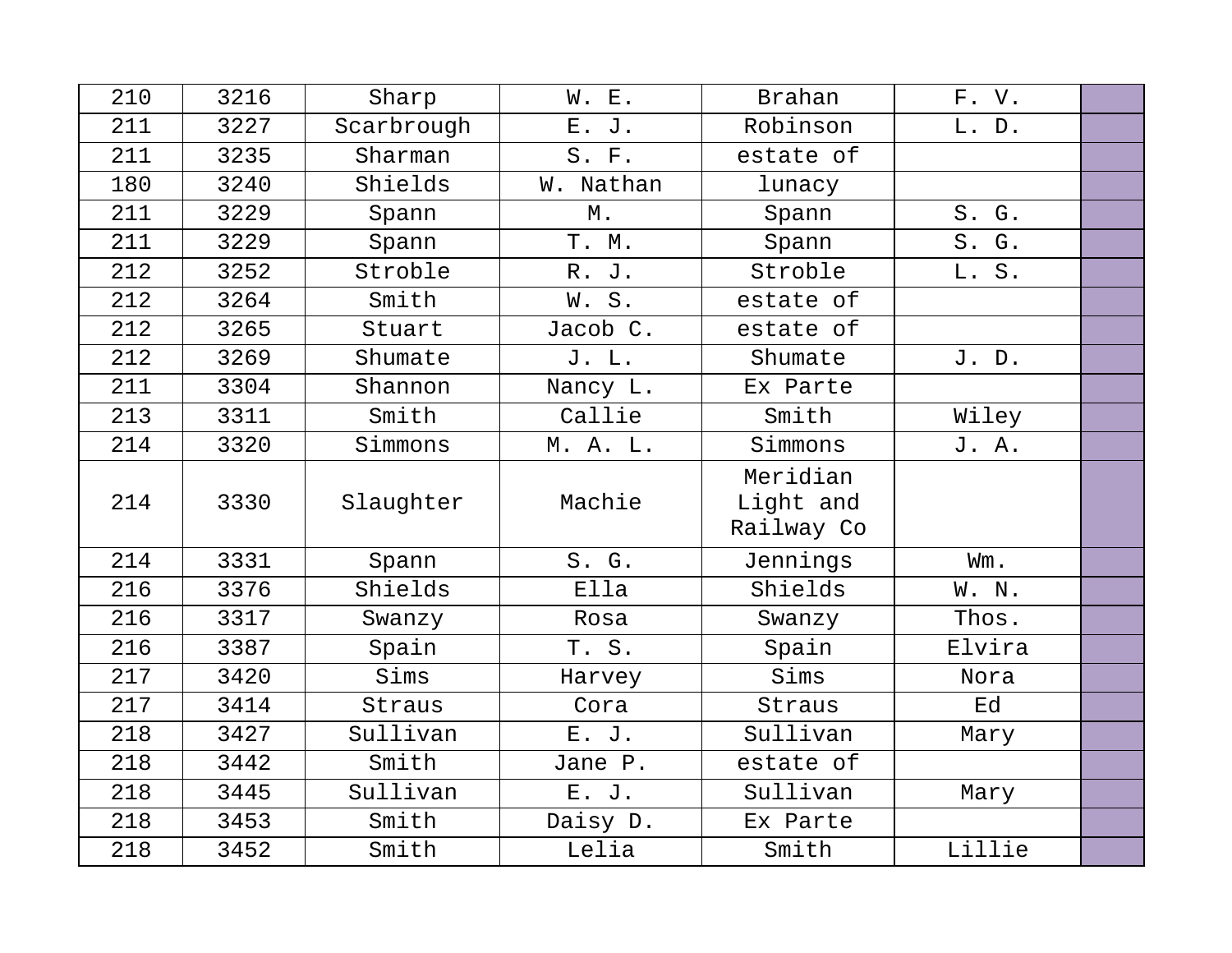| 210 | 3216 | Sharp      | W. E.     | <b>Brahan</b>                       | F. V.  |  |
|-----|------|------------|-----------|-------------------------------------|--------|--|
| 211 | 3227 | Scarbrough | E. J.     | Robinson                            | L. D.  |  |
| 211 | 3235 | Sharman    | S. F.     | estate of                           |        |  |
| 180 | 3240 | Shields    | W. Nathan | lunacy                              |        |  |
| 211 | 3229 | Spann      | Μ.        | Spann                               | S. G.  |  |
| 211 | 3229 | Spann      | T. M.     | Spann                               | S. G.  |  |
| 212 | 3252 | Stroble    | R. J.     | Stroble                             | L. S.  |  |
| 212 | 3264 | Smith      | W.S.      | estate of                           |        |  |
| 212 | 3265 | Stuart     | Jacob C.  | estate of                           |        |  |
| 212 | 3269 | Shumate    | J. L.     | Shumate                             | J. D.  |  |
| 211 | 3304 | Shannon    | Nancy L.  | Ex Parte                            |        |  |
| 213 | 3311 | Smith      | Callie    | Smith                               | Wiley  |  |
| 214 | 3320 | Simmons    | M. A. L.  | Simmons                             | J. A.  |  |
| 214 | 3330 | Slaughter  | Machie    | Meridian<br>Light and<br>Railway Co |        |  |
| 214 | 3331 | Spann      | S. G.     | Jennings                            | Wm.    |  |
| 216 | 3376 | Shields    | Ella      | Shields                             | W. N.  |  |
| 216 | 3317 | Swanzy     | Rosa      | Swanzy                              | Thos.  |  |
| 216 | 3387 | Spain      | T. S.     | Spain                               | Elvira |  |
| 217 | 3420 | Sims       | Harvey    | Sims                                | Nora   |  |
| 217 | 3414 | Straus     | Cora      | Straus                              | Ed     |  |
| 218 | 3427 | Sullivan   | E. J.     | Sullivan                            | Mary   |  |
| 218 | 3442 | Smith      | Jane P.   | estate of                           |        |  |
| 218 | 3445 | Sullivan   | E. J.     | Sullivan                            | Mary   |  |
| 218 | 3453 | Smith      | Daisy D.  | Ex Parte                            |        |  |
| 218 | 3452 | Smith      | Lelia     | Smith                               | Lillie |  |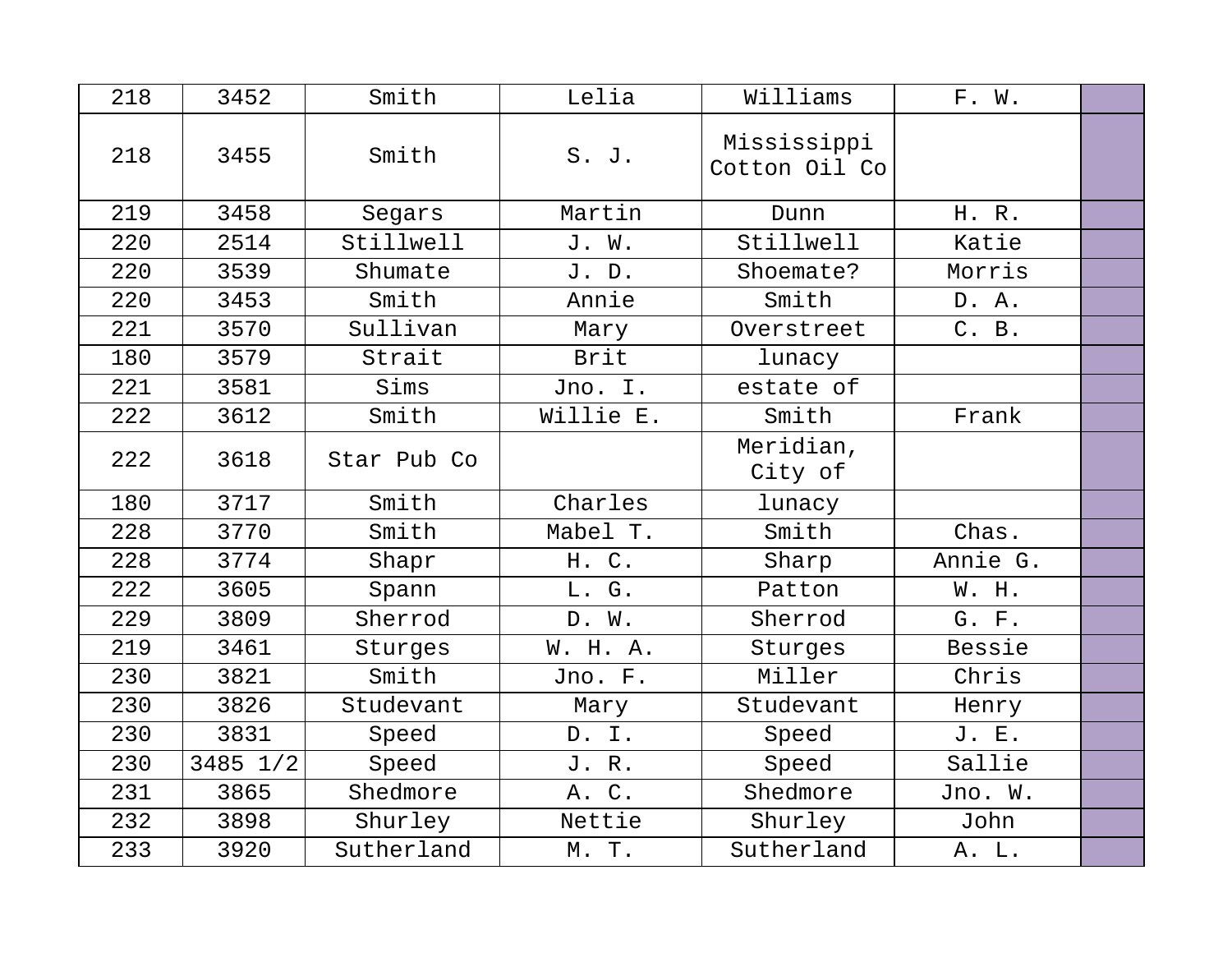| 218 | 3452     | Smith       | Lelia     | Williams                     | F. W.    |  |
|-----|----------|-------------|-----------|------------------------------|----------|--|
| 218 | 3455     | Smith       | S. J.     | Mississippi<br>Cotton Oil Co |          |  |
| 219 | 3458     | Segars      | Martin    | Dunn                         | H. R.    |  |
| 220 | 2514     | Stillwell   | J. W.     | Stillwell                    | Katie    |  |
| 220 | 3539     | Shumate     | J. D.     | Shoemate?                    | Morris   |  |
| 220 | 3453     | Smith       | Annie     | Smith                        | D. A.    |  |
| 221 | 3570     | Sullivan    | Mary      | Overstreet                   | C. B.    |  |
| 180 | 3579     | Strait      | Brit      | lunacy                       |          |  |
| 221 | 3581     | Sims        | Jno. I.   | estate of                    |          |  |
| 222 | 3612     | Smith       | Willie E. | Smith                        | Frank    |  |
| 222 | 3618     | Star Pub Co |           | Meridian,<br>City of         |          |  |
| 180 | 3717     | Smith       | Charles   | lunacy                       |          |  |
| 228 | 3770     | Smith       | Mabel T.  | Smith                        | Chas.    |  |
| 228 | 3774     | Shapr       | H. C.     | Sharp                        | Annie G. |  |
| 222 | 3605     | Spann       | L. G.     | Patton                       | W. H.    |  |
| 229 | 3809     | Sherrod     | D. W.     | Sherrod                      | G. F.    |  |
| 219 | 3461     | Sturges     | W. H. A.  | Sturges                      | Bessie   |  |
| 230 | 3821     | Smith       | Jno. F.   | Miller                       | Chris    |  |
| 230 | 3826     | Studevant   | Mary      | Studevant                    | Henry    |  |
| 230 | 3831     | Speed       | D. I.     | Speed                        | J. E.    |  |
| 230 | 3485 1/2 | Speed       | J.R.      | Speed                        | Sallie   |  |
| 231 | 3865     | Shedmore    | A. C.     | Shedmore                     | Jno. W.  |  |
| 232 | 3898     | Shurley     | Nettie    | Shurley                      | John     |  |
| 233 | 3920     | Sutherland  | M. T.     | Sutherland                   | A. L.    |  |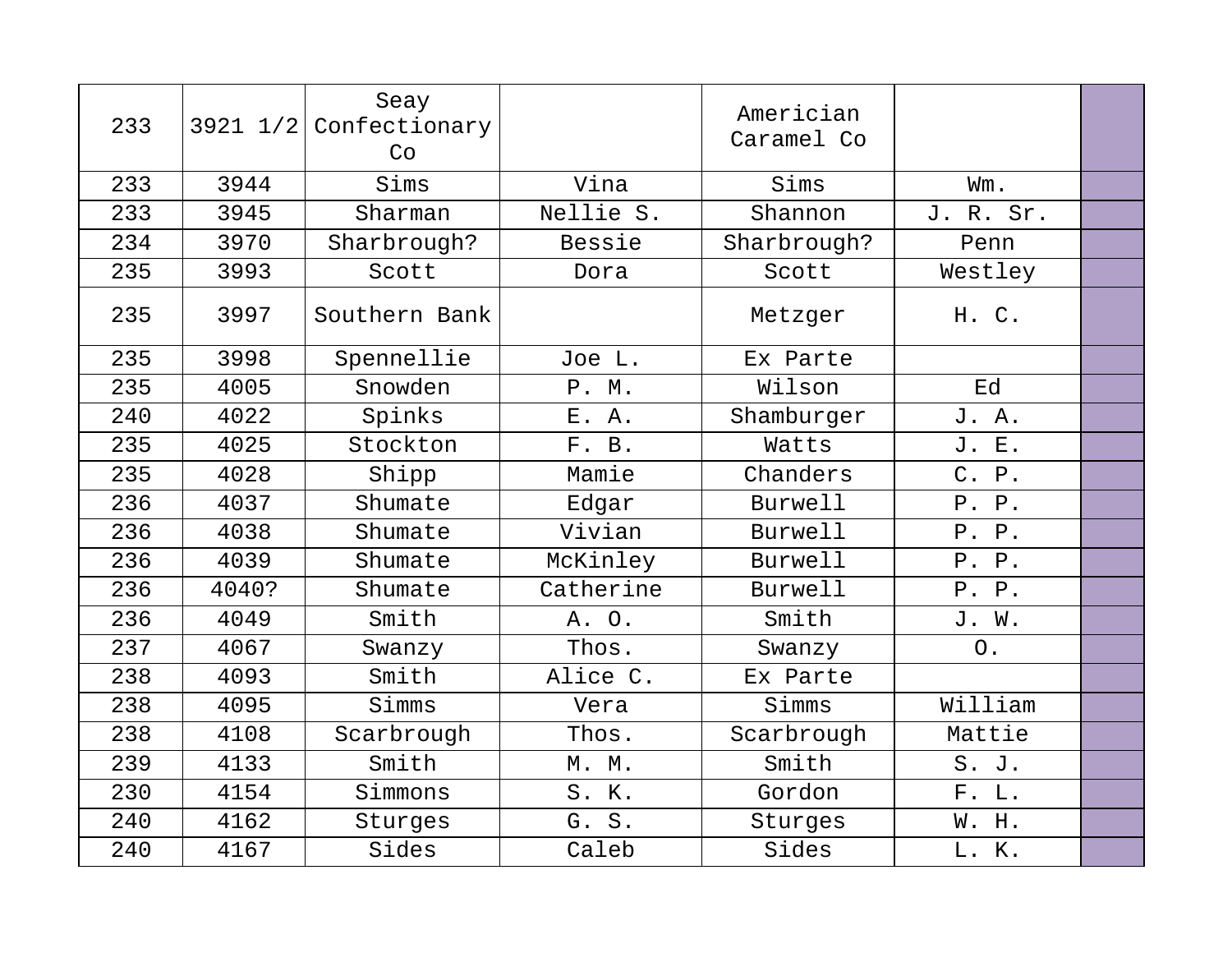| 233 |       | Seay<br>$3921$ $1/2$ Confectionary<br>Co |           | Americian<br>Caramel Co |                |  |
|-----|-------|------------------------------------------|-----------|-------------------------|----------------|--|
| 233 | 3944  | Sims                                     | Vina      | Sims                    | Wm.            |  |
| 233 | 3945  | Sharman                                  | Nellie S. | Shannon                 | J. R. Sr.      |  |
| 234 | 3970  | Sharbrough?                              | Bessie    | Sharbrough?             | Penn           |  |
| 235 | 3993  | Scott                                    | Dora      | Scott                   | Westley        |  |
| 235 | 3997  | Southern Bank                            |           | Metzger                 | H. C.          |  |
| 235 | 3998  | Spennellie                               | Joe L.    | Ex Parte                |                |  |
| 235 | 4005  | Snowden                                  | P. M.     | Wilson                  | Ed             |  |
| 240 | 4022  | Spinks                                   | E. A.     | Shamburger              | J. A.          |  |
| 235 | 4025  | Stockton                                 | F. B.     | Watts                   | J. E.          |  |
| 235 | 4028  | Shipp                                    | Mamie     | Chanders                | C. P.          |  |
| 236 | 4037  | Shumate                                  | Edgar     | <b>Burwell</b>          | P. P.          |  |
| 236 | 4038  | Shumate                                  | Vivian    | <b>Burwell</b>          | P. P.          |  |
| 236 | 4039  | Shumate                                  | McKinley  | Burwell                 | P. P.          |  |
| 236 | 4040? | Shumate                                  | Catherine | <b>Burwell</b>          | P. P.          |  |
| 236 | 4049  | Smith                                    | A. O.     | Smith                   | J. W.          |  |
| 237 | 4067  | Swanzy                                   | Thos.     | Swanzy                  | O <sub>1</sub> |  |
| 238 | 4093  | Smith                                    | Alice C.  | Ex Parte                |                |  |
| 238 | 4095  | Simms                                    | Vera      | Simms                   | William        |  |
| 238 | 4108  | Scarbrough                               | Thos.     | Scarbrough              | Mattie         |  |
| 239 | 4133  | Smith                                    | M. M.     | Smith                   | S. J.          |  |
| 230 | 4154  | Simmons                                  | S. K.     | Gordon                  | F. L.          |  |
| 240 | 4162  | Sturges                                  | G. S.     | Sturges                 | W. H.          |  |
| 240 | 4167  | Sides                                    | Caleb     | Sides                   | L. K.          |  |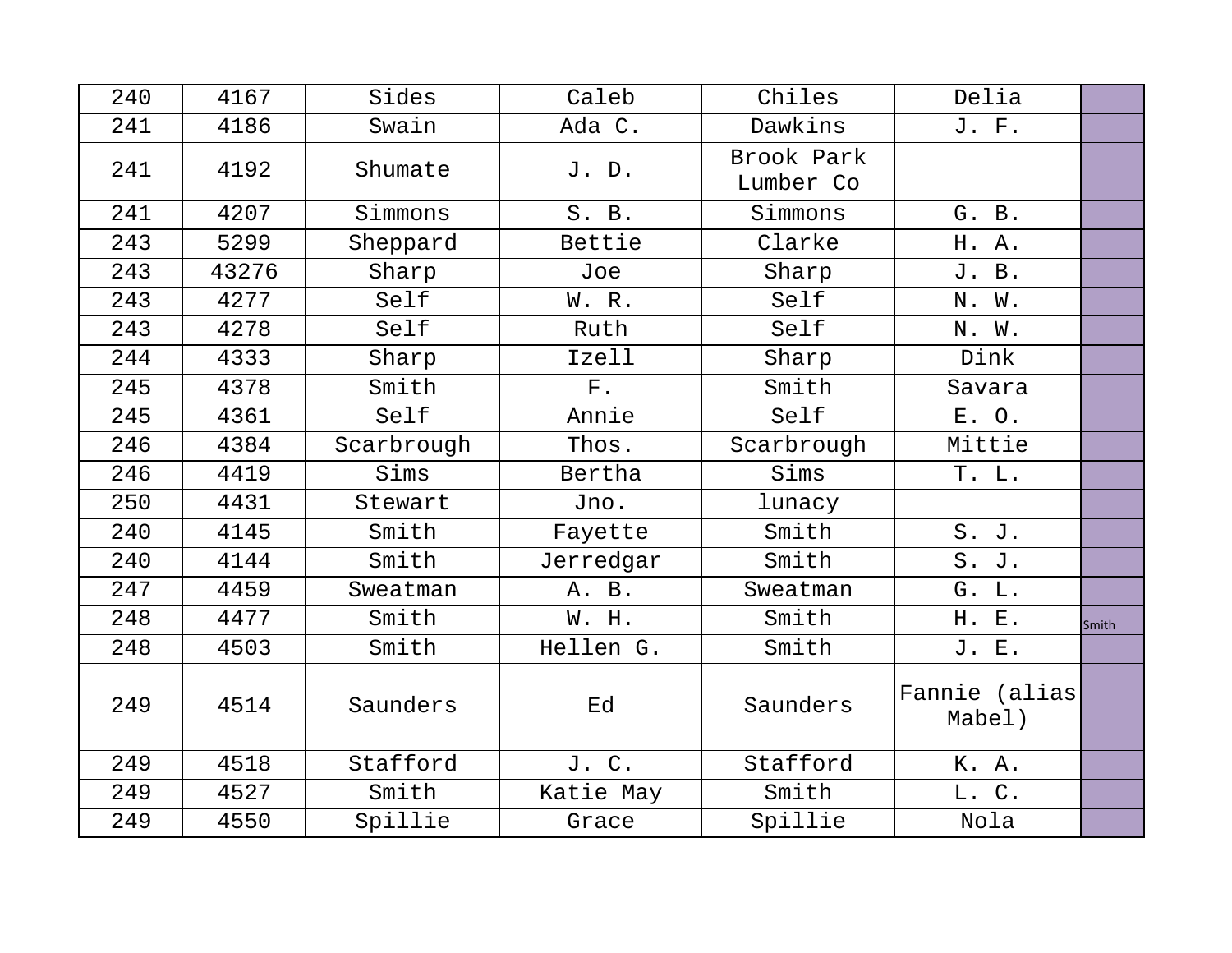| 240 | 4167  | Sides      | Caleb       | Chiles                  | Delia                   |       |
|-----|-------|------------|-------------|-------------------------|-------------------------|-------|
| 241 | 4186  | Swain      | Ada C.      | Dawkins                 | J. F.                   |       |
| 241 | 4192  | Shumate    | J. D.       | Brook Park<br>Lumber Co |                         |       |
| 241 | 4207  | Simmons    | S. B.       | Simmons                 | G. B.                   |       |
| 243 | 5299  | Sheppard   | Bettie      | Clarke                  | H. A.                   |       |
| 243 | 43276 | Sharp      | Joe         | Sharp                   | J. B.                   |       |
| 243 | 4277  | Self       | W. R.       | Self                    | N. W.                   |       |
| 243 | 4278  | Self       | Ruth        | Self                    | N. W.                   |       |
| 244 | 4333  | Sharp      | Izell       | Sharp                   | Dink                    |       |
| 245 | 4378  | Smith      | ${\rm F}$ . | Smith                   | Savara                  |       |
| 245 | 4361  | Self       | Annie       | Self                    | E. O.                   |       |
| 246 | 4384  | Scarbrough | Thos.       | Scarbrough              | Mittie                  |       |
| 246 | 4419  | Sims       | Bertha      | Sims                    | T. L.                   |       |
| 250 | 4431  | Stewart    | Jno.        | lunacy                  |                         |       |
| 240 | 4145  | Smith      | Fayette     | Smith                   | S. J.                   |       |
| 240 | 4144  | Smith      | Jerredgar   | Smith                   | S. J.                   |       |
| 247 | 4459  | Sweatman   | A. B.       | Sweatman                | G. L.                   |       |
| 248 | 4477  | Smith      | W. H.       | Smith                   | H. E.                   | Smith |
| 248 | 4503  | Smith      | Hellen G.   | Smith                   | J. E.                   |       |
| 249 | 4514  | Saunders   | Ed          | Saunders                | Fannie (alias<br>Mabel) |       |
| 249 | 4518  | Stafford   | J. C.       | Stafford                | K. A.                   |       |
| 249 | 4527  | Smith      | Katie May   | Smith                   | L. C.                   |       |
| 249 | 4550  | Spillie    | Grace       | Spillie                 | Nola                    |       |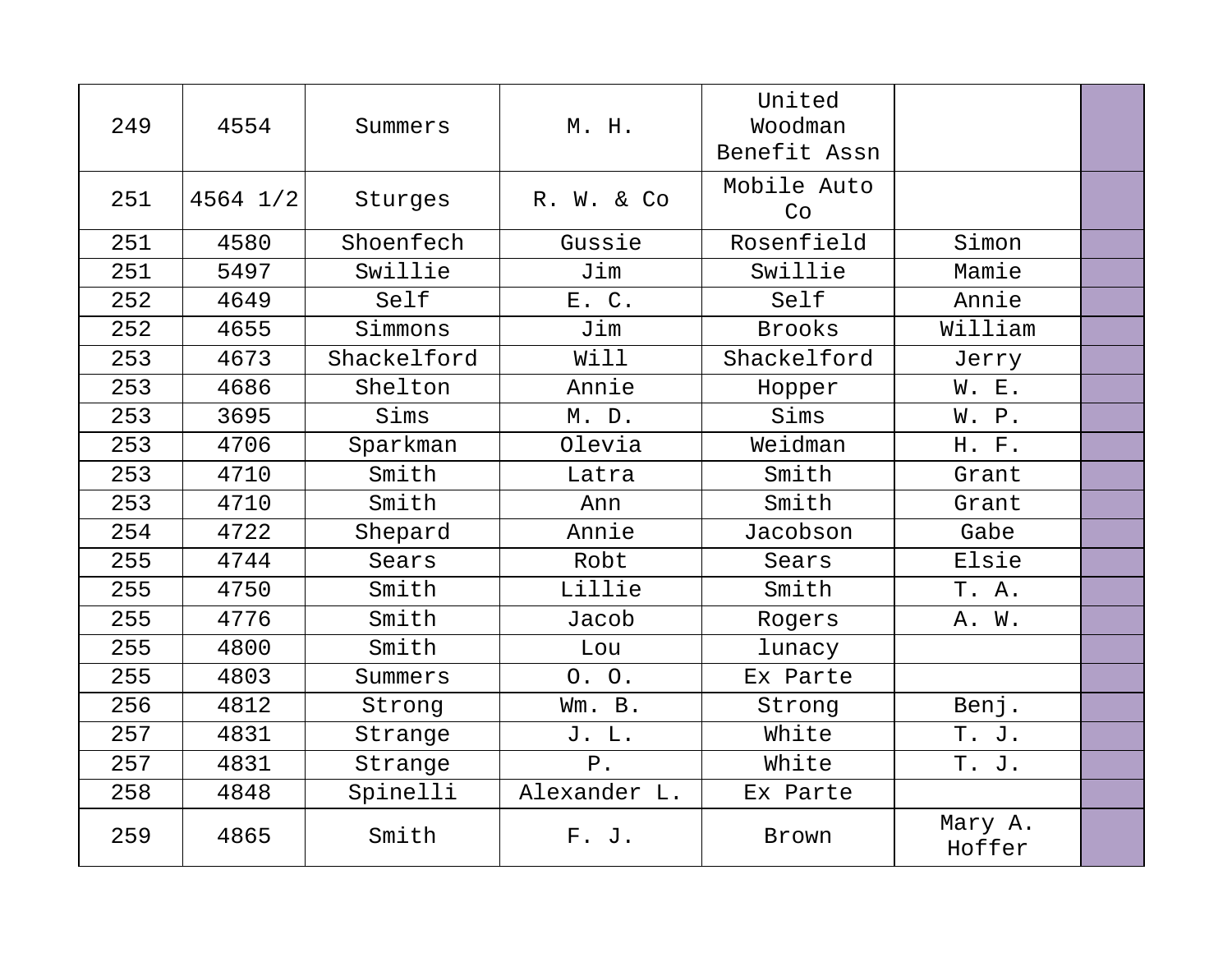| 249 | 4554         | Summers     | M. H.        | United<br>Woodman<br>Benefit Assn |                   |  |
|-----|--------------|-------------|--------------|-----------------------------------|-------------------|--|
| 251 | $4564$ $1/2$ | Sturges     | R. W. & Co   | Mobile Auto<br>Co                 |                   |  |
| 251 | 4580         | Shoenfech   | Gussie       | Rosenfield                        | Simon             |  |
| 251 | 5497         | Swillie     | Jim          | Swillie                           | Mamie             |  |
| 252 | 4649         | Self        | E. C.        | Self                              | Annie             |  |
| 252 | 4655         | Simmons     | Jim          | <b>Brooks</b>                     | William           |  |
| 253 | 4673         | Shackelford | Will         | Shackelford                       | Jerry             |  |
| 253 | 4686         | Shelton     | Annie        | Hopper                            | W. E.             |  |
| 253 | 3695         | Sims        | M. D.        | Sims                              | W. P.             |  |
| 253 | 4706         | Sparkman    | Olevia       | Weidman                           | H. F.             |  |
| 253 | 4710         | Smith       | Latra        | Smith                             | Grant             |  |
| 253 | 4710         | Smith       | Ann          | Smith                             | Grant             |  |
| 254 | 4722         | Shepard     | Annie        | Jacobson                          | Gabe              |  |
| 255 | 4744         | Sears       | Robt         | Sears                             | Elsie             |  |
| 255 | 4750         | Smith       | Lillie       | Smith                             | T. A.             |  |
| 255 | 4776         | Smith       | Jacob        | Rogers                            | A. W.             |  |
| 255 | 4800         | Smith       | Lou          | lunacy                            |                   |  |
| 255 | 4803         | Summers     | 0.0.         | Ex Parte                          |                   |  |
| 256 | 4812         | Strong      | Wm. B.       | Strong                            | Benj.             |  |
| 257 | 4831         | Strange     | J. L.        | White                             | T. J.             |  |
| 257 | 4831         | Strange     | ${\bf P}$ .  | White                             | T. J.             |  |
| 258 | 4848         | Spinelli    | Alexander L. | Ex Parte                          |                   |  |
| 259 | 4865         | Smith       | F. J.        | Brown                             | Mary A.<br>Hoffer |  |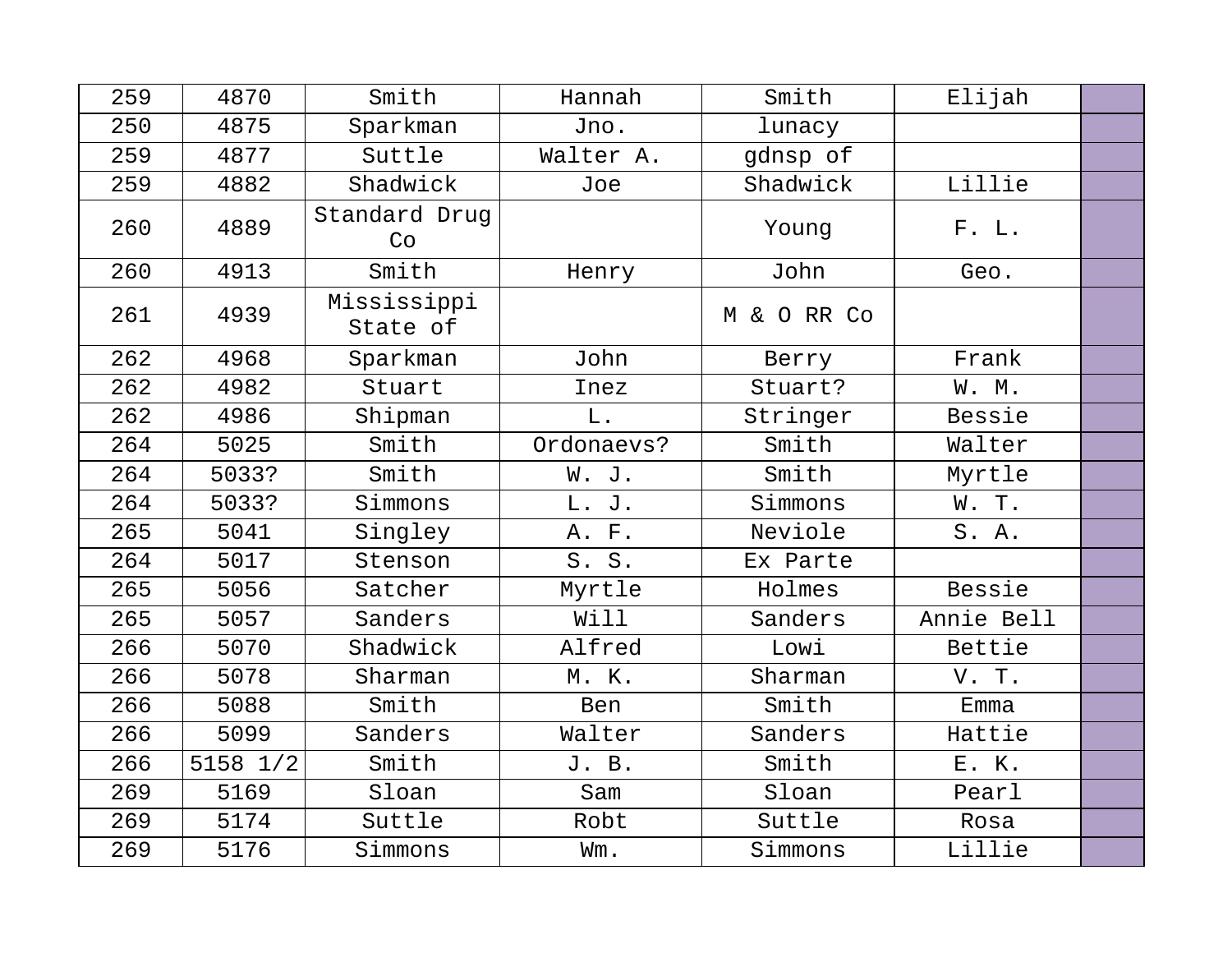| 259 | 4870     | Smith                   | Hannah     | Smith       | Elijah     |  |
|-----|----------|-------------------------|------------|-------------|------------|--|
| 250 | 4875     | Sparkman                | Jno.       | lunacy      |            |  |
| 259 | 4877     | Suttle                  | Walter A.  | gdnsp of    |            |  |
| 259 | 4882     | Shadwick                | Joe        | Shadwick    | Lillie     |  |
| 260 | 4889     | Standard Drug<br>Co     |            | Young       | F. L.      |  |
| 260 | 4913     | Smith                   | Henry      | John        | Geo.       |  |
| 261 | 4939     | Mississippi<br>State of |            | M & O RR Co |            |  |
| 262 | 4968     | Sparkman                | John       | Berry       | Frank      |  |
| 262 | 4982     | Stuart                  | Inez       | Stuart?     | W. M.      |  |
| 262 | 4986     | Shipman                 | $L$ .      | Stringer    | Bessie     |  |
| 264 | 5025     | Smith                   | Ordonaevs? | Smith       | Walter     |  |
| 264 | 5033?    | Smith                   | W. J.      | Smith       | Myrtle     |  |
| 264 | 5033?    | Simmons                 | L. J.      | Simmons     | W.T.       |  |
| 265 | 5041     | Singley                 | A. F.      | Neviole     | S.A.       |  |
| 264 | 5017     | Stenson                 | S. S.      | Ex Parte    |            |  |
| 265 | 5056     | Satcher                 | Myrtle     | Holmes      | Bessie     |  |
| 265 | 5057     | Sanders                 | Will       | Sanders     | Annie Bell |  |
| 266 | 5070     | Shadwick                | Alfred     | Lowi        | Bettie     |  |
| 266 | 5078     | Sharman                 | M. K.      | Sharman     | V. T.      |  |
| 266 | 5088     | Smith                   | Ben        | Smith       | Emma       |  |
| 266 | 5099     | Sanders                 | Walter     | Sanders     | Hattie     |  |
| 266 | 5158 1/2 | Smith                   | J. B.      | Smith       | E. K.      |  |
| 269 | 5169     | Sloan                   | Sam        | Sloan       | Pearl      |  |
| 269 | 5174     | Suttle                  | Robt       | Suttle      | Rosa       |  |
| 269 | 5176     | Simmons                 | Wm.        | Simmons     | Lillie     |  |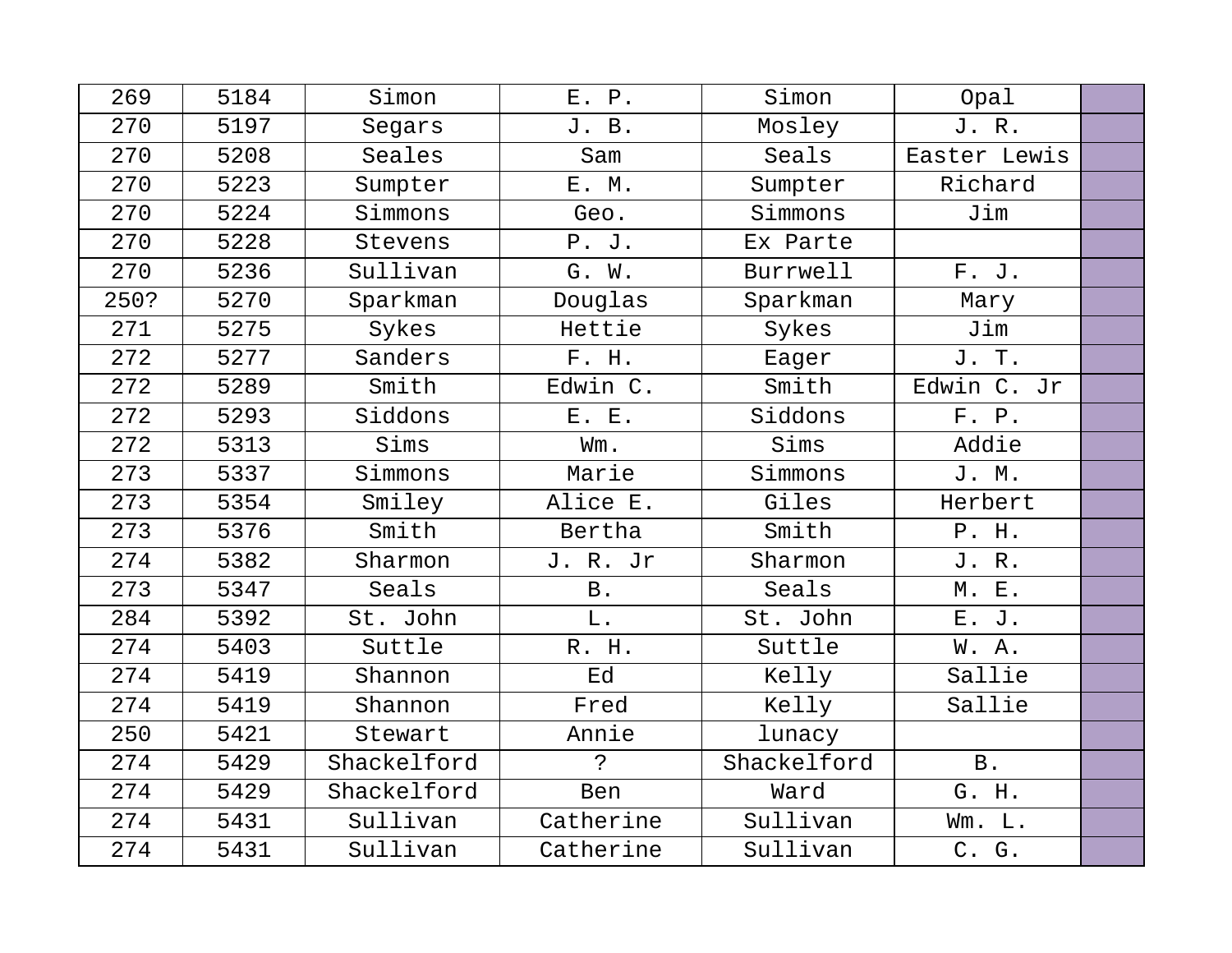| 269  | 5184 | Simon       | E. P.       | Simon       | Opal         |  |
|------|------|-------------|-------------|-------------|--------------|--|
| 270  | 5197 | Segars      | J. B.       | Mosley      | J.R.         |  |
| 270  | 5208 | Seales      | Sam         | Seals       | Easter Lewis |  |
| 270  | 5223 | Sumpter     | E. M.       | Sumpter     | Richard      |  |
| 270  | 5224 | Simmons     | Geo.        | Simmons     | Jim          |  |
| 270  | 5228 | Stevens     | P. J.       | Ex Parte    |              |  |
| 270  | 5236 | Sullivan    | G. W.       | Burrwell    | F. J.        |  |
| 250? | 5270 | Sparkman    | Douglas     | Sparkman    | Mary         |  |
| 271  | 5275 | Sykes       | Hettie      | Sykes       | Jim          |  |
| 272  | 5277 | Sanders     | F. H.       | Eager       | J. T.        |  |
| 272  | 5289 | Smith       | Edwin C.    | Smith       | Edwin C. Jr  |  |
| 272  | 5293 | Siddons     | E. E.       | Siddons     | F. P.        |  |
| 272  | 5313 | Sims        | Wm.         | Sims        | Addie        |  |
| 273  | 5337 | Simmons     | Marie       | Simmons     | J. M.        |  |
| 273  | 5354 | Smiley      | Alice E.    | Giles       | Herbert      |  |
| 273  | 5376 | Smith       | Bertha      | Smith       | P. H.        |  |
| 274  | 5382 | Sharmon     | J. R. Jr    | Sharmon     | J. R.        |  |
| 273  | 5347 | Seals       | <b>B</b> .  | Seals       | M. E.        |  |
| 284  | 5392 | St. John    | L.          | St. John    | E. J.        |  |
| 274  | 5403 | Suttle      | R. H.       | Suttle      | W.A.         |  |
| 274  | 5419 | Shannon     | Ed          | Kelly       | Sallie       |  |
| 274  | 5419 | Shannon     | Fred        | Kelly       | Sallie       |  |
| 250  | 5421 | Stewart     | Annie       | lunacy      |              |  |
| 274  | 5429 | Shackelford | $\tilde{P}$ | Shackelford | <b>B</b> .   |  |
| 274  | 5429 | Shackelford | Ben         | Ward        | G. H.        |  |
| 274  | 5431 | Sullivan    | Catherine   | Sullivan    | Wm. L.       |  |
| 274  | 5431 | Sullivan    | Catherine   | Sullivan    | C. G.        |  |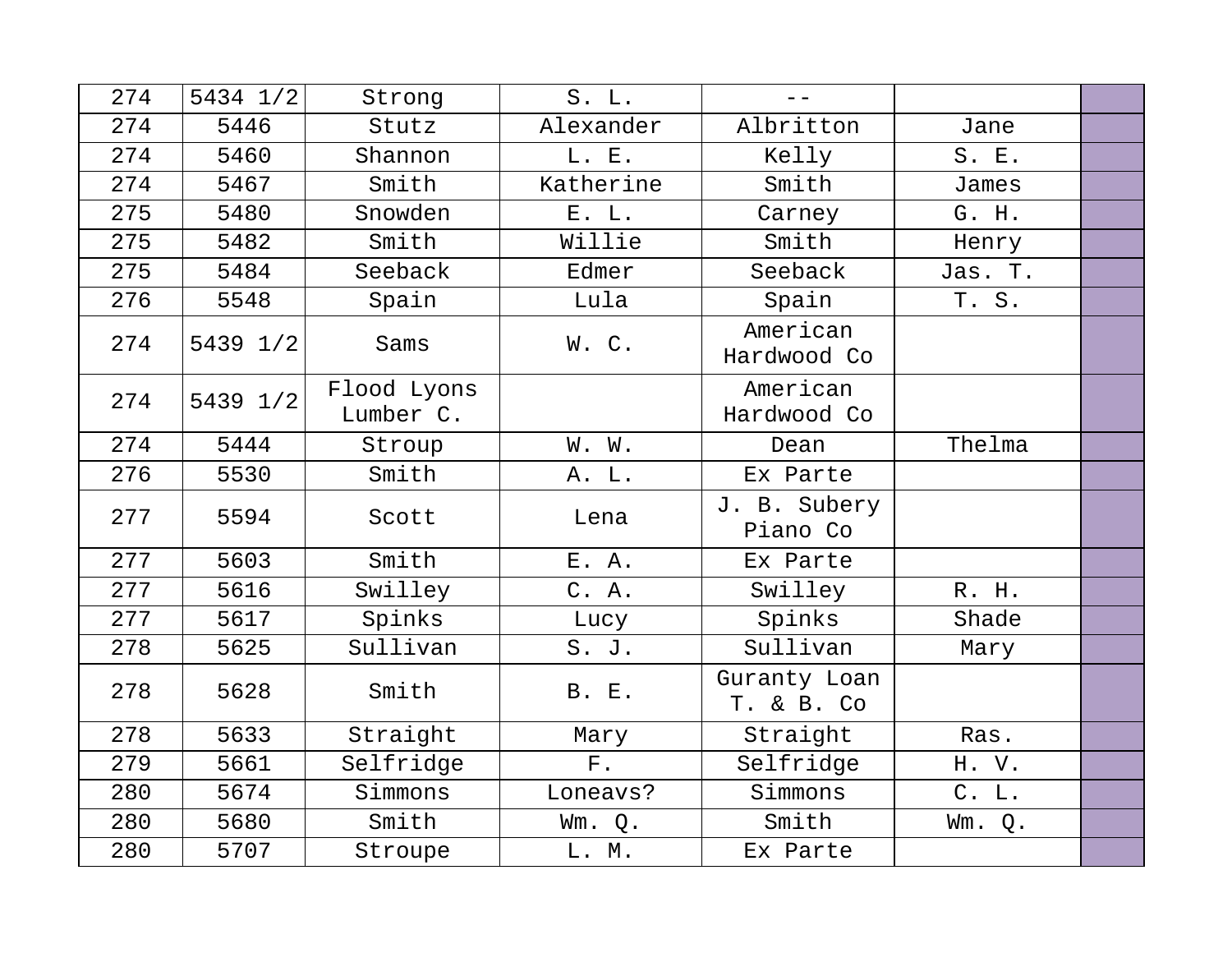| 274 | 5434 1/2 | Strong                   | S. L.        | $- -$                      |         |  |
|-----|----------|--------------------------|--------------|----------------------------|---------|--|
| 274 | 5446     | Stutz                    | Alexander    | Albritton                  | Jane    |  |
| 274 | 5460     | Shannon                  | L. E.        | Kelly                      | S. E.   |  |
| 274 | 5467     | Smith                    | Katherine    | Smith                      | James   |  |
| 275 | 5480     | Snowden                  | E. L.        | Carney                     | G. H.   |  |
| 275 | 5482     | Smith                    | Willie       | Smith                      | Henry   |  |
| 275 | 5484     | Seeback                  | Edmer        | Seeback                    | Jas. T. |  |
| 276 | 5548     | Spain                    | Lula         | Spain                      | T. S.   |  |
| 274 | 5439 1/2 | Sams                     | W.C.         | American<br>Hardwood Co    |         |  |
| 274 | 5439 1/2 | Flood Lyons<br>Lumber C. |              | American<br>Hardwood Co    |         |  |
| 274 | 5444     | Stroup                   | W. W.        | Dean                       | Thelma  |  |
| 276 | 5530     | Smith                    | A. L.        | Ex Parte                   |         |  |
| 277 | 5594     | Scott                    | Lena         | J. B. Subery<br>Piano Co   |         |  |
| 277 | 5603     | Smith                    | E. A.        | Ex Parte                   |         |  |
| 277 | 5616     | Swilley                  | C. A.        | Swilley                    | R. H.   |  |
| 277 | 5617     | Spinks                   | Lucy         | Spinks                     | Shade   |  |
| 278 | 5625     | Sullivan                 | S. J.        | Sullivan                   | Mary    |  |
| 278 | 5628     | Smith                    | <b>B. E.</b> | Guranty Loan<br>T. & B. Co |         |  |
| 278 | 5633     | Straight                 | Mary         | Straight                   | Ras.    |  |
| 279 | 5661     | Selfridge                | F.           | Selfridge                  | H.V.    |  |
| 280 | 5674     | Simmons                  | Loneavs?     | Simmons                    | C. L.   |  |
| 280 | 5680     | Smith                    | Wm. Q.       | Smith                      | Wm. Q.  |  |
| 280 | 5707     | Stroupe                  | L. M.        | Ex Parte                   |         |  |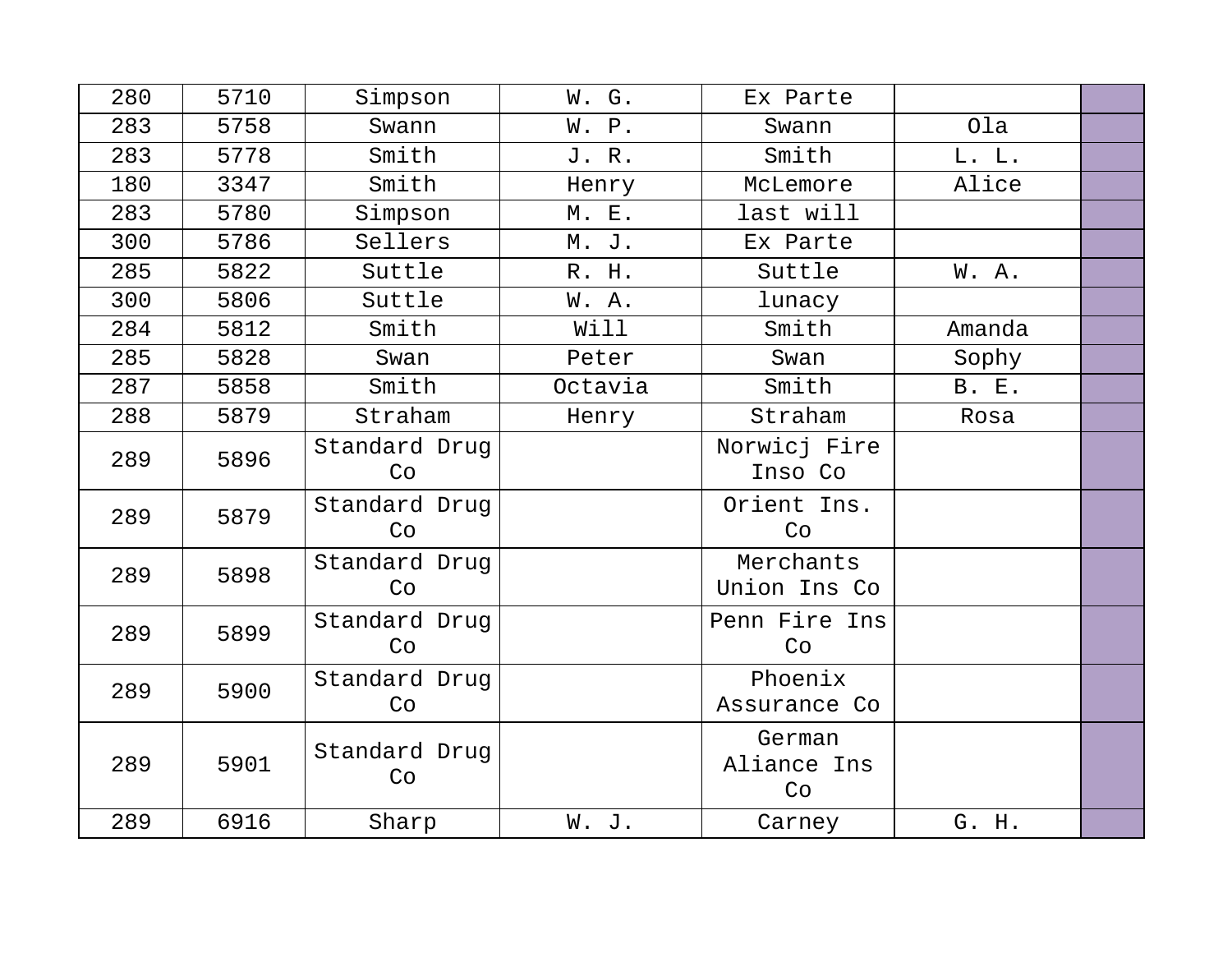| 280 | 5710 | Simpson             | W. G.   | Ex Parte                    |              |  |
|-----|------|---------------------|---------|-----------------------------|--------------|--|
| 283 | 5758 | Swann               | W. P.   | Swann                       | Ola          |  |
| 283 | 5778 | Smith               | J. R.   | Smith                       | L. L.        |  |
| 180 | 3347 | Smith               | Henry   | McLemore                    | Alice        |  |
| 283 | 5780 | Simpson             | M. E.   | last will                   |              |  |
| 300 | 5786 | Sellers             | M. J.   | Ex Parte                    |              |  |
| 285 | 5822 | Suttle              | R. H.   | Suttle                      | W.A.         |  |
| 300 | 5806 | Suttle              | W. A.   | lunacy                      |              |  |
| 284 | 5812 | Smith               | Will    | Smith                       | Amanda       |  |
| 285 | 5828 | Swan                | Peter   | Swan                        | Sophy        |  |
| 287 | 5858 | Smith               | Octavia | Smith                       | <b>B. E.</b> |  |
| 288 | 5879 | Straham             | Henry   | Straham                     | Rosa         |  |
| 289 | 5896 | Standard Drug<br>Co |         | Norwicj Fire<br>Inso Co     |              |  |
| 289 | 5879 | Standard Drug<br>Co |         | Orient Ins.<br>Co           |              |  |
| 289 | 5898 | Standard Drug<br>Co |         | Merchants<br>Union Ins Co   |              |  |
| 289 | 5899 | Standard Drug<br>Co |         | Penn Fire Ins<br>Co         |              |  |
| 289 | 5900 | Standard Drug<br>Co |         | Phoenix<br>Assurance Co     |              |  |
| 289 | 5901 | Standard Drug<br>Co |         | German<br>Aliance Ins<br>Co |              |  |
| 289 | 6916 | Sharp               | W. J.   | Carney                      | G. H.        |  |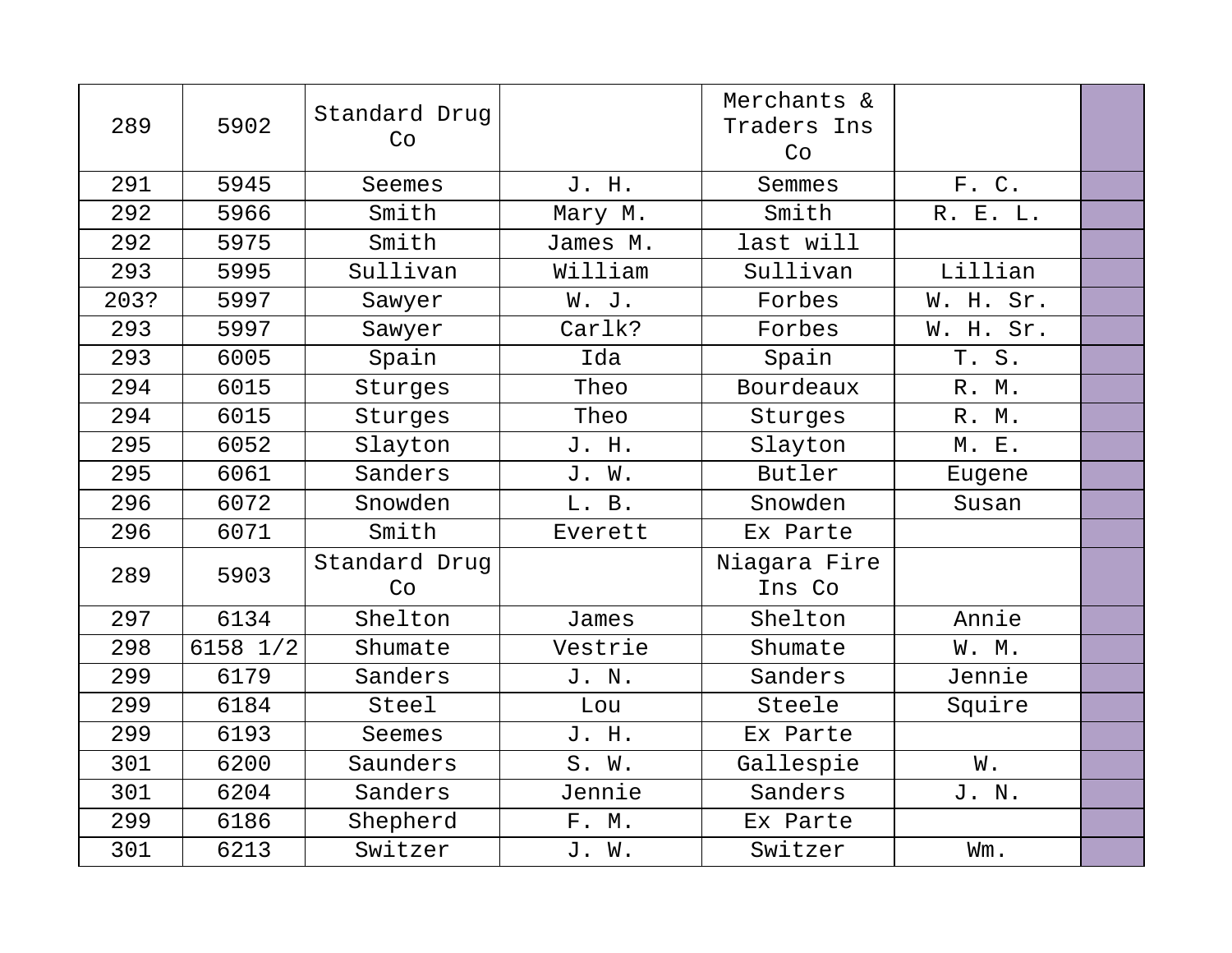| 289  | 5902     | Standard Drug<br>Co |          | Merchants &<br>Traders Ins<br>Co |           |  |
|------|----------|---------------------|----------|----------------------------------|-----------|--|
| 291  | 5945     | Seemes              | J. H.    | Semmes                           | F. C.     |  |
| 292  | 5966     | Smith               | Mary M.  | Smith                            | R. E. L.  |  |
| 292  | 5975     | Smith               | James M. | last will                        |           |  |
| 293  | 5995     | Sullivan            | William  | Sullivan                         | Lillian   |  |
| 203? | 5997     | Sawyer              | W. J.    | Forbes                           | W. H. Sr. |  |
| 293  | 5997     | Sawyer              | Carlk?   | Forbes                           | W. H. Sr. |  |
| 293  | 6005     | Spain               | Ida      | Spain                            | T. S.     |  |
| 294  | 6015     | Sturges             | Theo     | Bourdeaux                        | R. M.     |  |
| 294  | 6015     | Sturges             | Theo     | Sturges                          | R. M.     |  |
| 295  | 6052     | Slayton             | J. H.    | Slayton                          | M. E.     |  |
| 295  | 6061     | Sanders             | J. W.    | Butler                           | Eugene    |  |
| 296  | 6072     | Snowden             | L. B.    | Snowden                          | Susan     |  |
| 296  | 6071     | Smith               | Everett  | Ex Parte                         |           |  |
| 289  | 5903     | Standard Drug<br>Co |          | Niagara Fire<br>Ins Co           |           |  |
| 297  | 6134     | Shelton             | James    | Shelton                          | Annie     |  |
| 298  | 6158 1/2 | Shumate             | Vestrie  | Shumate                          | W. M.     |  |
| 299  | 6179     | Sanders             | J. N.    | Sanders                          | Jennie    |  |
| 299  | 6184     | Steel               | Lou      | Steele                           | Squire    |  |
| 299  | 6193     | Seemes              | J. H.    | Ex Parte                         |           |  |
| 301  | 6200     | Saunders            | S. W.    | Gallespie                        | W.        |  |
| 301  | 6204     | Sanders             | Jennie   | Sanders                          | J. N.     |  |
| 299  | 6186     | Shepherd            | F. M.    | Ex Parte                         |           |  |
| 301  | 6213     | Switzer             | J. W.    | Switzer                          | Wm.       |  |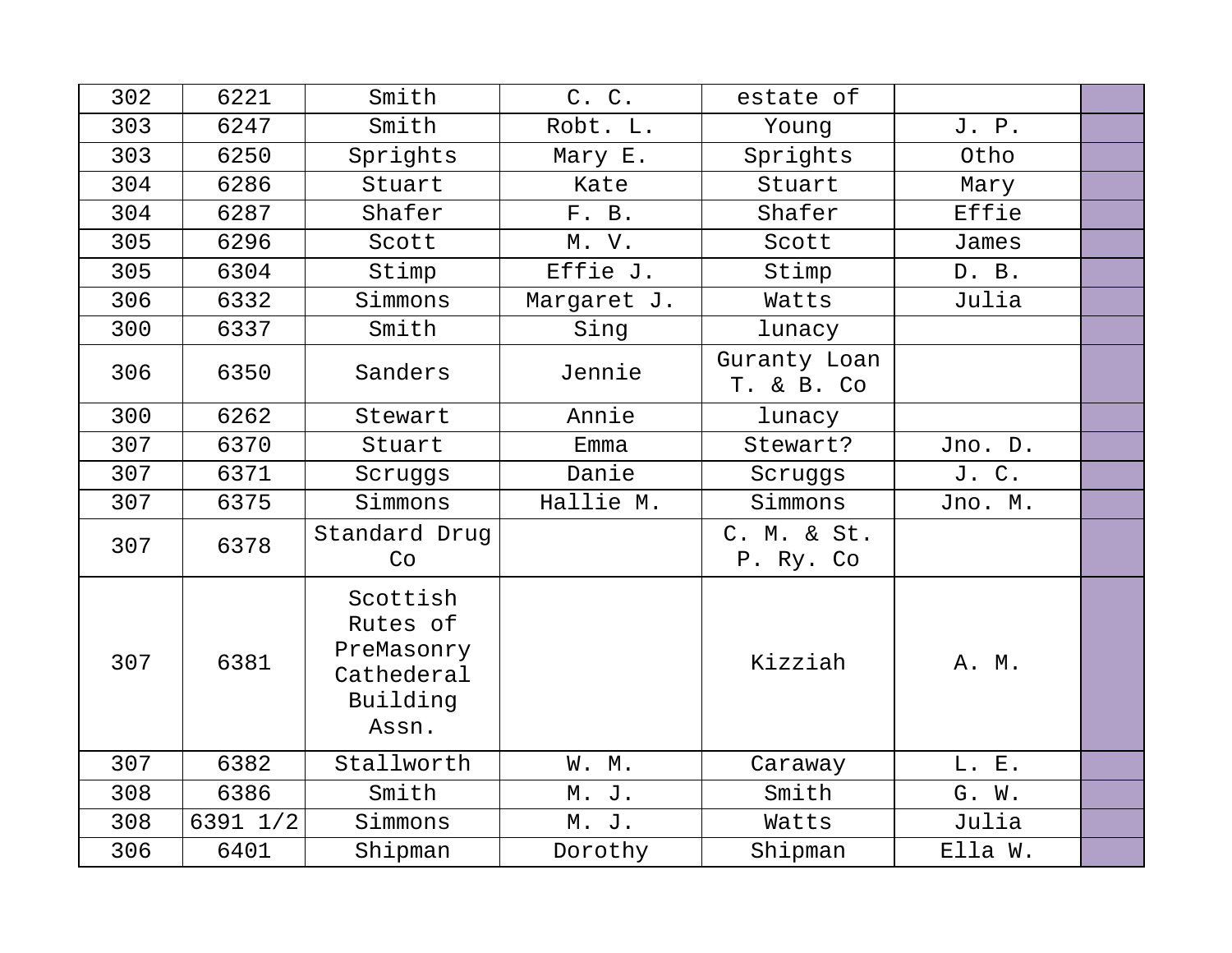| 302 | 6221     | Smith                                                                 | C. C.       | estate of                  |         |  |
|-----|----------|-----------------------------------------------------------------------|-------------|----------------------------|---------|--|
| 303 | 6247     | Smith                                                                 | Robt. L.    | Young                      | J. P.   |  |
| 303 | 6250     | Sprights                                                              | Mary E.     | Sprights                   | Otho    |  |
| 304 | 6286     | Stuart                                                                | Kate        | Stuart                     | Mary    |  |
| 304 | 6287     | Shafer                                                                | F. B.       | Shafer                     | Effie   |  |
| 305 | 6296     | Scott                                                                 | M. V.       | Scott                      | James   |  |
| 305 | 6304     | Stimp                                                                 | Effie J.    | Stimp                      | D. B.   |  |
| 306 | 6332     | Simmons                                                               | Margaret J. | Watts                      | Julia   |  |
| 300 | 6337     | Smith                                                                 | Sing        | lunacy                     |         |  |
| 306 | 6350     | Sanders                                                               | Jennie      | Guranty Loan<br>T. & B. Co |         |  |
| 300 | 6262     | Stewart                                                               | Annie       | lunacy                     |         |  |
| 307 | 6370     | Stuart                                                                | Emma        | Stewart?                   | Jno. D. |  |
| 307 | 6371     | Scruggs                                                               | Danie       | Scruggs                    | J. C.   |  |
| 307 | 6375     | Simmons                                                               | Hallie M.   | Simmons                    | Jno. M. |  |
| 307 | 6378     | Standard Drug<br>Co                                                   |             | C. M. & St.<br>P. Ry. Co   |         |  |
| 307 | 6381     | Scottish<br>Rutes of<br>PreMasonry<br>Cathederal<br>Building<br>Assn. |             | Kizziah                    | A. M.   |  |
| 307 | 6382     | Stallworth                                                            | W. M.       | Caraway                    | L. E.   |  |
| 308 | 6386     | Smith                                                                 | M. J.       | Smith                      | G. W.   |  |
| 308 | 6391 1/2 | Simmons                                                               | M. J.       | Watts                      | Julia   |  |
| 306 | 6401     | Shipman                                                               | Dorothy     | Shipman                    | Ella W. |  |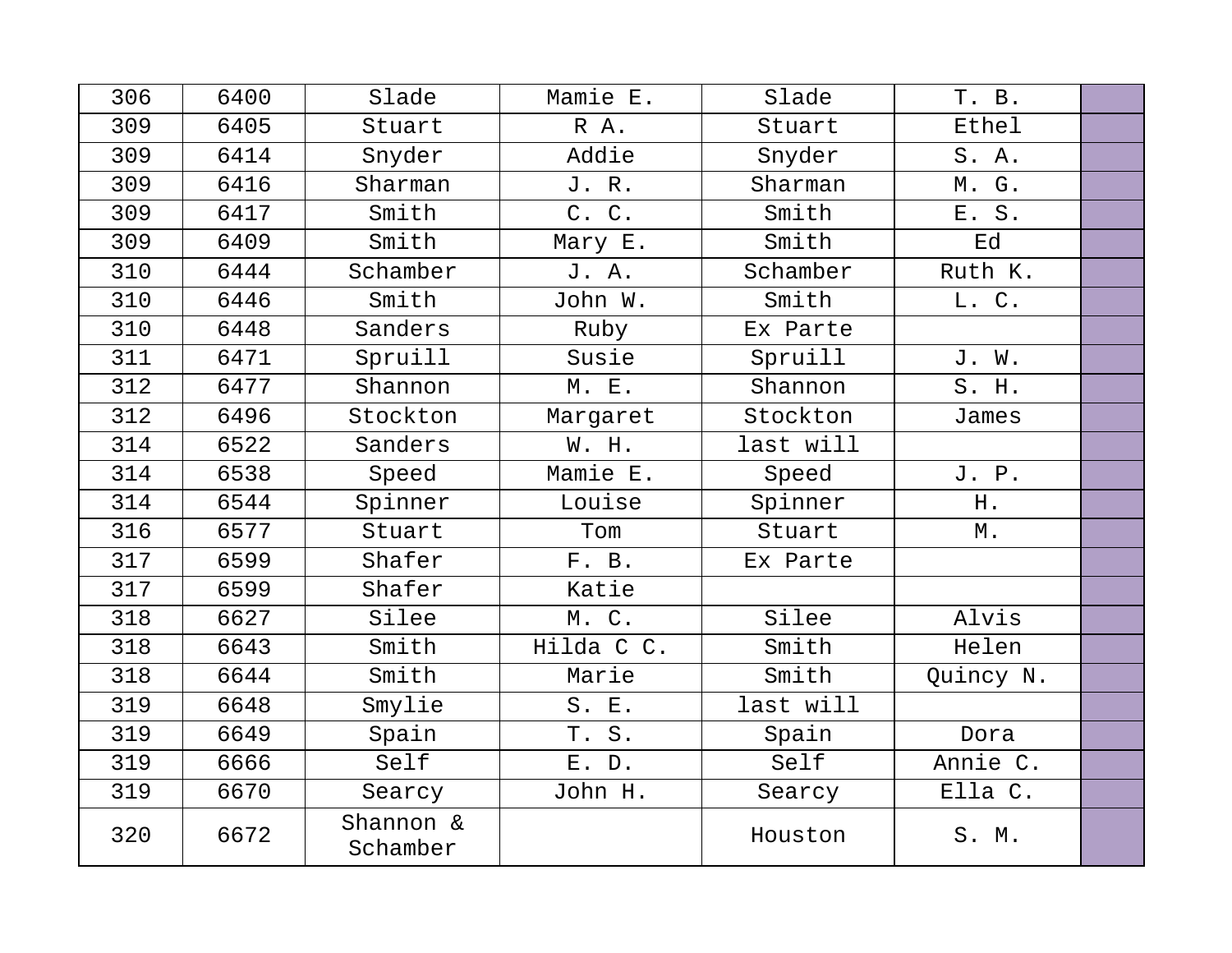| 306 | 6400 | Slade                 | Mamie E.   | Slade     | T. B.     |  |
|-----|------|-----------------------|------------|-----------|-----------|--|
| 309 | 6405 | Stuart                | R A.       | Stuart    | Ethel     |  |
| 309 | 6414 | Snyder                | Addie      | Snyder    | S.A.      |  |
| 309 | 6416 | Sharman               | J.R.       | Sharman   | M. G.     |  |
| 309 | 6417 | Smith                 | C. C.      | Smith     | E. S.     |  |
| 309 | 6409 | Smith                 | Mary E.    | Smith     | Ed        |  |
| 310 | 6444 | Schamber              | J. A.      | Schamber  | Ruth K.   |  |
| 310 | 6446 | Smith                 | John W.    | Smith     | L. C.     |  |
| 310 | 6448 | Sanders               | Ruby       | Ex Parte  |           |  |
| 311 | 6471 | Spruill               | Susie      | Spruill   | J. W.     |  |
| 312 | 6477 | Shannon               | M. E.      | Shannon   | S. H.     |  |
| 312 | 6496 | Stockton              | Margaret   | Stockton  | James     |  |
| 314 | 6522 | Sanders               | W. H.      | last will |           |  |
| 314 | 6538 | Speed                 | Mamie E.   | Speed     | J. P.     |  |
| 314 | 6544 | Spinner               | Louise     | Spinner   | Η.        |  |
| 316 | 6577 | Stuart                | Tom        | Stuart    | М.        |  |
| 317 | 6599 | Shafer                | F. B.      | Ex Parte  |           |  |
| 317 | 6599 | Shafer                | Katie      |           |           |  |
| 318 | 6627 | Silee                 | M. C.      | Silee     | Alvis     |  |
| 318 | 6643 | Smith                 | Hilda C C. | Smith     | Helen     |  |
| 318 | 6644 | Smith                 | Marie      | Smith     | Quincy N. |  |
| 319 | 6648 | Smylie                | S. E.      | last will |           |  |
| 319 | 6649 | Spain                 | T. S.      | Spain     | Dora      |  |
| 319 | 6666 | Self                  | E. D.      | Self      | Annie C.  |  |
| 319 | 6670 | Searcy                | John H.    | Searcy    | Ella C.   |  |
| 320 | 6672 | Shannon &<br>Schamber |            | Houston   | S. M.     |  |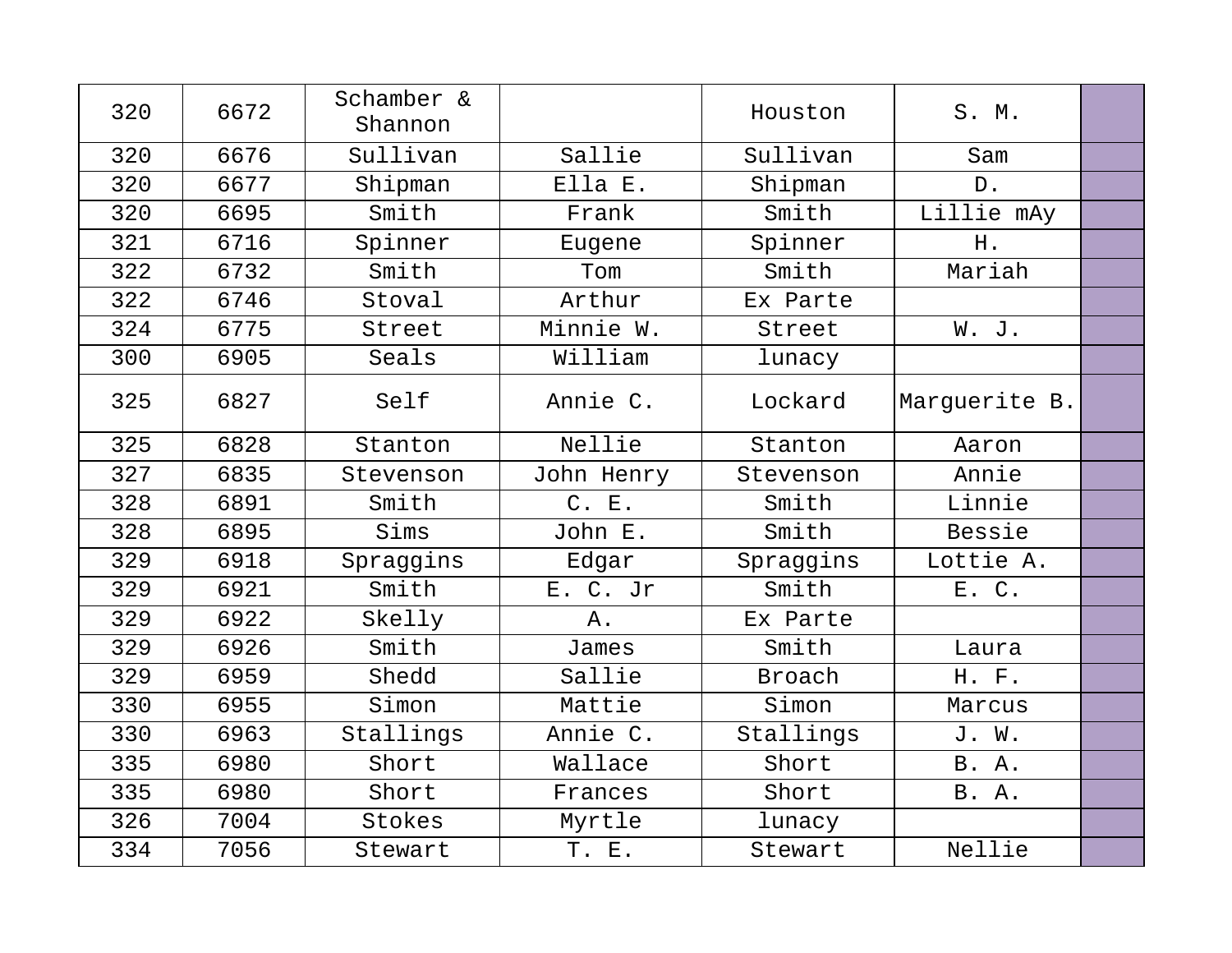| 320 | 6672 | Schamber &<br>Shannon |            | Houston   | S. M.         |  |
|-----|------|-----------------------|------------|-----------|---------------|--|
| 320 | 6676 | Sullivan              | Sallie     | Sullivan  | Sam           |  |
| 320 | 6677 | Shipman               | Ella E.    | Shipman   | $D$ .         |  |
| 320 | 6695 | Smith                 | Frank      | Smith     | Lillie mAy    |  |
| 321 | 6716 | Spinner               | Eugene     | Spinner   | Η.            |  |
| 322 | 6732 | Smith                 | Tom        | Smith     | Mariah        |  |
| 322 | 6746 | Stoval                | Arthur     | Ex Parte  |               |  |
| 324 | 6775 | Street                | Minnie W.  | Street    | W. J.         |  |
| 300 | 6905 | Seals                 | William    | lunacy    |               |  |
| 325 | 6827 | Self                  | Annie C.   | Lockard   | Marguerite B. |  |
| 325 | 6828 | Stanton               | Nellie     | Stanton   | Aaron         |  |
| 327 | 6835 | Stevenson             | John Henry | Stevenson | Annie         |  |
| 328 | 6891 | Smith                 | C. E.      | Smith     | Linnie        |  |
| 328 | 6895 | Sims                  | John E.    | Smith     | Bessie        |  |
| 329 | 6918 | Spraggins             | Edgar      | Spraggins | Lottie A.     |  |
| 329 | 6921 | Smith                 | E. C. Jr   | Smith     | E. C.         |  |
| 329 | 6922 | Skelly                | Α.         | Ex Parte  |               |  |
| 329 | 6926 | Smith                 | James      | Smith     | Laura         |  |
| 329 | 6959 | Shedd                 | Sallie     | Broach    | H. F.         |  |
| 330 | 6955 | Simon                 | Mattie     | Simon     | Marcus        |  |
| 330 | 6963 | Stallings             | Annie C.   | Stallings | J. W.         |  |
| 335 | 6980 | Short                 | Wallace    | Short     | B. A.         |  |
| 335 | 6980 | Short                 | Frances    | Short     | B. A.         |  |
| 326 | 7004 | Stokes                | Myrtle     | lunacy    |               |  |
| 334 | 7056 | Stewart               | T. E.      | Stewart   | Nellie        |  |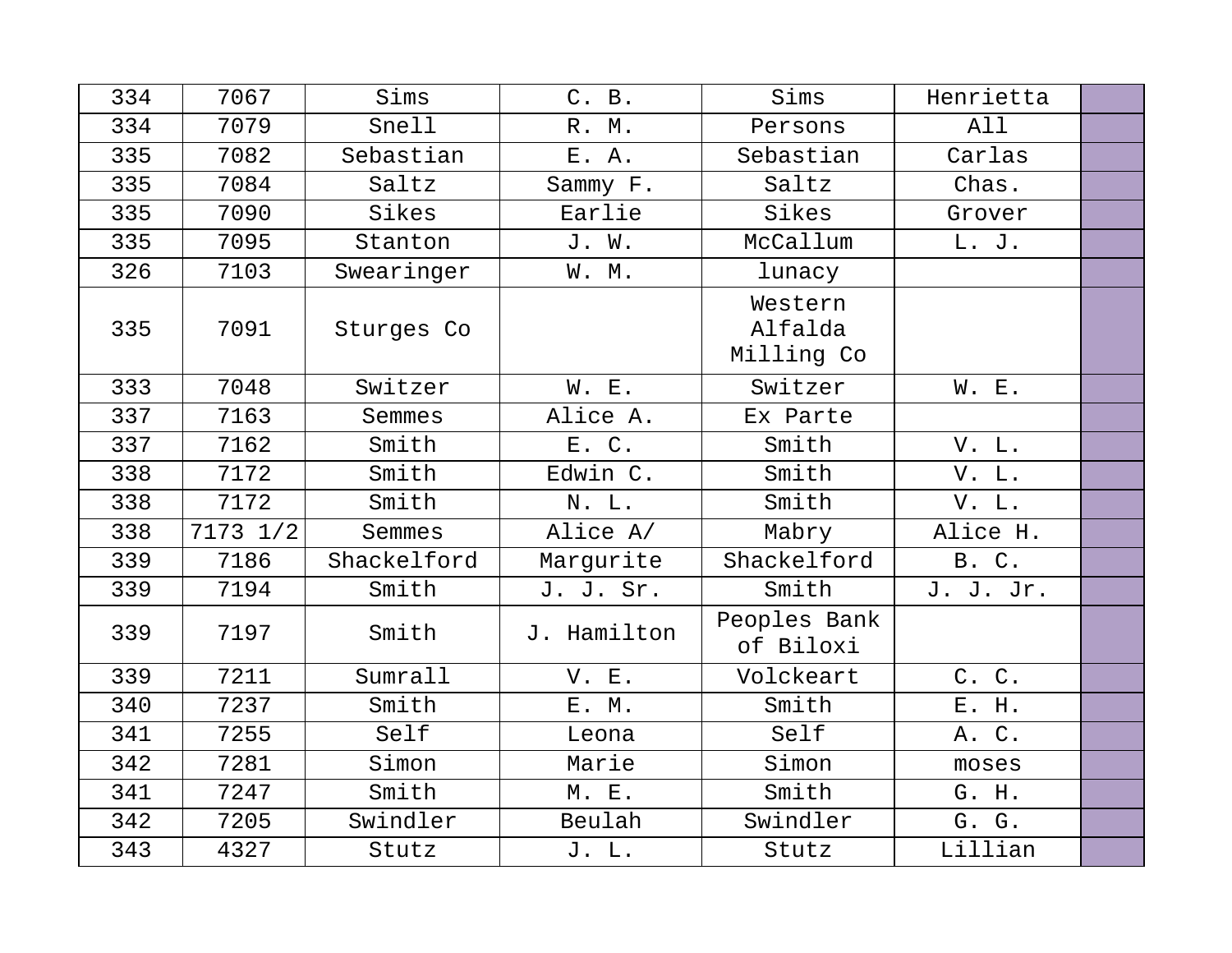| 334 | 7067     | Sims        | C. B.       | Sims                             | Henrietta |  |
|-----|----------|-------------|-------------|----------------------------------|-----------|--|
| 334 | 7079     | Snell       | R. M.       | Persons                          | All       |  |
| 335 | 7082     | Sebastian   | E. A.       | Sebastian                        | Carlas    |  |
| 335 | 7084     | Saltz       | Sammy F.    | Saltz                            | Chas.     |  |
| 335 | 7090     | Sikes       | Earlie      | Sikes                            | Grover    |  |
| 335 | 7095     | Stanton     | J. W.       | McCallum                         | L. J.     |  |
| 326 | 7103     | Swearinger  | W. M.       | lunacy                           |           |  |
| 335 | 7091     | Sturges Co  |             | Western<br>Alfalda<br>Milling Co |           |  |
| 333 | 7048     | Switzer     | W. E.       | Switzer                          | W. E.     |  |
| 337 | 7163     | Semmes      | Alice A.    | Ex Parte                         |           |  |
| 337 | 7162     | Smith       | E. C.       | Smith                            | V. L.     |  |
| 338 | 7172     | Smith       | Edwin C.    | Smith                            | V. L.     |  |
| 338 | 7172     | Smith       | N. L.       | Smith                            | V. L.     |  |
| 338 | 7173 1/2 | Semmes      | Alice A/    | Mabry                            | Alice H.  |  |
| 339 | 7186     | Shackelford | Marqurite   | Shackelford                      | B. C.     |  |
| 339 | 7194     | Smith       | J. J. Sr.   | Smith                            | J. J. Jr. |  |
| 339 | 7197     | Smith       | J. Hamilton | Peoples Bank<br>of Biloxi        |           |  |
| 339 | 7211     | Sumrall     | V. E.       | Volckeart                        | C. C.     |  |
| 340 | 7237     | Smith       | E. M.       | Smith                            | E. H.     |  |
| 341 | 7255     | Self        | Leona       | Self                             | A. C.     |  |
| 342 | 7281     | Simon       | Marie       | Simon                            | moses     |  |
| 341 | 7247     | Smith       | M. E.       | Smith                            | G. H.     |  |
| 342 | 7205     | Swindler    | Beulah      | Swindler                         | G. G.     |  |
| 343 | 4327     | Stutz       | J. L.       | Stutz                            | Lillian   |  |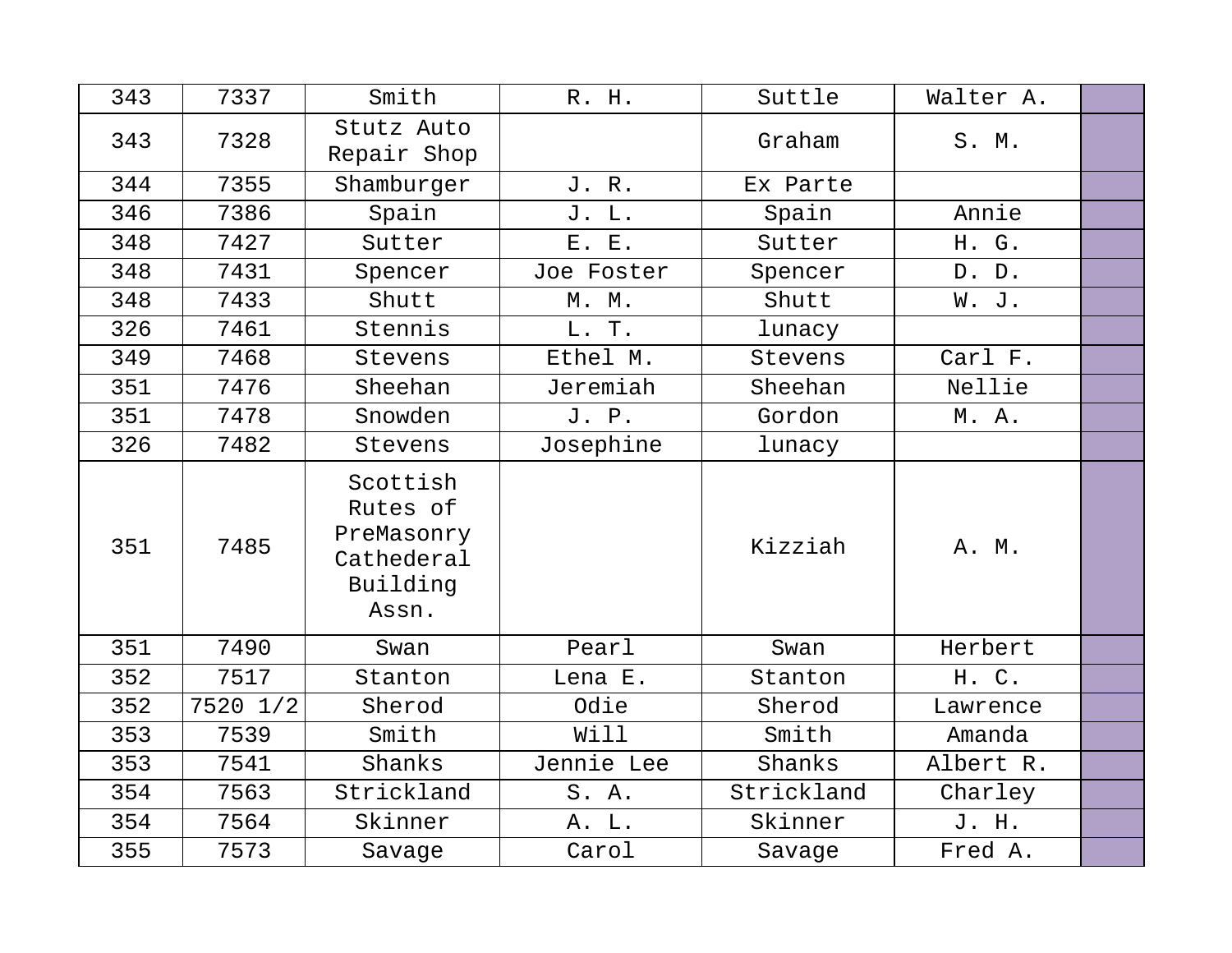| 343 | 7337     | Smith                                                                 | R. H.      | Suttle     | Walter A. |  |
|-----|----------|-----------------------------------------------------------------------|------------|------------|-----------|--|
| 343 | 7328     | Stutz Auto<br>Repair Shop                                             |            | Graham     | S. M.     |  |
| 344 | 7355     | Shamburger                                                            | J. R.      | Ex Parte   |           |  |
| 346 | 7386     | Spain                                                                 | J. L.      | Spain      | Annie     |  |
| 348 | 7427     | Sutter                                                                | E. E.      | Sutter     | H. G.     |  |
| 348 | 7431     | Spencer                                                               | Joe Foster | Spencer    | D. D.     |  |
| 348 | 7433     | Shutt                                                                 | M. M.      | Shutt      | W. J.     |  |
| 326 | 7461     | Stennis                                                               | L. T.      | lunacy     |           |  |
| 349 | 7468     | Stevens                                                               | Ethel M.   | Stevens    | Carl F.   |  |
| 351 | 7476     | Sheehan                                                               | Jeremiah   | Sheehan    | Nellie    |  |
| 351 | 7478     | Snowden                                                               | J. P.      | Gordon     | M. A.     |  |
| 326 | 7482     | Stevens                                                               | Josephine  | lunacy     |           |  |
| 351 | 7485     | Scottish<br>Rutes of<br>PreMasonry<br>Cathederal<br>Building<br>Assn. |            | Kizziah    | A. M.     |  |
| 351 | 7490     | Swan                                                                  | Pearl      | Swan       | Herbert   |  |
| 352 | 7517     | Stanton                                                               | Lena E.    | Stanton    | H. C.     |  |
| 352 | 7520 1/2 | Sherod                                                                | Odie       | Sherod     | Lawrence  |  |
| 353 | 7539     | Smith                                                                 | Will       | Smith      | Amanda    |  |
| 353 | 7541     | Shanks                                                                | Jennie Lee | Shanks     | Albert R. |  |
| 354 | 7563     | Strickland                                                            | S. A.      | Strickland | Charley   |  |
| 354 | 7564     | Skinner                                                               | A. L.      | Skinner    | J. H.     |  |
| 355 | 7573     | Savage                                                                | Carol      | Savage     | Fred A.   |  |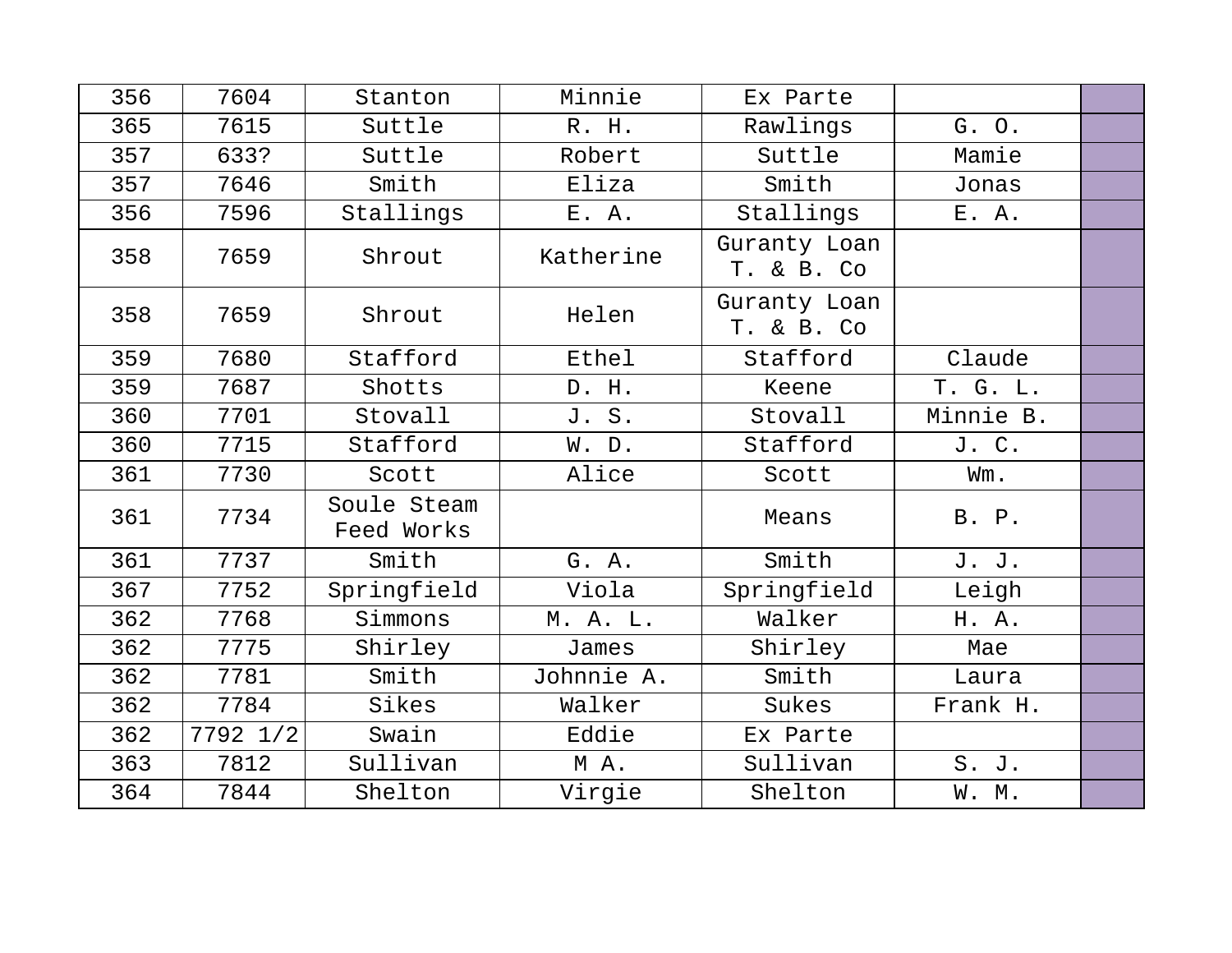| 356 | 7604     | Stanton                   | Minnie     | Ex Parte                   |           |  |
|-----|----------|---------------------------|------------|----------------------------|-----------|--|
| 365 | 7615     | Suttle                    | R. H.      | Rawlings                   | G. O.     |  |
| 357 | 633?     | Suttle                    | Robert     | Suttle                     | Mamie     |  |
| 357 | 7646     | Smith                     | Eliza      | Smith                      | Jonas     |  |
| 356 | 7596     | Stallings                 | E. A.      | Stallings                  | E. A.     |  |
| 358 | 7659     | Shrout                    | Katherine  | Guranty Loan<br>T. & B. Co |           |  |
| 358 | 7659     | Shrout                    | Helen      | Guranty Loan<br>T. & B. Co |           |  |
| 359 | 7680     | Stafford                  | Ethel      | Stafford                   | Claude    |  |
| 359 | 7687     | Shotts                    | D. H.      | Keene                      | T. G. L.  |  |
| 360 | 7701     | Stovall                   | J. S.      | Stovall                    | Minnie B. |  |
| 360 | 7715     | Stafford                  | W. D.      | Stafford                   | J. C.     |  |
| 361 | 7730     | Scott                     | Alice      | Scott                      | Wm.       |  |
| 361 | 7734     | Soule Steam<br>Feed Works |            | Means                      | B. P.     |  |
| 361 | 7737     | Smith                     | G. A.      | Smith                      | J. J.     |  |
| 367 | 7752     | Springfield               | Viola      | Springfield                | Leigh     |  |
| 362 | 7768     | Simmons                   | M. A. L.   | Walker                     | H. A.     |  |
| 362 | 7775     | Shirley                   | James      | Shirley                    | Mae       |  |
| 362 | 7781     | Smith                     | Johnnie A. | Smith                      | Laura     |  |
| 362 | 7784     | Sikes                     | Walker     | Sukes                      | Frank H.  |  |
| 362 | 7792 1/2 | Swain                     | Eddie      | Ex Parte                   |           |  |
| 363 | 7812     | Sullivan                  | MA.        | Sullivan                   | S. J.     |  |
| 364 | 7844     | Shelton                   | Virgie     | Shelton                    | W. M.     |  |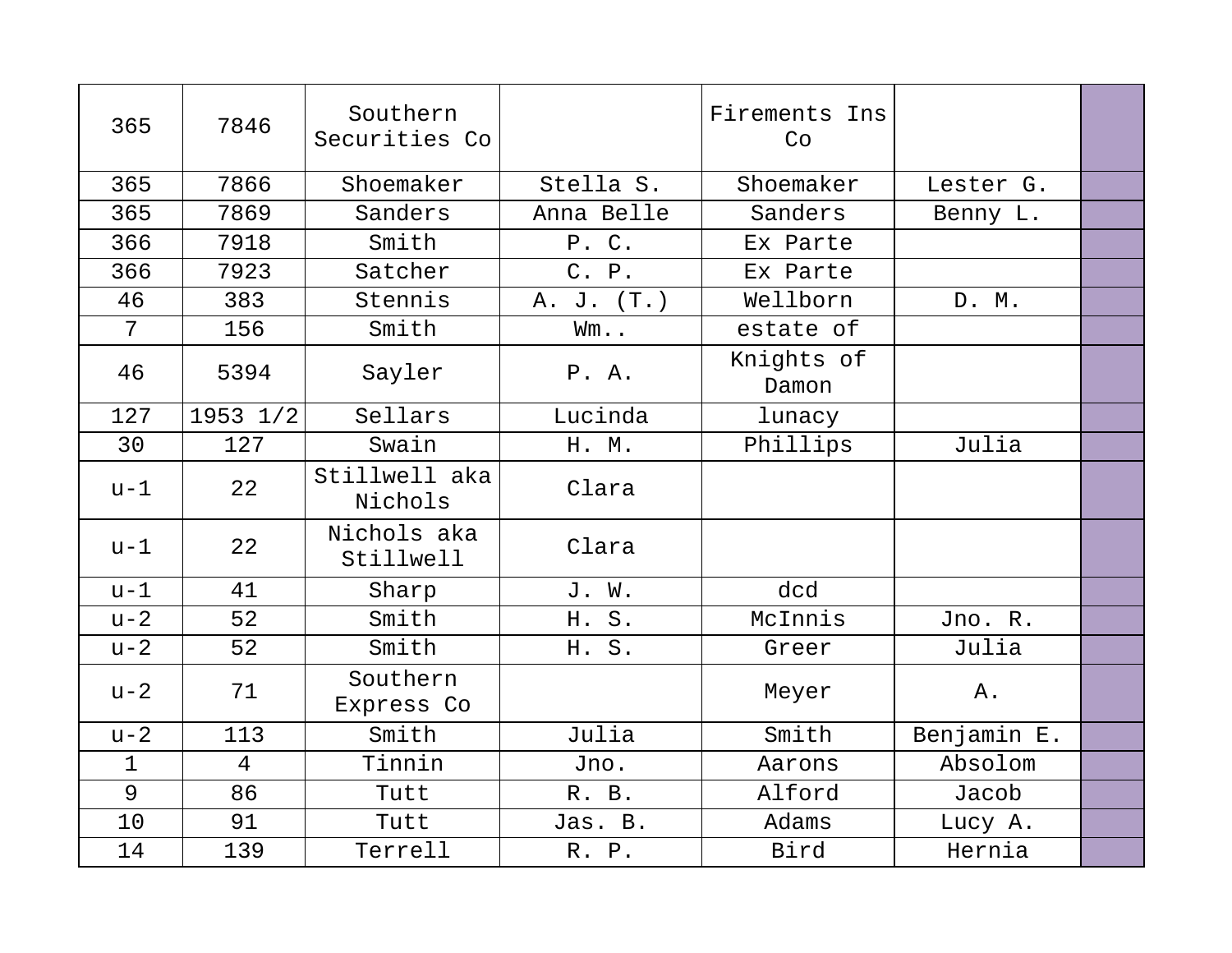| 365          | 7846           | Southern<br>Securities Co |            | Firements Ins<br>Co |             |  |
|--------------|----------------|---------------------------|------------|---------------------|-------------|--|
| 365          | 7866           | Shoemaker                 | Stella S.  | Shoemaker           | Lester G.   |  |
| 365          | 7869           | Sanders                   | Anna Belle | Sanders             | Benny L.    |  |
| 366          | 7918           | Smith                     | P. C.      | Ex Parte            |             |  |
| 366          | 7923           | Satcher                   | C. P.      | Ex Parte            |             |  |
| 46           | 383            | Stennis                   | A. J. (T.) | Wellborn            | D. M.       |  |
| 7            | 156            | Smith                     | Wm         | estate of           |             |  |
| 46           | 5394           | Sayler                    | P.A.       | Knights of<br>Damon |             |  |
| 127          | 1953 1/2       | Sellars                   | Lucinda    | lunacy              |             |  |
| 30           | 127            | Swain                     | H. M.      | Phillips            | Julia       |  |
| $u-1$        | 22             | Stillwell aka<br>Nichols  | Clara      |                     |             |  |
| $u-1$        | 22             | Nichols aka<br>Stillwell  | Clara      |                     |             |  |
| $u-1$        | 41             | Sharp                     | J. W.      | dcd                 |             |  |
| $u-2$        | 52             | Smith                     | H. S.      | McInnis             | Jno. R.     |  |
| $u-2$        | 52             | Smith                     | H. S.      | Greer               | Julia       |  |
| $u-2$        | 71             | Southern<br>Express Co    |            | Meyer               | Α.          |  |
| $u-2$        | 113            | Smith                     | Julia      | Smith               | Benjamin E. |  |
| $\mathbf{1}$ | $\overline{4}$ | Tinnin                    | Jno.       | Aarons              | Absolom     |  |
| 9            | 86             | Tutt                      | R. B.      | Alford              | Jacob       |  |
| 10           | 91             | Tutt                      | Jas. B.    | Adams               | Lucy A.     |  |
| 14           | 139            | Terrell                   | R. P.      | Bird                | Hernia      |  |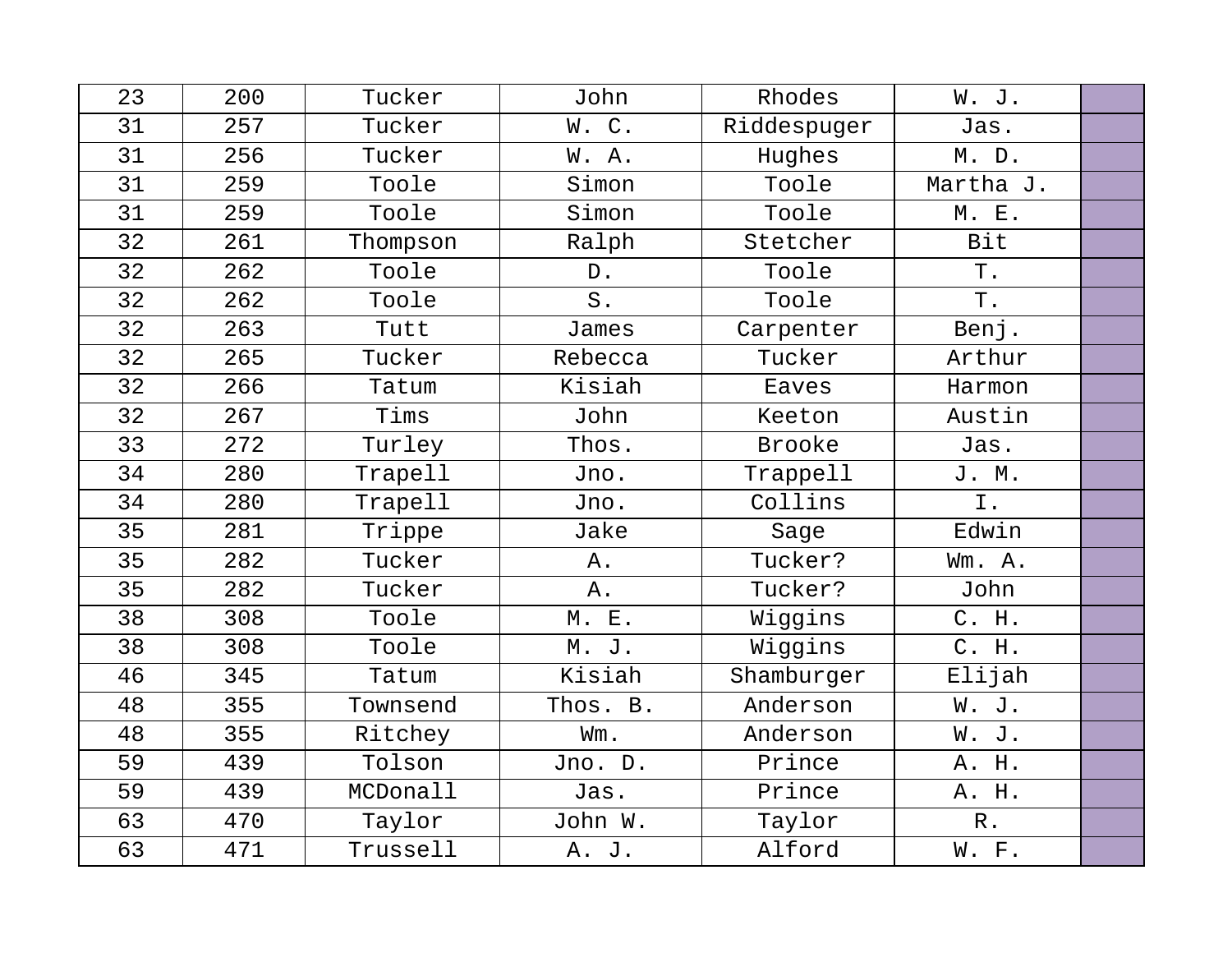| 23 | 200 | Tucker   | John     | Rhodes        | W. J.           |  |
|----|-----|----------|----------|---------------|-----------------|--|
| 31 | 257 | Tucker   | W.C.     | Riddespuger   | Jas.            |  |
| 31 | 256 | Tucker   | W. A.    | Hughes        | M. D.           |  |
| 31 | 259 | Toole    | Simon    | Toole         | Martha J.       |  |
| 31 | 259 | Toole    | Simon    | Toole         | M. E.           |  |
| 32 | 261 | Thompson | Ralph    | Stetcher      | <b>Bit</b>      |  |
| 32 | 262 | Toole    | $D$ .    | Toole         | $\mathbb T$ .   |  |
| 32 | 262 | Toole    | S.       | Toole         | $\mathbf T$ .   |  |
| 32 | 263 | Tutt     | James    | Carpenter     | Benj.           |  |
| 32 | 265 | Tucker   | Rebecca  | Tucker        | Arthur          |  |
| 32 | 266 | Tatum    | Kisiah   | Eaves         | Harmon          |  |
| 32 | 267 | Tims     | John     | Keeton        | Austin          |  |
| 33 | 272 | Turley   | Thos.    | <b>Brooke</b> | Jas.            |  |
| 34 | 280 | Trapell  | Jno.     | Trappell      | J. M.           |  |
| 34 | 280 | Trapell  | Jno.     | Collins       | Ι.              |  |
| 35 | 281 | Trippe   | Jake     | Sage          | Edwin           |  |
| 35 | 282 | Tucker   | Α.       | Tucker?       | Wm. A.          |  |
| 35 | 282 | Tucker   | Α.       | Tucker?       | John            |  |
| 38 | 308 | Toole    | M. E.    | Wiggins       | C. H.           |  |
| 38 | 308 | Toole    | M. J.    | Wiggins       | C. H.           |  |
| 46 | 345 | Tatum    | Kisiah   | Shamburger    | Elijah          |  |
| 48 | 355 | Townsend | Thos. B. | Anderson      | W. J.           |  |
| 48 | 355 | Ritchey  | Wm.      | Anderson      | W. J.           |  |
| 59 | 439 | Tolson   | Jno. D.  | Prince        | A. H.           |  |
| 59 | 439 | MCDonall | Jas.     | Prince        | A. H.           |  |
| 63 | 470 | Taylor   | John W.  | Taylor        | ${\mathbb R}$ . |  |
| 63 | 471 | Trussell | A. J.    | Alford        | W. F.           |  |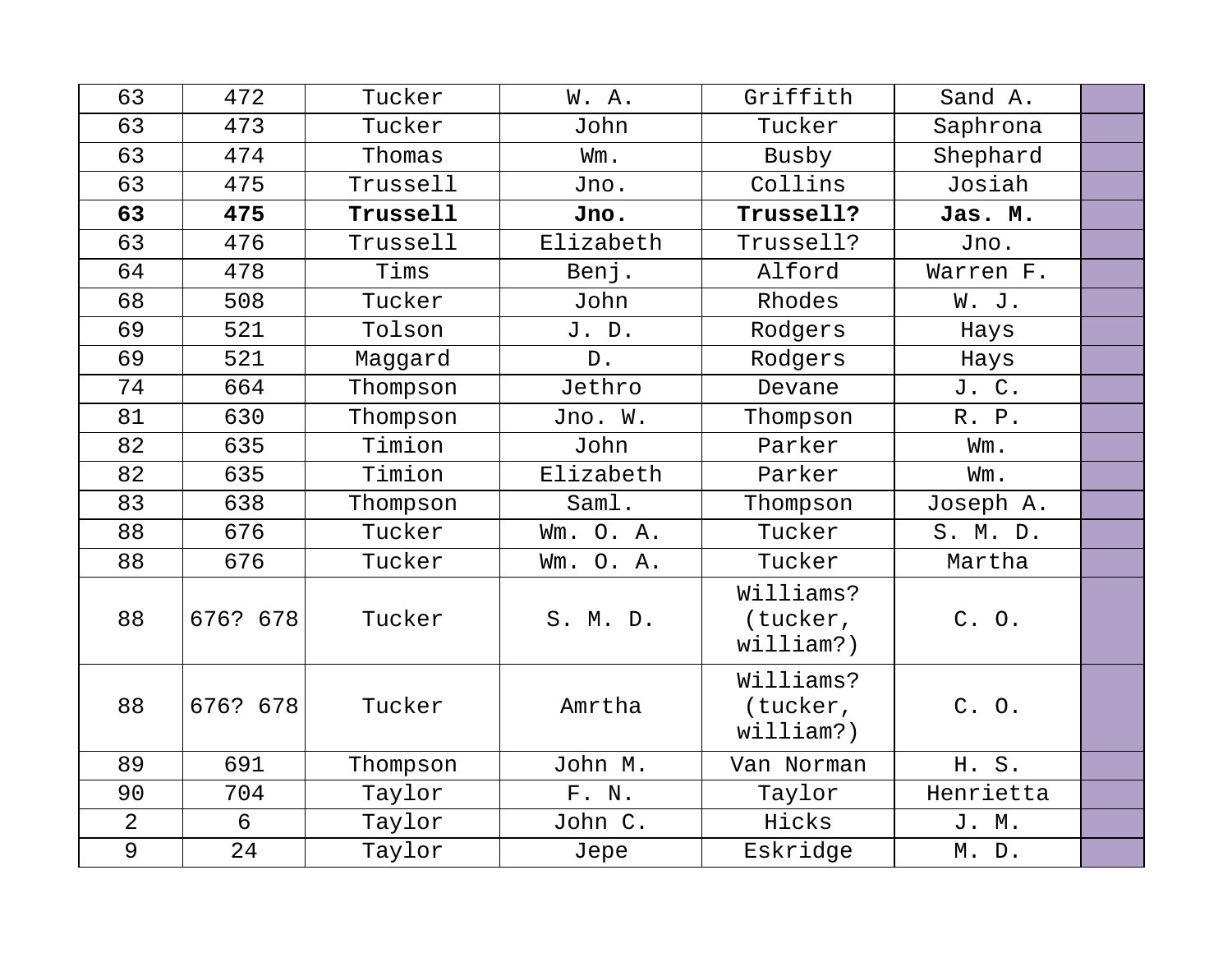| 63             | 472      | Tucker   | W. A.     | Griffith                           | Sand A.   |  |
|----------------|----------|----------|-----------|------------------------------------|-----------|--|
| 63             | 473      | Tucker   | John      | Tucker                             | Saphrona  |  |
| 63             | 474      | Thomas   | Wm.       | Busby                              | Shephard  |  |
| 63             | 475      | Trussell | Jno.      | Collins                            | Josiah    |  |
| 63             | 475      | Trussell | Jno.      | Trussell?                          | Jas. M.   |  |
| 63             | 476      | Trussell | Elizabeth | Trussell?                          | Jno.      |  |
| 64             | 478      | Tims     | Benj.     | Alford                             | Warren F. |  |
| 68             | 508      | Tucker   | John      | Rhodes                             | W. J.     |  |
| 69             | 521      | Tolson   | J. D.     | Rodgers                            | Hays      |  |
| 69             | 521      | Maggard  | $D$ .     | Rodgers                            | Hays      |  |
| 74             | 664      | Thompson | Jethro    | Devane                             | J. C.     |  |
| 81             | 630      | Thompson | Jno. W.   | Thompson                           | R. P.     |  |
| 82             | 635      | Timion   | John      | Parker                             | Wm.       |  |
| 82             | 635      | Timion   | Elizabeth | Parker                             | Wm.       |  |
| 83             | 638      | Thompson | Saml.     | Thompson                           | Joseph A. |  |
| 88             | 676      | Tucker   | Wm. O. A. | Tucker                             | S. M. D.  |  |
| 88             | 676      | Tucker   | Wm. O. A. | Tucker                             | Martha    |  |
| 88             | 676? 678 | Tucker   | S. M. D.  | Williams?<br>(tucker,<br>william?) | C. O.     |  |
| 88             | 676? 678 | Tucker   | Amrtha    | Williams?<br>(tucker,<br>william?) | C. O.     |  |
| 89             | 691      | Thompson | John M.   | Van Norman                         | H. S.     |  |
| 90             | 704      | Taylor   | F. N.     | Taylor                             | Henrietta |  |
| $\overline{2}$ | 6        | Taylor   | John C.   | Hicks                              | J. M.     |  |
| 9              | 24       | Taylor   | Jepe      | Eskridge                           | M. D.     |  |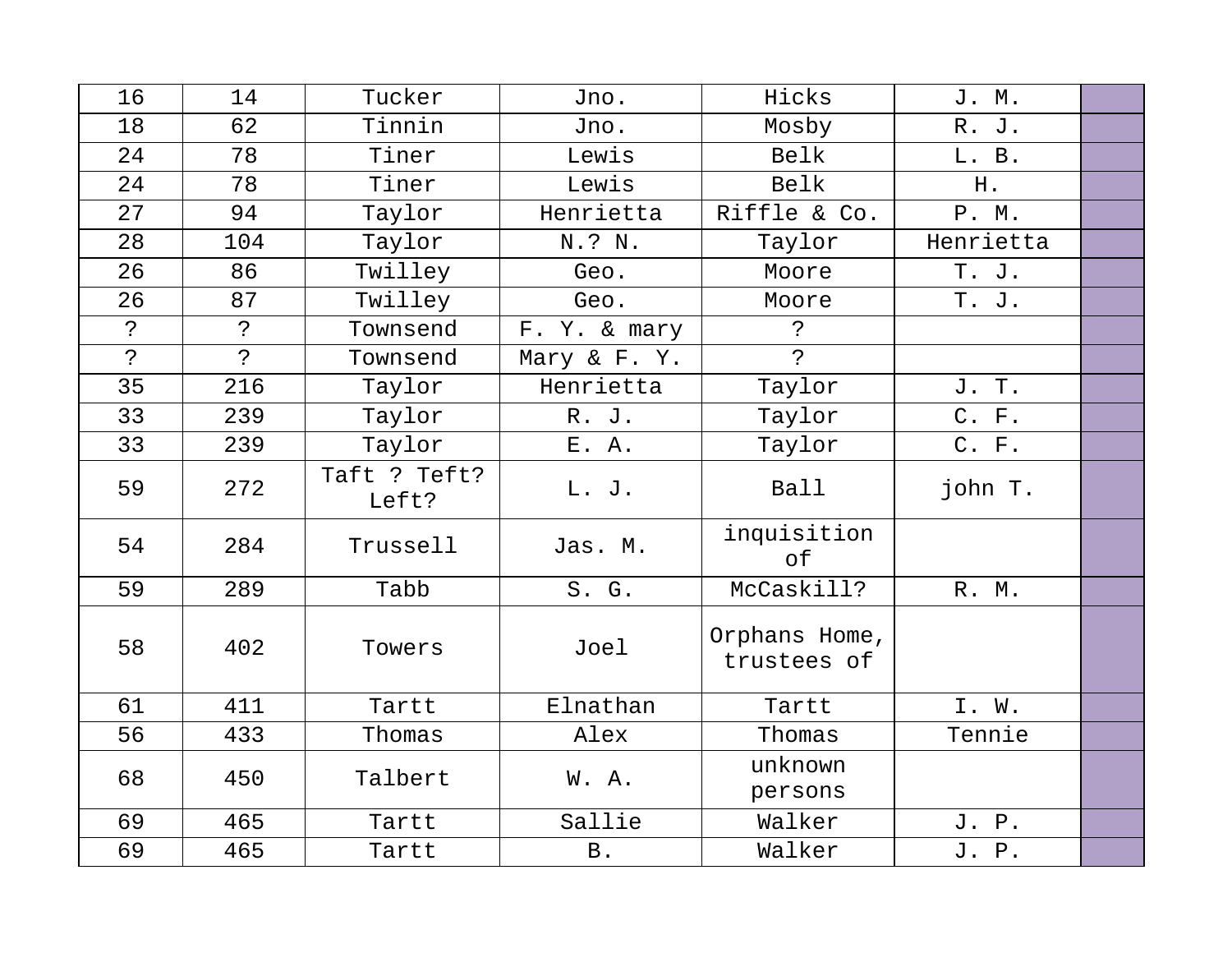| 16           | 14           | Tucker                | Jno.           | Hicks                        | J. M.     |  |
|--------------|--------------|-----------------------|----------------|------------------------------|-----------|--|
| 18           | 62           | Tinnin                | Jno.           | Mosby                        | R. J.     |  |
| 24           | 78           | Tiner                 | Lewis          | Belk                         | L. B.     |  |
| 24           | 78           | Tiner                 | Lewis          | Belk                         | H.        |  |
| 27           | 94           | Taylor                | Henrietta      | Riffle & Co.                 | P. M.     |  |
| 28           | 104          | Taylor                | N.? N.         | Taylor                       | Henrietta |  |
| 26           | 86           | Twilley               | Geo.           | Moore                        | T. J.     |  |
| 26           | 87           | Twilley               | Geo.           | Moore                        | T. J.     |  |
| $\mathbf{S}$ | ?            | Townsend              | F. Y. & mary   | $\tilde{S}$                  |           |  |
| ?            | $\mathbf{P}$ | Townsend              | Mary & F. Y.   | $\tilde{P}$                  |           |  |
| 35           | 216          | Taylor                | Henrietta      | Taylor                       | J. T.     |  |
| 33           | 239          | Taylor                | R. J.          | Taylor                       | C. F.     |  |
| 33           | 239          | Taylor                | E. A.          | Taylor                       | C. F.     |  |
| 59           | 272          | Taft ? Teft?<br>Left? | L. J.          | Ball                         | john T.   |  |
| 54           | 284          | Trussell              | Jas. M.        | inquisition<br>of            |           |  |
| 59           | 289          | Tabb                  | S. G.          | McCaskill?                   | R. M.     |  |
| 58           | 402          | Towers                | Joel           | Orphans Home,<br>trustees of |           |  |
| 61           | 411          | Tartt                 | Elnathan       | Tartt                        | I. W.     |  |
| 56           | 433          | Thomas                | Alex           | Thomas                       | Tennie    |  |
| 68           | 450          | Talbert               | W. A.          | unknown<br>persons           |           |  |
| 69           | 465          | Tartt                 | Sallie         | Walker                       | J. P.     |  |
| 69           | 465          | Tartt                 | $\, {\bf B}$ . | Walker                       | J. P.     |  |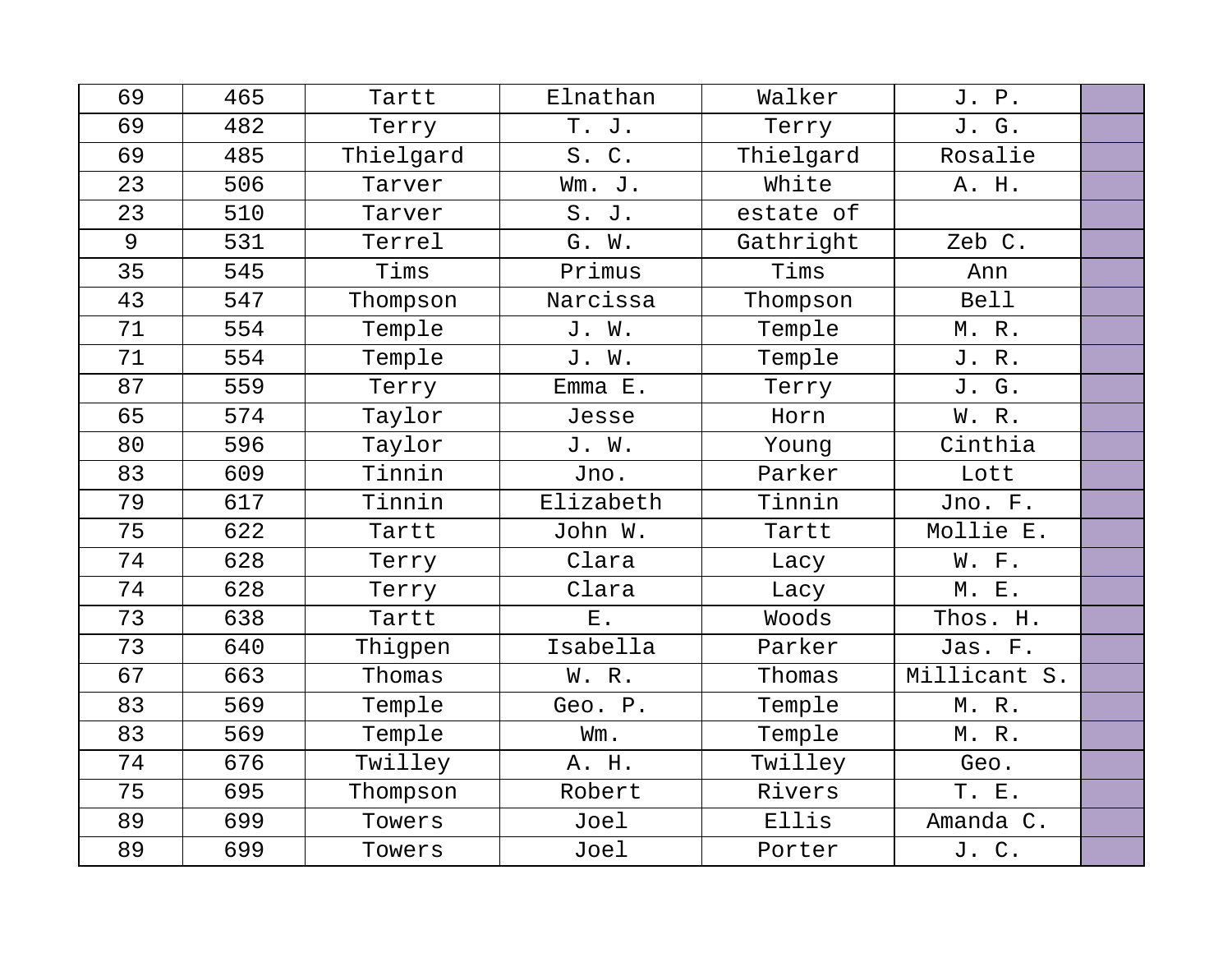| 69 | 465 | Tartt     | Elnathan     | Walker    | J. P.        |  |
|----|-----|-----------|--------------|-----------|--------------|--|
| 69 | 482 | Terry     | T.<br>J.     | Terry     | J. G.        |  |
| 69 | 485 | Thielgard | S.C.         | Thielgard | Rosalie      |  |
| 23 | 506 | Tarver    | Wm. J.       | White     | A. H.        |  |
| 23 | 510 | Tarver    | S. J.        | estate of |              |  |
| 9  | 531 | Terrel    | G. W.        | Gathright | Zeb C.       |  |
| 35 | 545 | Tims      | Primus       | Tims      | Ann          |  |
| 43 | 547 | Thompson  | Narcissa     | Thompson  | <b>Bell</b>  |  |
| 71 | 554 | Temple    | J. W.        | Temple    | M. R.        |  |
| 71 | 554 | Temple    | J. W.        | Temple    | J. R.        |  |
| 87 | 559 | Terry     | $Emma$ $E$ . | Terry     | J. G.        |  |
| 65 | 574 | Taylor    | Jesse        | Horn      | W. R.        |  |
| 80 | 596 | Taylor    | J. W.        | Young     | Cinthia      |  |
| 83 | 609 | Tinnin    | Jno.         | Parker    | Lott         |  |
| 79 | 617 | Tinnin    | Elizabeth    | Tinnin    | Jno. F.      |  |
| 75 | 622 | Tartt     | John W.      | Tartt     | Mollie E.    |  |
| 74 | 628 | Terry     | Clara        | Lacy      | W. F.        |  |
| 74 | 628 | Terry     | Clara        | Lacy      | M. E.        |  |
| 73 | 638 | Tartt     | $E$ .        | Woods     | Thos. H.     |  |
| 73 | 640 | Thigpen   | Isabella     | Parker    | Jas. F.      |  |
| 67 | 663 | Thomas    | W. R.        | Thomas    | Millicant S. |  |
| 83 | 569 | Temple    | Geo. P.      | Temple    | M.R.         |  |
| 83 | 569 | Temple    | Wm.          | Temple    | M. R.        |  |
| 74 | 676 | Twilley   | A. H.        | Twilley   | Geo.         |  |
| 75 | 695 | Thompson  | Robert       | Rivers    | T. E.        |  |
| 89 | 699 | Towers    | Joel         | Ellis     | Amanda C.    |  |
| 89 | 699 | Towers    | Joel         | Porter    | J. C.        |  |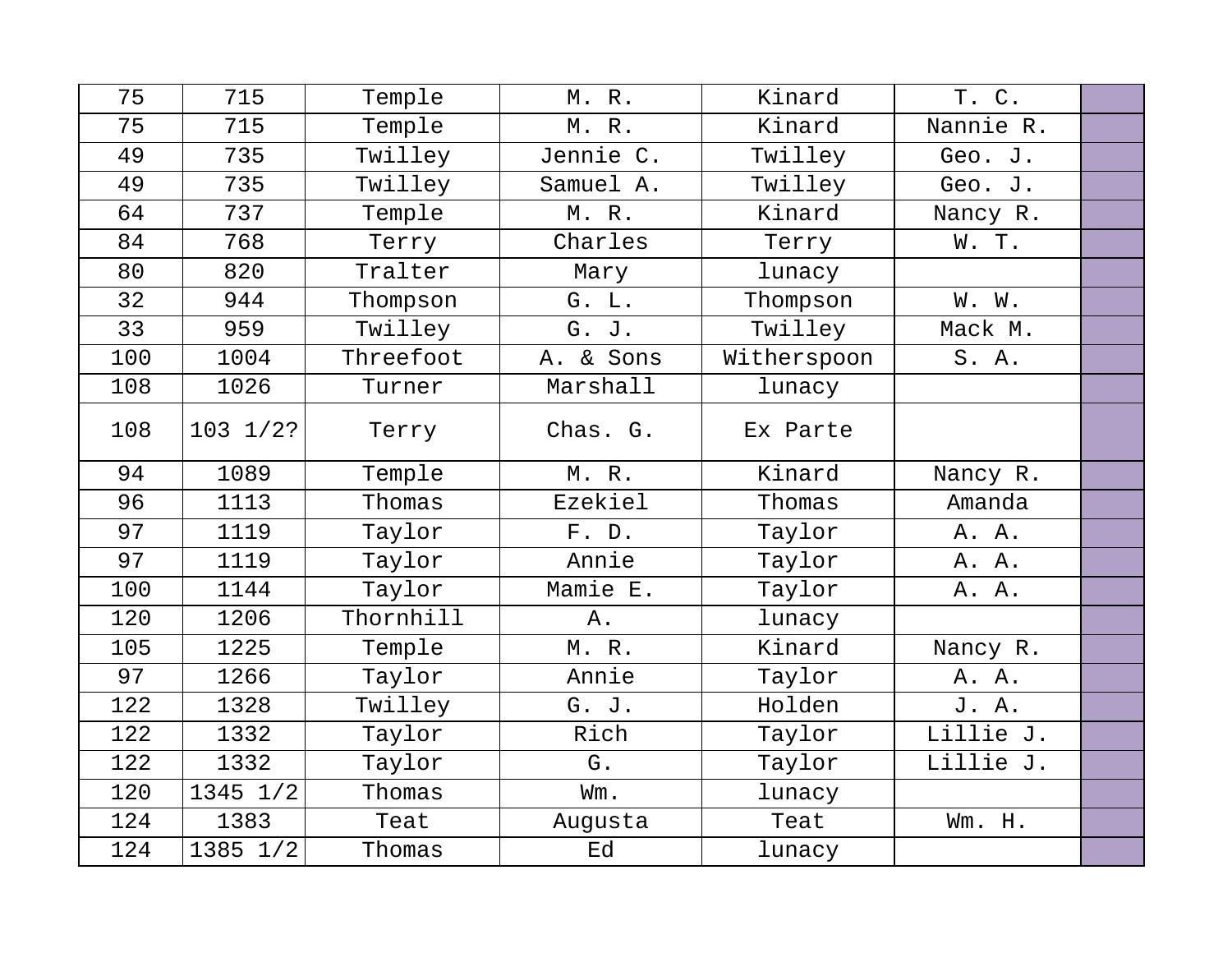| 75  | 715      | Temple    | M. R.     | Kinard      | T. C.     |  |
|-----|----------|-----------|-----------|-------------|-----------|--|
| 75  | 715      | Temple    | M. R.     | Kinard      | Nannie R. |  |
| 49  | 735      | Twilley   | Jennie C. | Twilley     | Geo. J.   |  |
| 49  | 735      | Twilley   | Samuel A. | Twilley     | Geo. J.   |  |
| 64  | 737      | Temple    | M. R.     | Kinard      | Nancy R.  |  |
| 84  | 768      | Terry     | Charles   | Terry       | W. T.     |  |
| 80  | 820      | Tralter   | Mary      | lunacy      |           |  |
| 32  | 944      | Thompson  | G. L.     | Thompson    | W. W.     |  |
| 33  | 959      | Twilley   | G. J.     | Twilley     | Mack M.   |  |
| 100 | 1004     | Threefoot | A. & Sons | Witherspoon | S. A.     |  |
| 108 | 1026     | Turner    | Marshall  | lunacy      |           |  |
| 108 | 103 1/2? | Terry     | Chas. G.  | Ex Parte    |           |  |
| 94  | 1089     | Temple    | M. R.     | Kinard      | Nancy R.  |  |
| 96  | 1113     | Thomas    | Ezekiel   | Thomas      | Amanda    |  |
| 97  | 1119     | Taylor    | F. D.     | Taylor      | A. A.     |  |
| 97  | 1119     | Taylor    | Annie     | Taylor      | A. A.     |  |
| 100 | 1144     | Taylor    | Mamie E.  | Taylor      | A. A.     |  |
| 120 | 1206     | Thornhill | Α.        | lunacy      |           |  |
| 105 | 1225     | Temple    | M.R.      | Kinard      | Nancy R.  |  |
| 97  | 1266     | Taylor    | Annie     | Taylor      | A. A.     |  |
| 122 | 1328     | Twilley   | G. J.     | Holden      | J. A.     |  |
| 122 | 1332     | Taylor    | Rich      | Taylor      | Lillie J. |  |
| 122 | 1332     | Taylor    | G.        | Taylor      | Lillie J. |  |
| 120 | 1345 1/2 | Thomas    | Wm.       | lunacy      |           |  |
| 124 | 1383     | Teat      | Augusta   | Teat        | Wm. H.    |  |
| 124 | 1385 1/2 | Thomas    | Ed        | lunacy      |           |  |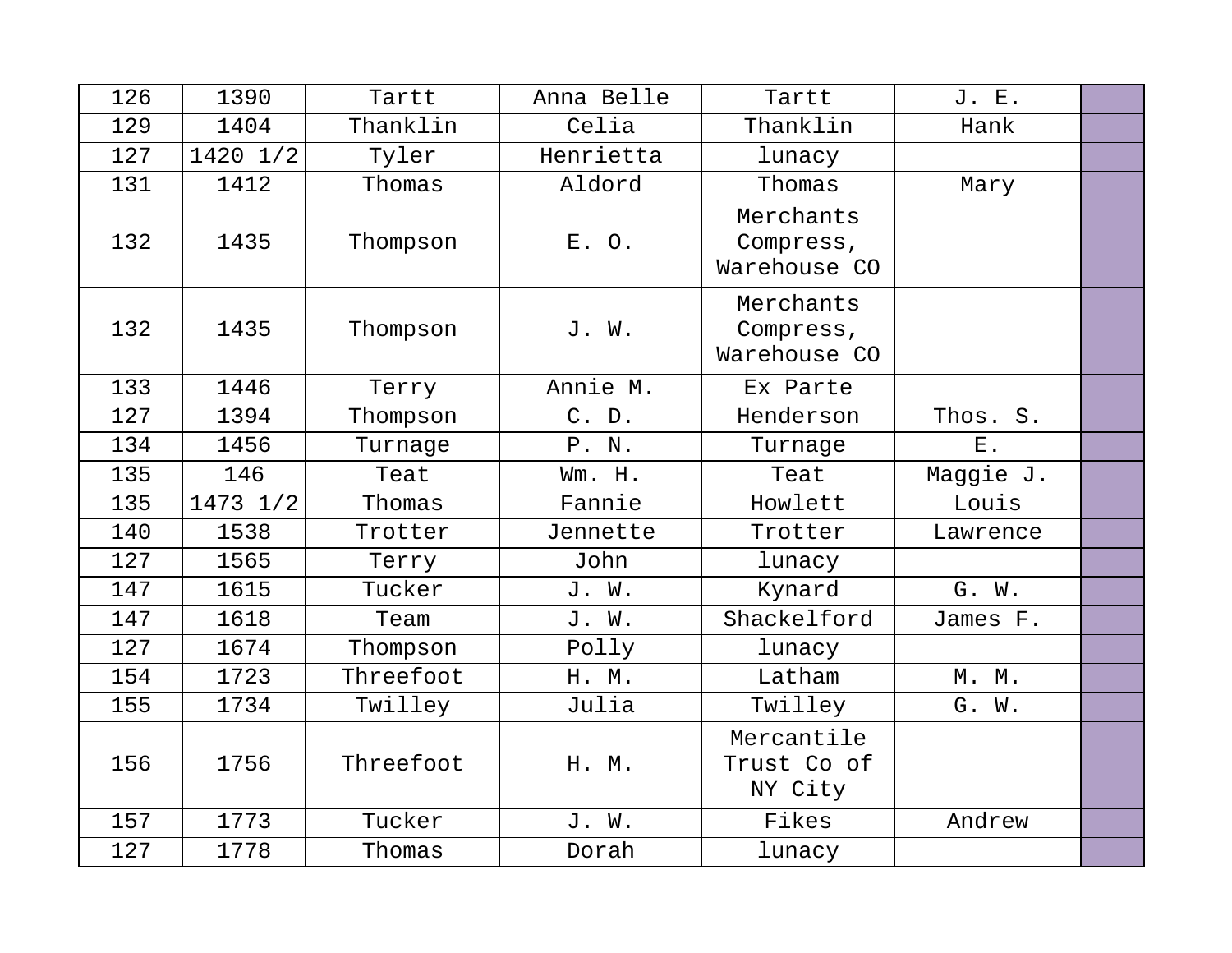| 126 | 1390     | Tartt     | Anna Belle | Tartt                                  | J. E.       |  |
|-----|----------|-----------|------------|----------------------------------------|-------------|--|
| 129 | 1404     | Thanklin  | Celia      | Thanklin                               | Hank        |  |
| 127 | 1420 1/2 | Tyler     | Henrietta  | lunacy                                 |             |  |
| 131 | 1412     | Thomas    | Aldord     | Thomas                                 | Mary        |  |
| 132 | 1435     | Thompson  | E. O.      | Merchants<br>Compress,<br>Warehouse CO |             |  |
| 132 | 1435     | Thompson  | J. W.      | Merchants<br>Compress,<br>Warehouse CO |             |  |
| 133 | 1446     | Terry     | Annie M.   | Ex Parte                               |             |  |
| 127 | 1394     | Thompson  | C. D.      | Henderson                              | Thos. S.    |  |
| 134 | 1456     | Turnage   | P. N.      | Turnage                                | ${\bf E}$ . |  |
| 135 | 146      | Teat      | Wm. H.     | Teat                                   | Maggie J.   |  |
| 135 | 1473 1/2 | Thomas    | Fannie     | Howlett                                | Louis       |  |
| 140 | 1538     | Trotter   | Jennette   | Trotter                                | Lawrence    |  |
| 127 | 1565     | Terry     | John       | lunacy                                 |             |  |
| 147 | 1615     | Tucker    | J. W.      | Kynard                                 | G. W.       |  |
| 147 | 1618     | Team      | J. W.      | Shackelford                            | James F.    |  |
| 127 | 1674     | Thompson  | Polly      | lunacy                                 |             |  |
| 154 | 1723     | Threefoot | H. M.      | Latham                                 | M. M.       |  |
| 155 | 1734     | Twilley   | Julia      | Twilley                                | G. W.       |  |
| 156 | 1756     | Threefoot | H. M.      | Mercantile<br>Trust Co of<br>NY City   |             |  |
| 157 | 1773     | Tucker    | J. W.      | Fikes                                  | Andrew      |  |
| 127 | 1778     | Thomas    | Dorah      | lunacy                                 |             |  |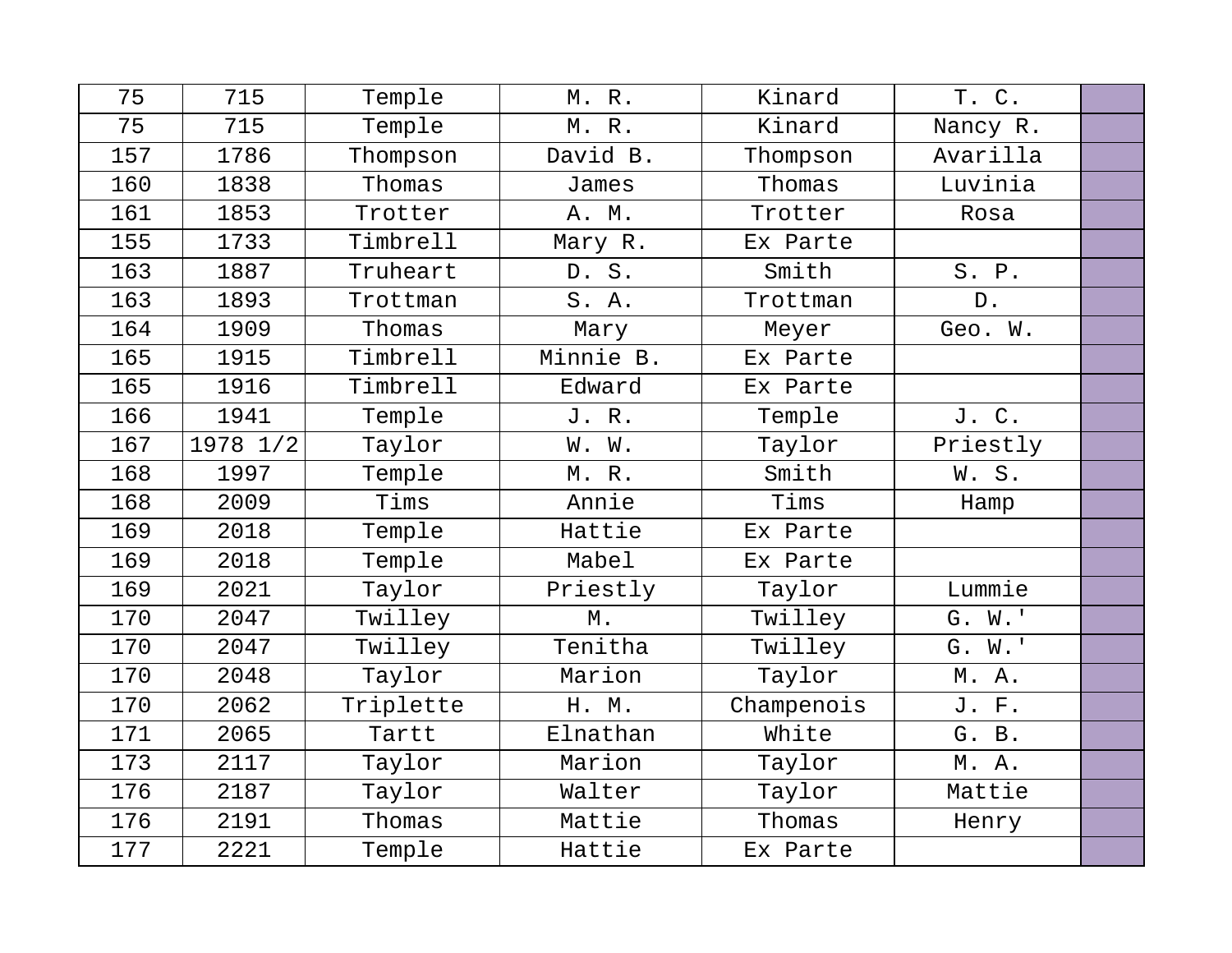| 75  | 715      | Temple    | M. R.     | Kinard     | T. C.    |  |
|-----|----------|-----------|-----------|------------|----------|--|
| 75  | 715      | Temple    | M. R.     | Kinard     | Nancy R. |  |
| 157 | 1786     | Thompson  | David B.  | Thompson   | Avarilla |  |
| 160 | 1838     | Thomas    | James     | Thomas     | Luvinia  |  |
| 161 | 1853     | Trotter   | A. M.     | Trotter    | Rosa     |  |
| 155 | 1733     | Timbrell  | Mary R.   | Ex Parte   |          |  |
| 163 | 1887     | Truheart  | D. S.     | Smith      | S. P.    |  |
| 163 | 1893     | Trottman  | S.A.      | Trottman   | $D$ .    |  |
| 164 | 1909     | Thomas    | Mary      | Meyer      | Geo. W.  |  |
| 165 | 1915     | Timbrell  | Minnie B. | Ex Parte   |          |  |
| 165 | 1916     | Timbrell  | Edward    | Ex Parte   |          |  |
| 166 | 1941     | Temple    | J.R.      | Temple     | J. C.    |  |
| 167 | 1978 1/2 | Taylor    | W. W.     | Taylor     | Priestly |  |
| 168 | 1997     | Temple    | M.R.      | Smith      | W.S.     |  |
| 168 | 2009     | Tims      | Annie     | Tims       | Hamp     |  |
| 169 | 2018     | Temple    | Hattie    | Ex Parte   |          |  |
| 169 | 2018     | Temple    | Mabel     | Ex Parte   |          |  |
| 169 | 2021     | Taylor    | Priestly  | Taylor     | Lummie   |  |
| 170 | 2047     | Twilley   | М.        | Twilley    | G. W.'   |  |
| 170 | 2047     | Twilley   | Tenitha   | Twilley    | G. W.'   |  |
| 170 | 2048     | Taylor    | Marion    | Taylor     | M. A.    |  |
| 170 | 2062     | Triplette | H. M.     | Champenois | J. F.    |  |
| 171 | 2065     | Tartt     | Elnathan  | White      | G. B.    |  |
| 173 | 2117     | Taylor    | Marion    | Taylor     | M. A.    |  |
| 176 | 2187     | Taylor    | Walter    | Taylor     | Mattie   |  |
| 176 | 2191     | Thomas    | Mattie    | Thomas     | Henry    |  |
| 177 | 2221     | Temple    | Hattie    | Ex Parte   |          |  |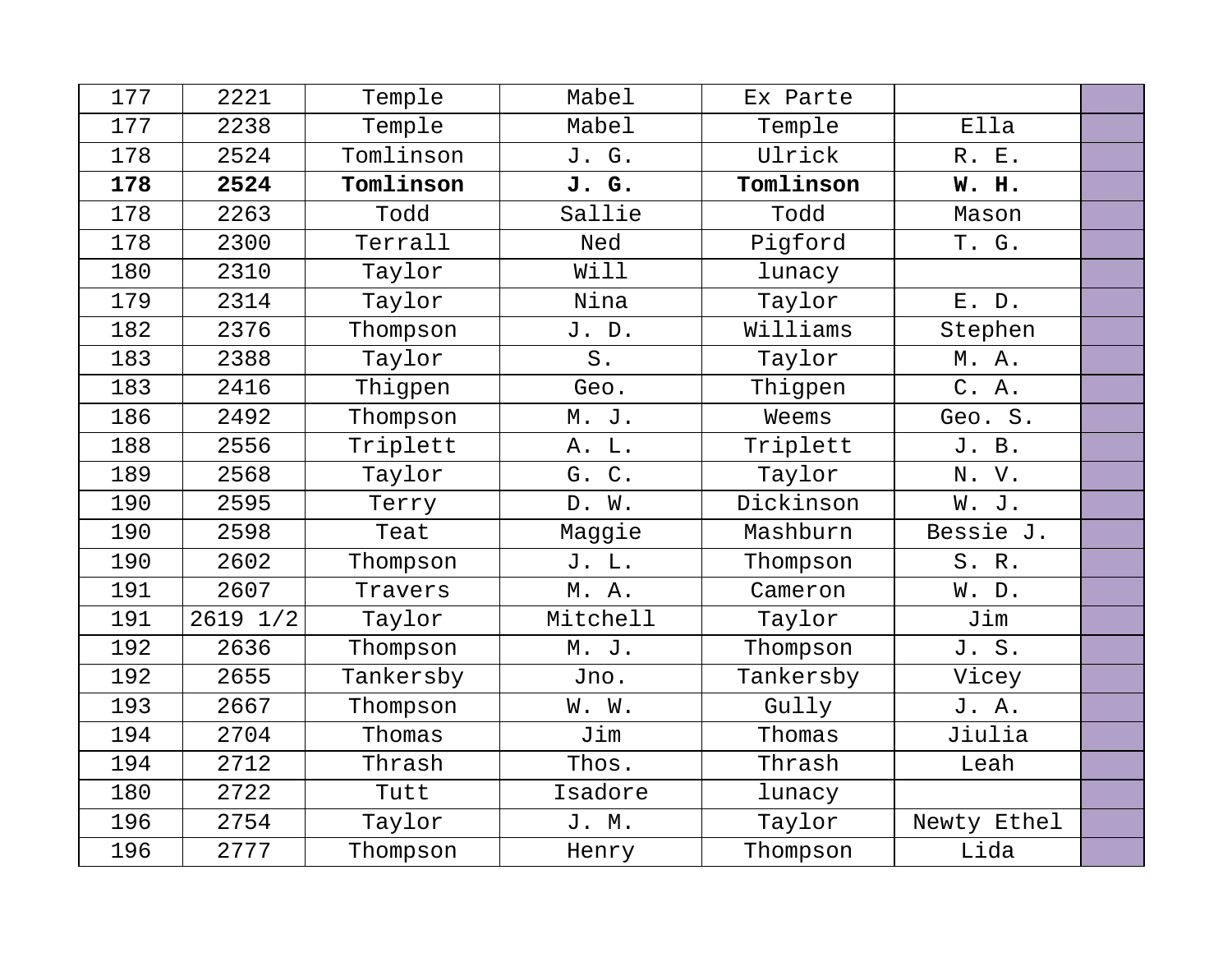| 177 | 2221     | Temple    | Mabel    | Ex Parte  |             |  |
|-----|----------|-----------|----------|-----------|-------------|--|
| 177 | 2238     | Temple    | Mabel    | Temple    | Ella        |  |
| 178 | 2524     | Tomlinson | J. G.    | Ulrick    | R. E.       |  |
| 178 | 2524     | Tomlinson | J. G.    | Tomlinson | W. H.       |  |
| 178 | 2263     | Todd      | Sallie   | Todd      | Mason       |  |
| 178 | 2300     | Terrall   | Ned      | Pigford   | T. G.       |  |
| 180 | 2310     | Taylor    | Will     | lunacy    |             |  |
| 179 | 2314     | Taylor    | Nina     | Taylor    | E. D.       |  |
| 182 | 2376     | Thompson  | J. D.    | Williams  | Stephen     |  |
| 183 | 2388     | Taylor    | $S$ .    | Taylor    | M.A.        |  |
| 183 | 2416     | Thigpen   | Geo.     | Thigpen   | C. A.       |  |
| 186 | 2492     | Thompson  | M. J.    | Weems     | Geo. S.     |  |
| 188 | 2556     | Triplett  | A. L.    | Triplett  | J. B.       |  |
| 189 | 2568     | Taylor    | G. C.    | Taylor    | N. V.       |  |
| 190 | 2595     | Terry     | D. W.    | Dickinson | W. J.       |  |
| 190 | 2598     | Teat      | Maggie   | Mashburn  | Bessie J.   |  |
| 190 | 2602     | Thompson  | J. L.    | Thompson  | S. R.       |  |
| 191 | 2607     | Travers   | M. A.    | Cameron   | W. D.       |  |
| 191 | 2619 1/2 | Taylor    | Mitchell | Taylor    | Jim         |  |
| 192 | 2636     | Thompson  | M. J.    | Thompson  | J. S.       |  |
| 192 | 2655     | Tankersby | Jno.     | Tankersby | Vicey       |  |
| 193 | 2667     | Thompson  | W. W.    | Gully     | J. A.       |  |
| 194 | 2704     | Thomas    | Jim      | Thomas    | Jiulia      |  |
| 194 | 2712     | Thrash    | Thos.    | Thrash    | Leah        |  |
| 180 | 2722     | Tutt      | Isadore  | lunacy    |             |  |
| 196 | 2754     | Taylor    | J. M.    | Taylor    | Newty Ethel |  |
| 196 | 2777     | Thompson  | Henry    | Thompson  | Lida        |  |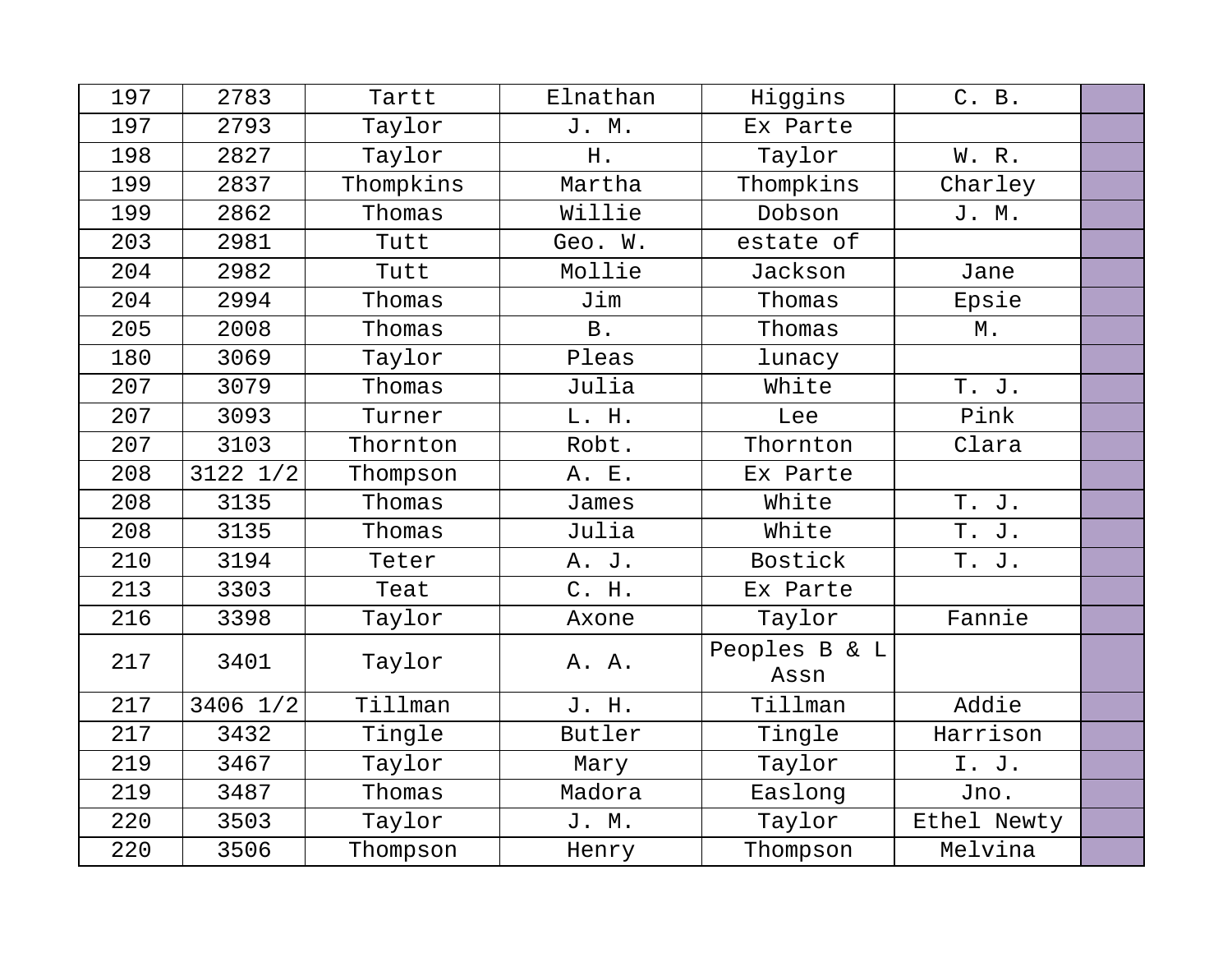| 197 | 2783         | Tartt     | Elnathan   | Higgins               | C. B.       |  |
|-----|--------------|-----------|------------|-----------------------|-------------|--|
| 197 | 2793         | Taylor    | J. M.      | Ex Parte              |             |  |
| 198 | 2827         | Taylor    | H.         | Taylor                | W. R.       |  |
| 199 | 2837         | Thompkins | Martha     | Thompkins             | Charley     |  |
| 199 | 2862         | Thomas    | Willie     | Dobson                | J. M.       |  |
| 203 | 2981         | Tutt      | Geo. W.    | estate of             |             |  |
| 204 | 2982         | Tutt      | Mollie     | Jackson               | Jane        |  |
| 204 | 2994         | Thomas    | Jim        | Thomas                | Epsie       |  |
| 205 | 2008         | Thomas    | <b>B</b> . | Thomas                | М.          |  |
| 180 | 3069         | Taylor    | Pleas      | lunacy                |             |  |
| 207 | 3079         | Thomas    | Julia      | White                 | T. J.       |  |
| 207 | 3093         | Turner    | L. H.      | Lee                   | Pink        |  |
| 207 | 3103         | Thornton  | Robt.      | Thornton              | Clara       |  |
| 208 | $3122$ $1/2$ | Thompson  | A. E.      | Ex Parte              |             |  |
| 208 | 3135         | Thomas    | James      | White                 | T. J.       |  |
| 208 | 3135         | Thomas    | Julia      | White                 | T. J.       |  |
| 210 | 3194         | Teter     | A. J.      | Bostick               | T. J.       |  |
| 213 | 3303         | Teat      | C. H.      | Ex Parte              |             |  |
| 216 | 3398         | Taylor    | Axone      | Taylor                | Fannie      |  |
| 217 | 3401         | Taylor    | A. A.      | Peoples B & L<br>Assn |             |  |
| 217 | 3406 1/2     | Tillman   | J. H.      | Tillman               | Addie       |  |
| 217 | 3432         | Tingle    | Butler     | Tingle                | Harrison    |  |
| 219 | 3467         | Taylor    | Mary       | Taylor                | I. J.       |  |
| 219 | 3487         | Thomas    | Madora     | Easlong               | Jno.        |  |
| 220 | 3503         | Taylor    | J. M.      | Taylor                | Ethel Newty |  |
| 220 | 3506         | Thompson  | Henry      | Thompson              | Melvina     |  |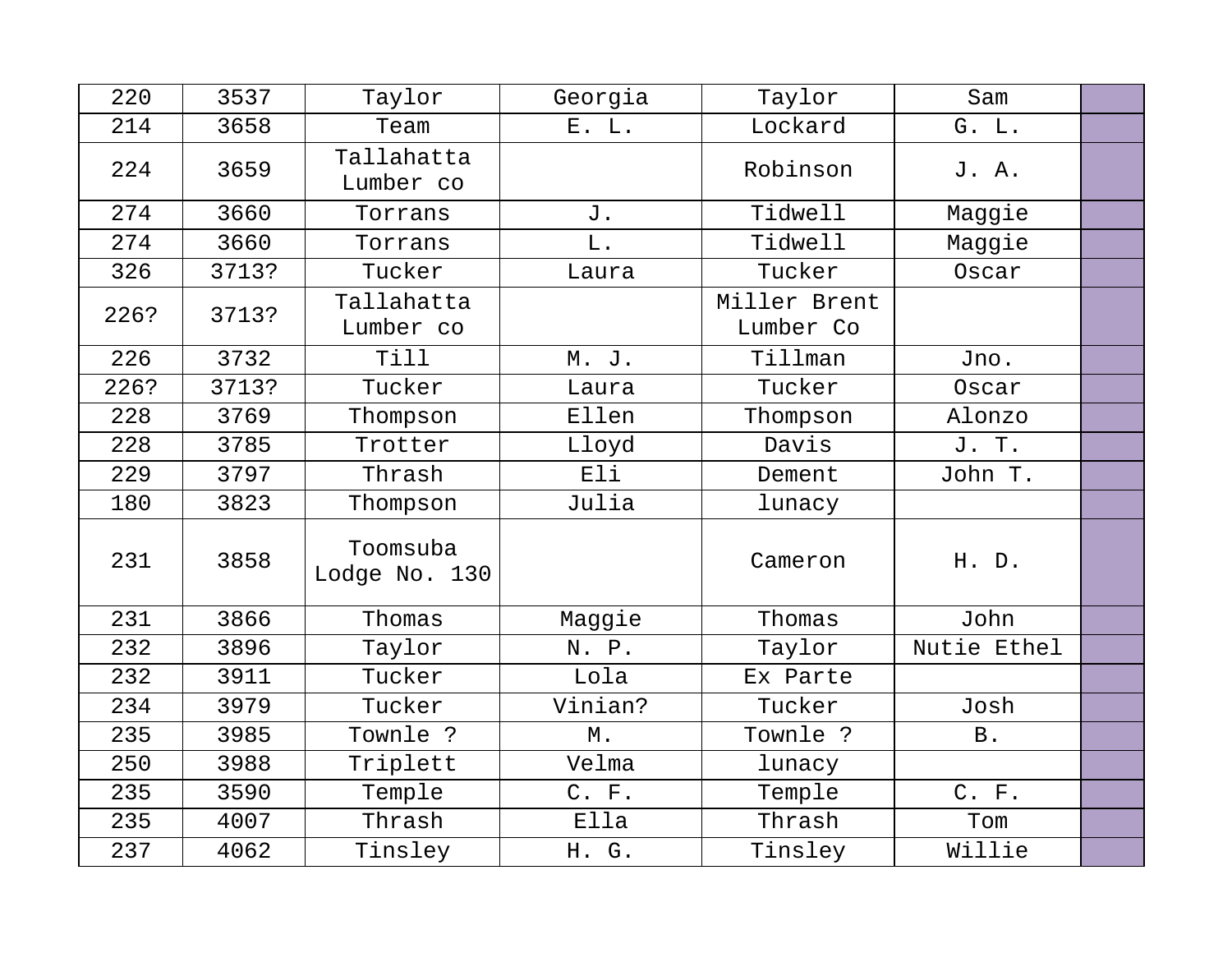| 220  | 3537  | Taylor                    | Georgia       | Taylor                    | Sam         |  |
|------|-------|---------------------------|---------------|---------------------------|-------------|--|
| 214  | 3658  | Team                      | E. L.         | Lockard                   | G. L.       |  |
| 224  | 3659  | Tallahatta<br>Lumber co   |               | Robinson                  | J. A.       |  |
| 274  | 3660  | Torrans                   | J.            | Tidwell                   | Maggie      |  |
| 274  | 3660  | Torrans                   | L.            | Tidwell                   | Maggie      |  |
| 326  | 3713? | Tucker                    | Laura         | Tucker                    | Oscar       |  |
| 226? | 3713? | Tallahatta<br>Lumber co   |               | Miller Brent<br>Lumber Co |             |  |
| 226  | 3732  | Till                      | M. J.         | Tillman                   | Jno.        |  |
| 226? | 3713? | Tucker                    | Laura         | Tucker                    | Oscar       |  |
| 228  | 3769  | Thompson                  | Ellen         | Thompson                  | Alonzo      |  |
| 228  | 3785  | Trotter                   | Lloyd         | Davis                     | J. T.       |  |
| 229  | 3797  | Thrash                    | Eli           | Dement                    | John T.     |  |
| 180  | 3823  | Thompson                  | Julia         | lunacy                    |             |  |
| 231  | 3858  | Toomsuba<br>Lodge No. 130 |               | Cameron                   | H. D.       |  |
| 231  | 3866  | Thomas                    | Maggie        | Thomas                    | John        |  |
| 232  | 3896  | Taylor                    | N. P.         | Taylor                    | Nutie Ethel |  |
| 232  | 3911  | Tucker                    | Lola          | Ex Parte                  |             |  |
| 234  | 3979  | Tucker                    | Vinian?       | Tucker                    | Josh        |  |
| 235  | 3985  | Townle ?                  | $\mathbb M$ . | Townle ?                  | <b>B</b> .  |  |
| 250  | 3988  | Triplett                  | Velma         | lunacy                    |             |  |
| 235  | 3590  | Temple                    | C. F.         | Temple                    | C. F.       |  |
| 235  | 4007  | Thrash                    | Ella          | Thrash                    | Tom         |  |
| 237  | 4062  | Tinsley                   | H. G.         | Tinsley                   | Willie      |  |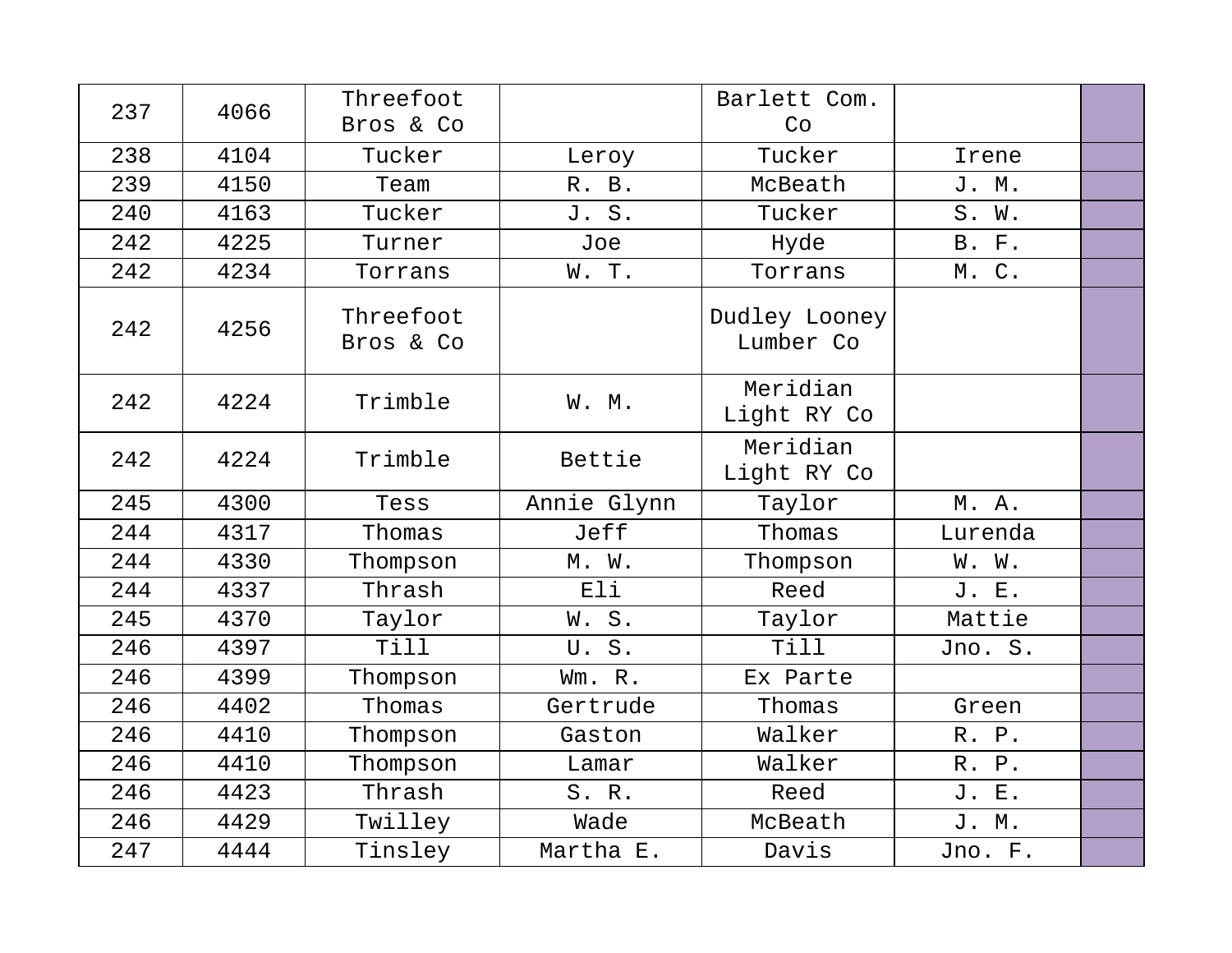| 237 | 4066 | Threefoot<br>Bros & Co |             | Barlett Com.<br>Co         |              |  |
|-----|------|------------------------|-------------|----------------------------|--------------|--|
| 238 | 4104 | Tucker                 | Leroy       | Tucker                     | Irene        |  |
| 239 | 4150 | Team                   | R. B.       | McBeath                    | J. M.        |  |
| 240 | 4163 | Tucker                 | J. S.       | Tucker                     | S. W.        |  |
| 242 | 4225 | Turner                 | Joe         | Hyde                       | <b>B. F.</b> |  |
| 242 | 4234 | Torrans                | W. T.       | Torrans                    | M. C.        |  |
| 242 | 4256 | Threefoot<br>Bros & Co |             | Dudley Looney<br>Lumber Co |              |  |
| 242 | 4224 | Trimble                | W. M.       | Meridian<br>Light RY Co    |              |  |
| 242 | 4224 | Trimble                | Bettie      | Meridian<br>Light RY Co    |              |  |
| 245 | 4300 | Tess                   | Annie Glynn | Taylor                     | M. A.        |  |
| 244 | 4317 | Thomas                 | Jeff        | Thomas                     | Lurenda      |  |
| 244 | 4330 | Thompson               | M. W.       | Thompson                   | W. W.        |  |
| 244 | 4337 | Thrash                 | Eli         | Reed                       | J. E.        |  |
| 245 | 4370 | Taylor                 | W. S.       | Taylor                     | Mattie       |  |
| 246 | 4397 | Till                   | U.S.        | Till                       | Jno. S.      |  |
| 246 | 4399 | Thompson               | Wm. R.      | Ex Parte                   |              |  |
| 246 | 4402 | Thomas                 | Gertrude    | Thomas                     | Green        |  |
| 246 | 4410 | Thompson               | Gaston      | Walker                     | R. P.        |  |
| 246 | 4410 | Thompson               | Lamar       | Walker                     | R. P.        |  |
| 246 | 4423 | Thrash                 | S. R.       | Reed                       | J. E.        |  |
| 246 | 4429 | Twilley                | Wade        | McBeath                    | J. M.        |  |
| 247 | 4444 | Tinsley                | Martha E.   | Davis                      | Jno. F.      |  |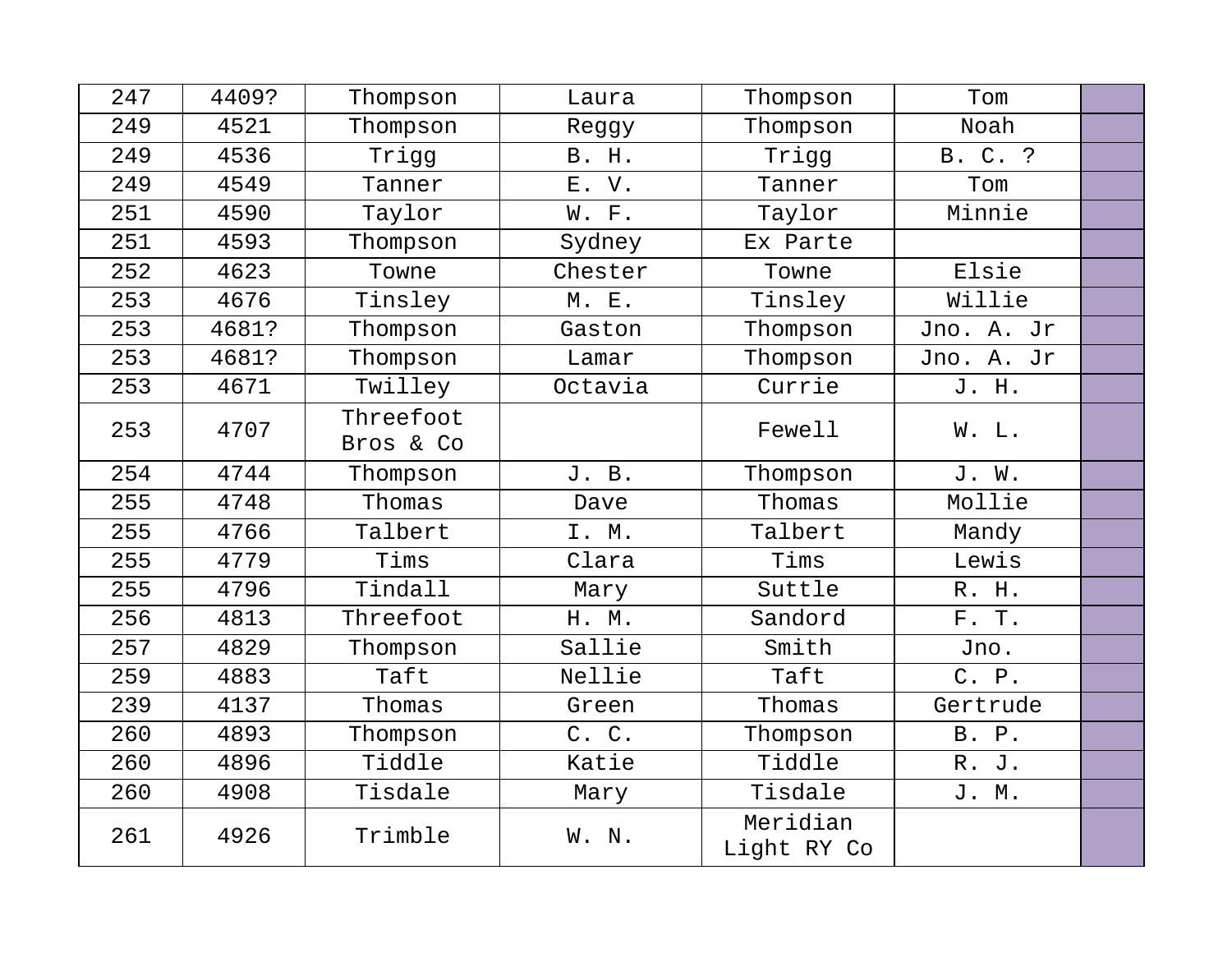| 247 | 4409? | Thompson  | Laura        | Thompson                | Tom        |  |
|-----|-------|-----------|--------------|-------------------------|------------|--|
| 249 | 4521  | Thompson  | Reggy        | Thompson                | Noah       |  |
| 249 | 4536  | Trigg     | <b>B. H.</b> | Trigg                   | B. C. ?    |  |
| 249 | 4549  | Tanner    | E. V.        | Tanner                  | Tom        |  |
| 251 | 4590  | Taylor    | W. F.        | Taylor                  | Minnie     |  |
| 251 | 4593  | Thompson  | Sydney       | Ex Parte                |            |  |
| 252 | 4623  | Towne     | Chester      | Towne                   | Elsie      |  |
| 253 | 4676  | Tinsley   | M. E.        | Tinsley                 | Willie     |  |
| 253 | 4681? | Thompson  | Gaston       | Thompson                | Jno. A. Jr |  |
| 253 | 4681? | Thompson  | Lamar        | Thompson                | Jno. A. Jr |  |
| 253 | 4671  | Twilley   | Octavia      | Currie                  | J. H.      |  |
| 253 | 4707  | Threefoot |              | Fewell                  | W. L.      |  |
|     |       | Bros & Co |              |                         |            |  |
| 254 | 4744  | Thompson  | J. B.        | Thompson                | J. W.      |  |
| 255 | 4748  | Thomas    | Dave         | Thomas                  | Mollie     |  |
| 255 | 4766  | Talbert   | I. M.        | Talbert                 | Mandy      |  |
| 255 | 4779  | Tims      | Clara        | Tims                    | Lewis      |  |
| 255 | 4796  | Tindall   | Mary         | Suttle                  | R. H.      |  |
| 256 | 4813  | Threefoot | H. M.        | Sandord                 | F. T.      |  |
| 257 | 4829  | Thompson  | Sallie       | Smith                   | Jno.       |  |
| 259 | 4883  | Taft      | Nellie       | Taft                    | C. P.      |  |
| 239 | 4137  | Thomas    | Green        | Thomas                  | Gertrude   |  |
| 260 | 4893  | Thompson  | C. C.        | Thompson                | B. P.      |  |
| 260 | 4896  | Tiddle    | Katie        | Tiddle                  | R. J.      |  |
| 260 | 4908  | Tisdale   | Mary         | Tisdale                 | J. M.      |  |
| 261 | 4926  | Trimble   | W. N.        | Meridian<br>Light RY Co |            |  |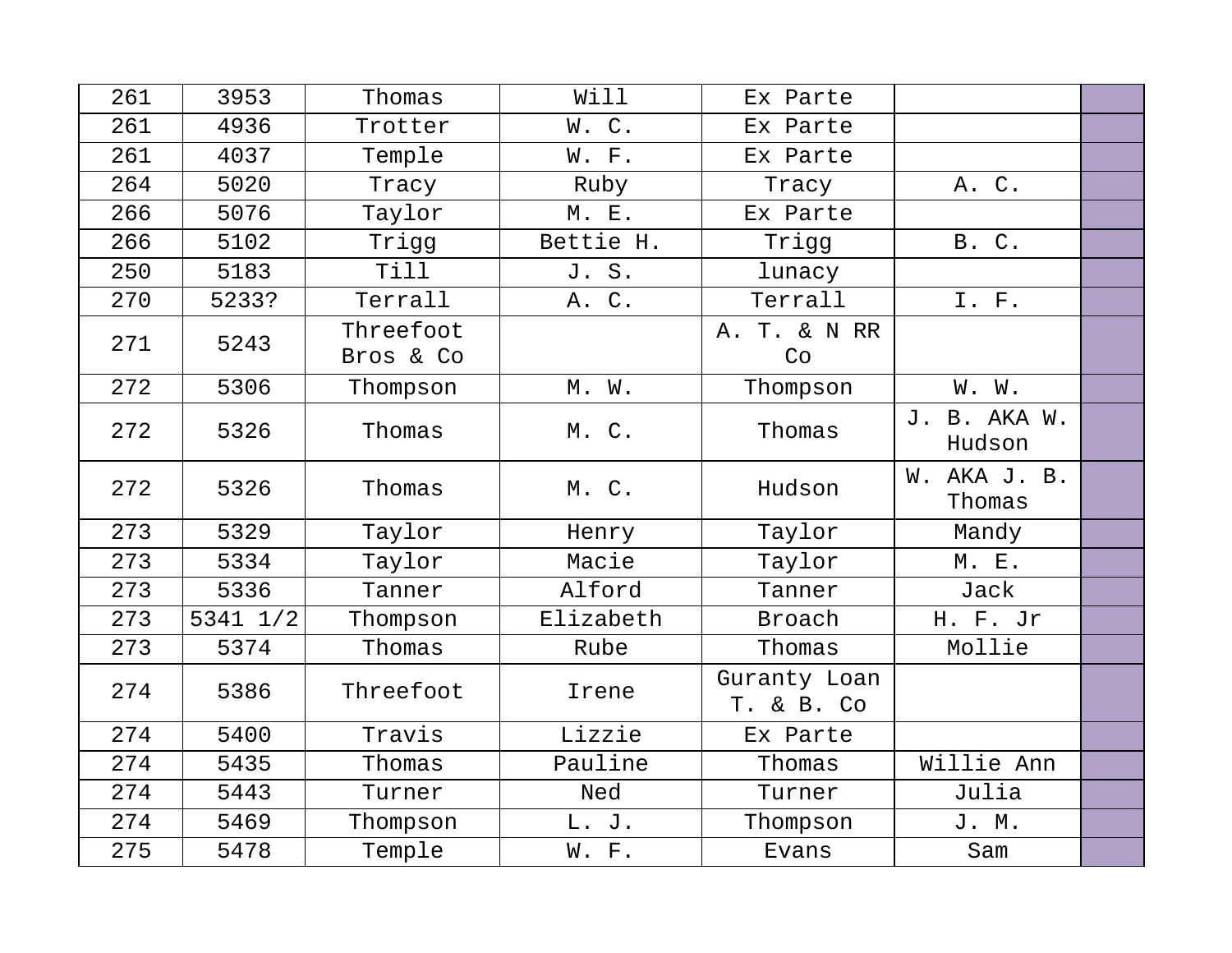| 261 | 3953     | Thomas                 | Will      | Ex Parte                   |                        |  |
|-----|----------|------------------------|-----------|----------------------------|------------------------|--|
| 261 | 4936     | Trotter                | W.C.      | Ex Parte                   |                        |  |
| 261 | 4037     | Temple                 | W. F.     | Ex Parte                   |                        |  |
| 264 | 5020     | Tracy                  | Ruby      | Tracy                      | A. C.                  |  |
| 266 | 5076     | Taylor                 | M. E.     | Ex Parte                   |                        |  |
| 266 | 5102     | Trigg                  | Bettie H. | Trigg                      | B. C.                  |  |
| 250 | 5183     | <b>Till</b>            | J. S.     | lunacy                     |                        |  |
| 270 | 5233?    | Terrall                | A. C.     | Terrall                    | I. F.                  |  |
| 271 | 5243     | Threefoot<br>Bros & Co |           | A. T. & N RR<br>Co         |                        |  |
| 272 | 5306     | Thompson               | M. W.     | Thompson                   | W. W.                  |  |
| 272 | 5326     | Thomas                 | M. C.     | Thomas                     | J. B. AKA W.<br>Hudson |  |
| 272 | 5326     | Thomas                 | M. C.     | Hudson                     | W. AKA J. B.<br>Thomas |  |
| 273 | 5329     | Taylor                 | Henry     | Taylor                     | Mandy                  |  |
| 273 | 5334     | Taylor                 | Macie     | Taylor                     | M. E.                  |  |
| 273 | 5336     | Tanner                 | Alford    | Tanner                     | Jack                   |  |
| 273 | 5341 1/2 | Thompson               | Elizabeth | Broach                     | H. F. Jr               |  |
| 273 | 5374     | Thomas                 | Rube      | Thomas                     | Mollie                 |  |
| 274 | 5386     | Threefoot              | Irene     | Guranty Loan<br>T. & B. Co |                        |  |
| 274 | 5400     | Travis                 | Lizzie    | Ex Parte                   |                        |  |
| 274 | 5435     | Thomas                 | Pauline   | Thomas                     | Willie Ann             |  |
| 274 | 5443     | Turner                 | Ned       | Turner                     | Julia                  |  |
| 274 | 5469     | Thompson               | L. J.     | Thompson                   | J. M.                  |  |
| 275 | 5478     | Temple                 | W. F.     | Evans                      | Sam                    |  |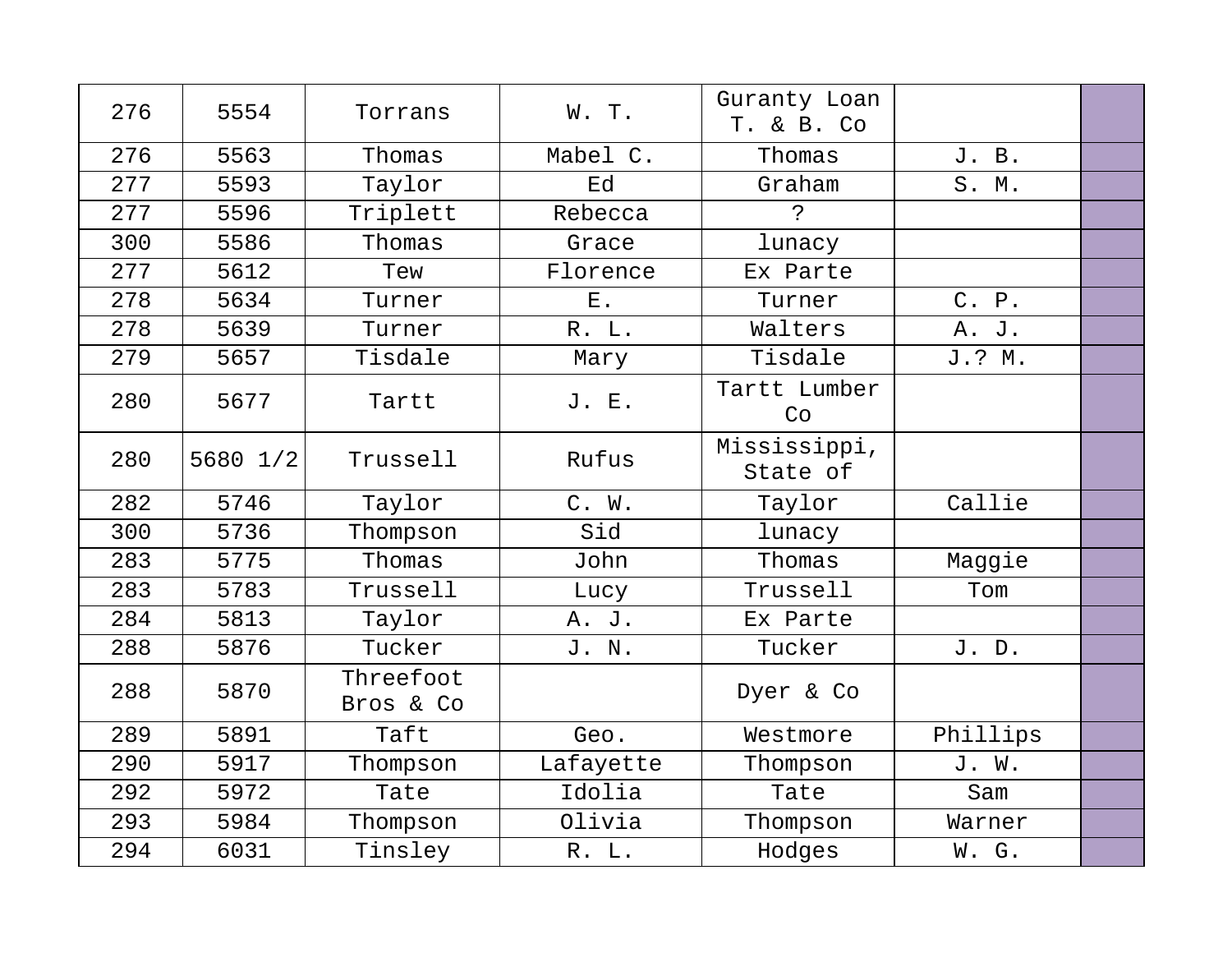| 276 | 5554     | Torrans                | W. T.     | Guranty Loan<br>T. & B. Co |          |  |
|-----|----------|------------------------|-----------|----------------------------|----------|--|
| 276 | 5563     | Thomas                 | Mabel C.  | Thomas                     | J. B.    |  |
| 277 | 5593     | Taylor                 | Ed        | Graham                     | S. M.    |  |
| 277 | 5596     | Triplett               | Rebecca   | $\mathbf{S}$               |          |  |
| 300 | 5586     | Thomas                 | Grace     | lunacy                     |          |  |
| 277 | 5612     | Tew                    | Florence  | Ex Parte                   |          |  |
| 278 | 5634     | Turner                 | $E$ .     | Turner                     | C. P.    |  |
| 278 | 5639     | Turner                 | R. L.     | Walters                    | A. J.    |  |
| 279 | 5657     | Tisdale                | Mary      | Tisdale                    | J.? M.   |  |
| 280 | 5677     | Tartt                  | J. E.     | Tartt Lumber<br>Co         |          |  |
| 280 | 5680 1/2 | Trussell               | Rufus     | Mississippi,<br>State of   |          |  |
| 282 | 5746     | Taylor                 | C. W.     | Taylor                     | Callie   |  |
| 300 | 5736     | Thompson               | Sid       | lunacy                     |          |  |
| 283 | 5775     | Thomas                 | John      | Thomas                     | Maggie   |  |
| 283 | 5783     | Trussell               | Lucy      | Trussell                   | Tom      |  |
| 284 | 5813     | Taylor                 | A. J.     | Ex Parte                   |          |  |
| 288 | 5876     | Tucker                 | J. N.     | Tucker                     | J. D.    |  |
| 288 | 5870     | Threefoot<br>Bros & Co |           | Dyer & Co                  |          |  |
| 289 | 5891     | Taft                   | Geo.      | Westmore                   | Phillips |  |
| 290 | 5917     | Thompson               | Lafayette | Thompson                   | J. W.    |  |
| 292 | 5972     | Tate                   | Idolia    | Tate                       | Sam      |  |
| 293 | 5984     | Thompson               | Olivia    | Thompson                   | Warner   |  |
| 294 | 6031     | Tinsley                | R. L.     | Hodges                     | W. G.    |  |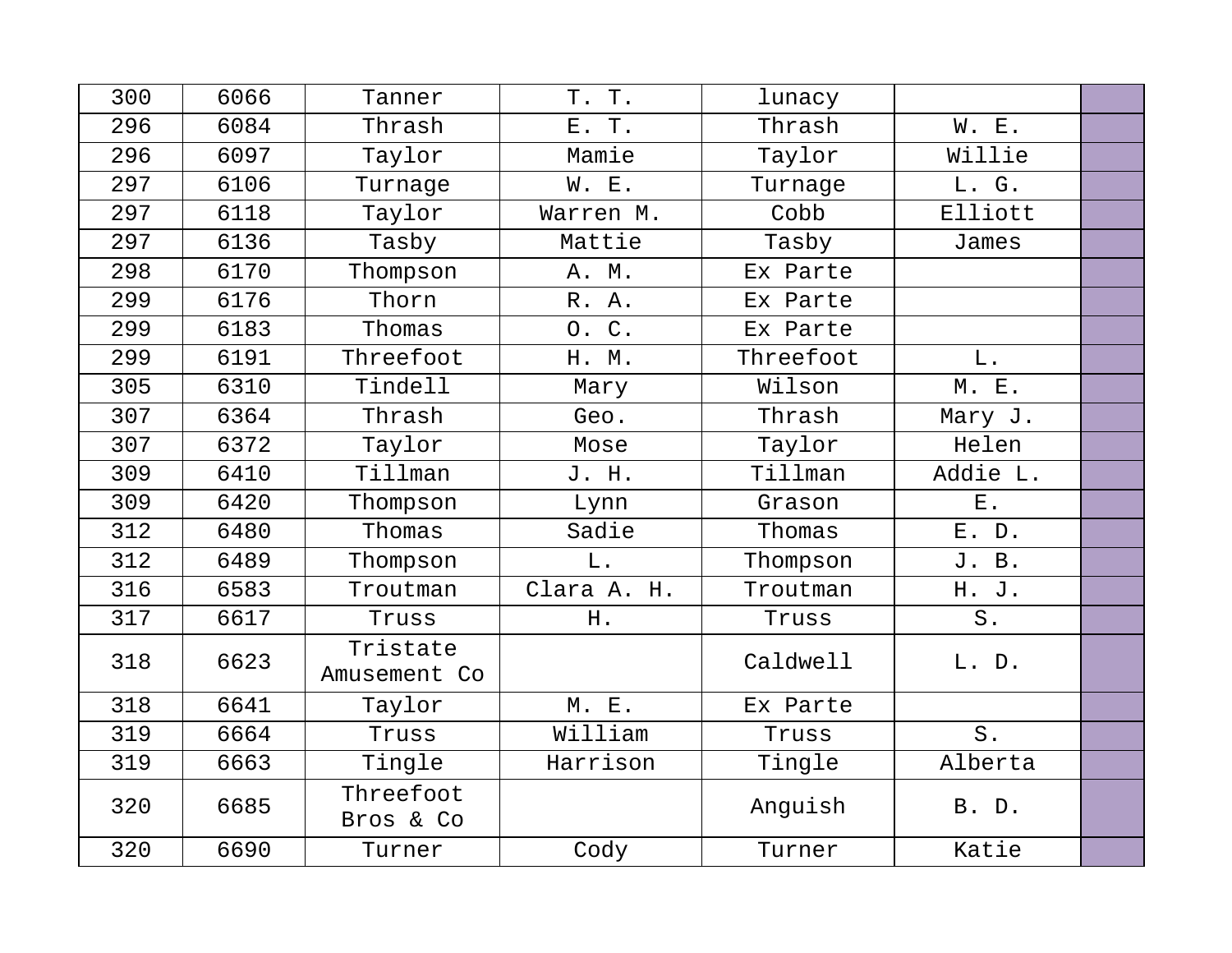| 300 | 6066 | Tanner                   | T. T.         | lunacy    |              |  |
|-----|------|--------------------------|---------------|-----------|--------------|--|
| 296 | 6084 | Thrash                   | Τ.<br>$E$ .   | Thrash    | <b>W. E.</b> |  |
| 296 | 6097 | Taylor                   | Mamie         | Taylor    | Willie       |  |
| 297 | 6106 | Turnage                  | W. E.         | Turnage   | L. G.        |  |
| 297 | 6118 | Taylor                   | Warren M.     | Cobb      | Elliott      |  |
| 297 | 6136 | Tasby                    | Mattie        | Tasby     | James        |  |
| 298 | 6170 | Thompson                 | A. M.         | Ex Parte  |              |  |
| 299 | 6176 | Thorn                    | R. A.         | Ex Parte  |              |  |
| 299 | 6183 | Thomas                   | 0. C.         | Ex Parte  |              |  |
| 299 | 6191 | Threefoot                | H. M.         | Threefoot | $L$ .        |  |
| 305 | 6310 | Tindell                  | Mary          | Wilson    | M. E.        |  |
| 307 | 6364 | Thrash                   | Geo.          | Thrash    | Mary J.      |  |
| 307 | 6372 | Taylor                   | Mose          | Taylor    | Helen        |  |
| 309 | 6410 | Tillman                  | J. H.         | Tillman   | Addie L.     |  |
| 309 | 6420 | Thompson                 | Lynn          | Grason    | <b>E</b> .   |  |
| 312 | 6480 | Thomas                   | Sadie         | Thomas    | E. D.        |  |
| 312 | 6489 | Thompson                 | $\mathbf L$ . | Thompson  | J. B.        |  |
| 316 | 6583 | Troutman                 | Clara A. H.   | Troutman  | H. J.        |  |
| 317 | 6617 | Truss                    | H.            | Truss     | S.           |  |
| 318 | 6623 | Tristate<br>Amusement Co |               | Caldwell  | L. D.        |  |
| 318 | 6641 | Taylor                   | M. E.         | Ex Parte  |              |  |
| 319 | 6664 | Truss                    | William       | Truss     | $S$ .        |  |
| 319 | 6663 | Tingle                   | Harrison      | Tingle    | Alberta      |  |
| 320 | 6685 | Threefoot<br>Bros & Co   |               | Anguish   | B. D.        |  |
| 320 | 6690 | Turner                   | Cody          | Turner    | Katie        |  |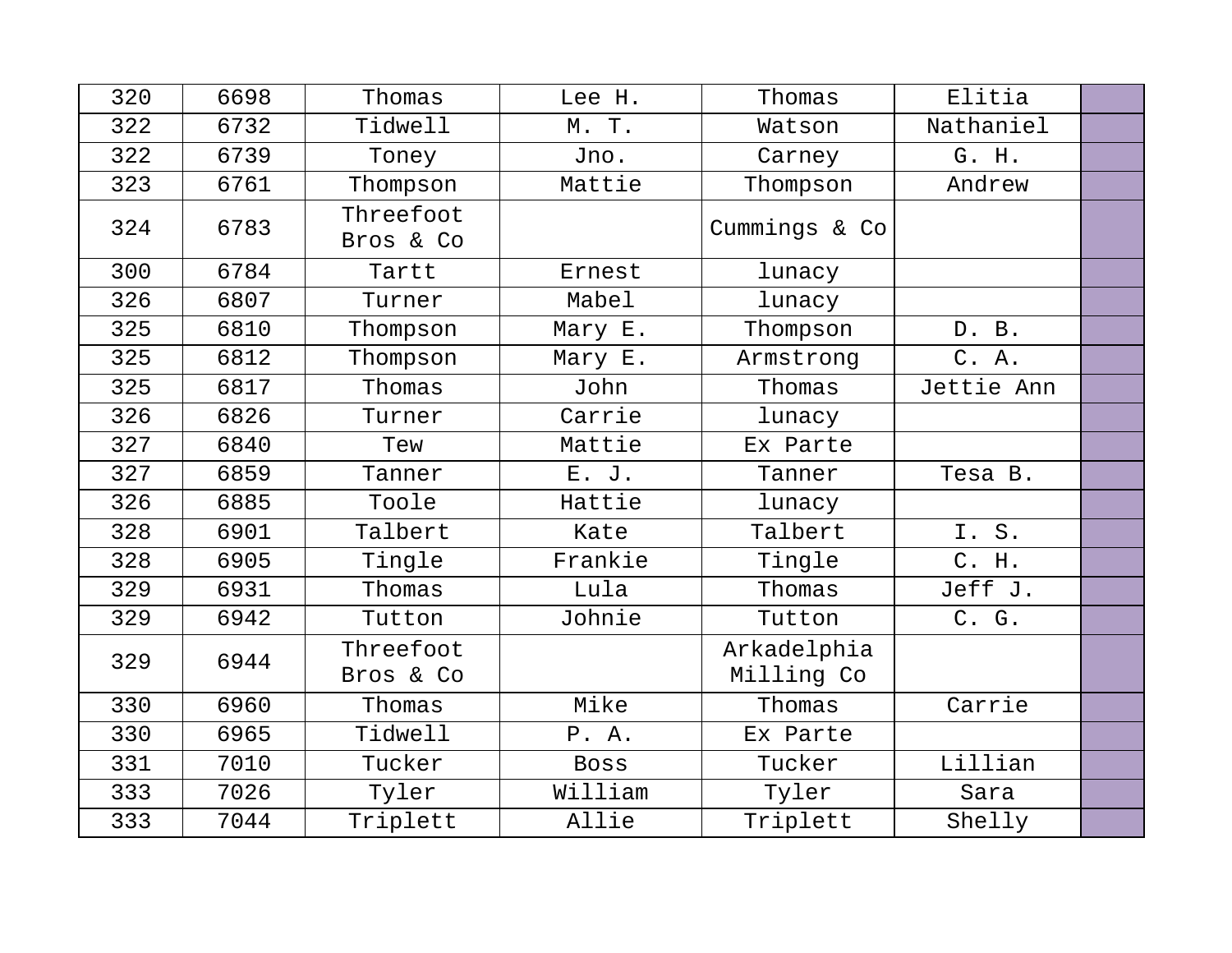| 320 | 6698 | Thomas                 | Lee H.      | Thomas                    | Elitia     |  |
|-----|------|------------------------|-------------|---------------------------|------------|--|
| 322 | 6732 | Tidwell                | M. T.       | Watson                    | Nathaniel  |  |
| 322 | 6739 | Toney                  | Jno.        | Carney                    | G. H.      |  |
| 323 | 6761 | Thompson               | Mattie      | Thompson                  | Andrew     |  |
| 324 | 6783 | Threefoot<br>Bros & Co |             | Cummings & Co             |            |  |
| 300 | 6784 | Tartt                  | Ernest      | lunacy                    |            |  |
| 326 | 6807 | Turner                 | Mabel       | lunacy                    |            |  |
| 325 | 6810 | Thompson               | Mary E.     | Thompson                  | D. B.      |  |
| 325 | 6812 | Thompson               | Mary E.     | Armstrong                 | C. A.      |  |
| 325 | 6817 | Thomas                 | John        | Thomas                    | Jettie Ann |  |
| 326 | 6826 | Turner                 | Carrie      | lunacy                    |            |  |
| 327 | 6840 | Tew                    | Mattie      | Ex Parte                  |            |  |
| 327 | 6859 | Tanner                 | E. J.       | Tanner                    | Tesa B.    |  |
| 326 | 6885 | Toole                  | Hattie      | lunacy                    |            |  |
| 328 | 6901 | Talbert                | Kate        | Talbert                   | I.S.       |  |
| 328 | 6905 | Tingle                 | Frankie     | Tingle                    | C. H.      |  |
| 329 | 6931 | Thomas                 | Lula        | Thomas                    | Jeff J.    |  |
| 329 | 6942 | Tutton                 | Johnie      | Tutton                    | C. G.      |  |
| 329 | 6944 | Threefoot<br>Bros & Co |             | Arkadelphia<br>Milling Co |            |  |
| 330 | 6960 | Thomas                 | Mike        | Thomas                    | Carrie     |  |
| 330 | 6965 | Tidwell                | P. A.       | Ex Parte                  |            |  |
| 331 | 7010 | Tucker                 | <b>Boss</b> | Tucker                    | Lillian    |  |
| 333 | 7026 | Tyler                  | William     | Tyler                     | Sara       |  |
| 333 | 7044 | Triplett               | Allie       | Triplett                  | Shelly     |  |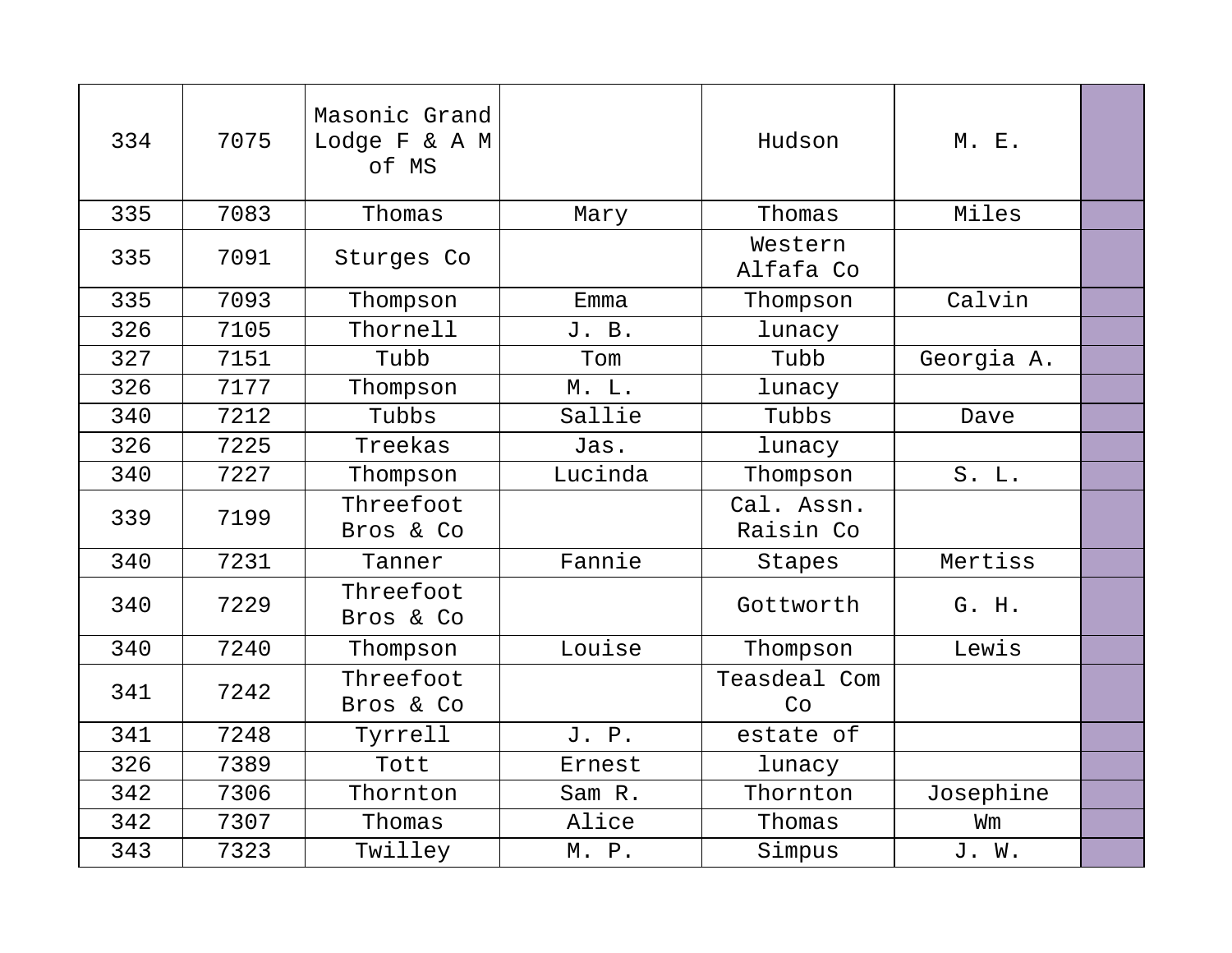| 334 | 7075 | Masonic Grand<br>Lodge F & A M<br>of MS |         | Hudson                  | M. E.      |  |
|-----|------|-----------------------------------------|---------|-------------------------|------------|--|
| 335 | 7083 | Thomas                                  | Mary    | Thomas                  | Miles      |  |
| 335 | 7091 | Sturges Co                              |         | Western<br>Alfafa Co    |            |  |
| 335 | 7093 | Thompson                                | Emma    | Thompson                | Calvin     |  |
| 326 | 7105 | Thornell                                | J. B.   | lunacy                  |            |  |
| 327 | 7151 | Tubb                                    | Tom     | Tubb                    | Georgia A. |  |
| 326 | 7177 | Thompson                                | M. L.   | lunacy                  |            |  |
| 340 | 7212 | Tubbs                                   | Sallie  | Tubbs                   | Dave       |  |
| 326 | 7225 | Treekas                                 | Jas.    | lunacy                  |            |  |
| 340 | 7227 | Thompson                                | Lucinda | Thompson                | S. L.      |  |
| 339 | 7199 | Threefoot<br>Bros & Co                  |         | Cal. Assn.<br>Raisin Co |            |  |
| 340 | 7231 | Tanner                                  | Fannie  | Stapes                  | Mertiss    |  |
| 340 | 7229 | Threefoot<br>Bros & Co                  |         | Gottworth               | G. H.      |  |
| 340 | 7240 | Thompson                                | Louise  | Thompson                | Lewis      |  |
| 341 | 7242 | Threefoot<br>Bros & Co                  |         | Teasdeal Com<br>Co      |            |  |
| 341 | 7248 | Tyrrell                                 | J. P.   | estate of               |            |  |
| 326 | 7389 | Tott                                    | Ernest  | lunacy                  |            |  |
| 342 | 7306 | Thornton                                | Sam R.  | Thornton                | Josephine  |  |
| 342 | 7307 | Thomas                                  | Alice   | Thomas                  | Wm         |  |
| 343 | 7323 | Twilley                                 | M. P.   | Simpus                  | J. W.      |  |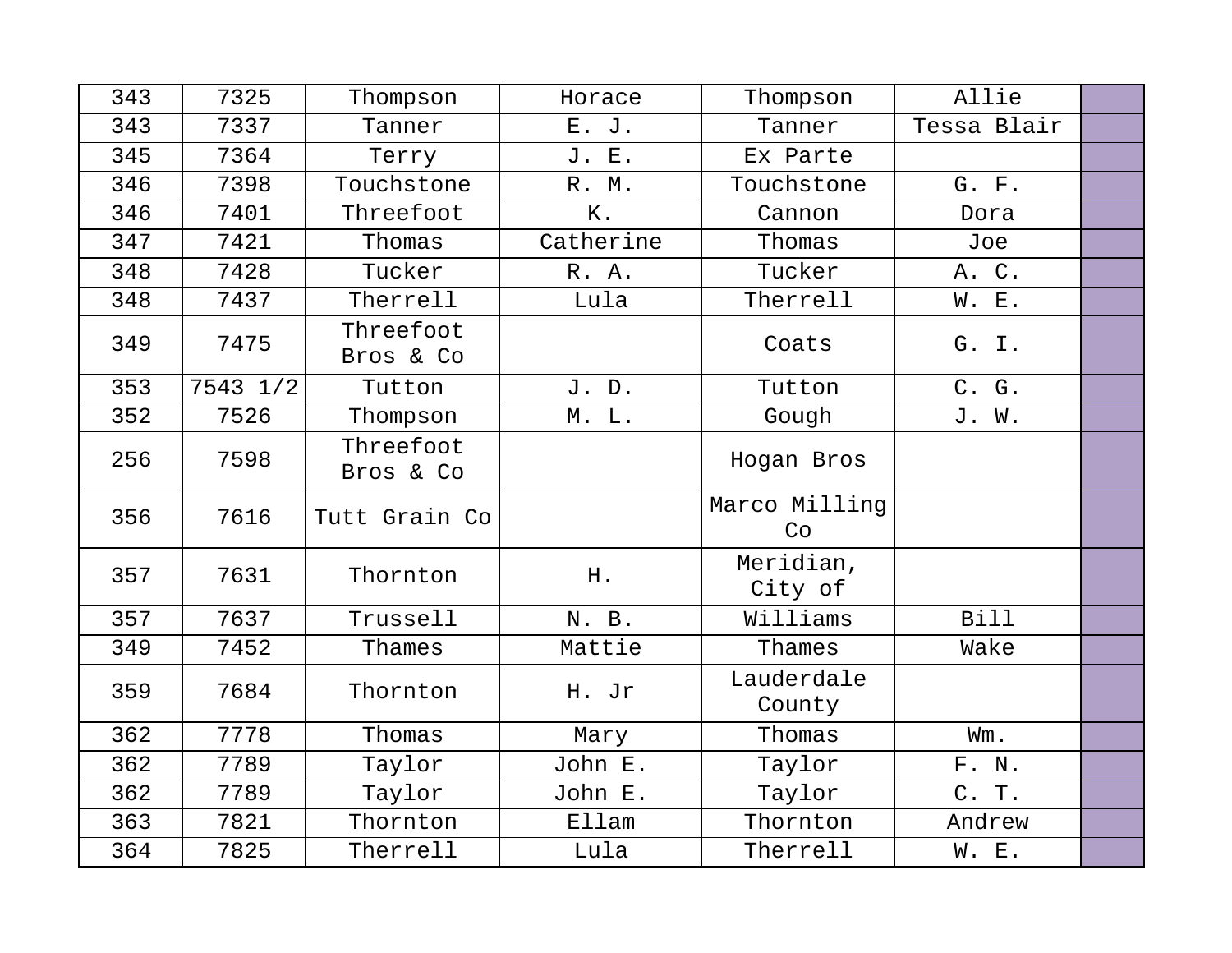| 343 | 7325     | Thompson               | Horace    | Thompson             | Allie       |  |
|-----|----------|------------------------|-----------|----------------------|-------------|--|
| 343 | 7337     | Tanner                 | E. J.     | Tanner               | Tessa Blair |  |
| 345 | 7364     | Terry                  | J. E.     | Ex Parte             |             |  |
| 346 | 7398     | Touchstone             | R. M.     | Touchstone           | G. F.       |  |
| 346 | 7401     | Threefoot              | Κ.        | Cannon               | Dora        |  |
| 347 | 7421     | Thomas                 | Catherine | Thomas               | Joe         |  |
| 348 | 7428     | Tucker                 | R. A.     | Tucker               | A. C.       |  |
| 348 | 7437     | Therrell               | Lula      | Therrell             | W. E.       |  |
| 349 | 7475     | Threefoot<br>Bros & Co |           | Coats                | G. I.       |  |
| 353 | 7543 1/2 | Tutton                 | J. D.     | Tutton               | C. G.       |  |
| 352 | 7526     | Thompson               | M. L.     | Gough                | J. W.       |  |
| 256 | 7598     | Threefoot<br>Bros & Co |           | Hogan Bros           |             |  |
| 356 | 7616     | Tutt Grain Co          |           | Marco Milling<br>Co  |             |  |
| 357 | 7631     | Thornton               | H.        | Meridian,<br>City of |             |  |
| 357 | 7637     | Trussell               | N. B.     | Williams             | <b>Bill</b> |  |
| 349 | 7452     | Thames                 | Mattie    | Thames               | Wake        |  |
| 359 | 7684     | Thornton               | H. Jr     | Lauderdale<br>County |             |  |
| 362 | 7778     | Thomas                 | Mary      | Thomas               | Wm.         |  |
| 362 | 7789     | Taylor                 | John E.   | Taylor               | F. N.       |  |
| 362 | 7789     | Taylor                 | John E.   | Taylor               | C. T.       |  |
| 363 | 7821     | Thornton               | Ellam     | Thornton             | Andrew      |  |
| 364 | 7825     | Therrell               | Lula      | Therrell             | W. E.       |  |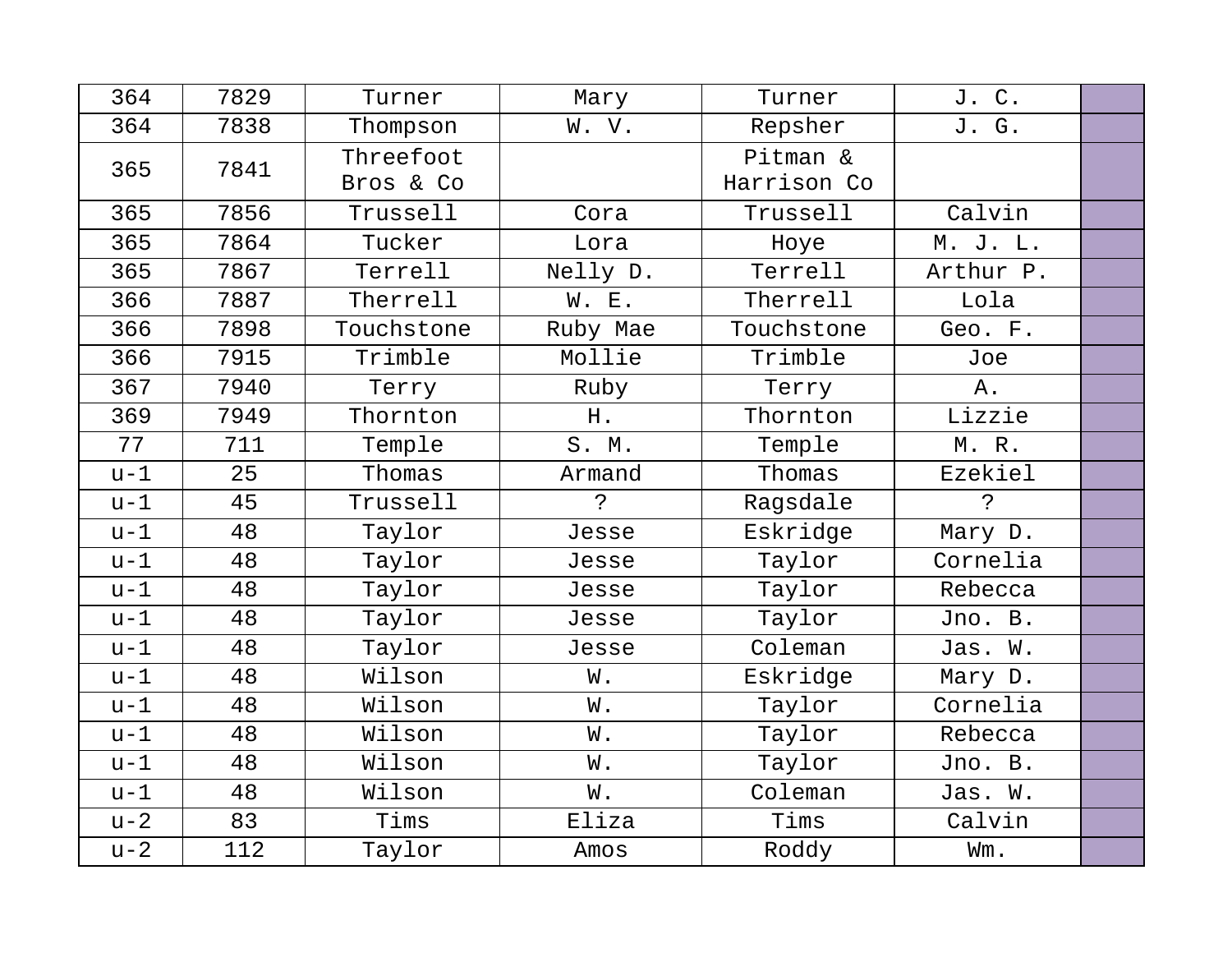| 364   | 7829 | Turner     | Mary     | Turner      | J. C.       |  |
|-------|------|------------|----------|-------------|-------------|--|
| 364   | 7838 | Thompson   | W. V.    | Repsher     | J. G.       |  |
| 365   | 7841 | Threefoot  |          | Pitman &    |             |  |
|       |      | Bros & Co  |          | Harrison Co |             |  |
| 365   | 7856 | Trussell   | Cora     | Trussell    | Calvin      |  |
| 365   | 7864 | Tucker     | Lora     | Hoye        | M. J. L.    |  |
| 365   | 7867 | Terrell    | Nelly D. | Terrell     | Arthur P.   |  |
| 366   | 7887 | Therrell   | W. E.    | Therrell    | Lola        |  |
| 366   | 7898 | Touchstone | Ruby Mae | Touchstone  | Geo. F.     |  |
| 366   | 7915 | Trimble    | Mollie   | Trimble     | Joe         |  |
| 367   | 7940 | Terry      | Ruby     | Terry       | Α.          |  |
| 369   | 7949 | Thornton   | H.       | Thornton    | Lizzie      |  |
| 77    | 711  | Temple     | S. M.    | Temple      | M. R.       |  |
| $u-1$ | 25   | Thomas     | Armand   | Thomas      | Ezekiel     |  |
| $u-1$ | 45   | Trussell   | Ċ.       | Ragsdale    | $\tilde{S}$ |  |
| $u-1$ | 48   | Taylor     | Jesse    | Eskridge    | Mary D.     |  |
| $u-1$ | 48   | Taylor     | Jesse    | Taylor      | Cornelia    |  |
| $u-1$ | 48   | Taylor     | Jesse    | Taylor      | Rebecca     |  |
| $u-1$ | 48   | Taylor     | Jesse    | Taylor      | Jno. B.     |  |
| $u-1$ | 48   | Taylor     | Jesse    | Coleman     | Jas. W.     |  |
| $u-1$ | 48   | Wilson     | W.       | Eskridge    | Mary D.     |  |
| $u-1$ | 48   | Wilson     | W.       | Taylor      | Cornelia    |  |
| $u-1$ | 48   | Wilson     | W.       | Taylor      | Rebecca     |  |
| $u-1$ | 48   | Wilson     | W.       | Taylor      | Jno. B.     |  |
| $u-1$ | 48   | Wilson     | W.       | Coleman     | Jas. W.     |  |
| $u-2$ | 83   | Tims       | Eliza    | Tims        | Calvin      |  |
| $u-2$ | 112  | Taylor     | Amos     | Roddy       | Wm.         |  |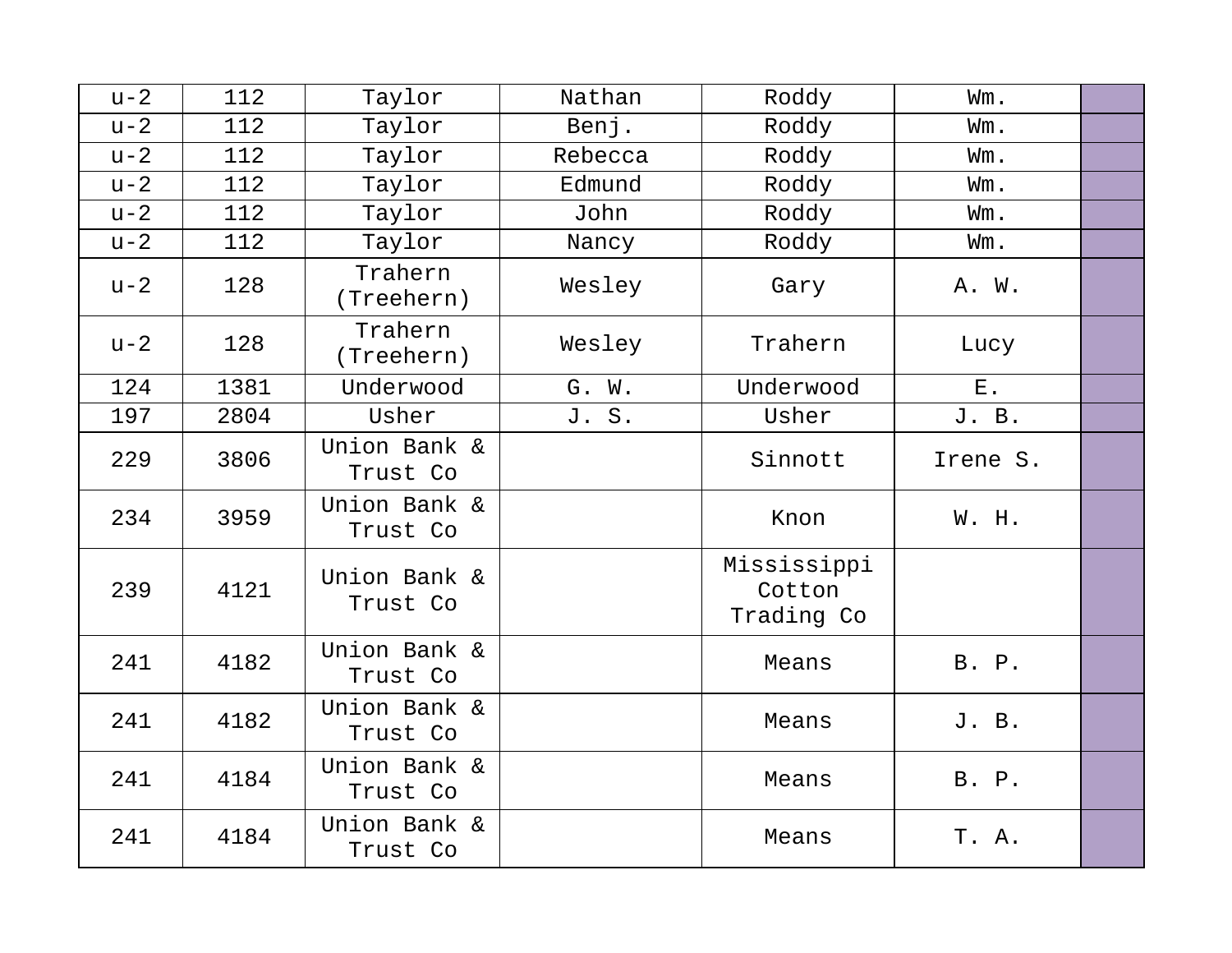| $u-2$ | 112  | Taylor                   | Nathan  | Roddy                               | Wm.      |  |
|-------|------|--------------------------|---------|-------------------------------------|----------|--|
| $u-2$ | 112  | Taylor                   | Benj.   | Roddy                               | Wm.      |  |
| $u-2$ | 112  | Taylor                   | Rebecca | Roddy                               | Wm.      |  |
| $u-2$ | 112  | Taylor                   | Edmund  | Roddy                               | Wm.      |  |
| $u-2$ | 112  | Taylor                   | John    | Roddy                               | Wm.      |  |
| $u-2$ | 112  | Taylor                   | Nancy   | Roddy                               | Wm.      |  |
| $u-2$ | 128  | Trahern<br>(Treehern)    | Wesley  | Gary                                | A. W.    |  |
| $u-2$ | 128  | Trahern<br>(Treehern)    | Wesley  | Trahern                             | Lucy     |  |
| 124   | 1381 | Underwood                | G. W.   | Underwood                           | $E$ .    |  |
| 197   | 2804 | Usher                    | J. S.   | Usher                               | J. B.    |  |
| 229   | 3806 | Union Bank &<br>Trust Co |         | Sinnott                             | Irene S. |  |
| 234   | 3959 | Union Bank &<br>Trust Co |         | Knon                                | W. H.    |  |
| 239   | 4121 | Union Bank &<br>Trust Co |         | Mississippi<br>Cotton<br>Trading Co |          |  |
| 241   | 4182 | Union Bank &<br>Trust Co |         | Means                               | B. P.    |  |
| 241   | 4182 | Union Bank &<br>Trust Co |         | Means                               | J. B.    |  |
| 241   | 4184 | Union Bank &<br>Trust Co |         | Means                               | B. P.    |  |
| 241   | 4184 | Union Bank &<br>Trust Co |         | Means                               | T. A.    |  |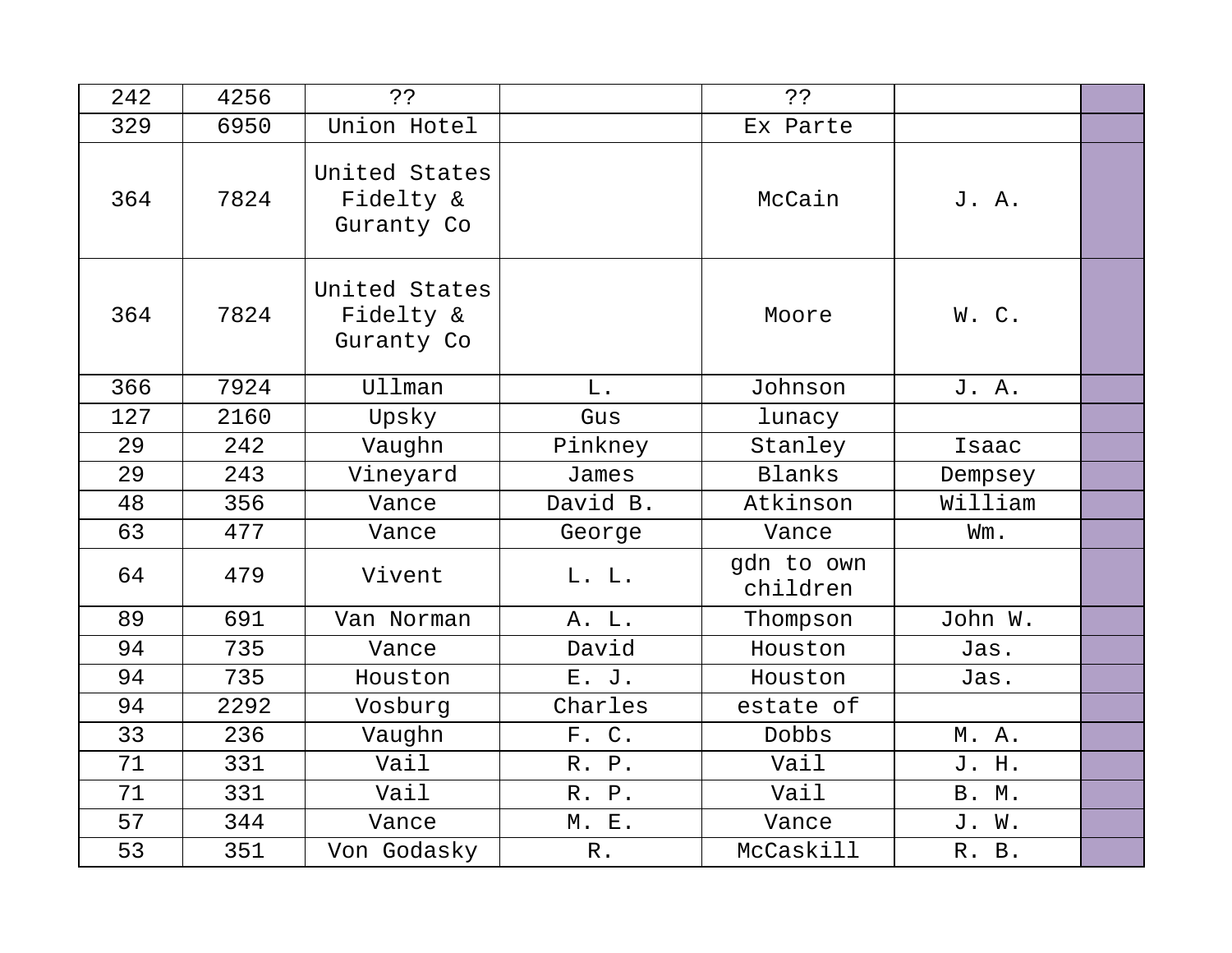| 242 | 4256 | خ ذ                                      |                 | ??                     |              |  |
|-----|------|------------------------------------------|-----------------|------------------------|--------------|--|
| 329 | 6950 | Union Hotel                              |                 | Ex Parte               |              |  |
| 364 | 7824 | United States<br>Fidelty &<br>Guranty Co |                 | McCain                 | J. A.        |  |
| 364 | 7824 | United States<br>Fidelty &<br>Guranty Co |                 | Moore                  | W. C.        |  |
| 366 | 7924 | <b>Ullman</b>                            | $L$ .           | Johnson                | J. A.        |  |
| 127 | 2160 | Upsky                                    | Gus             | lunacy                 |              |  |
| 29  | 242  | Vaughn                                   | Pinkney         | Stanley                | Isaac        |  |
| 29  | 243  | Vineyard                                 | James           | <b>Blanks</b>          | Dempsey      |  |
| 48  | 356  | Vance                                    | David B.        | Atkinson               | William      |  |
| 63  | 477  | Vance                                    | George          | Vance                  | Wm.          |  |
| 64  | 479  | Vivent                                   | L. L.           | gdn to own<br>children |              |  |
| 89  | 691  | Van Norman                               | A. L.           | Thompson               | John W.      |  |
| 94  | 735  | Vance                                    | David           | Houston                | Jas.         |  |
| 94  | 735  | Houston                                  | E. J.           | Houston                | Jas.         |  |
| 94  | 2292 | Vosburg                                  | Charles         | estate of              |              |  |
| 33  | 236  | Vaughn                                   | F. C.           | Dobbs                  | M. A.        |  |
| 71  | 331  | Vail                                     | R. P.           | Vail                   | J. H.        |  |
| 71  | 331  | Vail                                     | R. P.           | Vail                   | <b>B. M.</b> |  |
| 57  | 344  | Vance                                    | <b>M. E.</b>    | Vance                  | J. W.        |  |
| 53  | 351  | Von Godasky                              | ${\mathbb R}$ . | McCaskill              | R. B.        |  |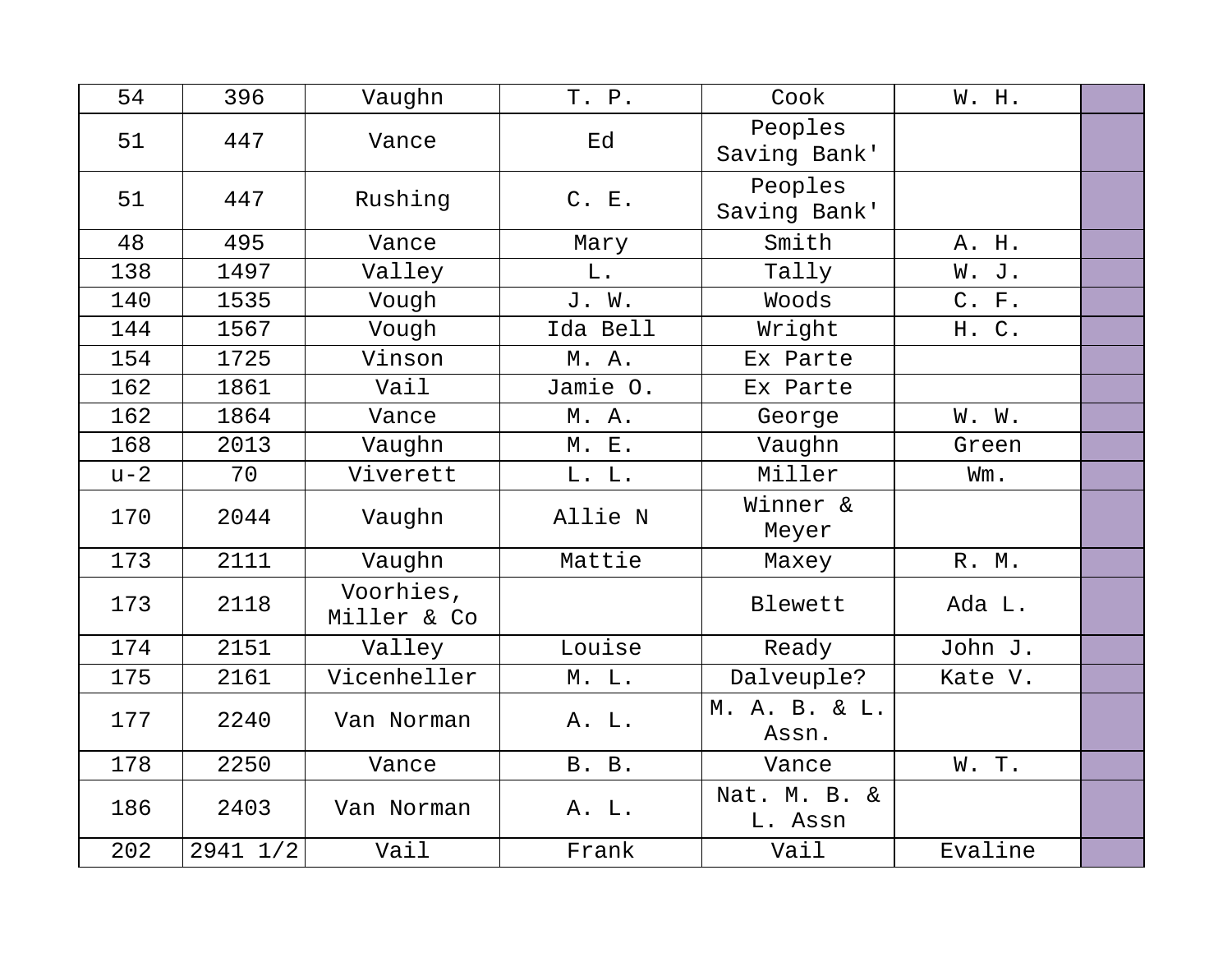| 54    | 396      | Vaughn                   | T. P.        | Cook                    | W. H.   |  |
|-------|----------|--------------------------|--------------|-------------------------|---------|--|
| 51    | 447      | Vance                    | Ed           | Peoples<br>Saving Bank' |         |  |
| 51    | 447      | Rushing                  | C. E.        | Peoples<br>Saving Bank' |         |  |
| 48    | 495      | Vance                    | Mary         | Smith                   | A. H.   |  |
| 138   | 1497     | Valley                   | L.           | Tally                   | W. J.   |  |
| 140   | 1535     | Vough                    | J. W.        | Woods                   | C. F.   |  |
| 144   | 1567     | Vough                    | Ida Bell     | Wright                  | H. C.   |  |
| 154   | 1725     | Vinson                   | M. A.        | Ex Parte                |         |  |
| 162   | 1861     | Vail                     | Jamie O.     | Ex Parte                |         |  |
| 162   | 1864     | Vance                    | M. A.        | George                  | W. W.   |  |
| 168   | 2013     | Vaughn                   | M. E.        | Vaughn                  | Green   |  |
| $u-2$ | 70       | Viverett                 | L. L.        | Miller                  | Wm.     |  |
| 170   | 2044     | Vaughn                   | Allie N      | Winner &<br>Meyer       |         |  |
| 173   | 2111     | Vaughn                   | Mattie       | Maxey                   | R. M.   |  |
| 173   | 2118     | Voorhies,<br>Miller & Co |              | Blewett                 | Ada L.  |  |
| 174   | 2151     | Valley                   | Louise       | Ready                   | John J. |  |
| 175   | 2161     | Vicenheller              | M. L.        | Dalveuple?              | Kate V. |  |
| 177   | 2240     | Van Norman               | A. L.        | M. A. B. & L.<br>Assn.  |         |  |
| 178   | 2250     | Vance                    | <b>B. B.</b> | Vance                   | W. T.   |  |
| 186   | 2403     | Van Norman               | A. L.        | Nat. M. B. &<br>L. Assn |         |  |
| 202   | 2941 1/2 | Vail                     | Frank        | Vail                    | Evaline |  |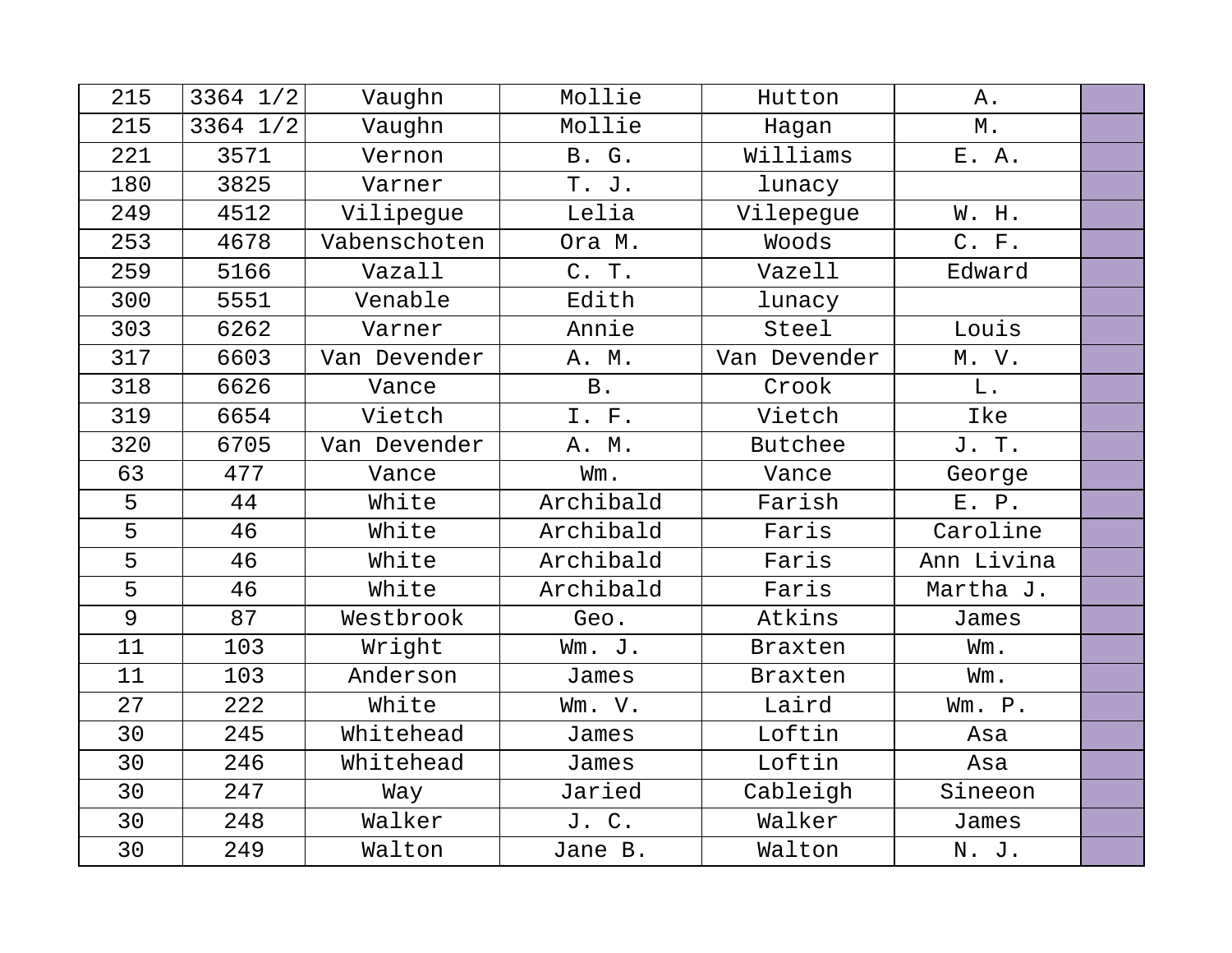| 215            | $3364$ $1/2$ | Vaughn       | Mollie       | Hutton         | Α.         |  |
|----------------|--------------|--------------|--------------|----------------|------------|--|
| 215            | 3364 1/2     | Vaughn       | Mollie       | Hagan          | $M$ .      |  |
| 221            | 3571         | Vernon       | <b>B.</b> G. | Williams       | E. A.      |  |
| 180            | 3825         | Varner       | T. J.        | lunacy         |            |  |
| 249            | 4512         | Vilipegue    | Lelia        | Vilepegue      | W. H.      |  |
| 253            | 4678         | Vabenschoten | Ora M.       | Woods          | C. F.      |  |
| 259            | 5166         | Vazall       | C. T.        | Vazell         | Edward     |  |
| 300            | 5551         | Venable      | Edith        | lunacy         |            |  |
| 303            | 6262         | Varner       | Annie        | Steel          | Louis      |  |
| 317            | 6603         | Van Devender | A. M.        | Van Devender   | M. V.      |  |
| 318            | 6626         | Vance        | <b>B</b> .   | Crook          | L.         |  |
| 319            | 6654         | Vietch       | I. F.        | Vietch         | Ike        |  |
| 320            | 6705         | Van Devender | A. M.        | Butchee        | J. T.      |  |
| 63             | 477          | Vance        | Wm.          | Vance          | George     |  |
| 5              | 44           | White        | Archibald    | Farish         | E. P.      |  |
| 5              | 46           | White        | Archibald    | Faris          | Caroline   |  |
| 5              | 46           | White        | Archibald    | Faris          | Ann Livina |  |
| 5              | 46           | White        | Archibald    | Faris          | Martha J.  |  |
| $\overline{9}$ | 87           | Westbrook    | Geo.         | Atkins         | James      |  |
| 11             | 103          | Wright       | Wm. J.       | Braxten        | Wm.        |  |
| 11             | 103          | Anderson     | James        | <b>Braxten</b> | Wm.        |  |
| 27             | 222          | White        | Wm. V.       | Laird          | Wm. P.     |  |
| 30             | 245          | Whitehead    | James        | Loftin         | Asa        |  |
| 30             | 246          | Whitehead    | James        | Loftin         | Asa        |  |
| 30             | 247          | Way          | Jaried       | Cableigh       | Sineeon    |  |
| 30             | 248          | Walker       | J. C.        | Walker         | James      |  |
| 30             | 249          | Walton       | Jane B.      | Walton         | N. J.      |  |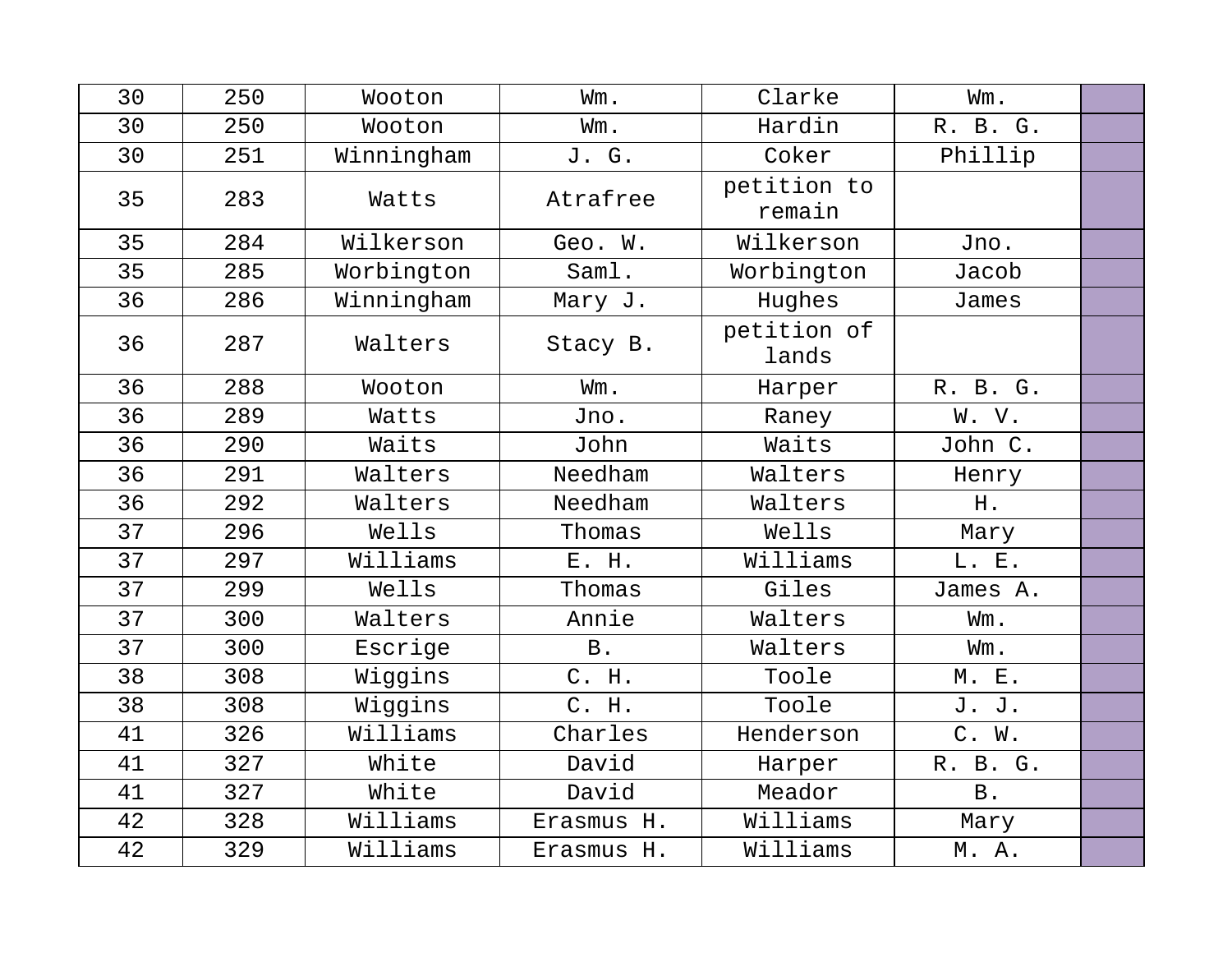| 30 | 250 | Wooton     | Wm.        | Clarke                | Wm.          |  |
|----|-----|------------|------------|-----------------------|--------------|--|
| 30 | 250 | Wooton     | Wm.        | Hardin                | R. B. G.     |  |
| 30 | 251 | Winningham | J. G.      | Coker                 | Phillip      |  |
| 35 | 283 | Watts      | Atrafree   | petition to<br>remain |              |  |
| 35 | 284 | Wilkerson  | Geo. W.    | Wilkerson             | Jno.         |  |
| 35 | 285 | Worbington | Saml.      | Worbington            | Jacob        |  |
| 36 | 286 | Winningham | Mary J.    | Hughes                | James        |  |
| 36 | 287 | Walters    | Stacy B.   | petition of<br>lands  |              |  |
| 36 | 288 | Wooton     | Wm.        | Harper                | R. B. G.     |  |
| 36 | 289 | Watts      | Jno.       | Raney                 | W. V.        |  |
| 36 | 290 | Waits      | John       | Waits                 | John C.      |  |
| 36 | 291 | Walters    | Needham    | Walters               | Henry        |  |
| 36 | 292 | Walters    | Needham    | Walters               | H.           |  |
| 37 | 296 | Wells      | Thomas     | Wells                 | Mary         |  |
| 37 | 297 | Williams   | E. H.      | Williams              | L. E.        |  |
| 37 | 299 | Wells      | Thomas     | Giles                 | James A.     |  |
| 37 | 300 | Walters    | Annie      | Walters               | Wm.          |  |
| 37 | 300 | Escrige    | <b>B</b> . | Walters               | Wm.          |  |
| 38 | 308 | Wiggins    | C. H.      | Toole                 | <b>M. E.</b> |  |
| 38 | 308 | Wiggins    | C. H.      | Toole                 | J. J.        |  |
| 41 | 326 | Williams   | Charles    | Henderson             | C. W.        |  |
| 41 | 327 | White      | David      | Harper                | R. B. G.     |  |
| 41 | 327 | White      | David      | Meador                | <b>B</b> .   |  |
| 42 | 328 | Williams   | Erasmus H. | Williams              | Mary         |  |
| 42 | 329 | Williams   | Erasmus H. | Williams              | M. A.        |  |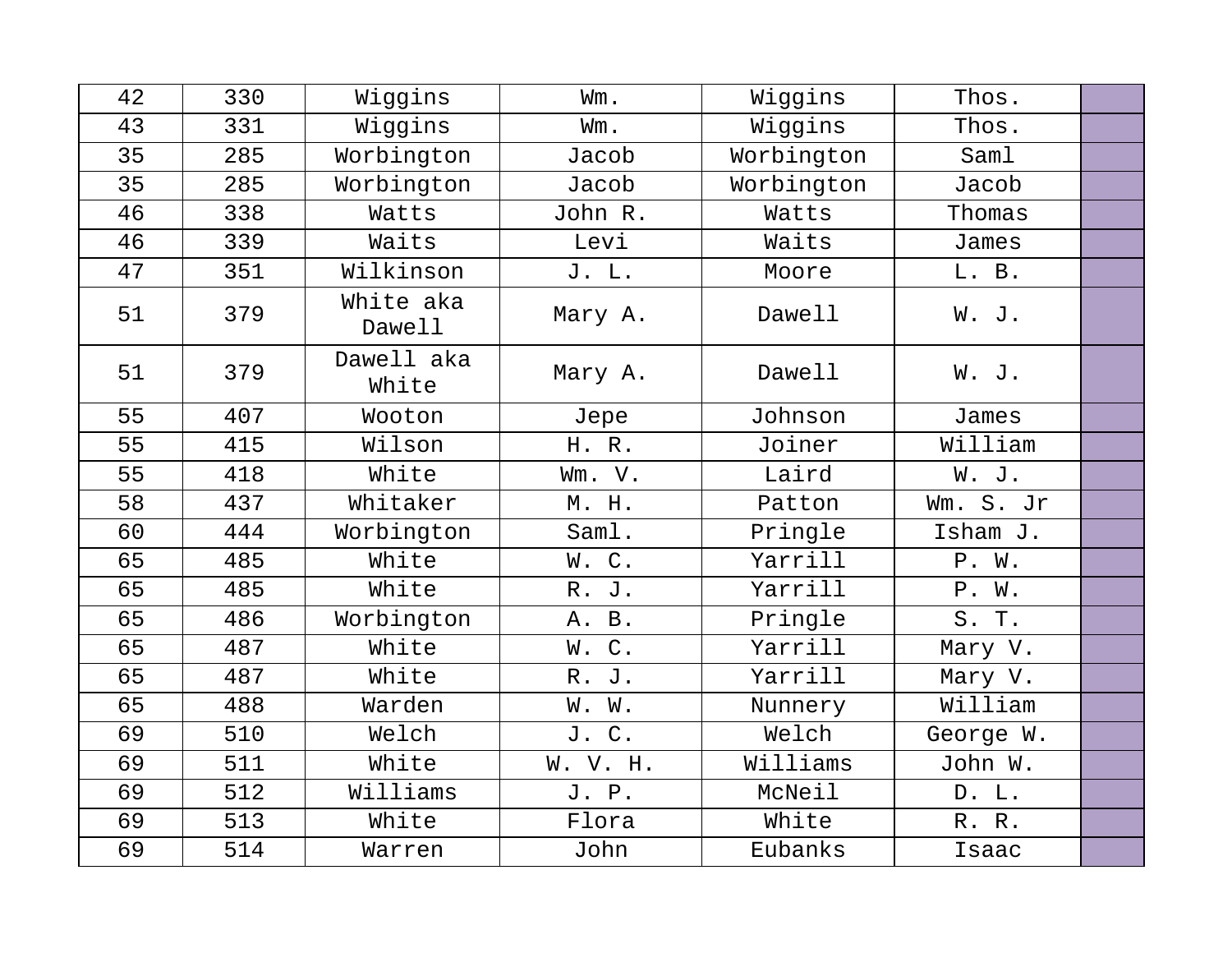| 42 | 330 | Wiggins             | Wm.         | Wiggins    | Thos.     |  |
|----|-----|---------------------|-------------|------------|-----------|--|
| 43 | 331 | Wiggins             | Wm.         | Wiggins    | Thos.     |  |
| 35 | 285 | Worbington          | Jacob       | Worbington | Saml      |  |
| 35 | 285 | Worbington          | Jacob       | Worbington | Jacob     |  |
| 46 | 338 | Watts               | John R.     | Watts      | Thomas    |  |
| 46 | 339 | Waits               | Levi        | Waits      | James     |  |
| 47 | 351 | Wilkinson           | J. L.       | Moore      | L. B.     |  |
| 51 | 379 | White aka<br>Dawell | Mary A.     | Dawell     | W. J.     |  |
| 51 | 379 | Dawell aka<br>White | Mary A.     | Dawell     | W. J.     |  |
| 55 | 407 | Wooton              | Jepe        | Johnson    | James     |  |
| 55 | 415 | Wilson              | H. R.       | Joiner     | William   |  |
| 55 | 418 | White               | Wm. V.      | Laird      | W. J.     |  |
| 58 | 437 | Whitaker            | M. H.       | Patton     | Wm. S. Jr |  |
| 60 | 444 | Worbington          | Saml.       | Pringle    | Isham J.  |  |
| 65 | 485 | White               | W.C.        | Yarrill    | P. W.     |  |
| 65 | 485 | White               | R.<br>J.    | Yarrill    | P. W.     |  |
| 65 | 486 | Worbington          | A. B.       | Pringle    | S. T.     |  |
| 65 | 487 | White               | $C$ .<br>W. | Yarrill    | Mary V.   |  |
| 65 | 487 | White               | R. J.       | Yarrill    | Mary V.   |  |
| 65 | 488 | Warden              | W. W.       | Nunnery    | William   |  |
| 69 | 510 | Welch               | J. C.       | Welch      | George W. |  |
| 69 | 511 | White               | W. V. H.    | Williams   | John W.   |  |
| 69 | 512 | Williams            | J. P.       | McNeil     | D. L.     |  |
| 69 | 513 | White               | Flora       | White      | R. R.     |  |
| 69 | 514 | Warren              | John        | Eubanks    | Isaac     |  |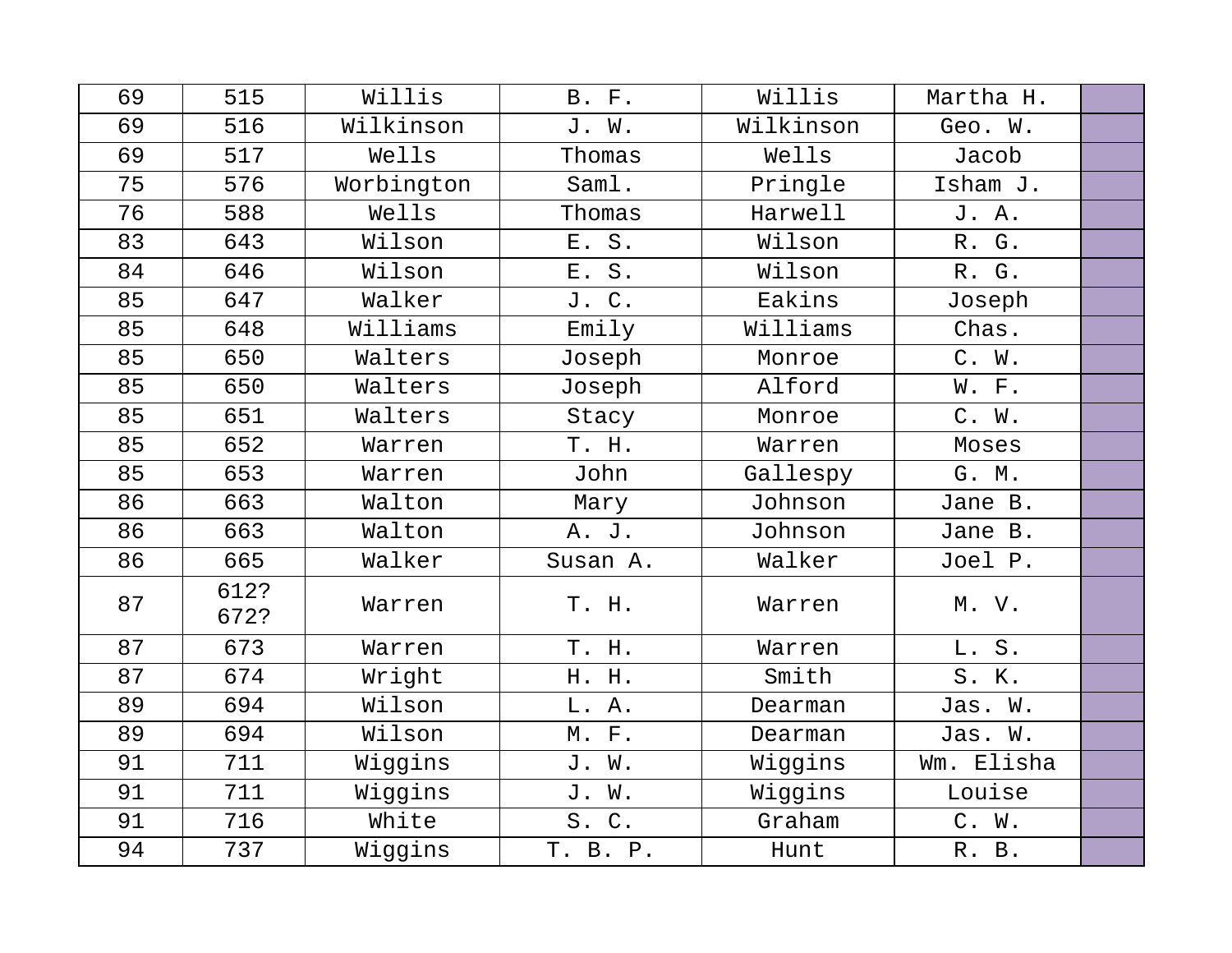| 69 | 515          | Willis     | B. F.    | Willis    | Martha H.  |  |
|----|--------------|------------|----------|-----------|------------|--|
| 69 | 516          | Wilkinson  | J. W.    | Wilkinson | Geo. W.    |  |
| 69 | 517          | Wells      | Thomas   | Wells     | Jacob      |  |
| 75 | 576          | Worbington | Saml.    | Pringle   | Isham J.   |  |
| 76 | 588          | Wells      | Thomas   | Harwell   | J. A.      |  |
| 83 | 643          | Wilson     | E. S.    | Wilson    | R. G.      |  |
| 84 | 646          | Wilson     | E. S.    | Wilson    | R. G.      |  |
| 85 | 647          | Walker     | J. C.    | Eakins    | Joseph     |  |
| 85 | 648          | Williams   | Emily    | Williams  | Chas.      |  |
| 85 | 650          | Walters    | Joseph   | Monroe    | C. W.      |  |
| 85 | 650          | Walters    | Joseph   | Alford    | W. F.      |  |
| 85 | 651          | Walters    | Stacy    | Monroe    | C. W.      |  |
| 85 | 652          | Warren     | T. H.    | Warren    | Moses      |  |
| 85 | 653          | Warren     | John     | Gallespy  | G. M.      |  |
| 86 | 663          | Walton     | Mary     | Johnson   | Jane B.    |  |
| 86 | 663          | Walton     | A. J.    | Johnson   | Jane B.    |  |
| 86 | 665          | Walker     | Susan A. | Walker    | Joel P.    |  |
| 87 | 612?<br>672? | Warren     | T. H.    | Warren    | M. V.      |  |
| 87 | 673          | Warren     | T. H.    | Warren    | L. S.      |  |
| 87 | 674          | Wright     | H. H.    | Smith     | S. K.      |  |
| 89 | 694          | Wilson     | L. A.    | Dearman   | Jas. W.    |  |
| 89 | 694          | Wilson     | M. F.    | Dearman   | Jas. W.    |  |
| 91 | 711          | Wiggins    | J. W.    | Wiggins   | Wm. Elisha |  |
| 91 | 711          | Wiggins    | J. W.    | Wiggins   | Louise     |  |
| 91 | 716          | White      | S.C.     | Graham    | C. W.      |  |
| 94 | 737          | Wiggins    | T. B. P. | Hunt      | R. B.      |  |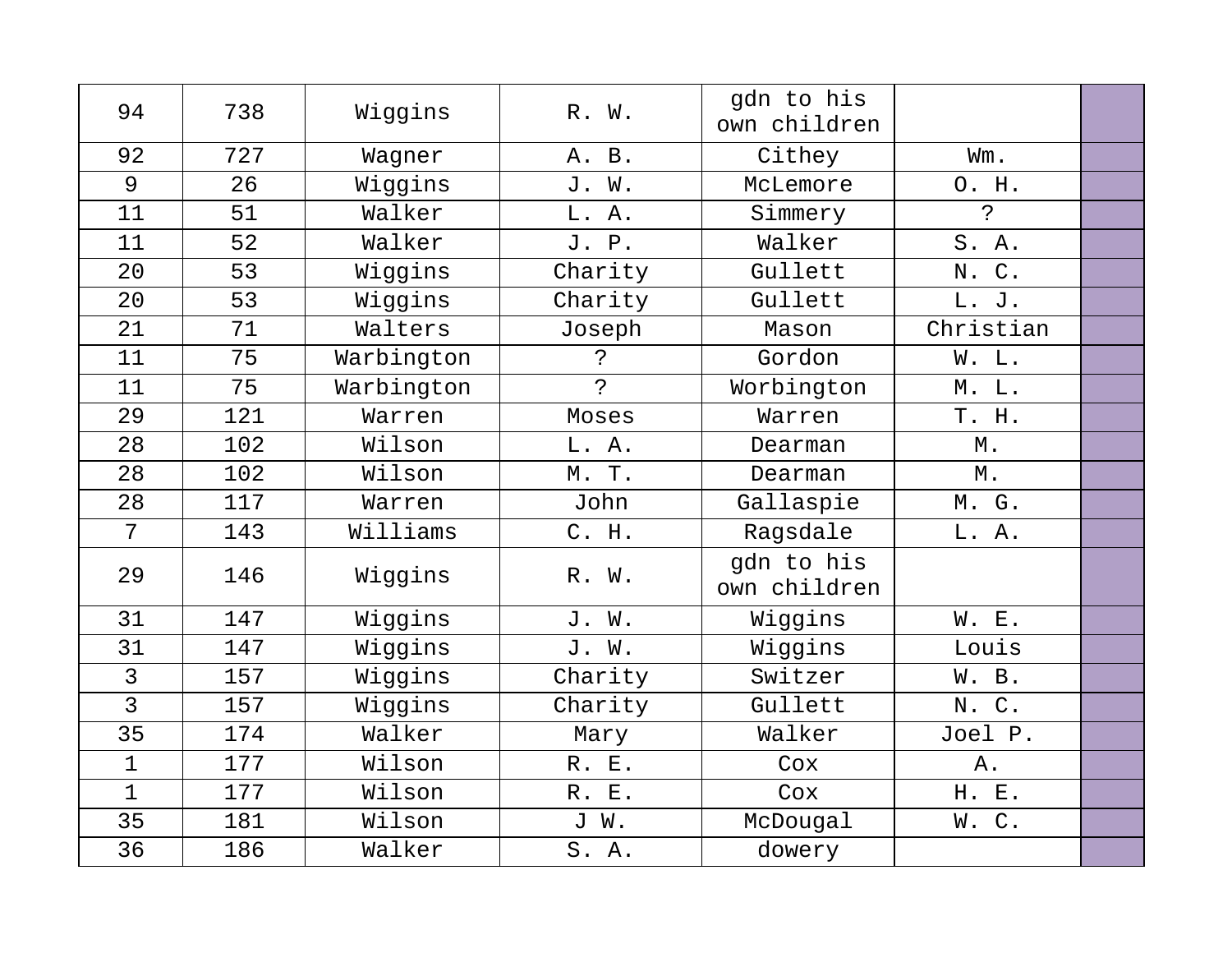| 94             | 738 | Wiggins    | R. W.       | gdn to his<br>own children |             |  |
|----------------|-----|------------|-------------|----------------------------|-------------|--|
| 92             | 727 | Wagner     | A. B.       | Cithey                     | Wm.         |  |
| 9              | 26  | Wiggins    | J. W.       | McLemore                   | O. H.       |  |
| 11             | 51  | Walker     | L. A.       | Simmery                    | $\tilde{S}$ |  |
| 11             | 52  | Walker     | J. P.       | Walker                     | S. A.       |  |
| 20             | 53  | Wiggins    | Charity     | Gullett                    | N. C.       |  |
| 20             | 53  | Wiggins    | Charity     | Gullett                    | L. J.       |  |
| 21             | 71  | Walters    | Joseph      | Mason                      | Christian   |  |
| 11             | 75  | Warbington | ?           | Gordon                     | W. L.       |  |
| 11             | 75  | Warbington | $\tilde{S}$ | Worbington                 | M. L.       |  |
| 29             | 121 | Warren     | Moses       | Warren                     | T. H.       |  |
| 28             | 102 | Wilson     | L. A.       | Dearman                    | М.          |  |
| 28             | 102 | Wilson     | M. T.       | Dearman                    | Μ.          |  |
| 28             | 117 | Warren     | John        | Gallaspie                  | M. G.       |  |
| 7              | 143 | Williams   | C. H.       | Ragsdale                   | L. A.       |  |
| 29             | 146 | Wiggins    | R. W.       | qdn to his<br>own children |             |  |
| 31             | 147 | Wiggins    | J. W.       | Wiggins                    | W. E.       |  |
| 31             | 147 | Wiggins    | J. W.       | Wiggins                    | Louis       |  |
| $\mathfrak{Z}$ | 157 | Wiggins    | Charity     | Switzer                    | W. B.       |  |
| $\overline{3}$ | 157 | Wiggins    | Charity     | Gullett                    | N. C.       |  |
| 35             | 174 | Walker     | Mary        | Walker                     | Joel P.     |  |
| $\mathbf 1$    | 177 | Wilson     | R. E.       | Cox                        | Α.          |  |
| $\mathbf{1}$   | 177 | Wilson     | R. E.       | Cox                        | H. E.       |  |
| 35             | 181 | Wilson     | J W.        | McDougal                   | W.C.        |  |
| 36             | 186 | Walker     | S. A.       | dowery                     |             |  |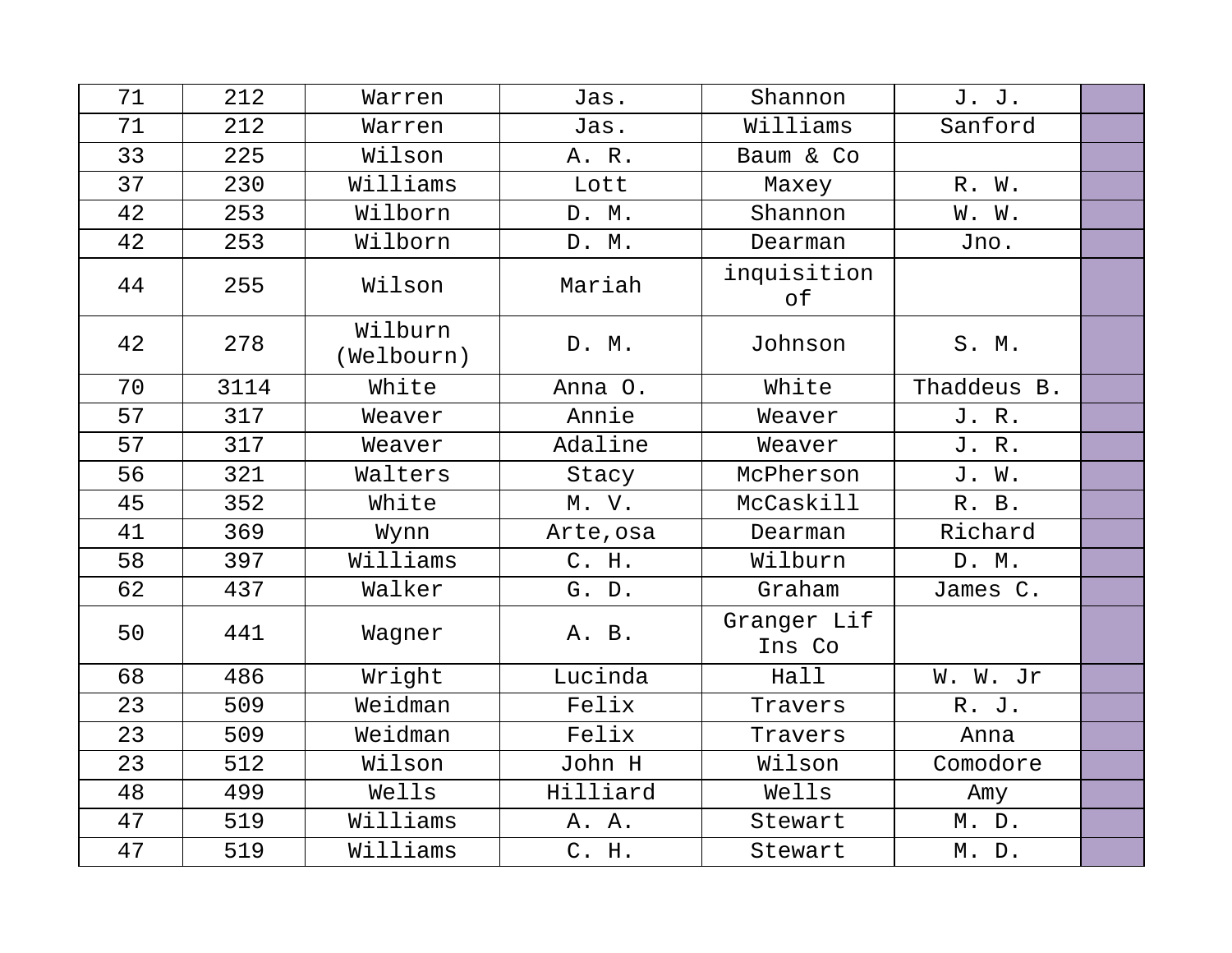| 71 | 212  | Warren                | Jas.      | Shannon               | J. J.       |  |
|----|------|-----------------------|-----------|-----------------------|-------------|--|
| 71 | 212  | Warren                | Jas.      | Williams              | Sanford     |  |
| 33 | 225  | Wilson                | A. R.     | Baum & Co             |             |  |
| 37 | 230  | Williams              | Lott      | Maxey                 | R. W.       |  |
| 42 | 253  | Wilborn               | D. M.     | Shannon               | W. W.       |  |
| 42 | 253  | Wilborn               | D. M.     | Dearman               | Jno.        |  |
| 44 | 255  | Wilson                | Mariah    | inquisition<br>оf     |             |  |
| 42 | 278  | Wilburn<br>(Welbourn) | D. M.     | Johnson               | S. M.       |  |
| 70 | 3114 | White                 | Anna O.   | White                 | Thaddeus B. |  |
| 57 | 317  | Weaver                | Annie     | Weaver                | J. R.       |  |
| 57 | 317  | Weaver                | Adaline   | Weaver                | J. R.       |  |
| 56 | 321  | Walters               | Stacy     | McPherson             | J. W.       |  |
| 45 | 352  | White                 | M. V.     | McCaskill             | R. B.       |  |
| 41 | 369  | Wynn                  | Arte, osa | Dearman               | Richard     |  |
| 58 | 397  | Williams              | C. H.     | Wilburn               | D. M.       |  |
| 62 | 437  | Walker                | G. D.     | Graham                | James C.    |  |
| 50 | 441  | Wagner                | A. B.     | Granger Lif<br>Ins Co |             |  |
| 68 | 486  | Wright                | Lucinda   | Hall                  | W. W. Jr    |  |
| 23 | 509  | Weidman               | Felix     | Travers               | R. J.       |  |
| 23 | 509  | Weidman               | Felix     | Travers               | Anna        |  |
| 23 | 512  | Wilson                | John H    | Wilson                | Comodore    |  |
| 48 | 499  | Wells                 | Hilliard  | Wells                 | Amy         |  |
| 47 | 519  | Williams              | A. A.     | Stewart               | M. D.       |  |
| 47 | 519  | Williams              | C. H.     | Stewart               | M. D.       |  |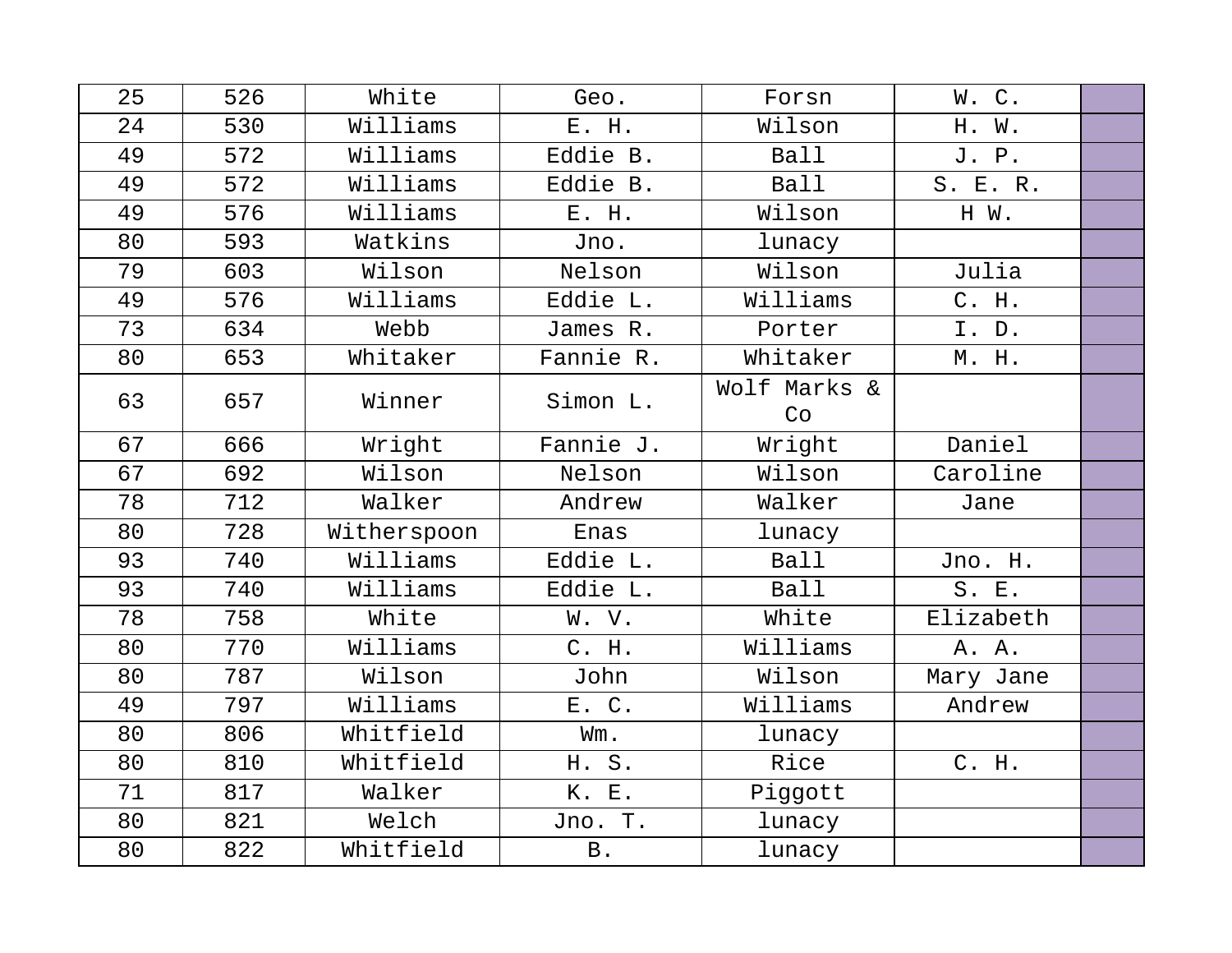| 25 | 526 | White       | Geo.           | Forsn              | W.C.      |  |
|----|-----|-------------|----------------|--------------------|-----------|--|
| 24 | 530 | Williams    | E. H.          | Wilson             | H. W.     |  |
| 49 | 572 | Williams    | Eddie B.       | <b>Ball</b>        | J. P.     |  |
| 49 | 572 | Williams    | Eddie B.       | <b>Ball</b>        | S. E. R.  |  |
| 49 | 576 | Williams    | E. H.          | Wilson             | H W.      |  |
| 80 | 593 | Watkins     | Jno.           | lunacy             |           |  |
| 79 | 603 | Wilson      | Nelson         | Wilson             | Julia     |  |
| 49 | 576 | Williams    | Eddie L.       | Williams           | C. H.     |  |
| 73 | 634 | Webb        | James R.       | Porter             | I. D.     |  |
| 80 | 653 | Whitaker    | Fannie R.      | Whitaker           | M. H.     |  |
| 63 | 657 | Winner      | Simon L.       | Wolf Marks &<br>Co |           |  |
| 67 | 666 | Wright      | Fannie J.      | Wright             | Daniel    |  |
| 67 | 692 | Wilson      | Nelson         | Wilson             | Caroline  |  |
| 78 | 712 | Walker      | Andrew         | Walker             | Jane      |  |
| 80 | 728 | Witherspoon | Enas           | lunacy             |           |  |
| 93 | 740 | Williams    | Eddie L.       | Ball               | Jno. H.   |  |
| 93 | 740 | Williams    | Eddie L.       | <b>Ball</b>        | S. E.     |  |
| 78 | 758 | White       | W. V.          | White              | Elizabeth |  |
| 80 | 770 | Williams    | C. H.          | Williams           | A. A.     |  |
| 80 | 787 | Wilson      | John           | Wilson             | Mary Jane |  |
| 49 | 797 | Williams    | E. C.          | Williams           | Andrew    |  |
| 80 | 806 | Whitfield   | Wm.            | lunacy             |           |  |
| 80 | 810 | Whitfield   | H. S.          | Rice               | C. H.     |  |
| 71 | 817 | Walker      | K. E.          | Piggott            |           |  |
| 80 | 821 | Welch       | Jno. T.        | lunacy             |           |  |
| 80 | 822 | Whitfield   | $\, {\bf B}$ . | lunacy             |           |  |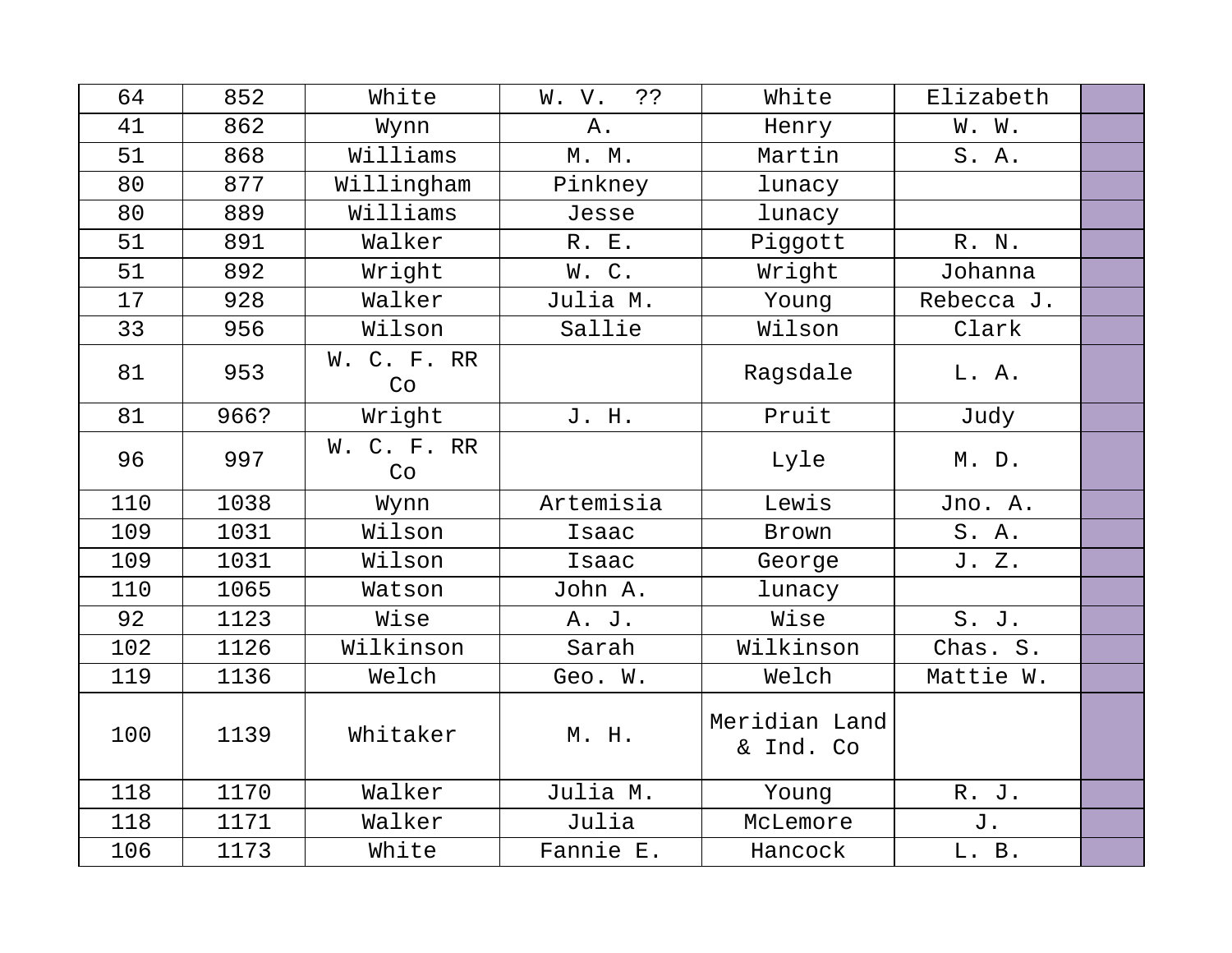| 64  | 852  | White             | خ ذ<br>W. V. | White                      | Elizabeth  |  |
|-----|------|-------------------|--------------|----------------------------|------------|--|
| 41  | 862  | Wynn              | Α.           | Henry                      | W. W.      |  |
| 51  | 868  | Williams          | $M.$ $M.$    | Martin                     | S. A.      |  |
| 80  | 877  | Willingham        | Pinkney      | lunacy                     |            |  |
| 80  | 889  | Williams          | Jesse        | lunacy                     |            |  |
| 51  | 891  | Walker            | R. E.        | Piggott                    | R. N.      |  |
| 51  | 892  | Wright            | W.C.         | Wright                     | Johanna    |  |
| 17  | 928  | Walker            | Julia M.     | Young                      | Rebecca J. |  |
| 33  | 956  | Wilson            | Sallie       | Wilson                     | Clark      |  |
| 81  | 953  | W. C. F. RR<br>Co |              | Ragsdale                   | L. A.      |  |
| 81  | 966? | Wright            | J. H.        | Pruit                      | Judy       |  |
| 96  | 997  | W. C. F. RR<br>Co |              | Lyle                       | M. D.      |  |
| 110 | 1038 | Wynn              | Artemisia    | Lewis                      | Jno. A.    |  |
| 109 | 1031 | Wilson            | Isaac        | Brown                      | S. A.      |  |
| 109 | 1031 | Wilson            | Isaac        | George                     | J. Z.      |  |
| 110 | 1065 | Watson            | John A.      | lunacy                     |            |  |
| 92  | 1123 | Wise              | A. J.        | Wise                       | S. J.      |  |
| 102 | 1126 | Wilkinson         | Sarah        | Wilkinson                  | Chas. S.   |  |
| 119 | 1136 | Welch             | Geo. W.      | Welch                      | Mattie W.  |  |
| 100 | 1139 | Whitaker          | M. H.        | Meridian Land<br>& Ind. Co |            |  |
| 118 | 1170 | Walker            | Julia M.     | Young                      | R. J.      |  |
| 118 | 1171 | Walker            | Julia        | McLemore                   | J.         |  |
| 106 | 1173 | White             | Fannie E.    | Hancock                    | L. B.      |  |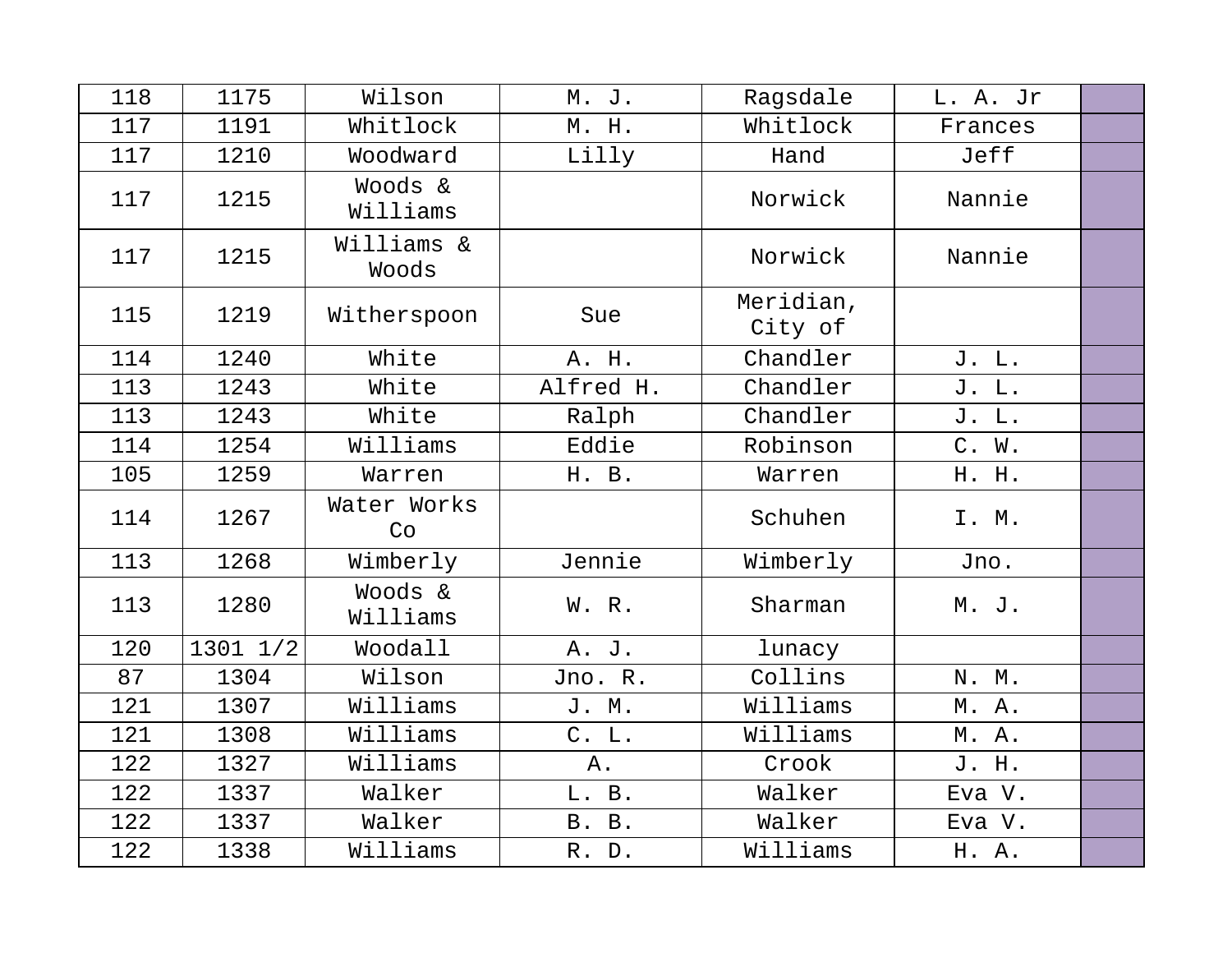| 118 | 1175     | Wilson              | M. J.     | Ragsdale             | L. A. Jr |  |
|-----|----------|---------------------|-----------|----------------------|----------|--|
| 117 | 1191     | Whitlock            | M. H.     | Whitlock             | Frances  |  |
| 117 | 1210     | Woodward            | Lilly     | Hand                 | Jeff     |  |
| 117 | 1215     | Woods &<br>Williams |           | Norwick              | Nannie   |  |
| 117 | 1215     | Williams &<br>Woods |           | Norwick              | Nannie   |  |
| 115 | 1219     | Witherspoon         | Sue       | Meridian,<br>City of |          |  |
| 114 | 1240     | White               | A. H.     | Chandler             | J. L.    |  |
| 113 | 1243     | White               | Alfred H. | Chandler             | J. L.    |  |
| 113 | 1243     | White               | Ralph     | Chandler             | J. L.    |  |
| 114 | 1254     | Williams            | Eddie     | Robinson             | C. W.    |  |
| 105 | 1259     | Warren              | H. B.     | Warren               | H. H.    |  |
| 114 | 1267     | Water Works<br>Co   |           | Schuhen              | I. M.    |  |
| 113 | 1268     | Wimberly            | Jennie    | Wimberly             | Jno.     |  |
| 113 | 1280     | Woods &<br>Williams | W. R.     | Sharman              | M. J.    |  |
| 120 | 1301 1/2 | Woodall             | A. J.     | lunacy               |          |  |
| 87  | 1304     | Wilson              | Jno. R.   | Collins              | N. M.    |  |
| 121 | 1307     | Williams            | J. M.     | Williams             | M. A.    |  |
| 121 | 1308     | Williams            | C. L.     | Williams             | M. A.    |  |
| 122 | 1327     | Williams            | Α.        | Crook                | J. H.    |  |
| 122 | 1337     | Walker              | L. B.     | Walker               | Eva V.   |  |
| 122 | 1337     | Walker              | B. B.     | Walker               | Eva V.   |  |
| 122 | 1338     | Williams            | R. D.     | Williams             | H. A.    |  |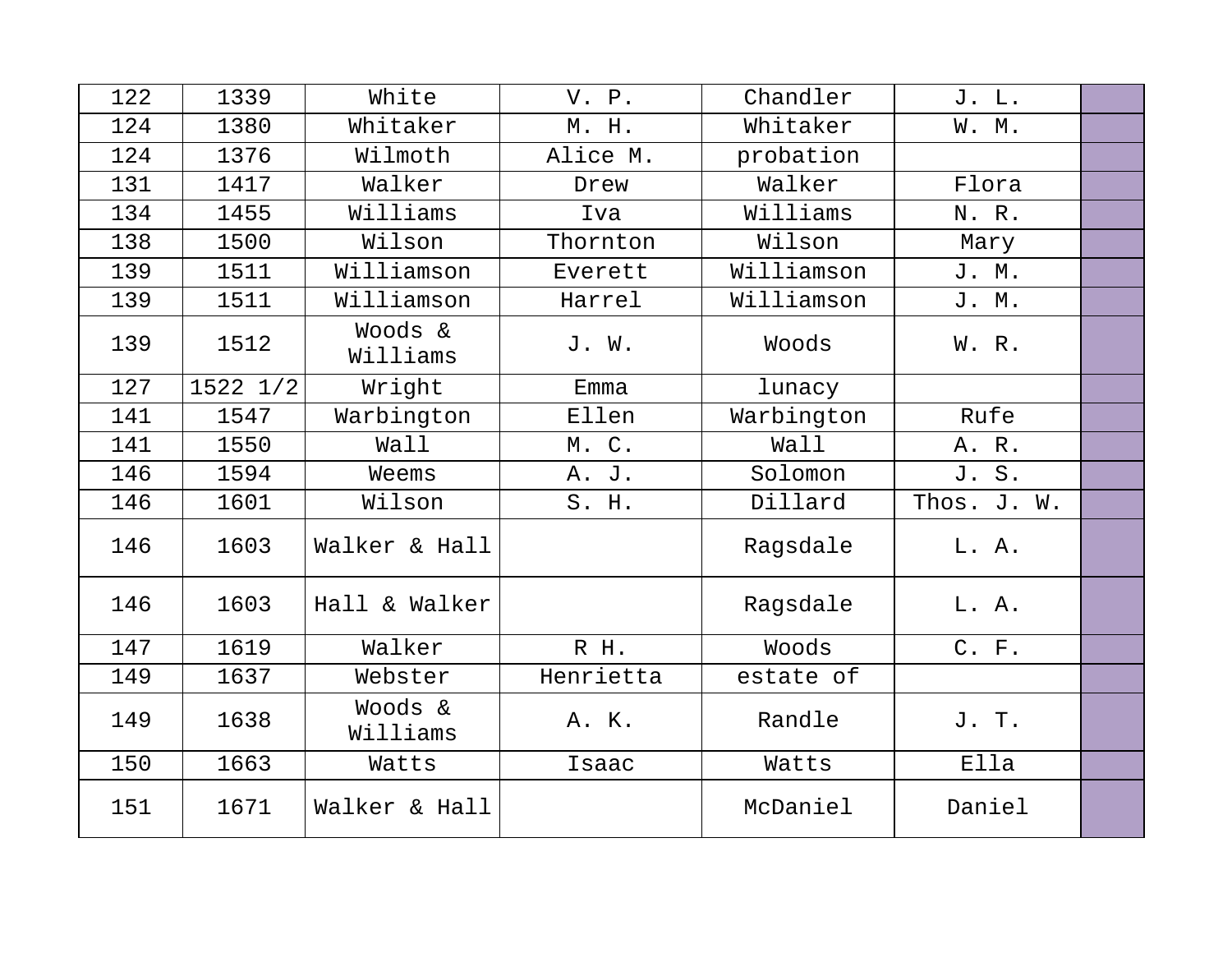| 122 | 1339     | White               | V. P.     | Chandler   | J. L.       |  |
|-----|----------|---------------------|-----------|------------|-------------|--|
| 124 | 1380     | Whitaker            | M. H.     | Whitaker   | W. M.       |  |
| 124 | 1376     | Wilmoth             | Alice M.  | probation  |             |  |
| 131 | 1417     | Walker              | Drew      | Walker     | Flora       |  |
| 134 | 1455     | Williams            | Iva       | Williams   | N. R.       |  |
| 138 | 1500     | Wilson              | Thornton  | Wilson     | Mary        |  |
| 139 | 1511     | Williamson          | Everett   | Williamson | J. M.       |  |
| 139 | 1511     | Williamson          | Harrel    | Williamson | J. M.       |  |
| 139 | 1512     | Woods &<br>Williams | J. W.     | Woods      | W. R.       |  |
| 127 | 1522 1/2 | Wright              | Emma      | lunacy     |             |  |
| 141 | 1547     | Warbington          | Ellen     | Warbington | Rufe        |  |
| 141 | 1550     | Wall                | M. C.     | Wall       | A. R.       |  |
| 146 | 1594     | Weems               | A. J.     | Solomon    | J. S.       |  |
| 146 | 1601     | Wilson              | S. H.     | Dillard    | Thos. J. W. |  |
| 146 | 1603     | Walker & Hall       |           | Ragsdale   | L. A.       |  |
| 146 | 1603     | Hall & Walker       |           | Ragsdale   | L. A.       |  |
| 147 | 1619     | Walker              | R H.      | Woods      | C. F.       |  |
| 149 | 1637     | Webster             | Henrietta | estate of  |             |  |
| 149 | 1638     | Woods &<br>Williams | A. K.     | Randle     | J. T.       |  |
| 150 | 1663     | Watts               | Isaac     | Watts      | Ella        |  |
| 151 | 1671     | Walker & Hall       |           | McDaniel   | Daniel      |  |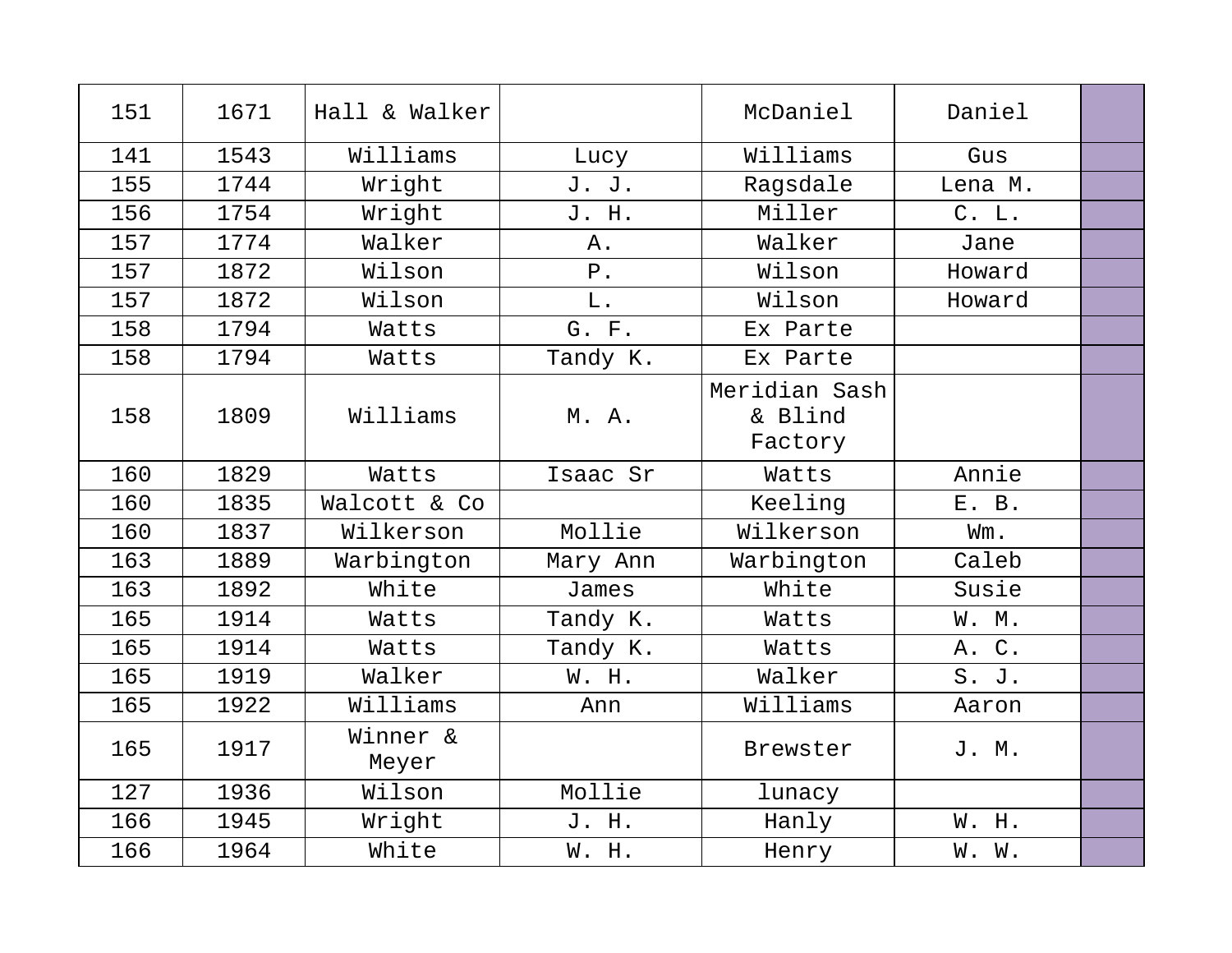| 151 | 1671 | Hall & Walker     |          | McDaniel                            | Daniel  |  |
|-----|------|-------------------|----------|-------------------------------------|---------|--|
| 141 | 1543 | Williams          | Lucy     | Williams                            | Gus     |  |
| 155 | 1744 | Wright            | J. J.    | Ragsdale                            | Lena M. |  |
| 156 | 1754 | Wright            | J. H.    | Miller                              | C. L.   |  |
| 157 | 1774 | Walker            | Α.       | Walker                              | Jane    |  |
| 157 | 1872 | Wilson            | $P$ .    | Wilson                              | Howard  |  |
| 157 | 1872 | Wilson            | $L$ .    | Wilson                              | Howard  |  |
| 158 | 1794 | Watts             | G. F.    | Ex Parte                            |         |  |
| 158 | 1794 | Watts             | Tandy K. | Ex Parte                            |         |  |
| 158 | 1809 | Williams          | M. A.    | Meridian Sash<br>& Blind<br>Factory |         |  |
| 160 | 1829 | Watts             | Isaac Sr | Watts                               | Annie   |  |
| 160 | 1835 | Walcott & Co      |          | Keeling                             | E. B.   |  |
| 160 | 1837 | Wilkerson         | Mollie   | Wilkerson                           | Wm.     |  |
| 163 | 1889 | Warbington        | Mary Ann | Warbington                          | Caleb   |  |
| 163 | 1892 | White             | James    | White                               | Susie   |  |
| 165 | 1914 | Watts             | Tandy K. | Watts                               | W. M.   |  |
| 165 | 1914 | Watts             | Tandy K. | Watts                               | A. C.   |  |
| 165 | 1919 | Walker            | W. H.    | Walker                              | S. J.   |  |
| 165 | 1922 | Williams          | Ann      | Williams                            | Aaron   |  |
| 165 | 1917 | Winner &<br>Meyer |          | Brewster                            | J. M.   |  |
| 127 | 1936 | Wilson            | Mollie   | lunacy                              |         |  |
| 166 | 1945 | Wright            | J. H.    | Hanly                               | W. H.   |  |
| 166 | 1964 | White             | W. H.    | Henry                               | W. W.   |  |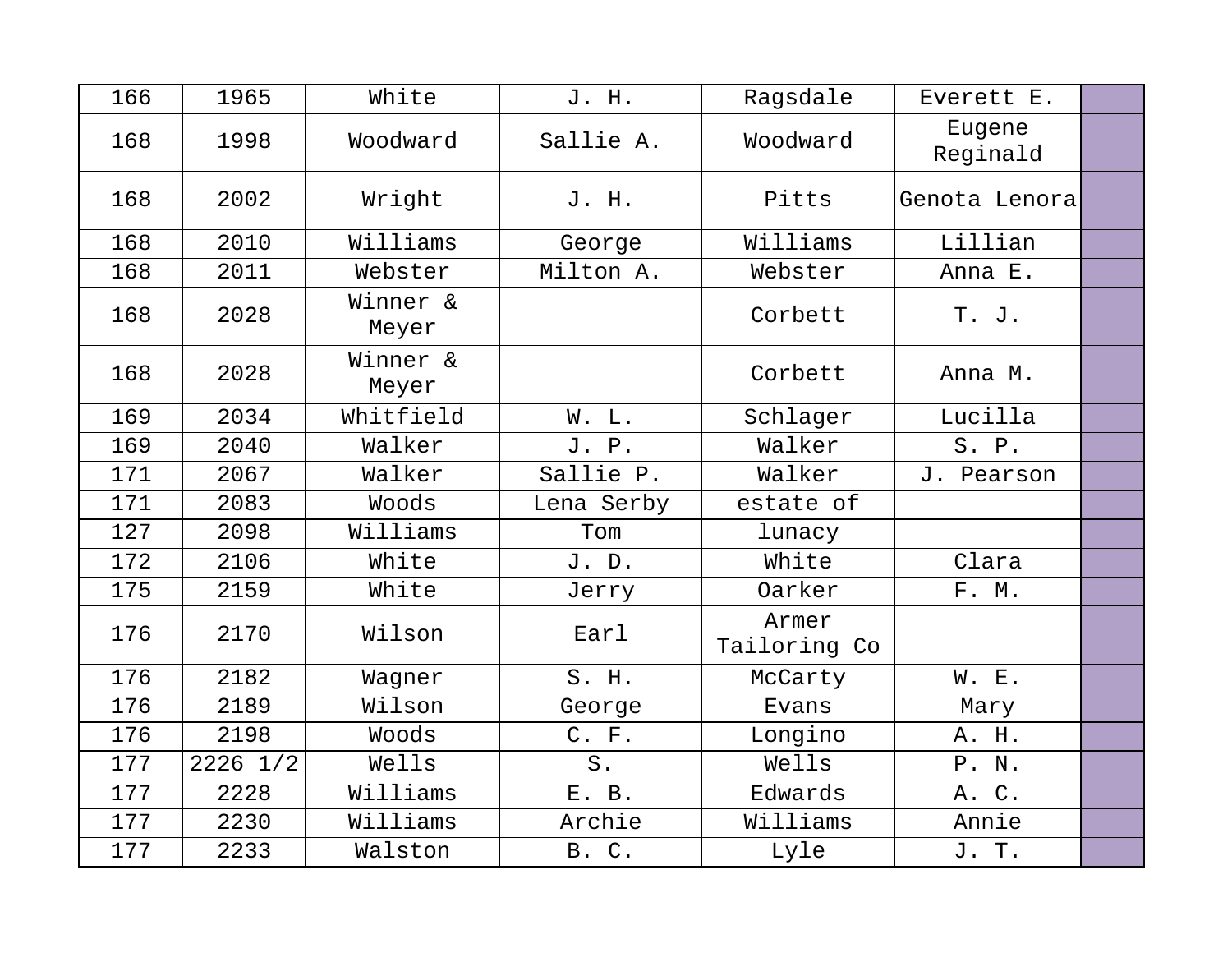| 166 | 1965         | White             | J. H.      | Ragsdale              | Everett E.         |  |
|-----|--------------|-------------------|------------|-----------------------|--------------------|--|
| 168 | 1998         | Woodward          | Sallie A.  | Woodward              | Eugene<br>Reginald |  |
| 168 | 2002         | Wright            | J. H.      | Pitts                 | Genota Lenora      |  |
| 168 | 2010         | Williams          | George     | Williams              | Lillian            |  |
| 168 | 2011         | Webster           | Milton A.  | Webster               | Anna E.            |  |
| 168 | 2028         | Winner &<br>Meyer |            | Corbett               | T. J.              |  |
| 168 | 2028         | Winner &<br>Meyer |            | Corbett               | Anna M.            |  |
| 169 | 2034         | Whitfield         | W. L.      | Schlager              | Lucilla            |  |
| 169 | 2040         | Walker            | J. P.      | Walker                | S. P.              |  |
| 171 | 2067         | Walker            | Sallie P.  | Walker                | J. Pearson         |  |
| 171 | 2083         | Woods             | Lena Serby | estate of             |                    |  |
| 127 | 2098         | Williams          | Tom        | lunacy                |                    |  |
| 172 | 2106         | White             | J. D.      | White                 | Clara              |  |
| 175 | 2159         | White             | Jerry      | Oarker                | F. M.              |  |
| 176 | 2170         | Wilson            | Earl       | Armer<br>Tailoring Co |                    |  |
| 176 | 2182         | Wagner            | S. H.      | McCarty               | W. E.              |  |
| 176 | 2189         | Wilson            | George     | Evans                 | Mary               |  |
| 176 | 2198         | Woods             | C. F.      | Longino               | A. H.              |  |
| 177 | $2226$ $1/2$ | Wells             | $S$ .      | Wells                 | P. N.              |  |
| 177 | 2228         | Williams          | E. B.      | Edwards               | A. C.              |  |
| 177 | 2230         | Williams          | Archie     | Williams              | Annie              |  |
| 177 | 2233         | Walston           | B. C.      | Lyle                  | J. T.              |  |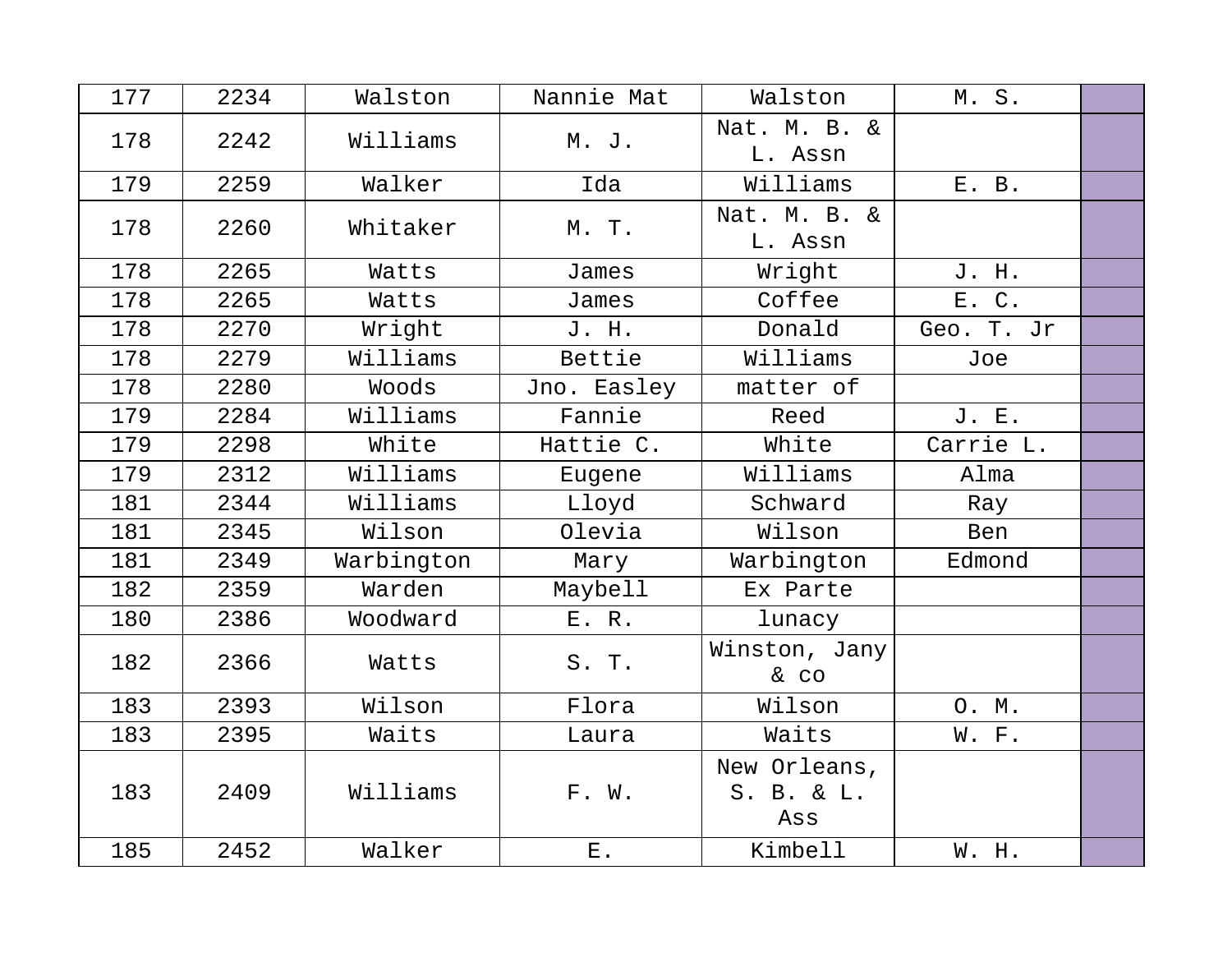| 177 | 2234 | Walston    | Nannie Mat  | Walston                           | M.S.       |  |
|-----|------|------------|-------------|-----------------------------------|------------|--|
| 178 | 2242 | Williams   | M. J.       | Nat. M. B. &<br>L. Assn           |            |  |
| 179 | 2259 | Walker     | Ida         | Williams                          | E. B.      |  |
| 178 | 2260 | Whitaker   | M. T.       | Nat. M. B. &<br>L. Assn           |            |  |
| 178 | 2265 | Watts      | James       | Wright                            | J. H.      |  |
| 178 | 2265 | Watts      | James       | Coffee                            | E. C.      |  |
| 178 | 2270 | Wright     | J. H.       | Donald                            | Geo. T. Jr |  |
| 178 | 2279 | Williams   | Bettie      | Williams                          | Joe        |  |
| 178 | 2280 | Woods      | Jno. Easley | matter of                         |            |  |
| 179 | 2284 | Williams   | Fannie      | Reed                              | J. E.      |  |
| 179 | 2298 | White      | Hattie C.   | White                             | Carrie L.  |  |
| 179 | 2312 | Williams   | Eugene      | Williams                          | Alma       |  |
| 181 | 2344 | Williams   | Lloyd       | Schward                           | Ray        |  |
| 181 | 2345 | Wilson     | Olevia      | Wilson                            | Ben        |  |
| 181 | 2349 | Warbington | Mary        | Warbington                        | Edmond     |  |
| 182 | 2359 | Warden     | Maybell     | Ex Parte                          |            |  |
| 180 | 2386 | Woodward   | E. R.       | lunacy                            |            |  |
| 182 | 2366 | Watts      | S. T.       | Winston, Jany<br>& CO             |            |  |
| 183 | 2393 | Wilson     | Flora       | Wilson                            | O. M.      |  |
| 183 | 2395 | Waits      | Laura       | Waits                             | W. F.      |  |
| 183 | 2409 | Williams   | F. W.       | New Orleans,<br>S. B. & L.<br>Ass |            |  |
| 185 | 2452 | Walker     | $E$ .       | Kimbell                           | W. H.      |  |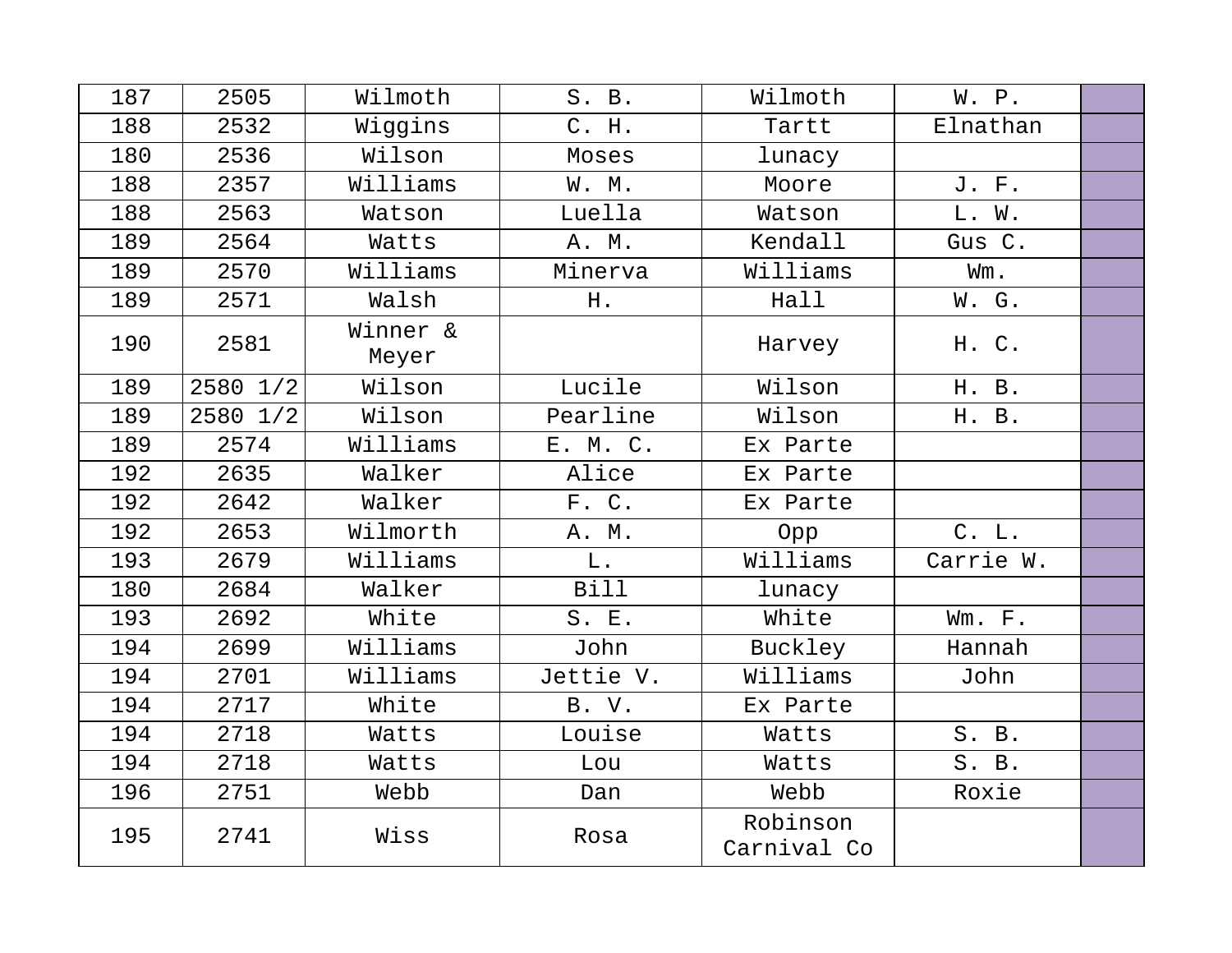| 187 | 2505     | Wilmoth           | S. B.       | Wilmoth                 | W. P.     |  |
|-----|----------|-------------------|-------------|-------------------------|-----------|--|
| 188 | 2532     | Wiggins           | C. H.       | Tartt                   | Elnathan  |  |
| 180 | 2536     | Wilson            | Moses       | lunacy                  |           |  |
| 188 | 2357     | Williams          | W. M.       | Moore                   | J. F.     |  |
| 188 | 2563     | Watson            | Luella      | Watson                  | L. W.     |  |
| 189 | 2564     | Watts             | A. M.       | Kendall                 | Gus C.    |  |
| 189 | 2570     | Williams          | Minerva     | Williams                | Wm.       |  |
| 189 | 2571     | Walsh             | H.          | Hall                    | W. G.     |  |
| 190 | 2581     | Winner &<br>Meyer |             | Harvey                  | H. C.     |  |
| 189 | 2580 1/2 | Wilson            | Lucile      | Wilson                  | H. B.     |  |
| 189 | 2580 1/2 | Wilson            | Pearline    | Wilson                  | H. B.     |  |
| 189 | 2574     | Williams          | E. M. C.    | Ex Parte                |           |  |
| 192 | 2635     | Walker            | Alice       | Ex Parte                |           |  |
| 192 | 2642     | Walker            | F. C.       | Ex Parte                |           |  |
| 192 | 2653     | Wilmorth          | A. M.       | Opp                     | C. L.     |  |
| 193 | 2679     | Williams          | L.          | Williams                | Carrie W. |  |
| 180 | 2684     | Walker            | <b>Bill</b> | lunacy                  |           |  |
| 193 | 2692     | White             | S. E.       | White                   | Wm. F.    |  |
| 194 | 2699     | Williams          | John        | Buckley                 | Hannah    |  |
| 194 | 2701     | Williams          | Jettie V.   | Williams                | John      |  |
| 194 | 2717     | White             | B. V.       | Ex Parte                |           |  |
| 194 | 2718     | Watts             | Louise      | Watts                   | S. B.     |  |
| 194 | 2718     | Watts             | Lou         | Watts                   | S. B.     |  |
| 196 | 2751     | Webb              | Dan         | Webb                    | Roxie     |  |
| 195 | 2741     | Wiss              | Rosa        | Robinson<br>Carnival Co |           |  |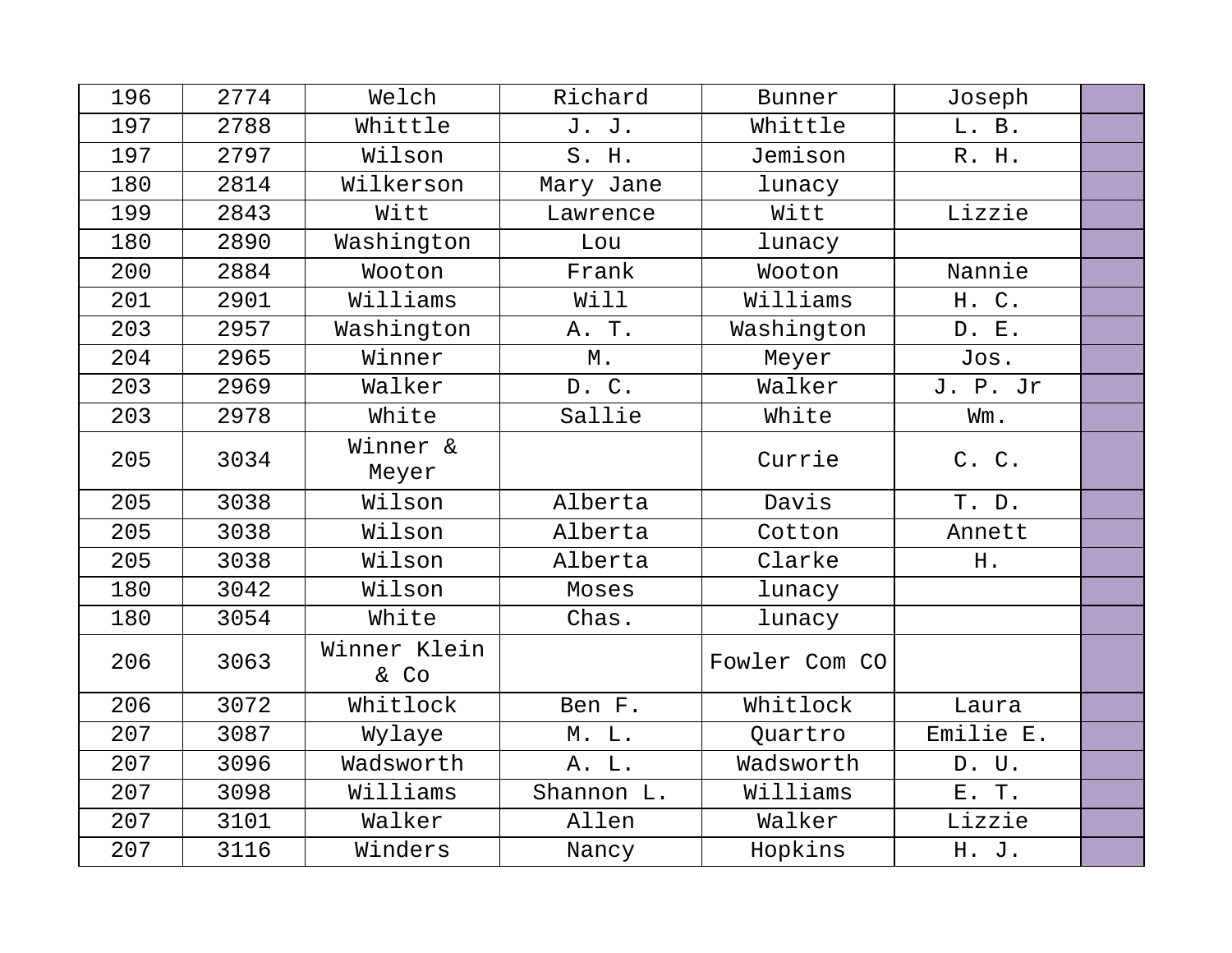| 196 | 2774 | Welch                | Richard    | Bunner        | Joseph    |  |
|-----|------|----------------------|------------|---------------|-----------|--|
| 197 | 2788 | Whittle              | J. J.      | Whittle       | L. B.     |  |
| 197 | 2797 | Wilson               | S. H.      | Jemison       | R. H.     |  |
| 180 | 2814 | Wilkerson            | Mary Jane  | lunacy        |           |  |
| 199 | 2843 | Witt                 | Lawrence   | Witt          | Lizzie    |  |
| 180 | 2890 | Washington           | Lou        | lunacy        |           |  |
| 200 | 2884 | Wooton               | Frank      | Wooton        | Nannie    |  |
| 201 | 2901 | Williams             | Will       | Williams      | H. C.     |  |
| 203 | 2957 | Washington           | A. T.      | Washington    | D. E.     |  |
| 204 | 2965 | Winner               | М.         | Meyer         | Jos.      |  |
| 203 | 2969 | Walker               | D. C.      | Walker        | J. P. Jr  |  |
| 203 | 2978 | White                | Sallie     | White         | Wm.       |  |
| 205 | 3034 | Winner &<br>Meyer    |            | Currie        | C. C.     |  |
| 205 | 3038 | Wilson               | Alberta    | Davis         | T. D.     |  |
| 205 | 3038 | Wilson               | Alberta    | Cotton        | Annett    |  |
| 205 | 3038 | Wilson               | Alberta    | Clarke        | H.        |  |
| 180 | 3042 | Wilson               | Moses      | lunacy        |           |  |
| 180 | 3054 | White                | Chas.      | lunacy        |           |  |
| 206 | 3063 | Winner Klein<br>& Co |            | Fowler Com CO |           |  |
| 206 | 3072 | Whitlock             | Ben F.     | Whitlock      | Laura     |  |
| 207 | 3087 | Wylaye               | M. L.      | Quartro       | Emilie E. |  |
| 207 | 3096 | Wadsworth            | A. L.      | Wadsworth     | D. U.     |  |
| 207 | 3098 | Williams             | Shannon L. | Williams      | E. T.     |  |
| 207 | 3101 | Walker               | Allen      | Walker        | Lizzie    |  |
| 207 | 3116 | Winders              | Nancy      | Hopkins       | H. J.     |  |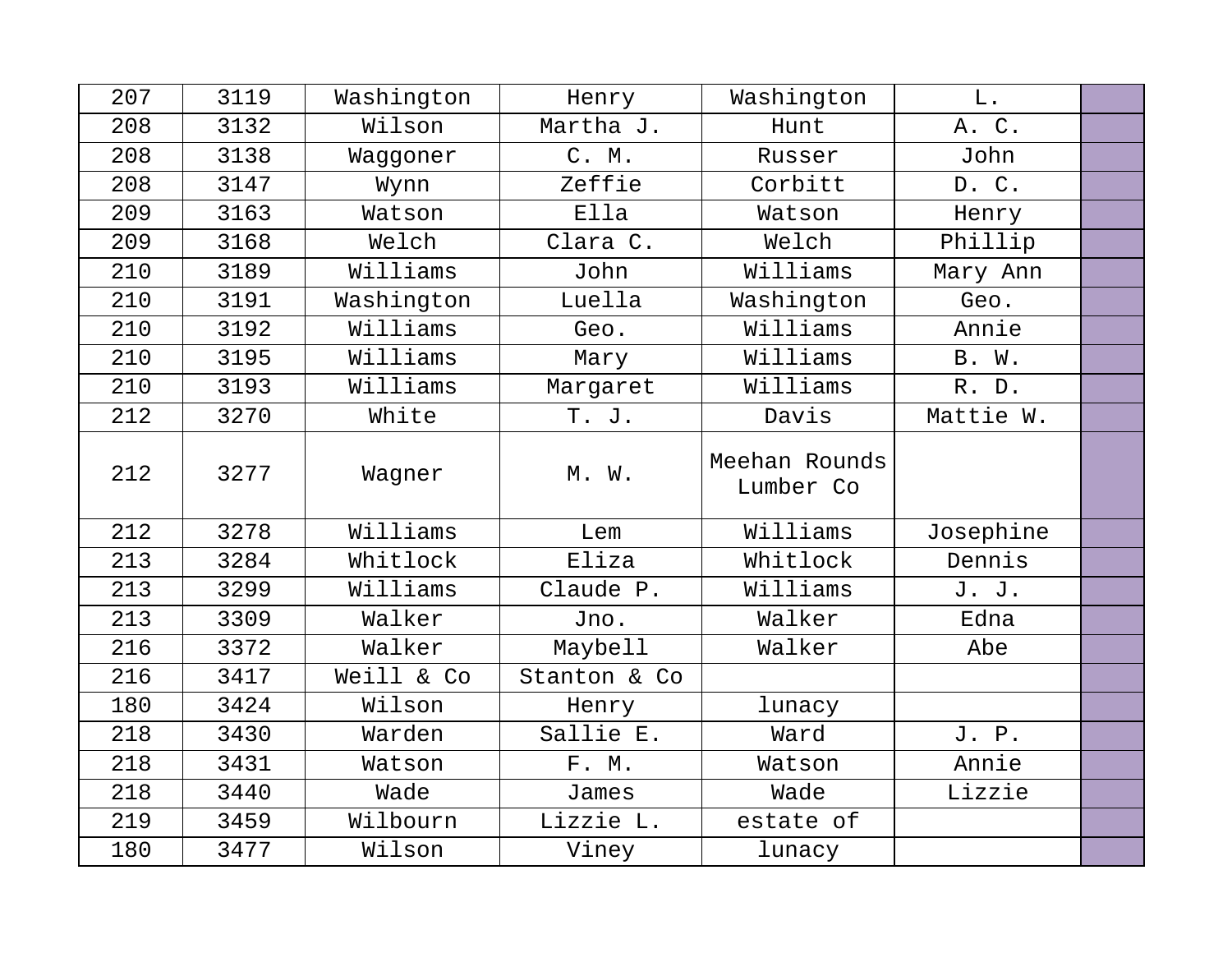| 207 | 3119 | Washington | Henry        | Washington                 | L.        |  |
|-----|------|------------|--------------|----------------------------|-----------|--|
| 208 | 3132 | Wilson     | Martha J.    | Hunt                       | A. C.     |  |
| 208 | 3138 | Waggoner   | C. M.        | Russer                     | John      |  |
| 208 | 3147 | Wynn       | Zeffie       | Corbitt                    | D. C.     |  |
| 209 | 3163 | Watson     | Ella         | Watson                     | Henry     |  |
| 209 | 3168 | Welch      | Clara C.     | Welch                      | Phillip   |  |
| 210 | 3189 | Williams   | John         | Williams                   | Mary Ann  |  |
| 210 | 3191 | Washington | Luella       | Washington                 | Geo.      |  |
| 210 | 3192 | Williams   | Geo.         | Williams                   | Annie     |  |
| 210 | 3195 | Williams   | Mary         | Williams                   | B. W.     |  |
| 210 | 3193 | Williams   | Margaret     | Williams                   | R. D.     |  |
| 212 | 3270 | White      | T. J.        | Davis                      | Mattie W. |  |
| 212 | 3277 | Wagner     | M. W.        | Meehan Rounds<br>Lumber Co |           |  |
| 212 | 3278 | Williams   | Lem          | Williams                   | Josephine |  |
| 213 | 3284 | Whitlock   | Eliza        | Whitlock                   | Dennis    |  |
| 213 | 3299 | Williams   | Claude P.    | Williams                   | J. J.     |  |
| 213 | 3309 | Walker     | Jno.         | Walker                     | Edna      |  |
| 216 | 3372 | Walker     | Maybell      | Walker                     | Abe       |  |
| 216 | 3417 | Weill & Co | Stanton & Co |                            |           |  |
| 180 | 3424 | Wilson     | Henry        | lunacy                     |           |  |
| 218 | 3430 | Warden     | Sallie E.    | Ward                       | J. P.     |  |
| 218 | 3431 | Watson     | F. M.        | Watson                     | Annie     |  |
| 218 | 3440 | Wade       | James        | Wade                       | Lizzie    |  |
| 219 | 3459 | Wilbourn   | Lizzie L.    | estate of                  |           |  |
| 180 | 3477 | Wilson     | Viney        | lunacy                     |           |  |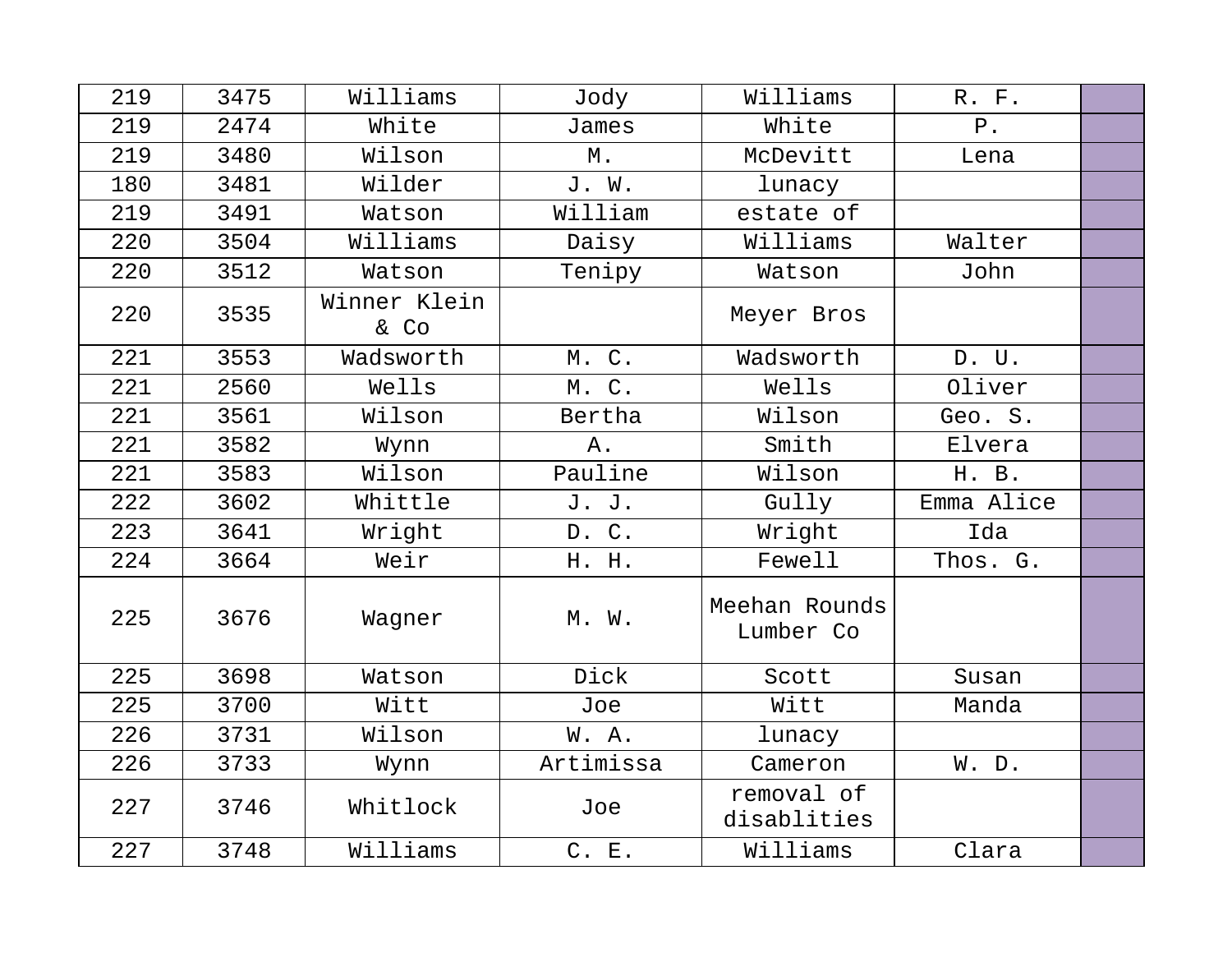| 219 | 3475 | Williams             | Jody      | Williams                   | R. F.      |  |
|-----|------|----------------------|-----------|----------------------------|------------|--|
| 219 | 2474 | White                | James     | White                      | $P$ .      |  |
| 219 | 3480 | Wilson               | М.        | McDevitt                   | Lena       |  |
| 180 | 3481 | Wilder               | J. W.     | lunacy                     |            |  |
| 219 | 3491 | Watson               | William   | estate of                  |            |  |
| 220 | 3504 | Williams             | Daisy     | Williams                   | Walter     |  |
| 220 | 3512 | Watson               | Tenipy    | Watson                     | John       |  |
| 220 | 3535 | Winner Klein<br>& Co |           | Meyer Bros                 |            |  |
| 221 | 3553 | Wadsworth            | M. C.     | Wadsworth                  | D. U.      |  |
| 221 | 2560 | Wells                | M. C.     | Wells                      | Oliver     |  |
| 221 | 3561 | Wilson               | Bertha    | Wilson                     | Geo. S.    |  |
| 221 | 3582 | Wynn                 | Α.        | Smith                      | Elvera     |  |
| 221 | 3583 | Wilson               | Pauline   | Wilson                     | H. B.      |  |
| 222 | 3602 | Whittle              | J. J.     | Gully                      | Emma Alice |  |
| 223 | 3641 | Wright               | D. C.     | Wright                     | Ida        |  |
| 224 | 3664 | Weir                 | H. H.     | Fewell                     | Thos. G.   |  |
| 225 | 3676 | Wagner               | M. W.     | Meehan Rounds<br>Lumber Co |            |  |
| 225 | 3698 | Watson               | Dick      | Scott                      | Susan      |  |
| 225 | 3700 | Witt                 | Joe       | Witt                       | Manda      |  |
| 226 | 3731 | Wilson               | W. A.     | lunacy                     |            |  |
| 226 | 3733 | Wynn                 | Artimissa | Cameron                    | W. D.      |  |
| 227 | 3746 | Whitlock             | Joe       | removal of<br>disablities  |            |  |
| 227 | 3748 | Williams             | C. E.     | Williams                   | Clara      |  |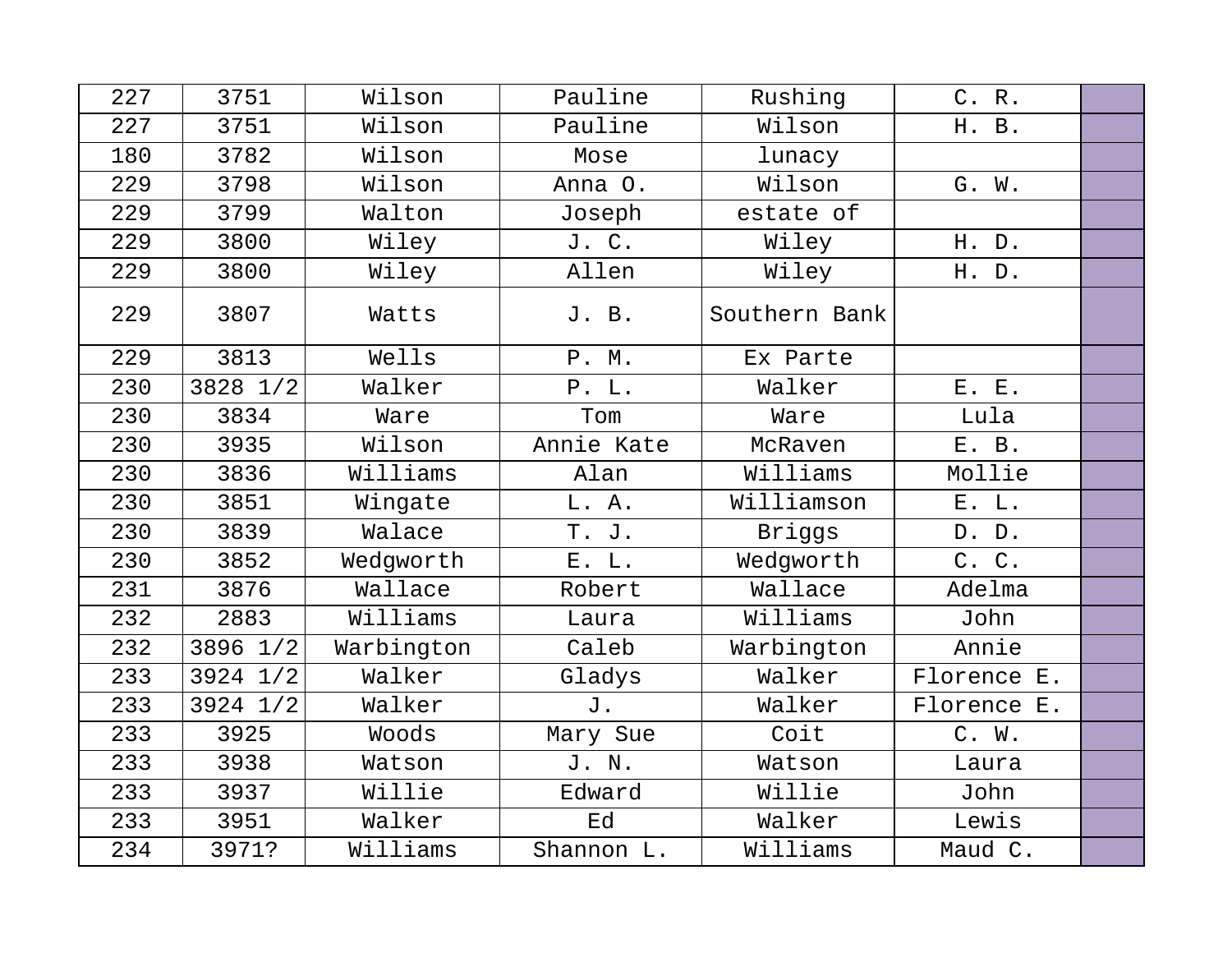| 227 | 3751     | Wilson     | Pauline    | Rushing       | C. R.       |  |
|-----|----------|------------|------------|---------------|-------------|--|
| 227 | 3751     | Wilson     | Pauline    | Wilson        | H. B.       |  |
| 180 | 3782     | Wilson     | Mose       | lunacy        |             |  |
| 229 | 3798     | Wilson     | Anna O.    | Wilson        | G. W.       |  |
| 229 | 3799     | Walton     | Joseph     | estate of     |             |  |
| 229 | 3800     | Wiley      | J. C.      | Wiley         | H. D.       |  |
| 229 | 3800     | Wiley      | Allen      | Wiley         | H. D.       |  |
| 229 | 3807     | Watts      | J. B.      | Southern Bank |             |  |
| 229 | 3813     | Wells      | P. M.      | Ex Parte      |             |  |
| 230 | 3828 1/2 | Walker     | P. L.      | Walker        | E. E.       |  |
| 230 | 3834     | Ware       | Tom        | Ware          | Lula        |  |
| 230 | 3935     | Wilson     | Annie Kate | McRaven       | E. B.       |  |
| 230 | 3836     | Williams   | Alan       | Williams      | Mollie      |  |
| 230 | 3851     | Wingate    | L. A.      | Williamson    | E. L.       |  |
| 230 | 3839     | Walace     | T. J.      | Briggs        | D. D.       |  |
| 230 | 3852     | Wedgworth  | E. L.      | Wedgworth     | C. C.       |  |
| 231 | 3876     | Wallace    | Robert     | Wallace       | Adelma      |  |
| 232 | 2883     | Williams   | Laura      | Williams      | John        |  |
| 232 | 3896 1/2 | Warbington | Caleb      | Warbington    | Annie       |  |
| 233 | 3924 1/2 | Walker     | Gladys     | Walker        | Florence E. |  |
| 233 | 3924 1/2 | Walker     | J.         | Walker        | Florence E. |  |
| 233 | 3925     | Woods      | Mary Sue   | Coit          | C. W.       |  |
| 233 | 3938     | Watson     | J. N.      | Watson        | Laura       |  |
| 233 | 3937     | Willie     | Edward     | Willie        | John        |  |
| 233 | 3951     | Walker     | Ed         | Walker        | Lewis       |  |
| 234 | 3971?    | Williams   | Shannon L. | Williams      | Maud C.     |  |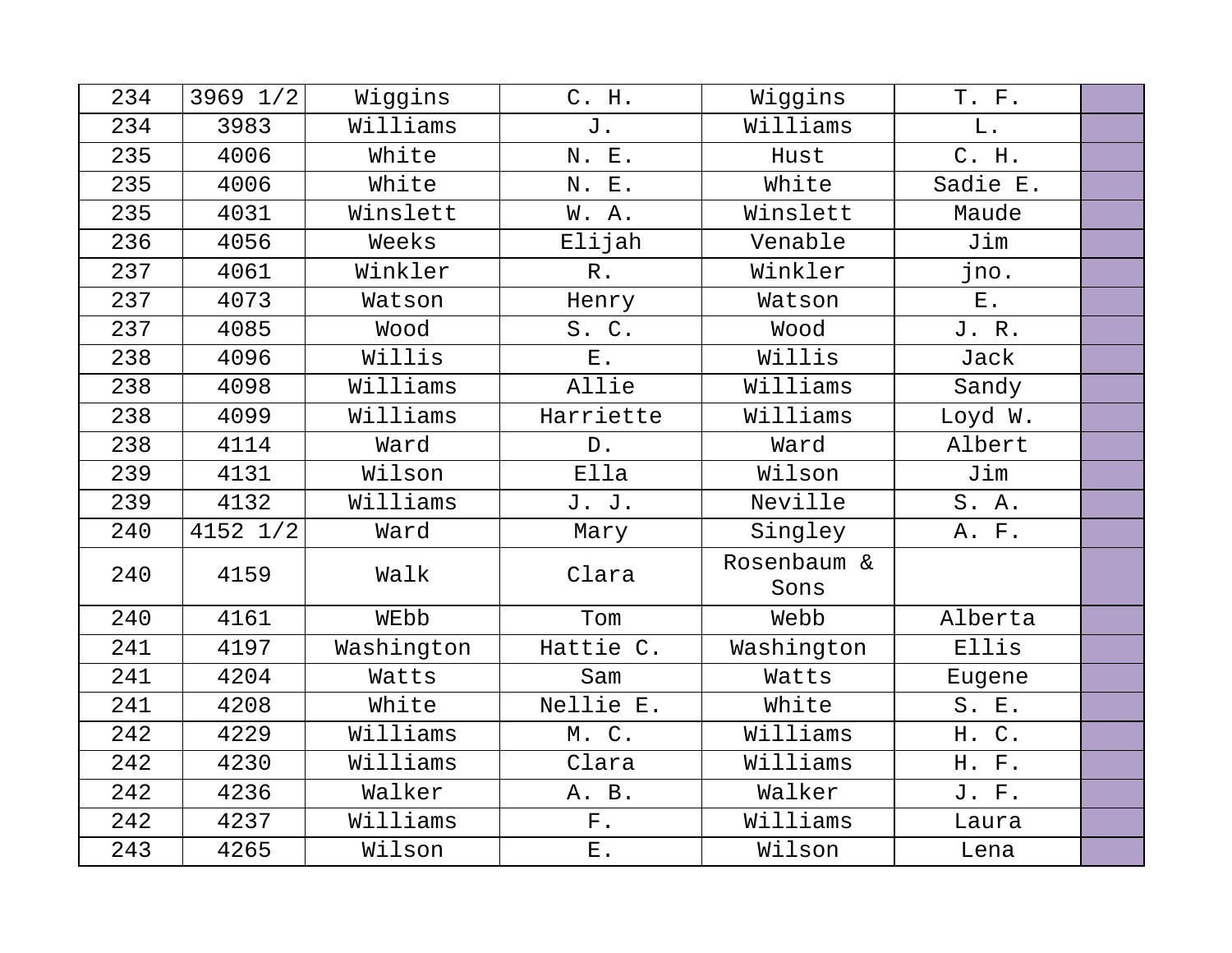| 234 | 3969 1/2     | Wiggins    | C. H.       | Wiggins             | T. F.       |  |
|-----|--------------|------------|-------------|---------------------|-------------|--|
| 234 | 3983         | Williams   | J.          | Williams            | ${\bf L}$ . |  |
| 235 | 4006         | White      | N. E.       | Hust                | C. H.       |  |
| 235 | 4006         | White      | N. E.       | White               | Sadie E.    |  |
| 235 | 4031         | Winslett   | W. A.       | Winslett            | Maude       |  |
| 236 | 4056         | Weeks      | Elijah      | Venable             | Jim         |  |
| 237 | 4061         | Winkler    | $R$ .       | Winkler             | jno.        |  |
| 237 | 4073         | Watson     | Henry       | Watson              | $E$ .       |  |
| 237 | 4085         | Wood       | S.C.        | Wood                | J. R.       |  |
| 238 | 4096         | Willis     | $E$ .       | Willis              | Jack        |  |
| 238 | 4098         | Williams   | Allie       | Williams            | Sandy       |  |
| 238 | 4099         | Williams   | Harriette   | Williams            | Loyd W.     |  |
| 238 | 4114         | Ward       | $D$ .       | Ward                | Albert      |  |
| 239 | 4131         | Wilson     | Ella        | Wilson              | Jim         |  |
| 239 | 4132         | Williams   | J. J.       | Neville             | S. A.       |  |
| 240 | $4152$ $1/2$ | Ward       | Mary        | Singley             | A. F.       |  |
| 240 | 4159         | Walk       | Clara       | Rosenbaum &<br>Sons |             |  |
| 240 | 4161         | WEbb       | Tom         | Webb                | Alberta     |  |
| 241 | 4197         | Washington | Hattie C.   | Washington          | Ellis       |  |
| 241 | 4204         | Watts      | Sam         | Watts               | Eugene      |  |
| 241 | 4208         | White      | Nellie E.   | White               | S. E.       |  |
| 242 | 4229         | Williams   | M. C.       | Williams            | H. C.       |  |
| 242 | 4230         | Williams   | Clara       | Williams            | H. F.       |  |
| 242 | 4236         | Walker     | A. B.       | Walker              | J. F.       |  |
| 242 | 4237         | Williams   | ${\bf F}$ . | Williams            | Laura       |  |
| 243 | 4265         | Wilson     | ${\bf E}$ . | Wilson              | Lena        |  |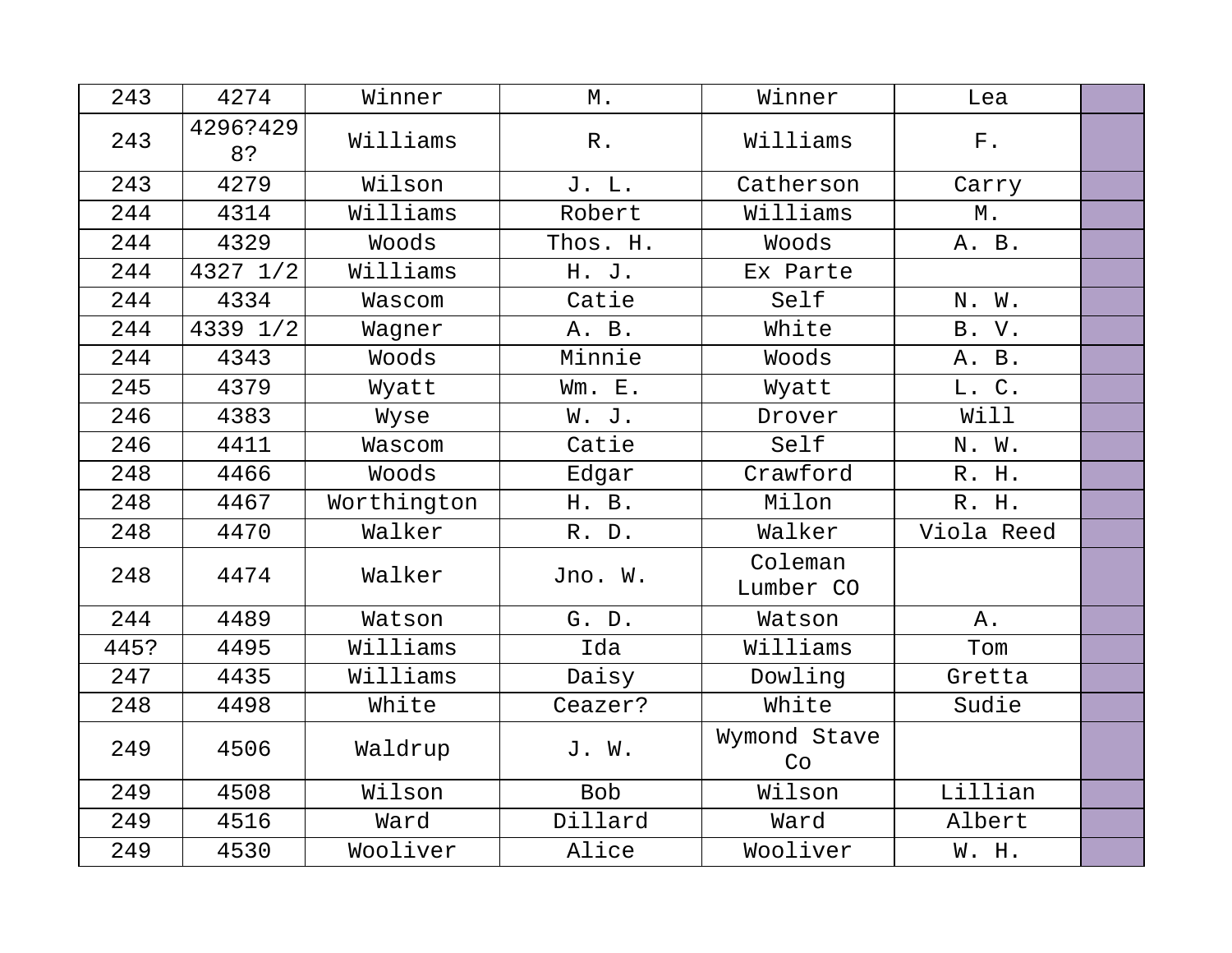| 243  | 4274           | Winner      | М.              | Winner               | Lea         |  |
|------|----------------|-------------|-----------------|----------------------|-------------|--|
| 243  | 4296?429<br>8? | Williams    | ${\mathbb R}$ . | Williams             | ${\bf F}$ . |  |
| 243  | 4279           | Wilson      | J. L.           | Catherson            | Carry       |  |
| 244  | 4314           | Williams    | Robert          | Williams             | Μ.          |  |
| 244  | 4329           | Woods       | Thos. H.        | Woods                | A. B.       |  |
| 244  | 4327 1/2       | Williams    | H. J.           | Ex Parte             |             |  |
| 244  | 4334           | Wascom      | Catie           | Self                 | N. W.       |  |
| 244  | 4339 1/2       | Wagner      | A. B.           | White                | B. V.       |  |
| 244  | 4343           | Woods       | Minnie          | Woods                | A. B.       |  |
| 245  | 4379           | Wyatt       | Wm. E.          | Wyatt                | L. C.       |  |
| 246  | 4383           | Wyse        | W. J.           | Drover               | Will        |  |
| 246  | 4411           | Wascom      | Catie           | Self                 | N. W.       |  |
| 248  | 4466           | Woods       | Edgar           | Crawford             | R. H.       |  |
| 248  | 4467           | Worthington | H. B.           | Milon                | R. H.       |  |
| 248  | 4470           | Walker      | R. D.           | Walker               | Viola Reed  |  |
| 248  | 4474           | Walker      | Jno. W.         | Coleman<br>Lumber CO |             |  |
| 244  | 4489           | Watson      | G. D.           | Watson               | Α.          |  |
| 445? | 4495           | Williams    | Ida             | Williams             | Tom         |  |
| 247  | 4435           | Williams    | Daisy           | Dowling              | Gretta      |  |
| 248  | 4498           | White       | Ceazer?         | White                | Sudie       |  |
| 249  | 4506           | Waldrup     | J. W.           | Wymond Stave<br>Co   |             |  |
| 249  | 4508           | Wilson      | <b>Bob</b>      | Wilson               | Lillian     |  |
| 249  | 4516           | Ward        | Dillard         | Ward                 | Albert      |  |
| 249  | 4530           | Wooliver    | Alice           | Wooliver             | W. H.       |  |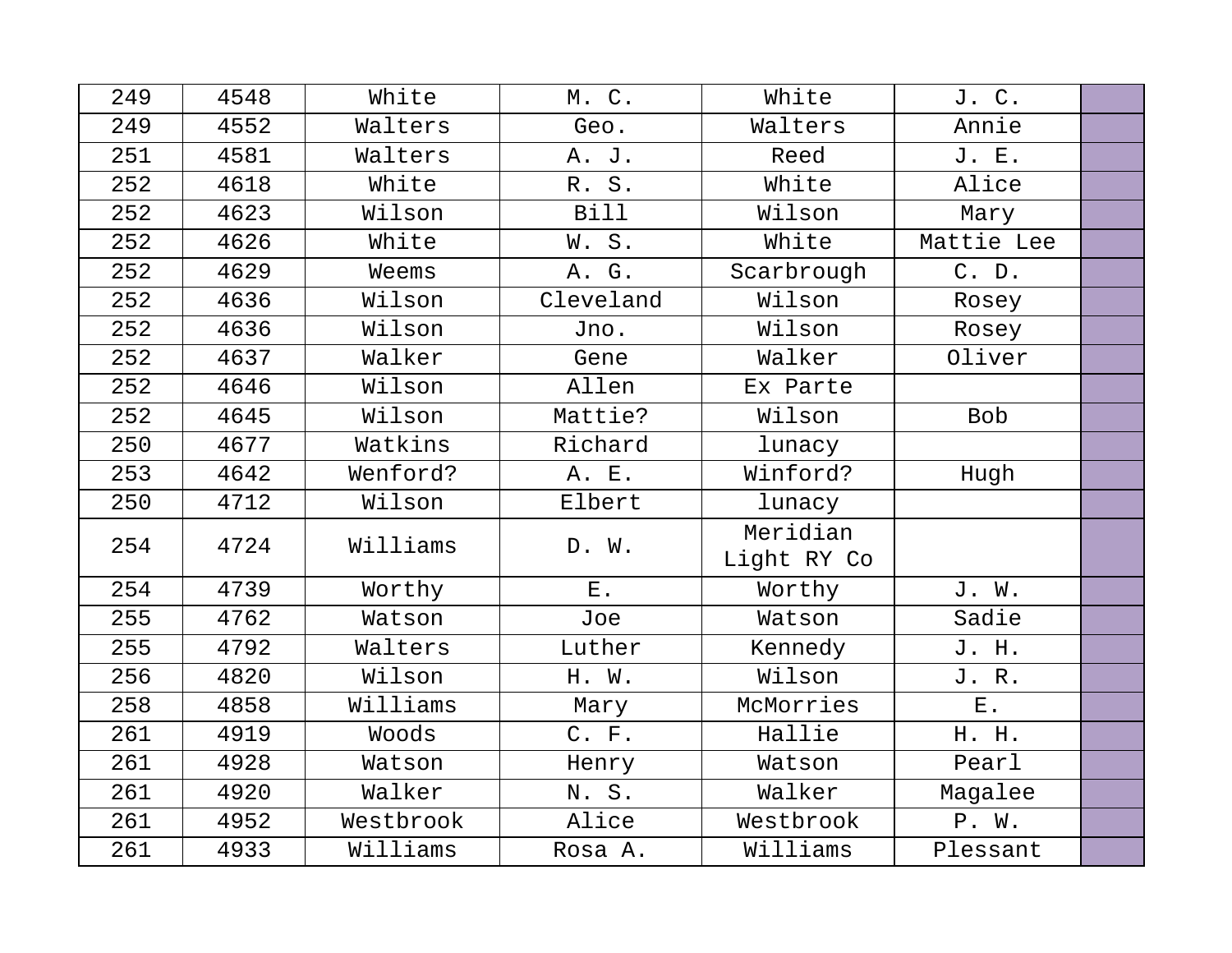| 249 | 4548 | White     | M. C.       | White                   | J. C.       |  |
|-----|------|-----------|-------------|-------------------------|-------------|--|
| 249 | 4552 | Walters   | Geo.        | Walters                 | Annie       |  |
| 251 | 4581 | Walters   | A. J.       | Reed                    | J. E.       |  |
| 252 | 4618 | White     | R. S.       | White                   | Alice       |  |
| 252 | 4623 | Wilson    | <b>Bill</b> | Wilson                  | Mary        |  |
| 252 | 4626 | White     | W.S.        | White                   | Mattie Lee  |  |
| 252 | 4629 | Weems     | A. G.       | Scarbrough              | C. D.       |  |
| 252 | 4636 | Wilson    | Cleveland   | Wilson                  | Rosey       |  |
| 252 | 4636 | Wilson    | Jno.        | Wilson                  | Rosey       |  |
| 252 | 4637 | Walker    | Gene        | Walker                  | Oliver      |  |
| 252 | 4646 | Wilson    | Allen       | Ex Parte                |             |  |
| 252 | 4645 | Wilson    | Mattie?     | Wilson                  | <b>Bob</b>  |  |
| 250 | 4677 | Watkins   | Richard     | lunacy                  |             |  |
| 253 | 4642 | Wenford?  | A. E.       | Winford?                | Hugh        |  |
| 250 | 4712 | Wilson    | Elbert      | lunacy                  |             |  |
| 254 | 4724 | Williams  | D. W.       | Meridian<br>Light RY Co |             |  |
| 254 | 4739 | Worthy    | ${\bf E}$ . | Worthy                  | J. W.       |  |
| 255 | 4762 | Watson    | Joe         | Watson                  | Sadie       |  |
| 255 | 4792 | Walters   | Luther      | Kennedy                 | J. H.       |  |
| 256 | 4820 | Wilson    | H. W.       | Wilson                  | J. R.       |  |
| 258 | 4858 | Williams  | Mary        | McMorries               | ${\bf E}$ . |  |
| 261 | 4919 | Woods     | C. F.       | Hallie                  | H. H.       |  |
| 261 | 4928 | Watson    | Henry       | Watson                  | Pearl       |  |
| 261 | 4920 | Walker    | N.S.        | Walker                  | Magalee     |  |
| 261 | 4952 | Westbrook | Alice       | Westbrook               | P. W.       |  |
| 261 | 4933 | Williams  | Rosa A.     | Williams                | Plessant    |  |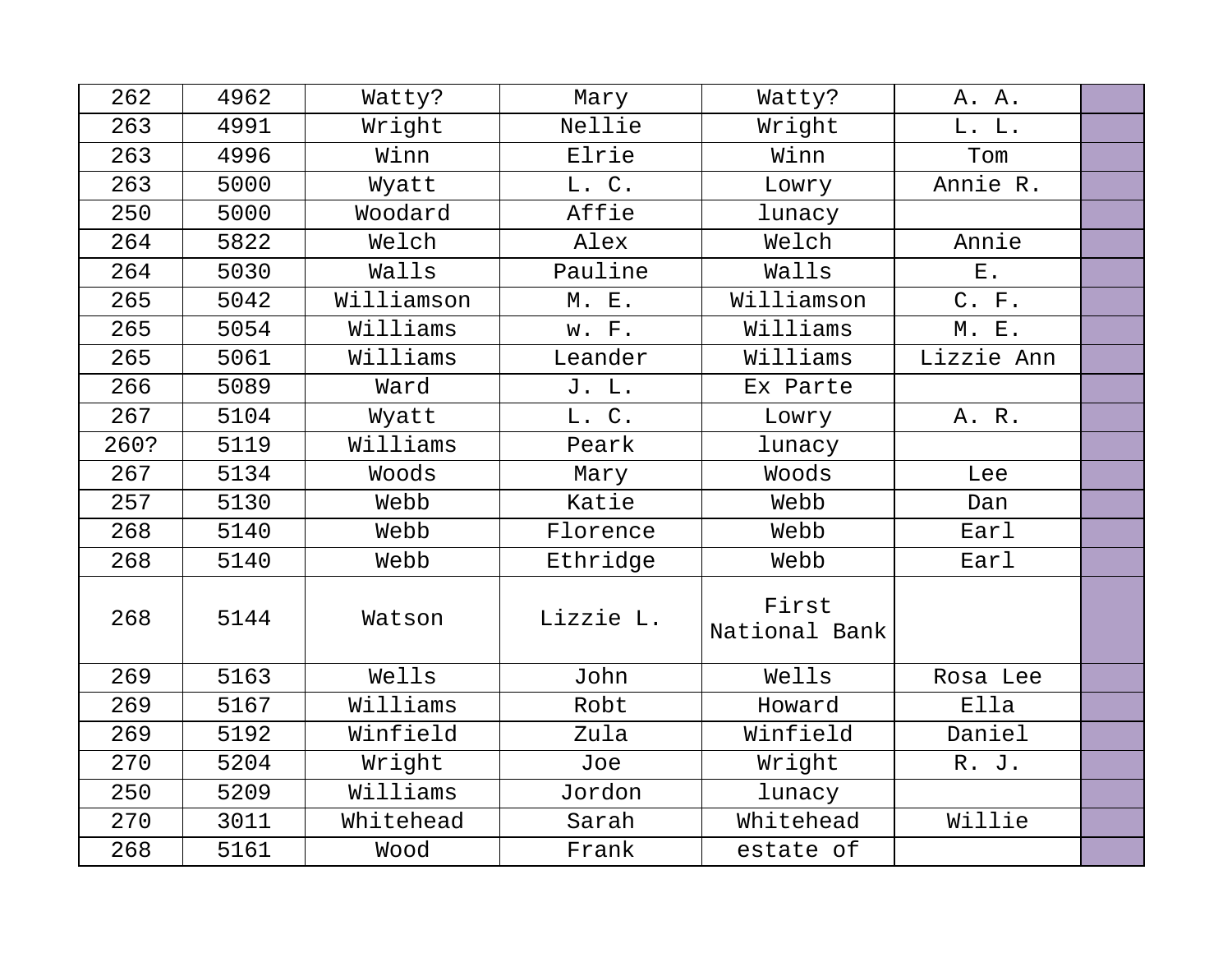| 262  | 4962 | Watty?     | Mary      | Watty?                 | A. A.       |  |
|------|------|------------|-----------|------------------------|-------------|--|
| 263  | 4991 | Wright     | Nellie    | Wright                 | L. L.       |  |
| 263  | 4996 | Winn       | Elrie     | Winn                   | Tom         |  |
| 263  | 5000 | Wyatt      | L. C.     | Lowry                  | Annie R.    |  |
| 250  | 5000 | Woodard    | Affie     | lunacy                 |             |  |
| 264  | 5822 | Welch      | Alex      | Welch                  | Annie       |  |
| 264  | 5030 | Walls      | Pauline   | Walls                  | ${\bf E}$ . |  |
| 265  | 5042 | Williamson | M. E.     | Williamson             | C. F.       |  |
| 265  | 5054 | Williams   | w. F.     | Williams               | M. E.       |  |
| 265  | 5061 | Williams   | Leander   | Williams               | Lizzie Ann  |  |
| 266  | 5089 | Ward       | J. L.     | Ex Parte               |             |  |
| 267  | 5104 | Wyatt      | L. C.     | Lowry                  | A. R.       |  |
| 260? | 5119 | Williams   | Peark     | lunacy                 |             |  |
| 267  | 5134 | Woods      | Mary      | Woods                  | Lee         |  |
| 257  | 5130 | Webb       | Katie     | Webb                   | Dan         |  |
| 268  | 5140 | Webb       | Florence  | Webb                   | Earl        |  |
| 268  | 5140 | Webb       | Ethridge  | Webb                   | Earl        |  |
| 268  | 5144 | Watson     | Lizzie L. | First<br>National Bank |             |  |
| 269  | 5163 | Wells      | John      | Wells                  | Rosa Lee    |  |
| 269  | 5167 | Williams   | Robt      | Howard                 | Ella        |  |
| 269  | 5192 | Winfield   | Zula      | Winfield               | Daniel      |  |
| 270  | 5204 | Wright     | Joe       | Wright                 | R. J.       |  |
| 250  | 5209 | Williams   | Jordon    | lunacy                 |             |  |
| 270  | 3011 | Whitehead  | Sarah     | Whitehead              | Willie      |  |
| 268  | 5161 | Wood       | Frank     | estate of              |             |  |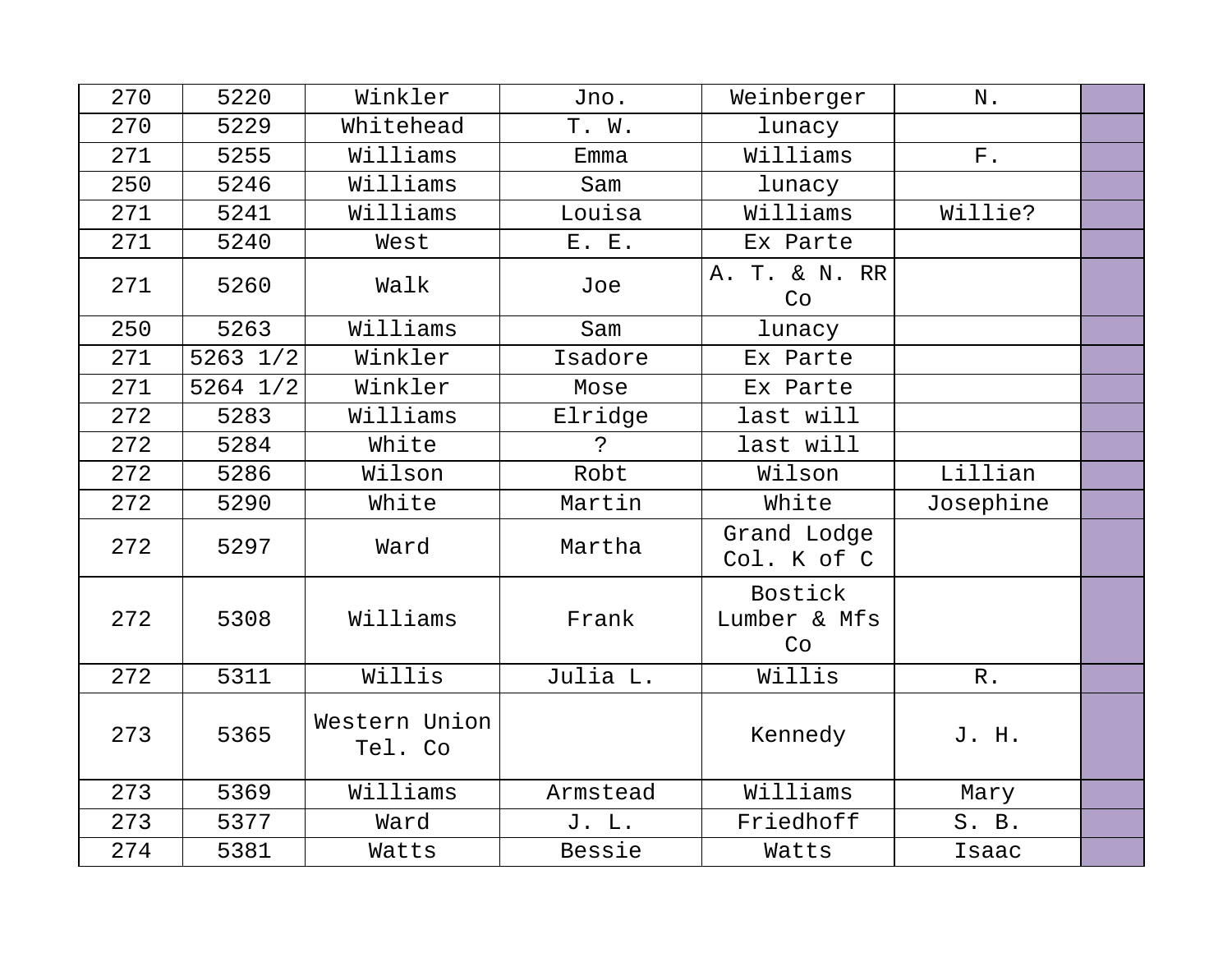| 270 | 5220         | Winkler                  | Jno.        | Weinberger                    | N.              |  |
|-----|--------------|--------------------------|-------------|-------------------------------|-----------------|--|
| 270 | 5229         | Whitehead                | T. W.       | lunacy                        |                 |  |
| 271 | 5255         | Williams                 | Emma        | Williams                      | ${\bf F}$ .     |  |
| 250 | 5246         | Williams                 | Sam         | lunacy                        |                 |  |
| 271 | 5241         | Williams                 | Louisa      | Williams                      | Willie?         |  |
| 271 | 5240         | West                     | E. E.       | Ex Parte                      |                 |  |
| 271 | 5260         | Walk                     | Joe         | A. T. & N. RR<br>Co           |                 |  |
| 250 | 5263         | Williams                 | Sam         | lunacy                        |                 |  |
| 271 | $5263$ $1/2$ | Winkler                  | Isadore     | Ex Parte                      |                 |  |
| 271 | 5264 1/2     | Winkler                  | Mose        | Ex Parte                      |                 |  |
| 272 | 5283         | Williams                 | Elridge     | last will                     |                 |  |
| 272 | 5284         | White                    | $\tilde{S}$ | last will                     |                 |  |
| 272 | 5286         | Wilson                   | Robt        | Wilson                        | Lillian         |  |
| 272 | 5290         | White                    | Martin      | White                         | Josephine       |  |
| 272 | 5297         | Ward                     | Martha      | Grand Lodge<br>Col. K of C    |                 |  |
| 272 | 5308         | Williams                 | Frank       | Bostick<br>Lumber & Mfs<br>Co |                 |  |
| 272 | 5311         | Willis                   | Julia L.    | Willis                        | ${\mathbb R}$ . |  |
| 273 | 5365         | Western Union<br>Tel. Co |             | Kennedy                       | J. H.           |  |
| 273 | 5369         | Williams                 | Armstead    | Williams                      | Mary            |  |
| 273 | 5377         | Ward                     | J. L.       | Friedhoff                     | S. B.           |  |
| 274 | 5381         | Watts                    | Bessie      | Watts                         | Isaac           |  |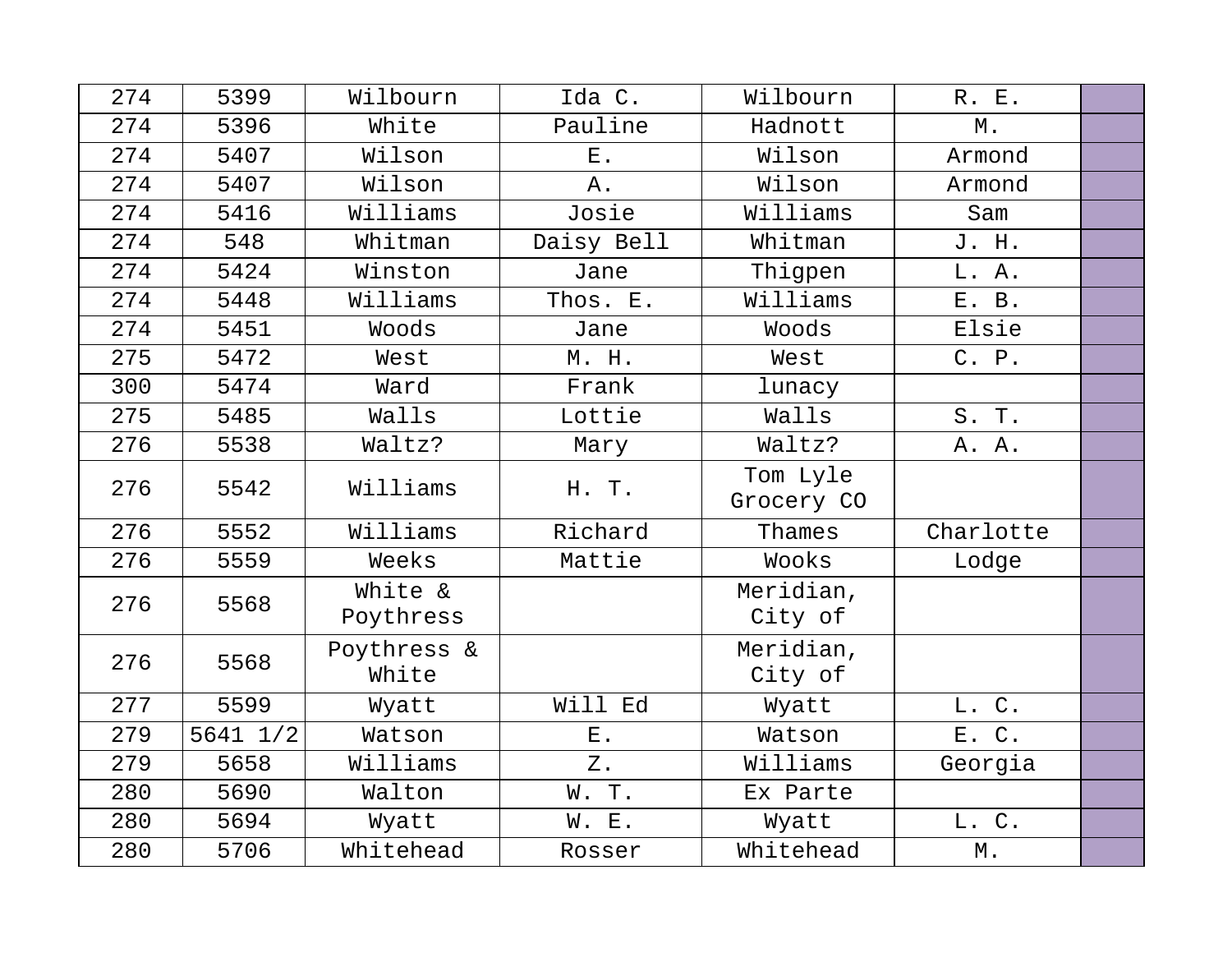| 274 | 5399         | Wilbourn             | Ida C.                      | Wilbourn               | R. E.             |  |
|-----|--------------|----------------------|-----------------------------|------------------------|-------------------|--|
| 274 | 5396         | White                | Pauline                     | Hadnott                | $\mathbbmss{M}$ . |  |
| 274 | 5407         | Wilson               | $E$ .                       | Wilson                 | Armond            |  |
| 274 | 5407         | Wilson               | Α.                          | Wilson                 | Armond            |  |
| 274 | 5416         | Williams             | Josie                       | Williams               | Sam               |  |
| 274 | 548          | Whitman              | Daisy Bell                  | Whitman                | J. H.             |  |
| 274 | 5424         | Winston              | Jane                        | Thigpen                | L. A.             |  |
| 274 | 5448         | Williams             | Thos. E.                    | Williams               | E. B.             |  |
| 274 | 5451         | Woods                | Jane                        | Woods                  | Elsie             |  |
| 275 | 5472         | West                 | M. H.                       | West                   | C. P.             |  |
| 300 | 5474         | Ward                 | Frank                       | lunacy                 |                   |  |
| 275 | 5485         | Walls                | Lottie                      | Walls                  | S. T.             |  |
| 276 | 5538         | Waltz?               | Mary                        | Waltz?                 | A. A.             |  |
| 276 | 5542         | Williams             | H. T.                       | Tom Lyle<br>Grocery CO |                   |  |
| 276 | 5552         | Williams             | Richard                     | Thames                 | Charlotte         |  |
| 276 | 5559         | Weeks                | Mattie                      | Wooks                  | Lodge             |  |
| 276 | 5568         | White &<br>Poythress |                             | Meridian,<br>City of   |                   |  |
| 276 | 5568         | Poythress &<br>White |                             | Meridian,<br>City of   |                   |  |
| 277 | 5599         | Wyatt                | Will Ed                     | Wyatt                  | L. C.             |  |
| 279 | $5641$ $1/2$ | Watson               | $\boldsymbol{\mathrm{E}}$ . | Watson                 | E. C.             |  |
| 279 | 5658         | Williams             | $Z$ .                       | Williams               | Georgia           |  |
| 280 | 5690         | Walton               | W.T.                        | Ex Parte               |                   |  |
| 280 | 5694         | Wyatt                | W. E.                       | Wyatt                  | L. C.             |  |
| 280 | 5706         | Whitehead            | Rosser                      | Whitehead              | $\mathbbmss{M}$ . |  |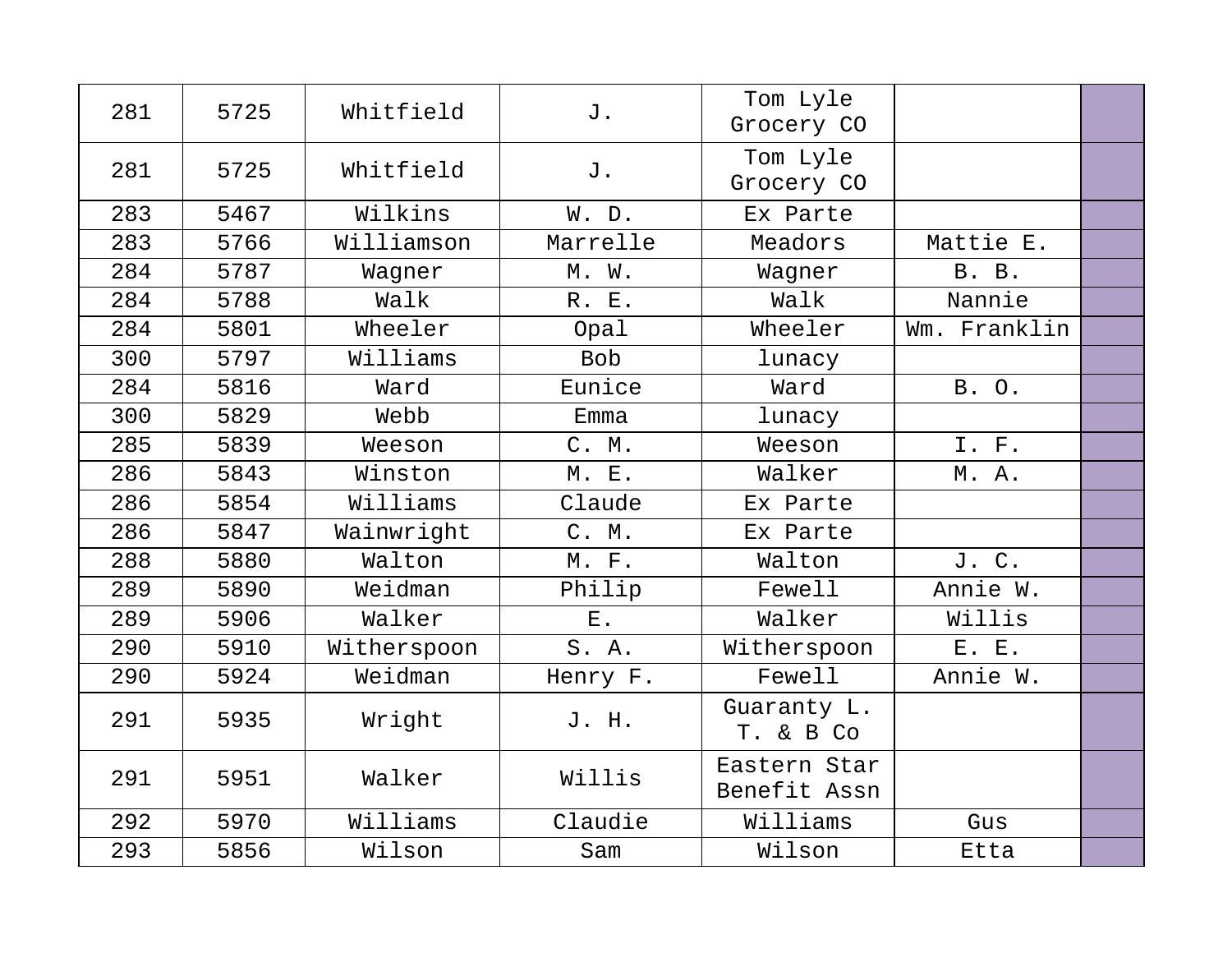| 281 | 5725 | Whitfield   | J.         | Tom Lyle<br>Grocery CO       |              |  |
|-----|------|-------------|------------|------------------------------|--------------|--|
| 281 | 5725 | Whitfield   | J.         | Tom Lyle<br>Grocery CO       |              |  |
| 283 | 5467 | Wilkins     | W. D.      | Ex Parte                     |              |  |
| 283 | 5766 | Williamson  | Marrelle   | Meadors                      | Mattie E.    |  |
| 284 | 5787 | Wagner      | M. W.      | Wagner                       | B. B.        |  |
| 284 | 5788 | Walk        | R. E.      | Walk                         | Nannie       |  |
| 284 | 5801 | Wheeler     | Opal       | Wheeler                      | Wm. Franklin |  |
| 300 | 5797 | Williams    | <b>Bob</b> | lunacy                       |              |  |
| 284 | 5816 | Ward        | Eunice     | Ward                         | B. O.        |  |
| 300 | 5829 | Webb        | Emma       | lunacy                       |              |  |
| 285 | 5839 | Weeson      | C. M.      | Weeson                       | I. F.        |  |
| 286 | 5843 | Winston     | M. E.      | Walker                       | M. A.        |  |
| 286 | 5854 | Williams    | Claude     | Ex Parte                     |              |  |
| 286 | 5847 | Wainwright  | C. M.      | Ex Parte                     |              |  |
| 288 | 5880 | Walton      | M. F.      | Walton                       | J. C.        |  |
| 289 | 5890 | Weidman     | Philip     | Fewell                       | Annie W.     |  |
| 289 | 5906 | Walker      | $E$ .      | Walker                       | Willis       |  |
| 290 | 5910 | Witherspoon | S.A.       | Witherspoon                  | E. E.        |  |
| 290 | 5924 | Weidman     | Henry F.   | Fewell                       | Annie W.     |  |
| 291 | 5935 | Wright      | J. H.      | Guaranty L.<br>T. & B Co     |              |  |
| 291 | 5951 | Walker      | Willis     | Eastern Star<br>Benefit Assn |              |  |
| 292 | 5970 | Williams    | Claudie    | Williams                     | Gus          |  |
| 293 | 5856 | Wilson      | Sam        | Wilson                       | Etta         |  |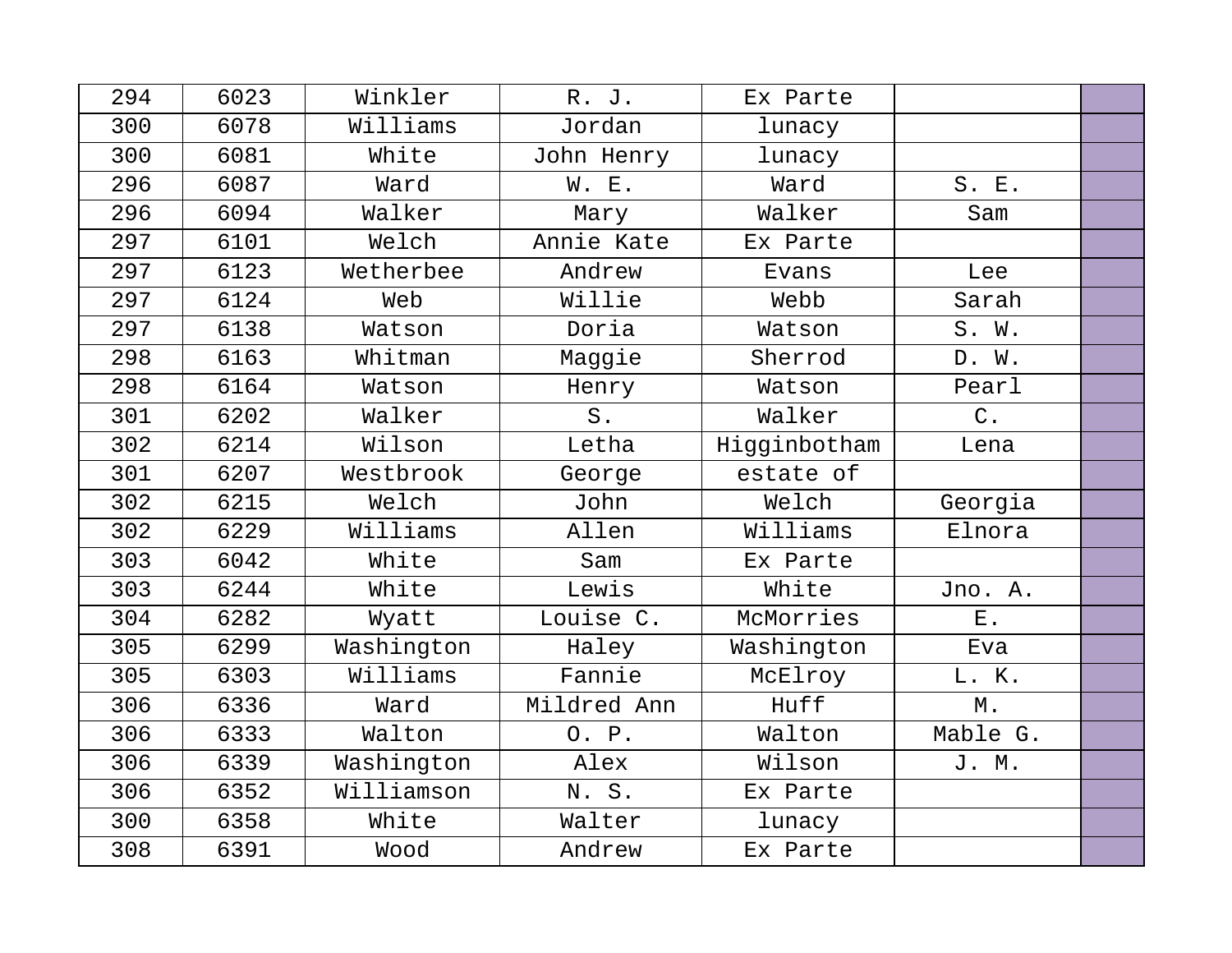| 294 | 6023 | Winkler    | R. J.       | Ex Parte     |                   |  |
|-----|------|------------|-------------|--------------|-------------------|--|
| 300 | 6078 | Williams   | Jordan      | lunacy       |                   |  |
| 300 | 6081 | White      | John Henry  | lunacy       |                   |  |
| 296 | 6087 | Ward       | W. E.       | Ward         | S. E.             |  |
| 296 | 6094 | Walker     | Mary        | Walker       | Sam               |  |
| 297 | 6101 | Welch      | Annie Kate  | Ex Parte     |                   |  |
| 297 | 6123 | Wetherbee  | Andrew      | Evans        | Lee               |  |
| 297 | 6124 | Web        | Willie      | Webb         | Sarah             |  |
| 297 | 6138 | Watson     | Doria       | Watson       | S. W.             |  |
| 298 | 6163 | Whitman    | Maggie      | Sherrod      | D. W.             |  |
| 298 | 6164 | Watson     | Henry       | Watson       | Pearl             |  |
| 301 | 6202 | Walker     | $S$ .       | Walker       | $\mathsf C$ .     |  |
| 302 | 6214 | Wilson     | Letha       | Higginbotham | Lena              |  |
| 301 | 6207 | Westbrook  | George      | estate of    |                   |  |
| 302 | 6215 | Welch      | John        | Welch        | Georgia           |  |
| 302 | 6229 | Williams   | Allen       | Williams     | Elnora            |  |
| 303 | 6042 | White      | Sam         | Ex Parte     |                   |  |
| 303 | 6244 | White      | Lewis       | White        | Jno. A.           |  |
| 304 | 6282 | Wyatt      | Louise C.   | McMorries    | ${\bf E}$ .       |  |
| 305 | 6299 | Washington | Haley       | Washington   | Eva               |  |
| 305 | 6303 | Williams   | Fannie      | McElroy      | L. K.             |  |
| 306 | 6336 | Ward       | Mildred Ann | Huff         | $\mathbbmss{M}$ . |  |
| 306 | 6333 | Walton     | O. P.       | Walton       | Mable G.          |  |
| 306 | 6339 | Washington | Alex        | Wilson       | J. M.             |  |
| 306 | 6352 | Williamson | N.S.        | Ex Parte     |                   |  |
| 300 | 6358 | White      | Walter      | lunacy       |                   |  |
| 308 | 6391 | Wood       | Andrew      | Ex Parte     |                   |  |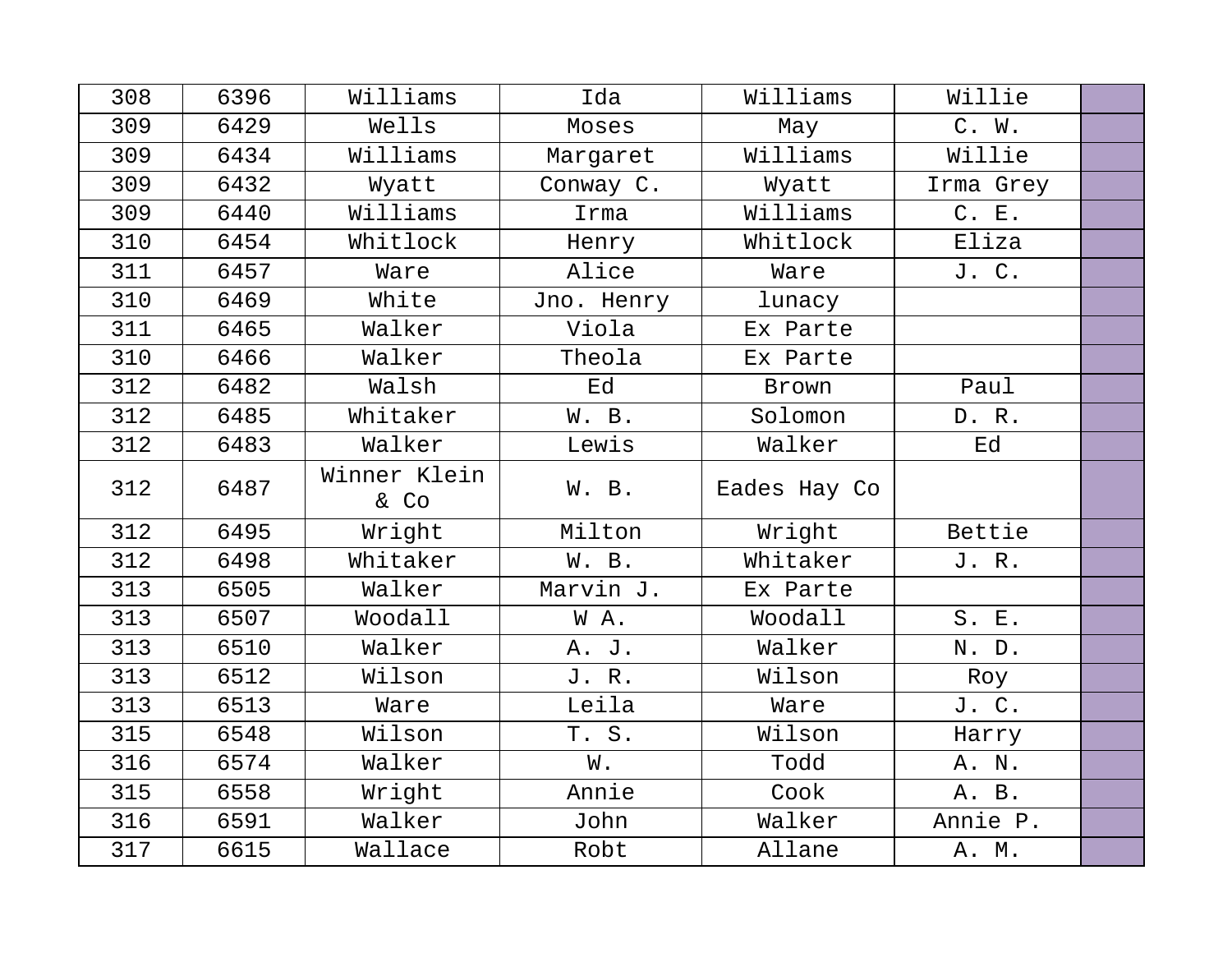| 308 | 6396 | Williams             | Ida        | Williams     | Willie    |  |
|-----|------|----------------------|------------|--------------|-----------|--|
| 309 | 6429 | Wells                | Moses      | May          | C. W.     |  |
| 309 | 6434 | Williams             | Margaret   | Williams     | Willie    |  |
| 309 | 6432 | Wyatt                | Conway C.  | Wyatt        | Irma Grey |  |
| 309 | 6440 | Williams             | Irma       | Williams     | C. E.     |  |
| 310 | 6454 | Whitlock             | Henry      | Whitlock     | Eliza     |  |
| 311 | 6457 | Ware                 | Alice      | Ware         | J. C.     |  |
| 310 | 6469 | White                | Jno. Henry | lunacy       |           |  |
| 311 | 6465 | Walker               | Viola      | Ex Parte     |           |  |
| 310 | 6466 | Walker               | Theola     | Ex Parte     |           |  |
| 312 | 6482 | Walsh                | Ed         | Brown        | Paul      |  |
| 312 | 6485 | Whitaker             | W. B.      | Solomon      | D. R.     |  |
| 312 | 6483 | Walker               | Lewis      | Walker       | Ed        |  |
| 312 | 6487 | Winner Klein<br>& Co | W. B.      | Eades Hay Co |           |  |
| 312 | 6495 | Wright               | Milton     | Wright       | Bettie    |  |
| 312 | 6498 | Whitaker             | W. B.      | Whitaker     | J. R.     |  |
| 313 | 6505 | Walker               | Marvin J.  | Ex Parte     |           |  |
| 313 | 6507 | Woodall              | WA.        | Woodall      | S. E.     |  |
| 313 | 6510 | Walker               | A. J.      | Walker       | N. D.     |  |
| 313 | 6512 | Wilson               | J. R.      | Wilson       | Roy       |  |
| 313 | 6513 | Ware                 | Leila      | Ware         | J. C.     |  |
| 315 | 6548 | Wilson               | T. S.      | Wilson       | Harry     |  |
| 316 | 6574 | Walker               | W.         | Todd         | A. N.     |  |
| 315 | 6558 | Wright               | Annie      | Cook         | A. B.     |  |
| 316 | 6591 | Walker               | John       | Walker       | Annie P.  |  |
| 317 | 6615 | Wallace              | Robt       | Allane       | A. M.     |  |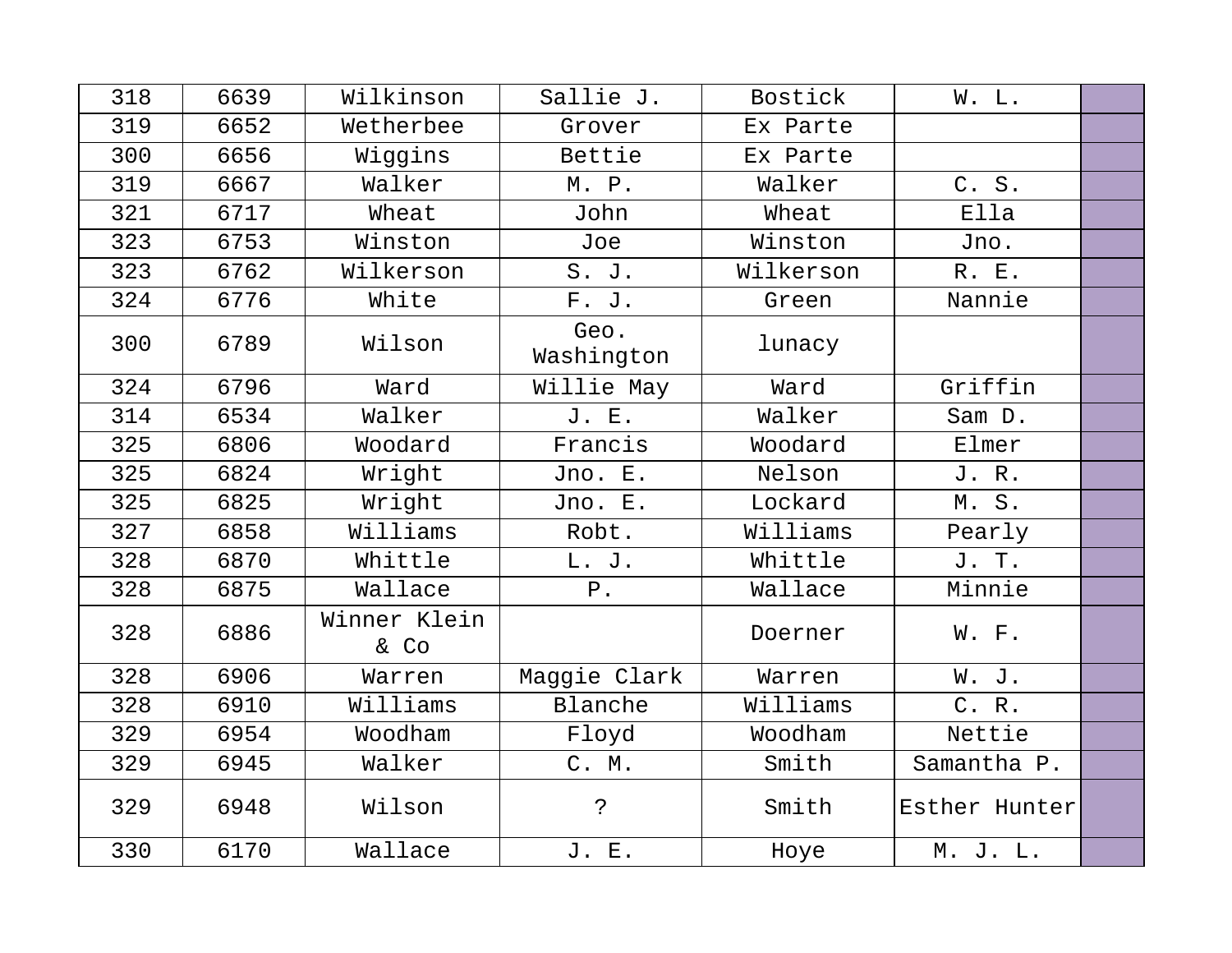| 318 | 6639 | Wilkinson            | Sallie J.          | Bostick   | W. L.         |  |
|-----|------|----------------------|--------------------|-----------|---------------|--|
| 319 | 6652 | Wetherbee            | Grover             | Ex Parte  |               |  |
| 300 | 6656 | Wiggins              | Bettie             | Ex Parte  |               |  |
| 319 | 6667 | Walker               | M. P.              | Walker    | C. S.         |  |
| 321 | 6717 | Wheat                | John               | Wheat     | Ella          |  |
| 323 | 6753 | Winston              | Joe                | Winston   | Jno.          |  |
| 323 | 6762 | Wilkerson            | S. J.              | Wilkerson | R. E.         |  |
| 324 | 6776 | White                | F. J.              | Green     | Nannie        |  |
| 300 | 6789 | Wilson               | Geo.<br>Washington | lunacy    |               |  |
| 324 | 6796 | Ward                 | Willie May         | Ward      | Griffin       |  |
| 314 | 6534 | Walker               | J. E.              | Walker    | Sam D.        |  |
| 325 | 6806 | Woodard              | Francis            | Woodard   | Elmer         |  |
| 325 | 6824 | Wright               | Jno. E.            | Nelson    | J. R.         |  |
| 325 | 6825 | Wright               | Jno. E.            | Lockard   | M.S.          |  |
| 327 | 6858 | Williams             | Robt.              | Williams  | Pearly        |  |
| 328 | 6870 | Whittle              | L. J.              | Whittle   | J. T.         |  |
| 328 | 6875 | Wallace              | $P$ .              | Wallace   | Minnie        |  |
| 328 | 6886 | Winner Klein<br>& Co |                    | Doerner   | W. F.         |  |
| 328 | 6906 | Warren               | Maggie Clark       | Warren    | W. J.         |  |
| 328 | 6910 | Williams             | Blanche            | Williams  | C. R.         |  |
| 329 | 6954 | Woodham              | Floyd              | Woodham   | Nettie        |  |
| 329 | 6945 | Walker               | C. M.              | Smith     | Samantha P.   |  |
| 329 | 6948 | Wilson               | Ċ.                 | Smith     | Esther Hunter |  |
| 330 | 6170 | Wallace              | J. E.              | Hoye      | M. J. L.      |  |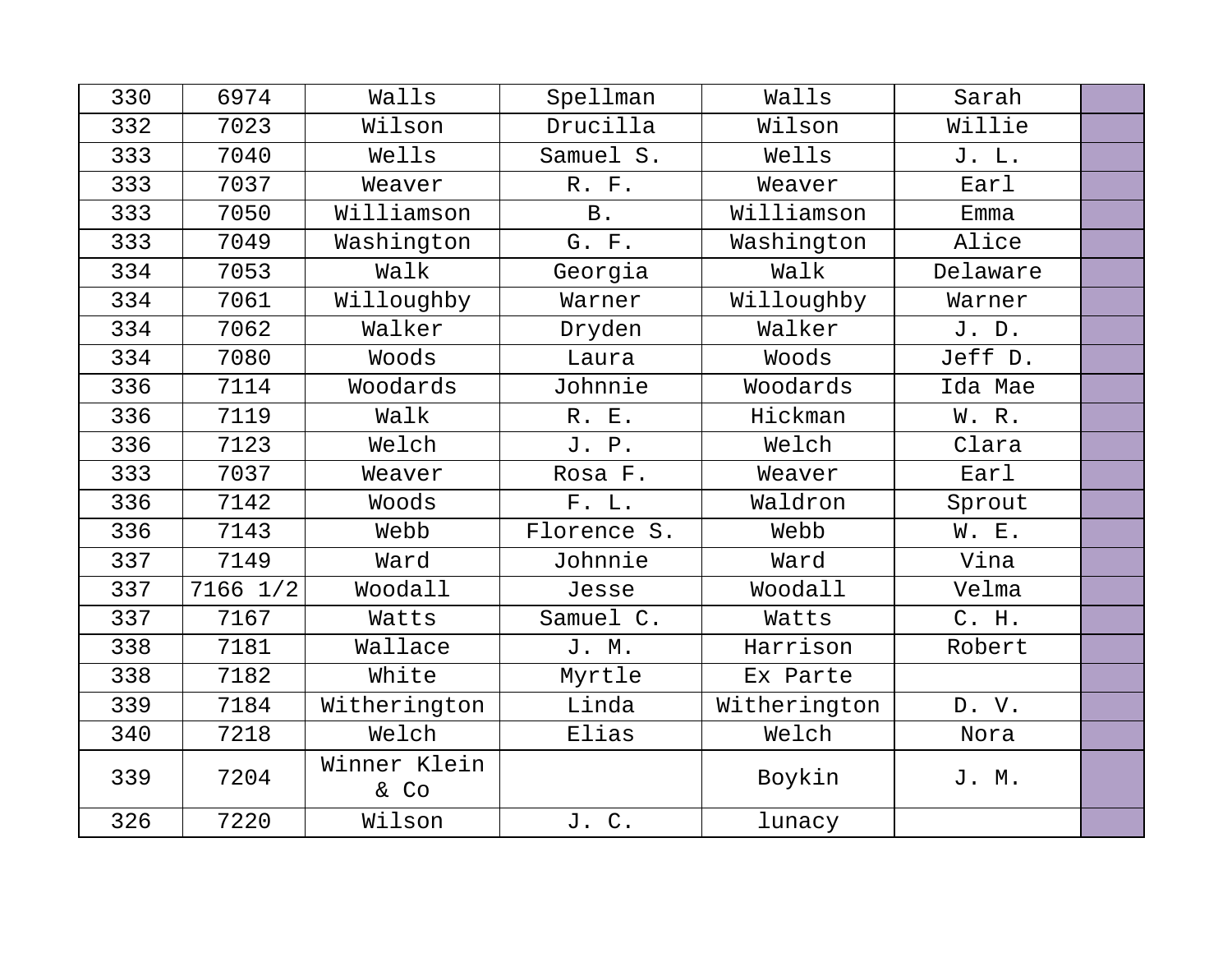| 330 | 6974     | Walls                | Spellman    | Walls        | Sarah    |  |
|-----|----------|----------------------|-------------|--------------|----------|--|
| 332 | 7023     | Wilson               | Drucilla    | Wilson       | Willie   |  |
| 333 | 7040     | Wells                | Samuel S.   | Wells        | J. L.    |  |
| 333 | 7037     | Weaver               | R. F.       | Weaver       | Earl     |  |
| 333 | 7050     | Williamson           | <b>B</b> .  | Williamson   | Emma     |  |
| 333 | 7049     | Washington           | G. F.       | Washington   | Alice    |  |
| 334 | 7053     | Walk                 | Georgia     | Walk         | Delaware |  |
| 334 | 7061     | Willoughby           | Warner      | Willoughby   | Warner   |  |
| 334 | 7062     | Walker               | Dryden      | Walker       | J. D.    |  |
| 334 | 7080     | Woods                | Laura       | Woods        | Jeff D.  |  |
| 336 | 7114     | Woodards             | Johnnie     | Woodards     | Ida Mae  |  |
| 336 | 7119     | Walk                 | R. E.       | Hickman      | W. R.    |  |
| 336 | 7123     | Welch                | J. P.       | Welch        | Clara    |  |
| 333 | 7037     | Weaver               | Rosa F.     | Weaver       | Earl     |  |
| 336 | 7142     | Woods                | F. L.       | Waldron      | Sprout   |  |
| 336 | 7143     | Webb                 | Florence S. | Webb         | W. E.    |  |
| 337 | 7149     | Ward                 | Johnnie     | Ward         | Vina     |  |
| 337 | 7166 1/2 | Woodall              | Jesse       | Woodall      | Velma    |  |
| 337 | 7167     | Watts                | Samuel C.   | Watts        | C. H.    |  |
| 338 | 7181     | Wallace              | J. M.       | Harrison     | Robert   |  |
| 338 | 7182     | White                | Myrtle      | Ex Parte     |          |  |
| 339 | 7184     | Witherington         | Linda       | Witherington | D. V.    |  |
| 340 | 7218     | Welch                | Elias       | Welch        | Nora     |  |
| 339 | 7204     | Winner Klein<br>& Co |             | Boykin       | J. M.    |  |
| 326 | 7220     | Wilson               | J. C.       | lunacy       |          |  |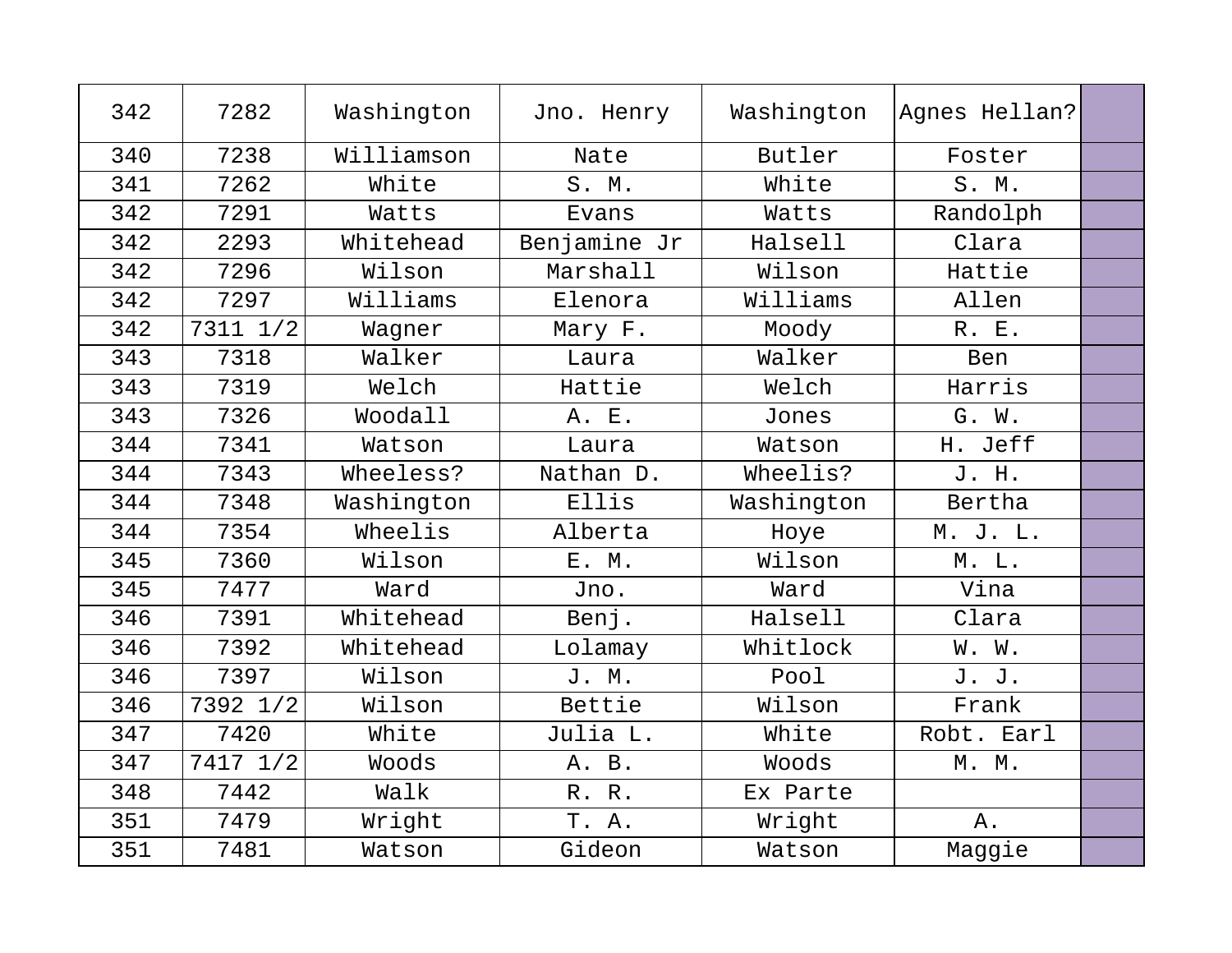| 342 | 7282     | Washington | Jno. Henry   | Washington | Agnes Hellan? |  |
|-----|----------|------------|--------------|------------|---------------|--|
| 340 | 7238     | Williamson | Nate         | Butler     | Foster        |  |
| 341 | 7262     | White      | S. M.        | White      | S. M.         |  |
| 342 | 7291     | Watts      | Evans        | Watts      | Randolph      |  |
| 342 | 2293     | Whitehead  | Benjamine Jr | Halsell    | Clara         |  |
| 342 | 7296     | Wilson     | Marshall     | Wilson     | Hattie        |  |
| 342 | 7297     | Williams   | Elenora      | Williams   | Allen         |  |
| 342 | 7311 1/2 | Wagner     | Mary F.      | Moody      | R. E.         |  |
| 343 | 7318     | Walker     | Laura        | Walker     | Ben           |  |
| 343 | 7319     | Welch      | Hattie       | Welch      | Harris        |  |
| 343 | 7326     | Woodall    | A. E.        | Jones      | G. W.         |  |
| 344 | 7341     | Watson     | Laura        | Watson     | H. Jeff       |  |
| 344 | 7343     | Wheeless?  | Nathan D.    | Wheelis?   | J. H.         |  |
| 344 | 7348     | Washington | Ellis        | Washington | Bertha        |  |
| 344 | 7354     | Wheelis    | Alberta      | Hoye       | M. J. L.      |  |
| 345 | 7360     | Wilson     | E. M.        | Wilson     | M. L.         |  |
| 345 | 7477     | Ward       | Jno.         | Ward       | Vina          |  |
| 346 | 7391     | Whitehead  | Benj.        | Halsell    | Clara         |  |
| 346 | 7392     | Whitehead  | Lolamay      | Whitlock   | W. W.         |  |
| 346 | 7397     | Wilson     | J. M.        | Pool       | J. J.         |  |
| 346 | 7392 1/2 | Wilson     | Bettie       | Wilson     | Frank         |  |
| 347 | 7420     | White      | Julia L.     | White      | Robt. Earl    |  |
| 347 | 7417 1/2 | Woods      | A. B.        | Woods      | M. M.         |  |
| 348 | 7442     | Walk       | R. R.        | Ex Parte   |               |  |
| 351 | 7479     | Wright     | T. A.        | Wright     | Α.            |  |
| 351 | 7481     | Watson     | Gideon       | Watson     | Maggie        |  |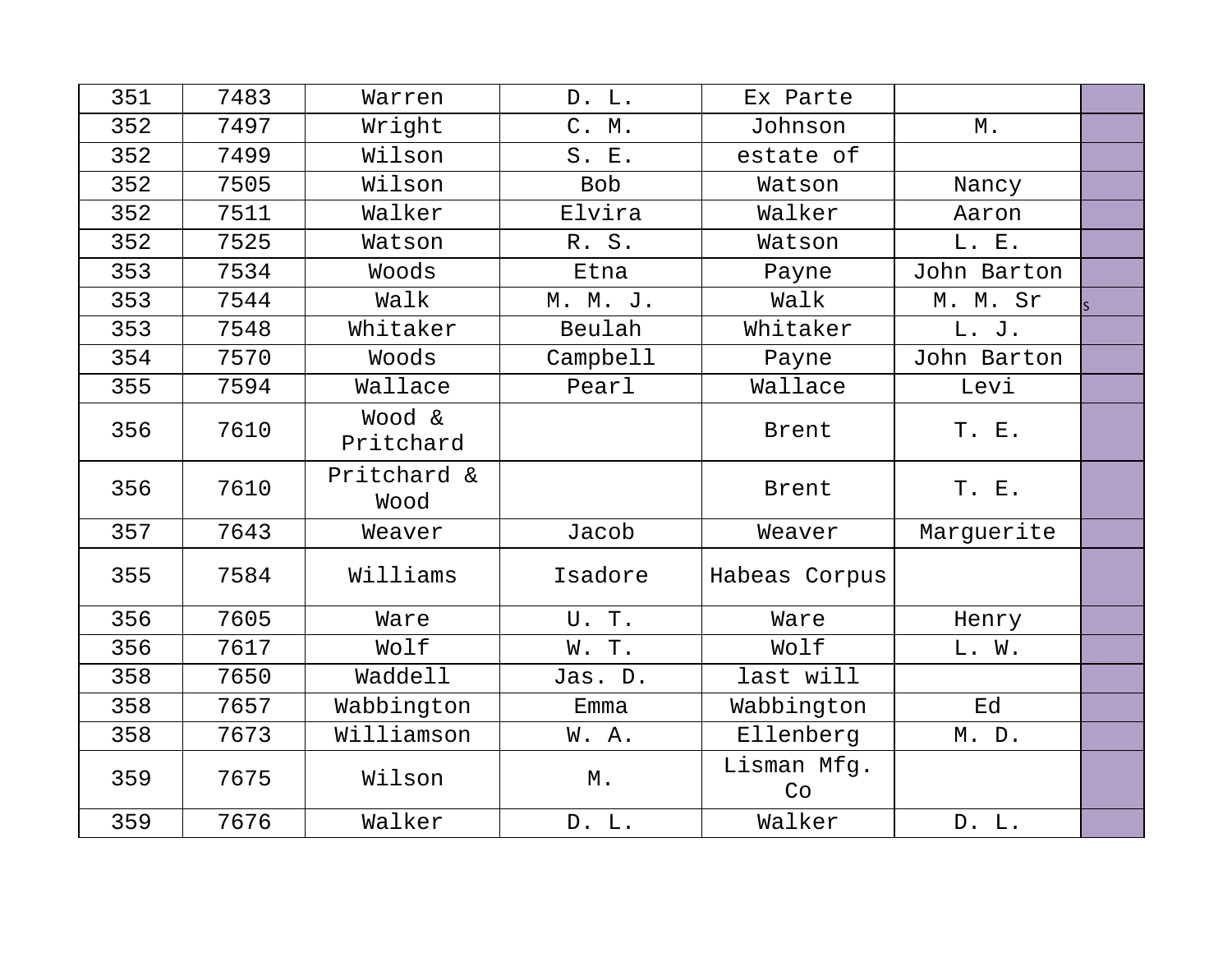| 351 | 7483 | Warren              | D. L.             | Ex Parte          |             |  |
|-----|------|---------------------|-------------------|-------------------|-------------|--|
| 352 | 7497 | Wright              | C. M.             | Johnson           | М.          |  |
| 352 | 7499 | Wilson              | S. E.             | estate of         |             |  |
| 352 | 7505 | Wilson              | <b>Bob</b>        | Watson            | Nancy       |  |
| 352 | 7511 | Walker              | Elvira            | Walker            | Aaron       |  |
| 352 | 7525 | Watson              | R. S.             | Watson            | L. E.       |  |
| 353 | 7534 | Woods               | Etna              | Payne             | John Barton |  |
| 353 | 7544 | Walk                | M. M. J.          | Walk              | M. M. Sr    |  |
| 353 | 7548 | Whitaker            | Beulah            | Whitaker          | L. J.       |  |
| 354 | 7570 | Woods               | Campbell          | Payne             | John Barton |  |
| 355 | 7594 | Wallace             | Pearl             | Wallace           | Levi        |  |
| 356 | 7610 | Wood &<br>Pritchard |                   | Brent             | T. E.       |  |
| 356 | 7610 | Pritchard &<br>Wood |                   | Brent             | T. E.       |  |
| 357 | 7643 | Weaver              | Jacob             | Weaver            | Marguerite  |  |
| 355 | 7584 | Williams            | Isadore           | Habeas Corpus     |             |  |
| 356 | 7605 | Ware                | U. T.             | Ware              | Henry       |  |
| 356 | 7617 | Wolf                | W. T.             | Wolf              | L. W.       |  |
| 358 | 7650 | Waddell             | Jas. D.           | last will         |             |  |
| 358 | 7657 | Wabbington          | Emma              | Wabbington        | Ed          |  |
| 358 | 7673 | Williamson          | W. A.             | Ellenberg         | M. D.       |  |
| 359 | 7675 | Wilson              | $\mathbbmss{M}$ . | Lisman Mfg.<br>Co |             |  |
| 359 | 7676 | Walker              | D. L.             | Walker            | D. L.       |  |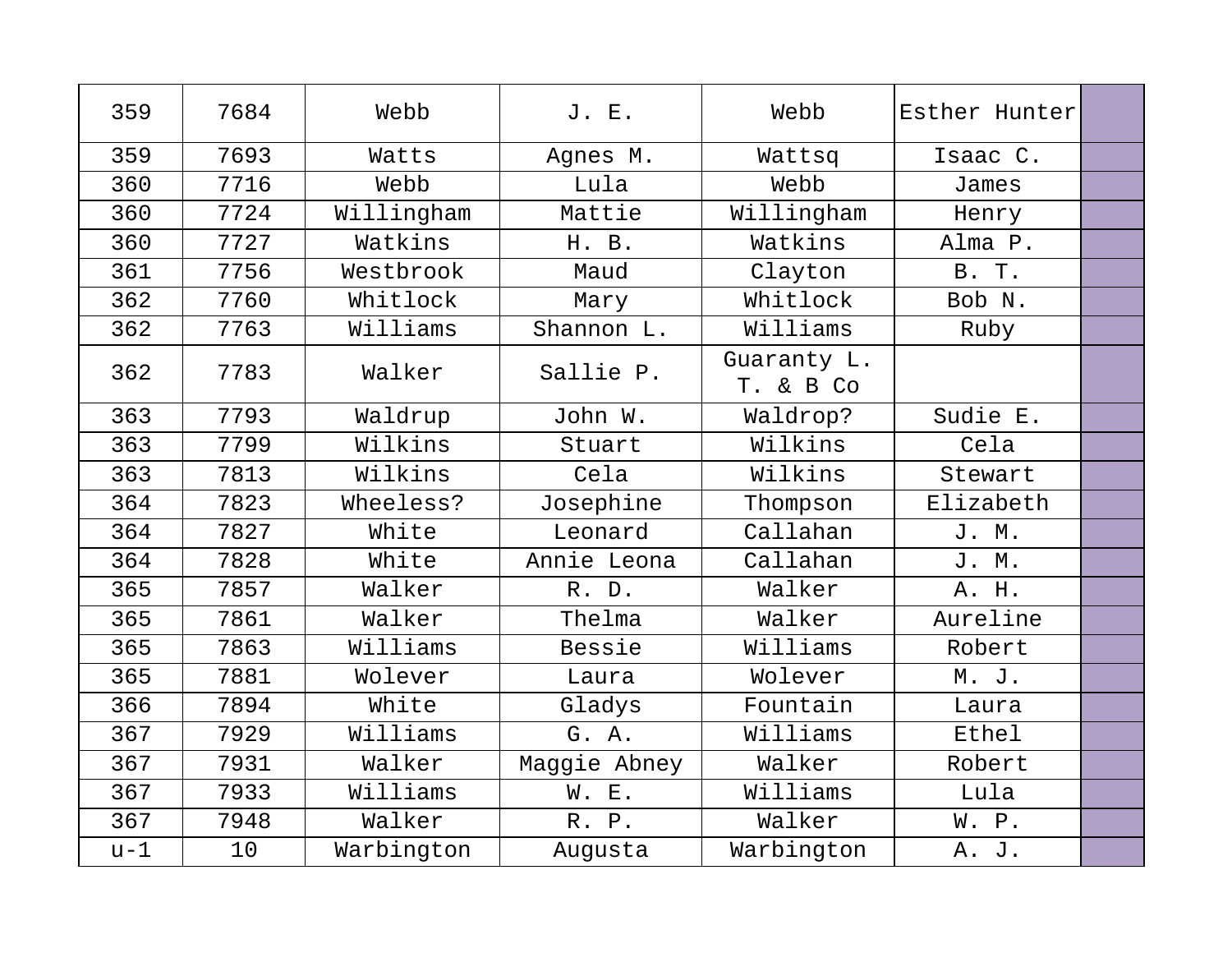| 359   | 7684 | Webb                            | J. E.        | Webb                     | Esther Hunter |  |
|-------|------|---------------------------------|--------------|--------------------------|---------------|--|
| 359   | 7693 | Watts                           | Agnes M.     | Wattsq                   | Isaac C.      |  |
| 360   | 7716 | Webb                            | Lula         | Webb                     | James         |  |
| 360   | 7724 | Willingham                      | Mattie       | Willingham               | Henry         |  |
| 360   | 7727 | Watkins                         | H. B.        | Watkins                  | Alma P.       |  |
| 361   | 7756 | Westbrook                       | Maud         | Clayton                  | <b>B. T.</b>  |  |
| 362   | 7760 | Whitlock                        | Mary         | Whitlock                 | Bob N.        |  |
| 362   | 7763 | Williams                        | Shannon L.   | Williams                 | Ruby          |  |
| 362   | 7783 | Walker                          | Sallie P.    | Guaranty L.<br>T. & B Co |               |  |
| 363   | 7793 | Waldrup                         | John W.      | Waldrop?                 | Sudie E.      |  |
| 363   | 7799 | Wilkins                         | Stuart       | Wilkins                  | Cela          |  |
| 363   | 7813 | Wilkins                         | Cela         | Wilkins                  | Stewart       |  |
| 364   | 7823 | Wheeless?                       | Josephine    | Thompson                 | Elizabeth     |  |
| 364   | 7827 | White                           | Leonard      | Callahan                 | J. M.         |  |
| 364   | 7828 | White                           | Annie Leona  | Callahan                 | J. M.         |  |
| 365   | 7857 | Walker                          | R. D.        | Walker                   | A. H.         |  |
| 365   | 7861 | Walker                          | Thelma       | Walker                   | Aureline      |  |
| 365   | 7863 | $\overline{\texttt{W}}$ illiams | Bessie       | Williams                 | Robert        |  |
| 365   | 7881 | Wolever                         | Laura        | Wolever                  | M. J.         |  |
| 366   | 7894 | White                           | Gladys       | Fountain                 | Laura         |  |
| 367   | 7929 | Williams                        | G. A.        | Williams                 | Ethel         |  |
| 367   | 7931 | Walker                          | Maggie Abney | Walker                   | Robert        |  |
| 367   | 7933 | Williams                        | W. E.        | Williams                 | Lula          |  |
| 367   | 7948 | Walker                          | R. P.        | Walker                   | W. P.         |  |
| $u-1$ | 10   | Warbington                      | Augusta      | Warbington               | A. J.         |  |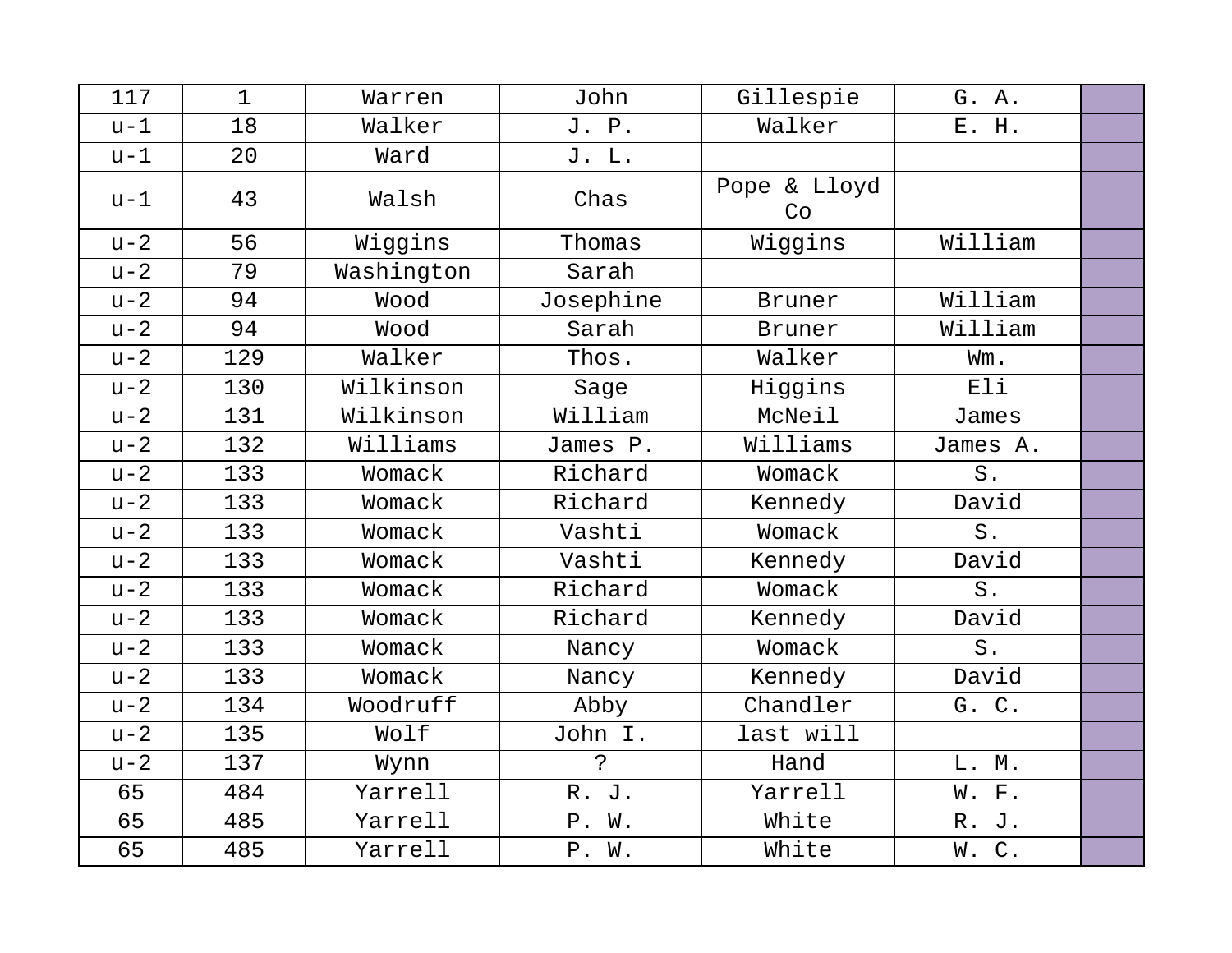| 117   | $\mathbf{1}$ | Warren     | John           | Gillespie          | G. A.    |  |
|-------|--------------|------------|----------------|--------------------|----------|--|
| $u-1$ | 18           | Walker     | J. P.          | Walker             | E. H.    |  |
| $u-1$ | 20           | Ward       | J. L.          |                    |          |  |
| $u-1$ | 43           | Walsh      | Chas           | Pope & Lloyd<br>Co |          |  |
| $u-2$ | 56           | Wiggins    | Thomas         | Wiggins            | William  |  |
| $u-2$ | 79           | Washington | Sarah          |                    |          |  |
| $u-2$ | 94           | Wood       | Josephine      | Bruner             | William  |  |
| $u-2$ | 94           | Wood       | Sarah          | <b>Bruner</b>      | William  |  |
| $u-2$ | 129          | Walker     | Thos.          | Walker             | Wm.      |  |
| $u-2$ | 130          | Wilkinson  | Sage           | Higgins            | Eli      |  |
| $u-2$ | 131          | Wilkinson  | William        | McNeil             | James    |  |
| $u-2$ | 132          | Williams   | James P.       | Williams           | James A. |  |
| $u-2$ | 133          | Womack     | Richard        | Womack             | S.       |  |
| $u-2$ | 133          | Womack     | Richard        | Kennedy            | David    |  |
| $u-2$ | 133          | Womack     | Vashti         | Womack             | S.       |  |
| $u-2$ | 133          | Womack     | Vashti         | Kennedy            | David    |  |
| $u-2$ | 133          | Womack     | Richard        | Womack             | $S$ .    |  |
| $u-2$ | 133          | Womack     | Richard        | Kennedy            | David    |  |
| $u-2$ | 133          | Womack     | Nancy          | Womack             | S.       |  |
| $u-2$ | 133          | Womack     | Nancy          | Kennedy            | David    |  |
| $u-2$ | 134          | Woodruff   | Abby           | Chandler           | G. C.    |  |
| $u-2$ | 135          | Wolf       | John I.        | last will          |          |  |
| $u-2$ | 137          | Wynn       | $\ddot{\cdot}$ | Hand               | L. M.    |  |
| 65    | 484          | Yarrell    | R. J.          | Yarrell            | W. F.    |  |
| 65    | 485          | Yarrell    | P. W.          | White              | R. J.    |  |
| 65    | 485          | Yarrell    | P. W.          | White              | W.C.     |  |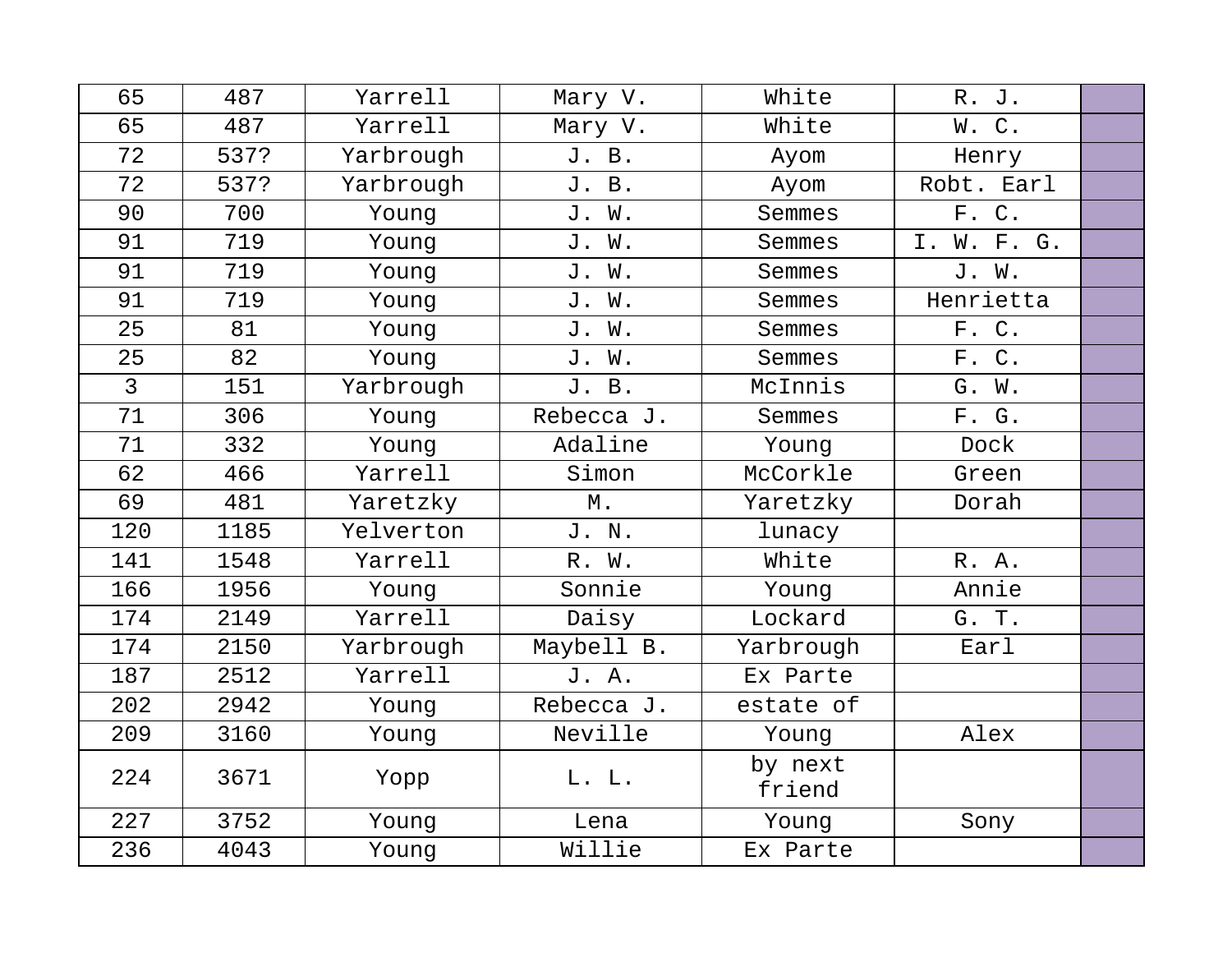| 65             | 487  | Yarrell   | Mary V.    | White             | R. J.       |  |
|----------------|------|-----------|------------|-------------------|-------------|--|
| 65             | 487  | Yarrell   | Mary V.    | White             | W.C.        |  |
| 72             | 537? | Yarbrough | J. B.      | Ayom              | Henry       |  |
| 72             | 537? | Yarbrough | J. B.      | Ayom              | Robt. Earl  |  |
| 90             | 700  | Young     | J. W.      | Semmes            | F. C.       |  |
| 91             | 719  | Young     | J. W.      | Semmes            | I. W. F. G. |  |
| 91             | 719  | Young     | J. W.      | Semmes            | J. W.       |  |
| 91             | 719  | Young     | J. W.      | Semmes            | Henrietta   |  |
| 25             | 81   | Young     | J. W.      | Semmes            | F. C.       |  |
| 25             | 82   | Young     | J. W.      | Semmes            | F. C.       |  |
| $\overline{3}$ | 151  | Yarbrough | J. B.      | McInnis           | G. W.       |  |
| 71             | 306  | Young     | Rebecca J. | Semmes            | F. G.       |  |
| 71             | 332  | Young     | Adaline    | Young             | Dock        |  |
| 62             | 466  | Yarrell   | Simon      | McCorkle          | Green       |  |
| 69             | 481  | Yaretzky  | $M$ .      | Yaretzky          | Dorah       |  |
| 120            | 1185 | Yelverton | J. N.      | lunacy            |             |  |
| 141            | 1548 | Yarrell   | R. W.      | White             | R. A.       |  |
| 166            | 1956 | Young     | Sonnie     | Young             | Annie       |  |
| 174            | 2149 | Yarrell   | Daisy      | Lockard           | G. T.       |  |
| 174            | 2150 | Yarbrough | Maybell B. | Yarbrough         | Earl        |  |
| 187            | 2512 | Yarrell   | J. A.      | Ex Parte          |             |  |
| 202            | 2942 | Young     | Rebecca J. | estate of         |             |  |
| 209            | 3160 | Young     | Neville    | Young             | Alex        |  |
| 224            | 3671 | Yopp      | L. L.      | by next<br>friend |             |  |
| 227            | 3752 | Young     | Lena       | Young             | Sony        |  |
| 236            | 4043 | Young     | Willie     | Ex Parte          |             |  |